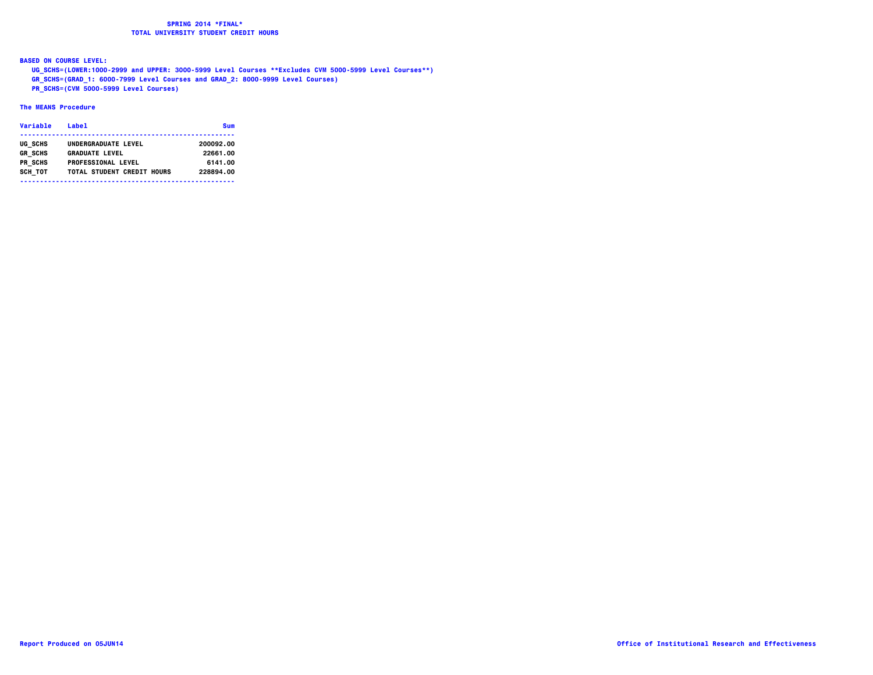**BASED ON COURSE LEVEL:**

 **UG\_SCHS=(LOWER:1000-2999 and UPPER: 3000-5999 Level Courses \*\*Excludes CVM 5000-5999 Level Courses\*\*)**

 **GR\_SCHS=(GRAD\_1: 6000-7999 Level Courses and GRAD\_2: 8000-9999 Level Courses)**

 **PR\_SCHS=(CVM 5000-5999 Level Courses)**

### **The MEANS Procedure**

| Variable       | <b>Label</b>               | Sum       |
|----------------|----------------------------|-----------|
| UG SCHS        | UNDERGRADUATE LEVEL        | 200092.00 |
| <b>GR SCHS</b> | <b>GRADUATE LEVEL</b>      | 22661.00  |
| PR SCHS        | <b>PROFESSIONAL LEVEL</b>  | 6141.00   |
| SCH TOT        | TOTAL STUDENT CREDIT HOURS | 228894.00 |
|                |                            |           |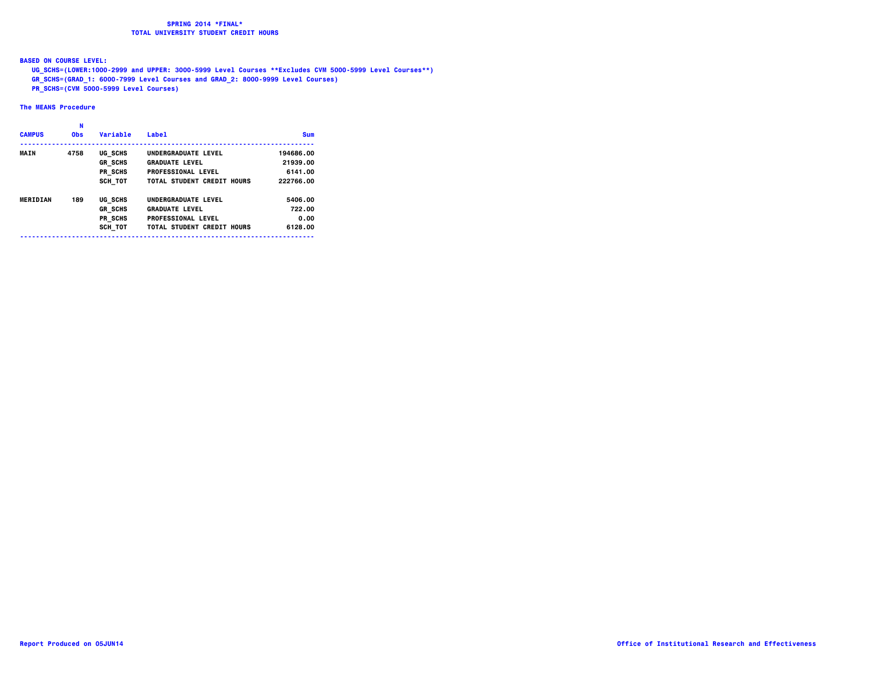**BASED ON COURSE LEVEL:**

 **UG\_SCHS=(LOWER:1000-2999 and UPPER: 3000-5999 Level Courses \*\*Excludes CVM 5000-5999 Level Courses\*\*)**

- **GR\_SCHS=(GRAD\_1: 6000-7999 Level Courses and GRAD\_2: 8000-9999 Level Courses)**
- **PR\_SCHS=(CVM 5000-5999 Level Courses)**

### **The MEANS Procedure**

|               | N          |                |                            |            |
|---------------|------------|----------------|----------------------------|------------|
| <b>CAMPUS</b> | <b>Obs</b> | Variable       | Labe <sub>1</sub>          | <b>Sum</b> |
| <b>MAIN</b>   | 4758       | UG SCHS        | UNDERGRADUATE LEVEL        | 194686.00  |
|               |            | <b>GR SCHS</b> | <b>GRADUATE LEVEL</b>      | 21939.00   |
|               |            | PR SCHS        | <b>PROFESSIONAL LEVEL</b>  | 6141.00    |
|               |            | SCH TOT        | TOTAL STUDENT CREDIT HOURS | 222766.00  |
| MERIDIAN      | 189        | UG SCHS        | UNDERGRADUATE LEVEL        | 5406.00    |
|               |            | <b>GR SCHS</b> | <b>GRADUATE LEVEL</b>      | 722.00     |
|               |            | PR SCHS        | <b>PROFESSIONAL LEVEL</b>  | 0.00       |
|               |            | SCH TOT        | TOTAL STUDENT CREDIT HOURS | 6128.00    |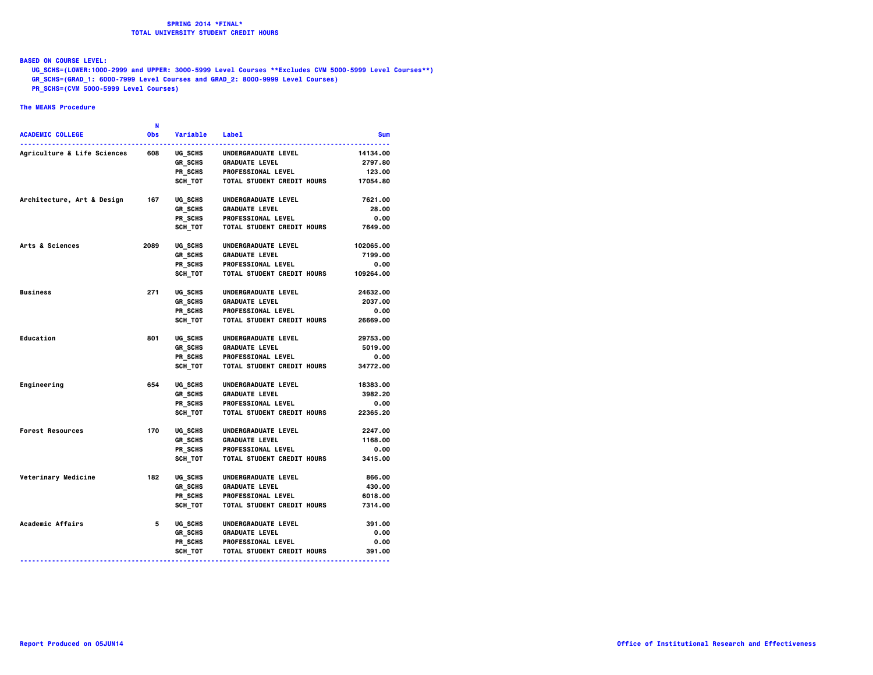### **BASED ON COURSE LEVEL:**

 **UG\_SCHS=(LOWER:1000-2999 and UPPER: 3000-5999 Level Courses \*\*Excludes CVM 5000-5999 Level Courses\*\*)**

- **GR\_SCHS=(GRAD\_1: 6000-7999 Level Courses and GRAD\_2: 8000-9999 Level Courses)**
- **PR\_SCHS=(CVM 5000-5999 Level Courses)**

### **The MEANS Procedure**

| N                                                                               |                                                |
|---------------------------------------------------------------------------------|------------------------------------------------|
| <b>ACADEMIC COLLEGE</b><br>0bs<br>Variable<br><b>Label</b>                      | <b>Sum</b>                                     |
| <b>Agriculture &amp; Life Sciences</b><br>608<br>UG SCHS<br>UNDERGRADUATE LEVEL | 14134.00                                       |
| GR SCHS<br><b>GRADUATE LEVEL</b>                                                | 2797.80                                        |
| PR SCHS<br><b>PROFESSIONAL LEVEL</b>                                            | 123.00                                         |
| <b>SCH TOT</b>                                                                  | <b>TOTAL STUDENT CREDIT HOURS</b><br>17054.80  |
| Architecture, Art & Design<br>167<br>UG SCHS<br>UNDERGRADUATE LEVEL             | 7621.00                                        |
| GR SCHS<br><b>GRADUATE LEVEL</b>                                                | 28.00                                          |
| PR SCHS<br><b>PROFESSIONAL LEVEL</b>                                            | 0.00                                           |
| SCH TOT                                                                         | TOTAL STUDENT CREDIT HOURS<br>7649.00          |
| Arts & Sciences<br>2089<br>UG SCHS<br>UNDERGRADUATE LEVEL                       | 102065.00                                      |
| GR SCHS<br><b>GRADUATE LEVEL</b>                                                | 7199.00                                        |
| PR_SCHS<br><b>PROFESSIONAL LEVEL</b>                                            | 0.00                                           |
| SCH TOT                                                                         | 109264.00<br><b>TOTAL STUDENT CREDIT HOURS</b> |
| <b>Business</b><br>271<br>UG SCHS<br>UNDERGRADUATE LEVEL                        | 24632.00                                       |
| <b>GR SCHS</b><br><b>GRADUATE LEVEL</b>                                         | 2037.00                                        |
| PR SCHS<br><b>PROFESSIONAL LEVEL</b>                                            | 0.00                                           |
| SCH TOT                                                                         | TOTAL STUDENT CREDIT HOURS<br>26669.00         |
| Education<br>801<br>UG SCHS<br>UNDERGRADUATE LEVEL                              | 29753.00                                       |
| GR SCHS<br><b>GRADUATE LEVEL</b>                                                | 5019.00                                        |
| PR SCHS<br><b>PROFESSIONAL LEVEL</b>                                            | 0.00                                           |
| SCH TOT                                                                         | 34772.00<br>TOTAL STUDENT CREDIT HOURS         |
| 654<br>Engineering<br>UG SCHS<br>UNDERGRADUATE LEVEL                            | 18383.00                                       |
| <b>GR SCHS</b><br><b>GRADUATE LEVEL</b>                                         | 3982.20                                        |
| PR SCHS<br><b>PROFESSIONAL LEVEL</b>                                            | 0.00                                           |
| SCH TOT                                                                         | TOTAL STUDENT CREDIT HOURS<br>22365.20         |
| 170<br><b>Forest Resources</b><br>UG SCHS<br>UNDERGRADUATE LEVEL                | 2247.00                                        |
| <b>GR SCHS</b><br><b>GRADUATE LEVEL</b>                                         | 1168.00                                        |
| PR SCHS<br><b>PROFESSIONAL LEVEL</b>                                            | 0.00                                           |
| SCH TOT                                                                         | TOTAL STUDENT CREDIT HOURS<br>3415.00          |
| Veterinary Medicine<br>182<br>UG SCHS<br>UNDERGRADUATE LEVEL                    | 866.00                                         |
| <b>GR SCHS</b><br><b>GRADUATE LEVEL</b>                                         | 430.00                                         |
| PR SCHS<br><b>PROFESSIONAL LEVEL</b>                                            | 6018.00                                        |
| SCH TOT                                                                         | TOTAL STUDENT CREDIT HOURS<br>7314.00          |
| Academic Affairs<br>5<br>UG SCHS<br>UNDERGRADUATE LEVEL                         | 391.00                                         |
| <b>GR SCHS</b><br><b>GRADUATE LEVEL</b>                                         | 0.00                                           |
| PR SCHS<br><b>PROFESSIONAL LEVEL</b>                                            | 0.00                                           |
| SCH TOT                                                                         | <b>TOTAL STUDENT CREDIT HOURS</b><br>391.00    |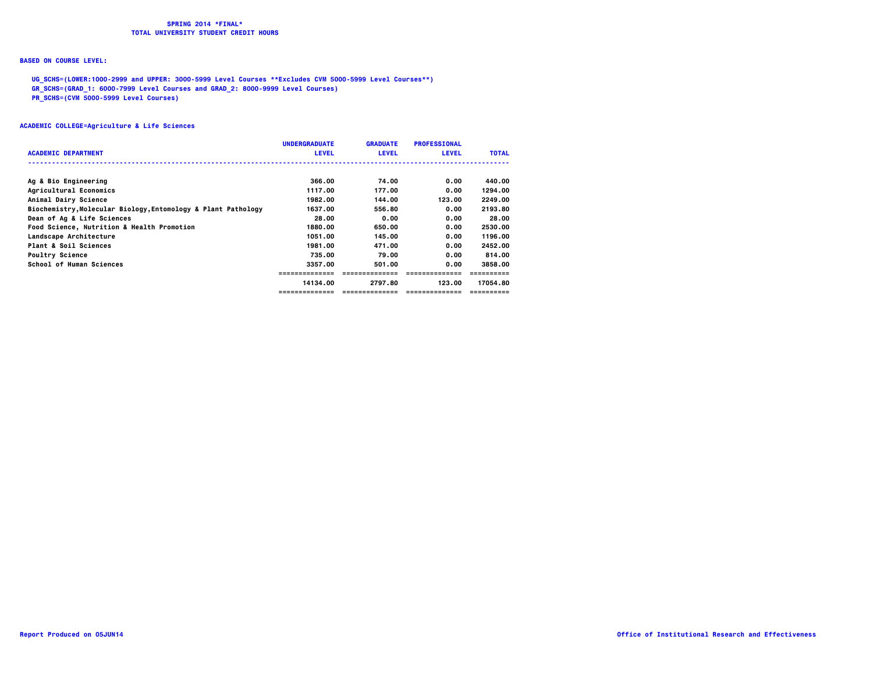### **BASED ON COURSE LEVEL:**

 **UG\_SCHS=(LOWER:1000-2999 and UPPER: 3000-5999 Level Courses \*\*Excludes CVM 5000-5999 Level Courses\*\*)**

 **GR\_SCHS=(GRAD\_1: 6000-7999 Level Courses and GRAD\_2: 8000-9999 Level Courses)**

 **PR\_SCHS=(CVM 5000-5999 Level Courses)**

|                                                               | <b>UNDERGRADUATE</b> | <b>GRADUATE</b> | <b>PROFESSIONAL</b> |              |
|---------------------------------------------------------------|----------------------|-----------------|---------------------|--------------|
| <b>ACADEMIC DEPARTMENT</b>                                    | <b>LEVEL</b>         | <b>LEVEL</b>    | <b>LEVEL</b>        | <b>TOTAL</b> |
|                                                               |                      |                 |                     |              |
| Ag & Bio Engineering                                          | 366.00               | 74.00           | 0.00                | 440.00       |
| Agricultural Economics                                        | 1117.00              | 177.00          | 0.00                | 1294.00      |
| Animal Dairy Science                                          | 1982.00              | 144.00          | 123.00              | 2249.00      |
| Biochemistry, Molecular Biology, Entomology & Plant Pathology | 1637.00              | 556.80          | 0.00                | 2193.80      |
| Dean of Ag & Life Sciences                                    | 28.00                | 0.00            | 0.00                | 28.00        |
| Food Science, Nutrition & Health Promotion                    | 1880.00              | 650.00          | 0.00                | 2530.00      |
| Landscape Architecture                                        | 1051.00              | 145.00          | 0.00                | 1196.00      |
| Plant & Soil Sciences                                         | 1981.00              | 471.00          | 0.00                | 2452.00      |
| <b>Poultry Science</b>                                        | 735.00               | 79.00           | 0.00                | 814.00       |
| School of Human Sciences                                      | 3357.00              | 501.00          | 0.00                | 3858.00      |
|                                                               |                      |                 |                     |              |
|                                                               | 14134.00             | 2797.80         | 123.00              | 17054.80     |
|                                                               |                      |                 |                     |              |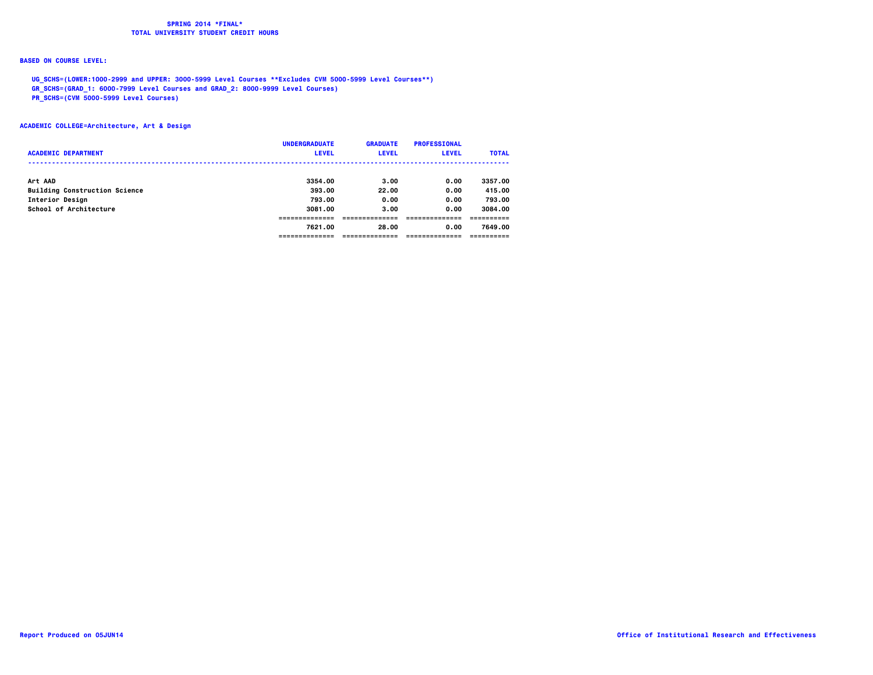## **BASED ON COURSE LEVEL:**

 **UG\_SCHS=(LOWER:1000-2999 and UPPER: 3000-5999 Level Courses \*\*Excludes CVM 5000-5999 Level Courses\*\*)**

 **GR\_SCHS=(GRAD\_1: 6000-7999 Level Courses and GRAD\_2: 8000-9999 Level Courses)**

 **PR\_SCHS=(CVM 5000-5999 Level Courses)**

**ACADEMIC COLLEGE=Architecture, Art & Design**

| <b>ACADEMIC DEPARTMENT</b>                | <b>UNDERGRADUATE</b><br><b>LEVEL</b> | <b>GRADUATE</b><br><b>LEVEL</b> | <b>PROFESSIONAL</b><br><b>LEVEL</b> | <b>TOTAL</b>      |
|-------------------------------------------|--------------------------------------|---------------------------------|-------------------------------------|-------------------|
| Art AAD                                   | 3354.00                              | 3.00                            | 0.00                                | 3357.00           |
| <b>Building Construction Science</b>      | 393.00                               | 22.00                           | 0.00                                | 415.00            |
| Interior Design<br>School of Architecture | 793.00<br>3081.00                    | 0.00<br>3.00                    | 0.00<br>0.00                        | 793.00<br>3084.00 |
|                                           | 7621.00                              | 28.00                           | 0.00                                | 7649.00           |
|                                           |                                      |                                 |                                     |                   |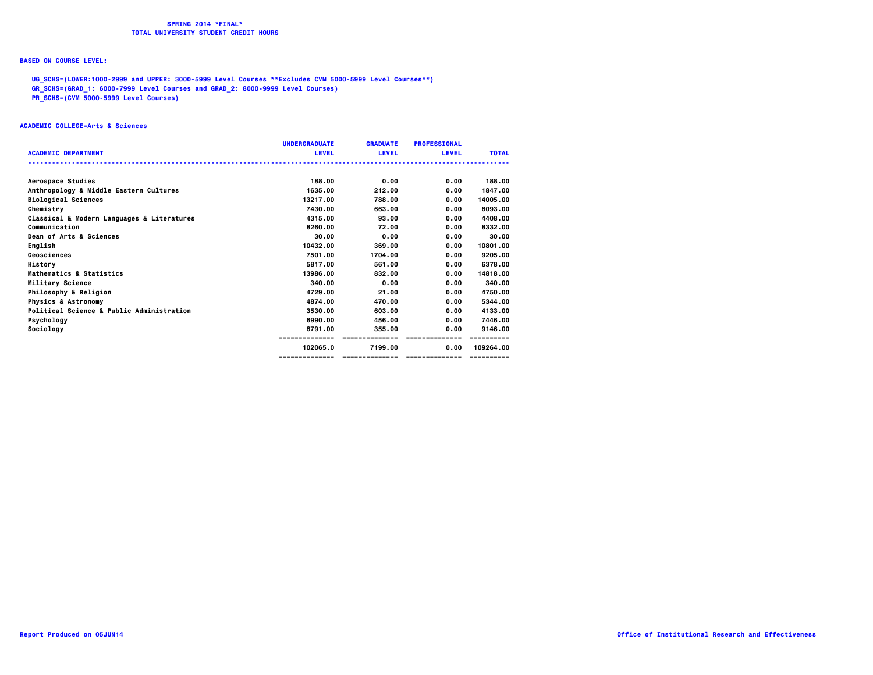## **BASED ON COURSE LEVEL:**

 **UG\_SCHS=(LOWER:1000-2999 and UPPER: 3000-5999 Level Courses \*\*Excludes CVM 5000-5999 Level Courses\*\*)**

 **GR\_SCHS=(GRAD\_1: 6000-7999 Level Courses and GRAD\_2: 8000-9999 Level Courses)**

 **PR\_SCHS=(CVM 5000-5999 Level Courses)**

#### **ACADEMIC COLLEGE=Arts & Sciences**

|                                            | <b>UNDERGRADUATE</b> | <b>GRADUATE</b> | <b>PROFESSIONAL</b> |              |
|--------------------------------------------|----------------------|-----------------|---------------------|--------------|
| <b>ACADEMIC DEPARTMENT</b>                 | <b>LEVEL</b>         | <b>LEVEL</b>    | <b>LEVEL</b>        | <b>TOTAL</b> |
| Aerospace Studies                          | 188.00               | 0.00            | 0.00                | 188.00       |
| Anthropology & Middle Eastern Cultures     | 1635.00              | 212.00          | 0.00                | 1847.00      |
| <b>Biological Sciences</b>                 | 13217.00             | 788.00          | 0.00                | 14005.00     |
| Chemistry                                  | 7430.00              | 663.00          | 0.00                | 8093.00      |
| Classical & Modern Languages & Literatures | 4315.00              | 93.00           | 0.00                | 4408.00      |
| Communication                              | 8260.00              | 72.00           | 0.00                | 8332.00      |
| Dean of Arts & Sciences                    | 30.00                | 0.00            | 0.00                | 30.00        |
| English                                    | 10432.00             | 369,00          | 0.00                | 10801.00     |
| Geosciences                                | 7501.00              | 1704.00         | 0.00                | 9205.00      |
| History                                    | 5817.00              | 561.00          | 0.00                | 6378.00      |
| Mathematics & Statistics                   | 13986.00             | 832.00          | 0.00                | 14818.00     |
| Military Science                           | 340.00               | 0.00            | 0.00                | 340.00       |
| Philosophy & Religion                      | 4729.00              | 21.00           | 0.00                | 4750.00      |
| <b>Physics &amp; Astronomy</b>             | 4874.00              | 470.00          | 0.00                | 5344.00      |
| Political Science & Public Administration  | 3530.00              | 603.00          | 0.00                | 4133.00      |
| Psychology                                 | 6990.00              | 456.00          | 0.00                | 7446.00      |
| Sociology                                  | 8791.00              | 355.00          | 0.00                | 9146.00      |
|                                            | ==============       | ==============  | ==============      | ==========   |
|                                            | 102065.0             | 7199.00         | 0.00                | 109264.00    |
|                                            | ==============       | ==============  | ---------------     | ==========   |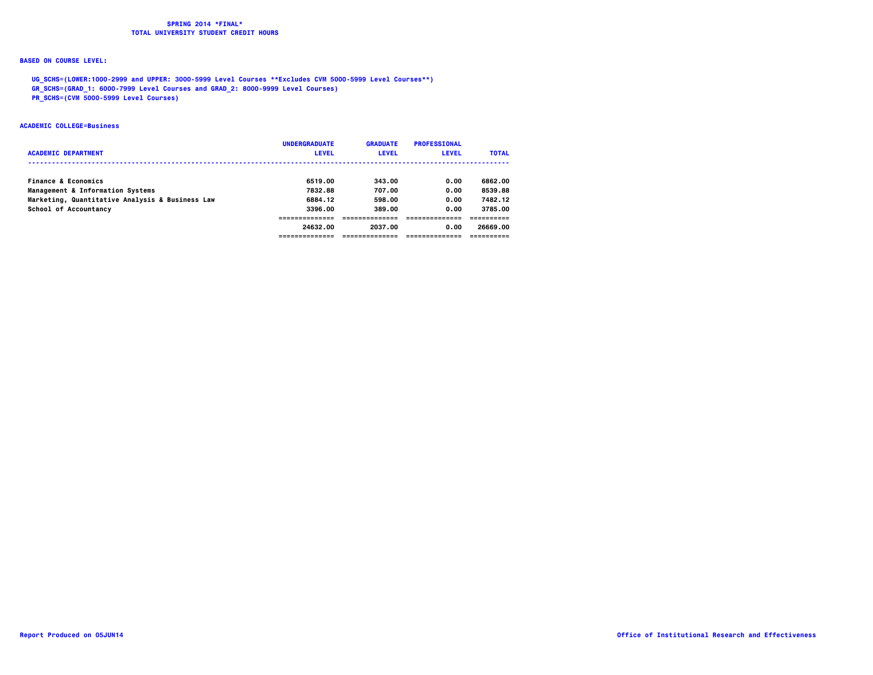## **BASED ON COURSE LEVEL:**

 **UG\_SCHS=(LOWER:1000-2999 and UPPER: 3000-5999 Level Courses \*\*Excludes CVM 5000-5999 Level Courses\*\*)**

 **GR\_SCHS=(GRAD\_1: 6000-7999 Level Courses and GRAD\_2: 8000-9999 Level Courses)**

 **PR\_SCHS=(CVM 5000-5999 Level Courses)**

#### **ACADEMIC COLLEGE=Business**

| <b>ACADEMIC DEPARTMENT</b>                      | <b>UNDERGRADUATE</b><br><b>LEVEL</b> | <b>GRADUATE</b><br><b>LEVEL</b> | <b>PROFESSIONAL</b><br><b>LEVEL</b> | <b>TOTAL</b> |
|-------------------------------------------------|--------------------------------------|---------------------------------|-------------------------------------|--------------|
| <b>Finance &amp; Economics</b>                  | 6519.00                              | 343.00                          | 0.00                                | 6862.00      |
| Management & Information Systems                | 7832.88                              | 707.00                          | 0.00                                | 8539.88      |
| Marketing, Quantitative Analysis & Business Law | 6884.12                              | 598.00                          | 0.00                                | 7482.12      |
| School of Accountancy                           | 3396.00                              | 389.00                          | 0.00                                | 3785.00      |
|                                                 |                                      |                                 |                                     |              |
|                                                 | 24632.00                             | 2037.00                         | 0.00                                | 26669.00     |
|                                                 | ---------------                      |                                 |                                     |              |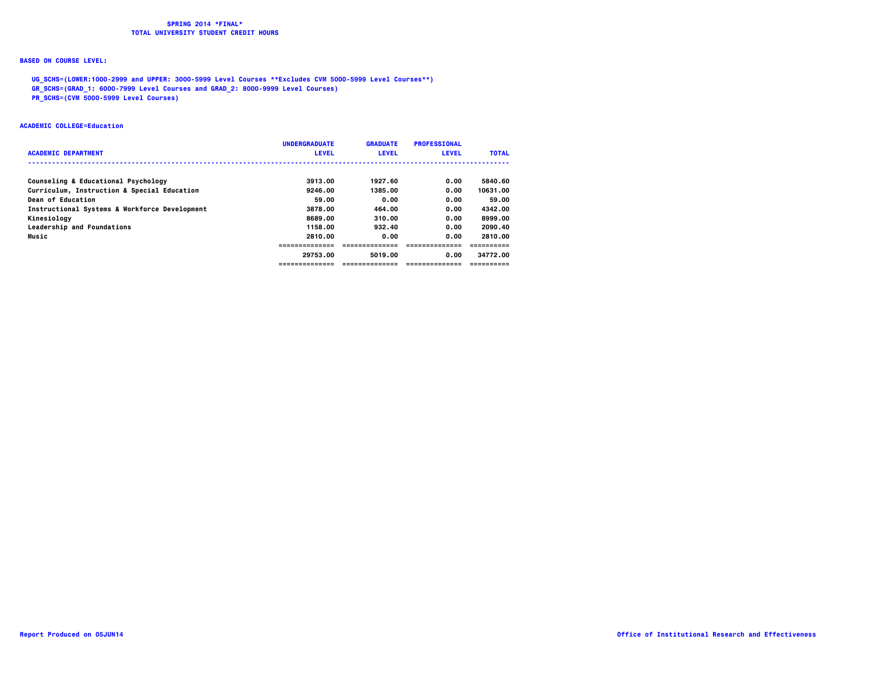## **BASED ON COURSE LEVEL:**

 **UG\_SCHS=(LOWER:1000-2999 and UPPER: 3000-5999 Level Courses \*\*Excludes CVM 5000-5999 Level Courses\*\*)**

 **GR\_SCHS=(GRAD\_1: 6000-7999 Level Courses and GRAD\_2: 8000-9999 Level Courses)**

 **PR\_SCHS=(CVM 5000-5999 Level Courses)**

#### **ACADEMIC COLLEGE=Education**

|                                               | <b>UNDERGRADUATE</b> | <b>GRADUATE</b> | <b>PROFESSIONAL</b> |              |
|-----------------------------------------------|----------------------|-----------------|---------------------|--------------|
| <b>ACADEMIC DEPARTMENT</b>                    | <b>LEVEL</b>         | <b>LEVEL</b>    | <b>LEVEL</b>        | <b>TOTAL</b> |
|                                               |                      |                 |                     |              |
| Counseling & Educational Psychology           | 3913.00              | 1927.60         | 0.00                | 5840.60      |
| Curriculum, Instruction & Special Education   | 9246.00              | 1385.00         | 0.00                | 10631.00     |
| Dean of Education                             | 59.00                | 0.00            | 0.00                | 59.00        |
| Instructional Systems & Workforce Development | 3878.00              | 464.00          | 0.00                | 4342.00      |
| Kinesiology                                   | 8689.00              | 310.00          | 0.00                | 8999.00      |
| Leadership and Foundations                    | 1158.00              | 932.40          | 0.00                | 2090.40      |
| Music                                         | 2810.00              | 0.00            | 0.00                | 2810.00      |
|                                               |                      |                 |                     |              |
|                                               | 29753.00             | 5019.00         | 0.00                | 34772.00     |
|                                               | -------------        | --------------- | ==============      |              |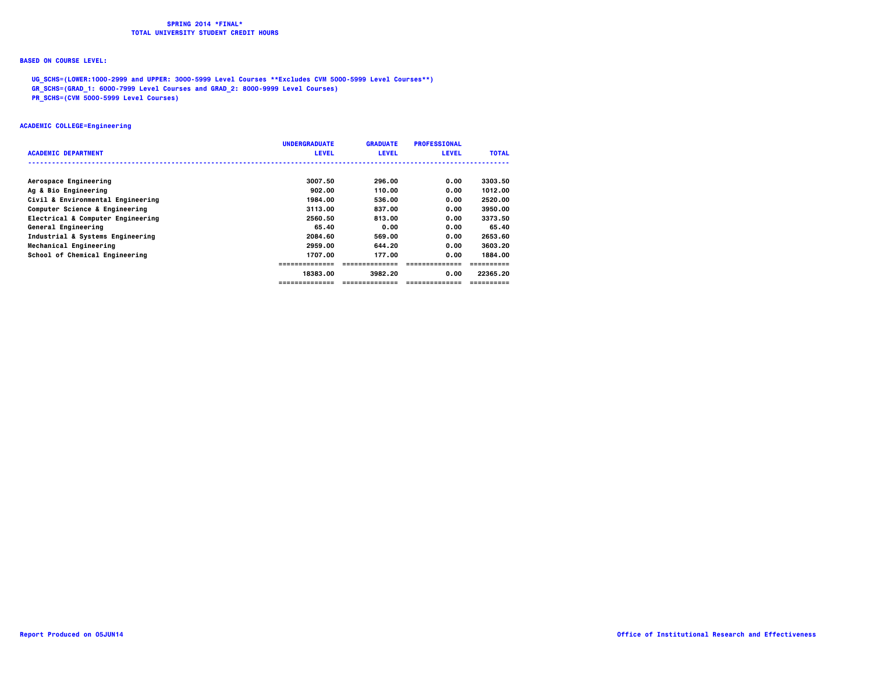### **BASED ON COURSE LEVEL:**

 **UG\_SCHS=(LOWER:1000-2999 and UPPER: 3000-5999 Level Courses \*\*Excludes CVM 5000-5999 Level Courses\*\*)**

 **GR\_SCHS=(GRAD\_1: 6000-7999 Level Courses and GRAD\_2: 8000-9999 Level Courses)**

 **PR\_SCHS=(CVM 5000-5999 Level Courses)**

### **ACADEMIC COLLEGE=Engineering**

|                                   | <b>UNDERGRADUATE</b> | <b>GRADUATE</b> | <b>PROFESSIONAL</b> |              |
|-----------------------------------|----------------------|-----------------|---------------------|--------------|
| <b>ACADEMIC DEPARTMENT</b>        | <b>LEVEL</b>         | <b>LEVEL</b>    | <b>LEVEL</b>        | <b>TOTAL</b> |
|                                   |                      |                 |                     |              |
| Aerospace Engineering             | 3007.50              | 296.00          | 0.00                | 3303.50      |
| Ag & Bio Engineering              | 902.00               | 110.00          | 0.00                | 1012.00      |
| Civil & Environmental Engineering | 1984.00              | 536.00          | 0.00                | 2520.00      |
| Computer Science & Engineering    | 3113.00              | 837.00          | 0.00                | 3950.00      |
| Electrical & Computer Engineering | 2560.50              | 813.00          | 0.00                | 3373.50      |
| General Engineering               | 65.40                | 0.00            | 0.00                | 65.40        |
| Industrial & Systems Engineering  | 2084.60              | 569.00          | 0.00                | 2653.60      |
| Mechanical Engineering            | 2959.00              | 644.20          | 0.00                | 3603.20      |
| School of Chemical Engineering    | 1707.00              | 177.00          | 0.00                | 1884.00      |
|                                   | ---------------      | --------------- | ===============     |              |
|                                   | 18383.00             | 3982.20         | 0.00                | 22365.20     |
|                                   | =============        | =============   | ---------------     | ==========   |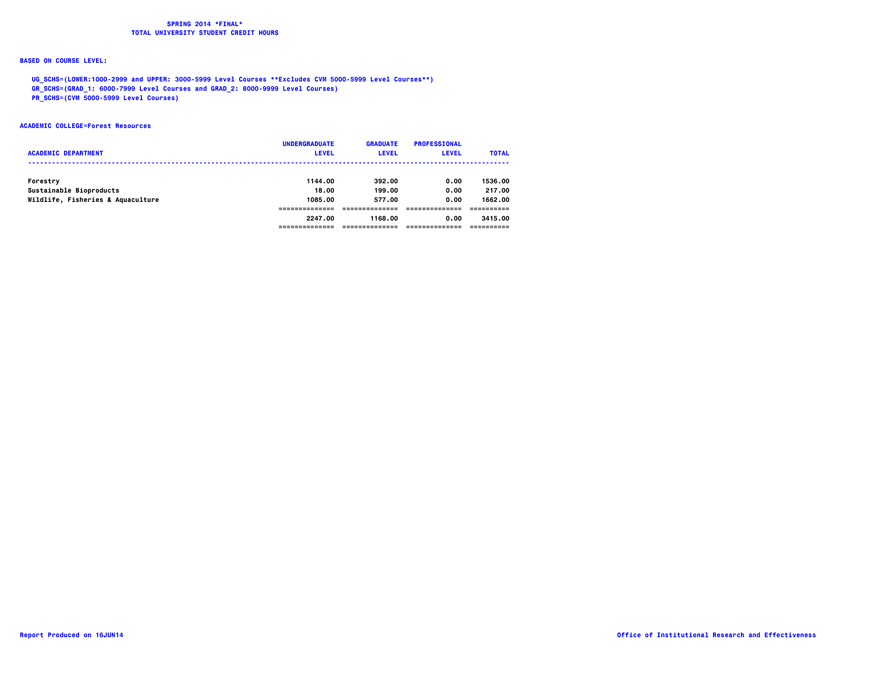## **BASED ON COURSE LEVEL:**

 **UG\_SCHS=(LOWER:1000-2999 and UPPER: 3000-5999 Level Courses \*\*Excludes CVM 5000-5999 Level Courses\*\*)**

 **GR\_SCHS=(GRAD\_1: 6000-7999 Level Courses and GRAD\_2: 8000-9999 Level Courses)**

 **PR\_SCHS=(CVM 5000-5999 Level Courses)**

#### **ACADEMIC COLLEGE=Forest Resources**

| <b>ACADEMIC DEPARTMENT</b>        | <b>UNDERGRADUATE</b><br><b>LEVEL</b> | <b>GRADUATE</b><br><b>LEVEL</b> | <b>PROFESSIONAL</b><br><b>LEVEL</b> | <b>TOTAL</b> |
|-----------------------------------|--------------------------------------|---------------------------------|-------------------------------------|--------------|
| Forestry                          | 1144.00                              | 392.00                          | 0.00                                | 1536.00      |
| Sustainable Bioproducts           | 18.00                                | 199.00                          | 0.00                                | 217.00       |
| Wildlife, Fisheries & Aquaculture | 1085.00                              | 577.00                          | 0.00                                | 1662.00      |
|                                   |                                      |                                 |                                     |              |
|                                   | 2247.00                              | 1168.00                         | 0.00                                | 3415.00      |
|                                   |                                      |                                 |                                     |              |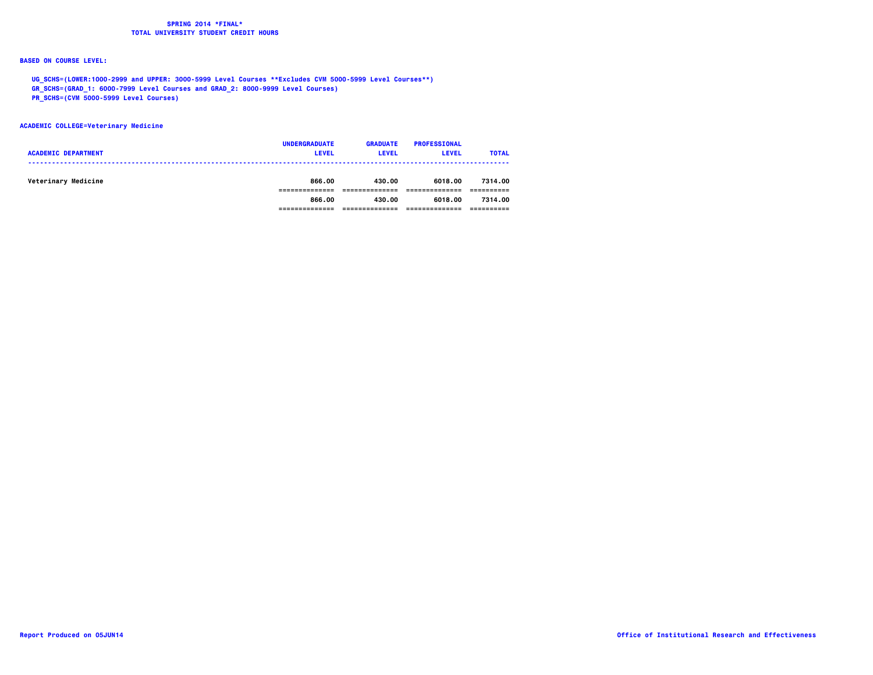## **BASED ON COURSE LEVEL:**

 **UG\_SCHS=(LOWER:1000-2999 and UPPER: 3000-5999 Level Courses \*\*Excludes CVM 5000-5999 Level Courses\*\*)**

 **GR\_SCHS=(GRAD\_1: 6000-7999 Level Courses and GRAD\_2: 8000-9999 Level Courses)**

 **PR\_SCHS=(CVM 5000-5999 Level Courses)**

### **ACADEMIC COLLEGE=Veterinary Medicine**

| <b>ACADEMIC DEPARTMENT</b> | <b>UNDERGRADUATE</b><br><b>LEVEL</b> | <b>GRADUATE</b><br><b>LEVEL</b> | <b>PROFESSIONAL</b><br><b>LEVEL</b> | <b>TOTAL</b> |
|----------------------------|--------------------------------------|---------------------------------|-------------------------------------|--------------|
| Veterinary Medicine        | 866.00                               | 430.00                          | 6018.00                             | 7314.00      |
|                            | 866.00                               | 430.00                          | 6018.00                             | 7314.00      |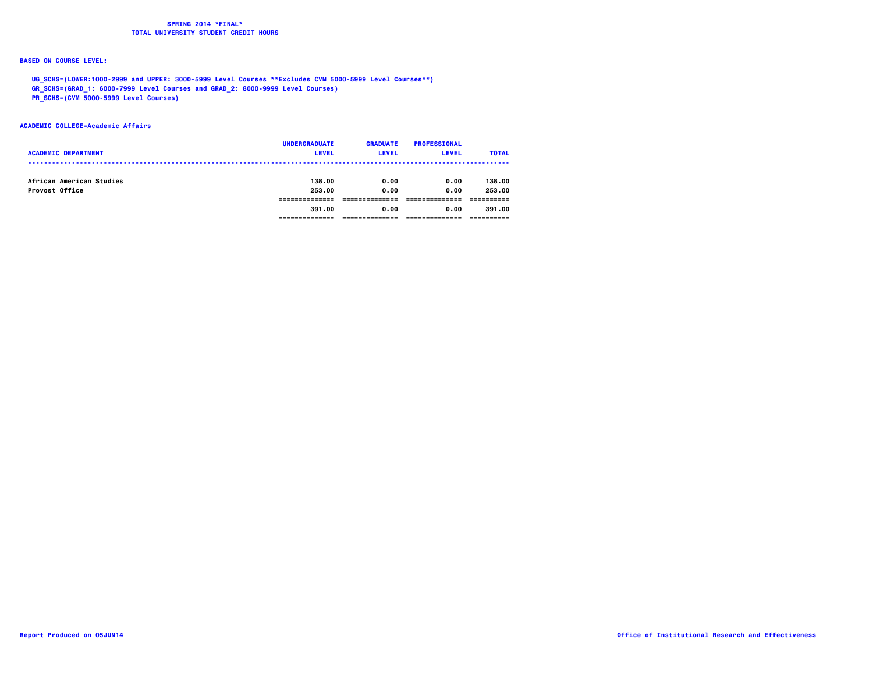## **BASED ON COURSE LEVEL:**

 **UG\_SCHS=(LOWER:1000-2999 and UPPER: 3000-5999 Level Courses \*\*Excludes CVM 5000-5999 Level Courses\*\*)**

 **GR\_SCHS=(GRAD\_1: 6000-7999 Level Courses and GRAD\_2: 8000-9999 Level Courses)**

 **PR\_SCHS=(CVM 5000-5999 Level Courses)**

#### **ACADEMIC COLLEGE=Academic Affairs**

| <b>ACADEMIC DEPARTMENT</b>                 | <b>UNDERGRADUATE</b><br><b>LEVEL</b> | <b>GRADUATE</b><br><b>LEVEL</b> | <b>PROFESSIONAL</b><br><b>LEVEL</b> | <b>TOTAL</b>     |
|--------------------------------------------|--------------------------------------|---------------------------------|-------------------------------------|------------------|
| African American Studies<br>Provost Office | 138,00<br>253.00                     | 0.00<br>0.00                    | 0.00<br>0.00                        | 138.00<br>253.00 |
|                                            | 391.00                               | 0.00                            | 0.00                                | 391.00           |
|                                            |                                      |                                 |                                     |                  |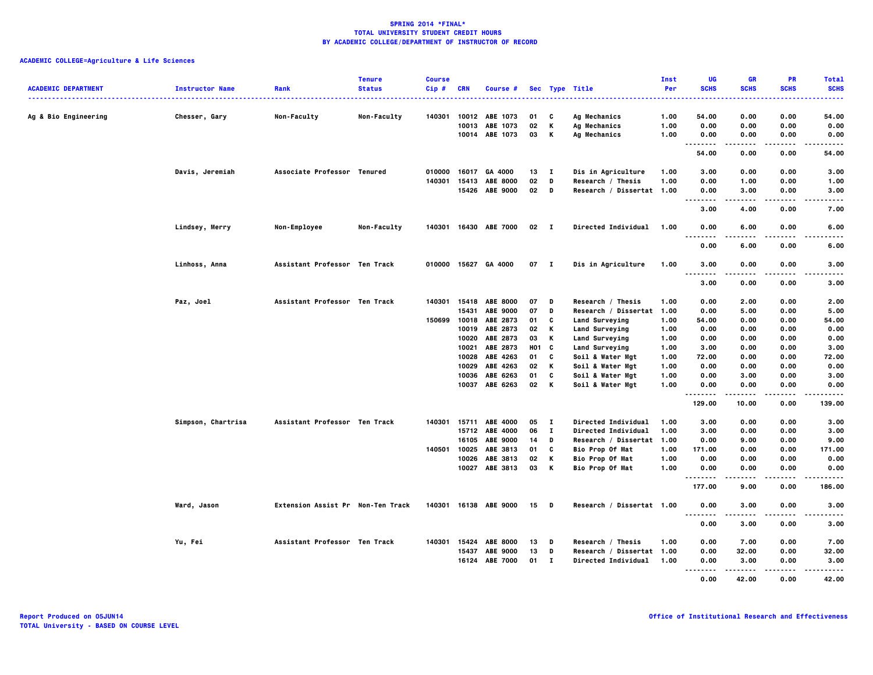|                            |                        |                                   | <b>Tenure</b> | <b>Course</b> |              |                       |              |                |                           | Inst | UG               | <b>GR</b>     | PR                | <b>Total</b>     |
|----------------------------|------------------------|-----------------------------------|---------------|---------------|--------------|-----------------------|--------------|----------------|---------------------------|------|------------------|---------------|-------------------|------------------|
| <b>ACADEMIC DEPARTMENT</b> | <b>Instructor Name</b> | Rank                              | <b>Status</b> | Cip#          | <b>CRN</b>   | Course #              |              |                | Sec Type Title            | Per  | <b>SCHS</b>      | <b>SCHS</b>   | <b>SCHS</b>       | <b>SCHS</b><br>. |
| Ag & Bio Engineering       | Chesser, Gary          | <b>Non-Faculty</b>                | Non-Faculty   | 140301        | 10012        | ABE 1073              | 01           | C              | Ag Mechanics              | 1.00 | 54.00            | 0.00          | 0.00              | 54.00            |
|                            |                        |                                   |               |               | 10013        | ABE 1073              | 02           | К              | Ag Mechanics              | 1.00 | 0.00             | 0.00          | 0.00              | 0.00             |
|                            |                        |                                   |               |               |              | 10014 ABE 1073        | 03           | K              | Ag Mechanics              | 1.00 | 0.00             | 0.00          | 0.00              | 0.00             |
|                            |                        |                                   |               |               |              |                       |              |                |                           |      | .                | .             | .                 | $- - - - -$      |
|                            |                        |                                   |               |               |              |                       |              |                |                           |      | 54.00            | 0.00          | 0.00              | 54.00            |
|                            | Davis, Jeremiah        | Associate Professor Tenured       |               | 010000        | 16017        | GA 4000               | 13           | $\blacksquare$ | Dis in Agriculture        | 1.00 | 3.00             | 0.00          | 0.00              | 3.00             |
|                            |                        |                                   |               | 140301        | 15413        | <b>ABE 8000</b>       | 02           | D              | Research / Thesis         | 1.00 | 0.00             | 1.00          | 0.00              | 1.00             |
|                            |                        |                                   |               |               |              | 15426 ABE 9000        | 02           | D              | Research / Dissertat 1.00 |      | 0.00<br><u>.</u> | 3.00<br>.     | 0.00<br>$- - - -$ | 3.00<br>-----    |
|                            |                        |                                   |               |               |              |                       |              |                |                           |      | 3.00             | 4.00          | 0.00              | 7.00             |
|                            | Lindsey, Merry         | Non-Employee                      | Non-Faculty   | 140301        |              | 16430 ABE 7000        | $02 \quad I$ |                | Directed Individual       | 1.00 | 0.00<br>.        | 6.00<br>.     | 0.00<br>$- - - -$ | 6.00<br>-----    |
|                            |                        |                                   |               |               |              |                       |              |                |                           |      | 0.00             | 6.00          | 0.00              | 6.00             |
|                            | Linhoss, Anna          | Assistant Professor Ten Track     |               |               |              | 010000 15627 GA 4000  | $07$ I       |                | Dis in Agriculture        | 1.00 | 3.00<br>.        | 0.00          | 0.00              | 3.00             |
|                            |                        |                                   |               |               |              |                       |              |                |                           |      | 3.00             | 0.00          | 0.00              | 3.00             |
|                            | Paz, Joel              | Assistant Professor Ten Track     |               |               |              | 140301 15418 ABE 8000 | 07           | D              | Research / Thesis         | 1.00 | 0.00             | 2.00          | 0.00              | 2.00             |
|                            |                        |                                   |               |               | 15431        | ABE 9000              | 07           | D              | Research / Dissertat      | 1.00 | 0.00             | 5.00          | 0.00              | 5.00             |
|                            |                        |                                   |               | 150699        | 10018        | ABE 2873              | 01           | C              | Land Surveying            | 1.00 | 54.00            | 0.00          | 0.00              | 54.00            |
|                            |                        |                                   |               |               | 10019        | ABE 2873              | 02           | K              | Land Surveying            | 1.00 | 0.00             | 0.00          | 0.00              | 0.00             |
|                            |                        |                                   |               |               | 10020        | ABE 2873              | 03           | К              | Land Surveying            | 1.00 | 0.00             | 0.00          | 0.00              | 0.00             |
|                            |                        |                                   |               |               | 10021        | ABE 2873              | H01 C        |                | Land Surveying            | 1.00 | 3.00             | 0.00          | 0.00              | 3.00             |
|                            |                        |                                   |               |               | 10028        | ABE 4263              | 01           | C              | Soil & Water Mgt          | 1.00 | 72.00            | 0.00          | 0.00              | 72.00            |
|                            |                        |                                   |               |               | 10029        | ABE 4263              | 02           | К              | Soil & Water Mgt          | 1.00 | 0.00             | 0.00          | 0.00              | 0.00             |
|                            |                        |                                   |               |               | 10036        | ABE 6263              | 01           | C              | Soil & Water Mgt          | 1.00 | 0.00             | 3.00          | 0.00              | 3.00             |
|                            |                        |                                   |               |               |              | 10037 ABE 6263        | 02           | K              | Soil & Water Mgt          | 1.00 | 0.00<br>.        | 0.00<br>.     | 0.00<br>$- - - -$ | 0.00<br>-----    |
|                            |                        |                                   |               |               |              |                       |              |                |                           |      | 129.00           | 10.00         | 0.00              | 139.00           |
|                            | Simpson, Chartrisa     | Assistant Professor Ten Track     |               |               | 140301 15711 | ABE 4000              | 05           | $\mathbf{I}$   | Directed Individual       | 1.00 | 3.00             | 0.00          | 0.00              | 3.00             |
|                            |                        |                                   |               |               |              | 15712 ABE 4000        | 06           | $\mathbf{I}$   | Directed Individual       | 1.00 | 3.00             | 0.00          | 0.00              | 3.00             |
|                            |                        |                                   |               |               | 16105        | <b>ABE 9000</b>       | 14           | D              | Research / Dissertat 1.00 |      | 0.00             | 9.00          | 0.00              | 9.00             |
|                            |                        |                                   |               | 140501        | 10025        | ABE 3813              | 01           | C              | Bio Prop Of Mat           | 1.00 | 171.00           | 0.00          | 0.00              | 171.00           |
|                            |                        |                                   |               |               | 10026        | ABE 3813              | 02           | К              | <b>Bio Prop Of Mat</b>    | 1.00 | 0.00             | 0.00          | 0.00              | 0.00             |
|                            |                        |                                   |               |               | 10027        | ABE 3813              | 03           | К              | Bio Prop Of Mat           | 1.00 | 0.00<br><b>.</b> | 0.00          | 0.00              | 0.00<br>.        |
|                            |                        |                                   |               |               |              |                       |              |                |                           |      | 177.00           | 9.00          | 0.00              | 186.00           |
|                            | Ward, Jason            | Extension Assist Pr Non-Ten Track |               |               |              | 140301 16138 ABE 9000 | 15           | <b>D</b>       | Research / Dissertat 1.00 |      | 0.00<br>.        | 3.00<br>.     | 0.00<br>.         | 3.00<br>-----    |
|                            |                        |                                   |               |               |              |                       |              |                |                           |      | 0.00             | 3.00          | 0.00              | 3.00             |
|                            | Yu, Fei                | Assistant Professor Ten Track     |               | 140301        | 15424        | <b>ABE 8000</b>       | 13           | D              | Research / Thesis         | 1.00 | 0.00             | 7.00          | 0.00              | 7.00             |
|                            |                        |                                   |               |               | 15437        | <b>ABE 9000</b>       | 13           | D              | Research / Dissertat 1.00 |      | 0.00             | 32.00         | 0.00              | 32.00            |
|                            |                        |                                   |               |               | 16124        | <b>ABE 7000</b>       | 01           | - 1            | Directed Individual       | 1.00 | 0.00<br>.        | 3.00<br>----- | 0.00<br>$- - - -$ | 3.00<br>.        |
|                            |                        |                                   |               |               |              |                       |              |                |                           |      | 0.00             | 42.00         | 0.00              | 42.00            |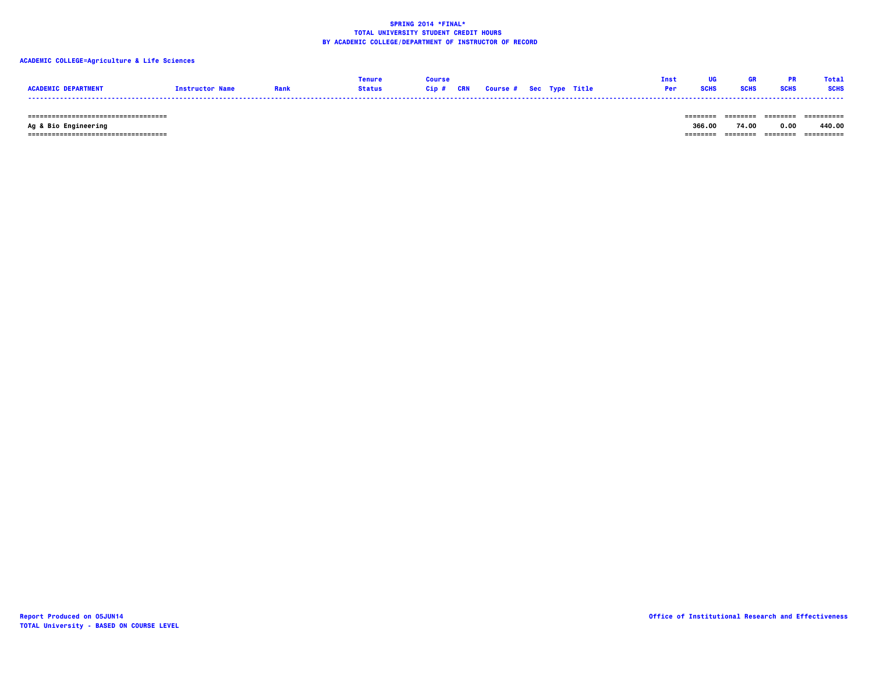## **ACADEMIC COLLEGE=Agriculture & Life Sciences**

|                 |                       |               |      |            |                                |  | Ins        |      | Tota        |
|-----------------|-----------------------|---------------|------|------------|--------------------------------|--|------------|------|-------------|
| <b>ACADEMIC</b> | <b>Tnstructor Nam</b> | <b>Status</b> | Gip# | <b>CRN</b> | <b>Course # Sec Type Title</b> |  | <b>Per</b> | SCHS | <b>SCHS</b> |
|                 |                       |               |      |            |                                |  |            |      |             |

 **=================================== ======== ======== ======== ==========**

 **=================================== ======== ======== ======== ==========**

 **Ag & Bio Engineering 366.00 74.00 0.00 440.00**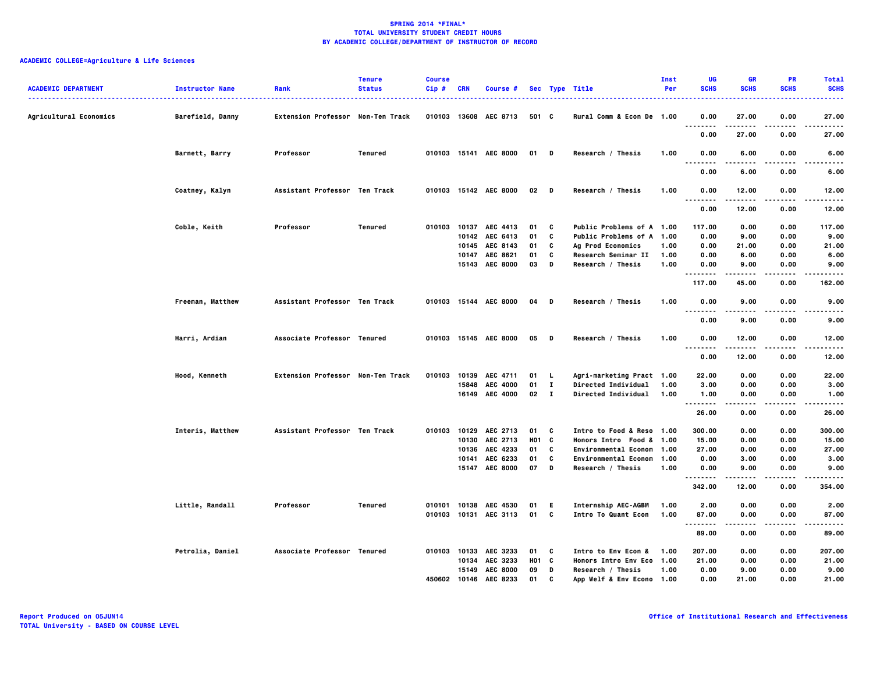| <b>ACADEMIC DEPARTMENT</b> | <b>Instructor Name</b> | Rank                              | <b>Tenure</b><br><b>Status</b> | <b>Course</b><br>$Cip$ # | CRN   | Course #              |                   |              | Sec Type Title                   | Inst<br>Per | UG<br><b>SCHS</b>                 | <b>GR</b><br><b>SCHS</b> | <b>PR</b><br><b>SCHS</b> | <b>Total</b><br><b>SCHS</b><br>. |
|----------------------------|------------------------|-----------------------------------|--------------------------------|--------------------------|-------|-----------------------|-------------------|--------------|----------------------------------|-------------|-----------------------------------|--------------------------|--------------------------|----------------------------------|
| Agricultural Economics     | Barefield, Danny       | Extension Professor Non-Ten Track |                                |                          |       | 010103 13608 AEC 8713 | 501 C             |              | Rural Comm & Econ De 1.00        |             | 0.00<br>                          | 27.00<br>.               | 0.00<br>.                | 27.00<br>.                       |
|                            |                        |                                   |                                |                          |       |                       |                   |              |                                  |             | 0.00                              | 27.00                    | 0.00                     | 27.00                            |
|                            | Barnett, Barry         | Professor                         | Tenured                        |                          |       | 010103 15141 AEC 8000 | 01 D              |              | Research / Thesis                | 1.00        | 0.00<br>$\sim$ $\sim$ $\sim$      | 6.00                     | 0.00                     | 6.00                             |
|                            |                        |                                   |                                |                          |       |                       |                   |              |                                  |             | 0.00                              | 6.00                     | 0.00                     | 6.00                             |
|                            | Coatney, Kalyn         | Assistant Professor Ten Track     |                                |                          |       | 010103 15142 AEC 8000 | $02$ D            |              | Research / Thesis                | 1.00        | 0.00<br><br>.                     | 12.00<br>.               | 0.00<br>.                | 12.00<br>.                       |
|                            |                        |                                   |                                |                          |       |                       |                   |              |                                  |             | 0.00                              | 12.00                    | 0.00                     | 12.00                            |
|                            | Coble, Keith           | Professor                         | Tenured                        | 010103                   |       | 10137 AEC 4413        | 01                | C            | Public Problems of A 1.00        |             | 117.00                            | 0.00                     | 0.00                     | 117.00                           |
|                            |                        |                                   |                                |                          |       | 10142 AEC 6413        | 01                | C            | Public Problems of A 1.00        |             | 0.00                              | 9.00                     | 0.00                     | 9.00                             |
|                            |                        |                                   |                                |                          |       | 10145 AEC 8143        | 01                | C            | <b>Ag Prod Economics</b>         | 1.00        | 0.00                              | 21.00                    | 0.00                     | 21.00                            |
|                            |                        |                                   |                                |                          | 10147 | AEC 8621              | 01                | C            | Research Seminar II              | 1.00        | 0.00                              | 6.00                     | 0.00                     | 6.00                             |
|                            |                        |                                   |                                |                          |       | 15143 AEC 8000        | 03                | D            | Research / Thesis                | 1.00        | 0.00<br>                          | 9.00<br>.                | 0.00<br>----             | 9.00<br>----                     |
|                            |                        |                                   |                                |                          |       |                       |                   |              |                                  |             | 117.00                            | 45.00                    | 0.00                     | 162.00                           |
|                            | Freeman, Matthew       | Assistant Professor Ten Track     |                                |                          |       | 010103 15144 AEC 8000 | 04                | D            | Research / Thesis                | 1.00        | 0.00<br>.                         | 9.00<br>-----            | 0.00<br>$- - - -$        | 9.00<br>----                     |
|                            |                        |                                   |                                |                          |       |                       |                   |              |                                  |             | 0.00                              | 9.00                     | 0.00                     | 9.00                             |
|                            | Harri, Ardian          | Associate Professor Tenured       |                                |                          |       | 010103 15145 AEC 8000 | 05                | D            | Research / Thesis                | 1.00        | 0.00<br>$\sim$ $\sim$ $\sim$<br>. | 12.00                    | 0.00                     | 12.00                            |
|                            |                        |                                   |                                |                          |       |                       |                   |              |                                  |             | 0.00                              | 12.00                    | 0.00                     | 12.00                            |
|                            | Hood, Kenneth          | Extension Professor Non-Ten Track |                                |                          |       | 010103 10139 AEC 4711 | 01 L              |              | Agri-marketing Pract 1.00        |             | 22.00                             | 0.00                     | 0.00                     | 22.00                            |
|                            |                        |                                   |                                |                          | 15848 | <b>AEC 4000</b>       | 01                | $\mathbf{I}$ | <b>Directed Individual</b>       | 1.00        | 3.00                              | 0.00                     | 0.00                     | 3.00                             |
|                            |                        |                                   |                                |                          |       | 16149 AEC 4000        | $02 \quad 1$      |              | <b>Directed Individual</b>       | 1.00        | 1.00<br>.                         | 0.00<br>-----            | 0.00<br>.                | 1.00<br>.                        |
|                            |                        |                                   |                                |                          |       |                       |                   |              |                                  |             | 26.00                             | 0.00                     | 0.00                     | 26.00                            |
|                            | Interis, Matthew       | Assistant Professor Ten Track     |                                |                          |       | 010103 10129 AEC 2713 | $01 \quad C$      |              | Intro to Food & Reso 1.00        |             | 300.00                            | 0.00                     | 0.00                     | 300.00                           |
|                            |                        |                                   |                                |                          |       | 10130 AEC 2713        | H01 C             |              | Honors Intro Food & 1.00         |             | 15.00                             | 0.00                     | 0.00                     | 15.00                            |
|                            |                        |                                   |                                |                          |       | 10136 AEC 4233        | 01                | c            | <b>Environmental Econom 1.00</b> |             | 27.00                             | 0.00                     | 0.00                     | 27.00                            |
|                            |                        |                                   |                                |                          |       | 10141 AEC 6233        | 01                | C            | Environmental Econom 1.00        |             | 0.00                              | 3.00                     | 0.00                     | 3.00                             |
|                            |                        |                                   |                                |                          |       | 15147 AEC 8000        | 07                | D            | Research / Thesis                | 1.00        | 0.00<br>.                         | 9.00                     | 0.00                     | 9.00<br>.                        |
|                            |                        |                                   |                                |                          |       |                       |                   |              |                                  |             | 342.00                            | 12.00                    | 0.00                     | 354.00                           |
|                            | Little, Randall        | Professor                         | Tenured                        |                          |       | 010101 10138 AEC 4530 | 01 E              |              | Internship AEC-AGBM              | 1.00        | 2.00                              | 0.00                     | 0.00                     | 2.00                             |
|                            |                        |                                   |                                |                          |       | 010103 10131 AEC 3113 | 01                | C            | Intro To Quant Econ              | 1.00        | 87.00<br>$- - -$<br>.             | 0.00                     | 0.00                     | 87.00<br>.                       |
|                            |                        |                                   |                                |                          |       |                       |                   |              |                                  |             | 89.00                             | 0.00                     | 0.00                     | 89.00                            |
|                            | Petrolia, Daniel       | Associate Professor Tenured       |                                |                          |       | 010103 10133 AEC 3233 | 01 C              |              | Intro to Env Econ &              | 1.00        | 207.00                            | 0.00                     | 0.00                     | 207.00                           |
|                            |                        |                                   |                                |                          |       | 10134 AEC 3233        | H <sub>01</sub> C |              | Honors Intro Env Eco 1.00        |             | 21.00                             | 0.00                     | 0.00                     | 21.00                            |
|                            |                        |                                   |                                |                          |       | 15149 AEC 8000        | 09                | D            | Research / Thesis                | 1.00        | 0.00                              | 9.00                     | 0.00                     | 9.00                             |
|                            |                        |                                   |                                |                          |       | 450602 10146 AEC 8233 | 01                | C            | App Welf & Env Econo 1.00        |             | 0.00                              | 21.00                    | 0.00                     | 21.00                            |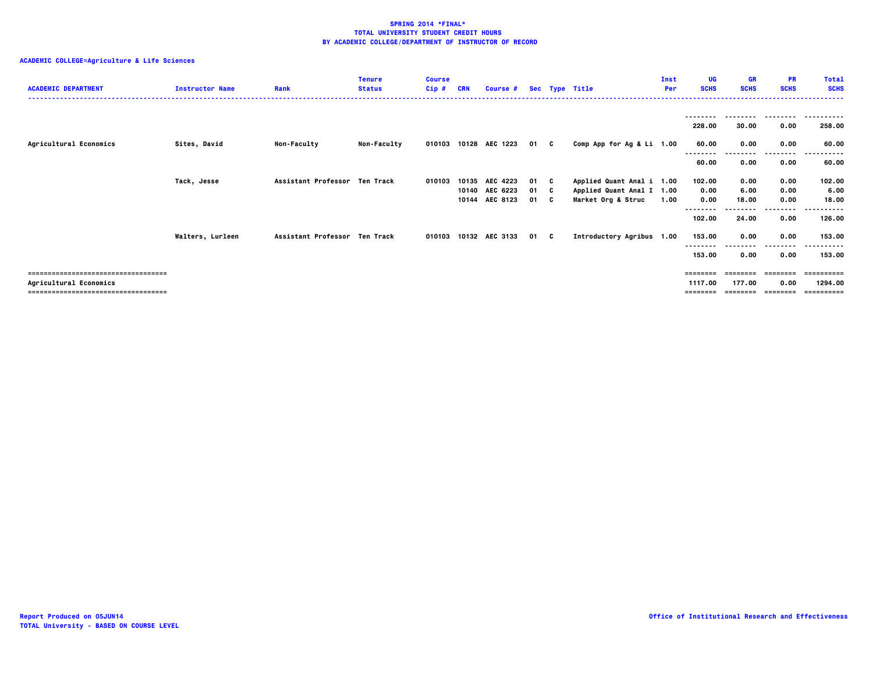| <b>ACADEMIC DEPARTMENT</b>           | <b>Instructor Name</b>  | Rank                          | <b>Tenure</b><br><b>Status</b> | <b>Course</b><br>Cip# |       | Course #              |      |   | Sec Type Title            | Inst<br>Per | UG.<br><b>SCHS</b> | GR<br><b>SCHS</b> | <b>PR</b><br><b>SCHS</b> | <b>Total</b><br><b>SCHS</b> |
|--------------------------------------|-------------------------|-------------------------------|--------------------------------|-----------------------|-------|-----------------------|------|---|---------------------------|-------------|--------------------|-------------------|--------------------------|-----------------------------|
|                                      |                         |                               |                                |                       |       |                       |      |   |                           |             | --------           | --------          | ---------                | - - - - - - -               |
|                                      |                         |                               |                                |                       |       |                       |      |   |                           |             | 228.00             | 30.00             | 0.00                     | 258.00                      |
| Agricultural Economics               | Sites, David            | <b>Non-Faculty</b>            | <b>Non-Faculty</b>             |                       |       | 010103 10128 AEC 1223 | 01 C |   | Comp App for Ag & Li 1.00 |             | 60.00<br>--------  | 0.00              | 0.00<br>--------         | 60.00                       |
|                                      |                         |                               |                                |                       |       |                       |      |   |                           |             | 60.00              | 0.00              | 0.00                     | 60.00                       |
|                                      | Tack, Jesse             | Assistant Professor Ten Track |                                | 010103                | 10135 | <b>AEC 4223</b>       | 01 C |   | Applied Quant Anal i 1.00 |             | 102.00             | 0.00              | 0.00                     | 102.00                      |
|                                      |                         |                               |                                |                       |       | 10140 AEC 6223        | 01 C |   | Applied Quant Anal I 1.00 |             | 0.00               | 6.00              | 0.00                     | 6.00                        |
|                                      |                         |                               |                                |                       |       | 10144 AEC 8123        | 01   | C | Market Org & Struc        | 1.00        | 0.00               | 18.00             | 0.00                     | 18.00                       |
|                                      |                         |                               |                                |                       |       |                       |      |   |                           |             | --------           |                   | .                        |                             |
|                                      |                         |                               |                                |                       |       |                       |      |   |                           |             | 102.00             | 24.00             | 0.00                     | 126.00                      |
|                                      | <b>Walters, Lurleen</b> | Assistant Professor Ten Track |                                |                       |       | 010103 10132 AEC 3133 | 01 C |   | Introductory Agribus 1.00 |             | 153.00             | 0.00              | 0.00                     | 153.00                      |
|                                      |                         |                               |                                |                       |       |                       |      |   |                           |             | --------           |                   | ----                     |                             |
|                                      |                         |                               |                                |                       |       |                       |      |   |                           |             | 153.00             | 0.00              | 0.00                     | 153.00                      |
|                                      |                         |                               |                                |                       |       |                       |      |   |                           |             |                    |                   |                          |                             |
| ==================================== |                         |                               |                                |                       |       |                       |      |   |                           |             | ========           |                   |                          | =========                   |
| Agricultural Economics               |                         |                               |                                |                       |       |                       |      |   |                           |             | 1117.00            | 177.00            | 0.00                     | 1294.00                     |
| ==================================== |                         |                               |                                |                       |       |                       |      |   |                           |             | ---------          |                   | ---------                | ==========                  |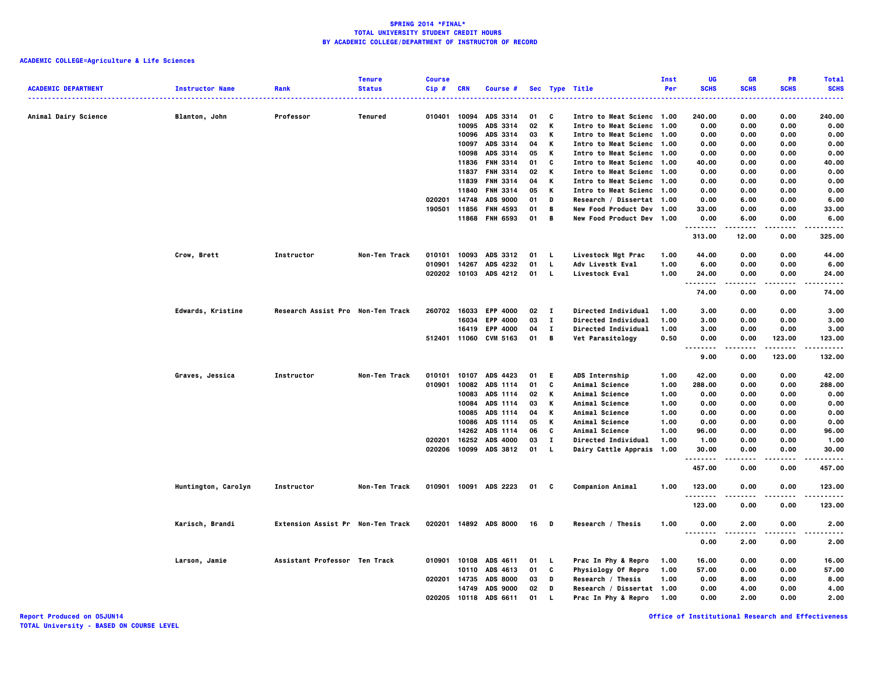# **ACADEMIC COLLEGE=Agriculture & Life Sciences**

| <b>ACADEMIC DEPARTMENT</b> | <b>Instructor Name</b> | Rank                              | <b>Tenure</b><br><b>Status</b> | <b>Course</b><br>Cip# | <b>CRN</b> | Course #              |      |              | Sec Type Title             | Inst<br>Per | UG<br><b>SCHS</b>                             | <b>GR</b><br><b>SCHS</b> | <b>PR</b><br><b>SCHS</b> | <b>Total</b><br><b>SCHS</b> |
|----------------------------|------------------------|-----------------------------------|--------------------------------|-----------------------|------------|-----------------------|------|--------------|----------------------------|-------------|-----------------------------------------------|--------------------------|--------------------------|-----------------------------|
|                            |                        |                                   |                                |                       |            |                       |      |              | .                          |             |                                               |                          |                          | $- - - -$                   |
| Animal Dairy Science       | Blanton, John          | Professor                         | Tenured                        | 010401                | 10094      | ADS 3314              | 01   | C            | Intro to Meat Scienc 1.00  |             | 240.00                                        | 0.00                     | 0.00                     | 240.00                      |
|                            |                        |                                   |                                |                       | 10095      | ADS 3314              | 02   | K            | Intro to Meat Scienc 1.00  |             | 0.00                                          | 0.00                     | 0.00                     | 0.00                        |
|                            |                        |                                   |                                |                       | 10096      | ADS 3314              | 03   | Κ            | Intro to Meat Scienc 1.00  |             | 0.00                                          | 0.00                     | 0.00                     | 0.00                        |
|                            |                        |                                   |                                |                       | 10097      | ADS 3314              | 04   | К            | Intro to Meat Scienc 1.00  |             | 0.00                                          | 0.00                     | 0.00                     | 0.00                        |
|                            |                        |                                   |                                |                       | 10098      | ADS 3314              | 05   | K            | Intro to Meat Scienc 1.00  |             | 0.00                                          | 0.00                     | 0.00                     | 0.00                        |
|                            |                        |                                   |                                |                       | 11836      | <b>FNH 3314</b>       | 01   | C            | Intro to Meat Scienc 1.00  |             | 40.00                                         | 0.00                     | 0.00                     | 40.00                       |
|                            |                        |                                   |                                |                       |            | 11837 FNH 3314        | 02   | К            | Intro to Meat Scienc 1.00  |             | 0.00                                          | 0.00                     | 0.00                     | 0.00                        |
|                            |                        |                                   |                                |                       | 11839      | <b>FNH 3314</b>       | 04   | К            | Intro to Meat Scienc 1.00  |             | 0.00                                          | 0.00                     | 0.00                     | 0.00                        |
|                            |                        |                                   |                                |                       | 11840      | <b>FNH 3314</b>       | 05   | К            | Intro to Meat Scienc 1.00  |             | 0.00                                          | 0.00                     | 0.00                     | 0.00                        |
|                            |                        |                                   |                                | 020201                | 14748      | ADS 9000              | 01   | D            | Research / Dissertat 1.00  |             | 0.00                                          | 6.00                     | 0.00                     | 6.00                        |
|                            |                        |                                   |                                | 190501                | 11856      | <b>FNH 4593</b>       | 01   | В            | New Food Product Dev 1.00  |             | 33.00                                         | 0.00                     | 0.00                     | 33.00                       |
|                            |                        |                                   |                                |                       |            | 11868 FNH 6593        | 01   | $\mathbf{B}$ | New Food Product Dev 1.00  |             | 0.00<br>.                                     | 6.00                     | 0.00<br>.                | 6.00<br>.                   |
|                            |                        |                                   |                                |                       |            |                       |      |              |                            |             | 313.00                                        | 12.00                    | 0.00                     | 325.00                      |
|                            | Crow, Brett            | Instructor                        | Non-Ten Track                  | 010101                | 10093      | ADS 3312              | 01   | L.           | Livestock Mgt Prac         | 1.00        | 44.00                                         | 0.00                     | 0.00                     | 44.00                       |
|                            |                        |                                   |                                | 010901                | 14267      | ADS 4232              | 01   | L            | Adv Livestk Eval           | 1.00        | 6.00                                          | 0.00                     | 0.00                     | 6.00                        |
|                            |                        |                                   |                                | 020202                |            | 10103 ADS 4212        | 01   | L            | Livestock Eval             | 1.00        | 24.00<br>$\sim$ $\sim$ $\sim$<br>.            | 0.00                     | 0.00<br>----             | 24.00<br>$- - - -$          |
|                            |                        |                                   |                                |                       |            |                       |      |              |                            |             | 74.00                                         | 0.00                     | 0.00                     | 74.00                       |
|                            | Edwards, Kristine      | Research Assist Pro Non-Ten Track |                                | 260702                | 16033      | <b>EPP 4000</b>       | 02   | $\mathbf{I}$ | Directed Individual        | 1.00        | 3.00                                          | 0.00                     | 0.00                     | 3.00                        |
|                            |                        |                                   |                                |                       | 16034      | <b>EPP 4000</b>       | 03   | $\mathbf{I}$ | <b>Directed Individual</b> | 1.00        | 3.00                                          | 0.00                     | 0.00                     | 3.00                        |
|                            |                        |                                   |                                |                       | 16419      | <b>EPP 4000</b>       | 04   | $\mathbf{I}$ | Directed Individual        | 1.00        | 3.00                                          | 0.00                     | 0.00                     | 3.00                        |
|                            |                        |                                   |                                |                       |            | 512401 11060 CVM 5163 | 01   | B            | Vet Parasitology           | 0.50        | 0.00<br>$- - - -$                             | 0.00                     | 123.00<br>.              | 123.00<br>.                 |
|                            |                        |                                   |                                |                       |            |                       |      |              |                            |             | 9.00                                          | 0.00                     | 123.00                   | 132.00                      |
|                            | Graves, Jessica        | Instructor                        | Non-Ten Track                  | 010101                | 10107      | ADS 4423              | 01   | E.           | ADS Internship             | 1.00        | 42.00                                         | 0.00                     | 0.00                     | 42.00                       |
|                            |                        |                                   |                                | 010901                |            | 10082 ADS 1114        | 01   | C            | Animal Science             | 1.00        | 288.00                                        | 0.00                     | 0.00                     | 288.00                      |
|                            |                        |                                   |                                |                       | 10083      | ADS 1114              | 02   | К            | Animal Science             | 1.00        | 0.00                                          | 0.00                     | 0.00                     | 0.00                        |
|                            |                        |                                   |                                |                       | 10084      | ADS 1114              | 03   | К            | Animal Science             | 1.00        | 0.00                                          | 0.00                     | 0.00                     | 0.00                        |
|                            |                        |                                   |                                |                       | 10085      | ADS 1114              | 04   | К            | Animal Science             | 1.00        | 0.00                                          | 0.00                     | 0.00                     | 0.00                        |
|                            |                        |                                   |                                |                       | 10086      | ADS 1114              | 05   | К            | Animal Science             | 1.00        | 0.00                                          | 0.00                     | 0.00                     | 0.00                        |
|                            |                        |                                   |                                |                       | 14262      | ADS 1114              | 06   | C            | Animal Science             | 1.00        | 96.00                                         | 0.00                     | 0.00                     | 96.00                       |
|                            |                        |                                   |                                | 020201                | 16252      | <b>ADS 4000</b>       | 03   | I.           | Directed Individual        | 1.00        | 1.00                                          | 0.00                     | 0.00                     | 1.00                        |
|                            |                        |                                   |                                | 020206                |            | 10099 ADS 3812        | 01   | L.           | Dairy Cattle Apprais 1.00  |             | 30.00<br>.                                    | 0.00                     | 0.00<br>$- - - -$        | 30.00<br>.                  |
|                            |                        |                                   |                                |                       |            |                       |      |              |                            |             | 457.00                                        | 0.00                     | 0.00                     | 457.00                      |
|                            | Huntington, Carolyn    | Instructor                        | Non-Ten Track                  | 010901                |            | 10091 ADS 2223        | 01 C |              | <b>Companion Animal</b>    | 1.00        | 123.00<br>.                                   | 0.00                     | 0.00<br>.                | 123.00<br>.                 |
|                            |                        |                                   |                                |                       |            |                       |      |              |                            |             | 123.00                                        | 0.00                     | 0.00                     | 123.00                      |
|                            | Karisch, Brandi        | Extension Assist Pr Non-Ten Track |                                | 020201                |            | 14892 ADS 8000        | 16   | D            | Research / Thesis          | 1.00        | 0.00<br>$\sim$ $\sim$ $\sim$<br>$\sim$ $\sim$ | 2.00                     | 0.00                     | 2.00<br>$- - - -$           |
|                            |                        |                                   |                                |                       |            |                       |      |              |                            |             | 0.00                                          | 2.00                     | 0.00                     | 2.00                        |
|                            | Larson, Jamie          | Assistant Professor Ten Track     |                                | 010901                | 10108      | ADS 4611              | 01   | L            | Prac In Phy & Repro        | 1.00        | 16.00                                         | 0.00                     | 0.00                     | 16.00                       |
|                            |                        |                                   |                                |                       | 10110      | ADS 4613              | 01   | C            | Physiology Of Repro        | 1.00        | 57.00                                         | 0.00                     | 0.00                     | 57.00                       |
|                            |                        |                                   |                                | 020201                | 14735      | <b>ADS 8000</b>       | 03   | D            | Research / Thesis          | 1.00        | 0.00                                          | 8.00                     | 0.00                     | 8.00                        |
|                            |                        |                                   |                                |                       | 14749      | <b>ADS 9000</b>       | 02   | D            | Research / Dissertat 1.00  |             | 0.00                                          | 4.00                     | 0.00                     | 4.00                        |
|                            |                        |                                   |                                | 020205                | 10118      | ADS 6611              | 01   |              | Prac In Phy & Repro        | 1.00        | 0.00                                          | 2.00                     | 0.00                     | 2.00                        |

**Report Produced on 05JUN14 Office of Institutional Research and Effectiveness**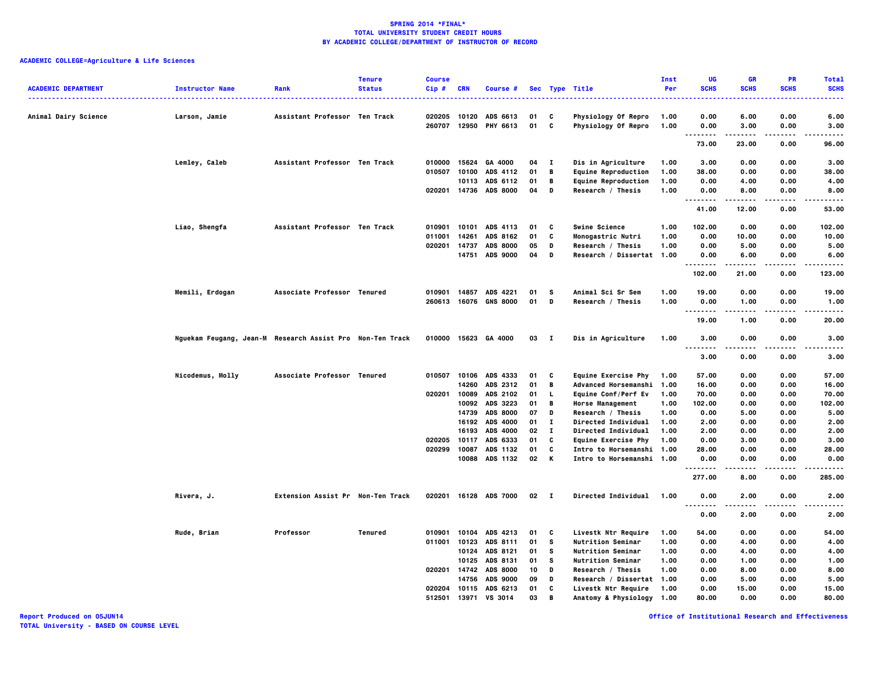| <b>ACADEMIC DEPARTMENT</b> | <b>Instructor Name</b>                                    | Rank                              | <b>Tenure</b><br><b>Status</b> | <b>Course</b><br>Cip# | <b>CRN</b> | <b>Course #</b>            |                  |              | Sec Type Title                                         | Inst<br>Per | UG<br><b>SCHS</b>    | <b>GR</b><br><b>SCHS</b> | PR<br><b>SCHS</b> | <b>Total</b><br><b>SCHS</b> |
|----------------------------|-----------------------------------------------------------|-----------------------------------|--------------------------------|-----------------------|------------|----------------------------|------------------|--------------|--------------------------------------------------------|-------------|----------------------|--------------------------|-------------------|-----------------------------|
| Animal Dairy Science       | Larson, Jamie                                             | Assistant Professor Ten Track     |                                | 020205                |            | 10120 ADS 6613             | 01               | C            | Physiology Of Repro                                    | 1.00        | 0.00                 | 6.00                     | 0.00              | 6.00                        |
|                            |                                                           |                                   |                                | 260707                |            | 12950 PHY 6613             | 01               | c            | Physiology Of Repro                                    | 1.00        | 0.00                 | 3.00                     | 0.00              | 3.00                        |
|                            |                                                           |                                   |                                |                       |            |                            |                  |              |                                                        |             | .<br>73.00           | 23.00                    | <br>0.00          | .<br>96.00                  |
|                            | Lemley, Caleb                                             | Assistant Professor Ten Track     |                                | 010000                | 15624      | GA 4000                    | 04               | $\mathbf{I}$ | Dis in Agriculture                                     | 1.00        | 3.00                 | 0.00                     | 0.00              | 3.00                        |
|                            |                                                           |                                   |                                | 010507                |            | 10100 ADS 4112             | 01               | B            | <b>Equine Reproduction</b>                             | 1.00        | 38.00                | 0.00                     | 0.00              | 38,00                       |
|                            |                                                           |                                   |                                |                       |            | 10113 ADS 6112             | 01               | B            | <b>Equine Reproduction</b>                             | 1.00        | 0.00                 | 4.00                     | 0.00              | 4.00                        |
|                            |                                                           |                                   |                                |                       |            | 020201 14736 ADS 8000      | 04               | D            | Research / Thesis                                      | 1.00        | 0.00<br>.            | 8.00<br>.                | 0.00<br>$- - - -$ | 8.00<br>$- - - - -$         |
|                            |                                                           |                                   |                                |                       |            |                            |                  |              |                                                        |             | 41.00                | 12.00                    | 0.00              | 53.00                       |
|                            | Liao, Shengfa                                             | Assistant Professor Ten Track     |                                |                       |            | 010901 10101 ADS 4113      | 01               | C            | <b>Swine Science</b>                                   | 1.00        | 102.00               | 0.00                     | 0.00              | 102.00                      |
|                            |                                                           |                                   |                                | 011001                | 14261      | ADS 8162                   | 01               | C            | Monogastric Nutri                                      | 1.00        | 0.00                 | 10.00                    | 0.00              | 10.00                       |
|                            |                                                           |                                   |                                | 020201                | 14737      | <b>ADS 8000</b>            | 05               | D            | Research / Thesis                                      | 1.00        | 0.00                 | 5.00                     | 0.00              | 5.00                        |
|                            |                                                           |                                   |                                |                       |            | 14751 ADS 9000             | 04               | D            | Research / Dissertat 1.00                              |             | 0.00<br>.            | 6.00                     | 0.00<br>.         | 6.00<br>.                   |
|                            |                                                           |                                   |                                |                       |            |                            |                  |              |                                                        |             | 102.00               | 21.00                    | 0.00              | 123.00                      |
|                            | Memili, Erdogan                                           | Associate Professor Tenured       |                                |                       |            | 010901 14857 ADS 4221      | 01               | s            | Animal Sci Sr Sem                                      | 1.00        | 19.00                | 0.00                     | 0.00              | 19.00                       |
|                            |                                                           |                                   |                                |                       |            | 260613 16076 GNS 8000      | 01               | D            | Research / Thesis                                      | 1.00        | 0.00                 | 1.00                     | 0.00              | 1.00                        |
|                            |                                                           |                                   |                                |                       |            |                            |                  |              |                                                        |             | .<br>19.00           | $- - - - -$<br>1.00      | .<br>0.00         | .<br>20.00                  |
|                            | Nguekam Feugang, Jean-M Research Assist Pro Non-Ten Track |                                   |                                |                       |            | 010000 15623 GA 4000       | $03$ I           |              | Dis in Agriculture                                     | 1.00        | 3.00                 | 0.00                     | 0.00              | 3.00                        |
|                            |                                                           |                                   |                                |                       |            |                            |                  |              |                                                        |             | .<br>3.00            | 0.00                     | .<br>0.00         | .<br>3.00                   |
|                            | Nicodemus, Molly                                          | Associate Professor Tenured       |                                |                       |            | 010507 10106 ADS 4333      | 01               | C            | Equine Exercise Phy                                    | 1.00        | 57.00                | 0.00                     | 0.00              | 57.00                       |
|                            |                                                           |                                   |                                |                       |            | 14260 ADS 2312             | 01               | В            | <b>Advanced Horsemanshi</b>                            | 1.00        | 16.00                | 0.00                     | 0.00              | 16.00                       |
|                            |                                                           |                                   |                                |                       |            | 020201 10089 ADS 2102      | 01               | <b>L</b>     | Equine Conf/Perf Ev                                    | 1.00        | 70.00                | 0.00                     | 0.00              | 70.00                       |
|                            |                                                           |                                   |                                |                       |            | 10092 ADS 3223             | 01               | B            | <b>Horse Management</b>                                | 1.00        | 102.00               | 0.00                     | 0.00              | 102.00                      |
|                            |                                                           |                                   |                                |                       | 14739      | <b>ADS 8000</b>            | 07               | D            | Research / Thesis                                      | 1.00        | 0.00                 | 5.00                     | 0.00              | 5.00                        |
|                            |                                                           |                                   |                                |                       |            | 16192 ADS 4000             | 01               | $\mathbf{I}$ | Directed Individual                                    | 1.00        | 2.00                 | 0.00                     | 0.00              | 2.00                        |
|                            |                                                           |                                   |                                |                       | 16193      | <b>ADS 4000</b>            | 02               | п            | Directed Individual                                    | 1.00        | 2.00                 | 0.00                     | 0.00              | 2.00                        |
|                            |                                                           |                                   |                                | 020205                | 10117      | ADS 6333                   | 01               | C            | <b>Equine Exercise Phy</b>                             | 1.00        | 0.00                 | 3.00                     | 0.00              | 3.00                        |
|                            |                                                           |                                   |                                | 020299                | 10087      | ADS 1132<br>10088 ADS 1132 | 01<br>02         | C<br>K       | Intro to Horsemanshi 1.00<br>Intro to Horsemanshi 1.00 |             | 28.00<br>0.00        | 0.00<br>0.00             | 0.00<br>0.00      | 28.00<br>0.00               |
|                            |                                                           |                                   |                                |                       |            |                            |                  |              |                                                        |             | . <b>.</b><br>277.00 | 8.00                     | $- - - -$<br>0.00 | -----<br>285.00             |
|                            | Rivera, J.                                                | Extension Assist Pr Non-Ten Track |                                |                       |            | 020201 16128 ADS 7000      | $02 \quad 1$     |              | <b>Directed Individual</b>                             | 1.00        | 0.00                 | 2.00                     | 0.00              | 2.00                        |
|                            |                                                           |                                   |                                |                       |            |                            |                  |              |                                                        |             | .<br>0.00            | 2.00                     | 0.00              | 2.00                        |
|                            | Rude, Brian                                               | Professor                         | <b>Tenured</b>                 |                       |            | 010901 10104 ADS 4213      | 01               | C            | Livestk Ntr Require                                    | 1.00        | 54.00                | 0.00                     | 0.00              | 54.00                       |
|                            |                                                           |                                   |                                |                       |            | 011001 10123 ADS 8111      | 01               | s            | <b>Nutrition Seminar</b>                               | 1.00        | 0.00                 | 4.00                     | 0.00              | 4.00                        |
|                            |                                                           |                                   |                                |                       |            | 10124 ADS 8121             | 01               | s            | <b>Nutrition Seminar</b>                               | 1.00        | 0.00                 | 4.00                     | 0.00              | 4.00                        |
|                            |                                                           |                                   |                                |                       |            | 10125 ADS 8131             | 01               | s            | <b>Nutrition Seminar</b>                               | 1.00        | 0.00                 | 1.00                     | 0.00              | 1.00                        |
|                            |                                                           |                                   |                                |                       |            | 020201 14742 ADS 8000      | 10 <sup>10</sup> | D            | Research / Thesis                                      | 1.00        | 0.00                 | 8.00                     | 0.00              | 8.00                        |
|                            |                                                           |                                   |                                |                       |            | 14756 ADS 9000             | 09               | D            | Research / Dissertat 1.00                              |             | 0.00                 | 5.00                     | 0.00              | 5.00                        |
|                            |                                                           |                                   |                                |                       |            | 020204 10115 ADS 6213      | 01               | C            | Livestk Ntr Require                                    | 1.00        | 0.00                 | 15.00                    | 0.00              | 15.00                       |
|                            |                                                           |                                   |                                | 512501                | 13971      | <b>VS 3014</b>             | 03               | B            | Anatomy & Physiology                                   | 1.00        | 80.00                | 0.00                     | 0.00              | 80.00                       |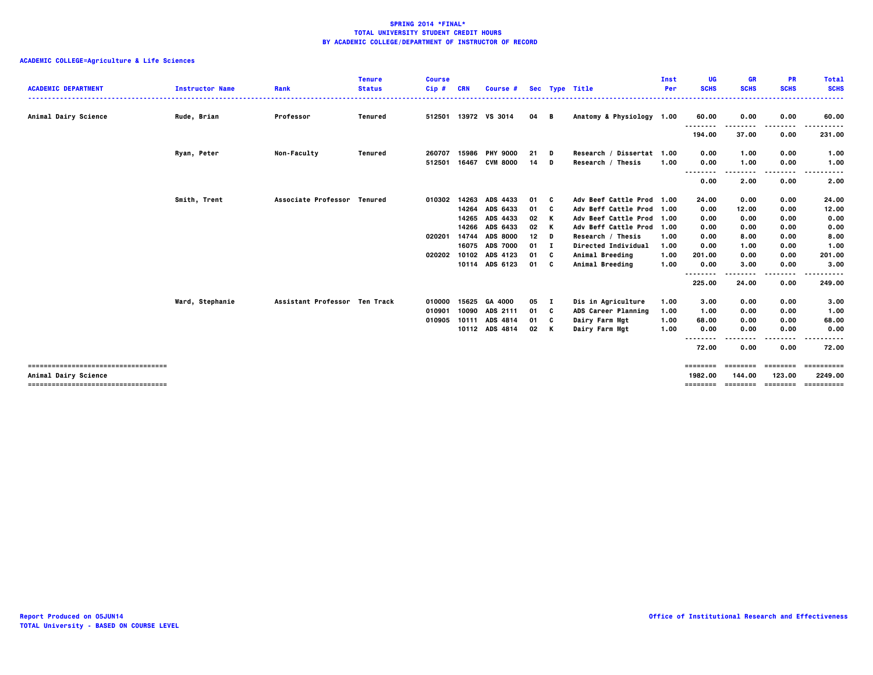| <b>ACADEMIC DEPARTMENT</b>                                                                              | <b>Instructor Name</b> | Rank                          | <b>Tenure</b><br><b>Status</b> | <b>Course</b><br>$Cip$ #<br>------ | <b>CRN</b>     | <b>Course #</b>                        |                           |              | Sec Type Title                                                              | Inst<br>Per  | UG<br><b>SCHS</b>               | <b>GR</b><br><b>SCHS</b>      | <b>PR</b><br><b>SCHS</b> | <b>Total</b><br><b>SCHS</b><br>------            |
|---------------------------------------------------------------------------------------------------------|------------------------|-------------------------------|--------------------------------|------------------------------------|----------------|----------------------------------------|---------------------------|--------------|-----------------------------------------------------------------------------|--------------|---------------------------------|-------------------------------|--------------------------|--------------------------------------------------|
| Animal Dairy Science                                                                                    | Rude, Brian            | Professor                     | Tenured                        |                                    |                | 512501 13972 VS 3014                   | 04 B                      |              | Anatomy & Physiology 1.00                                                   |              | 60.00<br>--------               | 0.00<br>--------              | 0.00<br>.                | 60.00<br>.                                       |
|                                                                                                         | Ryan, Peter            | <b>Non-Faculty</b>            | Tenured                        | 260707                             | 15986          | <b>PHY 9000</b>                        | 21 D                      |              | Research / Dissertat 1.00                                                   |              | 194.00<br>0.00                  | 37.00<br>1.00                 | 0.00<br>0.00             | 231.00<br>1.00                                   |
|                                                                                                         |                        |                               |                                | 512501                             | 16467          | <b>CVM 8000</b>                        | 14                        | D            | Research / Thesis                                                           | 1.00         | 0.00<br>                        | 1.00<br>--------              | 0.00<br>.                | 1.00                                             |
|                                                                                                         |                        |                               |                                |                                    |                |                                        |                           |              |                                                                             |              | 0.00                            | 2.00                          | 0.00                     | 2.00                                             |
|                                                                                                         | Smith, Trent           | Associate Professor Tenured   |                                | 010302                             | 14264          | 14263 ADS 4433<br>ADS 6433             | 01 C<br>01                | - C          | Adv Beef Cattle Prod 1.00<br>Adv Beff Cattle Prod 1.00                      |              | 24.00<br>0.00                   | 0.00<br>12.00                 | 0.00<br>0.00             | 24.00<br>12.00                                   |
|                                                                                                         |                        |                               |                                | 020201                             | 14265<br>14266 | ADS 4433<br>ADS 6433<br>14744 ADS 8000 | 02<br>02<br>12            | K<br>K<br>D  | Adv Beef Cattle Prod 1.00<br>Adv Beff Cattle Prod 1.00<br>Research / Thesis | 1.00         | 0.00<br>0.00<br>0.00            | 0.00<br>0.00<br>8.00          | 0.00<br>0.00<br>0.00     | 0.00<br>0.00<br>8.00                             |
|                                                                                                         |                        |                               |                                | 020202                             | 10102          | 16075 ADS 7000<br>ADS 4123             | $01$ I<br>01 <sub>c</sub> |              | <b>Directed Individual</b><br>Animal Breeding                               | 1.00<br>1.00 | 0.00<br>201.00                  | 1.00<br>0.00                  | 0.00<br>0.00             | 1.00<br>201.00                                   |
|                                                                                                         |                        |                               |                                |                                    |                | 10114 ADS 6123                         | 01 C                      |              | Animal Breeding                                                             | 1.00         | 0.00<br>--------                | 3.00                          | 0.00<br>----             | 3.00<br>.                                        |
|                                                                                                         |                        | Assistant Professor Ten Track |                                | 010000                             | 15625          | GA 4000                                | 05                        | $\mathbf{I}$ | Dis in Agriculture                                                          | 1.00         | 225.00<br>3.00                  | 24.00<br>0.00                 | 0.00<br>0.00             | 249.00<br>3.00                                   |
|                                                                                                         | Ward, Stephanie        |                               |                                | 010901<br>010905                   | 10090          | ADS 2111<br>10111 ADS 4814             | 01 C<br>01 C              |              | ADS Career Planning<br>Dairy Farm Mgt                                       | 1.00<br>1.00 | 1.00<br>68.00                   | 0.00<br>0.00                  | 0.00<br>0.00             | 1.00<br>68.00                                    |
|                                                                                                         |                        |                               |                                |                                    |                | 10112 ADS 4814                         | 02 K                      |              | Dairy Farm Mgt                                                              | 1.00         | 0.00<br>.<br>---                | 0.00                          | 0.00<br>.                | 0.00                                             |
|                                                                                                         |                        |                               |                                |                                    |                |                                        |                           |              |                                                                             |              | 72.00                           | 0.00                          | 0.00                     | 72.00                                            |
| ======================================<br>Animal Dairy Science<br>===================================== |                        |                               |                                |                                    |                |                                        |                           |              |                                                                             |              | ========<br>1982.00<br>======== | eeeeeee<br>144.00<br>======== | ========<br>123.00       | ==========<br>2249.00<br>_______________________ |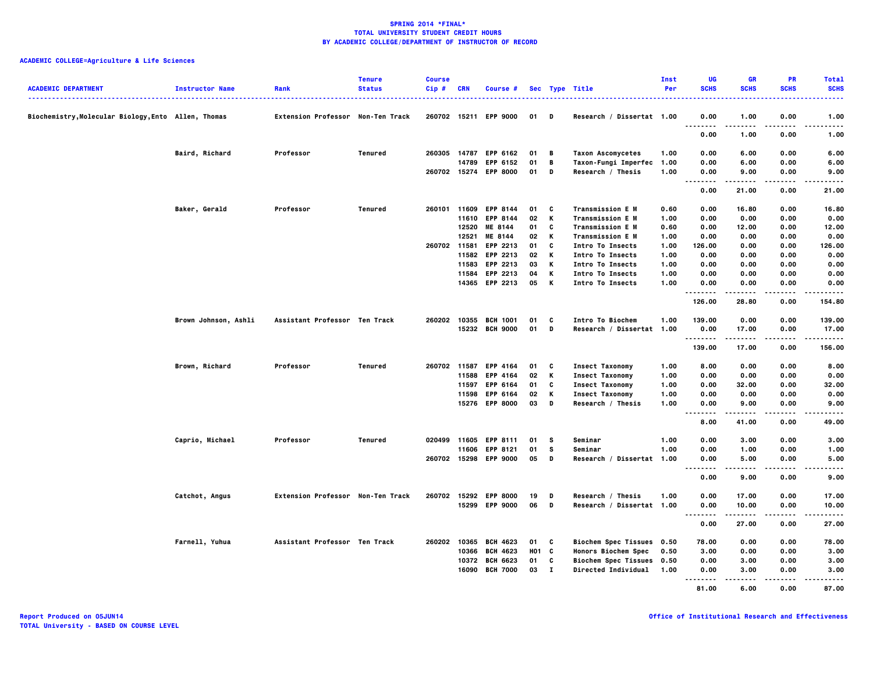| <b>ACADEMIC DEPARTMENT</b>                          | <b>Instructor Name</b> | Rank                              | <b>Tenure</b><br><b>Status</b> | <b>Course</b><br>Cip# | CRN   | Course #                           |                         |              | Sec Type Title                                            | Inst<br>Per  | UG<br><b>SCHS</b>      | GR<br><b>SCHS</b>   | <b>PR</b><br><b>SCHS</b> | <b>Total</b><br><b>SCHS</b> |
|-----------------------------------------------------|------------------------|-----------------------------------|--------------------------------|-----------------------|-------|------------------------------------|-------------------------|--------------|-----------------------------------------------------------|--------------|------------------------|---------------------|--------------------------|-----------------------------|
| Biochemistry, Molecular Biology, Ento Allen, Thomas |                        | Extension Professor Non-Ten Track |                                |                       |       | 260702 15211 EPP 9000              | 01 D                    |              | Research / Dissertat 1.00                                 |              | 0.00<br>.              | 1.00                | 0.00                     | 1.00                        |
|                                                     |                        |                                   |                                |                       |       |                                    |                         |              |                                                           |              | $\cdots$<br>0.00       | 1.00                | ----<br>0.00             | .<br>1.00                   |
|                                                     | Baird, Richard         | Professor                         | Tenured                        |                       |       | 260305 14787 EPP 6162              | 01                      | B            | <b>Taxon Ascomycetes</b>                                  | 1.00         | 0.00                   | 6.00                | 0.00                     | 6.00                        |
|                                                     |                        |                                   |                                |                       | 14789 | <b>EPP 6152</b>                    | 01                      | B            | Taxon-Fungi Imperfec                                      | 1.00         | 0.00                   | 6.00                | 0.00                     | 6.00                        |
|                                                     |                        |                                   |                                |                       |       | 260702 15274 EPP 8000              | 01                      | D            | Research / Thesis                                         | 1.00         | 0.00<br>$\cdots$<br>.  | 9.00<br>.           | 0.00<br>.                | 9.00<br>-----               |
|                                                     |                        |                                   |                                |                       |       |                                    |                         |              |                                                           |              | 0.00                   | 21.00               | 0.00                     | 21.00                       |
|                                                     | Baker, Gerald          | Professor                         | Tenured                        |                       |       | 260101 11609 EPP 8144              | 01                      | C            | <b>Transmission E M</b>                                   | 0.60         | 0.00                   | 16.80               | 0.00                     | 16.80                       |
|                                                     |                        |                                   |                                |                       | 11610 | <b>EPP 8144</b>                    | 02                      | K            | <b>Transmission E M</b>                                   | 1.00         | 0.00                   | 0.00                | 0.00                     | 0.00                        |
|                                                     |                        |                                   |                                |                       |       | 12520 ME 8144                      | 01                      | C            | <b>Transmission E M</b>                                   | 0.60         | 0.00                   | 12.00               | 0.00                     | 12.00                       |
|                                                     |                        |                                   |                                |                       | 12521 | ME 8144                            | 02                      | К            | <b>Transmission E M</b>                                   | 1.00         | 0.00                   | 0.00                | 0.00                     | 0.00                        |
|                                                     |                        |                                   |                                | 260702 11581          |       | <b>EPP 2213</b>                    | 01                      | C            | <b>Intro To Insects</b>                                   | 1.00         | 126.00                 | 0.00                | 0.00                     | 126.00                      |
|                                                     |                        |                                   |                                |                       |       | 11582 EPP 2213                     | 02                      | к            | Intro To Insects                                          | 1.00         | 0.00                   | 0.00                | 0.00                     | 0.00                        |
|                                                     |                        |                                   |                                |                       | 11583 | EPP 2213                           | 03                      | К            | Intro To Insects                                          | 1.00         | 0.00                   | 0.00                | 0.00                     | 0.00                        |
|                                                     |                        |                                   |                                |                       |       | 11584 EPP 2213                     | 04                      | К            | <b>Intro To Insects</b>                                   | 1.00         | 0.00                   | 0.00                | 0.00                     | 0.00                        |
|                                                     |                        |                                   |                                |                       |       | 14365 EPP 2213                     | 05                      | K            | <b>Intro To Insects</b>                                   | 1.00         | 0.00<br>--------       | 0.00<br>. <b>.</b>  | 0.00<br>.                | 0.00<br>.                   |
|                                                     |                        |                                   |                                |                       |       |                                    |                         |              |                                                           |              | 126.00                 | 28.80               | 0.00                     | 154.80                      |
|                                                     | Brown Johnson, Ashli   | Assistant Professor Ten Track     |                                | 260202                | 10355 | <b>BCH 1001</b>                    | 01                      | C            | Intro To Biochem                                          | 1.00         | 139.00                 | 0.00                | 0.00                     | 139.00                      |
|                                                     |                        |                                   |                                |                       |       | 15232 BCH 9000                     | 01                      | D            | Research / Dissertat 1.00                                 |              | 0.00                   | 17.00               | 0.00                     | 17.00                       |
|                                                     |                        |                                   |                                |                       |       |                                    |                         |              |                                                           |              | <br>139.00             | . <b>.</b><br>17.00 | .<br>0.00                | <br>156.00                  |
|                                                     | Brown, Richard         | Professor                         | Tenured                        | 260702 11587          |       | <b>EPP 4164</b>                    | 01                      | C            | <b>Insect Taxonomy</b>                                    | 1.00         | 8.00                   | 0.00                | 0.00                     | 8.00                        |
|                                                     |                        |                                   |                                |                       | 11588 | EPP 4164                           | 02                      | К            | <b>Insect Taxonomy</b>                                    | 1.00         | 0.00                   | 0.00                | 0.00                     | 0.00                        |
|                                                     |                        |                                   |                                |                       | 11597 | EPP 6164                           | 01                      | C            | <b>Insect Taxonomy</b>                                    | 1.00         | 0.00                   | 32.00               | 0.00                     | 32.00                       |
|                                                     |                        |                                   |                                |                       |       | 11598 EPP 6164                     | 02                      | K            | <b>Insect Taxonomy</b>                                    | 1.00         | 0.00                   | 0.00                | 0.00                     | 0.00                        |
|                                                     |                        |                                   |                                |                       |       | 15276 EPP 8000                     | 03                      | D            | Research / Thesis                                         | 1.00         | 0.00                   | 9.00                | 0.00                     | 9.00                        |
|                                                     |                        |                                   |                                |                       |       |                                    |                         |              |                                                           |              | $\cdots$<br>8.00       | 41.00               | .<br>0.00                | .<br>49.00                  |
|                                                     | Caprio, Michael        | Professor                         | Tenured                        |                       |       | 020499 11605 EPP 8111              | 01                      | s            | Seminar                                                   | 1.00         | 0.00                   | 3.00                | 0.00                     | 3.00                        |
|                                                     |                        |                                   |                                |                       |       | 11606 EPP 8121                     | 01                      | s            | Seminar                                                   | 1.00         | 0.00                   | 1.00                | 0.00                     | 1.00                        |
|                                                     |                        |                                   |                                |                       |       | 260702 15298 EPP 9000              | 05                      | D            | Research / Dissertat 1.00                                 |              | 0.00                   | 5.00                | 0.00                     | 5.00                        |
|                                                     |                        |                                   |                                |                       |       |                                    |                         |              |                                                           |              | .<br>$- - - -$<br>0.00 | 9.00                | 0.00                     | .<br>9.00                   |
|                                                     | Catchot, Angus         | Extension Professor Non-Ten Track |                                |                       |       | 260702 15292 EPP 8000              | 19                      | D            | Research / Thesis                                         | 1.00         | 0.00                   | 17.00               | 0.00                     | 17.00                       |
|                                                     |                        |                                   |                                |                       |       | 15299 EPP 9000                     | 06                      | D            | Research / Dissertat 1.00                                 |              | 0.00                   | 10.00               | 0.00                     | 10.00                       |
|                                                     |                        |                                   |                                |                       |       |                                    |                         |              |                                                           |              | <br>0.00               | .<br>27.00          | .<br>0.00                | <br>27.00                   |
|                                                     |                        |                                   |                                |                       | 10365 |                                    |                         |              |                                                           |              |                        |                     |                          |                             |
|                                                     | Farnell, Yuhua         | Assistant Professor Ten Track     |                                | 260202                | 10366 | <b>BCH 4623</b><br><b>BCH 4623</b> | 01<br>H <sub>01</sub> C | C            | <b>Biochem Spec Tissues</b><br><b>Honors Biochem Spec</b> | 0.50<br>0.50 | 78.00<br>3.00          | 0.00<br>0.00        | 0.00<br>0.00             | 78.00<br>3.00               |
|                                                     |                        |                                   |                                |                       |       | 10372 BCH 6623                     | 01                      | C            | Biochem Spec Tissues 0.50                                 |              | 0.00                   | 3.00                | 0.00                     | 3.00                        |
|                                                     |                        |                                   |                                |                       | 16090 | <b>BCH 7000</b>                    | 03                      | $\mathbf{I}$ | Directed Individual                                       | 1.00         | 0.00<br>.              | 3.00                | 0.00                     | 3.00<br>-----               |
|                                                     |                        |                                   |                                |                       |       |                                    |                         |              |                                                           |              | 81.00                  | 6.00                | 0.00                     | 87.00                       |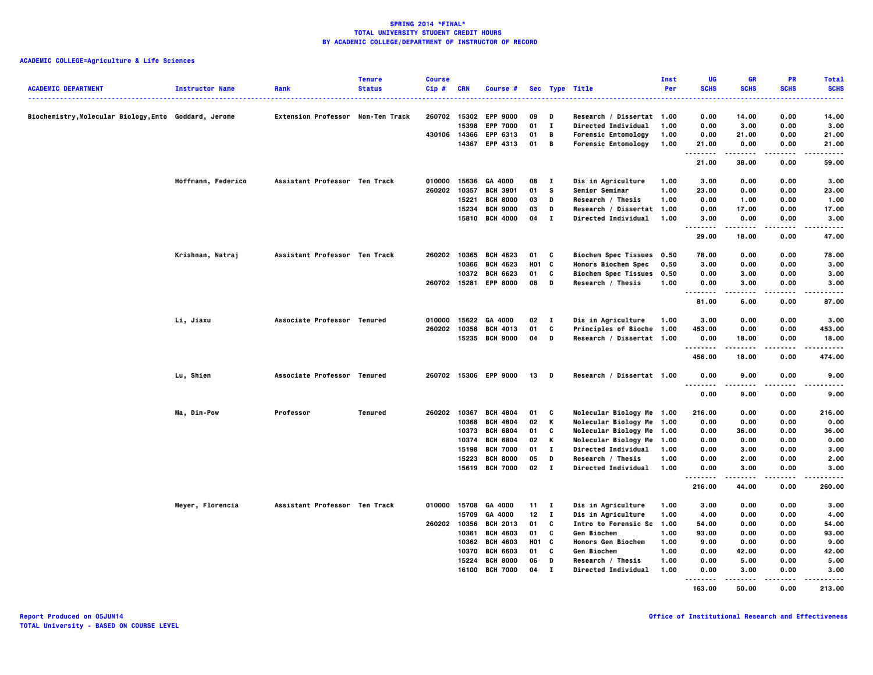| <b>ACADEMIC DEPARTMENT</b>                            | <b>Instructor Name</b> | Rank                              | <b>Tenure</b><br><b>Status</b> | <b>Course</b><br>$Cip$ # | <b>CRN</b> | Course #              |              |              | Sec Type Title              | Inst<br>Per | UG<br><b>SCHS</b><br>. | <b>GR</b><br><b>SCHS</b> | PR<br><b>SCHS</b> | <b>Total</b><br><b>SCHS</b><br>. |
|-------------------------------------------------------|------------------------|-----------------------------------|--------------------------------|--------------------------|------------|-----------------------|--------------|--------------|-----------------------------|-------------|------------------------|--------------------------|-------------------|----------------------------------|
| Biochemistry, Molecular Biology, Ento Goddard, Jerome |                        | Extension Professor Non-Ten Track |                                | 260702                   | 15302      | <b>EPP 9000</b>       | 09           | D            | Research / Dissertat 1.00   |             | 0.00                   | 14.00                    | 0.00              | 14.00                            |
|                                                       |                        |                                   |                                |                          | 15398      | <b>EPP 7000</b>       | 01           | $\mathbf{I}$ | Directed Individual         | 1.00        | 0.00                   | 3.00                     | 0.00              | 3.00                             |
|                                                       |                        |                                   |                                |                          |            | 430106 14366 EPP 6313 | 01           | B            | <b>Forensic Entomology</b>  | 1.00        | 0.00                   | 21.00                    | 0.00              | 21.00                            |
|                                                       |                        |                                   |                                |                          |            | 14367 EPP 4313        | 01           | B            | <b>Forensic Entomology</b>  | 1.00        | 21.00<br>.             | 0.00<br>.                | 0.00<br>.         | 21.00<br>-----                   |
|                                                       |                        |                                   |                                |                          |            |                       |              |              |                             |             | 21.00                  | 38.00                    | 0.00              | 59.00                            |
|                                                       | Hoffmann, Federico     | Assistant Professor Ten Track     |                                | 010000                   | 15636      | GA 4000               | 08           | $\mathbf{I}$ | Dis in Agriculture          | 1.00        | 3.00                   | 0.00                     | 0.00              | 3.00                             |
|                                                       |                        |                                   |                                | 260202                   | 10357      | <b>BCH 3901</b>       | 01           | s            | Senior Seminar              | 1.00        | 23.00                  | 0.00                     | 0.00              | 23.00                            |
|                                                       |                        |                                   |                                |                          | 15221      | <b>BCH 8000</b>       | 03           | D            | Research / Thesis           | 1.00        | 0.00                   | 1.00                     | 0.00              | 1.00                             |
|                                                       |                        |                                   |                                |                          | 15234      | <b>BCH 9000</b>       | 03           | D            | Research / Dissertat 1.00   |             | 0.00                   | 17.00                    | 0.00              | 17.00                            |
|                                                       |                        |                                   |                                |                          |            | 15810 BCH 4000        | 04           | $\mathbf{I}$ | Directed Individual         | 1.00        | 3.00<br>.              | 0.00<br>-----            | 0.00<br>.         | 3.00<br>-----                    |
|                                                       |                        |                                   |                                |                          |            |                       |              |              |                             |             | 29.00                  | 18.00                    | 0.00              | 47.00                            |
|                                                       | Krishnan, Natraj       | Assistant Professor Ten Track     |                                | 260202                   | 10365      | <b>BCH 4623</b>       | 01           | C            | <b>Biochem Spec Tissues</b> | 0.50        | 78.00                  | 0.00                     | 0.00              | 78.00                            |
|                                                       |                        |                                   |                                |                          | 10366      | <b>BCH 4623</b>       | <b>HO1 C</b> |              | <b>Honors Biochem Spec</b>  | 0.50        | 3.00                   | 0.00                     | 0.00              | 3.00                             |
|                                                       |                        |                                   |                                |                          |            | 10372 BCH 6623        | 01           | C            | <b>Biochem Spec Tissues</b> | 0.50        | 0.00                   | 3.00                     | 0.00              | 3.00                             |
|                                                       |                        |                                   |                                |                          |            | 260702 15281 EPP 8000 | 08           | D            | Research / Thesis           | 1.00        | 0.00<br>----           | 3.00                     | 0.00<br>----      | 3.00<br>-----                    |
|                                                       |                        |                                   |                                |                          |            |                       |              |              |                             |             | 81.00                  | 6.00                     | 0.00              | 87.00                            |
|                                                       | Li, Jiaxu              | Associate Professor Tenured       |                                | 010000                   | 15622      | GA 4000               | 02           | $\mathbf{I}$ | Dis in Agriculture          | 1.00        | 3.00                   | 0.00                     | 0.00              | 3.00                             |
|                                                       |                        |                                   |                                | 260202 10358             |            | <b>BCH 4013</b>       | 01           | C            | Principles of Bioche 1.00   |             | 453.00                 | 0.00                     | 0.00              | 453.00                           |
|                                                       |                        |                                   |                                |                          |            | 15235 BCH 9000        | 04           | D            | Research / Dissertat 1.00   |             | 0.00                   | 18.00                    | 0.00              | 18.00                            |
|                                                       |                        |                                   |                                |                          |            |                       |              |              |                             |             | .<br>456.00            | 18.00                    | $- - - -$<br>0.00 | .<br>474.00                      |
|                                                       | Lu, Shien              | Associate Professor Tenured       |                                |                          |            | 260702 15306 EPP 9000 | 13 D         |              | Research / Dissertat 1.00   |             | 0.00<br>--------       | 9.00<br>.                | 0.00<br>$- - -$   | 9.00<br>.                        |
|                                                       |                        |                                   |                                |                          |            |                       |              |              |                             |             | 0.00                   | 9.00                     | 0.00              | 9.00                             |
|                                                       | Ma, Din-Pow            | Professor                         | Tenured                        | 260202 10367             |            | <b>BCH 4804</b>       | 01           | C            | Molecular Biology Me 1.00   |             | 216.00                 | 0.00                     | 0.00              | 216.00                           |
|                                                       |                        |                                   |                                |                          | 10368      | <b>BCH 4804</b>       | 02           | К            | Molecular Biology Me        | 1.00        | 0.00                   | 0.00                     | 0.00              | 0.00                             |
|                                                       |                        |                                   |                                |                          | 10373      | <b>BCH 6804</b>       | 01           | C            | Molecular Biology Me 1.00   |             | 0.00                   | 36.00                    | 0.00              | 36.00                            |
|                                                       |                        |                                   |                                |                          | 10374      | <b>BCH 6804</b>       | 02           | К            | Molecular Biology Me 1.00   |             | 0.00                   | 0.00                     | 0.00              | 0.00                             |
|                                                       |                        |                                   |                                |                          | 15198      | <b>BCH 7000</b>       | 01           | п.           | Directed Individual         | 1.00        | 0.00                   | 3.00                     | 0.00              | 3.00                             |
|                                                       |                        |                                   |                                |                          | 15223      | <b>BCH 8000</b>       | 05           | D            | Research / Thesis           | 1.00        | 0.00                   | 2.00                     | 0.00              | 2.00                             |
|                                                       |                        |                                   |                                |                          |            | 15619 BCH 7000        | $02 \quad I$ |              | <b>Directed Individual</b>  | 1.00        | 0.00<br>.              | 3.00<br>-----            | 0.00<br>.         | 3.00<br>.                        |
|                                                       |                        |                                   |                                |                          |            |                       |              |              |                             |             | 216.00                 | 44.00                    | 0.00              | 260.00                           |
|                                                       | Meyer, Florencia       | Assistant Professor Ten Track     |                                | 010000                   | 15708      | GA 4000               | 11           | - 1          | Dis in Agriculture          | 1.00        | 3.00                   | 0.00                     | 0.00              | 3.00                             |
|                                                       |                        |                                   |                                |                          | 15709      | GA 4000               | 12           | $\mathbf{I}$ | Dis in Agriculture          | 1.00        | 4.00                   | 0.00                     | 0.00              | 4.00                             |
|                                                       |                        |                                   |                                | 260202                   | 10356      | <b>BCH 2013</b>       | 01           | C            | Intro to Forensic Sc        | 1.00        | 54.00                  | 0.00                     | 0.00              | 54.00                            |
|                                                       |                        |                                   |                                |                          | 10361      | <b>BCH 4603</b>       | 01           | C            | Gen Biochem                 | 1.00        | 93.00                  | 0.00                     | 0.00              | 93.00                            |
|                                                       |                        |                                   |                                |                          | 10362      | <b>BCH 4603</b>       | <b>HO1 C</b> |              | Honors Gen Biochem          | 1.00        | 9.00                   | 0.00                     | 0.00              | 9.00                             |
|                                                       |                        |                                   |                                |                          | 10370      | <b>BCH 6603</b>       | 01           | C            | Gen Biochem                 | 1.00        | 0.00                   | 42.00                    | 0.00              | 42.00                            |
|                                                       |                        |                                   |                                |                          | 15224      | <b>BCH 8000</b>       | 06           | D            | Research / Thesis           | 1.00        | 0.00                   | 5.00                     | 0.00              | 5.00                             |
|                                                       |                        |                                   |                                |                          | 16100      | <b>BCH 7000</b>       | 04           | п            | Directed Individual         | 1.00        | 0.00<br><b>.</b>       | 3.00<br>-----            | 0.00<br>.         | 3.00<br>.                        |
|                                                       |                        |                                   |                                |                          |            |                       |              |              |                             |             | 163.00                 | 50.00                    | 0.00              | 213.00                           |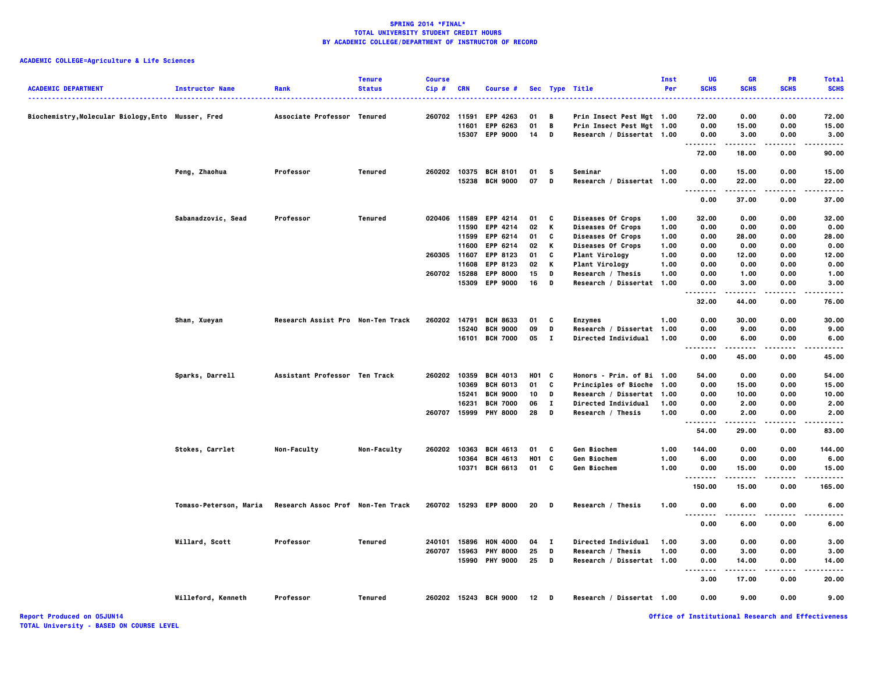# **ACADEMIC COLLEGE=Agriculture & Life Sciences**

| <b>ACADEMIC DEPARTMENT</b>                         | <b>Instructor Name</b> | Rank                              | <b>Tenure</b><br><b>Status</b> | <b>Course</b><br>$Cip$ # | <b>CRN</b> | Course #              |            |              | Sec Type Title              | Inst<br>Per | UG<br><b>SCHS</b>                       | <b>GR</b><br><b>SCHS</b> | <b>PR</b><br><b>SCHS</b> | <b>Total</b><br><b>SCHS</b> |
|----------------------------------------------------|------------------------|-----------------------------------|--------------------------------|--------------------------|------------|-----------------------|------------|--------------|-----------------------------|-------------|-----------------------------------------|--------------------------|--------------------------|-----------------------------|
|                                                    |                        |                                   |                                |                          |            |                       |            |              |                             |             |                                         |                          |                          |                             |
| Biochemistry, Molecular Biology, Ento Musser, Fred |                        | Associate Professor Tenured       |                                | 260702 11591             |            | <b>EPP 4263</b>       | 01         | В            | Prin Insect Pest Mgt 1.00   |             | 72.00                                   | 0.00                     | 0.00                     | 72.00                       |
|                                                    |                        |                                   |                                |                          | 11601      | EPP 6263              | 01         | В            | Prin Insect Pest Mgt 1.00   |             | 0.00                                    | 15.00                    | 0.00                     | 15.00                       |
|                                                    |                        |                                   |                                |                          | 15307      | <b>EPP 9000</b>       | 14         | D            | Research / Dissertat 1.00   |             | 0.00<br>.                               | 3.00<br>.                | 0.00<br>.                | 3.00<br>.                   |
|                                                    |                        |                                   |                                |                          |            |                       |            |              |                             |             | 72.00                                   | 18.00                    | 0.00                     | 90.00                       |
|                                                    | Peng, Zhaohua          | Professor                         | Tenured                        | 260202                   |            | 10375 BCH 8101        | 01         | s            | Seminar                     | 1.00        | 0.00                                    | 15.00                    | 0.00                     | 15.00                       |
|                                                    |                        |                                   |                                |                          | 15238      | <b>BCH 9000</b>       | 07         | D            | Research / Dissertat 1.00   |             | 0.00<br>.                               | 22.00<br>.               | 0.00<br>.                | 22.00<br>.                  |
|                                                    |                        |                                   |                                |                          |            |                       |            |              |                             |             | 0.00                                    | 37.00                    | 0.00                     | 37.00                       |
|                                                    | Sabanadzovic, Sead     | Professor                         | Tenured                        | 020406                   | 11589      | <b>EPP 4214</b>       | 01         | C            | Diseases Of Crops           | 1.00        | 32.00                                   | 0.00                     | 0.00                     | 32.00                       |
|                                                    |                        |                                   |                                |                          | 11590      | <b>EPP 4214</b>       | 02         | К            | Diseases Of Crops           | 1.00        | 0.00                                    | 0.00                     | 0.00                     | 0.00                        |
|                                                    |                        |                                   |                                |                          | 11599      | <b>EPP 6214</b>       | 01         | C            | Diseases Of Crops           | 1.00        | 0.00                                    | 28.00                    | 0.00                     | 28.00                       |
|                                                    |                        |                                   |                                |                          | 11600      | EPP 6214              | 02         | Κ            | Diseases Of Crops           | 1.00        | 0.00                                    | 0.00                     | 0.00                     | 0.00                        |
|                                                    |                        |                                   |                                | 260305 11607             |            | EPP 8123              | 01         | c            | Plant Virology              | 1.00        | 0.00                                    | 12.00                    | 0.00                     | 12.00                       |
|                                                    |                        |                                   |                                |                          | 11608      | <b>EPP 8123</b>       | 02         | Κ            | <b>Plant Virology</b>       | 1.00        | 0.00                                    | 0.00                     | 0.00                     | 0.00                        |
|                                                    |                        |                                   |                                | 260702                   | 15288      | <b>EPP 8000</b>       | 15         | D            | Research / Thesis           | 1.00        | 0.00                                    | 1.00                     | 0.00                     | 1.00                        |
|                                                    |                        |                                   |                                |                          |            | 15309 EPP 9000        | 16         | D            | Research / Dissertat 1.00   |             | 0.00                                    | 3.00                     | 0.00                     | 3.00                        |
|                                                    |                        |                                   |                                |                          |            |                       |            |              |                             |             | .<br>32.00                              | -----<br>44.00           | 0.00                     | 76.00                       |
|                                                    | Shan, Xueyan           | Research Assist Pro Non-Ten Track |                                | 260202                   | 14791      | <b>BCH 8633</b>       | 01         | C            | <b>Enzymes</b>              | 1.00        | 0.00                                    | 30.00                    | 0.00                     | 30.00                       |
|                                                    |                        |                                   |                                |                          | 15240      | <b>BCH 9000</b>       | 09         | D            | Research / Dissertat        | 1.00        | 0.00                                    | 9.00                     | 0.00                     | 9.00                        |
|                                                    |                        |                                   |                                |                          |            | 16101 BCH 7000        | 05         | $\mathbf{I}$ | <b>Directed Individual</b>  | 1.00        | 0.00                                    | 6.00                     | 0.00                     | 6.00                        |
|                                                    |                        |                                   |                                |                          |            |                       |            |              |                             |             | .<br>0.00                               | .<br>45.00               | 0.00                     | .<br>45.00                  |
|                                                    | Sparks, Darrell        | Assistant Professor Ten Track     |                                | 260202                   | 10359      | <b>BCH 4013</b>       | HO1        | C            | Honors - Prin. of Bi 1.00   |             | 54.00                                   | 0.00                     | 0.00                     | 54.00                       |
|                                                    |                        |                                   |                                |                          | 10369      | <b>BCH 6013</b>       | 01         | C            | <b>Principles of Bioche</b> | 1.00        | 0.00                                    | 15.00                    | 0.00                     | 15.00                       |
|                                                    |                        |                                   |                                |                          | 15241      | <b>BCH 9000</b>       | 10         | D            | Research / Dissertat 1.00   |             | 0.00                                    | 10.00                    | 0.00                     | 10.00                       |
|                                                    |                        |                                   |                                |                          | 16231      | <b>BCH 7000</b>       | 06         | $\bf{I}$     | Directed Individual         | 1.00        | 0.00                                    | 2.00                     | 0.00                     | 2.00                        |
|                                                    |                        |                                   |                                |                          |            | 260707 15999 PHY 8000 | 28         | D            | Research / Thesis           | 1.00        | 0.00                                    | 2.00                     | 0.00                     | 2.00                        |
|                                                    |                        |                                   |                                |                          |            |                       |            |              |                             |             | .<br>54.00                              | .<br>29.00               | .<br>0.00                | .<br>83.00                  |
|                                                    | Stokes, Carrlet        | Non-Faculty                       | Non-Faculty                    | 260202                   | 10363      | <b>BCH 4613</b>       | 01         | c            | Gen Biochem                 | 1.00        | 144.00                                  | 0.00                     | 0.00                     | 144.00                      |
|                                                    |                        |                                   |                                |                          | 10364      | <b>BCH 4613</b>       | <b>HO1</b> | C            | <b>Gen Biochem</b>          | 1.00        | 6.00                                    | 0.00                     | 0.00                     | 6.00                        |
|                                                    |                        |                                   |                                |                          |            | 10371 BCH 6613        | 01         | C            | Gen Biochem                 | 1.00        | 0.00                                    | 15.00                    | 0.00                     | 15.00                       |
|                                                    |                        |                                   |                                |                          |            |                       |            |              |                             |             | --------<br>150.00                      | -----<br>15.00           | .<br>0.00                | .<br>165.00                 |
|                                                    | Tomaso-Peterson, Maria | Research Assoc Prof Non-Ten Track |                                |                          |            | 260702 15293 EPP 8000 | 20         | D            | Research / Thesis           | 1.00        | 0.00                                    | 6.00                     | 0.00                     | 6.00                        |
|                                                    |                        |                                   |                                |                          |            |                       |            |              |                             |             | $\sim$ $\sim$ $\sim$<br>$- - -$<br>0.00 | ----<br>6.00             | .<br>0.00                | 6.00                        |
|                                                    | Willard, Scott         | Professor                         | Tenured                        | 240101                   | 15896      | <b>HON 4000</b>       | 04         | $\mathbf{I}$ | Directed Individual         | 1.00        | 3.00                                    | 0.00                     | 0.00                     | 3.00                        |
|                                                    |                        |                                   |                                | 260707                   | 15963      | <b>PHY 8000</b>       | 25         | D            | Research / Thesis           | 1.00        | 0.00                                    | 3.00                     | 0.00                     | 3.00                        |
|                                                    |                        |                                   |                                |                          | 15990      | <b>PHY 9000</b>       | 25         | D            | Research / Dissertat 1.00   |             | 0.00                                    | 14.00                    | 0.00                     | 14.00                       |
|                                                    |                        |                                   |                                |                          |            |                       |            |              |                             |             | $\ddotsc$<br>.<br>3.00                  | -----<br>17.00           | 0.00                     | .<br>20.00                  |
|                                                    | Willeford, Kenneth     | Professor                         | Tenured                        |                          |            | 260202 15243 BCH 9000 | 12         | D            | Research / Dissertat 1.00   |             | 0.00                                    | 9.00                     | 0.00                     | 9.00                        |
|                                                    |                        |                                   |                                |                          |            |                       |            |              |                             |             |                                         |                          |                          |                             |

**Report Produced on 05JUN14 Office of Institutional Research and Effectiveness**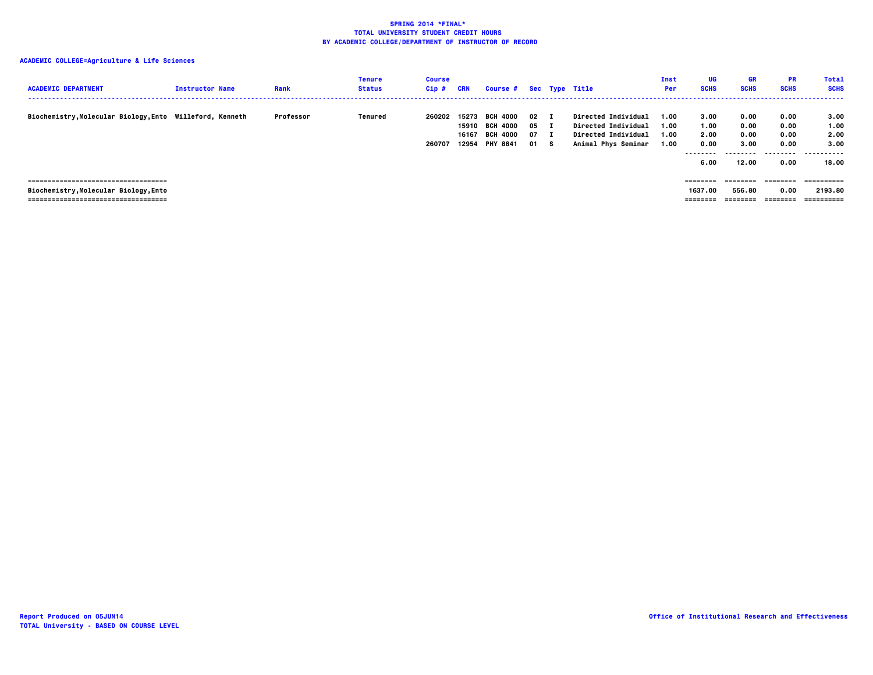| <b>ACADEMIC DEPARTMENT</b>                               | <b>Instructor Name</b> | Rank      | <b>Tenure</b><br>Status | Course<br>$Cip$ # | CRN                     | Course # Sec Type Title                                                 |                                    |     |                                                                                                               | Inst<br>Per                  | UG<br><b>SCHS</b>                                | <b>GR</b><br><b>SCHS</b>                   | <b>PR</b><br><b>SCHS</b>                          | <b>Total</b><br><b>SCHS</b>                |
|----------------------------------------------------------|------------------------|-----------|-------------------------|-------------------|-------------------------|-------------------------------------------------------------------------|------------------------------------|-----|---------------------------------------------------------------------------------------------------------------|------------------------------|--------------------------------------------------|--------------------------------------------|---------------------------------------------------|--------------------------------------------|
| Biochemistry, Molecular Biology, Ento Willeford, Kenneth |                        | Professor | Tenured                 | 260202<br>260707  | 15273<br>16167<br>12954 | <b>BCH 4000</b><br>15910 BCH 4000<br><b>BCH 4000</b><br><b>PHY 8841</b> | $02 \quad I$<br>05<br>07 I<br>01 S | . т | <b>Directed Individual</b><br><b>Directed Individual</b><br><b>Directed Individual</b><br>Animal Phys Seminar | 1.00<br>1.00<br>1.00<br>1.00 | 3.00<br>1.00<br>2.00<br>0.00<br>--------<br>6.00 | 0.00<br>0.00<br>0.00<br>3.00<br>.<br>12.00 | 0.00<br>0.00<br>0.00<br>0.00<br>---------<br>0.00 | 3.00<br>1.00<br>2.00<br>3.00<br>.<br>18.00 |
| -------------------------------------                    |                        |           |                         |                   |                         |                                                                         |                                    |     |                                                                                                               |                              | ========                                         | ========                                   |                                                   | ==========                                 |
| Biochemistry, Molecular Biology, Ento                    |                        |           |                         |                   |                         |                                                                         |                                    |     |                                                                                                               |                              | 1637.00                                          | 556.80                                     | 0.00                                              | 2193.80                                    |
| -------------------------------------                    |                        |           |                         |                   |                         |                                                                         |                                    |     |                                                                                                               |                              | ========                                         | ========                                   |                                                   | ==========                                 |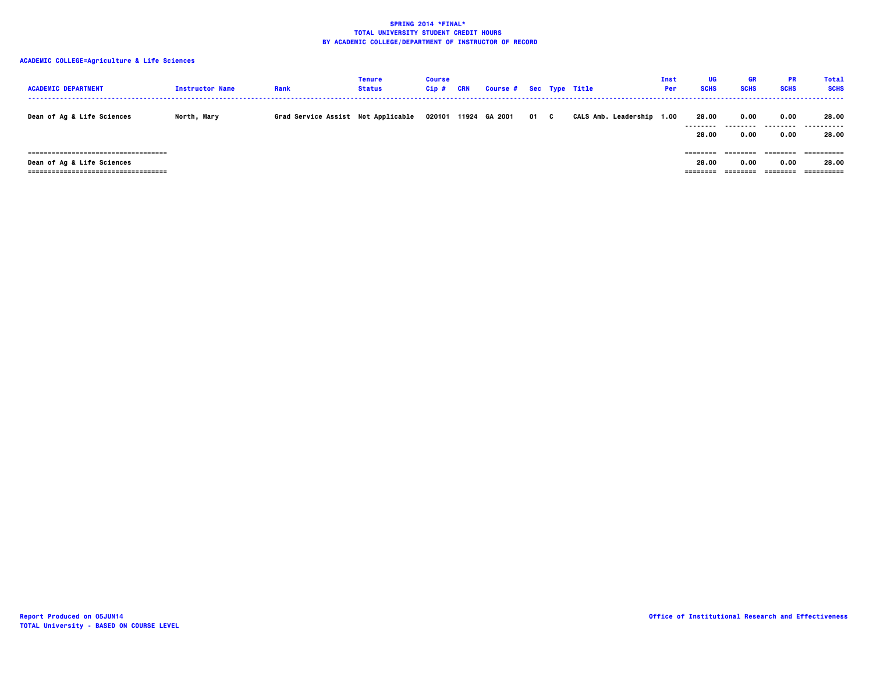| <b>ACADEMIC DEPARTMENT</b>                                                                              | <b>Instructor Name</b> | Rank                               | Tenure<br><b>Status</b> | <b>Course</b><br>$Cip$ # | CRN | Course # Sec Type Title |      |                           | Inst<br>Per | UG<br><b>SCHS</b>         | <b>GR</b><br><b>SCHS</b> | <b>PR</b><br><b>SCHS</b> | <b>Total</b><br><b>SCHS</b> |
|---------------------------------------------------------------------------------------------------------|------------------------|------------------------------------|-------------------------|--------------------------|-----|-------------------------|------|---------------------------|-------------|---------------------------|--------------------------|--------------------------|-----------------------------|
| Dean of Ag & Life Sciences                                                                              | North, Mary            | Grad Service Assist Not Applicable |                         | 020101                   |     | 11924 GA 2001           | 01 C | CALS Amb. Leadership 1.00 |             | 28.00<br>.<br>28.00       | 0.00<br>0.00             | 0.00<br>0.00             | 28.00<br>------<br>28.00    |
| -------------------------------------<br>Dean of Ag & Life Sciences<br>. ============================== |                        |                                    |                         |                          |     |                         |      |                           |             | ========<br>28.00<br>==== | 0.00                     | 0.00                     | ==========<br>28.00         |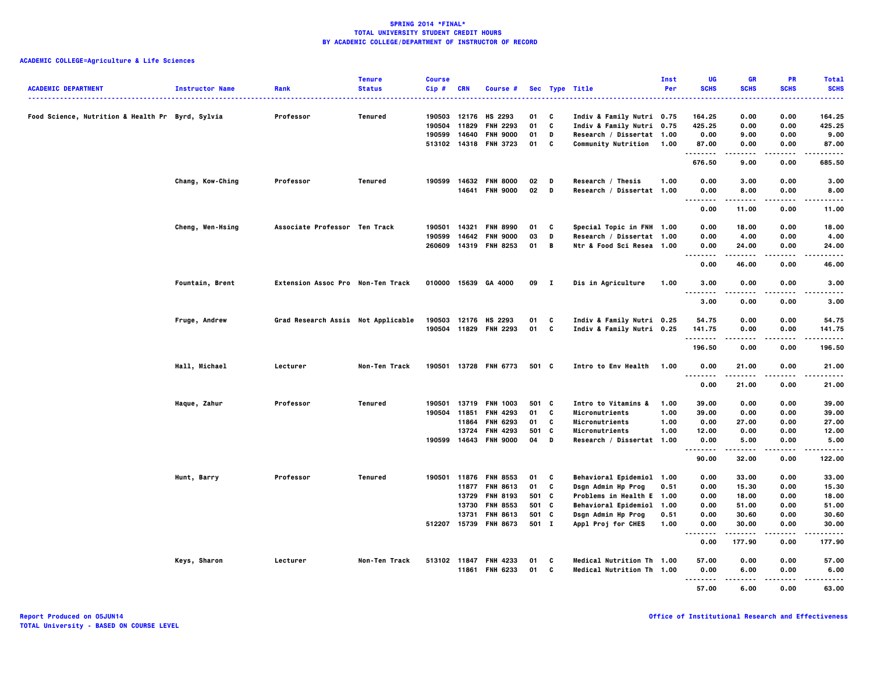| <b>ACADEMIC DEPARTMENT</b>                       | <b>Instructor Name</b> | Rank                               | <b>Tenure</b><br><b>Status</b> | <b>Course</b><br>$Cip$ # | CRN   | Course #              |        |                | Sec Type Title            | Inst<br>Per | UG<br><b>SCHS</b>                 | <b>GR</b><br><b>SCHS</b> | PR<br><b>SCHS</b> | <b>Total</b><br><b>SCHS</b> |
|--------------------------------------------------|------------------------|------------------------------------|--------------------------------|--------------------------|-------|-----------------------|--------|----------------|---------------------------|-------------|-----------------------------------|--------------------------|-------------------|-----------------------------|
|                                                  |                        |                                    |                                |                          |       |                       |        |                | .                         |             |                                   |                          |                   |                             |
| Food Science, Nutrition & Health Pr Byrd, Sylvia |                        | Professor                          | Tenured                        | 190503                   | 12176 | HS 2293               | 01     | <b>C</b>       | Indiv & Family Nutri 0.75 |             | 164.25                            | 0.00                     | 0.00              | 164.25                      |
|                                                  |                        |                                    |                                | 190504                   | 11829 | <b>FNH 2293</b>       | 01     | c              | Indiv & Family Nutri 0.75 |             | 425.25                            | 0.00                     | 0.00              | 425.25                      |
|                                                  |                        |                                    |                                | 190599                   | 14640 | <b>FNH 9000</b>       | 01     | D              | Research / Dissertat 1.00 |             | 0.00                              | 9.00                     | 0.00              | 9.00                        |
|                                                  |                        |                                    |                                |                          |       | 513102 14318 FNH 3723 | 01     | c              | Community Nutrition 1.00  |             | 87.00<br>.                        | 0.00<br>$\sim$ - $\sim$  | 0.00              | 87.00                       |
|                                                  |                        |                                    |                                |                          |       |                       |        |                |                           |             | 676.50                            | 9.00                     | 0.00              | 685.50                      |
|                                                  | Chang, Kow-Ching       | Professor                          | Tenured                        |                          |       | 190599 14632 FNH 8000 | 02     | D              | Research / Thesis         | 1.00        | 0.00                              | 3.00                     | 0.00              | 3.00                        |
|                                                  |                        |                                    |                                |                          |       | 14641 FNH 9000        | $02$ D |                | Research / Dissertat 1.00 |             | 0.00<br>$\sim$ $\sim$ $\sim$      | 8.00                     | 0.00              | 8.00                        |
|                                                  |                        |                                    |                                |                          |       |                       |        |                |                           |             | 0.00                              | 11.00                    | 0.00              | 11.00                       |
|                                                  | Cheng, Wen-Hsing       | Associate Professor Ten Track      |                                | 190501                   | 14321 | <b>FNH 8990</b>       | 01     | C              | Special Topic in FNH 1.00 |             | 0.00                              | 18.00                    | 0.00              | 18.00                       |
|                                                  |                        |                                    |                                | 190599                   | 14642 | <b>FNH 9000</b>       | 03     | D              | Research / Dissertat 1.00 |             | 0.00                              | 4.00                     | 0.00              | 4.00                        |
|                                                  |                        |                                    |                                | 260609                   |       | 14319 FNH 8253        | 01     | $\overline{B}$ | Ntr & Food Sci Resea 1.00 |             | 0.00<br>.                         | 24.00<br>. <b>.</b>      | 0.00<br>.         | 24.00<br>.                  |
|                                                  |                        |                                    |                                |                          |       |                       |        |                |                           |             | 0.00                              | 46.00                    | 0.00              | 46.00                       |
|                                                  | Fountain, Brent        | Extension Assoc Pro Non-Ten Track  |                                |                          |       | 010000 15639 GA 4000  | 09 I   |                | Dis in Agriculture        | 1.00        | 3.00                              | 0.00                     | 0.00              | 3.00                        |
|                                                  |                        |                                    |                                |                          |       |                       |        |                |                           |             | $\sim$ $\sim$ $\sim$<br>.<br>3.00 | $- - - -$<br>0.00        | .<br>0.00         | ----<br>3.00                |
|                                                  | Fruge, Andrew          | Grad Research Assis Not Applicable |                                |                          |       | 190503 12176 HS 2293  | 01     | <b>C</b>       | Indiv & Family Nutri 0.25 |             | 54.75                             | 0.00                     | 0.00              | 54.75                       |
|                                                  |                        |                                    |                                |                          |       | 190504 11829 FNH 2293 | 01     | $\mathbf{c}$   | Indiv & Family Nutri 0.25 |             | 141.75                            | 0.00                     | 0.00              | 141.75                      |
|                                                  |                        |                                    |                                |                          |       |                       |        |                |                           |             | .<br>196.50                       | .<br>0.00                | .<br>0.00         | .<br>196.50                 |
|                                                  | Hall, Michael          | Lecturer                           | Non-Ten Track                  |                          |       | 190501 13728 FNH 6773 | 501 C  |                | Intro to Env Health       | 1.00        | 0.00                              | 21.00                    | 0.00              | 21.00                       |
|                                                  |                        |                                    |                                |                          |       |                       |        |                |                           |             | <br>0.00                          | .<br>21.00               | .<br>0.00         | .<br>21.00                  |
|                                                  | Haque, Zahur           | Professor                          | Tenured                        | 190501                   |       | 13719 FNH 1003        | 501 C  |                | Intro to Vitamins &       | 1.00        | 39.00                             | 0.00                     | 0.00              | 39.00                       |
|                                                  |                        |                                    |                                | 190504 11851             |       | <b>FNH 4293</b>       | 01     | C              | Micronutrients            | 1.00        | 39.00                             | 0.00                     | 0.00              | 39.00                       |
|                                                  |                        |                                    |                                |                          | 11864 | FNH 6293              | 01 C   |                | Micronutrients            | 1.00        | 0.00                              | 27.00                    | 0.00              | 27.00                       |
|                                                  |                        |                                    |                                |                          | 13724 | FNH 4293              | 501    | C              | Micronutrients            | 1.00        | 12.00                             | 0.00                     | 0.00              | 12.00                       |
|                                                  |                        |                                    |                                |                          |       | 190599 14643 FNH 9000 | 04     | D              | Research / Dissertat 1.00 |             | 0.00                              | 5.00                     | 0.00              | 5.00                        |
|                                                  |                        |                                    |                                |                          |       |                       |        |                |                           |             | .<br>90.00                        | .<br>32.00               | .<br>0.00         | .<br>122.00                 |
|                                                  | Hunt, Barry            | Professor                          | <b>Tenured</b>                 |                          |       | 190501 11876 FNH 8553 | 01 C   |                | Behavioral Epidemiol 1.00 |             | 0.00                              | 33.00                    | 0.00              | 33.00                       |
|                                                  |                        |                                    |                                |                          | 11877 | <b>FNH 8613</b>       | 01     | C              | Dsgn Admin Hp Prog        | 0.51        | 0.00                              | 15.30                    | 0.00              | 15.30                       |
|                                                  |                        |                                    |                                |                          | 13729 | <b>FNH 8193</b>       | 501 C  |                | Problems in Health E 1.00 |             | 0.00                              | 18.00                    | 0.00              | 18.00                       |
|                                                  |                        |                                    |                                |                          |       | 13730 FNH 8553        | 501 C  |                | Behavioral Epidemiol 1.00 |             | 0.00                              | 51.00                    | 0.00              | 51.00                       |
|                                                  |                        |                                    |                                |                          | 13731 | <b>FNH 8613</b>       | 501 C  |                | Dsgn Admin Hp Prog        | 0.51        | 0.00                              | 30.60                    | 0.00              | 30.60                       |
|                                                  |                        |                                    |                                |                          |       | 512207 15739 FNH 8673 | 501 I  |                | Appl Proj for CHES        | 1.00        | 0.00<br>.<br>.                    | 30.00<br>.               | 0.00<br>.         | 30.00<br>.                  |
|                                                  |                        |                                    |                                |                          |       |                       |        |                |                           |             | 0.00                              | 177.90                   | 0.00              | 177.90                      |
|                                                  | Keys, Sharon           | Lecturer                           | Non-Ten Track                  | 513102 11847             |       | <b>FNH 4233</b>       | 01     | C              | Medical Nutrition Th 1.00 |             | 57.00                             | 0.00                     | 0.00              | 57.00                       |
|                                                  |                        |                                    |                                |                          | 11861 | <b>FNH 6233</b>       | 01     | $\mathbf{c}$   | Medical Nutrition Th 1.00 |             | 0.00<br>.                         | 6.00                     | 0.00              | 6.00                        |
|                                                  |                        |                                    |                                |                          |       |                       |        |                |                           |             | 57.00                             | 6.00                     | 0.00              | 63.00                       |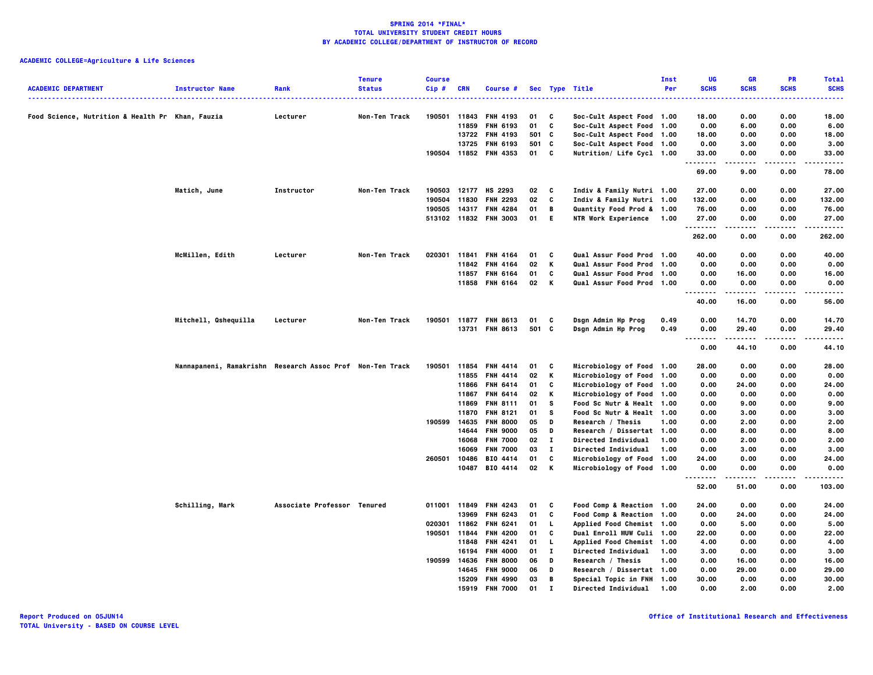| <b>ACADEMIC DEPARTMENT</b>                       | <b>Instructor Name</b>                                    | Rank                        | <b>Tenure</b><br><b>Status</b> | <b>Course</b><br>Cip# | <b>CRN</b> | Course #              |       |                          | Sec Type Title             | Inst<br>Per | UG<br><b>SCHS</b> | <b>GR</b><br><b>SCHS</b> | PR<br><b>SCHS</b> | <b>Total</b><br><b>SCHS</b> |
|--------------------------------------------------|-----------------------------------------------------------|-----------------------------|--------------------------------|-----------------------|------------|-----------------------|-------|--------------------------|----------------------------|-------------|-------------------|--------------------------|-------------------|-----------------------------|
|                                                  |                                                           |                             |                                |                       |            |                       |       |                          |                            |             |                   |                          |                   | .                           |
| Food Science, Nutrition & Health Pr Khan, Fauzia |                                                           | Lecturer                    | Non-Ten Track                  | 190501                |            | 11843 FNH 4193        | 01    | C                        | Soc-Cult Aspect Food 1.00  |             | 18.00             | 0.00                     | 0.00              | 18.00                       |
|                                                  |                                                           |                             |                                |                       |            | 11859 FNH 6193        | 01    | C                        | Soc-Cult Aspect Food 1.00  |             | 0.00              | 6.00                     | 0.00              | 6.00                        |
|                                                  |                                                           |                             |                                |                       |            | 13722 FNH 4193        | 501 C |                          | Soc-Cult Aspect Food 1.00  |             | 18.00             | 0.00                     | 0.00              | 18.00                       |
|                                                  |                                                           |                             |                                |                       |            | 13725 FNH 6193        | 501 C |                          | Soc-Cult Aspect Food 1.00  |             | 0.00              | 3.00                     | 0.00              | 3.00                        |
|                                                  |                                                           |                             |                                |                       |            | 190504 11852 FNH 4353 | 01 C  |                          | Nutrition/ Life Cycl 1.00  |             | 33.00<br>.        | 0.00<br>.                | 0.00<br>$- - - -$ | 33.00<br>.                  |
|                                                  |                                                           |                             |                                |                       |            |                       |       |                          |                            |             | 69.00             | 9.00                     | 0.00              | 78.00                       |
|                                                  | Matich, June                                              | Instructor                  | Non-Ten Track                  | 190503                |            | 12177 HS 2293         | 02    | $\overline{\phantom{a}}$ | Indiv & Family Nutri 1.00  |             | 27.00             | 0.00                     | 0.00              | 27.00                       |
|                                                  |                                                           |                             |                                | 190504                | 11830      | <b>FNH 2293</b>       | 02    | C                        | Indiv & Family Nutri 1.00  |             | 132.00            | 0.00                     | 0.00              | 132.00                      |
|                                                  |                                                           |                             |                                | 190505                |            | 14317 FNH 4284        | 01    | B                        | Quantity Food Prod & 1.00  |             | 76.00             | 0.00                     | 0.00              | 76.00                       |
|                                                  |                                                           |                             |                                |                       |            | 513102 11832 FNH 3003 | 01    | - E                      | <b>NTR Work Experience</b> | 1.00        | 27.00<br>.        | 0.00                     | 0.00              | 27.00                       |
|                                                  |                                                           |                             |                                |                       |            |                       |       |                          |                            |             | 262.00            | 0.00                     | 0.00              | .<br>262.00                 |
|                                                  | McMillen, Edith                                           | Lecturer                    | Non-Ten Track                  | 020301                |            | 11841 FNH 4164        | 01    | C                        | Qual Assur Food Prod 1.00  |             | 40.00             | 0.00                     | 0.00              | 40.00                       |
|                                                  |                                                           |                             |                                |                       |            | 11842 FNH 4164        | 02    | K                        | Qual Assur Food Prod 1.00  |             | 0.00              | 0.00                     | 0.00              | 0.00                        |
|                                                  |                                                           |                             |                                |                       |            | 11857 FNH 6164        | 01    | C                        | Qual Assur Food Prod 1.00  |             | 0.00              | 16.00                    | 0.00              | 16.00                       |
|                                                  |                                                           |                             |                                |                       |            | 11858 FNH 6164        | 02 K  |                          | Qual Assur Food Prod 1.00  |             | 0.00              | 0.00                     | 0.00              | 0.00                        |
|                                                  |                                                           |                             |                                |                       |            |                       |       |                          |                            |             | .<br>40.00        | 16.00                    | 0.00              | -----<br>56.00              |
|                                                  | Mitchell, Qshequilla                                      | Lecturer                    | Non-Ten Track                  | 190501                |            | 11877 FNH 8613        | 01    | C                        | Dsgn Admin Hp Prog         | 0.49        | 0.00              | 14.70                    | 0.00              | 14.70                       |
|                                                  |                                                           |                             |                                |                       |            | 13731 FNH 8613        | 501 C |                          | Dsgn Admin Hp Prog         | 0.49        | 0.00              | 29.40                    | 0.00              | 29.40                       |
|                                                  |                                                           |                             |                                |                       |            |                       |       |                          |                            |             | ---<br>0.00       | 44.10                    | 0.00              | .<br>44.10                  |
|                                                  | Nannapaneni, Ramakrishn Research Assoc Prof Non-Ten Track |                             |                                | 190501                |            | 11854 FNH 4414        | 01    | c                        | Microbiology of Food 1.00  |             | 28.00             | 0.00                     | 0.00              | 28.00                       |
|                                                  |                                                           |                             |                                |                       |            | 11855 FNH 4414        | 02    | K                        | Microbiology of Food 1.00  |             | 0.00              | 0.00                     | 0.00              | 0.00                        |
|                                                  |                                                           |                             |                                |                       |            | 11866 FNH 6414        | 01    | C                        | Microbiology of Food 1.00  |             | 0.00              | 24.00                    | 0.00              | 24.00                       |
|                                                  |                                                           |                             |                                |                       |            | 11867 FNH 6414        | 02    | K                        | Microbiology of Food 1.00  |             | 0.00              | 0.00                     | 0.00              | 0.00                        |
|                                                  |                                                           |                             |                                |                       |            | 11869 FNH 8111        | 01    | s                        | Food Sc Nutr & Healt 1.00  |             | 0.00              | 9.00                     | 0.00              | 9.00                        |
|                                                  |                                                           |                             |                                |                       |            | 11870 FNH 8121        | 01    | s                        | Food Sc Nutr & Healt 1.00  |             | 0.00              | 3.00                     | 0.00              | 3.00                        |
|                                                  |                                                           |                             |                                | 190599                |            | 14635 FNH 8000        | 05    | D                        | Research / Thesis          | 1.00        | 0.00              | 2.00                     | 0.00              | 2.00                        |
|                                                  |                                                           |                             |                                |                       |            | 14644 FNH 9000        | 05    | D                        | Research / Dissertat 1.00  |             | 0.00              | 8.00                     | 0.00              | 8.00                        |
|                                                  |                                                           |                             |                                |                       |            | 16068 FNH 7000        | 02    | $\bf{I}$                 | Directed Individual        | 1.00        | 0.00              | 2.00                     | 0.00              | 2.00                        |
|                                                  |                                                           |                             |                                |                       | 16069      | <b>FNH 7000</b>       | 03    | $\mathbf{I}$             | Directed Individual        | 1.00        | 0.00              | 3.00                     | 0.00              | 3.00                        |
|                                                  |                                                           |                             |                                | 260501                | 10486      | BIO 4414              | 01    | C                        | Microbiology of Food 1.00  |             | 24.00             | 0.00                     | 0.00              | 24.00                       |
|                                                  |                                                           |                             |                                |                       |            | 10487 BIO 4414        | 02 K  |                          | Microbiology of Food 1.00  |             | 0.00<br>.         | 0.00                     | 0.00              | 0.00<br>.                   |
|                                                  |                                                           |                             |                                |                       |            |                       |       |                          |                            |             | 52.00             | 51.00                    | 0.00              | 103.00                      |
|                                                  | Schilling, Mark                                           | Associate Professor Tenured |                                |                       |            | 011001 11849 FNH 4243 | 01    | C                        | Food Comp & Reaction 1.00  |             | 24.00             | 0.00                     | 0.00              | 24.00                       |
|                                                  |                                                           |                             |                                |                       | 13969      | <b>FNH 6243</b>       | 01    | C                        | Food Comp & Reaction 1.00  |             | 0.00              | 24.00                    | 0.00              | 24.00                       |
|                                                  |                                                           |                             |                                | 020301                |            | 11862 FNH 6241        | 01    | L.                       | Applied Food Chemist 1.00  |             | 0.00              | 5.00                     | 0.00              | 5.00                        |
|                                                  |                                                           |                             |                                | 190501                | 11844      | <b>FNH 4200</b>       | 01    | C                        | Dual Enroll MUW Culi 1.00  |             | 22.00             | 0.00                     | 0.00              | 22.00                       |
|                                                  |                                                           |                             |                                |                       |            | 11848 FNH 4241        | 01    | L.                       | Applied Food Chemist 1.00  |             | 4.00              | 0.00                     | 0.00              | 4.00                        |
|                                                  |                                                           |                             |                                |                       |            | 16194 FNH 4000        | 01    | $\mathbf{I}$             | Directed Individual        | 1.00        | 3.00              | 0.00                     | 0.00              | 3.00                        |
|                                                  |                                                           |                             |                                | 190599                | 14636      | <b>FNH 8000</b>       | 06    | D                        | Research / Thesis          | 1.00        | 0.00              | 16.00                    | 0.00              | 16.00                       |
|                                                  |                                                           |                             |                                |                       |            | 14645 FNH 9000        | 06    | D                        | Research / Dissertat 1.00  |             | 0.00              | 29.00                    | 0.00              | 29.00                       |
|                                                  |                                                           |                             |                                |                       |            | 15209 FNH 4990        | 03    | B                        | Special Topic in FNH 1.00  |             | 30.00             | 0.00                     | 0.00              | 30.00                       |
|                                                  |                                                           |                             |                                |                       |            | 15919 FNH 7000        | 01    | $\mathbf{I}$             | Directed Individual        | 1.00        | 0.00              | 2.00                     | 0.00              | 2.00                        |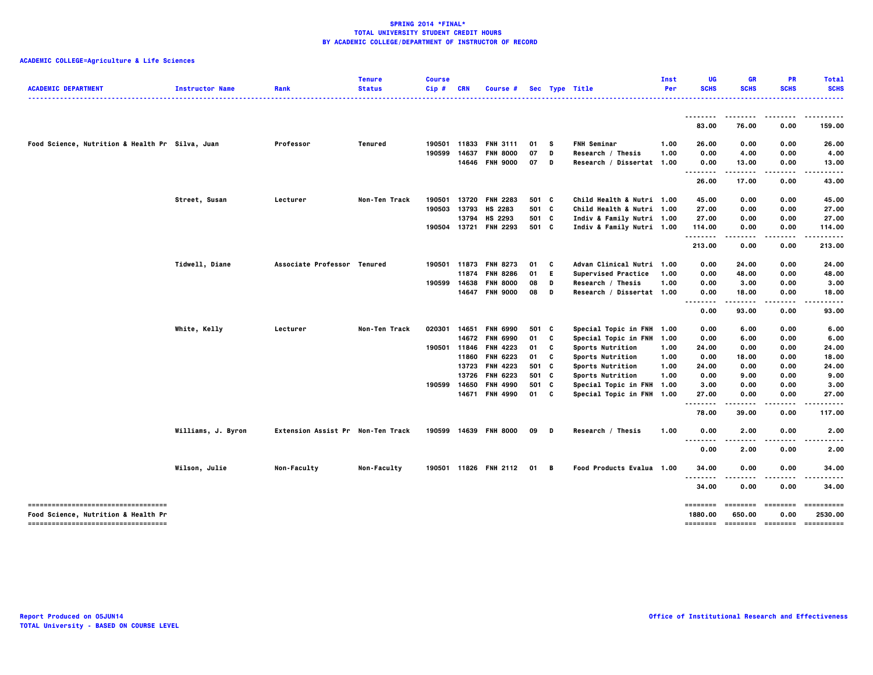| <b>ACADEMIC DEPARTMENT</b>                                                 | <b>Instructor Name</b> | Rank                              | <b>Tenure</b><br><b>Status</b> | <b>Course</b><br>Cip# | <b>CRN</b> | Course #              |              |     | Sec Type Title            | Inst<br>Per | UG<br><b>SCHS</b>                        | <b>GR</b><br><b>SCHS</b>   | <b>PR</b><br><b>SCHS</b> | <b>Total</b><br><b>SCHS</b> |
|----------------------------------------------------------------------------|------------------------|-----------------------------------|--------------------------------|-----------------------|------------|-----------------------|--------------|-----|---------------------------|-------------|------------------------------------------|----------------------------|--------------------------|-----------------------------|
|                                                                            |                        |                                   |                                |                       |            |                       |              |     |                           |             |                                          |                            |                          | .                           |
|                                                                            |                        |                                   |                                |                       |            |                       |              |     |                           |             | <br>83.00                                | --------<br>76.00          | 0.00                     | .<br>159.00                 |
| Food Science, Nutrition & Health Pr Silva, Juan                            |                        | Professor                         | Tenured                        | 190501                | 11833      | <b>FNH 3111</b>       | 01           | - S | <b>FNH Seminar</b>        | 1.00        | 26.00                                    | 0.00                       | 0.00                     | 26.00                       |
|                                                                            |                        |                                   |                                | 190599                | 14637      | <b>FNH 8000</b>       | 07           | D   | Research / Thesis         | 1.00        | 0.00                                     | 4.00                       | 0.00                     | 4.00                        |
|                                                                            |                        |                                   |                                |                       |            | 14646 FNH 9000        | 07           | D   | Research / Dissertat 1.00 |             | 0.00                                     | 13.00                      | 0.00                     | 13.00                       |
|                                                                            |                        |                                   |                                |                       |            |                       |              |     |                           |             | .<br>26.00                               | .<br>17.00                 | 0.00                     | 43.00                       |
|                                                                            | Street, Susan          | Lecturer                          | Non-Ten Track                  | 190501                | 13720      | <b>FNH 2283</b>       | 501 C        |     | Child Health & Nutri 1.00 |             | 45.00                                    | 0.00                       | 0.00                     | 45.00                       |
|                                                                            |                        |                                   |                                | 190503                | 13793      | HS 2283               | 501 C        |     | Child Health & Nutri 1.00 |             | 27.00                                    | 0.00                       | 0.00                     | 27.00                       |
|                                                                            |                        |                                   |                                |                       | 13794      | HS 2293               | 501 C        |     | Indiv & Family Nutri 1.00 |             | 27.00                                    | 0.00                       | 0.00                     | 27.00                       |
|                                                                            |                        |                                   |                                |                       |            | 190504 13721 FNH 2293 | 501 C        |     | Indiv & Family Nutri 1.00 |             | 114.00<br>                               | 0.00<br>$\cdots$           | 0.00<br>.                | 114.00<br>                  |
|                                                                            |                        |                                   |                                |                       |            |                       |              |     |                           |             | 213.00                                   | 0.00                       | 0.00                     | 213.00                      |
|                                                                            | Tidwell, Diane         | Associate Professor Tenured       |                                | 190501                |            | 11873 FNH 8273        | 01           | C   | Advan Clinical Nutri 1.00 |             | 0.00                                     | 24.00                      | 0.00                     | 24.00                       |
|                                                                            |                        |                                   |                                |                       | 11874      | <b>FNH 8286</b>       | 01           | E.  | Supervised Practice       | 1.00        | 0.00                                     | 48.00                      | 0.00                     | 48.00                       |
|                                                                            |                        |                                   |                                | 190599                | 14638      | <b>FNH 8000</b>       | 08           | D   | Research / Thesis         | 1.00        | 0.00                                     | 3.00                       | 0.00                     | 3.00                        |
|                                                                            |                        |                                   |                                |                       | 14647      | <b>FNH 9000</b>       | 08           | D   | Research / Dissertat 1.00 |             | 0.00                                     | 18.00                      | 0.00                     | 18.00                       |
|                                                                            |                        |                                   |                                |                       |            |                       |              |     |                           |             | $\ddotsc$<br>0.00                        | 93.00                      | 0.00                     | 93.00                       |
|                                                                            | White, Kelly           | Lecturer                          | Non-Ten Track                  | 020301                | 14651      | <b>FNH 6990</b>       | 501 C        |     | Special Topic in FNH 1.00 |             | 0.00                                     | 6.00                       | 0.00                     | 6.00                        |
|                                                                            |                        |                                   |                                |                       |            | 14672 FNH 6990        | 01           | C   | Special Topic in FNH 1.00 |             | 0.00                                     | 6.00                       | 0.00                     | 6.00                        |
|                                                                            |                        |                                   |                                | 190501                | 11846      | <b>FNH 4223</b>       | 01           | C   | Sports Nutrition          | 1.00        | 24.00                                    | 0.00                       | 0.00                     | 24.00                       |
|                                                                            |                        |                                   |                                |                       | 11860      | <b>FNH 6223</b>       | 01           | C   | Sports Nutrition          | 1.00        | 0.00                                     | 18.00                      | 0.00                     | 18.00                       |
|                                                                            |                        |                                   |                                |                       | 13723      | <b>FNH 4223</b>       | 501 C        |     | Sports Nutrition          | 1.00        | 24.00                                    | 0.00                       | 0.00                     | 24.00                       |
|                                                                            |                        |                                   |                                |                       | 13726      | <b>FNH 6223</b>       | 501 C        |     | Sports Nutrition          | 1.00        | 0.00                                     | 9.00                       | 0.00                     | 9.00                        |
|                                                                            |                        |                                   |                                | 190599                | 14650      | <b>FNH 4990</b>       | 501 C        |     | Special Topic in FNH 1.00 |             | 3.00                                     | 0.00                       | 0.00                     | 3.00                        |
|                                                                            |                        |                                   |                                |                       |            | 14671 FNH 4990        | 01 C         |     | Special Topic in FNH 1.00 |             | 27.00<br>                                | 0.00<br>-----              | 0.00<br>.                | 27.00<br>------             |
|                                                                            |                        |                                   |                                |                       |            |                       |              |     |                           |             | 78.00                                    | 39.00                      | 0.00                     | 117.00                      |
|                                                                            | Williams, J. Byron     | Extension Assist Pr Non-Ten Track |                                | 190599                |            | 14639 FNH 8000        | 09 D         |     | Research / Thesis         | 1.00        | 0.00                                     | 2.00                       | 0.00                     | 2.00                        |
|                                                                            |                        |                                   |                                |                       |            |                       |              |     |                           |             | $\sim$ $\sim$ $\sim$<br>$\cdots$<br>0.00 | .<br>2.00                  | 0.00                     | 2.00                        |
|                                                                            | Wilson, Julie          | Non-Faculty                       | Non-Faculty                    |                       |            | 190501 11826 FNH 2112 | $01 \quad B$ |     | Food Products Evalua 1.00 |             | 34,00                                    | 0.00                       | 0.00                     | 34.00                       |
|                                                                            |                        |                                   |                                |                       |            |                       |              |     |                           |             | --------<br>34.00                        | .<br>0.00                  | ----<br>0.00             | 34.00                       |
| -----------------------------------                                        |                        |                                   |                                |                       |            |                       |              |     |                           |             |                                          | --------- -------- ------- |                          | -----------                 |
| Food Science, Nutrition & Health Pr<br>----------------------------------- |                        |                                   |                                |                       |            |                       |              |     |                           |             | 1880.00                                  | 650.00                     | 0.00                     | 2530.00                     |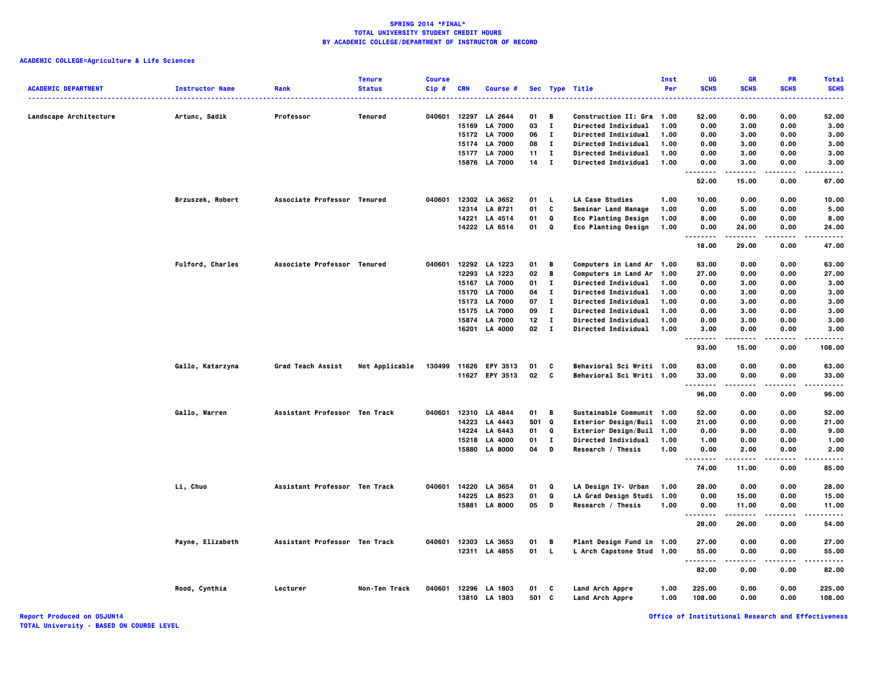| <b>ACADEMIC DEPARTMENT</b> | <b>Instructor Name</b> | Rank                          | <b>Tenure</b><br><b>Status</b> | <b>Course</b><br>Cip# | <b>CRN</b> | Course #                 |                 |              | Sec Type Title                     | Inst<br>Per  | UG<br><b>SCHS</b> | <b>GR</b><br><b>SCHS</b> | <b>PR</b><br><b>SCHS</b> | <b>Total</b><br><b>SCHS</b> |
|----------------------------|------------------------|-------------------------------|--------------------------------|-----------------------|------------|--------------------------|-----------------|--------------|------------------------------------|--------------|-------------------|--------------------------|--------------------------|-----------------------------|
| Landscape Architecture     | Artunc, Sadik          | Professor                     | Tenured                        | 040601                | 12297      | LA 2644                  | 01              | B            | Construction II: Gra 1.00          |              | 52.00             | 0.00                     | 0.00                     | 52.00                       |
|                            |                        |                               |                                |                       |            | 15169 LA 7000            | 03              | $\mathbf{I}$ | <b>Directed Individual</b>         | 1.00         | 0.00              | 3.00                     | 0.00                     | 3.00                        |
|                            |                        |                               |                                |                       | 15172      | <b>LA 7000</b>           | 06              | $\mathbf{I}$ | Directed Individual                | 1.00         | 0.00              | 3.00                     | 0.00                     | 3.00                        |
|                            |                        |                               |                                |                       | 15174      | <b>LA 7000</b>           | 08              | $\mathbf{I}$ | Directed Individual                | 1.00         | 0.00              | 3.00                     | 0.00                     | 3.00                        |
|                            |                        |                               |                                |                       | 15177      | <b>LA 7000</b>           | 11              | $\mathbf{I}$ | Directed Individual                | 1.00         | 0.00              | 3.00                     | 0.00                     | 3.00                        |
|                            |                        |                               |                                |                       | 15876      | <b>LA 7000</b>           | 14              | $\mathbf{I}$ | Directed Individual                | 1.00         | 0.00              | 3.00                     | 0.00                     | 3.00                        |
|                            |                        |                               |                                |                       |            |                          |                 |              |                                    |              | $\cdots$<br>52.00 | .<br>15.00               | $- - - -$<br>0.00        | 67.00                       |
|                            | Brzuszek, Robert       | Associate Professor Tenured   |                                | 040601                |            | 12302 LA 3652            | 01              | L            | LA Case Studies                    | 1.00         | 10.00             | 0.00                     | 0.00                     | 10.00                       |
|                            |                        |                               |                                |                       |            | 12314 LA 8721            | 01              | C            | Seminar Land Manage                | 1.00         | 0.00              | 5.00                     | 0.00                     | 5.00                        |
|                            |                        |                               |                                |                       |            | 14221 LA 4514            | 01              | Q            | Eco Planting Design                | 1.00         | 8.00              | 0.00                     | 0.00                     | 8.00                        |
|                            |                        |                               |                                |                       |            | 14222 LA 6514            | 01              | Q            | <b>Eco Planting Design</b>         | 1.00         | 0.00<br>.         | 24.00                    | 0.00                     | 24.00                       |
|                            |                        |                               |                                |                       |            |                          |                 |              |                                    |              | 18.00             | 29.00                    | 0.00                     | 47.00                       |
|                            | Fulford, Charles       | Associate Professor Tenured   |                                | 040601                |            | 12292 LA 1223            | 01              | В            | Computers in Land Ar 1.00          |              | 63.00             | 0.00                     | 0.00                     | 63.00                       |
|                            |                        |                               |                                |                       |            | 12293 LA 1223            | 02              | В            | Computers in Land Ar               | 1.00         | 27.00             | 0.00                     | 0.00                     | 27.00                       |
|                            |                        |                               |                                |                       | 15167      | <b>LA 7000</b>           | 01              | $\mathbf{I}$ | Directed Individual                | 1.00         | 0.00              | 3.00                     | 0.00                     | 3.00                        |
|                            |                        |                               |                                |                       |            | 15170 LA 7000            | 04              | $\mathbf{T}$ | Directed Individual                | 1.00         | 0.00              | 3.00                     | 0.00                     | 3.00                        |
|                            |                        |                               |                                |                       | 15173      | <b>LA 7000</b>           | 07              | $\mathbf{I}$ | <b>Directed Individual</b>         | 1.00         | 0.00              | 3.00                     | 0.00                     | 3.00                        |
|                            |                        |                               |                                |                       | 15175      | <b>LA 7000</b>           | 09              | $\mathbf{I}$ | Directed Individual                | 1.00         | 0.00              | 3.00                     | 0.00                     | 3.00                        |
|                            |                        |                               |                                |                       | 15874      | <b>LA 7000</b>           | 12 <sub>2</sub> | $\mathbf{I}$ | Directed Individual                | 1.00         | 0.00              | 3.00                     | 0.00                     | 3.00                        |
|                            |                        |                               |                                |                       |            | 16201 LA 4000            | $02 \qquad I$   |              | Directed Individual                | 1.00         | 3.00              | 0.00                     | 0.00                     | 3.00                        |
|                            |                        |                               |                                |                       |            |                          |                 |              |                                    |              | 93.00             | 15.00                    | 0.00                     | 108.00                      |
|                            | Gallo, Katarzyna       | Grad Teach Assist             | Not Applicable                 |                       |            | 130499 11626 EPY 3513    | 01              | C            | Behavioral Sci Writi 1.00          |              | 63.00             | 0.00                     | 0.00                     | 63.00                       |
|                            |                        |                               |                                |                       |            | 11627 EPY 3513           | 02              | C            | Behavioral Sci Writi 1.00          |              | 33.00             | 0.00                     | 0.00                     | 33.00<br>$- - - - -$        |
|                            |                        |                               |                                |                       |            |                          |                 |              |                                    |              | .<br>96.00        | 0.00                     | 0.00                     | 96.00                       |
|                            | Gallo, Warren          | Assistant Professor Ten Track |                                | 040601                |            | 12310 LA 4844            | 01              | B            | Sustainable Communit 1.00          |              | 52.00             | 0.00                     | 0.00                     | 52.00                       |
|                            |                        |                               |                                |                       | 14223      | LA 4443                  | <b>SO1</b>      | Q            | Exterior Design/Buil 1.00          |              | 21.00             | 0.00                     | 0.00                     | 21.00                       |
|                            |                        |                               |                                |                       | 14224      | LA 6443                  | 01              | Q            | <b>Exterior Design/Buil 1.00</b>   |              | 0.00              | 9.00                     | 0.00                     | 9.00                        |
|                            |                        |                               |                                |                       | 15218      | LA 4000                  | 01              | $\mathbf{I}$ | Directed Individual                | 1.00         | 1.00              | 0.00                     | 0.00                     | 1.00                        |
|                            |                        |                               |                                |                       |            | 15880 LA 8000            | 04              | D            | Research / Thesis                  | 1.00         | 0.00              | 2.00                     | 0.00                     | 2.00                        |
|                            |                        |                               |                                |                       |            |                          |                 |              |                                    |              | <u>.</u><br>74.00 | -----<br>11.00           | $- - - -$<br>0.00        | $- - - -$<br>85.00          |
|                            | Li, Chuo               | Assistant Professor Ten Track |                                | 040601                |            | 14220 LA 3654            | 01              | Q            | LA Design IV- Urban                | 1.00         | 28.00             | 0.00                     | 0.00                     | 28.00                       |
|                            |                        |                               |                                |                       | 14225      | LA 8523                  | 01              | $\bf Q$      | LA Grad Design Studi 1.00          |              | 0.00              | 15.00                    | 0.00                     | 15.00                       |
|                            |                        |                               |                                |                       |            | 15881 LA 8000            | 05              | D            | Research / Thesis                  | 1.00         | 0.00              | 11.00                    | 0.00                     | 11.00                       |
|                            |                        |                               |                                |                       |            |                          |                 |              |                                    |              | .<br>28.00        | .<br>26.00               | 0.00                     | .<br>54.00                  |
|                            | Payne, Elizabeth       | Assistant Professor Ten Track |                                | 040601                | 12303      | LA 3653                  | 01              | В            | Plant Design Fund in 1.00          |              | 27.00             | 0.00                     | 0.00                     | 27.00                       |
|                            |                        |                               |                                |                       |            | 12311 LA 4855            | 01              | L.           | L Arch Capstone Stud 1.00          |              | 55.00             | 0.00                     | 0.00                     | 55.00                       |
|                            |                        |                               |                                |                       |            |                          |                 |              |                                    |              | .<br>82.00        | .<br>0.00                | .<br>0.00                | .<br>82.00                  |
|                            | Rood, Cynthia          | Lecturer                      | Non-Ten Track                  | 040601                | 12296      | LA 1803<br>13810 LA 1803 | 01<br>501 C     | C            | Land Arch Appre<br>Land Arch Appre | 1.00<br>1.00 | 225.00<br>108.00  | 0.00<br>0.00             | 0.00<br>0.00             | 225.00<br>108.00            |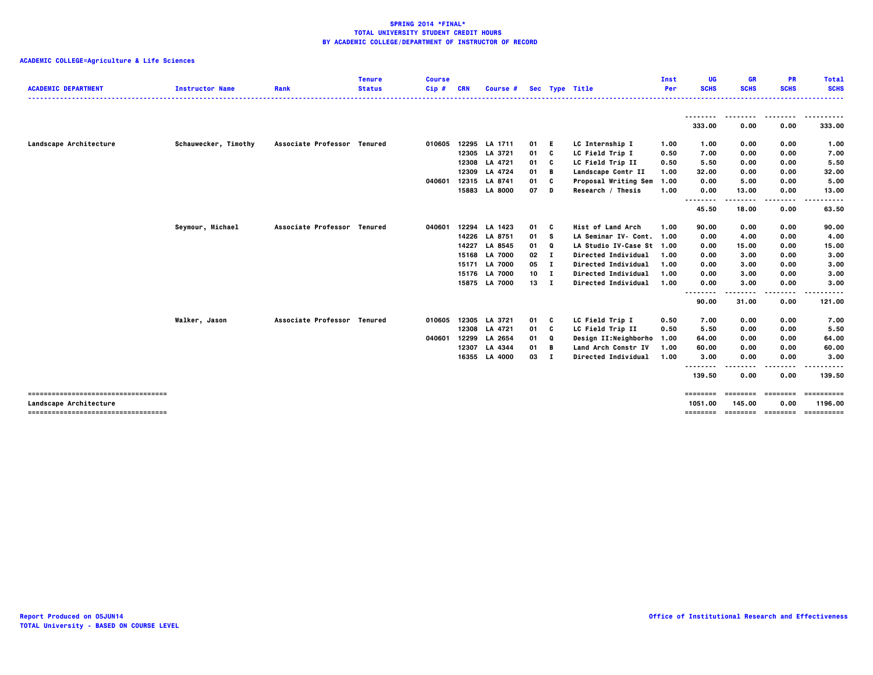| <b>ACADEMIC DEPARTMENT</b>            | <b>Instructor Name</b> | Rank                        | Tenure<br><b>Status</b> | <b>Course</b><br>Cip# | <b>CRN</b> | <b>Course #</b> |              |              | Sec Type Title            | Inst<br>Per | UG<br><b>SCHS</b> | GR<br><b>SCHS</b> | <b>PR</b><br><b>SCHS</b> | Total<br><b>SCHS</b> |
|---------------------------------------|------------------------|-----------------------------|-------------------------|-----------------------|------------|-----------------|--------------|--------------|---------------------------|-------------|-------------------|-------------------|--------------------------|----------------------|
|                                       |                        |                             |                         |                       |            |                 |              |              |                           |             | <u>.</u>          | --------          | .                        | .                    |
|                                       |                        |                             |                         |                       |            |                 |              |              |                           |             | 333.00            | 0.00              | 0.00                     | 333.00               |
| Landscape Architecture                | Schauwecker, Timothy   | Associate Professor Tenured |                         | 010605                | 12295      | LA 1711         | 01 E         |              | LC Internship I           | 1.00        | 1.00              | 0.00              | 0.00                     | 1.00                 |
|                                       |                        |                             |                         |                       | 12305      | LA 3721         | 01           | C            | LC Field Trip I           | 0.50        | 7.00              | 0.00              | 0.00                     | 7.00                 |
|                                       |                        |                             |                         |                       | 12308      | LA 4721         | 01           | C            | LC Field Trip II          | 0.50        | 5.50              | 0.00              | 0.00                     | 5.50                 |
|                                       |                        |                             |                         |                       | 12309      | LA 4724         | 01           | в            | Landscape Contr II        | 1.00        | 32.00             | 0.00              | 0.00                     | 32.00                |
|                                       |                        |                             |                         | 040601                | 12315      | LA 8741         | 01           | c            | Proposal Writing Sem      | 1.00        | 0.00              | 5.00              | 0.00                     | 5.00                 |
|                                       |                        |                             |                         |                       | 15883      | <b>LA 8000</b>  | 07           | D            | Research / Thesis         | 1.00        | 0.00              | 13.00             | 0.00                     | 13.00                |
|                                       |                        |                             |                         |                       |            |                 |              |              |                           |             | .<br>45.50        | 18.00             | 0.00                     | 63.50                |
|                                       | Seymour, Michael       | Associate Professor Tenured |                         | 040601                |            | 12294 LA 1423   | 01           | C            | Hist of Land Arch         | 1.00        | 90.00             | 0.00              | 0.00                     | 90.00                |
|                                       |                        |                             |                         |                       | 14226      | LA 8751         | 01           | s            | LA Seminar IV- Cont. 1.00 |             | 0.00              | 4.00              | 0.00                     | 4.00                 |
|                                       |                        |                             |                         |                       | 14227      | LA 8545         | 01           | Q            | LA Studio IV-Case St 1.00 |             | 0.00              | 15.00             | 0.00                     | 15.00                |
|                                       |                        |                             |                         |                       | 15168      | <b>LA 7000</b>  | 02           | - 1          | Directed Individual       | 1.00        | 0.00              | 3.00              | 0.00                     | 3.00                 |
|                                       |                        |                             |                         |                       | 15171      | <b>LA 7000</b>  | 05           | $\mathbf{I}$ | Directed Individual       | 1.00        | 0.00              | 3.00              | 0.00                     | 3.00                 |
|                                       |                        |                             |                         |                       | 15176      | <b>LA 7000</b>  | $10 \quad I$ |              | Directed Individual       | 1.00        | 0.00              | 3.00              | 0.00                     | 3.00                 |
|                                       |                        |                             |                         |                       |            | 15875 LA 7000   | 13 I         |              | Directed Individual       | 1.00        | 0.00              | 3.00              | 0.00                     | 3,00                 |
|                                       |                        |                             |                         |                       |            |                 |              |              |                           |             | --------<br>90.00 | ----<br>31.00     | .<br>0.00                | 121.00               |
|                                       | Walker, Jason          | Associate Professor Tenured |                         | 010605                | 12305      | LA 3721         | 01           | C            | LC Field Trip I           | 0.50        | 7.00              | 0.00              | 0.00                     | 7.00                 |
|                                       |                        |                             |                         |                       |            | 12308 LA 4721   | 01           | C            | LC Field Trip II          | 0.50        | 5.50              | 0.00              | 0.00                     | 5.50                 |
|                                       |                        |                             |                         | 040601                | 12299      | LA 2654         | 01           | Q            | Design II:Neighborho      | 1.00        | 64.00             | 0.00              | 0.00                     | 64.00                |
|                                       |                        |                             |                         |                       | 12307      | LA 4344         | 01           | В            | Land Arch Constr IV       | 1.00        | 60.00             | 0.00              | 0.00                     | 60.00                |
|                                       |                        |                             |                         |                       | 16355      | <b>LA 4000</b>  | 03 I         |              | Directed Individual       | 1.00        | 3.00              | 0.00              | 0.00                     | 3.00                 |
|                                       |                        |                             |                         |                       |            |                 |              |              |                           |             | .<br>139.50       | 0.00              | .<br>0.00                | .<br>139.50          |
|                                       |                        |                             |                         |                       |            |                 |              |              |                           |             | ========          | ---------         | ========                 | ==========           |
| <b>Landscape Architecture</b>         |                        |                             |                         |                       |            |                 |              |              |                           |             | 1051.00           | 145.00            | 0.00                     | 1196.00              |
| ------------------------------------- |                        |                             |                         |                       |            |                 |              |              |                           |             | ========          |                   | socococo concoco         | ==========           |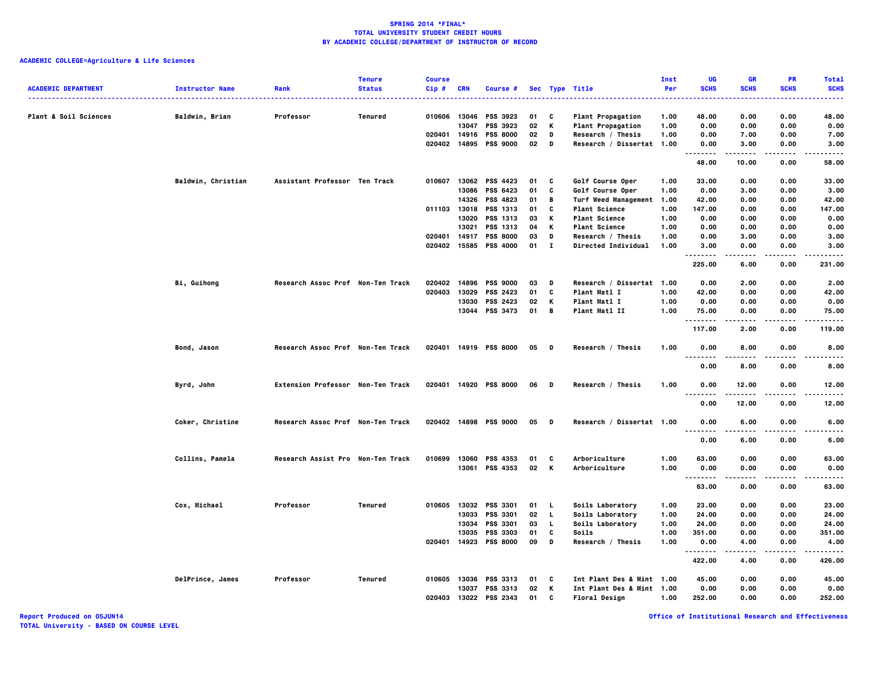|                            |                        |                                          | <b>Tenure</b>  | <b>Course</b> |                |                             |          |          |                           | Inst         | UG                                       | <b>GR</b>      | <b>PR</b>    | <b>Total</b>   |
|----------------------------|------------------------|------------------------------------------|----------------|---------------|----------------|-----------------------------|----------|----------|---------------------------|--------------|------------------------------------------|----------------|--------------|----------------|
| <b>ACADEMIC DEPARTMENT</b> | <b>Instructor Name</b> | Rank                                     | <b>Status</b>  | Cip#          | <b>CRN</b>     | Course #                    |          |          | Sec Type Title            | Per          | <b>SCHS</b>                              | <b>SCHS</b>    | <b>SCHS</b>  | <b>SCHS</b>    |
| Plant & Soil Sciences      | Baldwin, Brian         | Professor                                | Tenured        | 010606 13046  |                | PSS 3923                    | 01       | C        | <b>Plant Propagation</b>  | 1.00         | 48.00                                    | 0.00           | 0.00         | 48.00          |
|                            |                        |                                          |                |               | 13047          | PSS 3923                    | 02       | Κ        | <b>Plant Propagation</b>  | 1.00         | 0.00                                     | 0.00           | 0.00         | 0.00           |
|                            |                        |                                          |                | 020401        | 14916          | <b>PSS 8000</b>             | 02       | D        | Research / Thesis         | 1.00         | 0.00                                     | 7.00           | 0.00         | 7.00           |
|                            |                        |                                          |                | 020402 14895  |                | <b>PSS 9000</b>             | 02       | D        | Research / Dissertat 1.00 |              | 0.00                                     | 3.00           | 0.00         | 3.00           |
|                            |                        |                                          |                |               |                |                             |          |          |                           |              | <br>48.00                                | -----<br>10.00 | 0.00         | -----<br>58.00 |
|                            |                        |                                          |                |               |                |                             |          |          |                           |              |                                          |                |              |                |
|                            | Baldwin, Christian     | Assistant Professor Ten Track            |                | 010607        |                | 13062 PSS 4423              | 01       | C        | Golf Course Oper          | 1.00         | 33.00                                    | 0.00           | 0.00         | 33.00          |
|                            |                        |                                          |                |               | 13086          | PSS 6423                    | 01       | C        | Golf Course Oper          | 1.00         | 0.00                                     | 3.00           | 0.00         | 3.00           |
|                            |                        |                                          |                |               | 14326          | <b>PSS 4823</b>             | 01       | В        | Turf Weed Management      | 1.00         | 42.00                                    | 0.00           | 0.00         | 42.00          |
|                            |                        |                                          |                | 011103 13018  |                | PSS 1313                    | 01       | C        | <b>Plant Science</b>      | 1.00         | 147.00                                   | 0.00           | 0.00         | 147.00         |
|                            |                        |                                          |                |               | 13020          | PSS 1313                    | 03       | К        | <b>Plant Science</b>      | 1.00         | 0.00                                     | 0.00           | 0.00         | 0.00           |
|                            |                        |                                          |                |               | 13021          | PSS 1313                    | 04       | Κ        | <b>Plant Science</b>      | 1.00         | 0.00                                     | 0.00           | 0.00         | 0.00           |
|                            |                        |                                          |                | 020401        | 14917          | <b>PSS 8000</b>             | 03       | D        | Research / Thesis         | 1.00         | 0.00                                     | 3.00           | 0.00         | 3.00           |
|                            |                        |                                          |                | 020402 15585  |                | <b>PSS 4000</b>             | 01       | $\bf{I}$ | Directed Individual       | 1.00         | 3.00<br>.                                | 0.00<br>-----  | 0.00<br>.    | 3.00<br>.      |
|                            |                        |                                          |                |               |                |                             |          |          |                           |              | 225.00                                   | 6.00           | 0.00         | 231.00         |
|                            | <b>Bi, Guihong</b>     | Research Assoc Prof Non-Ten Track        |                | 020402        | 14896          | <b>PSS 9000</b>             | 03       | D        | Research / Dissertat 1.00 |              | 0.00                                     | 2.00           | 0.00         | 2.00           |
|                            |                        |                                          |                | 020403        | 13029          | <b>PSS 2423</b>             | 01       | C        | <b>Plant Matl I</b>       | 1.00         | 42.00                                    | 0.00           | 0.00         | 42.00          |
|                            |                        |                                          |                |               | 13030          | <b>PSS 2423</b>             | 02       | Κ        | Plant Matl I              | 1.00         | 0.00                                     | 0.00           | 0.00         | 0.00           |
|                            |                        |                                          |                |               | 13044          | <b>PSS 3473</b>             | 01       | В        | Plant Matl II             | 1.00         | 75.00<br>.                               | 0.00           | 0.00         | 75.00          |
|                            |                        |                                          |                |               |                |                             |          |          |                           |              | 117.00                                   | .<br>2.00      | .<br>0.00    | .<br>119.00    |
|                            | Bond, Jason            | Research Assoc Prof Non-Ten Track        |                |               |                | 020401 14919 PSS 8000       | 05       | D        | Research / Thesis         | 1.00         | 0.00                                     | 8.00           | 0.00         | 8.00           |
|                            |                        |                                          |                |               |                |                             |          |          |                           |              | 0.00                                     | 8.00           | 0.00         | 8.00           |
|                            | Byrd, John             | <b>Extension Professor Non-Ten Track</b> |                |               |                | 020401 14920 PSS 8000       | 06       | D        | Research / Thesis         | 1.00         | 0.00                                     | 12.00          | 0.00         | 12.00          |
|                            |                        |                                          |                |               |                |                             |          |          |                           |              |                                          | .              |              | .              |
|                            |                        |                                          |                |               |                |                             |          |          |                           |              | 0.00                                     | 12.00          | 0.00         | 12.00          |
|                            | Coker, Christine       | Research Assoc Prof Non-Ten Track        |                |               |                | 020402 14898 PSS 9000       | 05       | D        | Research / Dissertat 1.00 |              | 0.00<br>$\sim$ $\sim$ $\sim$<br>$\cdots$ | 6.00           | 0.00<br>.    | 6.00           |
|                            |                        |                                          |                |               |                |                             |          |          |                           |              | 0.00                                     | 6.00           | 0.00         | 6.00           |
|                            | Collins, Pamela        | Research Assist Pro Non-Ten Track        |                | 010699        | 13060          | <b>PSS 4353</b>             | 01       | c        | Arboriculture             | 1.00         | 63.00                                    | 0.00           | 0.00         | 63.00          |
|                            |                        |                                          |                |               |                | 13061 PSS 4353              | 02       | K        | Arboriculture             | 1.00         | 0.00                                     | 0.00           | 0.00         | 0.00           |
|                            |                        |                                          |                |               |                |                             |          |          |                           |              | .<br>63.00                               | 0.00           | 0.00         | 63.00          |
|                            |                        |                                          |                |               |                |                             |          |          |                           |              |                                          |                |              |                |
|                            | Cox, Michael           | Professor                                | <b>Tenured</b> | 010605        |                | 13032 PSS 3301              | 01       | . L.     | Soils Laboratory          | 1.00         | 23.00                                    | 0.00           | 0.00         | 23.00          |
|                            |                        |                                          |                |               | 13033<br>13034 | <b>PSS 3301</b>             | 02       | <b>L</b> | Soils Laboratory          | 1.00         | 24.00                                    | 0.00           | 0.00         | 24.00          |
|                            |                        |                                          |                |               | 13035          | PSS 3301<br><b>PSS 3303</b> | 03<br>01 | L.<br>C  | Soils Laboratory<br>Soils | 1.00<br>1.00 | 24.00                                    | 0.00           | 0.00<br>0.00 | 24.00          |
|                            |                        |                                          |                | 020401        |                | 14923 PSS 8000              | 09       | D        | Research / Thesis         | 1.00         | 351.00<br>0.00                           | 0.00<br>4.00   | 0.00         | 351.00<br>4.00 |
|                            |                        |                                          |                |               |                |                             |          |          |                           |              | .                                        |                |              | .              |
|                            |                        |                                          |                |               |                |                             |          |          |                           |              | 422.00                                   | 4.00           | 0.00         | 426.00         |
|                            | DelPrince, James       | Professor                                | Tenured        | 010605        | 13036          | <b>PSS 3313</b>             | 01       | C        | Int Plant Des & Mint 1.00 |              | 45.00                                    | 0.00           | 0.00         | 45.00          |
|                            |                        |                                          |                |               | 13037          | PSS 3313                    | 02       | К        | Int Plant Des & Mint 1.00 |              | 0.00                                     | 0.00           | 0.00         | 0.00           |
|                            |                        |                                          |                | 020403        | 13022          | <b>PSS 2343</b>             | 01       | C        | <b>Floral Design</b>      | 1.00         | 252.00                                   | 0.00           | 0.00         | 252.00         |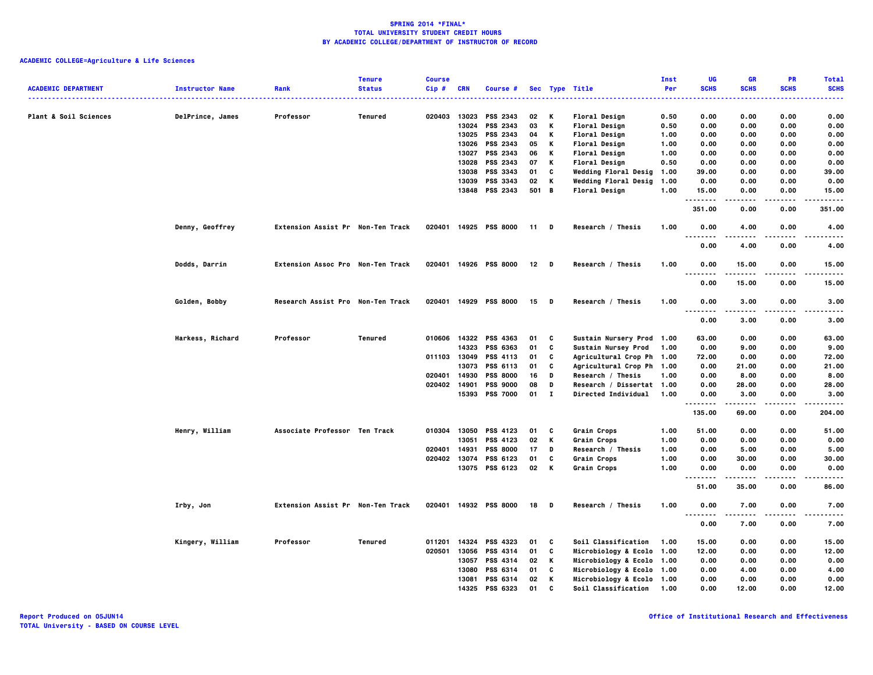| <b>ACADEMIC DEPARTMENT</b>       | <b>Instructor Name</b> | Rank                              | <b>Tenure</b><br><b>Status</b> | <b>Course</b><br>$Cip$ # | <b>CRN</b>     | Course #                   |          |          | Sec Type Title                                         | Inst<br>Per  | UG<br><b>SCHS</b> | <b>GR</b><br><b>SCHS</b> | PR<br><b>SCHS</b> | <b>Total</b><br><b>SCHS</b> |
|----------------------------------|------------------------|-----------------------------------|--------------------------------|--------------------------|----------------|----------------------------|----------|----------|--------------------------------------------------------|--------------|-------------------|--------------------------|-------------------|-----------------------------|
|                                  |                        |                                   |                                |                          |                |                            |          |          |                                                        |              |                   |                          |                   |                             |
| <b>Plant &amp; Soil Sciences</b> | DelPrince, James       | Professor                         | Tenured                        | 020403                   | 13023          | PSS 2343                   | 02       | К        | <b>Floral Design</b>                                   | 0.50         | 0.00              | 0.00                     | 0.00              | 0.00                        |
|                                  |                        |                                   |                                |                          | 13024          | PSS 2343<br>13025 PSS 2343 | 03       | К<br>К   | <b>Floral Design</b><br><b>Floral Design</b>           | 0.50         | 0.00              | 0.00                     | 0.00              | 0.00<br>0.00                |
|                                  |                        |                                   |                                |                          |                | 13026 PSS 2343             | 04<br>05 | К        | <b>Floral Design</b>                                   | 1.00<br>1.00 | 0.00<br>0.00      | 0.00<br>0.00             | 0.00<br>0.00      | 0.00                        |
|                                  |                        |                                   |                                |                          | 13027          | PSS 2343                   | 06       | К        | <b>Floral Design</b>                                   | 1.00         | 0.00              | 0.00                     | 0.00              | 0.00                        |
|                                  |                        |                                   |                                |                          | 13028          | PSS 2343                   | 07       | К        | <b>Floral Design</b>                                   | 0.50         | 0.00              | 0.00                     | 0.00              | 0.00                        |
|                                  |                        |                                   |                                |                          | 13038          | PSS 3343                   | 01       | C        | <b>Wedding Floral Desig</b>                            | 1.00         | 39.00             | 0.00                     | 0.00              | 39.00                       |
|                                  |                        |                                   |                                |                          | 13039          | PSS 3343                   | 02       | К        | Wedding Floral Desig                                   | 1.00         | 0.00              | 0.00                     | 0.00              | 0.00                        |
|                                  |                        |                                   |                                |                          |                | 13848 PSS 2343             | 501 B    |          | <b>Floral Design</b>                                   | 1.00         | 15.00<br>.        | 0.00                     | 0.00              | 15.00<br>-----              |
|                                  |                        |                                   |                                |                          |                |                            |          |          |                                                        |              | 351.00            | 0.00                     | 0.00              | 351.00                      |
|                                  | Denny, Geoffrey        | Extension Assist Pr Non-Ten Track |                                |                          |                | 020401 14925 PSS 8000      | 11 D     |          | Research / Thesis                                      | 1.00         | 0.00<br>.<br>.    | 4.00                     | 0.00<br>.         | 4.00<br>.                   |
|                                  |                        |                                   |                                |                          |                |                            |          |          |                                                        |              | 0.00              | 4.00                     | 0.00              | 4.00                        |
|                                  | <b>Dodds, Darrin</b>   | Extension Assoc Pro Non-Ten Track |                                |                          |                | 020401 14926 PSS 8000      | $12$ D   |          | Research / Thesis                                      | 1.00         | 0.00<br>.         | 15.00                    | 0.00<br>.         | 15.00<br>$- - - -$          |
|                                  |                        |                                   |                                |                          |                |                            |          |          |                                                        |              | 0.00              | 15.00                    | 0.00              | 15.00                       |
|                                  | Golden, Bobby          | Research Assist Pro Non-Ten Track |                                |                          |                | 020401 14929 PSS 8000      | 15       | <b>D</b> | Research / Thesis                                      | 1.00         | 0.00<br>.<br>---- | 3.00<br>.                | 0.00<br>----      | 3.00<br>.                   |
|                                  |                        |                                   |                                |                          |                |                            |          |          |                                                        |              | 0.00              | 3.00                     | 0.00              | 3.00                        |
|                                  | Harkess, Richard       | Professor                         | <b>Tenured</b>                 | 010606                   |                | 14322 PSS 4363             | 01       | C        | Sustain Nursery Prod 1.00                              |              | 63.00             | 0.00                     | 0.00              | 63.00                       |
|                                  |                        |                                   |                                |                          | 14323          | PSS 6363                   | 01       | C        | Sustain Nursey Prod                                    | 1.00         | 0.00              | 9.00                     | 0.00              | 9.00                        |
|                                  |                        |                                   |                                |                          | 011103 13049   | PSS 4113                   | 01       | C        | Agricultural Crop Ph 1.00                              |              | 72.00             | 0.00                     | 0.00              | 72.00                       |
|                                  |                        |                                   |                                |                          | 13073          | PSS 6113                   | 01       | C        | Agricultural Crop Ph 1.00                              |              | 0.00              | 21.00                    | 0.00              | 21.00                       |
|                                  |                        |                                   |                                | 020401                   | 14930          | <b>PSS 8000</b>            | 16       | D        | Research / Thesis                                      | 1.00         | 0.00              | 8.00                     | 0.00              | 8.00                        |
|                                  |                        |                                   |                                |                          | 020402 14901   | <b>PSS 9000</b>            | 08       | D        | Research / Dissertat 1.00                              |              | 0.00              | 28.00                    | 0.00              | 28.00                       |
|                                  |                        |                                   |                                |                          |                | 15393 PSS 7000             | $01$ I   |          | Directed Individual                                    | 1.00         | 0.00<br>.         | 3.00<br>.                | 0.00<br>.         | 3.00<br>.                   |
|                                  |                        |                                   |                                |                          |                |                            |          |          |                                                        |              | 135.00            | 69.00                    | 0.00              | 204.00                      |
|                                  | Henry, William         | Associate Professor Ten Track     |                                | 010304                   | 13050          | PSS 4123                   | 01       | C        | Grain Crops                                            | 1.00         | 51.00             | 0.00                     | 0.00              | 51.00                       |
|                                  |                        |                                   |                                |                          | 13051          | PSS 4123                   | 02       | К        | Grain Crops                                            | 1.00         | 0.00              | 0.00                     | 0.00              | 0.00                        |
|                                  |                        |                                   |                                | 020401 14931             |                | <b>PSS 8000</b>            | 17       | D        | Research / Thesis                                      | 1.00         | 0.00              | 5.00                     | 0.00              | 5.00                        |
|                                  |                        |                                   |                                | 020402                   | 13074          | PSS 6123                   | 01       | C        | Grain Crops                                            | 1.00         | 0.00              | 30.00                    | 0.00              | 30.00                       |
|                                  |                        |                                   |                                |                          |                | 13075 PSS 6123             | 02       | K        | Grain Crops                                            | 1.00         | 0.00<br><u>.</u>  | 0.00<br>$- - - - -$      | 0.00<br>$- - - -$ | 0.00<br>$- - - - -$         |
|                                  |                        |                                   |                                |                          |                |                            |          |          |                                                        |              | 51.00             | 35.00                    | 0.00              | 86.00                       |
|                                  | Irby, Jon              | Extension Assist Pr Non-Ten Track |                                |                          |                | 020401 14932 PSS 8000      | 18 D     |          | Research / Thesis                                      | 1.00         | 0.00<br>.         | 7.00<br>-----            | 0.00<br>.         | 7.00<br>$- - - - -$         |
|                                  |                        |                                   |                                |                          |                |                            |          |          |                                                        |              | 0.00              | 7.00                     | 0.00              | 7.00                        |
|                                  | Kingery, William       | Professor                         | Tenured                        | 011201                   | 14324          | PSS 4323                   | 01       | C        | Soil Classification                                    | 1.00         | 15.00             | 0.00                     | 0.00              | 15.00                       |
|                                  |                        |                                   |                                | 020501                   | 13056          | PSS 4314                   | 01       | C        | Microbiology & Ecolo 1.00                              |              | 12.00             | 0.00                     | 0.00              | 12.00                       |
|                                  |                        |                                   |                                |                          | 13057          | PSS 4314                   | 02       | K        | Microbiology & Ecolo 1.00                              |              | 0.00              | 0.00                     | 0.00              | 0.00                        |
|                                  |                        |                                   |                                |                          | 13080<br>13081 | PSS 6314<br>PSS 6314       | 01<br>02 | C<br>К   | Microbiology & Ecolo 1.00<br>Microbiology & Ecolo 1.00 |              | 0.00<br>0.00      | 4.00<br>0.00             | 0.00<br>0.00      | 4.00<br>0.00                |
|                                  |                        |                                   |                                |                          | 14325          | <b>PSS 6323</b>            | 01       | C.       | Soil Classification 1.00                               |              | 0.00              | 12.00                    | 0.00              | 12.00                       |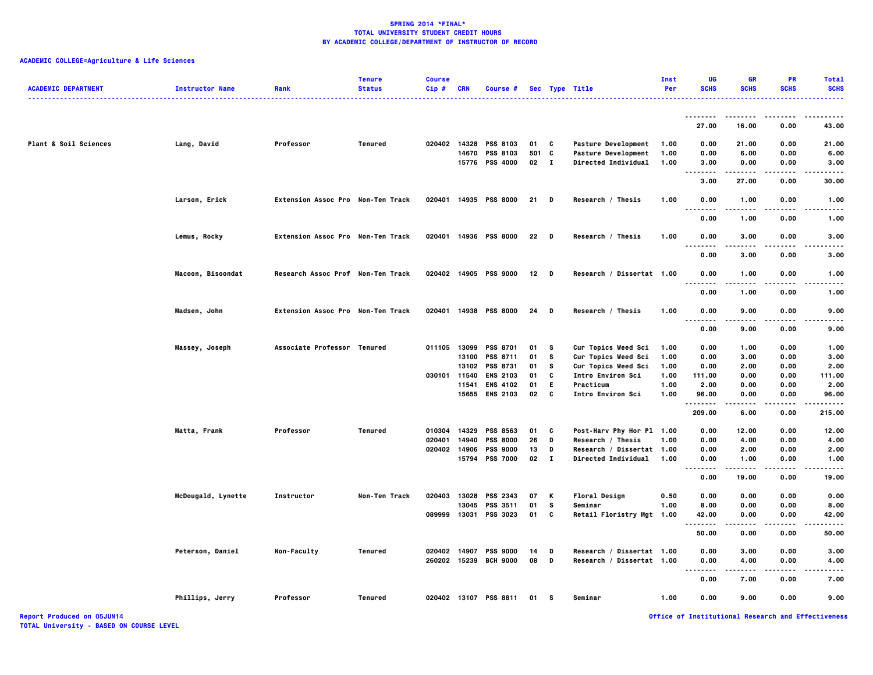# **ACADEMIC COLLEGE=Agriculture & Life Sciences**

| <b>ACADEMIC DEPARTMENT</b> | <b>Instructor Name</b> | Rank                              | <b>Tenure</b><br><b>Status</b> | <b>Course</b><br>$Cip$ # | <b>CRN</b> | Course #                          |              |                   | Sec Type Title                 | Inst<br>Per  | ШG<br><b>SCHS</b>          | <b>GR</b><br><b>SCHS</b> | PR<br><b>SCHS</b> | <b>Total</b><br><b>SCHS</b> |
|----------------------------|------------------------|-----------------------------------|--------------------------------|--------------------------|------------|-----------------------------------|--------------|-------------------|--------------------------------|--------------|----------------------------|--------------------------|-------------------|-----------------------------|
|                            |                        |                                   |                                |                          |            |                                   |              |                   |                                |              | --------                   | -----                    | $\frac{1}{2}$     | - - - - -                   |
|                            |                        |                                   |                                |                          |            |                                   |              |                   |                                |              | 27.00                      | 16.00                    | 0.00              | 43.00                       |
| Plant & Soil Sciences      | Lang, David            | Professor                         | Tenured                        |                          |            | 020402 14328 PSS 8103             | 01           | C                 | <b>Pasture Development</b>     | 1.00         | 0.00                       | 21.00                    | 0.00              | 21.00                       |
|                            |                        |                                   |                                |                          |            | 14670 PSS 8103                    | 501 C        |                   | Pasture Development            | 1.00         | 0.00                       | 6.00                     | 0.00              | 6.00                        |
|                            |                        |                                   |                                |                          |            | 15776 PSS 4000                    | $02 \quad I$ |                   | Directed Individual            | 1.00         | 3.00<br>                   | 0.00<br>.                | 0.00<br>.         | 3.00<br>.                   |
|                            |                        |                                   |                                |                          |            |                                   |              |                   |                                |              | 3.00                       | 27.00                    | 0.00              | 30.00                       |
|                            | Larson, Erick          | Extension Assoc Pro Non-Ten Track |                                |                          |            | 020401 14935 PSS 8000             | $21$ D       |                   | Research / Thesis              | 1.00         | 0.00<br>$\cdots$           | 1.00<br>.                | 0.00              | 1.00<br>----                |
|                            |                        |                                   |                                |                          |            |                                   |              |                   |                                |              | 0.00                       | 1.00                     | 0.00              | 1.00                        |
|                            | Lemus, Rocky           | Extension Assoc Pro Non-Ten Track |                                | 020401                   |            | 14936 PSS 8000                    | 22           | <b>D</b>          | Research / Thesis              | 1.00         | 0.00<br>. .                | 3,00                     | 0.00              | 3,00                        |
|                            |                        |                                   |                                |                          |            |                                   |              |                   |                                |              | 0.00                       | 3.00                     | 0.00              | 3.00                        |
|                            | Macoon, Bisoondat      | Research Assoc Prof Non-Ten Track |                                |                          |            | 020402 14905 PSS 9000             | $12$ D       |                   | Research / Dissertat 1.00      |              | 0.00<br>. .                | 1.00                     | 0.00              | 1.00                        |
|                            |                        |                                   |                                |                          |            |                                   |              |                   |                                |              | 0.00                       | 1.00                     | 0.00              | 1.00                        |
|                            | Madsen, John           | Extension Assoc Pro Non-Ten Track |                                |                          |            | 020401 14938 PSS 8000             | 24           | D                 | Research / Thesis              | 1.00         | 0.00<br>$\sim$ $\sim$<br>. | 9.00<br>$- - - -$        | 0.00<br>.         | 9.00                        |
|                            |                        |                                   |                                |                          |            |                                   |              |                   |                                |              | 0.00                       | 9.00                     | 0.00              | 9.00                        |
|                            | Massey, Joseph         | Associate Professor Tenured       |                                | 011105                   | 13099      | <b>PSS 8701</b>                   | 01           | s                 | Cur Topics Weed Sci            | 1.00         | 0.00                       | 1.00                     | 0.00              | 1.00                        |
|                            |                        |                                   |                                |                          | 13100      | <b>PSS 8711</b>                   | 01           | s                 | Cur Topics Weed Sci            | 1.00         | 0.00                       | 3.00                     | 0.00              | 3.00                        |
|                            |                        |                                   |                                |                          |            | 13102 PSS 8731                    | 01           | s                 | Cur Topics Weed Sci            | 1.00         | 0.00                       | 2.00                     | 0.00              | 2.00                        |
|                            |                        |                                   |                                | 030101 11540             |            | <b>ENS 2103</b><br>11541 ENS 4102 | 01<br>01     | C<br>E.           | Intro Environ Sci<br>Practicum | 1.00<br>1.00 | 111.00<br>2.00             | 0.00<br>0.00             | 0.00<br>0.00      | 111.00<br>2.00              |
|                            |                        |                                   |                                |                          |            | 15655 ENS 2103                    | 02           | C                 | Intro Environ Sci              | 1.00         | 96.00                      | 0.00                     | 0.00              | 96.00                       |
|                            |                        |                                   |                                |                          |            |                                   |              |                   |                                |              | $\cdots$<br>209.00         | 6.00                     | 0.00              | 215.00                      |
|                            |                        |                                   |                                |                          |            |                                   |              |                   |                                |              |                            |                          |                   |                             |
|                            | Matta, Frank           | Professor                         | Tenured                        | 010304                   | 14329      | <b>PSS 8563</b>                   | 01           | c                 | Post-Harv Phy Hor Pl 1.00      |              | 0.00                       | 12.00                    | 0.00              | 12.00                       |
|                            |                        |                                   |                                | 020401                   | 14940      | <b>PSS 8000</b>                   | 26           | D                 | Research / Thesis              | 1.00         | 0.00                       | 4.00                     | 0.00              | 4.00                        |
|                            |                        |                                   |                                | 020402                   | 14906      | <b>PSS 9000</b>                   | 13           | D<br>$\mathbf{I}$ | Research / Dissertat 1.00      |              | 0.00                       | 2.00                     | 0.00              | 2.00                        |
|                            |                        |                                   |                                |                          | 15794      | <b>PSS 7000</b>                   | 02           |                   | Directed Individual            | 1.00         | 0.00<br><br>.              | 1.00                     | 0.00              | 1.00                        |
|                            |                        |                                   |                                |                          |            |                                   |              |                   |                                |              | 0.00                       | 19.00                    | 0.00              | 19.00                       |
|                            | McDougald, Lynette     | Instructor                        | Non-Ten Track                  | 020403                   |            | 13028 PSS 2343                    | 07           | К                 | <b>Floral Design</b>           | 0.50         | 0.00                       | 0.00                     | 0.00              | 0.00                        |
|                            |                        |                                   |                                |                          | 13045      | PSS 3511                          | 01           | s                 | Seminar                        | 1.00         | 8.00                       | 0.00                     | 0.00              | 8.00                        |
|                            |                        |                                   |                                | 089999                   |            | 13031 PSS 3023                    | 01           | C                 | Retail Floristry Mgt 1.00      |              | 42.00<br>$- - - - -$       | 0.00<br>$- - - -$        | 0.00<br>.         | 42.00<br>$- - - -$          |
|                            |                        |                                   |                                |                          |            |                                   |              |                   |                                |              | 50.00                      | 0.00                     | 0.00              | 50.00                       |
|                            | Peterson, Daniel       | Non-Faculty                       | Tenured                        | 020402 14907             |            | <b>PSS 9000</b>                   | 14           | D                 | Research / Dissertat 1.00      |              | 0.00                       | 3.00                     | 0.00              | 3.00                        |
|                            |                        |                                   |                                |                          |            | 260202 15239 BCH 9000             | 08           | D                 | Research / Dissertat 1.00      |              | 0.00                       | 4.00                     | 0.00              | 4.00                        |
|                            |                        |                                   |                                |                          |            |                                   |              |                   |                                |              | <br>0.00                   | 7.00                     | 0.00              | 7.00                        |
|                            | Phillips, Jerry        | Professor                         | Tenured                        |                          |            | 020402 13107 PSS 8811             | 01 S         |                   | Seminar                        | 1.00         | 0.00                       | 9.00                     | 0.00              | 9.00                        |

**Report Produced on 05JUN14 Office of Institutional Research and Effectiveness**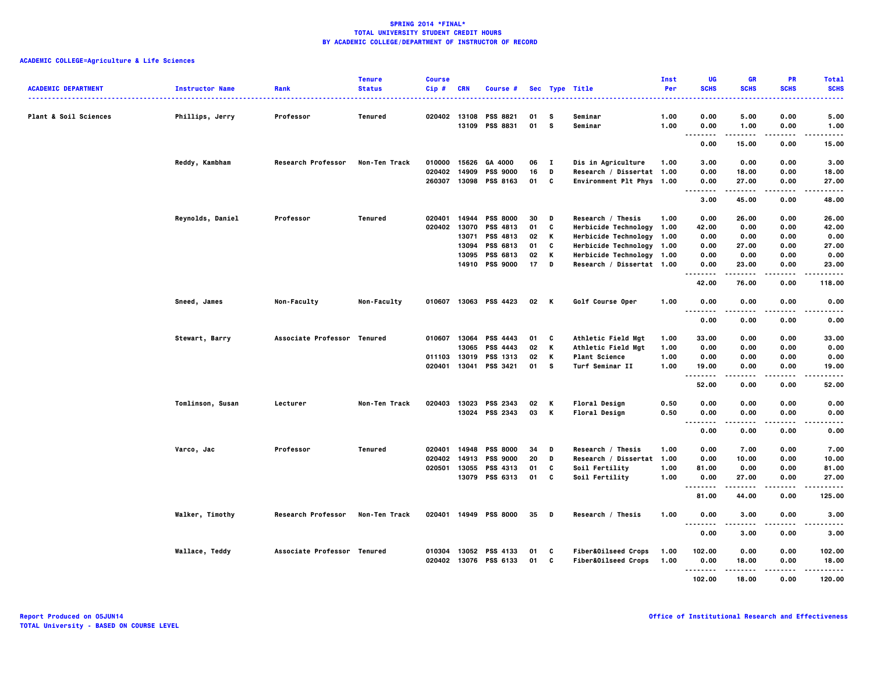| <b>ACADEMIC DEPARTMENT</b>       | <b>Instructor Name</b> | Rank                        | <b>Tenure</b><br><b>Status</b> | <b>Course</b><br>Cip# | <b>CRN</b> | Course #                           |          |              | Sec Type Title            | Inst<br>Per  | UG<br><b>SCHS</b>  | <b>GR</b><br><b>SCHS</b> | <b>PR</b><br><b>SCHS</b> | <b>Total</b><br><b>SCHS</b> |
|----------------------------------|------------------------|-----------------------------|--------------------------------|-----------------------|------------|------------------------------------|----------|--------------|---------------------------|--------------|--------------------|--------------------------|--------------------------|-----------------------------|
| <b>Plant &amp; Soil Sciences</b> | Phillips, Jerry        | Professor                   | Tenured                        | 020402 13108          | 13109      | <b>PSS 8821</b><br><b>PSS 8831</b> | 01<br>01 | s<br>s       | Seminar<br>Seminar        | 1.00<br>1.00 | 0.00<br>0.00       | 5.00<br>1.00             | 0.00<br>0.00             | 5.00<br>1.00                |
|                                  |                        |                             |                                |                       |            |                                    |          |              |                           |              | .<br>- - -<br>0.00 | .<br>15.00               | $- - -$<br>0.00          | $- - - - -$<br>15.00        |
|                                  | Reddy, Kambham         | <b>Research Professor</b>   | Non-Ten Track                  | 010000                | 15626      | GA 4000                            | 06       | $\mathbf{I}$ | Dis in Agriculture        | 1.00         | 3.00               | 0.00                     | 0.00                     | 3.00                        |
|                                  |                        |                             |                                | 020402                | 14909      | <b>PSS 9000</b>                    | 16       | D            | Research / Dissertat 1.00 |              | 0.00               | 18.00                    | 0.00                     | 18.00                       |
|                                  |                        |                             |                                | 260307                |            | 13098 PSS 8163                     | 01       | C            | Environment Plt Phys 1.00 |              | 0.00               | 27.00                    | 0.00                     | 27.00                       |
|                                  |                        |                             |                                |                       |            |                                    |          |              |                           |              | .                  | .                        | .                        | -----                       |
|                                  |                        |                             |                                |                       |            |                                    |          |              |                           |              | 3.00               | 45.00                    | 0.00                     | 48.00                       |
|                                  | Reynolds, Daniel       | Professor                   | Tenured                        | 020401                | 14944      | <b>PSS 8000</b>                    | 30       | D            | Research / Thesis         | 1.00         | 0.00               | 26.00                    | 0.00                     | 26.00                       |
|                                  |                        |                             |                                | 020402                | 13070      | PSS 4813                           | 01       | C            | Herbicide Technology 1.00 |              | 42.00              | 0.00                     | 0.00                     | 42.00                       |
|                                  |                        |                             |                                |                       | 13071      | PSS 4813                           | 02       | К            | Herbicide Technology 1.00 |              | 0.00               | 0.00                     | 0.00                     | 0.00                        |
|                                  |                        |                             |                                |                       | 13094      | PSS 6813                           | 01       | C            | Herbicide Technology 1.00 |              | 0.00               | 27.00                    | 0.00                     | 27.00                       |
|                                  |                        |                             |                                |                       | 13095      | PSS 6813                           | 02       | К            | Herbicide Technology 1.00 |              | 0.00               | 0.00                     | 0.00                     | 0.00                        |
|                                  |                        |                             |                                |                       |            | 14910 PSS 9000                     | 17       | D            | Research / Dissertat 1.00 |              | 0.00               | 23.00                    | 0.00                     | 23.00                       |
|                                  |                        |                             |                                |                       |            |                                    |          |              |                           |              | .<br>42.00         | 76.00                    | 0.00                     | .<br>118.00                 |
|                                  | Sneed, James           | Non-Faculty                 | Non-Faculty                    |                       |            | 010607 13063 PSS 4423              | 02 K     |              | Golf Course Oper          | 1.00         | 0.00               | 0.00                     | 0.00                     | 0.00                        |
|                                  |                        |                             |                                |                       |            |                                    |          |              |                           |              | <b>.</b>           | .                        | .                        | -----                       |
|                                  |                        |                             |                                |                       |            |                                    |          |              |                           |              | 0.00               | 0.00                     | 0.00                     | 0.00                        |
|                                  | Stewart, Barry         | Associate Professor Tenured |                                | 010607                | 13064      | PSS 4443                           | 01       | C            | Athletic Field Mgt        | 1.00         | 33.00              | 0.00                     | 0.00                     | 33.00                       |
|                                  |                        |                             |                                |                       | 13065      | <b>PSS 4443</b>                    | 02       | К            | Athletic Field Mgt        | 1.00         | 0.00               | 0.00                     | 0.00                     | 0.00                        |
|                                  |                        |                             |                                | 011103 13019          |            | PSS 1313                           | 02       | К            | <b>Plant Science</b>      | 1.00         | 0.00               | 0.00                     | 0.00                     | 0.00                        |
|                                  |                        |                             |                                |                       |            | 020401 13041 PSS 3421              | 01       | s            | Turf Seminar II           | 1.00         | 19.00              | 0.00                     | 0.00                     | 19.00                       |
|                                  |                        |                             |                                |                       |            |                                    |          |              |                           |              | .                  | -----                    | .                        | -----                       |
|                                  |                        |                             |                                |                       |            |                                    |          |              |                           |              | 52.00              | 0.00                     | 0.00                     | 52.00                       |
|                                  | Tomlinson, Susan       | Lecturer                    | Non-Ten Track                  | 020403                | 13023      | PSS 2343                           | 02       | К            | <b>Floral Design</b>      | 0.50         | 0.00               | 0.00                     | 0.00                     | 0.00                        |
|                                  |                        |                             |                                |                       |            | 13024 PSS 2343                     | 03       | K            | <b>Floral Design</b>      | 0.50         | 0.00               | 0.00                     | 0.00                     | 0.00                        |
|                                  |                        |                             |                                |                       |            |                                    |          |              |                           |              | .<br>              | $- - - -$                |                          | .                           |
|                                  |                        |                             |                                |                       |            |                                    |          |              |                           |              | 0.00               | 0.00                     | 0.00                     | 0.00                        |
|                                  | Varco, Jac             | Professor                   | <b>Tenured</b>                 | 020401                | 14948      | <b>PSS 8000</b>                    | 34       | D            | Research / Thesis         | 1.00         | 0.00               | 7.00                     | 0.00                     | 7.00                        |
|                                  |                        |                             |                                | 020402                | 14913      | <b>PSS 9000</b>                    | 20       | D            | Research / Dissertat      | 1.00         | 0.00               | 10.00                    | 0.00                     | 10.00                       |
|                                  |                        |                             |                                | 020501                | 13055      | PSS 4313                           | 01       | C            | Soil Fertility            | 1.00         | 81.00              | 0.00                     | 0.00                     | 81.00                       |
|                                  |                        |                             |                                |                       |            | 13079 PSS 6313                     | 01       | C            | Soil Fertility            | 1.00         | 0.00               | 27.00                    | 0.00                     | 27.00                       |
|                                  |                        |                             |                                |                       |            |                                    |          |              |                           |              | <u>.</u><br>81.00  | .<br>44.00               | $- - -$<br>0.00          | -----<br>125.00             |
|                                  | Walker, Timothy        | <b>Research Professor</b>   | Non-Ten Track                  |                       |            | 020401 14949 PSS 8000              | $35$ D   |              | Research / Thesis         | 1.00         | 0.00               | 3.00                     | 0.00                     | 3.00                        |
|                                  |                        |                             |                                |                       |            |                                    |          |              |                           |              | .<br>.<br>0.00     | .<br>3.00                | $- - - -$<br>0.00        | -----<br>3.00               |
|                                  | Wallace, Teddy         | Associate Professor Tenured |                                |                       |            | 010304 13052 PSS 4133              | 01       | C            | Fiber&Oilseed Crops       | 1.00         | 102.00             | 0.00                     | 0.00                     | 102.00                      |
|                                  |                        |                             |                                |                       |            | 020402 13076 PSS 6133              | 01 C     |              | Fiber&Oilseed Crops       | 1.00         | 0.00               | 18.00                    | 0.00                     | 18.00                       |
|                                  |                        |                             |                                |                       |            |                                    |          |              |                           |              | --------           | .                        | .                        | .                           |
|                                  |                        |                             |                                |                       |            |                                    |          |              |                           |              | 102.00             | 18.00                    | 0.00                     | 120.00                      |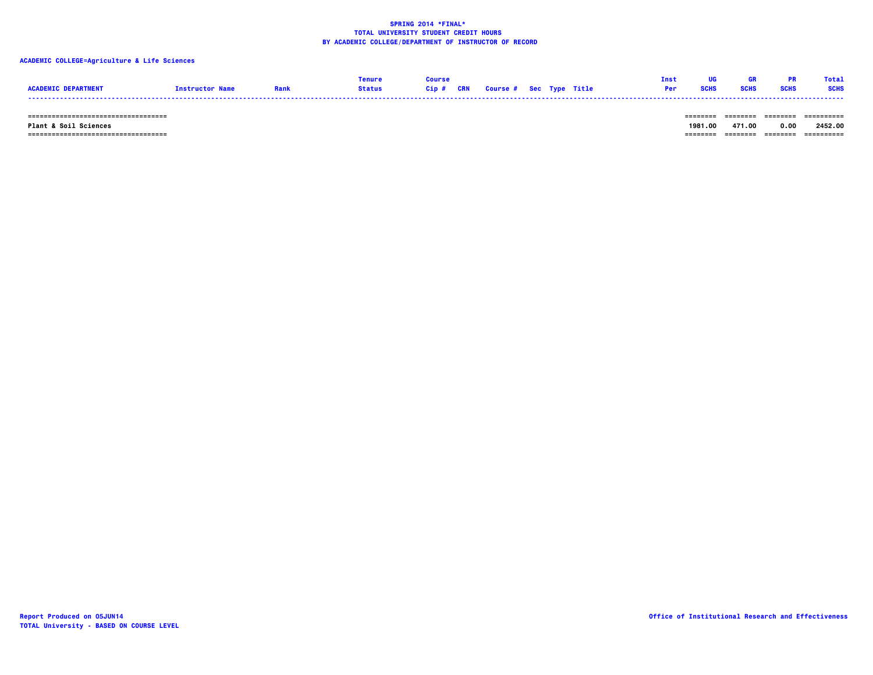## **ACADEMIC COLLEGE=Agriculture & Life Sciences**

|                 |                       |               |      |            |                                |  | Ins        |      | Tota        |
|-----------------|-----------------------|---------------|------|------------|--------------------------------|--|------------|------|-------------|
| <b>ACADEMIC</b> | <b>Tnstructor Nam</b> | <b>Status</b> | Gip# | <b>CRN</b> | <b>Course # Sec Type Title</b> |  | <b>Per</b> | SCHS | <b>SCHS</b> |
|                 |                       |               |      |            |                                |  |            |      |             |

 **=================================== ======== ======== ======== ==========**

 **=================================== ======== ======== ======== ========== Plant & Soil Sciences 1981.00 471.00 0.00 2452.00**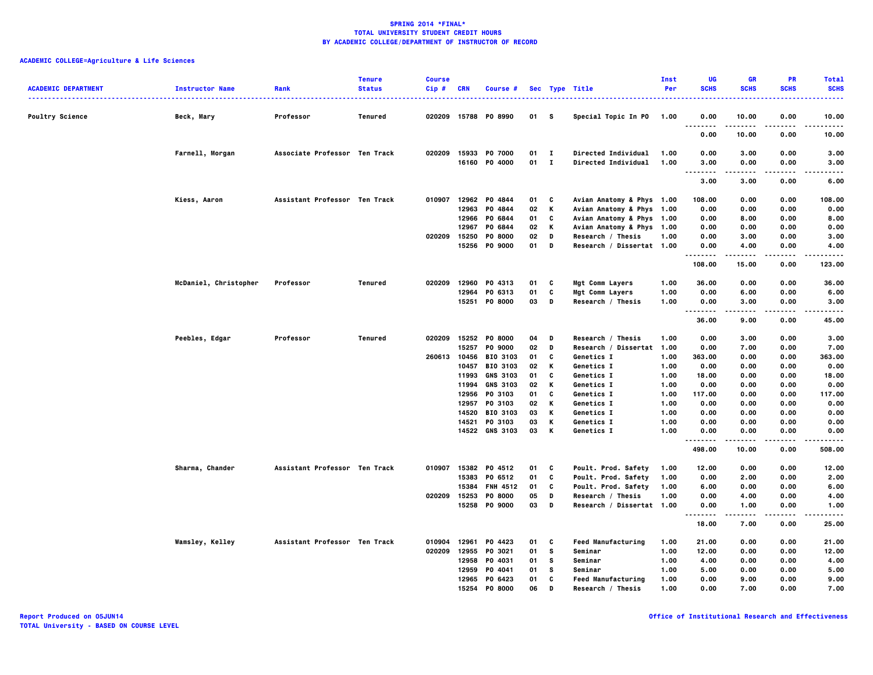| <b>ACADEMIC DEPARTMENT</b> | <b>Instructor Name</b> | Rank                          | <b>Tenure</b><br><b>Status</b> | <b>Course</b><br>Cip# | CRN   | Course #             |        |              | Sec Type Title            | Inst<br>Per | UG<br><b>SCHS</b>                     | <b>GR</b><br><b>SCHS</b> | <b>PR</b><br><b>SCHS</b> | <b>Total</b><br><b>SCHS</b> |
|----------------------------|------------------------|-------------------------------|--------------------------------|-----------------------|-------|----------------------|--------|--------------|---------------------------|-------------|---------------------------------------|--------------------------|--------------------------|-----------------------------|
| <b>Poultry Science</b>     | Beck, Mary             | Professor                     | Tenured                        |                       |       | 020209 15788 P0 8990 | 01 S   |              | Special Topic In P0 1.00  |             | 0.00                                  | 10.00                    | 0.00                     | .<br>10.00                  |
|                            |                        |                               |                                |                       |       |                      |        |              |                           |             | $\ddotsc$<br>.<br>0.00                | .<br>10.00               | .<br>0.00                | .<br>10.00                  |
|                            | Farnell, Morgan        | Associate Professor Ten Track |                                |                       |       | 020209 15933 P0 7000 | $01$ I |              | Directed Individual       | 1.00        | 0.00                                  | 3.00                     | 0.00                     | 3.00                        |
|                            |                        |                               |                                |                       |       | 16160 P0 4000        | 01     | $\mathbf{I}$ | Directed Individual       | 1.00        | 3.00<br>-----<br>$\sim$ $\sim$ $\sim$ | 0.00<br>-----            | 0.00<br>.                | 3.00<br>-----               |
|                            |                        |                               |                                |                       |       |                      |        |              |                           |             | 3.00                                  | 3.00                     | 0.00                     | 6.00                        |
|                            | Kiess, Aaron           | Assistant Professor Ten Track |                                | 010907                |       | 12962 PO 4844        | 01     | C            | Avian Anatomy & Phys 1.00 |             | 108.00                                | 0.00                     | 0.00                     | 108.00                      |
|                            |                        |                               |                                |                       | 12963 | PO 4844              | 02     | K            | Avian Anatomy & Phys 1.00 |             | 0.00                                  | 0.00                     | 0.00                     | 0.00                        |
|                            |                        |                               |                                |                       |       | 12966 PO 6844        | 01     | C            | Avian Anatomy & Phys 1.00 |             | 0.00                                  | 8.00                     | 0.00                     | 8.00                        |
|                            |                        |                               |                                |                       | 12967 | P0 6844              | 02     | к            | Avian Anatomy & Phys 1.00 |             | 0.00                                  | 0.00                     | 0.00                     | 0.00                        |
|                            |                        |                               |                                | 020209                | 15250 | <b>PO 8000</b>       | 02     | D            | Research / Thesis         | 1.00        | 0.00                                  | 3.00                     | 0.00                     | 3.00                        |
|                            |                        |                               |                                |                       |       | 15256 PO 9000        | 01     | D            | Research / Dissertat 1.00 |             | 0.00<br>.                             | 4.00<br>.                | 0.00<br>.                | 4.00<br>.                   |
|                            |                        |                               |                                |                       |       |                      |        |              |                           |             | 108.00                                | 15.00                    | 0.00                     | 123.00                      |
|                            | McDaniel, Christopher  | Professor                     | Tenured                        | 020209                | 12960 | PO 4313              | 01     | c            | Mgt Comm Layers           | 1.00        | 36.00                                 | 0.00                     | 0.00                     | 36.00                       |
|                            |                        |                               |                                |                       | 12964 | PO 6313              | 01     | C            | Mgt Comm Layers           | 1.00        | 0.00                                  | 6.00                     | 0.00                     | 6.00                        |
|                            |                        |                               |                                |                       | 15251 | <b>PO 8000</b>       | 03     | D            | Research / Thesis         | 1.00        | 0.00<br>                              | 3.00<br>.                | 0.00<br>.                | 3.00<br>.                   |
|                            |                        |                               |                                |                       |       |                      |        |              |                           |             | 36.00                                 | 9.00                     | 0.00                     | 45.00                       |
|                            | Peebles, Edgar         | Professor                     | Tenured                        | 020209                |       | 15252 PO 8000        | 04     | D            | Research / Thesis         | 1.00        | 0.00                                  | 3.00                     | 0.00                     | 3.00                        |
|                            |                        |                               |                                |                       | 15257 | <b>PO 9000</b>       | 02     | D            | Research / Dissertat 1.00 |             | 0.00                                  | 7.00                     | 0.00                     | 7.00                        |
|                            |                        |                               |                                | 260613 10456          |       | <b>BIO 3103</b>      | 01     | C            | Genetics I                | 1.00        | 363.00                                | 0.00                     | 0.00                     | 363.00                      |
|                            |                        |                               |                                |                       | 10457 | <b>BIO 3103</b>      | 02     | К            | Genetics I                | 1.00        | 0.00                                  | 0.00                     | 0.00                     | 0.00                        |
|                            |                        |                               |                                |                       | 11993 | <b>GNS 3103</b>      | 01     | C            | Genetics I                | 1.00        | 18.00                                 | 0.00                     | 0.00                     | 18.00                       |
|                            |                        |                               |                                |                       | 11994 | <b>GNS 3103</b>      | 02     | К            | <b>Genetics I</b>         | 1.00        | 0.00                                  | 0.00                     | 0.00                     | 0.00                        |
|                            |                        |                               |                                |                       |       | 12956 PO 3103        | 01     | c            | Genetics I                | 1.00        | 117.00                                | 0.00                     | 0.00                     | 117.00                      |
|                            |                        |                               |                                |                       | 12957 | PO 3103              | 02     | К            | Genetics I                | 1.00        | 0.00                                  | 0.00                     | 0.00                     | 0.00                        |
|                            |                        |                               |                                |                       |       | 14520 BIO 3103       | 03     | Κ            | <b>Genetics I</b>         | 1.00        | 0.00                                  | 0.00                     | 0.00                     | 0.00                        |
|                            |                        |                               |                                |                       | 14521 | PO 3103              | 03     | Κ            | Genetics I                | 1.00        | 0.00                                  | 0.00                     | 0.00                     | 0.00                        |
|                            |                        |                               |                                |                       |       | 14522 GNS 3103       | 03     | К            | Genetics I                | 1.00        | 0.00<br>                              | 0.00                     | 0.00<br>.                | 0.00                        |
|                            |                        |                               |                                |                       |       |                      |        |              |                           |             | 498.00                                | 10.00                    | 0.00                     | 508.00                      |
|                            | Sharma, Chander        | Assistant Professor Ten Track |                                |                       |       | 010907 15382 P0 4512 | 01     | c            | Poult. Prod. Safety       | 1.00        | 12.00                                 | 0.00                     | 0.00                     | 12.00                       |
|                            |                        |                               |                                |                       |       | 15383 PO 6512        | 01     | C            | Poult. Prod. Safety       | 1.00        | 0.00                                  | 2.00                     | 0.00                     | 2.00                        |
|                            |                        |                               |                                |                       | 15384 | <b>FNH 4512</b>      | 01     | C            | Poult. Prod. Safety       | 1.00        | 6.00                                  | 0.00                     | 0.00                     | 6.00                        |
|                            |                        |                               |                                |                       |       | 020209 15253 P0 8000 | 05     | D            | Research / Thesis         | 1.00        | 0.00                                  | 4.00                     | 0.00                     | 4.00                        |
|                            |                        |                               |                                |                       |       | 15258 PO 9000        | 03     | D            | Research / Dissertat 1.00 |             | 0.00<br>.                             | 1.00<br>.                | 0.00<br>.                | 1.00<br>.                   |
|                            |                        |                               |                                |                       |       |                      |        |              |                           |             | 18.00                                 | 7.00                     | 0.00                     | 25.00                       |
|                            | <b>Wamsley, Kelley</b> | Assistant Professor Ten Track |                                | 010904                | 12961 | P0 4423              | 01     | c            | <b>Feed Manufacturing</b> | 1.00        | 21.00                                 | 0.00                     | 0.00                     | 21.00                       |
|                            |                        |                               |                                | 020209                |       | 12955 PO 3021        | 01     | <b>S</b>     | Seminar                   | 1.00        | 12.00                                 | 0.00                     | 0.00                     | 12.00                       |
|                            |                        |                               |                                |                       | 12958 | PO 4031              | 01     | s            | Seminar                   | 1.00        | 4.00                                  | 0.00                     | 0.00                     | 4.00                        |
|                            |                        |                               |                                |                       | 12959 | P0 4041              | 01     | s            | Seminar                   | 1.00        | 5.00                                  | 0.00                     | 0.00                     | 5.00                        |
|                            |                        |                               |                                |                       |       | 12965 PO 6423        | 01     | c            | <b>Feed Manufacturing</b> | 1.00        | 0.00                                  | 9.00                     | 0.00                     | 9.00                        |
|                            |                        |                               |                                |                       |       | 15254 PO 8000        | 06     | D            | Research / Thesis         | 1.00        | 0.00                                  | 7.00                     | 0.00                     | 7.00                        |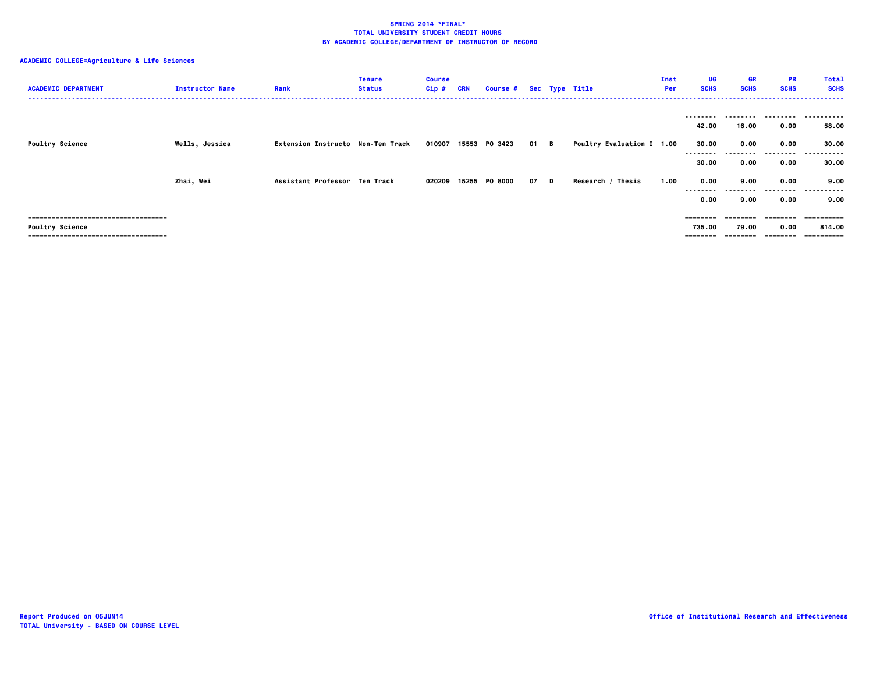| <b>ACADEMIC DEPARTMENT</b>           | <b>Instructor Name</b> | Rank                              | <b>Tenure</b><br><b>Status</b> | <b>Course</b><br>$Cip$ # | CRN | Course # Sec Type Title |      |                                  | Inst<br>Per | UG<br><b>SCHS</b> | GR<br><b>SCHS</b> | PR<br><b>SCHS</b> | <b>Total</b><br><b>SCHS</b> |
|--------------------------------------|------------------------|-----------------------------------|--------------------------------|--------------------------|-----|-------------------------|------|----------------------------------|-------------|-------------------|-------------------|-------------------|-----------------------------|
|                                      |                        |                                   |                                |                          |     |                         |      |                                  |             | --------          | --------          |                   |                             |
|                                      |                        |                                   |                                |                          |     |                         |      |                                  |             | 42.00             | 16.00             | 0.00              | 58.00                       |
| <b>Poultry Science</b>               | Wells, Jessica         | Extension Instructo Non-Ten Track |                                | 010907                   |     | 15553 PO 3423           | 01 B | <b>Poultry Evaluation I 1.00</b> |             | 30.00<br>-------- | 0.00<br>.         | 0.00<br>.         | 30.00<br>-----------        |
|                                      |                        |                                   |                                |                          |     |                         |      |                                  |             | 30.00             | 0.00              | 0.00              | 30.00                       |
|                                      | Zhai, Wei              | Assistant Professor Ten Track     |                                | 020209                   |     | 15255 PO 8000           | 07 D | Research / Thesis                | 1.00        | 0.00              | 9.00              | 0.00              | 9.00                        |
|                                      |                        |                                   |                                |                          |     |                         |      |                                  |             | --------<br>0.00  | --------<br>9.00  | .<br>0.00         | .<br>9.00                   |
| ;=================================== |                        |                                   |                                |                          |     |                         |      |                                  |             | ========          | ========          | ========          | =========                   |
| <b>Poultry Science</b>               |                        |                                   |                                |                          |     |                         |      |                                  |             | 735.00            | 79.00             | 0.00              | 814.00                      |
| ===================================  |                        |                                   |                                |                          |     |                         |      |                                  |             | ========          | ========          | ========          | ==========                  |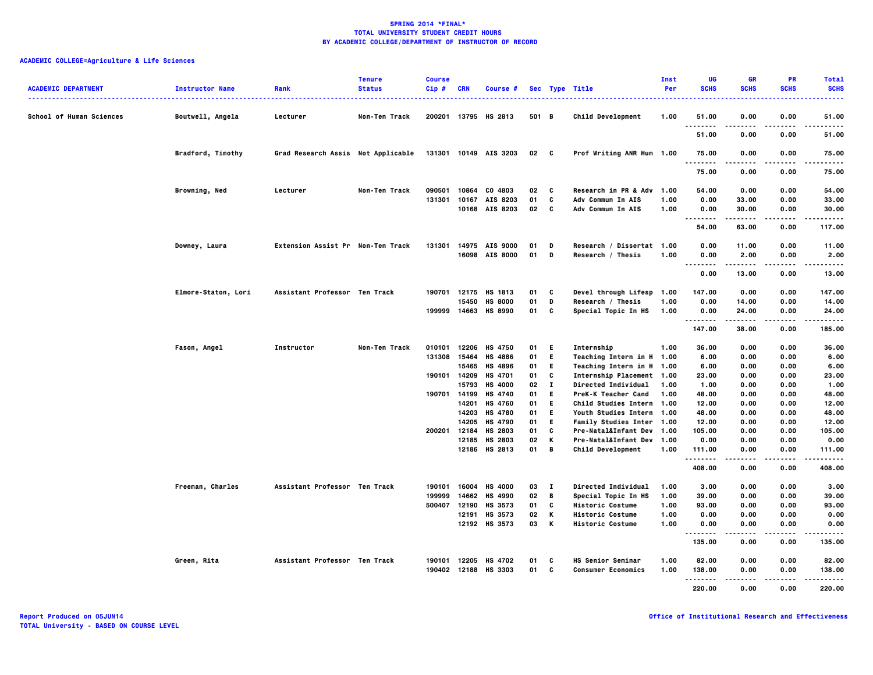# **ACADEMIC COLLEGE=Agriculture & Life Sciences**

| <b>ACADEMIC DEPARTMENT</b>      | <b>Instructor Name</b> | Rank                               | <b>Tenure</b><br><b>Status</b> | <b>Course</b><br>$Cip$ # | <b>CRN</b>   | <b>Course #</b>          |                 |              | Sec Type Title                                        | <b>Inst</b><br>Per | <b>UG</b><br><b>SCHS</b>          | GR<br><b>SCHS</b> | <b>PR</b><br><b>SCHS</b> | <b>Total</b><br><b>SCHS</b> |
|---------------------------------|------------------------|------------------------------------|--------------------------------|--------------------------|--------------|--------------------------|-----------------|--------------|-------------------------------------------------------|--------------------|-----------------------------------|-------------------|--------------------------|-----------------------------|
| <b>School of Human Sciences</b> | Boutwell, Angela       | Lecturer                           | Non-Ten Track                  |                          |              | 200201 13795 HS 2813     | 501 B           |              | <b>Child Development</b>                              | 1.00               | 51.00                             | 0.00              | 0.00                     | 51.00                       |
|                                 |                        |                                    |                                |                          |              |                          |                 |              |                                                       |                    | .<br>51.00                        | 0.00              | .<br>0.00                | $- - - -$<br>51.00          |
|                                 | Bradford, Timothy      | Grad Research Assis Not Applicable |                                |                          |              | 131301 10149 AIS 3203    | 02 <sub>c</sub> |              | Prof Writing ANR Hum 1.00                             |                    | 75.00                             | 0.00              | 0.00                     | 75.00                       |
|                                 |                        |                                    |                                |                          |              |                          |                 |              |                                                       |                    | .<br>75.00                        | .<br>0.00         | $- - - -$<br>0.00        | .<br>75.00                  |
|                                 | Browning, Ned          | Lecturer                           | Non-Ten Track                  | 090501                   | 10864        | CO 4803                  | 02              | C            | Research in PR & Adv 1.00                             |                    | 54.00                             | 0.00              | 0.00                     | 54.00                       |
|                                 |                        |                                    |                                | 131301                   | 10167        | AIS 8203                 | 01              | C            | Adv Commun In AIS                                     | 1.00               | 0.00                              | 33.00             | 0.00                     | 33.00                       |
|                                 |                        |                                    |                                |                          |              | 10168 AIS 8203           | 02              | C            | Adv Commun In AIS                                     | 1.00               | 0.00<br>.                         | 30.00<br>-----    | 0.00<br>$- - - -$        | 30.00<br>.                  |
|                                 |                        |                                    |                                |                          |              |                          |                 |              |                                                       |                    | 54.00                             | 63.00             | 0.00                     | 117.00                      |
|                                 | Downey, Laura          | Extension Assist Pr Non-Ten Track  |                                | 131301                   |              | 14975 AIS 9000           | 01              | D            | Research / Dissertat 1.00                             |                    | 0.00                              | 11.00             | 0.00                     | 11.00                       |
|                                 |                        |                                    |                                |                          |              | 16098 AIS 8000           | 01              | D            | Research / Thesis                                     | 1.00               | 0.00                              | 2.00              | 0.00                     | 2.00                        |
|                                 |                        |                                    |                                |                          |              |                          |                 |              |                                                       |                    | $\sim$ $\sim$ $\sim$<br>.<br>0.00 | .<br>13.00        | .<br>0.00                | .<br>13.00                  |
|                                 | Elmore-Staton, Lori    | Assistant Professor Ten Track      |                                |                          |              | 190701 12175 HS 1813     | 01              | C            | Devel through Lifesp 1.00                             |                    | 147.00                            | 0.00              | 0.00                     | 147.00                      |
|                                 |                        |                                    |                                |                          | 15450        | <b>HS 8000</b>           | 01              | D            | Research / Thesis                                     | 1.00               | 0.00                              | 14.00             | 0.00                     | 14.00                       |
|                                 |                        |                                    |                                |                          |              | 199999 14663 HS 8990     | 01              | C            | Special Topic In HS                                   | 1.00               | 0.00<br>.                         | 24.00             | 0.00<br>.                | 24.00<br>.                  |
|                                 |                        |                                    |                                |                          |              |                          |                 |              |                                                       |                    | 147.00                            | 38.00             | 0.00                     | 185.00                      |
|                                 | Fason, Angel           | Instructor                         | Non-Ten Track                  | 010101                   |              | 12206 HS 4750            | 01              | - E          | Internship                                            | 1.00               | 36.00                             | 0.00              | 0.00                     | 36.00                       |
|                                 |                        |                                    |                                |                          | 131308 15464 | <b>HS 4886</b>           | 01              | E.           | Teaching Intern in H 1.00                             |                    | 6.00                              | 0.00              | 0.00                     | 6.00                        |
|                                 |                        |                                    |                                |                          | 15465        | HS 4896                  | 01              | E.           | Teaching Intern in H 1.00                             |                    | 6.00                              | 0.00              | 0.00                     | 6.00                        |
|                                 |                        |                                    |                                | 190101 14209             |              | <b>HS 4701</b>           | 01              | C            | Internship Placement 1.00                             |                    | 23.00                             | 0.00              | 0.00                     | 23.00                       |
|                                 |                        |                                    |                                |                          | 15793        | <b>HS 4000</b>           | 02              | $\mathbf{I}$ | Directed Individual                                   | 1.00               | 1.00                              | 0.00              | 0.00                     | 1.00                        |
|                                 |                        |                                    |                                | 190701 14199             |              | HS 4740                  | 01              | E.           | PreK-K Teacher Cand                                   | 1.00               | 48.00                             | 0.00              | 0.00                     | 48.00                       |
|                                 |                        |                                    |                                |                          | 14201        | <b>HS 4760</b>           | 01              | E.           | Child Studies Intern 1.00                             |                    | 12.00                             | 0.00              | 0.00                     | 12.00                       |
|                                 |                        |                                    |                                |                          |              | 14203 HS 4780            | 01              | E.           | Youth Studies Intern 1.00                             |                    | 48.00                             | 0.00              | 0.00                     | 48.00                       |
|                                 |                        |                                    |                                |                          | 14205        | <b>HS 4790</b>           | 01              | E.           | Family Studies Inter 1.00                             |                    | 12.00                             | 0.00              | 0.00                     | 12.00                       |
|                                 |                        |                                    |                                | 200201                   | 12184        | HS 2803                  | 01              | C            | Pre-Natal&Infant Dev 1.00                             |                    | 105.00                            | 0.00              | 0.00                     | 105.00                      |
|                                 |                        |                                    |                                |                          | 12185        | HS 2803<br>12186 HS 2813 | 02<br>01        | K<br>B       | Pre-Natal&Infant Dev 1.00<br><b>Child Development</b> | 1.00               | 0.00<br>111.00                    | 0.00<br>0.00      | 0.00<br>0.00             | 0.00<br>111.00              |
|                                 |                        |                                    |                                |                          |              |                          |                 |              |                                                       |                    | .<br>408.00                       | 0.00              | <br>0.00                 | .<br>408.00                 |
|                                 | Freeman, Charles       | Assistant Professor Ten Track      |                                | 190101                   | 16004        | <b>HS 4000</b>           | 03              | $\mathbf{I}$ | <b>Directed Individual</b>                            | 1.00               | 3.00                              | 0.00              | 0.00                     | 3.00                        |
|                                 |                        |                                    |                                | 199999                   |              | 14662 HS 4990            | 02              | B            | Special Topic In HS                                   | 1.00               | 39.00                             | 0.00              | 0.00                     | 39.00                       |
|                                 |                        |                                    |                                | 500407                   | 12190        | HS 3573                  | 01              | C            | <b>Historic Costume</b>                               | 1.00               | 93.00                             | 0.00              | 0.00                     | 93.00                       |
|                                 |                        |                                    |                                |                          | 12191        | HS 3573                  | 02              | K            | <b>Historic Costume</b>                               | 1.00               | 0.00                              | 0.00              | 0.00                     | 0.00                        |
|                                 |                        |                                    |                                |                          |              | 12192 HS 3573            | 03              | K            | <b>Historic Costume</b>                               | 1.00               | 0.00                              | 0.00              | 0.00                     | 0.00                        |
|                                 |                        |                                    |                                |                          |              |                          |                 |              |                                                       |                    | <br>135.00                        | -----<br>0.00     | .<br>0.00                | .<br>135.00                 |
|                                 | Green, Rita            | Assistant Professor Ten Track      |                                | 190101                   | 12205        | HS 4702                  | 01              | C            | <b>HS Senior Seminar</b>                              | 1.00               | 82.00                             | 0.00              | 0.00                     | 82.00                       |
|                                 |                        |                                    |                                | 190402                   | 12188        | <b>HS 3303</b>           | 01              | C            | <b>Consumer Economics</b>                             | 1.00               | 138.00                            | 0.00              | 0.00                     | 138,00                      |
|                                 |                        |                                    |                                |                          |              |                          |                 |              |                                                       |                    | .<br>220,00                       | -----<br>0.00     | .<br>0.00                | .<br>220.00                 |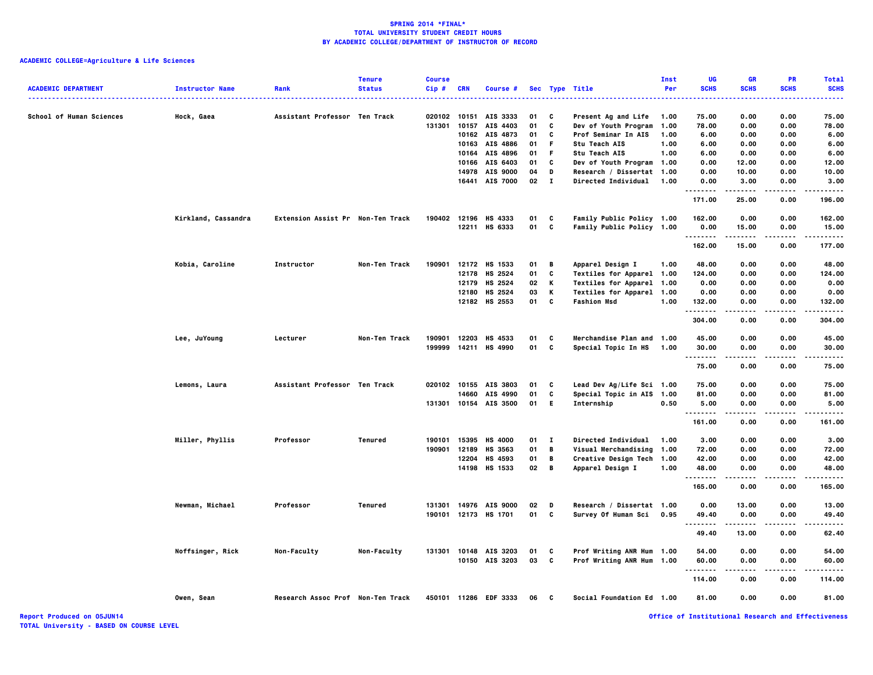# **ACADEMIC COLLEGE=Agriculture & Life Sciences**

| 0.00<br>0.00<br>75.00<br><b>School of Human Sciences</b><br>Hock, Gaea<br>Assistant Professor Ten Track<br>020102<br>10151<br>AIS 3333<br>01<br>C<br>Present Ag and Life<br>1.00<br>75.00<br>c<br>131301<br>10157<br>AIS 4403<br>01<br>Dev of Youth Program<br>1.00<br>78.00<br>0.00<br>0.00<br>78.00<br>10162 AIS 4873<br>C<br><b>Prof Seminar In AIS</b><br>0.00<br>0.00<br>6.00<br>01<br>1.00<br>6.00<br>10163<br>AIS 4886<br>F.<br>Stu Teach AIS<br>1.00<br>6.00<br>0.00<br>0.00<br>6.00<br>01<br>AIS 4896<br>F.<br><b>Stu Teach AIS</b><br>1.00<br>6.00<br>0.00<br>0.00<br>10164<br>01<br>6.00<br>C<br>12.00<br>0.00<br>10166<br>AIS 6403<br>Dev of Youth Program 1.00<br>0.00<br>12.00<br>01<br>14978<br>AIS 9000<br>04<br>D<br>Research / Dissertat 1.00<br>0.00<br>10.00<br>0.00<br>10.00<br>$\mathbf{I}$<br>16441<br><b>AIS 7000</b><br>02<br>Directed Individual<br>0.00<br>1.00<br>0.00<br>3.00<br>3.00<br>.<br>.<br>.<br>25.00<br>171.00<br>0.00<br>196.00<br>HS 4333<br>Family Public Policy 1.00<br>162.00<br>0.00<br>162.00<br>Kirkland, Cassandra<br>Extension Assist Pr Non-Ten Track<br>190402 12196<br>01<br>C<br>0.00<br>C<br>12211 HS 6333<br>01<br>Family Public Policy 1.00<br>0.00<br>15.00<br>0.00<br>15.00<br>.<br>.<br>.<br>-----<br>162.00<br>15.00<br>0.00<br>177.00<br>12172 HS 1533<br>Kobia, Caroline<br>Instructor<br>Non-Ten Track<br>190901<br>01<br>В<br>Apparel Design I<br>1.00<br>48.00<br>0.00<br>0.00<br>48.00<br>12178<br>HS 2524<br>01<br>C<br>Textiles for Apparel 1.00<br>124.00<br>0.00<br>0.00<br>124.00<br>Κ<br>12179<br>HS 2524<br>02<br>Textiles for Apparel 1.00<br>0.00<br>0.00<br>0.00<br>0.00<br>Κ<br>03<br>Textiles for Apparel 1.00<br>0.00<br>12180<br>HS 2524<br>0.00<br>0.00<br>0.00<br>C<br>12182<br>HS 2553<br>01<br><b>Fashion Msd</b><br>132.00<br>0.00<br>0.00<br>1.00<br>132.00<br>.<br>304.00<br>0.00<br>0.00<br>304.00<br>190901<br>12203<br>HS 4533<br>C<br>Merchandise Plan and 1.00<br>45.00<br>0.00<br>0.00<br>45.00<br>Lee, JuYoung<br>Lecturer<br>Non-Ten Track<br>01<br>199999<br>14211 HS 4990<br>C<br>0.00<br>01<br><b>Special Topic In HS</b><br>1.00<br>30.00<br>0.00<br>30.00<br>.<br>75.00<br>0.00<br>0.00<br>75.00<br>Lemons, Laura<br>Assistant Professor Ten Track<br>020102 10155 AIS 3803<br>Lead Dev Ag/Life Sci 1.00<br>0.00<br>0.00<br>75.00<br>01<br>C<br>75.00<br>c<br>Special Topic in AIS 1.00<br>0.00<br>14660<br>AIS 4990<br>01<br>81.00<br>0.00<br>81.00<br>AIS 3500<br>E.<br>131301<br>10154<br>01<br>Internship<br>0.50<br>5.00<br>0.00<br>0.00<br>5.00<br>.<br>-----<br>161.00<br>0.00<br>0.00<br>161.00<br>Miller, Phyllis<br>Professor<br>Tenured<br>190101<br>15395<br><b>HS 4000</b><br>01<br>$\mathbf{I}$<br>Directed Individual<br>1.00<br>3.00<br>0.00<br>0.00<br>3.00<br>12189<br>HS 3563<br>В<br>Visual Merchandising<br>0.00<br>190901<br>01<br>1.00<br>72.00<br>0.00<br>72.00<br>12204<br>HS 4593<br>01<br>В<br>Creative Design Tech<br>1.00<br>42.00<br>0.00<br>0.00<br>42.00<br>B<br>14198 HS 1533<br>02<br>Apparel Design I<br>0.00<br>0.00<br>48.00<br>1.00<br>48.00<br>.<br>165.00<br>0.00<br>0.00<br>165.00<br>Newman, Michael<br>Professor<br><b>Tenured</b><br>131301<br>14976<br><b>AIS 9000</b><br>02<br>D<br>Research / Dissertat 1.00<br>0.00<br>13.00<br>0.00<br>13.00<br>190101 12173 HS 1701<br>01 C<br>Survey Of Human Sci<br>0.95<br>49.40<br>0.00<br>0.00<br>49.40<br>.<br>.<br>.<br>.<br>49.40<br>13.00<br>0.00<br>62.40<br>Noffsinger, Rick<br>Prof Writing ANR Hum 1.00<br>Non-Faculty<br>Non-Faculty<br>131301<br>10148<br>AIS 3203<br>01<br>C<br>54.00<br>0.00<br>0.00<br>54.00<br>10150 AIS 3203<br>03<br>C<br>Prof Writing ANR Hum 1.00<br>60.00<br>0.00<br>0.00<br>60.00<br>.<br>114.00<br>0.00<br>0.00<br>114.00<br>450101 11286 EDF 3333<br>C<br>Social Foundation Ed 1.00<br>81.00<br>0.00<br>0.00<br>81.00<br>Owen, Sean<br>Research Assoc Prof Non-Ten Track<br>06 | <b>ACADEMIC DEPARTMENT</b> | <b>Instructor Name</b> | Rank | <b>Tenure</b><br><b>Status</b> | <b>Course</b><br>Cip# | <b>CRN</b> | Course # |  | Sec Type Title | Inst<br>Per | UG<br><b>SCHS</b> | <b>GR</b><br><b>SCHS</b> | <b>PR</b><br><b>SCHS</b> | <b>Total</b><br><b>SCHS</b> |
|----------------------------------------------------------------------------------------------------------------------------------------------------------------------------------------------------------------------------------------------------------------------------------------------------------------------------------------------------------------------------------------------------------------------------------------------------------------------------------------------------------------------------------------------------------------------------------------------------------------------------------------------------------------------------------------------------------------------------------------------------------------------------------------------------------------------------------------------------------------------------------------------------------------------------------------------------------------------------------------------------------------------------------------------------------------------------------------------------------------------------------------------------------------------------------------------------------------------------------------------------------------------------------------------------------------------------------------------------------------------------------------------------------------------------------------------------------------------------------------------------------------------------------------------------------------------------------------------------------------------------------------------------------------------------------------------------------------------------------------------------------------------------------------------------------------------------------------------------------------------------------------------------------------------------------------------------------------------------------------------------------------------------------------------------------------------------------------------------------------------------------------------------------------------------------------------------------------------------------------------------------------------------------------------------------------------------------------------------------------------------------------------------------------------------------------------------------------------------------------------------------------------------------------------------------------------------------------------------------------------------------------------------------------------------------------------------------------------------------------------------------------------------------------------------------------------------------------------------------------------------------------------------------------------------------------------------------------------------------------------------------------------------------------------------------------------------------------------------------------------------------------------------------------------------------------------------------------------------------------------------------------------------------------------------------------------------------------------------------------------------------------------------------------------------------------------------------------------------------------------------------------------------------------------------------------------------------------------------------------------------------------------------------------------------------------------------------------------------------------------------------------------------------------------------------------------------------------------------------------------------------------------------------------|----------------------------|------------------------|------|--------------------------------|-----------------------|------------|----------|--|----------------|-------------|-------------------|--------------------------|--------------------------|-----------------------------|
|                                                                                                                                                                                                                                                                                                                                                                                                                                                                                                                                                                                                                                                                                                                                                                                                                                                                                                                                                                                                                                                                                                                                                                                                                                                                                                                                                                                                                                                                                                                                                                                                                                                                                                                                                                                                                                                                                                                                                                                                                                                                                                                                                                                                                                                                                                                                                                                                                                                                                                                                                                                                                                                                                                                                                                                                                                                                                                                                                                                                                                                                                                                                                                                                                                                                                                                                                                                                                                                                                                                                                                                                                                                                                                                                                                                                                                                                                                                |                            |                        |      |                                |                       |            |          |  |                |             |                   |                          |                          |                             |
|                                                                                                                                                                                                                                                                                                                                                                                                                                                                                                                                                                                                                                                                                                                                                                                                                                                                                                                                                                                                                                                                                                                                                                                                                                                                                                                                                                                                                                                                                                                                                                                                                                                                                                                                                                                                                                                                                                                                                                                                                                                                                                                                                                                                                                                                                                                                                                                                                                                                                                                                                                                                                                                                                                                                                                                                                                                                                                                                                                                                                                                                                                                                                                                                                                                                                                                                                                                                                                                                                                                                                                                                                                                                                                                                                                                                                                                                                                                |                            |                        |      |                                |                       |            |          |  |                |             |                   |                          |                          |                             |
|                                                                                                                                                                                                                                                                                                                                                                                                                                                                                                                                                                                                                                                                                                                                                                                                                                                                                                                                                                                                                                                                                                                                                                                                                                                                                                                                                                                                                                                                                                                                                                                                                                                                                                                                                                                                                                                                                                                                                                                                                                                                                                                                                                                                                                                                                                                                                                                                                                                                                                                                                                                                                                                                                                                                                                                                                                                                                                                                                                                                                                                                                                                                                                                                                                                                                                                                                                                                                                                                                                                                                                                                                                                                                                                                                                                                                                                                                                                |                            |                        |      |                                |                       |            |          |  |                |             |                   |                          |                          |                             |
|                                                                                                                                                                                                                                                                                                                                                                                                                                                                                                                                                                                                                                                                                                                                                                                                                                                                                                                                                                                                                                                                                                                                                                                                                                                                                                                                                                                                                                                                                                                                                                                                                                                                                                                                                                                                                                                                                                                                                                                                                                                                                                                                                                                                                                                                                                                                                                                                                                                                                                                                                                                                                                                                                                                                                                                                                                                                                                                                                                                                                                                                                                                                                                                                                                                                                                                                                                                                                                                                                                                                                                                                                                                                                                                                                                                                                                                                                                                |                            |                        |      |                                |                       |            |          |  |                |             |                   |                          |                          |                             |
|                                                                                                                                                                                                                                                                                                                                                                                                                                                                                                                                                                                                                                                                                                                                                                                                                                                                                                                                                                                                                                                                                                                                                                                                                                                                                                                                                                                                                                                                                                                                                                                                                                                                                                                                                                                                                                                                                                                                                                                                                                                                                                                                                                                                                                                                                                                                                                                                                                                                                                                                                                                                                                                                                                                                                                                                                                                                                                                                                                                                                                                                                                                                                                                                                                                                                                                                                                                                                                                                                                                                                                                                                                                                                                                                                                                                                                                                                                                |                            |                        |      |                                |                       |            |          |  |                |             |                   |                          |                          |                             |
|                                                                                                                                                                                                                                                                                                                                                                                                                                                                                                                                                                                                                                                                                                                                                                                                                                                                                                                                                                                                                                                                                                                                                                                                                                                                                                                                                                                                                                                                                                                                                                                                                                                                                                                                                                                                                                                                                                                                                                                                                                                                                                                                                                                                                                                                                                                                                                                                                                                                                                                                                                                                                                                                                                                                                                                                                                                                                                                                                                                                                                                                                                                                                                                                                                                                                                                                                                                                                                                                                                                                                                                                                                                                                                                                                                                                                                                                                                                |                            |                        |      |                                |                       |            |          |  |                |             |                   |                          |                          |                             |
|                                                                                                                                                                                                                                                                                                                                                                                                                                                                                                                                                                                                                                                                                                                                                                                                                                                                                                                                                                                                                                                                                                                                                                                                                                                                                                                                                                                                                                                                                                                                                                                                                                                                                                                                                                                                                                                                                                                                                                                                                                                                                                                                                                                                                                                                                                                                                                                                                                                                                                                                                                                                                                                                                                                                                                                                                                                                                                                                                                                                                                                                                                                                                                                                                                                                                                                                                                                                                                                                                                                                                                                                                                                                                                                                                                                                                                                                                                                |                            |                        |      |                                |                       |            |          |  |                |             |                   |                          |                          |                             |
|                                                                                                                                                                                                                                                                                                                                                                                                                                                                                                                                                                                                                                                                                                                                                                                                                                                                                                                                                                                                                                                                                                                                                                                                                                                                                                                                                                                                                                                                                                                                                                                                                                                                                                                                                                                                                                                                                                                                                                                                                                                                                                                                                                                                                                                                                                                                                                                                                                                                                                                                                                                                                                                                                                                                                                                                                                                                                                                                                                                                                                                                                                                                                                                                                                                                                                                                                                                                                                                                                                                                                                                                                                                                                                                                                                                                                                                                                                                |                            |                        |      |                                |                       |            |          |  |                |             |                   |                          |                          |                             |
|                                                                                                                                                                                                                                                                                                                                                                                                                                                                                                                                                                                                                                                                                                                                                                                                                                                                                                                                                                                                                                                                                                                                                                                                                                                                                                                                                                                                                                                                                                                                                                                                                                                                                                                                                                                                                                                                                                                                                                                                                                                                                                                                                                                                                                                                                                                                                                                                                                                                                                                                                                                                                                                                                                                                                                                                                                                                                                                                                                                                                                                                                                                                                                                                                                                                                                                                                                                                                                                                                                                                                                                                                                                                                                                                                                                                                                                                                                                |                            |                        |      |                                |                       |            |          |  |                |             |                   |                          |                          |                             |
|                                                                                                                                                                                                                                                                                                                                                                                                                                                                                                                                                                                                                                                                                                                                                                                                                                                                                                                                                                                                                                                                                                                                                                                                                                                                                                                                                                                                                                                                                                                                                                                                                                                                                                                                                                                                                                                                                                                                                                                                                                                                                                                                                                                                                                                                                                                                                                                                                                                                                                                                                                                                                                                                                                                                                                                                                                                                                                                                                                                                                                                                                                                                                                                                                                                                                                                                                                                                                                                                                                                                                                                                                                                                                                                                                                                                                                                                                                                |                            |                        |      |                                |                       |            |          |  |                |             |                   |                          |                          |                             |
|                                                                                                                                                                                                                                                                                                                                                                                                                                                                                                                                                                                                                                                                                                                                                                                                                                                                                                                                                                                                                                                                                                                                                                                                                                                                                                                                                                                                                                                                                                                                                                                                                                                                                                                                                                                                                                                                                                                                                                                                                                                                                                                                                                                                                                                                                                                                                                                                                                                                                                                                                                                                                                                                                                                                                                                                                                                                                                                                                                                                                                                                                                                                                                                                                                                                                                                                                                                                                                                                                                                                                                                                                                                                                                                                                                                                                                                                                                                |                            |                        |      |                                |                       |            |          |  |                |             |                   |                          |                          |                             |
|                                                                                                                                                                                                                                                                                                                                                                                                                                                                                                                                                                                                                                                                                                                                                                                                                                                                                                                                                                                                                                                                                                                                                                                                                                                                                                                                                                                                                                                                                                                                                                                                                                                                                                                                                                                                                                                                                                                                                                                                                                                                                                                                                                                                                                                                                                                                                                                                                                                                                                                                                                                                                                                                                                                                                                                                                                                                                                                                                                                                                                                                                                                                                                                                                                                                                                                                                                                                                                                                                                                                                                                                                                                                                                                                                                                                                                                                                                                |                            |                        |      |                                |                       |            |          |  |                |             |                   |                          |                          |                             |
|                                                                                                                                                                                                                                                                                                                                                                                                                                                                                                                                                                                                                                                                                                                                                                                                                                                                                                                                                                                                                                                                                                                                                                                                                                                                                                                                                                                                                                                                                                                                                                                                                                                                                                                                                                                                                                                                                                                                                                                                                                                                                                                                                                                                                                                                                                                                                                                                                                                                                                                                                                                                                                                                                                                                                                                                                                                                                                                                                                                                                                                                                                                                                                                                                                                                                                                                                                                                                                                                                                                                                                                                                                                                                                                                                                                                                                                                                                                |                            |                        |      |                                |                       |            |          |  |                |             |                   |                          |                          |                             |
|                                                                                                                                                                                                                                                                                                                                                                                                                                                                                                                                                                                                                                                                                                                                                                                                                                                                                                                                                                                                                                                                                                                                                                                                                                                                                                                                                                                                                                                                                                                                                                                                                                                                                                                                                                                                                                                                                                                                                                                                                                                                                                                                                                                                                                                                                                                                                                                                                                                                                                                                                                                                                                                                                                                                                                                                                                                                                                                                                                                                                                                                                                                                                                                                                                                                                                                                                                                                                                                                                                                                                                                                                                                                                                                                                                                                                                                                                                                |                            |                        |      |                                |                       |            |          |  |                |             |                   |                          |                          |                             |
|                                                                                                                                                                                                                                                                                                                                                                                                                                                                                                                                                                                                                                                                                                                                                                                                                                                                                                                                                                                                                                                                                                                                                                                                                                                                                                                                                                                                                                                                                                                                                                                                                                                                                                                                                                                                                                                                                                                                                                                                                                                                                                                                                                                                                                                                                                                                                                                                                                                                                                                                                                                                                                                                                                                                                                                                                                                                                                                                                                                                                                                                                                                                                                                                                                                                                                                                                                                                                                                                                                                                                                                                                                                                                                                                                                                                                                                                                                                |                            |                        |      |                                |                       |            |          |  |                |             |                   |                          |                          |                             |
|                                                                                                                                                                                                                                                                                                                                                                                                                                                                                                                                                                                                                                                                                                                                                                                                                                                                                                                                                                                                                                                                                                                                                                                                                                                                                                                                                                                                                                                                                                                                                                                                                                                                                                                                                                                                                                                                                                                                                                                                                                                                                                                                                                                                                                                                                                                                                                                                                                                                                                                                                                                                                                                                                                                                                                                                                                                                                                                                                                                                                                                                                                                                                                                                                                                                                                                                                                                                                                                                                                                                                                                                                                                                                                                                                                                                                                                                                                                |                            |                        |      |                                |                       |            |          |  |                |             |                   |                          |                          |                             |
|                                                                                                                                                                                                                                                                                                                                                                                                                                                                                                                                                                                                                                                                                                                                                                                                                                                                                                                                                                                                                                                                                                                                                                                                                                                                                                                                                                                                                                                                                                                                                                                                                                                                                                                                                                                                                                                                                                                                                                                                                                                                                                                                                                                                                                                                                                                                                                                                                                                                                                                                                                                                                                                                                                                                                                                                                                                                                                                                                                                                                                                                                                                                                                                                                                                                                                                                                                                                                                                                                                                                                                                                                                                                                                                                                                                                                                                                                                                |                            |                        |      |                                |                       |            |          |  |                |             |                   |                          |                          |                             |
|                                                                                                                                                                                                                                                                                                                                                                                                                                                                                                                                                                                                                                                                                                                                                                                                                                                                                                                                                                                                                                                                                                                                                                                                                                                                                                                                                                                                                                                                                                                                                                                                                                                                                                                                                                                                                                                                                                                                                                                                                                                                                                                                                                                                                                                                                                                                                                                                                                                                                                                                                                                                                                                                                                                                                                                                                                                                                                                                                                                                                                                                                                                                                                                                                                                                                                                                                                                                                                                                                                                                                                                                                                                                                                                                                                                                                                                                                                                |                            |                        |      |                                |                       |            |          |  |                |             |                   |                          |                          |                             |
|                                                                                                                                                                                                                                                                                                                                                                                                                                                                                                                                                                                                                                                                                                                                                                                                                                                                                                                                                                                                                                                                                                                                                                                                                                                                                                                                                                                                                                                                                                                                                                                                                                                                                                                                                                                                                                                                                                                                                                                                                                                                                                                                                                                                                                                                                                                                                                                                                                                                                                                                                                                                                                                                                                                                                                                                                                                                                                                                                                                                                                                                                                                                                                                                                                                                                                                                                                                                                                                                                                                                                                                                                                                                                                                                                                                                                                                                                                                |                            |                        |      |                                |                       |            |          |  |                |             |                   |                          |                          |                             |
|                                                                                                                                                                                                                                                                                                                                                                                                                                                                                                                                                                                                                                                                                                                                                                                                                                                                                                                                                                                                                                                                                                                                                                                                                                                                                                                                                                                                                                                                                                                                                                                                                                                                                                                                                                                                                                                                                                                                                                                                                                                                                                                                                                                                                                                                                                                                                                                                                                                                                                                                                                                                                                                                                                                                                                                                                                                                                                                                                                                                                                                                                                                                                                                                                                                                                                                                                                                                                                                                                                                                                                                                                                                                                                                                                                                                                                                                                                                |                            |                        |      |                                |                       |            |          |  |                |             |                   |                          |                          |                             |
|                                                                                                                                                                                                                                                                                                                                                                                                                                                                                                                                                                                                                                                                                                                                                                                                                                                                                                                                                                                                                                                                                                                                                                                                                                                                                                                                                                                                                                                                                                                                                                                                                                                                                                                                                                                                                                                                                                                                                                                                                                                                                                                                                                                                                                                                                                                                                                                                                                                                                                                                                                                                                                                                                                                                                                                                                                                                                                                                                                                                                                                                                                                                                                                                                                                                                                                                                                                                                                                                                                                                                                                                                                                                                                                                                                                                                                                                                                                |                            |                        |      |                                |                       |            |          |  |                |             |                   |                          |                          |                             |
|                                                                                                                                                                                                                                                                                                                                                                                                                                                                                                                                                                                                                                                                                                                                                                                                                                                                                                                                                                                                                                                                                                                                                                                                                                                                                                                                                                                                                                                                                                                                                                                                                                                                                                                                                                                                                                                                                                                                                                                                                                                                                                                                                                                                                                                                                                                                                                                                                                                                                                                                                                                                                                                                                                                                                                                                                                                                                                                                                                                                                                                                                                                                                                                                                                                                                                                                                                                                                                                                                                                                                                                                                                                                                                                                                                                                                                                                                                                |                            |                        |      |                                |                       |            |          |  |                |             |                   |                          |                          |                             |
|                                                                                                                                                                                                                                                                                                                                                                                                                                                                                                                                                                                                                                                                                                                                                                                                                                                                                                                                                                                                                                                                                                                                                                                                                                                                                                                                                                                                                                                                                                                                                                                                                                                                                                                                                                                                                                                                                                                                                                                                                                                                                                                                                                                                                                                                                                                                                                                                                                                                                                                                                                                                                                                                                                                                                                                                                                                                                                                                                                                                                                                                                                                                                                                                                                                                                                                                                                                                                                                                                                                                                                                                                                                                                                                                                                                                                                                                                                                |                            |                        |      |                                |                       |            |          |  |                |             |                   |                          |                          |                             |
|                                                                                                                                                                                                                                                                                                                                                                                                                                                                                                                                                                                                                                                                                                                                                                                                                                                                                                                                                                                                                                                                                                                                                                                                                                                                                                                                                                                                                                                                                                                                                                                                                                                                                                                                                                                                                                                                                                                                                                                                                                                                                                                                                                                                                                                                                                                                                                                                                                                                                                                                                                                                                                                                                                                                                                                                                                                                                                                                                                                                                                                                                                                                                                                                                                                                                                                                                                                                                                                                                                                                                                                                                                                                                                                                                                                                                                                                                                                |                            |                        |      |                                |                       |            |          |  |                |             |                   |                          |                          |                             |
|                                                                                                                                                                                                                                                                                                                                                                                                                                                                                                                                                                                                                                                                                                                                                                                                                                                                                                                                                                                                                                                                                                                                                                                                                                                                                                                                                                                                                                                                                                                                                                                                                                                                                                                                                                                                                                                                                                                                                                                                                                                                                                                                                                                                                                                                                                                                                                                                                                                                                                                                                                                                                                                                                                                                                                                                                                                                                                                                                                                                                                                                                                                                                                                                                                                                                                                                                                                                                                                                                                                                                                                                                                                                                                                                                                                                                                                                                                                |                            |                        |      |                                |                       |            |          |  |                |             |                   |                          |                          |                             |
|                                                                                                                                                                                                                                                                                                                                                                                                                                                                                                                                                                                                                                                                                                                                                                                                                                                                                                                                                                                                                                                                                                                                                                                                                                                                                                                                                                                                                                                                                                                                                                                                                                                                                                                                                                                                                                                                                                                                                                                                                                                                                                                                                                                                                                                                                                                                                                                                                                                                                                                                                                                                                                                                                                                                                                                                                                                                                                                                                                                                                                                                                                                                                                                                                                                                                                                                                                                                                                                                                                                                                                                                                                                                                                                                                                                                                                                                                                                |                            |                        |      |                                |                       |            |          |  |                |             |                   |                          |                          |                             |
|                                                                                                                                                                                                                                                                                                                                                                                                                                                                                                                                                                                                                                                                                                                                                                                                                                                                                                                                                                                                                                                                                                                                                                                                                                                                                                                                                                                                                                                                                                                                                                                                                                                                                                                                                                                                                                                                                                                                                                                                                                                                                                                                                                                                                                                                                                                                                                                                                                                                                                                                                                                                                                                                                                                                                                                                                                                                                                                                                                                                                                                                                                                                                                                                                                                                                                                                                                                                                                                                                                                                                                                                                                                                                                                                                                                                                                                                                                                |                            |                        |      |                                |                       |            |          |  |                |             |                   |                          |                          |                             |
|                                                                                                                                                                                                                                                                                                                                                                                                                                                                                                                                                                                                                                                                                                                                                                                                                                                                                                                                                                                                                                                                                                                                                                                                                                                                                                                                                                                                                                                                                                                                                                                                                                                                                                                                                                                                                                                                                                                                                                                                                                                                                                                                                                                                                                                                                                                                                                                                                                                                                                                                                                                                                                                                                                                                                                                                                                                                                                                                                                                                                                                                                                                                                                                                                                                                                                                                                                                                                                                                                                                                                                                                                                                                                                                                                                                                                                                                                                                |                            |                        |      |                                |                       |            |          |  |                |             |                   |                          |                          |                             |
|                                                                                                                                                                                                                                                                                                                                                                                                                                                                                                                                                                                                                                                                                                                                                                                                                                                                                                                                                                                                                                                                                                                                                                                                                                                                                                                                                                                                                                                                                                                                                                                                                                                                                                                                                                                                                                                                                                                                                                                                                                                                                                                                                                                                                                                                                                                                                                                                                                                                                                                                                                                                                                                                                                                                                                                                                                                                                                                                                                                                                                                                                                                                                                                                                                                                                                                                                                                                                                                                                                                                                                                                                                                                                                                                                                                                                                                                                                                |                            |                        |      |                                |                       |            |          |  |                |             |                   |                          |                          |                             |
|                                                                                                                                                                                                                                                                                                                                                                                                                                                                                                                                                                                                                                                                                                                                                                                                                                                                                                                                                                                                                                                                                                                                                                                                                                                                                                                                                                                                                                                                                                                                                                                                                                                                                                                                                                                                                                                                                                                                                                                                                                                                                                                                                                                                                                                                                                                                                                                                                                                                                                                                                                                                                                                                                                                                                                                                                                                                                                                                                                                                                                                                                                                                                                                                                                                                                                                                                                                                                                                                                                                                                                                                                                                                                                                                                                                                                                                                                                                |                            |                        |      |                                |                       |            |          |  |                |             |                   |                          |                          |                             |
|                                                                                                                                                                                                                                                                                                                                                                                                                                                                                                                                                                                                                                                                                                                                                                                                                                                                                                                                                                                                                                                                                                                                                                                                                                                                                                                                                                                                                                                                                                                                                                                                                                                                                                                                                                                                                                                                                                                                                                                                                                                                                                                                                                                                                                                                                                                                                                                                                                                                                                                                                                                                                                                                                                                                                                                                                                                                                                                                                                                                                                                                                                                                                                                                                                                                                                                                                                                                                                                                                                                                                                                                                                                                                                                                                                                                                                                                                                                |                            |                        |      |                                |                       |            |          |  |                |             |                   |                          |                          |                             |
|                                                                                                                                                                                                                                                                                                                                                                                                                                                                                                                                                                                                                                                                                                                                                                                                                                                                                                                                                                                                                                                                                                                                                                                                                                                                                                                                                                                                                                                                                                                                                                                                                                                                                                                                                                                                                                                                                                                                                                                                                                                                                                                                                                                                                                                                                                                                                                                                                                                                                                                                                                                                                                                                                                                                                                                                                                                                                                                                                                                                                                                                                                                                                                                                                                                                                                                                                                                                                                                                                                                                                                                                                                                                                                                                                                                                                                                                                                                |                            |                        |      |                                |                       |            |          |  |                |             |                   |                          |                          |                             |
|                                                                                                                                                                                                                                                                                                                                                                                                                                                                                                                                                                                                                                                                                                                                                                                                                                                                                                                                                                                                                                                                                                                                                                                                                                                                                                                                                                                                                                                                                                                                                                                                                                                                                                                                                                                                                                                                                                                                                                                                                                                                                                                                                                                                                                                                                                                                                                                                                                                                                                                                                                                                                                                                                                                                                                                                                                                                                                                                                                                                                                                                                                                                                                                                                                                                                                                                                                                                                                                                                                                                                                                                                                                                                                                                                                                                                                                                                                                |                            |                        |      |                                |                       |            |          |  |                |             |                   |                          |                          |                             |
|                                                                                                                                                                                                                                                                                                                                                                                                                                                                                                                                                                                                                                                                                                                                                                                                                                                                                                                                                                                                                                                                                                                                                                                                                                                                                                                                                                                                                                                                                                                                                                                                                                                                                                                                                                                                                                                                                                                                                                                                                                                                                                                                                                                                                                                                                                                                                                                                                                                                                                                                                                                                                                                                                                                                                                                                                                                                                                                                                                                                                                                                                                                                                                                                                                                                                                                                                                                                                                                                                                                                                                                                                                                                                                                                                                                                                                                                                                                |                            |                        |      |                                |                       |            |          |  |                |             |                   |                          |                          |                             |
|                                                                                                                                                                                                                                                                                                                                                                                                                                                                                                                                                                                                                                                                                                                                                                                                                                                                                                                                                                                                                                                                                                                                                                                                                                                                                                                                                                                                                                                                                                                                                                                                                                                                                                                                                                                                                                                                                                                                                                                                                                                                                                                                                                                                                                                                                                                                                                                                                                                                                                                                                                                                                                                                                                                                                                                                                                                                                                                                                                                                                                                                                                                                                                                                                                                                                                                                                                                                                                                                                                                                                                                                                                                                                                                                                                                                                                                                                                                |                            |                        |      |                                |                       |            |          |  |                |             |                   |                          |                          |                             |
|                                                                                                                                                                                                                                                                                                                                                                                                                                                                                                                                                                                                                                                                                                                                                                                                                                                                                                                                                                                                                                                                                                                                                                                                                                                                                                                                                                                                                                                                                                                                                                                                                                                                                                                                                                                                                                                                                                                                                                                                                                                                                                                                                                                                                                                                                                                                                                                                                                                                                                                                                                                                                                                                                                                                                                                                                                                                                                                                                                                                                                                                                                                                                                                                                                                                                                                                                                                                                                                                                                                                                                                                                                                                                                                                                                                                                                                                                                                |                            |                        |      |                                |                       |            |          |  |                |             |                   |                          |                          |                             |
|                                                                                                                                                                                                                                                                                                                                                                                                                                                                                                                                                                                                                                                                                                                                                                                                                                                                                                                                                                                                                                                                                                                                                                                                                                                                                                                                                                                                                                                                                                                                                                                                                                                                                                                                                                                                                                                                                                                                                                                                                                                                                                                                                                                                                                                                                                                                                                                                                                                                                                                                                                                                                                                                                                                                                                                                                                                                                                                                                                                                                                                                                                                                                                                                                                                                                                                                                                                                                                                                                                                                                                                                                                                                                                                                                                                                                                                                                                                |                            |                        |      |                                |                       |            |          |  |                |             |                   |                          |                          |                             |
|                                                                                                                                                                                                                                                                                                                                                                                                                                                                                                                                                                                                                                                                                                                                                                                                                                                                                                                                                                                                                                                                                                                                                                                                                                                                                                                                                                                                                                                                                                                                                                                                                                                                                                                                                                                                                                                                                                                                                                                                                                                                                                                                                                                                                                                                                                                                                                                                                                                                                                                                                                                                                                                                                                                                                                                                                                                                                                                                                                                                                                                                                                                                                                                                                                                                                                                                                                                                                                                                                                                                                                                                                                                                                                                                                                                                                                                                                                                |                            |                        |      |                                |                       |            |          |  |                |             |                   |                          |                          |                             |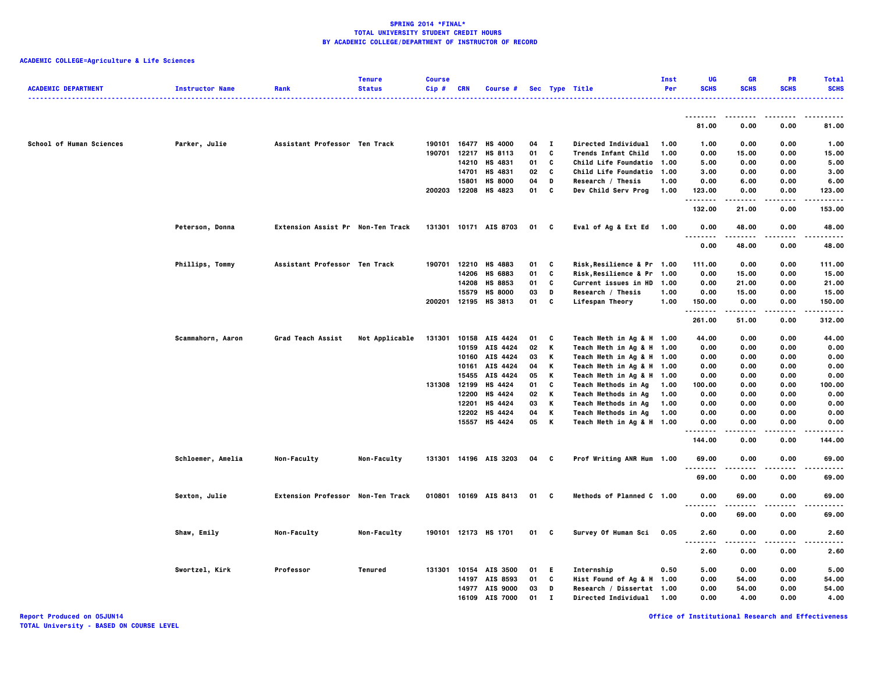**ACADEMIC COLLEGE=Agriculture & Life Sciences**

| <b>ACADEMIC DEPARTMENT</b>      | <b>Instructor Name</b> | Rank                              | <b>Tenure</b><br><b>Status</b> | <b>Course</b><br>Cip# | CRN            | <b>Course #</b>       |              |              | Sec Type Title                             | Inst<br>Per  | UG<br><b>SCHS</b>     | <b>GR</b><br><b>SCHS</b> | <b>PR</b><br><b>SCHS</b> | <b>Total</b><br><b>SCHS</b> |
|---------------------------------|------------------------|-----------------------------------|--------------------------------|-----------------------|----------------|-----------------------|--------------|--------------|--------------------------------------------|--------------|-----------------------|--------------------------|--------------------------|-----------------------------|
|                                 |                        |                                   |                                |                       |                |                       |              |              |                                            |              | .                     |                          |                          |                             |
|                                 |                        |                                   |                                |                       |                |                       |              |              |                                            |              | 81.00                 | 0.00                     | 0.00                     | 81.00                       |
| <b>School of Human Sciences</b> | Parker, Julie          | Assistant Professor Ten Track     |                                |                       |                | 190101 16477 HS 4000  | 04           | $\mathbf{I}$ | <b>Directed Individual</b>                 | 1.00         | 1.00                  | 0.00                     | 0.00                     | 1.00                        |
|                                 |                        |                                   |                                | 190701                |                | 12217 HS 8113         | 01           | C            | <b>Trends Infant Child</b>                 | 1.00         | 0.00                  | 15.00                    | 0.00                     | 15.00                       |
|                                 |                        |                                   |                                |                       | 14210          | HS 4831               | 01           | C            | Child Life Foundatio 1.00                  |              | 5.00                  | 0.00                     | 0.00                     | 5.00                        |
|                                 |                        |                                   |                                |                       | 14701          | HS 4831               | 02           | C            | Child Life Foundatio 1.00                  |              | 3.00                  | 0.00                     | 0.00                     | 3.00                        |
|                                 |                        |                                   |                                |                       | 15801          | <b>HS 8000</b>        | 04           | D            | Research / Thesis                          | 1.00         | 0.00                  | 6.00                     | 0.00                     | 6.00                        |
|                                 |                        |                                   |                                | 200203 12208          |                | HS 4823               | 01           | c            | Dev Child Serv Prog                        | 1.00         | 123.00<br>.           | 0.00<br>.                | 0.00<br>.                | 123.00<br>.                 |
|                                 |                        |                                   |                                |                       |                |                       |              |              |                                            |              | 132.00                | 21.00                    | 0.00                     | 153.00                      |
|                                 | Peterson, Donna        | Extension Assist Pr Non-Ten Track |                                |                       |                | 131301 10171 AIS 8703 | $01 \quad C$ |              | Eval of Ag & Ext Ed 1.00                   |              | 0.00<br>.             | 48.00                    | 0.00                     | 48.00                       |
|                                 |                        |                                   |                                |                       |                |                       |              |              |                                            |              | 0.00                  | 48.00                    | 0.00                     | 48.00                       |
|                                 | Phillips, Tommy        | Assistant Professor Ten Track     |                                |                       |                | 190701 12210 HS 4883  | 01           | C            | Risk, Resilience & Pr 1.00                 |              | 111.00                | 0.00                     | 0.00                     | 111.00                      |
|                                 |                        |                                   |                                |                       |                | 14206 HS 6883         | 01           | C            | Risk, Resilience & Pr 1.00                 |              | 0.00                  | 15.00                    | 0.00                     | 15.00                       |
|                                 |                        |                                   |                                |                       | 14208          | HS 8853               | 01           | c            | Current issues in HD 1.00                  |              | 0.00                  | 21.00                    | 0.00                     | 21.00                       |
|                                 |                        |                                   |                                |                       | 15579          | <b>HS 8000</b>        | 03           | D            | Research / Thesis                          | 1.00         | 0.00                  | 15.00                    | 0.00                     | 15.00                       |
|                                 |                        |                                   |                                |                       |                | 200201 12195 HS 3813  | 01 C         |              | Lifespan Theory                            | 1.00         | 150.00<br>.           | 0.00<br>.                | 0.00<br>.                | 150.00<br>.                 |
|                                 |                        |                                   |                                |                       |                |                       |              |              |                                            |              | 261.00                | 51.00                    | 0.00                     | 312.00                      |
|                                 | Scammahorn, Aaron      | Grad Teach Assist                 | Not Applicable                 | 131301                |                | 10158 AIS 4424        | 01           | C            | Teach Meth in Ag & H 1.00                  |              | 44.00                 | 0.00                     | 0.00                     | 44.00                       |
|                                 |                        |                                   |                                |                       |                | 10159 AIS 4424        | 02           | К            | Teach Meth in Ag & H 1.00                  |              | 0.00                  | 0.00                     | 0.00                     | 0.00                        |
|                                 |                        |                                   |                                |                       | 10160          | AIS 4424              | 03           | К            | Teach Meth in Ag & H 1.00                  |              | 0.00                  | 0.00                     | 0.00                     | 0.00                        |
|                                 |                        |                                   |                                |                       |                | 10161 AIS 4424        | 04           | К            | Teach Meth in Ag & H 1.00                  |              | 0.00                  | 0.00                     | 0.00                     | 0.00                        |
|                                 |                        |                                   |                                |                       | 15455          | AIS 4424              | 05           | К            | Teach Meth in Ag & H 1.00                  |              | 0.00                  | 0.00                     | 0.00                     | 0.00                        |
|                                 |                        |                                   |                                | 131308                | 12199<br>12200 | HS 4424               | 01<br>02     | C<br>K       | <b>Teach Methods in Ag</b>                 | 1.00         | 100.00                | 0.00<br>0.00             | 0.00<br>0.00             | 100.00                      |
|                                 |                        |                                   |                                |                       | 12201          | HS 4424<br>HS 4424    | 03           | К            | Teach Methods in Ag<br>Teach Methods in Ag | 1.00<br>1.00 | 0.00<br>0.00          | 0.00                     | 0.00                     | 0.00<br>0.00                |
|                                 |                        |                                   |                                |                       | 12202          | HS 4424               | 04           | К            | <b>Teach Methods in Ag</b>                 | 1.00         | 0.00                  | 0.00                     | 0.00                     | 0.00                        |
|                                 |                        |                                   |                                |                       |                | 15557 HS 4424         | 05           | K            | Teach Meth in Ag & H 1.00                  |              | 0.00                  | 0.00                     | 0.00                     | 0.00                        |
|                                 |                        |                                   |                                |                       |                |                       |              |              |                                            |              | .<br>144.00           | $- - - -$<br>0.00        | .<br>0.00                | .<br>144.00                 |
|                                 | Schloemer, Amelia      | Non-Faculty                       | Non-Faculty                    |                       |                | 131301 14196 AIS 3203 | 04 C         |              | Prof Writing ANR Hum 1.00                  |              | 69.00<br>.            | 0.00<br>----             | 0.00<br>.                | 69.00<br>.                  |
|                                 |                        |                                   |                                |                       |                |                       |              |              |                                            |              | 69.00                 | 0.00                     | 0.00                     | 69.00                       |
|                                 | Sexton, Julie          | Extension Professor Non-Ten Track |                                |                       |                | 010801 10169 AIS 8413 | $01 \quad C$ |              | Methods of Planned C 1.00                  |              | 0.00                  | 69.00                    | 0.00                     | 69.00                       |
|                                 |                        |                                   |                                |                       |                |                       |              |              |                                            |              | $\sim$ $\sim$<br>0.00 | 69.00                    | 0.00                     | 69.00                       |
|                                 | Shaw, Emily            | Non-Faculty                       | Non-Faculty                    |                       |                | 190101 12173 HS 1701  | 01 C         |              | Survey Of Human Sci                        | 0.05         | 2.60                  | 0.00                     | 0.00                     | 2.60                        |
|                                 |                        |                                   |                                |                       |                |                       |              |              |                                            |              | .<br>$\cdots$<br>2.60 | .<br>0.00                | 0.00                     | .<br>2.60                   |
|                                 | Swortzel, Kirk         | Professor                         | Tenured                        | 131301                |                | 10154 AIS 3500        | 01           | -E           | Internship                                 | 0.50         | 5.00                  | 0.00                     | 0.00                     | 5.00                        |
|                                 |                        |                                   |                                |                       |                | 14197 AIS 8593        | 01           | C            | Hist Found of Ag & H 1.00                  |              | 0.00                  | 54.00                    | 0.00                     | 54.00                       |
|                                 |                        |                                   |                                |                       |                | 14977 AIS 9000        | 03           | D            | Research / Dissertat 1.00                  |              | 0.00                  | 54.00                    | 0.00                     | 54.00                       |
|                                 |                        |                                   |                                |                       |                | 16109 AIS 7000        | 01           | $\mathbf{I}$ | <b>Directed Individual</b>                 | 1.00         | 0.00                  | 4.00                     | 0.00                     | 4.00                        |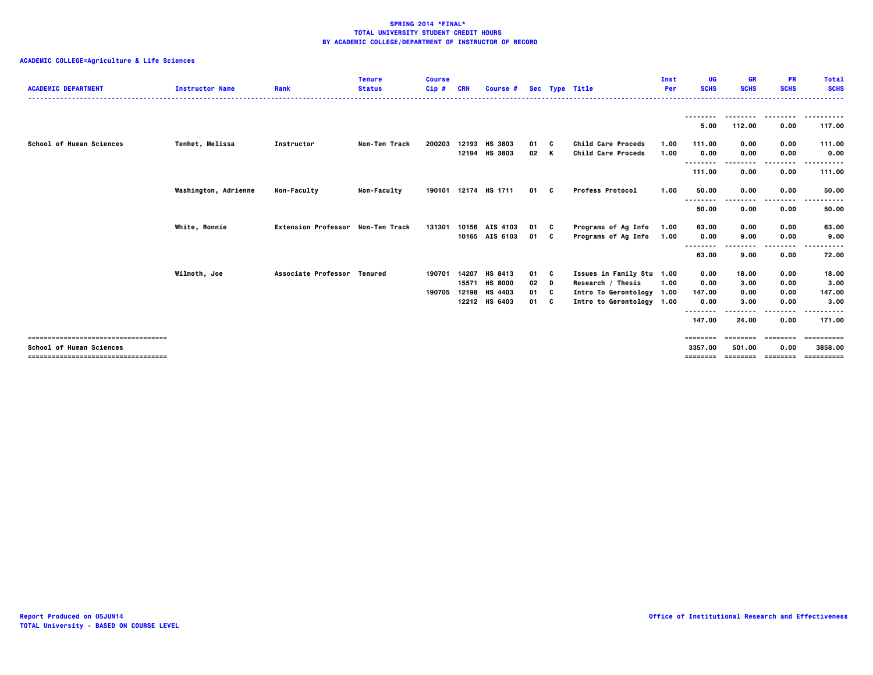# **ACADEMIC COLLEGE=Agriculture & Life Sciences**

| <b>ACADEMIC DEPARTMENT</b>            | <b>Instructor Name</b> | Rank                              | <b>Tenure</b><br><b>Status</b> | <b>Course</b><br>Cip# | <b>CRN</b> | Course #             |      |     | Sec Type Title            | Inst<br>Per | UG<br><b>SCHS</b> | <b>GR</b><br><b>SCHS</b> | <b>PR</b><br><b>SCHS</b> | <b>Total</b><br><b>SCHS</b> |
|---------------------------------------|------------------------|-----------------------------------|--------------------------------|-----------------------|------------|----------------------|------|-----|---------------------------|-------------|-------------------|--------------------------|--------------------------|-----------------------------|
|                                       |                        |                                   |                                |                       |            |                      |      |     |                           |             |                   |                          |                          | . <b>.</b> .                |
|                                       |                        |                                   |                                |                       |            |                      |      |     |                           |             | 5.00              | 112.00                   | 0.00                     | 117.00                      |
| School of Human Sciences              | Tenhet, Melissa        | Instructor                        | Non-Ten Track                  | 200203                |            | 12193 HS 3803        | 01 C |     | Child Care Proceds        | 1.00        | 111.00            | 0.00                     | 0.00                     | 111.00                      |
|                                       |                        |                                   |                                |                       |            | 12194 HS 3803        | 02 K |     | Child Care Proceds        | 1.00        | 0.00<br>          | 0.00                     | 0.00                     | 0.00                        |
|                                       |                        |                                   |                                |                       |            |                      |      |     |                           |             | 111.00            | 0.00                     | 0.00                     | 111.00                      |
|                                       | Washington, Adrienne   | <b>Non-Faculty</b>                | Non-Faculty                    |                       |            | 190101 12174 HS 1711 | 01 C |     | <b>Profess Protocol</b>   | 1.00        | 50.00             | 0.00                     | 0.00                     | 50.00                       |
|                                       |                        |                                   |                                |                       |            |                      |      |     |                           |             | .<br>50.00        | 0.00                     | 0.00                     | 50.00                       |
|                                       | White, Ronnie          | Extension Professor Non-Ten Track |                                | 131301                |            | 10156 AIS 4103       | 01 C |     | Programs of Ag Info       | 1.00        | 63.00             | 0.00                     | 0.00                     | 63.00                       |
|                                       |                        |                                   |                                |                       |            | 10165 AIS 6103       | 01 C |     | Programs of Ag Info       | 1.00        | 0.00              | 9.00                     | 0.00<br>-----            | 9.00                        |
|                                       |                        |                                   |                                |                       |            |                      |      |     |                           |             | 63.00             | 9.00                     | 0.00                     | 72.00                       |
|                                       | Wilmoth, Joe           | Associate Professor Tenured       |                                | 190701                | 14207      | HS 8413              | 01   | - C | Issues in Family Stu 1.00 |             | 0.00              | 18.00                    | 0.00                     | 18.00                       |
|                                       |                        |                                   |                                |                       | 15571      | <b>HS 8000</b>       | 02   | D   | Research / Thesis         | 1.00        | 0.00              | 3.00                     | 0.00                     | 3.00                        |
|                                       |                        |                                   |                                | 190705                | 12198      | HS 4403              | 01   | - C | Intro To Gerontology 1.00 |             | 147.00            | 0.00                     | 0.00                     | 147.00                      |
|                                       |                        |                                   |                                |                       |            | 12212 HS 6403        | 01 C |     | Intro to Gerontology 1.00 |             | 0.00              | 3.00                     | 0.00                     | 3.00<br>------              |
|                                       |                        |                                   |                                |                       |            |                      |      |     |                           |             | .<br>147.00       | 24.00                    | 0.00                     | 171.00                      |
| ------------------------------------- |                        |                                   |                                |                       |            |                      |      |     |                           |             | ========          | $=$ = = = = = = =        | ========                 | ==========                  |
| <b>School of Human Sciences</b>       |                        |                                   |                                |                       |            |                      |      |     |                           |             | 3357.00           | 501.00                   | 0.00                     | 3858.00                     |
| ====================================  |                        |                                   |                                |                       |            |                      |      |     |                           |             | ========          | ==================       |                          | ==========                  |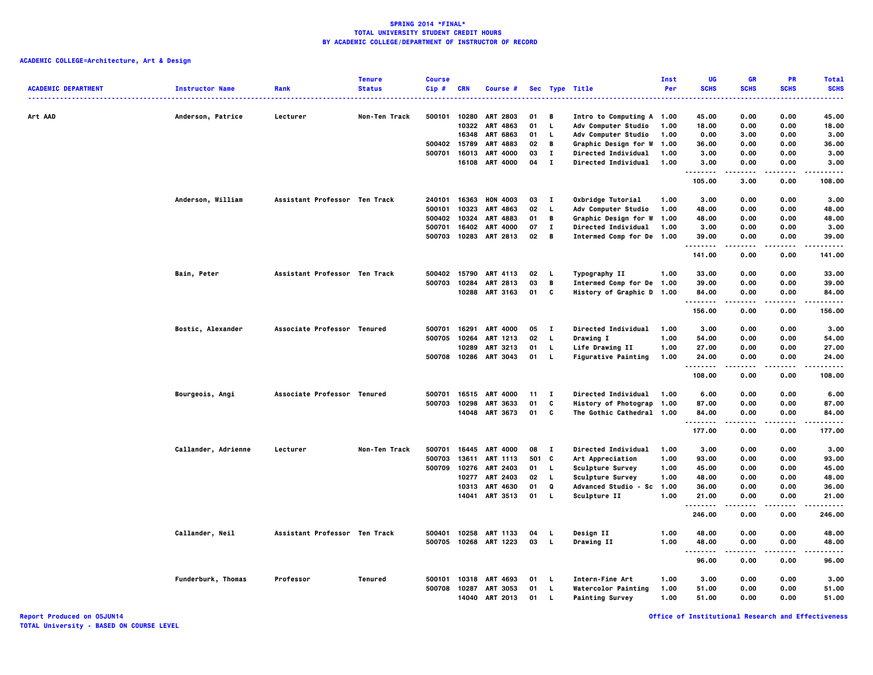| <b>ACADEMIC DEPARTMENT</b> | <b>Instructor Name</b><br> | Rank                          | <b>Tenure</b><br><b>Status</b> | <b>Course</b><br>Cip# | <b>CRN</b> | Course #              |              |              | Sec Type Title              | Inst<br>Per | <b>UG</b><br><b>SCHS</b> | <b>GR</b><br><b>SCHS</b> | <b>PR</b><br><b>SCHS</b> | <b>Total</b><br><b>SCHS</b> |
|----------------------------|----------------------------|-------------------------------|--------------------------------|-----------------------|------------|-----------------------|--------------|--------------|-----------------------------|-------------|--------------------------|--------------------------|--------------------------|-----------------------------|
| Art AAD                    | Anderson, Patrice          | Lecturer                      | Non-Ten Track                  | 500101                | 10280      | <b>ART 2803</b>       | 01           | B            | Intro to Computing A 1.00   |             | 45.00                    | 0.00                     | 0.00                     | 45.00                       |
|                            |                            |                               |                                |                       |            | 10322 ART 4863        | 01           | $\mathbf{L}$ | Adv Computer Studio         | 1.00        | 18.00                    | 0.00                     | 0.00                     | 18.00                       |
|                            |                            |                               |                                |                       | 16348      | <b>ART 6863</b>       | 01           | L.           | Adv Computer Studio         | 1.00        | 0.00                     | 3.00                     | 0.00                     | 3.00                        |
|                            |                            |                               |                                | 500402                | 15789      | ART 4883              | 02           | B            | Graphic Design for W        | 1.00        | 36.00                    | 0.00                     | 0.00                     | 36.00                       |
|                            |                            |                               |                                | 500701                | 16013      | <b>ART 4000</b>       | 03           | $\mathbf{I}$ | Directed Individual         | 1.00        | 3.00                     | 0.00                     | 0.00                     | 3.00                        |
|                            |                            |                               |                                |                       | 16108      | <b>ART 4000</b>       | 04           | $\mathbf{I}$ | Directed Individual         | 1.00        | 3.00<br>.                | 0.00<br>.                | 0.00<br>$- - - -$        | 3.00<br>$- - - -$           |
|                            |                            |                               |                                |                       |            |                       |              |              |                             |             | 105.00                   | 3.00                     | 0.00                     | 108.00                      |
|                            | Anderson, William          | Assistant Professor Ten Track |                                | 240101                |            | 16363 HON 4003        | 03           | $\mathbf{I}$ | Oxbridge Tutorial           | 1.00        | 3.00                     | 0.00                     | 0.00                     | 3.00                        |
|                            |                            |                               |                                | 500101                | 10323      | ART 4863              | 02           | L.           | Adv Computer Studio         | 1.00        | 48.00                    | 0.00                     | 0.00                     | 48.00                       |
|                            |                            |                               |                                | 500402                | 10324      | ART 4883              | 01           | $\mathbf{B}$ | Graphic Design for W        | 1.00        | 48.00                    | 0.00                     | 0.00                     | 48.00                       |
|                            |                            |                               |                                | 500701                | 16402      | <b>ART 4000</b>       | 07           | л.           | <b>Directed Individual</b>  | 1.00        | 3.00                     | 0.00                     | 0.00                     | 3.00                        |
|                            |                            |                               |                                | 500703                |            | 10283 ART 2813        | $02 \quad B$ |              | Intermed Comp for De 1.00   |             | 39.00<br>.               | 0.00<br>.                | 0.00<br>$\cdots$         | 39.00<br>.                  |
|                            |                            |                               |                                |                       |            |                       |              |              |                             |             | 141.00                   | 0.00                     | 0.00                     | 141.00                      |
|                            | Bain, Peter                | Assistant Professor Ten Track |                                | 500402                | 15790      | <b>ART 4113</b>       | 02           | -L.          | Typography II               | 1.00        | 33.00                    | 0.00                     | 0.00                     | 33.00                       |
|                            |                            |                               |                                | 500703                | 10284      | ART 2813              | 03           | B            | Intermed Comp for De 1.00   |             | 39.00                    | 0.00                     | 0.00                     | 39.00                       |
|                            |                            |                               |                                |                       |            | 10288 ART 3163        | 01           | <b>C</b>     | History of Graphic D 1.00   |             | 84.00<br>.               | 0.00<br>-----            | 0.00<br>.                | 84.00<br>.                  |
|                            |                            |                               |                                |                       |            |                       |              |              |                             |             | 156.00                   | 0.00                     | 0.00                     | 156.00                      |
|                            | Bostic, Alexander          | Associate Professor Tenured   |                                | 500701                | 16291      | <b>ART 4000</b>       | 05           | <b>I</b>     | Directed Individual         | 1.00        | 3.00                     | 0.00                     | 0.00                     | 3.00                        |
|                            |                            |                               |                                | 500705                | 10264      | ART 1213              | 02           | $\mathbf{L}$ | Drawing I                   | 1.00        | 54.00                    | 0.00                     | 0.00                     | 54.00                       |
|                            |                            |                               |                                |                       | 10289      | ART 3213              | 01           | L,           | Life Drawing II             | 1.00        | 27.00                    | 0.00                     | 0.00                     | 27.00                       |
|                            |                            |                               |                                |                       |            | 500708 10286 ART 3043 | 01           | <b>L</b>     | <b>Figurative Painting</b>  | 1.00        | 24.00<br>.               | 0.00<br>.                | 0.00                     | 24,00<br>.                  |
|                            |                            |                               |                                |                       |            |                       |              |              |                             |             | 108.00                   | 0.00                     | 0.00                     | 108.00                      |
|                            | Bourgeois, Angi            | Associate Professor Tenured   |                                | 500701                |            | 16515 ART 4000        | 11           | $\mathbf{I}$ | <b>Directed Individual</b>  | 1.00        | 6.00                     | 0.00                     | 0.00                     | 6.00                        |
|                            |                            |                               |                                | 500703                | 10298      | ART 3633              | 01           | C            | History of Photograp 1.00   |             | 87.00                    | 0.00                     | 0.00                     | 87.00                       |
|                            |                            |                               |                                |                       |            | 14048 ART 3673        | 01           | c            | The Gothic Cathedral 1.00   |             | 84.00                    | 0.00                     | 0.00                     | 84.00                       |
|                            |                            |                               |                                |                       |            |                       |              |              |                             |             | .<br>177.00              | 0.00                     | 0.00                     | .<br>177.00                 |
|                            | Callander, Adrienne        | Lecturer                      | Non-Ten Track                  | 500701                |            | 16445 ART 4000        | 08           | $\mathbf{I}$ | <b>Directed Individual</b>  | 1.00        | 3.00                     | 0.00                     | 0.00                     | 3.00                        |
|                            |                            |                               |                                | 500703                | 13611      | ART 1113              | 501 C        |              | Art Appreciation            | 1.00        | 93.00                    | 0.00                     | 0.00                     | 93.00                       |
|                            |                            |                               |                                | 500709                | 10276      | ART 2403              | 01           | L.           | <b>Sculpture Survey</b>     | 1.00        | 45.00                    | 0.00                     | 0.00                     | 45.00                       |
|                            |                            |                               |                                |                       | 10277      | <b>ART 2403</b>       | 02           | <b>L</b>     | Sculpture Survey            | 1.00        | 48.00                    | 0.00                     | 0.00                     | 48.00                       |
|                            |                            |                               |                                |                       |            | 10313 ART 4630        | 01           | Q            | <b>Advanced Studio - Sc</b> | 1.00        | 36.00                    | 0.00                     | 0.00                     | 36.00                       |
|                            |                            |                               |                                |                       | 14041      | ART 3513              | 01           | L.           | Sculpture II                | 1.00        | 21.00<br>.               | 0.00<br>.                | 0.00<br>$- - - -$        | 21.00<br>.                  |
|                            |                            |                               |                                |                       |            |                       |              |              |                             |             | 246.00                   | 0.00                     | 0.00                     | 246.00                      |
|                            | Callander, Neil            | Assistant Professor Ten Track |                                | 500401                | 10258      | ART 1133              | 04           | <b>L</b>     | Design II                   | 1.00        | 48.00                    | 0.00                     | 0.00                     | 48.00                       |
|                            |                            |                               |                                |                       |            | 500705 10268 ART 1223 | 03           | - L          | Drawing II                  | 1.00        | 48.00<br>--------        | 0.00<br>----             | 0.00<br>----             | 48.00<br>.                  |
|                            |                            |                               |                                |                       |            |                       |              |              |                             |             | 96.00                    | 0.00                     | 0.00                     | 96.00                       |
|                            | Funderburk, Thomas         | Professor                     | Tenured                        | 500101                |            | 10318 ART 4693        | 01           | - 1.         | Intern-Fine Art             | 1.00        | 3.00                     | 0.00                     | 0.00                     | 3.00                        |
|                            |                            |                               |                                | 500708                | 10287      | ART 3053              | 01           | L.           | <b>Watercolor Painting</b>  | 1.00        | 51.00                    | 0.00                     | 0.00                     | 51.00                       |
|                            |                            |                               |                                |                       |            | 14040 ART 2013        | 01           | L.           | <b>Painting Survey</b>      | 1.00        | 51.00                    | 0.00                     | 0.00                     | 51.00                       |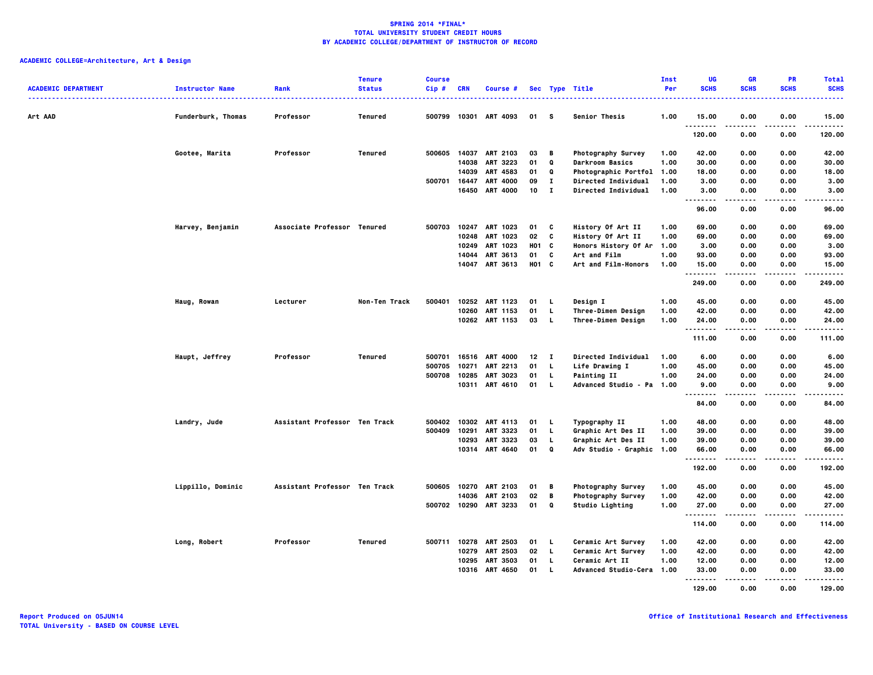| <b>ACADEMIC DEPARTMENT</b> | <b>Instructor Name</b> | Rank                          | <b>Tenure</b><br><b>Status</b> | <b>Course</b><br>$Cip$ # | <b>CRN</b>     | Course #                         |                   |                   | Sec Type Title                              | Inst<br>Per  | <b>UG</b><br><b>SCHS</b> | <b>GR</b><br><b>SCHS</b> | <b>PR</b><br><b>SCHS</b> | <b>Total</b><br><b>SCHS</b> |
|----------------------------|------------------------|-------------------------------|--------------------------------|--------------------------|----------------|----------------------------------|-------------------|-------------------|---------------------------------------------|--------------|--------------------------|--------------------------|--------------------------|-----------------------------|
| Art AAD                    | Funderburk, Thomas     | Professor                     | Tenured                        | 500799                   |                | 10301 ART 4093                   | 01 S              |                   | Senior Thesis                               | 1.00         | 15.00                    | 0.00                     | 0.00                     | 15.00                       |
|                            |                        |                               |                                |                          |                |                                  |                   |                   |                                             |              | <br>120.00               | 0.00                     | 0.00                     | .<br>120.00                 |
|                            | Gootee, Marita         | Professor                     | Tenured                        |                          |                | 500605 14037 ART 2103            | 03                | — в               | <b>Photography Survey</b>                   | 1.00         | 42.00                    | 0.00                     | 0.00                     | 42.00                       |
|                            |                        |                               |                                |                          | 14038          | <b>ART 3223</b>                  | 01                | Q                 | <b>Darkroom Basics</b>                      | 1.00         | 30.00                    | 0.00                     | 0.00                     | 30.00                       |
|                            |                        |                               |                                | 500701                   | 14039<br>16447 | ART 4583<br><b>ART 4000</b>      | 01<br>09          | Q<br>$\mathbf{I}$ | Photographic Portfol<br>Directed Individual | 1.00<br>1.00 | 18.00<br>3.00            | 0.00<br>0.00             | 0.00<br>0.00             | 18.00<br>3.00               |
|                            |                        |                               |                                |                          |                | 16450 ART 4000                   | 10                | $\mathbf{I}$      | <b>Directed Individual</b>                  | 1.00         | 3.00                     | 0.00                     | 0.00                     | 3.00                        |
|                            |                        |                               |                                |                          |                |                                  |                   |                   |                                             |              | --------<br>96.00        | 0.00                     | 0.00                     | .<br>96.00                  |
|                            | Harvey, Benjamin       | Associate Professor Tenured   |                                | 500703                   |                | 10247 ART 1023                   | 01                | C                 | History Of Art II                           | 1.00         | 69.00                    | 0.00                     | 0.00                     | 69.00                       |
|                            |                        |                               |                                |                          |                | 10248 ART 1023                   | 02                | C                 | History Of Art II                           | 1.00         | 69.00                    | 0.00                     | 0.00                     | 69.00                       |
|                            |                        |                               |                                |                          |                | 10249 ART 1023                   | H <sub>01</sub> C |                   | Honors History Of Ar                        | 1.00         | 3.00                     | 0.00                     | 0.00                     | 3.00                        |
|                            |                        |                               |                                |                          | 14044          | ART 3613                         | 01                | C                 | Art and Film                                | 1.00         | 93.00                    | 0.00                     | 0.00                     | 93.00                       |
|                            |                        |                               |                                |                          |                | 14047 ART 3613                   | H <sub>01</sub> C |                   | Art and Film-Honors                         | 1.00         | 15.00<br>.               | 0.00<br>.                | 0.00<br>$- - - -$        | 15.00<br>.                  |
|                            |                        |                               |                                |                          |                |                                  |                   |                   |                                             |              | 249.00                   | 0.00                     | 0.00                     | 249.00                      |
|                            | Haug, Rowan            | Lecturer                      | Non-Ten Track                  | 500401                   |                | 10252 ART 1123                   | 01                | L.                | Design I                                    | 1.00         | 45.00                    | 0.00                     | 0.00                     | 45.00                       |
|                            |                        |                               |                                |                          |                | 10260 ART 1153                   | 01                | L.                | Three-Dimen Design                          | 1.00         | 42.00                    | 0.00                     | 0.00                     | 42.00                       |
|                            |                        |                               |                                |                          |                | 10262 ART 1153                   | 03                | L.                | Three-Dimen Design                          | 1.00         | 24.00<br><b>.</b>        | 0.00<br>$\frac{1}{2}$    | 0.00<br>----             | 24.00<br>.                  |
|                            |                        |                               |                                |                          |                |                                  |                   |                   |                                             |              | 111.00                   | 0.00                     | 0.00                     | 111.00                      |
|                            | Haupt, Jeffrey         | Professor                     | Tenured                        | 500701                   |                | 16516 ART 4000                   | 12                | $\mathbf{I}$      | Directed Individual                         | 1.00         | 6.00                     | 0.00                     | 0.00                     | 6.00                        |
|                            |                        |                               |                                | 500705                   | 10271          | <b>ART 2213</b>                  | 01                | L.                | Life Drawing I                              | 1.00         | 45.00                    | 0.00                     | 0.00                     | 45.00                       |
|                            |                        |                               |                                | 500708                   | 10285          | <b>ART 3023</b>                  | 01                | L.                | <b>Painting II</b>                          | 1.00         | 24.00                    | 0.00                     | 0.00                     | 24.00                       |
|                            |                        |                               |                                |                          |                | 10311 ART 4610                   | 01                | $\mathbf{L}$      | Advanced Studio - Pa                        | 1.00         | 9.00<br><b>.</b>         | 0.00<br>.                | 0.00                     | 9.00<br>.                   |
|                            |                        |                               |                                |                          |                |                                  |                   |                   |                                             |              | 84.00                    | 0.00                     | 0.00                     | 84.00                       |
|                            | Landry, Jude           | Assistant Professor Ten Track |                                | 500402                   |                | 10302 ART 4113                   | 01                | L.                | Typography II                               | 1.00         | 48.00                    | 0.00                     | 0.00                     | 48.00                       |
|                            |                        |                               |                                | 500409                   | 10291          | ART 3323                         | 01                | L.                | Graphic Art Des II                          | 1.00         | 39.00                    | 0.00                     | 0.00                     | 39.00                       |
|                            |                        |                               |                                |                          |                | 10293 ART 3323                   | 03                | L.                | Graphic Art Des II                          | 1.00         | 39.00                    | 0.00                     | 0.00                     | 39.00                       |
|                            |                        |                               |                                |                          |                | 10314 ART 4640                   | 01                | Q                 | Adv Studio - Graphic 1.00                   |              | 66.00<br>--------        | 0.00<br>-----            | 0.00<br>.                | 66.00<br>.                  |
|                            |                        |                               |                                |                          |                |                                  |                   |                   |                                             |              | 192.00                   | 0.00                     | 0.00                     | 192.00                      |
|                            | Lippillo, Dominic      | Assistant Professor Ten Track |                                | 500605                   |                | 10270 ART 2103                   | 01                | B                 | Photography Survey                          | 1.00         | 45.00                    | 0.00                     | 0.00                     | 45.00                       |
|                            |                        |                               |                                |                          |                | 14036 ART 2103                   | 02<br>01          | B<br>Q            | Photography Survey                          | 1.00         | 42.00                    | 0.00                     | 0.00                     | 42.00                       |
|                            |                        |                               |                                |                          |                | 500702 10290 ART 3233            |                   |                   | Studio Lighting                             | 1.00         | 27.00<br>.               | 0.00<br>.                | 0.00<br>.                | 27.00<br>.                  |
|                            |                        |                               |                                |                          |                |                                  |                   |                   |                                             |              | 114.00                   | 0.00                     | 0.00                     | 114.00                      |
|                            | Long, Robert           | Professor                     | Tenured                        | 500711                   |                | 10278 ART 2503                   | 01                | L,                | Ceramic Art Survey                          | 1.00         | 42.00                    | 0.00                     | 0.00                     | 42.00                       |
|                            |                        |                               |                                |                          |                | 10279 ART 2503                   | 02                | $\mathbf{L}$      | Ceramic Art Survey                          | 1.00         | 42.00                    | 0.00                     | 0.00                     | 42.00                       |
|                            |                        |                               |                                |                          |                | 10295 ART 3503<br>10316 ART 4650 | 01<br>01          | L.<br>L,          | Ceramic Art II<br>Advanced Studio-Cera      | 1.00<br>1.00 | 12.00<br>33.00           | 0.00<br>0.00             | 0.00<br>0.00             | 12.00<br>33.00              |
|                            |                        |                               |                                |                          |                |                                  |                   |                   |                                             |              | .<br>129.00              | 0.00                     | 0.00                     | .<br>129.00                 |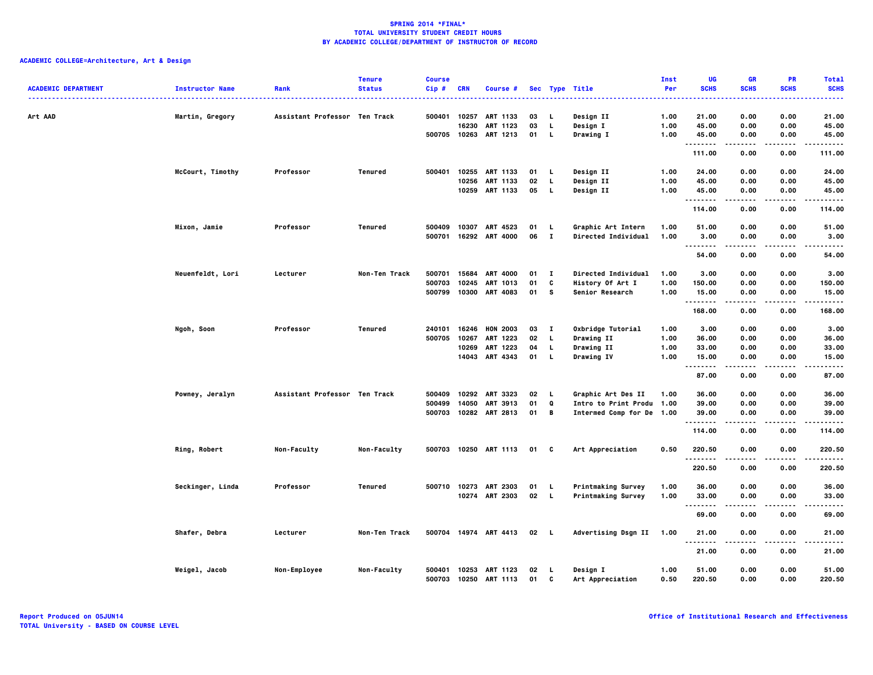| <b>ACADEMIC DEPARTMENT</b> | <b>Instructor Name</b> | Rank                          | <b>Tenure</b><br><b>Status</b> | <b>Course</b><br>Cip#      | <b>CRN</b>              | Course #                                                  |                      |                                            | Sec Type Title                                                               | Inst<br>Per                  | UG<br><b>SCHS</b>                              | <b>GR</b><br><b>SCHS</b>     | PR<br><b>SCHS</b>            | <b>Total</b><br><b>SCHS</b>     |
|----------------------------|------------------------|-------------------------------|--------------------------------|----------------------------|-------------------------|-----------------------------------------------------------|----------------------|--------------------------------------------|------------------------------------------------------------------------------|------------------------------|------------------------------------------------|------------------------------|------------------------------|---------------------------------|
| Art AAD                    | Martin, Gregory        | Assistant Professor Ten Track |                                | 500401<br>500705 10263     | 10257<br>16230          | ART 1133<br>ART 1123<br>ART 1213                          | 03<br>03<br>01       | L.<br>L.<br>$\mathbf{L}$                   | Design II<br>Design I<br>Drawing I                                           | 1.00<br>1.00<br>1.00         | 21.00<br>45.00<br>45.00                        | 0.00<br>0.00<br>0.00         | 0.00<br>0.00<br>0.00         | 21.00<br>45.00<br>45.00         |
|                            |                        |                               |                                |                            |                         |                                                           |                      |                                            |                                                                              |                              | <br>111.00                                     | .<br>0.00                    | 0.00                         | .<br>111.00                     |
|                            | McCourt, Timothy       | Professor                     | Tenured                        | 500401                     | 10255<br>10256          | ART 1133<br>ART 1133<br>10259 ART 1133                    | 01<br>02<br>05       | <b>L</b><br>L.<br>- 1                      | Design II<br>Design II                                                       | 1.00<br>1.00<br>1.00         | 24.00<br>45.00<br>45.00                        | 0.00<br>0.00<br>0.00         | 0.00<br>0.00<br>0.00         | 24.00<br>45.00<br>45.00         |
|                            |                        |                               |                                |                            |                         |                                                           |                      |                                            | Design II                                                                    |                              | .<br>114.00                                    | .<br>0.00                    | 0.00                         | .<br>114.00                     |
|                            | Mixon, Jamie           | Professor                     | Tenured                        | 500409<br>500701           | 10307                   | ART 4523<br>16292 ART 4000                                | 01<br>06             | L.<br>$\mathbf{I}$                         | Graphic Art Intern<br>Directed Individual                                    | 1.00<br>1.00                 | 51.00<br>3.00                                  | 0.00<br>0.00                 | 0.00<br>0.00                 | 51.00<br>3.00                   |
|                            |                        |                               |                                |                            |                         |                                                           |                      |                                            |                                                                              |                              | $\sim$ $\sim$ $\sim$<br>-----<br>54.00         | 0.00                         | 0.00                         | 54.00                           |
|                            | Neuenfeldt, Lori       | Lecturer                      | Non-Ten Track                  | 500701<br>500703<br>500799 | 15684<br>10245<br>10300 | <b>ART 4000</b><br>ART 1013<br><b>ART 4083</b>            | 01<br>01<br>01       | $\mathbf{I}$<br>c<br>s.                    | Directed Individual<br>History Of Art I<br>Senior Research                   | 1.00<br>1.00<br>1.00         | 3.00<br>150.00<br>15.00                        | 0.00<br>0.00<br>0.00         | 0.00<br>0.00<br>0.00         | 3.00<br>150.00<br>15.00         |
|                            |                        |                               |                                |                            |                         |                                                           |                      |                                            |                                                                              |                              | .<br>168.00                                    | 0.00                         | 0.00                         | 168.00                          |
|                            | Ngoh, Soon             | Professor                     | Tenured                        | 240101<br>500705           | 16246<br>10267<br>10269 | <b>HON 2003</b><br>ART 1223<br>ART 1223<br>14043 ART 4343 | 03<br>02<br>04<br>01 | $\mathbf{I}$<br>L.<br>$\mathbf{L}$<br>- 1. | Oxbridge Tutorial<br>Drawing II<br>Drawing II<br>Drawing IV                  | 1.00<br>1.00<br>1.00<br>1.00 | 3.00<br>36.00<br>33.00<br>15.00<br>$- - - - -$ | 0.00<br>0.00<br>0.00<br>0.00 | 0.00<br>0.00<br>0.00<br>0.00 | 3.00<br>36.00<br>33.00<br>15.00 |
|                            |                        |                               |                                |                            |                         |                                                           |                      |                                            |                                                                              |                              | 87.00                                          | 0.00                         | 0.00                         | 87.00                           |
|                            | Powney, Jeralyn        | Assistant Professor Ten Track |                                | 500409<br>500499<br>500703 | 10292<br>14050          | <b>ART 3323</b><br>ART 3913<br>10282 ART 2813             | 02<br>01<br>01       | <b>L</b><br>Q<br>В                         | Graphic Art Des II<br>Intro to Print Produ 1.00<br>Intermed Comp for De 1.00 | 1.00                         | 36.00<br>39.00<br>39.00                        | 0.00<br>0.00<br>0.00         | 0.00<br>0.00<br>0.00         | 36.00<br>39.00<br>39.00         |
|                            |                        |                               |                                |                            |                         |                                                           |                      |                                            |                                                                              |                              | .<br>114.00                                    | $- - - -$<br>0.00            | .<br>0.00                    | .<br>114.00                     |
|                            | Ring, Robert           | Non-Faculty                   | Non-Faculty                    | 500703                     |                         | 10250 ART 1113                                            | 01 C                 |                                            | Art Appreciation                                                             | 0.50                         | 220.50<br>. <b>.</b>                           | 0.00                         | 0.00                         | 220.50<br>-----                 |
|                            |                        |                               |                                |                            |                         |                                                           |                      |                                            |                                                                              |                              | 220.50                                         | 0.00                         | 0.00                         | 220.50                          |
|                            | Seckinger, Linda       | Professor                     | Tenured                        | 500710                     | 10273                   | ART 2303<br>10274 ART 2303                                | 01<br>02 L           | . L.                                       | <b>Printmaking Survey</b><br>Printmaking Survey                              | 1.00<br>1.00                 | 36.00<br>33.00<br>--------                     | 0.00<br>0.00<br>.            | 0.00<br>0.00<br>.            | 36.00<br>33.00<br>.             |
|                            |                        |                               |                                |                            |                         |                                                           |                      |                                            |                                                                              |                              | 69.00                                          | 0.00                         | 0.00                         | 69.00                           |
|                            | Shafer, Debra          | Lecturer                      | Non-Ten Track                  |                            |                         | 500704 14974 ART 4413                                     | $02 \quad L$         |                                            | Advertising Dsgn II                                                          | 1.00                         | 21.00<br>$\cdots$                              | 0.00                         | 0.00                         | 21.00                           |
|                            |                        |                               |                                |                            |                         |                                                           |                      |                                            |                                                                              |                              | 21.00                                          | 0.00                         | 0.00                         | 21.00                           |
|                            | Weigel, Jacob          | Non-Employee                  | Non-Faculty                    | 500401                     | 10253                   | ART 1123<br>500703 10250 ART 1113                         | 02<br>01             | - L<br>C                                   | Design I<br>Art Appreciation                                                 | 1.00<br>0.50                 | 51.00<br>220.50                                | 0.00<br>0.00                 | 0.00<br>0.00                 | 51.00<br>220.50                 |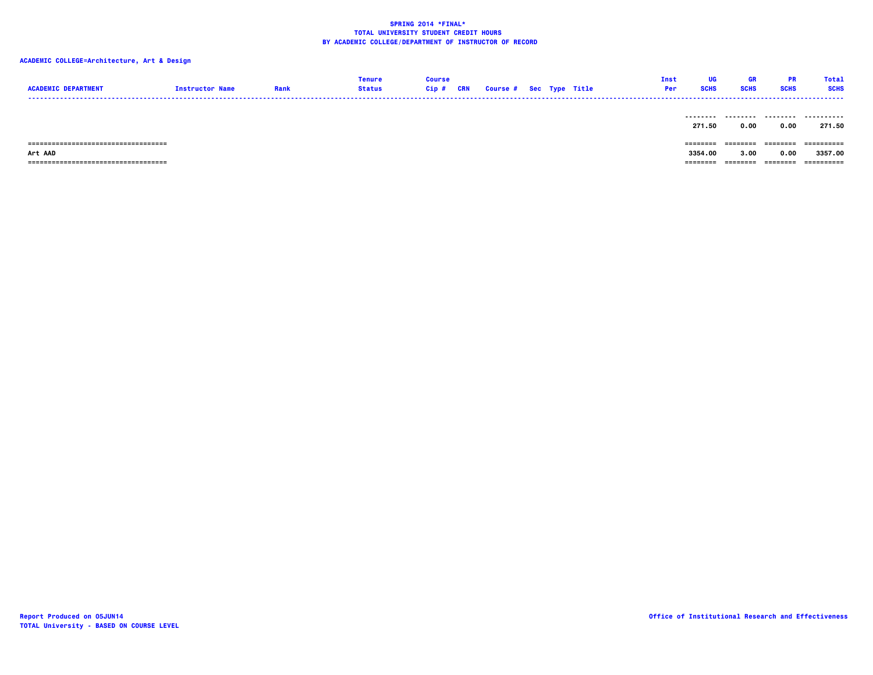| <b>ACADEMIC DEPARTMENT</b>             | <b>Instructor Name</b> | Rank | <b>Tenure</b><br><b>Status</b> | <b>Course</b><br>Cip#<br>CRN | <b>Course # Sec Type Title</b> |  | Inst<br>Per | UG<br><b>SCHS</b> | <b>GR</b><br><b>SCHS</b>            | PR<br><b>SCHS</b> | <b>Total</b><br><b>SCHS</b> |
|----------------------------------------|------------------------|------|--------------------------------|------------------------------|--------------------------------|--|-------------|-------------------|-------------------------------------|-------------------|-----------------------------|
|                                        |                        |      |                                |                              |                                |  |             | 271.50            | --------- -------- --------<br>0.00 | 0.00              | .<br>271.50                 |
| =====================================  |                        |      |                                |                              |                                |  |             | --------          | ========                            | ---------         | ==========                  |
| Art AAD                                |                        |      |                                |                              |                                |  |             | 3354.00           | 3.00                                | 0.00              | 3357.00                     |
| ====================================== |                        |      |                                |                              |                                |  |             | ========          | ========                            | ---------         | ==========                  |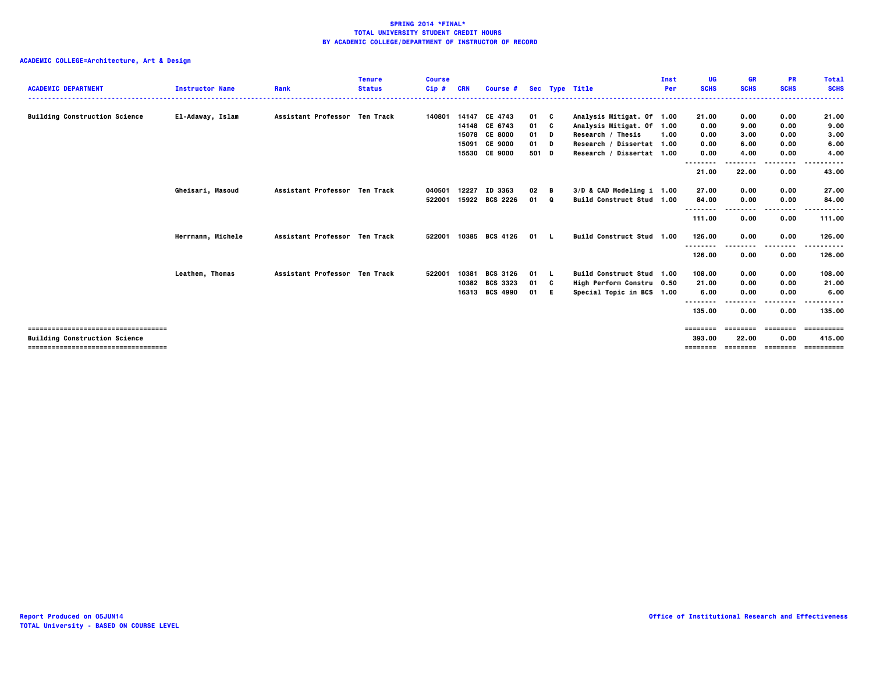| <b>ACADEMIC DEPARTMENT</b>            | <b>Instructor Name</b> | Rank                          | <b>Tenure</b><br><b>Status</b> | <b>Course</b><br>$Cip$ # | CRN   | Course #        |       |     | Sec Type Title            | Inst<br>Per | UG<br><b>SCHS</b>  | <b>GR</b><br><b>SCHS</b> | <b>PR</b><br><b>SCHS</b> | <b>Total</b><br><b>SCHS</b> |
|---------------------------------------|------------------------|-------------------------------|--------------------------------|--------------------------|-------|-----------------|-------|-----|---------------------------|-------------|--------------------|--------------------------|--------------------------|-----------------------------|
| <b>Building Construction Science</b>  | El-Adaway, Islam       | Assistant Professor Ten Track |                                | 140801                   |       | 14147 CE 4743   | 01 C  |     | Analysis Mitigat. Of 1.00 |             | 21.00              | 0.00                     | 0.00                     | 21.00                       |
|                                       |                        |                               |                                |                          |       | 14148 CE 6743   | 01 C  |     | Analysis Mitigat. Of 1.00 |             | 0.00               | 9.00                     | 0.00                     | 9.00                        |
|                                       |                        |                               |                                |                          |       | 15078 CE 8000   | 01 D  |     | Research / Thesis         | 1.00        | 0.00               | 3,00                     | 0.00                     | 3.00                        |
|                                       |                        |                               |                                |                          | 15091 | <b>CE 9000</b>  | 01 D  |     | Research / Dissertat 1.00 |             | 0.00               | 6.00                     | 0.00                     | 6.00                        |
|                                       |                        |                               |                                |                          |       | 15530 CE 9000   | 501 D |     | Research / Dissertat 1.00 |             | 0.00               | 4.00                     | 0.00                     | 4.00                        |
|                                       |                        |                               |                                |                          |       |                 |       |     |                           |             | --------           |                          | .                        |                             |
|                                       |                        |                               |                                |                          |       |                 |       |     |                           |             | 21.00              | 22.00                    | 0.00                     | 43.00                       |
|                                       | Gheisari, Masoud       | Assistant Professor Ten Track |                                | 040501                   | 12227 | ID 3363         | 02    | - в | 3/D & CAD Modeling i 1.00 |             | 27.00              | 0.00                     | 0.00                     | 27.00                       |
|                                       |                        |                               |                                | 522001                   | 15922 | <b>BCS 2226</b> | 01 0  |     | Build Construct Stud 1.00 |             | 84.00              | 0.00                     | 0.00                     | 84.00                       |
|                                       |                        |                               |                                |                          |       |                 |       |     |                           |             | --------           |                          | .                        |                             |
|                                       |                        |                               |                                |                          |       |                 |       |     |                           |             | 111.00             | 0.00                     | 0.00                     | 111.00                      |
|                                       | Herrmann, Michele      | Assistant Professor Ten Track |                                | 522001                   |       | 10385 BCS 4126  | 01 L  |     | Build Construct Stud 1.00 |             | 126.00             | 0.00                     | 0.00                     | 126.00                      |
|                                       |                        |                               |                                |                          |       |                 |       |     |                           |             | --------<br>126.00 | 0.00                     | .<br>0.00                | .<br>126.00                 |
|                                       | Leathem, Thomas        | Assistant Professor Ten Track |                                | 522001                   | 10381 | <b>BCS 3126</b> | 01 L  |     | Build Construct Stud 1.00 |             | 108.00             | 0.00                     | 0.00                     | 108.00                      |
|                                       |                        |                               |                                |                          | 10382 | <b>BCS 3323</b> | 01 C  |     | High Perform Constru 0.50 |             | 21.00              | 0.00                     | 0.00                     | 21.00                       |
|                                       |                        |                               |                                |                          |       | 16313 BCS 4990  | 01 E  |     | Special Topic in BCS 1.00 |             | 6.00               | 0.00                     | 0.00                     | 6.00                        |
|                                       |                        |                               |                                |                          |       |                 |       |     |                           |             |                    |                          | ----                     |                             |
|                                       |                        |                               |                                |                          |       |                 |       |     |                           |             | 135.00             | 0.00                     | 0.00                     | 135.00                      |
| ==============================        |                        |                               |                                |                          |       |                 |       |     |                           |             | ========           |                          |                          |                             |
| <b>Building Construction Science</b>  |                        |                               |                                |                          |       |                 |       |     |                           |             | 393.00             | 22.00                    | 0.00                     | 415.00                      |
| ------------------------------------- |                        |                               |                                |                          |       |                 |       |     |                           |             | ========           | <b>EEEEEEE</b>           | ---------                | ==========                  |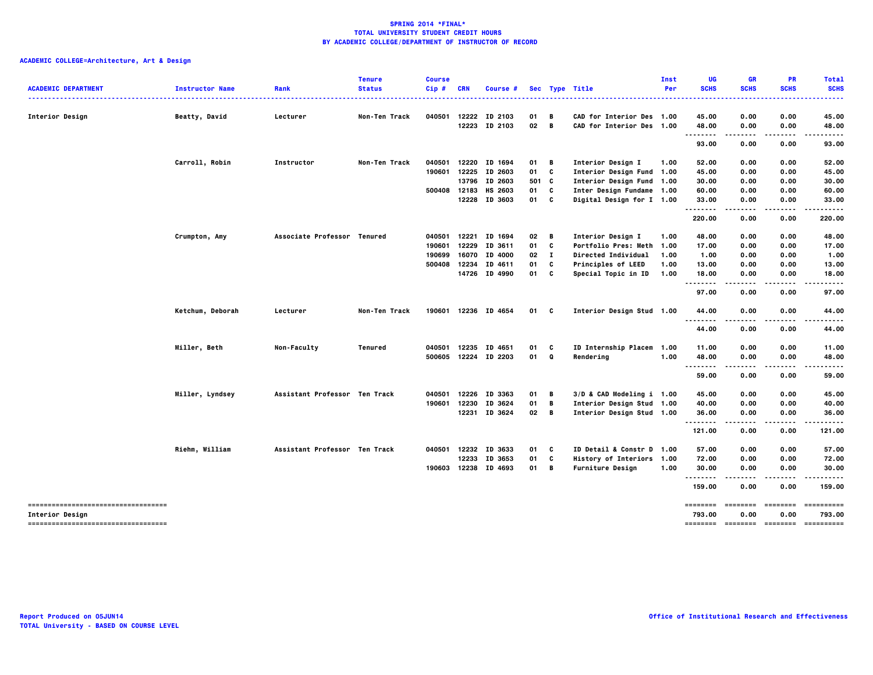|                                     |                        |                               | <b>Tenure</b> | <b>Course</b> |              |                      |       |              |                           | Inst | UG                            | <b>GR</b>        | <b>PR</b>   | <b>Total</b> |
|-------------------------------------|------------------------|-------------------------------|---------------|---------------|--------------|----------------------|-------|--------------|---------------------------|------|-------------------------------|------------------|-------------|--------------|
| <b>ACADEMIC DEPARTMENT</b>          | <b>Instructor Name</b> | Rank                          | <b>Status</b> | Cip#          | <b>CRN</b>   | Course #             |       |              | Sec Type Title            | Per  | <b>SCHS</b>                   | <b>SCHS</b>      | <b>SCHS</b> | <b>SCHS</b>  |
| <b>Interior Design</b>              | Beatty, David          | Lecturer                      | Non-Ten Track | 040501        |              | 12222 ID 2103        | 01    | В            | CAD for Interior Des 1.00 |      | 45.00                         | 0.00             | 0.00        | 45.00        |
|                                     |                        |                               |               |               |              | 12223 ID 2103        | 02    | B            | CAD for Interior Des 1.00 |      | 48.00                         | 0.00             | 0.00        | 48.00        |
|                                     |                        |                               |               |               |              |                      |       |              |                           |      |                               | .                |             |              |
|                                     |                        |                               |               |               |              |                      |       |              |                           |      | 93.00                         | 0.00             | 0.00        | 93.00        |
|                                     | Carroll, Robin         | Instructor                    | Non-Ten Track | 040501        |              | 12220 ID 1694        | 01    | В            | <b>Interior Design I</b>  | 1.00 | 52.00                         | 0.00             | 0.00        | 52.00        |
|                                     |                        |                               |               | 190601        |              | 12225 ID 2603        | 01    | C            | Interior Design Fund 1.00 |      | 45.00                         | 0.00             | 0.00        | 45.00        |
|                                     |                        |                               |               |               | 13796        | ID 2603              | 501 C |              | Interior Design Fund 1.00 |      | 30.00                         | 0.00             | 0.00        | 30.00        |
|                                     |                        |                               |               |               | 500408 12183 | HS 2603              | 01    | C            | Inter Design Fundame 1.00 |      | 60.00                         | 0.00             | 0.00        | 60.00        |
|                                     |                        |                               |               |               |              | 12228 ID 3603        | 01    | C            | Digital Design for I 1.00 |      | 33.00<br>--------             | 0.00<br>$\cdots$ | 0.00        | 33.00        |
|                                     |                        |                               |               |               |              |                      |       |              |                           |      | 220.00                        | 0.00             | 0.00        | 220.00       |
|                                     | Crumpton, Amy          | Associate Professor Tenured   |               | 040501        |              | 12221 ID 1694        | 02    | B            | <b>Interior Design I</b>  | 1.00 | 48.00                         | 0.00             | 0.00        | 48.00        |
|                                     |                        |                               |               | 190601        |              | 12229 ID 3611        | 01    | C            | Portfolio Pres: Meth 1.00 |      | 17.00                         | 0.00             | 0.00        | 17.00        |
|                                     |                        |                               |               | 190699        | 16070        | ID 4000              | 02    | $\mathbf{I}$ | Directed Individual       | 1.00 | 1.00                          | 0.00             | 0.00        | 1.00         |
|                                     |                        |                               |               | 500408        |              | 12234 ID 4611        | 01    | C            | Principles of LEED        | 1.00 | 13.00                         | 0.00             | 0.00        | 13.00        |
|                                     |                        |                               |               |               |              | 14726 ID 4990        | 01    | C            | Special Topic in ID       | 1.00 | 18.00                         | 0.00             | 0.00        | 18.00        |
|                                     |                        |                               |               |               |              |                      |       |              |                           |      | $- - - -$<br>97.00            | .<br>0.00        | 0.00        | 97.00        |
|                                     | Ketchum, Deborah       | Lecturer                      | Non-Ten Track |               |              | 190601 12236 ID 4654 | 01    | C            | Interior Design Stud 1.00 |      | 44.00                         | 0.00             | 0.00        | 44.00        |
|                                     |                        |                               |               |               |              |                      |       |              |                           |      | $\sim$ $\sim$ $\sim$<br>44.00 | 0.00             | 0.00        | 44.00        |
|                                     | Miller, Beth           | Non-Faculty                   | Tenured       | 040501        | 12235        | ID 4651              | 01    | C            | ID Internship Placem 1.00 |      | 11.00                         | 0.00             | 0.00        | 11.00        |
|                                     |                        |                               |               |               |              | 500605 12224 ID 2203 | 01    | Q            | Rendering                 | 1.00 | 48.00                         | 0.00             | 0.00        | 48.00        |
|                                     |                        |                               |               |               |              |                      |       |              |                           |      | $- - -$<br>.                  | .                |             |              |
|                                     |                        |                               |               |               |              |                      |       |              |                           |      | 59.00                         | 0.00             | 0.00        | 59.00        |
|                                     | Miller, Lyndsey        | Assistant Professor Ten Track |               | 040501        |              | 12226 ID 3363        | 01    | В            | 3/D & CAD Modeling i 1.00 |      | 45.00                         | 0.00             | 0.00        | 45.00        |
|                                     |                        |                               |               | 190601        | 12230        | ID 3624              | 01    | B            | Interior Design Stud 1.00 |      | 40.00                         | 0.00             | 0.00        | 40.00        |
|                                     |                        |                               |               |               |              | 12231 ID 3624        | 02    | B            | Interior Design Stud 1.00 |      | 36.00                         | 0.00             | 0.00        | 36.00        |
|                                     |                        |                               |               |               |              |                      |       |              |                           |      | <br>121.00                    | 0.00             | 0.00        | 121.00       |
|                                     | Riehm, William         | Assistant Professor Ten Track |               | 040501        |              | 12232 ID 3633        | 01    | C            | ID Detail & Constr D 1.00 |      | 57.00                         | 0.00             | 0.00        | 57.00        |
|                                     |                        |                               |               |               | 12233        | ID 3653              | 01    | C            | History of Interiors 1.00 |      | 72.00                         | 0.00             | 0.00        | 72.00        |
|                                     |                        |                               |               |               |              | 190603 12238 ID 4693 | 01    | В            | <b>Furniture Design</b>   | 1.00 | 30.00                         | 0.00             | 0.00        | 30.00        |
|                                     |                        |                               |               |               |              |                      |       |              |                           |      | <br>159.00                    | 0.00             | 0.00        | 159.00       |
| ----------------------------------  |                        |                               |               |               |              |                      |       |              |                           |      | ========                      | ========         | ========    | ==========   |
| Interior Design                     |                        |                               |               |               |              |                      |       |              |                           |      | 793.00                        | 0.00             | 0.00        | 793.00       |
| ----------------------------------- |                        |                               |               |               |              |                      |       |              |                           |      |                               |                  |             | ==========   |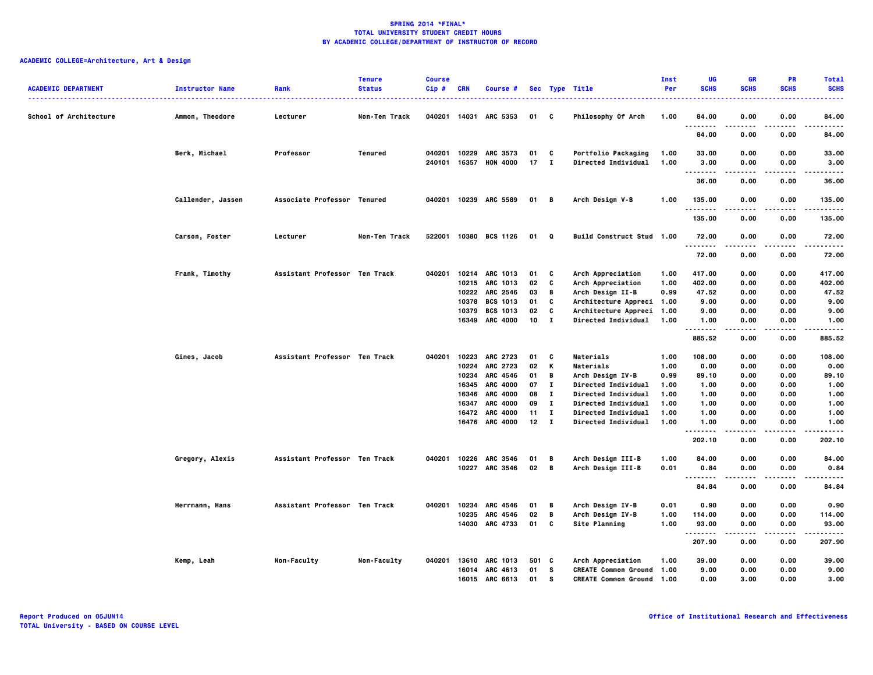| <b>ACADEMIC DEPARTMENT</b> | <b>Instructor Name</b> | Rank                          | <b>Tenure</b><br><b>Status</b> | <b>Course</b><br>$Cip$ # | <b>CRN</b> | Course #              |                 |                | Sec Type Title                   | Inst<br>Per | UG<br><b>SCHS</b>            | <b>GR</b><br><b>SCHS</b> | <b>PR</b><br><b>SCHS</b> | <b>Total</b><br><b>SCHS</b> |
|----------------------------|------------------------|-------------------------------|--------------------------------|--------------------------|------------|-----------------------|-----------------|----------------|----------------------------------|-------------|------------------------------|--------------------------|--------------------------|-----------------------------|
| School of Architecture     | Ammon, Theodore        | Lecturer                      | Non-Ten Track                  | 040201                   |            | 14031 ARC 5353        | 01 C            |                | Philosophy Of Arch               | 1.00        | 84.00<br>.                   | 0.00<br>.                | 0.00<br>----             | 84.00<br>.                  |
|                            |                        |                               |                                |                          |            |                       |                 |                |                                  |             | 84.00                        | 0.00                     | 0.00                     | 84.00                       |
|                            | Berk, Michael          | Professor                     | Tenured                        | 040201                   | 10229      | ARC 3573              | 01              | C              | Portfolio Packaging              | 1.00        | 33.00                        | 0.00                     | 0.00                     | 33.00                       |
|                            |                        |                               |                                | 240101                   |            | 16357 HON 4000        | 17              | $\mathbf{I}$   | Directed Individual              | 1.00        | 3.00<br>.                    | 0.00<br>.                | 0.00<br>.                | 3.00<br>.                   |
|                            |                        |                               |                                |                          |            |                       |                 |                |                                  |             | 36.00                        | 0.00                     | 0.00                     | 36.00                       |
|                            | Callender, Jassen      | Associate Professor Tenured   |                                |                          |            | 040201 10239 ARC 5589 | 01 B            |                | Arch Design V-B                  | 1.00        | 135.00<br><b>.</b>           | 0.00                     | 0.00                     | 135.00<br>.                 |
|                            |                        |                               |                                |                          |            |                       |                 |                |                                  |             | 135.00                       | 0.00                     | 0.00                     | 135.00                      |
|                            | Carson, Foster         | Lecturer                      | Non-Ten Track                  |                          |            | 522001 10380 BCS 1126 | 01              | $\mathbf{Q}$   | Build Construct Stud 1.00        |             | 72.00<br>.                   | 0.00                     | 0.00                     | 72.00<br>.                  |
|                            |                        |                               |                                |                          |            |                       |                 |                |                                  |             | 72.00                        | 0.00                     | 0.00                     | 72.00                       |
|                            | Frank, Timothy         | Assistant Professor Ten Track |                                | 040201                   |            | 10214 ARC 1013        | 01              | c              | Arch Appreciation                | 1.00        | 417.00                       | 0.00                     | 0.00                     | 417.00                      |
|                            |                        |                               |                                |                          |            | 10215 ARC 1013        | 02              | C              | Arch Appreciation                | 1.00        | 402.00                       | 0.00                     | 0.00                     | 402.00                      |
|                            |                        |                               |                                |                          |            | 10222 ARC 2546        | 03              | B              | Arch Design II-B                 | 0.99        | 47.52                        | 0.00                     | 0.00                     | 47.52                       |
|                            |                        |                               |                                |                          |            | 10378 BCS 1013        | 01              | C              | Architecture Appreci 1.00        |             | 9.00                         | 0.00                     | 0.00                     | 9.00                        |
|                            |                        |                               |                                |                          | 10379      | <b>BCS 1013</b>       | 02              | C              | Architecture Appreci 1.00        |             | 9.00                         | 0.00                     | 0.00                     | 9.00                        |
|                            |                        |                               |                                |                          |            | 16349 ARC 4000        | 10              | $\mathbf{I}$   | Directed Individual              | 1.00        | 1.00<br>.                    | 0.00                     | 0.00<br>.                | 1.00<br>.                   |
|                            |                        |                               |                                |                          |            |                       |                 |                |                                  |             | 885.52                       | 0.00                     | 0.00                     | 885.52                      |
|                            | Gines, Jacob           | Assistant Professor Ten Track |                                | 040201                   |            | 10223 ARC 2723        | 01              | c              | Materials                        | 1.00        | 108,00                       | 0.00                     | 0.00                     | 108.00                      |
|                            |                        |                               |                                |                          | 10224      | <b>ARC 2723</b>       | 02              | K              | Materials                        | 1.00        | 0.00                         | 0.00                     | 0.00                     | 0.00                        |
|                            |                        |                               |                                |                          | 10234      | ARC 4546              | 01              | B              | Arch Design IV-B                 | 0.99        | 89.10                        | 0.00                     | 0.00                     | 89.10                       |
|                            |                        |                               |                                |                          |            | 16345 ARC 4000        | 07              | $\mathbf{I}$   | Directed Individual              | 1.00        | 1.00                         | 0.00                     | 0.00                     | 1.00                        |
|                            |                        |                               |                                |                          |            | 16346 ARC 4000        | 08              | $\mathbf{I}$   | Directed Individual              | 1.00        | 1.00                         | 0.00                     | 0.00                     | 1.00                        |
|                            |                        |                               |                                |                          | 16347      | <b>ARC 4000</b>       | 09              | л.             | Directed Individual              | 1.00        | 1.00                         | 0.00                     | 0.00                     | 1.00                        |
|                            |                        |                               |                                |                          | 16472      | <b>ARC 4000</b>       | 11              | $\mathbf{I}$   | Directed Individual              | 1.00        | 1.00                         | 0.00                     | 0.00                     | 1.00                        |
|                            |                        |                               |                                |                          |            | 16476 ARC 4000        | 12 <sub>2</sub> | $\mathbf{I}$   | Directed Individual              | 1.00        | 1.00<br>--------             | 0.00<br>.                | 0.00<br>----             | 1.00<br>.                   |
|                            |                        |                               |                                |                          |            |                       |                 |                |                                  |             | 202.10                       | 0.00                     | 0.00                     | 202.10                      |
|                            | Gregory, Alexis        | Assistant Professor Ten Track |                                | 040201                   |            | 10226 ARC 3546        | 01              | В              | Arch Design III-B                | 1.00        | 84.00                        | 0.00                     | 0.00                     | 84.00                       |
|                            |                        |                               |                                |                          |            | 10227 ARC 3546        | $02$ B          |                | Arch Design III-B                | 0.01        | 0.84<br>$\sim$ $\sim$ $\sim$ | 0.00                     | 0.00                     | 0.84                        |
|                            |                        |                               |                                |                          |            |                       |                 |                |                                  |             | 84.84                        | 0.00                     | 0.00                     | 84.84                       |
|                            | Herrmann, Hans         | Assistant Professor Ten Track |                                | 040201                   | 10234      | ARC 4546              | 01              | В              | Arch Design IV-B                 | 0.01        | 0.90                         | 0.00                     | 0.00                     | 0.90                        |
|                            |                        |                               |                                |                          | 10235      | <b>ARC 4546</b>       | 02              | $\overline{B}$ | Arch Design IV-B                 | 1.00        | 114.00                       | 0.00                     | 0.00                     | 114.00                      |
|                            |                        |                               |                                |                          |            | 14030 ARC 4733        | 01              | C              | Site Planning                    | 1.00        | 93.00<br>                    | 0.00                     | 0.00                     | 93.00<br>                   |
|                            |                        |                               |                                |                          |            |                       |                 |                |                                  |             | 207.90                       | 0.00                     | 0.00                     | 207.90                      |
|                            | Kemp, Leah             | Non-Faculty                   | Non-Faculty                    | 040201                   |            | 13610 ARC 1013        | 501 C           |                | Arch Appreciation                | 1.00        | 39.00                        | 0.00                     | 0.00                     | 39.00                       |
|                            |                        |                               |                                |                          | 16014      | ARC 4613              | 01              | s              | <b>CREATE Common Ground 1.00</b> |             | 9.00                         | 0.00                     | 0.00                     | 9.00                        |
|                            |                        |                               |                                |                          |            | 16015 ARC 6613        | 01              | - S            | <b>CREATE Common Ground 1.00</b> |             | 0.00                         | 3.00                     | 0.00                     | 3.00                        |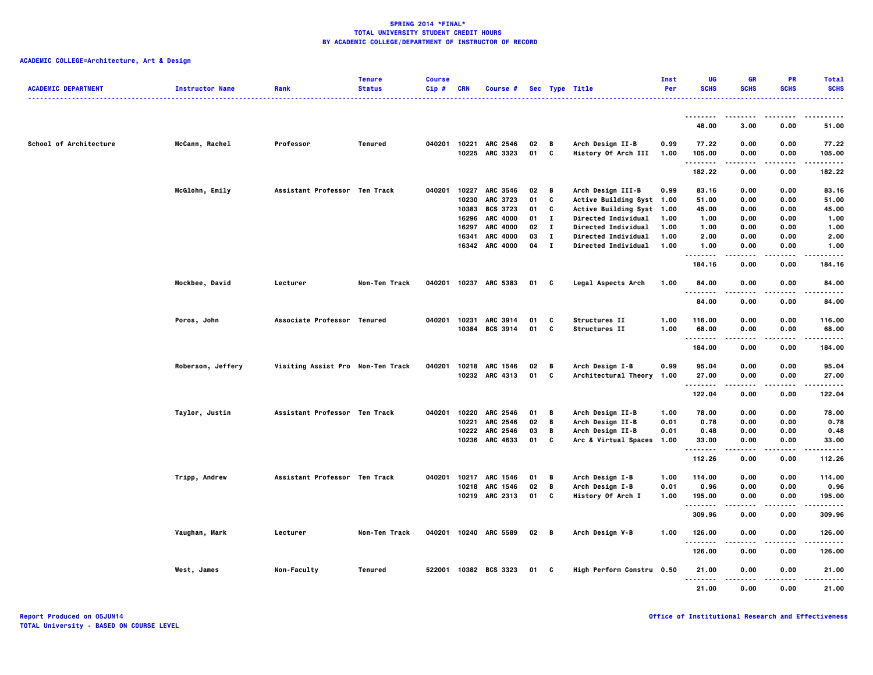| <b>ACADEMIC DEPARTMENT</b> | <b>Instructor Name</b> | Rank                              | <b>Tenure</b><br><b>Status</b> | <b>Course</b><br>Cip# | <b>CRN</b> | Course #              |      |              | Sec Type Title            | Inst<br>Per | UG<br><b>SCHS</b>         | <b>GR</b><br><b>SCHS</b> | PR<br><b>SCHS</b> | <b>Total</b><br><b>SCHS</b> |
|----------------------------|------------------------|-----------------------------------|--------------------------------|-----------------------|------------|-----------------------|------|--------------|---------------------------|-------------|---------------------------|--------------------------|-------------------|-----------------------------|
|                            |                        |                                   |                                |                       |            |                       |      |              |                           |             | --------                  |                          |                   |                             |
|                            |                        |                                   |                                |                       |            |                       |      |              |                           |             | 48.00                     | 3.00                     | 0.00              | 51.00                       |
| School of Architecture     | McCann, Rachel         | Professor                         | Tenured                        | 040201                | 10221      | <b>ARC 2546</b>       | 02   | В            | Arch Design II-B          | 0.99        | 77.22                     | 0.00                     | 0.00              | 77.22                       |
|                            |                        |                                   |                                |                       |            | 10225 ARC 3323        | 01   | C            | History Of Arch III       | 1.00        | 105.00<br>.               | 0.00<br>----             | 0.00<br>.         | 105.00<br>                  |
|                            |                        |                                   |                                |                       |            |                       |      |              |                           |             | 182.22                    | 0.00                     | 0.00              | 182.22                      |
|                            | McGlohn, Emily         | Assistant Professor Ten Track     |                                | 040201                |            | 10227 ARC 3546        | 02   | — В          | Arch Design III-B         | 0.99        | 83.16                     | 0.00                     | 0.00              | 83.16                       |
|                            |                        |                                   |                                |                       | 10230      | <b>ARC 3723</b>       | 01   | C            | Active Building Syst 1.00 |             | 51.00                     | 0.00                     | 0.00              | 51.00                       |
|                            |                        |                                   |                                |                       | 10383      | <b>BCS 3723</b>       | 01   | C            | Active Building Syst 1.00 |             | 45.00                     | 0.00                     | 0.00              | 45.00                       |
|                            |                        |                                   |                                |                       |            | 16296 ARC 4000        | 01   | $\mathbf{I}$ | Directed Individual       | 1.00        | 1.00                      | 0.00                     | 0.00              | 1.00                        |
|                            |                        |                                   |                                |                       | 16297      | <b>ARC 4000</b>       | 02   | $\mathbf{I}$ | Directed Individual       | 1.00        | 1.00                      | 0.00                     | 0.00              | 1.00                        |
|                            |                        |                                   |                                |                       | 16341      | <b>ARC 4000</b>       | 03   | $\mathbf{I}$ | Directed Individual       | 1.00        | 2.00                      | 0.00                     | 0.00              | 2.00                        |
|                            |                        |                                   |                                |                       |            | 16342 ARC 4000        | 04   | $\mathbf{I}$ | Directed Individual       | 1.00        | 1.00<br>.                 | 0.00                     | 0.00              | 1.00                        |
|                            |                        |                                   |                                |                       |            |                       |      |              |                           |             | 184.16                    | 0.00                     | 0.00              | 184.16                      |
|                            | Mockbee, David         | Lecturer                          | Non-Ten Track                  |                       |            | 040201 10237 ARC 5383 | 01 C |              | Legal Aspects Arch        | 1.00        | 84.00<br>.                | 0.00                     | 0.00              | 84.00                       |
|                            |                        |                                   |                                |                       |            |                       |      |              |                           |             | 84.00                     | 0.00                     | 0.00              | 84.00                       |
|                            | Poros, John            | Associate Professor Tenured       |                                |                       |            | 040201 10231 ARC 3914 | 01   | C            | Structures II             | 1.00        | 116.00                    | 0.00                     | 0.00              | 116.00                      |
|                            |                        |                                   |                                |                       |            | 10384 BCS 3914        | 01   | C            | Structures II             | 1.00        | 68.00                     | 0.00                     | 0.00              | 68.00                       |
|                            |                        |                                   |                                |                       |            |                       |      |              |                           |             | - - - - - - - -<br>184.00 | 0.00                     | 0.00              | 184.00                      |
|                            | Roberson, Jeffery      | Visiting Assist Pro Non-Ten Track |                                | 040201                |            | 10218 ARC 1546        | 02   | В            | Arch Design I-B           | 0.99        | 95.04                     | 0.00                     | 0.00              | 95.04                       |
|                            |                        |                                   |                                |                       |            | 10232 ARC 4313        | 01   | C            | Architectural Theory 1.00 |             | 27.00                     | 0.00                     | 0.00              | 27.00                       |
|                            |                        |                                   |                                |                       |            |                       |      |              |                           |             | <br>122.04                | 0.00                     | 0.00              | 122.04                      |
|                            | Taylor, Justin         | Assistant Professor Ten Track     |                                | 040201                | 10220      | <b>ARC 2546</b>       | 01   | В            | Arch Design II-B          | 1.00        | 78.00                     | 0.00                     | 0.00              | 78.00                       |
|                            |                        |                                   |                                |                       | 10221      | ARC 2546              | 02   | В            | Arch Design II-B          | 0.01        | 0.78                      | 0.00                     | 0.00              | 0.78                        |
|                            |                        |                                   |                                |                       |            | 10222 ARC 2546        | 03   | В            | Arch Design II-B          | 0.01        | 0.48                      | 0.00                     | 0.00              | 0.48                        |
|                            |                        |                                   |                                |                       |            | 10236 ARC 4633        | 01   | C            | Arc & Virtual Spaces 1.00 |             | 33.00                     | 0.00                     | 0.00              | 33.00                       |
|                            |                        |                                   |                                |                       |            |                       |      |              |                           |             | .<br>112.26               | 0.00                     | .<br>0.00         | 112.26                      |
|                            | Tripp, Andrew          | Assistant Professor Ten Track     |                                | 040201                |            | 10217 ARC 1546        | 01   | В            | Arch Design I-B           | 1.00        | 114.00                    | 0.00                     | 0.00              | 114.00                      |
|                            |                        |                                   |                                |                       |            | 10218 ARC 1546        | 02   | В            | Arch Design I-B           | 0.01        | 0.96                      | 0.00                     | 0.00              | 0.96                        |
|                            |                        |                                   |                                |                       |            | 10219 ARC 2313        | 01   | C            | History Of Arch I         | 1.00        | 195.00                    | 0.00                     | 0.00              | 195.00                      |
|                            |                        |                                   |                                |                       |            |                       |      |              |                           |             | - - - - - - - -<br>309.96 | 0.00                     | 0.00              | 309.96                      |
|                            | Vaughan, Mark          | Lecturer                          | Non-Ten Track                  |                       |            | 040201 10240 ARC 5589 | 02   | — в          | Arch Design V-B           | 1.00        | 126.00                    | 0.00                     | 0.00              | 126.00                      |
|                            |                        |                                   |                                |                       |            |                       |      |              |                           |             | .<br>126.00               | 0.00                     | 0.00              | .<br>126.00                 |
|                            | West, James            | Non-Faculty                       | Tenured                        |                       |            | 522001 10382 BCS 3323 | 01 C |              | High Perform Constru 0.50 |             | 21.00                     | 0.00                     | 0.00              | 21.00                       |
|                            |                        |                                   |                                |                       |            |                       |      |              |                           |             | --------<br>21.00         | .<br>0.00                | .<br>0.00         | .<br>21.00                  |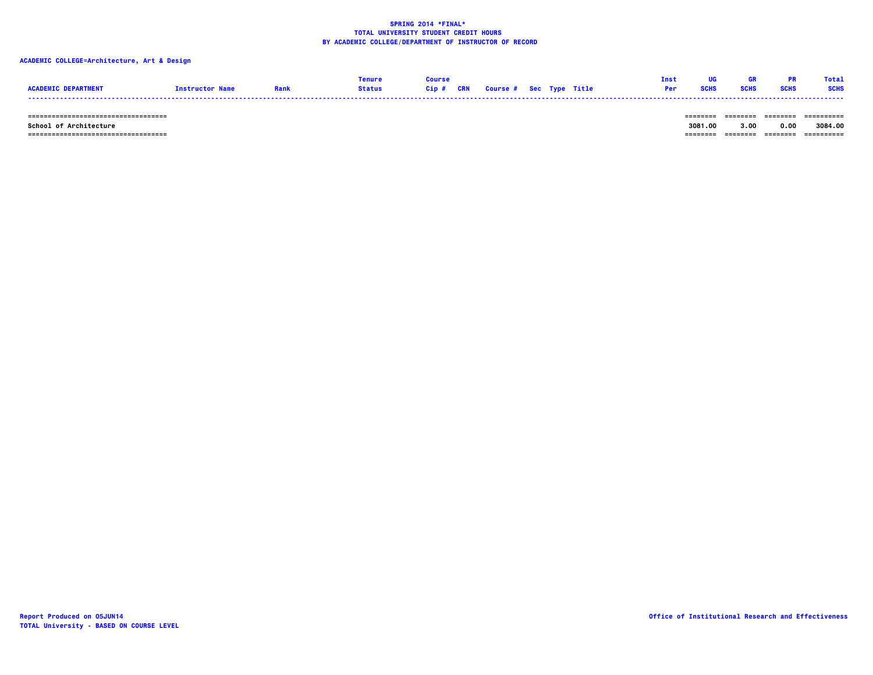# **ACADEMIC COLLEGE=Architecture, Art & Design**

|                 |                       | enure         |       |            |                                |  | Ins |             | Tota <sup>'</sup> |
|-----------------|-----------------------|---------------|-------|------------|--------------------------------|--|-----|-------------|-------------------|
| <b>ACADEMTC</b> | <b>Instructor Nam</b> | <b>Status</b> | Cin # | <b>CRN</b> | <b>Course # Sec Type Title</b> |  | Per | <b>SCHS</b> | <b>SCHS</b>       |
|                 |                       |               |       |            |                                |  |     |             |                   |

 **=================================== ======== ======== ======== ==========**

 **=================================== ======== ======== ======== ==========**

 **School of Architecture 3081.00 3.00 0.00 3084.00**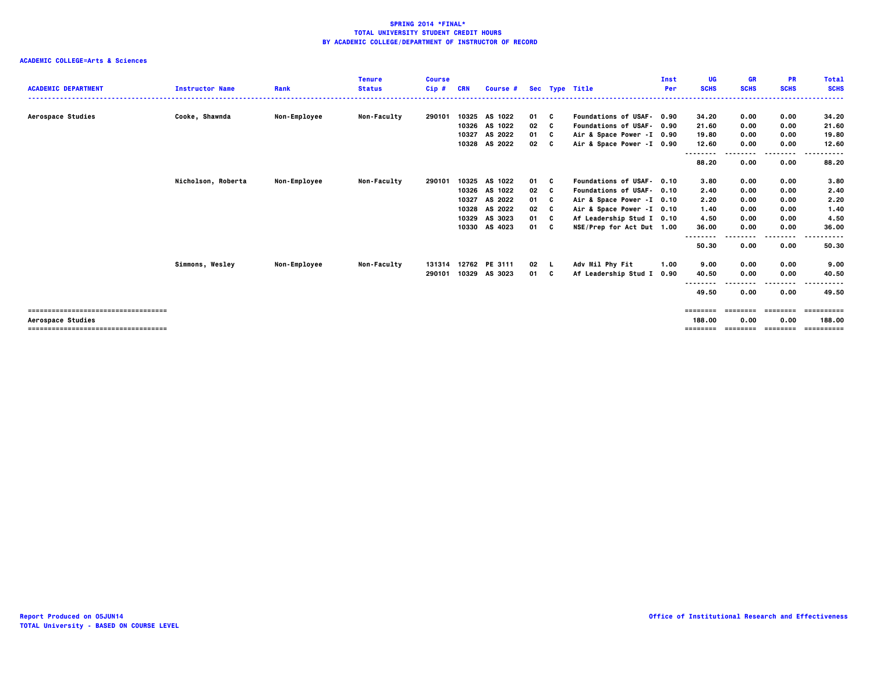|                                      |                        |                     | <b>Tenure</b>      | <b>Course</b> |       |               |      |     |                           | Inst | UG                | <b>GR</b>   | <b>PR</b>    | <b>Total</b>          |
|--------------------------------------|------------------------|---------------------|--------------------|---------------|-------|---------------|------|-----|---------------------------|------|-------------------|-------------|--------------|-----------------------|
| <b>ACADEMIC DEPARTMENT</b>           | <b>Instructor Name</b> | Rank                | <b>Status</b>      | $Cip$ #       | CRN   | Course #      |      |     | Sec Type Title            | Per  | <b>SCHS</b>       | <b>SCHS</b> | <b>SCHS</b>  | <b>SCHS</b><br>.      |
|                                      |                        |                     |                    |               |       |               |      |     |                           |      |                   |             |              |                       |
| Aerospace Studies                    | Cooke, Shawnda         | Non-Employee        | Non-Faculty        | 290101        |       | 10325 AS 1022 | 01 C |     | Foundations of USAF- 0.90 |      | 34.20             | 0.00        | 0.00         | 34.20                 |
|                                      |                        |                     |                    |               |       | 10326 AS 1022 | 02   | C   | Foundations of USAF- 0.90 |      | 21.60             | 0.00        | 0.00         | 21.60                 |
|                                      |                        |                     |                    |               | 10327 | AS 2022       | 01 C |     | Air & Space Power -I 0.90 |      | 19.80             | 0.00        | 0.00         | 19.80                 |
|                                      |                        |                     |                    |               |       | 10328 AS 2022 | 02   | C.  | Air & Space Power -I 0.90 |      | 12.60             | 0.00        | 0.00         | 12.60                 |
|                                      |                        |                     |                    |               |       |               |      |     |                           |      | --------<br>88.20 | 0.00        | ----<br>0.00 | . <b>.</b> .<br>88.20 |
|                                      | Nicholson, Roberta     | <b>Non-Employee</b> | <b>Non-Faculty</b> | 290101        |       | 10325 AS 1022 | 01 C |     | Foundations of USAF- 0.10 |      | 3.80              | 0.00        | 0.00         | 3.80                  |
|                                      |                        |                     |                    |               |       | 10326 AS 1022 | 02   | C   | Foundations of USAF- 0.10 |      | 2.40              | 0.00        | 0.00         | 2.40                  |
|                                      |                        |                     |                    |               | 10327 | AS 2022       | 01   | - C | Air & Space Power -I 0.10 |      | 2.20              | 0.00        | 0.00         | 2.20                  |
|                                      |                        |                     |                    |               | 10328 | AS 2022       | 02   | C   | Air & Space Power -I 0.10 |      | 1.40              | 0.00        | 0.00         | 1.40                  |
|                                      |                        |                     |                    |               | 10329 | AS 3023       | 01   | - C | Af Leadership Stud I 0.10 |      | 4.50              | 0.00        | 0.00         | 4.50                  |
|                                      |                        |                     |                    |               | 10330 | AS 4023       | 01 C |     | NSE/Prep for Act Dut 1.00 |      | 36.00             | 0.00        | 0.00         | 36.00                 |
|                                      |                        |                     |                    |               |       |               |      |     |                           |      |                   |             |              |                       |
|                                      |                        |                     |                    |               |       |               |      |     |                           |      | 50.30             | 0.00        | 0.00         | 50.30                 |
|                                      | Simmons, Wesley        | <b>Non-Employee</b> | <b>Non-Faculty</b> | 131314        |       | 12762 PE 3111 | 02   |     | Adv Mil Phy Fit           | 1.00 | 9.00              | 0.00        | 0.00         | 9.00                  |
|                                      |                        |                     |                    | 290101        |       | 10329 AS 3023 | 01   | C   | Af Leadership Stud I      | 0.90 | 40.50             | 0.00        | 0.00         | 40.50                 |
|                                      |                        |                     |                    |               |       |               |      |     |                           |      |                   |             |              |                       |
|                                      |                        |                     |                    |               |       |               |      |     |                           |      | 49.50             | 0.00        | 0.00         | 49.50                 |
| -----------------------------------  |                        |                     |                    |               |       |               |      |     |                           |      | ========          | ========    | ========     | ==========            |
| Aerospace Studies                    |                        |                     |                    |               |       |               |      |     |                           |      | 188.00            | 0.00        | 0.00         | 188,00                |
| ==================================== |                        |                     |                    |               |       |               |      |     |                           |      | ========          | ========    | ========     | ==========            |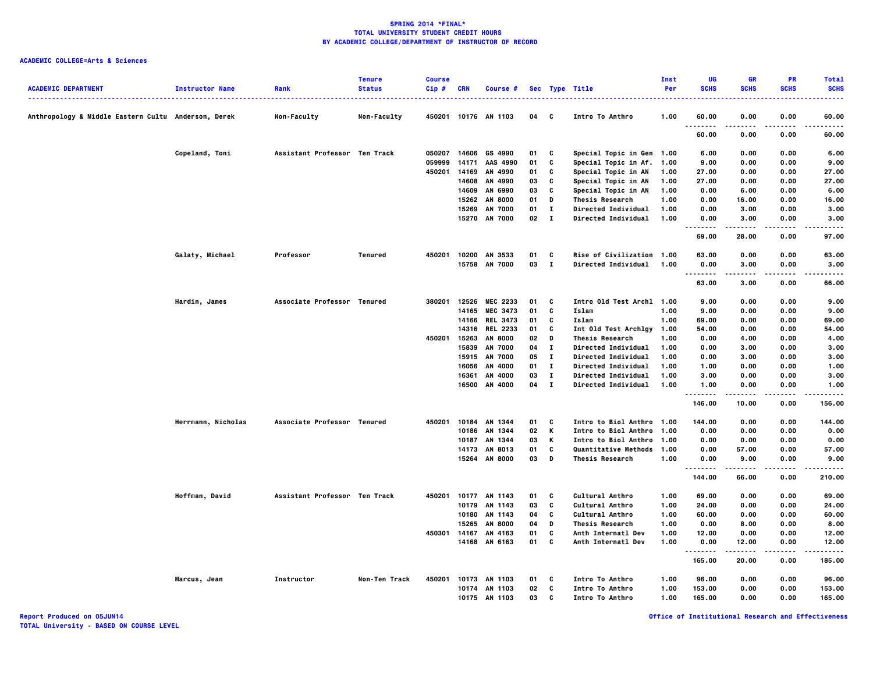| <b>ACADEMIC DEPARTMENT</b>                          | <b>Instructor Name</b> | Rank                          | <b>Tenure</b><br><b>Status</b> | <b>Course</b><br>Cip# | <b>CRN</b> | Course #                        |                    |                   | Sec Type Title                                           | <b>Inst</b><br>Per | UG<br><b>SCHS</b> | <b>GR</b><br><b>SCHS</b> | <b>PR</b><br><b>SCHS</b> | <b>Total</b><br><b>SCHS</b> |
|-----------------------------------------------------|------------------------|-------------------------------|--------------------------------|-----------------------|------------|---------------------------------|--------------------|-------------------|----------------------------------------------------------|--------------------|-------------------|--------------------------|--------------------------|-----------------------------|
| Anthropology & Middle Eastern Cultu Anderson, Derek |                        | Non-Faculty                   | Non-Faculty                    | 450201                |            | 10176 AN 1103                   | 04                 | C                 | Intro To Anthro                                          | 1.00               | 60.00             | 0.00                     | 0.00                     | ----<br>60.00               |
|                                                     |                        |                               |                                |                       |            |                                 |                    |                   |                                                          |                    | .<br>60.00        | 0.00                     | 0.00                     | 60.00                       |
|                                                     | Copeland, Toni         | Assistant Professor Ten Track |                                | 050207                | 14606      | GS 4990                         | 01                 | C                 | Special Topic in Gen 1.00                                |                    | 6.00              | 0.00                     | 0.00                     | 6.00                        |
|                                                     |                        |                               |                                | 059999                | 14171      | AAS 4990                        | 01                 | C                 | Special Topic in Af.                                     | 1.00               | 9.00              | 0.00                     | 0.00                     | 9.00                        |
|                                                     |                        |                               |                                | 450201                | 14169      | AN 4990                         | 01                 | c                 | Special Topic in AN                                      | 1.00               | 27.00             | 0.00                     | 0.00                     | 27.00                       |
|                                                     |                        |                               |                                |                       | 14608      | AN 4990                         | 03                 | C                 | Special Topic in AN                                      | 1.00               | 27.00             | 0.00                     | 0.00                     | 27.00                       |
|                                                     |                        |                               |                                |                       | 14609      | AN 6990                         | 03                 | C                 | Special Topic in AN                                      | 1.00               | 0.00              | 6.00                     | 0.00                     | 6.00                        |
|                                                     |                        |                               |                                |                       | 15262      | <b>AN 8000</b>                  | 01                 | D                 | <b>Thesis Research</b>                                   | 1.00               | 0.00              | 16.00                    | 0.00                     | 16.00                       |
|                                                     |                        |                               |                                |                       | 15269      | <b>AN 7000</b><br>15270 AN 7000 | 01<br>$02 \quad I$ | п                 | <b>Directed Individual</b><br><b>Directed Individual</b> | 1.00<br>1.00       | 0.00<br>0.00      | 3.00<br>3.00             | 0.00<br>0.00             | 3.00<br>3.00                |
|                                                     |                        |                               |                                |                       |            |                                 |                    |                   |                                                          |                    | .<br>69.00        | .<br>28.00               | .<br>0.00                | ----<br>97.00               |
|                                                     |                        |                               |                                |                       |            |                                 |                    |                   |                                                          |                    |                   |                          |                          |                             |
|                                                     | Galaty, Michael        | Professor                     | Tenured                        | 450201                |            | 10200 AN 3533<br>15758 AN 7000  | 01<br>03           | C<br>$\mathbf{I}$ | Rise of Civilization 1.00<br><b>Directed Individual</b>  | 1.00               | 63.00<br>0.00     | 0.00<br>3.00             | 0.00<br>0.00             | 63.00<br>3.00               |
|                                                     |                        |                               |                                |                       |            |                                 |                    |                   |                                                          |                    | .<br>63.00        | -----<br>3.00            | 0.00                     | .<br>66.00                  |
|                                                     |                        |                               |                                |                       |            |                                 |                    |                   |                                                          |                    |                   |                          |                          |                             |
|                                                     | Hardin, James          | Associate Professor Tenured   |                                | 380201                | 12526      | MEC 2233                        | 01                 | C                 | Intro Old Test Archl 1.00                                |                    | 9.00              | 0.00                     | 0.00                     | 9.00                        |
|                                                     |                        |                               |                                |                       |            | 14165 MEC 3473                  | 01                 | C                 | Islam                                                    | 1.00               | 9.00              | 0.00                     | 0.00                     | 9.00                        |
|                                                     |                        |                               |                                |                       | 14166      | <b>REL 3473</b>                 | 01                 | C                 | Islam                                                    | 1.00               | 69.00             | 0.00                     | 0.00                     | 69.00                       |
|                                                     |                        |                               |                                |                       |            | 14316 REL 2233                  | 01                 | C                 | Int Old Test Archlgy                                     | 1.00               | 54.00             | 0.00                     | 0.00                     | 54.00                       |
|                                                     |                        |                               |                                | 450201                | 15263      | <b>AN 8000</b>                  | 02                 | D                 | <b>Thesis Research</b>                                   | 1.00               | 0.00              | 4.00                     | 0.00                     | 4.00                        |
|                                                     |                        |                               |                                |                       | 15839      | AN 7000                         | 04                 | $\mathbf{I}$      | Directed Individual                                      | 1.00               | 0.00              | 3.00                     | 0.00                     | 3.00                        |
|                                                     |                        |                               |                                |                       | 15915      | <b>AN 7000</b>                  | 05                 | $\mathbf{I}$      | <b>Directed Individual</b>                               | 1.00               | 0.00              | 3.00                     | 0.00                     | 3.00                        |
|                                                     |                        |                               |                                |                       | 16056      | AN 4000                         | 01                 | $\bf{I}$          | <b>Directed Individual</b>                               | 1.00               | 1.00              | 0.00                     | 0.00                     | 1.00                        |
|                                                     |                        |                               |                                |                       | 16361      | AN 4000                         | 03                 | $\mathbf{I}$      | <b>Directed Individual</b>                               | 1.00               | 3.00              | 0.00                     | 0.00                     | 3.00                        |
|                                                     |                        |                               |                                |                       |            | 16500 AN 4000                   | 04                 | $\mathbf{I}$      | Directed Individual                                      | 1.00               | 1.00<br>--------  | 0.00                     | 0.00                     | 1.00<br>.                   |
|                                                     |                        |                               |                                |                       |            |                                 |                    |                   |                                                          |                    | 146.00            | 10.00                    | 0.00                     | 156.00                      |
|                                                     | Herrmann, Nicholas     | Associate Professor Tenured   |                                | 450201                |            | 10184 AN 1344                   | 01                 | C                 | Intro to Biol Anthro 1.00                                |                    | 144.00            | 0.00                     | 0.00                     | 144.00                      |
|                                                     |                        |                               |                                |                       |            | 10186 AN 1344                   | 02                 | K                 | Intro to Biol Anthro                                     | 1.00               | 0.00              | 0.00                     | 0.00                     | 0.00                        |
|                                                     |                        |                               |                                |                       | 10187      | AN 1344                         | 03                 | Κ                 | Intro to Biol Anthro                                     | 1.00               | 0.00              | 0.00                     | 0.00                     | 0.00                        |
|                                                     |                        |                               |                                |                       |            | 14173 AN 8013                   | 01                 | C                 | Quantitative Methods 1.00                                |                    | 0.00              | 57.00                    | 0.00                     | 57.00                       |
|                                                     |                        |                               |                                |                       |            | 15264 AN 8000                   | 03                 | D                 | <b>Thesis Research</b>                                   | 1.00               | 0.00<br>--------  | 9.00<br>.                | 0.00<br>.                | 9.00<br>.                   |
|                                                     |                        |                               |                                |                       |            |                                 |                    |                   |                                                          |                    | 144.00            | 66.00                    | 0.00                     | 210.00                      |
|                                                     | Hoffman, David         | Assistant Professor Ten Track |                                | 450201                |            | 10177 AN 1143                   | 01                 | C                 | <b>Cultural Anthro</b>                                   | 1.00               | 69.00             | 0.00                     | 0.00                     | 69.00                       |
|                                                     |                        |                               |                                |                       | 10179      | AN 1143                         | 03                 | C                 | Cultural Anthro                                          | 1.00               | 24.00             | 0.00                     | 0.00                     | 24.00                       |
|                                                     |                        |                               |                                |                       | 10180      | AN 1143                         | 04                 | C                 | Cultural Anthro                                          | 1.00               | 60.00             | 0.00                     | 0.00                     | 60.00                       |
|                                                     |                        |                               |                                |                       | 15265      | <b>AN 8000</b>                  | 04                 | D                 | <b>Thesis Research</b>                                   | 1.00               | 0.00              | 8.00                     | 0.00                     | 8.00                        |
|                                                     |                        |                               |                                | 450301                | 14167      | AN 4163                         | 01                 | C                 | Anth Internatl Dev                                       | 1.00               | 12.00             | 0.00                     | 0.00                     | 12.00                       |
|                                                     |                        |                               |                                |                       |            | 14168 AN 6163                   | 01                 | C                 | Anth Internatl Dev                                       | 1.00               | 0.00<br>--------  | 12.00<br>-----           | 0.00<br>$- - - -$        | 12.00<br>.                  |
|                                                     |                        |                               |                                |                       |            |                                 |                    |                   |                                                          |                    | 165.00            | 20.00                    | 0.00                     | 185.00                      |
|                                                     | Marcus, Jean           | Instructor                    | Non-Ten Track                  | 450201                |            | 10173 AN 1103                   | 01                 | C                 | Intro To Anthro                                          | 1.00               | 96.00             | 0.00                     | 0.00                     | 96.00                       |
|                                                     |                        |                               |                                |                       | 10174      | AN 1103                         | 02                 | C                 | Intro To Anthro                                          | 1.00               | 153.00            | 0.00                     | 0.00                     | 153.00                      |
|                                                     |                        |                               |                                |                       | 10175      | AN 1103                         | 03                 | C                 | Intro To Anthro                                          | 1.00               | 165.00            | 0.00                     | 0.00                     | 165.00                      |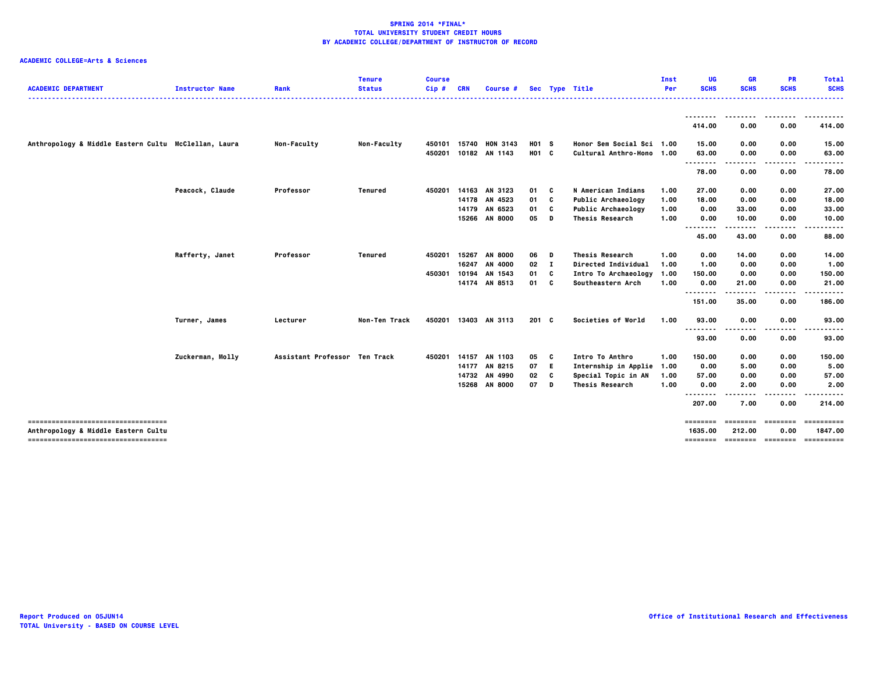| <b>ACADEMIC DEPARTMENT</b>                                                 | <b>Instructor Name</b> | Rank                          | <b>Tenure</b><br><b>Status</b> | <b>Course</b><br>$Cip$ # | <b>CRN</b> | Course #             |       |              | Sec Type Title            | Inst<br>Per | UG<br><b>SCHS</b> | <b>GR</b><br><b>SCHS</b> | <b>PR</b><br><b>SCHS</b> | <b>Total</b><br><b>SCHS</b> |
|----------------------------------------------------------------------------|------------------------|-------------------------------|--------------------------------|--------------------------|------------|----------------------|-------|--------------|---------------------------|-------------|-------------------|--------------------------|--------------------------|-----------------------------|
|                                                                            |                        |                               |                                |                          |            |                      |       |              |                           |             |                   |                          |                          | .                           |
|                                                                            |                        |                               |                                |                          |            |                      |       |              |                           |             | 414.00            | 0.00                     | 0.00                     | 414.00                      |
| Anthropology & Middle Eastern Cultu McClellan, Laura                       |                        | <b>Non-Faculty</b>            | Non-Faculty                    | 450101                   | 15740      | <b>HON 3143</b>      | H01 S |              | Honor Sem Social Sci 1.00 |             | 15.00             | 0.00                     | 0.00                     | 15.00                       |
|                                                                            |                        |                               |                                | 450201                   |            | 10182 AN 1143        | H01 C |              | Cultural Anthro-Hono 1.00 |             | 63.00<br>         | 0.00<br>.                | 0.00<br>.                | 63.00<br>.                  |
|                                                                            |                        |                               |                                |                          |            |                      |       |              |                           |             | 78.00             | 0.00                     | 0.00                     | 78.00                       |
|                                                                            | Peacock, Claude        | Professor                     | Tenured                        | 450201                   |            | 14163 AN 3123        | 01    | C.           | N American Indians        | 1.00        | 27.00             | 0.00                     | 0.00                     | 27.00                       |
|                                                                            |                        |                               |                                |                          |            | 14178 AN 4523        | 01    | C            | Public Archaeology        | 1.00        | 18.00             | 0.00                     | 0.00                     | 18.00                       |
|                                                                            |                        |                               |                                |                          |            | 14179 AN 6523        | 01    | C            | <b>Public Archaeology</b> | 1.00        | 0.00              | 33.00                    | 0.00                     | 33.00                       |
|                                                                            |                        |                               |                                |                          |            | 15266 AN 8000        | 05    | D            | <b>Thesis Research</b>    | 1.00        | 0.00<br>--------  | 10.00                    | 0.00                     | 10.00                       |
|                                                                            |                        |                               |                                |                          |            |                      |       |              |                           |             | 45.00             | 43.00                    | 0.00                     | 88.00                       |
|                                                                            | Rafferty, Janet        | Professor                     | <b>Tenured</b>                 | 450201                   | 15267      | <b>AN 8000</b>       | 06    | D            | <b>Thesis Research</b>    | 1.00        | 0.00              | 14.00                    | 0.00                     | 14.00                       |
|                                                                            |                        |                               |                                |                          |            | 16247 AN 4000        | 02    | $\mathbf{I}$ | Directed Individual       | 1.00        | 1.00              | 0.00                     | 0.00                     | 1.00                        |
|                                                                            |                        |                               |                                | 450301                   | 10194      | AN 1543              | 01    | C            | Intro To Archaeology      | 1.00        | 150.00            | 0.00                     | 0.00                     | 150.00                      |
|                                                                            |                        |                               |                                |                          |            | 14174 AN 8513        | 01    | <b>C</b>     | Southeastern Arch         | 1.00        | 0.00              | 21.00                    | 0.00                     | 21.00                       |
|                                                                            |                        |                               |                                |                          |            |                      |       |              |                           |             | <br>151.00        | 35.00                    | 0.00                     | 186.00                      |
|                                                                            | Turner, James          | Lecturer                      | Non-Ten Track                  |                          |            | 450201 13403 AN 3113 | 201 C |              | Societies of World        | 1.00        | 93.00             | 0.00                     | 0.00                     | 93.00                       |
|                                                                            |                        |                               |                                |                          |            |                      |       |              |                           |             | <br>93.00         | 0.00                     | 0.00                     | 93.00                       |
|                                                                            | Zuckerman, Molly       | Assistant Professor Ten Track |                                | 450201                   |            | 14157 AN 1103        | 05    | C            | Intro To Anthro           | 1.00        | 150.00            | 0.00                     | 0.00                     | 150.00                      |
|                                                                            |                        |                               |                                |                          |            | 14177 AN 8215        | 07    | E.           | Internship in Applie 1.00 |             | 0.00              | 5.00                     | 0.00                     | 5.00                        |
|                                                                            |                        |                               |                                |                          |            | 14732 AN 4990        | 02    | C            | Special Topic in AN       | 1.00        | 57.00             | 0.00                     | 0.00                     | 57.00                       |
|                                                                            |                        |                               |                                |                          |            | 15268 AN 8000        | 07    | D            | <b>Thesis Research</b>    | 1.00        | 0.00              | 2.00                     | 0.00                     | 2.00                        |
|                                                                            |                        |                               |                                |                          |            |                      |       |              |                           |             | .<br>.<br>207.00  | 7.00                     | 0.00                     | 214.00                      |
| ------------------------------------                                       |                        |                               |                                |                          |            |                      |       |              |                           |             | $=$ = = = = = = = | ========                 | ========                 |                             |
| Anthropology & Middle Eastern Cultu<br>----------------------------------- |                        |                               |                                |                          |            |                      |       |              |                           |             | 1635.00           | 212.00                   | 0.00                     | 1847.00                     |
|                                                                            |                        |                               |                                |                          |            |                      |       |              |                           |             |                   |                          |                          |                             |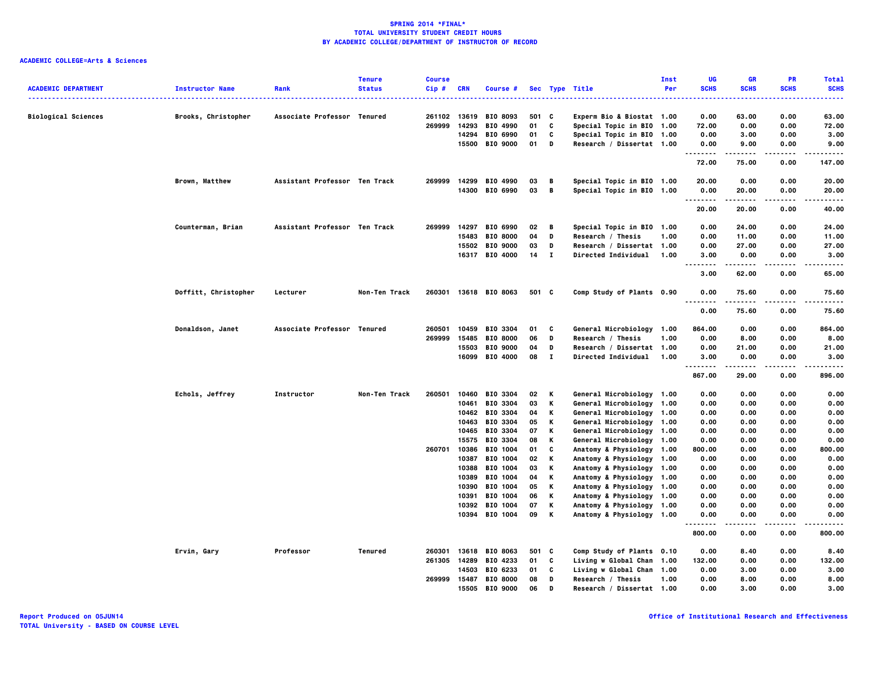|                            |                        |                               | <b>Tenure</b> | <b>Course</b> |            |                       |       |                |                            | <b>Inst</b> | UG               | <b>GR</b>   | <b>PR</b>   | <b>Total</b> |
|----------------------------|------------------------|-------------------------------|---------------|---------------|------------|-----------------------|-------|----------------|----------------------------|-------------|------------------|-------------|-------------|--------------|
| <b>ACADEMIC DEPARTMENT</b> | <b>Instructor Name</b> | Rank                          | <b>Status</b> | Cip#          | <b>CRN</b> | Course #              |       |                | Sec Type Title             | Per         | <b>SCHS</b>      | <b>SCHS</b> | <b>SCHS</b> | <b>SCHS</b>  |
|                            |                        |                               |               |               |            |                       |       |                | .                          |             |                  |             |             | .            |
| <b>Biological Sciences</b> | Brooks, Christopher    | Associate Professor Tenured   |               |               |            | 261102 13619 BIO 8093 | 501 C |                | Experm Bio & Biostat 1.00  |             | 0.00             | 63.00       | 0.00        | 63.00        |
|                            |                        |                               |               | 269999        | 14293      | <b>BIO 4990</b>       | 01    | c              | Special Topic in BIO 1.00  |             | 72.00            | 0.00        | 0.00        | 72.00        |
|                            |                        |                               |               |               | 14294      | BIO 6990              | 01    | C              | Special Topic in BIO 1.00  |             | 0.00             | 3.00        | 0.00        | 3.00         |
|                            |                        |                               |               |               |            | 15500 BIO 9000        | 01    | D              | Research / Dissertat 1.00  |             | 0.00             | 9.00        | 0.00        | 9.00         |
|                            |                        |                               |               |               |            |                       |       |                |                            |             | .                | .           | $- - - -$   | .            |
|                            |                        |                               |               |               |            |                       |       |                |                            |             | 72.00            | 75.00       | 0.00        | 147.00       |
|                            | Brown, Matthew         | Assistant Professor Ten Track |               |               |            | 269999 14299 BIO 4990 | 03    | в              | Special Topic in BIO 1.00  |             | 20.00            | 0.00        | 0.00        | 20.00        |
|                            |                        |                               |               |               |            | 14300 BIO 6990        | 03    | $\overline{B}$ | Special Topic in BIO 1.00  |             | 0.00<br>-------- | 20.00       | 0.00        | 20,00<br>.   |
|                            |                        |                               |               |               |            |                       |       |                |                            |             | 20.00            | 20.00       | 0.00        | 40.00        |
|                            | Counterman, Brian      | Assistant Professor Ten Track |               | 269999        |            | 14297 BIO 6990        | 02    | В              | Special Topic in BIO 1.00  |             | 0.00             | 24.00       | 0.00        | 24.00        |
|                            |                        |                               |               |               |            | 15483 BIO 8000        | 04    | D              | Research / Thesis          | 1.00        | 0.00             | 11.00       | 0.00        | 11.00        |
|                            |                        |                               |               |               |            | 15502 BIO 9000        | 03    | D              | Research / Dissertat 1.00  |             | 0.00             | 27.00       | 0.00        | 27.00        |
|                            |                        |                               |               |               |            | 16317 BIO 4000        | 14 I  |                | <b>Directed Individual</b> | 1.00        | 3.00             | 0.00        | 0.00        | 3.00         |
|                            |                        |                               |               |               |            |                       |       |                |                            |             | 3.00             | 62.00       | 0.00        | 65.00        |
|                            | Doffitt, Christopher   | Lecturer                      | Non-Ten Track |               |            | 260301 13618 BIO 8063 | 501 C |                | Comp Study of Plants 0.90  |             | 0.00             | 75.60       | 0.00        | 75.60        |
|                            |                        |                               |               |               |            |                       |       |                |                            |             | .                | .           | .           | .            |
|                            |                        |                               |               |               |            |                       |       |                |                            |             | 0.00             | 75.60       | 0.00        | 75.60        |
|                            | Donaldson, Janet       | Associate Professor Tenured   |               | 260501        |            | 10459 BIO 3304        | 01    | C              | General Microbiology 1.00  |             | 864.00           | 0.00        | 0.00        | 864.00       |
|                            |                        |                               |               | 269999        | 15485      | <b>BIO 8000</b>       | 06    | D              | Research / Thesis          | 1.00        | 0.00             | 8.00        | 0.00        | 8.00         |
|                            |                        |                               |               |               |            | 15503 BIO 9000        | 04    | D              | Research / Dissertat 1.00  |             | 0.00             | 21.00       | 0.00        | 21.00        |
|                            |                        |                               |               |               |            | 16099 BIO 4000        | 08    | $\mathbf{I}$   | <b>Directed Individual</b> | 1.00        | 3.00<br>.        | 0.00<br>.   | 0.00<br>.   | 3.00<br>.    |
|                            |                        |                               |               |               |            |                       |       |                |                            |             | 867.00           | 29.00       | 0.00        | 896.00       |
|                            | Echols, Jeffrey        | Instructor                    | Non-Ten Track | 260501        | 10460      | BIO 3304              | 02    | К              | General Microbiology 1.00  |             | 0.00             | 0.00        | 0.00        | 0.00         |
|                            |                        |                               |               |               | 10461      | BIO 3304              | 03    | к              | General Microbiology 1.00  |             | 0.00             | 0.00        | 0.00        | 0.00         |
|                            |                        |                               |               |               |            | 10462 BIO 3304        | 04    | Κ              | General Microbiology 1.00  |             | 0.00             | 0.00        | 0.00        | 0.00         |
|                            |                        |                               |               |               |            | 10463 BIO 3304        | 05    | Κ              | General Microbiology 1.00  |             | 0.00             | 0.00        | 0.00        | 0.00         |
|                            |                        |                               |               |               |            | 10465 BIO 3304        | 07    | Κ              | General Microbiology 1.00  |             | 0.00             | 0.00        | 0.00        | 0.00         |
|                            |                        |                               |               |               |            | 15575 BIO 3304        | 08    | К              | General Microbiology 1.00  |             | 0.00             | 0.00        | 0.00        | 0.00         |
|                            |                        |                               |               | 260701        |            | 10386 BIO 1004        | 01    | C              | Anatomy & Physiology 1.00  |             | 800.00           | 0.00        | 0.00        | 800.00       |
|                            |                        |                               |               |               | 10387      | BIO 1004              | 02    | Κ              | Anatomy & Physiology 1.00  |             | 0.00             | 0.00        | 0.00        | 0.00         |
|                            |                        |                               |               |               |            | 10388 BIO 1004        | 03    | К              | Anatomy & Physiology 1.00  |             | 0.00             | 0.00        | 0.00        | 0.00         |
|                            |                        |                               |               |               |            | 10389 BIO 1004        | 04    | Κ              | Anatomy & Physiology 1.00  |             | 0.00             | 0.00        | 0.00        | 0.00         |
|                            |                        |                               |               |               | 10390      | BIO 1004              | 05    | к              | Anatomy & Physiology 1.00  |             | 0.00             | 0.00        | 0.00        | 0.00         |
|                            |                        |                               |               |               | 10391      | BIO 1004              | 06    | К              | Anatomy & Physiology 1.00  |             | 0.00             | 0.00        | 0.00        | 0.00         |
|                            |                        |                               |               |               |            | 10392 BIO 1004        | 07    | К              | Anatomy & Physiology 1.00  |             | 0.00             | 0.00        | 0.00        | 0.00         |
|                            |                        |                               |               |               | 10394      | BIO 1004              | 09    | К              | Anatomy & Physiology 1.00  |             | 0.00             | 0.00        | 0.00        | 0.00         |
|                            |                        |                               |               |               |            |                       |       |                |                            |             | 800.00           | 0.00        | 0.00        | 800.00       |
|                            | Ervin, Gary            | Professor                     | Tenured       |               |            | 260301 13618 BIO 8063 | 501 C |                | Comp Study of Plants 0.10  |             | 0.00             | 8.40        | 0.00        | 8.40         |
|                            |                        |                               |               |               |            | 261305 14289 BIO 4233 | 01    | c              | Living w Global Chan 1.00  |             | 132.00           | 0.00        | 0.00        | 132.00       |
|                            |                        |                               |               |               | 14503      | BIO 6233              | 01    | C              | Living w Global Chan 1.00  |             | 0.00             | 3.00        | 0.00        | 3.00         |
|                            |                        |                               |               |               |            | 269999 15487 BIO 8000 | 08    | D              | Research / Thesis          | 1.00        | 0.00             | 8.00        | 0.00        | 8.00         |
|                            |                        |                               |               |               |            | 15505 BIO 9000        | 06    | D              | Research / Dissertat 1.00  |             | 0.00             | 3.00        | 0.00        | 3.00         |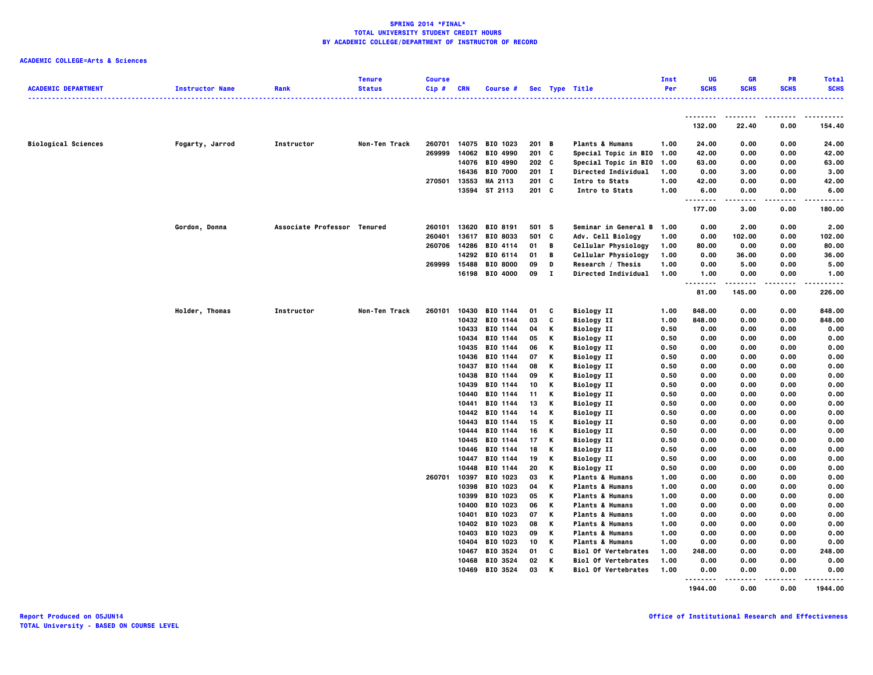### **ACADEMIC COLLEGE=Arts & Sciences**

| <b>ACADEMIC DEPARTMENT</b> | <b>Instructor Name</b> | Rank                        | <b>Tenure</b><br><b>Status</b> | <b>Course</b><br>Cip# | <b>CRN</b>     | Course #             |          |        | Sec Type Title                         | Inst<br>Per  | <b>UG</b><br><b>SCHS</b> | <b>GR</b><br><b>SCHS</b> | <b>PR</b><br><b>SCHS</b> | <b>Total</b><br><b>SCHS</b> |
|----------------------------|------------------------|-----------------------------|--------------------------------|-----------------------|----------------|----------------------|----------|--------|----------------------------------------|--------------|--------------------------|--------------------------|--------------------------|-----------------------------|
|                            |                        |                             |                                |                       |                |                      |          |        |                                        |              | .                        | .                        | .                        | .                           |
|                            |                        |                             |                                |                       |                |                      |          |        |                                        |              | 132.00                   | 22.40                    | 0.00                     | 154.40                      |
| <b>Biological Sciences</b> | Fogarty, Jarrod        | Instructor                  | Non-Ten Track                  | 260701                | 14075          | BIO 1023             | 201      | B      | <b>Plants &amp; Humans</b>             | 1.00         | 24.00                    | 0.00                     | 0.00                     | 24.00                       |
|                            |                        |                             |                                | 269999                | 14062          | BIO 4990             | 201 C    |        | Special Topic in BIO 1.00              |              | 42.00                    | 0.00                     | 0.00                     | 42.00                       |
|                            |                        |                             |                                |                       | 14076          | BIO 4990             | 202 C    |        | Special Topic in BIO                   | 1.00         | 63.00                    | 0.00                     | 0.00                     | 63.00                       |
|                            |                        |                             |                                |                       |                | 16436 BIO 7000       | $201$ I  |        | Directed Individual                    | 1.00         | 0.00                     | 3.00                     | 0.00                     | 3.00                        |
|                            |                        |                             |                                | 270501                | 13553          | MA 2113              | 201 C    |        | Intro to Stats                         | 1.00         | 42.00                    | 0.00                     | 0.00                     | 42.00                       |
|                            |                        |                             |                                |                       |                | 13594 ST 2113        | $201$ C  |        | Intro to Stats                         | 1.00         | 6.00<br>.                | 0.00<br>----             | 0.00<br>.                | 6.00<br>-----               |
|                            |                        |                             |                                |                       |                |                      |          |        |                                        |              | 177.00                   | 3.00                     | 0.00                     | 180.00                      |
|                            | Gordon, Donna          | Associate Professor Tenured |                                | 260101                | 13620          | BIO 8191             | 501 S    |        | Seminar in General B                   | 1.00         | 0.00                     | 2.00                     | 0.00                     | 2.00                        |
|                            |                        |                             |                                | 260401                | 13617          | BIO 8033             | 501 C    |        | Adv. Cell Biology                      | 1.00         | 0.00                     | 102.00                   | 0.00                     | 102.00                      |
|                            |                        |                             |                                | 260706                | 14286          | BIO 4114             | 01       | B      | Cellular Physiology                    | 1.00         | 80.00                    | 0.00                     | 0.00                     | 80.00                       |
|                            |                        |                             |                                |                       | 14292          | BIO 6114             | 01       | В      | Cellular Physiology                    | 1.00         | 0.00                     | 36.00                    | 0.00                     | 36.00                       |
|                            |                        |                             |                                | 269999                | 15488          | <b>BIO 8000</b>      | 09       | D      | Research / Thesis                      | 1.00         | 0.00                     | 5.00                     | 0.00                     | 5.00                        |
|                            |                        |                             |                                |                       | 16198          | BIO 4000             | 09       | Т.     | Directed Individual                    | 1.00         | 1.00                     | 0.00                     | 0.00                     | 1.00                        |
|                            |                        |                             |                                |                       |                |                      |          |        |                                        |              | .<br>٠.<br>81.00         | 145.00                   | 0.00                     | 226.00                      |
|                            | Holder, Thomas         | Instructor                  | Non-Ten Track                  | 260101                | 10430          | BIO 1144             | 01       | c      | <b>Biology II</b>                      | 1.00         | 848.00                   | 0.00                     | 0.00                     | 848.00                      |
|                            |                        |                             |                                |                       |                | 10432 BIO 1144       | 03       | C      | <b>Biology II</b>                      | 1.00         | 848.00                   | 0.00                     | 0.00                     | 848.00                      |
|                            |                        |                             |                                |                       | 10433          | BIO 1144             | 04       | К      | <b>Biology II</b>                      | 0.50         | 0.00                     | 0.00                     | 0.00                     | 0.00                        |
|                            |                        |                             |                                |                       |                | 10434 BIO 1144       | 05       | Κ      | <b>Biology II</b>                      | 0.50         | 0.00                     | 0.00                     | 0.00                     | 0.00                        |
|                            |                        |                             |                                |                       | 10435          | BIO 1144             | 06       | К      | <b>Biology II</b>                      | 0.50         | 0.00                     | 0.00                     | 0.00                     | 0.00                        |
|                            |                        |                             |                                |                       | 10436          | BIO 1144             | 07       | К      | <b>Biology II</b>                      | 0.50         | 0.00                     | 0.00                     | 0.00                     | 0.00                        |
|                            |                        |                             |                                |                       | 10437          | BIO 1144             | 08       | К      | <b>Biology II</b>                      | 0.50         | 0.00                     | 0.00                     | 0.00                     | 0.00                        |
|                            |                        |                             |                                |                       | 10438          | BIO 1144             | 09       | Κ      | <b>Biology II</b>                      | 0.50         | 0.00                     | 0.00                     | 0.00                     | 0.00                        |
|                            |                        |                             |                                |                       | 10439          | BIO 1144             | 10       | К      | <b>Biology II</b>                      | 0.50         | 0.00                     | 0.00                     | 0.00                     | 0.00                        |
|                            |                        |                             |                                |                       | 10440          | BIO 1144             | 11       | К      | <b>Biology II</b>                      | 0.50         | 0.00                     | 0.00                     | 0.00                     | 0.00                        |
|                            |                        |                             |                                |                       | 10441          | BIO 1144             | 13       | К      | <b>Biology II</b>                      | 0.50         | 0.00                     | 0.00                     | 0.00                     | 0.00                        |
|                            |                        |                             |                                |                       | 10442          | BIO 1144             | 14       | К      | <b>Biology II</b>                      | 0.50         | 0.00                     | 0.00                     | 0.00                     | 0.00                        |
|                            |                        |                             |                                |                       | 10443          | BIO 1144             | 15       | К      | <b>Biology II</b>                      | 0.50         | 0.00                     | 0.00                     | 0.00                     | 0.00                        |
|                            |                        |                             |                                |                       | 10444          | BIO 1144             | 16       | К      | <b>Biology II</b>                      | 0.50         | 0.00                     | 0.00                     | 0.00                     | 0.00                        |
|                            |                        |                             |                                |                       | 10445          | BIO 1144             | 17       | К<br>К | <b>Biology II</b>                      | 0.50         | 0.00                     | 0.00                     | 0.00                     | 0.00                        |
|                            |                        |                             |                                |                       | 10446<br>10447 | BIO 1144<br>BIO 1144 | 18<br>19 | Κ      | <b>Biology II</b><br><b>Biology II</b> | 0.50<br>0.50 | 0.00<br>0.00             | 0.00<br>0.00             | 0.00<br>0.00             | 0.00<br>0.00                |
|                            |                        |                             |                                |                       | 10448          | BIO 1144             | 20       | К      | <b>Biology II</b>                      | 0.50         | 0.00                     | 0.00                     | 0.00                     | 0.00                        |
|                            |                        |                             |                                | 260701                | 10397          | BIO 1023             | 03       | К      | <b>Plants &amp; Humans</b>             | 1.00         | 0.00                     | 0.00                     | 0.00                     | 0.00                        |
|                            |                        |                             |                                |                       | 10398          | BIO 1023             | 04       | К      | <b>Plants &amp; Humans</b>             | 1.00         | 0.00                     | 0.00                     | 0.00                     | 0.00                        |
|                            |                        |                             |                                |                       | 10399          | BIO 1023             | 05       | К      | <b>Plants &amp; Humans</b>             | 1.00         | 0.00                     | 0.00                     | 0.00                     | 0.00                        |
|                            |                        |                             |                                |                       | 10400          | BIO 1023             | 06       | Κ      | <b>Plants &amp; Humans</b>             | 1.00         | 0.00                     | 0.00                     | 0.00                     | 0.00                        |
|                            |                        |                             |                                |                       | 10401          | BIO 1023             | 07       | К      | <b>Plants &amp; Humans</b>             | 1.00         | 0.00                     | 0.00                     | 0.00                     | 0.00                        |
|                            |                        |                             |                                |                       | 10402          | BIO 1023             | 08       | К      | <b>Plants &amp; Humans</b>             | 1.00         | 0.00                     | 0.00                     | 0.00                     | 0.00                        |
|                            |                        |                             |                                |                       | 10403          | BIO 1023             | 09       | К      | <b>Plants &amp; Humans</b>             | 1.00         | 0.00                     | 0.00                     | 0.00                     | 0.00                        |
|                            |                        |                             |                                |                       | 10404          | BIO 1023             | 10       | К      | <b>Plants &amp; Humans</b>             | 1.00         | 0.00                     | 0.00                     | 0.00                     | 0.00                        |
|                            |                        |                             |                                |                       | 10467          | BIO 3524             | 01       | C      | <b>Biol Of Vertebrates</b>             | 1.00         | 248.00                   | 0.00                     | 0.00                     | 248.00                      |
|                            |                        |                             |                                |                       | 10468          | BIO 3524             | 02       | К      | <b>Biol Of Vertebrates</b>             | 1.00         | 0.00                     | 0.00                     | 0.00                     | 0.00                        |
|                            |                        |                             |                                |                       |                | 10469 BIO 3524       | 03       | к      | <b>Biol Of Vertebrates</b>             | 1.00         | 0.00                     | 0.00                     | 0.00                     | 0.00                        |
|                            |                        |                             |                                |                       |                |                      |          |        |                                        |              |                          |                          |                          |                             |

 **1944.00 0.00 0.00 1944.00**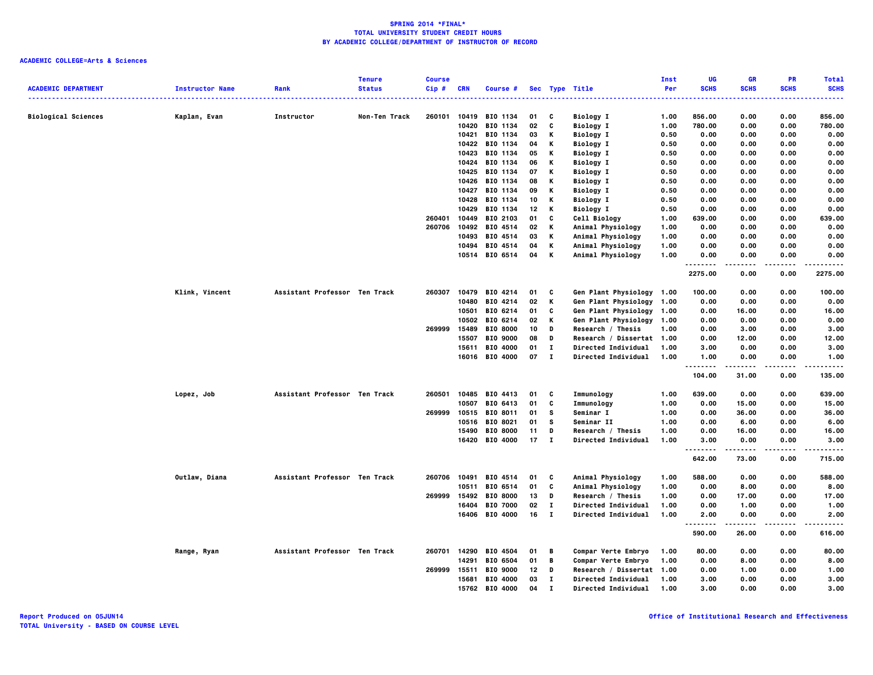|                            |                        |                               | <b>Tenure</b> | <b>Course</b> |              |                 |    |              |                            | Inst | <b>UG</b>        | <b>GR</b>   | <b>PR</b>       | <b>Total</b>           |
|----------------------------|------------------------|-------------------------------|---------------|---------------|--------------|-----------------|----|--------------|----------------------------|------|------------------|-------------|-----------------|------------------------|
| <b>ACADEMIC DEPARTMENT</b> | <b>Instructor Name</b> | Rank                          | <b>Status</b> | Cip#          | <b>CRN</b>   | Course #        |    |              | Sec Type Title             | Per  | <b>SCHS</b>      | <b>SCHS</b> | <b>SCHS</b>     | <b>SCHS</b>            |
| <b>Biological Sciences</b> |                        | Instructor                    | Non-Ten Track | 260101        | 10419        | BIO 1134        | 01 | C            | <b>Biology I</b>           | 1.00 | 856.00           | 0.00        | 0.00            | 856.00                 |
|                            | Kaplan, Evan           |                               |               |               | 10420        | BIO 1134        | 02 | C            | <b>Biology I</b>           | 1.00 | 780.00           | 0.00        | 0.00            | 780.00                 |
|                            |                        |                               |               |               | 10421        | BIO 1134        | 03 | К            | <b>Biology I</b>           | 0.50 | 0.00             | 0.00        | 0.00            | 0.00                   |
|                            |                        |                               |               |               |              | 10422 BIO 1134  | 04 | К            | <b>Biology I</b>           | 0.50 | 0.00             | 0.00        | 0.00            | 0.00                   |
|                            |                        |                               |               |               | 10423        | BIO 1134        | 05 | К            | <b>Biology I</b>           | 0.50 | 0.00             | 0.00        | 0.00            | 0.00                   |
|                            |                        |                               |               |               | 10424        | BIO 1134        | 06 | К            | <b>Biology I</b>           | 0.50 | 0.00             | 0.00        | 0.00            | 0.00                   |
|                            |                        |                               |               |               | 10425        | BIO 1134        | 07 | К            | <b>Biology I</b>           | 0.50 | 0.00             | 0.00        | 0.00            | 0.00                   |
|                            |                        |                               |               |               | 10426        | BIO 1134        | 08 | К            | <b>Biology I</b>           | 0.50 | 0.00             | 0.00        | 0.00            | 0.00                   |
|                            |                        |                               |               |               | 10427        | BIO 1134        | 09 | К            | <b>Biology I</b>           | 0.50 | 0.00             | 0.00        | 0.00            | 0.00                   |
|                            |                        |                               |               |               | 10428        | BIO 1134        | 10 | К            | <b>Biology I</b>           | 0.50 | 0.00             | 0.00        | 0.00            | 0.00                   |
|                            |                        |                               |               |               | 10429        | BIO 1134        | 12 | К            | <b>Biology I</b>           | 0.50 | 0.00             | 0.00        | 0.00            | 0.00                   |
|                            |                        |                               |               | 260401        | 10449        | BIO 2103        | 01 | C            | Cell Biology               | 1.00 | 639.00           | 0.00        | 0.00            | 639.00                 |
|                            |                        |                               |               | 260706        | 10492        | BIO 4514        | 02 | К            | Animal Physiology          | 1.00 | 0.00             | 0.00        | 0.00            | 0.00                   |
|                            |                        |                               |               |               | 10493        | BIO 4514        | 03 | K            | Animal Physiology          | 1.00 | 0.00             | 0.00        | 0.00            | 0.00                   |
|                            |                        |                               |               |               |              | 10494 BIO 4514  | 04 | К            | Animal Physiology          | 1.00 | 0.00             | 0.00        | 0.00            | 0.00                   |
|                            |                        |                               |               |               |              | 10514 BIO 6514  | 04 | К            | Animal Physiology          | 1.00 | 0.00             | 0.00        | 0.00            | 0.00                   |
|                            |                        |                               |               |               |              |                 |    |              |                            |      | <br>.<br>2275.00 | 0.00        | $- - -$<br>0.00 | 2275.00                |
|                            | Klink, Vincent         | Assistant Professor Ten Track |               | 260307        |              | 10479 BIO 4214  | 01 | C            | Gen Plant Physiology 1.00  |      | 100.00           | 0.00        | 0.00            | 100.00                 |
|                            |                        |                               |               |               | 10480        | BIO 4214        | 02 | К            | Gen Plant Physiology 1.00  |      | 0.00             | 0.00        | 0.00            | 0.00                   |
|                            |                        |                               |               |               | 10501        | BIO 6214        | 01 | C            | Gen Plant Physiology 1.00  |      | 0.00             | 16.00       | 0.00            | 16.00                  |
|                            |                        |                               |               |               | 10502        | BIO 6214        | 02 | K            | Gen Plant Physiology 1.00  |      | 0.00             | 0.00        | 0.00            | 0.00                   |
|                            |                        |                               |               | 269999        | 15489        | <b>BIO 8000</b> | 10 | D            | Research / Thesis          | 1.00 | 0.00             | 3.00        | 0.00            | 3.00                   |
|                            |                        |                               |               |               | 15507        | <b>BIO 9000</b> | 08 | D            | Research / Dissertat 1.00  |      | 0.00             | 12.00       | 0.00            | 12.00                  |
|                            |                        |                               |               |               | 15611        | BIO 4000        | 01 | $\mathbf{I}$ | <b>Directed Individual</b> | 1.00 | 3.00             | 0.00        | 0.00            | 3.00                   |
|                            |                        |                               |               |               |              | 16016 BIO 4000  | 07 | $\mathbf{I}$ | <b>Directed Individual</b> | 1.00 | 1.00             | 0.00        | 0.00            | 1.00                   |
|                            |                        |                               |               |               |              |                 |    |              |                            |      | .                | . <b>.</b>  | .               | .                      |
|                            |                        |                               |               |               |              |                 |    |              |                            |      | 104.00           | 31.00       | 0.00            | 135.00                 |
|                            | Lopez, Job             | Assistant Professor Ten Track |               | 260501        |              | 10485 BIO 4413  | 01 | c            | Immunology                 | 1.00 | 639.00           | 0.00        | 0.00            | 639.00                 |
|                            |                        |                               |               |               | 10507        | BIO 6413        | 01 | C            | Immunology                 | 1.00 | 0.00             | 15.00       | 0.00            | 15.00                  |
|                            |                        |                               |               | 269999        |              | 10515 BIO 8011  | 01 | s            | Seminar I                  | 1.00 | 0.00             | 36.00       | 0.00            | 36.00                  |
|                            |                        |                               |               |               |              | 10516 BIO 8021  | 01 | - S          | Seminar II                 | 1.00 | 0.00             | 6.00        | 0.00            | 6.00                   |
|                            |                        |                               |               |               | 15490        | <b>BIO 8000</b> | 11 | D            | Research / Thesis          | 1.00 | 0.00             | 16.00       | 0.00            | 16.00                  |
|                            |                        |                               |               |               |              | 16420 BIO 4000  | 17 | $\mathbf{I}$ | Directed Individual        | 1.00 | 3.00             | 0.00<br>.   | 0.00            | 3.00                   |
|                            |                        |                               |               |               |              |                 |    |              |                            |      | .<br>642.00      | 73.00       | .<br>0.00       | . <b>.</b> .<br>715.00 |
|                            | Outlaw, Diana          | Assistant Professor Ten Track |               |               | 260706 10491 | BIO 4514        | 01 | c            | Animal Physiology          | 1.00 | 588.00           | 0.00        | 0.00            | 588.00                 |
|                            |                        |                               |               |               | 10511        | BIO 6514        | 01 | C            | Animal Physiology          | 1.00 | 0.00             | 8.00        | 0.00            | 8.00                   |
|                            |                        |                               |               | 269999        |              | 15492 BIO 8000  | 13 | D            | Research / Thesis          | 1.00 | 0.00             | 17.00       | 0.00            | 17.00                  |
|                            |                        |                               |               |               | 16404        | <b>BIO 7000</b> | 02 | $\mathbf{I}$ | Directed Individual        | 1.00 | 0.00             | 1.00        | 0.00            | 1.00                   |
|                            |                        |                               |               |               |              | 16406 BIO 4000  | 16 | $\bf{I}$     | Directed Individual        | 1.00 | 2.00             | 0.00        | 0.00            | 2.00                   |
|                            |                        |                               |               |               |              |                 |    |              |                            |      | .<br>.<br>590.00 | 26.00       | 0.00            | 616.00                 |
|                            | Range, Ryan            | Assistant Professor Ten Track |               |               | 260701 14290 | <b>BIO 4504</b> | 01 | B            | Compar Verte Embryo        | 1.00 | 80.00            | 0.00        | 0.00            | 80.00                  |
|                            |                        |                               |               |               | 14291        | BIO 6504        | 01 | B            | Compar Verte Embryo        | 1.00 | 0.00             | 8.00        | 0.00            | 8.00                   |
|                            |                        |                               |               | 269999        | 15511        | BIO 9000        | 12 | D            | Research / Dissertat 1.00  |      | 0.00             | 1.00        | 0.00            | 1.00                   |
|                            |                        |                               |               |               | 15681        | BIO 4000        | 03 | $\bf{I}$     | Directed Individual        | 1.00 | 3.00             | 0.00        | 0.00            | 3.00                   |
|                            |                        |                               |               |               | 15762        | <b>RTO 4000</b> | 04 | $\mathbf{r}$ | Directed Individual        | 1.00 | 3.00             | 0.00        | 0.00            | 3.00                   |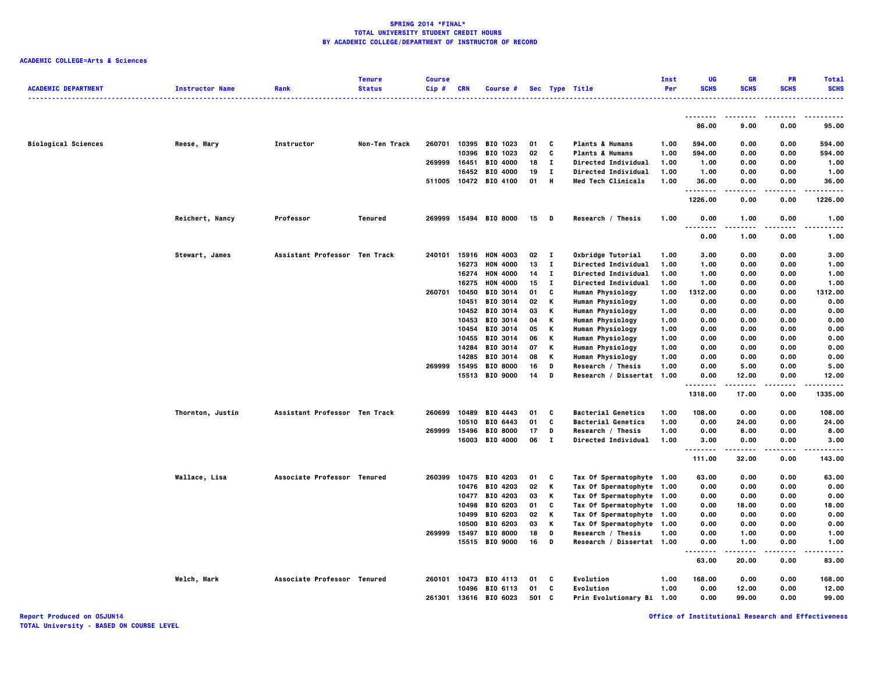### **ACADEMIC COLLEGE=Arts & Sciences**

|                            |                        |                               | <b>Tenure</b> | <b>Course</b> |            |                       |     |              |                            | Inst | UG                                | <b>GR</b>           | PR          | <b>Total</b> |
|----------------------------|------------------------|-------------------------------|---------------|---------------|------------|-----------------------|-----|--------------|----------------------------|------|-----------------------------------|---------------------|-------------|--------------|
| <b>ACADEMIC DEPARTMENT</b> | <b>Instructor Name</b> | Rank                          | <b>Status</b> | Cip#          | <b>CRN</b> | Course #              |     |              | Sec Type Title             | Per  | <b>SCHS</b>                       | <b>SCHS</b>         | <b>SCHS</b> | <b>SCHS</b>  |
|                            |                        |                               |               |               |            |                       |     |              |                            |      |                                   |                     |             |              |
|                            |                        |                               |               |               |            |                       |     |              |                            |      | 86.00                             | 9.00                | 0.00        | 95.00        |
| <b>Biological Sciences</b> | Reese, Mary            | <b>Instructor</b>             | Non-Ten Track | 260701        |            | 10395 BIO 1023        | 01  | C            | <b>Plants &amp; Humans</b> | 1.00 | 594.00                            | 0.00                | 0.00        | 594.00       |
|                            |                        |                               |               |               | 10396      | BIO 1023              | 02  | C            | <b>Plants &amp; Humans</b> | 1.00 | 594.00                            | 0.00                | 0.00        | 594.00       |
|                            |                        |                               |               | 269999        | 16451      | BIO 4000              | 18  | $\mathbf{I}$ | Directed Individual        | 1.00 | 1.00                              | 0.00                | 0.00        | 1.00         |
|                            |                        |                               |               |               |            | 16452 BIO 4000        | 19  | $\mathbf{I}$ | Directed Individual        | 1.00 | 1.00                              | 0.00                | 0.00        | 1.00         |
|                            |                        |                               |               |               |            | 511005 10472 BIO 4100 | 01  | н            | Med Tech Clinicals         | 1.00 | 36.00<br><u>.</u>                 | 0.00                | 0.00<br>.   | 36.00        |
|                            |                        |                               |               |               |            |                       |     |              |                            |      | 1226.00                           | 0.00                | 0.00        | 1226.00      |
|                            | Reichert, Nancy        | Professor                     | Tenured       |               |            | 269999 15494 BIO 8000 | 15  | - 0          | Research / Thesis          | 1.00 | 0.00<br>$\sim$ $\sim$ $\sim$<br>. | 1.00<br>.           | 0.00<br>.   | 1.00<br>---- |
|                            |                        |                               |               |               |            |                       |     |              |                            |      | 0.00                              | 1.00                | 0.00        | 1.00         |
|                            | Stewart, James         | Assistant Professor Ten Track |               | 240101        | 15916      | <b>HON 4003</b>       | 02  | - 1          | Oxbridge Tutorial          | 1.00 | 3.00                              | 0.00                | 0.00        | 3.00         |
|                            |                        |                               |               |               | 16273      | <b>HON 4000</b>       | 13  | $\mathbf{I}$ | Directed Individual        | 1.00 | 1.00                              | 0.00                | 0.00        | 1.00         |
|                            |                        |                               |               |               | 16274      | <b>HON 4000</b>       | 14  | $\mathbf{I}$ | Directed Individual        | 1.00 | 1.00                              | 0.00                | 0.00        | 1.00         |
|                            |                        |                               |               |               | 16275      | <b>HON 4000</b>       | 15  | $\mathbf{I}$ | Directed Individual        | 1.00 | 1.00                              | 0.00                | 0.00        | 1.00         |
|                            |                        |                               |               | 260701        | 10450      | BIO 3014              | 01  | C            | <b>Human Physiology</b>    | 1.00 | 1312.00                           | 0.00                | 0.00        | 1312.00      |
|                            |                        |                               |               |               | 10451      | BIO 3014              | 02  | К            | Human Physiology           | 1.00 | 0.00                              | 0.00                | 0.00        | 0.00         |
|                            |                        |                               |               |               |            | 10452 BIO 3014        | 03  | К            | <b>Human Physiology</b>    | 1.00 | 0.00                              | 0.00                | 0.00        | 0.00         |
|                            |                        |                               |               |               | 10453      | BIO 3014              | 04  | Κ            | <b>Human Physiology</b>    | 1.00 | 0.00                              | 0.00                | 0.00        | 0.00         |
|                            |                        |                               |               |               | 10454      | BIO 3014              | 05  | К            | <b>Human Physiology</b>    | 1.00 | 0.00                              | 0.00                | 0.00        | 0.00         |
|                            |                        |                               |               |               | 10455      | BIO 3014              | 06  | К            | <b>Human Physiology</b>    | 1.00 | 0.00                              | 0.00                | 0.00        | 0.00         |
|                            |                        |                               |               |               | 14284      | BIO 3014              | 07  | к            | Human Physiology           | 1.00 | 0.00                              | 0.00                | 0.00        | 0.00         |
|                            |                        |                               |               |               | 14285      | BIO 3014              | 08  | К            | <b>Human Physiology</b>    | 1.00 | 0.00                              | 0.00                | 0.00        | 0.00         |
|                            |                        |                               |               | 269999        | 15495      | <b>BIO 8000</b>       | 16  | D            | Research / Thesis          | 1.00 | 0.00                              | 5.00                | 0.00        | 5.00         |
|                            |                        |                               |               |               |            | 15513 BIO 9000        | 14  | D            | Research / Dissertat 1.00  |      | 0.00<br>.                         | 12.00<br>. <b>.</b> | 0.00<br>.   | 12.00        |
|                            |                        |                               |               |               |            |                       |     |              |                            |      | 1318.00                           | 17.00               | 0.00        | 1335.00      |
|                            | Thornton, Justin       | Assistant Professor Ten Track |               | 260699        | 10489      | BIO 4443              | 01  | C            | <b>Bacterial Genetics</b>  | 1.00 | 108.00                            | 0.00                | 0.00        | 108.00       |
|                            |                        |                               |               |               | 10510      | BIO 6443              | 01  | C            | <b>Bacterial Genetics</b>  | 1.00 | 0.00                              | 24.00               | 0.00        | 24.00        |
|                            |                        |                               |               | 269999        | 15496      | <b>BIO 8000</b>       | 17  | D            | Research / Thesis          | 1.00 | 0.00                              | 8.00                | 0.00        | 8.00         |
|                            |                        |                               |               |               | 16003      | <b>BIO 4000</b>       | 06  | п            | <b>Directed Individual</b> | 1.00 | 3.00<br>.                         | 0.00                | 0.00        | 3.00<br>.    |
|                            |                        |                               |               |               |            |                       |     |              |                            |      | 111.00                            | -----<br>32.00      | .<br>0.00   | 143.00       |
|                            | Wallace, Lisa          | Associate Professor Tenured   |               | 260399        | 10475      | BIO 4203              | 01  | C            | Tax Of Spermatophyte 1.00  |      | 63.00                             | 0.00                | 0.00        | 63.00        |
|                            |                        |                               |               |               | 10476      | BIO 4203              | 02  | К            | Tax Of Spermatophyte 1.00  |      | 0.00                              | 0.00                | 0.00        | 0.00         |
|                            |                        |                               |               |               |            | 10477 BIO 4203        | 03  | К            | Tax Of Spermatophyte 1.00  |      | 0.00                              | 0.00                | 0.00        | 0.00         |
|                            |                        |                               |               |               | 10498      | BIO 6203              | 01  | C            | Tax Of Spermatophyte 1.00  |      | 0.00                              | 18.00               | 0.00        | 18.00        |
|                            |                        |                               |               |               | 10499      | BIO 6203              | 02  | К            | Tax Of Spermatophyte 1.00  |      | 0.00                              | 0.00                | 0.00        | 0.00         |
|                            |                        |                               |               |               | 10500      | BIO 6203              | 03  | К            | Tax Of Spermatophyte 1.00  |      | 0.00                              | 0.00                | 0.00        | 0.00         |
|                            |                        |                               |               | 269999        | 15497      | <b>BIO 8000</b>       | 18  | D            | Research / Thesis          | 1.00 | 0.00                              | 1.00                | 0.00        | 1.00         |
|                            |                        |                               |               |               |            | 15515 BIO 9000        | 16  | D            | Research / Dissertat 1.00  |      | 0.00<br>.                         | 1.00                | 0.00        | 1.00         |
|                            |                        |                               |               |               |            |                       |     |              |                            |      | 63.00                             | 20.00               | 0.00        | 83.00        |
|                            | Welch, Mark            | Associate Professor Tenured   |               | 260101        | 10473      | BIO 4113              | 01  | C            | Evolution                  | 1.00 | 168.00                            | 0.00                | 0.00        | 168.00       |
|                            |                        |                               |               |               | 10496      | BIO 6113              | 01  | C            | Evolution                  | 1.00 | 0.00                              | 12.00               | 0.00        | 12.00        |
|                            |                        |                               |               | 261301        |            | 13616 BIO 6023        | 501 | C            | Prin Evolutionary Bi 1.00  |      | 0.00                              | 99.00               | 0.00        | 99.00        |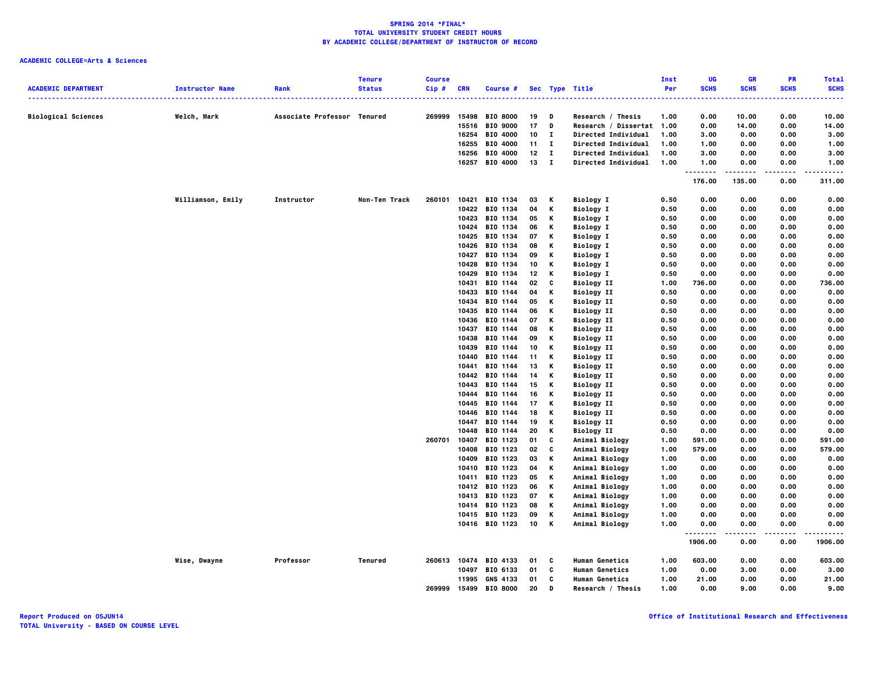| <b>ACADEMIC DEPARTMENT</b> | <b>Instructor Name</b> | Rank                        | <b>Tenure</b><br><b>Status</b> | <b>Course</b><br>Cip # | <b>CRN</b> | <b>Course #</b>                  |          |             | Sec Type Title                         | Inst<br>Per  | UG<br><b>SCHS</b> | GR<br><b>SCHS</b> | PR<br><b>SCHS</b> | <b>Total</b><br><b>SCHS</b> |
|----------------------------|------------------------|-----------------------------|--------------------------------|------------------------|------------|----------------------------------|----------|-------------|----------------------------------------|--------------|-------------------|-------------------|-------------------|-----------------------------|
|                            |                        |                             |                                |                        |            |                                  |          |             |                                        |              |                   |                   |                   |                             |
| <b>Biological Sciences</b> | Welch, Mark            | Associate Professor Tenured |                                | 269999                 | 15498      | <b>BIO 8000</b>                  | 19       | D           | Research / Thesis                      | 1.00         | 0.00              | 10.00             | 0.00              | 10.00                       |
|                            |                        |                             |                                |                        | 15516      | <b>BIO 9000</b>                  | 17       | D           | Research / Dissertat 1.00              |              | 0.00              | 14.00             | 0.00              | 14.00                       |
|                            |                        |                             |                                |                        | 16254      | BIO 4000                         | 10       | п           | Directed Individual                    | 1.00         | 3.00              | 0.00              | 0.00              | 3.00                        |
|                            |                        |                             |                                |                        | 16255      | BIO 4000                         | 11       | $\mathbf I$ | Directed Individual                    | 1.00         | 1.00              | 0.00              | 0.00              | 1.00                        |
|                            |                        |                             |                                |                        | 16256      | BIO 4000                         | 12       | $\mathbf I$ | Directed Individual                    | 1.00         | 3.00              | 0.00              | 0.00              | 3.00                        |
|                            |                        |                             |                                |                        |            | 16257 BIO 4000                   | 13       | п           | Directed Individual                    | 1.00         | 1.00<br>          | 0.00              | 0.00              | 1.00                        |
|                            |                        |                             |                                |                        |            |                                  |          |             |                                        |              | 176.00            | 135.00            | 0.00              | 311.00                      |
|                            | Williamson, Emily      | Instructor                  | Non-Ten Track                  | 260101                 | 10421      | BIO 1134                         | 03       | К           | <b>Biology I</b>                       | 0.50         | 0.00              | 0.00              | 0.00              | 0.00                        |
|                            |                        |                             |                                |                        |            | 10422 BIO 1134                   | 04       | К           | <b>Biology I</b>                       | 0.50         | 0.00              | 0.00              | 0.00              | 0.00                        |
|                            |                        |                             |                                |                        | 10423      | BIO 1134                         | 05       | Κ           | <b>Biology I</b>                       | 0.50         | 0.00              | 0.00              | 0.00              | 0.00                        |
|                            |                        |                             |                                |                        |            | 10424 BIO 1134                   | 06       | κ           | <b>Biology I</b>                       | 0.50         | 0.00              | 0.00              | 0.00              | 0.00                        |
|                            |                        |                             |                                |                        | 10425      | BIO 1134                         | 07       | К           | <b>Biology I</b>                       | 0.50         | 0.00              | 0.00              | 0.00              | 0.00                        |
|                            |                        |                             |                                |                        | 10426      | BIO 1134                         | 08       | К           | <b>Biology I</b>                       | 0.50         | 0.00              | 0.00              | 0.00<br>0.00      | 0.00<br>0.00                |
|                            |                        |                             |                                |                        |            | 10427 BIO 1134<br>10428 BIO 1134 | 09<br>10 | Κ<br>K      | <b>Biology I</b>                       | 0.50<br>0.50 | 0.00<br>0.00      | 0.00<br>0.00      | 0.00              | 0.00                        |
|                            |                        |                             |                                |                        | 10429      | BIO 1134                         | 12       | К           | <b>Biology I</b><br><b>Biology I</b>   | 0.50         | 0.00              | 0.00              | 0.00              | 0.00                        |
|                            |                        |                             |                                |                        | 10431      | BIO 1144                         | 02       | c           |                                        | 1.00         | 736.00            | 0.00              | 0.00              | 736.00                      |
|                            |                        |                             |                                |                        |            | 10433 BIO 1144                   | 04       | К           | <b>Biology II</b><br><b>Biology II</b> | 0.50         | 0.00              | 0.00              | 0.00              | 0.00                        |
|                            |                        |                             |                                |                        | 10434      | BIO 1144                         | 05       | К           | <b>Biology II</b>                      | 0.50         | 0.00              | 0.00              | 0.00              | 0.00                        |
|                            |                        |                             |                                |                        | 10435      | BIO 1144                         | 06       | К           | <b>Biology II</b>                      | 0.50         | 0.00              | 0.00              | 0.00              | 0.00                        |
|                            |                        |                             |                                |                        | 10436      | BIO 1144                         | 07       | К           | <b>Biology II</b>                      | 0.50         | 0.00              | 0.00              | 0.00              | 0.00                        |
|                            |                        |                             |                                |                        | 10437      | BIO 1144                         | 08       | Κ           | <b>Biology II</b>                      | 0.50         | 0.00              | 0.00              | 0.00              | 0.00                        |
|                            |                        |                             |                                |                        | 10438      | BIO 1144                         | 09       | Κ           | <b>Biology II</b>                      | 0.50         | 0.00              | 0.00              | 0.00              | 0.00                        |
|                            |                        |                             |                                |                        | 10439      | BIO 1144                         | 10       | К           | <b>Biology II</b>                      | 0.50         | 0.00              | 0.00              | 0.00              | 0.00                        |
|                            |                        |                             |                                |                        | 10440      | BIO 1144                         | 11       | К           | <b>Biology II</b>                      | 0.50         | 0.00              | 0.00              | 0.00              | 0.00                        |
|                            |                        |                             |                                |                        | 10441      | BIO 1144                         | 13       | К           | <b>Biology II</b>                      | 0.50         | 0.00              | 0.00              | 0.00              | 0.00                        |
|                            |                        |                             |                                |                        |            | 10442 BIO 1144                   | 14       | К           | <b>Biology II</b>                      | 0.50         | 0.00              | 0.00              | 0.00              | 0.00                        |
|                            |                        |                             |                                |                        | 10443      | BIO 1144                         | 15       | К           | <b>Biology II</b>                      | 0.50         | 0.00              | 0.00              | 0.00              | 0.00                        |
|                            |                        |                             |                                |                        | 10444      | BIO 1144                         | 16       | К           | <b>Biology II</b>                      | 0.50         | 0.00              | 0.00              | 0.00              | 0.00                        |
|                            |                        |                             |                                |                        | 10445      | BIO 1144                         | 17       | К           | <b>Biology II</b>                      | 0.50         | 0.00              | 0.00              | 0.00              | 0.00                        |
|                            |                        |                             |                                |                        | 10446      | BIO 1144                         | 18       | К           | <b>Biology II</b>                      | 0.50         | 0.00              | 0.00              | 0.00              | 0.00                        |
|                            |                        |                             |                                |                        |            | 10447 BIO 1144                   | 19       | К           | <b>Biology II</b>                      | 0.50         | 0.00              | 0.00              | 0.00              | 0.00                        |
|                            |                        |                             |                                |                        | 10448      | BIO 1144                         | 20       | К           | <b>Biology II</b>                      | 0.50         | 0.00              | 0.00              | 0.00              | 0.00                        |
|                            |                        |                             |                                | 260701                 | 10407      | BIO 1123                         | 01       | C           | Animal Biology                         | 1.00         | 591.00            | 0.00              | 0.00              | 591.00                      |
|                            |                        |                             |                                |                        | 10408      | BIO 1123                         | 02       | C           | Animal Biology                         | 1.00         | 579.00            | 0.00              | 0.00              | 579.00                      |
|                            |                        |                             |                                |                        | 10409      | BIO 1123                         | 03       | Κ           | Animal Biology                         | 1.00         | 0.00              | 0.00              | 0.00              | 0.00                        |
|                            |                        |                             |                                |                        | 10410      | BIO 1123                         | 04       | К           | Animal Biology                         | 1.00         | 0.00              | 0.00              | 0.00              | 0.00                        |
|                            |                        |                             |                                |                        | 10411      | BIO 1123                         | 05       | К           | Animal Biology                         | 1.00         | 0.00              | 0.00              | 0.00              | 0.00                        |
|                            |                        |                             |                                |                        |            | 10412 BIO 1123                   | 06       | Κ           | Animal Biology                         | 1.00         | 0.00              | 0.00              | 0.00              | 0.00                        |
|                            |                        |                             |                                |                        | 10413      | BIO 1123                         | 07       | К           | Animal Biology                         | 1.00         | 0.00              | 0.00              | 0.00              | 0.00                        |
|                            |                        |                             |                                |                        |            | 10414 BIO 1123                   | 08       | К           | Animal Biology                         | 1.00         | 0.00              | 0.00              | 0.00              | 0.00                        |
|                            |                        |                             |                                |                        |            | 10415 BIO 1123                   | 09       | Κ           | Animal Biology                         | 1.00         | 0.00              | 0.00              | 0.00              | 0.00                        |
|                            |                        |                             |                                |                        |            | 10416 BIO 1123                   | 10       | К           | Animal Biology                         | 1.00         | 0.00<br>.         | 0.00<br>$- - - -$ | 0.00<br>.         | 0.00                        |
|                            |                        |                             |                                |                        |            |                                  |          |             |                                        |              | 1906.00           | 0.00              | 0.00              | 1906.00                     |
|                            | Wise, Dwayne           | Professor                   | <b>Tenured</b>                 | 260613                 |            | 10474 BIO 4133                   | 01       | c           | <b>Human Genetics</b>                  | 1.00         | 603.00            | 0.00              | 0.00              | 603.00                      |
|                            |                        |                             |                                |                        |            | 10497 BIO 6133                   | 01       | C           | <b>Human Genetics</b>                  | 1.00         | 0.00              | 3.00              | 0.00              | 3.00                        |
|                            |                        |                             |                                |                        |            | 11995 GNS 4133                   | 01       | C           | <b>Human Genetics</b>                  | 1.00         | 21.00             | 0.00              | 0.00              | 21.00                       |
|                            |                        |                             |                                | 269999                 | 15499      | <b>BIO 8000</b>                  | 20       | D           | Research / Thesis                      | 1.00         | 0.00              | 9.00              | 0.00              | 9.00                        |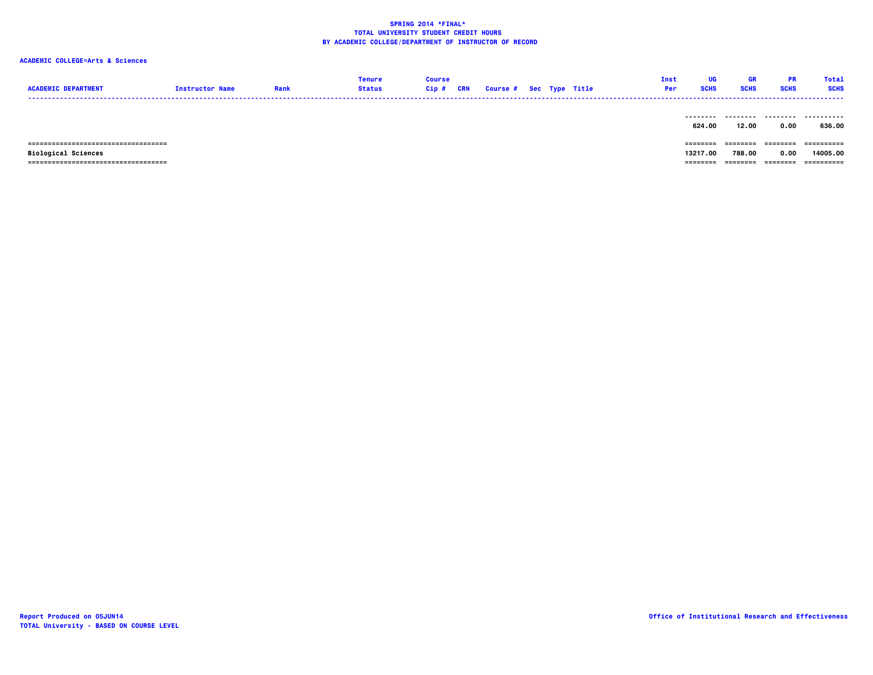# **ACADEMIC COLLEGE=Arts & Sciences**

| <b>ACADEMIC DEPARTMENT</b>                                          | <b>Instructor Name</b> | Rank | <b>Tenure</b><br><b>Status</b> | Course<br>Cip # | <b>CRN</b> | <b>Course # Sec Type Title</b> |  | Inst<br>Per | UG<br><b>SCHS</b>    | GR<br><b>SCHS</b>  | <b>PR</b><br><b>SCHS</b> | <b>Total</b><br><b>SCHS</b> |
|---------------------------------------------------------------------|------------------------|------|--------------------------------|-----------------|------------|--------------------------------|--|-------------|----------------------|--------------------|--------------------------|-----------------------------|
|                                                                     |                        |      |                                |                 |            |                                |  |             | --------<br>624.00   | .<br>12.00         | .<br>0.00                | .<br>636.00                 |
| =====================================<br><b>Biological Sciences</b> |                        |      |                                |                 |            |                                |  |             | ========<br>13217.00 | ========<br>788.00 | ---------<br>0.00        | -----------<br>14005.00     |

 **=================================== ======== ======== ======== ==========**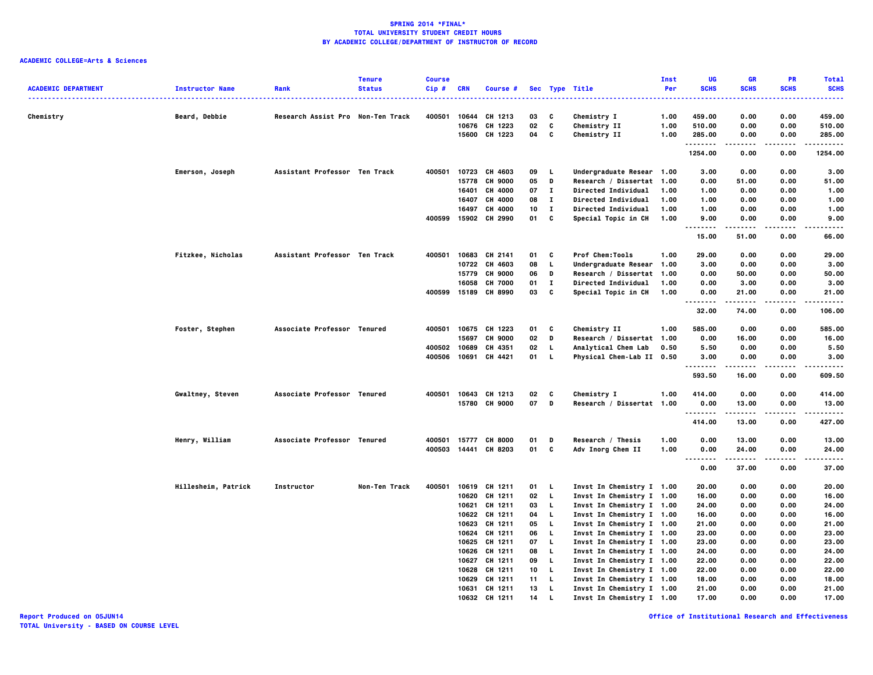### **ACADEMIC COLLEGE=Arts & Sciences**

|                            |                        |                                   | <b>Tenure</b> | <b>Course</b> |       |                      |    |              |                            | Inst | UG                 | GR                  | PR                | Total         |
|----------------------------|------------------------|-----------------------------------|---------------|---------------|-------|----------------------|----|--------------|----------------------------|------|--------------------|---------------------|-------------------|---------------|
| <b>ACADEMIC DEPARTMENT</b> | <b>Instructor Name</b> | Rank                              | <b>Status</b> | Cip#          | CRN   | Course #             |    |              | Sec Type Title             | Per  | <b>SCHS</b>        | <b>SCHS</b>         | <b>SCHS</b>       | <b>SCHS</b>   |
|                            |                        |                                   |               |               |       |                      |    |              |                            |      |                    |                     | .                 | -----         |
| Chemistry                  | Beard, Debbie          | Research Assist Pro Non-Ten Track |               | 400501        | 10644 | CH 1213              | 03 | C            | Chemistry I                | 1.00 | 459.00             | 0.00                | 0.00              | 459.00        |
|                            |                        |                                   |               |               | 10676 | CH 1223              | 02 | c            | Chemistry II               | 1.00 | 510.00             | 0.00                | 0.00              | 510.00        |
|                            |                        |                                   |               |               | 15600 | CH 1223              | 04 | C            | Chemistry II               | 1.00 | 285.00             | 0.00                | 0.00              | 285.00        |
|                            |                        |                                   |               |               |       |                      |    |              |                            |      | .<br>1254.00       | .<br>0.00           | $\cdots$<br>0.00  | .<br>1254.00  |
|                            |                        |                                   |               |               |       |                      |    |              |                            |      |                    |                     |                   |               |
|                            | Emerson, Joseph        | Assistant Professor Ten Track     |               | 400501        |       | 10723 CH 4603        | 09 | <b>L</b>     | Undergraduate Resear 1.00  |      | 3.00               | 0.00                | 0.00              | 3.00          |
|                            |                        |                                   |               |               | 15778 | <b>CH 9000</b>       | 05 | D            | Research / Dissertat 1.00  |      | 0.00               | 51.00               | 0.00              | 51.00         |
|                            |                        |                                   |               |               | 16401 | CH 4000              | 07 | $\mathbf{I}$ | Directed Individual        | 1.00 | 1.00               | 0.00                | 0.00              | 1.00          |
|                            |                        |                                   |               |               | 16407 | CH 4000              | 08 | $\mathbf{I}$ | Directed Individual        | 1.00 | 1.00               | 0.00                | 0.00              | 1.00          |
|                            |                        |                                   |               |               | 16497 | CH 4000              | 10 | п            | <b>Directed Individual</b> | 1.00 | 1.00               | 0.00                | 0.00              | 1.00          |
|                            |                        |                                   |               |               |       | 400599 15902 CH 2990 | 01 | c            | Special Topic in CH        | 1.00 | 9.00<br>.          | 0.00<br>$- - - - -$ | 0.00<br>.         | 9.00<br>----- |
|                            |                        |                                   |               |               |       |                      |    |              |                            |      | 15.00              | 51.00               | 0.00              | 66.00         |
|                            | Fitzkee, Nicholas      | Assistant Professor Ten Track     |               | 400501        | 10683 | CH 2141              | 01 | C            | Prof Chem:Tools            | 1.00 | 29.00              | 0.00                | 0.00              | 29.00         |
|                            |                        |                                   |               |               | 10722 | CH 4603              | 08 | L.           | Undergraduate Resear       | 1.00 | 3.00               | 0.00                | 0.00              | 3.00          |
|                            |                        |                                   |               |               | 15779 | <b>CH 9000</b>       | 06 | D            | Research / Dissertat       | 1.00 | 0.00               | 50.00               | 0.00              | 50.00         |
|                            |                        |                                   |               |               | 16058 | CH 7000              | 01 | $\mathbf I$  | Directed Individual        | 1.00 | 0.00               | 3.00                | 0.00              | 3.00          |
|                            |                        |                                   |               | 400599 15189  |       | CH 8990              | 03 | C            | Special Topic in CH        | 1.00 | 0.00               | 21.00               | 0.00              | 21.00         |
|                            |                        |                                   |               |               |       |                      |    |              |                            |      | .                  | -----               | .                 | .             |
|                            |                        |                                   |               |               |       |                      |    |              |                            |      | 32.00              | 74.00               | 0.00              | 106.00        |
|                            | Foster, Stephen        | Associate Professor Tenured       |               | 400501        | 10675 | CH 1223              | 01 | C            | Chemistry II               | 1.00 | 585.00             | 0.00                | 0.00              | 585.00        |
|                            |                        |                                   |               |               | 15697 | <b>CH 9000</b>       | 02 | D            | Research / Dissertat       | 1.00 | 0.00               | 16.00               | 0.00              | 16.00         |
|                            |                        |                                   |               | 400502        | 10689 | CH 4351              | 02 | L.           | Analytical Chem Lab        | 0.50 | 5.50               | 0.00                | 0.00              | 5.50          |
|                            |                        |                                   |               | 400506        |       | 10691 CH 4421        | 01 | L.           | Physical Chem-Lab II 0.50  |      | 3.00               | 0.00                | 0.00              | 3.00          |
|                            |                        |                                   |               |               |       |                      |    |              |                            |      | --------<br>593.50 | .<br>16.00          | .<br>0.00         | .<br>609.50   |
|                            |                        |                                   |               |               |       |                      |    |              |                            |      |                    |                     |                   |               |
|                            | Gwaltney, Steven       | Associate Professor Tenured       |               |               |       | 400501 10643 CH 1213 | 02 | C            | Chemistry I                | 1.00 | 414.00             | 0.00                | 0.00              | 414.00        |
|                            |                        |                                   |               |               |       | 15780 CH 9000        | 07 | D            | Research / Dissertat 1.00  |      | 0.00<br>.          | 13.00               | 0.00<br>$- - - -$ | 13.00<br>.    |
|                            |                        |                                   |               |               |       |                      |    |              |                            |      | 414.00             | -----<br>13.00      | 0.00              | 427.00        |
|                            | Henry, William         | Associate Professor Tenured       |               | 400501        | 15777 | <b>CH 8000</b>       | 01 | Ð            | Research / Thesis          | 1.00 | 0.00               | 13.00               | 0.00              | 13.00         |
|                            |                        |                                   |               |               |       | 400503 14441 CH 8203 | 01 | c            | Adv Inorg Chem II          | 1.00 | 0.00               | 24.00               | 0.00              | 24.00         |
|                            |                        |                                   |               |               |       |                      |    |              |                            |      | .                  | $- - - - -$         | .                 | -----         |
|                            |                        |                                   |               |               |       |                      |    |              |                            |      | 0.00               | 37.00               | 0.00              | 37.00         |
|                            | Hillesheim, Patrick    | Instructor                        | Non-Ten Track | 400501        |       | 10619 CH 1211        | 01 | - L          | Invst In Chemistry I 1.00  |      | 20.00              | 0.00                | 0.00              | 20.00         |
|                            |                        |                                   |               |               | 10620 | CH 1211              | 02 | L            | Invst In Chemistry I 1.00  |      | 16.00              | 0.00                | 0.00              | 16.00         |
|                            |                        |                                   |               |               | 10621 | CH 1211              | 03 | L.           | Invst In Chemistry I 1.00  |      | 24.00              | 0.00                | 0.00              | 24.00         |
|                            |                        |                                   |               |               |       | 10622 CH 1211        | 04 | L            | Invst In Chemistry I 1.00  |      | 16.00              | 0.00                | 0.00              | 16.00         |
|                            |                        |                                   |               |               | 10623 | CH 1211              | 05 | L.           | Invst In Chemistry I 1.00  |      | 21.00              | 0.00                | 0.00              | 21.00         |
|                            |                        |                                   |               |               | 10624 | CH 1211              | 06 | L.           | Invst In Chemistry I 1.00  |      | 23.00              | 0.00                | 0.00              | 23.00         |
|                            |                        |                                   |               |               |       | 10625 CH 1211        | 07 | L.           | Invst In Chemistry I 1.00  |      | 23.00              | 0.00                | 0.00              | 23.00         |
|                            |                        |                                   |               |               | 10626 | CH 1211              | 08 | L.           | Invst In Chemistry I 1.00  |      | 24.00              | 0.00                | 0.00              | 24.00         |
|                            |                        |                                   |               |               | 10627 | CH 1211              | 09 | L.           | Invst In Chemistry I 1.00  |      | 22.00              | 0.00                | 0.00              | 22.00         |
|                            |                        |                                   |               |               | 10628 | CH 1211              | 10 | L.           | Invst In Chemistry I 1.00  |      | 22.00              | 0.00                | 0.00              | 22.00         |
|                            |                        |                                   |               |               | 10629 | CH 1211              | 11 | L.           | Invst In Chemistry I 1.00  |      | 18.00              | 0.00                | 0.00              | 18.00         |
|                            |                        |                                   |               |               | 10631 | CH 1211              | 13 | L.           | Invst In Chemistry I 1.00  |      | 21.00              | 0.00                | 0.00              | 21.00         |
|                            |                        |                                   |               |               |       | 10632 CH 1211        | 14 | L.           | Invst In Chemistry I 1.00  |      | 17.00              | 0.00                | 0.00              | 17.00         |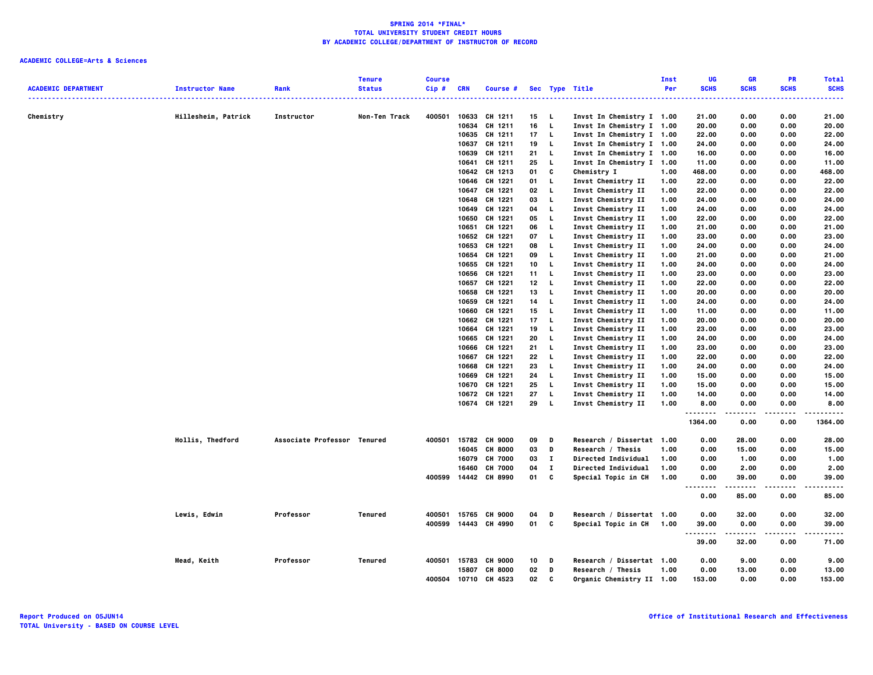| <b>ACADEMIC DEPARTMENT</b> | <b>Instructor Name</b> | Rank                        | <b>Tenure</b><br><b>Status</b> | <b>Course</b><br>Cip# | <b>CRN</b>     | Course #             |                 |                | Sec Type Title                           | Inst<br>Per  | UG<br><b>SCHS</b> | <b>GR</b><br><b>SCHS</b> | <b>PR</b><br><b>SCHS</b> | <b>Total</b><br><b>SCHS</b> |
|----------------------------|------------------------|-----------------------------|--------------------------------|-----------------------|----------------|----------------------|-----------------|----------------|------------------------------------------|--------------|-------------------|--------------------------|--------------------------|-----------------------------|
|                            |                        |                             |                                |                       |                |                      |                 |                |                                          |              |                   |                          |                          | $\cdots$                    |
| Chemistry                  | Hillesheim, Patrick    | Instructor                  | Non-Ten Track                  | 400501                | 10633          | CH 1211              | 15              | - L            | Invst In Chemistry I 1.00                |              | 21.00             | 0.00                     | 0.00                     | 21.00                       |
|                            |                        |                             |                                |                       | 10634          | CH 1211              | 16              | $\mathbf{L}$   | Invst In Chemistry I 1.00                |              | 20.00             | 0.00                     | 0.00                     | 20.00                       |
|                            |                        |                             |                                |                       |                | 10635 CH 1211        | 17              | - 1.           | Invst In Chemistry I 1.00                |              | 22.00             | 0.00                     | 0.00                     | 22.00                       |
|                            |                        |                             |                                |                       | 10637          | CH 1211              | 19              | L.             | Invst In Chemistry I 1.00                |              | 24.00             | 0.00                     | 0.00                     | 24.00                       |
|                            |                        |                             |                                |                       | 10639          | CH 1211              | 21              | L.             | Invst In Chemistry I 1.00                |              | 16.00             | 0.00                     | 0.00                     | 16.00                       |
|                            |                        |                             |                                |                       | 10641          | CH 1211              | 25              | <b>L</b>       | Invst In Chemistry I 1.00                |              | 11.00             | 0.00                     | 0.00                     | 11.00                       |
|                            |                        |                             |                                |                       |                | 10642 CH 1213        | 01              | C              | Chemistry I                              | 1.00         | 468.00            | 0.00                     | 0.00                     | 468.00                      |
|                            |                        |                             |                                |                       | 10646          | CH 1221              | 01              | L.             | Invst Chemistry II                       | 1.00         | 22.00             | 0.00                     | 0.00                     | 22.00                       |
|                            |                        |                             |                                |                       | 10647          | CH 1221              | 02              | <b>L</b>       | Invst Chemistry II                       | 1.00         | 22.00             | 0.00                     | 0.00                     | 22.00                       |
|                            |                        |                             |                                |                       | 10648          | CH 1221              | 03              | L,             | Invst Chemistry II                       | 1.00         | 24.00             | 0.00                     | 0.00                     | 24.00                       |
|                            |                        |                             |                                |                       | 10649          | CH 1221              | 04              | L              | Invst Chemistry II                       | 1.00         | 24.00             | 0.00                     | 0.00                     | 24.00                       |
|                            |                        |                             |                                |                       | 10650          | CH 1221              | 05              | L,             | Invst Chemistry II                       | 1.00         | 22.00             | 0.00                     | 0.00                     | 22.00                       |
|                            |                        |                             |                                |                       | 10651          | CH 1221              | 06              | L,             | Invst Chemistry II                       | 1.00         | 21.00             | 0.00                     | 0.00                     | 21.00                       |
|                            |                        |                             |                                |                       |                | 10652 CH 1221        | 07              | <b>L</b>       | Invst Chemistry II                       | 1.00         | 23.00             | 0.00                     | 0.00                     | 23.00                       |
|                            |                        |                             |                                |                       |                | 10653 CH 1221        | 08              | L,             | Invst Chemistry II                       | 1.00         | 24.00             | 0.00                     | 0.00                     | 24.00                       |
|                            |                        |                             |                                |                       | 10654          | CH 1221              | 09              | L.             | Invst Chemistry II                       | 1.00         | 21.00             | 0.00                     | 0.00                     | 21.00                       |
|                            |                        |                             |                                |                       | 10655          | CH 1221              | 10              | L              | Invst Chemistry II                       | 1.00         | 24.00             | 0.00                     | 0.00                     | 24.00                       |
|                            |                        |                             |                                |                       | 10656          | CH 1221              | 11              | L,             | Invst Chemistry II                       | 1.00         | 23.00             | 0.00                     | 0.00                     | 23.00                       |
|                            |                        |                             |                                |                       | 10657          | CH 1221              | 12 <sub>2</sub> | <b>L</b>       | Invst Chemistry II                       | 1.00         | 22.00             | 0.00                     | 0.00                     | 22.00                       |
|                            |                        |                             |                                |                       | 10658          | CH 1221<br>CH 1221   | 13<br>14        | L,<br><b>L</b> | Invst Chemistry II                       | 1.00         | 20.00<br>24.00    | 0.00<br>0.00             | 0.00                     | 20.00<br>24.00              |
|                            |                        |                             |                                |                       | 10659          |                      |                 | <b>L</b>       | Invst Chemistry II                       | 1.00<br>1.00 |                   |                          | 0.00                     |                             |
|                            |                        |                             |                                |                       | 10660          | CH 1221              | 15              |                | Invst Chemistry II                       |              | 11.00             | 0.00                     | 0.00                     | 11.00                       |
|                            |                        |                             |                                |                       | 10662          | CH 1221              | 17              | L,             | Invst Chemistry II                       | 1.00         | 20.00             | 0.00                     | 0.00                     | 20.00                       |
|                            |                        |                             |                                |                       | 10664          | CH 1221              | 19              | L,<br><b>L</b> | Invst Chemistry II                       | 1.00         | 23.00             | 0.00                     | 0.00                     | 23.00                       |
|                            |                        |                             |                                |                       | 10665          | CH 1221<br>CH 1221   | 20<br>21        | L,             | Invst Chemistry II<br>Invst Chemistry II | 1.00<br>1.00 | 24.00<br>23.00    | 0.00<br>0.00             | 0.00<br>0.00             | 24.00<br>23.00              |
|                            |                        |                             |                                |                       | 10666<br>10667 | CH 1221              | 22              | L,             | Invst Chemistry II                       | 1.00         | 22.00             | 0.00                     | 0.00                     | 22.00                       |
|                            |                        |                             |                                |                       |                | 10668 CH 1221        | 23              | L,             | Invst Chemistry II                       | 1.00         | 24.00             | 0.00                     | 0.00                     | 24.00                       |
|                            |                        |                             |                                |                       | 10669          | CH 1221              | 24              | L,             | Invst Chemistry II                       | 1.00         | 15.00             | 0.00                     | 0.00                     | 15.00                       |
|                            |                        |                             |                                |                       | 10670          | CH 1221              | 25              | L.             | Invst Chemistry II                       | 1.00         | 15.00             | 0.00                     | 0.00                     | 15.00                       |
|                            |                        |                             |                                |                       |                | 10672 CH 1221        | 27              | L.             | Invst Chemistry II                       | 1.00         | 14.00             | 0.00                     | 0.00                     | 14.00                       |
|                            |                        |                             |                                |                       |                | 10674 CH 1221        | 29              | - L            | Invst Chemistry II                       | 1.00         | 8.00              | 0.00                     | 0.00                     | 8.00                        |
|                            |                        |                             |                                |                       |                |                      |                 |                |                                          |              | --------          | -----                    | .                        | .                           |
|                            |                        |                             |                                |                       |                |                      |                 |                |                                          |              | 1364.00           | 0.00                     | 0.00                     | 1364.00                     |
|                            | Hollis, Thedford       | Associate Professor Tenured |                                | 400501                |                | 15782 CH 9000        | 09              | D              | Research / Dissertat 1.00                |              | 0.00              | 28.00                    | 0.00                     | 28.00                       |
|                            |                        |                             |                                |                       | 16045          | <b>CH 8000</b>       | 03              | D              | Research / Thesis                        | 1.00         | 0.00              | 15.00                    | 0.00                     | 15.00                       |
|                            |                        |                             |                                |                       | 16079          | <b>CH 7000</b>       | 03              | $\mathbf{I}$   | <b>Directed Individual</b>               | 1.00         | 0.00              | 1.00                     | 0.00                     | 1.00                        |
|                            |                        |                             |                                |                       | 16460          | <b>CH 7000</b>       | 04              | $\mathbf{I}$   | <b>Directed Individual</b>               | 1.00         | 0.00              | 2.00                     | 0.00                     | 2.00                        |
|                            |                        |                             |                                |                       |                | 400599 14442 CH 8990 | 01              | C              | Special Topic in CH                      | 1.00         | 0.00              | 39.00                    | 0.00                     | 39.00                       |
|                            |                        |                             |                                |                       |                |                      |                 |                |                                          |              | <br>0.00          | 85.00                    | 0.00                     | 85.00                       |
|                            | Lewis, Edwin           | Professor                   | Tenured                        | 400501                | 15765          | <b>CH 9000</b>       | 04              | D              | Research / Dissertat 1.00                |              | 0.00              | 32.00                    | 0.00                     | 32.00                       |
|                            |                        |                             |                                | 400599                |                | 14443 CH 4990        | 01              | c              | Special Topic in CH                      | 1.00         | 39.00<br>.        | 0.00                     | 0.00                     | 39.00<br>-----              |
|                            |                        |                             |                                |                       |                |                      |                 |                |                                          |              | 39.00             | 32.00                    | 0.00                     | 71.00                       |
|                            | Mead, Keith            | Professor                   | Tenured                        |                       |                | 400501 15783 CH 9000 | 10              | D              | Research / Dissertat 1.00                |              | 0.00              | 9.00                     | 0.00                     | 9.00                        |
|                            |                        |                             |                                |                       | 15807          | <b>CH 8000</b>       | 02              | D              | Research / Thesis                        | 1.00         | 0.00              | 13.00                    | 0.00                     | 13.00                       |
|                            |                        |                             |                                | 400504                | 10710          | CH 4523              | 02              | c              | Organic Chemistry II 1.00                |              | 153.00            | 0.00                     | 0.00                     | 153.00                      |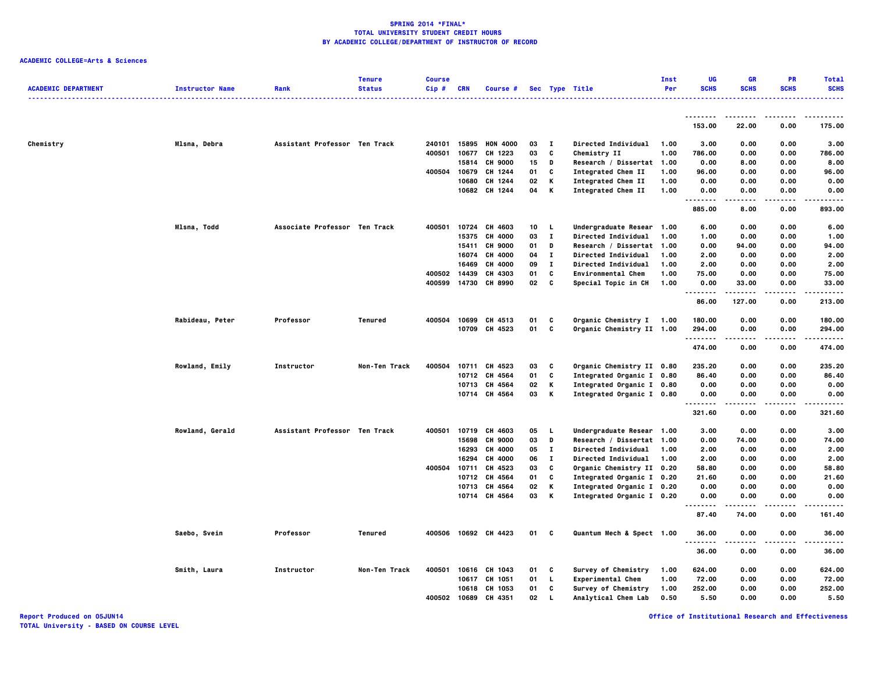### **ACADEMIC COLLEGE=Arts & Sciences**

| <b>ACADEMIC DEPARTMENT</b> |                        | Rank                          | <b>Tenure</b><br><b>Status</b> | <b>Course</b><br>$Cip$ # | <b>CRN</b> | <b>Course #</b> |    |              |                           | Inst<br>Per | UG<br><b>SCHS</b> | <b>GR</b><br><b>SCHS</b> | PR<br><b>SCHS</b> | <b>Total</b><br><b>SCHS</b> |
|----------------------------|------------------------|-------------------------------|--------------------------------|--------------------------|------------|-----------------|----|--------------|---------------------------|-------------|-------------------|--------------------------|-------------------|-----------------------------|
|                            | <b>Instructor Name</b> |                               |                                |                          |            |                 |    |              | Sec Type Title            |             |                   |                          |                   | .                           |
|                            |                        |                               |                                |                          |            |                 |    |              |                           |             | --------          |                          |                   |                             |
|                            |                        |                               |                                |                          |            |                 |    |              |                           |             | 153.00            | 22.00                    | 0.00              | 175.00                      |
| Chemistry                  | Mlsna, Debra           | Assistant Professor Ten Track |                                | 240101                   | 15895      | <b>HON 4000</b> | 03 | $\mathbf{I}$ | Directed Individual       | 1.00        | 3.00              | 0.00                     | 0.00              | 3.00                        |
|                            |                        |                               |                                | 400501                   | 10677      | CH 1223         | 03 | C            | Chemistry II              | 1.00        | 786.00            | 0.00                     | 0.00              | 786.00                      |
|                            |                        |                               |                                |                          | 15814      | <b>CH 9000</b>  | 15 | D            | Research / Dissertat      | 1.00        | 0.00              | 8.00                     | 0.00              | 8.00                        |
|                            |                        |                               |                                | 400504                   | 10679      | CH 1244         | 01 | c            | Integrated Chem II        | 1.00        | 96.00             | 0.00                     | 0.00              | 96.00                       |
|                            |                        |                               |                                |                          | 10680      | CH 1244         | 02 | К            | Integrated Chem II        | 1.00        | 0.00              | 0.00                     | 0.00              | 0.00                        |
|                            |                        |                               |                                |                          | 10682      | CH 1244         | 04 | K            | <b>Integrated Chem II</b> | 1.00        | 0.00<br><b>.</b>  | 0.00                     | 0.00              | 0.00<br>-----               |
|                            |                        |                               |                                |                          |            |                 |    |              |                           |             | 885.00            | 8.00                     | 0.00              | 893.00                      |
|                            | <b>Mlsna, Todd</b>     | Associate Professor Ten Track |                                | 400501                   | 10724      | CH 4603         | 10 | L.           | Undergraduate Resear      | 1.00        | 6.00              | 0.00                     | 0.00              | 6.00                        |
|                            |                        |                               |                                |                          | 15375      | CH 4000         | 03 | $\mathbf{I}$ | Directed Individual       | 1.00        | 1.00              | 0.00                     | 0.00              | 1.00                        |
|                            |                        |                               |                                |                          | 15411      | <b>CH 9000</b>  | 01 | D            | Research / Dissertat      | 1.00        | 0.00              | 94.00                    | 0.00              | 94.00                       |
|                            |                        |                               |                                |                          | 16074      | CH 4000         | 04 | $\mathbf{I}$ | Directed Individual       | 1.00        | 2.00              | 0.00                     | 0.00              | 2.00                        |
|                            |                        |                               |                                |                          | 16469      | CH 4000         | 09 | $\mathbf{I}$ | Directed Individual       | 1.00        | 2.00              | 0.00                     | 0.00              | 2.00                        |
|                            |                        |                               |                                | 400502                   | 14439      | CH 4303         | 01 | C            | <b>Environmental Chem</b> | 1.00        | 75.00             | 0.00                     | 0.00              | 75.00                       |
|                            |                        |                               |                                | 400599                   | 14730      | CH 8990         | 02 | C            | Special Topic in CH       | 1.00        | 0.00<br><b>.</b>  | 33.00<br>.               | 0.00<br>$- - - -$ | 33.00<br>.                  |
|                            |                        |                               |                                |                          |            |                 |    |              |                           |             | 86.00             | 127.00                   | 0.00              | 213.00                      |
|                            | Rabideau, Peter        | Professor                     | <b>Tenured</b>                 | 400504                   | 10699      | CH 4513         | 01 | C            | Organic Chemistry I 1.00  |             | 180.00            | 0.00                     | 0.00              | 180.00                      |
|                            |                        |                               |                                |                          | 10709      | CH 4523         | 01 | C            | Organic Chemistry II 1.00 |             | 294.00<br>.       | 0.00                     | 0.00<br>----      | 294.00<br>.                 |
|                            |                        |                               |                                |                          |            |                 |    |              |                           |             | 474.00            | 0.00                     | 0.00              | 474.00                      |
|                            | Rowland, Emily         | Instructor                    | Non-Ten Track                  | 400504                   |            | 10711 CH 4523   | 03 | C            | Organic Chemistry II 0.80 |             | 235.20            | 0.00                     | 0.00              | 235.20                      |
|                            |                        |                               |                                |                          | 10712      | CH 4564         | 01 | C            | Integrated Organic I 0.80 |             | 86.40             | 0.00                     | 0.00              | 86.40                       |
|                            |                        |                               |                                |                          | 10713      | CH 4564         | 02 | К            | Integrated Organic I 0.80 |             | 0.00              | 0.00                     | 0.00              | 0.00                        |
|                            |                        |                               |                                |                          |            | 10714 CH 4564   | 03 | К            | Integrated Organic I 0.80 |             | 0.00<br>.         | 0.00<br>-----            | 0.00<br>----      | 0.00<br>.                   |
|                            |                        |                               |                                |                          |            |                 |    |              |                           |             | 321.60            | 0.00                     | 0.00              | 321.60                      |
|                            | Rowland, Gerald        | Assistant Professor Ten Track |                                | 400501                   | 10719      | CH 4603         | 05 | L.           | Undergraduate Resear 1.00 |             | 3.00              | 0.00                     | 0.00              | 3.00                        |
|                            |                        |                               |                                |                          | 15698      | <b>CH 9000</b>  | 03 | D            | Research / Dissertat 1.00 |             | 0.00              | 74.00                    | 0.00              | 74.00                       |
|                            |                        |                               |                                |                          | 16293      | CH 4000         | 05 | $\mathbf{I}$ | Directed Individual       | 1.00        | 2.00              | 0.00                     | 0.00              | 2.00                        |
|                            |                        |                               |                                |                          | 16294      | CH 4000         | 06 | $\mathbf{I}$ | Directed Individual       | 1.00        | 2.00              | 0.00                     | 0.00              | 2.00                        |
|                            |                        |                               |                                | 400504                   | 10711      | CH 4523         | 03 | c            | Organic Chemistry II 0.20 |             | 58.80             | 0.00                     | 0.00              | 58.80                       |
|                            |                        |                               |                                |                          | 10712      | CH 4564         | 01 | C            | Integrated Organic I 0.20 |             | 21.60             | 0.00                     | 0.00              | 21.60                       |
|                            |                        |                               |                                |                          |            | 10713 CH 4564   | 02 | К            | Integrated Organic I 0.20 |             | 0.00              | 0.00                     | 0.00              | 0.00                        |
|                            |                        |                               |                                |                          | 10714      | CH 4564         | 03 | К            | Integrated Organic I 0.20 |             | 0.00              | 0.00                     | 0.00              | 0.00                        |
|                            |                        |                               |                                |                          |            |                 |    |              |                           |             | 87.40             | 74.00                    | 0.00              | 161.40                      |
|                            | Saebo, Svein           | Professor                     | Tenured                        | 400506                   |            | 10692 CH 4423   | 01 | c            | Quantum Mech & Spect 1.00 |             | 36.00             | 0.00                     | 0.00              | 36.00<br>.                  |
|                            |                        |                               |                                |                          |            |                 |    |              |                           |             | 36.00             | 0.00                     | 0.00              | 36.00                       |
|                            | Smith, Laura           | Instructor                    | Non-Ten Track                  | 400501                   | 10616      | CH 1043         | 01 | C            | Survey of Chemistry       | 1.00        | 624.00            | 0.00                     | 0.00              | 624.00                      |
|                            |                        |                               |                                |                          | 10617      | CH 1051         | 01 | L            | <b>Experimental Chem</b>  | 1.00        | 72.00             | 0.00                     | 0.00              | 72.00                       |
|                            |                        |                               |                                |                          |            | 10618 CH 1053   | 01 | c            | Survey of Chemistry       | 1.00        | 252.00            | 0.00                     | 0.00              | 252.00                      |
|                            |                        |                               |                                | 400502                   | 10689      | CH 4351         | 02 | L.           | Analytical Chem Lab       | 0.50        | 5.50              | 0.00                     | 0.00              | 5.50                        |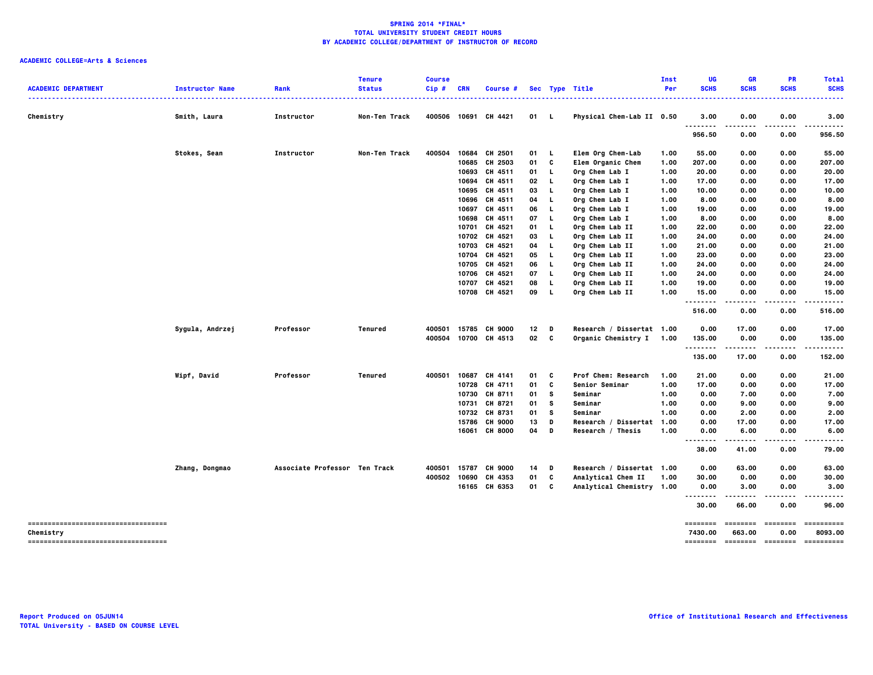| <b>ACADEMIC DEPARTMENT</b>                       | <b>Instructor Name</b> | Rank                          | <b>Tenure</b><br><b>Status</b> | <b>Course</b><br>Cip# | <b>CRN</b>     | Course #                  |          |              | Sec Type Title                                  | Inst<br>Per | UG<br><b>SCHS</b>        | <b>GR</b><br><b>SCHS</b> | PR<br><b>SCHS</b>  | <b>Total</b><br><b>SCHS</b> |
|--------------------------------------------------|------------------------|-------------------------------|--------------------------------|-----------------------|----------------|---------------------------|----------|--------------|-------------------------------------------------|-------------|--------------------------|--------------------------|--------------------|-----------------------------|
| Chemistry                                        | Smith, Laura           | .<br>Instructor               | .<br>Non-Ten Track             | .                     |                | 400506 10691 CH 4421      | 01 L     |              | Physical Chem-Lab II 0.50                       |             | . <b>.</b> .<br>3.00     | .<br>0.00                | . <u>.</u><br>0.00 | .<br>3.00                   |
|                                                  |                        |                               |                                |                       |                |                           |          |              |                                                 |             | .<br>956.50              | 0.00                     | ----<br>0.00       | <br>956.50                  |
|                                                  |                        |                               |                                |                       |                |                           |          |              |                                                 |             |                          |                          |                    |                             |
|                                                  | Stokes, Sean           | Instructor                    | Non-Ten Track                  | 400504                | 10684          | CH 2501                   | 01       | L.           | Elem Org Chem-Lab                               | 1.00        | 55.00                    | 0.00                     | 0.00               | 55.00                       |
|                                                  |                        |                               |                                |                       | 10685          | CH 2503                   | 01       | C            | Elem Organic Chem                               | 1.00        | 207.00                   | 0.00                     | 0.00               | 207.00                      |
|                                                  |                        |                               |                                |                       | 10693          | CH 4511                   | 01       | L.           | Org Chem Lab I                                  | 1.00        | 20.00                    | 0.00                     | 0.00               | 20.00                       |
|                                                  |                        |                               |                                |                       |                | 10694 CH 4511             | 02       | L.           | Org Chem Lab I                                  | 1.00        | 17.00                    | 0.00                     | 0.00               | 17.00                       |
|                                                  |                        |                               |                                |                       |                | 10695 CH 4511             | 03       | L.           | Org Chem Lab I                                  | 1.00        | 10.00                    | 0.00                     | 0.00               | 10.00                       |
|                                                  |                        |                               |                                |                       |                | 10696 CH 4511             | 04       | L            | Org Chem Lab I                                  | 1.00        | 8.00                     | 0.00                     | 0.00               | 8.00                        |
|                                                  |                        |                               |                                |                       |                | 10697 CH 4511             | 06       | L.           | Org Chem Lab I                                  | 1.00        | 19.00                    | 0.00                     | 0.00               | 19.00                       |
|                                                  |                        |                               |                                |                       | 10698          | CH 4511                   | 07       | L.           | Org Chem Lab I                                  | 1.00        | 8.00                     | 0.00                     | 0.00               | 8.00                        |
|                                                  |                        |                               |                                |                       | 10701          | CH 4521                   | 01       | L.           | Org Chem Lab II                                 | 1.00        | 22.00                    | 0.00                     | 0.00               | 22.00                       |
|                                                  |                        |                               |                                |                       | 10702          | CH 4521                   | 03       | L.           | Org Chem Lab II                                 | 1.00        | 24.00                    | 0.00                     | 0.00               | 24.00                       |
|                                                  |                        |                               |                                |                       | 10703          | CH 4521                   | 04       | L.           | Org Chem Lab II                                 | 1.00        | 21.00                    | 0.00                     | 0.00               | 21.00                       |
|                                                  |                        |                               |                                |                       | 10704          | CH 4521                   | 05       | L.           | Org Chem Lab II                                 | 1.00        | 23.00                    | 0.00                     | 0.00               | 23.00                       |
|                                                  |                        |                               |                                |                       |                | 10705 CH 4521             | 06       | L.           | Org Chem Lab II                                 | 1.00        | 24.00                    | 0.00                     | 0.00               | 24.00                       |
|                                                  |                        |                               |                                |                       | 10706          | CH 4521                   | 07       | L.           | Org Chem Lab II                                 | 1.00        | 24.00                    | 0.00                     | 0.00               | 24.00                       |
|                                                  |                        |                               |                                |                       |                | 10707 CH 4521             | 08       | L.           | Org Chem Lab II                                 | 1.00        | 19.00                    | 0.00                     | 0.00               | 19.00                       |
|                                                  |                        |                               |                                |                       |                | 10708 CH 4521             | 09       | $\mathbf{L}$ | Org Chem Lab II                                 | 1.00        | 15.00                    | 0.00                     | 0.00               | 15.00                       |
|                                                  |                        |                               |                                |                       |                |                           |          |              |                                                 |             | .<br>516.00              | .<br>0.00                | .<br>0.00          | .<br>516.00                 |
|                                                  | Sygula, Andrzej        | Professor                     | Tenured                        | 400501                | 15785          | <b>CH 9000</b>            | 12       | D            | Research / Dissertat 1.00                       |             | 0.00                     | 17.00                    | 0.00               | 17.00                       |
|                                                  |                        |                               |                                | 400504                |                | 10700 CH 4513             | 02       | $\mathbf{c}$ | Organic Chemistry I 1.00                        |             | 135.00                   | 0.00                     | 0.00               | 135.00                      |
|                                                  |                        |                               |                                |                       |                |                           |          |              |                                                 |             | .                        |                          |                    |                             |
|                                                  |                        |                               |                                |                       |                |                           |          |              |                                                 |             | 135.00                   | 17.00                    | 0.00               | 152.00                      |
|                                                  | Wipf, David            | Professor                     | <b>Tenured</b>                 | 400501                |                | 10687 CH 4141             | 01       | C            | Prof Chem: Research                             | 1.00        | 21.00                    | 0.00                     | 0.00               | 21.00                       |
|                                                  |                        |                               |                                |                       |                | 10728 CH 4711             | 01       | C            | Senior Seminar                                  | 1.00        | 17.00                    | 0.00                     | 0.00               | 17.00                       |
|                                                  |                        |                               |                                |                       |                | 10730 CH 8711             | 01       | <b>S</b>     | Seminar                                         | 1.00        | 0.00                     | 7.00                     | 0.00               | 7.00                        |
|                                                  |                        |                               |                                |                       |                | 10731 CH 8721             | 01       | s            | Seminar                                         | 1.00        | 0.00                     | 9.00                     | 0.00               | 9.00                        |
|                                                  |                        |                               |                                |                       |                | 10732 CH 8731             | 01       | s            | Seminar                                         | 1.00        | 0.00                     | 2.00                     | 0.00               | 2.00                        |
|                                                  |                        |                               |                                |                       | 15786          | <b>CH 9000</b>            | 13       | D            | Research / Dissertat 1.00                       |             | 0.00                     | 17.00                    | 0.00               | 17.00                       |
|                                                  |                        |                               |                                |                       |                | 16061 CH 8000             | 04 D     |              | Research / Thesis                               | 1.00        | 0.00                     | 6.00                     | 0.00               | 6.00                        |
|                                                  |                        |                               |                                |                       |                |                           |          |              |                                                 |             | <br>$- - - - -$<br>38.00 | .<br>41.00               | .<br>0.00          | .<br>79.00                  |
|                                                  |                        |                               |                                |                       |                |                           |          |              |                                                 |             |                          |                          |                    |                             |
|                                                  | Zhang, Dongmao         | Associate Professor Ten Track |                                | 400501<br>400502      | 15787<br>10690 | <b>CH 9000</b><br>CH 4353 | 14<br>01 | D<br>C       | Research / Dissertat 1.00<br>Analytical Chem II | 1.00        | 0.00<br>30.00            | 63.00<br>0.00            | 0.00<br>0.00       | 63.00<br>30.00              |
|                                                  |                        |                               |                                |                       |                | 16165 CH 6353             | 01       | c            | Analytical Chemistry 1.00                       |             | 0.00                     | 3.00                     | 0.00               | 3.00                        |
|                                                  |                        |                               |                                |                       |                |                           |          |              |                                                 |             | .<br>30.00               | 66.00                    | 0.00               | 96.00                       |
|                                                  |                        |                               |                                |                       |                |                           |          |              |                                                 |             |                          |                          |                    |                             |
| -----------------------------------<br>Chemistry |                        |                               |                                |                       |                |                           |          |              |                                                 |             | ========<br>7430.00      | ========<br>663.00       | ========<br>0.00   | ==========<br>8093.00       |
| -----------------------------------              |                        |                               |                                |                       |                |                           |          |              |                                                 |             | ========                 | --------- -------        |                    | ==========                  |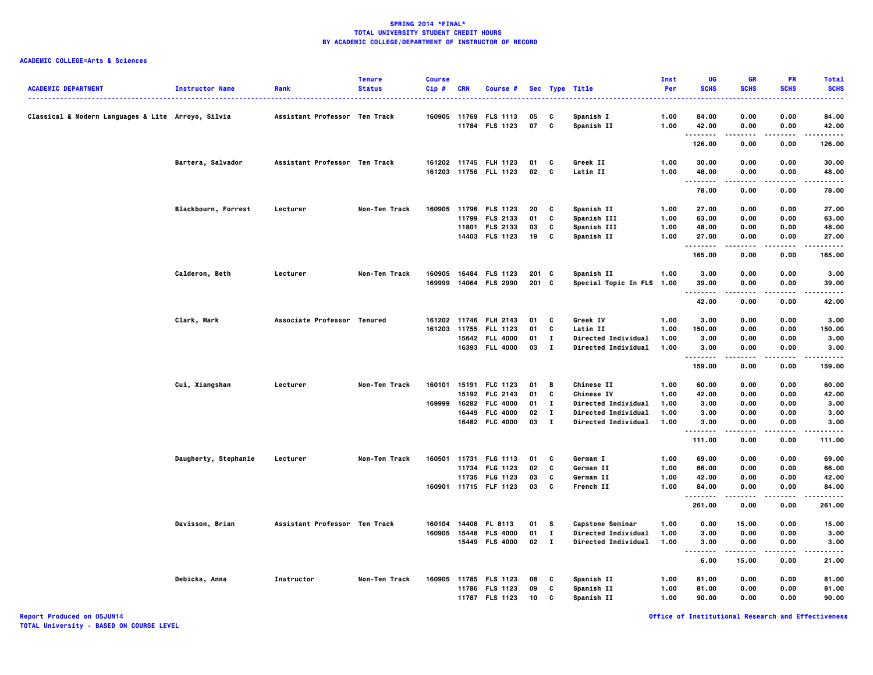# **ACADEMIC COLLEGE=Arts & Sciences**

| <b>ACADEMIC DEPARTMENT</b>                         | <b>Instructor Name</b> | Rank                          | <b>Tenure</b><br><b>Status</b> | <b>Course</b><br>Cip# | <b>CRN</b> | Course #                           |          |              | Sec Type Title             | Inst<br>Per  | UG<br><b>SCHS</b>                         | <b>GR</b><br><b>SCHS</b> | PR<br><b>SCHS</b> | <b>Total</b><br><b>SCHS</b> |
|----------------------------------------------------|------------------------|-------------------------------|--------------------------------|-----------------------|------------|------------------------------------|----------|--------------|----------------------------|--------------|-------------------------------------------|--------------------------|-------------------|-----------------------------|
|                                                    |                        |                               |                                |                       |            |                                    |          |              |                            |              |                                           |                          |                   |                             |
| Classical & Modern Languages & Lite Arroyo, Silvia |                        | Assistant Professor Ten Track |                                | 160905 11769          | 11784      | <b>FLS 1113</b><br><b>FLS 1123</b> | 05<br>07 | C<br>C       | Spanish I<br>Spanish II    | 1.00<br>1.00 | 84.00<br>42.00                            | 0.00<br>0.00             | 0.00<br>0.00      | 84.00<br>42.00              |
|                                                    |                        |                               |                                |                       |            |                                    |          |              |                            |              | .<br>126.00                               | 0.00                     | .<br>0.00         | .<br>126.00                 |
|                                                    | Bartera, Salvador      | Assistant Professor Ten Track |                                | 161202 11745          |            | <b>FLH 1123</b>                    | 01       | c            | Greek II                   | 1.00         | 30.00                                     | 0.00                     | 0.00              | 30.00                       |
|                                                    |                        |                               |                                |                       |            | 161203 11756 FLL 1123              | 02       | C            | Latin II                   | 1.00         | 48.00<br>                                 | 0.00<br>.                | 0.00              | 48.00<br>.                  |
|                                                    |                        |                               |                                |                       |            |                                    |          |              |                            |              | 78.00                                     | 0.00                     | 0.00              | 78.00                       |
|                                                    | Blackbourn, Forrest    | Lecturer                      | Non-Ten Track                  |                       |            | 160905 11796 FLS 1123              | 20       | C            | Spanish II                 | 1.00         | 27.00                                     | 0.00                     | 0.00              | 27.00                       |
|                                                    |                        |                               |                                |                       | 11799      | <b>FLS 2133</b>                    | 01       | c            | <b>Spanish III</b>         | 1.00         | 63.00                                     | 0.00                     | 0.00              | 63.00                       |
|                                                    |                        |                               |                                |                       |            | 11801 FLS 2133                     | 03       | C            | Spanish III                | 1.00         | 48.00                                     | 0.00                     | 0.00              | 48.00                       |
|                                                    |                        |                               |                                |                       |            | 14403 FLS 1123                     | 19       | c            | Spanish II                 | 1.00         | 27.00<br>.                                | 0.00<br>.                | 0.00<br>$- - - -$ | 27.00<br>.                  |
|                                                    |                        |                               |                                |                       |            |                                    |          |              |                            |              | 165.00                                    | 0.00                     | 0.00              | 165.00                      |
|                                                    | Calderon, Beth         | Lecturer                      | Non-Ten Track                  | 160905                |            | 16484 FLS 1123                     | 201 C    |              | Spanish II                 | 1.00         | 3.00                                      | 0.00                     | 0.00              | 3.00                        |
|                                                    |                        |                               |                                | 169999                | 14064      | <b>FLS 2990</b>                    | 201 C    |              | Special Topic In FLS 1.00  |              | 39.00<br>.                                | 0.00<br>$- - - -$        | 0.00              | 39.00<br>$- - - -$          |
|                                                    |                        |                               |                                |                       |            |                                    |          |              |                            |              | 42.00                                     | 0.00                     | 0.00              | 42.00                       |
|                                                    | Clark, Mark            | Associate Professor Tenured   |                                |                       |            | 161202 11746 FLH 2143              | 01       | C            | Greek IV                   | 1.00         | 3.00                                      | 0.00                     | 0.00              | 3.00                        |
|                                                    |                        |                               |                                | 161203 11755          |            | <b>FLL 1123</b>                    | 01       | c            | Latin II                   | 1.00         | 150.00                                    | 0.00                     | 0.00              | 150.00                      |
|                                                    |                        |                               |                                |                       |            | 15642 FLL 4000                     | 01       | $\bf{I}$     | Directed Individual        | 1.00         | 3.00                                      | 0.00                     | 0.00              | 3.00                        |
|                                                    |                        |                               |                                |                       |            | 16393 FLL 4000                     | 03       | $\mathbf{I}$ | Directed Individual        | 1.00         | 3.00<br>--------                          | 0.00                     | 0.00              | 3.00<br>.                   |
|                                                    |                        |                               |                                |                       |            |                                    |          |              |                            |              | 159.00                                    | 0.00                     | 0.00              | 159.00                      |
|                                                    | Cui, Xiangshan         | Lecturer                      | Non-Ten Track                  |                       |            | 160101 15191 FLC 1123              | 01       | В            | <b>Chinese II</b>          | 1.00         | 60.00                                     | 0.00                     | 0.00              | 60.00                       |
|                                                    |                        |                               |                                |                       |            | 15192 FLC 2143                     | 01       | C            | <b>Chinese IV</b>          | 1.00         | 42.00                                     | 0.00                     | 0.00              | 42.00                       |
|                                                    |                        |                               |                                | 169999                | 16282      | <b>FLC 4000</b>                    | 01       | $\bf{I}$     | Directed Individual        | 1.00         | 3.00                                      | 0.00                     | 0.00              | 3.00                        |
|                                                    |                        |                               |                                |                       |            | 16449 FLC 4000                     | 02       | $\mathbf{I}$ | Directed Individual        | 1.00         | 3.00                                      | 0.00                     | 0.00              | 3.00                        |
|                                                    |                        |                               |                                |                       |            | 16482 FLC 4000                     | 03       | $\mathbf{I}$ | <b>Directed Individual</b> | 1.00         | 3.00<br>--------                          | 0.00<br>.                | 0.00<br>.         | 3,00<br>.                   |
|                                                    |                        |                               |                                |                       |            |                                    |          |              |                            |              | 111.00                                    | 0.00                     | 0.00              | 111.00                      |
|                                                    | Daugherty, Stephanie   | Lecturer                      | Non-Ten Track                  | 160501                |            | 11731 FLG 1113                     | 01       | C            | German I                   | 1.00         | 69.00                                     | 0.00                     | 0.00              | 69.00                       |
|                                                    |                        |                               |                                |                       | 11734      | <b>FLG 1123</b>                    | 02       | C            | German II                  | 1.00         | 66.00                                     | 0.00                     | 0.00              | 66.00                       |
|                                                    |                        |                               |                                |                       | 11735      | <b>FLG 1123</b>                    | 03       | C            | German II                  | 1.00         | 42.00                                     | 0.00                     | 0.00              | 42.00                       |
|                                                    |                        |                               |                                |                       |            | 160901 11715 FLF 1123              | 03       | C            | French II                  | 1.00         | 84.00<br>                                 | 0.00<br>-----            | 0.00<br>.         | 84.00<br>.                  |
|                                                    |                        |                               |                                |                       |            |                                    |          |              |                            |              | 261.00                                    | 0.00                     | 0.00              | 261.00                      |
|                                                    | Davisson, Brian        | Assistant Professor Ten Track |                                | 160104                | 14408      | FL 8113                            | 01       | s            | Capstone Seminar           | 1.00         | 0.00                                      | 15.00                    | 0.00              | 15.00                       |
|                                                    |                        |                               |                                |                       |            | 160905 15448 FLS 4000              | 01       | $\mathbf{I}$ | Directed Individual        | 1.00         | 3.00                                      | 0.00                     | 0.00              | 3.00                        |
|                                                    |                        |                               |                                |                       |            | 15449 FLS 4000                     | 02 I     |              | <b>Directed Individual</b> | 1.00         | 3.00<br>$\sim$ $\sim$ $\sim$<br>$- - - -$ | 0.00                     | 0.00<br>.         | 3.00<br>----                |
|                                                    |                        |                               |                                |                       |            |                                    |          |              |                            |              | 6.00                                      | 15.00                    | 0.00              | 21.00                       |
|                                                    | Debicka, Anna          | Instructor                    | Non-Ten Track                  | 160905 11785          |            | <b>FLS 1123</b>                    | 08       | c            | Spanish II                 | 1.00         | 81.00                                     | 0.00                     | 0.00              | 81.00                       |
|                                                    |                        |                               |                                |                       |            | 11786 FLS 1123                     | 09       | C            | Spanish II                 | 1.00         | 81.00                                     | 0.00                     | 0.00              | 81.00                       |
|                                                    |                        |                               |                                |                       |            | 11787 FLS 1123                     | 10       | C            | Spanish II                 | 1.00         | 90.00                                     | 0.00                     | 0.00              | 90.00                       |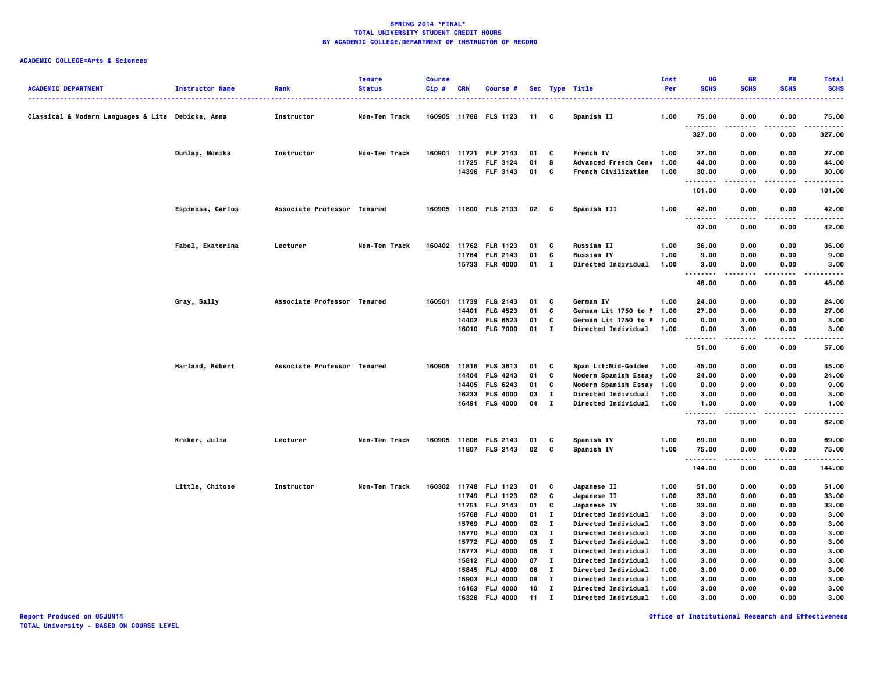| <b>ACADEMIC DEPARTMENT</b>                        | <b>Instructor Name</b> | Rank                        | <b>Tenure</b><br><b>Status</b> | <b>Course</b><br>Cip# | <b>CRN</b> | Course #              |                 |              | Sec Type Title              | Inst<br>Per | UG<br><b>SCHS</b>  | <b>GR</b><br><b>SCHS</b> | PR<br><b>SCHS</b> | <b>Total</b><br><b>SCHS</b> |
|---------------------------------------------------|------------------------|-----------------------------|--------------------------------|-----------------------|------------|-----------------------|-----------------|--------------|-----------------------------|-------------|--------------------|--------------------------|-------------------|-----------------------------|
| Classical & Modern Languages & Lite Debicka, Anna |                        | Instructor                  | Non-Ten Track                  |                       |            | 160905 11788 FLS 1123 | 11 C            |              | Spanish II                  | 1.00        | 75.00<br>.         | 0.00                     | 0.00              | 75.00<br>.                  |
|                                                   |                        |                             |                                |                       |            |                       |                 |              |                             |             | 327.00             | 0.00                     | 0.00              | 327.00                      |
|                                                   | Dunlap, Monika         | Instructor                  | Non-Ten Track                  |                       |            | 160901 11721 FLF 2143 | 01              | - C          | French IV                   | 1.00        | 27.00              | 0.00                     | 0.00              | 27.00                       |
|                                                   |                        |                             |                                |                       |            | 11725 FLF 3124        | 01              | B            | <b>Advanced French Conv</b> | 1.00        | 44.00              | 0.00                     | 0.00              | 44.00                       |
|                                                   |                        |                             |                                |                       |            | 14396 FLF 3143        | 01              | C            | French Civilization         | 1.00        | 30.00<br>.         | 0.00                     | 0.00              | 30.00<br>.                  |
|                                                   |                        |                             |                                |                       |            |                       |                 |              |                             |             | 101.00             | 0.00                     | 0.00              | 101.00                      |
|                                                   | Espinosa, Carlos       | Associate Professor Tenured |                                |                       |            | 160905 11800 FLS 2133 | 02 <sub>c</sub> |              | Spanish III                 | 1.00        | 42.00<br>$- - - -$ | 0.00                     | 0.00<br>$- - - -$ | 42.00<br>.                  |
|                                                   |                        |                             |                                |                       |            |                       |                 |              |                             |             | 42.00              | 0.00                     | 0.00              | 42.00                       |
|                                                   | Fabel, Ekaterina       | Lecturer                    | Non-Ten Track                  | 160402                |            | 11762 FLR 1123        | 01              | C            | <b>Russian II</b>           | 1.00        | 36.00              | 0.00                     | 0.00              | 36.00                       |
|                                                   |                        |                             |                                |                       |            | 11764 FLR 2143        | 01              | C            | <b>Russian IV</b>           | 1.00        | 9.00               | 0.00                     | 0.00              | 9.00                        |
|                                                   |                        |                             |                                |                       |            | 15733 FLR 4000        | 01 I            |              | <b>Directed Individual</b>  | 1.00        | 3.00<br>.          | 0.00                     | 0.00<br>          | 3.00<br>.                   |
|                                                   |                        |                             |                                |                       |            |                       |                 |              |                             |             | 48.00              | 0.00                     | 0.00              | 48.00                       |
|                                                   | Gray, Sally            | Associate Professor Tenured |                                |                       |            | 160501 11739 FLG 2143 | 01              | $\mathbf{c}$ | German IV                   | 1.00        | 24.00              | 0.00                     | 0.00              | 24.00                       |
|                                                   |                        |                             |                                |                       | 14401      | <b>FLG 4523</b>       | 01              | C            | German Lit 1750 to P 1.00   |             | 27.00              | 0.00                     | 0.00              | 27.00                       |
|                                                   |                        |                             |                                |                       |            | 14402 FLG 6523        | 01              | C            | German Lit 1750 to P 1.00   |             | 0.00               | 3.00                     | 0.00              | 3.00                        |
|                                                   |                        |                             |                                |                       |            | 16010 FLG 7000        | $01 \quad I$    |              | <b>Directed Individual</b>  | 1.00        | 0.00               | 3.00                     | 0.00              | 3.00                        |
|                                                   |                        |                             |                                |                       |            |                       |                 |              |                             |             | .                  | .                        | .                 | -----                       |
|                                                   |                        |                             |                                |                       |            |                       |                 |              |                             |             | 51.00              | 6.00                     | 0.00              | 57.00                       |
|                                                   | Harland, Robert        | Associate Professor Tenured |                                |                       |            | 160905 11816 FLS 3613 | 01              | $\mathbf{c}$ | Span Lit:Mid-Golden         | 1.00        | 45.00              | 0.00                     | 0.00              | 45.00                       |
|                                                   |                        |                             |                                |                       |            | 14404 FLS 4243        | 01              | C            | <b>Modern Spanish Essay</b> | 1.00        | 24.00              | 0.00                     | 0.00              | 24.00                       |
|                                                   |                        |                             |                                |                       |            | 14405 FLS 6243        | 01              | C            | Modern Spanish Essay        | 1.00        | 0.00               | 9.00                     | 0.00              | 9.00                        |
|                                                   |                        |                             |                                |                       |            | 16233 FLS 4000        | 03              | $\bf{I}$     | <b>Directed Individual</b>  | 1.00        | 3.00               | 0.00                     | 0.00              | 3.00                        |
|                                                   |                        |                             |                                |                       |            | 16491 FLS 4000        | 04 I            |              | Directed Individual         | 1.00        | 1.00               | 0.00                     | 0.00              | 1.00                        |
|                                                   |                        |                             |                                |                       |            |                       |                 |              |                             |             | .<br>73.00         | 9.00                     | 0.00              | -----<br>82.00              |
|                                                   | Kraker, Julia          | Lecturer                    | Non-Ten Track                  | 160905                |            | 11806 FLS 2143        | 01              | c            | Spanish IV                  | 1.00        | 69.00              | 0.00                     | 0.00              | 69.00                       |
|                                                   |                        |                             |                                |                       |            | 11807 FLS 2143        | 02              | $\mathbf{c}$ | Spanish IV                  | 1.00        | 75.00              | 0.00                     | 0.00              | 75.00                       |
|                                                   |                        |                             |                                |                       |            |                       |                 |              |                             |             | .<br>144.00        | .<br>0.00                | .<br>0.00         | .<br>144.00                 |
|                                                   | Little, Chitose        | Instructor                  | Non-Ten Track                  |                       |            | 160302 11748 FLJ 1123 | 01              | c            | Japanese II                 | 1.00        | 51.00              | 0.00                     | 0.00              | 51.00                       |
|                                                   |                        |                             |                                |                       |            | 11749 FLJ 1123        | 02              | C            | Japanese II                 | 1.00        | 33.00              | 0.00                     | 0.00              | 33.00                       |
|                                                   |                        |                             |                                |                       |            | 11751 FLJ 2143        | 01              | C            | Japanese IV                 | 1.00        | 33.00              | 0.00                     | 0.00              | 33.00                       |
|                                                   |                        |                             |                                |                       |            | 15768 FLJ 4000        | 01              | $\mathbf{I}$ | Directed Individual         | 1.00        | 3.00               | 0.00                     | 0.00              | 3.00                        |
|                                                   |                        |                             |                                |                       |            | 15769 FLJ 4000        | 02              | $\bf{I}$     | Directed Individual         | 1.00        | 3.00               | 0.00                     | 0.00              | 3.00                        |
|                                                   |                        |                             |                                |                       |            | 15770 FLJ 4000        | 03              | $\mathbf{I}$ | Directed Individual         | 1.00        | 3.00               | 0.00                     | 0.00              | 3.00                        |
|                                                   |                        |                             |                                |                       |            | 15772 FLJ 4000        | 05              | $\mathbf{I}$ | Directed Individual         | 1.00        | 3.00               | 0.00                     | 0.00              | 3.00                        |
|                                                   |                        |                             |                                |                       |            | 15773 FLJ 4000        | 06              | л.           | Directed Individual         | 1.00        | 3.00               | 0.00                     | 0.00              | 3.00                        |
|                                                   |                        |                             |                                |                       |            | 15812 FLJ 4000        | 07              | $\mathbf{I}$ | Directed Individual         | 1.00        | 3.00               | 0.00                     | 0.00              | 3.00                        |
|                                                   |                        |                             |                                |                       |            | 15845 FLJ 4000        | 08              | $\mathbf{I}$ | Directed Individual         | 1.00        | 3.00               | 0.00                     | 0.00              | 3.00                        |
|                                                   |                        |                             |                                |                       |            | 15903 FLJ 4000        | 09              | $\mathbf{I}$ | Directed Individual         | 1.00        | 3.00               | 0.00                     | 0.00              | 3.00                        |
|                                                   |                        |                             |                                |                       |            | 16163 FLJ 4000        | 10              | $\mathbf{I}$ | Directed Individual         | 1.00        | 3.00               | 0.00                     | 0.00              | 3.00                        |
|                                                   |                        |                             |                                |                       |            | 16328 FLJ 4000        | 11              | п            | <b>Directed Individual</b>  | 1.00        | 3,00               | 0.00                     | 0.00              | 3.00                        |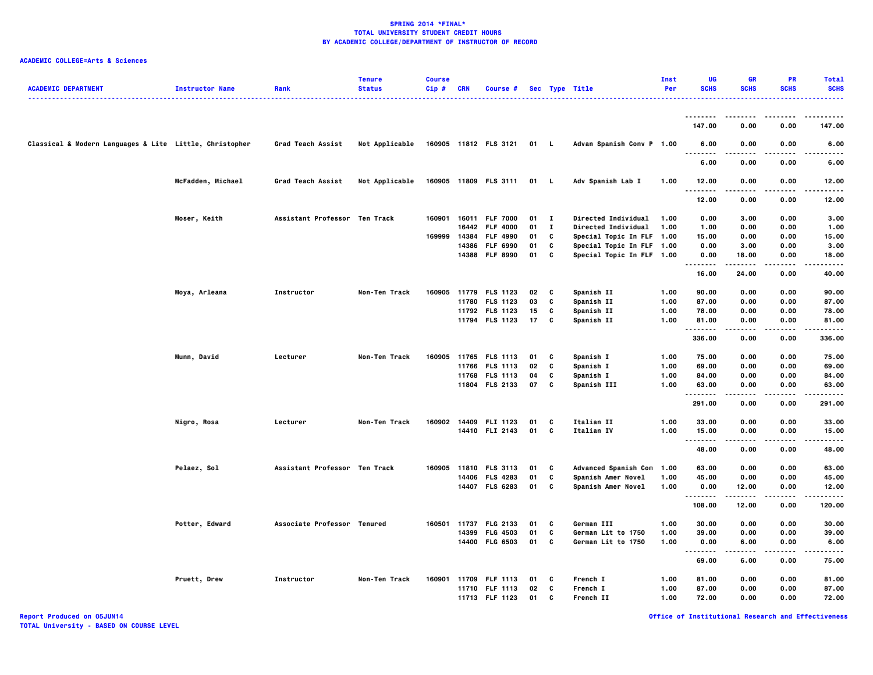## **ACADEMIC COLLEGE=Arts & Sciences**

| <b>ACADEMIC DEPARTMENT</b>                              | <b>Instructor Name</b> | Rank                          | <b>Tenure</b><br><b>Status</b> | <b>Course</b><br>Cip# | <b>CRN</b>     | Course #                           |          |              | Sec Type Title<br><u>.</u> .                           | Inst<br>Per | UG<br><b>SCHS</b>                    | <b>GR</b><br><b>SCHS</b> | <b>PR</b><br><b>SCHS</b> | <b>Total</b><br><b>SCHS</b> |
|---------------------------------------------------------|------------------------|-------------------------------|--------------------------------|-----------------------|----------------|------------------------------------|----------|--------------|--------------------------------------------------------|-------------|--------------------------------------|--------------------------|--------------------------|-----------------------------|
|                                                         |                        |                               |                                |                       |                |                                    |          |              |                                                        |             |                                      |                          |                          |                             |
|                                                         |                        |                               |                                |                       |                |                                    |          |              |                                                        |             | 147.00                               | 0.00                     | 0.00                     | 147.00                      |
| Classical & Modern Languages & Lite Little, Christopher |                        | <b>Grad Teach Assist</b>      | Not Applicable                 |                       |                | 160905 11812 FLS 3121              | 01 L     |              | Advan Spanish Conv P 1.00                              |             | 6.00<br>.                            | 0.00                     | 0.00                     | 6.00                        |
|                                                         |                        |                               |                                |                       |                |                                    |          |              |                                                        |             | 6.00                                 | 0.00                     | 0.00                     | 6.00                        |
|                                                         | McFadden, Michael      | Grad Teach Assist             | Not Applicable                 |                       |                | 160905 11809 FLS 3111              | 01 L     |              | Adv Spanish Lab I                                      | 1.00        | 12.00<br>. .<br>$\sim$ $\sim$ $\sim$ | 0.00                     | 0.00                     | 12.00                       |
|                                                         |                        |                               |                                |                       |                |                                    |          |              |                                                        |             | 12.00                                | 0.00                     | 0.00                     | 12.00                       |
|                                                         | Moser, Keith           | Assistant Professor Ten Track |                                | 160901                |                | 16011 FLF 7000                     | $01$ I   | $\mathbf{I}$ | Directed Individual                                    | 1.00        | 0.00                                 | 3.00                     | 0.00                     | 3.00                        |
|                                                         |                        |                               |                                |                       | 16442          | <b>FLF 4000</b>                    | 01       |              | Directed Individual                                    | 1.00        | 1.00                                 | 0.00                     | 0.00                     | 1.00                        |
|                                                         |                        |                               |                                | 169999                | 14384<br>14386 | <b>FLF 4990</b>                    | 01<br>01 | C<br>C       | Special Topic In FLF 1.00                              |             | 15.00<br>0.00                        | 0.00<br>3.00             | 0.00<br>0.00             | 15.00<br>3.00               |
|                                                         |                        |                               |                                |                       | 14388          | <b>FLF 6990</b><br><b>FLF 8990</b> | 01       | C            | Special Topic In FLF 1.00<br>Special Topic In FLF 1.00 |             | 0.00                                 | 18.00                    | 0.00                     | 18.00                       |
|                                                         |                        |                               |                                |                       |                |                                    |          |              |                                                        |             | .<br>16.00                           | .<br>24.00               | .<br>0.00                | .<br>40.00                  |
|                                                         | Moya, Arleana          | Instructor                    | Non-Ten Track                  |                       |                | 160905 11779 FLS 1123              | 02       | C            | Spanish II                                             | 1.00        | 90.00                                | 0.00                     | 0.00                     | 90.00                       |
|                                                         |                        |                               |                                |                       |                | 11780 FLS 1123                     | 03       | C            | Spanish II                                             | 1.00        | 87.00                                | 0.00                     | 0.00                     | 87.00                       |
|                                                         |                        |                               |                                |                       |                | 11792 FLS 1123                     | 15       | C            | Spanish II                                             | 1.00        | 78.00                                | 0.00                     | 0.00                     | 78.00                       |
|                                                         |                        |                               |                                |                       |                | 11794 FLS 1123                     | 17       | C            | Spanish II                                             | 1.00        | 81.00<br>.                           | 0.00<br>.                | 0.00<br>.                | 81.00<br>.                  |
|                                                         |                        |                               |                                |                       |                |                                    |          |              |                                                        |             | 336.00                               | 0.00                     | 0.00                     | 336.00                      |
|                                                         | Munn, David            | Lecturer                      | Non-Ten Track                  | 160905                |                | 11765 FLS 1113                     | 01       | C            | Spanish I                                              | 1.00        | 75.00                                | 0.00                     | 0.00                     | 75.00                       |
|                                                         |                        |                               |                                |                       |                | 11766 FLS 1113                     | 02       | C            | Spanish I                                              | 1.00        | 69.00                                | 0.00                     | 0.00                     | 69.00                       |
|                                                         |                        |                               |                                |                       |                | 11768 FLS 1113                     | 04       | C            | Spanish I                                              | 1.00        | 84.00                                | 0.00                     | 0.00                     | 84.00                       |
|                                                         |                        |                               |                                |                       |                | 11804 FLS 2133                     | 07       | C            | <b>Spanish III</b>                                     | 1.00        | 63.00<br>.                           | 0.00                     | 0.00                     | 63.00<br>.                  |
|                                                         |                        |                               |                                |                       |                |                                    |          |              |                                                        |             | 291.00                               | 0.00                     | 0.00                     | 291.00                      |
|                                                         | Nigro, Rosa            | Lecturer                      | Non-Ten Track                  |                       |                | 160902 14409 FLI 1123              | 01       | C            | Italian II                                             | 1.00        | 33.00                                | 0.00                     | 0.00                     | 33.00                       |
|                                                         |                        |                               |                                |                       |                | 14410 FLI 2143                     | 01       | C            | Italian IV                                             | 1.00        | 15.00<br>.                           | 0.00<br>-----            | 0.00<br>.                | 15.00<br>.                  |
|                                                         |                        |                               |                                |                       |                |                                    |          |              |                                                        |             | 48.00                                | 0.00                     | 0.00                     | 48.00                       |
|                                                         | Pelaez, Sol            | Assistant Professor Ten Track |                                | 160905                | 11810          | <b>FLS 3113</b>                    | 01       | C            | <b>Advanced Spanish Com</b>                            | 1.00        | 63.00                                | 0.00                     | 0.00                     | 63.00                       |
|                                                         |                        |                               |                                |                       | 14406          | <b>FLS 4283</b>                    | 01       | C            | Spanish Amer Novel                                     | 1.00        | 45.00                                | 0.00                     | 0.00                     | 45.00                       |
|                                                         |                        |                               |                                |                       |                | 14407 FLS 6283                     | 01       | C            | Spanish Amer Novel                                     | 1.00        | 0.00<br>                             | 12.00<br>.               | 0.00<br>.                | 12.00<br>.                  |
|                                                         |                        |                               |                                |                       |                |                                    |          |              |                                                        |             | 108.00                               | 12.00                    | 0.00                     | 120.00                      |
|                                                         | Potter, Edward         | Associate Professor Tenured   |                                |                       |                | 160501 11737 FLG 2133              | 01       | C            | <b>German III</b>                                      | 1.00        | 30.00                                | 0.00                     | 0.00                     | 30.00                       |
|                                                         |                        |                               |                                |                       | 14399          | <b>FLG 4503</b>                    | 01       | C            | German Lit to 1750                                     | 1.00        | 39.00                                | 0.00                     | 0.00                     | 39,00                       |
|                                                         |                        |                               |                                |                       |                | 14400 FLG 6503                     | 01       | C            | German Lit to 1750                                     | 1.00        | 0.00<br>                             | 6.00<br>.                | 0.00<br>$- - - -$        | 6.00<br>.                   |
|                                                         |                        |                               |                                |                       |                |                                    |          |              |                                                        |             | 69.00                                | 6.00                     | 0.00                     | 75.00                       |
|                                                         | Pruett, Drew           | Instructor                    | Non-Ten Track                  |                       |                | 160901 11709 FLF 1113              | 01       | C            | French I                                               | 1.00        | 81.00                                | 0.00                     | 0.00                     | 81.00                       |
|                                                         |                        |                               |                                |                       |                | 11710 FLF 1113                     | 02       | C            | French I                                               | 1.00        | 87.00                                | 0.00                     | 0.00                     | 87.00                       |
|                                                         |                        |                               |                                |                       |                | 11713 FLF 1123                     | 01       | C            | French II                                              | 1.00        | 72.00                                | 0.00                     | 0.00                     | 72.00                       |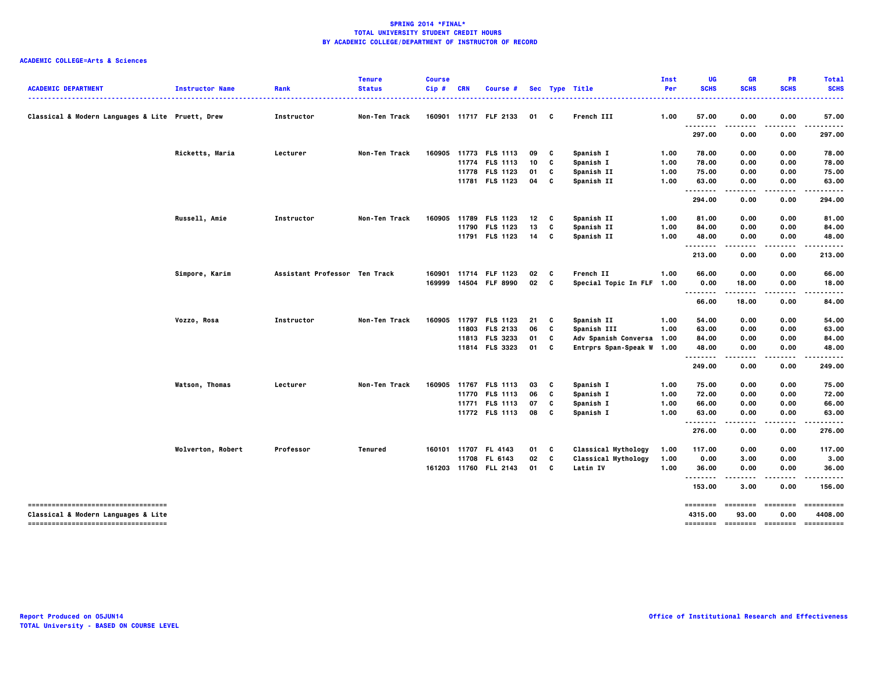|                                                                            |                        |                               | <b>Tenure</b> | <b>Course</b> |            |                       |                 |   |                            | Inst | UG          | <b>GR</b>     | <b>PR</b>                        | <b>Total</b>           |
|----------------------------------------------------------------------------|------------------------|-------------------------------|---------------|---------------|------------|-----------------------|-----------------|---|----------------------------|------|-------------|---------------|----------------------------------|------------------------|
| <b>ACADEMIC DEPARTMENT</b>                                                 | <b>Instructor Name</b> | Rank                          | <b>Status</b> | Cip #         | <b>CRN</b> | Course #              |                 |   | Sec Type Title             | Per  | <b>SCHS</b> | <b>SCHS</b>   | <b>SCHS</b>                      | <b>SCHS</b>            |
| Classical & Modern Languages & Lite Pruett, Drew                           |                        | Instructor                    | Non-Ten Track |               |            | 160901 11717 FLF 2133 | 01              | C | French III                 | 1.00 | 57.00       | 0.00          | 0.00                             | 57.00                  |
|                                                                            |                        |                               |               |               |            |                       |                 |   |                            |      | .<br>297.00 | .<br>0.00     | .<br>0.00                        | . <b>.</b> .<br>297.00 |
|                                                                            | Ricketts, Maria        | Lecturer                      | Non-Ten Track |               |            | 160905 11773 FLS 1113 | 09              | C | Spanish I                  | 1.00 | 78.00       | 0.00          | 0.00                             | 78.00                  |
|                                                                            |                        |                               |               |               |            | 11774 FLS 1113        | 10              | C | Spanish I                  | 1.00 | 78.00       | 0.00          | 0.00                             | 78.00                  |
|                                                                            |                        |                               |               |               |            | 11778 FLS 1123        | 01              | C | Spanish II                 | 1.00 | 75.00       | 0.00          | 0.00                             | 75.00                  |
|                                                                            |                        |                               |               |               |            | 11781 FLS 1123        | 04              | C | Spanish II                 | 1.00 | 63.00       | 0.00          | 0.00                             | 63.00                  |
|                                                                            |                        |                               |               |               |            |                       |                 |   |                            |      | .<br>294.00 | 0.00          | 0.00                             | 294.00                 |
|                                                                            | Russell, Amie          | Instructor                    | Non-Ten Track | 160905        | 11789      | <b>FLS 1123</b>       | 12              | C | Spanish II                 | 1.00 | 81.00       | 0.00          | 0.00                             | 81.00                  |
|                                                                            |                        |                               |               |               | 11790      | <b>FLS 1123</b>       | 13              | C | Spanish II                 | 1.00 | 84.00       | 0.00          | 0.00                             | 84.00                  |
|                                                                            |                        |                               |               |               |            | 11791 FLS 1123        | 14              | C | Spanish II                 | 1.00 | 48.00       | 0.00<br>----- | 0.00<br>.                        | 48.00                  |
|                                                                            |                        |                               |               |               |            |                       |                 |   |                            |      | <br>213.00  | 0.00          | 0.00                             | 213.00                 |
|                                                                            | Simpore, Karim         | Assistant Professor Ten Track |               | 160901        |            | 11714 FLF 1123        | 02              | c | French II                  | 1.00 | 66.00       | 0.00          | 0.00                             | 66.00                  |
|                                                                            |                        |                               |               |               |            | 169999 14504 FLF 8990 | 02 <sub>c</sub> |   | Special Topic In FLF 1.00  |      | 0.00        | 18.00         | 0.00                             | 18.00                  |
|                                                                            |                        |                               |               |               |            |                       |                 |   |                            |      |             | -----         | .                                | .                      |
|                                                                            |                        |                               |               |               |            |                       |                 |   |                            |      | 66.00       | 18.00         | 0.00                             | 84.00                  |
|                                                                            | Vozzo, Rosa            | Instructor                    | Non-Ten Track | 160905        |            | 11797 FLS 1123        | 21              | C | Spanish II                 | 1.00 | 54.00       | 0.00          | 0.00                             | 54.00                  |
|                                                                            |                        |                               |               |               |            | 11803 FLS 2133        | 06              | C | Spanish III                | 1.00 | 63.00       | 0.00          | 0.00                             | 63.00                  |
|                                                                            |                        |                               |               |               |            | 11813 FLS 3233        | 01              | C | Adv Spanish Conversa 1.00  |      | 84.00       | 0.00          | 0.00                             | 84.00                  |
|                                                                            |                        |                               |               |               |            | 11814 FLS 3323        | 01              | c | Entrprs Span-Speak W 1.00  |      | 48.00<br>   | 0.00<br>.     | 0.00<br>.                        | 48.00<br>.             |
|                                                                            |                        |                               |               |               |            |                       |                 |   |                            |      | 249.00      | 0.00          | 0.00                             | 249.00                 |
|                                                                            | <b>Watson, Thomas</b>  | Lecturer                      | Non-Ten Track |               |            | 160905 11767 FLS 1113 | 03              | C | Spanish I                  | 1.00 | 75.00       | 0.00          | 0.00                             | 75.00                  |
|                                                                            |                        |                               |               |               |            | 11770 FLS 1113        | 06              | C | Spanish I                  | 1.00 | 72.00       | 0.00          | 0.00                             | 72.00                  |
|                                                                            |                        |                               |               |               |            | 11771 FLS 1113        | 07              | C | Spanish I                  | 1.00 | 66.00       | 0.00          | 0.00                             | 66.00                  |
|                                                                            |                        |                               |               |               |            | 11772 FLS 1113        | 08              | C | Spanish I                  | 1.00 | 63.00<br>.  | 0.00          | 0.00                             | 63.00                  |
|                                                                            |                        |                               |               |               |            |                       |                 |   |                            |      | 276.00      | 0.00          | 0.00                             | 276.00                 |
|                                                                            | Wolverton, Robert      | Professor                     | Tenured       |               |            | 160101 11707 FL 4143  | 01              | C | <b>Classical Mythology</b> | 1.00 | 117.00      | 0.00          | 0.00                             | 117.00                 |
|                                                                            |                        |                               |               |               |            | 11708 FL 6143         | 02              | C | <b>Classical Mythology</b> | 1.00 | 0.00        | 3.00          | 0.00                             | 3.00                   |
|                                                                            |                        |                               |               |               |            | 161203 11760 FLL 2143 | 01              | c | Latin IV                   | 1.00 | 36.00<br>   | 0.00          | 0.00                             | 36.00                  |
|                                                                            |                        |                               |               |               |            |                       |                 |   |                            |      | 153.00      | 3.00          | 0.00                             | 156.00                 |
| ====================================                                       |                        |                               |               |               |            |                       |                 |   |                            |      | ========    | ========      | ========                         | ==========             |
| Classical & Modern Languages & Lite<br>----------------------------------- |                        |                               |               |               |            |                       |                 |   |                            |      | 4315.00     | 93.00         | 0.00<br>-------- ------- ------- | 4408.00<br>==========  |
|                                                                            |                        |                               |               |               |            |                       |                 |   |                            |      |             |               |                                  |                        |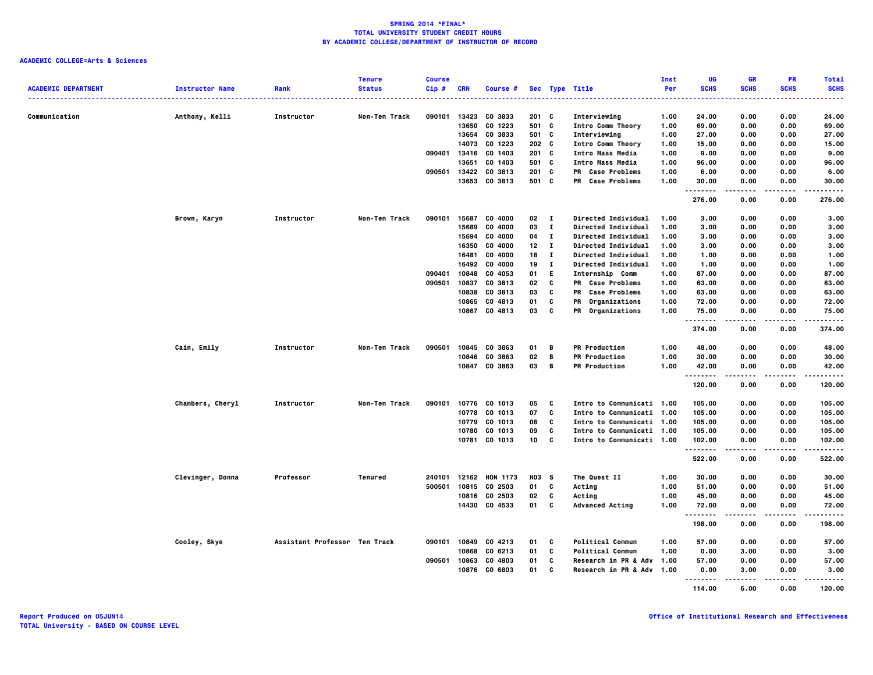|                            |                        |                               | <b>Tenure</b>  | <b>Course</b> |                |                 |                  |              |                           | Inst         | UG            | <b>GR</b>     | <b>PR</b>         | <b>Total</b> |
|----------------------------|------------------------|-------------------------------|----------------|---------------|----------------|-----------------|------------------|--------------|---------------------------|--------------|---------------|---------------|-------------------|--------------|
| <b>ACADEMIC DEPARTMENT</b> | <b>Instructor Name</b> | Rank                          | <b>Status</b>  | $Cip$ #       | <b>CRN</b>     | <b>Course #</b> |                  |              | Sec Type Title            | Per          | <b>SCHS</b>   | <b>SCHS</b>   | <b>SCHS</b>       | <b>SCHS</b>  |
|                            |                        |                               |                |               |                |                 |                  |              | .                         |              |               |               |                   | .            |
|                            |                        |                               |                |               |                |                 |                  |              |                           |              |               |               |                   |              |
| Communication              | Anthony, Kelli         | Instructor                    | Non-Ten Track  | 090101        | 13423          | CO 3833         | $201$ C          |              | Interviewing              | 1.00         | 24.00         | 0.00          | 0.00              | 24.00        |
|                            |                        |                               |                |               | 13650          | CO 1223         | 501 C            |              | Intro Comm Theory         | 1.00         | 69.00         | 0.00          | 0.00              | 69.00        |
|                            |                        |                               |                |               | 13654          | CO 3833         | 501 C            |              | Interviewing              | 1.00         | 27.00         | 0.00          | 0.00              | 27.00        |
|                            |                        |                               |                |               | 14073          | CO 1223         | 202 <sub>c</sub> |              | Intro Comm Theory         | 1.00         | 15.00         | 0.00          | 0.00              | 15.00        |
|                            |                        |                               |                | 090401        | 13416          | CO 1403         | $201$ C          |              | Intro Mass Media          | 1.00         | 9.00          | 0.00          | 0.00              | 9.00         |
|                            |                        |                               |                |               | 13651          | CO 1403         | 501 C            |              | Intro Mass Media          | 1.00         | 96.00         | 0.00          | 0.00              | 96.00        |
|                            |                        |                               |                | 090501        | 13422<br>13653 | CO 3813         | $201$ C<br>501 C |              | PR Case Problems          | 1.00<br>1.00 | 6.00<br>30.00 | 0.00          | 0.00              | 6.00         |
|                            |                        |                               |                |               |                | CO 3813         |                  |              | PR Case Problems          |              |               | 0.00<br>.     | 0.00<br>$- - - -$ | 30.00<br>.   |
|                            |                        |                               |                |               |                |                 |                  |              |                           |              | 276.00        | 0.00          | 0.00              | 276.00       |
|                            |                        |                               |                |               |                |                 |                  |              |                           |              |               |               |                   |              |
|                            | Brown, Karyn           | Instructor                    | Non-Ten Track  | 090101        | 15687          | CO 4000         | 02 I             |              | Directed Individual       | 1.00         | 3.00          | 0.00          | 0.00              | 3.00         |
|                            |                        |                               |                |               | 15689          | CO 4000         | 03               | $\mathbf{I}$ | Directed Individual       | 1.00         | 3.00          | 0.00          | 0.00              | 3.00         |
|                            |                        |                               |                |               | 15694          | CO 4000         | 04               | $\bf{I}$     | Directed Individual       | 1.00         | 3.00          | 0.00          | 0.00              | 3.00         |
|                            |                        |                               |                |               | 16350          | CO 4000         | 12               | $\mathbf{I}$ | Directed Individual       | 1.00         | 3.00          | 0.00          | 0.00              | 3.00         |
|                            |                        |                               |                |               | 16481          | CO 4000         | 18               | $\mathbf{I}$ | Directed Individual       | 1.00         | 1.00          | 0.00          | 0.00              | 1.00         |
|                            |                        |                               |                |               | 16492          | CO 4000         | 19               | $\mathbf{I}$ | Directed Individual       | 1.00         | 1.00          | 0.00          | 0.00              | 1.00         |
|                            |                        |                               |                | 090401        | 10848          | CO 4053         | 01               | E.           | Internship Comm           | 1.00         | 87.00         | 0.00          | 0.00              | 87.00        |
|                            |                        |                               |                | 090501        | 10837          | CO 3813         | 02               | C            | PR Case Problems          | 1.00         | 63.00         | 0.00          | 0.00              | 63.00        |
|                            |                        |                               |                |               | 10838          | CO 3813         | 03               | C            | PR Case Problems          | 1.00         | 63.00         | 0.00          | 0.00              | 63.00        |
|                            |                        |                               |                |               |                | 10865 CO 4813   | 01               | C            | PR Organizations          | 1.00         | 72.00         | 0.00          | 0.00              | 72.00        |
|                            |                        |                               |                |               |                | 10867 CO 4813   | 03               | C            | PR Organizations          | 1.00         | 75.00         | 0.00          | 0.00              | 75.00        |
|                            |                        |                               |                |               |                |                 |                  |              |                           |              | .             |               |                   | -----        |
|                            |                        |                               |                |               |                |                 |                  |              |                           |              | 374.00        | 0.00          | 0.00              | 374.00       |
|                            |                        |                               |                |               |                |                 |                  |              |                           |              |               |               |                   |              |
|                            | Cain, Emily            | Instructor                    | Non-Ten Track  | 090501        |                | 10845 CO 3863   | 01               | B            | <b>PR Production</b>      | 1.00         | 48.00         | 0.00          | 0.00              | 48.00        |
|                            |                        |                               |                |               |                | 10846 CO 3863   | 02               | B            | <b>PR Production</b>      | 1.00         | 30.00         | 0.00          | 0.00              | 30.00        |
|                            |                        |                               |                |               |                | 10847 CO 3863   | 03               | B            | <b>PR Production</b>      | 1.00         | 42.00         | 0.00          | 0.00              | 42.00        |
|                            |                        |                               |                |               |                |                 |                  |              |                           |              | .             |               | .                 | .            |
|                            |                        |                               |                |               |                |                 |                  |              |                           |              | 120.00        | 0.00          | 0.00              | 120.00       |
|                            |                        |                               |                |               |                |                 |                  |              |                           |              |               |               |                   |              |
|                            | Chambers, Cheryl       | Instructor                    | Non-Ten Track  | 090101        |                | 10776 CO 1013   | 05               | C            | Intro to Communicati 1.00 |              | 105.00        | 0.00          | 0.00              | 105.00       |
|                            |                        |                               |                |               |                | 10778 CO 1013   | 07               | C            | Intro to Communicati 1.00 |              | 105.00        | 0.00          | 0.00              | 105.00       |
|                            |                        |                               |                |               |                | 10779 CO 1013   | 08               | c            | Intro to Communicati 1.00 |              | 105.00        | 0.00          | 0.00              | 105.00       |
|                            |                        |                               |                |               | 10780          | CO 1013         | 09               | C<br>C       | Intro to Communicati 1.00 |              | 105.00        | 0.00          | 0.00              | 105.00       |
|                            |                        |                               |                |               |                | 10781 CO 1013   | 10               |              | Intro to Communicati 1.00 |              | 102.00<br>.   | 0.00<br>----- | 0.00<br>.         | 102.00<br>.  |
|                            |                        |                               |                |               |                |                 |                  |              |                           |              | 522.00        | 0.00          | 0.00              | 522.00       |
|                            |                        |                               |                |               |                |                 |                  |              |                           |              |               |               |                   |              |
|                            | Clevinger, Donna       | Professor                     | <b>Tenured</b> | 240101        |                | 12162 HON 1173  | H03 S            |              | The Quest II              | 1.00         | 30.00         | 0.00          | 0.00              | 30.00        |
|                            |                        |                               |                | 500501        |                | 10815 CO 2503   | 01               | C            | Acting                    | 1.00         | 51.00         | 0.00          | 0.00              | 51.00        |
|                            |                        |                               |                |               |                | 10816 CO 2503   | 02               | C            | Acting                    | 1.00         | 45.00         | 0.00          | 0.00              | 45.00        |
|                            |                        |                               |                |               |                | 14430 CO 4533   | 01               | C            | <b>Advanced Acting</b>    | 1.00         | 72.00         | 0.00          | 0.00              | 72.00        |
|                            |                        |                               |                |               |                |                 |                  |              |                           |              | .             | .             | .                 | .            |
|                            |                        |                               |                |               |                |                 |                  |              |                           |              | 198.00        | 0.00          | 0.00              | 198.00       |
|                            |                        |                               |                |               |                |                 |                  |              |                           |              |               |               |                   |              |
|                            | Cooley, Skye           | Assistant Professor Ten Track |                | 090101        | 10849          | CO 4213         | 01               | C            | <b>Political Commun</b>   | 1.00         | 57.00         | 0.00          | 0.00              | 57.00        |
|                            |                        |                               |                |               | 10868          | CO 6213         | 01               | C            | <b>Political Commun</b>   | 1.00         | 0.00          | 3.00          | 0.00              | 3.00         |
|                            |                        |                               |                | 090501        | 10863          | CO 4803         | 01               | C            | Research in PR & Adv      | 1.00         | 57.00         | 0.00          | 0.00              | 57.00        |
|                            |                        |                               |                |               |                | 10876 CO 6803   | 01               | C            | Research in PR & Adv      | 1.00         | 0.00          | 3.00          | 0.00              | 3.00         |
|                            |                        |                               |                |               |                |                 |                  |              |                           |              | .             |               |                   |              |
|                            |                        |                               |                |               |                |                 |                  |              |                           |              | 114.00        | 6.00          | 0.00              | 120.00       |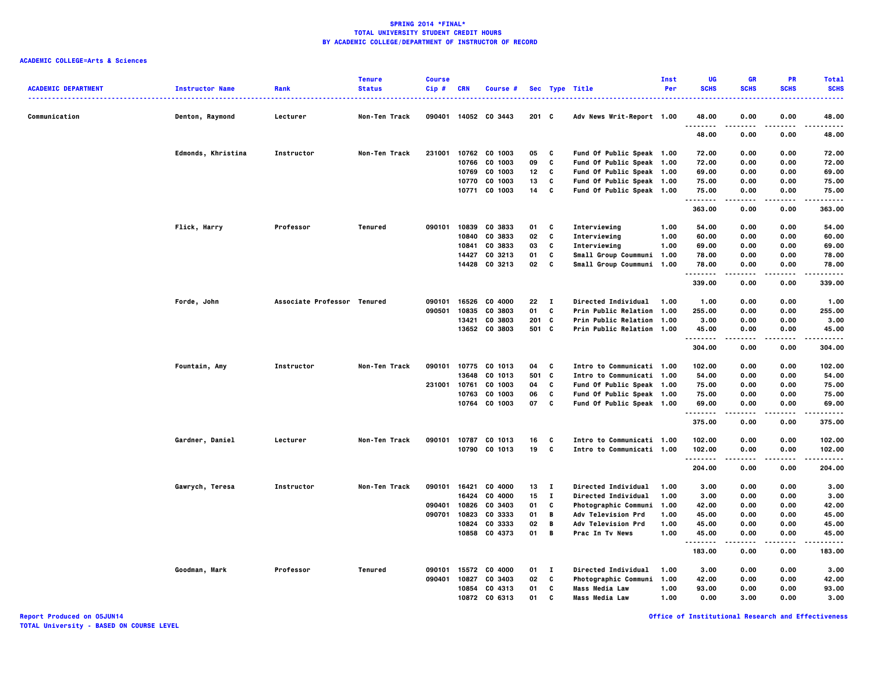## **ACADEMIC COLLEGE=Arts & Sciences**

| <b>ACADEMIC DEPARTMENT</b> | <b>Instructor Name</b> | Rank                        | <b>Tenure</b><br><b>Status</b> | <b>Course</b><br>Cip# | <b>CRN</b> | Course #             |                 |              | Sec Type Title            | Inst<br>Per | UG<br><b>SCHS</b>    | <b>GR</b><br><b>SCHS</b> | PR<br><b>SCHS</b> | <b>Total</b><br><b>SCHS</b> |
|----------------------------|------------------------|-----------------------------|--------------------------------|-----------------------|------------|----------------------|-----------------|--------------|---------------------------|-------------|----------------------|--------------------------|-------------------|-----------------------------|
| Communication              | Denton, Raymond        | Lecturer                    | Non-Ten Track                  | 090401                |            | 14052 CO 3443        | $201$ C         |              | Adv News Writ-Report 1.00 |             | 48.00                | 0.00                     | 0.00              | .<br>48.00                  |
|                            |                        |                             |                                |                       |            |                      |                 |              |                           |             | <br>48.00            | .<br>0.00                | ----<br>0.00      | .<br>48.00                  |
|                            | Edmonds, Khristina     | Instructor                  | Non-Ten Track                  | 231001                |            | 10762 CO 1003        | 05              | C            | Fund Of Public Speak 1.00 |             | 72.00                | 0.00                     | 0.00              | 72.00                       |
|                            |                        |                             |                                |                       | 10766      | CO 1003              | 09              | C            | Fund Of Public Speak 1.00 |             | 72.00                | 0.00                     | 0.00              | 72.00                       |
|                            |                        |                             |                                |                       | 10769      | CO 1003              | 12 <sub>2</sub> | C            | Fund Of Public Speak 1.00 |             | 69.00                | 0.00                     | 0.00              | 69.00                       |
|                            |                        |                             |                                |                       | 10770      | CO 1003              | 13              | C            | Fund Of Public Speak 1.00 |             | 75.00                | 0.00                     | 0.00              | 75.00                       |
|                            |                        |                             |                                |                       | 10771      | CO 1003              | 14              | C            | Fund Of Public Speak 1.00 |             | 75.00<br>.           | 0.00<br>.                | 0.00<br>$- - - -$ | 75.00<br>.                  |
|                            |                        |                             |                                |                       |            |                      |                 |              |                           |             | 363.00               | 0.00                     | 0.00              | 363.00                      |
|                            | Flick, Harry           | Professor                   | Tenured                        | 090101                | 10839      | CO 3833              | 01              | C            | Interviewing              | 1.00        | 54.00                | 0.00                     | 0.00              | 54.00                       |
|                            |                        |                             |                                |                       | 10840      | CO 3833              | 02              | C            | Interviewing              | 1.00        | 60.00                | 0.00                     | 0.00              | 60.00                       |
|                            |                        |                             |                                |                       | 10841      | CO 3833              | 03              | C            | Interviewing              | 1.00        | 69.00                | 0.00                     | 0.00              | 69.00                       |
|                            |                        |                             |                                |                       | 14427      | CO 3213              | 01              | C            | Small Group Coummuni      | 1.00        | 78.00                | 0.00                     | 0.00              | 78.00                       |
|                            |                        |                             |                                |                       |            | 14428 CO 3213        | 02              | C            | Small Group Coummuni 1.00 |             | 78.00<br>            | 0.00<br>.                | 0.00              | 78.00<br>.                  |
|                            |                        |                             |                                |                       |            |                      |                 |              |                           |             | 339.00               | 0.00                     | 0.00              | 339.00                      |
|                            | Forde, John            | Associate Professor Tenured |                                | 090101                | 16526      | CO 4000              | 22              | л.           | Directed Individual       | 1.00        | 1.00                 | 0.00                     | 0.00              | 1.00                        |
|                            |                        |                             |                                | 090501                | 10835      | CO 3803              | 01              | C            | Prin Public Relation 1.00 |             | 255.00               | 0.00                     | 0.00              | 255.00                      |
|                            |                        |                             |                                |                       | 13421      | CO 3803              | $201$ C         |              | Prin Public Relation 1.00 |             | 3.00                 | 0.00                     | 0.00              | 3.00                        |
|                            |                        |                             |                                |                       |            | 13652 CO 3803        | 501 C           |              | Prin Public Relation 1.00 |             | 45.00                | 0.00                     | 0.00              | 45.00                       |
|                            |                        |                             |                                |                       |            |                      |                 |              |                           |             | .<br>304.00          | 0.00                     | 0.00              | $- - - -$<br>304.00         |
|                            | Fountain, Amy          | Instructor                  | Non-Ten Track                  |                       |            | 090101 10775 CO 1013 | 04 C            |              | Intro to Communicati 1.00 |             | 102.00               | 0.00                     | 0.00              | 102.00                      |
|                            |                        |                             |                                |                       | 13648      | CO 1013              | 501             | c            | Intro to Communicati 1.00 |             | 54.00                | 0.00                     | 0.00              | 54.00                       |
|                            |                        |                             |                                | 231001                | 10761      | CO 1003              | 04              | C            | Fund Of Public Speak 1.00 |             | 75.00                | 0.00                     | 0.00              | 75.00                       |
|                            |                        |                             |                                |                       | 10763      | CO 1003              | 06              | C            | Fund Of Public Speak 1.00 |             | 75.00                | 0.00                     | 0.00              | 75.00                       |
|                            |                        |                             |                                |                       | 10764      | CO 1003              | 07              | C            | Fund Of Public Speak 1.00 |             | 69.00                | 0.00                     | 0.00              | 69.00                       |
|                            |                        |                             |                                |                       |            |                      |                 |              |                           |             | .<br>375.00          | 0.00                     | $- - - -$<br>0.00 | .<br>375.00                 |
|                            | Gardner, Daniel        | Lecturer                    | Non-Ten Track                  | 090101                |            | 10787 CO 1013        | 16              | C            | Intro to Communicati 1.00 |             | 102.00               | 0.00                     | 0.00              | 102.00                      |
|                            |                        |                             |                                |                       |            | 10790 CO 1013        | 19              | c            | Intro to Communicati 1.00 |             | 102.00               | 0.00                     | 0.00              | 102.00                      |
|                            |                        |                             |                                |                       |            |                      |                 |              |                           |             | . <b>.</b><br>204.00 | 0.00                     | 0.00              | .<br>204.00                 |
|                            | Gawrych, Teresa        | Instructor                  | Non-Ten Track                  | 090101                | 16421      | CO 4000              | 13 I            |              | Directed Individual       | 1.00        | 3.00                 | 0.00                     | 0.00              | 3.00                        |
|                            |                        |                             |                                |                       | 16424      | CO 4000              | 15              | $\mathbf{I}$ | Directed Individual       | 1.00        | 3.00                 | 0.00                     | 0.00              | 3.00                        |
|                            |                        |                             |                                | 090401                | 10826      | CO 3403              | 01              | C            | Photographic Communi      | 1.00        | 42.00                | 0.00                     | 0.00              | 42.00                       |
|                            |                        |                             |                                | 090701                | 10823      | CO 3333              | 01              | B            | <b>Adv Television Prd</b> | 1.00        | 45.00                | 0.00                     | 0.00              | 45.00                       |
|                            |                        |                             |                                |                       | 10824      | CO 3333              | 02              | В            | Adv Television Prd        | 1.00        | 45.00                | 0.00                     | 0.00              | 45.00                       |
|                            |                        |                             |                                |                       |            | 10858 CO 4373        | 01              | B            | Prac In Tv News           | 1.00        | 45.00                | 0.00                     | 0.00              | 45.00                       |
|                            |                        |                             |                                |                       |            |                      |                 |              |                           |             | <br>183.00           | .<br>0.00                | $- - - -$<br>0.00 | .<br>183.00                 |
|                            | Goodman, Mark          | Professor                   | Tenured                        | 090101                | 15572      | CO 4000              | 01              | п            | Directed Individual       | 1.00        | 3.00                 | 0.00                     | 0.00              | 3.00                        |
|                            |                        |                             |                                | 090401                | 10827      | CO 3403              | 02              | C            | Photographic Communi      | 1.00        | 42.00                | 0.00                     | 0.00              | 42.00                       |
|                            |                        |                             |                                |                       | 10854      | CO 4313              | 01              | C            | <b>Mass Media Law</b>     | 1.00        | 93.00                | 0.00                     | 0.00              | 93.00                       |
|                            |                        |                             |                                |                       | 10872      | CO 6313              | 01              | C            | <b>Mass Media Law</b>     | 1.00        | 0.00                 | 3.00                     | 0.00              | 3.00                        |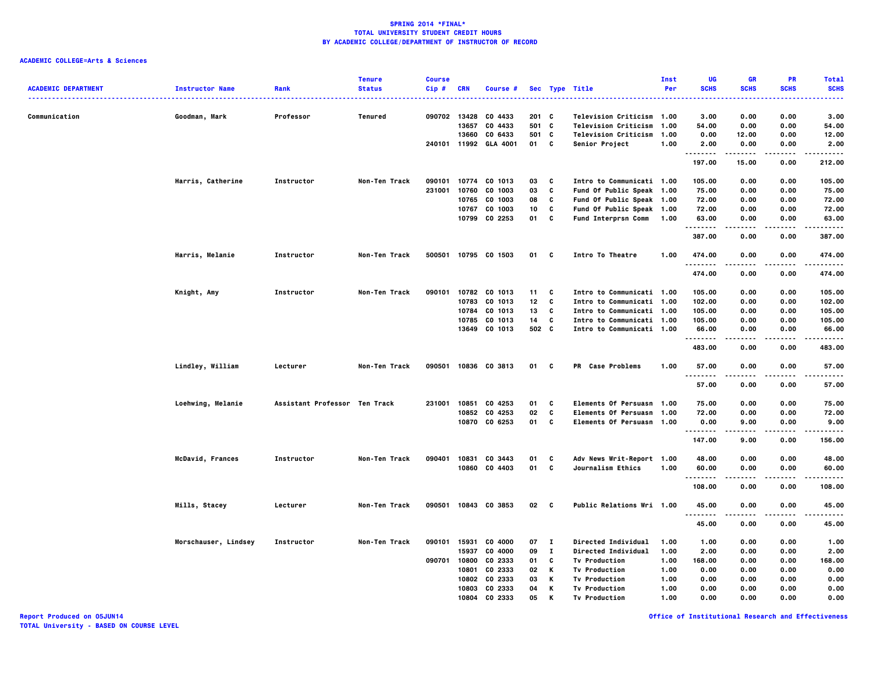### **ACADEMIC COLLEGE=Arts & Sciences**

|                            |                        |                               | <b>Tenure</b> | <b>Course</b> |            |                       |         |              |                                | Inst | UG                   | <b>GR</b>     | PR          | <b>Total</b>    |
|----------------------------|------------------------|-------------------------------|---------------|---------------|------------|-----------------------|---------|--------------|--------------------------------|------|----------------------|---------------|-------------|-----------------|
| <b>ACADEMIC DEPARTMENT</b> | <b>Instructor Name</b> | Rank                          | <b>Status</b> | $Cip$ #       | <b>CRN</b> | <b>Course #</b>       |         |              | Sec Type Title<br>. <b>.</b> . | Per  | <b>SCHS</b>          | <b>SCHS</b>   | <b>SCHS</b> | <b>SCHS</b><br> |
|                            |                        |                               |               |               |            |                       |         |              |                                |      |                      |               |             |                 |
| Communication              | Goodman, Mark          | Professor                     | Tenured       |               |            | 090702 13428 CO 4433  | $201$ C |              | Television Criticism 1.00      |      | 3.00                 | 0.00          | 0.00        | 3.00            |
|                            |                        |                               |               |               | 13657      | CO 4433               | 501 C   |              | <b>Television Criticism</b>    | 1.00 | 54.00                | 0.00          | 0.00        | 54.00           |
|                            |                        |                               |               |               | 13660      | CO 6433               | 501 C   |              | <b>Television Criticism</b>    | 1.00 | 0.00                 | 12.00         | 0.00        | 12.00           |
|                            |                        |                               |               |               |            | 240101 11992 GLA 4001 | 01 C    |              | Senior Project                 | 1.00 | 2.00<br>.            | 0.00          | 0.00        | 2.00<br>.       |
|                            |                        |                               |               |               |            |                       |         |              |                                |      | 197.00               | 15.00         | 0.00        | 212.00          |
|                            | Harris, Catherine      | Instructor                    | Non-Ten Track | 090101        |            | 10774 CO 1013         | 03      | c            | Intro to Communicati 1.00      |      | 105.00               | 0.00          | 0.00        | 105.00          |
|                            |                        |                               |               | 231001        | 10760      | CO 1003               | 03      | C            | Fund Of Public Speak 1.00      |      | 75.00                | 0.00          | 0.00        | 75.00           |
|                            |                        |                               |               |               | 10765      | CO 1003               | 08      | C            | Fund Of Public Speak 1.00      |      | 72.00                | 0.00          | 0.00        | 72.00           |
|                            |                        |                               |               |               | 10767      | CO 1003               | 10      | C            | Fund Of Public Speak 1.00      |      | 72.00                | 0.00          | 0.00        | 72.00           |
|                            |                        |                               |               |               |            | 10799 CO 2253         | 01      | C            | <b>Fund Interprsn Comm</b>     | 1.00 | 63.00                | 0.00          | 0.00        | 63.00           |
|                            |                        |                               |               |               |            |                       |         |              |                                |      | .<br>387.00          | -----<br>0.00 | .<br>0.00   | .<br>387.00     |
|                            | Harris, Melanie        | Instructor                    | Non-Ten Track | 500501        |            | 10795 CO 1503         | 01      | C            | Intro To Theatre               | 1.00 | 474.00               | 0.00          | 0.00        | 474.00          |
|                            |                        |                               |               |               |            |                       |         |              |                                |      | . <b>.</b><br>474.00 | 0.00          | 0.00        | .<br>474.00     |
|                            |                        |                               |               |               |            |                       |         |              |                                |      |                      |               |             |                 |
|                            | Knight, Amy            | Instructor                    | Non-Ten Track | 090101        |            | 10782 CO 1013         | 11      | C            | Intro to Communicati 1.00      |      | 105.00               | 0.00          | 0.00        | 105.00          |
|                            |                        |                               |               |               |            | 10783 CO 1013         | 12      | C            | Intro to Communicati 1.00      |      | 102.00               | 0.00          | 0.00        | 102.00          |
|                            |                        |                               |               |               | 10784      | CO 1013               | 13      | C            | Intro to Communicati 1.00      |      | 105.00               | 0.00          | 0.00        | 105.00          |
|                            |                        |                               |               |               |            | 10785 CO 1013         | 14      | c            | Intro to Communicati 1.00      |      | 105.00               | 0.00          | 0.00        | 105.00          |
|                            |                        |                               |               |               |            | 13649 CO 1013         | 502 C   |              | Intro to Communicati 1.00      |      | 66.00                | 0.00          | 0.00        | 66.00           |
|                            |                        |                               |               |               |            |                       |         |              |                                |      | <br>483.00           | 0.00          | 0.00        | .<br>483.00     |
|                            | Lindley, William       | Lecturer                      | Non-Ten Track |               |            | 090501 10836 CO 3813  | 01      | c            | PR Case Problems               | 1.00 | 57.00                | 0.00          | 0.00        | 57.00           |
|                            |                        |                               |               |               |            |                       |         |              |                                |      | .                    |               |             | .               |
|                            |                        |                               |               |               |            |                       |         |              |                                |      | 57.00                | 0.00          | 0.00        | 57.00           |
|                            | Loehwing, Melanie      | Assistant Professor Ten Track |               | 231001        | 10851      | CO 4253               | 01      | C            | Elements Of Persuasn 1.00      |      | 75.00                | 0.00          | 0.00        | 75.00           |
|                            |                        |                               |               |               | 10852      | CO 4253               | 02      | C            | Elements Of Persuasn 1.00      |      | 72.00                | 0.00          | 0.00        | 72.00           |
|                            |                        |                               |               |               |            | 10870 CO 6253         | 01      | c            | Elements Of Persuasn 1.00      |      | 0.00                 | 9.00          | 0.00        | 9.00            |
|                            |                        |                               |               |               |            |                       |         |              |                                |      | .<br>147.00          | .<br>9.00     | .<br>0.00   | .<br>156.00     |
|                            | McDavid, Frances       | Instructor                    | Non-Ten Track | 090401        | 10831      | CO 3443               | 01      | C            | Adv News Writ-Report 1.00      |      | 48.00                | 0.00          | 0.00        | 48.00           |
|                            |                        |                               |               |               |            | 10860 CO 4403         | 01      | C            | Journalism Ethics              | 1.00 | 60.00                |               | 0.00        | 60.00           |
|                            |                        |                               |               |               |            |                       |         |              |                                |      | .                    | 0.00          |             | .               |
|                            |                        |                               |               |               |            |                       |         |              |                                |      | 108.00               | 0.00          | 0.00        | 108.00          |
|                            | Mills, Stacey          | Lecturer                      | Non-Ten Track | 090501        |            | 10843 CO 3853         | 02 C    |              | Public Relations Wri 1.00      |      | 45.00                | 0.00          | 0.00        | 45.00           |
|                            |                        |                               |               |               |            |                       |         |              |                                |      | $\cdots$<br>45.00    | 0.00          | 0.00        | -----<br>45.00  |
|                            | Morschauser, Lindsey   | Instructor                    | Non-Ten Track | 090101 15931  |            | CO 4000               | 07      | $\mathbf{I}$ | Directed Individual            | 1.00 | 1.00                 | 0.00          | 0.00        | 1.00            |
|                            |                        |                               |               |               | 15937      | CO 4000               | 09      | $\mathbf{T}$ | Directed Individual            | 1.00 | 2.00                 | 0.00          | 0.00        | 2.00            |
|                            |                        |                               |               | 090701        | 10800      | CO 2333               | 01      | C            | <b>Tv Production</b>           | 1.00 | 168.00               | 0.00          | 0.00        | 168.00          |
|                            |                        |                               |               |               | 10801      | CO 2333               | 02      | K            | <b>Tv Production</b>           | 1.00 | 0.00                 | 0.00          | 0.00        | 0.00            |
|                            |                        |                               |               |               | 10802      |                       | 03      |              |                                |      |                      |               |             |                 |
|                            |                        |                               |               |               |            | CO 2333               |         | к            | <b>Tv Production</b>           | 1.00 | 0.00                 | 0.00          | 0.00        | 0.00            |
|                            |                        |                               |               |               | 10803      | CO 2333               | 04      | К            | <b>Tv Production</b>           | 1.00 | 0.00                 | 0.00          | 0.00        | 0.00            |
|                            |                        |                               |               |               | 10804      | CO 2333               | 05      | K            | <b>Tv Production</b>           | 1.00 | 0.00                 | 0.00          | 0.00        | 0.00            |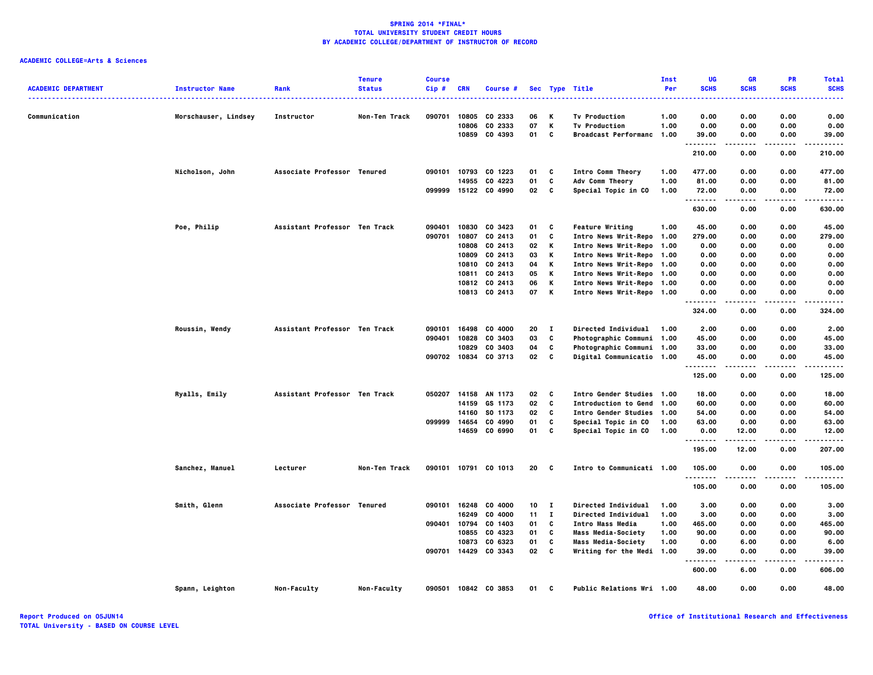| <b>ACADEMIC DEPARTMENT</b> | <b>Instructor Name</b> | Rank                          | <b>Tenure</b><br><b>Status</b> | <b>Course</b><br>Cip# | <b>CRN</b> | Course #             |    |              | Sec Type Title              | Inst<br>Per | UG<br><b>SCHS</b>    | GR<br><b>SCHS</b> | PR<br><b>SCHS</b>  | <b>Total</b><br><b>SCHS</b> |
|----------------------------|------------------------|-------------------------------|--------------------------------|-----------------------|------------|----------------------|----|--------------|-----------------------------|-------------|----------------------|-------------------|--------------------|-----------------------------|
|                            |                        |                               |                                |                       |            |                      |    |              |                             |             |                      |                   |                    | .                           |
| Communication              |                        |                               | Non-Ten Track                  | 090701                | 10805      | CO 2333              | 06 | к            | <b>Tv Production</b>        | 1.00        | 0.00                 | 0.00              | 0.00               | 0.00                        |
|                            | Morschauser, Lindsey   | Instructor                    |                                |                       | 10806      | CO 2333              | 07 | К            | <b>Tv Production</b>        | 1.00        | 0.00                 | 0.00              | 0.00               | 0.00                        |
|                            |                        |                               |                                |                       | 10859      | CO 4393              | 01 | C            | <b>Broadcast Performanc</b> | 1.00        | 39.00                | 0.00              | 0.00               | 39.00                       |
|                            |                        |                               |                                |                       |            |                      |    |              |                             |             | .                    |                   | $\cdots$           | .                           |
|                            |                        |                               |                                |                       |            |                      |    |              |                             |             | 210.00               | 0.00              | 0.00               | 210.00                      |
|                            | Nicholson, John        | Associate Professor Tenured   |                                |                       |            | 090101 10793 CO 1223 | 01 | c            | Intro Comm Theory           | 1.00        | 477.00               | 0.00              | 0.00               | 477.00                      |
|                            |                        |                               |                                |                       | 14955      | CO 4223              | 01 | C            | Adv Comm Theory             | 1.00        | 81.00                | 0.00              | 0.00               | 81.00                       |
|                            |                        |                               |                                |                       |            | 099999 15122 CO 4990 | 02 | C            | Special Topic in CO         | 1.00        | 72.00                | 0.00              | 0.00               | 72.00                       |
|                            |                        |                               |                                |                       |            |                      |    |              |                             |             | 630.00               | 0.00              | 0.00               | 630.00                      |
|                            | Poe, Philip            | Assistant Professor Ten Track |                                | 090401                | 10830      | CO 3423              | 01 | c            | <b>Feature Writing</b>      | 1.00        | 45.00                | 0.00              | 0.00               | 45.00                       |
|                            |                        |                               |                                | 090701                | 10807      | CO 2413              | 01 | C            | Intro News Writ-Repo 1.00   |             | 279.00               | 0.00              | 0.00               | 279.00                      |
|                            |                        |                               |                                |                       | 10808      | CO 2413              | 02 | К            | Intro News Writ-Repo 1.00   |             | 0.00                 | 0.00              | 0.00               | 0.00                        |
|                            |                        |                               |                                |                       | 10809      | CO 2413              | 03 | К            | Intro News Writ-Repo 1.00   |             | 0.00                 | 0.00              | 0.00               | 0.00                        |
|                            |                        |                               |                                |                       | 10810      | CO 2413              | 04 | К            | Intro News Writ-Repo 1.00   |             | 0.00                 | 0.00              | 0.00               | 0.00                        |
|                            |                        |                               |                                |                       | 10811      | CO 2413              | 05 | К            | Intro News Writ-Repo 1.00   |             | 0.00                 | 0.00              | 0.00               | 0.00                        |
|                            |                        |                               |                                |                       | 10812      | CO 2413              | 06 | К            | Intro News Writ-Repo 1.00   |             | 0.00                 | 0.00              | 0.00               | 0.00                        |
|                            |                        |                               |                                |                       |            | 10813 CO 2413        | 07 | K            | Intro News Writ-Repo 1.00   |             | 0.00<br>--------     | 0.00<br>.         | 0.00<br>. <b>.</b> | 0.00<br>.                   |
|                            |                        |                               |                                |                       |            |                      |    |              |                             |             | 324.00               | 0.00              | 0.00               | 324.00                      |
|                            | Roussin, Wendy         | Assistant Professor Ten Track |                                | 090101                | 16498      | CO 4000              | 20 | $\mathbf{I}$ | Directed Individual         | 1.00        | 2.00                 | 0.00              | 0.00               | 2.00                        |
|                            |                        |                               |                                | 090401                | 10828      | CO 3403              | 03 | C            | Photographic Communi 1.00   |             | 45.00                | 0.00              | 0.00               | 45.00                       |
|                            |                        |                               |                                |                       | 10829      | CO 3403              | 04 | C            | Photographic Communi 1.00   |             | 33.00                | 0.00              | 0.00               | 33.00                       |
|                            |                        |                               |                                |                       |            | 090702 10834 CO 3713 | 02 | C            | Digital Communicatio 1.00   |             | 45.00                | 0.00              | 0.00               | 45.00                       |
|                            |                        |                               |                                |                       |            |                      |    |              |                             |             | . <b>.</b><br>125.00 | .<br>0.00         | $- - - -$<br>0.00  | .<br>125.00                 |
|                            |                        |                               |                                |                       |            |                      |    |              |                             |             |                      |                   |                    |                             |
|                            | Ryalls, Emily          | Assistant Professor Ten Track |                                | 050207                | 14158      | AN 1173              | 02 | C            | Intro Gender Studies 1.00   |             | 18.00                | 0.00              | 0.00               | 18.00                       |
|                            |                        |                               |                                |                       | 14159      | GS 1173              | 02 | C            | Introduction to Gend        | 1.00        | 60.00                | 0.00              | 0.00               | 60.00                       |
|                            |                        |                               |                                |                       | 14160      | SO 1173              | 02 | C            | Intro Gender Studies 1.00   |             | 54.00                | 0.00              | 0.00               | 54.00                       |
|                            |                        |                               |                                | 099999                | 14654      | CO 4990              | 01 | C            | Special Topic in CO         | 1.00        | 63.00                | 0.00              | 0.00               | 63.00                       |
|                            |                        |                               |                                |                       | 14659      | CO 6990              | 01 | C            | Special Topic in CO         | 1.00        | 0.00<br>.            | 12.00<br>.        | 0.00<br>$\cdots$   | 12.00<br>.                  |
|                            |                        |                               |                                |                       |            |                      |    |              |                             |             | 195.00               | 12.00             | 0.00               | 207.00                      |
|                            | Sanchez, Manuel        | Lecturer                      | Non-Ten Track                  |                       |            | 090101 10791 CO 1013 | 20 | - C          | Intro to Communicati 1.00   |             | 105.00               | 0.00              | 0.00               | 105.00                      |
|                            |                        |                               |                                |                       |            |                      |    |              |                             |             | .<br>105.00          | .<br>0.00         | $- - - -$<br>0.00  | .<br>105.00                 |
|                            | Smith, Glenn           | Associate Professor Tenured   |                                | 090101                | 16248      | CO 4000              | 10 | $\mathbf{I}$ | Directed Individual         | 1.00        | 3.00                 | 0.00              | 0.00               | 3.00                        |
|                            |                        |                               |                                |                       | 16249      | CO 4000              | 11 | $\mathbf{I}$ | Directed Individual         | 1.00        | 3.00                 | 0.00              | 0.00               | 3.00                        |
|                            |                        |                               |                                | 090401                | 10794      | CO 1403              | 01 | C            | Intro Mass Media            | 1.00        | 465.00               | 0.00              | 0.00               | 465.00                      |
|                            |                        |                               |                                |                       | 10855      | CO 4323              | 01 | C            | Mass Media-Society          | 1.00        | 90.00                | 0.00              | 0.00               | 90.00                       |
|                            |                        |                               |                                |                       | 10873      | CO 6323              | 01 | C            | <b>Mass Media-Society</b>   | 1.00        | 0.00                 | 6.00              | 0.00               | 6.00                        |
|                            |                        |                               |                                | 090701                | 14429      | CO 3343              | 02 | C            | Writing for the Medi 1.00   |             | 39.00                | 0.00              | 0.00               | 39.00                       |
|                            |                        |                               |                                |                       |            |                      |    |              |                             |             | .                    | .                 | .                  | .                           |
|                            |                        |                               |                                |                       |            |                      |    |              |                             |             | 600.00               | 6.00              | 0.00               | 606.00                      |
|                            | Spann, Leighton        | Non-Faculty                   | Non-Faculty                    |                       |            | 090501 10842 CO 3853 | 01 | C            | Public Relations Wri 1.00   |             | 48.00                | 0.00              | 0.00               | 48.00                       |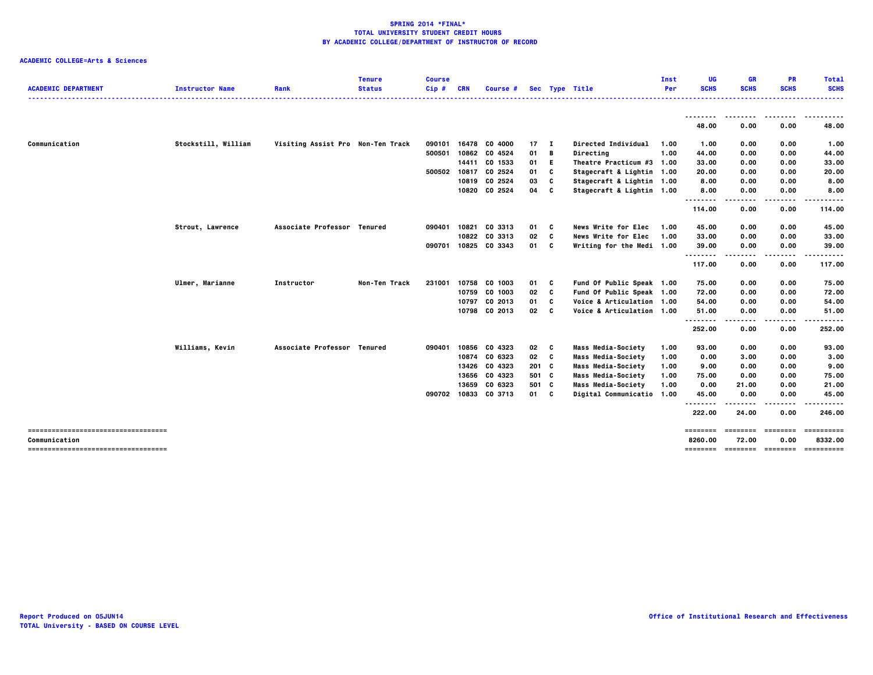| <b>ACADEMIC DEPARTMENT</b>            | <b>Instructor Name</b> | Rank                              | <b>Tenure</b><br><b>Status</b> | <b>Course</b><br>$Cip$ # | <b>CRN</b>  | Course #             |              |              | Sec Type Title             | Inst<br>Per | UG<br><b>SCHS</b>         | <b>GR</b><br><b>SCHS</b> | <b>PR</b><br><b>SCHS</b> | <b>Total</b><br><b>SCHS</b>  |
|---------------------------------------|------------------------|-----------------------------------|--------------------------------|--------------------------|-------------|----------------------|--------------|--------------|----------------------------|-------------|---------------------------|--------------------------|--------------------------|------------------------------|
|                                       |                        |                                   |                                |                          | ----------- |                      |              |              |                            |             |                           |                          |                          | .                            |
|                                       |                        |                                   |                                |                          |             |                      |              |              |                            |             | 48.00                     | 0.00                     | 0.00                     | .<br>48.00                   |
| Communication                         | Stockstill, William    | Visiting Assist Pro Non-Ten Track |                                | 090101                   |             | 16478 CO 4000        | $17 \quad I$ |              | <b>Directed Individual</b> | 1.00        | 1.00                      | 0.00                     | 0.00                     | 1.00                         |
|                                       |                        |                                   |                                | 500501                   | 10862       | CO 4524              | 01           | В            | Directing                  | 1.00        | 44.00                     | 0.00                     | 0.00                     | 44.00                        |
|                                       |                        |                                   |                                |                          | 14411       | CO 1533              | 01           | Е            | Theatre Practicum #3 1.00  |             | 33.00                     | 0.00                     | 0.00                     | 33.00                        |
|                                       |                        |                                   |                                | 500502                   |             | 10817 CO 2524        | 01           | C            | Stagecraft & Lightin 1.00  |             | 20.00                     | 0.00                     | 0.00                     | 20.00                        |
|                                       |                        |                                   |                                |                          |             | 10819 CO 2524        | 03           | c            | Stagecraft & Lightin 1.00  |             | 8.00                      | 0.00                     | 0.00                     | 8.00                         |
|                                       |                        |                                   |                                |                          |             | 10820 CO 2524        | 04           | C            | Stagecraft & Lightin 1.00  |             | 8.00                      | 0.00                     | 0.00                     | 8.00                         |
|                                       |                        |                                   |                                |                          |             |                      |              |              |                            |             | .<br>114.00               | .<br>0.00                | .<br>0.00                | ------<br>114.00             |
|                                       | Strout, Lawrence       | Associate Professor Tenured       |                                | 090401                   |             | 10821 CO 3313        | 01           | - C          | <b>News Write for Elec</b> | 1.00        | 45.00                     | 0.00                     | 0.00                     | 45.00                        |
|                                       |                        |                                   |                                |                          |             | 10822 CO 3313        | 02           | C            | News Write for Elec        | 1.00        | 33.00                     | 0.00                     | 0.00                     | 33.00                        |
|                                       |                        |                                   |                                | 090701                   |             | 10825 CO 3343        | 01           | C            | Writing for the Medi 1.00  |             | 39.00                     | 0.00                     | 0.00                     | 39.00                        |
|                                       |                        |                                   |                                |                          |             |                      |              |              |                            |             | .<br>117.00               |                          | .                        |                              |
|                                       |                        |                                   |                                |                          |             |                      |              |              |                            |             |                           | 0.00                     | 0.00                     | 117.00                       |
|                                       | Ulmer, Marianne        | Instructor                        | Non-Ten Track                  | 231001                   |             | 10758 CO 1003        | 01           | c            | Fund Of Public Speak 1.00  |             | 75.00                     | 0.00                     | 0.00                     | 75.00                        |
|                                       |                        |                                   |                                |                          |             | 10759 CO 1003        | 02           | C            | Fund Of Public Speak 1.00  |             | 72.00                     | 0.00                     | 0.00                     | 72.00                        |
|                                       |                        |                                   |                                |                          |             | 10797 CO 2013        | 01           | <b>C</b>     | Voice & Articulation 1.00  |             | 54.00                     | 0.00                     | 0.00                     | 54.00                        |
|                                       |                        |                                   |                                |                          |             | 10798 CO 2013        | 02           | $\mathbf{c}$ | Voice & Articulation 1.00  |             | 51.00                     | 0.00                     | 0.00                     | 51.00                        |
|                                       |                        |                                   |                                |                          |             |                      |              |              |                            |             | - - - - - - - -<br>252.00 | ----<br>0.00             | .<br>0.00                | .<br>252.00                  |
|                                       | Williams, Kevin        | Associate Professor Tenured       |                                | 090401                   |             | 10856 CO 4323        | 02           | C            | <b>Mass Media-Society</b>  | 1.00        | 93.00                     | 0.00                     | 0.00                     | 93.00                        |
|                                       |                        |                                   |                                |                          |             | 10874 CO 6323        | 02           | C            | Mass Media-Society         | 1.00        | 0.00                      | 3.00                     | 0.00                     | 3.00                         |
|                                       |                        |                                   |                                |                          |             | 13426 CO 4323        | $201$ C      |              | Mass Media-Society         | 1.00        | 9.00                      | 0.00                     | 0.00                     | 9.00                         |
|                                       |                        |                                   |                                |                          |             | 13656 CO 4323        | 501 C        |              | Mass Media-Society         | 1.00        | 75.00                     | 0.00                     | 0.00                     | 75.00                        |
|                                       |                        |                                   |                                |                          | 13659       | CO 6323              | 501 C        |              | Mass Media-Society         | 1.00        | 0.00                      | 21.00                    | 0.00                     | 21.00                        |
|                                       |                        |                                   |                                |                          |             | 090702 10833 CO 3713 | 01 C         |              | Digital Communicatio 1.00  |             | 45.00                     | 0.00                     | 0.00                     | 45.00                        |
|                                       |                        |                                   |                                |                          |             |                      |              |              |                            |             | <u>.</u><br>222.00        | 24.00                    | 0.00                     | -----<br>246.00              |
| ------------------------------------- |                        |                                   |                                |                          |             |                      |              |              |                            |             | ========                  | ========                 | ========                 | ==========                   |
| Communication                         |                        |                                   |                                |                          |             |                      |              |              |                            |             | 8260.00                   | 72.00                    | 0.00                     | 8332.00                      |
|                                       |                        |                                   |                                |                          |             |                      |              |              |                            |             | ========                  |                          |                          | ========= ======== ========= |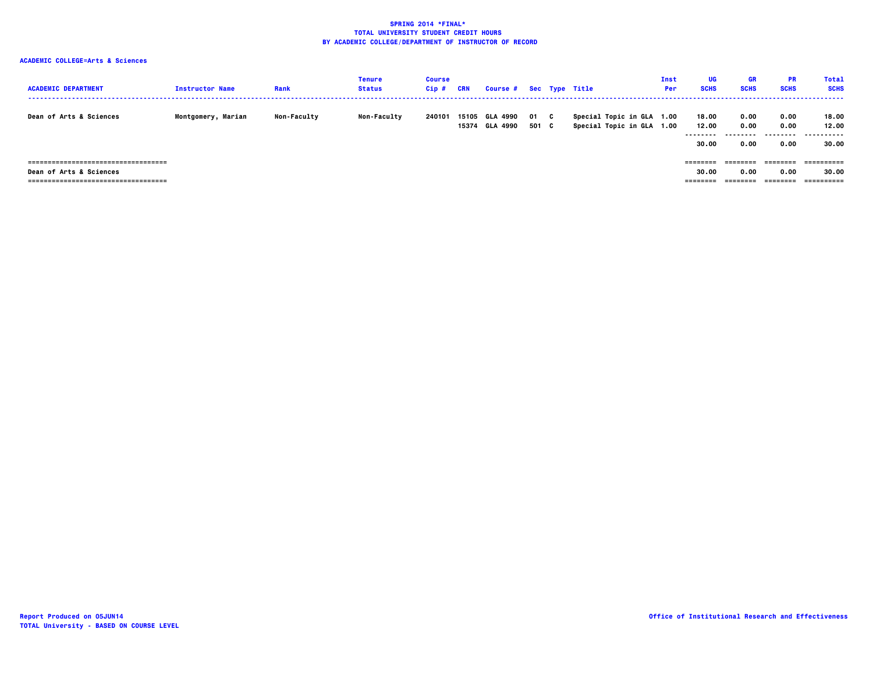| <b>ACADEMIC DEPARTMENT</b>            | <b>Instructor Name</b> | Rank               | Tenure<br><b>Status</b> | <b>Course</b><br>Cip# | CRN            | Course # Sec Type Title     |             |    |                                                        | Inst<br>Per | UG<br><b>SCHS</b>                   | <b>GR</b><br><b>SCHS</b>      | <b>PR</b><br><b>SCHS</b>          | Total<br><b>SCHS</b>        |
|---------------------------------------|------------------------|--------------------|-------------------------|-----------------------|----------------|-----------------------------|-------------|----|--------------------------------------------------------|-------------|-------------------------------------|-------------------------------|-----------------------------------|-----------------------------|
| <b>Dean of Arts &amp; Sciences</b>    | Montgomery, Marian     | <b>Non-Faculty</b> | <b>Non-Faculty</b>      | 240101                | 15105<br>15374 | <b>GLA 4990</b><br>GLA 4990 | 01<br>501 C | C. | Special Topic in GLA 1.00<br>Special Topic in GLA 1.00 |             | 18.00<br>12.00<br>--------<br>30.00 | 0.00<br>0.00<br>-----<br>0.00 | 0.00<br>0.00<br>---------<br>0.00 | 18.00<br>12.00<br><br>30.00 |
| ====================================  |                        |                    |                         |                       |                |                             |             |    |                                                        |             | --------                            |                               | ========                          |                             |
| Dean of Arts & Sciences               |                        |                    |                         |                       |                |                             |             |    |                                                        |             | 30.00                               | 0.00                          | 0.00                              | 30.00                       |
| ===================================== |                        |                    |                         |                       |                |                             |             |    |                                                        |             |                                     |                               | ========                          | ==========                  |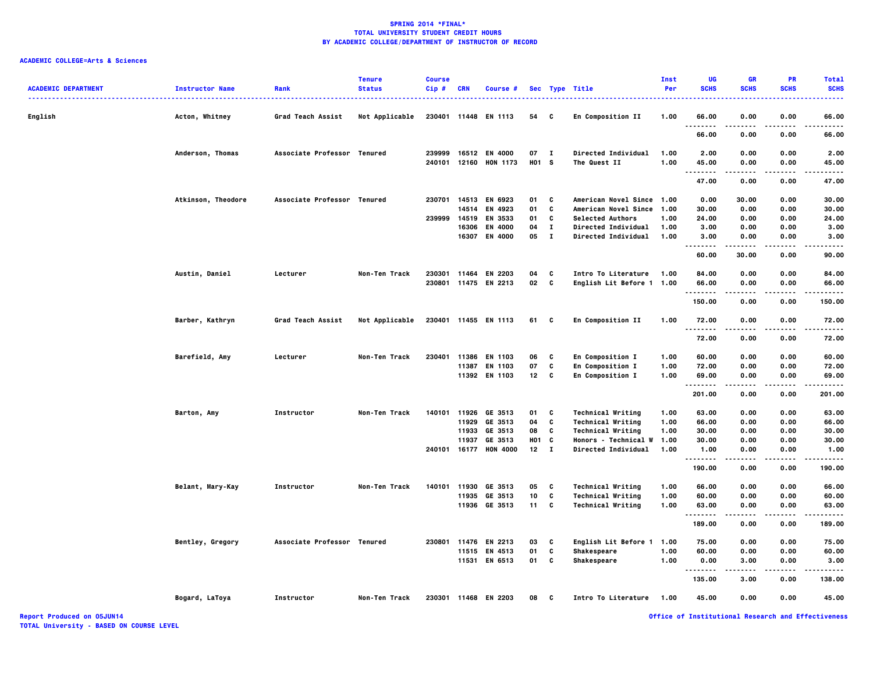# **ACADEMIC COLLEGE=Arts & Sciences**

| <b>ACADEMIC DEPARTMENT</b> | <b>Instructor Name</b> | Rank                        | <b>Tenure</b><br><b>Status</b> | <b>Course</b><br>Cip# | <b>CRN</b> | Course #              |                   |              | Sec Type Title              | Inst<br>Per | UG<br><b>SCHS</b>  | GR<br><b>SCHS</b> | PR<br><b>SCHS</b> | <b>Total</b><br><b>SCHS</b> |
|----------------------------|------------------------|-----------------------------|--------------------------------|-----------------------|------------|-----------------------|-------------------|--------------|-----------------------------|-------------|--------------------|-------------------|-------------------|-----------------------------|
| English                    | Acton, Whitney         | Grad Teach Assist           | Not Applicable                 |                       |            | 230401 11448 EN 1113  | 54 C              |              | En Composition II           | 1.00        | 66.00<br>.         | 0.00<br>.         | 0.00              | 66.00<br>$- - - -$          |
|                            |                        |                             |                                |                       |            |                       |                   |              |                             |             | 66.00              | 0.00              | 0.00              | 66.00                       |
|                            | Anderson, Thomas       | Associate Professor Tenured |                                | 239999                |            | 16512 EN 4000         | 07 I              |              | Directed Individual         | 1.00        | 2.00               | 0.00              | 0.00              | 2.00                        |
|                            |                        |                             |                                | 240101 12160          |            | <b>HON 1173</b>       | H <sub>01</sub> S |              | The Quest II                | 1.00        | 45.00<br>          | 0.00<br>.         | 0.00<br>.         | 45.00<br>.                  |
|                            |                        |                             |                                |                       |            |                       |                   |              |                             |             | 47.00              | 0.00              | 0.00              | 47.00                       |
|                            | Atkinson, Theodore     | Associate Professor Tenured |                                | 230701                |            | 14513 EN 6923         | 01                | C            | American Novel Since 1.00   |             | 0.00               | 30.00             | 0.00              | 30.00                       |
|                            |                        |                             |                                |                       | 14514      | EN 4923               | 01                | c            | American Novel Since 1.00   |             | 30.00              | 0.00              | 0.00              | 30.00                       |
|                            |                        |                             |                                | 239999                | 14519      | EN 3533               | 01                | C            | <b>Selected Authors</b>     | 1.00        | 24.00              | 0.00              | 0.00              | 24.00                       |
|                            |                        |                             |                                |                       | 16306      | EN 4000               | 04                | $\mathbf{I}$ | <b>Directed Individual</b>  | 1.00        | 3.00               | 0.00              | 0.00              | 3.00                        |
|                            |                        |                             |                                |                       | 16307      | EN 4000               | 05                | $\mathbf{I}$ | <b>Directed Individual</b>  | 1.00        | 3.00<br>--------   | 0.00              | 0.00              | 3.00<br>. <b>.</b> .        |
|                            |                        |                             |                                |                       |            |                       |                   |              |                             |             | 60.00              | 30.00             | 0.00              | 90.00                       |
|                            | Austin, Daniel         | Lecturer                    | Non-Ten Track                  | 230301 11464          |            | EN 2203               | 04                | C            | Intro To Literature         | 1.00        | 84.00              | 0.00              | 0.00              | 84.00                       |
|                            |                        |                             |                                |                       |            | 230801 11475 EN 2213  | 02 C              |              | English Lit Before 1 1.00   |             | 66.00              | 0.00              | 0.00              | 66.00                       |
|                            |                        |                             |                                |                       |            |                       |                   |              |                             |             | .                  | ----              | .                 | .                           |
|                            |                        |                             |                                |                       |            |                       |                   |              |                             |             | 150.00             | 0.00              | 0.00              | 150.00                      |
|                            | Barber, Kathryn        | Grad Teach Assist           | Not Applicable                 |                       |            | 230401 11455 EN 1113  | 61 C              |              | En Composition II           | 1.00        | 72.00<br>.         | 0.00<br>$\cdots$  | 0.00<br>.         | 72.00<br>.                  |
|                            |                        |                             |                                |                       |            |                       |                   |              |                             |             | 72.00              | 0.00              | 0.00              | 72.00                       |
|                            | Barefield, Amy         | Lecturer                    | Non-Ten Track                  | 230401                | 11386      | EN 1103               | 06                | C            | En Composition I            | 1.00        | 60.00              | 0.00              | 0.00              | 60.00                       |
|                            |                        |                             |                                |                       | 11387      | EN 1103               | 07                | C            | En Composition I            | 1.00        | 72.00              | 0.00              | 0.00              | 72.00                       |
|                            |                        |                             |                                |                       |            | 11392 EN 1103         | 12 C              |              | En Composition I            | 1.00        | 69.00<br>          | 0.00              | 0.00              | 69.00                       |
|                            |                        |                             |                                |                       |            |                       |                   |              |                             |             | $\cdots$<br>201.00 | 0.00              | 0.00              | 201.00                      |
|                            | <b>Barton, Amy</b>     | Instructor                  | Non-Ten Track                  |                       |            | 140101 11926 GE 3513  | 01                | $\mathbf{C}$ | <b>Technical Writing</b>    | 1.00        | 63.00              | 0.00              | 0.00              | 63.00                       |
|                            |                        |                             |                                |                       | 11929      | GE 3513               | 04                | C            | <b>Technical Writing</b>    | 1.00        | 66.00              | 0.00              | 0.00              | 66.00                       |
|                            |                        |                             |                                |                       | 11933      | GE 3513               | 08                | C            | <b>Technical Writing</b>    | 1.00        | 30.00              | 0.00              | 0.00              | 30.00                       |
|                            |                        |                             |                                |                       | 11937      | GE 3513               | HO1               | C            | <b>Honors - Technical W</b> | 1.00        | 30.00              | 0.00              | 0.00              | 30.00                       |
|                            |                        |                             |                                |                       |            | 240101 16177 HON 4000 | 12                | $\mathbf{I}$ | Directed Individual         | 1.00        | 1.00               | 0.00              | 0.00              | 1.00                        |
|                            |                        |                             |                                |                       |            |                       |                   |              |                             |             | .<br>190.00        | .<br>0.00         | .<br>0.00         | .<br>190.00                 |
|                            | Belant, Mary-Kay       | Instructor                  | Non-Ten Track                  | 140101                | 11930      | GE 3513               | 05                | C            | <b>Technical Writing</b>    | 1.00        | 66.00              | 0.00              | 0.00              | 66.00                       |
|                            |                        |                             |                                |                       | 11935      | GE 3513               | 10                | C            | <b>Technical Writing</b>    | 1.00        | 60.00              | 0.00              | 0.00              | 60.00                       |
|                            |                        |                             |                                |                       |            | 11936 GE 3513         | 11C               |              | <b>Technical Writing</b>    | 1.00        | 63.00              | 0.00              | 0.00              | 63.00                       |
|                            |                        |                             |                                |                       |            |                       |                   |              |                             |             | --------           | .                 | .                 | .                           |
|                            |                        |                             |                                |                       |            |                       |                   |              |                             |             | 189.00             | 0.00              | 0.00              | 189.00                      |
|                            | Bentley, Gregory       | Associate Professor Tenured |                                |                       |            | 230801 11476 EN 2213  | 03                | C            | English Lit Before 1        | 1.00        | 75.00              | 0.00              | 0.00              | 75.00                       |
|                            |                        |                             |                                |                       | 11515      | EN 4513               | 01                | c            | Shakespeare                 | 1.00        | 60.00              | 0.00              | 0.00              | 60.00                       |
|                            |                        |                             |                                |                       |            | 11531 EN 6513         | 01 C              |              | Shakespeare                 | 1.00        | 0.00<br>.          | 3.00              | 0.00              | 3.00<br>.                   |
|                            |                        |                             |                                |                       |            |                       |                   |              |                             |             | 135.00             | 3.00              | 0.00              | 138.00                      |
|                            | Bogard, LaToya         | Instructor                  | Non-Ten Track                  |                       |            | 230301 11468 EN 2203  | 08                | $\mathbf{c}$ | Intro To Literature         | 1.00        | 45.00              | 0.00              | 0.00              | 45.00                       |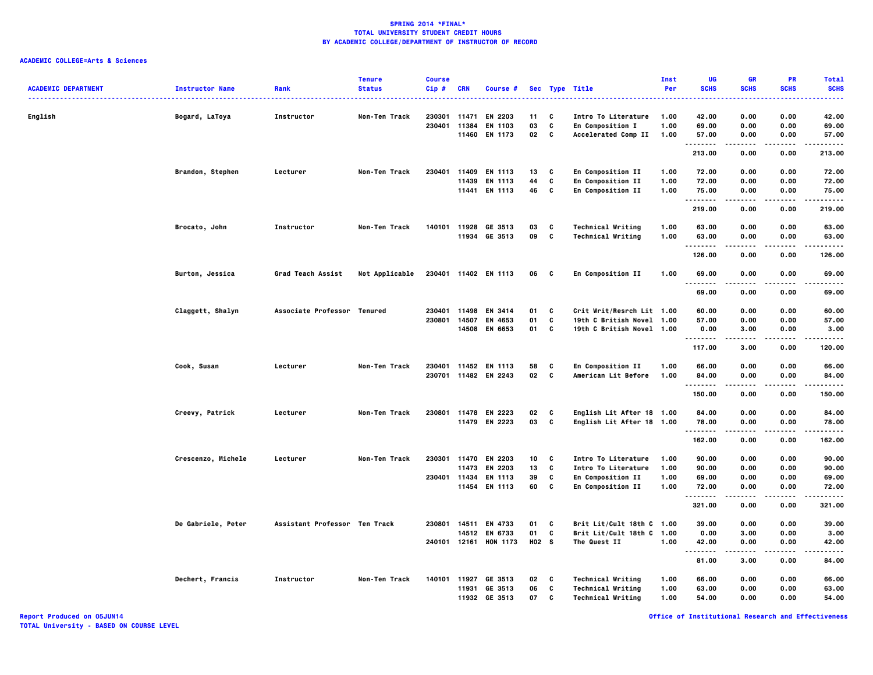# **ACADEMIC COLLEGE=Arts & Sciences**

| Sec Type Title<br>. <b>.</b> .<br>$\frac{1}{2}$<br>English<br>Bogard, LaToya<br>Instructor<br>Non-Ten Track<br>230301<br>11471<br>EN 2203<br>11<br>C<br>Intro To Literature<br>1.00<br>42.00<br>0.00<br>0.00<br>42.00<br>230401 11384<br>03<br>C<br>69.00<br>0.00<br>EN 1103<br>En Composition I<br>1.00<br>0.00<br>69.00<br>11460 EN 1173<br>02<br>C<br>Accelerated Comp II<br>1.00<br>57.00<br>0.00<br>0.00<br>57.00<br>.<br>.<br>.<br>.<br>213.00<br>0.00<br>0.00<br>213.00<br>230401<br>11409 EN 1113<br>13<br>En Composition II<br>72.00<br>0.00<br>0.00<br>72.00<br>Brandon, Stephen<br>Lecturer<br>Non-Ten Track<br>C<br>1.00<br>44<br>11439<br><b>EN 1113</b><br>C<br>En Composition II<br>1.00<br>72.00<br>0.00<br>0.00<br>72.00<br>11441 EN 1113<br>46<br>C<br>En Composition II<br>1.00<br>75.00<br>0.00<br>0.00<br>75.00<br>.<br>.<br>-----<br>.<br>219.00<br>0.00<br>0.00<br>219.00<br>11928 GE 3513<br>03<br><b>Technical Writing</b><br>1.00<br>63.00<br>0.00<br>63.00<br>Brocato, John<br>Instructor<br>Non-Ten Track<br>140101<br>C<br>0.00<br>11934 GE 3513<br>09<br>c<br><b>Technical Writing</b><br>1.00<br>63.00<br>0.00<br>63.00<br>0.00<br>.<br>.<br>.<br>----<br>126.00<br>0.00<br>0.00<br>126.00<br>Burton, Jessica<br>Grad Teach Assist<br>Not Applicable<br>230401 11402 EN 1113<br>06 C<br>En Composition II<br>1.00<br>69.00<br>0.00<br>0.00<br>69.00<br>.<br>-----<br>.<br>.<br>0.00<br>69.00<br>69.00<br>0.00<br>Claggett, Shalyn<br>Associate Professor Tenured<br>230401<br>11498 EN 3414<br>01<br>Crit Writ/Resrch Lit 1.00<br>60.00<br>0.00<br>0.00<br>60.00<br>C<br>230801<br>01<br>C<br>19th C British Novel 1.00<br>14507<br>EN 4653<br>57.00<br>0.00<br>0.00<br>57.00<br>14508 EN 6653<br>01 C<br>19th C British Novel 1.00<br>0.00<br>3.00<br>0.00<br>3.00<br>.<br>----<br>.<br>117.00<br>3.00<br>0.00<br>120.00<br>Cook, Susan<br>Lecturer<br>Non-Ten Track<br>230401 11452 EN 1113<br>58<br>c<br>En Composition II<br>1.00<br>66.00<br>0.00<br>0.00<br>66.00<br>230701 11482 EN 2243<br>02<br>C<br>American Lit Before<br>1.00<br>84.00<br>0.00<br>0.00<br>84.00<br><br>$\cdots$<br>.<br>150.00<br>0.00<br>0.00<br>150.00<br>230801 11478 EN 2223<br>02<br>Creevy, Patrick<br>Non-Ten Track<br>c<br>English Lit After 18 1.00<br>84.00<br>0.00<br>0.00<br>84.00<br>Lecturer<br>11479 EN 2223<br>03 C<br>English Lit After 18 1.00<br>78.00<br>0.00<br>0.00<br>78.00<br>.<br>.<br>$\cdots$<br>.<br>162.00<br>0.00<br>0.00<br>162.00<br>Crescenzo, Michele<br>Lecturer<br>Non-Ten Track<br>230301 11470 EN 2203<br>10<br>C<br>Intro To Literature<br>1.00<br>90.00<br>0.00<br>0.00<br>90.00<br>11473 EN 2203<br>13<br>C<br>Intro To Literature<br>1.00<br>90.00<br>0.00<br>0.00<br>90.00<br>230401 11434 EN 1113<br>39<br>C<br>En Composition II<br>1.00<br>69.00<br>0.00<br>0.00<br>69.00<br>11454 EN 1113<br>60<br>C<br>1.00<br>0.00<br>0.00<br>En Composition II<br>72.00<br>72.00<br>.<br>.<br>.<br>.<br>321.00<br>0.00<br>0.00<br>321.00<br>Assistant Professor Ten Track<br>14511 EN 4733<br>01<br>Brit Lit/Cult 18th C 1.00<br>39.00<br>0.00<br>0.00<br>39.00<br>De Gabriele, Peter<br>230801<br>C<br>C<br>14512 EN 6733<br>01<br>Brit Lit/Cult 18th C 1.00<br>0.00<br>0.00<br>3.00<br>3.00<br>240101 12161 HON 1173<br>H <sub>02</sub> S<br>The Quest II<br>1.00<br>42.00<br>0.00<br>0.00<br>42.00<br>$\sim$ $\sim$ $\sim$<br>.<br>----<br>.<br>----<br>81.00<br>3.00<br>0.00<br>84.00<br>Dechert, Francis<br>Instructor<br><b>Technical Writing</b><br>0.00<br>Non-Ten Track<br>140101 11927<br>GE 3513<br>02<br>c<br>1.00<br>66.00<br>0.00<br>66.00<br>11931<br>GE 3513<br>06<br>C<br><b>Technical Writing</b><br>1.00<br>63.00<br>0.00<br>0.00<br>63.00<br>11932 GE 3513<br>07<br>C<br><b>Technical Writing</b><br>1.00<br>54.00<br>0.00<br>0.00<br>54.00 | <b>ACADEMIC DEPARTMENT</b> | <b>Instructor Name</b> | Rank | <b>Tenure</b><br><b>Status</b> | <b>Course</b><br>Cip# | <b>CRN</b> | Course # |  | Inst<br>Per | UG<br><b>SCHS</b> | <b>GR</b><br><b>SCHS</b> | <b>PR</b><br><b>SCHS</b> | <b>Total</b><br><b>SCHS</b> |
|--------------------------------------------------------------------------------------------------------------------------------------------------------------------------------------------------------------------------------------------------------------------------------------------------------------------------------------------------------------------------------------------------------------------------------------------------------------------------------------------------------------------------------------------------------------------------------------------------------------------------------------------------------------------------------------------------------------------------------------------------------------------------------------------------------------------------------------------------------------------------------------------------------------------------------------------------------------------------------------------------------------------------------------------------------------------------------------------------------------------------------------------------------------------------------------------------------------------------------------------------------------------------------------------------------------------------------------------------------------------------------------------------------------------------------------------------------------------------------------------------------------------------------------------------------------------------------------------------------------------------------------------------------------------------------------------------------------------------------------------------------------------------------------------------------------------------------------------------------------------------------------------------------------------------------------------------------------------------------------------------------------------------------------------------------------------------------------------------------------------------------------------------------------------------------------------------------------------------------------------------------------------------------------------------------------------------------------------------------------------------------------------------------------------------------------------------------------------------------------------------------------------------------------------------------------------------------------------------------------------------------------------------------------------------------------------------------------------------------------------------------------------------------------------------------------------------------------------------------------------------------------------------------------------------------------------------------------------------------------------------------------------------------------------------------------------------------------------------------------------------------------------------------------------------------------------------------------------------------------------------------------------------------------------------------------------------------------------------------------------------------------------------------------------------------------------------------------------------------------------------------------------------------------------------------------------------------------------------------------------------------------------------------------------------------------------------------------------------------------------------------------------------------------------------------------|----------------------------|------------------------|------|--------------------------------|-----------------------|------------|----------|--|-------------|-------------------|--------------------------|--------------------------|-----------------------------|
|                                                                                                                                                                                                                                                                                                                                                                                                                                                                                                                                                                                                                                                                                                                                                                                                                                                                                                                                                                                                                                                                                                                                                                                                                                                                                                                                                                                                                                                                                                                                                                                                                                                                                                                                                                                                                                                                                                                                                                                                                                                                                                                                                                                                                                                                                                                                                                                                                                                                                                                                                                                                                                                                                                                                                                                                                                                                                                                                                                                                                                                                                                                                                                                                                                                                                                                                                                                                                                                                                                                                                                                                                                                                                                                                                                                                              |                            |                        |      |                                |                       |            |          |  |             |                   |                          |                          |                             |
|                                                                                                                                                                                                                                                                                                                                                                                                                                                                                                                                                                                                                                                                                                                                                                                                                                                                                                                                                                                                                                                                                                                                                                                                                                                                                                                                                                                                                                                                                                                                                                                                                                                                                                                                                                                                                                                                                                                                                                                                                                                                                                                                                                                                                                                                                                                                                                                                                                                                                                                                                                                                                                                                                                                                                                                                                                                                                                                                                                                                                                                                                                                                                                                                                                                                                                                                                                                                                                                                                                                                                                                                                                                                                                                                                                                                              |                            |                        |      |                                |                       |            |          |  |             |                   |                          |                          |                             |
|                                                                                                                                                                                                                                                                                                                                                                                                                                                                                                                                                                                                                                                                                                                                                                                                                                                                                                                                                                                                                                                                                                                                                                                                                                                                                                                                                                                                                                                                                                                                                                                                                                                                                                                                                                                                                                                                                                                                                                                                                                                                                                                                                                                                                                                                                                                                                                                                                                                                                                                                                                                                                                                                                                                                                                                                                                                                                                                                                                                                                                                                                                                                                                                                                                                                                                                                                                                                                                                                                                                                                                                                                                                                                                                                                                                                              |                            |                        |      |                                |                       |            |          |  |             |                   |                          |                          |                             |
|                                                                                                                                                                                                                                                                                                                                                                                                                                                                                                                                                                                                                                                                                                                                                                                                                                                                                                                                                                                                                                                                                                                                                                                                                                                                                                                                                                                                                                                                                                                                                                                                                                                                                                                                                                                                                                                                                                                                                                                                                                                                                                                                                                                                                                                                                                                                                                                                                                                                                                                                                                                                                                                                                                                                                                                                                                                                                                                                                                                                                                                                                                                                                                                                                                                                                                                                                                                                                                                                                                                                                                                                                                                                                                                                                                                                              |                            |                        |      |                                |                       |            |          |  |             |                   |                          |                          |                             |
|                                                                                                                                                                                                                                                                                                                                                                                                                                                                                                                                                                                                                                                                                                                                                                                                                                                                                                                                                                                                                                                                                                                                                                                                                                                                                                                                                                                                                                                                                                                                                                                                                                                                                                                                                                                                                                                                                                                                                                                                                                                                                                                                                                                                                                                                                                                                                                                                                                                                                                                                                                                                                                                                                                                                                                                                                                                                                                                                                                                                                                                                                                                                                                                                                                                                                                                                                                                                                                                                                                                                                                                                                                                                                                                                                                                                              |                            |                        |      |                                |                       |            |          |  |             |                   |                          |                          |                             |
|                                                                                                                                                                                                                                                                                                                                                                                                                                                                                                                                                                                                                                                                                                                                                                                                                                                                                                                                                                                                                                                                                                                                                                                                                                                                                                                                                                                                                                                                                                                                                                                                                                                                                                                                                                                                                                                                                                                                                                                                                                                                                                                                                                                                                                                                                                                                                                                                                                                                                                                                                                                                                                                                                                                                                                                                                                                                                                                                                                                                                                                                                                                                                                                                                                                                                                                                                                                                                                                                                                                                                                                                                                                                                                                                                                                                              |                            |                        |      |                                |                       |            |          |  |             |                   |                          |                          |                             |
|                                                                                                                                                                                                                                                                                                                                                                                                                                                                                                                                                                                                                                                                                                                                                                                                                                                                                                                                                                                                                                                                                                                                                                                                                                                                                                                                                                                                                                                                                                                                                                                                                                                                                                                                                                                                                                                                                                                                                                                                                                                                                                                                                                                                                                                                                                                                                                                                                                                                                                                                                                                                                                                                                                                                                                                                                                                                                                                                                                                                                                                                                                                                                                                                                                                                                                                                                                                                                                                                                                                                                                                                                                                                                                                                                                                                              |                            |                        |      |                                |                       |            |          |  |             |                   |                          |                          |                             |
|                                                                                                                                                                                                                                                                                                                                                                                                                                                                                                                                                                                                                                                                                                                                                                                                                                                                                                                                                                                                                                                                                                                                                                                                                                                                                                                                                                                                                                                                                                                                                                                                                                                                                                                                                                                                                                                                                                                                                                                                                                                                                                                                                                                                                                                                                                                                                                                                                                                                                                                                                                                                                                                                                                                                                                                                                                                                                                                                                                                                                                                                                                                                                                                                                                                                                                                                                                                                                                                                                                                                                                                                                                                                                                                                                                                                              |                            |                        |      |                                |                       |            |          |  |             |                   |                          |                          |                             |
|                                                                                                                                                                                                                                                                                                                                                                                                                                                                                                                                                                                                                                                                                                                                                                                                                                                                                                                                                                                                                                                                                                                                                                                                                                                                                                                                                                                                                                                                                                                                                                                                                                                                                                                                                                                                                                                                                                                                                                                                                                                                                                                                                                                                                                                                                                                                                                                                                                                                                                                                                                                                                                                                                                                                                                                                                                                                                                                                                                                                                                                                                                                                                                                                                                                                                                                                                                                                                                                                                                                                                                                                                                                                                                                                                                                                              |                            |                        |      |                                |                       |            |          |  |             |                   |                          |                          |                             |
|                                                                                                                                                                                                                                                                                                                                                                                                                                                                                                                                                                                                                                                                                                                                                                                                                                                                                                                                                                                                                                                                                                                                                                                                                                                                                                                                                                                                                                                                                                                                                                                                                                                                                                                                                                                                                                                                                                                                                                                                                                                                                                                                                                                                                                                                                                                                                                                                                                                                                                                                                                                                                                                                                                                                                                                                                                                                                                                                                                                                                                                                                                                                                                                                                                                                                                                                                                                                                                                                                                                                                                                                                                                                                                                                                                                                              |                            |                        |      |                                |                       |            |          |  |             |                   |                          |                          |                             |
|                                                                                                                                                                                                                                                                                                                                                                                                                                                                                                                                                                                                                                                                                                                                                                                                                                                                                                                                                                                                                                                                                                                                                                                                                                                                                                                                                                                                                                                                                                                                                                                                                                                                                                                                                                                                                                                                                                                                                                                                                                                                                                                                                                                                                                                                                                                                                                                                                                                                                                                                                                                                                                                                                                                                                                                                                                                                                                                                                                                                                                                                                                                                                                                                                                                                                                                                                                                                                                                                                                                                                                                                                                                                                                                                                                                                              |                            |                        |      |                                |                       |            |          |  |             |                   |                          |                          |                             |
|                                                                                                                                                                                                                                                                                                                                                                                                                                                                                                                                                                                                                                                                                                                                                                                                                                                                                                                                                                                                                                                                                                                                                                                                                                                                                                                                                                                                                                                                                                                                                                                                                                                                                                                                                                                                                                                                                                                                                                                                                                                                                                                                                                                                                                                                                                                                                                                                                                                                                                                                                                                                                                                                                                                                                                                                                                                                                                                                                                                                                                                                                                                                                                                                                                                                                                                                                                                                                                                                                                                                                                                                                                                                                                                                                                                                              |                            |                        |      |                                |                       |            |          |  |             |                   |                          |                          |                             |
|                                                                                                                                                                                                                                                                                                                                                                                                                                                                                                                                                                                                                                                                                                                                                                                                                                                                                                                                                                                                                                                                                                                                                                                                                                                                                                                                                                                                                                                                                                                                                                                                                                                                                                                                                                                                                                                                                                                                                                                                                                                                                                                                                                                                                                                                                                                                                                                                                                                                                                                                                                                                                                                                                                                                                                                                                                                                                                                                                                                                                                                                                                                                                                                                                                                                                                                                                                                                                                                                                                                                                                                                                                                                                                                                                                                                              |                            |                        |      |                                |                       |            |          |  |             |                   |                          |                          |                             |
|                                                                                                                                                                                                                                                                                                                                                                                                                                                                                                                                                                                                                                                                                                                                                                                                                                                                                                                                                                                                                                                                                                                                                                                                                                                                                                                                                                                                                                                                                                                                                                                                                                                                                                                                                                                                                                                                                                                                                                                                                                                                                                                                                                                                                                                                                                                                                                                                                                                                                                                                                                                                                                                                                                                                                                                                                                                                                                                                                                                                                                                                                                                                                                                                                                                                                                                                                                                                                                                                                                                                                                                                                                                                                                                                                                                                              |                            |                        |      |                                |                       |            |          |  |             |                   |                          |                          |                             |
|                                                                                                                                                                                                                                                                                                                                                                                                                                                                                                                                                                                                                                                                                                                                                                                                                                                                                                                                                                                                                                                                                                                                                                                                                                                                                                                                                                                                                                                                                                                                                                                                                                                                                                                                                                                                                                                                                                                                                                                                                                                                                                                                                                                                                                                                                                                                                                                                                                                                                                                                                                                                                                                                                                                                                                                                                                                                                                                                                                                                                                                                                                                                                                                                                                                                                                                                                                                                                                                                                                                                                                                                                                                                                                                                                                                                              |                            |                        |      |                                |                       |            |          |  |             |                   |                          |                          |                             |
|                                                                                                                                                                                                                                                                                                                                                                                                                                                                                                                                                                                                                                                                                                                                                                                                                                                                                                                                                                                                                                                                                                                                                                                                                                                                                                                                                                                                                                                                                                                                                                                                                                                                                                                                                                                                                                                                                                                                                                                                                                                                                                                                                                                                                                                                                                                                                                                                                                                                                                                                                                                                                                                                                                                                                                                                                                                                                                                                                                                                                                                                                                                                                                                                                                                                                                                                                                                                                                                                                                                                                                                                                                                                                                                                                                                                              |                            |                        |      |                                |                       |            |          |  |             |                   |                          |                          |                             |
|                                                                                                                                                                                                                                                                                                                                                                                                                                                                                                                                                                                                                                                                                                                                                                                                                                                                                                                                                                                                                                                                                                                                                                                                                                                                                                                                                                                                                                                                                                                                                                                                                                                                                                                                                                                                                                                                                                                                                                                                                                                                                                                                                                                                                                                                                                                                                                                                                                                                                                                                                                                                                                                                                                                                                                                                                                                                                                                                                                                                                                                                                                                                                                                                                                                                                                                                                                                                                                                                                                                                                                                                                                                                                                                                                                                                              |                            |                        |      |                                |                       |            |          |  |             |                   |                          |                          |                             |
|                                                                                                                                                                                                                                                                                                                                                                                                                                                                                                                                                                                                                                                                                                                                                                                                                                                                                                                                                                                                                                                                                                                                                                                                                                                                                                                                                                                                                                                                                                                                                                                                                                                                                                                                                                                                                                                                                                                                                                                                                                                                                                                                                                                                                                                                                                                                                                                                                                                                                                                                                                                                                                                                                                                                                                                                                                                                                                                                                                                                                                                                                                                                                                                                                                                                                                                                                                                                                                                                                                                                                                                                                                                                                                                                                                                                              |                            |                        |      |                                |                       |            |          |  |             |                   |                          |                          |                             |
|                                                                                                                                                                                                                                                                                                                                                                                                                                                                                                                                                                                                                                                                                                                                                                                                                                                                                                                                                                                                                                                                                                                                                                                                                                                                                                                                                                                                                                                                                                                                                                                                                                                                                                                                                                                                                                                                                                                                                                                                                                                                                                                                                                                                                                                                                                                                                                                                                                                                                                                                                                                                                                                                                                                                                                                                                                                                                                                                                                                                                                                                                                                                                                                                                                                                                                                                                                                                                                                                                                                                                                                                                                                                                                                                                                                                              |                            |                        |      |                                |                       |            |          |  |             |                   |                          |                          |                             |
|                                                                                                                                                                                                                                                                                                                                                                                                                                                                                                                                                                                                                                                                                                                                                                                                                                                                                                                                                                                                                                                                                                                                                                                                                                                                                                                                                                                                                                                                                                                                                                                                                                                                                                                                                                                                                                                                                                                                                                                                                                                                                                                                                                                                                                                                                                                                                                                                                                                                                                                                                                                                                                                                                                                                                                                                                                                                                                                                                                                                                                                                                                                                                                                                                                                                                                                                                                                                                                                                                                                                                                                                                                                                                                                                                                                                              |                            |                        |      |                                |                       |            |          |  |             |                   |                          |                          |                             |
|                                                                                                                                                                                                                                                                                                                                                                                                                                                                                                                                                                                                                                                                                                                                                                                                                                                                                                                                                                                                                                                                                                                                                                                                                                                                                                                                                                                                                                                                                                                                                                                                                                                                                                                                                                                                                                                                                                                                                                                                                                                                                                                                                                                                                                                                                                                                                                                                                                                                                                                                                                                                                                                                                                                                                                                                                                                                                                                                                                                                                                                                                                                                                                                                                                                                                                                                                                                                                                                                                                                                                                                                                                                                                                                                                                                                              |                            |                        |      |                                |                       |            |          |  |             |                   |                          |                          |                             |
|                                                                                                                                                                                                                                                                                                                                                                                                                                                                                                                                                                                                                                                                                                                                                                                                                                                                                                                                                                                                                                                                                                                                                                                                                                                                                                                                                                                                                                                                                                                                                                                                                                                                                                                                                                                                                                                                                                                                                                                                                                                                                                                                                                                                                                                                                                                                                                                                                                                                                                                                                                                                                                                                                                                                                                                                                                                                                                                                                                                                                                                                                                                                                                                                                                                                                                                                                                                                                                                                                                                                                                                                                                                                                                                                                                                                              |                            |                        |      |                                |                       |            |          |  |             |                   |                          |                          |                             |
|                                                                                                                                                                                                                                                                                                                                                                                                                                                                                                                                                                                                                                                                                                                                                                                                                                                                                                                                                                                                                                                                                                                                                                                                                                                                                                                                                                                                                                                                                                                                                                                                                                                                                                                                                                                                                                                                                                                                                                                                                                                                                                                                                                                                                                                                                                                                                                                                                                                                                                                                                                                                                                                                                                                                                                                                                                                                                                                                                                                                                                                                                                                                                                                                                                                                                                                                                                                                                                                                                                                                                                                                                                                                                                                                                                                                              |                            |                        |      |                                |                       |            |          |  |             |                   |                          |                          |                             |
|                                                                                                                                                                                                                                                                                                                                                                                                                                                                                                                                                                                                                                                                                                                                                                                                                                                                                                                                                                                                                                                                                                                                                                                                                                                                                                                                                                                                                                                                                                                                                                                                                                                                                                                                                                                                                                                                                                                                                                                                                                                                                                                                                                                                                                                                                                                                                                                                                                                                                                                                                                                                                                                                                                                                                                                                                                                                                                                                                                                                                                                                                                                                                                                                                                                                                                                                                                                                                                                                                                                                                                                                                                                                                                                                                                                                              |                            |                        |      |                                |                       |            |          |  |             |                   |                          |                          |                             |
|                                                                                                                                                                                                                                                                                                                                                                                                                                                                                                                                                                                                                                                                                                                                                                                                                                                                                                                                                                                                                                                                                                                                                                                                                                                                                                                                                                                                                                                                                                                                                                                                                                                                                                                                                                                                                                                                                                                                                                                                                                                                                                                                                                                                                                                                                                                                                                                                                                                                                                                                                                                                                                                                                                                                                                                                                                                                                                                                                                                                                                                                                                                                                                                                                                                                                                                                                                                                                                                                                                                                                                                                                                                                                                                                                                                                              |                            |                        |      |                                |                       |            |          |  |             |                   |                          |                          |                             |
|                                                                                                                                                                                                                                                                                                                                                                                                                                                                                                                                                                                                                                                                                                                                                                                                                                                                                                                                                                                                                                                                                                                                                                                                                                                                                                                                                                                                                                                                                                                                                                                                                                                                                                                                                                                                                                                                                                                                                                                                                                                                                                                                                                                                                                                                                                                                                                                                                                                                                                                                                                                                                                                                                                                                                                                                                                                                                                                                                                                                                                                                                                                                                                                                                                                                                                                                                                                                                                                                                                                                                                                                                                                                                                                                                                                                              |                            |                        |      |                                |                       |            |          |  |             |                   |                          |                          |                             |
|                                                                                                                                                                                                                                                                                                                                                                                                                                                                                                                                                                                                                                                                                                                                                                                                                                                                                                                                                                                                                                                                                                                                                                                                                                                                                                                                                                                                                                                                                                                                                                                                                                                                                                                                                                                                                                                                                                                                                                                                                                                                                                                                                                                                                                                                                                                                                                                                                                                                                                                                                                                                                                                                                                                                                                                                                                                                                                                                                                                                                                                                                                                                                                                                                                                                                                                                                                                                                                                                                                                                                                                                                                                                                                                                                                                                              |                            |                        |      |                                |                       |            |          |  |             |                   |                          |                          |                             |
|                                                                                                                                                                                                                                                                                                                                                                                                                                                                                                                                                                                                                                                                                                                                                                                                                                                                                                                                                                                                                                                                                                                                                                                                                                                                                                                                                                                                                                                                                                                                                                                                                                                                                                                                                                                                                                                                                                                                                                                                                                                                                                                                                                                                                                                                                                                                                                                                                                                                                                                                                                                                                                                                                                                                                                                                                                                                                                                                                                                                                                                                                                                                                                                                                                                                                                                                                                                                                                                                                                                                                                                                                                                                                                                                                                                                              |                            |                        |      |                                |                       |            |          |  |             |                   |                          |                          |                             |
|                                                                                                                                                                                                                                                                                                                                                                                                                                                                                                                                                                                                                                                                                                                                                                                                                                                                                                                                                                                                                                                                                                                                                                                                                                                                                                                                                                                                                                                                                                                                                                                                                                                                                                                                                                                                                                                                                                                                                                                                                                                                                                                                                                                                                                                                                                                                                                                                                                                                                                                                                                                                                                                                                                                                                                                                                                                                                                                                                                                                                                                                                                                                                                                                                                                                                                                                                                                                                                                                                                                                                                                                                                                                                                                                                                                                              |                            |                        |      |                                |                       |            |          |  |             |                   |                          |                          |                             |
|                                                                                                                                                                                                                                                                                                                                                                                                                                                                                                                                                                                                                                                                                                                                                                                                                                                                                                                                                                                                                                                                                                                                                                                                                                                                                                                                                                                                                                                                                                                                                                                                                                                                                                                                                                                                                                                                                                                                                                                                                                                                                                                                                                                                                                                                                                                                                                                                                                                                                                                                                                                                                                                                                                                                                                                                                                                                                                                                                                                                                                                                                                                                                                                                                                                                                                                                                                                                                                                                                                                                                                                                                                                                                                                                                                                                              |                            |                        |      |                                |                       |            |          |  |             |                   |                          |                          |                             |
|                                                                                                                                                                                                                                                                                                                                                                                                                                                                                                                                                                                                                                                                                                                                                                                                                                                                                                                                                                                                                                                                                                                                                                                                                                                                                                                                                                                                                                                                                                                                                                                                                                                                                                                                                                                                                                                                                                                                                                                                                                                                                                                                                                                                                                                                                                                                                                                                                                                                                                                                                                                                                                                                                                                                                                                                                                                                                                                                                                                                                                                                                                                                                                                                                                                                                                                                                                                                                                                                                                                                                                                                                                                                                                                                                                                                              |                            |                        |      |                                |                       |            |          |  |             |                   |                          |                          |                             |
|                                                                                                                                                                                                                                                                                                                                                                                                                                                                                                                                                                                                                                                                                                                                                                                                                                                                                                                                                                                                                                                                                                                                                                                                                                                                                                                                                                                                                                                                                                                                                                                                                                                                                                                                                                                                                                                                                                                                                                                                                                                                                                                                                                                                                                                                                                                                                                                                                                                                                                                                                                                                                                                                                                                                                                                                                                                                                                                                                                                                                                                                                                                                                                                                                                                                                                                                                                                                                                                                                                                                                                                                                                                                                                                                                                                                              |                            |                        |      |                                |                       |            |          |  |             |                   |                          |                          |                             |
|                                                                                                                                                                                                                                                                                                                                                                                                                                                                                                                                                                                                                                                                                                                                                                                                                                                                                                                                                                                                                                                                                                                                                                                                                                                                                                                                                                                                                                                                                                                                                                                                                                                                                                                                                                                                                                                                                                                                                                                                                                                                                                                                                                                                                                                                                                                                                                                                                                                                                                                                                                                                                                                                                                                                                                                                                                                                                                                                                                                                                                                                                                                                                                                                                                                                                                                                                                                                                                                                                                                                                                                                                                                                                                                                                                                                              |                            |                        |      |                                |                       |            |          |  |             |                   |                          |                          |                             |
|                                                                                                                                                                                                                                                                                                                                                                                                                                                                                                                                                                                                                                                                                                                                                                                                                                                                                                                                                                                                                                                                                                                                                                                                                                                                                                                                                                                                                                                                                                                                                                                                                                                                                                                                                                                                                                                                                                                                                                                                                                                                                                                                                                                                                                                                                                                                                                                                                                                                                                                                                                                                                                                                                                                                                                                                                                                                                                                                                                                                                                                                                                                                                                                                                                                                                                                                                                                                                                                                                                                                                                                                                                                                                                                                                                                                              |                            |                        |      |                                |                       |            |          |  |             |                   |                          |                          |                             |
|                                                                                                                                                                                                                                                                                                                                                                                                                                                                                                                                                                                                                                                                                                                                                                                                                                                                                                                                                                                                                                                                                                                                                                                                                                                                                                                                                                                                                                                                                                                                                                                                                                                                                                                                                                                                                                                                                                                                                                                                                                                                                                                                                                                                                                                                                                                                                                                                                                                                                                                                                                                                                                                                                                                                                                                                                                                                                                                                                                                                                                                                                                                                                                                                                                                                                                                                                                                                                                                                                                                                                                                                                                                                                                                                                                                                              |                            |                        |      |                                |                       |            |          |  |             |                   |                          |                          |                             |
|                                                                                                                                                                                                                                                                                                                                                                                                                                                                                                                                                                                                                                                                                                                                                                                                                                                                                                                                                                                                                                                                                                                                                                                                                                                                                                                                                                                                                                                                                                                                                                                                                                                                                                                                                                                                                                                                                                                                                                                                                                                                                                                                                                                                                                                                                                                                                                                                                                                                                                                                                                                                                                                                                                                                                                                                                                                                                                                                                                                                                                                                                                                                                                                                                                                                                                                                                                                                                                                                                                                                                                                                                                                                                                                                                                                                              |                            |                        |      |                                |                       |            |          |  |             |                   |                          |                          |                             |
|                                                                                                                                                                                                                                                                                                                                                                                                                                                                                                                                                                                                                                                                                                                                                                                                                                                                                                                                                                                                                                                                                                                                                                                                                                                                                                                                                                                                                                                                                                                                                                                                                                                                                                                                                                                                                                                                                                                                                                                                                                                                                                                                                                                                                                                                                                                                                                                                                                                                                                                                                                                                                                                                                                                                                                                                                                                                                                                                                                                                                                                                                                                                                                                                                                                                                                                                                                                                                                                                                                                                                                                                                                                                                                                                                                                                              |                            |                        |      |                                |                       |            |          |  |             |                   |                          |                          |                             |
|                                                                                                                                                                                                                                                                                                                                                                                                                                                                                                                                                                                                                                                                                                                                                                                                                                                                                                                                                                                                                                                                                                                                                                                                                                                                                                                                                                                                                                                                                                                                                                                                                                                                                                                                                                                                                                                                                                                                                                                                                                                                                                                                                                                                                                                                                                                                                                                                                                                                                                                                                                                                                                                                                                                                                                                                                                                                                                                                                                                                                                                                                                                                                                                                                                                                                                                                                                                                                                                                                                                                                                                                                                                                                                                                                                                                              |                            |                        |      |                                |                       |            |          |  |             |                   |                          |                          |                             |
|                                                                                                                                                                                                                                                                                                                                                                                                                                                                                                                                                                                                                                                                                                                                                                                                                                                                                                                                                                                                                                                                                                                                                                                                                                                                                                                                                                                                                                                                                                                                                                                                                                                                                                                                                                                                                                                                                                                                                                                                                                                                                                                                                                                                                                                                                                                                                                                                                                                                                                                                                                                                                                                                                                                                                                                                                                                                                                                                                                                                                                                                                                                                                                                                                                                                                                                                                                                                                                                                                                                                                                                                                                                                                                                                                                                                              |                            |                        |      |                                |                       |            |          |  |             |                   |                          |                          |                             |
|                                                                                                                                                                                                                                                                                                                                                                                                                                                                                                                                                                                                                                                                                                                                                                                                                                                                                                                                                                                                                                                                                                                                                                                                                                                                                                                                                                                                                                                                                                                                                                                                                                                                                                                                                                                                                                                                                                                                                                                                                                                                                                                                                                                                                                                                                                                                                                                                                                                                                                                                                                                                                                                                                                                                                                                                                                                                                                                                                                                                                                                                                                                                                                                                                                                                                                                                                                                                                                                                                                                                                                                                                                                                                                                                                                                                              |                            |                        |      |                                |                       |            |          |  |             |                   |                          |                          |                             |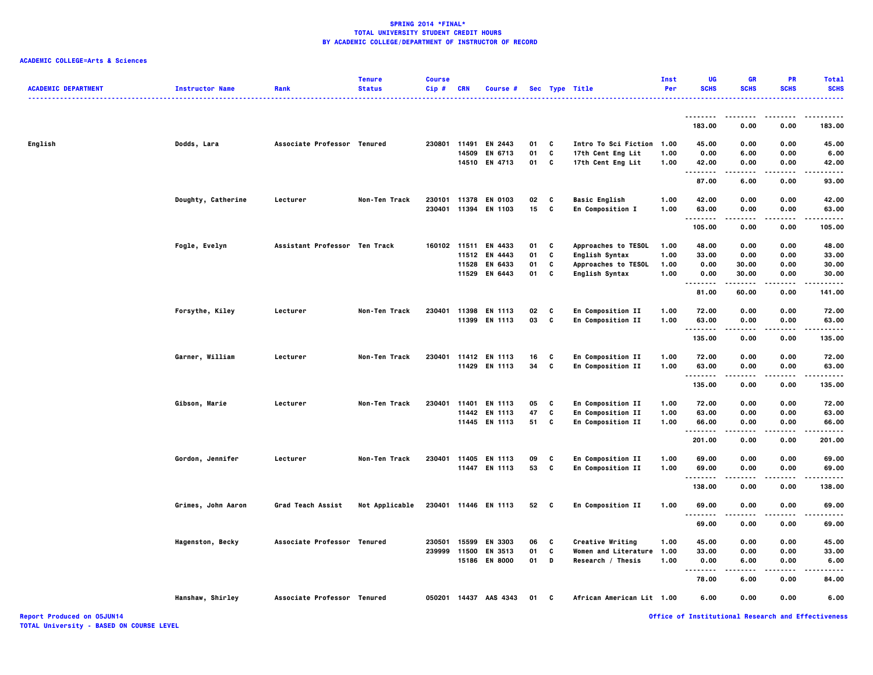### **ACADEMIC COLLEGE=Arts & Sciences**

| <b>ACADEMIC DEPARTMENT</b> | <b>Instructor Name</b>  | Rank                          | <b>Tenure</b><br><b>Status</b> | <b>Course</b><br>Cip# | <b>CRN</b> | Course #                 |          |              | Sec Type Title                            | Inst<br>Per  | UG<br><b>SCHS</b>       | GR<br><b>SCHS</b> | PR<br><b>SCHS</b> | <b>Total</b><br><b>SCHS</b> |
|----------------------------|-------------------------|-------------------------------|--------------------------------|-----------------------|------------|--------------------------|----------|--------------|-------------------------------------------|--------------|-------------------------|-------------------|-------------------|-----------------------------|
|                            |                         |                               |                                |                       |            |                          |          |              |                                           |              | .<br>183.00             | 0.00              | 0.00              | 183.00                      |
|                            |                         |                               |                                |                       |            |                          |          |              |                                           |              |                         |                   |                   |                             |
| English                    | Dodds, Lara             | Associate Professor Tenured   |                                | 230801                | 14509      | 11491 EN 2443<br>EN 6713 | 01<br>01 | C<br>c       | Intro To Sci Fiction<br>17th Cent Eng Lit | 1.00<br>1.00 | 45.00<br>0.00           | 0.00<br>6.00      | 0.00<br>0.00      | 45.00<br>6.00               |
|                            |                         |                               |                                |                       |            | 14510 EN 4713            | 01       | C            | 17th Cent Eng Lit                         | 1.00         | 42.00                   | 0.00              | 0.00              | 42.00                       |
|                            |                         |                               |                                |                       |            |                          |          |              |                                           |              |                         | .                 | .                 | .                           |
|                            |                         |                               |                                |                       |            |                          |          |              |                                           |              | 87.00                   | 6.00              | 0.00              | 93.00                       |
|                            | Doughty, Catherine      | Lecturer                      | Non-Ten Track                  | 230101 11378          |            | <b>EN 0103</b>           | 02       | C            | <b>Basic English</b>                      | 1.00         | 42.00                   | 0.00              | 0.00              | 42.00                       |
|                            |                         |                               |                                | 230401                | 11394      | EN 1103                  | 15       | C            | En Composition I                          | 1.00         | 63.00                   | 0.00              | 0.00              | 63.00                       |
|                            |                         |                               |                                |                       |            |                          |          |              |                                           |              | .<br>105.00             | 0.00              | 0.00              | .<br>105.00                 |
|                            | Fogle, Evelyn           | Assistant Professor Ten Track |                                |                       |            | 160102 11511 EN 4433     | 01       | C            | Approaches to TESOL                       | 1.00         | 48.00                   | 0.00              | 0.00              | 48.00                       |
|                            |                         |                               |                                |                       |            | 11512 EN 4443            | 01       | C            | English Syntax                            | 1.00         | 33.00                   | 0.00              | 0.00              | 33.00                       |
|                            |                         |                               |                                |                       | 11528      | EN 6433                  | 01       | c            | Approaches to TESOL                       | 1.00         | 0.00                    | 30.00             | 0.00              | 30.00                       |
|                            |                         |                               |                                |                       | 11529      | EN 6443                  | 01       | C            | English Syntax                            | 1.00         | 0.00<br>.               | 30.00             | 0.00              | 30.00<br>.                  |
|                            |                         |                               |                                |                       |            |                          |          |              |                                           |              | 81.00                   | 60.00             | 0.00              | 141.00                      |
|                            | Forsythe, Kiley         | Lecturer                      | Non-Ten Track                  | 230401                | 11398      | EN 1113                  | 02       | C            | En Composition II                         | 1.00         | 72.00                   | 0.00              | 0.00              | 72.00                       |
|                            |                         |                               |                                |                       |            | 11399 EN 1113            | 03       | C            | En Composition II                         | 1.00         | 63.00                   | 0.00              | 0.00              | 63.00                       |
|                            |                         |                               |                                |                       |            |                          |          |              |                                           |              | .<br>135.00             | -----<br>0.00     | .<br>0.00         | .<br>135.00                 |
|                            | Garner, William         | Lecturer                      | Non-Ten Track                  | 230401                |            | 11412 EN 1113            | 16       | C            | En Composition II                         | 1.00         | 72.00                   | 0.00              | 0.00              | 72.00                       |
|                            |                         |                               |                                |                       |            | 11429 EN 1113            | 34       | C            | En Composition II                         | 1.00         | 63.00                   | 0.00              | 0.00              | 63.00                       |
|                            |                         |                               |                                |                       |            |                          |          |              |                                           |              | .                       | -----             | .                 | .                           |
|                            |                         |                               |                                |                       |            |                          |          |              |                                           |              | 135.00                  | 0.00              | 0.00              | 135.00                      |
|                            | Gibson, Marie           | Lecturer                      | Non-Ten Track                  | 230401                | 11401      | <b>EN 1113</b>           | 05       | C            | En Composition II                         | 1.00         | 72.00                   | 0.00              | 0.00              | 72.00                       |
|                            |                         |                               |                                |                       |            | 11442 EN 1113            | 47       | c            | En Composition II                         | 1.00         | 63.00                   | 0.00              | 0.00              | 63.00                       |
|                            |                         |                               |                                |                       |            | 11445 EN 1113            | 51       | C            | En Composition II                         | 1.00         | 66.00                   | 0.00              | 0.00              | 66.00                       |
|                            |                         |                               |                                |                       |            |                          |          |              |                                           |              | .<br>201.00             | .<br>0.00         | .<br>0.00         | .<br>201.00                 |
|                            | Gordon, Jennifer        | Lecturer                      | Non-Ten Track                  | 230401                | 11405      | EN 1113                  | 09       | C            | En Composition II                         | 1.00         | 69.00                   | 0.00              | 0.00              | 69.00                       |
|                            |                         |                               |                                |                       |            | 11447 EN 1113            | 53       | c            | En Composition II                         | 1.00         | 69.00                   | 0.00              | 0.00              | 69.00                       |
|                            |                         |                               |                                |                       |            |                          |          |              |                                           |              | .<br>138.00             | 0.00              | 0.00              | .<br>138.00                 |
|                            |                         |                               |                                |                       |            |                          |          |              |                                           |              |                         |                   |                   |                             |
|                            | Grimes, John Aaron      | Grad Teach Assist             | Not Applicable                 |                       |            | 230401 11446 EN 1113     | 52       | $\mathbf{C}$ | En Composition II                         | 1.00         | 69.00<br>$\ddotsc$<br>. | 0.00              | 0.00              | 69.00                       |
|                            |                         |                               |                                |                       |            |                          |          |              |                                           |              | 69.00                   | 0.00              | 0.00              | 69.00                       |
|                            | <b>Hagenston, Becky</b> | Associate Professor Tenured   |                                | 230501                | 15599      | <b>EN 3303</b>           | 06       | C            | Creative Writing                          | 1.00         | 45.00                   | 0.00              | 0.00              | 45.00                       |
|                            |                         |                               |                                | 239999                | 11500      | EN 3513                  | 01       | C            | <b>Women and Literature</b>               | 1.00         | 33.00                   | 0.00              | 0.00              | 33.00                       |
|                            |                         |                               |                                |                       | 15186      | <b>EN 8000</b>           | 01       | D            | Research / Thesis                         | 1.00         | 0.00<br>.               | 6.00              | 0.00              | 6.00                        |
|                            |                         |                               |                                |                       |            |                          |          |              |                                           |              | 78.00                   | 6.00              | 0.00              | 84.00                       |
|                            | Hanshaw, Shirley        | Associate Professor Tenured   |                                |                       |            | 050201 14437 AAS 4343    | 01       | C            | African American Lit 1.00                 |              | 6.00                    | 0.00              | 0.00              | 6.00                        |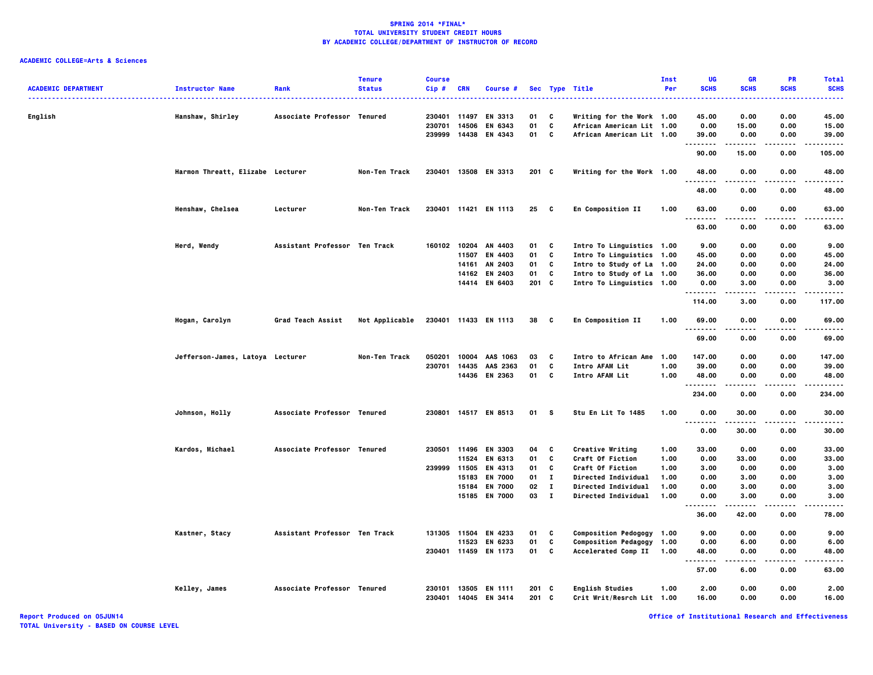### **ACADEMIC COLLEGE=Arts & Sciences**

| <b>ACADEMIC DEPARTMENT</b> | <b>Instructor Name</b>           | Rank                          | <b>Tenure</b><br><b>Status</b> | <b>Course</b><br>$Cip$ # | <b>CRN</b>   | <b>Course #</b>      |         |              | Sec Type Title<br>--------------- | Inst<br>Per | UG<br><b>SCHS</b> | <b>GR</b><br><b>SCHS</b> | PR<br><b>SCHS</b> | <b>Total</b><br><b>SCHS</b><br>----- |
|----------------------------|----------------------------------|-------------------------------|--------------------------------|--------------------------|--------------|----------------------|---------|--------------|-----------------------------------|-------------|-------------------|--------------------------|-------------------|--------------------------------------|
| English                    | Hanshaw, Shirley                 | Associate Professor Tenured   |                                |                          | 230401 11497 | EN 3313              | 01      | C            | Writing for the Work 1.00         |             | 45.00             | 0.00                     | 0.00              | 45.00                                |
|                            |                                  |                               |                                | 230701                   | 14506        | EN 6343              | 01      | C            | African American Lit 1.00         |             | 0.00              | 15.00                    | 0.00              | 15.00                                |
|                            |                                  |                               |                                | 239999                   | 14438        | EN 4343              | 01      | C            | African American Lit 1.00         |             | 39.00<br>.        | 0.00<br>-----            | 0.00<br>.         | 39.00<br>.                           |
|                            |                                  |                               |                                |                          |              |                      |         |              |                                   |             | 90.00             | 15.00                    | 0.00              | 105.00                               |
|                            | Harmon Threatt, Elizabe Lecturer |                               | Non-Ten Track                  |                          |              | 230401 13508 EN 3313 | 201 C   |              | Writing for the Work 1.00         |             | 48.00<br>.        | 0.00                     | 0.00              | 48.00                                |
|                            |                                  |                               |                                |                          |              |                      |         |              |                                   |             | 48.00             | 0.00                     | 0.00              | 48.00                                |
|                            | Henshaw, Chelsea                 | Lecturer                      | Non-Ten Track                  |                          |              | 230401 11421 EN 1113 | 25      | - C          | En Composition II                 | 1.00        | 63.00             | 0.00                     | 0.00              | 63.00                                |
|                            |                                  |                               |                                |                          |              |                      |         |              |                                   |             | .<br>63.00        | .<br>0.00                | 0.00              | .<br>63.00                           |
|                            | Herd, Wendy                      | Assistant Professor Ten Track |                                | 160102                   | 10204        | AN 4403              | 01      | C            | Intro To Linguistics 1.00         |             | 9.00              | 0.00                     | 0.00              | 9.00                                 |
|                            |                                  |                               |                                |                          | 11507        | EN 4403              | 01      | C            | Intro To Linguistics 1.00         |             | 45.00             | 0.00                     | 0.00              | 45.00                                |
|                            |                                  |                               |                                |                          | 14161        | AN 2403              | 01      | C            | Intro to Study of La 1.00         |             | 24.00             | 0.00                     | 0.00              | 24.00                                |
|                            |                                  |                               |                                |                          | 14162        | EN 2403              | 01      | C            | Intro to Study of La 1.00         |             | 36.00             | 0.00                     | 0.00              | 36.00                                |
|                            |                                  |                               |                                |                          |              | 14414 EN 6403        | $201$ C |              | Intro To Linguistics 1.00         |             | 0.00              | 3.00                     | 0.00              | 3.00                                 |
|                            |                                  |                               |                                |                          |              |                      |         |              |                                   |             | .<br>114.00       | .<br>3.00                | $- - -$<br>0.00   | .<br>117.00                          |
|                            | Hogan, Carolyn                   | Grad Teach Assist             | Not Applicable                 |                          |              | 230401 11433 EN 1113 | 38 C    |              | En Composition II                 | 1.00        | 69.00<br>$\cdots$ | 0.00                     | 0.00              | 69.00                                |
|                            |                                  |                               |                                |                          |              |                      |         |              |                                   |             | 69.00             | 0.00                     | 0.00              | 69.00                                |
|                            | Jefferson-James, Latoya Lecturer |                               | Non-Ten Track                  | 050201                   | 10004        | AAS 1063             | 03      | C            | Intro to African Ame              | 1.00        | 147.00            | 0.00                     | 0.00              | 147.00                               |
|                            |                                  |                               |                                | 230701                   |              | 14435 AAS 2363       | 01      | C            | Intro AFAM Lit                    | 1.00        | 39.00             | 0.00                     | 0.00              | 39.00                                |
|                            |                                  |                               |                                |                          |              | 14436 EN 2363        | 01 C    |              | Intro AFAM Lit                    | 1.00        | 48.00             | 0.00                     | 0.00              | 48.00                                |
|                            |                                  |                               |                                |                          |              |                      |         |              |                                   |             | .<br>234.00       | -----<br>0.00            | .<br>0.00         | .<br>234.00                          |
|                            | Johnson, Holly                   | Associate Professor Tenured   |                                |                          |              | 230801 14517 EN 8513 | 01      | <b>S</b>     | Stu En Lit To 1485                | 1.00        | 0.00<br>.         | 30.00                    | 0.00              | 30.00<br>.                           |
|                            |                                  |                               |                                |                          |              |                      |         |              |                                   |             | 0.00              | 30.00                    | 0.00              | 30.00                                |
|                            | Kardos, Michael                  | Associate Professor Tenured   |                                |                          |              | 230501 11496 EN 3303 | 04      | C            | Creative Writing                  | 1.00        | 33.00             | 0.00                     | 0.00              | 33.00                                |
|                            |                                  |                               |                                |                          |              | 11524 EN 6313        | 01      | c            | Craft Of Fiction                  | 1.00        | 0.00              | 33.00                    | 0.00              | 33.00                                |
|                            |                                  |                               |                                | 239999                   | 11505        | EN 4313              | 01      | C            | Craft Of Fiction                  | 1.00        | 3.00              | 0.00                     | 0.00              | 3.00                                 |
|                            |                                  |                               |                                |                          | 15183        | <b>EN 7000</b>       | 01      | $\mathbf{I}$ | Directed Individual               | 1.00        | 0.00              | 3.00                     | 0.00              | 3.00                                 |
|                            |                                  |                               |                                |                          | 15184        | <b>EN 7000</b>       | 02      | л.           | Directed Individual               | 1.00        | 0.00              | 3.00                     | 0.00              | 3.00                                 |
|                            |                                  |                               |                                |                          |              | 15185 EN 7000        | 03      | $\mathbf{I}$ | Directed Individual               | 1.00        | 0.00              | 3.00                     | 0.00              | 3.00                                 |
|                            |                                  |                               |                                |                          |              |                      |         |              |                                   |             | .<br>36.00        | .<br>42.00               | $- - - -$<br>0.00 | -----<br>78.00                       |
|                            | Kastner, Stacy                   | Assistant Professor Ten Track |                                |                          |              | 131305 11504 EN 4233 | 01      | C            | Composition Pedogogy 1.00         |             | 9.00              | 0.00                     | 0.00              | 9.00                                 |
|                            |                                  |                               |                                |                          | 11523        | EN 6233              | 01      | C            | Composition Pedagogy 1.00         |             | 0.00              | 6.00                     | 0.00              | 6.00                                 |
|                            |                                  |                               |                                |                          |              | 230401 11459 EN 1173 | 01      | C            | Accelerated Comp II               | 1.00        | 48.00             | 0.00                     | 0.00              | 48.00                                |
|                            |                                  |                               |                                |                          |              |                      |         |              |                                   |             | .<br>57.00        | .<br>6.00                | $- - - -$<br>0.00 | -----<br>63.00                       |
|                            | Kelley, James                    | Associate Professor Tenured   |                                | 230101                   |              | 13505 EN 1111        | $201$ C |              | <b>English Studies</b>            | 1.00        | 2.00              | 0.00                     | 0.00              | 2.00                                 |
|                            |                                  |                               |                                | 230401                   |              | 14045 EN 3414        | $201$ C |              | Crit Writ/Resrch Lit 1.00         |             | 16.00             | 0.00                     | 0.00              | 16.00                                |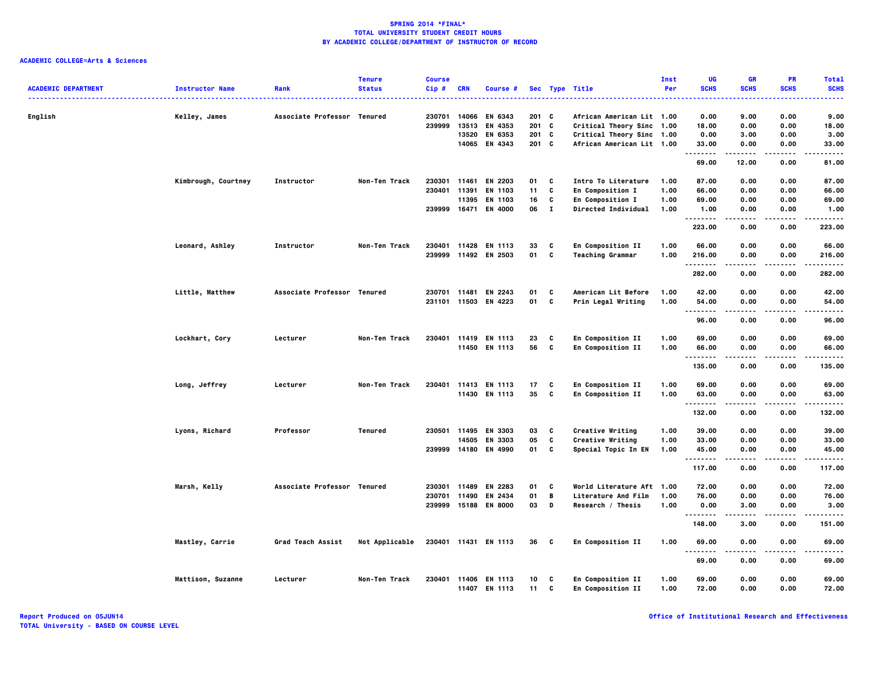|                            |                        |                             | <b>Tenure</b>  | <b>Course</b> |            |                                 |          |              |                                           | <b>Inst</b>  | UG               | <b>GR</b>         | PR                | <b>Total</b>         |
|----------------------------|------------------------|-----------------------------|----------------|---------------|------------|---------------------------------|----------|--------------|-------------------------------------------|--------------|------------------|-------------------|-------------------|----------------------|
| <b>ACADEMIC DEPARTMENT</b> | <b>Instructor Name</b> | Rank                        | <b>Status</b>  | Cip#          | <b>CRN</b> | Course #                        |          |              | Sec Type Title<br>.                       | Per          | <b>SCHS</b><br>. | <b>SCHS</b>       | <b>SCHS</b>       | <b>SCHS</b><br>----- |
| English                    | Kelley, James          | Associate Professor Tenured |                | 230701        | 14066      | EN 6343                         | 201 C    |              | African American Lit 1.00                 |              | 0.00             | 9.00              | 0.00              | 9.00                 |
|                            |                        |                             |                | 239999        | 13513      | EN 4353                         | 201 C    |              | Critical Theory Sinc 1.00                 |              | 18.00            | 0.00              | 0.00              | 18.00                |
|                            |                        |                             |                |               | 13520      | EN 6353                         | 201      | c            | Critical Theory Sinc 1.00                 |              | 0.00             | 3.00              | 0.00              | 3.00                 |
|                            |                        |                             |                |               |            | 14065 EN 4343                   | 201 C    |              | African American Lit 1.00                 |              | 33.00            | 0.00              | 0.00              | 33.00                |
|                            |                        |                             |                |               |            |                                 |          |              |                                           |              | <br>69.00        | .<br>12.00        | $- - - -$<br>0.00 | -----<br>81.00       |
|                            | Kimbrough, Courtney    | Instructor                  | Non-Ten Track  | 230301 11461  |            | EN 2203                         | 01       | C            | Intro To Literature                       | 1.00         | 87.00            | 0.00              | 0.00              | 87.00                |
|                            |                        |                             |                | 230401        | 11391      | EN 1103                         | 11       | C            | En Composition I                          | 1.00         | 66.00            | 0.00              | 0.00              | 66.00                |
|                            |                        |                             |                |               | 11395      | EN 1103                         | 16       | C            | En Composition I                          | 1.00         | 69.00            | 0.00              | 0.00              | 69.00                |
|                            |                        |                             |                |               |            | 239999 16471 EN 4000            | 06       | $\mathbf{I}$ | <b>Directed Individual</b>                | 1.00         | 1.00             | 0.00              | 0.00              | 1.00                 |
|                            |                        |                             |                |               |            |                                 |          |              |                                           |              | .<br>223.00      | -----<br>0.00     | .<br>0.00         | .<br>223.00          |
|                            | Leonard, Ashley        | Instructor                  | Non-Ten Track  | 230401        | 11428      | <b>EN 1113</b>                  | 33       | C            | En Composition II                         | 1.00         | 66.00            | 0.00              | 0.00              | 66.00                |
|                            |                        |                             |                |               |            | 239999 11492 EN 2503            | 01       | c            | <b>Teaching Grammar</b>                   | 1.00         | 216.00           | 0.00              | 0.00              | 216.00               |
|                            |                        |                             |                |               |            |                                 |          |              |                                           |              | .<br>282.00      | $- - - -$<br>0.00 | ----<br>0.00      | .<br>282.00          |
|                            |                        | Associate Professor Tenured |                | 230701 11481  |            | EN 2243                         | 01       | C            |                                           | 1.00         |                  |                   | 0.00              | 42.00                |
|                            | Little, Matthew        |                             |                | 231101 11503  |            | EN 4223                         | 01       | C            | American Lit Before<br>Prin Legal Writing | 1.00         | 42.00<br>54.00   | 0.00<br>0.00      | 0.00              | 54.00                |
|                            |                        |                             |                |               |            |                                 |          |              |                                           |              | .                |                   |                   |                      |
|                            |                        |                             |                |               |            |                                 |          |              |                                           |              | 96.00            | 0.00              | 0.00              | 96.00                |
|                            | Lockhart, Cory         | Lecturer                    | Non-Ten Track  | 230401        |            | 11419 EN 1113                   | 23       | C            | En Composition II                         | 1.00         | 69.00            | 0.00              | 0.00              | 69.00                |
|                            |                        |                             |                |               |            | 11450 EN 1113                   | 56       | C            | En Composition II                         | 1.00         | 66.00<br>.       | 0.00              | 0.00<br>.         | 66.00<br>.           |
|                            |                        |                             |                |               |            |                                 |          |              |                                           |              | 135.00           | 0.00              | 0.00              | 135.00               |
|                            | Long, Jeffrey          | Lecturer                    | Non-Ten Track  | 230401        |            | 11413 EN 1113                   | 17       | C            | En Composition II                         | 1.00         | 69.00            | 0.00              | 0.00              | 69.00                |
|                            |                        |                             |                |               |            | 11430 EN 1113                   | 35       | C            | En Composition II                         | 1.00         | 63.00            | 0.00              | 0.00              | 63.00                |
|                            |                        |                             |                |               |            |                                 |          |              |                                           |              | <br>132.00       | .<br>0.00         | 0.00              | .<br>132.00          |
|                            |                        |                             |                |               |            |                                 |          |              |                                           |              |                  |                   |                   |                      |
|                            | Lyons, Richard         | Professor                   | Tenured        |               | 14505      | 230501 11495 EN 3303<br>EN 3303 | 03<br>05 | C<br>C       | Creative Writing<br>Creative Writing      | 1.00<br>1.00 | 39.00<br>33.00   | 0.00<br>0.00      | 0.00<br>0.00      | 39.00<br>33.00       |
|                            |                        |                             |                | 239999 14180  |            | EN 4990                         | 01       | C            | Special Topic In EN                       | 1.00         | 45.00            | 0.00              | 0.00              | 45.00                |
|                            |                        |                             |                |               |            |                                 |          |              |                                           |              | .                |                   |                   | .                    |
|                            |                        |                             |                |               |            |                                 |          |              |                                           |              | 117.00           | 0.00              | 0.00              | 117.00               |
|                            | Marsh, Kelly           | Associate Professor Tenured |                | 230301 11489  |            | EN 2283                         | 01       | C            | World Literature Aft 1.00                 |              | 72.00            | 0.00              | 0.00              | 72.00                |
|                            |                        |                             |                | 230701 11490  |            | EN 2434                         | 01       | B            | Literature And Film                       | 1.00         | 76.00            | 0.00              | 0.00              | 76.00                |
|                            |                        |                             |                |               |            | 239999 15188 EN 8000            | 03       | D            | Research / Thesis                         | 1.00         | 0.00<br>.        | 3.00<br>.         | 0.00              | 3.00<br>.            |
|                            |                        |                             |                |               |            |                                 |          |              |                                           |              | 148.00           | 3.00              | 0.00              | 151.00               |
|                            | Mastley, Carrie        | Grad Teach Assist           | Not Applicable |               |            | 230401 11431 EN 1113            | 36 C     |              | En Composition II                         | 1.00         | 69.00<br>.       | 0.00              | 0.00<br>$- - -$   | 69.00<br>.           |
|                            |                        |                             |                |               |            |                                 |          |              |                                           |              | 69.00            | 0.00              | 0.00              | 69.00                |
|                            | Mattison, Suzanne      | Lecturer                    | Non-Ten Track  | 230401        |            | 11406 EN 1113                   | 10       | C            | En Composition II                         | 1.00         | 69.00            | 0.00              | 0.00              | 69.00                |
|                            |                        |                             |                |               |            | 11407 EN 1113                   | 11       | C            | En Composition II                         | 1.00         | 72.00            | 0.00              | 0.00              | 72.00                |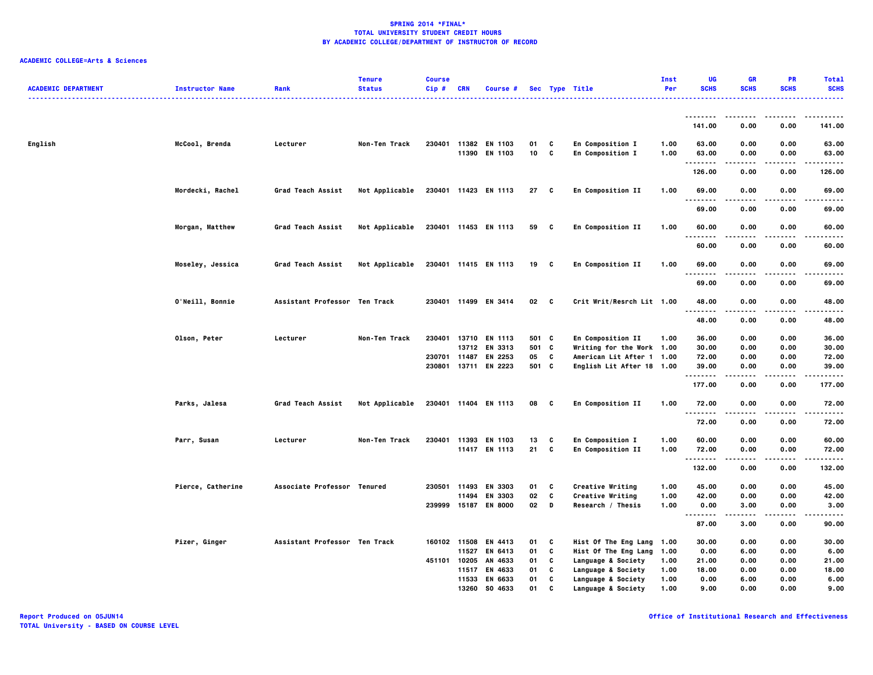| <b>ACADEMIC DEPARTMENT</b> | <b>Instructor Name</b> | Rank                          | <b>Tenure</b><br><b>Status</b> | <b>Course</b><br>Cip# | CRN          | Course #                              |                 |        | Sec Type Title                       | Inst<br>Per  | UG<br><b>SCHS</b>   | <b>GR</b><br><b>SCHS</b> | PR<br><b>SCHS</b>        | <b>Total</b><br><b>SCHS</b> |
|----------------------------|------------------------|-------------------------------|--------------------------------|-----------------------|--------------|---------------------------------------|-----------------|--------|--------------------------------------|--------------|---------------------|--------------------------|--------------------------|-----------------------------|
|                            |                        |                               |                                |                       |              |                                       |                 |        |                                      |              | .                   |                          |                          |                             |
|                            |                        |                               |                                |                       |              |                                       |                 |        |                                      |              | 141.00              | 0.00                     | 0.00                     | 141.00                      |
| English                    | McCool, Brenda         | Lecturer                      | Non-Ten Track                  |                       |              | 230401 11382 EN 1103<br>11390 EN 1103 | 01<br>10        | C<br>C | En Composition I<br>En Composition I | 1.00<br>1.00 | 63.00<br>63.00<br>. | 0.00<br>0.00<br>.        | 0.00<br>0.00<br>$\cdots$ | 63.00<br>63.00<br>.         |
|                            |                        |                               |                                |                       |              |                                       |                 |        |                                      |              | 126.00              | 0.00                     | 0.00                     | 126.00                      |
|                            | Mordecki, Rachel       | Grad Teach Assist             | Not Applicable                 |                       |              | 230401 11423 EN 1113                  | 27 C            |        | En Composition II                    | 1.00         | 69.00               | 0.00                     | 0.00                     | 69.00                       |
|                            |                        |                               |                                |                       |              |                                       |                 |        |                                      |              | 69.00               | 0.00                     | 0.00                     | 69.00                       |
|                            | Morgan, Matthew        | Grad Teach Assist             | Not Applicable                 |                       |              | 230401 11453 EN 1113                  | 59 C            |        | En Composition II                    | 1.00         | 60.00               | 0.00                     | 0.00                     | 60.00                       |
|                            |                        |                               |                                |                       |              |                                       |                 |        |                                      |              | 60.00               | 0.00                     | 0.00                     | 60.00                       |
|                            | Moseley, Jessica       | Grad Teach Assist             | Not Applicable                 |                       |              | 230401 11415 EN 1113                  | 19 C            |        | En Composition II                    | 1.00         | 69.00<br>.          | 0.00<br>$- - - -$        | 0.00<br>----             | 69.00<br>-----              |
|                            |                        |                               |                                |                       |              |                                       |                 |        |                                      |              | 69.00               | 0.00                     | 0.00                     | 69.00                       |
|                            | 0'Neill, Bonnie        | Assistant Professor Ten Track |                                |                       |              | 230401 11499 EN 3414                  | 02 <sub>c</sub> |        | Crit Writ/Resrch Lit 1.00            |              | 48.00<br>.          | 0.00                     | 0.00                     | 48.00                       |
|                            |                        |                               |                                |                       |              |                                       |                 |        |                                      |              | 48.00               | 0.00                     | 0.00                     | 48.00                       |
|                            | Olson, Peter           | Lecturer                      | Non-Ten Track                  | 230401                |              | 13710 EN 1113                         | 501 C           |        | En Composition II                    | 1.00         | 36.00               | 0.00                     | 0.00                     | 36.00                       |
|                            |                        |                               |                                |                       |              | 13712 EN 3313                         | 501 C           |        | Writing for the Work 1.00            |              | 30.00               | 0.00                     | 0.00                     | 30.00                       |
|                            |                        |                               |                                |                       | 230701 11487 | EN 2253                               | 05 C            |        | American Lit After 1 1.00            |              | 72.00               | 0.00                     | 0.00                     | 72.00                       |
|                            |                        |                               |                                |                       |              | 230801 13711 EN 2223                  | 501 C           |        | English Lit After 18 1.00            |              | 39.00<br>           | 0.00                     | 0.00<br>$- - - -$        | 39.00<br>----               |
|                            |                        |                               |                                |                       |              |                                       |                 |        |                                      |              | 177.00              | 0.00                     | 0.00                     | 177.00                      |
|                            | Parks, Jalesa          | Grad Teach Assist             | Not Applicable                 |                       |              | 230401 11404 EN 1113                  | 08              | C      | <b>En Composition II</b>             | 1.00         | 72.00<br>.          | 0.00<br>.                | 0.00<br>----             | 72.00<br>.                  |
|                            |                        |                               |                                |                       |              |                                       |                 |        |                                      |              | 72.00               | 0.00                     | 0.00                     | 72.00                       |
|                            | Parr, Susan            | Lecturer                      | Non-Ten Track                  |                       |              | 230401 11393 EN 1103                  | 13              | C      | En Composition I                     | 1.00         | 60.00               | 0.00                     | 0.00                     | 60.00                       |
|                            |                        |                               |                                |                       |              | 11417 EN 1113                         | 21 C            |        | En Composition II                    | 1.00         | 72.00<br>.          | 0.00                     | 0.00                     | 72.00<br>$- - - -$          |
|                            |                        |                               |                                |                       |              |                                       |                 |        |                                      |              | 132.00              | 0.00                     | 0.00                     | 132.00                      |
|                            | Pierce, Catherine      | Associate Professor Tenured   |                                |                       |              | 230501 11493 EN 3303                  | 01              | C      | Creative Writing                     | 1.00         | 45.00               | 0.00                     | 0.00                     | 45.00                       |
|                            |                        |                               |                                |                       |              | 11494 EN 3303                         | 02              | C      | Creative Writing                     | 1.00         | 42.00               | 0.00                     | 0.00                     | 42.00                       |
|                            |                        |                               |                                |                       |              | 239999 15187 EN 8000                  | 02              | D      | Research / Thesis                    | 1.00         | 0.00<br>.           | 3.00<br>.                | 0.00<br>.                | 3.00<br>.                   |
|                            |                        |                               |                                |                       |              |                                       |                 |        |                                      |              | 87.00               | 3.00                     | 0.00                     | 90.00                       |
|                            | Pizer, Ginger          | Assistant Professor Ten Track |                                |                       |              | 160102 11508 EN 4413                  | 01              | C      | Hist Of The Eng Lang 1.00            |              | 30.00               | 0.00                     | 0.00                     | 30.00                       |
|                            |                        |                               |                                |                       | 11527        | EN 6413                               | 01              | C      | Hist Of The Eng Lang                 | 1.00         | 0.00                | 6.00                     | 0.00                     | 6.00                        |
|                            |                        |                               |                                |                       | 451101 10205 | AN 4633                               | 01              | c      | Language & Society                   | 1.00         | 21.00               | 0.00                     | 0.00                     | 21.00                       |
|                            |                        |                               |                                |                       | 11517        | EN 4633                               | 01              | C      | Language & Society                   | 1.00         | 18.00               | 0.00                     | 0.00                     | 18.00                       |
|                            |                        |                               |                                |                       |              | 11533 EN 6633                         | 01              | c      | Language & Society                   | 1.00         | 0.00                | 6.00                     | 0.00                     | 6.00                        |
|                            |                        |                               |                                |                       | 13260        | SO 4633                               | 01              | c      | Language & Society                   | 1.00         | 9.00                | 0.00                     | 0.00                     | 9.00                        |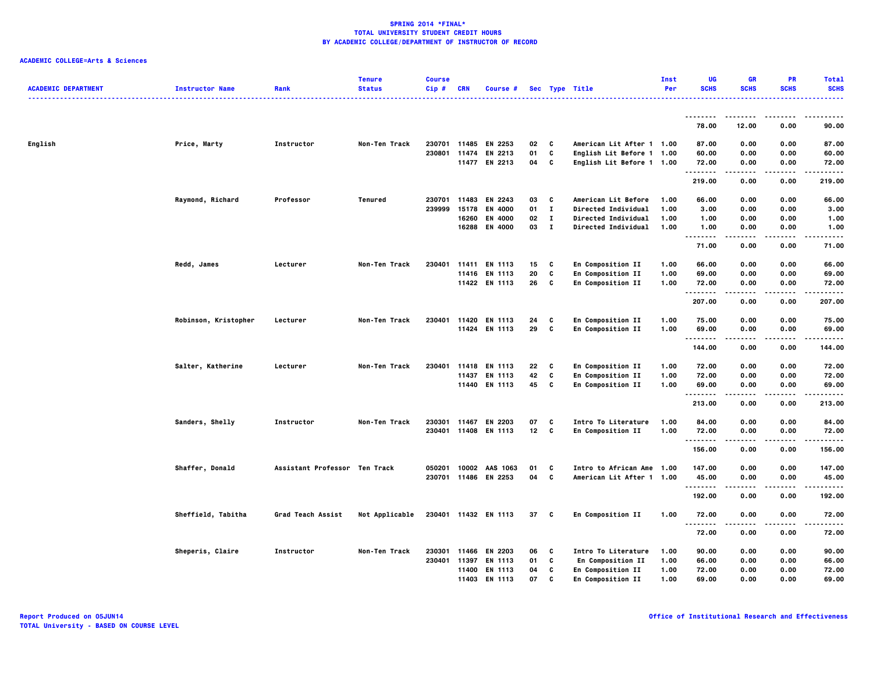| <b>ACADEMIC DEPARTMENT</b> | <b>Instructor Name</b> | Rank                          | <b>Tenure</b><br><b>Status</b> | <b>Course</b><br>Cip# | CRN          | Course #                 |          |              | Sec Type Title                                         | Inst<br>Per | <b>UG</b><br><b>SCHS</b> | <b>GR</b><br><b>SCHS</b> | <b>PR</b><br><b>SCHS</b> | <b>Total</b><br><b>SCHS</b><br>. |
|----------------------------|------------------------|-------------------------------|--------------------------------|-----------------------|--------------|--------------------------|----------|--------------|--------------------------------------------------------|-------------|--------------------------|--------------------------|--------------------------|----------------------------------|
|                            |                        |                               |                                |                       |              |                          |          |              |                                                        |             | --------                 | .                        | .                        | .                                |
|                            |                        |                               |                                |                       |              |                          |          |              |                                                        |             | 78.00                    | 12.00                    | 0.00                     | 90.00                            |
| English                    | Price, Marty           | Instructor                    | Non-Ten Track                  |                       |              | 230701 11485 EN 2253     | 02       | C            | American Lit After 1 1.00                              |             | 87.00                    | 0.00                     | 0.00                     | 87.00                            |
|                            |                        |                               |                                | 230801                | 11474        | EN 2213<br>11477 EN 2213 | 01<br>04 | C<br>C       | English Lit Before 1 1.00<br>English Lit Before 1 1.00 |             | 60.00<br>72.00           | 0.00<br>0.00             | 0.00<br>0.00             | 60.00<br>72.00                   |
|                            |                        |                               |                                |                       |              |                          |          |              |                                                        |             | .<br>219.00              | .<br>0.00                | ----<br>0.00             | .<br>219.00                      |
|                            |                        |                               |                                |                       |              |                          |          |              |                                                        |             |                          |                          |                          |                                  |
|                            | Raymond, Richard       | Professor                     | Tenured                        | 230701                | 11483        | EN 2243                  | 03       | c            | American Lit Before                                    | 1.00        | 66.00                    | 0.00                     | 0.00                     | 66.00                            |
|                            |                        |                               |                                | 239999                | 15178        | <b>EN 4000</b>           | 01       | $\mathbf{I}$ | Directed Individual                                    | 1.00        | 3.00                     | 0.00                     | 0.00                     | 3.00                             |
|                            |                        |                               |                                |                       | 16260        | <b>EN 4000</b>           | 02       | $\mathbf{I}$ | <b>Directed Individual</b>                             | 1.00        | 1.00                     | 0.00                     | 0.00                     | 1.00                             |
|                            |                        |                               |                                |                       | 16288        | EN 4000                  | 03       | $\mathbf{I}$ | <b>Directed Individual</b>                             | 1.00        | 1.00<br>.                | 0.00<br>$- - - -$        | 0.00<br>----             | 1.00<br>$- - - -$                |
|                            |                        |                               |                                |                       |              |                          |          |              |                                                        |             | 71.00                    | 0.00                     | 0.00                     | 71.00                            |
|                            | Redd, James            | Lecturer                      | Non-Ten Track                  | 230401                | 11411        | <b>EN 1113</b>           | 15       | C            | En Composition II                                      | 1.00        | 66.00                    | 0.00                     | 0.00                     | 66.00                            |
|                            |                        |                               |                                |                       |              | 11416 EN 1113            | 20       | C            | <b>En Composition II</b>                               | 1.00        | 69.00                    | 0.00                     | 0.00                     | 69.00                            |
|                            |                        |                               |                                |                       |              | 11422 EN 1113            | 26       | C            | <b>En Composition II</b>                               | 1.00        | 72.00                    | 0.00                     | 0.00                     | 72.00                            |
|                            |                        |                               |                                |                       |              |                          |          |              |                                                        |             | .<br>207.00              | 0.00                     | 0.00                     | $- - - -$<br>207.00              |
|                            | Robinson, Kristopher   | Lecturer                      | Non-Ten Track                  | 230401                | 11420        | <b>EN 1113</b>           | 24       | C            | <b>En Composition II</b>                               | 1.00        | 75.00                    | 0.00                     | 0.00                     | 75.00                            |
|                            |                        |                               |                                |                       |              | 11424 EN 1113            | 29       | C            | En Composition II                                      | 1.00        | 69.00                    | 0.00                     | 0.00                     | 69.00                            |
|                            |                        |                               |                                |                       |              |                          |          |              |                                                        |             | .<br>144.00              | .<br>0.00                | $\cdots$<br>0.00         | .<br>144.00                      |
|                            |                        | Lecturer                      | Non-Ten Track                  | 230401                |              | 11418 EN 1113            | 22       | C            |                                                        | 1.00        | 72.00                    | 0.00                     | 0.00                     | 72.00                            |
|                            | Salter, Katherine      |                               |                                |                       | 11437        | <b>EN 1113</b>           | 42       | C            | En Composition II<br>En Composition II                 | 1.00        | 72.00                    | 0.00                     | 0.00                     | 72.00                            |
|                            |                        |                               |                                |                       |              | 11440 EN 1113            | 45       | C            | En Composition II                                      | 1.00        | 69.00                    | 0.00                     | 0.00                     | 69.00                            |
|                            |                        |                               |                                |                       |              |                          |          |              |                                                        |             | .<br>213.00              | .<br>0.00                | $- - - -$<br>0.00        | .<br>213.00                      |
|                            |                        |                               |                                |                       |              |                          |          |              |                                                        |             |                          |                          |                          |                                  |
|                            | Sanders, Shelly        | Instructor                    | Non-Ten Track                  |                       | 230301 11467 | EN 2203                  | 07       | C            | Intro To Literature                                    | 1.00        | 84.00                    | 0.00                     | 0.00                     | 84.00                            |
|                            |                        |                               |                                |                       |              | 230401 11408 EN 1113     | $12$ C   |              | En Composition II                                      | 1.00        | 72.00                    | 0.00                     | 0.00                     | 72.00                            |
|                            |                        |                               |                                |                       |              |                          |          |              |                                                        |             | --------<br>156.00       | -----<br>0.00            | .<br>0.00                | .<br>156.00                      |
|                            | Shaffer, Donald        | Assistant Professor Ten Track |                                | 050201                | 10002        | AAS 1063                 | 01       | C            | Intro to African Ame 1.00                              |             | 147.00                   | 0.00                     | 0.00                     | 147.00                           |
|                            |                        |                               |                                |                       |              | 230701 11486 EN 2253     | 04       | C            | American Lit After 1 1.00                              |             | 45.00                    | 0.00                     | 0.00                     | 45.00                            |
|                            |                        |                               |                                |                       |              |                          |          |              |                                                        |             | .                        | .                        | .                        | .                                |
|                            |                        |                               |                                |                       |              |                          |          |              |                                                        |             | 192.00                   | 0.00                     | 0.00                     | 192.00                           |
|                            | Sheffield, Tabitha     | Grad Teach Assist             | Not Applicable                 |                       |              | 230401 11432 EN 1113     | 37 C     |              | En Composition II                                      | 1.00        | 72.00<br>.               | 0.00<br>.                | 0.00<br>$- - - -$        | 72.00<br>.                       |
|                            |                        |                               |                                |                       |              |                          |          |              |                                                        |             | 72.00                    | 0.00                     | 0.00                     | 72.00                            |
|                            | Sheperis, Claire       | Instructor                    | Non-Ten Track                  | 230301                | 11466        | EN 2203                  | 06       | C            | Intro To Literature                                    | 1.00        | 90.00                    | 0.00                     | 0.00                     | 90.00                            |
|                            |                        |                               |                                | 230401                | 11397        | EN 1113                  | 01       | C            | En Composition II                                      | 1.00        | 66.00                    | 0.00                     | 0.00                     | 66.00                            |
|                            |                        |                               |                                |                       | 11400        | <b>EN 1113</b>           | 04       | C            | <b>En Composition II</b>                               | 1.00        | 72.00                    | 0.00                     | 0.00                     | 72.00                            |
|                            |                        |                               |                                |                       |              | 11403 EN 1113            | 07       | c            | En Composition II                                      | 1.00        | 69.00                    | 0.00                     | 0.00                     | 69.00                            |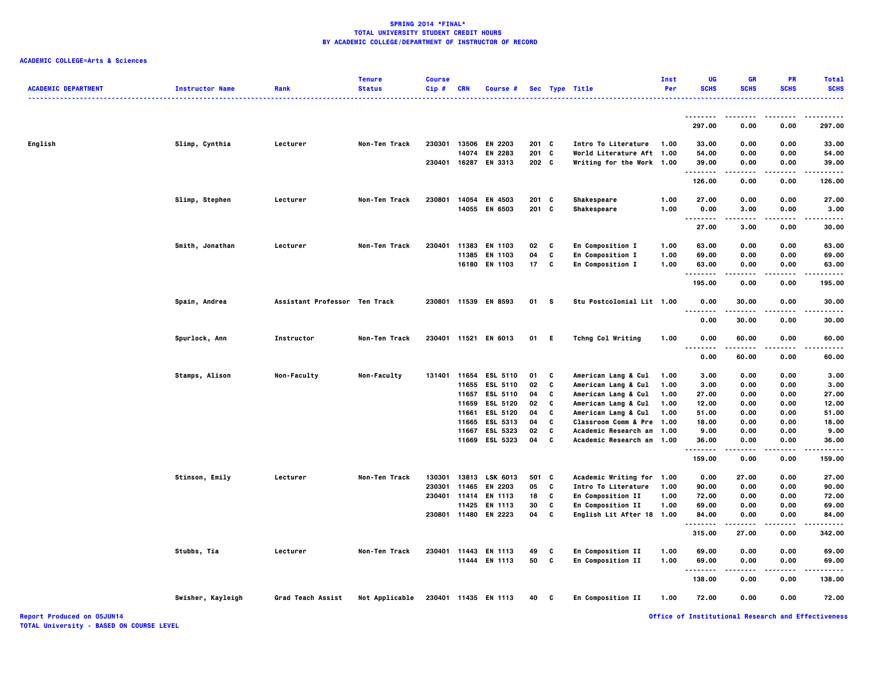# **ACADEMIC COLLEGE=Arts & Sciences**

| <b>ACADEMIC DEPARTMENT</b> | <b>Instructor Name</b> | Rank                          | <b>Tenure</b><br><b>Status</b> | <b>Course</b><br>Cip# | <b>CRN</b> | Course #              |         |     | Sec Type Title            | Inst<br>Per | UG<br><b>SCHS</b> | <b>GR</b><br><b>SCHS</b> | PR<br><b>SCHS</b> | <b>Total</b><br><b>SCHS</b> |
|----------------------------|------------------------|-------------------------------|--------------------------------|-----------------------|------------|-----------------------|---------|-----|---------------------------|-------------|-------------------|--------------------------|-------------------|-----------------------------|
|                            |                        |                               |                                |                       |            |                       |         |     |                           |             |                   |                          |                   |                             |
|                            |                        |                               |                                |                       |            |                       |         |     |                           |             | .<br>297.00       | 0.00                     | 0.00              | 297.00                      |
| English                    | Slimp, Cynthia         | Lecturer                      | Non-Ten Track                  | 230301                |            | 13506 EN 2203         | $201$ C |     | Intro To Literature       | 1.00        | 33.00             | 0.00                     | 0.00              | 33.00                       |
|                            |                        |                               |                                |                       | 14074      | EN 2283               | 201     | C   | World Literature Aft 1.00 |             | 54.00             | 0.00                     | 0.00              | 54.00                       |
|                            |                        |                               |                                |                       |            | 230401 16287 EN 3313  | $202$ C |     | Writing for the Work 1.00 |             | 39.00             | 0.00                     | 0.00              | 39.00                       |
|                            |                        |                               |                                |                       |            |                       |         |     |                           |             | .<br>126.00       | .<br>0.00                | .<br>0.00         | .<br>126.00                 |
|                            | Slimp, Stephen         | Lecturer                      | Non-Ten Track                  | 230801                |            | 14054 EN 4503         | 201     | C   | Shakespeare               | 1.00        | 27.00             | 0.00                     | 0.00              | 27.00                       |
|                            |                        |                               |                                |                       |            | 14055 EN 6503         | 201 C   |     | Shakespeare               | 1.00        | 0.00              | 3.00                     | 0.00              | 3.00                        |
|                            |                        |                               |                                |                       |            |                       |         |     |                           |             | .                 |                          |                   |                             |
|                            |                        |                               |                                |                       |            |                       |         |     |                           |             | 27.00             | 3.00                     | 0.00              | 30.00                       |
|                            | Smith, Jonathan        | Lecturer                      | Non-Ten Track                  | 230401                | 11383      | EN 1103               | 02      | C   | En Composition I          | 1.00        | 63.00             | 0.00                     | 0.00              | 63.00                       |
|                            |                        |                               |                                |                       |            | 11385 EN 1103         | 04      | C   | En Composition I          | 1.00        | 69.00             | 0.00                     | 0.00              | 69.00                       |
|                            |                        |                               |                                |                       |            | 16180 EN 1103         | 17      | C   | En Composition I          | 1.00        | 63.00<br>-------- | 0.00                     | 0.00              | 63.00                       |
|                            |                        |                               |                                |                       |            |                       |         |     |                           |             | 195.00            | 0.00                     | 0.00              | 195.00                      |
|                            | Spain, Andrea          | Assistant Professor Ten Track |                                |                       |            | 230801 11539 EN 8593  | 01      | s   | Stu Postcolonial Lit 1.00 |             | 0.00<br>.         | 30.00                    | 0.00              | 30.00                       |
|                            |                        |                               |                                |                       |            |                       |         |     |                           |             | 0.00              | 30.00                    | 0.00              | 30.00                       |
|                            | Spurlock, Ann          | Instructor                    | Non-Ten Track                  |                       |            | 230401 11521 EN 6013  | 01      | - E | <b>Tchng Col Writing</b>  | 1.00        | 0.00<br>          | 60.00                    | 0.00              | 60.00                       |
|                            |                        |                               |                                |                       |            |                       |         |     |                           |             | 0.00              | 60.00                    | 0.00              | 60.00                       |
|                            | Stamps, Alison         | <b>Non-Faculty</b>            | Non-Faculty                    |                       |            | 131401 11654 ESL 5110 | 01      | C   | American Lang & Cul       | 1.00        | 3.00              | 0.00                     | 0.00              | 3.00                        |
|                            |                        |                               |                                |                       | 11655      | <b>ESL 5110</b>       | 02      | C   | American Lang & Cul       | 1.00        | 3.00              | 0.00                     | 0.00              | 3.00                        |
|                            |                        |                               |                                |                       |            | 11657 ESL 5110        | 04      | C   | American Lang & Cul       | 1.00        | 27.00             | 0.00                     | 0.00              | 27.00                       |
|                            |                        |                               |                                |                       |            | 11659 ESL 5120        | 02      | c   | American Lang & Cul       | 1.00        | 12.00             | 0.00                     | 0.00              | 12.00                       |
|                            |                        |                               |                                |                       | 11661      | ESL 5120              | 04      | C   | American Lang & Cul       | 1.00        | 51.00             | 0.00                     | 0.00              | 51.00                       |
|                            |                        |                               |                                |                       |            | 11665 ESL 5313        | 04      | C   | Classroom Comm & Pre 1.00 |             | 18.00             | 0.00                     | 0.00              | 18.00                       |
|                            |                        |                               |                                |                       | 11667      | <b>ESL 5323</b>       | 02      | C   | Academic Research an 1.00 |             | 9.00              | 0.00                     | 0.00              | 9.00                        |
|                            |                        |                               |                                |                       |            | 11669 ESL 5323        | 04      | C   | Academic Research an 1.00 |             | 36.00             | 0.00                     | 0.00              | 36.00                       |
|                            |                        |                               |                                |                       |            |                       |         |     |                           |             | .<br>159.00       | 0.00                     | 0.00              | 159.00                      |
|                            | Stinson, Emily         | Lecturer                      | Non-Ten Track                  | 130301                | 13813      | LSK 6013              | 501     | C   | Academic Writing for 1.00 |             | 0.00              | 27.00                    | 0.00              | 27.00                       |
|                            |                        |                               |                                | 230301                | 11465      | EN 2203               | 05      | C   | Intro To Literature       | 1.00        | 90.00             | 0.00                     | 0.00              | 90.00                       |
|                            |                        |                               |                                | 230401                | 11414      | EN 1113               | 18      | C   | En Composition II         | 1.00        | 72.00             | 0.00                     | 0.00              | 72.00                       |
|                            |                        |                               |                                |                       | 11425      | EN 1113               | 30      | C   | En Composition II         | 1.00        | 69.00             | 0.00                     | 0.00              | 69.00                       |
|                            |                        |                               |                                | 230801 11480          |            | EN 2223               | 04      | C   | English Lit After 18 1.00 |             | 84.00             | 0.00                     | 0.00              | 84.00                       |
|                            |                        |                               |                                |                       |            |                       |         |     |                           |             | .<br>315.00       | 27.00                    | 0.00              | 342.00                      |
|                            | Stubbs, Tia            | Lecturer                      | Non-Ten Track                  |                       |            | 230401 11443 EN 1113  | 49      | C   | En Composition II         | 1.00        | 69.00             | 0.00                     | 0.00              | 69.00                       |
|                            |                        |                               |                                |                       |            | 11444 EN 1113         | 50      | C   | En Composition II         | 1.00        | 69.00             | 0.00                     | 0.00              | 69.00                       |
|                            |                        |                               |                                |                       |            |                       |         |     |                           |             | --------          | $- - - -$                | - - - - -         |                             |
|                            |                        |                               |                                |                       |            |                       |         |     |                           |             | 138.00            | 0.00                     | 0.00              | 138.00                      |
|                            | Swisher, Kayleigh      | Grad Teach Assist             | Not Applicable                 |                       |            | 230401 11435 EN 1113  | 40      | C   | En Composition II         | 1.00        | 72.00             | 0.00                     | 0.00              | 72.00                       |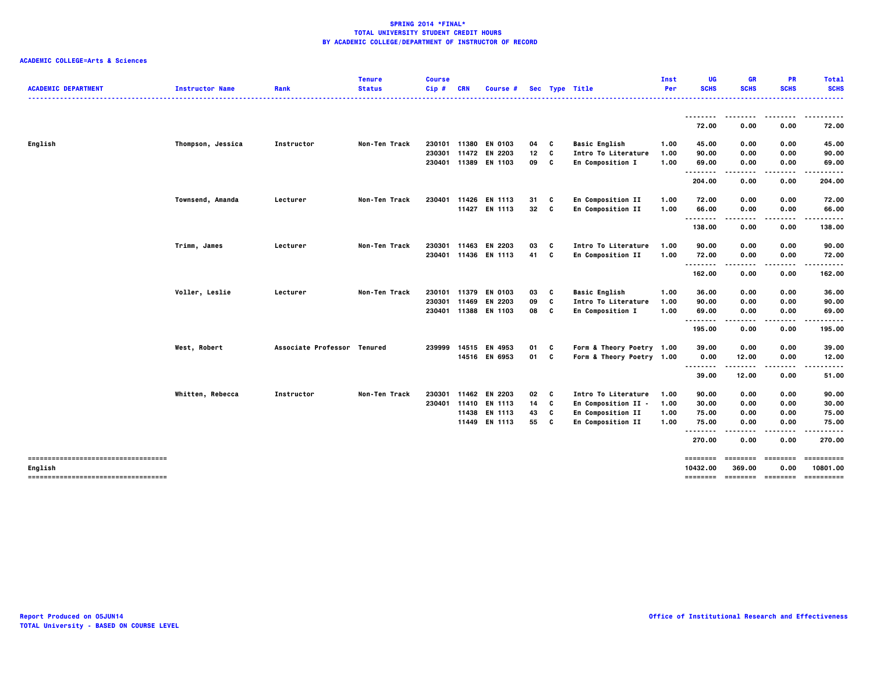| <b>ACADEMIC DEPARTMENT</b>                     | <b>Instructor Name</b> | Rank                        | <b>Tenure</b><br><b>Status</b> | <b>Course</b><br>Cip# | <b>CRN</b>     | Course #                        |          |        | Sec Type Title                                         | Inst<br>Per  | UG<br><b>SCHS</b>    | <b>GR</b><br><b>SCHS</b>   | <b>PR</b><br><b>SCHS</b> | <b>Total</b><br><b>SCHS</b> |
|------------------------------------------------|------------------------|-----------------------------|--------------------------------|-----------------------|----------------|---------------------------------|----------|--------|--------------------------------------------------------|--------------|----------------------|----------------------------|--------------------------|-----------------------------|
|                                                |                        |                             |                                |                       |                |                                 |          |        |                                                        |              | --------<br>72.00    | --------<br>0.00           | .<br>0.00                | .<br>72.00                  |
|                                                |                        |                             |                                |                       |                |                                 |          |        |                                                        |              |                      |                            |                          |                             |
| English                                        | Thompson, Jessica      | Instructor                  | Non-Ten Track                  | 230101                | 11380<br>11472 | <b>EN 0103</b>                  | 04       | C      | <b>Basic English</b>                                   | 1.00         | 45.00                | 0.00                       | 0.00                     | 45.00                       |
|                                                |                        |                             |                                | 230301                |                | EN 2203<br>230401 11389 EN 1103 | 12<br>09 | C<br>C | Intro To Literature<br>En Composition I                | 1.00<br>1.00 | 90.00<br>69.00       | 0.00<br>0.00               | 0.00<br>0.00             | 90.00<br>69.00              |
|                                                |                        |                             |                                |                       |                |                                 |          |        |                                                        |              | ---------            | $- - - -$                  | .                        | .                           |
|                                                |                        |                             |                                |                       |                |                                 |          |        |                                                        |              | 204.00               | 0.00                       | 0.00                     | 204.00                      |
|                                                | Townsend, Amanda       | Lecturer                    | Non-Ten Track                  | 230401                | 11426          | <b>EN 1113</b>                  | 31       | C      | En Composition II                                      | 1.00         | 72.00                | 0.00                       | 0.00                     | 72.00                       |
|                                                |                        |                             |                                |                       |                | 11427 EN 1113                   | 32       | C      | En Composition II                                      | 1.00         | 66.00                | 0.00                       | 0.00                     | 66.00                       |
|                                                |                        |                             |                                |                       |                |                                 |          |        |                                                        |              | --------             | ----                       |                          |                             |
|                                                |                        |                             |                                |                       |                |                                 |          |        |                                                        |              | 138.00               | 0.00                       | 0.00                     | 138.00                      |
|                                                | Trimm, James           | Lecturer                    | Non-Ten Track                  | 230301                | 11463          | EN 2203                         | 03       | C      | Intro To Literature                                    | 1.00         | 90.00                | 0.00                       | 0.00                     | 90.00                       |
|                                                |                        |                             |                                |                       |                | 230401 11436 EN 1113            | 41       | C      | En Composition II                                      | 1.00         | 72.00                | 0.00                       | 0.00                     | 72.00                       |
|                                                |                        |                             |                                |                       |                |                                 |          |        |                                                        |              | --------<br>162.00   | .<br>0.00                  | 0.00                     | 162.00                      |
|                                                | Voller, Leslie         | Lecturer                    | Non-Ten Track                  |                       |                | 230101 11379 EN 0103            | 03       | C      | <b>Basic English</b>                                   | 1.00         | 36.00                | 0.00                       | 0.00                     | 36.00                       |
|                                                |                        |                             |                                | 230301                | 11469          | EN 2203                         | 09       | C      | Intro To Literature                                    | 1.00         | 90.00                | 0.00                       | 0.00                     | 90.00                       |
|                                                |                        |                             |                                |                       |                | 230401 11388 EN 1103            | 08       | C      | En Composition I                                       | 1.00         | 69.00                | 0.00                       | 0.00                     | 69.00                       |
|                                                |                        |                             |                                |                       |                |                                 |          |        |                                                        |              | --------<br>195.00   | .<br>0.00                  | 0.00                     | 195.00                      |
|                                                |                        | Associate Professor Tenured |                                | 239999                |                | 14515 EN 4953                   | 01       | C      |                                                        |              | 39.00                | 0.00                       | 0.00                     | 39.00                       |
|                                                | West, Robert           |                             |                                |                       |                | 14516 EN 6953                   | 01       | C      | Form & Theory Poetry 1.00<br>Form & Theory Poetry 1.00 |              | 0.00                 | 12.00                      | 0.00                     | 12.00                       |
|                                                |                        |                             |                                |                       |                |                                 |          |        |                                                        |              | --------             | .                          |                          |                             |
|                                                |                        |                             |                                |                       |                |                                 |          |        |                                                        |              | 39.00                | 12.00                      | 0.00                     | 51.00                       |
|                                                | Whitten, Rebecca       | Instructor                  | Non-Ten Track                  | 230301                |                | 11462 EN 2203                   | 02       | c      | Intro To Literature                                    | 1.00         | 90.00                | 0.00                       | 0.00                     | 90.00                       |
|                                                |                        |                             |                                | 230401                | 11410          | EN 1113                         | 14       | C      | En Composition II -                                    | 1.00         | 30.00                | 0.00                       | 0.00                     | 30.00                       |
|                                                |                        |                             |                                |                       |                | 11438 EN 1113                   | 43       | C      | En Composition II                                      | 1.00         | 75.00                | 0.00                       | 0.00                     | 75.00                       |
|                                                |                        |                             |                                |                       |                | 11449 EN 1113                   | 55       | C      | En Composition II                                      | 1.00         | 75.00                | 0.00                       | 0.00                     | 75.00                       |
|                                                |                        |                             |                                |                       |                |                                 |          |        |                                                        |              | <br>270.00           | .<br>0.00                  | -----<br>0.00            | .<br>270.00                 |
| -----------------------------------            |                        |                             |                                |                       |                |                                 |          |        |                                                        |              | ========             | ========                   | ========                 | ==========<br>10801.00      |
| English<br>----------------------------------- |                        |                             |                                |                       |                |                                 |          |        |                                                        |              | 10432.00<br>======== | 369.00<br>soccess consess: | 0.00                     | ==========                  |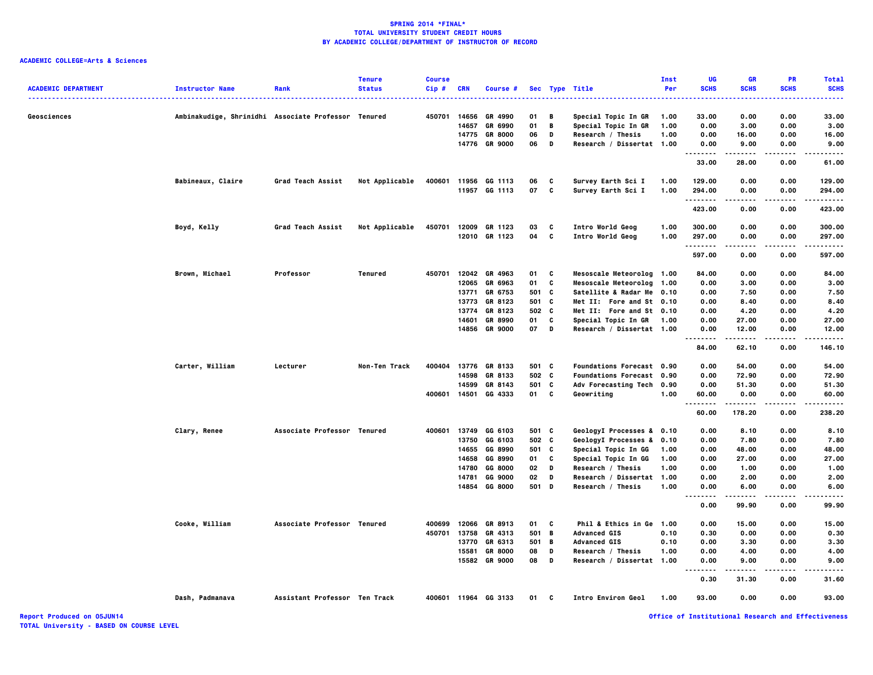# **ACADEMIC COLLEGE=Arts & Sciences**

| <b>ACADEMIC DEPARTMENT</b> | <b>Instructor Name</b>                              | Rank                          | <b>Tenure</b><br><b>Status</b> | <b>Course</b><br>Cip# | <b>CRN</b>     | Course #                                          |                |                  | Sec Type Title<br>. <b>.</b> .                                  | <b>Inst</b><br>Per   | UG<br><b>SCHS</b>                 | <b>GR</b><br><b>SCHS</b> | <b>PR</b><br><b>SCHS</b> | <b>Total</b><br><b>SCHS</b><br>$\frac{1}{2} \left( \frac{1}{2} \right) \left( \frac{1}{2} \right) \left( \frac{1}{2} \right) \left( \frac{1}{2} \right)$ |
|----------------------------|-----------------------------------------------------|-------------------------------|--------------------------------|-----------------------|----------------|---------------------------------------------------|----------------|------------------|-----------------------------------------------------------------|----------------------|-----------------------------------|--------------------------|--------------------------|----------------------------------------------------------------------------------------------------------------------------------------------------------|
| Geosciences                | Ambinakudige, Shrinidhi Associate Professor Tenured |                               |                                |                       | 14657<br>14775 | 450701 14656 GR 4990<br>GR 6990<br><b>GR 8000</b> | 01<br>01<br>06 | B<br>$\,$ B<br>D | Special Topic In GR<br>Special Topic In GR<br>Research / Thesis | 1.00<br>1.00<br>1.00 | 33.00<br>0.00<br>0.00             | 0.00<br>3.00<br>16.00    | 0.00<br>0.00<br>0.00     | 33.00<br>3.00<br>16.00                                                                                                                                   |
|                            |                                                     |                               |                                |                       |                | 14776 GR 9000                                     | 06             | D                | Research / Dissertat 1.00                                       |                      | 0.00<br>.                         | 9.00                     | 0.00                     | 9.00                                                                                                                                                     |
|                            |                                                     |                               |                                |                       |                |                                                   |                |                  |                                                                 |                      | 33.00                             | 28.00                    | 0.00                     | 61.00                                                                                                                                                    |
|                            | Babineaux, Claire                                   | Grad Teach Assist             | Not Applicable                 | 400601                |                | 11956 GG 1113<br>11957 GG 1113                    | 06<br>07       | C<br>c           | Survey Earth Sci I<br>Survey Earth Sci I                        | 1.00<br>1.00         | 129.00<br>294.00<br>.             | 0.00<br>0.00             | 0.00<br>0.00<br>.        | 129.00<br>294.00<br>.                                                                                                                                    |
|                            |                                                     |                               |                                |                       |                |                                                   |                |                  |                                                                 |                      | 423.00                            | 0.00                     | 0.00                     | 423.00                                                                                                                                                   |
|                            | Boyd, Kelly                                         | Grad Teach Assist             | Not Applicable                 |                       |                | 450701 12009 GR 1123<br>12010 GR 1123             | 03<br>04       | C<br>C           | Intro World Geog<br>Intro World Geog                            | 1.00<br>1.00         | 300.00<br>297.00                  | 0.00<br>0.00             | 0.00<br>0.00             | 300.00<br>297.00                                                                                                                                         |
|                            |                                                     |                               |                                |                       |                |                                                   |                |                  |                                                                 |                      | .<br>597.00                       | -----<br>0.00            | .<br>0.00                | .<br>597.00                                                                                                                                              |
|                            | Brown, Michael                                      | Professor                     | Tenured                        | 450701                | 12065          | 12042 GR 4963<br>GR 6963                          | 01<br>01       | c<br>C           | Mesoscale Meteorolog 1.00<br>Mesoscale Meteorolog 1.00          |                      | 84.00<br>0.00                     | 0.00<br>3.00             | 0.00<br>0.00             | 84.00<br>3.00                                                                                                                                            |
|                            |                                                     |                               |                                |                       | 13771          | GR 6753                                           | 501 C          |                  | Satellite & Radar Me 0.10                                       |                      | 0.00                              | 7.50                     | 0.00                     | 7.50                                                                                                                                                     |
|                            |                                                     |                               |                                |                       | 13773          | GR 8123                                           | 501            | C                | Met II: Fore and St 0.10                                        |                      | 0.00                              | 8.40                     | 0.00                     | 8.40                                                                                                                                                     |
|                            |                                                     |                               |                                |                       | 13774          | GR 8123                                           | 502 C          |                  | Met II: Fore and St 0.10                                        |                      | 0.00                              | 4.20                     | 0.00                     | 4.20                                                                                                                                                     |
|                            |                                                     |                               |                                |                       | 14601          | GR 8990                                           | 01             | C                | Special Topic In GR                                             | 1.00                 | 0.00                              | 27.00                    | 0.00                     | 27.00                                                                                                                                                    |
|                            |                                                     |                               |                                |                       | 14856          | <b>GR 9000</b>                                    | 07             | D                | Research / Dissertat 1.00                                       |                      | 0.00<br>-----                     | 12.00<br>-----           | 0.00<br>----             | 12.00<br>.                                                                                                                                               |
|                            |                                                     |                               |                                |                       |                |                                                   |                |                  |                                                                 |                      | 84.00                             | 62.10                    | 0.00                     | 146.10                                                                                                                                                   |
|                            | Carter, William                                     | Lecturer                      | Non-Ten Track                  | 400404                |                | 13776 GR 8133                                     | 501 C          |                  | <b>Foundations Forecast 0.90</b>                                |                      | 0.00                              | 54.00                    | 0.00                     | 54.00                                                                                                                                                    |
|                            |                                                     |                               |                                |                       | 14598          | GR 8133                                           | 502 C          |                  | <b>Foundations Forecast 0.90</b>                                |                      | 0.00                              | 72.90                    | 0.00                     | 72.90                                                                                                                                                    |
|                            |                                                     |                               |                                |                       | 14599          | GR 8143                                           | 501 C          |                  | Adv Forecasting Tech 0.90                                       |                      | 0.00                              | 51.30                    | 0.00                     | 51.30                                                                                                                                                    |
|                            |                                                     |                               |                                | 400601                | 14501          | GG 4333                                           | 01             | <b>C</b>         | Geowriting                                                      | 1.00                 | 60.00                             | 0.00                     | 0.00                     | 60.00                                                                                                                                                    |
|                            |                                                     |                               |                                |                       |                |                                                   |                |                  |                                                                 |                      | 60.00                             | 178.20                   | 0.00                     | 238.20                                                                                                                                                   |
|                            | Clary, Renee                                        | Associate Professor Tenured   |                                | 400601                |                | 13749 GG 6103                                     | 501 C          |                  | GeologyI Processes & 0.10                                       |                      | 0.00                              | 8.10                     | 0.00                     | 8.10                                                                                                                                                     |
|                            |                                                     |                               |                                |                       | 13750          | GG 6103                                           | 502 C          |                  | GeologyI Processes & 0.10                                       |                      | 0.00                              | 7.80                     | 0.00                     | 7.80                                                                                                                                                     |
|                            |                                                     |                               |                                |                       | 14655          | GG 8990                                           | 501 C          |                  | Special Topic In GG                                             | 1.00                 | 0.00                              | 48.00                    | 0.00                     | 48.00                                                                                                                                                    |
|                            |                                                     |                               |                                |                       | 14658          | GG 8990                                           | 01             | C                | Special Topic In GG                                             | 1.00                 | 0.00                              | 27.00                    | 0.00                     | 27.00                                                                                                                                                    |
|                            |                                                     |                               |                                |                       | 14780          | GG 8000                                           | 02             | D                | Research / Thesis                                               | 1.00                 | 0.00                              | 1.00                     | 0.00                     | 1.00                                                                                                                                                     |
|                            |                                                     |                               |                                |                       | 14781          | GG 9000<br>14854 GG 8000                          | 02<br>501      | D<br>D           | Research / Dissertat 1.00<br>Research / Thesis                  | 1.00                 | 0.00<br>0.00                      | 2.00<br>6.00             | 0.00<br>0.00             | 2.00<br>6.00                                                                                                                                             |
|                            |                                                     |                               |                                |                       |                |                                                   |                |                  |                                                                 |                      | .<br>$\sim$ $\sim$ $\sim$<br>0.00 | .<br>99.90               | ----<br>0.00             | 99.90                                                                                                                                                    |
|                            |                                                     |                               |                                |                       |                |                                                   |                |                  |                                                                 |                      |                                   |                          |                          |                                                                                                                                                          |
|                            | Cooke, William                                      | Associate Professor Tenured   |                                | 400699<br>450701      | 12066<br>13758 | GR 8913<br>GR 4313                                | 01<br>501 B    | c                | Phil & Ethics in Ge 1.00<br><b>Advanced GIS</b>                 | 0.10                 | 0.00<br>0.30                      | 15.00<br>0.00            | 0.00<br>0.00             | 15.00<br>0.30                                                                                                                                            |
|                            |                                                     |                               |                                |                       | 13770          | GR 6313                                           | 501 B          |                  | <b>Advanced GIS</b>                                             | 0.10                 | 0.00                              | 3.30                     | 0.00                     | 3.30                                                                                                                                                     |
|                            |                                                     |                               |                                |                       | 15581          | <b>GR 8000</b>                                    | 08             | D                | Research / Thesis                                               | 1.00                 | 0.00                              | 4.00                     | 0.00                     | 4.00                                                                                                                                                     |
|                            |                                                     |                               |                                |                       |                | 15582 GR 9000                                     | 08             | D                | Research / Dissertat 1.00                                       |                      | 0.00                              | 9.00                     | 0.00                     | 9,00                                                                                                                                                     |
|                            |                                                     |                               |                                |                       |                |                                                   |                |                  |                                                                 |                      | <br>0.30                          | 31.30                    | 0.00                     | -----<br>31.60                                                                                                                                           |
|                            | Dash, Padmanava                                     | Assistant Professor Ten Track |                                |                       |                | 400601 11964 GG 3133                              | 01             | C                | Intro Environ Geol                                              | 1.00                 | 93.00                             | 0.00                     | 0.00                     | 93.00                                                                                                                                                    |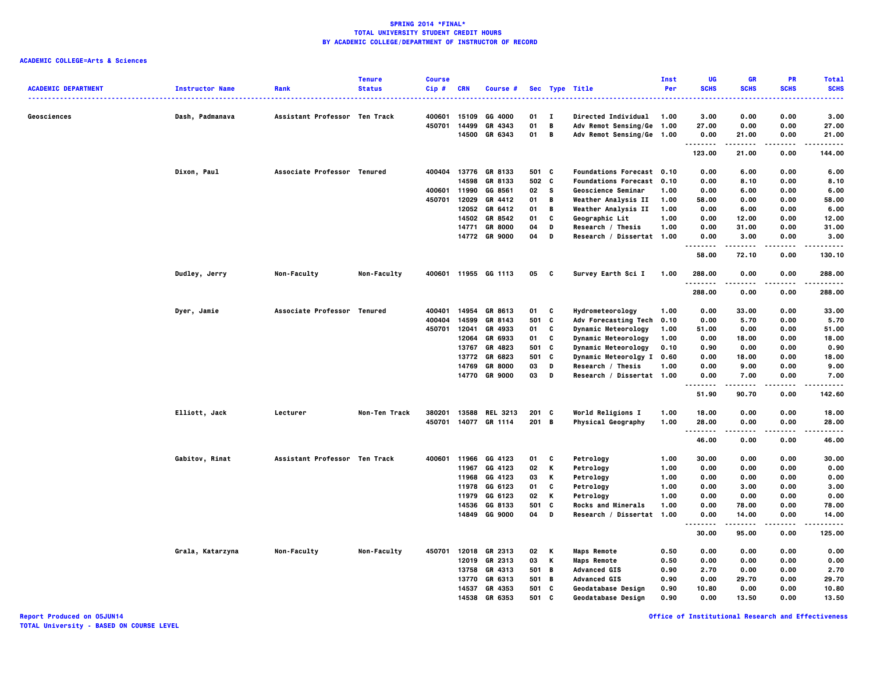# **ACADEMIC COLLEGE=Arts & Sciences**

| <b>ACADEMIC DEPARTMENT</b> | <b>Instructor Name</b> | Rank                          | <b>Tenure</b><br><b>Status</b> | <b>Course</b><br>$Cip$ # | <b>CRN</b>     | <b>Course #</b>      |               |              | Sec Type Title<br>.                               | Inst<br>Per  | UG<br><b>SCHS</b> | <b>GR</b><br><b>SCHS</b> | PR<br><b>SCHS</b> | <b>Total</b><br><b>SCHS</b> |
|----------------------------|------------------------|-------------------------------|--------------------------------|--------------------------|----------------|----------------------|---------------|--------------|---------------------------------------------------|--------------|-------------------|--------------------------|-------------------|-----------------------------|
| Geosciences                | Dash, Padmanava        | Assistant Professor Ten Track |                                | 400601                   | 15109          | GG 4000              | 01            | $\mathbf{I}$ | <b>Directed Individual</b>                        | 1.00         | 3.00              | 0.00                     | 0.00              | <br>3.00                    |
|                            |                        |                               |                                | 450701                   | 14499          | GR 4343              | 01            | B            | Adv Remot Sensing/Ge                              | 1.00         | 27.00             | 0.00                     | 0.00              | 27.00                       |
|                            |                        |                               |                                |                          | 14500          | GR 6343              | 01            | B            | Adv Remot Sensing/Ge 1.00                         |              | 0.00              | 21.00                    | 0.00              | 21.00                       |
|                            |                        |                               |                                |                          |                |                      |               |              |                                                   |              | .<br>123.00       | -----<br>21.00           | $- - - -$         | .<br>144.00                 |
|                            |                        |                               |                                |                          |                |                      |               |              |                                                   |              |                   |                          | 0.00              |                             |
|                            | Dixon, Paul            | Associate Professor Tenured   |                                | 400404                   |                | 13776 GR 8133        | 501 C         |              | Foundations Forecast 0.10                         |              | 0.00              | 6.00                     | 0.00              | 6.00                        |
|                            |                        |                               |                                |                          | 14598<br>11990 | GR 8133              | 502 C<br>02 S |              | Foundations Forecast 0.10                         |              | 0.00              | 8.10                     | 0.00              | 8.10                        |
|                            |                        |                               |                                | 400601<br>450701         | 12029          | GG 8561<br>GR 4412   | 01            | В            | Geoscience Seminar                                | 1.00<br>1.00 | 0.00              | 6.00                     | 0.00              | 6.00                        |
|                            |                        |                               |                                |                          | 12052          | GR 6412              | 01            | B            | Weather Analysis II<br><b>Weather Analysis II</b> | 1.00         | 58.00<br>0.00     | 0.00<br>6.00             | 0.00<br>0.00      | 58.00<br>6.00               |
|                            |                        |                               |                                |                          |                | 14502 GR 8542        | 01            | C            | Geographic Lit                                    | 1.00         | 0.00              | 12.00                    | 0.00              | 12.00                       |
|                            |                        |                               |                                |                          | 14771          | <b>GR 8000</b>       | 04            | D            | Research / Thesis                                 | 1.00         | 0.00              | 31.00                    | 0.00              | 31.00                       |
|                            |                        |                               |                                |                          |                | 14772 GR 9000        | 04            | D            | Research / Dissertat 1.00                         |              | 0.00              | 3.00                     | 0.00              | 3.00                        |
|                            |                        |                               |                                |                          |                |                      |               |              |                                                   |              | .                 | -----                    |                   | .                           |
|                            |                        |                               |                                |                          |                |                      |               |              |                                                   |              | 58.00             | 72.10                    | 0.00              | 130.10                      |
|                            | Dudley, Jerry          | Non-Faculty                   | Non-Faculty                    |                          |                | 400601 11955 GG 1113 | 05            | $\mathbf{c}$ | Survey Earth Sci I                                | 1.00         | 288.00<br>.       | 0.00                     | 0.00              | 288.00<br>$- - - -$         |
|                            |                        |                               |                                |                          |                |                      |               |              |                                                   |              | 288.00            | 0.00                     | 0.00              | 288.00                      |
|                            | Dyer, Jamie            | Associate Professor Tenured   |                                | 400401                   | 14954          | GR 8613              | 01            | C            | Hydrometeorology                                  | 1.00         | 0.00              | 33.00                    | 0.00              | 33.00                       |
|                            |                        |                               |                                | 400404                   | 14599          | GR 8143              | 501           | C            | Adv Forecasting Tech                              | 0.10         | 0.00              | 5.70                     | 0.00              | 5.70                        |
|                            |                        |                               |                                | 450701                   | 12041          | GR 4933              | 01            | C            | Dynamic Meteorology                               | 1.00         | 51.00             | 0.00                     | 0.00              | 51.00                       |
|                            |                        |                               |                                |                          | 12064          | GR 6933              | 01            | C            | <b>Dynamic Meteorology</b>                        | 1.00         | 0.00              | 18.00                    | 0.00              | 18.00                       |
|                            |                        |                               |                                |                          | 13767          | GR 4823              | 501 C         |              | Dynamic Meteorology                               | 0.10         | 0.90              | 0.00                     | 0.00              | 0.90                        |
|                            |                        |                               |                                |                          | 13772          | GR 6823              | 501           | C            | Dynamic Meteorolgy I                              | 0.60         | 0.00              | 18.00                    | 0.00              | 18.00                       |
|                            |                        |                               |                                |                          | 14769          | <b>GR 8000</b>       | 03            | D            | Research / Thesis                                 | 1.00         | 0.00              | 9.00                     | 0.00              | 9.00                        |
|                            |                        |                               |                                |                          |                | 14770 GR 9000        | 03            | D            | Research / Dissertat 1.00                         |              | 0.00<br>.         | 7.00<br>.                | 0.00<br>.         | 7.00<br>.                   |
|                            |                        |                               |                                |                          |                |                      |               |              |                                                   |              | 51.90             | 90.70                    | 0.00              | 142.60                      |
|                            | Elliott, Jack          | Lecturer                      | Non-Ten Track                  | 380201                   |                | 13588 REL 3213       | $201$ C       |              | World Religions I                                 | 1.00         | 18.00             | 0.00                     | 0.00              | 18.00                       |
|                            |                        |                               |                                | 450701                   |                | 14077 GR 1114        | 201 B         |              | Physical Geography                                | 1.00         | 28.00             | 0.00                     | 0.00              | 28.00                       |
|                            |                        |                               |                                |                          |                |                      |               |              |                                                   |              | .                 |                          | $- - - -$         | .                           |
|                            |                        |                               |                                |                          |                |                      |               |              |                                                   |              | 46.00             | 0.00                     | 0.00              | 46.00                       |
|                            | Gabitov, Rinat         | Assistant Professor Ten Track |                                |                          |                | 400601 11966 GG 4123 | 01            | C            | Petrology                                         | 1.00         | 30.00             | 0.00                     | 0.00              | 30.00                       |
|                            |                        |                               |                                |                          | 11967          | GG 4123              | 02            | K            | Petrology                                         | 1.00         | 0.00              | 0.00                     | 0.00              | 0.00                        |
|                            |                        |                               |                                |                          | 11968          | GG 4123              | 03            | К            | Petrology                                         | 1.00         | 0.00              | 0.00                     | 0.00              | 0.00                        |
|                            |                        |                               |                                |                          |                | 11978 GG 6123        | 01            | C            | Petrology                                         | 1.00         | 0.00              | 3.00                     | 0.00              | 3.00                        |
|                            |                        |                               |                                |                          | 11979          | GG 6123              | 02            | К            | Petrology                                         | 1.00         | 0.00              | 0.00                     | 0.00              | 0.00                        |
|                            |                        |                               |                                |                          |                | 14536 GG 8133        | 501           | C            | <b>Rocks and Minerals</b>                         | 1.00         | 0.00              | 78.00                    | 0.00              | 78.00                       |
|                            |                        |                               |                                |                          |                | 14849 GG 9000        | 04            | D            | Research / Dissertat                              | 1.00         | 0.00              | 14.00                    | 0.00              | 14.00                       |
|                            |                        |                               |                                |                          |                |                      |               |              |                                                   |              | 30.00             | 95.00                    | 0.00              | 125.00                      |
|                            | Grala, Katarzyna       | Non-Faculty                   | Non-Faculty                    | 450701                   |                | 12018 GR 2313        | 02 K          |              | <b>Maps Remote</b>                                | 0.50         | 0.00              | 0.00                     | 0.00              | 0.00                        |
|                            |                        |                               |                                |                          | 12019          | GR 2313              | 03            | К            | <b>Maps Remote</b>                                | 0.50         | 0.00              | 0.00                     | 0.00              | 0.00                        |
|                            |                        |                               |                                |                          | 13758          | GR 4313              | 501 B         |              | <b>Advanced GIS</b>                               | 0.90         | 2.70              | 0.00                     | 0.00              | 2.70                        |
|                            |                        |                               |                                |                          |                | 13770 GR 6313        | 501 B         |              | <b>Advanced GIS</b>                               | 0.90         | 0.00              | 29.70                    | 0.00              | 29.70                       |
|                            |                        |                               |                                |                          | 14537          | GR 4353              | 501           | C            | Geodatabase Design                                | 0.90         | 10.80             | 0.00                     | 0.00              | 10.80                       |
|                            |                        |                               |                                |                          | 14538          | GR 6353              | 501 C         |              | Geodatabase Design                                | 0.90         | 0.00              | 13.50                    | 0.00              | 13.50                       |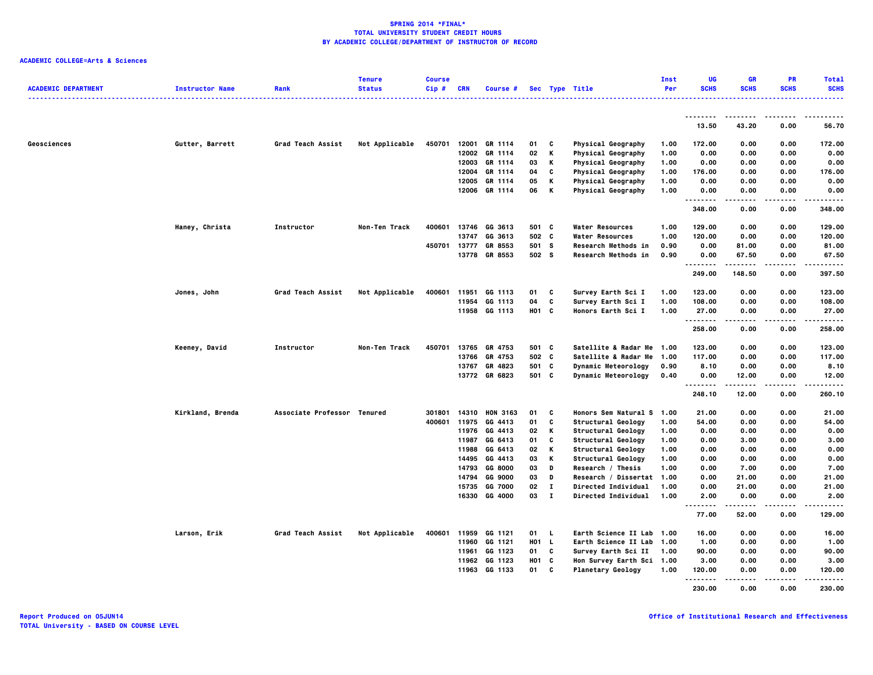| <b>ACADEMIC DEPARTMENT</b> | <b>Instructor Name</b> | Rank                        | <b>Tenure</b><br><b>Status</b> | <b>Course</b><br>Cip# | <b>CRN</b>     | Course #           |            |              | Sec Type Title                           | Inst<br>Per  | UG<br><b>SCHS</b>        | <b>GR</b><br><b>SCHS</b> | <b>PR</b><br><b>SCHS</b> | <b>Total</b><br><b>SCHS</b> |
|----------------------------|------------------------|-----------------------------|--------------------------------|-----------------------|----------------|--------------------|------------|--------------|------------------------------------------|--------------|--------------------------|--------------------------|--------------------------|-----------------------------|
|                            |                        |                             |                                |                       |                |                    |            |              |                                          |              |                          |                          |                          |                             |
|                            |                        |                             |                                |                       |                |                    |            |              |                                          |              | 13.50                    | 43.20                    | 0.00                     | 56.70                       |
| Geosciences                | Gutter, Barrett        | Grad Teach Assist           | Not Applicable                 | 450701                |                | 12001 GR 1114      | 01         | C            | <b>Physical Geography</b>                | 1.00         | 172.00                   | 0.00                     | 0.00                     | 172.00                      |
|                            |                        |                             |                                |                       | 12002          | GR 1114            | 02         | Κ            | Physical Geography                       | 1.00         | 0.00                     | 0.00                     | 0.00                     | 0.00                        |
|                            |                        |                             |                                |                       | 12003          | GR 1114            | 03         | Κ            | Physical Geography                       | 1.00         | 0.00                     | 0.00                     | 0.00                     | 0.00                        |
|                            |                        |                             |                                |                       | 12004          | GR 1114            | 04         | C            | Physical Geography                       | 1.00         | 176.00                   | 0.00                     | 0.00                     | 176.00                      |
|                            |                        |                             |                                |                       | 12005          | GR 1114            | 05         | Κ            | Physical Geography                       | 1.00         | 0.00                     | 0.00                     | 0.00                     | 0.00                        |
|                            |                        |                             |                                |                       | 12006          | GR 1114            | 06         | Κ            | <b>Physical Geography</b>                | 1.00         | 0.00<br>.                | 0.00<br>.                | 0.00                     | 0.00                        |
|                            |                        |                             |                                |                       |                |                    |            |              |                                          |              | 348.00                   | 0.00                     | 0.00                     | 348.00                      |
|                            | Haney, Christa         | Instructor                  | Non-Ten Track                  | 400601                |                | 13746 GG 3613      | 501 C      |              | <b>Water Resources</b>                   | 1.00         | 129.00                   | 0.00                     | 0.00                     | 129.00                      |
|                            |                        |                             |                                |                       | 13747          | GG 3613            | 502 C      |              | <b>Water Resources</b>                   | 1.00         | 120.00                   | 0.00                     | 0.00                     | 120.00                      |
|                            |                        |                             |                                | 450701                |                | 13777 GR 8553      | 501 S      |              | Research Methods in                      | 0.90         | 0.00                     | 81.00                    | 0.00                     | 81.00                       |
|                            |                        |                             |                                |                       | 13778          | GR 8553            | 502 S      |              | <b>Research Methods in</b>               | 0.90         | 0.00<br>.                | 67.50<br>.               | 0.00<br>.                | 67.50<br>.                  |
|                            |                        |                             |                                |                       |                |                    |            |              |                                          |              | 249.00                   | 148.50                   | 0.00                     | 397.50                      |
|                            | Jones, John            | Grad Teach Assist           | Not Applicable                 | 400601                | 11951          | GG 1113            | 01         | C            | Survey Earth Sci I                       | 1.00         | 123.00                   | 0.00                     | 0.00                     | 123.00                      |
|                            |                        |                             |                                |                       | 11954          | GG 1113            | 04         | c            | Survey Earth Sci I                       | 1.00         | 108.00                   | 0.00                     | 0.00                     | 108.00                      |
|                            |                        |                             |                                |                       |                | 11958 GG 1113      | H01 C      |              | Honors Earth Sci I                       | 1.00         | 27.00<br>- - - - - - - - | 0.00<br>.                | 0.00<br>.                | 27.00<br>-----              |
|                            |                        |                             |                                |                       |                |                    |            |              |                                          |              | 258.00                   | 0.00                     | 0.00                     | 258.00                      |
|                            | Keeney, David          | Instructor                  | Non-Ten Track                  | 450701                | 13765          | GR 4753            | 501 C      |              | Satellite & Radar Me 1.00                |              | 123.00                   | 0.00                     | 0.00                     | 123.00                      |
|                            |                        |                             |                                |                       | 13766          | GR 4753            | 502 C      |              | Satellite & Radar Me                     | 1.00         | 117.00                   | 0.00                     | 0.00                     | 117.00                      |
|                            |                        |                             |                                |                       | 13767          | GR 4823            | 501 C      |              | <b>Dynamic Meteorology</b>               | 0.90         | 8.10                     | 0.00                     | 0.00                     | 8.10                        |
|                            |                        |                             |                                |                       | 13772          | GR 6823            | 501 C      |              | <b>Dynamic Meteorology</b>               | 0.40         | 0.00<br>.                | 12.00                    | 0.00                     | 12.00<br>.                  |
|                            |                        |                             |                                |                       |                |                    |            |              |                                          |              | 248.10                   | 12.00                    | 0.00                     | 260.10                      |
|                            | Kirkland, Brenda       | Associate Professor Tenured |                                | 301801                | 14310          | <b>HON 3163</b>    | 01         | C            | Honors Sem Natural S 1.00                |              | 21.00                    | 0.00                     | 0.00                     | 21.00                       |
|                            |                        |                             |                                | 400601                | 11975          | GG 4413            | 01         | C            | Structural Geology                       | 1.00         | 54.00                    | 0.00                     | 0.00                     | 54.00                       |
|                            |                        |                             |                                |                       | 11976          | GG 4413            | 02         | Κ            | Structural Geology                       | 1.00         | 0.00                     | 0.00                     | 0.00                     | 0.00                        |
|                            |                        |                             |                                |                       | 11987          | GG 6413            | 01         | c            | Structural Geology                       | 1.00         | 0.00                     | 3.00                     | 0.00                     | 3.00                        |
|                            |                        |                             |                                |                       | 11988<br>14495 | GG 6413<br>GG 4413 | 02<br>03   | Κ<br>Κ       | Structural Geology<br>Structural Geology | 1.00<br>1.00 | 0.00<br>0.00             | 0.00<br>0.00             | 0.00<br>0.00             | 0.00<br>0.00                |
|                            |                        |                             |                                |                       | 14793          | GG 8000            | 03         | D            | Research / Thesis                        | 1.00         | 0.00                     | 7.00                     | 0.00                     | 7.00                        |
|                            |                        |                             |                                |                       | 14794          | GG 9000            | 03         | D            | Research / Dissertat 1.00                |              | 0.00                     | 21.00                    | 0.00                     | 21.00                       |
|                            |                        |                             |                                |                       | 15735          | GG 7000            | 02         | $\mathbf{I}$ | Directed Individual                      | 1.00         | 0.00                     | 21.00                    | 0.00                     | 21.00                       |
|                            |                        |                             |                                |                       |                | 16330 GG 4000      | 03         | $\mathbf{I}$ | <b>Directed Individual</b>               | 1.00         | 2.00                     | 0.00                     | 0.00                     | 2.00                        |
|                            |                        |                             |                                |                       |                |                    |            |              |                                          |              | .<br>77.00               | .<br>52.00               | 0.00                     | .<br>129.00                 |
|                            | Larson, Erik           | Grad Teach Assist           | Not Applicable                 | 400601                |                | 11959 GG 1121      | 01 L       |              | Earth Science II Lab 1.00                |              | 16.00                    | 0.00                     | 0.00                     | 16.00                       |
|                            |                        |                             |                                |                       | 11960          | GG 1121            | H01 L      |              | Earth Science II Lab                     | 1.00         | 1.00                     | 0.00                     | 0.00                     | 1.00                        |
|                            |                        |                             |                                |                       |                | 11961 GG 1123      | 01         | C            | Survey Earth Sci II                      | 1.00         | 90.00                    | 0.00                     | 0.00                     | 90.00                       |
|                            |                        |                             |                                |                       |                | 11962 GG 1123      | <b>HO1</b> | C            | Hon Survey Earth Sci 1.00                |              | 3.00                     | 0.00                     | 0.00                     | 3.00                        |
|                            |                        |                             |                                |                       | 11963          | GG 1133            | 01         | c            | <b>Planetary Geology</b>                 | 1.00         | 120.00<br>.              | 0.00                     | 0.00                     | 120.00                      |
|                            |                        |                             |                                |                       |                |                    |            |              |                                          |              | 230.00                   | 0.00                     | 0.00                     | 230.00                      |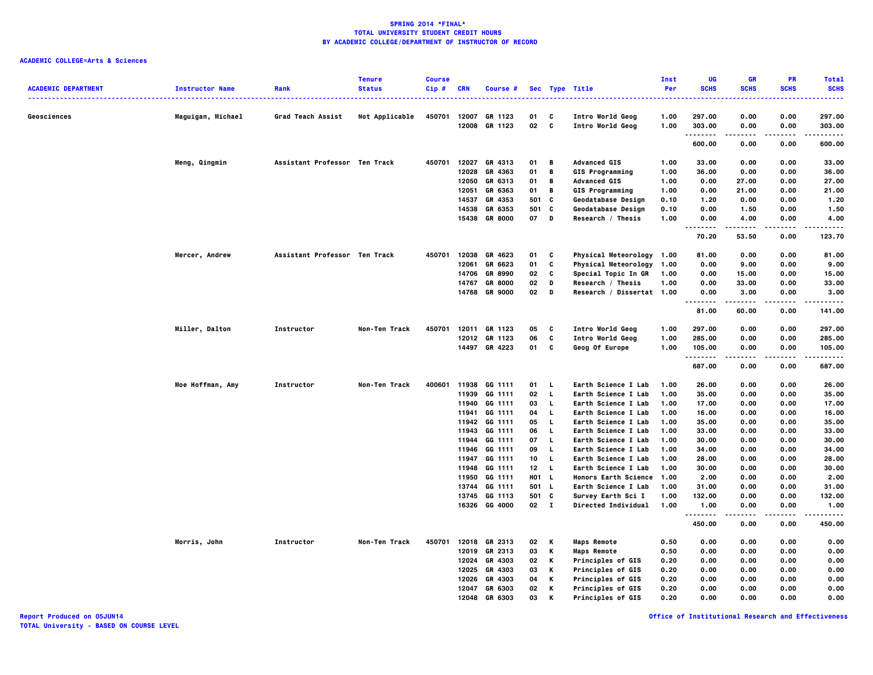| <b>ACADEMIC DEPARTMENT</b> | <b>Instructor Name</b> | Rank                          | <b>Tenure</b><br><b>Status</b> | <b>Course</b><br>Cip# | <b>CRN</b>     | Course #           |          |              | Sec Type Title                             | Inst<br>Per  | UG<br><b>SCHS</b>    | <b>GR</b><br><b>SCHS</b> | PR<br><b>SCHS</b> | <b>Total</b><br><b>SCHS</b> |
|----------------------------|------------------------|-------------------------------|--------------------------------|-----------------------|----------------|--------------------|----------|--------------|--------------------------------------------|--------------|----------------------|--------------------------|-------------------|-----------------------------|
|                            |                        |                               |                                |                       |                |                    |          |              |                                            |              |                      |                          |                   |                             |
| Geosciences                | Maguigan, Michael      | <b>Grad Teach Assist</b>      | Not Applicable                 | 450701                | 12007<br>12008 | GR 1123<br>GR 1123 | 01<br>02 | C<br>C       | Intro World Geog<br>Intro World Geog       | 1.00<br>1.00 | 297.00<br>303.00     | 0.00<br>0.00             | 0.00<br>0.00      | 297.00<br>303.00            |
|                            |                        |                               |                                |                       |                |                    |          |              |                                            |              | . <b>.</b><br>600.00 | 0.00                     | 0.00              | .<br>600.00                 |
|                            | Meng, Qingmin          | Assistant Professor Ten Track |                                | 450701                | 12027          | GR 4313            | 01       | В            | <b>Advanced GIS</b>                        | 1.00         | 33.00                | 0.00                     | 0.00              | 33.00                       |
|                            |                        |                               |                                |                       | 12028          | GR 4363            | 01       | В            | <b>GIS Programming</b>                     | 1.00         | 36.00                | 0.00                     | 0.00              | 36.00                       |
|                            |                        |                               |                                |                       | 12050          | GR 6313            | 01       | В            | <b>Advanced GIS</b>                        | 1.00         | 0.00                 | 27.00                    | 0.00              | 27.00                       |
|                            |                        |                               |                                |                       | 12051          | GR 6363            | 01       | В            | <b>GIS Programming</b>                     | 1.00         | 0.00                 | 21.00                    | 0.00              | 21.00                       |
|                            |                        |                               |                                |                       | 14537          | GR 4353            | 501      | C            | Geodatabase Design                         | 0.10         | 1.20                 | 0.00                     | 0.00              | 1.20                        |
|                            |                        |                               |                                |                       | 14538          | GR 6353            | 501      | C            | <b>Geodatabase Design</b>                  | 0.10         | 0.00                 | 1.50                     | 0.00              | 1.50                        |
|                            |                        |                               |                                |                       | 15438          | <b>GR 8000</b>     | 07       | D            | Research / Thesis                          | 1.00         | 0.00<br>.            | 4.00<br>.                | 0.00<br>.         | 4.00<br>.                   |
|                            |                        |                               |                                |                       |                |                    |          |              |                                            |              | 70.20                | 53.50                    | 0.00              | 123.70                      |
|                            | Mercer, Andrew         | Assistant Professor Ten Track |                                | 450701                | 12038          | GR 4623            | 01       | c            | Physical Meteorology 1.00                  |              | 81.00                | 0.00                     | 0.00              | 81.00                       |
|                            |                        |                               |                                |                       | 12061          | GR 6623            | 01       | C            | Physical Meteorology 1.00                  |              | 0.00                 | 9.00                     | 0.00              | 9.00                        |
|                            |                        |                               |                                |                       | 14706          | <b>GR 8990</b>     | 02       | c            | Special Topic In GR                        | 1.00         | 0.00                 | 15.00                    | 0.00              | 15.00                       |
|                            |                        |                               |                                |                       | 14767          | <b>GR 8000</b>     | 02       | D            | Research / Thesis                          | 1.00         | 0.00                 | 33.00                    | 0.00              | 33.00                       |
|                            |                        |                               |                                |                       | 14768          | <b>GR 9000</b>     | 02       | D            | Research / Dissertat 1.00                  |              | 0.00<br>.            | 3.00<br>.                | 0.00              | 3.00<br>.                   |
|                            |                        |                               |                                |                       |                |                    |          |              |                                            |              | 81.00                | 60.00                    | 0.00              | 141.00                      |
|                            | Miller, Dalton         | Instructor                    | Non-Ten Track                  | 450701                |                | 12011 GR 1123      | 05       | C            | Intro World Geog                           | 1.00         | 297.00               | 0.00                     | 0.00              | 297.00                      |
|                            |                        |                               |                                |                       |                | 12012 GR 1123      | 06       | C            | Intro World Geog                           | 1.00         | 285.00               | 0.00                     | 0.00              | 285.00                      |
|                            |                        |                               |                                |                       |                | 14497 GR 4223      | 01       | C            | Geog Of Europe                             | 1.00         | 105.00<br>. <b>.</b> | 0.00                     | 0.00              | 105.00<br>.                 |
|                            |                        |                               |                                |                       |                |                    |          |              |                                            |              | 687.00               | 0.00                     | 0.00              | 687.00                      |
|                            | Moe Hoffman, Amy       | Instructor                    | Non-Ten Track                  | 400601                | 11938          | GG 1111            | 01       | L.           | Earth Science I Lab                        | 1.00         | 26.00                | 0.00                     | 0.00              | 26.00                       |
|                            |                        |                               |                                |                       | 11939          | GG 1111            | 02       | $\mathbf{L}$ | Earth Science I Lab                        | 1.00         | 35.00                | 0.00                     | 0.00              | 35.00                       |
|                            |                        |                               |                                |                       | 11940          | GG 1111            | 03       | L.           | <b>Earth Science I Lab</b>                 | 1.00         | 17.00                | 0.00                     | 0.00              | 17.00                       |
|                            |                        |                               |                                |                       | 11941          | GG 1111            | 04       | L.           | Earth Science I Lab                        | 1.00         | 16.00                | 0.00                     | 0.00              | 16.00                       |
|                            |                        |                               |                                |                       |                | 11942 GG 1111      | 05       | $\mathbf{L}$ | Earth Science I Lab                        | 1.00         | 35.00                | 0.00                     | 0.00              | 35.00                       |
|                            |                        |                               |                                |                       | 11943<br>11944 | GG 1111<br>GG 1111 | 06<br>07 | L.<br>L.     | Earth Science I Lab<br>Earth Science I Lab | 1.00<br>1.00 | 33.00<br>30.00       | 0.00<br>0.00             | 0.00<br>0.00      | 33.00<br>30.00              |
|                            |                        |                               |                                |                       | 11946          | GG 1111            | 09       | <b>L</b>     | Earth Science I Lab                        | 1.00         | 34.00                | 0.00                     | 0.00              | 34.00                       |
|                            |                        |                               |                                |                       | 11947          | GG 1111            | 10       | L.           | Earth Science I Lab                        | 1.00         | 28.00                | 0.00                     | 0.00              | 28.00                       |
|                            |                        |                               |                                |                       | 11948          | GG 1111            | 12       | - 1          | Earth Science I Lab                        | 1.00         | 30.00                | 0.00                     | 0.00              | 30.00                       |
|                            |                        |                               |                                |                       | 11950          | GG 1111            | H01 L    |              | <b>Honors Earth Science</b>                | 1.00         | 2.00                 | 0.00                     | 0.00              | 2.00                        |
|                            |                        |                               |                                |                       | 13744          | GG 1111            | 501 L    |              | Earth Science I Lab                        | 1.00         | 31.00                | 0.00                     | 0.00              | 31.00                       |
|                            |                        |                               |                                |                       | 13745          | GG 1113            | 501      | <b>C</b>     | Survey Earth Sci I                         | 1.00         | 132.00               | 0.00                     | 0.00              | 132.00                      |
|                            |                        |                               |                                |                       | 16326          | GG 4000            | 02 I     |              | Directed Individual                        | 1.00         | 1.00                 | 0.00                     | 0.00              | 1.00                        |
|                            |                        |                               |                                |                       |                |                    |          |              |                                            |              | .<br>450.00          | 0.00                     | 0.00              | 450.00                      |
|                            | Morris, John           | Instructor                    | Non-Ten Track                  | 450701                |                | 12018 GR 2313      | 02       | Κ            | <b>Maps Remote</b>                         | 0.50         | 0.00                 | 0.00                     | 0.00              | 0.00                        |
|                            |                        |                               |                                |                       | 12019          | GR 2313            | 03       | Κ            | <b>Maps Remote</b>                         | 0.50         | 0.00                 | 0.00                     | 0.00              | 0.00                        |
|                            |                        |                               |                                |                       | 12024          | GR 4303            | 02       | Κ            | <b>Principles of GIS</b>                   | 0.20         | 0.00                 | 0.00                     | 0.00              | 0.00                        |
|                            |                        |                               |                                |                       | 12025          | GR 4303            | 03       | Κ            | <b>Principles of GIS</b>                   | 0.20         | 0.00                 | 0.00                     | 0.00              | 0.00                        |
|                            |                        |                               |                                |                       | 12026          | GR 4303            | 04       | Κ            | <b>Principles of GIS</b>                   | 0.20         | 0.00                 | 0.00                     | 0.00              | 0.00                        |
|                            |                        |                               |                                |                       | 12047          | GR 6303            | 02       | Κ            | <b>Principles of GIS</b>                   | 0.20         | 0.00                 | 0.00                     | 0.00              | 0.00                        |
|                            |                        |                               |                                |                       | 12048          | GR 6303            | 03       | к            | <b>Principles of GIS</b>                   | 0.20         | 0.00                 | 0.00                     | 0.00              | 0.00                        |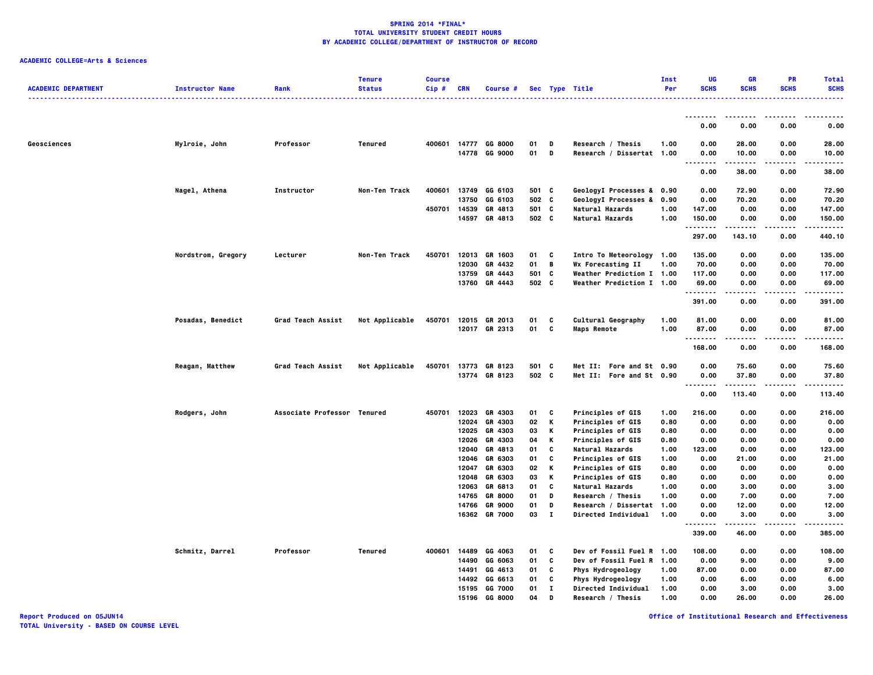# **ACADEMIC COLLEGE=Arts & Sciences**

| <b>ACADEMIC DEPARTMENT</b> | <b>Instructor Name</b> | Rank                        | <b>Tenure</b><br><b>Status</b> | <b>Course</b><br>$Cip$ # | <b>CRN</b> | Course #                 |          |              | Sec Type Title                                 | Inst<br>Per | UG<br><b>SCHS</b>    | GR<br><b>SCHS</b>       | PR<br><b>SCHS</b> | <b>Total</b><br><b>SCHS</b> |
|----------------------------|------------------------|-----------------------------|--------------------------------|--------------------------|------------|--------------------------|----------|--------------|------------------------------------------------|-------------|----------------------|-------------------------|-------------------|-----------------------------|
|                            |                        |                             |                                |                          |            |                          |          |              | .                                              |             |                      |                         |                   |                             |
|                            |                        |                             |                                |                          |            |                          |          |              |                                                |             | <u>.</u><br>0.00     | 0.00                    | 0.00              | 0.00                        |
|                            |                        |                             |                                |                          |            |                          |          |              |                                                |             |                      |                         |                   |                             |
| Geosciences                | Mylroie, John          | Professor                   | Tenured                        | 400601                   | 14777      | GG 8000<br>14778 GG 9000 | 01<br>01 | D<br>D       | Research / Thesis<br>Research / Dissertat 1.00 | 1.00        | 0.00<br>0.00<br>---- | 28.00<br>10.00<br>----- | 0.00<br>0.00<br>. | 28.00<br>10.00              |
|                            |                        |                             |                                |                          |            |                          |          |              |                                                |             | 0.00                 | 38.00                   | 0.00              | 38.00                       |
|                            | Nagel, Athena          | Instructor                  | Non-Ten Track                  | 400601                   | 13749      | GG 6103                  | 501 C    |              | GeologyI Processes & 0.90                      |             | 0.00                 | 72.90                   | 0.00              | 72.90                       |
|                            |                        |                             |                                |                          | 13750      | GG 6103                  | 502 C    |              | GeologyI Processes & 0.90                      |             | 0.00                 | 70.20                   | 0.00              | 70.20                       |
|                            |                        |                             |                                | 450701                   | 14539      | GR 4813                  | 501 C    |              | Natural Hazards                                | 1.00        | 147.00               | 0.00                    | 0.00              | 147.00                      |
|                            |                        |                             |                                |                          | 14597      | GR 4813                  | 502 C    |              | Natural Hazards                                | 1.00        | 150.00<br>.          | 0.00                    | 0.00<br>.         | 150.00<br>.                 |
|                            |                        |                             |                                |                          |            |                          |          |              |                                                |             | 297.00               | 143.10                  | 0.00              | 440.10                      |
|                            | Nordstrom, Gregory     | Lecturer                    | Non-Ten Track                  | 450701                   | 12013      | GR 1603                  | 01       | C            | Intro To Meteorology 1.00                      |             | 135.00               | 0.00                    | 0.00              | 135.00                      |
|                            |                        |                             |                                |                          | 12030      | GR 4432                  | 01       | B            | Wx Forecasting II                              | 1.00        | 70.00                | 0.00                    | 0.00              | 70.00                       |
|                            |                        |                             |                                |                          |            | 13759 GR 4443            | 501 C    |              | Weather Prediction I 1.00                      |             | 117.00               | 0.00                    | 0.00              | 117.00                      |
|                            |                        |                             |                                |                          | 13760      | GR 4443                  | 502 C    |              | Weather Prediction I 1.00                      |             | 69.00                | 0.00                    | 0.00<br>$- - - -$ | 69.00<br>.                  |
|                            |                        |                             |                                |                          |            |                          |          |              |                                                |             | <br>391.00           | 0.00                    | 0.00              | 391.00                      |
|                            | Posadas, Benedict      | Grad Teach Assist           | Not Applicable                 | 450701                   |            | 12015 GR 2013            | 01       | c            | Cultural Geography                             | 1.00        | 81.00                | 0.00                    | 0.00              | 81.00                       |
|                            |                        |                             |                                |                          |            | 12017 GR 2313            | 01       | C            | <b>Maps Remote</b>                             | 1.00        | 87.00                | 0.00                    | 0.00              | 87.00                       |
|                            |                        |                             |                                |                          |            |                          |          |              |                                                |             | - - -<br>168.00      | 0.00                    | 0.00              | 168.00                      |
|                            | Reagan, Matthew        | Grad Teach Assist           | Not Applicable                 | 450701                   |            | 13773 GR 8123            | 501 C    |              | Met II: Fore and St 0.90                       |             | 0.00                 | 75.60                   | 0.00              | 75.60                       |
|                            |                        |                             |                                |                          |            | 13774 GR 8123            | 502 C    |              | Met II: Fore and St 0.90                       |             | 0.00                 | 37.80                   | 0.00              | 37.80                       |
|                            |                        |                             |                                |                          |            |                          |          |              |                                                |             | .<br>0.00            | 113.40                  | 0.00              | 113.40                      |
|                            | Rodgers, John          | Associate Professor Tenured |                                | 450701                   | 12023      | GR 4303                  | 01       | C            | Principles of GIS                              | 1.00        | 216.00               | 0.00                    | 0.00              | 216.00                      |
|                            |                        |                             |                                |                          | 12024      | GR 4303                  | 02       | Κ            | Principles of GIS                              | 0.80        | 0.00                 | 0.00                    | 0.00              | 0.00                        |
|                            |                        |                             |                                |                          | 12025      | GR 4303                  | 03       | К            | Principles of GIS                              | 0.80        | 0.00                 | 0.00                    | 0.00              | 0.00                        |
|                            |                        |                             |                                |                          | 12026      | GR 4303                  | 04       | К            | Principles of GIS                              | 0.80        | 0.00                 | 0.00                    | 0.00              | 0.00                        |
|                            |                        |                             |                                |                          | 12040      | GR 4813                  | 01       | c            | Natural Hazards                                | 1.00        | 123.00               | 0.00                    | 0.00              | 123.00                      |
|                            |                        |                             |                                |                          | 12046      | GR 6303                  | 01       | c            | Principles of GIS                              | 1.00        | 0.00                 | 21.00                   | 0.00              | 21.00                       |
|                            |                        |                             |                                |                          | 12047      | GR 6303                  | 02       | к            | Principles of GIS                              | 0.80        | 0.00                 | 0.00                    | 0.00              | 0.00                        |
|                            |                        |                             |                                |                          | 12048      | GR 6303                  | 03       | К            | Principles of GIS                              | 0.80        | 0.00                 | 0.00                    | 0.00              | 0.00                        |
|                            |                        |                             |                                |                          | 12063      | GR 6813                  | 01       | c            | Natural Hazards                                | 1.00        | 0.00                 | 3.00                    | 0.00              | 3.00                        |
|                            |                        |                             |                                |                          | 14765      | <b>GR 8000</b>           | 01       | D            | Research / Thesis                              | 1.00        | 0.00                 | 7.00                    | 0.00              | 7.00                        |
|                            |                        |                             |                                |                          | 14766      | <b>GR 9000</b>           | 01       | D            | Research / Dissertat                           | 1.00        | 0.00                 | 12.00                   | 0.00              | 12.00                       |
|                            |                        |                             |                                |                          |            | 16362 GR 7000            | 03       | $\mathbf{I}$ | Directed Individual                            | 1.00        | 0.00                 | 3.00                    | 0.00              | 3.00                        |
|                            |                        |                             |                                |                          |            |                          |          |              |                                                |             | .<br>339.00          | .<br>46.00              | .<br>0.00         | .<br>385.00                 |
|                            | Schmitz, Darrel        | Professor                   | Tenured                        | 400601                   | 14489      | GG 4063                  | 01       | C            | Dev of Fossil Fuel R 1.00                      |             | 108.00               | 0.00                    | 0.00              | 108.00                      |
|                            |                        |                             |                                |                          | 14490      | GG 6063                  | 01       | C            | Dev of Fossil Fuel R 1.00                      |             | 0.00                 | 9.00                    | 0.00              | 9.00                        |
|                            |                        |                             |                                |                          | 14491      | GG 4613                  | 01       | c            | Phys Hydrogeology                              | 1.00        | 87.00                | 0.00                    | 0.00              | 87.00                       |
|                            |                        |                             |                                |                          | 14492      | GG 6613                  | 01       | C            | Phys Hydrogeology                              | 1.00        | 0.00                 | 6.00                    | 0.00              | 6.00                        |
|                            |                        |                             |                                |                          | 15195      | <b>GG 7000</b>           | 01       | $\mathbf{I}$ | Directed Individual                            | 1.00        | 0.00                 | 3.00                    | 0.00              | 3.00                        |
|                            |                        |                             |                                |                          | 15196      | GG 8000                  | 04       | Đ            | Research / Thesis                              | 1.00        | 0.00                 | 26.00                   | 0.00              | 26.00                       |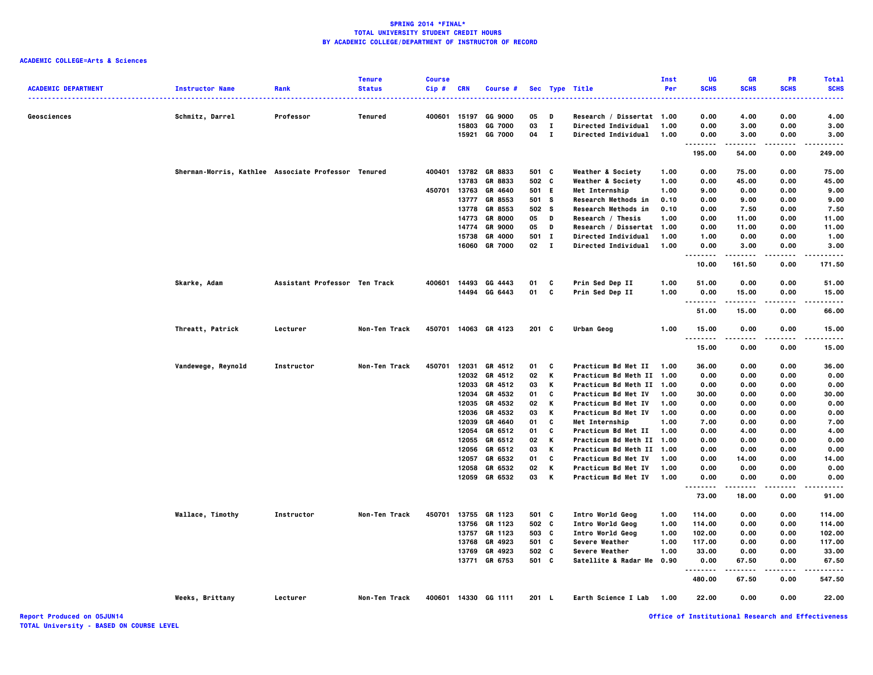# **ACADEMIC COLLEGE=Arts & Sciences**

| <b>ACADEMIC DEPARTMENT</b> | <b>Instructor Name</b>                              | Rank                          | <b>Tenure</b><br><b>Status</b> | <b>Course</b><br>Cip# | <b>CRN</b>     | Course #                 |                |              | Sec Type Title                                   | Inst<br>Per  | UG<br><b>SCHS</b>  | <b>GR</b><br><b>SCHS</b> | <b>PR</b><br><b>SCHS</b> | <b>Total</b><br><b>SCHS</b> |
|----------------------------|-----------------------------------------------------|-------------------------------|--------------------------------|-----------------------|----------------|--------------------------|----------------|--------------|--------------------------------------------------|--------------|--------------------|--------------------------|--------------------------|-----------------------------|
|                            |                                                     |                               |                                |                       |                |                          |                |              |                                                  |              |                    |                          |                          | .                           |
| Geosciences                | Schmitz, Darrel                                     | Professor                     | <b>Tenured</b>                 | 400601                | 15197          | <b>GG 9000</b>           | 05             | D            | Research / Dissertat 1.00                        |              | 0.00               | 4.00                     | 0.00                     | 4.00                        |
|                            |                                                     |                               |                                |                       | 15803          | GG 7000                  | 03             | $\mathbf I$  | Directed Individual                              | 1.00         | 0.00               | 3.00                     | 0.00                     | 3.00                        |
|                            |                                                     |                               |                                |                       | 15921          | <b>GG 7000</b>           | 04             | $\mathbf{I}$ | Directed Individual                              | 1.00         | 0.00<br>           | 3.00<br>.                | 0.00<br>.                | 3.00<br>.                   |
|                            |                                                     |                               |                                |                       |                |                          |                |              |                                                  |              | 195.00             | 54.00                    | 0.00                     | 249.00                      |
|                            | Sherman-Morris, Kathlee Associate Professor Tenured |                               |                                | 400401                |                | 13782 GR 8833            | 501 C          |              | <b>Weather &amp; Society</b>                     | 1.00         | 0.00               | 75.00                    | 0.00                     | 75.00                       |
|                            |                                                     |                               |                                |                       | 13783          | GR 8833                  | 502 C          |              | <b>Weather &amp; Society</b>                     | 1.00         | 0.00               | 45.00                    | 0.00                     | 45.00                       |
|                            |                                                     |                               |                                | 450701                | 13763          | GR 4640<br>GR 8553       | 501 E<br>501 S |              | Met Internship                                   | 1.00<br>0.10 | 9.00               | 0.00<br>9.00             | 0.00                     | 9.00                        |
|                            |                                                     |                               |                                |                       | 13777<br>13778 | GR 8553                  | 502            | s            | Research Methods in<br>Research Methods in       | 0.10         | 0.00<br>0.00       | 7.50                     | 0.00<br>0.00             | 9.00<br>7.50                |
|                            |                                                     |                               |                                |                       | 14773          | <b>GR 8000</b>           | 05             | D            | Research / Thesis                                | 1.00         | 0.00               | 11.00                    | 0.00                     | 11.00                       |
|                            |                                                     |                               |                                |                       | 14774          | <b>GR 9000</b>           | 05             | D            | Research / Dissertat 1.00                        |              | 0.00               | 11.00                    | 0.00                     | 11.00                       |
|                            |                                                     |                               |                                |                       | 15738          | GR 4000                  | 501            | $\mathbf{I}$ | Directed Individual                              | 1.00         | 1.00               | 0.00                     | 0.00                     | 1.00                        |
|                            |                                                     |                               |                                |                       | 16060          | <b>GR 7000</b>           | 02             | $\mathbf{I}$ | <b>Directed Individual</b>                       | 1.00         | 0.00               | 3.00                     | 0.00                     | 3.00                        |
|                            |                                                     |                               |                                |                       |                |                          |                |              |                                                  |              | .<br>10.00         | 161.50                   | 0.00                     | 171.50                      |
|                            | Skarke, Adam                                        | Assistant Professor Ten Track |                                | 400601                |                | 14493 GG 4443            | 01             | C            | Prin Sed Dep II                                  | 1.00         | 51.00              | 0.00                     | 0.00                     | 51.00                       |
|                            |                                                     |                               |                                |                       |                | 14494 GG 6443            | 01             | C            | Prin Sed Dep II                                  | 1.00         | 0.00               | 15.00                    | 0.00                     | 15.00                       |
|                            |                                                     |                               |                                |                       |                |                          |                |              |                                                  |              | .                  | .                        | .                        | .                           |
|                            |                                                     |                               |                                |                       |                |                          |                |              |                                                  |              | 51.00              | 15.00                    | 0.00                     | 66.00                       |
|                            | Threatt, Patrick                                    | Lecturer                      | Non-Ten Track                  | 450701                |                | 14063 GR 4123            | 201 C          |              | Urban Geog                                       | 1.00         | 15.00<br>.         | 0.00<br>.                | 0.00<br>----             | 15.00<br>.                  |
|                            |                                                     |                               |                                |                       |                |                          |                |              |                                                  |              | 15.00              | 0.00                     | 0.00                     | 15.00                       |
|                            | Vandewege, Reynold                                  | Instructor                    | Non-Ten Track                  | 450701                | 12031          | GR 4512                  | 01             | C            | <b>Practicum Bd Met II</b>                       | 1.00         | 36.00              | 0.00                     | 0.00                     | 36.00                       |
|                            |                                                     |                               |                                |                       |                | 12032 GR 4512            | 02             | K            | Practicum Bd Meth II 1.00                        |              | 0.00               | 0.00                     | 0.00                     | 0.00                        |
|                            |                                                     |                               |                                |                       | 12033          | GR 4512                  | 03             | K            | Practicum Bd Meth II 1.00                        |              | 0.00               | 0.00                     | 0.00                     | 0.00                        |
|                            |                                                     |                               |                                |                       | 12034          | GR 4532                  | 01             | C            | Practicum Bd Met IV                              | 1.00         | 30.00              | 0.00                     | 0.00                     | 30.00                       |
|                            |                                                     |                               |                                |                       | 12035          | GR 4532                  | 02             | К            | Practicum Bd Met IV                              | 1.00         | 0.00               | 0.00                     | 0.00                     | 0.00                        |
|                            |                                                     |                               |                                |                       | 12036          | GR 4532                  | 03             | К            | Practicum Bd Met IV                              | 1.00         | 0.00               | 0.00                     | 0.00                     | 0.00                        |
|                            |                                                     |                               |                                |                       | 12039          | GR 4640                  | 01             | C            | Met Internship                                   | 1.00         | 7.00               | 0.00                     | 0.00                     | 7.00                        |
|                            |                                                     |                               |                                |                       | 12054          | GR 6512                  | 01             | C            | Practicum Bd Met II                              | 1.00         | 0.00               | 4.00                     | 0.00                     | 4.00                        |
|                            |                                                     |                               |                                |                       | 12055          | GR 6512                  | 02<br>03       | K            | Practicum Bd Meth II 1.00                        |              | 0.00               | 0.00                     | 0.00                     | 0.00                        |
|                            |                                                     |                               |                                |                       | 12057          | 12056 GR 6512<br>GR 6532 | 01             | К<br>C       | Practicum Bd Meth II 1.00<br>Practicum Bd Met IV | 1.00         | 0.00<br>0.00       | 0.00<br>14.00            | 0.00<br>0.00             | 0.00<br>14.00               |
|                            |                                                     |                               |                                |                       | 12058          | GR 6532                  | 02             | К            | Practicum Bd Met IV                              | 1.00         | 0.00               | 0.00                     | 0.00                     | 0.00                        |
|                            |                                                     |                               |                                |                       |                | 12059 GR 6532            | 03             | K            | <b>Practicum Bd Met IV</b>                       | 1.00         | 0.00               | 0.00                     | 0.00                     | 0.00                        |
|                            |                                                     |                               |                                |                       |                |                          |                |              |                                                  |              | $\ddotsc$<br>73.00 | 18.00                    | 0.00                     | 91.00                       |
|                            | Wallace, Timothy                                    | Instructor                    | Non-Ten Track                  | 450701                |                | 13755 GR 1123            | 501 C          |              | Intro World Geog                                 | 1.00         | 114.00             | 0.00                     | 0.00                     | 114.00                      |
|                            |                                                     |                               |                                |                       | 13756          | GR 1123                  | 502            | c            | Intro World Geog                                 | 1.00         | 114.00             | 0.00                     | 0.00                     | 114.00                      |
|                            |                                                     |                               |                                |                       |                | 13757 GR 1123            | 503 C          |              | Intro World Geog                                 | 1.00         | 102.00             | 0.00                     | 0.00                     | 102.00                      |
|                            |                                                     |                               |                                |                       | 13768          | GR 4923                  | 501 C          |              | Severe Weather                                   | 1.00         | 117.00             | 0.00                     | 0.00                     | 117.00                      |
|                            |                                                     |                               |                                |                       | 13769          | GR 4923                  | 502            | C            | Severe Weather                                   | 1.00         | 33.00              | 0.00                     | 0.00                     | 33.00                       |
|                            |                                                     |                               |                                |                       | 13771          | GR 6753                  | 501 C          |              | Satellite & Radar Me                             | 0.90         | 0.00               | 67.50                    | 0.00                     | 67.50                       |
|                            |                                                     |                               |                                |                       |                |                          |                |              |                                                  |              | 480.00             | 67.50                    | 0.00                     | 547.50                      |
|                            | Weeks, Brittany                                     | Lecturer                      | Non-Ten Track                  |                       |                | 400601 14330 GG 1111     | 201 L          |              | Earth Science I Lab                              | 1.00         | 22.00              | 0.00                     | 0.00                     | 22.00                       |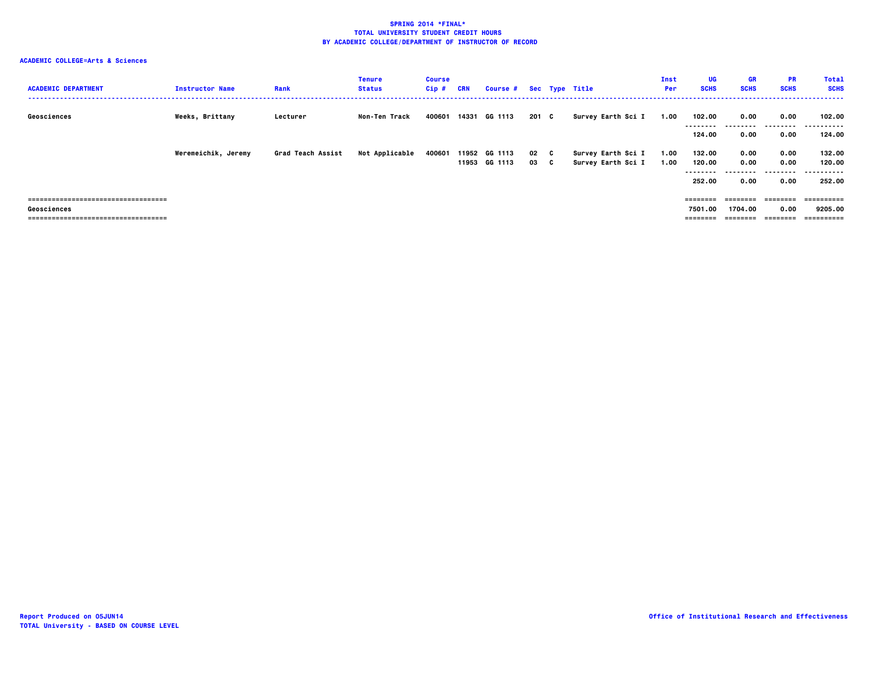| <b>ACADEMIC DEPARTMENT</b>            | <b>Instructor Name</b> | Rank              | <b>Tenure</b><br><b>Status</b> | <b>Course</b><br>$Cip$ # | <b>CRN</b> | Course # Sec Type Title |       |                    | Inst<br><b>Per</b> | UG<br><b>SCHS</b> | <b>GR</b><br><b>SCHS</b> | <b>PR</b><br><b>SCHS</b> | <b>Total</b><br><b>SCHS</b> |
|---------------------------------------|------------------------|-------------------|--------------------------------|--------------------------|------------|-------------------------|-------|--------------------|--------------------|-------------------|--------------------------|--------------------------|-----------------------------|
| Geosciences                           | Weeks, Brittany        | Lecturer          | Non-Ten Track                  | 400601                   |            | 14331 GG 1113           | 201 C | Survey Earth Sci I | 1.00               | 102.00            | 0.00<br>--------         | 0.00<br>---------        | 102.00<br>.                 |
|                                       |                        |                   |                                |                          |            |                         |       |                    |                    | 124.00            | 0.00                     | 0.00                     | 124.00                      |
|                                       | Weremeichik, Jeremy    | Grad Teach Assist | Not Applicable                 | 400601                   |            | 11952 GG 1113           | 02 C  | Survey Earth Sci I | 1.00               | 132.00            | 0.00                     | 0.00                     | 132.00                      |
|                                       |                        |                   |                                |                          |            | 11953 GG 1113           | 03 C  | Survey Earth Sci I | 1.00               | 120.00<br>.       | 0.00                     | 0.00<br>.                | 120.00<br>.<br>---          |
|                                       |                        |                   |                                |                          |            |                         |       |                    |                    | 252.00            | 0.00                     | 0.00                     | 252.00                      |
| ------------------------------------- |                        |                   |                                |                          |            |                         |       |                    |                    | ========          | ---------                | ---------                | ___________                 |
| Geosciences                           |                        |                   |                                |                          |            |                         |       |                    |                    | 7501.00           | 1704.00                  | 0.00                     | 9205.00                     |
| ===================================== |                        |                   |                                |                          |            |                         |       |                    |                    | ========          | ---------                | ---------                | -==========                 |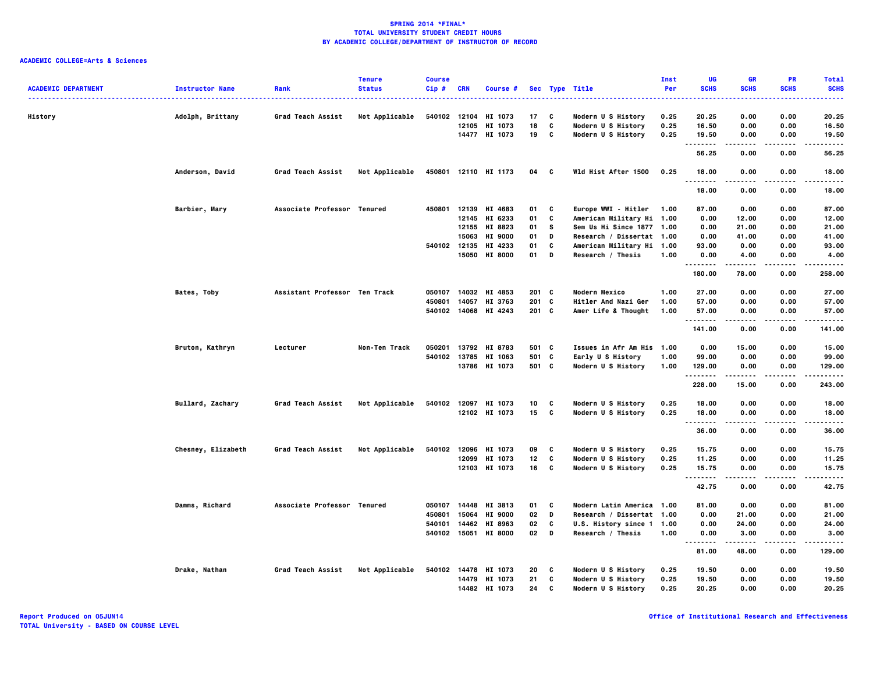| <b>ACADEMIC DEPARTMENT</b> | <b>Instructor Name</b> | Rank                          | <b>Tenure</b><br><b>Status</b> | <b>Course</b><br>Cip# | <b>CRN</b>   | Course #             |         |   | Sec Type Title            | Inst<br>Per | UG<br><b>SCHS</b> | <b>GR</b><br><b>SCHS</b> | PR<br><b>SCHS</b> | <b>Total</b><br><b>SCHS</b> |
|----------------------------|------------------------|-------------------------------|--------------------------------|-----------------------|--------------|----------------------|---------|---|---------------------------|-------------|-------------------|--------------------------|-------------------|-----------------------------|
|                            |                        |                               |                                |                       |              |                      |         |   |                           |             |                   |                          |                   | -----                       |
| History                    | Adolph, Brittany       | Grad Teach Assist             | Not Applicable                 | 540102 12104          |              | HI 1073              | 17      | C | Modern U S History        | 0.25        | 20.25             | 0.00                     | 0.00              | 20.25                       |
|                            |                        |                               |                                |                       |              | 12105 HI 1073        | 18      | C | Modern U S History        | 0.25        | 16.50             | 0.00                     | 0.00              | 16.50                       |
|                            |                        |                               |                                |                       |              | 14477 HI 1073        | 19      | C | Modern U S History        | 0.25        | 19.50             | 0.00                     | 0.00              | 19.50                       |
|                            |                        |                               |                                |                       |              |                      |         |   |                           |             | .<br>56.25        | 0.00                     | $\cdots$<br>0.00  | .<br>56.25                  |
|                            | Anderson, David        | Grad Teach Assist             | Not Applicable                 |                       |              | 450801 12110 HI 1173 | 04      | C | Wld Hist After 1500       | 0.25        | 18.00<br>.        | 0.00<br>.                | 0.00<br>$- - - -$ | 18,00<br>.                  |
|                            |                        |                               |                                |                       |              |                      |         |   |                           |             | 18.00             | 0.00                     | 0.00              | 18.00                       |
|                            | Barbier, Mary          | Associate Professor Tenured   |                                |                       |              | 450801 12139 HI 4683 | 01      | C | Europe WWI - Hitler       | 1.00        | 87.00             | 0.00                     | 0.00              | 87.00                       |
|                            |                        |                               |                                |                       | 12145        | HI 6233              | 01      | C | American Military Hi 1.00 |             | 0.00              | 12.00                    | 0.00              | 12.00                       |
|                            |                        |                               |                                |                       |              | 12155 HI 8823        | 01      | s | Sem Us Hi Since 1877 1.00 |             | 0.00              | 21.00                    | 0.00              | 21.00                       |
|                            |                        |                               |                                |                       | 15063        | HI 9000              | 01      | D | Research / Dissertat 1.00 |             | 0.00              | 41.00                    | 0.00              | 41.00                       |
|                            |                        |                               |                                | 540102 12135          |              | HI 4233              | 01      | C | American Military Hi 1.00 |             | 93.00             | 0.00                     | 0.00              | 93.00                       |
|                            |                        |                               |                                |                       | 15050        | <b>HI 8000</b>       | 01      | D | Research / Thesis         | 1.00        | 0.00<br>.         | 4.00<br>-----            | 0.00<br>$- - - -$ | 4.00<br>.                   |
|                            |                        |                               |                                |                       |              |                      |         |   |                           |             | 180.00            | 78.00                    | 0.00              | 258.00                      |
|                            | Bates, Toby            | Assistant Professor Ten Track |                                |                       |              | 050107 14032 HI 4853 | 201 C   |   | Modern Mexico             | 1.00        | 27.00             | 0.00                     | 0.00              | 27.00                       |
|                            |                        |                               |                                | 450801                | 14057        | HI 3763              | 201 C   |   | Hitler And Nazi Ger       | 1.00        | 57.00             | 0.00                     | 0.00              | 57.00                       |
|                            |                        |                               |                                |                       |              | 540102 14068 HI 4243 | $201$ C |   | Amer Life & Thought       | 1.00        | 57.00             | 0.00                     | 0.00              | 57.00                       |
|                            |                        |                               |                                |                       |              |                      |         |   |                           |             | <br>141.00        | .<br>0.00                | $- - - -$<br>0.00 | .<br>141.00                 |
|                            | Bruton, Kathryn        | Lecturer                      | Non-Ten Track                  |                       |              | 050201 13792 HI 8783 | 501 C   |   | Issues in Afr Am His 1.00 |             | 0.00              | 15.00                    | 0.00              | 15.00                       |
|                            |                        |                               |                                |                       | 540102 13785 | HI 1063              | 501 C   |   | Early U S History         | 1.00        | 99.00             | 0.00                     | 0.00              | 99.00                       |
|                            |                        |                               |                                |                       |              | 13786 HI 1073        | 501 C   |   | Modern U S History        | 1.00        | 129.00            | 0.00                     | 0.00              | 129.00                      |
|                            |                        |                               |                                |                       |              |                      |         |   |                           |             | .<br>228.00       | -----<br>15.00           | $- - - -$<br>0.00 | .<br>243.00                 |
|                            | Bullard, Zachary       | Grad Teach Assist             | Not Applicable                 |                       |              | 540102 12097 HI 1073 | 10      | C | Modern U S History        | 0.25        | 18.00             | 0.00                     | 0.00              | 18.00                       |
|                            |                        |                               |                                |                       |              | 12102 HI 1073        | 15 C    |   | Modern U S History        | 0.25        | 18.00             | 0.00                     | 0.00              | 18.00                       |
|                            |                        |                               |                                |                       |              |                      |         |   |                           |             | .<br>36.00        | 0.00                     | 0.00              | $- - - - -$<br>36.00        |
|                            | Chesney, Elizabeth     | Grad Teach Assist             | Not Applicable                 | 540102                | 12096        | HI 1073              | 09      | C | Modern U S History        | 0.25        | 15.75             | 0.00                     | 0.00              | 15.75                       |
|                            |                        |                               |                                |                       |              | 12099 HI 1073        | 12      | C | Modern U S History        | 0.25        | 11.25             | 0.00                     | 0.00              | 11.25                       |
|                            |                        |                               |                                |                       |              | 12103 HI 1073        | 16      | C | Modern U S History        | 0.25        | 15.75             | 0.00                     | 0.00              | 15.75                       |
|                            |                        |                               |                                |                       |              |                      |         |   |                           |             | .<br>42.75        | .<br>0.00                | ----<br>0.00      | $- - - - -$<br>42.75        |
|                            | Damms, Richard         | Associate Professor Tenured   |                                | 050107                | 14448        | HI 3813              | 01      | C | Modern Latin America 1.00 |             | 81.00             | 0.00                     | 0.00              | 81.00                       |
|                            |                        |                               |                                | 450801                | 15064        | HI 9000              | 02      | D | Research / Dissertat 1.00 |             | 0.00              | 21.00                    | 0.00              | 21.00                       |
|                            |                        |                               |                                | 540101                | 14462        | HI 8963              | 02      | C | U.S. History since 1 1.00 |             | 0.00              | 24.00                    | 0.00              | 24.00                       |
|                            |                        |                               |                                |                       | 540102 15051 | <b>HI 8000</b>       | 02      | D | Research / Thesis         | 1.00        | 0.00              | 3.00                     | 0.00              | 3.00                        |
|                            |                        |                               |                                |                       |              |                      |         |   |                           |             | <b>.</b><br>81.00 | .<br>48.00               | $- - - -$<br>0.00 | .<br>129.00                 |
|                            | Drake, Nathan          | Grad Teach Assist             | Not Applicable                 |                       |              | 540102 14478 HI 1073 | 20      | C | Modern U S History        | 0.25        | 19.50             | 0.00                     | 0.00              | 19.50                       |
|                            |                        |                               |                                |                       | 14479        | HI 1073              | 21      | C | Modern U S History        | 0.25        | 19.50             | 0.00                     | 0.00              | 19.50                       |
|                            |                        |                               |                                |                       |              | 14482 HI 1073        | 24      | C | Modern U S History        | 0.25        | 20.25             | 0.00                     | 0.00              | 20.25                       |
|                            |                        |                               |                                |                       |              |                      |         |   |                           |             |                   |                          |                   |                             |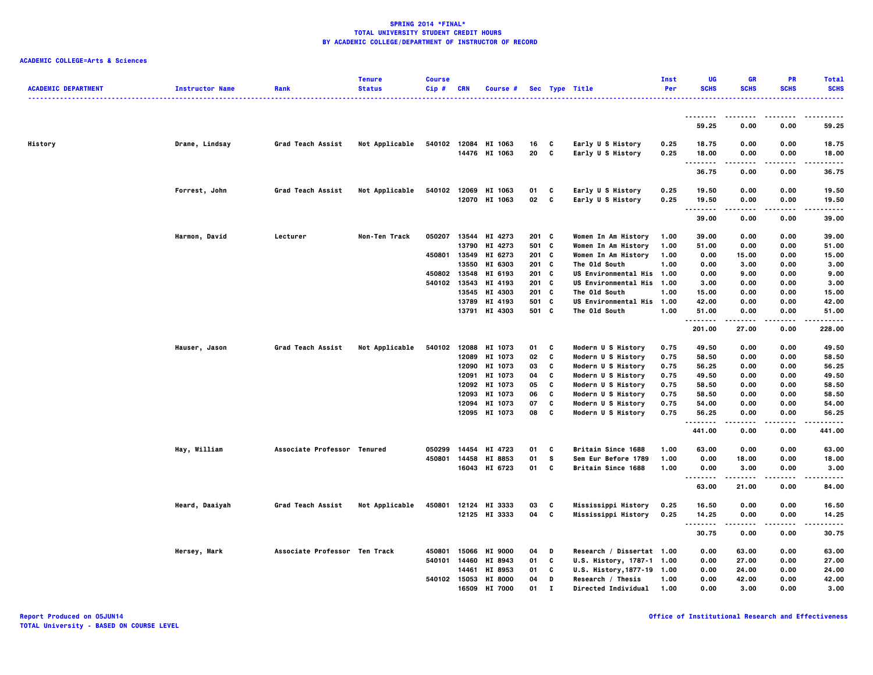| <b>ACADEMIC DEPARTMENT</b> | <b>Instructor Name</b> | Rank                          | <b>Tenure</b><br><b>Status</b> | <b>Course</b><br>Cip# | <b>CRN</b>     | Course #                 |                |              | Sec Type Title                               | Inst<br>Per  | UG<br><b>SCHS</b> | GR<br><b>SCHS</b> | <b>PR</b><br><b>SCHS</b> | <b>Total</b><br><b>SCHS</b> |
|----------------------------|------------------------|-------------------------------|--------------------------------|-----------------------|----------------|--------------------------|----------------|--------------|----------------------------------------------|--------------|-------------------|-------------------|--------------------------|-----------------------------|
|                            |                        |                               |                                |                       |                |                          |                |              |                                              |              |                   |                   |                          |                             |
|                            |                        |                               |                                |                       |                |                          |                |              |                                              |              | 59.25             | 0.00              | 0.00                     | 59.25                       |
| History                    | Drane, Lindsay         | Grad Teach Assist             | Not Applicable                 | 540102                |                | 12084 HI 1063            | 16             | C            | Early U S History                            | 0.25         | 18.75             | 0.00              | 0.00                     | 18.75                       |
|                            |                        |                               |                                |                       |                | 14476 HI 1063            | 20             | C            | Early U S History                            | 0.25         | 18.00<br>.        | 0.00<br>.         | 0.00<br>$- - - -$        | 18.00<br>.                  |
|                            |                        |                               |                                |                       |                |                          |                |              |                                              |              | 36.75             | 0.00              | 0.00                     | 36.75                       |
|                            | Forrest, John          | Grad Teach Assist             | Not Applicable                 | 540102                |                | 12069 HI 1063            | 01             | C            | Early U S History                            | 0.25         | 19.50             | 0.00              | 0.00                     | 19.50                       |
|                            |                        |                               |                                |                       |                | 12070 HI 1063            | 02 C           |              | Early U S History                            | 0.25         | 19.50<br>.        | 0.00<br>.         | 0.00<br>$- - - -$        | 19.50<br>                   |
|                            |                        |                               |                                |                       |                |                          |                |              |                                              |              | 39.00             | 0.00              | 0.00                     | 39.00                       |
|                            | Harmon, David          | Lecturer                      | Non-Ten Track                  | 050207                |                | 13544 HI 4273            | 201 C          |              | Women In Am History                          | 1.00         | 39.00             | 0.00              | 0.00                     | 39.00                       |
|                            |                        |                               |                                |                       | 13790          | HI 4273                  | 501 C          |              | Women In Am History                          | 1.00         | 51.00             | 0.00              | 0.00                     | 51.00                       |
|                            |                        |                               |                                | 450801                |                | 13549 HI 6273            | 201 C          |              | Women In Am History                          | 1.00         | 0.00              | 15.00             | 0.00                     | 15.00                       |
|                            |                        |                               |                                | 450802                | 13550<br>13548 | HI 6303<br>HI 6193       | 201 C<br>201 C |              | The Old South<br><b>US Environmental His</b> | 1.00<br>1.00 | 0.00<br>0.00      | 3.00<br>9.00      | 0.00<br>0.00             | 3.00<br>9.00                |
|                            |                        |                               |                                |                       | 540102 13543   | HI 4193                  | $201$ C        |              | <b>US Environmental His</b>                  | 1.00         | 3.00              | 0.00              | 0.00                     | 3.00                        |
|                            |                        |                               |                                |                       | 13545          | HI 4303                  | 201 C          |              | The Old South                                | 1.00         | 15.00             | 0.00              | 0.00                     | 15.00                       |
|                            |                        |                               |                                |                       |                | 13789 HI 4193            | 501 C          |              | US Environmental His                         | 1.00         | 42.00             | 0.00              | 0.00                     | 42.00                       |
|                            |                        |                               |                                |                       |                | 13791 HI 4303            | 501 C          |              | The Old South                                | 1.00         | 51.00             | 0.00              | 0.00                     | 51.00                       |
|                            |                        |                               |                                |                       |                |                          |                |              |                                              |              | .<br>201.00       | -----<br>27.00    | .<br>0.00                | .<br>228.00                 |
|                            | Hauser, Jason          | Grad Teach Assist             | Not Applicable                 | 540102                |                | 12088 HI 1073            | 01             | C            | Modern U S History                           | 0.75         | 49.50             | 0.00              | 0.00                     | 49.50                       |
|                            |                        |                               |                                |                       | 12089          | HI 1073                  | 02             | C            | Modern U S History                           | 0.75         | 58.50             | 0.00              | 0.00                     | 58.50                       |
|                            |                        |                               |                                |                       |                | 12090 HI 1073            | 03             | C            | Modern U S History                           | 0.75         | 56.25             | 0.00              | 0.00                     | 56.25                       |
|                            |                        |                               |                                |                       | 12091          | HI 1073                  | 04             | C            | Modern U S History                           | 0.75         | 49.50             | 0.00              | 0.00                     | 49.50                       |
|                            |                        |                               |                                |                       | 12092          | HI 1073                  | 05             | C            | Modern U S History                           | 0.75         | 58.50             | 0.00              | 0.00                     | 58.50                       |
|                            |                        |                               |                                |                       |                | 12093 HI 1073            | 06             | C            | Modern U S History                           | 0.75         | 58.50             | 0.00              | 0.00                     | 58.50                       |
|                            |                        |                               |                                |                       | 12094          | HI 1073<br>12095 HI 1073 | 07<br>08       | C<br>C       | Modern U S History<br>Modern U S History     | 0.75<br>0.75 | 54.00<br>56.25    | 0.00<br>0.00      | 0.00<br>0.00             | 54.00<br>56.25              |
|                            |                        |                               |                                |                       |                |                          |                |              |                                              |              | .                 | .                 | .                        | .                           |
|                            |                        |                               |                                |                       |                |                          |                |              |                                              |              | 441.00            | 0.00              | 0.00                     | 441.00                      |
|                            | Hay, William           | Associate Professor Tenured   |                                | 050299                | 14454          | HI 4723                  | 01             | C            | Britain Since 1688                           | 1.00         | 63.00             | 0.00              | 0.00                     | 63.00                       |
|                            |                        |                               |                                | 450801                | 14458          | HI 8853                  | 01             | s            | Sem Eur Before 1789                          | 1.00         | 0.00              | 18.00             | 0.00                     | 18.00                       |
|                            |                        |                               |                                |                       |                | 16043 HI 6723            | 01             | C            | Britain Since 1688                           | 1.00         | 0.00<br>--------  | 3.00<br>.         | 0.00<br>$- - - -$        | 3.00<br>.                   |
|                            |                        |                               |                                |                       |                |                          |                |              |                                              |              | 63.00             | 21.00             | 0.00                     | 84.00                       |
|                            | Heard, Daaiyah         | Grad Teach Assist             | Not Applicable                 | 450801                |                | 12124 HI 3333            | 03             | C            | Mississippi History                          | 0.25         | 16.50             | 0.00              | 0.00                     | 16.50                       |
|                            |                        |                               |                                |                       |                | 12125 HI 3333            | 04 C           |              | Mississippi History                          | 0.25         | 14.25<br>.        | 0.00              | 0.00                     | 14.25<br>-----              |
|                            |                        |                               |                                |                       |                |                          |                |              |                                              |              | 30.75             | 0.00              | 0.00                     | 30.75                       |
|                            | Hersey, Mark           | Associate Professor Ten Track |                                | 450801                |                | 15066 HI 9000            | 04             | D            | Research / Dissertat 1.00                    |              | 0.00              | 63.00             | 0.00                     | 63.00                       |
|                            |                        |                               |                                | 540101                | 14460          | HI 8943                  | 01             | C            | U.S. History, 1787-1 1.00                    |              | 0.00              | 27.00             | 0.00                     | 27.00                       |
|                            |                        |                               |                                |                       | 14461          | HI 8953                  | 01             | C            | U.S. History, 1877-19 1.00                   |              | 0.00              | 24.00             | 0.00                     | 24.00                       |
|                            |                        |                               |                                |                       |                | 540102 15053 HI 8000     | 04             | D            | Research / Thesis                            | 1.00         | 0.00              | 42.00             | 0.00                     | 42.00                       |
|                            |                        |                               |                                |                       | 16509          | HT 7000                  | 01             | $\mathbf{r}$ | Directed Individual                          | 1.00         | 0.00              | 3.00              | 0.00                     | 3.00                        |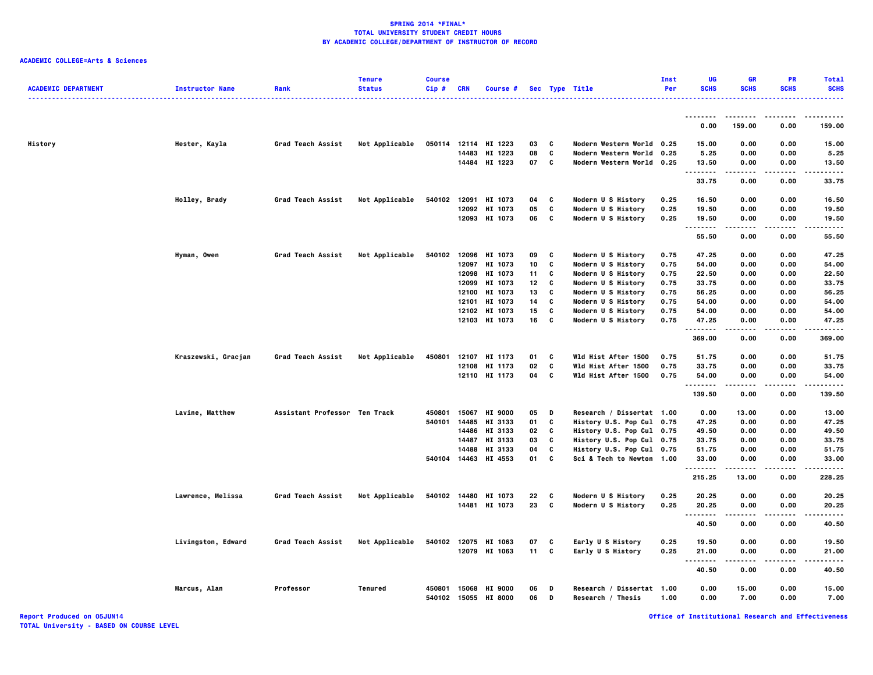## **ACADEMIC COLLEGE=Arts & Sciences**

| <b>ACADEMIC DEPARTMENT</b> | <b>Instructor Name</b> | Rank                          | <b>Tenure</b><br><b>Status</b> | <b>Course</b><br>Cip# | <b>CRN</b>     | Course #                        |          |                | Sec Type Title<br>.                            | Inst<br>Per  | UG<br><b>SCHS</b> | <b>GR</b><br><b>SCHS</b> | <b>PR</b><br><b>SCHS</b> | <b>Total</b><br><b>SCHS</b><br>. |
|----------------------------|------------------------|-------------------------------|--------------------------------|-----------------------|----------------|---------------------------------|----------|----------------|------------------------------------------------|--------------|-------------------|--------------------------|--------------------------|----------------------------------|
|                            |                        |                               |                                |                       |                |                                 |          |                |                                                |              | --------          |                          | ----                     | .                                |
|                            |                        |                               |                                |                       |                |                                 |          |                |                                                |              | 0.00              | 159.00                   | 0.00                     | 159.00                           |
| History                    | Hester, Kayla          | Grad Teach Assist             | Not Applicable                 |                       |                | 050114 12114 HI 1223            | 03       | $\mathbf{c}$   | Modern Western World 0.25                      |              | 15.00             | 0.00                     | 0.00                     | 15.00                            |
|                            |                        |                               |                                |                       | 14483          | HI 1223                         | 08       | C              | Modern Western World 0.25                      |              | 5.25              | 0.00                     | 0.00                     | 5.25                             |
|                            |                        |                               |                                |                       |                | 14484 HI 1223                   | 07       | C              | Modern Western World 0.25                      |              | 13.50<br>         | 0.00<br>-----            | 0.00<br>$\cdots$         | 13.50<br>.                       |
|                            |                        |                               |                                |                       |                |                                 |          |                |                                                |              | 33.75             | 0.00                     | 0.00                     | 33.75                            |
|                            | Holley, Brady          | Grad Teach Assist             | Not Applicable                 | 540102                | 12091          | HI 1073                         | 04       | C              | Modern U S History                             | 0.25         | 16.50             | 0.00                     | 0.00                     | 16.50                            |
|                            |                        |                               |                                |                       |                | 12092 HI 1073                   | 05       | C              | Modern U S History                             | 0.25         | 19.50             | 0.00                     | 0.00                     | 19.50                            |
|                            |                        |                               |                                |                       |                | 12093 HI 1073                   | 06 C     |                | Modern U S History                             | 0.25         | 19.50<br>.        | 0.00                     | 0.00                     | 19.50<br>-----                   |
|                            |                        |                               |                                |                       |                |                                 |          |                |                                                |              | 55.50             | 0.00                     | 0.00                     | 55.50                            |
|                            | Hyman, Owen            | Grad Teach Assist             | Not Applicable                 |                       |                | 540102 12096 HI 1073            | 09       | C              | Modern U S History                             | 0.75         | 47.25             | 0.00                     | 0.00                     | 47.25                            |
|                            |                        |                               |                                |                       | 12097          | HI 1073                         | 10       | C              | Modern U S History                             | 0.75         | 54.00             | 0.00                     | 0.00                     | 54.00                            |
|                            |                        |                               |                                |                       |                | 12098 HI 1073                   | 11       | C              | Modern U S History                             | 0.75         | 22.50             | 0.00                     | 0.00                     | 22.50                            |
|                            |                        |                               |                                |                       |                | 12099 HI 1073                   | 12       | C              | Modern U S History                             | 0.75         | 33.75             | 0.00                     | 0.00                     | 33.75                            |
|                            |                        |                               |                                |                       | 12100<br>12101 | HI 1073<br>HI 1073              | 13<br>14 | C<br>C         | Modern U S History<br>Modern U S History       | 0.75<br>0.75 | 56.25<br>54.00    | 0.00<br>0.00             | 0.00<br>0.00             | 56.25<br>54.00                   |
|                            |                        |                               |                                |                       |                | 12102 HI 1073                   | 15       | c              | Modern U S History                             | 0.75         | 54.00             | 0.00                     | 0.00                     | 54.00                            |
|                            |                        |                               |                                |                       |                | 12103 HI 1073                   | 16       | C              | Modern U S History                             | 0.75         | 47.25             | 0.00                     | 0.00                     | 47.25                            |
|                            |                        |                               |                                |                       |                |                                 |          |                |                                                |              | .                 | .                        | .                        | .                                |
|                            |                        |                               |                                |                       |                |                                 |          |                |                                                |              | 369.00            | 0.00                     | 0.00                     | 369.00                           |
|                            | Kraszewski, Gracjan    | Grad Teach Assist             | Not Applicable                 | 450801                |                | 12107 HI 1173                   | 01       | C              | Wld Hist After 1500                            | 0.75         | 51.75             | 0.00                     | 0.00                     | 51.75                            |
|                            |                        |                               |                                |                       |                | 12108 HI 1173                   | 02       | C              | Wld Hist After 1500                            | 0.75         | 33.75             | 0.00                     | 0.00                     | 33.75                            |
|                            |                        |                               |                                |                       |                | 12110 HI 1173                   | 04 C     |                | Wld Hist After 1500                            | 0.75         | 54.00<br>.        | 0.00<br>-----            | 0.00<br>.                | 54.00<br>.                       |
|                            |                        |                               |                                |                       |                |                                 |          |                |                                                |              | 139.50            | 0.00                     | 0.00                     | 139.50                           |
|                            | Lavine, Matthew        | Assistant Professor Ten Track |                                | 450801                | 15067          | <b>HI 9000</b>                  | 05       | $\blacksquare$ | Research / Dissertat 1.00                      |              | 0.00              | 13.00                    | 0.00                     | 13.00                            |
|                            |                        |                               |                                | 540101                | 14485          | HI 3133                         | 01       | C              | History U.S. Pop Cul 0.75                      |              | 47.25             | 0.00                     | 0.00                     | 47.25                            |
|                            |                        |                               |                                |                       |                | 14486 HI 3133                   | 02       | C              | History U.S. Pop Cul 0.75                      |              | 49.50             | 0.00                     | 0.00                     | 49.50                            |
|                            |                        |                               |                                |                       |                | 14487 HI 3133                   | 03       | C              | History U.S. Pop Cul 0.75                      |              | 33.75             | 0.00                     | 0.00                     | 33.75                            |
|                            |                        |                               |                                |                       |                | 14488 HI 3133                   | 04       | C              | History U.S. Pop Cul 0.75                      |              | 51.75             | 0.00                     | 0.00                     | 51.75                            |
|                            |                        |                               |                                |                       |                | 540104 14463 HI 4553            | 01       | C              | Sci & Tech to Newton 1.00                      |              | 33.00<br>.        | 0.00                     | 0.00<br>----             | 33.00<br>.                       |
|                            |                        |                               |                                |                       |                |                                 |          |                |                                                |              | 215.25            | 13.00                    | 0.00                     | 228.25                           |
|                            | Lawrence, Melissa      | Grad Teach Assist             | Not Applicable                 |                       |                | 540102 14480 HI 1073            | 22       | - C            | Modern U S History                             | 0.25         | 20.25             | 0.00                     | 0.00                     | 20.25                            |
|                            |                        |                               |                                |                       |                | 14481 HI 1073                   | 23       | $\mathbf{c}$   | Modern U S History                             | 0.25         | 20.25<br><b>.</b> | 0.00                     | 0.00<br>$- - - -$        | 20.25<br>-----                   |
|                            |                        |                               |                                |                       |                |                                 |          |                |                                                |              | 40.50             | 0.00                     | 0.00                     | 40.50                            |
|                            | Livingston, Edward     | Grad Teach Assist             | Not Applicable                 | 540102                |                | 12075 HI 1063                   | 07       | c              | Early U S History                              | 0.25         | 19.50             | 0.00                     | 0.00                     | 19.50                            |
|                            |                        |                               |                                |                       |                | 12079 HI 1063                   | 11 C     |                | Early U S History                              | 0.25         | 21.00             | 0.00                     | 0.00                     | 21.00                            |
|                            |                        |                               |                                |                       |                |                                 |          |                |                                                |              | .<br><br>40.50    | 0.00                     | <br>0.00                 | -----<br>40.50                   |
|                            |                        |                               |                                |                       |                |                                 |          |                |                                                |              |                   |                          |                          |                                  |
|                            | Marcus, Alan           | Professor                     | <b>Tenured</b>                 | 450801<br>540102      | 15055          | 15068 HI 9000<br><b>HI 8000</b> | 06<br>06 | D<br>D         | Research / Dissertat 1.00<br>Research / Thesis | 1.00         | 0.00<br>0.00      | 15.00<br>7.00            | 0.00<br>0.00             | 15.00<br>7.00                    |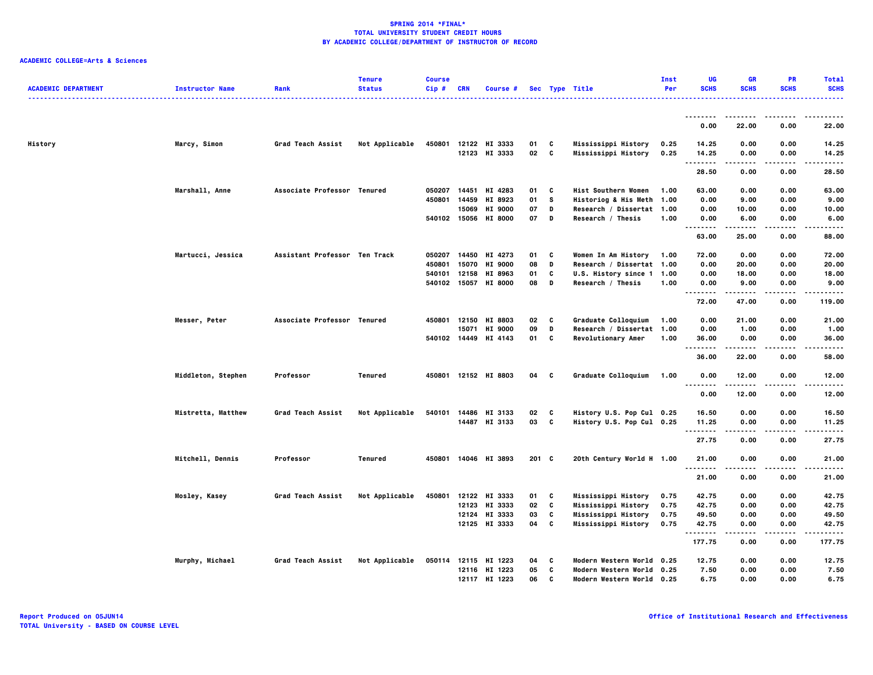| <b>ACADEMIC DEPARTMENT</b> | <b>Instructor Name</b> | Rank                          | <b>Tenure</b><br><b>Status</b> | <b>Course</b><br>$Cip$ # | <b>CRN</b> | Course #             |         |              | Sec Type Title             | Inst<br>Per | <b>UG</b><br><b>SCHS</b>                  | <b>GR</b><br><b>SCHS</b> | <b>PR</b><br><b>SCHS</b> | <b>Total</b><br><b>SCHS</b> |
|----------------------------|------------------------|-------------------------------|--------------------------------|--------------------------|------------|----------------------|---------|--------------|----------------------------|-------------|-------------------------------------------|--------------------------|--------------------------|-----------------------------|
|                            |                        |                               |                                |                          |            |                      |         |              |                            |             | --------                                  |                          |                          |                             |
|                            |                        |                               |                                |                          |            |                      |         |              |                            |             | 0.00                                      | 22.00                    | 0.00                     | 22.00                       |
| History                    | Marcy, Simon           | Grad Teach Assist             | Not Applicable                 | 450801                   |            | 12122 HI 3333        | 01      | c            | Mississippi History        | 0.25        | 14.25                                     | 0.00                     | 0.00                     | 14.25                       |
|                            |                        |                               |                                |                          |            | 12123 HI 3333        | 02      | C            | Mississippi History        | 0.25        | 14.25<br>.                                | 0.00                     | 0.00                     | 14.25<br>-----              |
|                            |                        |                               |                                |                          |            |                      |         |              |                            |             | 28.50                                     | 0.00                     | 0.00                     | 28.50                       |
|                            | Marshall, Anne         | Associate Professor Tenured   |                                | 050207                   | 14451      | HI 4283              | 01      | C            | <b>Hist Southern Women</b> | 1.00        | 63.00                                     | 0.00                     | 0.00                     | 63.00                       |
|                            |                        |                               |                                | 450801                   | 14459      | HI 8923              | 01      | <b>S</b>     | Historiog & His Meth       | 1.00        | 0.00                                      | 9.00                     | 0.00                     | 9.00                        |
|                            |                        |                               |                                |                          | 15069      | <b>HI 9000</b>       | 07      | D            | Research / Dissertat 1.00  |             | 0.00                                      | 10.00                    | 0.00                     | 10.00                       |
|                            |                        |                               |                                |                          |            | 540102 15056 HI 8000 | 07      | D            | Research / Thesis          | 1.00        | 0.00                                      | 6.00                     | 0.00                     | 6.00                        |
|                            |                        |                               |                                |                          |            |                      |         |              |                            |             | 63.00                                     | 25.00                    | 0.00                     | 88.00                       |
|                            | Martucci, Jessica      | Assistant Professor Ten Track |                                | 050207                   | 14450      | HI 4273              | 01      | C            | Women In Am History        | 1.00        | 72.00                                     | 0.00                     | 0.00                     | 72.00                       |
|                            |                        |                               |                                | 450801                   | 15070      | <b>HI 9000</b>       | 08      | D            | Research / Dissertat 1.00  |             | 0.00                                      | 20.00                    | 0.00                     | 20.00                       |
|                            |                        |                               |                                | 540101                   | 12158      | HI 8963              | 01      | C            | U.S. History since 1       | 1.00        | 0.00                                      | 18.00                    | 0.00                     | 18.00                       |
|                            |                        |                               |                                | 540102                   | 15057      | <b>HI 8000</b>       | 08      | D            | Research / Thesis          | 1.00        | 0.00<br>.                                 | 9.00                     | 0.00                     | 9.00                        |
|                            |                        |                               |                                |                          |            |                      |         |              |                            |             | 72.00                                     | 47.00                    | 0.00                     | 119.00                      |
|                            | Messer, Peter          | Associate Professor Tenured   |                                | 450801                   | 12150      | HI 8803              | 02      | C            | Graduate Colloquium        | 1.00        | 0.00                                      | 21.00                    | 0.00                     | 21.00                       |
|                            |                        |                               |                                |                          | 15071      | <b>HI 9000</b>       | 09      | D            | Research / Dissertat 1.00  |             | 0.00                                      | 1.00                     | 0.00                     | 1.00                        |
|                            |                        |                               |                                |                          |            | 540102 14449 HI 4143 | 01      | c            | Revolutionary Amer         | 1.00        | 36.00<br>.                                | 0.00                     | 0.00<br>$- - - -$        | 36.00<br>.                  |
|                            |                        |                               |                                |                          |            |                      |         |              |                            |             | 36.00                                     | 22.00                    | 0.00                     | 58,00                       |
|                            | Middleton, Stephen     | Professor                     | <b>Tenured</b>                 |                          |            | 450801 12152 HI 8803 | 04 C    |              | Graduate Colloquium        | 1.00        | 0.00                                      | 12.00                    | 0.00                     | 12.00                       |
|                            |                        |                               |                                |                          |            |                      |         |              |                            |             | $\sim$ $\sim$ $\sim$<br>$- - - -$<br>0.00 | 12.00                    | ----<br>0.00             | -----<br>12.00              |
|                            | Mistretta, Matthew     | Grad Teach Assist             | Not Applicable                 | 540101                   | 14486      | HI 3133              | 02 C    |              | History U.S. Pop Cul 0.25  |             | 16.50                                     | 0.00                     | 0.00                     | 16.50                       |
|                            |                        |                               |                                |                          |            | 14487 HI 3133        | 03      | $\mathbf{c}$ | History U.S. Pop Cul 0.25  |             | 11.25                                     | 0.00                     | 0.00                     | 11.25                       |
|                            |                        |                               |                                |                          |            |                      |         |              |                            |             | .<br>27.75                                | .<br>0.00                | $- - - -$<br>0.00        | .<br>27.75                  |
|                            | Mitchell, Dennis       | Professor                     | Tenured                        |                          |            | 450801 14046 HI 3893 | $201$ C |              | 20th Century World H 1.00  |             | 21.00                                     | 0.00                     | 0.00                     | 21.00                       |
|                            |                        |                               |                                |                          |            |                      |         |              |                            |             | .                                         | .                        | $\cdots$                 | .                           |
|                            |                        |                               |                                |                          |            |                      |         |              |                            |             | 21.00                                     | 0.00                     | 0.00                     | 21.00                       |
|                            | Mosley, Kasey          | Grad Teach Assist             | Not Applicable                 | 450801                   |            | 12122 HI 3333        | 01      | C            | Mississippi History        | 0.75        | 42.75                                     | 0.00                     | 0.00                     | 42.75                       |
|                            |                        |                               |                                |                          |            | 12123 HI 3333        | 02      | C            | Mississippi History        | 0.75        | 42.75                                     | 0.00                     | 0.00                     | 42.75                       |
|                            |                        |                               |                                |                          |            | 12124 HI 3333        | 03      | C            | Mississippi History        | 0.75        | 49.50                                     | 0.00                     | 0.00                     | 49.50                       |
|                            |                        |                               |                                |                          |            | 12125 HI 3333        | 04      | C            | Mississippi History        | 0.75        | 42.75<br>                                 | 0.00                     | 0.00                     | 42.75<br>------             |
|                            |                        |                               |                                |                          |            |                      |         |              |                            |             | 177.75                                    | 0.00                     | 0.00                     | 177.75                      |
|                            | Murphy, Michael        | Grad Teach Assist             | Not Applicable                 |                          |            | 050114 12115 HI 1223 | 04      | C            | Modern Western World 0.25  |             | 12.75                                     | 0.00                     | 0.00                     | 12.75                       |
|                            |                        |                               |                                |                          | 12116      | HI 1223              | 05      | C            | Modern Western World 0.25  |             | 7.50                                      | 0.00                     | 0.00                     | 7.50                        |
|                            |                        |                               |                                |                          |            | 12117 HI 1223        | 06      | C            | Modern Western World 0.25  |             | 6.75                                      | 0.00                     | 0.00                     | 6.75                        |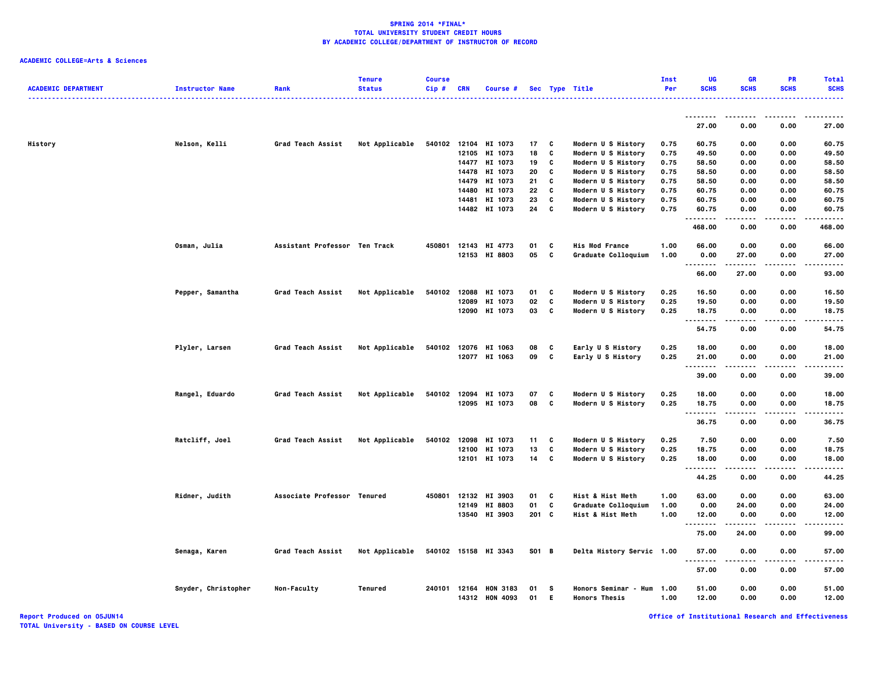| <b>ACADEMIC DEPARTMENT</b> | <b>Instructor Name</b> | Rank                          | <b>Tenure</b><br><b>Status</b> | <b>Course</b><br>Cip# | <b>CRN</b> | Course #             |       |   | Sec Type Title            | Inst<br>Per | UG<br><b>SCHS</b>                 | GR<br><b>SCHS</b> | <b>PR</b><br><b>SCHS</b> | <b>Total</b><br><b>SCHS</b> |
|----------------------------|------------------------|-------------------------------|--------------------------------|-----------------------|------------|----------------------|-------|---|---------------------------|-------------|-----------------------------------|-------------------|--------------------------|-----------------------------|
|                            |                        |                               |                                |                       |            |                      |       |   |                           |             |                                   |                   |                          |                             |
|                            |                        |                               |                                |                       |            |                      |       |   |                           |             | 27.00                             | 0.00              | 0.00                     | 27.00                       |
| History                    | Nelson, Kelli          | Grad Teach Assist             | Not Applicable                 |                       |            | 540102 12104 HI 1073 | 17    | C | Modern U S History        | 0.75        | 60.75                             | 0.00              | 0.00                     | 60.75                       |
|                            |                        |                               |                                |                       |            | 12105 HI 1073        | 18    | C | Modern U S History        | 0.75        | 49.50                             | 0.00              | 0.00                     | 49.50                       |
|                            |                        |                               |                                |                       |            | 14477 HI 1073        | 19    | C | Modern U S History        | 0.75        | 58.50                             | 0.00              | 0.00                     | 58.50                       |
|                            |                        |                               |                                |                       | 14478      | HI 1073              | 20    | C | Modern U S History        | 0.75        | 58.50                             | 0.00              | 0.00                     | 58.50                       |
|                            |                        |                               |                                |                       | 14479      | HI 1073              | 21    | C | Modern U S History        | 0.75        | 58.50                             | 0.00              | 0.00                     | 58.50                       |
|                            |                        |                               |                                |                       | 14480      | HI 1073              | 22    | C | Modern U S History        | 0.75        | 60.75                             | 0.00              | 0.00                     | 60.75                       |
|                            |                        |                               |                                |                       | 14481      | HI 1073              | 23    | C | Modern U S History        | 0.75        | 60.75                             | 0.00              | 0.00                     | 60.75                       |
|                            |                        |                               |                                |                       |            | 14482 HI 1073        | 24    | C | Modern U S History        | 0.75        | 60.75<br>.                        | 0.00              | 0.00                     | 60.75                       |
|                            |                        |                               |                                |                       |            |                      |       |   |                           |             | 468.00                            | 0.00              | 0.00                     | 468.00                      |
|                            | Osman, Julia           | Assistant Professor Ten Track |                                | 450801                |            | 12143 HI 4773        | 01    | C | <b>His Mod France</b>     | 1.00        | 66.00                             | 0.00              | 0.00                     | 66.00                       |
|                            |                        |                               |                                |                       |            | 12153 HI 8803        | 05    | C | Graduate Colloquium       | 1.00        | 0.00<br>$\sim$ $\sim$ $\sim$<br>. | 27.00             | 0.00                     | 27.00                       |
|                            |                        |                               |                                |                       |            |                      |       |   |                           |             | 66.00                             | 27.00             | 0.00                     | 93.00                       |
|                            | Pepper, Samantha       | Grad Teach Assist             | Not Applicable                 | 540102                |            | 12088 HI 1073        | 01    | C | Modern U S History        | 0.25        | 16.50                             | 0.00              | 0.00                     | 16.50                       |
|                            |                        |                               |                                |                       | 12089      | HI 1073              | 02    | C | Modern U S History        | 0.25        | 19.50                             | 0.00              | 0.00                     | 19.50                       |
|                            |                        |                               |                                |                       |            | 12090 HI 1073        | 03    | C | Modern U S History        | 0.25        | 18.75                             | 0.00              | 0.00                     | 18.75                       |
|                            |                        |                               |                                |                       |            |                      |       |   |                           |             | .<br>54.75                        | ----<br>0.00      | .<br>0.00                | .<br>54.75                  |
|                            | Plyler, Larsen         | Grad Teach Assist             | Not Applicable                 | 540102                |            | 12076 HI 1063        | 08    | C | Early U S History         | 0.25        | 18.00                             | 0.00              | 0.00                     | 18.00                       |
|                            |                        |                               |                                |                       |            | 12077 HI 1063        | 09    | C | Early U S History         | 0.25        | 21.00<br>.                        | 0.00              | 0.00<br>$- - - -$        | 21.00                       |
|                            |                        |                               |                                |                       |            |                      |       |   |                           |             | 39.00                             | $- - - -$<br>0.00 | 0.00                     | -----<br>39.00              |
|                            | Rangel, Eduardo        | Grad Teach Assist             | Not Applicable                 |                       |            | 540102 12094 HI 1073 | 07    | C | Modern U S History        | 0.25        | 18.00                             | 0.00              | 0.00                     | 18.00                       |
|                            |                        |                               |                                |                       |            | 12095 HI 1073        | 08    | C | Modern U S History        | 0.25        | 18.75                             | 0.00              | 0.00                     | 18.75                       |
|                            |                        |                               |                                |                       |            |                      |       |   |                           |             | .<br>36.75                        | $- - - -$<br>0.00 | .<br>0.00                | .<br>36.75                  |
|                            | Ratcliff, Joel         | Grad Teach Assist             | Not Applicable                 | 540102                | 12098      | HI 1073              | 11    | c | Modern U S History        | 0.25        | 7.50                              | 0.00              | 0.00                     | 7.50                        |
|                            |                        |                               |                                |                       | 12100      | HI 1073              | 13    | C | Modern U S History        | 0.25        | 18.75                             | 0.00              | 0.00                     | 18.75                       |
|                            |                        |                               |                                |                       |            | 12101 HI 1073        | 14    | C | Modern U S History        | 0.25        | 18.00                             | 0.00              | 0.00                     | 18.00                       |
|                            |                        |                               |                                |                       |            |                      |       |   |                           |             | .<br>44.25                        | $- - - -$<br>0.00 | .<br>0.00                | $- - - -$<br>44.25          |
|                            | Ridner, Judith         | Associate Professor Tenured   |                                | 450801                | 12132      | HI 3903              | 01    | C | Hist & Hist Meth          | 1.00        | 63.00                             | 0.00              | 0.00                     | 63.00                       |
|                            |                        |                               |                                |                       | 12149      | <b>HI 8803</b>       | 01    | C | Graduate Colloquium       | 1.00        | 0.00                              | 24.00             | 0.00                     | 24.00                       |
|                            |                        |                               |                                |                       |            | 13540 HI 3903        | 201 C |   | Hist & Hist Meth          | 1.00        | 12.00                             | 0.00              | 0.00                     | 12.00                       |
|                            |                        |                               |                                |                       |            |                      |       |   |                           |             | . .                               |                   |                          | ----                        |
|                            |                        |                               |                                |                       |            |                      |       |   |                           |             | 75.00                             | 24.00             | 0.00                     | 99.00                       |
|                            | Senaga, Karen          | Grad Teach Assist             | Not Applicable                 |                       |            | 540102 15158 HI 3343 | S01 B |   | Delta History Servic 1.00 |             | 57.00<br>.                        | 0.00<br>$\cdots$  | 0.00<br>.                | 57.00<br>. <b>.</b> .       |
|                            |                        |                               |                                |                       |            |                      |       |   |                           |             | 57.00                             | 0.00              | 0.00                     | 57.00                       |
|                            | Snyder, Christopher    | Non-Faculty                   | Tenured                        | 240101                | 12164      | <b>HON 3183</b>      | 01    | s | Honors Seminar - Hum      | 1.00        | 51.00                             | 0.00              | 0.00                     | 51.00                       |
|                            |                        |                               |                                |                       |            | 14312 HON 4093       | 01    | Е | <b>Honors Thesis</b>      | 1.00        | 12.00                             | 0.00              | 0.00                     | 12.00                       |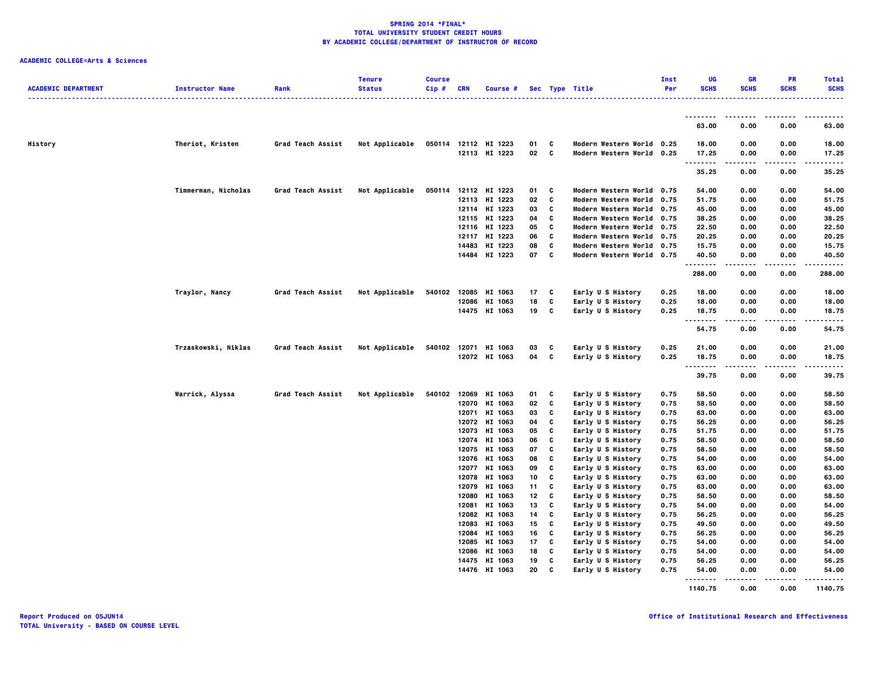| <b>ACADEMIC DEPARTMENT</b> | <b>Instructor Name</b> | Rank              | <b>Tenure</b><br><b>Status</b> | <b>Course</b><br>Cip# | CRN   | Course #                       |                 |                          | Sec Type Title                                         | Inst<br>Per  | UG<br><b>SCHS</b> | <b>GR</b><br><b>SCHS</b> | PR<br><b>SCHS</b> | <b>Total</b><br><b>SCHS</b> |
|----------------------------|------------------------|-------------------|--------------------------------|-----------------------|-------|--------------------------------|-----------------|--------------------------|--------------------------------------------------------|--------------|-------------------|--------------------------|-------------------|-----------------------------|
|                            |                        |                   |                                |                       |       |                                |                 |                          |                                                        |              | .                 |                          |                   |                             |
|                            |                        |                   |                                |                       |       |                                |                 |                          |                                                        |              | 63.00             | 0.00                     | 0.00              | 63.00                       |
| History                    | Theriot, Kristen       | Grad Teach Assist | Not Applicable                 |                       |       | 050114 12112 HI 1223           | 01              | C                        | Modern Western World 0.25                              |              | 18.00             | 0.00                     | 0.00              | 18.00                       |
|                            |                        |                   |                                |                       |       | 12113 HI 1223                  | 02              | $\overline{\phantom{a}}$ | Modern Western World 0.25                              |              | 17.25<br>         | 0.00<br>.                | 0.00<br>$\cdots$  | 17.25<br>.                  |
|                            |                        |                   |                                |                       |       |                                |                 |                          |                                                        |              | 35.25             | 0.00                     | 0.00              | 35.25                       |
|                            | Timmerman, Nicholas    | Grad Teach Assist | Not Applicable                 |                       |       | 050114 12112 HI 1223           | 01              | C                        | Modern Western World 0.75                              |              | 54.00             | 0.00                     | 0.00              | 54.00                       |
|                            |                        |                   |                                |                       |       | 12113 HI 1223                  | 02              | C                        | Modern Western World 0.75                              |              | 51.75             | 0.00                     | 0.00              | 51.75                       |
|                            |                        |                   |                                |                       |       | 12114 HI 1223                  | 03              | C                        | Modern Western World 0.75                              |              | 45.00             | 0.00                     | 0.00              | 45.00                       |
|                            |                        |                   |                                |                       |       | 12115 HI 1223                  | 04              | C                        | Modern Western World 0.75                              |              | 38.25             | 0.00                     | 0.00              | 38.25                       |
|                            |                        |                   |                                |                       |       | 12116 HI 1223                  | 05              | C                        | Modern Western World 0.75                              |              | 22.50             | 0.00                     | 0.00              | 22.50                       |
|                            |                        |                   |                                |                       |       | 12117 HI 1223                  | 06              | C                        | Modern Western World 0.75                              |              | 20.25             | 0.00                     | 0.00              | 20.25                       |
|                            |                        |                   |                                |                       |       | 14483 HI 1223<br>14484 HI 1223 | 08<br>07        | C<br>$\mathbf{c}$        | Modern Western World 0.75<br>Modern Western World 0.75 |              | 15.75<br>40.50    | 0.00<br>0.00             | 0.00<br>0.00      | 15.75<br>40.50              |
|                            |                        |                   |                                |                       |       |                                |                 |                          |                                                        |              | .                 |                          |                   |                             |
|                            |                        |                   |                                |                       |       |                                |                 |                          |                                                        |              | 288.00            | 0.00                     | 0.00              | 288.00                      |
|                            | Traylor, Nancy         | Grad Teach Assist | Not Applicable                 | 540102                |       | 12085 HI 1063                  | 17 <sub>1</sub> | C                        | Early U S History                                      | 0.25         | 18.00             | 0.00                     | 0.00              | 18.00                       |
|                            |                        |                   |                                |                       |       | 12086 HI 1063                  | 18              | C                        | Early U S History                                      | 0.25         | 18.00             | 0.00                     | 0.00              | 18.00                       |
|                            |                        |                   |                                |                       |       | 14475 HI 1063                  | 19              | C                        | Early U S History                                      | 0.25         | 18.75<br>         | 0.00<br>$- - - -$        | 0.00<br>.         | 18.75<br>$- - - -$          |
|                            |                        |                   |                                |                       |       |                                |                 |                          |                                                        |              | 54.75             | 0.00                     | 0.00              | 54.75                       |
|                            | Trzaskowski, Niklas    | Grad Teach Assist | Not Applicable                 |                       |       | 540102 12071 HI 1063           | 03              | c                        | Early U S History                                      | 0.25         | 21.00             | 0.00                     | 0.00              | 21.00                       |
|                            |                        |                   |                                |                       |       | 12072 HI 1063                  | 04 C            |                          | Early U S History                                      | 0.25         | 18.75<br>.        | 0.00                     | 0.00<br>.         | 18.75<br>.                  |
|                            |                        |                   |                                |                       |       |                                |                 |                          |                                                        |              | 39.75             | 0.00                     | 0.00              | 39.75                       |
|                            | Warrick, Alyssa        | Grad Teach Assist | Not Applicable                 | 540102                |       | 12069 HI 1063                  | 01              | C                        | Early U S History                                      | 0.75         | 58.50             | 0.00                     | 0.00              | 58.50                       |
|                            |                        |                   |                                |                       |       | 12070 HI 1063                  | 02              | C                        | Early U S History                                      | 0.75         | 58.50             | 0.00                     | 0.00              | 58.50                       |
|                            |                        |                   |                                |                       |       | 12071 HI 1063                  | 03              | c                        | Early U S History                                      | 0.75         | 63.00             | 0.00                     | 0.00              | 63.00                       |
|                            |                        |                   |                                |                       |       | 12072 HI 1063                  | 04              | c                        | Early U S History                                      | 0.75         | 56.25             | 0.00                     | 0.00              | 56.25                       |
|                            |                        |                   |                                |                       |       | 12073 HI 1063                  | 05              | C                        | Early U S History                                      | 0.75         | 51.75             | 0.00                     | 0.00              | 51.75                       |
|                            |                        |                   |                                |                       |       | 12074 HI 1063                  | 06              | C<br>C                   | Early U S History                                      | 0.75         | 58.50             | 0.00                     | 0.00              | 58.50                       |
|                            |                        |                   |                                |                       | 12075 | HI 1063<br>12076 HI 1063       | 07<br>08        | C                        | Early U S History<br>Early U S History                 | 0.75<br>0.75 | 58.50<br>54.00    | 0.00<br>0.00             | 0.00<br>0.00      | 58.50<br>54.00              |
|                            |                        |                   |                                |                       |       | 12077 HI 1063                  | 09              | c                        | Early U S History                                      | 0.75         | 63.00             | 0.00                     | 0.00              | 63.00                       |
|                            |                        |                   |                                |                       | 12078 | HI 1063                        | 10              | C                        | Early U S History                                      | 0.75         | 63.00             | 0.00                     | 0.00              | 63.00                       |
|                            |                        |                   |                                |                       | 12079 | HI 1063                        | 11              | C                        | Early U S History                                      | 0.75         | 63.00             | 0.00                     | 0.00              | 63.00                       |
|                            |                        |                   |                                |                       | 12080 | HI 1063                        | 12              | C                        | Early U S History                                      | 0.75         | 58.50             | 0.00                     | 0.00              | 58.50                       |
|                            |                        |                   |                                |                       | 12081 | HI 1063                        | 13              | C                        | Early U S History                                      | 0.75         | 54.00             | 0.00                     | 0.00              | 54.00                       |
|                            |                        |                   |                                |                       |       | 12082 HI 1063                  | 14              | C                        | Early U S History                                      | 0.75         | 56.25             | 0.00                     | 0.00              | 56.25                       |
|                            |                        |                   |                                |                       |       | 12083 HI 1063                  | 15              | C                        | Early U S History                                      | 0.75         | 49.50             | 0.00                     | 0.00              | 49.50                       |
|                            |                        |                   |                                |                       | 12084 | HI 1063                        | 16              | C                        | Early U S History                                      | 0.75         | 56.25             | 0.00                     | 0.00              | 56.25                       |
|                            |                        |                   |                                |                       |       | 12085 HI 1063                  | 17              | C                        | Early U S History                                      | 0.75         | 54.00             | 0.00                     | 0.00              | 54.00                       |
|                            |                        |                   |                                |                       |       | 12086 HI 1063                  | 18              | C                        | Early U S History                                      | 0.75         | 54.00             | 0.00                     | 0.00              | 54.00                       |
|                            |                        |                   |                                |                       | 14475 | HI 1063                        | 19              | C                        | Early U S History                                      | 0.75         | 56.25             | 0.00                     | 0.00              | 56.25                       |
|                            |                        |                   |                                |                       |       | 14476 HI 1063                  | 20              | c                        | Early U S History                                      | 0.75         | 54.00<br>.        | 0.00<br>-----            | 0.00<br>.         | 54.00<br>.                  |
|                            |                        |                   |                                |                       |       |                                |                 |                          |                                                        |              | 1140.75           | 0.00                     | 0.00              | 1140.75                     |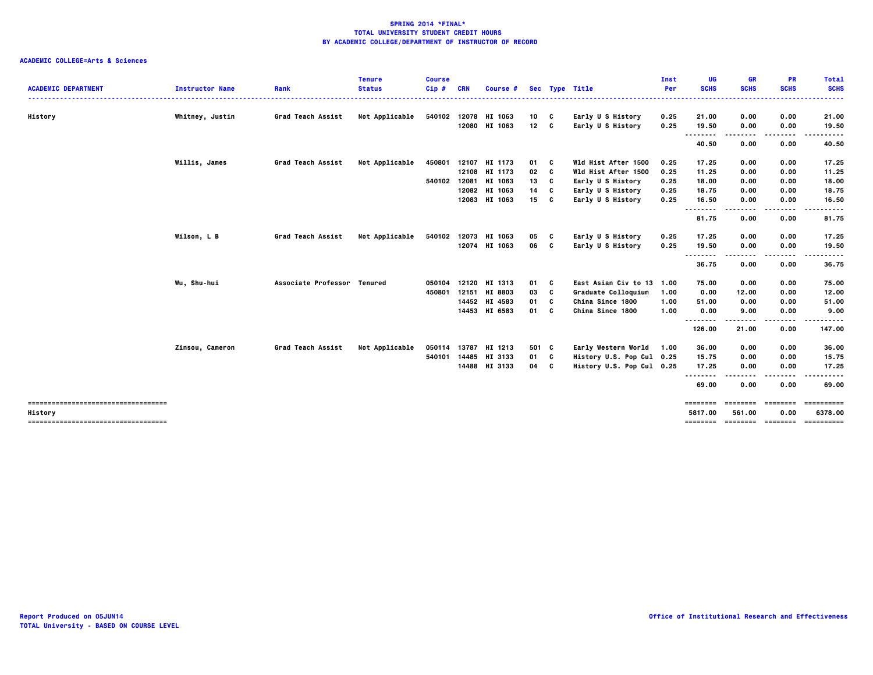| <b>ACADEMIC DEPARTMENT</b>            | <b>Instructor Name</b> | Rank                        | <b>Tenure</b><br><b>Status</b> | <b>Course</b><br>$Cip$ # | <b>CRN</b> | Course #      |                 |   | Sec Type Title            | Inst<br>Per | UG<br><b>SCHS</b> | <b>GR</b><br><b>SCHS</b> | <b>PR</b><br><b>SCHS</b> | <b>Total</b><br><b>SCHS</b> |
|---------------------------------------|------------------------|-----------------------------|--------------------------------|--------------------------|------------|---------------|-----------------|---|---------------------------|-------------|-------------------|--------------------------|--------------------------|-----------------------------|
|                                       |                        |                             |                                |                          |            |               |                 |   |                           |             |                   |                          |                          | .                           |
| History                               | Whitney, Justin        | <b>Grad Teach Assist</b>    | Not Applicable                 | 540102                   |            | 12078 HI 1063 | 10              | C | Early U S History         | 0.25        | 21.00             | 0.00                     | 0.00                     | 21.00                       |
|                                       |                        |                             |                                |                          |            | 12080 HI 1063 | 12 <sub>c</sub> |   | Early U S History         | 0.25        | 19.50             | 0.00<br>.                | 0.00<br>.                | 19.50<br>. <b>.</b>         |
|                                       |                        |                             |                                |                          |            |               |                 |   |                           |             | <br>40.50         | 0.00                     | 0.00                     | 40.50                       |
|                                       | Willis, James          | Grad Teach Assist           | Not Applicable                 | 450801                   | 12107      | HI 1173       | 01              | C | Wld Hist After 1500       | 0.25        | 17.25             | 0.00                     | 0.00                     | 17.25                       |
|                                       |                        |                             |                                |                          |            | 12108 HI 1173 | 02              | C | Wld Hist After 1500       | 0.25        | 11.25             | 0.00                     | 0.00                     | 11.25                       |
|                                       |                        |                             |                                | 540102                   | 12081      | HI 1063       | 13              | C | Early U S History         | 0.25        | 18.00             | 0.00                     | 0.00                     | 18.00                       |
|                                       |                        |                             |                                |                          |            | 12082 HI 1063 | 14              | C | Early U S History         | 0.25        | 18.75             | 0.00                     | 0.00                     | 18.75                       |
|                                       |                        |                             |                                |                          |            | 12083 HI 1063 | 15 C            |   | Early U S History         | 0.25        | 16.50<br>$- - -$  | 0.00                     | 0.00                     | 16.50<br>----               |
|                                       |                        |                             |                                |                          |            |               |                 |   |                           |             | 81.75             | 0.00                     | 0.00                     | 81.75                       |
|                                       | Wilson, L B            | Grad Teach Assist           | Not Applicable                 | 540102                   |            | 12073 HI 1063 | 05              | C | Early U S History         | 0.25        | 17.25             | 0.00                     | 0.00                     | 17.25                       |
|                                       |                        |                             |                                |                          |            | 12074 HI 1063 | 06 C            |   | Early U S History         | 0.25        | 19.50             | 0.00                     | 0.00                     | 19.50                       |
|                                       |                        |                             |                                |                          |            |               |                 |   |                           |             | <br>36.75         | 0.00                     | 0.00                     | . <b>.</b> .<br>36.75       |
|                                       | Wu, Shu-hui            | Associate Professor Tenured |                                | 050104                   |            | 12120 HI 1313 | 01              | C | East Asian Civ to 13      | 1.00        | 75.00             | 0.00                     | 0.00                     | 75.00                       |
|                                       |                        |                             |                                | 450801                   |            | 12151 HI 8803 | 03              | c | Graduate Colloquium       | 1.00        | 0.00              | 12.00                    | 0.00                     | 12.00                       |
|                                       |                        |                             |                                |                          |            | 14452 HI 4583 | 01              | C | China Since 1800          | 1.00        | 51.00             | 0.00                     | 0.00                     | 51.00                       |
|                                       |                        |                             |                                |                          |            | 14453 HI 6583 | 01              | C | China Since 1800          | 1.00        | 0.00              | 9.00                     | 0.00                     | 9.00                        |
|                                       |                        |                             |                                |                          |            |               |                 |   |                           |             | .<br>126.00       | 21.00                    | . <b>.</b> .<br>0.00     | .<br>147.00                 |
|                                       | Zinsou, Cameron        | Grad Teach Assist           | Not Applicable                 | 050114                   | 13787      | HI 1213       | 501 C           |   | Early Western World 1.00  |             | 36.00             | 0.00                     | 0.00                     | 36.00                       |
|                                       |                        |                             |                                | 540101                   | 14485      | HI 3133       | 01              | C | History U.S. Pop Cul 0.25 |             | 15.75             | 0.00                     | 0.00                     | 15.75                       |
|                                       |                        |                             |                                |                          |            | 14488 HI 3133 | 04              | C | History U.S. Pop Cul 0.25 |             | 17.25             | 0.00                     | 0.00                     | 17.25                       |
|                                       |                        |                             |                                |                          |            |               |                 |   |                           |             | .                 |                          | .                        | .                           |
|                                       |                        |                             |                                |                          |            |               |                 |   |                           |             | 69.00             | 0.00                     | 0.00                     | 69.00                       |
| ------------------------------------- |                        |                             |                                |                          |            |               |                 |   |                           |             | ========          | eessesse                 | ========                 | ==========                  |
| History                               |                        |                             |                                |                          |            |               |                 |   |                           |             | 5817.00           | 561.00                   | 0.00                     | 6378.00                     |
| ------------------------------------- |                        |                             |                                |                          |            |               |                 |   |                           |             |                   |                          | -------- ------- ------- | -----------                 |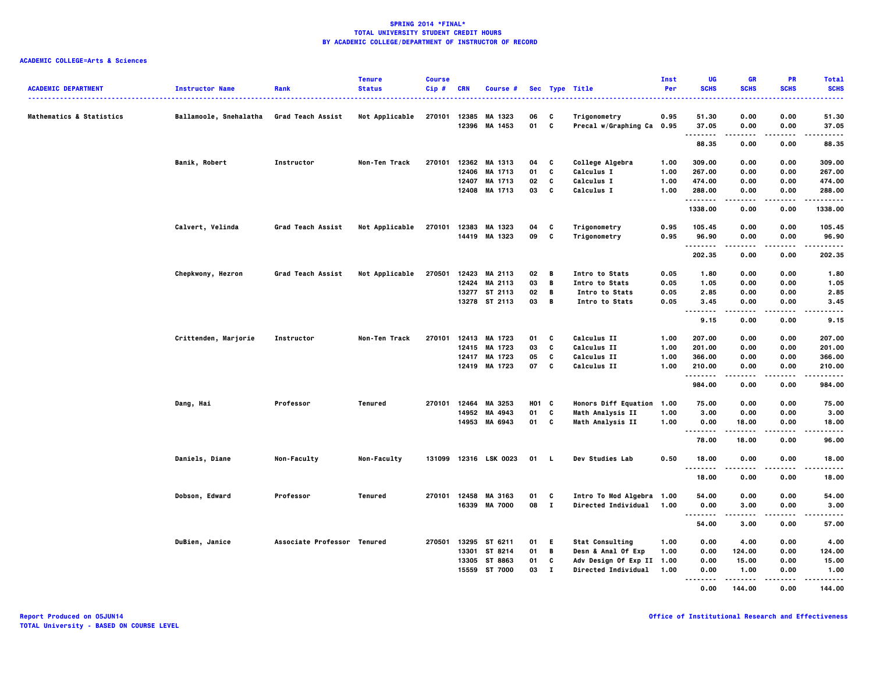| <b>ACADEMIC DEPARTMENT</b> | <b>Instructor Name</b>                   | Rank                        | <b>Tenure</b><br><b>Status</b> | <b>Course</b><br>Cip# | <b>CRN</b> | Course #                 |                   |                | Sec Type Title                            | Inst<br>Per | UG<br><b>SCHS</b>                 | <b>GR</b><br><b>SCHS</b> | PR<br><b>SCHS</b> | <b>Total</b><br><b>SCHS</b> |
|----------------------------|------------------------------------------|-----------------------------|--------------------------------|-----------------------|------------|--------------------------|-------------------|----------------|-------------------------------------------|-------------|-----------------------------------|--------------------------|-------------------|-----------------------------|
| Mathematics & Statistics   | Ballamoole, Snehalatha Grad Teach Assist |                             | Not Applicable                 | 270101                | 12385      | MA 1323<br>12396 MA 1453 | 06<br>01 C        | C              | Trigonometry<br>Precal w/Graphing Ca 0.95 | 0.95        | 51.30<br>37.05                    | 0.00<br>0.00             | 0.00<br>0.00      | 51.30<br>37.05              |
|                            |                                          |                             |                                |                       |            |                          |                   |                |                                           |             | .                                 | .                        | $- - - -$         | .                           |
|                            |                                          |                             |                                |                       |            |                          |                   |                |                                           |             | 88.35                             | 0.00                     | 0.00              | 88.35                       |
|                            | Banik, Robert                            | Instructor                  | Non-Ten Track                  | 270101                |            | 12362 MA 1313            | 04                | C              | College Algebra                           | 1.00        | 309.00                            | 0.00                     | 0.00              | 309.00                      |
|                            |                                          |                             |                                |                       | 12406      | MA 1713                  | 01                | C              | Calculus I                                | 1.00        | 267.00                            | 0.00                     | 0.00              | 267.00                      |
|                            |                                          |                             |                                |                       | 12407      | MA 1713                  | 02                | C              | Calculus I                                | 1.00        | 474.00                            | 0.00                     | 0.00              | 474.00                      |
|                            |                                          |                             |                                |                       |            | 12408 MA 1713            | 03                | C              | Calculus I                                | 1.00        | 288.00<br><b>.</b>                | 0.00                     | 0.00              | 288.00<br>.                 |
|                            |                                          |                             |                                |                       |            |                          |                   |                |                                           |             | 1338.00                           | 0.00                     | 0.00              | 1338.00                     |
|                            | Calvert, Velinda                         | Grad Teach Assist           | Not Applicable                 | 270101                | 12383      | MA 1323                  | 04                | C              | Trigonometry                              | 0.95        | 105.45                            | 0.00                     | 0.00              | 105.45                      |
|                            |                                          |                             |                                |                       |            | 14419 MA 1323            | 09                | $\mathbf{c}$   | Trigonometry                              | 0.95        | 96.90<br>.                        | 0.00<br>.                | 0.00<br>$- - - -$ | 96.90<br>.                  |
|                            |                                          |                             |                                |                       |            |                          |                   |                |                                           |             | 202.35                            | 0.00                     | 0.00              | 202.35                      |
|                            | Chepkwony, Hezron                        | Grad Teach Assist           | Not Applicable                 | 270501                |            | 12423 MA 2113            | 02                | в              | Intro to Stats                            | 0.05        | 1.80                              | 0.00                     | 0.00              | 1.80                        |
|                            |                                          |                             |                                |                       | 12424      | MA 2113                  | 03                | B              | Intro to Stats                            | 0.05        | 1.05                              | 0.00                     | 0.00              | 1.05                        |
|                            |                                          |                             |                                |                       |            | 13277 ST 2113            | 02                | B              | Intro to Stats                            | 0.05        | 2.85                              | 0.00                     | 0.00              | 2.85                        |
|                            |                                          |                             |                                |                       |            | 13278 ST 2113            | 03                | $\overline{B}$ | Intro to Stats                            | 0.05        | 3.45<br>$\sim$ $\sim$ $\sim$<br>. | 0.00                     | 0.00              | 3.45<br>-----               |
|                            |                                          |                             |                                |                       |            |                          |                   |                |                                           |             | 9.15                              | 0.00                     | 0.00              | 9.15                        |
|                            | Crittenden, Marjorie                     | Instructor                  | Non-Ten Track                  | 270101                |            | 12413 MA 1723            | 01                | C              | Calculus II                               | 1.00        | 207.00                            | 0.00                     | 0.00              | 207.00                      |
|                            |                                          |                             |                                |                       |            | 12415 MA 1723            | 03                | C              | Calculus II                               | 1.00        | 201.00                            | 0.00                     | 0.00              | 201.00                      |
|                            |                                          |                             |                                |                       |            | 12417 MA 1723            | 05                | C              | Calculus II                               | 1.00        | 366.00                            | 0.00                     | 0.00              | 366.00                      |
|                            |                                          |                             |                                |                       |            | 12419 MA 1723            | 07                | C              | Calculus II                               | 1.00        | 210.00<br>.                       | 0.00                     | 0.00              | 210.00<br>.                 |
|                            |                                          |                             |                                |                       |            |                          |                   |                |                                           |             | 984.00                            | 0.00                     | 0.00              | 984.00                      |
|                            | Dang, Hai                                | Professor                   | Tenured                        | 270101                | 12464      | MA 3253                  | H <sub>01</sub> C |                | <b>Honors Diff Equation</b>               | 1.00        | 75.00                             | 0.00                     | 0.00              | 75.00                       |
|                            |                                          |                             |                                |                       | 14952      | MA 4943                  | 01                | C              | Math Analysis II                          | 1.00        | 3.00                              | 0.00                     | 0.00              | 3.00                        |
|                            |                                          |                             |                                |                       |            | 14953 MA 6943            | 01 C              |                | Math Analysis II                          | 1.00        | 0.00<br>.                         | 18.00                    | 0.00              | 18.00<br>-----              |
|                            |                                          |                             |                                |                       |            |                          |                   |                |                                           |             | 78.00                             | 18.00                    | 0.00              | 96.00                       |
|                            | Daniels, Diane                           | Non-Faculty                 | Non-Faculty                    | 131099                |            | 12316 LSK 0023           | 01                | . L            | Dev Studies Lab                           | 0.50        | 18.00                             | 0.00                     | 0.00              | 18.00                       |
|                            |                                          |                             |                                |                       |            |                          |                   |                |                                           |             | <b>.</b><br>18.00                 | .<br>0.00                | ----<br>0.00      | .<br>18.00                  |
|                            | Dobson, Edward                           | Professor                   | Tenured                        |                       |            | 270101 12458 MA 3163     | 01                | C              | Intro To Mod Algebra                      | 1.00        | 54.00                             | 0.00                     | 0.00              | 54.00                       |
|                            |                                          |                             |                                |                       |            | 16339 MA 7000            | 08 I              |                | Directed Individual                       | 1.00        | 0.00                              | 3.00                     | 0.00              | 3.00                        |
|                            |                                          |                             |                                |                       |            |                          |                   |                |                                           |             | .                                 |                          |                   |                             |
|                            |                                          |                             |                                |                       |            |                          |                   |                |                                           |             | 54.00                             | 3.00                     | 0.00              | 57.00                       |
|                            | DuBien, Janice                           | Associate Professor Tenured |                                | 270501                |            | 13295 ST 6211            | 01 E              |                | <b>Stat Consulting</b>                    | 1.00        | 0.00                              | 4.00                     | 0.00              | 4.00                        |
|                            |                                          |                             |                                |                       |            | 13301 ST 8214            | 01                | $\mathbf B$    | Desn & Anal Of Exp                        | 1.00        | 0.00                              | 124.00                   | 0.00              | 124.00                      |
|                            |                                          |                             |                                |                       |            | 13305 ST 8863            | 01                | C              | Adv Design Of Exp II                      | 1.00        | 0.00                              | 15.00                    | 0.00              | 15.00                       |
|                            |                                          |                             |                                |                       |            | 15559 ST 7000            | 03                | $\mathbf{I}$   | <b>Directed Individual</b>                | 1.00        | 0.00<br>.                         | 1.00<br>.                | 0.00<br>$- - - -$ | 1.00<br>.                   |
|                            |                                          |                             |                                |                       |            |                          |                   |                |                                           |             | 0.00                              | 144.00                   | 0.00              | 144.00                      |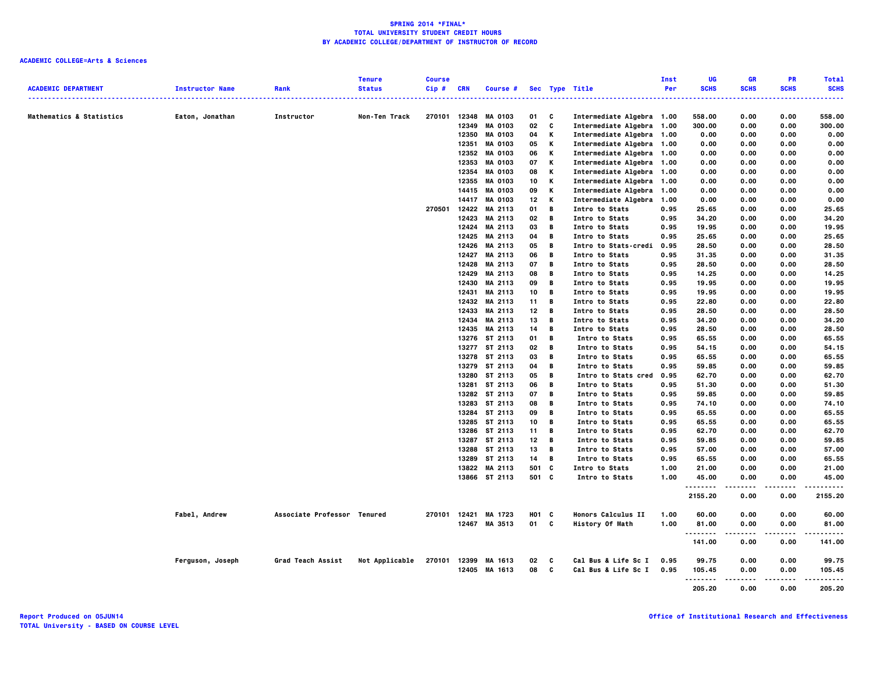|                            |                        |                             | <b>Tenure</b>  | <b>Course</b> |            |                |            |   |                           | Inst | UG          | <b>GR</b>   | PR          | <b>Total</b> |
|----------------------------|------------------------|-----------------------------|----------------|---------------|------------|----------------|------------|---|---------------------------|------|-------------|-------------|-------------|--------------|
| <b>ACADEMIC DEPARTMENT</b> | <b>Instructor Name</b> | Rank                        | <b>Status</b>  | Cip#          | <b>CRN</b> | Course #       |            |   | Sec Type Title            | Per  | <b>SCHS</b> | <b>SCHS</b> | <b>SCHS</b> | <b>SCHS</b>  |
| Mathematics & Statistics   | Eaton, Jonathan        | Instructor                  | Non-Ten Track  | 270101        | 12348      | <b>MA 0103</b> | 01         | C | Intermediate Algebra 1.00 |      | 558.00      | 0.00        | 0.00        | 558.00       |
|                            |                        |                             |                |               | 12349      | <b>MA 0103</b> | 02         | c | Intermediate Algebra 1.00 |      | 300.00      | 0.00        | 0.00        | 300.00       |
|                            |                        |                             |                |               | 12350      | <b>MA 0103</b> | 04         | Κ | Intermediate Algebra 1.00 |      | 0.00        | 0.00        | 0.00        | 0.00         |
|                            |                        |                             |                |               | 12351      | <b>MA 0103</b> | 05         | Κ | Intermediate Algebra 1.00 |      | 0.00        | 0.00        | 0.00        | 0.00         |
|                            |                        |                             |                |               | 12352      | <b>MA 0103</b> | 06         | Κ | Intermediate Algebra 1.00 |      | 0.00        | 0.00        | 0.00        | 0.00         |
|                            |                        |                             |                |               | 12353      | MA 0103        | 07         | Κ | Intermediate Algebra 1.00 |      | 0.00        | 0.00        | 0.00        | 0.00         |
|                            |                        |                             |                |               |            |                |            | Κ |                           |      |             |             |             |              |
|                            |                        |                             |                |               | 12354      | <b>MA 0103</b> | 08         | Κ | Intermediate Algebra 1.00 |      | 0.00        | 0.00        | 0.00        | 0.00         |
|                            |                        |                             |                |               | 12355      | <b>MA 0103</b> | 10         |   | Intermediate Algebra 1.00 |      | 0.00        | 0.00        | 0.00        | 0.00         |
|                            |                        |                             |                |               | 14415      | <b>MA 0103</b> | 09         | Κ | Intermediate Algebra 1.00 |      | 0.00        | 0.00        | 0.00        | 0.00         |
|                            |                        |                             |                |               | 14417      | <b>MA 0103</b> | 12         | Κ | Intermediate Algebra 1.00 |      | 0.00        | 0.00        | 0.00        | 0.00         |
|                            |                        |                             |                | 270501        | 12422      | MA 2113        | 01         | В | <b>Intro to Stats</b>     | 0.95 | 25.65       | 0.00        | 0.00        | 25.65        |
|                            |                        |                             |                |               | 12423      | MA 2113        | 02         | в | <b>Intro to Stats</b>     | 0.95 | 34.20       | 0.00        | 0.00        | 34.20        |
|                            |                        |                             |                |               | 12424      | MA 2113        | 03         | В | <b>Intro to Stats</b>     | 0.95 | 19.95       | 0.00        | 0.00        | 19.95        |
|                            |                        |                             |                |               | 12425      | MA 2113        | 04         | В | <b>Intro to Stats</b>     | 0.95 | 25.65       | 0.00        | 0.00        | 25.65        |
|                            |                        |                             |                |               | 12426      | MA 2113        | 05         | в | Intro to Stats-credi      | 0.95 | 28.50       | 0.00        | 0.00        | 28.50        |
|                            |                        |                             |                |               | 12427      | MA 2113        | 06         | В | <b>Intro to Stats</b>     | 0.95 | 31.35       | 0.00        | 0.00        | 31.35        |
|                            |                        |                             |                |               | 12428      | MA 2113        | 07         | В | <b>Intro to Stats</b>     | 0.95 | 28.50       | 0.00        | 0.00        | 28.50        |
|                            |                        |                             |                |               |            | 12429 MA 2113  | 08         | в | Intro to Stats            | 0.95 | 14.25       | 0.00        | 0.00        | 14.25        |
|                            |                        |                             |                |               | 12430      | MA 2113        | 09         | В | <b>Intro to Stats</b>     | 0.95 | 19.95       | 0.00        | 0.00        | 19.95        |
|                            |                        |                             |                |               | 12431      | MA 2113        | 10         | в | <b>Intro to Stats</b>     | 0.95 | 19.95       | 0.00        | 0.00        | 19.95        |
|                            |                        |                             |                |               |            | 12432 MA 2113  | 11         | В | Intro to Stats            | 0.95 | 22.80       | 0.00        | 0.00        | 22.80        |
|                            |                        |                             |                |               | 12433      | MA 2113        | 12         | В | Intro to Stats            | 0.95 | 28.50       | 0.00        | 0.00        | 28.50        |
|                            |                        |                             |                |               |            | 12434 MA 2113  | 13         | В | Intro to Stats            | 0.95 | 34.20       | 0.00        | 0.00        | 34.20        |
|                            |                        |                             |                |               | 12435      | MA 2113        | 14         | B | Intro to Stats            | 0.95 | 28.50       | 0.00        | 0.00        | 28.50        |
|                            |                        |                             |                |               |            | 13276 ST 2113  | 01         | В | Intro to Stats            | 0.95 | 65.55       | 0.00        | 0.00        | 65.55        |
|                            |                        |                             |                |               |            | 13277 ST 2113  | 02         | В | Intro to Stats            | 0.95 | 54.15       | 0.00        | 0.00        | 54.15        |
|                            |                        |                             |                |               |            | 13278 ST 2113  | 03         | В | Intro to Stats            | 0.95 | 65.55       | 0.00        | 0.00        | 65.55        |
|                            |                        |                             |                |               | 13279      | ST 2113        | 04         | В | Intro to Stats            | 0.95 | 59.85       | 0.00        | 0.00        | 59.85        |
|                            |                        |                             |                |               | 13280      | ST 2113        | 05         | В | Intro to Stats cred       | 0.95 | 62.70       | 0.00        | 0.00        | 62.70        |
|                            |                        |                             |                |               |            | 13281 ST 2113  | 06         | В | Intro to Stats            | 0.95 | 51.30       | 0.00        | 0.00        | 51.30        |
|                            |                        |                             |                |               |            | 13282 ST 2113  | 07         | В | Intro to Stats            | 0.95 | 59.85       | 0.00        | 0.00        | 59.85        |
|                            |                        |                             |                |               | 13283      | ST 2113        | 08         | В | Intro to Stats            | 0.95 | 74.10       | 0.00        | 0.00        | 74.10        |
|                            |                        |                             |                |               |            | 13284 ST 2113  | 09         | В | Intro to Stats            | 0.95 | 65.55       | 0.00        | 0.00        | 65.55        |
|                            |                        |                             |                |               |            |                | 10         | В |                           | 0.95 |             | 0.00        | 0.00        |              |
|                            |                        |                             |                |               |            | 13285 ST 2113  |            |   | Intro to Stats            |      | 65.55       |             |             | 65.55        |
|                            |                        |                             |                |               | 13286      | ST 2113        | 11         | В | Intro to Stats            | 0.95 | 62.70       | 0.00        | 0.00        | 62.70        |
|                            |                        |                             |                |               |            | 13287 ST 2113  | 12         | В | Intro to Stats            | 0.95 | 59.85       | 0.00        | 0.00        | 59.85        |
|                            |                        |                             |                |               |            | 13288 ST 2113  | 13         | В | Intro to Stats            | 0.95 | 57.00       | 0.00        | 0.00        | 57.00        |
|                            |                        |                             |                |               | 13289      | ST 2113        | 14         | В | Intro to Stats            | 0.95 | 65.55       | 0.00        | 0.00        | 65.55        |
|                            |                        |                             |                |               |            | 13822 MA 2113  | 501        | C | <b>Intro to Stats</b>     | 1.00 | 21.00       | 0.00        | 0.00        | 21.00        |
|                            |                        |                             |                |               |            | 13866 ST 2113  | 501 C      |   | Intro to Stats            | 1.00 | 45.00<br>.  | 0.00        | 0.00<br>.   | 45.00<br>.   |
|                            |                        |                             |                |               |            |                |            |   |                           |      | 2155.20     | 0.00        | 0.00        | 2155.20      |
|                            | Fabel, Andrew          | Associate Professor Tenured |                | 270101        | 12421      | MA 1723        | <b>HO1</b> | C | <b>Honors Calculus II</b> | 1.00 | 60.00       | 0.00        | 0.00        | 60.00        |
|                            |                        |                             |                |               |            | 12467 MA 3513  | 01         | C | <b>History Of Math</b>    | 1.00 | 81.00       | 0.00        | 0.00        | 81.00        |
|                            |                        |                             |                |               |            |                |            |   |                           |      | .           | .           | .           | .            |
|                            |                        |                             |                |               |            |                |            |   |                           |      | 141.00      | 0.00        | 0.00        | 141.00       |
|                            | Ferguson, Joseph       | Grad Teach Assist           | Not Applicable | 270101        |            | 12399 MA 1613  | 02         | C | Cal Bus & Life Sc I       | 0.95 | 99.75       | 0.00        | 0.00        | 99.75        |
|                            |                        |                             |                |               | 12405      | MA 1613        | 08         | C | Cal Bus & Life Sc I       | 0.95 | 105.45      | 0.00        | 0.00        | 105.45       |
|                            |                        |                             |                |               |            |                |            |   |                           |      | .           |             |             |              |
|                            |                        |                             |                |               |            |                |            |   |                           |      | 205.20      | 0.00        | 0.00        | 205.20       |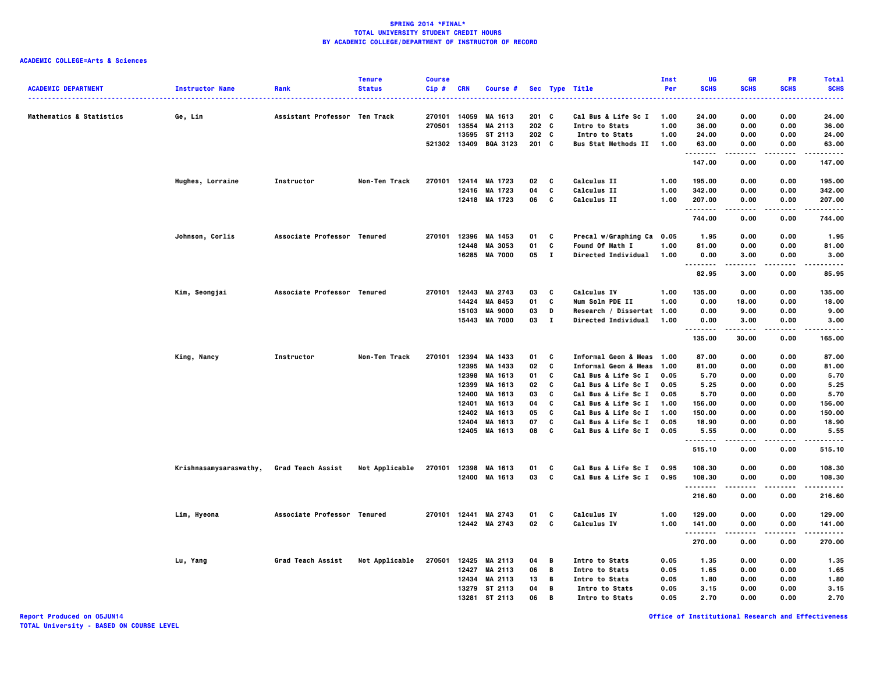# **ACADEMIC COLLEGE=Arts & Sciences**

|                                     |                        |                               | <b>Tenure</b>  | <b>Course</b> |              |                       |         |              |                                | Inst | UG          | <b>GR</b>   | <b>PR</b>   | <b>Total</b>          |
|-------------------------------------|------------------------|-------------------------------|----------------|---------------|--------------|-----------------------|---------|--------------|--------------------------------|------|-------------|-------------|-------------|-----------------------|
| <b>ACADEMIC DEPARTMENT</b>          | <b>Instructor Name</b> | Rank                          | <b>Status</b>  | Cip#          | CRN          | Course #              |         |              | Sec Type Title                 | Per  | <b>SCHS</b> | <b>SCHS</b> | <b>SCHS</b> | <b>SCHS</b><br>.      |
| <b>Mathematics &amp; Statistics</b> | Ge, Lin                | Assistant Professor Ten Track |                |               | 270101 14059 | MA 1613               | $201$ C |              | Cal Bus & Life Sc I            | 1.00 | 24.00       | 0.00        | 0.00        | 24.00                 |
|                                     |                        |                               |                |               |              | 270501 13554 MA 2113  | 202 C   |              | Intro to Stats                 | 1.00 | 36.00       | 0.00        | 0.00        | 36.00                 |
|                                     |                        |                               |                |               |              | 13595 ST 2113         | 202 C   |              | Intro to Stats                 | 1.00 | 24.00       | 0.00        | 0.00        | 24.00                 |
|                                     |                        |                               |                |               |              | 521302 13409 BQA 3123 | $201$ C |              | <b>Bus Stat Methods II</b>     | 1.00 | 63.00       | 0.00        | 0.00        | 63.00                 |
|                                     |                        |                               |                |               |              |                       |         |              |                                |      | .<br>147.00 | .<br>0.00   | 0.00        | .<br>147.00           |
|                                     | Hughes, Lorraine       | Instructor                    | Non-Ten Track  |               |              | 270101 12414 MA 1723  | 02      | C            | <b>Calculus II</b>             | 1.00 | 195.00      | 0.00        | 0.00        | 195.00                |
|                                     |                        |                               |                |               |              | 12416 MA 1723         | 04      | C            | <b>Calculus II</b>             | 1.00 | 342.00      | 0.00        | 0.00        | 342.00                |
|                                     |                        |                               |                |               |              | 12418 MA 1723         | 06      | C            | Calculus II                    | 1.00 | 207.00      | 0.00        | 0.00        | 207.00                |
|                                     |                        |                               |                |               |              |                       |         |              |                                |      | .<br>744.00 | 0.00        | 0.00        | .<br>744.00           |
|                                     | Johnson, Corlis        | Associate Professor Tenured   |                |               |              | 270101 12396 MA 1453  | 01      | C            | Precal w/Graphing Ca 0.05      |      | 1.95        | 0.00        | 0.00        | 1.95                  |
|                                     |                        |                               |                |               | 12448        | MA 3053               | 01      | C            | <b>Found Of Math I</b>         | 1.00 | 81.00       | 0.00        | 0.00        | 81.00                 |
|                                     |                        |                               |                |               |              | 16285 MA 7000         | 05      | $\mathbf{I}$ | <b>Directed Individual</b>     | 1.00 | 0.00        | 3.00        | 0.00        | 3.00                  |
|                                     |                        |                               |                |               |              |                       |         |              |                                |      | <br>82.95   | 3.00        | 0.00        | . <b>.</b> .<br>85.95 |
|                                     | Kim, Seongjai          | Associate Professor Tenured   |                |               |              | 270101 12443 MA 2743  | 03      | C            | <b>Calculus IV</b>             | 1.00 | 135.00      | 0.00        | 0.00        | 135.00                |
|                                     |                        |                               |                |               |              | 14424 MA 8453         | 01      | C            | Num Soln PDE II                | 1.00 | 0.00        | 18.00       | 0.00        | 18.00                 |
|                                     |                        |                               |                |               | 15103        | <b>MA 9000</b>        | 03      | D            | Research / Dissertat 1.00      |      | 0.00        | 9.00        | 0.00        | 9.00                  |
|                                     |                        |                               |                |               |              | 15443 MA 7000         | 03      | $\mathbf{I}$ | <b>Directed Individual</b>     | 1.00 | 0.00        | 3.00        | 0.00        | 3.00                  |
|                                     |                        |                               |                |               |              |                       |         |              |                                |      | .<br>135.00 | .<br>30.00  | .<br>0.00   | .<br>165.00           |
|                                     | King, Nancy            | Instructor                    | Non-Ten Track  | 270101        | 12394        | MA 1433               | 01      | C            | Informal Geom & Meas 1.00      |      | 87.00       | 0.00        | 0.00        | 87.00                 |
|                                     |                        |                               |                |               |              | 12395 MA 1433         | 02      | C            | Informal Geom & Meas 1.00      |      | 81.00       | 0.00        | 0.00        | 81.00                 |
|                                     |                        |                               |                |               |              | 12398 MA 1613         | 01      | C            | Cal Bus & Life Sc I            | 0.05 | 5.70        | 0.00        | 0.00        | 5.70                  |
|                                     |                        |                               |                |               | 12399        | MA 1613               | 02      | C            | Cal Bus & Life Sc I            | 0.05 | 5.25        | 0.00        | 0.00        | 5.25                  |
|                                     |                        |                               |                |               | 12400        | MA 1613               | 03      | C            | Cal Bus & Life Sc I            | 0.05 | 5.70        | 0.00        | 0.00        | 5.70                  |
|                                     |                        |                               |                |               | 12401        | MA 1613               | 04      | C            | Cal Bus & Life Sc I            | 1.00 | 156.00      | 0.00        | 0.00        | 156.00                |
|                                     |                        |                               |                |               |              | 12402 MA 1613         | 05      | C            | Cal Bus & Life Sc I            | 1.00 | 150.00      | 0.00        | 0.00        | 150.00                |
|                                     |                        |                               |                |               | 12404        | MA 1613               | 07      | C            | <b>Cal Bus &amp; Life Sc I</b> | 0.05 | 18.90       | 0.00        | 0.00        | 18.90                 |
|                                     |                        |                               |                |               |              | 12405 MA 1613         | 08      | C            | Cal Bus & Life Sc I            | 0.05 | 5.55        | 0.00        | 0.00        | 5.55                  |
|                                     |                        |                               |                |               |              |                       |         |              |                                |      | .<br>515.10 | 0.00        | 0.00        | .<br>515.10           |
|                                     | Krishnasamysaraswathy, | Grad Teach Assist             | Not Applicable | 270101        |              | 12398 MA 1613         | 01      | C            | <b>Cal Bus &amp; Life Sc I</b> | 0.95 | 108.30      | 0.00        | 0.00        | 108.30                |
|                                     |                        |                               |                |               |              | 12400 MA 1613         | 03      | C            | Cal Bus & Life Sc I            | 0.95 | 108.30      | 0.00        | 0.00        | 108.30                |
|                                     |                        |                               |                |               |              |                       |         |              |                                |      | <br>216.60  | 0.00        | .<br>0.00   | <br>216.60            |
|                                     | Lim, Hyeona            | Associate Professor Tenured   |                |               | 270101 12441 | MA 2743               | 01      | C            | <b>Calculus IV</b>             | 1.00 | 129.00      | 0.00        | 0.00        | 129.00                |
|                                     |                        |                               |                |               |              | 12442 MA 2743         | 02 C    |              | Calculus IV                    | 1.00 | 141.00      | 0.00        | 0.00        | 141.00                |
|                                     |                        |                               |                |               |              |                       |         |              |                                |      | .<br>270.00 | 0.00        | 0.00        | .<br>270.00           |
|                                     | Lu, Yang               | Grad Teach Assist             | Not Applicable | 270501        |              | 12425 MA 2113         | 04      | B            | Intro to Stats                 | 0.05 | 1.35        | 0.00        | 0.00        | 1.35                  |
|                                     |                        |                               |                |               |              | 12427 MA 2113         | 06      | B            | Intro to Stats                 | 0.05 | 1.65        | 0.00        | 0.00        | 1.65                  |
|                                     |                        |                               |                |               | 12434        | MA 2113               | 13      | в            | Intro to Stats                 | 0.05 | 1.80        | 0.00        | 0.00        | 1.80                  |
|                                     |                        |                               |                |               |              | 13279 ST 2113         | 04      | B            | Intro to Stats                 | 0.05 | 3.15        | 0.00        | 0.00        | 3.15                  |
|                                     |                        |                               |                |               | 13281        | ST 2113               | 06      | B            | Intro to Stats                 | 0.05 | 2.70        | 0.00        | 0.00        | 2.70                  |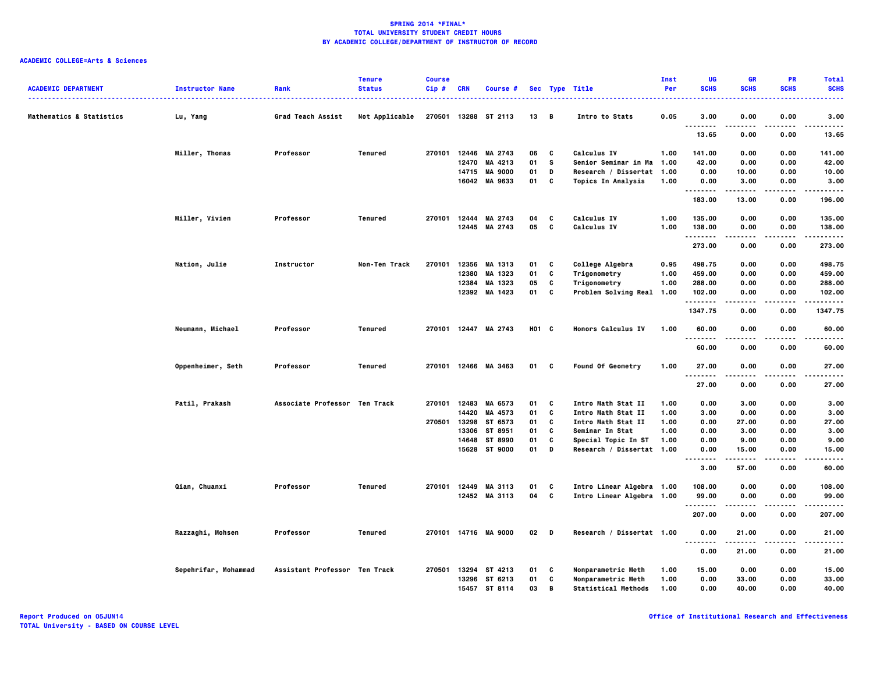| <b>ACADEMIC DEPARTMENT</b> | <b>Instructor Name</b> | Rank                          | <b>Tenure</b><br><b>Status</b> | <b>Course</b><br>Cip# | <b>CRN</b> | Course #             |        |          | Sec Type Title             | Inst<br>Per | UG<br><b>SCHS</b>                            | <b>GR</b><br><b>SCHS</b> | PR<br><b>SCHS</b> | <b>Total</b><br><b>SCHS</b> |
|----------------------------|------------------------|-------------------------------|--------------------------------|-----------------------|------------|----------------------|--------|----------|----------------------------|-------------|----------------------------------------------|--------------------------|-------------------|-----------------------------|
| Mathematics & Statistics   | Lu, Yang               | Grad Teach Assist             | Not Applicable                 |                       |            | 270501 13288 ST 2113 | 13 B   |          | Intro to Stats             | 0.05        | 3.00                                         | 0.00                     | 0.00              | 3.00                        |
|                            |                        |                               |                                |                       |            |                      |        |          |                            |             | $- - - - -$<br>$\sim$ $\sim$ $\sim$<br>13.65 | 0.00                     | 0.00              | 13.65                       |
|                            | Miller, Thomas         | Professor                     | Tenured                        | 270101                |            | 12446 MA 2743        | 06     | C        | Calculus IV                | 1.00        | 141.00                                       | 0.00                     | 0.00              | 141.00                      |
|                            |                        |                               |                                |                       | 12470      | MA 4213              | 01     | <b>S</b> | Senior Seminar in Ma       | 1.00        | 42.00                                        | 0.00                     | 0.00              | 42.00                       |
|                            |                        |                               |                                |                       | 14715      | <b>MA 9000</b>       | 01     | D        | Research / Dissertat 1.00  |             | 0.00                                         | 10.00                    | 0.00              | 10.00                       |
|                            |                        |                               |                                |                       |            | 16042 MA 9633        | 01     | C        | <b>Topics In Analysis</b>  | 1.00        | 0.00<br>.                                    | 3.00<br>.                | 0.00<br>.         | 3.00<br>.                   |
|                            |                        |                               |                                |                       |            |                      |        |          |                            |             | 183.00                                       | 13.00                    | 0.00              | 196.00                      |
|                            | Miller, Vivien         | Professor                     | <b>Tenured</b>                 | 270101                | 12444      | MA 2743              | 04     | c        | Calculus IV                | 1.00        | 135.00                                       | 0.00                     | 0.00              | 135.00                      |
|                            |                        |                               |                                |                       |            | 12445 MA 2743        | 05     | C        | Calculus IV                | 1.00        | 138.00<br>.                                  | 0.00                     | 0.00              | 138.00                      |
|                            |                        |                               |                                |                       |            |                      |        |          |                            |             | 273.00                                       | 0.00                     | 0.00              | 273.00                      |
|                            | Nation, Julie          | Instructor                    | Non-Ten Track                  | 270101                |            | 12356 MA 1313        | 01     | C        | College Algebra            | 0.95        | 498.75                                       | 0.00                     | 0.00              | 498.75                      |
|                            |                        |                               |                                |                       | 12380      | MA 1323              | 01     | C        | Trigonometry               | 1.00        | 459.00                                       | 0.00                     | 0.00              | 459.00                      |
|                            |                        |                               |                                |                       | 12384      | MA 1323              | 05     | C        | Trigonometry               | 1.00        | 288.00                                       | 0.00                     | 0.00              | 288.00                      |
|                            |                        |                               |                                |                       |            | 12392 MA 1423        | 01     | C        | Problem Solving Real 1.00  |             | 102.00<br>                                   | 0.00<br>.                | 0.00<br>.         | 102.00<br>.                 |
|                            |                        |                               |                                |                       |            |                      |        |          |                            |             | 1347.75                                      | 0.00                     | 0.00              | 1347.75                     |
|                            | Neumann, Michael       | Professor                     | Tenured                        |                       |            | 270101 12447 MA 2743 | H01 C  |          | Honors Calculus IV         | 1.00        | 60.00<br>$- - - -$                           | 0.00                     | 0.00              | 60.00                       |
|                            |                        |                               |                                |                       |            |                      |        |          |                            |             | 60.00                                        | 0.00                     | 0.00              | 60.00                       |
|                            | Oppenheimer, Seth      | Professor                     | Tenured                        |                       |            | 270101 12466 MA 3463 | 01 C   |          | Found Of Geometry          | 1.00        | 27.00<br>$\sim$ $\sim$ $\sim$<br>.           | 0.00                     | 0.00              | 27.00                       |
|                            |                        |                               |                                |                       |            |                      |        |          |                            |             | 27.00                                        | 0.00                     | 0.00              | 27.00                       |
|                            | Patil, Prakash         | Associate Professor Ten Track |                                | 270101                |            | 12483 MA 6573        | 01     | C        | Intro Math Stat II         | 1.00        | 0.00                                         | 3.00                     | 0.00              | 3.00                        |
|                            |                        |                               |                                |                       | 14420      | MA 4573              | 01     | C        | Intro Math Stat II         | 1.00        | 3.00                                         | 0.00                     | 0.00              | 3.00                        |
|                            |                        |                               |                                | 270501                | 13298      | ST 6573              | 01     | C        | Intro Math Stat II         | 1.00        | 0.00                                         | 27.00                    | 0.00              | 27.00                       |
|                            |                        |                               |                                |                       | 13306      | ST 8951              | 01     | C        | Seminar In Stat            | 1.00        | 0.00                                         | 3.00                     | 0.00              | 3.00                        |
|                            |                        |                               |                                |                       | 14648      | ST 8990              | 01     | C        | Special Topic In ST        | 1.00        | 0.00                                         | 9.00                     | 0.00              | 9.00                        |
|                            |                        |                               |                                |                       |            | 15628 ST 9000        | 01     | D        | Research / Dissertat 1.00  |             | 0.00<br>$\sim$ $\sim$                        | 15.00                    | 0.00              | 15.00                       |
|                            |                        |                               |                                |                       |            |                      |        |          |                            |             | 3.00                                         | 57.00                    | 0.00              | 60.00                       |
|                            | Qian, Chuanxi          | Professor                     | Tenured                        | 270101                |            | 12449 MA 3113        | 01     | C        | Intro Linear Algebra 1.00  |             | 108.00                                       | 0.00                     | 0.00              | 108.00                      |
|                            |                        |                               |                                |                       |            | 12452 MA 3113        | 04     | C        | Intro Linear Algebra 1.00  |             | 99.00<br>.                                   | 0.00                     | 0.00              | 99.00<br>.                  |
|                            |                        |                               |                                |                       |            |                      |        |          |                            |             | 207.00                                       | 0.00                     | 0.00              | 207.00                      |
|                            | Razzaghi, Mohsen       | Professor                     | Tenured                        |                       |            | 270101 14716 MA 9000 | $02$ D |          | Research / Dissertat 1.00  |             | 0.00<br>$\sim$ $\sim$ $\sim$                 | 21.00                    | 0.00              | 21.00                       |
|                            |                        |                               |                                |                       |            |                      |        |          |                            |             | 0.00                                         | 21.00                    | 0.00              | 21.00                       |
|                            | Sepehrifar, Mohammad   | Assistant Professor Ten Track |                                | 270501                |            | 13294 ST 4213        | 01     | C        | Nonparametric Meth         | 1.00        | 15.00                                        | 0.00                     | 0.00              | 15.00                       |
|                            |                        |                               |                                |                       |            | 13296 ST 6213        | 01     | C        | Nonparametric Meth         | 1.00        | 0.00                                         | 33.00                    | 0.00              | 33.00                       |
|                            |                        |                               |                                |                       | 15457      | ST 8114              | 03     | B        | <b>Statistical Methods</b> | 1.00        | 0.00                                         | 40.00                    | 0.00              | 40.00                       |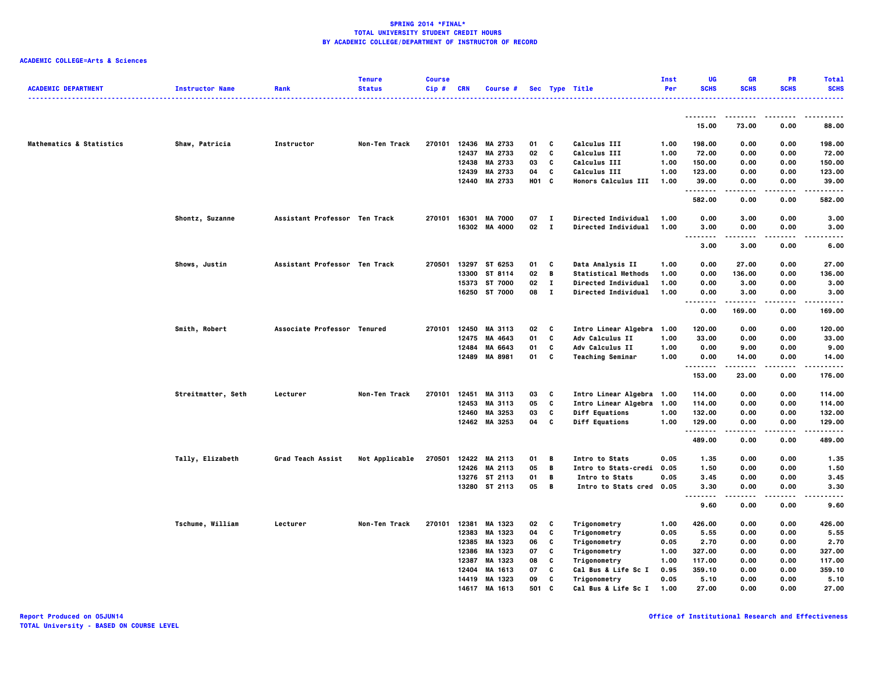| .<br>. <u>.</u><br>----<br>15.00<br>73.00<br>0.00<br>88,00<br>Mathematics & Statistics<br>12436 MA 2733<br>Calculus III<br>Shaw, Patricia<br>Instructor<br>Non-Ten Track<br>270101<br>01<br>C<br>1.00<br>198.00<br>0.00<br>0.00<br>198.00<br>MA 2733<br>C<br>Calculus III<br>12437<br>02<br>1.00<br>72.00<br>0.00<br>0.00<br>72.00<br>12438 MA 2733<br>Calculus III<br>150.00<br>03<br>C<br>1.00<br>150.00<br>0.00<br>0.00<br>12439<br>MA 2733<br>04<br>C<br>Calculus III<br>1.00<br>123.00<br>123.00<br>0.00<br>0.00<br>H01 C<br>12440<br>MA 2733<br><b>Honors Calculus III</b><br>1.00<br>39.00<br>0.00<br>0.00<br>39.00<br>.<br>$- - - -$<br>.<br>.<br>582.00<br>0.00<br>0.00<br>582.00<br>270101 16301<br><b>MA 7000</b><br>07<br>Directed Individual<br>1.00<br>0.00<br>3.00<br>Shontz, Suzanne<br>Assistant Professor Ten Track<br>$\mathbf{I}$<br>3.00<br>0.00<br>02 I<br>16302 MA 4000<br><b>Directed Individual</b><br>1.00<br>3.00<br>0.00<br>0.00<br>3.00<br>$\ddotsc$<br>.<br>.<br>.<br>.<br>3.00<br>3.00<br>0.00<br>6.00<br>Data Analysis II<br>Shows, Justin<br>Assistant Professor Ten Track<br>270501<br>13297 ST 6253<br>01<br>C<br>1.00<br>0.00<br>27.00<br>0.00<br>27.00<br>02<br>B<br><b>Statistical Methods</b><br>136.00<br>13300 ST 8114<br>1.00<br>0.00<br>136.00<br>0.00<br>15373 ST 7000<br>02<br>$\mathbf{I}$<br>Directed Individual<br>1.00<br>0.00<br>3.00<br>0.00<br>3.00<br>16250 ST 7000<br>08<br>$\mathbf{I}$<br>Directed Individual<br>1.00<br>0.00<br>3.00<br>0.00<br>3.00<br>.<br>-----<br>$- - -$<br>.<br>$\sim$ $\sim$ $\sim$<br>0.00<br>169.00<br>0.00<br>169.00<br>Smith, Robert<br>Associate Professor Tenured<br>270101<br>12450<br>02<br>Intro Linear Algebra 1.00<br>120.00<br>120.00<br>MA 3113<br>C<br>0.00<br>0.00<br>12475 MA 4643<br>01<br>C<br>Adv Calculus II<br>1.00<br>33.00<br>0.00<br>0.00<br>33.00<br>12484<br>MA 6643<br>01<br>C<br>Adv Calculus II<br>1.00<br>0.00<br>9.00<br>0.00<br>9.00<br>12489 MA 8981<br>01<br>c<br><b>Teaching Seminar</b><br>1.00<br>0.00<br>14.00<br>0.00<br>14.00<br><br>$- - - - - -$<br>.<br>.<br>23.00<br>153.00<br>0.00<br>176.00<br>Streitmatter, Seth<br>Lecturer<br>Non-Ten Track<br>270101<br>12451<br>MA 3113<br>03<br>C<br>Intro Linear Algebra 1.00<br>114.00<br>0.00<br>0.00<br>114.00<br>05<br>C<br>12453<br>MA 3113<br>Intro Linear Algebra 1.00<br>114.00<br>0.00<br>0.00<br>114.00<br>12460 MA 3253<br>03<br>C<br>Diff Equations<br>132.00<br>1.00<br>132.00<br>0.00<br>0.00<br>12462 MA 3253<br>04<br>c<br>Diff Equations<br>1.00<br>129.00<br>0.00<br>0.00<br>129.00<br>.<br>$- - - - -$<br>.<br>.<br>489.00<br>0.00<br>0.00<br>489.00<br>Tally, Elizabeth<br>12422 MA 2113<br>01<br>Intro to Stats<br>0.05<br>0.00<br>0.00<br>Grad Teach Assist<br>Not Applicable<br>270501<br>B<br>1.35<br>1.35<br>12426 MA 2113<br>05<br>B<br>Intro to Stats-credi 0.05<br>1.50<br>0.00<br>0.00<br>1.50<br>13276 ST 2113<br>01<br>B<br>0.05<br>3.45<br>0.00<br>0.00<br>3.45<br>Intro to Stats<br>13280 ST 2113<br>05<br>B<br>Intro to Stats cred<br>0.05<br>3.30<br>0.00<br>0.00<br>3.30<br>$\sim$ $\sim$ $\sim$<br>$\cdots$<br>9.60<br>0.00<br>0.00<br>9.60<br>Tschume, William<br>Lecturer<br>Non-Ten Track<br>270101<br>12381<br>MA 1323<br>02<br>Trigonometry<br>1.00<br>426.00<br>0.00<br>0.00<br>426.00<br>C<br>12383 MA 1323<br>04<br>C<br>Trigonometry<br>0.05<br>5.55<br>0.00<br>0.00<br>5.55<br>12385<br>MA 1323<br>06<br>C<br>Trigonometry<br>2.70<br>2.70<br>0.05<br>0.00<br>0.00<br>12386<br>MA 1323<br>C<br>Trigonometry<br>327.00<br>0.00<br>327.00<br>07<br>1.00<br>0.00<br>C<br>117.00<br>0.00<br>0.00<br>117.00<br>12387<br>MA 1323<br>08<br>Trigonometry<br>1.00<br>359.10<br>359.10<br>12404<br>MA 1613<br>07<br>c<br>Cal Bus & Life Sc I<br>0.95<br>0.00<br>0.00<br>14419 MA 1323<br>09<br>C<br>Trigonometry<br>0.05<br>5.10<br>0.00<br>0.00<br>5.10<br>14617 MA 1613 | <b>ACADEMIC DEPARTMENT</b> | <b>Instructor Name</b> | Rank | <b>Tenure</b><br><b>Status</b> | <b>Course</b><br>Cip# | <b>CRN</b> | Course # |     |   | Sec Type Title<br>. | Inst<br>Per | UG<br><b>SCHS</b> | GR<br><b>SCHS</b> | PR<br><b>SCHS</b> | <b>Total</b><br><b>SCHS</b> |
|-------------------------------------------------------------------------------------------------------------------------------------------------------------------------------------------------------------------------------------------------------------------------------------------------------------------------------------------------------------------------------------------------------------------------------------------------------------------------------------------------------------------------------------------------------------------------------------------------------------------------------------------------------------------------------------------------------------------------------------------------------------------------------------------------------------------------------------------------------------------------------------------------------------------------------------------------------------------------------------------------------------------------------------------------------------------------------------------------------------------------------------------------------------------------------------------------------------------------------------------------------------------------------------------------------------------------------------------------------------------------------------------------------------------------------------------------------------------------------------------------------------------------------------------------------------------------------------------------------------------------------------------------------------------------------------------------------------------------------------------------------------------------------------------------------------------------------------------------------------------------------------------------------------------------------------------------------------------------------------------------------------------------------------------------------------------------------------------------------------------------------------------------------------------------------------------------------------------------------------------------------------------------------------------------------------------------------------------------------------------------------------------------------------------------------------------------------------------------------------------------------------------------------------------------------------------------------------------------------------------------------------------------------------------------------------------------------------------------------------------------------------------------------------------------------------------------------------------------------------------------------------------------------------------------------------------------------------------------------------------------------------------------------------------------------------------------------------------------------------------------------------------------------------------------------------------------------------------------------------------------------------------------------------------------------------------------------------------------------------------------------------------------------------------------------------------------------------------------------------------------------------------------------------------------------------------------------------------------------------------------------------------------------------------------------------------------------------------------------------------------------------------------------------------------------------------------------------------------------------------------------------|----------------------------|------------------------|------|--------------------------------|-----------------------|------------|----------|-----|---|---------------------|-------------|-------------------|-------------------|-------------------|-----------------------------|
|                                                                                                                                                                                                                                                                                                                                                                                                                                                                                                                                                                                                                                                                                                                                                                                                                                                                                                                                                                                                                                                                                                                                                                                                                                                                                                                                                                                                                                                                                                                                                                                                                                                                                                                                                                                                                                                                                                                                                                                                                                                                                                                                                                                                                                                                                                                                                                                                                                                                                                                                                                                                                                                                                                                                                                                                                                                                                                                                                                                                                                                                                                                                                                                                                                                                                                                                                                                                                                                                                                                                                                                                                                                                                                                                                                                                                                                                                     |                            |                        |      |                                |                       |            |          |     |   |                     |             |                   |                   |                   |                             |
|                                                                                                                                                                                                                                                                                                                                                                                                                                                                                                                                                                                                                                                                                                                                                                                                                                                                                                                                                                                                                                                                                                                                                                                                                                                                                                                                                                                                                                                                                                                                                                                                                                                                                                                                                                                                                                                                                                                                                                                                                                                                                                                                                                                                                                                                                                                                                                                                                                                                                                                                                                                                                                                                                                                                                                                                                                                                                                                                                                                                                                                                                                                                                                                                                                                                                                                                                                                                                                                                                                                                                                                                                                                                                                                                                                                                                                                                                     |                            |                        |      |                                |                       |            |          |     |   |                     |             |                   |                   |                   |                             |
|                                                                                                                                                                                                                                                                                                                                                                                                                                                                                                                                                                                                                                                                                                                                                                                                                                                                                                                                                                                                                                                                                                                                                                                                                                                                                                                                                                                                                                                                                                                                                                                                                                                                                                                                                                                                                                                                                                                                                                                                                                                                                                                                                                                                                                                                                                                                                                                                                                                                                                                                                                                                                                                                                                                                                                                                                                                                                                                                                                                                                                                                                                                                                                                                                                                                                                                                                                                                                                                                                                                                                                                                                                                                                                                                                                                                                                                                                     |                            |                        |      |                                |                       |            |          |     |   |                     |             |                   |                   |                   |                             |
|                                                                                                                                                                                                                                                                                                                                                                                                                                                                                                                                                                                                                                                                                                                                                                                                                                                                                                                                                                                                                                                                                                                                                                                                                                                                                                                                                                                                                                                                                                                                                                                                                                                                                                                                                                                                                                                                                                                                                                                                                                                                                                                                                                                                                                                                                                                                                                                                                                                                                                                                                                                                                                                                                                                                                                                                                                                                                                                                                                                                                                                                                                                                                                                                                                                                                                                                                                                                                                                                                                                                                                                                                                                                                                                                                                                                                                                                                     |                            |                        |      |                                |                       |            |          |     |   |                     |             |                   |                   |                   |                             |
|                                                                                                                                                                                                                                                                                                                                                                                                                                                                                                                                                                                                                                                                                                                                                                                                                                                                                                                                                                                                                                                                                                                                                                                                                                                                                                                                                                                                                                                                                                                                                                                                                                                                                                                                                                                                                                                                                                                                                                                                                                                                                                                                                                                                                                                                                                                                                                                                                                                                                                                                                                                                                                                                                                                                                                                                                                                                                                                                                                                                                                                                                                                                                                                                                                                                                                                                                                                                                                                                                                                                                                                                                                                                                                                                                                                                                                                                                     |                            |                        |      |                                |                       |            |          |     |   |                     |             |                   |                   |                   |                             |
|                                                                                                                                                                                                                                                                                                                                                                                                                                                                                                                                                                                                                                                                                                                                                                                                                                                                                                                                                                                                                                                                                                                                                                                                                                                                                                                                                                                                                                                                                                                                                                                                                                                                                                                                                                                                                                                                                                                                                                                                                                                                                                                                                                                                                                                                                                                                                                                                                                                                                                                                                                                                                                                                                                                                                                                                                                                                                                                                                                                                                                                                                                                                                                                                                                                                                                                                                                                                                                                                                                                                                                                                                                                                                                                                                                                                                                                                                     |                            |                        |      |                                |                       |            |          |     |   |                     |             |                   |                   |                   |                             |
|                                                                                                                                                                                                                                                                                                                                                                                                                                                                                                                                                                                                                                                                                                                                                                                                                                                                                                                                                                                                                                                                                                                                                                                                                                                                                                                                                                                                                                                                                                                                                                                                                                                                                                                                                                                                                                                                                                                                                                                                                                                                                                                                                                                                                                                                                                                                                                                                                                                                                                                                                                                                                                                                                                                                                                                                                                                                                                                                                                                                                                                                                                                                                                                                                                                                                                                                                                                                                                                                                                                                                                                                                                                                                                                                                                                                                                                                                     |                            |                        |      |                                |                       |            |          |     |   |                     |             |                   |                   |                   |                             |
|                                                                                                                                                                                                                                                                                                                                                                                                                                                                                                                                                                                                                                                                                                                                                                                                                                                                                                                                                                                                                                                                                                                                                                                                                                                                                                                                                                                                                                                                                                                                                                                                                                                                                                                                                                                                                                                                                                                                                                                                                                                                                                                                                                                                                                                                                                                                                                                                                                                                                                                                                                                                                                                                                                                                                                                                                                                                                                                                                                                                                                                                                                                                                                                                                                                                                                                                                                                                                                                                                                                                                                                                                                                                                                                                                                                                                                                                                     |                            |                        |      |                                |                       |            |          |     |   |                     |             |                   |                   |                   |                             |
|                                                                                                                                                                                                                                                                                                                                                                                                                                                                                                                                                                                                                                                                                                                                                                                                                                                                                                                                                                                                                                                                                                                                                                                                                                                                                                                                                                                                                                                                                                                                                                                                                                                                                                                                                                                                                                                                                                                                                                                                                                                                                                                                                                                                                                                                                                                                                                                                                                                                                                                                                                                                                                                                                                                                                                                                                                                                                                                                                                                                                                                                                                                                                                                                                                                                                                                                                                                                                                                                                                                                                                                                                                                                                                                                                                                                                                                                                     |                            |                        |      |                                |                       |            |          |     |   |                     |             |                   |                   |                   |                             |
|                                                                                                                                                                                                                                                                                                                                                                                                                                                                                                                                                                                                                                                                                                                                                                                                                                                                                                                                                                                                                                                                                                                                                                                                                                                                                                                                                                                                                                                                                                                                                                                                                                                                                                                                                                                                                                                                                                                                                                                                                                                                                                                                                                                                                                                                                                                                                                                                                                                                                                                                                                                                                                                                                                                                                                                                                                                                                                                                                                                                                                                                                                                                                                                                                                                                                                                                                                                                                                                                                                                                                                                                                                                                                                                                                                                                                                                                                     |                            |                        |      |                                |                       |            |          |     |   |                     |             |                   |                   |                   |                             |
|                                                                                                                                                                                                                                                                                                                                                                                                                                                                                                                                                                                                                                                                                                                                                                                                                                                                                                                                                                                                                                                                                                                                                                                                                                                                                                                                                                                                                                                                                                                                                                                                                                                                                                                                                                                                                                                                                                                                                                                                                                                                                                                                                                                                                                                                                                                                                                                                                                                                                                                                                                                                                                                                                                                                                                                                                                                                                                                                                                                                                                                                                                                                                                                                                                                                                                                                                                                                                                                                                                                                                                                                                                                                                                                                                                                                                                                                                     |                            |                        |      |                                |                       |            |          |     |   |                     |             |                   |                   |                   |                             |
|                                                                                                                                                                                                                                                                                                                                                                                                                                                                                                                                                                                                                                                                                                                                                                                                                                                                                                                                                                                                                                                                                                                                                                                                                                                                                                                                                                                                                                                                                                                                                                                                                                                                                                                                                                                                                                                                                                                                                                                                                                                                                                                                                                                                                                                                                                                                                                                                                                                                                                                                                                                                                                                                                                                                                                                                                                                                                                                                                                                                                                                                                                                                                                                                                                                                                                                                                                                                                                                                                                                                                                                                                                                                                                                                                                                                                                                                                     |                            |                        |      |                                |                       |            |          |     |   |                     |             |                   |                   |                   |                             |
|                                                                                                                                                                                                                                                                                                                                                                                                                                                                                                                                                                                                                                                                                                                                                                                                                                                                                                                                                                                                                                                                                                                                                                                                                                                                                                                                                                                                                                                                                                                                                                                                                                                                                                                                                                                                                                                                                                                                                                                                                                                                                                                                                                                                                                                                                                                                                                                                                                                                                                                                                                                                                                                                                                                                                                                                                                                                                                                                                                                                                                                                                                                                                                                                                                                                                                                                                                                                                                                                                                                                                                                                                                                                                                                                                                                                                                                                                     |                            |                        |      |                                |                       |            |          |     |   |                     |             |                   |                   |                   |                             |
|                                                                                                                                                                                                                                                                                                                                                                                                                                                                                                                                                                                                                                                                                                                                                                                                                                                                                                                                                                                                                                                                                                                                                                                                                                                                                                                                                                                                                                                                                                                                                                                                                                                                                                                                                                                                                                                                                                                                                                                                                                                                                                                                                                                                                                                                                                                                                                                                                                                                                                                                                                                                                                                                                                                                                                                                                                                                                                                                                                                                                                                                                                                                                                                                                                                                                                                                                                                                                                                                                                                                                                                                                                                                                                                                                                                                                                                                                     |                            |                        |      |                                |                       |            |          |     |   |                     |             |                   |                   |                   |                             |
|                                                                                                                                                                                                                                                                                                                                                                                                                                                                                                                                                                                                                                                                                                                                                                                                                                                                                                                                                                                                                                                                                                                                                                                                                                                                                                                                                                                                                                                                                                                                                                                                                                                                                                                                                                                                                                                                                                                                                                                                                                                                                                                                                                                                                                                                                                                                                                                                                                                                                                                                                                                                                                                                                                                                                                                                                                                                                                                                                                                                                                                                                                                                                                                                                                                                                                                                                                                                                                                                                                                                                                                                                                                                                                                                                                                                                                                                                     |                            |                        |      |                                |                       |            |          |     |   |                     |             |                   |                   |                   |                             |
|                                                                                                                                                                                                                                                                                                                                                                                                                                                                                                                                                                                                                                                                                                                                                                                                                                                                                                                                                                                                                                                                                                                                                                                                                                                                                                                                                                                                                                                                                                                                                                                                                                                                                                                                                                                                                                                                                                                                                                                                                                                                                                                                                                                                                                                                                                                                                                                                                                                                                                                                                                                                                                                                                                                                                                                                                                                                                                                                                                                                                                                                                                                                                                                                                                                                                                                                                                                                                                                                                                                                                                                                                                                                                                                                                                                                                                                                                     |                            |                        |      |                                |                       |            |          |     |   |                     |             |                   |                   |                   |                             |
|                                                                                                                                                                                                                                                                                                                                                                                                                                                                                                                                                                                                                                                                                                                                                                                                                                                                                                                                                                                                                                                                                                                                                                                                                                                                                                                                                                                                                                                                                                                                                                                                                                                                                                                                                                                                                                                                                                                                                                                                                                                                                                                                                                                                                                                                                                                                                                                                                                                                                                                                                                                                                                                                                                                                                                                                                                                                                                                                                                                                                                                                                                                                                                                                                                                                                                                                                                                                                                                                                                                                                                                                                                                                                                                                                                                                                                                                                     |                            |                        |      |                                |                       |            |          |     |   |                     |             |                   |                   |                   |                             |
|                                                                                                                                                                                                                                                                                                                                                                                                                                                                                                                                                                                                                                                                                                                                                                                                                                                                                                                                                                                                                                                                                                                                                                                                                                                                                                                                                                                                                                                                                                                                                                                                                                                                                                                                                                                                                                                                                                                                                                                                                                                                                                                                                                                                                                                                                                                                                                                                                                                                                                                                                                                                                                                                                                                                                                                                                                                                                                                                                                                                                                                                                                                                                                                                                                                                                                                                                                                                                                                                                                                                                                                                                                                                                                                                                                                                                                                                                     |                            |                        |      |                                |                       |            |          |     |   |                     |             |                   |                   |                   |                             |
|                                                                                                                                                                                                                                                                                                                                                                                                                                                                                                                                                                                                                                                                                                                                                                                                                                                                                                                                                                                                                                                                                                                                                                                                                                                                                                                                                                                                                                                                                                                                                                                                                                                                                                                                                                                                                                                                                                                                                                                                                                                                                                                                                                                                                                                                                                                                                                                                                                                                                                                                                                                                                                                                                                                                                                                                                                                                                                                                                                                                                                                                                                                                                                                                                                                                                                                                                                                                                                                                                                                                                                                                                                                                                                                                                                                                                                                                                     |                            |                        |      |                                |                       |            |          |     |   |                     |             |                   |                   |                   |                             |
|                                                                                                                                                                                                                                                                                                                                                                                                                                                                                                                                                                                                                                                                                                                                                                                                                                                                                                                                                                                                                                                                                                                                                                                                                                                                                                                                                                                                                                                                                                                                                                                                                                                                                                                                                                                                                                                                                                                                                                                                                                                                                                                                                                                                                                                                                                                                                                                                                                                                                                                                                                                                                                                                                                                                                                                                                                                                                                                                                                                                                                                                                                                                                                                                                                                                                                                                                                                                                                                                                                                                                                                                                                                                                                                                                                                                                                                                                     |                            |                        |      |                                |                       |            |          |     |   |                     |             |                   |                   |                   |                             |
|                                                                                                                                                                                                                                                                                                                                                                                                                                                                                                                                                                                                                                                                                                                                                                                                                                                                                                                                                                                                                                                                                                                                                                                                                                                                                                                                                                                                                                                                                                                                                                                                                                                                                                                                                                                                                                                                                                                                                                                                                                                                                                                                                                                                                                                                                                                                                                                                                                                                                                                                                                                                                                                                                                                                                                                                                                                                                                                                                                                                                                                                                                                                                                                                                                                                                                                                                                                                                                                                                                                                                                                                                                                                                                                                                                                                                                                                                     |                            |                        |      |                                |                       |            |          |     |   |                     |             |                   |                   |                   |                             |
|                                                                                                                                                                                                                                                                                                                                                                                                                                                                                                                                                                                                                                                                                                                                                                                                                                                                                                                                                                                                                                                                                                                                                                                                                                                                                                                                                                                                                                                                                                                                                                                                                                                                                                                                                                                                                                                                                                                                                                                                                                                                                                                                                                                                                                                                                                                                                                                                                                                                                                                                                                                                                                                                                                                                                                                                                                                                                                                                                                                                                                                                                                                                                                                                                                                                                                                                                                                                                                                                                                                                                                                                                                                                                                                                                                                                                                                                                     |                            |                        |      |                                |                       |            |          |     |   |                     |             |                   |                   |                   |                             |
|                                                                                                                                                                                                                                                                                                                                                                                                                                                                                                                                                                                                                                                                                                                                                                                                                                                                                                                                                                                                                                                                                                                                                                                                                                                                                                                                                                                                                                                                                                                                                                                                                                                                                                                                                                                                                                                                                                                                                                                                                                                                                                                                                                                                                                                                                                                                                                                                                                                                                                                                                                                                                                                                                                                                                                                                                                                                                                                                                                                                                                                                                                                                                                                                                                                                                                                                                                                                                                                                                                                                                                                                                                                                                                                                                                                                                                                                                     |                            |                        |      |                                |                       |            |          |     |   |                     |             |                   |                   |                   |                             |
|                                                                                                                                                                                                                                                                                                                                                                                                                                                                                                                                                                                                                                                                                                                                                                                                                                                                                                                                                                                                                                                                                                                                                                                                                                                                                                                                                                                                                                                                                                                                                                                                                                                                                                                                                                                                                                                                                                                                                                                                                                                                                                                                                                                                                                                                                                                                                                                                                                                                                                                                                                                                                                                                                                                                                                                                                                                                                                                                                                                                                                                                                                                                                                                                                                                                                                                                                                                                                                                                                                                                                                                                                                                                                                                                                                                                                                                                                     |                            |                        |      |                                |                       |            |          |     |   |                     |             |                   |                   |                   |                             |
|                                                                                                                                                                                                                                                                                                                                                                                                                                                                                                                                                                                                                                                                                                                                                                                                                                                                                                                                                                                                                                                                                                                                                                                                                                                                                                                                                                                                                                                                                                                                                                                                                                                                                                                                                                                                                                                                                                                                                                                                                                                                                                                                                                                                                                                                                                                                                                                                                                                                                                                                                                                                                                                                                                                                                                                                                                                                                                                                                                                                                                                                                                                                                                                                                                                                                                                                                                                                                                                                                                                                                                                                                                                                                                                                                                                                                                                                                     |                            |                        |      |                                |                       |            |          |     |   |                     |             |                   |                   |                   |                             |
|                                                                                                                                                                                                                                                                                                                                                                                                                                                                                                                                                                                                                                                                                                                                                                                                                                                                                                                                                                                                                                                                                                                                                                                                                                                                                                                                                                                                                                                                                                                                                                                                                                                                                                                                                                                                                                                                                                                                                                                                                                                                                                                                                                                                                                                                                                                                                                                                                                                                                                                                                                                                                                                                                                                                                                                                                                                                                                                                                                                                                                                                                                                                                                                                                                                                                                                                                                                                                                                                                                                                                                                                                                                                                                                                                                                                                                                                                     |                            |                        |      |                                |                       |            |          |     |   |                     |             |                   |                   |                   |                             |
|                                                                                                                                                                                                                                                                                                                                                                                                                                                                                                                                                                                                                                                                                                                                                                                                                                                                                                                                                                                                                                                                                                                                                                                                                                                                                                                                                                                                                                                                                                                                                                                                                                                                                                                                                                                                                                                                                                                                                                                                                                                                                                                                                                                                                                                                                                                                                                                                                                                                                                                                                                                                                                                                                                                                                                                                                                                                                                                                                                                                                                                                                                                                                                                                                                                                                                                                                                                                                                                                                                                                                                                                                                                                                                                                                                                                                                                                                     |                            |                        |      |                                |                       |            |          |     |   |                     |             |                   |                   |                   |                             |
|                                                                                                                                                                                                                                                                                                                                                                                                                                                                                                                                                                                                                                                                                                                                                                                                                                                                                                                                                                                                                                                                                                                                                                                                                                                                                                                                                                                                                                                                                                                                                                                                                                                                                                                                                                                                                                                                                                                                                                                                                                                                                                                                                                                                                                                                                                                                                                                                                                                                                                                                                                                                                                                                                                                                                                                                                                                                                                                                                                                                                                                                                                                                                                                                                                                                                                                                                                                                                                                                                                                                                                                                                                                                                                                                                                                                                                                                                     |                            |                        |      |                                |                       |            |          |     |   |                     |             |                   |                   |                   |                             |
|                                                                                                                                                                                                                                                                                                                                                                                                                                                                                                                                                                                                                                                                                                                                                                                                                                                                                                                                                                                                                                                                                                                                                                                                                                                                                                                                                                                                                                                                                                                                                                                                                                                                                                                                                                                                                                                                                                                                                                                                                                                                                                                                                                                                                                                                                                                                                                                                                                                                                                                                                                                                                                                                                                                                                                                                                                                                                                                                                                                                                                                                                                                                                                                                                                                                                                                                                                                                                                                                                                                                                                                                                                                                                                                                                                                                                                                                                     |                            |                        |      |                                |                       |            |          |     |   |                     |             |                   |                   |                   |                             |
|                                                                                                                                                                                                                                                                                                                                                                                                                                                                                                                                                                                                                                                                                                                                                                                                                                                                                                                                                                                                                                                                                                                                                                                                                                                                                                                                                                                                                                                                                                                                                                                                                                                                                                                                                                                                                                                                                                                                                                                                                                                                                                                                                                                                                                                                                                                                                                                                                                                                                                                                                                                                                                                                                                                                                                                                                                                                                                                                                                                                                                                                                                                                                                                                                                                                                                                                                                                                                                                                                                                                                                                                                                                                                                                                                                                                                                                                                     |                            |                        |      |                                |                       |            |          |     |   |                     |             |                   |                   |                   |                             |
|                                                                                                                                                                                                                                                                                                                                                                                                                                                                                                                                                                                                                                                                                                                                                                                                                                                                                                                                                                                                                                                                                                                                                                                                                                                                                                                                                                                                                                                                                                                                                                                                                                                                                                                                                                                                                                                                                                                                                                                                                                                                                                                                                                                                                                                                                                                                                                                                                                                                                                                                                                                                                                                                                                                                                                                                                                                                                                                                                                                                                                                                                                                                                                                                                                                                                                                                                                                                                                                                                                                                                                                                                                                                                                                                                                                                                                                                                     |                            |                        |      |                                |                       |            |          |     |   |                     |             |                   |                   |                   |                             |
|                                                                                                                                                                                                                                                                                                                                                                                                                                                                                                                                                                                                                                                                                                                                                                                                                                                                                                                                                                                                                                                                                                                                                                                                                                                                                                                                                                                                                                                                                                                                                                                                                                                                                                                                                                                                                                                                                                                                                                                                                                                                                                                                                                                                                                                                                                                                                                                                                                                                                                                                                                                                                                                                                                                                                                                                                                                                                                                                                                                                                                                                                                                                                                                                                                                                                                                                                                                                                                                                                                                                                                                                                                                                                                                                                                                                                                                                                     |                            |                        |      |                                |                       |            |          |     |   |                     |             |                   |                   |                   |                             |
|                                                                                                                                                                                                                                                                                                                                                                                                                                                                                                                                                                                                                                                                                                                                                                                                                                                                                                                                                                                                                                                                                                                                                                                                                                                                                                                                                                                                                                                                                                                                                                                                                                                                                                                                                                                                                                                                                                                                                                                                                                                                                                                                                                                                                                                                                                                                                                                                                                                                                                                                                                                                                                                                                                                                                                                                                                                                                                                                                                                                                                                                                                                                                                                                                                                                                                                                                                                                                                                                                                                                                                                                                                                                                                                                                                                                                                                                                     |                            |                        |      |                                |                       |            |          |     |   |                     |             |                   |                   |                   |                             |
|                                                                                                                                                                                                                                                                                                                                                                                                                                                                                                                                                                                                                                                                                                                                                                                                                                                                                                                                                                                                                                                                                                                                                                                                                                                                                                                                                                                                                                                                                                                                                                                                                                                                                                                                                                                                                                                                                                                                                                                                                                                                                                                                                                                                                                                                                                                                                                                                                                                                                                                                                                                                                                                                                                                                                                                                                                                                                                                                                                                                                                                                                                                                                                                                                                                                                                                                                                                                                                                                                                                                                                                                                                                                                                                                                                                                                                                                                     |                            |                        |      |                                |                       |            |          |     |   |                     |             |                   |                   |                   |                             |
|                                                                                                                                                                                                                                                                                                                                                                                                                                                                                                                                                                                                                                                                                                                                                                                                                                                                                                                                                                                                                                                                                                                                                                                                                                                                                                                                                                                                                                                                                                                                                                                                                                                                                                                                                                                                                                                                                                                                                                                                                                                                                                                                                                                                                                                                                                                                                                                                                                                                                                                                                                                                                                                                                                                                                                                                                                                                                                                                                                                                                                                                                                                                                                                                                                                                                                                                                                                                                                                                                                                                                                                                                                                                                                                                                                                                                                                                                     |                            |                        |      |                                |                       |            |          |     |   |                     |             |                   |                   |                   |                             |
|                                                                                                                                                                                                                                                                                                                                                                                                                                                                                                                                                                                                                                                                                                                                                                                                                                                                                                                                                                                                                                                                                                                                                                                                                                                                                                                                                                                                                                                                                                                                                                                                                                                                                                                                                                                                                                                                                                                                                                                                                                                                                                                                                                                                                                                                                                                                                                                                                                                                                                                                                                                                                                                                                                                                                                                                                                                                                                                                                                                                                                                                                                                                                                                                                                                                                                                                                                                                                                                                                                                                                                                                                                                                                                                                                                                                                                                                                     |                            |                        |      |                                |                       |            |          |     |   |                     |             |                   |                   |                   |                             |
|                                                                                                                                                                                                                                                                                                                                                                                                                                                                                                                                                                                                                                                                                                                                                                                                                                                                                                                                                                                                                                                                                                                                                                                                                                                                                                                                                                                                                                                                                                                                                                                                                                                                                                                                                                                                                                                                                                                                                                                                                                                                                                                                                                                                                                                                                                                                                                                                                                                                                                                                                                                                                                                                                                                                                                                                                                                                                                                                                                                                                                                                                                                                                                                                                                                                                                                                                                                                                                                                                                                                                                                                                                                                                                                                                                                                                                                                                     |                            |                        |      |                                |                       |            |          |     |   |                     |             |                   |                   |                   |                             |
|                                                                                                                                                                                                                                                                                                                                                                                                                                                                                                                                                                                                                                                                                                                                                                                                                                                                                                                                                                                                                                                                                                                                                                                                                                                                                                                                                                                                                                                                                                                                                                                                                                                                                                                                                                                                                                                                                                                                                                                                                                                                                                                                                                                                                                                                                                                                                                                                                                                                                                                                                                                                                                                                                                                                                                                                                                                                                                                                                                                                                                                                                                                                                                                                                                                                                                                                                                                                                                                                                                                                                                                                                                                                                                                                                                                                                                                                                     |                            |                        |      |                                |                       |            |          | 501 | c | Cal Bus & Life Sc I | 1.00        | 27.00             | 0.00              | 0.00              | 27.00                       |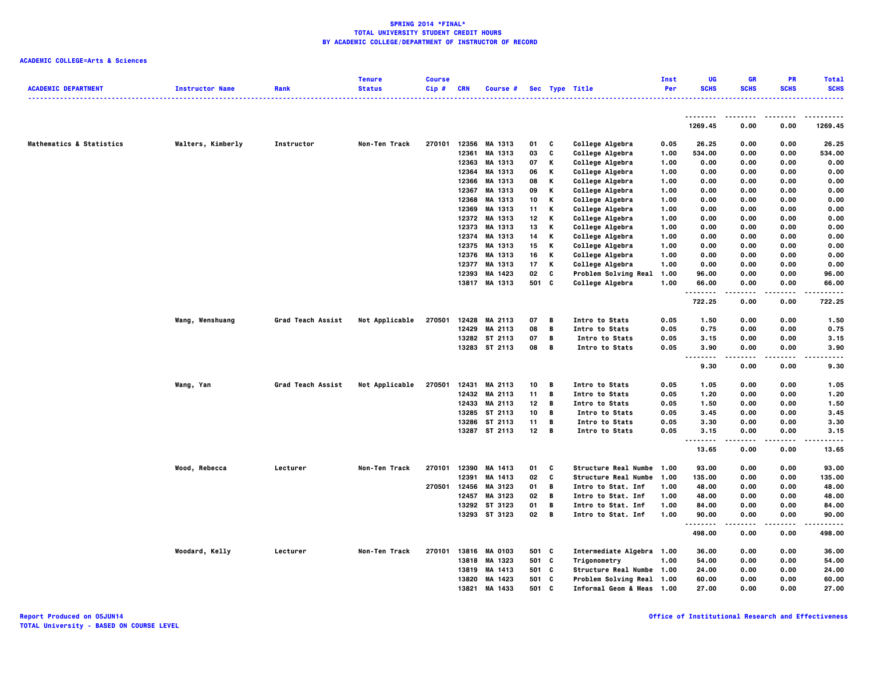| <b>ACADEMIC DEPARTMENT</b>          | <b>Instructor Name</b> | Rank                     | <b>Tenure</b><br><b>Status</b> | <b>Course</b><br>Cip# | <b>CRN</b>     | Course #                 |          |        | Sec Type Title                                 | Inst<br>Per  | UG<br><b>SCHS</b>                             | <b>GR</b><br><b>SCHS</b> | <b>PR</b><br><b>SCHS</b> | <b>Total</b><br><b>SCHS</b> |
|-------------------------------------|------------------------|--------------------------|--------------------------------|-----------------------|----------------|--------------------------|----------|--------|------------------------------------------------|--------------|-----------------------------------------------|--------------------------|--------------------------|-----------------------------|
|                                     |                        |                          |                                |                       |                |                          |          |        |                                                |              |                                               |                          |                          |                             |
|                                     |                        |                          |                                |                       |                |                          |          |        |                                                |              | <u>.</u><br>1269.45                           | 0.00                     | 0.00                     | 1269.45                     |
| <b>Mathematics &amp; Statistics</b> | Walters, Kimberly      | Instructor               | Non-Ten Track                  | 270101                | 12356          | MA 1313                  | 01       | C      | College Algebra                                | 0.05         | 26.25                                         | 0.00                     | 0.00                     | 26.25                       |
|                                     |                        |                          |                                |                       | 12361          | MA 1313                  | 03       | C      | College Algebra                                | 1.00         | 534.00                                        | 0.00                     | 0.00                     | 534.00                      |
|                                     |                        |                          |                                |                       | 12363          | MA 1313                  | 07       | Κ      | College Algebra                                | 1.00         | 0.00                                          | 0.00                     | 0.00                     | 0.00                        |
|                                     |                        |                          |                                |                       | 12364          | MA 1313                  | 06       | Κ      | College Algebra                                | 1.00         | 0.00                                          | 0.00                     | 0.00                     | 0.00                        |
|                                     |                        |                          |                                |                       | 12366          | MA 1313                  | 08       | Κ      | College Algebra                                | 1.00         | 0.00                                          | 0.00                     | 0.00                     | 0.00                        |
|                                     |                        |                          |                                |                       | 12367          | MA 1313                  | 09       | Κ      | College Algebra                                | 1.00         | 0.00                                          | 0.00                     | 0.00                     | 0.00                        |
|                                     |                        |                          |                                |                       | 12368          | MA 1313                  | 10       | Κ      | College Algebra                                | 1.00         | 0.00                                          | 0.00                     | 0.00                     | 0.00                        |
|                                     |                        |                          |                                |                       | 12369          | MA 1313                  | 11       | Κ      | College Algebra                                | 1.00         | 0.00                                          | 0.00                     | 0.00                     | 0.00                        |
|                                     |                        |                          |                                |                       |                | 12372 MA 1313            | 12       | Κ      | College Algebra                                | 1.00         | 0.00                                          | 0.00                     | 0.00                     | 0.00                        |
|                                     |                        |                          |                                |                       | 12373          | MA 1313                  | 13       | Κ      | College Algebra                                | 1.00         | 0.00                                          | 0.00                     | 0.00                     | 0.00                        |
|                                     |                        |                          |                                |                       | 12374          | MA 1313                  | 14       | Κ      | College Algebra                                | 1.00         | 0.00                                          | 0.00                     | 0.00                     | 0.00                        |
|                                     |                        |                          |                                |                       | 12375          | MA 1313                  | 15       | Κ      | College Algebra                                | 1.00         | 0.00                                          | 0.00                     | 0.00                     | 0.00                        |
|                                     |                        |                          |                                |                       |                | 12376 MA 1313<br>MA 1313 | 16       | Κ      | College Algebra                                | 1.00         | 0.00                                          | 0.00                     | 0.00                     | 0.00                        |
|                                     |                        |                          |                                |                       | 12377<br>12393 | MA 1423                  | 17<br>02 | Κ<br>c | College Algebra<br><b>Problem Solving Real</b> | 1.00<br>1.00 | 0.00<br>96.00                                 | 0.00<br>0.00             | 0.00<br>0.00             | 0.00<br>96.00               |
|                                     |                        |                          |                                |                       |                | 13817 MA 1313            | 501 C    |        | College Algebra                                | 1.00         | 66.00                                         | 0.00                     | 0.00                     | 66.00                       |
|                                     |                        |                          |                                |                       |                |                          |          |        |                                                |              | <u>.</u>                                      |                          | .                        |                             |
|                                     |                        |                          |                                |                       |                |                          |          |        |                                                |              | 722.25                                        | 0.00                     | 0.00                     | 722.25                      |
|                                     | Wang, Wenshuang        | <b>Grad Teach Assist</b> | Not Applicable                 | 270501                | 12428          | MA 2113                  | 07       | В      | Intro to Stats                                 | 0.05         | 1.50                                          | 0.00                     | 0.00                     | 1.50                        |
|                                     |                        |                          |                                |                       | 12429          | MA 2113                  | 08       | В      | Intro to Stats                                 | 0.05         | 0.75                                          | 0.00                     | 0.00                     | 0.75                        |
|                                     |                        |                          |                                |                       |                | 13282 ST 2113            | 07       | В      | Intro to Stats                                 | 0.05         | 3.15                                          | 0.00                     | 0.00                     | 3.15                        |
|                                     |                        |                          |                                |                       |                | 13283 ST 2113            | 08       | В      | Intro to Stats                                 | 0.05         | 3.90<br>$\sim$ $\sim$<br>$\sim$ $\sim$ $\sim$ | 0.00                     | 0.00                     | 3.90                        |
|                                     |                        |                          |                                |                       |                |                          |          |        |                                                |              | 9.30                                          | 0.00                     | 0.00                     | 9.30                        |
|                                     | Wang, Yan              | Grad Teach Assist        | Not Applicable                 | 270501                |                | 12431 MA 2113            | 10       | В      | Intro to Stats                                 | 0.05         | 1.05                                          | 0.00                     | 0.00                     | 1.05                        |
|                                     |                        |                          |                                |                       |                | 12432 MA 2113            | 11       | В      | Intro to Stats                                 | 0.05         | 1.20                                          | 0.00                     | 0.00                     | 1.20                        |
|                                     |                        |                          |                                |                       | 12433          | MA 2113                  | 12       | В      | Intro to Stats                                 | 0.05         | 1.50                                          | 0.00                     | 0.00                     | 1.50                        |
|                                     |                        |                          |                                |                       |                | 13285 ST 2113            | 10       | В      | Intro to Stats                                 | 0.05         | 3.45                                          | 0.00                     | 0.00                     | 3.45                        |
|                                     |                        |                          |                                |                       |                | 13286 ST 2113            | 11       | В      | Intro to Stats                                 | 0.05         | 3.30                                          | 0.00                     | 0.00                     | 3.30                        |
|                                     |                        |                          |                                |                       |                | 13287 ST 2113            | 12       | В      | Intro to Stats                                 | 0.05         | 3.15<br>$\sim$ $\sim$ $\sim$                  | 0.00                     | 0.00                     | 3.15                        |
|                                     |                        |                          |                                |                       |                |                          |          |        |                                                |              | 13.65                                         | 0.00                     | 0.00                     | 13.65                       |
|                                     | Wood, Rebecca          | Lecturer                 | Non-Ten Track                  | 270101                | 12390          | MA 1413                  | 01       | C      | Structure Real Numbe 1.00                      |              | 93.00                                         | 0.00                     | 0.00                     | 93.00                       |
|                                     |                        |                          |                                |                       | 12391          | MA 1413                  | 02       | C      | <b>Structure Real Numbe</b>                    | 1.00         | 135.00                                        | 0.00                     | 0.00                     | 135.00                      |
|                                     |                        |                          |                                | 270501                | 12456          | MA 3123                  | 01       | В      | Intro to Stat. Inf                             | 1.00         | 48.00                                         | 0.00                     | 0.00                     | 48.00                       |
|                                     |                        |                          |                                |                       | 12457          | MA 3123                  | 02       | В      | Intro to Stat. Inf                             | 1.00         | 48.00                                         | 0.00                     | 0.00                     | 48.00                       |
|                                     |                        |                          |                                |                       |                | 13292 ST 3123            | 01       | В      | Intro to Stat. Inf                             | 1.00         | 84.00                                         | 0.00                     | 0.00                     | 84.00                       |
|                                     |                        |                          |                                |                       |                | 13293 ST 3123            | 02       | В      | Intro to Stat. Inf                             | 1.00         | 90.00<br>.                                    | 0.00                     | 0.00                     | 90.00                       |
|                                     |                        |                          |                                |                       |                |                          |          |        |                                                |              | 498.00                                        | 0.00                     | 0.00                     | 498.00                      |
|                                     | Woodard, Kelly         | Lecturer                 | Non-Ten Track                  | 270101                |                | 13816 MA 0103            | 501 C    |        | Intermediate Algebra 1.00                      |              | 36.00                                         | 0.00                     | 0.00                     | 36.00                       |
|                                     |                        |                          |                                |                       | 13818          | MA 1323                  | 501 C    |        | Trigonometry                                   | 1.00         | 54.00                                         | 0.00                     | 0.00                     | 54.00                       |
|                                     |                        |                          |                                |                       | 13819          | MA 1413                  | 501      | C      | <b>Structure Real Numbe 1.00</b>               |              | 24.00                                         | 0.00                     | 0.00                     | 24.00                       |
|                                     |                        |                          |                                |                       | 13820          | MA 1423                  | 501 C    |        | Problem Solving Real 1.00                      |              | 60.00                                         | 0.00                     | 0.00                     | 60.00                       |
|                                     |                        |                          |                                |                       | 13821          | MA 1433                  | 501      | C.     | Informal Geom & Meas 1.00                      |              | 27.00                                         | 0.00                     | 0.00                     | 27.00                       |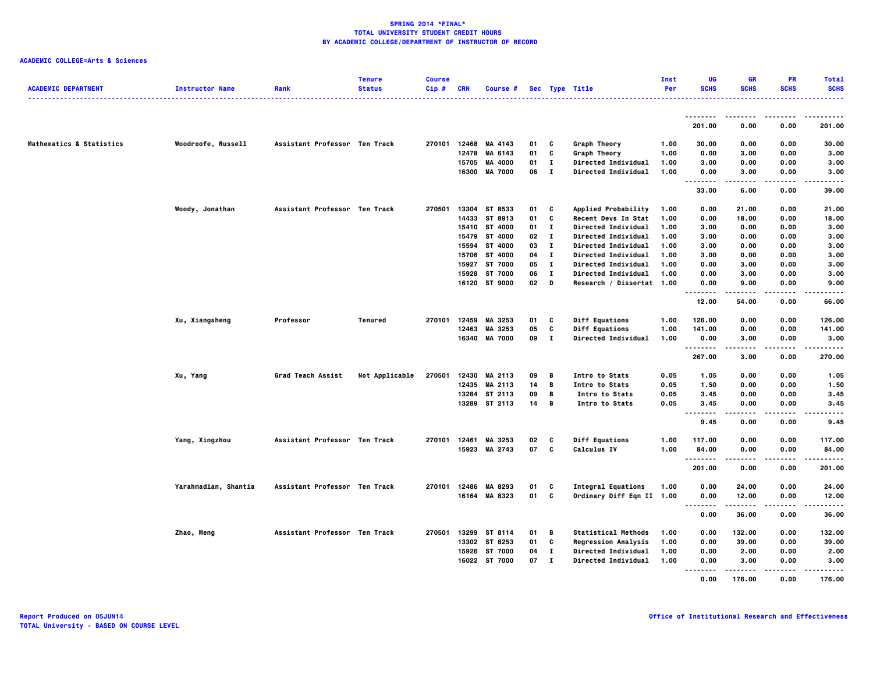| <b>ACADEMIC DEPARTMENT</b> | <b>Instructor Name</b> | Rank                          | <b>Tenure</b><br><b>Status</b> | <b>Course</b><br>Cip# | <b>CRN</b>   | Course #             |    |              | Sec Type Title             | Inst<br>Per | UG<br><b>SCHS</b> | GR<br><b>SCHS</b> | PR<br><b>SCHS</b> | <b>Total</b><br><b>SCHS</b> |
|----------------------------|------------------------|-------------------------------|--------------------------------|-----------------------|--------------|----------------------|----|--------------|----------------------------|-------------|-------------------|-------------------|-------------------|-----------------------------|
|                            |                        |                               |                                |                       |              |                      |    |              |                            |             |                   |                   | $- - - -$         |                             |
|                            |                        |                               |                                |                       |              |                      |    |              |                            |             | 201.00            | 0.00              | 0.00              | 201.00                      |
| Mathematics & Statistics   | Woodroofe, Russell     | Assistant Professor Ten Track |                                |                       | 270101 12468 | MA 4143              | 01 | C            | Graph Theory               | 1.00        | 30.00             | 0.00              | 0.00              | 30.00                       |
|                            |                        |                               |                                |                       | 12478        | MA 6143              | 01 | c            | Graph Theory               | 1.00        | 0.00              | 3.00              | 0.00              | 3.00                        |
|                            |                        |                               |                                |                       | 15705        | MA 4000              | 01 | п            | <b>Directed Individual</b> | 1.00        | 3.00              | 0.00              | 0.00              | 3.00                        |
|                            |                        |                               |                                |                       | 16300        | <b>MA 7000</b>       | 06 | $\mathbf I$  | <b>Directed Individual</b> | 1.00        | 0.00<br>          | 3.00<br>.         | 0.00<br>$\cdots$  | 3.00<br>.                   |
|                            |                        |                               |                                |                       |              |                      |    |              |                            |             | 33.00             | 6.00              | 0.00              | 39.00                       |
|                            | Woody, Jonathan        | Assistant Professor Ten Track |                                | 270501                |              | 13304 ST 8533        | 01 | C            | Applied Probability        | 1.00        | 0.00              | 21.00             | 0.00              | 21.00                       |
|                            |                        |                               |                                |                       | 14433        | ST 8913              | 01 | C            | Recent Devs In Stat        | 1.00        | 0.00              | 18.00             | 0.00              | 18.00                       |
|                            |                        |                               |                                |                       | 15410        | ST 4000              | 01 | п            | <b>Directed Individual</b> | 1.00        | 3.00              | 0.00              | 0.00              | 3.00                        |
|                            |                        |                               |                                |                       | 15479        | ST 4000              | 02 | $\bf{I}$     | Directed Individual        | 1.00        | 3.00              | 0.00              | 0.00              | 3.00                        |
|                            |                        |                               |                                |                       | 15594        | ST 4000              | 03 | п            | <b>Directed Individual</b> | 1.00        | 3.00              | 0.00              | 0.00              | 3.00                        |
|                            |                        |                               |                                |                       | 15706        | ST 4000              | 04 | п            | <b>Directed Individual</b> | 1.00        | 3.00              | 0.00              | 0.00              | 3.00                        |
|                            |                        |                               |                                |                       | 15927        | ST 7000              | 05 | $\bf{I}$     | Directed Individual        | 1.00        | 0.00              | 3.00              | 0.00              | 3.00                        |
|                            |                        |                               |                                |                       | 15928        | ST 7000              | 06 | $\mathbf{I}$ | <b>Directed Individual</b> | 1.00        | 0.00              | 3.00              | 0.00              | 3.00                        |
|                            |                        |                               |                                |                       |              | 16120 ST 9000        | 02 | D            | Research / Dissertat 1.00  |             | 0.00              | 9.00              | 0.00              | 9.00                        |
|                            |                        |                               |                                |                       |              |                      |    |              |                            |             | .<br>12.00        | 54.00             | $\cdots$<br>0.00  | -----<br>66.00              |
|                            | Xu, Xiangsheng         | Professor                     | Tenured                        | 270101                | 12459        | MA 3253              | 01 | C            | Diff Equations             | 1.00        | 126.00            | 0.00              | 0.00              | 126.00                      |
|                            |                        |                               |                                |                       | 12463        | MA 3253              | 05 | C            | <b>Diff Equations</b>      | 1.00        | 141.00            | 0.00              | 0.00              | 141.00                      |
|                            |                        |                               |                                |                       | 16340        | <b>MA 7000</b>       | 09 | $\mathbf{I}$ | <b>Directed Individual</b> | 1.00        | 0.00              | 3.00              | 0.00              | 3.00                        |
|                            |                        |                               |                                |                       |              |                      |    |              |                            |             | .<br>267.00       | .<br>3.00         | .<br>0.00         | .<br>270.00                 |
|                            |                        |                               |                                |                       |              |                      |    |              |                            |             |                   |                   |                   |                             |
|                            | Xu, Yang               | Grad Teach Assist             | Not Applicable                 | 270501                | 12430        | MA 2113              | 09 | B            | Intro to Stats             | 0.05        | 1.05              | 0.00              | 0.00              | 1.05                        |
|                            |                        |                               |                                |                       | 12435        | MA 2113              | 14 | B            | Intro to Stats             | 0.05        | 1.50              | 0.00              | 0.00              | 1.50                        |
|                            |                        |                               |                                |                       |              | 13284 ST 2113        | 09 | В            | Intro to Stats             | 0.05        | 3.45              | 0.00              | 0.00              | 3.45                        |
|                            |                        |                               |                                |                       |              | 13289 ST 2113        | 14 | B            | Intro to Stats             | 0.05        | 3.45<br>          | 0.00<br>-----     | 0.00<br>.         | 3.45<br>-----               |
|                            |                        |                               |                                |                       |              |                      |    |              |                            |             | 9.45              | 0.00              | 0.00              | 9.45                        |
|                            | Yang, Xingzhou         | Assistant Professor Ten Track |                                | 270101                | 12461        | MA 3253              | 02 | c            | <b>Diff Equations</b>      | 1.00        | 117.00            | 0.00              | 0.00              | 117.00                      |
|                            |                        |                               |                                |                       | 15923        | MA 2743              | 07 | C            | Calculus IV                | 1.00        | 84.00             | 0.00              | 0.00              | 84.00                       |
|                            |                        |                               |                                |                       |              |                      |    |              |                            |             | .<br>201.00       | 0.00              | .<br>0.00         | .<br>201.00                 |
|                            | Yarahmadian, Shantia   | Assistant Professor Ten Track |                                | 270101                | 12486        | MA 8293              | 01 | C            | <b>Integral Equations</b>  | 1.00        | 0.00              | 24.00             | 0.00              | 24.00                       |
|                            |                        |                               |                                |                       | 16164        | MA 8323              | 01 | C            | Ordinary Diff Eqn II 1.00  |             | 0.00              | 12.00             | 0.00              | 12.00                       |
|                            |                        |                               |                                |                       |              |                      |    |              |                            |             | .                 |                   |                   | .                           |
|                            |                        |                               |                                |                       |              |                      |    |              |                            |             | 0.00              | 36.00             | 0.00              | 36.00                       |
|                            | Zhao, Meng             | Assistant Professor Ten Track |                                |                       |              | 270501 13299 ST 8114 | 01 | в            | <b>Statistical Methods</b> | 1.00        | 0.00              | 132.00            | 0.00              | 132.00                      |
|                            |                        |                               |                                |                       | 13302        | ST 8253              | 01 | C            | <b>Regression Analysis</b> | 1.00        | 0.00              | 39.00             | 0.00              | 39.00                       |
|                            |                        |                               |                                |                       | 15926        | ST 7000              | 04 | $\bf{I}$     | <b>Directed Individual</b> | 1.00        | 0.00              | 2.00              | 0.00              | 2.00                        |
|                            |                        |                               |                                |                       |              | 16022 ST 7000        | 07 | $\mathbf{I}$ | <b>Directed Individual</b> | 1.00        | 0.00<br>.         | 3.00<br>.         | 0.00<br>$- - - -$ | 3.00                        |
|                            |                        |                               |                                |                       |              |                      |    |              |                            |             | 0.00              | 176.00            | 0.00              | .<br>176.00                 |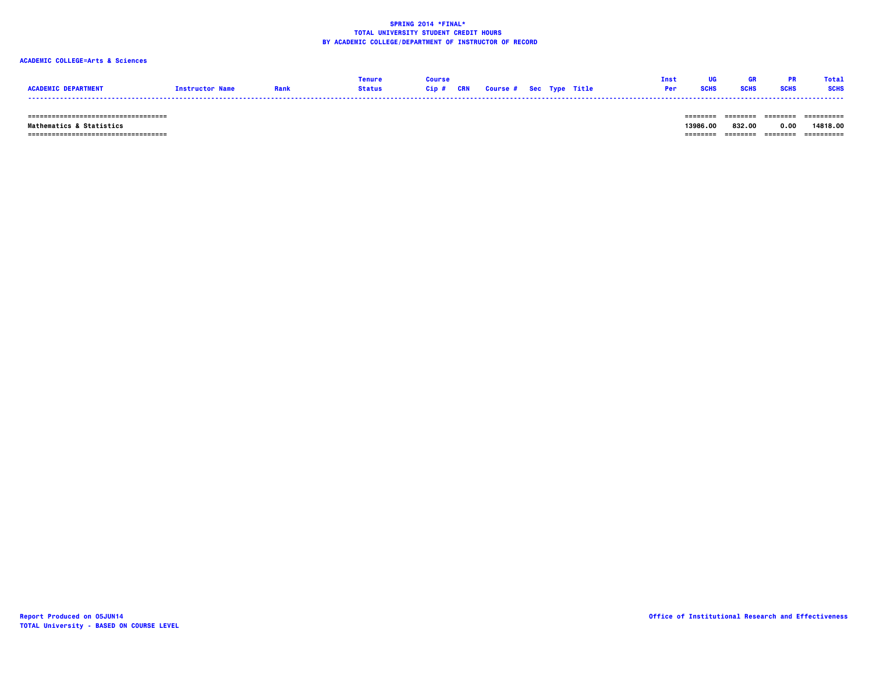# **ACADEMIC COLLEGE=Arts & Sciences**

|                            |                        |               |  |                                   |  | Tnst |             |             | <b>Total</b> |
|----------------------------|------------------------|---------------|--|-----------------------------------|--|------|-------------|-------------|--------------|
| <b>ACADEMTC DEPARTMENT</b> | <b>Tnstructor Name</b> | <b>Status</b> |  | Cip # CRN Course # Sec Type Title |  | Per  | <b>SCHS</b> | <b>SCHS</b> | <b>SCHS</b>  |
|                            |                        |               |  |                                   |  |      |             |             |              |

 **=================================== ======== ======== ======== ==========**

 **=================================== ======== ======== ======== ========== Mathematics & Statistics 13986.00 832.00 0.00 14818.00**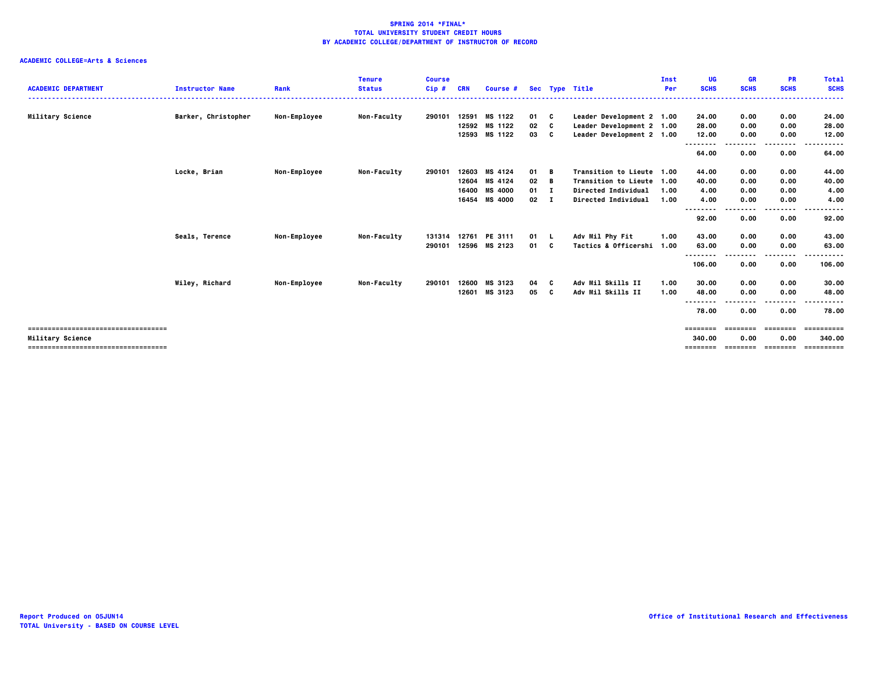| <b>ACADEMIC DEPARTMENT</b>            | <b>Instructor Name</b> | Rank                | <b>Tenure</b><br><b>Status</b> | <b>Course</b><br>$Cip$ # | <b>CRN</b> | Course #       |              |          | Sec Type Title            | Inst<br>Per | <b>UG</b><br><b>SCHS</b> | <b>GR</b><br><b>SCHS</b> | <b>PR</b><br><b>SCHS</b> | <b>Total</b><br><b>SCHS</b> |
|---------------------------------------|------------------------|---------------------|--------------------------------|--------------------------|------------|----------------|--------------|----------|---------------------------|-------------|--------------------------|--------------------------|--------------------------|-----------------------------|
| Military Science                      | Barker, Christopher    | Non-Employee        | <b>Non-Faculty</b>             | 290101                   | 12591      | MS 1122        | 01 C         |          | Leader Development 2 1.00 |             | 24.00                    | 0.00                     | 0.00                     | 24.00                       |
|                                       |                        |                     |                                |                          | 12592      | MS 1122        | 02           | <b>C</b> | Leader Development 2 1.00 |             | 28.00                    | 0.00                     | 0.00                     | 28.00                       |
|                                       |                        |                     |                                |                          |            | 12593 MS 1122  | 03 C         |          | Leader Development 2 1.00 |             | 12.00                    | 0.00                     | 0.00                     | 12.00                       |
|                                       |                        |                     |                                |                          |            |                |              |          |                           |             | --------                 | -----                    | .                        | .                           |
|                                       |                        |                     |                                |                          |            |                |              |          |                           |             | 64.00                    | 0.00                     | 0.00                     | 64.00                       |
|                                       |                        |                     |                                |                          |            |                |              |          |                           |             |                          |                          |                          |                             |
|                                       | Locke, Brian           | Non-Employee        | Non-Faculty                    | 290101                   |            | 12603 MS 4124  | 01 B         |          | Transition to Lieute 1.00 |             | 44.00                    | 0.00                     | 0.00                     | 44.00                       |
|                                       |                        |                     |                                |                          |            | 12604 MS 4124  | 02           | — в      | Transition to Lieute 1.00 |             | 40.00                    | 0.00                     | 0.00                     | 40.00                       |
|                                       |                        |                     |                                |                          | 16400      | <b>MS 4000</b> | $01 \quad I$ |          | Directed Individual       | 1.00        | 4.00                     | 0.00                     | 0.00                     | 4.00                        |
|                                       |                        |                     |                                |                          |            | 16454 MS 4000  | $02 \quad I$ |          | Directed Individual       | 1.00        | 4.00                     | 0.00                     | 0.00                     | 4.00                        |
|                                       |                        |                     |                                |                          |            |                |              |          |                           |             | --------                 |                          | .                        | -----                       |
|                                       |                        |                     |                                |                          |            |                |              |          |                           |             | 92.00                    | 0.00                     | 0.00                     | 92.00                       |
|                                       | Seals, Terence         | <b>Non-Employee</b> | <b>Non-Faculty</b>             | 131314                   | 12761      | PE 3111        | 01 L         |          | Adv Mil Phy Fit           | 1.00        | 43.00                    | 0.00                     | 0.00                     | 43.00                       |
|                                       |                        |                     |                                | 290101                   |            | 12596 MS 2123  | 01 C         |          | Tactics & Officershi      | 1.00        | 63.00                    | 0.00                     | 0.00                     | 63.00                       |
|                                       |                        |                     |                                |                          |            |                |              |          |                           |             | --------                 |                          | .                        | .                           |
|                                       |                        |                     |                                |                          |            |                |              |          |                           |             | 106.00                   | 0.00                     | 0.00                     | 106.00                      |
|                                       | Wiley, Richard         | Non-Employee        | Non-Faculty                    | 290101                   | 12600      | MS 3123        | 04           |          | Adv Mil Skills II         | 1.00        | 30.00                    | 0.00                     | 0.00                     | 30.00                       |
|                                       |                        |                     |                                |                          | 12601      | MS 3123        | 05           | - C      | Adv Mil Skills II         | 1.00        | 48.00                    | 0.00                     | 0.00                     | 48.00                       |
|                                       |                        |                     |                                |                          |            |                |              |          |                           |             | ----                     |                          | --------                 | . <b>.</b>                  |
|                                       |                        |                     |                                |                          |            |                |              |          |                           |             | 78.00                    | 0.00                     | 0.00                     | 78.00                       |
|                                       |                        |                     |                                |                          |            |                |              |          |                           |             | <b>EEEEEEE</b>           | ========                 | ========                 | ==========                  |
| Military Science                      |                        |                     |                                |                          |            |                |              |          |                           |             | 340.00                   | 0.00                     | 0.00                     | 340.00                      |
| ------------------------------------- |                        |                     |                                |                          |            |                |              |          |                           |             | ========                 | ========                 | ========                 | ==========                  |
|                                       |                        |                     |                                |                          |            |                |              |          |                           |             |                          |                          |                          |                             |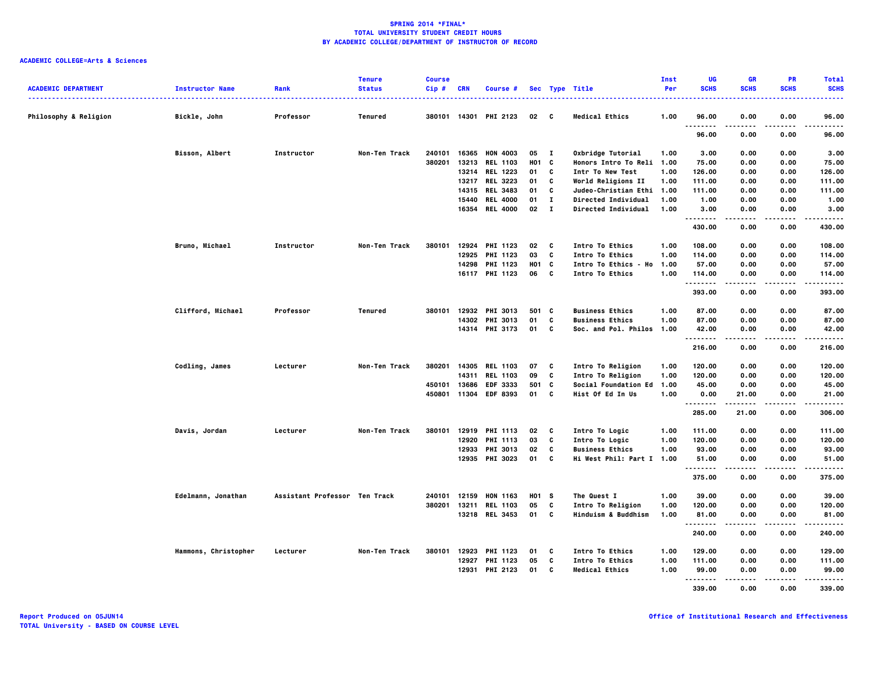| <b>ACADEMIC DEPARTMENT</b>       | <b>Instructor Name</b><br><u>.</u> | Rank                          | <b>Tenure</b><br><b>Status</b> | <b>Course</b><br>Cip# | <b>CRN</b> | <b>Course #</b>                   |                   |              | Sec Type Title                             | Inst<br>Per  | UG<br><b>SCHS</b>       | <b>GR</b><br><b>SCHS</b> | <b>PR</b><br><b>SCHS</b> | <b>Total</b><br><b>SCHS</b> |
|----------------------------------|------------------------------------|-------------------------------|--------------------------------|-----------------------|------------|-----------------------------------|-------------------|--------------|--------------------------------------------|--------------|-------------------------|--------------------------|--------------------------|-----------------------------|
| <b>Philosophy &amp; Religion</b> | Bickle, John                       | Professor                     | Tenured                        |                       |            | 380101 14301 PHI 2123             | $02 \quad C$      |              | <b>Medical Ethics</b>                      | 1.00         | 96.00                   | 0.00                     | 0.00                     | 96.00                       |
|                                  |                                    |                               |                                |                       |            |                                   |                   |              |                                            |              | $\ddotsc$<br>.<br>96.00 | 0.00                     | 0.00                     | .<br>96.00                  |
|                                  | Bisson, Albert                     | Instructor                    | Non-Ten Track                  | 240101                |            | 16365 HON 4003                    | 05 I              |              | Oxbridge Tutorial                          | 1.00         | 3.00                    | 0.00                     | 0.00                     | 3.00                        |
|                                  |                                    |                               |                                | 380201                | 13213      | <b>REL 1103</b>                   | <b>HO1</b>        | C            | Honors Intro To Reli                       | 1.00         | 75.00                   | 0.00                     | 0.00                     | 75.00                       |
|                                  |                                    |                               |                                |                       | 13214      | <b>REL 1223</b>                   | 01                | C            | Intr To New Test                           | 1.00         | 126.00                  | 0.00                     | 0.00                     | 126.00                      |
|                                  |                                    |                               |                                |                       | 13217      | <b>REL 3223</b><br>14315 REL 3483 | 01<br>01          | C<br>C       | World Religions II<br>Judeo-Christian Ethi | 1.00<br>1.00 | 111.00<br>111.00        | 0.00<br>0.00             | 0.00<br>0.00             | 111.00<br>111.00            |
|                                  |                                    |                               |                                |                       | 15440      | <b>REL 4000</b>                   | 01                | $\mathbf{I}$ | Directed Individual                        | 1.00         | 1.00                    | 0.00                     | 0.00                     | 1.00                        |
|                                  |                                    |                               |                                |                       | 16354      | <b>REL 4000</b>                   | 02                | $\mathbf{I}$ | Directed Individual                        | 1.00         | 3.00                    | 0.00                     | 0.00                     | 3.00                        |
|                                  |                                    |                               |                                |                       |            |                                   |                   |              |                                            |              | .<br>430.00             | .<br>0.00                | $- - - -$<br>0.00        | .<br>430.00                 |
|                                  | Bruno, Michael                     | Instructor                    | Non-Ten Track                  | 380101                |            | 12924 PHI 1123                    | 02                | - C          | Intro To Ethics                            | 1.00         | 108.00                  | 0.00                     | 0.00                     | 108,00                      |
|                                  |                                    |                               |                                |                       |            | 12925 PHI 1123                    | 03                | C            | Intro To Ethics                            | 1.00         | 114.00                  | 0.00                     | 0.00                     | 114.00                      |
|                                  |                                    |                               |                                |                       |            | 14298 PHI 1123                    | H01 C             |              | Intro To Ethics - Ho                       | 1.00         | 57.00                   | 0.00                     | 0.00                     | 57.00                       |
|                                  |                                    |                               |                                |                       |            | 16117 PHI 1123                    | 06 C              |              | Intro To Ethics                            | 1.00         | 114.00<br>.             | 0.00                     | 0.00<br>$- - - -$        | 114.00<br>.                 |
|                                  |                                    |                               |                                |                       |            |                                   |                   |              |                                            |              | 393.00                  | 0.00                     | 0.00                     | 393.00                      |
|                                  | Clifford, Michael                  | Professor                     | Tenured                        | 380101                |            | 12932 PHI 3013                    | 501 C             |              | <b>Business Ethics</b>                     | 1.00         | 87.00                   | 0.00                     | 0.00                     | 87.00                       |
|                                  |                                    |                               |                                |                       |            | 14302 PHI 3013                    | 01                | C            | <b>Business Ethics</b>                     | 1.00         | 87.00                   | 0.00                     | 0.00                     | 87.00                       |
|                                  |                                    |                               |                                |                       |            | 14314 PHI 3173                    | 01                | $\mathbf{c}$ | Soc. and Pol. Philos                       | 1.00         | 42.00<br>               | 0.00                     | 0.00                     | 42.00<br>                   |
|                                  |                                    |                               |                                |                       |            |                                   |                   |              |                                            |              | 216.00                  | 0.00                     | 0.00                     | 216.00                      |
|                                  | Codling, James                     | Lecturer                      | Non-Ten Track                  | 380201                | 14305      | <b>REL 1103</b>                   | 07                | C            | Intro To Religion                          | 1.00         | 120.00                  | 0.00                     | 0.00                     | 120.00                      |
|                                  |                                    |                               |                                |                       | 14311      | <b>REL 1103</b>                   | 09                | C            | Intro To Religion                          | 1.00         | 120.00                  | 0.00                     | 0.00                     | 120.00                      |
|                                  |                                    |                               |                                | 450101                | 13686      | EDF 3333                          | 501 C             |              | Social Foundation Ed                       | 1.00         | 45.00                   | 0.00                     | 0.00                     | 45.00                       |
|                                  |                                    |                               |                                | 450801                |            | 11304 EDF 8393                    | 01 C              |              | Hist Of Ed In Us                           | 1.00         | 0.00<br>.               | 21.00<br>.               | 0.00<br>.                | 21.00<br>.                  |
|                                  |                                    |                               |                                |                       |            |                                   |                   |              |                                            |              | 285.00                  | 21.00                    | 0.00                     | 306.00                      |
|                                  | Davis, Jordan                      | Lecturer                      | Non-Ten Track                  | 380101                |            | 12919 PHI 1113                    | 02                | $\mathbf{c}$ | Intro To Logic                             | 1.00         | 111.00                  | 0.00                     | 0.00                     | 111.00                      |
|                                  |                                    |                               |                                |                       |            | 12920 PHI 1113                    | 03                | C            | Intro To Logic                             | 1.00         | 120.00                  | 0.00                     | 0.00                     | 120.00                      |
|                                  |                                    |                               |                                |                       |            | 12933 PHI 3013                    | 02                | C            | <b>Business Ethics</b>                     | 1.00         | 93.00                   | 0.00                     | 0.00                     | 93.00                       |
|                                  |                                    |                               |                                |                       |            | 12935 PHI 3023                    | 01                | C            | Hi West Phil: Part I 1.00                  |              | 51.00<br>.              | 0.00<br>$- - - -$        | 0.00<br>----             | 51.00<br>.                  |
|                                  |                                    |                               |                                |                       |            |                                   |                   |              |                                            |              | 375.00                  | 0.00                     | 0.00                     | 375.00                      |
|                                  | Edelmann, Jonathan                 | Assistant Professor Ten Track |                                | 240101                | 12159      | <b>HON 1163</b>                   | H <sub>01</sub> S |              | The Quest I                                | 1.00         | 39.00                   | 0.00                     | 0.00                     | 39.00                       |
|                                  |                                    |                               |                                | 380201                | 13211      | <b>REL 1103</b>                   | 05                | C            | Intro To Religion                          | 1.00         | 120.00                  | 0.00                     | 0.00                     | 120.00                      |
|                                  |                                    |                               |                                |                       |            | 13218 REL 3453                    | 01 C              |              | Hinduism & Buddhism                        | 1.00         | 81.00<br>.              | 0.00<br>.                | 0.00<br>$- - - -$        | 81.00<br>.                  |
|                                  |                                    |                               |                                |                       |            |                                   |                   |              |                                            |              | 240.00                  | 0.00                     | 0.00                     | 240.00                      |
|                                  | Hammons, Christopher               | Lecturer                      | Non-Ten Track                  | 380101                |            | 12923 PHI 1123                    | 01                | C            | <b>Intro To Ethics</b>                     | 1.00         | 129.00                  | 0.00                     | 0.00                     | 129.00                      |
|                                  |                                    |                               |                                |                       |            | 12927 PHI 1123                    | 05                | C            | Intro To Ethics                            | 1.00         | 111.00                  | 0.00                     | 0.00                     | 111.00                      |
|                                  |                                    |                               |                                |                       | 12931      | PHI 2123                          | 01                | C            | <b>Medical Ethics</b>                      | 1.00         | 99.00<br>.              | 0.00<br>- - - - -        | 0.00<br>$- - - -$        | 99.00<br>.                  |
|                                  |                                    |                               |                                |                       |            |                                   |                   |              |                                            |              | 339.00                  | 0.00                     | 0.00                     | 339.00                      |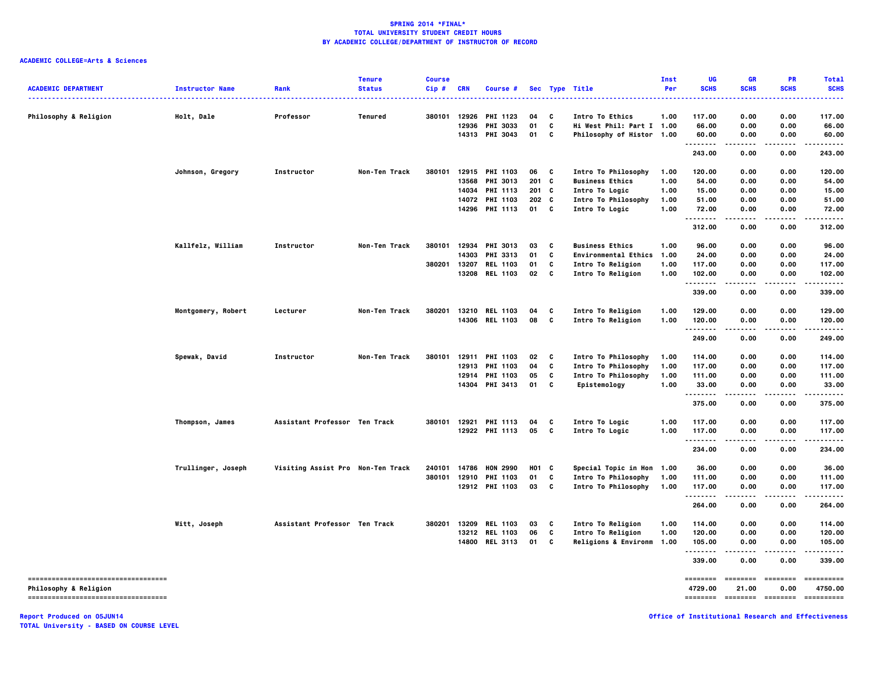# **ACADEMIC COLLEGE=Arts & Sciences**

| <b>ACADEMIC DEPARTMENT</b>          | <b>Instructor Name</b> | Rank                              | <b>Tenure</b><br><b>Status</b> | <b>Course</b><br>Cip# | <b>CRN</b> | Course #              |                  |              | Sec Type Title<br>.         | Inst<br>Per | UG<br><b>SCHS</b> | GR<br><b>SCHS</b> | PR<br><b>SCHS</b> | <b>Total</b><br><b>SCHS</b><br>----- |
|-------------------------------------|------------------------|-----------------------------------|--------------------------------|-----------------------|------------|-----------------------|------------------|--------------|-----------------------------|-------------|-------------------|-------------------|-------------------|--------------------------------------|
| <b>Philosophy &amp; Religion</b>    | Holt, Dale             | Professor                         | Tenured                        | 380101                |            | 12926 PHI 1123        | 04               | c            | Intro To Ethics             | 1.00        | 117.00            | 0.00              | 0.00              | 117.00                               |
|                                     |                        |                                   |                                |                       | 12936      | PHI 3033              | 01               | C            | Hi West Phil: Part I 1.00   |             | 66.00             | 0.00              | 0.00              | 66.00                                |
|                                     |                        |                                   |                                |                       |            | 14313 PHI 3043        | 01               | C            | Philosophy of Histor 1.00   |             | 60.00<br>.        | 0.00<br>.         | 0.00<br>.         | 60.00<br>.                           |
|                                     |                        |                                   |                                |                       |            |                       |                  |              |                             |             | 243.00            | 0.00              | 0.00              | 243.00                               |
|                                     | Johnson, Gregory       | Instructor                        | Non-Ten Track                  | 380101                |            | 12915 PHI 1103        | 06               | C            | Intro To Philosophy         | 1.00        | 120.00            | 0.00              | 0.00              | 120.00                               |
|                                     |                        |                                   |                                |                       |            | 13568 PHI 3013        | 201 C            |              | <b>Business Ethics</b>      | 1.00        | 54.00             | 0.00              | 0.00              | 54.00                                |
|                                     |                        |                                   |                                |                       |            | 14034 PHI 1113        | 201 C            |              | Intro To Logic              | 1.00        | 15.00             | 0.00              | 0.00              | 15.00                                |
|                                     |                        |                                   |                                |                       |            | 14072 PHI 1103        | 202 <sub>c</sub> |              | Intro To Philosophy         | 1.00        | 51.00             | 0.00              | 0.00              | 51.00                                |
|                                     |                        |                                   |                                |                       |            | 14296 PHI 1113        | 01               | $\mathbf{c}$ | Intro To Logic              | 1.00        | 72.00<br>.        | 0.00<br>.         | 0.00              | 72.00<br>.                           |
|                                     |                        |                                   |                                |                       |            |                       |                  |              |                             |             | 312.00            | 0.00              | 0.00              | 312.00                               |
|                                     | Kallfelz, William      | Instructor                        | Non-Ten Track                  | 380101                |            | 12934 PHI 3013        | 03               | C            | <b>Business Ethics</b>      | 1.00        | 96.00             | 0.00              | 0.00              | 96.00                                |
|                                     |                        |                                   |                                |                       |            | 14303 PHI 3313        | 01               | C            | <b>Environmental Ethics</b> | 1.00        | 24.00             | 0.00              | 0.00              | 24.00                                |
|                                     |                        |                                   |                                | 380201                |            | 13207 REL 1103        | 01               | C            | Intro To Religion           | 1.00        | 117.00            | 0.00              | 0.00              | 117.00                               |
|                                     |                        |                                   |                                |                       |            | 13208 REL 1103        | 02               | C.           | Intro To Religion           | 1.00        | 102.00<br>.       | 0.00              | 0.00              | 102.00<br>.                          |
|                                     |                        |                                   |                                |                       |            |                       |                  |              |                             |             | 339.00            | 0.00              | 0.00              | 339.00                               |
|                                     | Montgomery, Robert     | Lecturer                          | Non-Ten Track                  | 380201                |            | 13210 REL 1103        | 04               | C            | Intro To Religion           | 1.00        | 129.00            | 0.00              | 0.00              | 129.00                               |
|                                     |                        |                                   |                                |                       |            | 14306 REL 1103        | 08               | C            | Intro To Religion           | 1.00        | 120.00            | 0.00              | 0.00              | 120.00                               |
|                                     |                        |                                   |                                |                       |            |                       |                  |              |                             |             | .<br>249.00       | ----<br>0.00      | .<br>0.00         | .<br>249.00                          |
|                                     | Spewak, David          | Instructor                        | Non-Ten Track                  | 380101                |            | 12911 PHI 1103        | 02               | C            | Intro To Philosophy         | 1.00        | 114.00            | 0.00              | 0.00              | 114.00                               |
|                                     |                        |                                   |                                |                       |            | 12913 PHI 1103        | 04               | C            | Intro To Philosophy         | 1.00        | 117.00            | 0.00              | 0.00              | 117.00                               |
|                                     |                        |                                   |                                |                       |            | 12914 PHI 1103        | 05               | C            | Intro To Philosophy         | 1.00        | 111.00            | 0.00              | 0.00              | 111.00                               |
|                                     |                        |                                   |                                |                       |            | 14304 PHI 3413        | 01               | C            | Epistemology                | 1.00        | 33.00             | 0.00              | 0.00              | 33.00                                |
|                                     |                        |                                   |                                |                       |            |                       |                  |              |                             |             | .<br>375.00       | 0.00              | 0.00              | 375.00                               |
|                                     | Thompson, James        | Assistant Professor Ten Track     |                                |                       |            | 380101 12921 PHI 1113 | 04               | c            | Intro To Logic              | 1.00        | 117.00            | 0.00              | 0.00              | 117.00                               |
|                                     |                        |                                   |                                |                       |            | 12922 PHI 1113        | 05               | C            | Intro To Logic              | 1.00        | 117.00            | 0.00              | 0.00              | 117.00                               |
|                                     |                        |                                   |                                |                       |            |                       |                  |              |                             |             | .<br>234.00       | 0.00              | 0.00              | 234.00                               |
|                                     |                        |                                   |                                |                       |            |                       |                  |              |                             |             |                   |                   |                   |                                      |
|                                     | Trullinger, Joseph     | Visiting Assist Pro Non-Ten Track |                                | 240101                |            | 14786 HON 2990        | H01 C            |              | Special Topic in Hon 1.00   |             | 36.00             | 0.00              | 0.00              | 36.00                                |
|                                     |                        |                                   |                                | 380101                |            | 12910 PHI 1103        | 01               | C            | Intro To Philosophy         | 1.00        | 111.00            | 0.00              | 0.00              | 111.00                               |
|                                     |                        |                                   |                                |                       |            | 12912 PHI 1103        | 03               | $\mathbf{c}$ | Intro To Philosophy         | 1.00        | 117.00<br>.       | 0.00<br>$- - - -$ | 0.00<br>$- - - -$ | 117.00<br>------                     |
|                                     |                        |                                   |                                |                       |            |                       |                  |              |                             |             | 264.00            | 0.00              | 0.00              | 264.00                               |
|                                     | Witt, Joseph           | Assistant Professor Ten Track     |                                | 380201                |            | 13209 REL 1103        | 03               | C            | Intro To Religion           | 1.00        | 114.00            | 0.00              | 0.00              | 114.00                               |
|                                     |                        |                                   |                                |                       |            | 13212 REL 1103        | 06               | C            | Intro To Religion           | 1.00        | 120.00            | 0.00              | 0.00              | 120.00                               |
|                                     |                        |                                   |                                |                       |            | 14800 REL 3113        | 01               | C            | Religions & Environm 1.00   |             | 105.00            | 0.00              | 0.00              | 105.00                               |
|                                     |                        |                                   |                                |                       |            |                       |                  |              |                             |             | .<br>339.00       | 0.00              | 0.00              | 339.00                               |
| ----------------------------------- |                        |                                   |                                |                       |            |                       |                  |              |                             |             | ========          | ========          | ========          | ==========                           |
| <b>Philosophy &amp; Religion</b>    |                        |                                   |                                |                       |            |                       |                  |              |                             |             | 4729.00           | 21.00             | 0.00              | 4750.00                              |
| ----------------------------------- |                        |                                   |                                |                       |            |                       |                  |              |                             |             | <b>EEEEEEEE</b>   | stateste stateste |                   | ==========                           |

**Report Produced on 05JUN14 Office of Institutional Research and Effectiveness**

**TOTAL University - BASED ON COURSE LEVEL**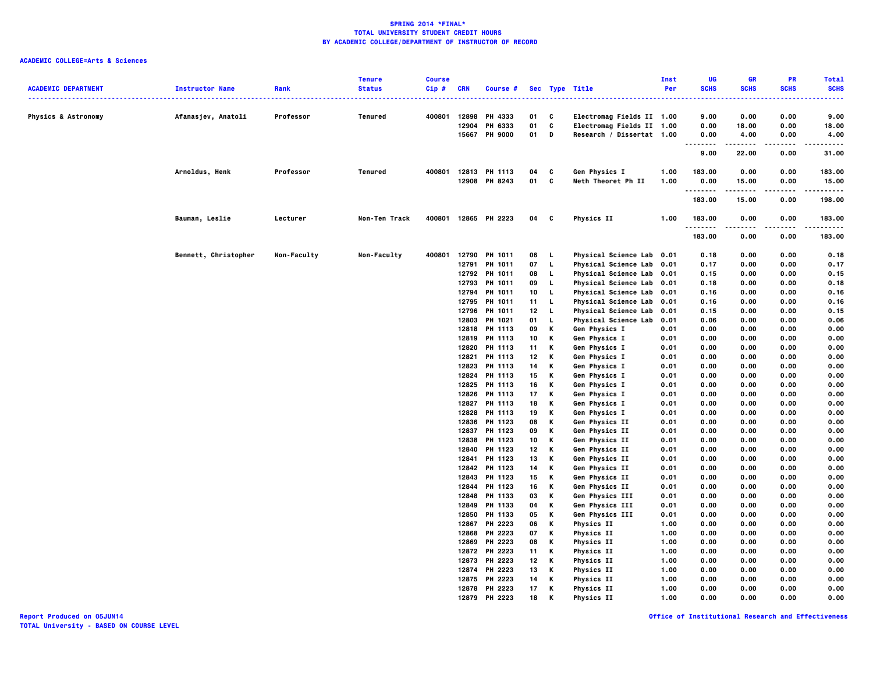# **ACADEMIC COLLEGE=Arts & Sciences**

|                                |                        |             | <b>Tenure</b> | <b>Course</b> |            |                      |                 |              |                           | Inst | UG                                                                                                                        | GR          | PR          | <b>Total</b>     |
|--------------------------------|------------------------|-------------|---------------|---------------|------------|----------------------|-----------------|--------------|---------------------------|------|---------------------------------------------------------------------------------------------------------------------------|-------------|-------------|------------------|
| <b>ACADEMIC DEPARTMENT</b>     | <b>Instructor Name</b> | Rank        | <b>Status</b> | $Cip$ #       | <b>CRN</b> | Course #             |                 |              | Sec Type Title            | Per  | <b>SCHS</b>                                                                                                               | <b>SCHS</b> | <b>SCHS</b> | <b>SCHS</b>      |
|                                |                        | .           |               |               |            |                      |                 |              |                           |      | $\frac{1}{2} \left( \frac{1}{2} \right) \left( \frac{1}{2} \right) \left( \frac{1}{2} \right) \left( \frac{1}{2} \right)$ |             |             |                  |
| <b>Physics &amp; Astronomy</b> | Afanasjev, Anatoli     | Professor   | Tenured       | 400801        |            | 12898 PH 4333        | 01 C            |              | Electromag Fields II 1.00 |      | 9.00                                                                                                                      | 0.00        | 0.00        | 9.00             |
|                                |                        |             |               |               | 12904      | PH 6333              | 01              | c            | Electromag Fields II 1.00 |      | 0.00                                                                                                                      | 18.00       | 0.00        | 18.00            |
|                                |                        |             |               |               |            | 15667 PH 9000        | 01              | D            | Research / Dissertat 1.00 |      | 0.00                                                                                                                      | 4.00        | 0.00        | 4.00             |
|                                |                        |             |               |               |            |                      |                 |              |                           |      | <br>9.00                                                                                                                  | .<br>22.00  | .<br>0.00   | .<br>31.00       |
|                                | Arnoldus, Henk         | Professor   | Tenured       | 400801        |            | 12813 PH 1113        | 04              | C            | Gen Physics I             | 1.00 | 183.00                                                                                                                    | 0.00        | 0.00        | 183.00           |
|                                |                        |             |               |               |            | 12908 PH 8243        | 01 C            |              | Meth Theoret Ph II        | 1.00 | 0.00                                                                                                                      | 15.00       | 0.00        | 15.00            |
|                                |                        |             |               |               |            |                      |                 |              |                           |      | .                                                                                                                         | .           | $- - - -$   | .                |
|                                |                        |             |               |               |            |                      |                 |              |                           |      | 183.00                                                                                                                    | 15.00       | 0.00        | 198.00           |
|                                | Bauman, Leslie         | Lecturer    | Non-Ten Track |               |            | 400801 12865 PH 2223 | 04              | $\mathbf{c}$ | <b>Physics II</b>         | 1.00 | 183.00<br>.                                                                                                               | 0.00<br>.   | 0.00<br>.   | 183.00<br>------ |
|                                |                        |             |               |               |            |                      |                 |              |                           |      | 183.00                                                                                                                    | 0.00        | 0.00        | 183.00           |
|                                | Bennett, Christopher   | Non-Faculty | Non-Faculty   | 400801        |            | 12790 PH 1011        | 06 L            |              | Physical Science Lab 0.01 |      | 0.18                                                                                                                      | 0.00        | 0.00        | 0.18             |
|                                |                        |             |               |               | 12791      | PH 1011              | 07              | $\mathbf{L}$ | Physical Science Lab 0.01 |      | 0.17                                                                                                                      | 0.00        | 0.00        | 0.17             |
|                                |                        |             |               |               |            | 12792 PH 1011        | 08              | L.           | Physical Science Lab 0.01 |      | 0.15                                                                                                                      | 0.00        | 0.00        | 0.15             |
|                                |                        |             |               |               | 12793      | PH 1011              | 09              | L            | Physical Science Lab 0.01 |      | 0.18                                                                                                                      | 0.00        | 0.00        | 0.18             |
|                                |                        |             |               |               | 12794      | PH 1011              | 10              | L.           | Physical Science Lab 0.01 |      | 0.16                                                                                                                      | 0.00        | 0.00        | 0.16             |
|                                |                        |             |               |               | 12795      | PH 1011              | 11              | $\mathbf{L}$ | Physical Science Lab 0.01 |      | 0.16                                                                                                                      | 0.00        | 0.00        | 0.16             |
|                                |                        |             |               |               | 12796      | PH 1011              | 12 <sub>2</sub> | $\mathbf{L}$ | Physical Science Lab 0.01 |      | 0.15                                                                                                                      | 0.00        | 0.00        | 0.15             |
|                                |                        |             |               |               | 12803      | PH 1021              | 01              | L.           | Physical Science Lab      | 0.01 | 0.06                                                                                                                      | 0.00        | 0.00        | 0.06             |
|                                |                        |             |               |               | 12818      | PH 1113              | 09              | К            | Gen Physics I             | 0.01 | 0.00                                                                                                                      | 0.00        | 0.00        | 0.00             |
|                                |                        |             |               |               |            | 12819 PH 1113        | 10              | К            | Gen Physics I             | 0.01 | 0.00                                                                                                                      | 0.00        | 0.00        | 0.00             |
|                                |                        |             |               |               | 12820      | PH 1113              | 11              | κ            | Gen Physics I             | 0.01 | 0.00                                                                                                                      | 0.00        | 0.00        | 0.00             |
|                                |                        |             |               |               | 12821      | PH 1113              | 12              | К            | Gen Physics I             | 0.01 | 0.00                                                                                                                      | 0.00        | 0.00        | 0.00             |
|                                |                        |             |               |               | 12823      | PH 1113              | 14              | K            | Gen Physics I             | 0.01 | 0.00                                                                                                                      | 0.00        | 0.00        | 0.00             |
|                                |                        |             |               |               | 12824      | PH 1113              | 15              | К            | Gen Physics I             | 0.01 | 0.00                                                                                                                      | 0.00        | 0.00        | 0.00             |
|                                |                        |             |               |               | 12825      | PH 1113              | 16              | К            | Gen Physics I             | 0.01 | 0.00                                                                                                                      | 0.00        | 0.00        | 0.00             |
|                                |                        |             |               |               | 12826      | PH 1113              | 17              | К            | Gen Physics I             | 0.01 | 0.00                                                                                                                      | 0.00        | 0.00        | 0.00             |
|                                |                        |             |               |               | 12827      | PH 1113              | 18              | Κ            | Gen Physics I             | 0.01 | 0.00                                                                                                                      | 0.00        | 0.00        | 0.00             |
|                                |                        |             |               |               |            | 12828 PH 1113        | 19              | К            | Gen Physics I             | 0.01 | 0.00                                                                                                                      | 0.00        | 0.00        | 0.00             |
|                                |                        |             |               |               | 12836      | PH 1123              | 08              | K            | Gen Physics II            | 0.01 | 0.00                                                                                                                      | 0.00        | 0.00        | 0.00             |
|                                |                        |             |               |               | 12837      | PH 1123              | 09              | Κ            | Gen Physics II            | 0.01 | 0.00                                                                                                                      | 0.00        | 0.00        | 0.00             |
|                                |                        |             |               |               | 12838      | PH 1123              | 10              | К            | Gen Physics II            | 0.01 | 0.00                                                                                                                      | 0.00        | 0.00        | 0.00             |
|                                |                        |             |               |               | 12840      | PH 1123              | 12              | Κ            | Gen Physics II            | 0.01 | 0.00                                                                                                                      | 0.00        | 0.00        | 0.00             |
|                                |                        |             |               |               | 12841      | PH 1123              | 13              | К            | Gen Physics II            | 0.01 | 0.00                                                                                                                      | 0.00        | 0.00        | 0.00             |
|                                |                        |             |               |               | 12842      | PH 1123              | 14              | К            | Gen Physics II            | 0.01 | 0.00                                                                                                                      | 0.00        | 0.00        | 0.00             |
|                                |                        |             |               |               | 12843      | PH 1123              | 15              | К            | Gen Physics II            | 0.01 | 0.00                                                                                                                      | 0.00        | 0.00        | 0.00             |
|                                |                        |             |               |               | 12844      | PH 1123              | 16              | К            | Gen Physics II            | 0.01 | 0.00                                                                                                                      | 0.00        | 0.00        | 0.00             |
|                                |                        |             |               |               | 12848      | PH 1133              | 03              | K            | Gen Physics III           | 0.01 | 0.00                                                                                                                      | 0.00        | 0.00        | 0.00             |
|                                |                        |             |               |               | 12849      | PH 1133              | 04              | Κ            | Gen Physics III           | 0.01 | 0.00                                                                                                                      | 0.00        | 0.00        | 0.00             |
|                                |                        |             |               |               | 12850      | PH 1133              | 05              | К            | Gen Physics III           | 0.01 | 0.00                                                                                                                      | 0.00        | 0.00        | 0.00             |
|                                |                        |             |               |               | 12867      | PH 2223              | 06              | Κ            | Physics II                | 1.00 | 0.00                                                                                                                      | 0.00        | 0.00        | 0.00             |
|                                |                        |             |               |               | 12868      | PH 2223              | 07              | К            | <b>Physics II</b>         | 1.00 | 0.00                                                                                                                      | 0.00        | 0.00        | 0.00             |
|                                |                        |             |               |               | 12869      | PH 2223              | 08              | К            | <b>Physics II</b>         | 1.00 | 0.00                                                                                                                      | 0.00        | 0.00        | 0.00             |
|                                |                        |             |               |               | 12872      | PH 2223              | 11              | Κ            | <b>Physics II</b>         | 1.00 | 0.00                                                                                                                      | 0.00        | 0.00        | 0.00             |
|                                |                        |             |               |               | 12873      | PH 2223              | 12              | К            | <b>Physics II</b>         | 1.00 | 0.00                                                                                                                      | 0.00        | 0.00        | 0.00             |
|                                |                        |             |               |               | 12874      | PH 2223              | 13              | К            | <b>Physics II</b>         | 1.00 | 0.00                                                                                                                      | 0.00        | 0.00        | 0.00             |
|                                |                        |             |               |               | 12875      | PH 2223              | 14              | Κ            | <b>Physics II</b>         | 1.00 | 0.00                                                                                                                      | 0.00        | 0.00        | 0.00             |
|                                |                        |             |               |               |            | 12878 PH 2223        | 17              | К            | <b>Physics II</b>         | 1.00 | 0.00                                                                                                                      | 0.00        | 0.00        | 0.00             |
|                                |                        |             |               |               | 12879      | PH 2223              | 18              | K            | Physics II                | 1.00 | 0.00                                                                                                                      | 0.00        | 0.00        | 0.00             |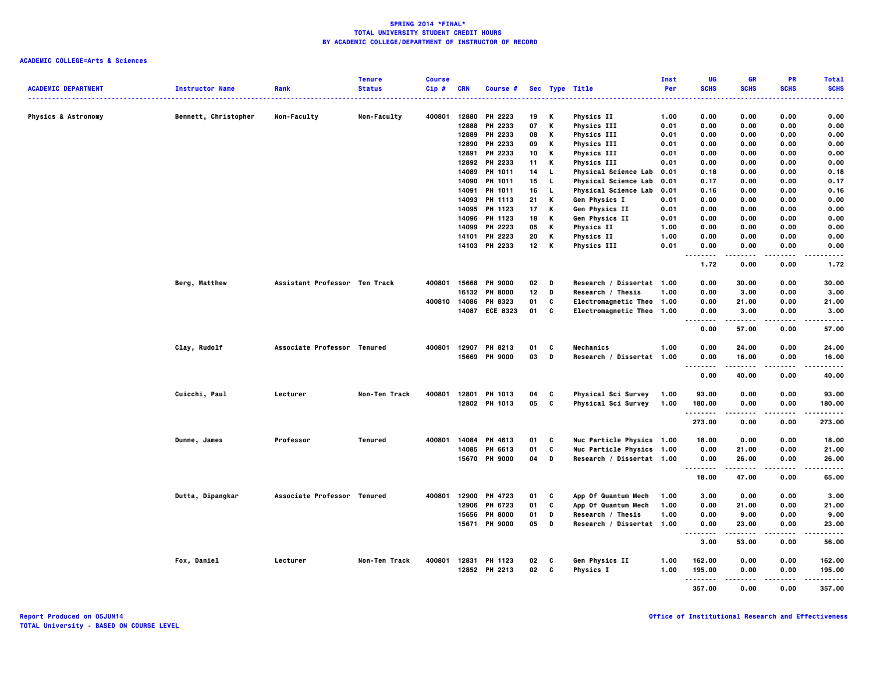|                                                                     |                             |                               | <b>Tenure</b> | <b>Course</b> |       |                |    |    |                           | Inst | UG                   | GR            | PR               | <b>Total</b>   |
|---------------------------------------------------------------------|-----------------------------|-------------------------------|---------------|---------------|-------|----------------|----|----|---------------------------|------|----------------------|---------------|------------------|----------------|
| <b>ACADEMIC DEPARTMENT</b><br>------------------------------------- | <b>Instructor Name</b><br>. | Rank                          | <b>Status</b> | Cip#          | CRN   | Course #       |    |    | Sec Type Title            | Per  | <b>SCHS</b>          | <b>SCHS</b>   | <b>SCHS</b>      | <b>SCHS</b>    |
| <b>Physics &amp; Astronomy</b>                                      | Bennett, Christopher        | Non-Faculty                   | Non-Faculty   | 400801        | 12880 | PH 2223        | 19 | К  | Physics II                | 1.00 | 0.00                 | 0.00          | 0.00             | 0.00           |
|                                                                     |                             |                               |               |               | 12888 | PH 2233        | 07 | K  | <b>Physics III</b>        | 0.01 | 0.00                 | 0.00          | 0.00             | 0.00           |
|                                                                     |                             |                               |               |               | 12889 | PH 2233        | 08 | к  | <b>Physics III</b>        | 0.01 | 0.00                 | 0.00          | 0.00             | 0.00           |
|                                                                     |                             |                               |               |               | 12890 | PH 2233        | 09 | К  | <b>Physics III</b>        | 0.01 | 0.00                 | 0.00          | 0.00             | 0.00           |
|                                                                     |                             |                               |               |               | 12891 | PH 2233        | 10 | К  | <b>Physics III</b>        | 0.01 | 0.00                 | 0.00          | 0.00             | 0.00           |
|                                                                     |                             |                               |               |               |       | 12892 PH 2233  | 11 | к  | <b>Physics III</b>        | 0.01 | 0.00                 | 0.00          | 0.00             | 0.00           |
|                                                                     |                             |                               |               |               | 14089 | <b>PH 1011</b> | 14 | L. | Physical Science Lab      | 0.01 | 0.18                 | 0.00          | 0.00             | 0.18           |
|                                                                     |                             |                               |               |               | 14090 | <b>PH 1011</b> | 15 | L. | Physical Science Lab      | 0.01 | 0.17                 | 0.00          | 0.00             | 0.17           |
|                                                                     |                             |                               |               |               | 14091 | PH 1011        | 16 | L. | Physical Science Lab      | 0.01 | 0.16                 | 0.00          | 0.00             | 0.16           |
|                                                                     |                             |                               |               |               | 14093 | PH 1113        | 21 | К  | Gen Physics I             | 0.01 | 0.00                 | 0.00          | 0.00             | 0.00           |
|                                                                     |                             |                               |               |               |       | 14095 PH 1123  | 17 | К  | Gen Physics II            | 0.01 | 0.00                 | 0.00          | 0.00             | 0.00           |
|                                                                     |                             |                               |               |               |       | 14096 PH 1123  | 18 | к  | Gen Physics II            | 0.01 | 0.00                 | 0.00          | 0.00             | 0.00           |
|                                                                     |                             |                               |               |               | 14099 | PH 2223        | 05 | К  | Physics II                | 1.00 | 0.00                 | 0.00          | 0.00             | 0.00           |
|                                                                     |                             |                               |               |               | 14101 | PH 2223        | 20 | К  | <b>Physics II</b>         | 1.00 | 0.00                 | 0.00          | 0.00             | 0.00           |
|                                                                     |                             |                               |               |               |       | 14103 PH 2233  | 12 | K  | <b>Physics III</b>        | 0.01 | 0.00                 | 0.00          | 0.00             | 0.00           |
|                                                                     |                             |                               |               |               |       |                |    |    |                           |      | .                    | .             | $- - - -$        | -----          |
|                                                                     |                             |                               |               |               |       |                |    |    |                           |      | 1.72                 | 0.00          | 0.00             | 1.72           |
|                                                                     | Berg, Matthew               | Assistant Professor Ten Track |               | 400801        | 15668 | <b>PH 9000</b> | 02 | D  | Research / Dissertat 1.00 |      | 0.00                 | 30.00         | 0.00             | 30.00          |
|                                                                     |                             |                               |               |               | 16132 | <b>PH 8000</b> | 12 | D  | Research / Thesis         | 1.00 | 0.00                 | 3.00          | 0.00             | 3.00           |
|                                                                     |                             |                               |               | 400810        |       | 14086 PH 8323  | 01 | C  | Electromagnetic Theo 1.00 |      | 0.00                 | 21.00         | 0.00             | 21.00          |
|                                                                     |                             |                               |               |               |       | 14087 ECE 8323 | 01 | C  | Electromagnetic Theo 1.00 |      | 0.00<br>.            | 3.00<br>----- | 0.00<br>$\cdots$ | 3.00<br>-----  |
|                                                                     |                             |                               |               |               |       |                |    |    |                           |      | 0.00                 | 57.00         | 0.00             | 57.00          |
|                                                                     | Clay, Rudolf                | Associate Professor Tenured   |               | 400801        |       | 12907 PH 8213  | 01 | C  | Mechanics                 | 1.00 | 0.00                 | 24.00         | 0.00             | 24.00          |
|                                                                     |                             |                               |               |               |       | 15669 PH 9000  | 03 | D  | Research / Dissertat 1.00 |      | 0.00<br>             | 16.00<br>.    | 0.00<br>.        | 16.00<br>.     |
|                                                                     |                             |                               |               |               |       |                |    |    |                           |      | 0.00                 | 40.00         | 0.00             | 40.00          |
|                                                                     | Cuicchi, Paul               | Lecturer                      | Non-Ten Track | 400801        | 12801 | PH 1013        | 04 | C  | Physical Sci Survey       | 1.00 | 93.00                | 0.00          | 0.00             | 93.00          |
|                                                                     |                             |                               |               |               |       | 12802 PH 1013  | 05 | C  | Physical Sci Survey       | 1.00 | 180.00               | 0.00          | 0.00             | 180.00         |
|                                                                     |                             |                               |               |               |       |                |    |    |                           |      | . <b>.</b><br>273.00 | .<br>0.00     | ----<br>0.00     | .<br>273.00    |
|                                                                     | Dunne, James                | Professor                     | Tenured       | 400801        |       | 14084 PH 4613  | 01 | C  | Nuc Particle Physics 1.00 |      | 18.00                | 0.00          | 0.00             | 18.00          |
|                                                                     |                             |                               |               |               | 14085 | PH 6613        | 01 | C  | Nuc Particle Physics 1.00 |      | 0.00                 | 21.00         | 0.00             | 21.00          |
|                                                                     |                             |                               |               |               |       | 15670 PH 9000  | 04 | D  | Research / Dissertat 1.00 |      | 0.00                 | 26.00         | 0.00             | 26.00          |
|                                                                     |                             |                               |               |               |       |                |    |    |                           |      | <br>18.00            | .<br>47.00    | .<br>0.00        | -----<br>65.00 |
|                                                                     | Dutta, Dipangkar            | Associate Professor Tenured   |               | 400801        | 12900 | PH 4723        | 01 | C  | App Of Quantum Mech       | 1.00 | 3.00                 | 0.00          | 0.00             | 3.00           |
|                                                                     |                             |                               |               |               | 12906 | PH 6723        | 01 | C  | App Of Quantum Mech       | 1.00 | 0.00                 | 21.00         | 0.00             | 21.00          |
|                                                                     |                             |                               |               |               | 15656 | <b>PH 8000</b> | 01 | D  | Research / Thesis         | 1.00 | 0.00                 | 9.00          | 0.00             | 9.00           |
|                                                                     |                             |                               |               |               |       | 15671 PH 9000  | 05 | D  | Research / Dissertat 1.00 |      | 0.00                 | 23.00         | 0.00             | 23.00          |
|                                                                     |                             |                               |               |               |       |                |    |    |                           |      | .<br>3.00            | .<br>53.00    | .<br>0.00        | .<br>56.00     |
|                                                                     | Fox, Daniel                 | Lecturer                      | Non-Ten Track | 400801        |       | 12831 PH 1123  | 02 | C  | Gen Physics II            | 1.00 | 162.00               | 0.00          | 0.00             | 162.00         |
|                                                                     |                             |                               |               |               |       | 12852 PH 2213  | 02 | C  | Physics I                 | 1.00 | 195.00               | 0.00          | 0.00             | 195.00         |
|                                                                     |                             |                               |               |               |       |                |    |    |                           |      | .                    |               | .                | .              |
|                                                                     |                             |                               |               |               |       |                |    |    |                           |      | 357.00               | 0.00          | 0.00             | 357.00         |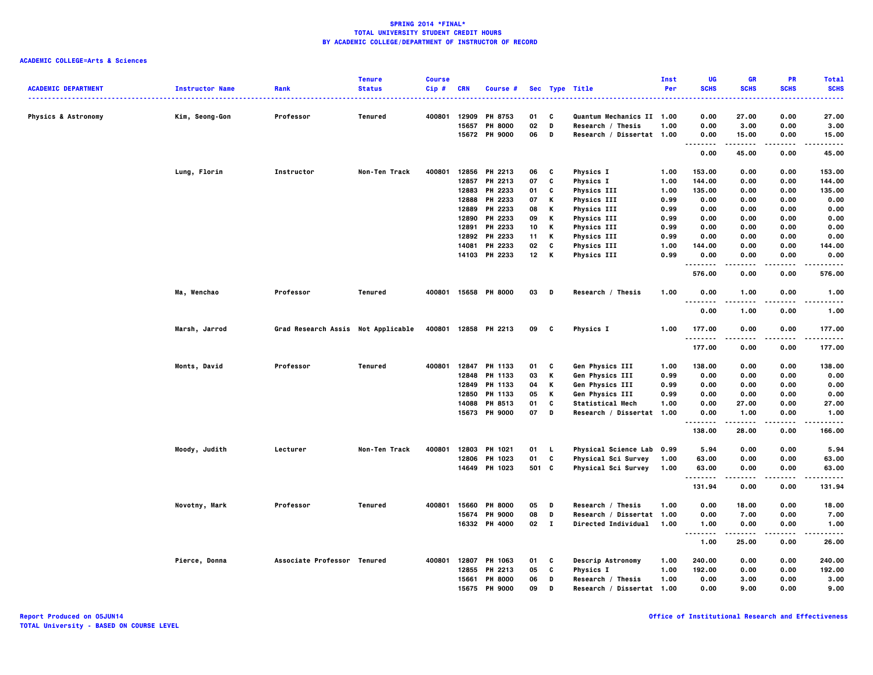|                                |                        |                                    | <b>Tenure</b>  | <b>Course</b> |            |                      |              |              |                                       | Inst         | UG               | <b>GR</b>      | PR                   | <b>Total</b>                                                                                                                             |
|--------------------------------|------------------------|------------------------------------|----------------|---------------|------------|----------------------|--------------|--------------|---------------------------------------|--------------|------------------|----------------|----------------------|------------------------------------------------------------------------------------------------------------------------------------------|
| <b>ACADEMIC DEPARTMENT</b>     | <b>Instructor Name</b> | Rank                               | <b>Status</b>  | $Cip$ #<br>.  | <b>CRN</b> | Course #             |              |              | Sec Type Title                        | Per          | <b>SCHS</b><br>. | <b>SCHS</b>    | <b>SCHS</b><br>----- | <b>SCHS</b><br>$\frac{1}{2} \left( \frac{1}{2} \right) \left( \frac{1}{2} \right) \left( \frac{1}{2} \right) \left( \frac{1}{2} \right)$ |
|                                |                        |                                    |                |               |            |                      |              |              |                                       |              |                  |                |                      |                                                                                                                                          |
| <b>Physics &amp; Astronomy</b> | Kim, Seong-Gon         | Professor                          | Tenured        | 400801        | 12909      | PH 8753              | 01           | C            | Quantum Mechanics II 1.00             |              | 0.00             | 27.00          | 0.00                 | 27.00                                                                                                                                    |
|                                |                        |                                    |                |               | 15657      | <b>PH 8000</b>       | 02           | D            | Research / Thesis                     | 1.00         | 0.00             | 3.00           | 0.00                 | 3.00                                                                                                                                     |
|                                |                        |                                    |                |               |            | 15672 PH 9000        | 06           | D            | Research / Dissertat 1.00             |              | 0.00<br>.        | 15.00          | 0.00<br>$\cdots$     | 15.00<br>-----                                                                                                                           |
|                                |                        |                                    |                |               |            |                      |              |              |                                       |              | 0.00             | 45.00          | 0.00                 | 45.00                                                                                                                                    |
|                                | Lung, Florin           | Instructor                         | Non-Ten Track  | 400801        |            | 12856 PH 2213        | 06           | C            | <b>Physics I</b>                      | 1.00         | 153.00           | 0.00           | 0.00                 | 153.00                                                                                                                                   |
|                                |                        |                                    |                |               |            | 12857 PH 2213        | 07           | C            | <b>Physics I</b>                      | 1.00         | 144.00           | 0.00           | 0.00                 | 144.00                                                                                                                                   |
|                                |                        |                                    |                |               | 12883      | PH 2233              | 01           | C            | Physics III                           | 1.00         | 135.00           | 0.00           | 0.00                 | 135.00                                                                                                                                   |
|                                |                        |                                    |                |               |            | 12888 PH 2233        | 07           | к            | <b>Physics III</b>                    | 0.99         | 0.00             | 0.00           | 0.00                 | 0.00                                                                                                                                     |
|                                |                        |                                    |                |               |            | 12889 PH 2233        | 08           | Κ            | <b>Physics III</b>                    | 0.99         | 0.00             | 0.00           | 0.00                 | 0.00                                                                                                                                     |
|                                |                        |                                    |                |               | 12890      | PH 2233              | 09           | Κ            | Physics III                           | 0.99         | 0.00             | 0.00           | 0.00                 | 0.00                                                                                                                                     |
|                                |                        |                                    |                |               |            | 12891 PH 2233        | 10           | к            | <b>Physics III</b>                    | 0.99         | 0.00             | 0.00           | 0.00                 | 0.00                                                                                                                                     |
|                                |                        |                                    |                |               |            | 12892 PH 2233        | 11           | К            | <b>Physics III</b>                    | 0.99         | 0.00             | 0.00           | 0.00                 | 0.00                                                                                                                                     |
|                                |                        |                                    |                |               | 14081      | PH 2233              | 02           | C            | <b>Physics III</b>                    | 1.00         | 144.00           | 0.00           | 0.00                 | 144.00                                                                                                                                   |
|                                |                        |                                    |                |               |            | 14103 PH 2233        | 12           | к            | <b>Physics III</b>                    | 0.99         | 0.00<br>.        | 0.00           | 0.00<br>----         | 0.00<br>.                                                                                                                                |
|                                |                        |                                    |                |               |            |                      |              |              |                                       |              | 576.00           | 0.00           | 0.00                 | 576.00                                                                                                                                   |
|                                | Ma, Wenchao            | Professor                          | Tenured        |               |            | 400801 15658 PH 8000 | 03           | D            | Research / Thesis                     | 1.00         | 0.00             | 1.00           | 0.00                 | 1.00                                                                                                                                     |
|                                |                        |                                    |                |               |            |                      |              |              |                                       |              | 0.00             | .<br>1.00      | .<br>0.00            | .<br>1.00                                                                                                                                |
|                                | Marsh, Jarrod          | Grad Research Assis Not Applicable |                |               |            | 400801 12858 PH 2213 | 09           | - C          | Physics I                             | 1.00         | 177.00           | 0.00           | 0.00                 | 177.00                                                                                                                                   |
|                                |                        |                                    |                |               |            |                      |              |              |                                       |              | .<br>177.00      | 0.00           | 0.00                 | .<br>177.00                                                                                                                              |
|                                | Monts, David           | Professor                          | <b>Tenured</b> | 400801        | 12847      | PH 1133              | 01           | C            | Gen Physics III                       | 1.00         | 138.00           | 0.00           | 0.00                 | 138.00                                                                                                                                   |
|                                |                        |                                    |                |               | 12848      | PH 1133              | 03           | K            | Gen Physics III                       | 0.99         | 0.00             | 0.00           | 0.00                 | 0.00                                                                                                                                     |
|                                |                        |                                    |                |               | 12849      | PH 1133              | 04           | К            | Gen Physics III                       | 0.99         | 0.00             | 0.00           | 0.00                 | 0.00                                                                                                                                     |
|                                |                        |                                    |                |               | 12850      | PH 1133              | 05           | К            | Gen Physics III                       | 0.99         | 0.00             | 0.00           | 0.00                 | 0.00                                                                                                                                     |
|                                |                        |                                    |                |               |            | 14088 PH 8513        | 01           | C            | Statistical Mech                      | 1.00         | 0.00             | 27.00          | 0.00                 | 27.00                                                                                                                                    |
|                                |                        |                                    |                |               |            | 15673 PH 9000        | 07           | D            | Research / Dissertat 1.00             |              | 0.00             | 1.00           | 0.00                 | 1.00                                                                                                                                     |
|                                |                        |                                    |                |               |            |                      |              |              |                                       |              | <br>138.00       | <br>28.00      | .<br>0.00            | .<br>166.00                                                                                                                              |
|                                | Moody, Judith          | Lecturer                           | Non-Ten Track  | 400801        | 12803      | PH 1021              | 01           | $\mathbf{L}$ | <b>Physical Science Lab</b>           | 0.99         | 5.94             | 0.00           | 0.00                 | 5.94                                                                                                                                     |
|                                |                        |                                    |                |               |            | 12806 PH 1023        | 01           | C            | Physical Sci Survey                   | 1.00         | 63.00            | 0.00           | 0.00                 | 63.00                                                                                                                                    |
|                                |                        |                                    |                |               |            | 14649 PH 1023        | 501 C        |              | Physical Sci Survey                   | 1.00         | 63.00            | 0.00           | 0.00                 | 63.00                                                                                                                                    |
|                                |                        |                                    |                |               |            |                      |              |              |                                       |              | <br>131.94       | 0.00           | .<br>0.00            | .<br>131.94                                                                                                                              |
|                                | Novotny, Mark          | Professor                          | Tenured        | 400801        | 15660      | <b>PH 8000</b>       | 05           | D            | Research / Thesis                     | 1.00         | 0.00             | 18.00          | 0.00                 | 18.00                                                                                                                                    |
|                                |                        |                                    |                |               |            | 15674 PH 9000        | 08           | D            | Research / Dissertat 1.00             |              |                  | 7.00           | 0.00                 | 7.00                                                                                                                                     |
|                                |                        |                                    |                |               |            | 16332 PH 4000        | $02 \quad I$ |              | Directed Individual                   | 1.00         | 0.00<br>1.00     | 0.00           | 0.00                 | 1.00                                                                                                                                     |
|                                |                        |                                    |                |               |            |                      |              |              |                                       |              | <br>1.00         | -----<br>25.00 | .<br>0.00            | .<br>26.00                                                                                                                               |
|                                |                        | Associate Professor Tenured        |                | 400801        |            | <b>PH 1063</b>       | 01           | C            |                                       | 1.00         | 240.00           | 0.00           | 0.00                 |                                                                                                                                          |
|                                | Pierce, Donna          |                                    |                |               | 12807      | PH 2213              | 05           | C            | Descrip Astronomy                     |              | 192.00           |                | 0.00                 | 240.00<br>192.00                                                                                                                         |
|                                |                        |                                    |                |               | 12855      | 15661 PH 8000        | 06           | D            | <b>Physics I</b><br>Research / Thesis | 1.00<br>1.00 | 0.00             | 0.00<br>3.00   | 0.00                 | 3.00                                                                                                                                     |
|                                |                        |                                    |                |               |            | 15675 PH 9000        | 09           | Đ            | Research / Dissertat                  | 1.00         | 0.00             | 9.00           | 0.00                 | 9.00                                                                                                                                     |
|                                |                        |                                    |                |               |            |                      |              |              |                                       |              |                  |                |                      |                                                                                                                                          |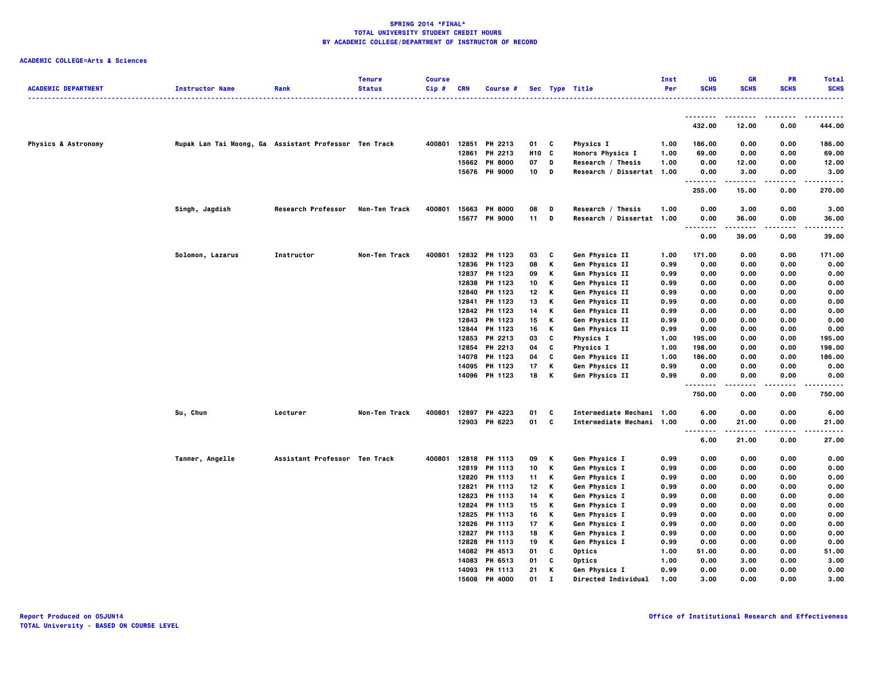| <b>ACADEMIC DEPARTMENT</b>     | <b>Instructor Name</b>                                | Rank                          | <b>Tenure</b><br><b>Status</b> | <b>Course</b><br>$Cip \#$ | CRN   | Course #      |                 |              | Sec Type Title            | <b>Inst</b><br>Per | UG<br><b>SCHS</b>                 | <b>GR</b><br><b>SCHS</b> | <b>PR</b><br><b>SCHS</b> | <b>Total</b><br><b>SCHS</b> |
|--------------------------------|-------------------------------------------------------|-------------------------------|--------------------------------|---------------------------|-------|---------------|-----------------|--------------|---------------------------|--------------------|-----------------------------------|--------------------------|--------------------------|-----------------------------|
|                                |                                                       |                               |                                |                           |       |               |                 |              |                           |                    |                                   |                          |                          | .                           |
|                                |                                                       |                               |                                |                           |       |               |                 |              |                           |                    | .<br>432.00                       | --------<br>12.00        | .<br>0.00                | .<br>444.00                 |
| <b>Physics &amp; Astronomy</b> | Rupak Lan Tai Moong, Ga Assistant Professor Ten Track |                               |                                | 400801                    | 12851 | PH 2213       | 01 C            |              | <b>Physics I</b>          | 1.00               | 186.00                            | 0.00                     | 0.00                     | 186.00                      |
|                                |                                                       |                               |                                |                           | 12861 | PH 2213       | H <sub>10</sub> | C            | Honors Physics I          | 1.00               | 69.00                             | 0.00                     | 0.00                     | 69.00                       |
|                                |                                                       |                               |                                |                           |       | 15662 PH 8000 | 07              | D            | Research / Thesis         | 1.00               | 0.00                              | 12.00                    | 0.00                     | 12.00                       |
|                                |                                                       |                               |                                |                           |       | 15676 PH 9000 | 10              | D            | Research / Dissertat 1.00 |                    | 0.00<br>.                         | 3.00<br>-----            | 0.00<br>$- - - -$        | 3.00<br>.                   |
|                                |                                                       |                               |                                |                           |       |               |                 |              |                           |                    | 255.00                            | 15.00                    | 0.00                     | 270.00                      |
|                                | Singh, Jagdish                                        | <b>Research Professor</b>     | Non-Ten Track                  | 400801                    |       | 15663 PH 8000 | 08              | D            | Research / Thesis         | 1.00               | 0.00                              | 3.00                     | 0.00                     | 3.00                        |
|                                |                                                       |                               |                                |                           |       | 15677 PH 9000 | $11$ D          |              | Research / Dissertat 1.00 |                    | 0.00                              | 36.00                    | 0.00<br>.                | 36.00<br>.                  |
|                                |                                                       |                               |                                |                           |       |               |                 |              |                           |                    | .<br>0.00                         | .<br>39.00               | 0.00                     | 39.00                       |
|                                | Solomon, Lazarus                                      | Instructor                    | Non-Ten Track                  | 400801                    |       | 12832 PH 1123 | 03              | C            | Gen Physics II            | 1.00               | 171.00                            | 0.00                     | 0.00                     | 171.00                      |
|                                |                                                       |                               |                                |                           |       | 12836 PH 1123 | 08              | Κ            | Gen Physics II            | 0.99               | 0.00                              | 0.00                     | 0.00                     | 0.00                        |
|                                |                                                       |                               |                                |                           |       | 12837 PH 1123 | 09              | к            | Gen Physics II            | 0.99               | 0.00                              | 0.00                     | 0.00                     | 0.00                        |
|                                |                                                       |                               |                                |                           |       | 12838 PH 1123 | 10              | Κ            | Gen Physics II            | 0.99               | 0.00                              | 0.00                     | 0.00                     | 0.00                        |
|                                |                                                       |                               |                                |                           |       | 12840 PH 1123 | 12              | Κ            | Gen Physics II            | 0.99               | 0.00                              | 0.00                     | 0.00                     | 0.00                        |
|                                |                                                       |                               |                                |                           | 12841 | PH 1123       | 13              | Κ            | Gen Physics II            | 0.99               | 0.00                              | 0.00                     | 0.00                     | 0.00                        |
|                                |                                                       |                               |                                |                           |       | 12842 PH 1123 | 14              | Κ            | Gen Physics II            | 0.99               | 0.00                              | 0.00                     | 0.00                     | 0.00                        |
|                                |                                                       |                               |                                |                           |       | 12843 PH 1123 | 15              | К            | Gen Physics II            | 0.99               | 0.00                              | 0.00                     | 0.00                     | 0.00                        |
|                                |                                                       |                               |                                |                           | 12844 | PH 1123       | 16              | Κ            | Gen Physics II            | 0.99               | 0.00                              | 0.00                     | 0.00                     | 0.00                        |
|                                |                                                       |                               |                                |                           |       | 12853 PH 2213 | 03              | C            | Physics I                 | 1.00               | 195.00                            | 0.00                     | 0.00                     | 195.00                      |
|                                |                                                       |                               |                                |                           |       | 12854 PH 2213 | 04              | C            | <b>Physics I</b>          | 1.00               | 198.00                            | 0.00                     | 0.00                     | 198.00                      |
|                                |                                                       |                               |                                |                           | 14078 | PH 1123       | 04              | c            | Gen Physics II            | 1.00               | 186.00                            | 0.00                     | 0.00                     | 186.00                      |
|                                |                                                       |                               |                                |                           | 14095 | PH 1123       | 17              | Κ            | Gen Physics II            | 0.99               | 0.00                              | 0.00                     | 0.00                     | 0.00                        |
|                                |                                                       |                               |                                |                           |       | 14096 PH 1123 | 18              | K            | Gen Physics II            | 0.99               | 0.00                              | 0.00                     | 0.00                     | 0.00                        |
|                                |                                                       |                               |                                |                           |       |               |                 |              |                           |                    | .<br>750.00                       | <br>0.00                 | .<br>0.00                | .<br>750.00                 |
|                                | Su, Chun                                              | Lecturer                      | Non-Ten Track                  | 400801                    |       | 12897 PH 4223 | 01              | C            | Intermediate Mechani 1.00 |                    | 6.00                              | 0.00                     | 0.00                     | 6.00                        |
|                                |                                                       |                               |                                |                           |       | 12903 PH 6223 | 01 C            |              | Intermediate Mechani 1.00 |                    | 0.00                              | 21.00                    | 0.00                     | 21.00                       |
|                                |                                                       |                               |                                |                           |       |               |                 |              |                           |                    | $\sim$ $\sim$ $\sim$<br>.<br>6.00 | .<br>21.00               | .<br>0.00                | .<br>27.00                  |
|                                | Tanner, Angelle                                       | Assistant Professor Ten Track |                                | 400801                    | 12818 | PH 1113       | 09              | к            | Gen Physics I             | 0.99               | 0.00                              | 0.00                     | 0.00                     | 0.00                        |
|                                |                                                       |                               |                                |                           |       | 12819 PH 1113 | 10              | Κ            | Gen Physics I             | 0.99               | 0.00                              | 0.00                     | 0.00                     | 0.00                        |
|                                |                                                       |                               |                                |                           | 12820 | PH 1113       | 11              | К            | Gen Physics I             | 0.99               | 0.00                              | 0.00                     | 0.00                     | 0.00                        |
|                                |                                                       |                               |                                |                           | 12821 | PH 1113       | 12              | Κ            | Gen Physics I             | 0.99               | 0.00                              | 0.00                     | 0.00                     | 0.00                        |
|                                |                                                       |                               |                                |                           |       | 12823 PH 1113 | 14              | K            | Gen Physics I             | 0.99               | 0.00                              | 0.00                     | 0.00                     | 0.00                        |
|                                |                                                       |                               |                                |                           |       | 12824 PH 1113 | 15              | K            | Gen Physics I             | 0.99               | 0.00                              | 0.00                     | 0.00                     | 0.00                        |
|                                |                                                       |                               |                                |                           |       | 12825 PH 1113 | 16              | Κ            | Gen Physics I             | 0.99               | 0.00                              | 0.00                     | 0.00                     | 0.00                        |
|                                |                                                       |                               |                                |                           |       | 12826 PH 1113 | 17              | Κ            | Gen Physics I             | 0.99               | 0.00                              | 0.00                     | 0.00                     | 0.00                        |
|                                |                                                       |                               |                                |                           | 12827 | PH 1113       | 18              | Κ            | Gen Physics I             | 0.99               | 0.00                              | 0.00                     | 0.00                     | 0.00                        |
|                                |                                                       |                               |                                |                           |       | 12828 PH 1113 | 19              | Κ            | Gen Physics I             | 0.99               | 0.00                              | 0.00                     | 0.00                     | 0.00                        |
|                                |                                                       |                               |                                |                           |       | 14082 PH 4513 | 01              | C            | Optics                    | 1.00               | 51.00                             | 0.00                     | 0.00                     | 51.00                       |
|                                |                                                       |                               |                                |                           | 14083 | PH 6513       | 01              | C            | Optics                    | 1.00               | 0.00                              | 3.00                     | 0.00                     | 3.00                        |
|                                |                                                       |                               |                                |                           |       | 14093 PH 1113 | 21              | к            | Gen Physics I             | 0.99               | 0.00                              | 0.00                     | 0.00                     | 0.00                        |
|                                |                                                       |                               |                                |                           |       | 15608 PH 4000 | 01              | $\mathbf{I}$ | Directed Individual       | 1.00               | 3.00                              | 0.00                     | 0.00                     | 3.00                        |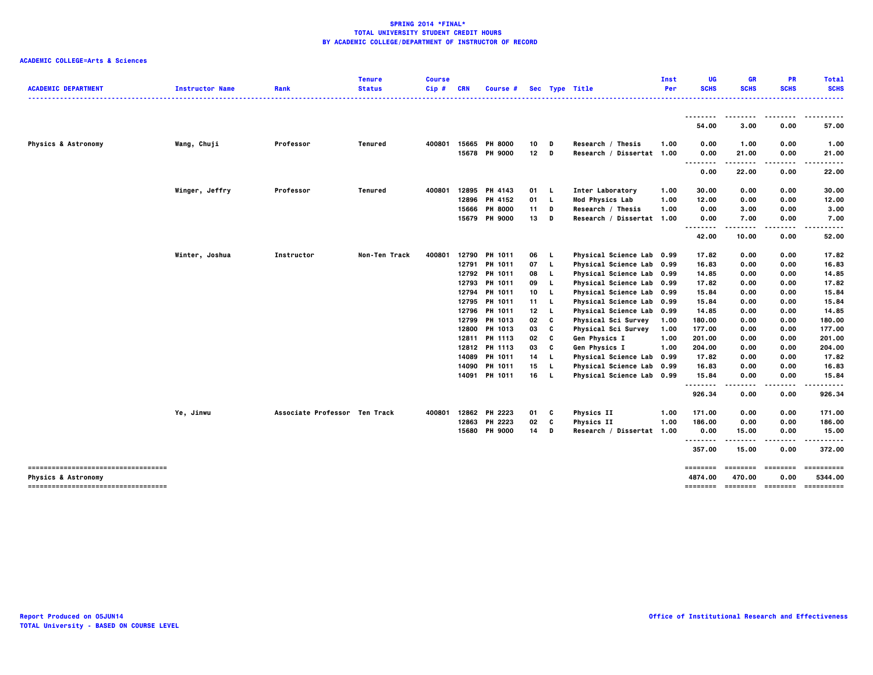|                                     |                        |                               | <b>Tenure</b>  | <b>Course</b> |            |                |                 |          |                           | Inst | UG                                | <b>GR</b>        | <b>PR</b>       | <b>Total</b>         |
|-------------------------------------|------------------------|-------------------------------|----------------|---------------|------------|----------------|-----------------|----------|---------------------------|------|-----------------------------------|------------------|-----------------|----------------------|
| <b>ACADEMIC DEPARTMENT</b>          | <b>Instructor Name</b> | Rank                          | <b>Status</b>  | Cip#          | <b>CRN</b> | Course #       |                 |          | Sec Type Title            | Per  | <b>SCHS</b>                       | <b>SCHS</b>      | <b>SCHS</b>     | <b>SCHS</b><br>----- |
|                                     |                        |                               |                |               |            |                |                 |          |                           |      | ---------                         | --------         | ----            | .                    |
|                                     |                        |                               |                |               |            |                |                 |          |                           |      | 54.00                             | 3.00             | 0.00            | 57.00                |
| <b>Physics &amp; Astronomy</b>      | Wang, Chuji            | Professor                     | Tenured        | 400801        | 15665      | <b>PH 8000</b> | 10              | D        | Research / Thesis         | 1.00 | 0.00                              | 1.00             | 0.00            | 1.00                 |
|                                     |                        |                               |                |               |            | 15678 PH 9000  | 12 <sub>2</sub> | D        | Research / Dissertat 1.00 |      | 0.00<br>$\sim$ $\sim$ $\sim$<br>. | 21.00<br>$- - -$ | 0.00<br>$- - -$ | 21.00                |
|                                     |                        |                               |                |               |            |                |                 |          |                           |      | 0.00                              | 22.00            | 0.00            | 22.00                |
|                                     | Winger, Jeffry         | Professor                     | <b>Tenured</b> | 400801        | 12895      | PH 4143        | 01              | -L       | Inter Laboratory          | 1.00 | 30.00                             | 0.00             | 0.00            | 30.00                |
|                                     |                        |                               |                |               | 12896      | PH 4152        | 01              | L.       | Mod Physics Lab           | 1.00 | 12.00                             | 0.00             | 0.00            | 12.00                |
|                                     |                        |                               |                |               | 15666      | <b>PH 8000</b> | 11              | D        | Research / Thesis         | 1.00 | 0.00                              | 3.00             | 0.00            | 3.00                 |
|                                     |                        |                               |                |               | 15679      | <b>PH 9000</b> | 13              | D        | Research / Dissertat 1.00 |      | 0.00<br>$\ddotsc$                 | 7.00             | 0.00            | 7.00                 |
|                                     |                        |                               |                |               |            |                |                 |          |                           |      | 42.00                             | 10.00            | 0.00            | 52.00                |
|                                     | Winter, Joshua         | Instructor                    | Non-Ten Track  | 400801        |            | 12790 PH 1011  | 06              | L.       | Physical Science Lab 0.99 |      | 17.82                             | 0.00             | 0.00            | 17.82                |
|                                     |                        |                               |                |               | 12791      | PH 1011        | 07              | <b>L</b> | Physical Science Lab 0.99 |      | 16.83                             | 0.00             | 0.00            | 16.83                |
|                                     |                        |                               |                |               |            | 12792 PH 1011  | 08 L            |          | Physical Science Lab 0.99 |      | 14.85                             | 0.00             | 0.00            | 14.85                |
|                                     |                        |                               |                |               | 12793      | PH 1011        | 09              | L.       | Physical Science Lab 0.99 |      | 17.82                             | 0.00             | 0.00            | 17.82                |
|                                     |                        |                               |                |               | 12794      | PH 1011        | 10              | <b>L</b> | Physical Science Lab 0.99 |      | 15.84                             | 0.00             | 0.00            | 15.84                |
|                                     |                        |                               |                |               | 12795      | <b>PH 1011</b> | 11 L            |          | Physical Science Lab 0.99 |      | 15.84                             | 0.00             | 0.00            | 15.84                |
|                                     |                        |                               |                |               | 12796      | <b>PH 1011</b> | 12              | L.       | Physical Science Lab 0.99 |      | 14.85                             | 0.00             | 0.00            | 14.85                |
|                                     |                        |                               |                |               | 12799      | <b>PH 1013</b> | 02              | C        | Physical Sci Survey       | 1.00 | 180.00                            | 0.00             | 0.00            | 180.00               |
|                                     |                        |                               |                |               | 12800      | PH 1013        | 03              | C        | Physical Sci Survey       | 1.00 | 177.00                            | 0.00             | 0.00            | 177.00               |
|                                     |                        |                               |                |               | 12811      | PH 1113        | 02              | C        | Gen Physics I             | 1.00 | 201.00                            | 0.00             | 0.00            | 201.00               |
|                                     |                        |                               |                |               |            | 12812 PH 1113  | 03              | C        | Gen Physics I             | 1.00 | 204.00                            | 0.00             | 0.00            | 204.00               |
|                                     |                        |                               |                |               | 14089      | PH 1011        | 14              | L.       | Physical Science Lab 0.99 |      | 17.82                             | 0.00             | 0.00            | 17.82                |
|                                     |                        |                               |                |               | 14090      | PH 1011        | 15              | L.       | Physical Science Lab 0.99 |      | 16.83                             | 0.00             | 0.00            | 16.83                |
|                                     |                        |                               |                |               | 14091      | PH 1011        | 16              | - L      | Physical Science Lab 0.99 |      | 15.84<br>.                        | 0.00             | 0.00            | 15.84                |
|                                     |                        |                               |                |               |            |                |                 |          |                           |      | 926.34                            | 0.00             | 0.00            | 926.34               |
|                                     | Ye, Jinwu              | Associate Professor Ten Track |                | 400801        |            | 12862 PH 2223  | 01              | c        | Physics II                | 1.00 | 171.00                            | 0.00             | 0.00            | 171.00               |
|                                     |                        |                               |                |               | 12863      | PH 2223        | 02              | C        | <b>Physics II</b>         | 1.00 | 186.00                            | 0.00             | 0.00            | 186.00               |
|                                     |                        |                               |                |               |            | 15680 PH 9000  | 14              | D        | Research / Dissertat 1.00 |      | 0.00<br>--------                  | 15.00            | 0.00            | 15.00                |
|                                     |                        |                               |                |               |            |                |                 |          |                           |      | 357.00                            | 15.00            | 0.00            | 372.00               |
| ----------------------------------- |                        |                               |                |               |            |                |                 |          |                           |      | ========                          | ========         |                 | ==========           |
| <b>Physics &amp; Astronomy</b>      |                        |                               |                |               |            |                |                 |          |                           |      | 4874.00                           | 470.00           | 0.00            | 5344.00              |
| ----------------------------------- |                        |                               |                |               |            |                |                 |          |                           |      |                                   |                  |                 | -----------          |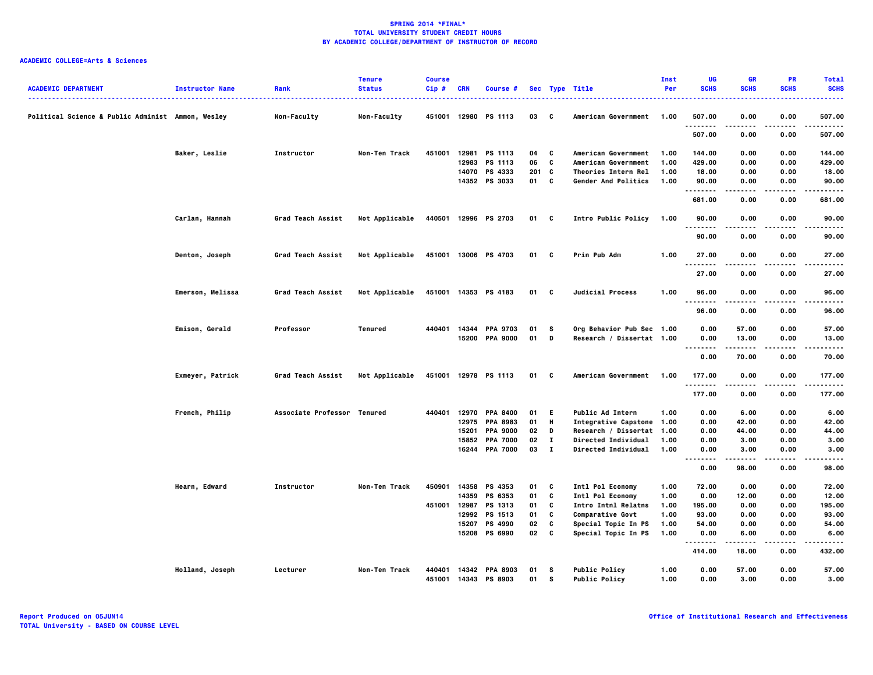| <b>ACADEMIC DEPARTMENT</b>                        | <b>Instructor Name</b> | Rank                        | <b>Tenure</b><br><b>Status</b> | <b>Course</b><br>Cip# | CRN   | Course #                               |          |                 | Sec Type Title                               | Inst<br>Per  | UG<br><b>SCHS</b>                 | <b>GR</b><br><b>SCHS</b> | <b>PR</b><br><b>SCHS</b> | <b>Total</b><br><b>SCHS</b> |
|---------------------------------------------------|------------------------|-----------------------------|--------------------------------|-----------------------|-------|----------------------------------------|----------|-----------------|----------------------------------------------|--------------|-----------------------------------|--------------------------|--------------------------|-----------------------------|
| Political Science & Public Administ Ammon, Wesley |                        | Non-Faculty                 | Non-Faculty                    |                       |       | 451001 12980 PS 1113                   | 03       | $\mathbf{c}$    | American Government                          | 1.00         | 507.00                            | 0.00                     | 0.00                     | 507.00                      |
|                                                   |                        |                             |                                |                       |       |                                        |          |                 |                                              |              | <br>507.00                        | 0.00                     | .<br>0.00                | .<br>507.00                 |
|                                                   | Baker, Leslie          | Instructor                  | Non-Ten Track                  | 451001                |       | 12981 PS 1113                          | 04       | C               | American Government                          | 1.00         | 144.00                            | 0.00                     | 0.00                     | 144.00                      |
|                                                   |                        |                             |                                |                       |       | 12983 PS 1113                          | 06       | C               | American Government                          | 1.00         | 429.00                            | 0.00                     | 0.00                     | 429.00                      |
|                                                   |                        |                             |                                |                       |       | 14070 PS 4333                          | 201      | C               | Theories Intern Rel                          | 1.00         | 18.00                             | 0.00                     | 0.00                     | 18.00                       |
|                                                   |                        |                             |                                |                       |       | 14352 PS 3033                          | 01       | C               | Gender And Politics                          | 1.00         | 90.00<br>.                        | 0.00                     | 0.00                     | 90.00<br>.                  |
|                                                   |                        |                             |                                |                       |       |                                        |          |                 |                                              |              | 681.00                            | 0.00                     | 0.00                     | 681.00                      |
|                                                   | Carlan, Hannah         | Grad Teach Assist           | Not Applicable                 |                       |       | 440501 12996 PS 2703                   | 01 C     |                 | Intro Public Policy                          | 1.00         | 90.00                             | 0.00                     | 0.00                     | 90.00                       |
|                                                   |                        |                             |                                |                       |       |                                        |          |                 |                                              |              | 90.00                             | 0.00                     | 0.00                     | 90.00                       |
|                                                   | Denton, Joseph         | Grad Teach Assist           | Not Applicable                 |                       |       | 451001 13006 PS 4703                   | 01 C     |                 | Prin Pub Adm                                 | 1.00         | 27.00<br>.                        | 0.00<br>.                | 0.00<br>$- - - -$        | 27.00<br>.                  |
|                                                   |                        |                             |                                |                       |       |                                        |          |                 |                                              |              | 27.00                             | 0.00                     | 0.00                     | 27.00                       |
|                                                   | Emerson, Melissa       | Grad Teach Assist           | Not Applicable                 |                       |       | 451001 14353 PS 4183                   | 01 C     |                 | Judicial Process                             | 1.00         | 96.00<br>.                        | 0.00                     | 0.00                     | 96.00                       |
|                                                   |                        |                             |                                |                       |       |                                        |          |                 |                                              |              | 96.00                             | 0.00                     | 0.00                     | 96.00                       |
|                                                   | Emison, Gerald         | Professor                   | Tenured                        |                       |       | 440401 14344 PPA 9703                  | 01       | <b>S</b>        | Org Behavior Pub Sec 1.00                    |              | 0.00                              | 57.00                    | 0.00                     | 57.00                       |
|                                                   |                        |                             |                                |                       | 15200 | <b>PPA 9000</b>                        | 01       | D               | Research / Dissertat 1.00                    |              | 0.00                              | 13.00                    | 0.00                     | 13.00                       |
|                                                   |                        |                             |                                |                       |       |                                        |          |                 |                                              |              | .<br>$\sim$ $\sim$ $\sim$<br>0.00 | 70.00                    | 0.00                     | .<br>70.00                  |
|                                                   | Exmeyer, Patrick       | Grad Teach Assist           | Not Applicable                 |                       |       | 451001 12978 PS 1113                   | 01 C     |                 | American Government                          | 1.00         | 177.00                            | 0.00                     | 0.00                     | 177.00<br>.                 |
|                                                   |                        |                             |                                |                       |       |                                        |          |                 |                                              |              | <br>177.00                        | 0.00                     | 0.00                     | 177.00                      |
|                                                   | French, Philip         | Associate Professor Tenured |                                | 440401                |       | 12970 PPA 8400                         | 01 E     |                 | <b>Public Ad Intern</b>                      | 1.00         | 0.00                              | 6.00                     | 0.00                     | 6.00                        |
|                                                   |                        |                             |                                |                       |       | 12975 PPA 8983                         | 01       | H               | Integrative Capstone 1.00                    |              | 0.00                              | 42.00                    | 0.00                     | 42.00                       |
|                                                   |                        |                             |                                |                       | 15201 | <b>PPA 9000</b>                        | 02       | D               | Research / Dissertat 1.00                    |              | 0.00                              | 44.00                    | 0.00                     | 44.00                       |
|                                                   |                        |                             |                                |                       |       | 15852 PPA 7000                         | 02       | $\mathbf{I}$    | <b>Directed Individual</b>                   | 1.00         | 0.00                              | 3.00                     | 0.00                     | 3.00                        |
|                                                   |                        |                             |                                |                       |       | 16244 PPA 7000                         | 03       | $\mathbf{I}$    | Directed Individual                          | 1.00         | 0.00<br>.                         | 3.00<br>-----            | 0.00                     | 3.00<br>. <b>.</b> .        |
|                                                   |                        |                             |                                |                       |       |                                        |          |                 |                                              |              | 0.00                              | 98.00                    | 0.00                     | 98.00                       |
|                                                   | Hearn, Edward          | Instructor                  | Non-Ten Track                  | 450901                |       | 14358 PS 4353                          | 01       | c               | Intl Pol Economy                             | 1.00         | 72.00                             | 0.00                     | 0.00                     | 72.00                       |
|                                                   |                        |                             |                                |                       | 14359 | PS 6353                                | 01       | C               | Intl Pol Economy                             | 1.00         | 0.00                              | 12.00                    | 0.00                     | 12.00                       |
|                                                   |                        |                             |                                |                       |       | 451001 12987 PS 1313                   | 01       | C               | <b>Intro Intnl Relatns</b>                   | 1.00         | 195.00                            | 0.00                     | 0.00                     | 195.00                      |
|                                                   |                        |                             |                                |                       |       | 12992 PS 1513                          | 01       | C               | Comparative Govt                             | 1.00         | 93.00                             | 0.00                     | 0.00                     | 93.00                       |
|                                                   |                        |                             |                                |                       | 15207 | PS 4990                                | 02       | C               | Special Topic In PS                          | 1.00         | 54.00                             | 0.00                     | 0.00                     | 54.00                       |
|                                                   |                        |                             |                                |                       |       | 15208 PS 6990                          | 02       | C               | Special Topic In PS                          | 1.00         | 0.00<br>                          | 6.00<br>-----            | 0.00<br>$- - - -$        | 6.00<br>.                   |
|                                                   |                        |                             |                                |                       |       |                                        |          |                 |                                              |              | 414.00                            | 18.00                    | 0.00                     | 432.00                      |
|                                                   | Holland, Joseph        | Lecturer                    | Non-Ten Track                  | 440401                |       | 14342 PPA 8903<br>451001 14343 PS 8903 | 01<br>01 | - S<br><b>S</b> | <b>Public Policy</b><br><b>Public Policy</b> | 1.00<br>1.00 | 0.00<br>0.00                      | 57.00<br>3,00            | 0.00<br>0.00             | 57.00<br>3.00               |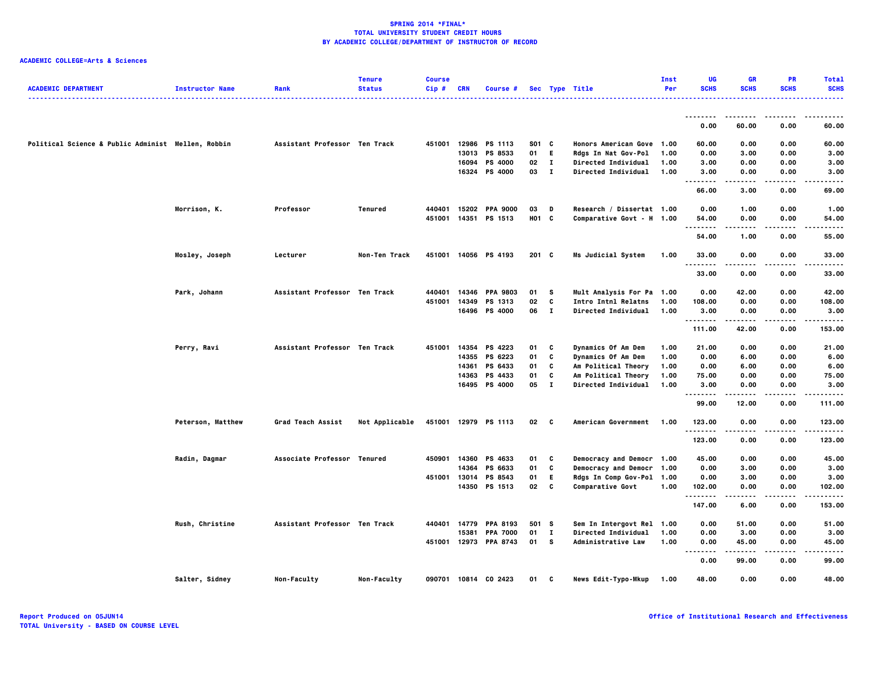| <b>ACADEMIC DEPARTMENT</b>                         | <b>Instructor Name</b> | Rank                          | <b>Tenure</b><br><b>Status</b> | <b>Course</b><br>Cip# | <b>CRN</b> | Course #              |               |              | Sec Type Title             | Inst<br>Per | UG<br><b>SCHS</b>                  | <b>GR</b><br><b>SCHS</b> | <b>PR</b><br><b>SCHS</b> | <b>Total</b><br><b>SCHS</b> |
|----------------------------------------------------|------------------------|-------------------------------|--------------------------------|-----------------------|------------|-----------------------|---------------|--------------|----------------------------|-------------|------------------------------------|--------------------------|--------------------------|-----------------------------|
|                                                    |                        |                               |                                |                       |            |                       |               |              |                            |             | --------                           |                          |                          |                             |
|                                                    |                        |                               |                                |                       |            |                       |               |              |                            |             | 0.00                               | 60.00                    | 0.00                     | 60.00                       |
| Political Science & Public Administ Mellen, Robbin |                        | Assistant Professor Ten Track |                                | 451001                |            | 12986 PS 1113         | S01 C         |              | Honors American Gove 1.00  |             | 60.00                              | 0.00                     | 0.00                     | 60.00                       |
|                                                    |                        |                               |                                |                       |            | 13013 PS 8533         | 01            | E.           | Rdgs In Nat Gov-Pol        | 1.00        | 0.00                               | 3.00                     | 0.00                     | 3.00                        |
|                                                    |                        |                               |                                |                       | 16094      | PS 4000               | 02            | $\mathbf{I}$ | Directed Individual        | 1.00        | 3.00                               | 0.00                     | 0.00                     | 3.00                        |
|                                                    |                        |                               |                                |                       |            | 16324 PS 4000         | 03            | $\mathbf{I}$ | <b>Directed Individual</b> | 1.00        | 3.00<br>$\sim$ $\sim$ $\sim$<br>.  | 0.00<br>.                | 0.00<br>$- - - -$        | 3.00<br>----                |
|                                                    |                        |                               |                                |                       |            |                       |               |              |                            |             | 66.00                              | 3.00                     | 0.00                     | 69.00                       |
|                                                    | Morrison, K.           | Professor                     | Tenured                        | 440401                |            | 15202 PPA 9000        | 03            | D            | Research / Dissertat 1.00  |             | 0.00                               | 1.00                     | 0.00                     | 1.00                        |
|                                                    |                        |                               |                                | 451001                |            | 14351 PS 1513         | H01 C         |              | Comparative Govt - H 1.00  |             | 54.00                              | 0.00                     | 0.00                     | 54.00                       |
|                                                    |                        |                               |                                |                       |            |                       |               |              |                            |             |                                    | -----                    | $- - - -$                | .                           |
|                                                    |                        |                               |                                |                       |            |                       |               |              |                            |             | 54.00                              | 1.00                     | 0.00                     | 55.00                       |
|                                                    | Mosley, Joseph         | Lecturer                      | Non-Ten Track                  |                       |            | 451001 14056 PS 4193  | $201 \quad C$ |              | Ms Judicial System         | 1.00        | 33.00                              | 0.00                     | 0.00                     | 33.00                       |
|                                                    |                        |                               |                                |                       |            |                       |               |              |                            |             | .                                  | -----                    | .                        | .                           |
|                                                    |                        |                               |                                |                       |            |                       |               |              |                            |             | 33.00                              | 0.00                     | 0.00                     | 33.00                       |
|                                                    | Park, Johann           | Assistant Professor Ten Track |                                | 440401                | 14346      | <b>PPA 9803</b>       | 01            | - S          | Mult Analysis For Pa 1.00  |             | 0.00                               | 42.00                    | 0.00                     | 42.00                       |
|                                                    |                        |                               |                                | 451001                | 14349      | PS 1313               | 02            | C            | <b>Intro Intnl Relatns</b> | 1.00        | 108.00                             | 0.00                     | 0.00                     | 108.00                      |
|                                                    |                        |                               |                                |                       |            | 16496 PS 4000         | 06 I          |              | Directed Individual        | 1.00        | 3.00                               | 0.00                     | 0.00                     | 3.00                        |
|                                                    |                        |                               |                                |                       |            |                       |               |              |                            |             | .<br>111.00                        | -----<br>42.00           | .<br>0.00                | .<br>153.00                 |
|                                                    | Perry, Ravi            | Assistant Professor Ten Track |                                | 451001                | 14354      | <b>PS 4223</b>        | 01            | c            | Dynamics Of Am Dem         | 1.00        | 21.00                              | 0.00                     | 0.00                     | 21.00                       |
|                                                    |                        |                               |                                |                       | 14355      | PS 6223               | 01            | C            | Dynamics Of Am Dem         | 1.00        | 0.00                               | 6.00                     | 0.00                     | 6.00                        |
|                                                    |                        |                               |                                |                       | 14361      | PS 6433               | 01            | C            | Am Political Theory        | 1.00        | 0.00                               | 6.00                     | 0.00                     | 6.00                        |
|                                                    |                        |                               |                                |                       | 14363      | PS 4433               | 01            | C            | Am Political Theory        | 1.00        | 75.00                              | 0.00                     | 0.00                     | 75.00                       |
|                                                    |                        |                               |                                |                       |            | 16495 PS 4000         | 05            | $\mathbf{I}$ | Directed Individual        | 1.00        | 3.00                               | 0.00                     | 0.00                     | 3.00                        |
|                                                    |                        |                               |                                |                       |            |                       |               |              |                            |             | $\sim$ $\sim$ $\sim$<br>.<br>99.00 | 12.00                    | ----<br>0.00             | .<br>111.00                 |
|                                                    | Peterson, Matthew      | Grad Teach Assist             | Not Applicable                 |                       |            | 451001 12979 PS 1113  | 02 C          |              | American Government        | 1.00        | 123.00                             | 0.00                     | 0.00                     | 123.00                      |
|                                                    |                        |                               |                                |                       |            |                       |               |              |                            |             | . <b>.</b>                         |                          |                          | .                           |
|                                                    |                        |                               |                                |                       |            |                       |               |              |                            |             | 123.00                             | 0.00                     | 0.00                     | 123.00                      |
|                                                    | Radin, Dagmar          | Associate Professor Tenured   |                                | 450901                | 14360      | PS 4633               | 01            | C            | Democracy and Democr 1.00  |             | 45.00                              | 0.00                     | 0.00                     | 45.00                       |
|                                                    |                        |                               |                                |                       | 14364      | PS 6633               | 01            | C            | Democracy and Democr 1.00  |             | 0.00                               | 3.00                     | 0.00                     | 3.00                        |
|                                                    |                        |                               |                                | 451001                | 13014      | PS 8543               | 01            | E.           | Rdgs In Comp Gov-Pol 1.00  |             | 0.00                               | 3.00                     | 0.00                     | 3.00                        |
|                                                    |                        |                               |                                |                       |            | 14350 PS 1513         | 02            | c            | <b>Comparative Govt</b>    | 1.00        | 102.00<br>.                        | 0.00                     | 0.00                     | 102.00<br>$- - - -$         |
|                                                    |                        |                               |                                |                       |            |                       |               |              |                            |             | 147.00                             | 6.00                     | 0.00                     | 153.00                      |
|                                                    | Rush, Christine        | Assistant Professor Ten Track |                                | 440401                | 14779      | <b>PPA 8193</b>       | 501 S         |              | Sem In Intergovt Rel 1.00  |             | 0.00                               | 51.00                    | 0.00                     | 51.00                       |
|                                                    |                        |                               |                                |                       | 15381      | <b>PPA 7000</b>       | 01            | $\mathbf{I}$ | Directed Individual        | 1.00        | 0.00                               | 3.00                     | 0.00                     | 3.00                        |
|                                                    |                        |                               |                                |                       |            | 451001 12973 PPA 8743 | 01            | <b>S</b>     | Administrative Law         | 1.00        | 0.00                               | 45.00                    | 0.00                     | 45.00                       |
|                                                    |                        |                               |                                |                       |            |                       |               |              |                            |             | $\sim$ $\sim$<br>0.00              | 99.00                    | 0.00                     | 99.00                       |
|                                                    | Salter, Sidney         | Non-Faculty                   | Non-Faculty                    |                       |            | 090701 10814 CO 2423  | 01            | C            | News Edit-Typo-Mkup        | 1.00        | 48.00                              | 0.00                     | 0.00                     | 48.00                       |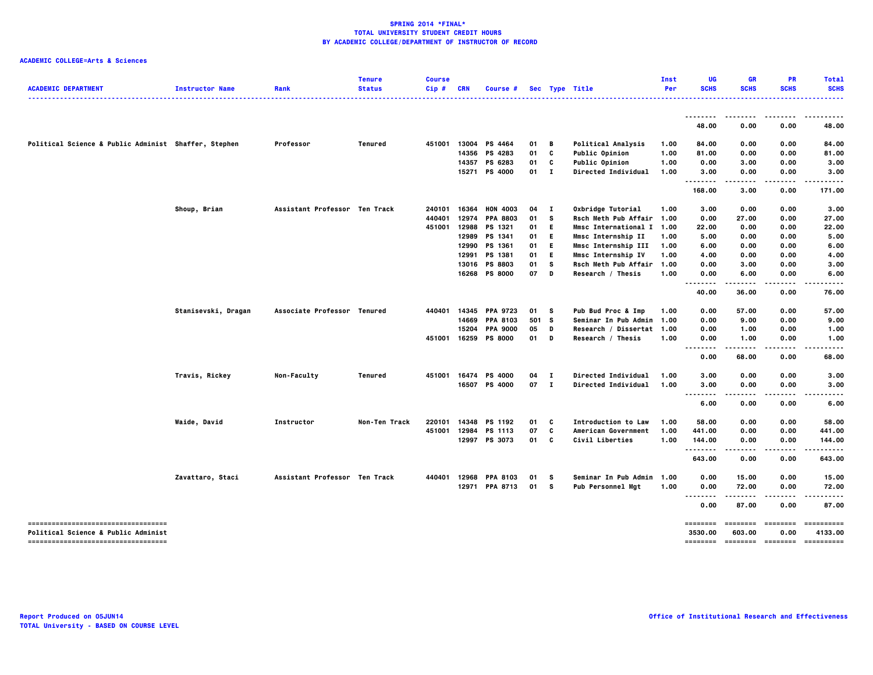| <b>ACADEMIC DEPARTMENT</b>                                                            | <b>Instructor Name</b> | Rank                          | <b>Tenure</b><br><b>Status</b> | <b>Course</b><br>Cip# | <b>CRN</b> | Course #        |       |              | Sec Type Title             | Inst<br>Per | UG<br><b>SCHS</b>              | <b>GR</b><br><b>SCHS</b> | PR<br><b>SCHS</b> | <b>Total</b><br><b>SCHS</b><br>$- - - - -$ |
|---------------------------------------------------------------------------------------|------------------------|-------------------------------|--------------------------------|-----------------------|------------|-----------------|-------|--------------|----------------------------|-------------|--------------------------------|--------------------------|-------------------|--------------------------------------------|
|                                                                                       |                        |                               |                                |                       |            |                 |       |              |                            |             | --------                       | ----                     | .                 | <u></u>                                    |
|                                                                                       |                        |                               |                                |                       |            |                 |       |              |                            |             | 48.00                          | 0.00                     | 0.00              | 48.00                                      |
| Political Science & Public Administ Shaffer, Stephen                                  |                        | Professor                     | <b>Tenured</b>                 | 451001                |            | 13004 PS 4464   | 01    | В            | <b>Political Analysis</b>  | 1.00        | 84.00                          | 0.00                     | 0.00              | 84.00                                      |
|                                                                                       |                        |                               |                                |                       | 14356      | PS 4283         | 01    | C            | <b>Public Opinion</b>      | 1.00        | 81.00                          | 0.00                     | 0.00              | 81.00                                      |
|                                                                                       |                        |                               |                                |                       | 14357      | PS 6283         | 01    | C            | Public Opinion             | 1.00        | 0.00                           | 3.00                     | 0.00              | 3.00                                       |
|                                                                                       |                        |                               |                                |                       | 15271      | PS 4000         | 01    | $\mathbf{I}$ | Directed Individual        | 1.00        | 3.00                           | 0.00                     | 0.00              | 3.00                                       |
|                                                                                       |                        |                               |                                |                       |            |                 |       |              |                            |             | $\sim$ $\sim$ $\sim$<br>168.00 | 3.00                     | 0.00              | 171.00                                     |
|                                                                                       | Shoup, Brian           | Assistant Professor Ten Track |                                | 240101                | 16364      | <b>HON 4003</b> | 04    | $\mathbf{I}$ | Oxbridge Tutorial          | 1.00        | 3.00                           | 0.00                     | 0.00              | 3.00                                       |
|                                                                                       |                        |                               |                                | 440401                | 12974      | <b>PPA 8803</b> | 01    | s            | Rsch Meth Pub Affair       | 1.00        | 0.00                           | 27.00                    | 0.00              | 27.00                                      |
|                                                                                       |                        |                               |                                | 451001                | 12988      | PS 1321         | 01    | Е.           | Mmsc International I 1.00  |             | 22.00                          | 0.00                     | 0.00              | 22.00                                      |
|                                                                                       |                        |                               |                                |                       | 12989      | PS 1341         | 01    | E.           | Mmsc Internship II         | 1.00        | 5.00                           | 0.00                     | 0.00              | 5.00                                       |
|                                                                                       |                        |                               |                                |                       | 12990      | PS 1361         | 01    | E.           | Mmsc Internship III        | 1.00        | 6.00                           | 0.00                     | 0.00              | 6.00                                       |
|                                                                                       |                        |                               |                                |                       | 12991      | PS 1381         | 01    | E.           | Mmsc Internship IV         | 1.00        | 4.00                           | 0.00                     | 0.00              | 4.00                                       |
|                                                                                       |                        |                               |                                |                       | 13016      | <b>PS 8803</b>  | 01    | s            | Rsch Meth Pub Affair       | 1.00        | 0.00                           | 3.00                     | 0.00              | 3.00                                       |
|                                                                                       |                        |                               |                                |                       | 16268      | <b>PS 8000</b>  | 07    | D            | Research / Thesis          | 1.00        | 0.00                           | 6.00                     | 0.00              | 6.00                                       |
|                                                                                       |                        |                               |                                |                       |            |                 |       |              |                            |             | $\sim$ $\sim$<br>40.00         | 36.00                    | 0.00              | 76.00                                      |
|                                                                                       | Stanisevski, Dragan    | Associate Professor Tenured   |                                | 440401                | 14345      | <b>PPA 9723</b> | 01    | - S          | Pub Bud Proc & Imp         | 1.00        | 0.00                           | 57.00                    | 0.00              | 57.00                                      |
|                                                                                       |                        |                               |                                |                       | 14669      | <b>PPA 8103</b> | 501 S |              | Seminar In Pub Admin       | 1.00        | 0.00                           | 9.00                     | 0.00              | 9.00                                       |
|                                                                                       |                        |                               |                                |                       | 15204      | <b>PPA 9000</b> | 05    | D            | Research / Dissertat 1.00  |             | 0.00                           | 1.00                     | 0.00              | 1.00                                       |
|                                                                                       |                        |                               |                                | 451001                | 16259      | <b>PS 8000</b>  | 01    | D            | Research / Thesis          | 1.00        | 0.00                           | 1.00                     | 0.00              | 1.00                                       |
|                                                                                       |                        |                               |                                |                       |            |                 |       |              |                            |             | $\ddotsc$<br>0.00              | 68.00                    | 0.00              | 68.00                                      |
|                                                                                       | Travis, Rickey         | Non-Faculty                   | <b>Tenured</b>                 | 451001                | 16474      | <b>PS 4000</b>  | 04    | $\mathbf{I}$ | Directed Individual        | 1.00        | 3.00                           | 0.00                     | 0.00              | 3.00                                       |
|                                                                                       |                        |                               |                                |                       |            | 16507 PS 4000   | 07 I  |              | <b>Directed Individual</b> | 1.00        | 3.00                           | 0.00                     | 0.00              | 3.00                                       |
|                                                                                       |                        |                               |                                |                       |            |                 |       |              |                            |             |                                | $\cdots$                 | .                 | .                                          |
|                                                                                       |                        |                               |                                |                       |            |                 |       |              |                            |             | 6.00                           | 0.00                     | 0.00              | 6.00                                       |
|                                                                                       | Waide, David           | Instructor                    | Non-Ten Track                  | 220101                | 14348      | PS 1192         | 01    | C            | <b>Introduction to Law</b> | 1.00        | 58.00                          | 0.00                     | 0.00              | 58.00                                      |
|                                                                                       |                        |                               |                                | 451001                | 12984      | PS 1113         | 07    | C            | American Government        | 1.00        | 441.00                         | 0.00                     | 0.00              | 441.00                                     |
|                                                                                       |                        |                               |                                |                       |            | 12997 PS 3073   | 01    | C            | Civil Liberties            | 1.00        | 144.00                         | 0.00                     | 0.00              | 144.00                                     |
|                                                                                       |                        |                               |                                |                       |            |                 |       |              |                            |             | --------<br>643.00             | .<br>0.00                | .<br>0.00         | .<br>643.00                                |
|                                                                                       | Zavattaro, Staci       | Assistant Professor Ten Track |                                | 440401                | 12968      | <b>PPA 8103</b> | 01    | s            | Seminar In Pub Admin       | 1.00        | 0.00                           | 15.00                    | 0.00              | 15.00                                      |
|                                                                                       |                        |                               |                                |                       | 12971      | <b>PPA 8713</b> | 01    | s            | <b>Pub Personnel Mgt</b>   | 1.00        | 0.00                           | 72.00                    | 0.00              | 72.00                                      |
|                                                                                       |                        |                               |                                |                       |            |                 |       |              |                            |             | $\ddotsc$<br>0.00              | 87.00                    | 0.00              | 87.00                                      |
| -----------------------------------<br><b>Political Science &amp; Public Administ</b> |                        |                               |                                |                       |            |                 |       |              |                            |             | ========<br>3530.00            | ========<br>603.00       | ========<br>0.00  | ==========<br>4133.00                      |
| -----------------------------------                                                   |                        |                               |                                |                       |            |                 |       |              |                            |             | ========                       | --------- -------        |                   | ==========                                 |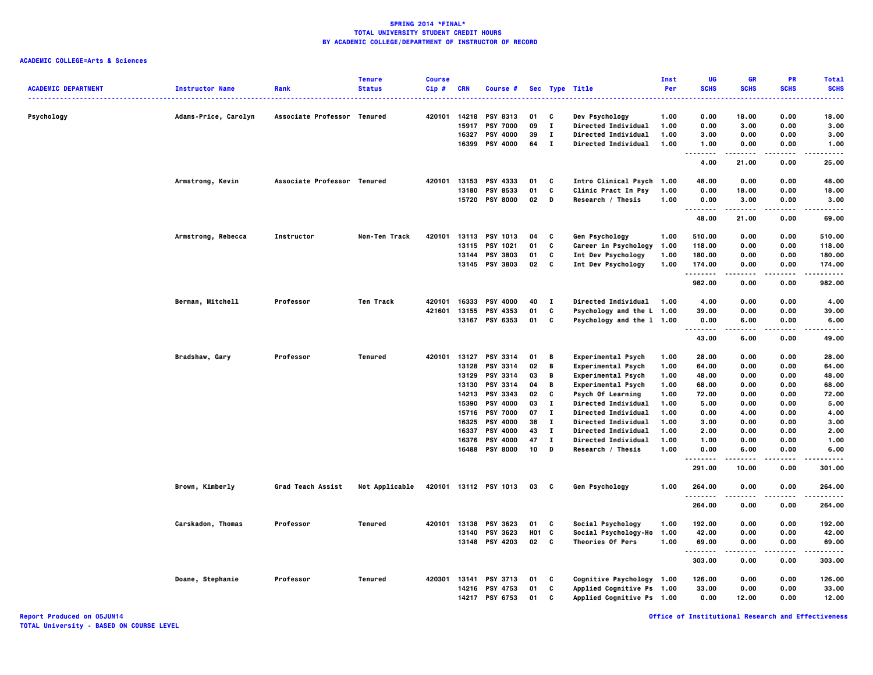| <b>ACADEMIC DEPARTMENT</b> | <b>Instructor Name</b> | Rank                        | <b>Tenure</b><br><b>Status</b> | <b>Course</b><br>Cip# | <b>CRN</b> | Course #              |            |              | Sec Type Title             | <b>Inst</b><br>Per | UG<br><b>SCHS</b>                 | <b>GR</b><br><b>SCHS</b> | <b>PR</b><br><b>SCHS</b> | <b>Total</b><br><b>SCHS</b>                                                                                               |
|----------------------------|------------------------|-----------------------------|--------------------------------|-----------------------|------------|-----------------------|------------|--------------|----------------------------|--------------------|-----------------------------------|--------------------------|--------------------------|---------------------------------------------------------------------------------------------------------------------------|
|                            |                        |                             |                                |                       |            |                       |            |              | .                          |                    | .                                 |                          |                          | $\frac{1}{2} \left( \frac{1}{2} \right) \left( \frac{1}{2} \right) \left( \frac{1}{2} \right) \left( \frac{1}{2} \right)$ |
| Psychology                 | Adams-Price, Carolyn   | Associate Professor Tenured |                                |                       |            | 420101 14218 PSY 8313 | 01         | C            | Dev Psychology             | 1.00               | 0.00                              | 18.00                    | 0.00                     | 18.00                                                                                                                     |
|                            |                        |                             |                                |                       | 15917      | <b>PSY 7000</b>       | 09         | $\mathbf{I}$ | Directed Individual        | 1.00               | 0.00                              | 3.00                     | 0.00                     | 3.00                                                                                                                      |
|                            |                        |                             |                                |                       | 16327      | <b>PSY 4000</b>       | 39         | $\mathbf{I}$ | <b>Directed Individual</b> | 1.00               | 3.00                              | 0.00                     | 0.00                     | 3.00                                                                                                                      |
|                            |                        |                             |                                |                       |            | 16399 PSY 4000        | 64         | $\mathbf{I}$ | Directed Individual        | 1.00               | 1.00<br>$\sim$ $\sim$ $\sim$<br>. | 0.00                     | 0.00                     | 1.00<br>----                                                                                                              |
|                            |                        |                             |                                |                       |            |                       |            |              |                            |                    | 4.00                              | 21.00                    | 0.00                     | 25.00                                                                                                                     |
|                            | Armstrong, Kevin       | Associate Professor Tenured |                                |                       |            | 420101 13153 PSY 4333 | 01         | C            | Intro Clinical Psych 1.00  |                    | 48.00                             | 0.00                     | 0.00                     | 48.00                                                                                                                     |
|                            |                        |                             |                                |                       |            | 13180 PSY 8533        | 01         | C            | Clinic Pract In Psy        | 1.00               | 0.00                              | 18.00                    | 0.00                     | 18.00                                                                                                                     |
|                            |                        |                             |                                |                       | 15720      | <b>PSY 8000</b>       | 02         | D            | Research / Thesis          | 1.00               | 0.00<br>.<br>$- - -$              | 3.00                     | 0.00                     | 3.00<br>$- - - -$                                                                                                         |
|                            |                        |                             |                                |                       |            |                       |            |              |                            |                    | 48.00                             | 21.00                    | 0.00                     | 69.00                                                                                                                     |
|                            | Armstrong, Rebecca     | Instructor                  | Non-Ten Track                  | 420101                |            | 13113 PSY 1013        | 04         | C            | Gen Psychology             | 1.00               | 510.00                            | 0.00                     | 0.00                     | 510.00                                                                                                                    |
|                            |                        |                             |                                |                       | 13115      | <b>PSY 1021</b>       | 01         | C            | Career in Psychology       | 1.00               | 118.00                            | 0.00                     | 0.00                     | 118.00                                                                                                                    |
|                            |                        |                             |                                |                       |            | 13144 PSY 3803        | 01         | C            | Int Dev Psychology         | 1.00               | 180.00                            | 0.00                     | 0.00                     | 180.00                                                                                                                    |
|                            |                        |                             |                                |                       |            | 13145 PSY 3803        | 02 C       |              | Int Dev Psychology         | 1.00               | 174.00<br>.                       | 0.00                     | 0.00                     | 174.00<br>.                                                                                                               |
|                            |                        |                             |                                |                       |            |                       |            |              |                            |                    | 982.00                            | 0.00                     | 0.00                     | 982.00                                                                                                                    |
|                            | Berman, Mitchell       | Professor                   | Ten Track                      | 420101                | 16333      | <b>PSY 4000</b>       | 40         | $\mathbf{I}$ | <b>Directed Individual</b> | 1.00               | 4.00                              | 0.00                     | 0.00                     | 4.00                                                                                                                      |
|                            |                        |                             |                                | 421601                | 13155      | PSY 4353              | 01         | C            | Psychology and the L 1.00  |                    | 39.00                             | 0.00                     | 0.00                     | 39.00                                                                                                                     |
|                            |                        |                             |                                |                       |            | 13167 PSY 6353        | 01         | C            | Psychology and the 1 1.00  |                    | 0.00                              | 6.00                     | 0.00                     | 6.00                                                                                                                      |
|                            |                        |                             |                                |                       |            |                       |            |              |                            |                    | .                                 |                          |                          | $\cdots$                                                                                                                  |
|                            |                        |                             |                                |                       |            |                       |            |              |                            |                    | 43.00                             | 6.00                     | 0.00                     | 49.00                                                                                                                     |
|                            | Bradshaw, Gary         | Professor                   | Tenured                        | 420101                | 13127      | <b>PSY 3314</b>       | 01         | B            | Experimental Psych         | 1.00               | 28.00                             | 0.00                     | 0.00                     | 28.00                                                                                                                     |
|                            |                        |                             |                                |                       | 13128      | PSY 3314              | 02         | В            | Experimental Psych         | 1.00               | 64.00                             | 0.00                     | 0.00                     | 64.00                                                                                                                     |
|                            |                        |                             |                                |                       | 13129      | <b>PSY 3314</b>       | 03         | B            | Experimental Psych         | 1.00               | 48.00                             | 0.00                     | 0.00                     | 48.00                                                                                                                     |
|                            |                        |                             |                                |                       | 13130      | PSY 3314              | 04         | B            | Experimental Psych         | 1.00               | 68.00                             | 0.00                     | 0.00                     | 68.00                                                                                                                     |
|                            |                        |                             |                                |                       |            | 14213 PSY 3343        | 02         | C            | Psych Of Learning          | 1.00               | 72.00                             | 0.00                     | 0.00                     | 72.00                                                                                                                     |
|                            |                        |                             |                                |                       | 15390      | <b>PSY 4000</b>       | 03         | $\mathbf{I}$ | <b>Directed Individual</b> | 1.00               | 5.00                              | 0.00                     | 0.00                     | 5.00                                                                                                                      |
|                            |                        |                             |                                |                       |            | 15716 PSY 7000        | 07         | $\mathbf{I}$ | <b>Directed Individual</b> | 1.00               | 0.00                              | 4.00                     | 0.00                     | 4.00                                                                                                                      |
|                            |                        |                             |                                |                       | 16325      | PSY 4000              | 38         | $\mathbf{I}$ | <b>Directed Individual</b> | 1.00               | 3.00                              | 0.00                     | 0.00                     | 3.00                                                                                                                      |
|                            |                        |                             |                                |                       | 16337      | <b>PSY 4000</b>       | 43         | $\mathbf{I}$ | <b>Directed Individual</b> | 1.00               | 2.00                              | 0.00                     | 0.00                     | 2.00                                                                                                                      |
|                            |                        |                             |                                |                       | 16376      | <b>PSY 4000</b>       | 47         | $\mathbf{I}$ | Directed Individual        | 1.00               | 1.00                              | 0.00                     | 0.00                     | 1.00                                                                                                                      |
|                            |                        |                             |                                |                       |            | 16488 PSY 8000        | 10         | D            | Research / Thesis          | 1.00               | 0.00<br>.                         | 6.00<br>.                | 0.00<br>$- - - -$        | 6.00<br>.                                                                                                                 |
|                            |                        |                             |                                |                       |            |                       |            |              |                            |                    | 291.00                            | 10.00                    | 0.00                     | 301.00                                                                                                                    |
|                            | Brown, Kimberly        | Grad Teach Assist           | Not Applicable                 |                       |            | 420101 13112 PSY 1013 | 03 C       |              | Gen Psychology             | 1.00               | 264.00<br>.                       | 0.00                     | 0.00<br>.                | 264.00<br>.                                                                                                               |
|                            |                        |                             |                                |                       |            |                       |            |              |                            |                    | 264.00                            | 0.00                     | 0.00                     | 264.00                                                                                                                    |
|                            | Carskadon, Thomas      | Professor                   | Tenured                        | 420101                |            | 13138 PSY 3623        | 01         | C            | Social Psychology          | 1.00               | 192.00                            | 0.00                     | 0.00                     | 192.00                                                                                                                    |
|                            |                        |                             |                                |                       | 13140      | <b>PSY 3623</b>       | <b>HO1</b> | C            | Social Psychology-Ho       | 1.00               | 42.00                             | 0.00                     | 0.00                     | 42.00                                                                                                                     |
|                            |                        |                             |                                |                       |            | 13148 PSY 4203        | 02 C       |              | Theories Of Pers           | 1.00               | 69.00<br>.                        | 0.00                     | 0.00                     | 69.00<br>.                                                                                                                |
|                            |                        |                             |                                |                       |            |                       |            |              |                            |                    | 303.00                            | 0.00                     | 0.00                     | 303.00                                                                                                                    |
|                            | Doane, Stephanie       | Professor                   | Tenured                        | 420301 13141          |            | <b>PSY 3713</b>       | 01         | C            | Cognitive Psychology 1.00  |                    | 126.00                            | 0.00                     | 0.00                     | 126.00                                                                                                                    |
|                            |                        |                             |                                |                       | 14216      | <b>PSY 4753</b>       | 01         | C            | Applied Cognitive Ps 1.00  |                    | 33.00                             | 0.00                     | 0.00                     | 33.00                                                                                                                     |
|                            |                        |                             |                                |                       |            | 14217 PSY 6753        | 01         | c            | Applied Cognitive Ps 1.00  |                    | 0.00                              | 12.00                    | 0.00                     | 12.00                                                                                                                     |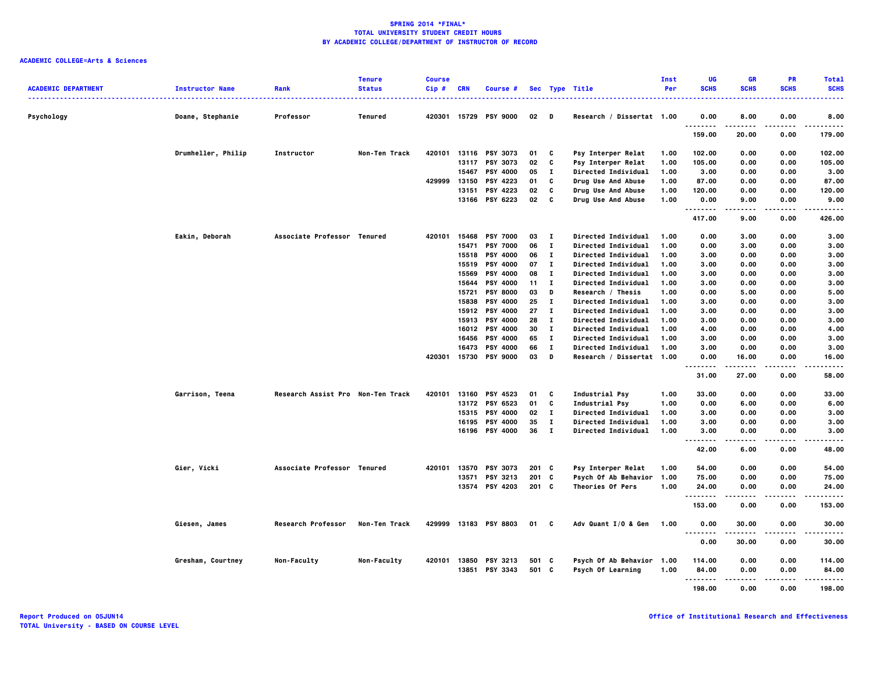| <b>ACADEMIC DEPARTMENT</b> | <b>Instructor Name</b> | Rank                              | <b>Tenure</b><br><b>Status</b> | <b>Course</b><br>Cip# | <b>CRN</b> | Course #              |        |              | Sec Type Title             | <b>Inst</b><br>Per | UG<br><b>SCHS</b>                     | <b>GR</b><br><b>SCHS</b> | <b>PR</b><br><b>SCHS</b> | <b>Total</b><br><b>SCHS</b> |
|----------------------------|------------------------|-----------------------------------|--------------------------------|-----------------------|------------|-----------------------|--------|--------------|----------------------------|--------------------|---------------------------------------|--------------------------|--------------------------|-----------------------------|
| Psychology                 | Doane, Stephanie       | Professor                         | Tenured                        |                       |            | 420301 15729 PSY 9000 | $02$ D |              | Research / Dissertat 1.00  |                    | 0.00                                  | 8.00                     | 0.00                     | 8.00                        |
|                            |                        |                                   |                                |                       |            |                       |        |              |                            |                    | .<br>159.00                           | 20.00                    | 0.00                     | 179.00                      |
|                            | Drumheller, Philip     | Instructor                        | Non-Ten Track                  | 420101                |            | 13116 PSY 3073        | 01     | C            | Psy Interper Relat         | 1.00               | 102.00                                | 0.00                     | 0.00                     | 102.00                      |
|                            |                        |                                   |                                |                       | 13117      | <b>PSY 3073</b>       | 02     | C            | Psy Interper Relat         | 1.00               | 105.00                                | 0.00                     | 0.00                     | 105.00                      |
|                            |                        |                                   |                                |                       | 15467      | <b>PSY 4000</b>       | 05     | $\mathbf{I}$ | <b>Directed Individual</b> | 1.00               | 3.00                                  | 0.00                     | 0.00                     | 3.00                        |
|                            |                        |                                   |                                | 429999                | 13150      | <b>PSY 4223</b>       | 01     | C            | <b>Drug Use And Abuse</b>  | 1.00               | 87.00                                 | 0.00                     | 0.00                     | 87.00                       |
|                            |                        |                                   |                                |                       | 13151      | PSY 4223              | 02     | C            | Drug Use And Abuse         | 1.00               | 120.00                                | 0.00                     | 0.00                     | 120.00                      |
|                            |                        |                                   |                                |                       |            | 13166 PSY 6223        | 02     | C            | Drug Use And Abuse         | 1.00               | 0.00<br>.                             | 9.00<br>.                | 0.00<br>----             | 9.00<br>.                   |
|                            |                        |                                   |                                |                       |            |                       |        |              |                            |                    | 417.00                                | 9.00                     | 0.00                     | 426.00                      |
|                            | Eakin, Deborah         | Associate Professor Tenured       |                                | 420101                |            | 15468 PSY 7000        | 03     | $\mathbf{I}$ | <b>Directed Individual</b> | 1.00               | 0.00                                  | 3.00                     | 0.00                     | 3.00                        |
|                            |                        |                                   |                                |                       | 15471      | <b>PSY 7000</b>       | 06     | $\mathbf{I}$ | Directed Individual        | 1.00               | 0.00                                  | 3.00                     | 0.00                     | 3.00                        |
|                            |                        |                                   |                                |                       | 15518      | <b>PSY 4000</b>       | 06     | $\mathbf{I}$ | <b>Directed Individual</b> | 1.00               | 3.00                                  | 0.00                     | 0.00                     | 3.00                        |
|                            |                        |                                   |                                |                       | 15519      | <b>PSY 4000</b>       | 07     | $\mathbf{I}$ | <b>Directed Individual</b> | 1.00               | 3.00                                  | 0.00                     | 0.00                     | 3.00                        |
|                            |                        |                                   |                                |                       | 15569      | <b>PSY 4000</b>       | 08     | п            | <b>Directed Individual</b> | 1.00               | 3.00                                  | 0.00                     | 0.00                     | 3.00                        |
|                            |                        |                                   |                                |                       | 15644      | <b>PSY 4000</b>       | 11     | п            | <b>Directed Individual</b> | 1.00               | 3.00                                  | 0.00                     | 0.00                     | 3.00                        |
|                            |                        |                                   |                                |                       | 15721      | <b>PSY 8000</b>       | 03     | D            | Research / Thesis          | 1.00               | 0.00                                  | 5.00                     | 0.00                     | 5.00                        |
|                            |                        |                                   |                                |                       | 15838      | <b>PSY 4000</b>       | 25     | $\mathbf{I}$ | Directed Individual        | 1.00               | 3.00                                  | 0.00                     | 0.00                     | 3.00                        |
|                            |                        |                                   |                                |                       | 15912      | <b>PSY 4000</b>       | 27     | $\mathbf{I}$ | <b>Directed Individual</b> | 1.00               | 3.00                                  | 0.00                     | 0.00                     | 3.00                        |
|                            |                        |                                   |                                |                       |            | 15913 PSY 4000        | 28     | $\mathbf{I}$ | <b>Directed Individual</b> | 1.00               | 3.00                                  | 0.00                     | 0.00                     | 3.00                        |
|                            |                        |                                   |                                |                       |            | 16012 PSY 4000        | 30     | $\mathbf{I}$ | <b>Directed Individual</b> | 1.00               | 4.00                                  | 0.00                     | 0.00                     | 4.00                        |
|                            |                        |                                   |                                |                       | 16456      | <b>PSY 4000</b>       | 65     | $\mathbf{I}$ | <b>Directed Individual</b> | 1.00               | 3.00                                  | 0.00                     | 0.00                     | 3.00                        |
|                            |                        |                                   |                                |                       | 16473      | <b>PSY 4000</b>       | 66     | $\mathbf{I}$ | <b>Directed Individual</b> | 1.00               | 3.00                                  | 0.00                     | 0.00                     | 3.00                        |
|                            |                        |                                   |                                | 420301                |            | 15730 PSY 9000        | 03     | D            | Research / Dissertat 1.00  |                    | 0.00<br>.                             | 16.00<br>.               | 0.00<br>.                | 16.00<br>.                  |
|                            |                        |                                   |                                |                       |            |                       |        |              |                            |                    | 31.00                                 | 27.00                    | 0.00                     | 58.00                       |
|                            | Garrison, Teena        | Research Assist Pro Non-Ten Track |                                | 420101                | 13160      | <b>PSY 4523</b>       | 01     | C            | Industrial Psy             | 1.00               | 33.00                                 | 0.00                     | 0.00                     | 33.00                       |
|                            |                        |                                   |                                |                       |            | 13172 PSY 6523        | 01     | C            | <b>Industrial Psy</b>      | 1.00               | 0.00                                  | 6.00                     | 0.00                     | 6.00                        |
|                            |                        |                                   |                                |                       |            | 15315 PSY 4000        | 02     | $\mathbf{I}$ | Directed Individual        | 1.00               | 3.00                                  | 0.00                     | 0.00                     | 3.00                        |
|                            |                        |                                   |                                |                       |            | 16195 PSY 4000        | 35     | $\mathbf{I}$ | <b>Directed Individual</b> | 1.00               | 3.00                                  | 0.00                     | 0.00                     | 3.00                        |
|                            |                        |                                   |                                |                       |            | 16196 PSY 4000        | 36     | $\mathbf{I}$ | Directed Individual        | 1.00               | 3.00<br>$\cdots$<br>                  | 0.00<br>----             | 0.00                     | 3.00<br>----                |
|                            |                        |                                   |                                |                       |            |                       |        |              |                            |                    | 42.00                                 | 6.00                     | 0.00                     | 48.00                       |
|                            | Gier, Vicki            | Associate Professor Tenured       |                                | 420101                | 13570      | <b>PSY 3073</b>       | 201 C  |              | Psy Interper Relat         | 1.00               | 54.00                                 | 0.00                     | 0.00                     | 54.00                       |
|                            |                        |                                   |                                |                       | 13571      | PSY 3213              | 201 C  |              | Psych Of Ab Behavior       | 1.00               | 75.00                                 | 0.00                     | 0.00                     | 75.00                       |
|                            |                        |                                   |                                |                       |            | 13574 PSY 4203        | 201 C  |              | Theories Of Pers           | 1.00               | 24.00<br>                             | 0.00                     | 0.00                     | 24.00                       |
|                            |                        |                                   |                                |                       |            |                       |        |              |                            |                    | 153.00                                | 0.00                     | 0.00                     | 153.00                      |
|                            | Giesen, James          | <b>Research Professor</b>         | Non-Ten Track                  |                       |            | 429999 13183 PSY 8803 | 01     | C            | Adv Quant $I/0$ & Gen      | 1.00               | 0.00                                  | 30.00                    | 0.00                     | 30.00                       |
|                            |                        |                                   |                                |                       |            |                       |        |              |                            |                    | $\sim$ $\sim$ $\sim$<br>-----<br>0.00 | .<br>30.00               | 0.00                     | .<br>30.00                  |
|                            | Gresham, Courtney      | Non-Faculty                       | Non-Faculty                    |                       |            | 420101 13850 PSY 3213 | 501 C  |              | Psych Of Ab Behavior 1.00  |                    | 114.00                                | 0.00                     | 0.00                     | 114.00                      |
|                            |                        |                                   |                                |                       | 13851      | <b>PSY 3343</b>       | 501 C  |              | Psych Of Learning          | 1.00               | 84.00<br>.                            | 0.00                     | 0.00                     | 84.00                       |
|                            |                        |                                   |                                |                       |            |                       |        |              |                            |                    | 198.00                                | 0.00                     | 0.00                     | 198.00                      |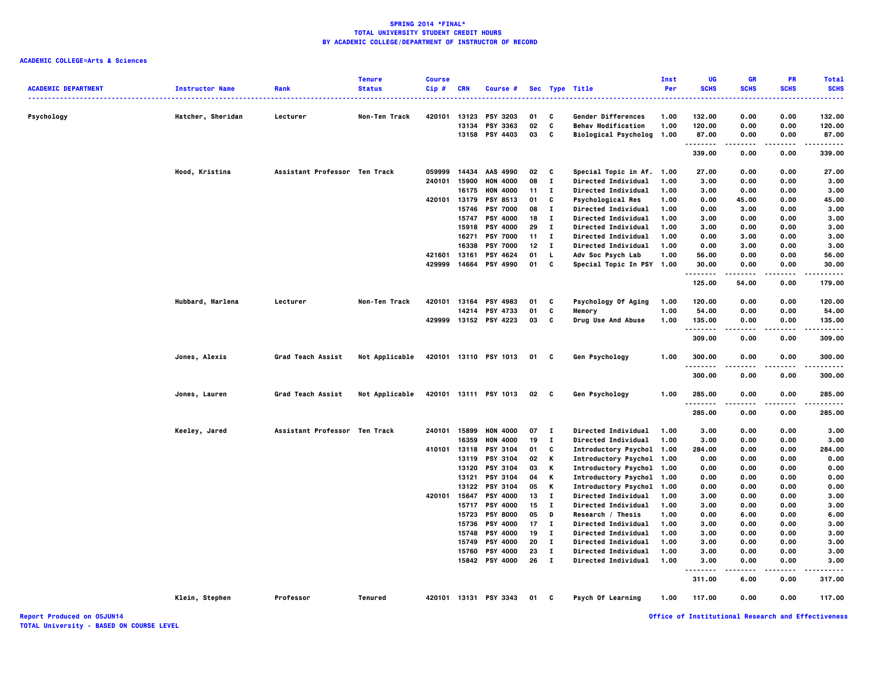**ACADEMIC COLLEGE=Arts & Sciences**

| <b>ACADEMIC DEPARTMENT</b> | <b>Instructor Name</b> | Rank                          | <b>Tenure</b><br><b>Status</b> | <b>Course</b><br>Cip# | <b>CRN</b> | Course #                          |          |                    | Sec Type Title                             | Inst<br>Per  | UG<br><b>SCHS</b> | <b>GR</b><br><b>SCHS</b> | PR<br><b>SCHS</b> | <b>Total</b><br><b>SCHS</b>                                                                                               |
|----------------------------|------------------------|-------------------------------|--------------------------------|-----------------------|------------|-----------------------------------|----------|--------------------|--------------------------------------------|--------------|-------------------|--------------------------|-------------------|---------------------------------------------------------------------------------------------------------------------------|
|                            |                        |                               |                                |                       |            |                                   |          |                    | ----------------                           |              |                   |                          |                   | $\frac{1}{2} \left( \frac{1}{2} \right) \left( \frac{1}{2} \right) \left( \frac{1}{2} \right) \left( \frac{1}{2} \right)$ |
| Psychology                 | Hatcher, Sheridan      | Lecturer                      | Non-Ten Track                  | 420101                |            | 13123 PSY 3203                    | 01       | c                  | Gender Differences                         | 1.00         | 132.00            | 0.00                     | 0.00              | 132.00                                                                                                                    |
|                            |                        |                               |                                |                       | 13134      | PSY 3363                          | 02       | c                  | <b>Behav Modification</b>                  | 1.00         | 120.00            | 0.00                     | 0.00              | 120.00                                                                                                                    |
|                            |                        |                               |                                |                       |            | 13158 PSY 4403                    | 03       | C                  | Biological Psycholog 1.00                  |              | 87.00             | 0.00                     | 0.00<br>.         | 87.00                                                                                                                     |
|                            |                        |                               |                                |                       |            |                                   |          |                    |                                            |              | .<br>339.00       | .<br>0.00                | 0.00              | .<br>339.00                                                                                                               |
|                            | Hood, Kristina         | Assistant Professor Ten Track |                                | 059999                |            | 14434 AAS 4990                    | 02       | C                  | Special Topic in Af. 1.00                  |              | 27.00             | 0.00                     | 0.00              | 27.00                                                                                                                     |
|                            |                        |                               |                                | 240101                | 15900      | <b>HON 4000</b>                   | 08       | $\mathbf T$        | Directed Individual                        | 1.00         | 3.00              | 0.00                     | 0.00              | 3.00                                                                                                                      |
|                            |                        |                               |                                |                       | 16175      | <b>HON 4000</b>                   | 11       | $\bf{I}$           | Directed Individual                        | 1.00         | 3.00              | 0.00                     | 0.00              | 3.00                                                                                                                      |
|                            |                        |                               |                                | 420101                | 13179      | <b>PSY 8513</b>                   | 01       | C                  | <b>Psychological Res</b>                   | 1.00         | 0.00              | 45.00                    | 0.00              | 45.00                                                                                                                     |
|                            |                        |                               |                                |                       | 15746      | <b>PSY 7000</b>                   | 08       | л.                 | Directed Individual                        | 1.00         | 0.00              | 3.00                     | 0.00              | 3.00                                                                                                                      |
|                            |                        |                               |                                |                       | 15747      | <b>PSY 4000</b>                   | 18       | $\mathbf{I}$       | Directed Individual                        | 1.00         | 3.00              | 0.00                     | 0.00              | 3.00                                                                                                                      |
|                            |                        |                               |                                |                       |            | 15918 PSY 4000                    | 29       | $\mathbf{I}$       | Directed Individual                        | 1.00         | 3.00              | 0.00                     | 0.00              | 3.00                                                                                                                      |
|                            |                        |                               |                                |                       | 16271      | <b>PSY 7000</b>                   | 11       | л.                 | Directed Individual                        | 1.00         | 0.00              | 3.00                     | 0.00              | 3.00                                                                                                                      |
|                            |                        |                               |                                |                       | 16338      | <b>PSY 7000</b>                   | 12       | $\mathbf{I}$       | Directed Individual                        | 1.00         | 0.00              | 3.00                     | 0.00              | 3.00                                                                                                                      |
|                            |                        |                               |                                | 421601                | 13161      | <b>PSY 4624</b>                   | 01       | L                  | Adv Soc Psych Lab                          | 1.00         | 56.00             | 0.00                     | 0.00              | 56.00                                                                                                                     |
|                            |                        |                               |                                | 429999                | 14664      | <b>PSY 4990</b>                   | 01       | C                  | Special Topic In PSY 1.00                  |              | 30.00<br>.        | 0.00<br>.                | 0.00<br>.         | 30.00<br>.                                                                                                                |
|                            |                        |                               |                                |                       |            |                                   |          |                    |                                            |              | 125.00            | 54.00                    | 0.00              | 179.00                                                                                                                    |
|                            | Hubbard, Marlena       | Lecturer                      | Non-Ten Track                  | 420101                | 13164      | PSY 4983                          | 01       | c                  | Psychology Of Aging                        | 1.00         | 120.00            | 0.00                     | 0.00              | 120.00                                                                                                                    |
|                            |                        |                               |                                |                       |            | 14214 PSY 4733                    | 01       | C                  | Memory                                     | 1.00         | 54.00             | 0.00                     | 0.00              | 54.00                                                                                                                     |
|                            |                        |                               |                                | 429999                |            | 13152 PSY 4223                    | 03       | C                  | Drug Use And Abuse                         | 1.00         | 135.00            | 0.00                     | 0.00              | 135.00                                                                                                                    |
|                            |                        |                               |                                |                       |            |                                   |          |                    |                                            |              | <u>.</u>          | $\cdots$                 | .                 | .                                                                                                                         |
|                            |                        |                               |                                |                       |            |                                   |          |                    |                                            |              | 309.00            | 0.00                     | 0.00              | 309.00                                                                                                                    |
|                            | Jones, Alexis          | Grad Teach Assist             | Not Applicable                 |                       |            | 420101 13110 PSY 1013             | 01       | C                  | Gen Psychology                             | 1.00         | 300.00<br>.       | 0.00                     | 0.00              | 300.00<br>.                                                                                                               |
|                            |                        |                               |                                |                       |            |                                   |          |                    |                                            |              | 300.00            | 0.00                     | 0.00              | 300.00                                                                                                                    |
|                            | Jones, Lauren          | Grad Teach Assist             | Not Applicable                 |                       |            | 420101 13111 PSY 1013             | 02       | C                  | Gen Psychology                             | 1.00         | 285.00<br>.       | 0.00                     | 0.00              | 285.00                                                                                                                    |
|                            |                        |                               |                                |                       |            |                                   |          |                    |                                            |              | 285.00            | 0.00                     | 0.00              | 285.00                                                                                                                    |
|                            | Keeley, Jared          | Assistant Professor Ten Track |                                | 240101                | 15899      | <b>HON 4000</b>                   | 07       | $\mathbf{I}$       | Directed Individual                        | 1.00         | 3.00              | 0.00                     | 0.00              | 3.00                                                                                                                      |
|                            |                        |                               |                                |                       | 16359      | <b>HON 4000</b>                   | 19       | T                  | Directed Individual                        | 1.00         | 3.00              | 0.00                     | 0.00              | 3.00                                                                                                                      |
|                            |                        |                               |                                | 410101                | 13118      | <b>PSY 3104</b>                   | 01       | C                  | Introductory Psychol 1.00                  |              | 284.00            | 0.00                     | 0.00              | 284.00                                                                                                                    |
|                            |                        |                               |                                |                       | 13119      | <b>PSY 3104</b>                   | 02       | К                  | Introductory Psychol 1.00                  |              | 0.00              | 0.00                     | 0.00              | 0.00                                                                                                                      |
|                            |                        |                               |                                |                       | 13120      | <b>PSY 3104</b>                   | 03       | К                  | Introductory Psychol 1.00                  |              | 0.00              | 0.00                     | 0.00              | 0.00                                                                                                                      |
|                            |                        |                               |                                |                       |            | 13121 PSY 3104                    | 04       | К                  | Introductory Psychol 1.00                  |              | 0.00              | 0.00                     | 0.00              | 0.00                                                                                                                      |
|                            |                        |                               |                                |                       |            | 13122 PSY 3104                    | 05       | К                  | Introductory Psychol 1.00                  |              | 0.00              | 0.00                     | 0.00              | 0.00                                                                                                                      |
|                            |                        |                               |                                | 420101                | 15647      | <b>PSY 4000</b>                   | 13       | $\mathbf T$        | <b>Directed Individual</b>                 | 1.00         | 3.00              | 0.00                     | 0.00              | 3.00                                                                                                                      |
|                            |                        |                               |                                |                       | 15717      | <b>PSY 4000</b>                   | 15       | п                  | Directed Individual                        | 1.00         | 3.00              | 0.00                     | 0.00              | 3.00                                                                                                                      |
|                            |                        |                               |                                |                       | 15723      | <b>PSY 8000</b>                   | 05       | D                  | Research / Thesis                          | 1.00         | 0.00              | 6.00                     | 0.00              | 6.00                                                                                                                      |
|                            |                        |                               |                                |                       | 15736      | PSY 4000                          | 17       | $\mathbf{I}$       | Directed Individual                        | 1.00         | 3.00              | 0.00                     | 0.00              | 3.00                                                                                                                      |
|                            |                        |                               |                                |                       | 15748      | <b>PSY 4000</b>                   | 19       | $\mathbf{I}$       | Directed Individual                        | 1.00         | 3.00              | 0.00                     | 0.00              | 3.00                                                                                                                      |
|                            |                        |                               |                                |                       | 15749      | <b>PSY 4000</b>                   | 20       | $\mathbf{I}$       | Directed Individual                        | 1.00         | 3.00              | 0.00                     | 0.00              | 3.00                                                                                                                      |
|                            |                        |                               |                                |                       | 15760      | <b>PSY 4000</b><br>15842 PSY 4000 | 23<br>26 | л.<br>$\mathbf{I}$ | Directed Individual<br>Directed Individual | 1.00<br>1.00 | 3.00              | 0.00<br>0.00             | 0.00<br>0.00      | 3.00<br>3.00                                                                                                              |
|                            |                        |                               |                                |                       |            |                                   |          |                    |                                            |              | 3.00<br>.         |                          |                   |                                                                                                                           |
|                            |                        |                               |                                |                       |            |                                   |          |                    |                                            |              | 311.00            | 6.00                     | 0.00              | 317.00                                                                                                                    |
|                            | Klein, Stephen         | Professor                     | Tenured                        |                       |            | 420101 13131 PSY 3343             | 01       | C                  | Psych Of Learning                          | 1.00         | 117.00            | 0.00                     | 0.00              | 117.00                                                                                                                    |

**Report Produced on 05JUN14 Office of Institutional Research and Effectiveness**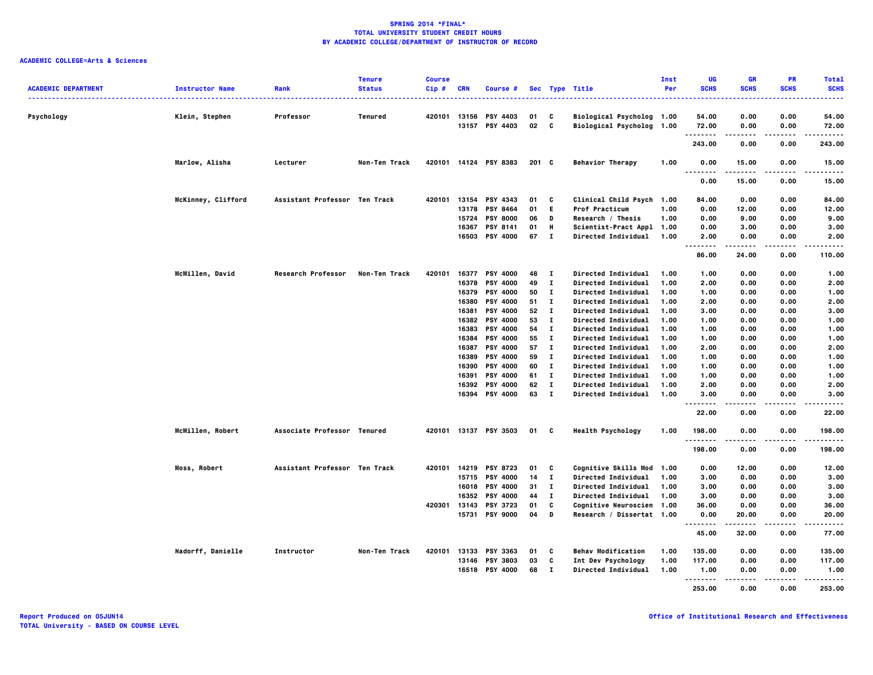| <b>ACADEMIC DEPARTMENT</b>           | <b>Instructor Name</b> | Rank                          | <b>Tenure</b><br><b>Status</b> | <b>Course</b><br>$Cip$ # | <b>CRN</b> | Course #              |          |                              | Sec Type Title             | Inst<br>Per | UG<br><b>SCHS</b>                         | <b>GR</b><br><b>SCHS</b> | <b>PR</b><br><b>SCHS</b> | <b>Total</b><br><b>SCHS</b> |
|--------------------------------------|------------------------|-------------------------------|--------------------------------|--------------------------|------------|-----------------------|----------|------------------------------|----------------------------|-------------|-------------------------------------------|--------------------------|--------------------------|-----------------------------|
| ------------------------------------ |                        |                               |                                |                          |            |                       |          |                              |                            |             |                                           |                          |                          | -----                       |
| Psychology                           | Klein, Stephen         | Professor                     | <b>Tenured</b>                 | 420101                   |            | 13156 PSY 4403        | 01       | C                            | Biological Psycholog 1.00  |             | 54.00                                     | 0.00                     | 0.00                     | 54.00                       |
|                                      |                        |                               |                                |                          |            | 13157 PSY 4403        | 02 C     |                              | Biological Psycholog 1.00  |             | 72.00                                     | 0.00                     | 0.00                     | 72.00                       |
|                                      |                        |                               |                                |                          |            |                       |          |                              |                            |             | .<br>243.00                               | .<br>0.00                | .<br>0.00                | .<br>243.00                 |
|                                      | Marlow, Alisha         | Lecturer                      | Non-Ten Track                  | 420101                   |            | 14124 PSY 8383        | $201$ C  |                              | <b>Behavior Therapy</b>    | 1.00        | 0.00                                      | 15.00                    | 0.00                     | 15.00                       |
|                                      |                        |                               |                                |                          |            |                       |          |                              |                            |             | .<br>.<br>0.00                            | 15.00                    | 0.00                     | .<br>15.00                  |
|                                      | McKinney, Clifford     | Assistant Professor Ten Track |                                | 420101                   |            | 13154 PSY 4343        | 01       | C                            | Clinical Child Psych 1.00  |             | 84.00                                     | 0.00                     | 0.00                     | 84.00                       |
|                                      |                        |                               |                                |                          |            | 13178 PSY 8464        | 01       | E.                           | Prof Practicum             | 1.00        | 0.00                                      | 12.00                    | 0.00                     | 12.00                       |
|                                      |                        |                               |                                |                          |            | 15724 PSY 8000        | 06       | D                            | Research / Thesis          | 1.00        | 0.00                                      | 9.00                     | 0.00                     | 9.00                        |
|                                      |                        |                               |                                |                          | 16367      | PSY 8141              | 01       | н                            | Scientist-Pract Appl 1.00  |             | 0.00                                      |                          | 0.00                     | 3.00                        |
|                                      |                        |                               |                                |                          |            |                       |          |                              |                            |             |                                           | 3.00                     |                          |                             |
|                                      |                        |                               |                                |                          |            | 16503 PSY 4000        | 67       | $\mathbf{I}$                 | <b>Directed Individual</b> | 1.00        | 2.00<br>-----<br>$\sim$ $\sim$ $\sim$     | 0.00<br>. <b>.</b>       | 0.00<br>$- - - -$        | 2.00<br>.                   |
|                                      |                        |                               |                                |                          |            |                       |          |                              |                            |             | 86.00                                     | 24.00                    | 0.00                     | 110.00                      |
|                                      | McMillen, David        | Research Professor            | Non-Ten Track                  | 420101                   |            | 16377 PSY 4000        | 48       | $\mathbf{I}$                 | Directed Individual        | 1.00        | 1.00                                      | 0.00                     | 0.00                     | 1.00                        |
|                                      |                        |                               |                                |                          | 16378      | <b>PSY 4000</b>       | 49       | $\mathbf{I}$                 | Directed Individual        | 1.00        | 2.00                                      | 0.00                     | 0.00                     | 2.00                        |
|                                      |                        |                               |                                |                          | 16379      | <b>PSY 4000</b>       | 50       | $\bf{I}$                     | Directed Individual        | 1.00        | 1.00                                      | 0.00                     | 0.00                     | 1.00                        |
|                                      |                        |                               |                                |                          | 16380      | <b>PSY 4000</b>       | 51       | $\mathbf{I}$                 | Directed Individual        | 1.00        | 2.00                                      | 0.00                     | 0.00                     | 2.00                        |
|                                      |                        |                               |                                |                          | 16381      | <b>PSY 4000</b>       | 52       | $\mathbf{I}$                 | <b>Directed Individual</b> | 1.00        | 3.00                                      | 0.00                     | 0.00                     | 3.00                        |
|                                      |                        |                               |                                |                          |            | 16382 PSY 4000        | 53       | $\bf{I}$                     | Directed Individual        | 1.00        | 1.00                                      | 0.00                     | 0.00                     | 1.00                        |
|                                      |                        |                               |                                |                          | 16383      | <b>PSY 4000</b>       | 54       | $\mathbf{I}$                 | Directed Individual        | 1.00        | 1.00                                      | 0.00                     | 0.00                     | 1.00                        |
|                                      |                        |                               |                                |                          | 16384      | <b>PSY 4000</b>       | 55       | $\mathbf{I}$                 | <b>Directed Individual</b> | 1.00        | 1.00                                      | 0.00                     | 0.00                     | 1.00                        |
|                                      |                        |                               |                                |                          |            | 16387 PSY 4000        | 57       | $\mathbf{I}$                 | Directed Individual        | 1.00        | 2.00                                      | 0.00                     | 0.00                     | 2.00                        |
|                                      |                        |                               |                                |                          |            | 16389 PSY 4000        | 59       | $\mathbf{I}$                 | <b>Directed Individual</b> | 1.00        | 1.00                                      | 0.00                     | 0.00                     | 1.00                        |
|                                      |                        |                               |                                |                          | 16390      | <b>PSY 4000</b>       | 60       | $\mathbf{I}$                 | <b>Directed Individual</b> | 1.00        | 1.00                                      | 0.00                     | 0.00                     | 1.00                        |
|                                      |                        |                               |                                |                          |            | <b>PSY 4000</b>       |          | $\bf{I}$                     |                            | 1.00        |                                           |                          |                          |                             |
|                                      |                        |                               |                                |                          | 16391      |                       | 61       |                              | <b>Directed Individual</b> |             | 1.00                                      | 0.00                     | 0.00                     | 1.00                        |
|                                      |                        |                               |                                |                          |            | 16392 PSY 4000        | 62<br>63 | $\mathbf{I}$<br>$\mathbf{I}$ | <b>Directed Individual</b> | 1.00        | 2.00                                      | 0.00                     | 0.00                     | 2.00                        |
|                                      |                        |                               |                                |                          |            | 16394 PSY 4000        |          |                              | <b>Directed Individual</b> | 1.00        | 3.00<br>$\ddotsc$<br>$\sim$ $\sim$ $\sim$ | 0.00<br>----             | 0.00<br>.                | 3.00<br>$- - - -$           |
|                                      |                        |                               |                                |                          |            |                       |          |                              |                            |             | 22.00                                     | 0.00                     | 0.00                     | 22.00                       |
|                                      | McMillen, Robert       | Associate Professor Tenured   |                                |                          |            | 420101 13137 PSY 3503 | 01       | C                            | <b>Health Psychology</b>   | 1.00        | 198.00<br>.                               | 0.00                     | 0.00                     | 198.00<br>.                 |
|                                      |                        |                               |                                |                          |            |                       |          |                              |                            |             | 198.00                                    | 0.00                     | 0.00                     | 198.00                      |
|                                      | Moss, Robert           | Assistant Professor Ten Track |                                | 420101                   |            | 14219 PSY 8723        | 01       | C                            | Cognitive Skills Mod 1.00  |             | 0.00                                      | 12.00                    | 0.00                     | 12.00                       |
|                                      |                        |                               |                                |                          |            | 15715 PSY 4000        | 14       | $\mathbf{I}$                 | Directed Individual        | 1.00        | 3.00                                      | 0.00                     | 0.00                     | 3.00                        |
|                                      |                        |                               |                                |                          |            | 16018 PSY 4000        | 31       | $\mathbf{I}$                 | Directed Individual        | 1.00        | 3.00                                      | 0.00                     | 0.00                     | 3.00                        |
|                                      |                        |                               |                                |                          |            | 16352 PSY 4000        | 44       | $\mathbf I$                  | Directed Individual        | 1.00        | 3.00                                      | 0.00                     | 0.00                     | 3.00                        |
|                                      |                        |                               |                                | 420301                   |            | 13143 PSY 3723        | 01       | C                            | Cognitive Neuroscien 1.00  |             | 36.00                                     | 0.00                     | 0.00                     | 36.00                       |
|                                      |                        |                               |                                |                          | 15731      | <b>PSY 9000</b>       | 04       | D                            | Research / Dissertat 1.00  |             | 0.00                                      | 20.00                    | 0.00                     | 20.00                       |
|                                      |                        |                               |                                |                          |            |                       |          |                              |                            |             | <br>45.00                                 | 32.00                    | 0.00                     | 77.00                       |
|                                      | Nadorff, Danielle      | Instructor                    | Non-Ten Track                  | 420101                   |            | 13133 PSY 3363        | 01       | C                            | <b>Behav Modification</b>  | 1.00        | 135.00                                    | 0.00                     | 0.00                     | 135.00                      |
|                                      |                        |                               |                                |                          |            | 13146 PSY 3803        | 03       | C                            | Int Dev Psychology         | 1.00        | 117.00                                    | 0.00                     | 0.00                     | 117.00                      |
|                                      |                        |                               |                                |                          | 16518      | <b>PSY 4000</b>       | 68       | $\mathbf{I}$                 | Directed Individual        | 1.00        | 1.00                                      | 0.00                     | 0.00                     | 1.00                        |
|                                      |                        |                               |                                |                          |            |                       |          |                              |                            |             | .                                         |                          |                          |                             |
|                                      |                        |                               |                                |                          |            |                       |          |                              |                            |             | 253.00                                    | 0.00                     | 0.00                     | 253.00                      |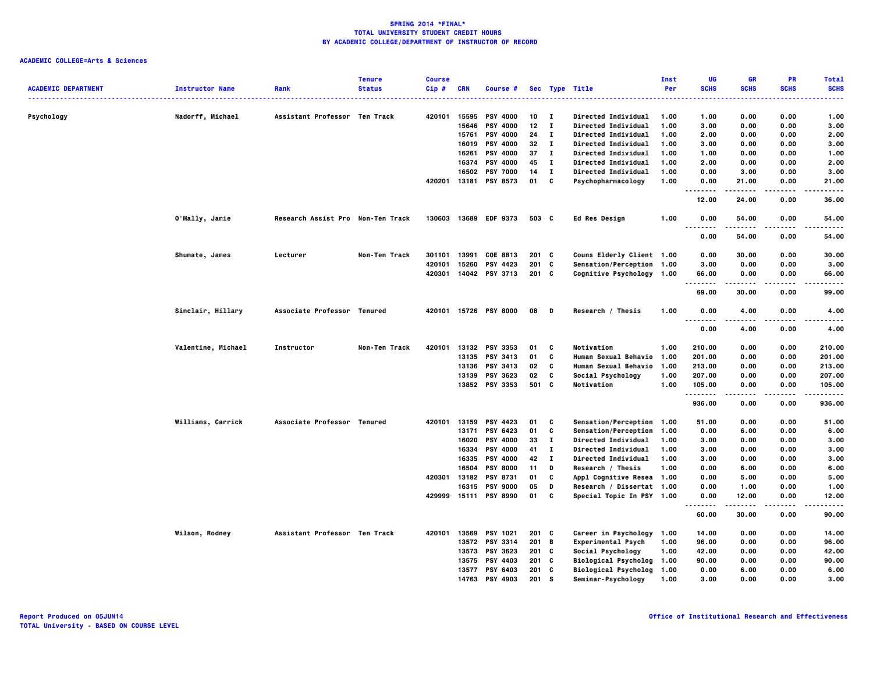|                            |                        |                                   | <b>Tenure</b> | <b>Course</b> |            |                       |                 |              |                                            | Inst | UG                   | <b>GR</b>   | PR          | <b>Total</b>   |
|----------------------------|------------------------|-----------------------------------|---------------|---------------|------------|-----------------------|-----------------|--------------|--------------------------------------------|------|----------------------|-------------|-------------|----------------|
| <b>ACADEMIC DEPARTMENT</b> | <b>Instructor Name</b> | Rank                              | <b>Status</b> | Cip#          | <b>CRN</b> | Course #              |                 |              | Sec Type Title                             | Per  | <b>SCHS</b>          | <b>SCHS</b> | <b>SCHS</b> | <b>SCHS</b>    |
|                            |                        | Assistant Professor Ten Track     |               | 420101        | 15595      | <b>PSY 4000</b>       | 10              | $\mathbf{I}$ |                                            | 1.00 | 1.00                 | 0.00        | 0.00        | 1.00           |
| Psychology                 | Nadorff, Michael       |                                   |               |               | 15646      | <b>PSY 4000</b>       | 12 <sub>2</sub> | $\mathbf{I}$ | Directed Individual<br>Directed Individual | 1.00 | 3.00                 | 0.00        | 0.00        | 3.00           |
|                            |                        |                                   |               |               | 15761      | <b>PSY 4000</b>       | 24              | $\mathbf{I}$ | Directed Individual                        | 1.00 | 2.00                 | 0.00        | 0.00        | 2.00           |
|                            |                        |                                   |               |               |            | 16019 PSY 4000        | 32              | $\mathbf{I}$ | Directed Individual                        | 1.00 | 3.00                 | 0.00        | 0.00        | 3.00           |
|                            |                        |                                   |               |               | 16261      | <b>PSY 4000</b>       | 37              | $\mathbf{I}$ | Directed Individual                        | 1.00 | 1.00                 | 0.00        | 0.00        | 1.00           |
|                            |                        |                                   |               |               |            | 16374 PSY 4000        | 45              | $\mathbf{I}$ | Directed Individual                        | 1.00 | 2.00                 | 0.00        | 0.00        | 2.00           |
|                            |                        |                                   |               |               |            | 16502 PSY 7000        | 14              | $\mathbf{I}$ | Directed Individual                        | 1.00 | 0.00                 | 3.00        | 0.00        | 3.00           |
|                            |                        |                                   |               | 420201        |            | 13181 PSY 8573        | 01              | C            | Psychopharmacology                         | 1.00 | 0.00                 | 21.00       | 0.00        | 21.00          |
|                            |                        |                                   |               |               |            |                       |                 |              |                                            |      | .<br>12.00           | 24.00       | 0.00        | 36.00          |
|                            | O'Mally, Jamie         | Research Assist Pro Non-Ten Track |               | 130603        |            | 13689 EDF 9373        | 503 C           |              | <b>Ed Res Design</b>                       | 1.00 | 0.00                 | 54.00       | 0.00        | 54.00          |
|                            |                        |                                   |               |               |            |                       |                 |              |                                            |      | $ -$<br>.<br>0.00    | 54.00       | 0.00        | 54.00          |
|                            | Shumate, James         | Lecturer                          | Non-Ten Track | 301101        | 13991      | COE 8813              | $201$ C         |              | Couns Elderly Client 1.00                  |      | 0.00                 | 30.00       | 0.00        | 30.00          |
|                            |                        |                                   |               | 420101        |            | 15260 PSY 4423        | 201 C           |              | Sensation/Perception 1.00                  |      | 3.00                 | 0.00        | 0.00        | 3.00           |
|                            |                        |                                   |               | 420301        |            | 14042 PSY 3713        | $201$ C         |              | Cognitive Psychology 1.00                  |      | 66.00                | 0.00        | 0.00        | 66,00          |
|                            |                        |                                   |               |               |            |                       |                 |              |                                            |      | .<br>69.00           | .<br>30.00  | .<br>0.00   | .<br>99.00     |
|                            | Sinclair, Hillary      | Associate Professor Tenured       |               | 420101        |            | 15726 PSY 8000        | 08              | - D          | Research / Thesis                          | 1.00 | 0.00                 | 4.00        | 0.00        | 4.00           |
|                            |                        |                                   |               |               |            |                       |                 |              |                                            |      | .<br>0.00            | 4.00        | 0.00        | 4.00           |
|                            | Valentine, Michael     | Instructor                        | Non-Ten Track | 420101        |            | 13132 PSY 3353        | 01              | C            | Motivation                                 | 1.00 | 210.00               | 0.00        | 0.00        | 210.00         |
|                            |                        |                                   |               |               |            | 13135 PSY 3413        | 01              | C            | <b>Human Sexual Behavio</b>                | 1.00 | 201.00               | 0.00        | 0.00        | 201.00         |
|                            |                        |                                   |               |               |            | 13136 PSY 3413        | 02              | C            | Human Sexual Behavio                       | 1.00 | 213.00               | 0.00        | 0.00        | 213.00         |
|                            |                        |                                   |               |               |            | 13139 PSY 3623        | 02              | c            | Social Psychology                          | 1.00 | 207.00               | 0.00        | 0.00        | 207.00         |
|                            |                        |                                   |               |               |            | 13852 PSY 3353        | 501 C           |              | Motivation                                 | 1.00 | 105.00               | 0.00        | 0.00        | 105.00         |
|                            |                        |                                   |               |               |            |                       |                 |              |                                            |      | . <b>.</b><br>936.00 | 0.00        | .<br>0.00   | .<br>936.00    |
|                            | Williams, Carrick      | Associate Professor Tenured       |               | 420101        |            | 13159 PSY 4423        | 01              | C            | Sensation/Perception 1.00                  |      | 51.00                | 0.00        | 0.00        | 51.00          |
|                            |                        |                                   |               |               | 13171      | PSY 6423              | 01              | C            | Sensation/Perception                       | 1.00 | 0.00                 | 6.00        | 0.00        | 6.00           |
|                            |                        |                                   |               |               | 16020      | <b>PSY 4000</b>       | 33              | $\mathbf{I}$ | Directed Individual                        | 1.00 | 3.00                 | 0.00        | 0.00        | 3.00           |
|                            |                        |                                   |               |               | 16334      | <b>PSY 4000</b>       | 41              | $\mathbf{I}$ | Directed Individual                        | 1.00 | 3.00                 | 0.00        | 0.00        | 3.00           |
|                            |                        |                                   |               |               |            | 16335 PSY 4000        | 42              | $\bf{I}$     | Directed Individual                        | 1.00 | 3.00                 | 0.00        | 0.00        | 3.00           |
|                            |                        |                                   |               |               | 16504      | <b>PSY 8000</b>       | 11              | D            | Research / Thesis                          | 1.00 | 0.00                 | 6.00        | 0.00        | 6.00           |
|                            |                        |                                   |               | 420301        | 13182      | <b>PSY 8731</b>       | 01              | C            | Appl Cognitive Resea 1.00                  |      | 0.00                 | 5.00        | 0.00        | 5.00           |
|                            |                        |                                   |               |               |            | 16315 PSY 9000        | 05              | D            | Research / Dissertat 1.00                  |      | 0.00                 | 1.00        | 0.00        | 1.00           |
|                            |                        |                                   |               | 429999        |            | 15111 PSY 8990        | 01              | C            | Special Topic In PSY 1.00                  |      | 0.00<br>.            | 12.00       | 0.00        | 12.00<br>----- |
|                            |                        |                                   |               |               |            |                       |                 |              |                                            |      | 60.00                | 30.00       | 0.00        | 90.00          |
|                            | Wilson, Rodney         | Assistant Professor Ten Track     |               |               |            | 420101 13569 PSY 1021 | $201$ C         |              | Career in Psychology                       | 1.00 | 14.00                | 0.00        | 0.00        | 14.00          |
|                            |                        |                                   |               |               | 13572      | PSY 3314              | 201 B           |              | Experimental Psych                         | 1.00 | 96.00                | 0.00        | 0.00        | 96.00          |
|                            |                        |                                   |               |               |            | 13573 PSY 3623        | 201 C           |              | Social Psychology                          | 1.00 | 42.00                | 0.00        | 0.00        | 42.00          |
|                            |                        |                                   |               |               | 13575      | <b>PSY 4403</b>       | $201$ C         |              | Biological Psycholog 1.00                  |      | 90.00                | 0.00        | 0.00        | 90.00          |
|                            |                        |                                   |               |               | 13577      | <b>PSY 6403</b>       | $201$ C         |              | <b>Biological Psycholog</b>                | 1.00 | 0.00                 | 6.00        | 0.00        | 6.00           |
|                            |                        |                                   |               |               | 14763      | <b>PSY 4903</b>       | 201 S           |              | Seminar-Psychology                         | 1.00 | 3.00                 | 0.00        | 0.00        | 3.00           |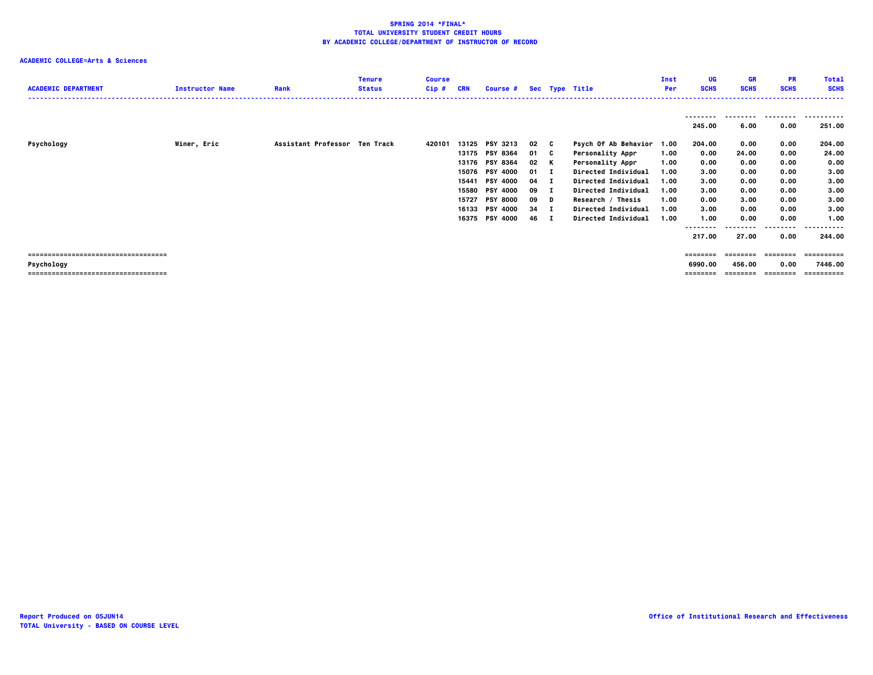| <b>ACADEMIC DEPARTMENT</b>                                                                 | <b>Instructor Name</b> | Rank                          | <b>Tenure</b><br><b>Status</b> | <b>Course</b><br>Cip# | <b>CRN</b>                                | Course #                                                                                                                                                            |                                                          |                          | Sec Type Title                                                                                                                                                                                                            | Inst<br>Per                                                          | UG<br><b>SCHS</b>                                                                            | GR<br><b>SCHS</b>                                                              | <b>PR</b><br><b>SCHS</b>                                                                 | <b>Total</b><br><b>SCHS</b>                                                                     |
|--------------------------------------------------------------------------------------------|------------------------|-------------------------------|--------------------------------|-----------------------|-------------------------------------------|---------------------------------------------------------------------------------------------------------------------------------------------------------------------|----------------------------------------------------------|--------------------------|---------------------------------------------------------------------------------------------------------------------------------------------------------------------------------------------------------------------------|----------------------------------------------------------------------|----------------------------------------------------------------------------------------------|--------------------------------------------------------------------------------|------------------------------------------------------------------------------------------|-------------------------------------------------------------------------------------------------|
|                                                                                            |                        |                               |                                |                       |                                           |                                                                                                                                                                     |                                                          |                          |                                                                                                                                                                                                                           |                                                                      | .<br>245.00                                                                                  | ---------<br>6.00                                                              | .<br>0.00                                                                                | -----------<br>251.00                                                                           |
| Psychology                                                                                 | Winer, Eric            | Assistant Professor Ten Track |                                | 420101                | 13125<br>15076<br>15441<br>15580<br>15727 | <b>PSY 3213</b><br>13175 PSY 8364<br>13176 PSY 8364<br><b>PSY 4000</b><br><b>PSY 4000</b><br><b>PSY 4000</b><br><b>PSY 8000</b><br>16133 PSY 4000<br>16375 PSY 4000 | 02 C<br>01<br>02<br>$01$ I<br>04<br>09<br>09<br>34<br>46 | C.<br>к<br>D<br>п<br>- 1 | Psych Of Ab Behavior<br><b>Personality Appr</b><br><b>Personality Appr</b><br><b>Directed Individual</b><br>Directed Individual<br>Directed Individual<br>Research / Thesis<br>Directed Individual<br>Directed Individual | 1.00<br>1.00<br>1.00<br>1.00<br>1.00<br>1.00<br>1.00<br>1.00<br>1.00 | 204.00<br>0.00<br>0.00<br>3.00<br>3.00<br>3.00<br>0.00<br>3.00<br>1.00<br>--------<br>217.00 | 0.00<br>24.00<br>0.00<br>0.00<br>0.00<br>0.00<br>3.00<br>0.00<br>0.00<br>27.00 | 0.00<br>0.00<br>0.00<br>0.00<br>0.00<br>0.00<br>0.00<br>0.00<br>0.00<br>--------<br>0.00 | 204.00<br>24.00<br>0.00<br>3.00<br>3.00<br>3.00<br>3.00<br>3.00<br>1.00<br>----------<br>244.00 |
| ====================================<br>Psychology<br>==================================== |                        |                               |                                |                       |                                           |                                                                                                                                                                     |                                                          |                          |                                                                                                                                                                                                                           |                                                                      | ========<br>6990.00<br>========                                                              | $=$ = = = = = = =<br>456.00<br>========                                        | 0.00<br>========                                                                         | ==========<br>7446.00<br>==========                                                             |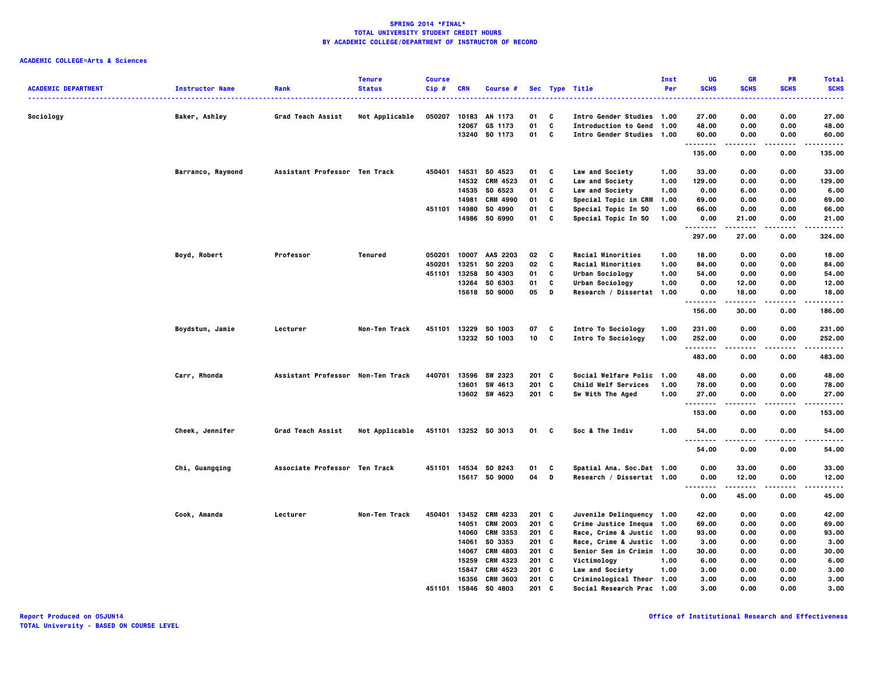|                            |                             |                                   | <b>Tenure</b>  | <b>Course</b>    |                |                            |                    |        |                                                        | Inst         | UG                   | <b>GR</b>     | PR                | <b>Total</b>     |
|----------------------------|-----------------------------|-----------------------------------|----------------|------------------|----------------|----------------------------|--------------------|--------|--------------------------------------------------------|--------------|----------------------|---------------|-------------------|------------------|
| <b>ACADEMIC DEPARTMENT</b> | <b>Instructor Name</b><br>. | Rank                              | <b>Status</b>  | Cip #            | CRN            | Course #                   |                    |        | Sec Type Title                                         | Per          | <b>SCHS</b>          | <b>SCHS</b>   | <b>SCHS</b>       | <b>SCHS</b><br>. |
| Sociology                  | Baker, Ashley               | Grad Teach Assist                 | Not Applicable | 050207           | 10183          | AN 1173                    | 01                 | C      | Intro Gender Studies 1.00                              |              | 27.00                | 0.00          | 0.00              | 27.00            |
|                            |                             |                                   |                |                  | 12067          | GS 1173                    | 01                 | c      | Introduction to Gend                                   | 1.00         | 48.00                | 0.00          | 0.00              | 48.00            |
|                            |                             |                                   |                |                  |                | 13240 SO 1173              | 01                 | C      | Intro Gender Studies 1.00                              |              | 60.00                | 0.00          | 0.00              | 60.00            |
|                            |                             |                                   |                |                  |                |                            |                    |        |                                                        |              | . <b>.</b><br>135.00 | .<br>0.00     | .<br>0.00         | .<br>135.00      |
|                            |                             |                                   |                |                  |                |                            |                    |        |                                                        |              |                      |               |                   |                  |
|                            | Barranco, Raymond           | Assistant Professor Ten Track     |                | 450401           | 14531          | SO 4523<br>14532 CRM 4523  | 01<br>01           | c<br>c | Law and Society<br>Law and Society                     | 1.00<br>1.00 | 33.00<br>129.00      | 0.00<br>0.00  | 0.00<br>0.00      | 33.00<br>129.00  |
|                            |                             |                                   |                |                  |                | 14535 SO 6523              | 01                 | C      | Law and Society                                        | 1.00         | 0.00                 | 6.00          | 0.00              | 6.00             |
|                            |                             |                                   |                |                  | 14981          | CRM 4990                   | 01                 | C      | Special Topic in CRM                                   | 1.00         | 69.00                | 0.00          | 0.00              | 69.00            |
|                            |                             |                                   |                | 451101           | 14980          | SO 4990                    | 01                 | c      | Special Topic In SO                                    | 1.00         | 66.00                | 0.00          | 0.00              | 66.00            |
|                            |                             |                                   |                |                  |                | 14986 SO 6990              | 01                 | c      | Special Topic In SO                                    | 1.00         | 0.00                 | 21.00         | 0.00              | 21.00            |
|                            |                             |                                   |                |                  |                |                            |                    |        |                                                        |              | . <b>.</b><br>297.00 | 27.00         | $- - - -$<br>0.00 | .<br>324.00      |
|                            |                             |                                   |                |                  |                |                            |                    |        |                                                        |              |                      |               |                   |                  |
|                            | Boyd, Robert                | Professor                         | Tenured        | 050201           | 10007          | AAS 2203                   | 02                 | C      | Racial Minorities                                      | 1.00         | 18.00                | 0.00          | 0.00              | 18.00            |
|                            |                             |                                   |                | 450201<br>451101 | 13251          | SO 2203                    | 02                 | C<br>c | Racial Minorities                                      | 1.00         | 84.00                | 0.00          | 0.00              | 84.00            |
|                            |                             |                                   |                |                  | 13258<br>13264 | SO 4303<br>SO 6303         | 01<br>01           | C      | Urban Sociology<br>Urban Sociology                     | 1.00<br>1.00 | 54.00<br>0.00        | 0.00<br>12.00 | 0.00<br>0.00      | 54.00<br>12.00   |
|                            |                             |                                   |                |                  | 15618          | SO 9000                    | 05                 | D      | Research / Dissertat 1.00                              |              | 0.00                 | 18.00         | 0.00              | 18.00            |
|                            |                             |                                   |                |                  |                |                            |                    |        |                                                        |              | .                    | .             | $- - - -$         | .                |
|                            |                             |                                   |                |                  |                |                            |                    |        |                                                        |              | 156.00               | 30.00         | 0.00              | 186.00           |
|                            | Boydstun, Jamie             | Lecturer                          | Non-Ten Track  | 451101           |                | 13229 SO 1003              | 07                 | C      | Intro To Sociology                                     | 1.00         | 231.00               | 0.00          | 0.00              | 231.00           |
|                            |                             |                                   |                |                  |                | 13232 SO 1003              | 10                 | C      | Intro To Sociology                                     | 1.00         | 252.00<br>.          | 0.00<br>.     | 0.00<br>.         | 252.00<br>.      |
|                            |                             |                                   |                |                  |                |                            |                    |        |                                                        |              | 483.00               | 0.00          | 0.00              | 483.00           |
|                            | Carr, Rhonda                | Assistant Professor Non-Ten Track |                | 440701           | 13596          | SW 2323                    | $201$ C            |        | Social Welfare Polic                                   | 1.00         | 48.00                | 0.00          | 0.00              | 48.00            |
|                            |                             |                                   |                |                  | 13601          | SW 4613                    | $201$ C            |        | Child Welf Services                                    | 1.00         | 78.00                | 0.00          | 0.00              | 78.00            |
|                            |                             |                                   |                |                  |                | 13602 SW 4623              | $201$ C            |        | Sw With The Aged                                       | 1.00         | 27.00                | 0.00          | 0.00              | 27.00            |
|                            |                             |                                   |                |                  |                |                            |                    |        |                                                        |              | <u>.</u><br>153.00   | .<br>0.00     | .<br>0.00         | .<br>153.00      |
|                            | Cheek, Jennifer             | Grad Teach Assist                 | Not Applicable |                  |                | 451101 13252 SO 3013       | 01                 | C      | Soc & The Indiv                                        | 1.00         | 54.00                | 0.00          | 0.00              | 54.00            |
|                            |                             |                                   |                |                  |                |                            |                    |        |                                                        |              | .<br>54.00           | 0.00          | 0.00              | -----<br>54.00   |
|                            | Chi, Guangqing              | Associate Professor Ten Track     |                |                  |                | 451101 14534 S0 8243       | 01                 | C      | Spatial Ana. Soc.Dat 1.00                              |              | 0.00                 | 33.00         | 0.00              | 33.00            |
|                            |                             |                                   |                |                  |                | 15617 SO 9000              | 04                 | D      | Research / Dissertat 1.00                              |              | 0.00                 | 12.00         | 0.00              | 12.00            |
|                            |                             |                                   |                |                  |                |                            |                    |        |                                                        |              | .                    | .             | .                 | -----            |
|                            |                             |                                   |                |                  |                |                            |                    |        |                                                        |              | 0.00                 | 45.00         | 0.00              | 45.00            |
|                            | Cook, Amanda                | Lecturer                          | Non-Ten Track  | 450401           | 13452          | CRM 4233                   | $201$ C            |        | Juvenile Delinquency 1.00                              |              | 42.00                | 0.00          | 0.00              | 42.00            |
|                            |                             |                                   |                |                  | 14051          | <b>CRM 2003</b>            | $201$ C            |        | Crime Justice Inequa 1.00                              |              | 69.00                | 0.00          | 0.00              | 69.00            |
|                            |                             |                                   |                |                  |                | 14060 CRM 3353             | 201 C              |        | Race, Crime & Justic 1.00                              |              | 93.00                | 0.00          | 0.00              | 93.00            |
|                            |                             |                                   |                |                  | 14061          | SO 3353                    | $201$ C            |        | Race, Crime & Justic 1.00                              |              | 3.00                 | 0.00          | 0.00              | 3.00             |
|                            |                             |                                   |                |                  | 14067          | <b>CRM 4803</b>            | $201$ C            |        | Senior Sem in Crimin 1.00                              |              | 30.00                | 0.00          | 0.00              | 30.00            |
|                            |                             |                                   |                |                  | 15259          | CRM 4323                   | $201$ C            |        | Victimology                                            | 1.00         | 6.00                 | 0.00          | 0.00              | 6.00             |
|                            |                             |                                   |                |                  | 15847          | CRM 4523                   | $201$ C            |        | Law and Society                                        | 1.00         | 3.00                 | 0.00          | 0.00              | 3.00             |
|                            |                             |                                   |                | 451101           | 16356<br>15846 | <b>CRM 3603</b><br>SO 4803 | $201$ C<br>$201$ C |        | Criminological Theor 1.00<br>Social Research Prac 1.00 |              | 3.00<br>3.00         | 0.00<br>0.00  | 0.00<br>0.00      | 3.00<br>3.00     |
|                            |                             |                                   |                |                  |                |                            |                    |        |                                                        |              |                      |               |                   |                  |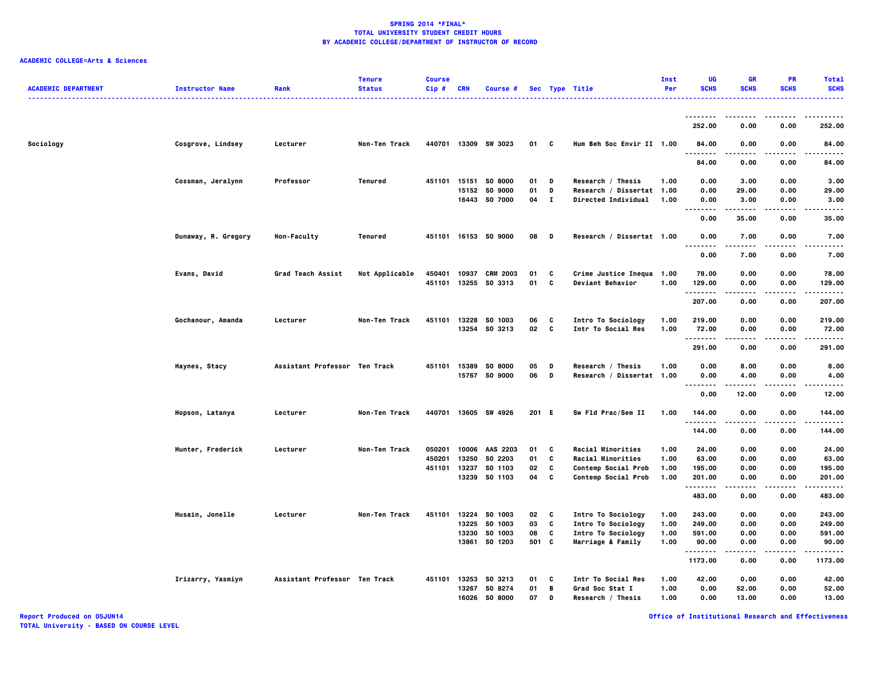| <b>ACADEMIC DEPARTMENT</b> | <b>Instructor Name</b> | Rank                          | <b>Tenure</b><br><b>Status</b> | <b>Course</b><br>Cip# | <b>CRN</b>     | Course #                                   |                |                   | Sec Type Title<br>.                                        | Inst<br>Per          | <b>UG</b><br><b>SCHS</b>     | <b>GR</b><br><b>SCHS</b> | <b>PR</b><br><b>SCHS</b> | <b>Total</b><br><b>SCHS</b> |
|----------------------------|------------------------|-------------------------------|--------------------------------|-----------------------|----------------|--------------------------------------------|----------------|-------------------|------------------------------------------------------------|----------------------|------------------------------|--------------------------|--------------------------|-----------------------------|
|                            |                        |                               |                                |                       |                |                                            |                |                   |                                                            |                      | 252.00                       | 0.00                     | 0.00                     | 252.00                      |
| Sociology                  | Cosgrove, Lindsey      | Lecturer                      | Non-Ten Track                  |                       |                | 440701 13309 SW 3023                       | 01             | $\mathbf{c}$      | Hum Beh Soc Envir II 1.00                                  |                      | 84.00                        | 0.00                     | 0.00                     | 84.00                       |
|                            |                        |                               |                                |                       |                |                                            |                |                   |                                                            |                      | .<br>84.00                   | 0.00                     | 0.00                     | 84.00                       |
|                            | Cossman, Jeralynn      | Professor                     | Tenured                        |                       |                | 451101 15151 S0 8000                       | 01             | D                 | Research / Thesis                                          | 1.00                 | 0.00                         | 3.00                     | 0.00                     | 3.00                        |
|                            |                        |                               |                                |                       |                | 15152 SO 9000<br>16443 SO 7000             | 01<br>04       | D<br>$\mathbf{I}$ | Research / Dissertat 1.00<br><b>Directed Individual</b>    | 1.00                 | 0.00<br>0.00                 | 29.00<br>3.00            | 0.00<br>0.00             | 29.00<br>3.00               |
|                            |                        |                               |                                |                       |                |                                            |                |                   |                                                            |                      | $\sim$ $\sim$ $\sim$<br>0.00 | 35.00                    | 0.00                     | 35.00                       |
|                            | Dunaway, R. Gregory    | Non-Faculty                   | Tenured                        |                       |                | 451101 16153 SO 9000                       | 08             | D                 | Research / Dissertat 1.00                                  |                      | 0.00<br>$\sim$ $\sim$ $\sim$ | 7.00                     | 0.00                     | 7.00                        |
|                            |                        |                               |                                |                       |                |                                            |                |                   |                                                            |                      | 0.00                         | 7.00                     | 0.00                     | 7.00                        |
|                            | Evans, David           | Grad Teach Assist             | Not Applicable                 | 450401<br>451101      | 10937<br>13255 | <b>CRM 2003</b><br>SO 3313                 | 01<br>01       | C<br>C            | Crime Justice Inequa 1.00<br><b>Deviant Behavior</b>       | 1.00                 | 78.00<br>129.00<br>.         | 0.00<br>0.00<br>-----    | 0.00<br>0.00<br>.        | 78.00<br>129.00<br>.        |
|                            |                        |                               |                                |                       |                |                                            |                |                   |                                                            |                      | 207.00                       | 0.00                     | 0.00                     | 207.00                      |
|                            | Gochanour, Amanda      | Lecturer                      | Non-Ten Track                  | 451101                | 13228          | SO 1003<br>13254 SO 3213                   | 06<br>02 C     | C                 | Intro To Sociology<br>Intr To Social Res                   | 1.00<br>1.00         | 219.00<br>72.00<br>.         | 0.00<br>0.00             | 0.00<br>0.00             | 219.00<br>72.00<br>.        |
|                            |                        |                               |                                |                       |                |                                            |                |                   |                                                            |                      | 291.00                       | .<br>0.00                | .<br>0.00                | 291.00                      |
|                            | Haynes, Stacy          | Assistant Professor Ten Track |                                |                       |                | 451101 15389 S0 8000<br>15767 SO 9000      | 05<br>06       | D<br>D            | Research / Thesis<br>Research / Dissertat 1.00             | 1.00                 | 0.00<br>0.00                 | 8.00<br>4.00             | 0.00<br>0.00             | 8.00<br>4.00                |
|                            |                        |                               |                                |                       |                |                                            |                |                   |                                                            |                      | $- - -$<br>.<br>0.00         | -----<br>12.00           | $- - - -$<br>0.00        | .<br>12.00                  |
|                            | Hopson, Latanya        | Lecturer                      | Non-Ten Track                  |                       |                | 440701 13605 SW 4926                       | 201 E          |                   | Sw Fld Prac/Sem II                                         | 1.00                 | 144.00<br>.                  | 0.00                     | 0.00                     | 144.00<br>.                 |
|                            |                        |                               |                                |                       |                |                                            |                |                   |                                                            |                      | 144.00                       | 0.00                     | 0.00                     | 144.00                      |
|                            | Hunter, Frederick      | Lecturer                      | Non-Ten Track                  | 050201<br>450201      | 10006<br>13250 | AAS 2203<br>SO 2203                        | 01<br>01       | C<br>C            | <b>Racial Minorities</b><br>Racial Minorities              | 1.00<br>1.00         | 24.00<br>63.00               | 0.00<br>0.00             | 0.00<br>0.00             | 24.00<br>63.00              |
|                            |                        |                               |                                | 451101                | 13237          | SO 1103<br>13239 SO 1103                   | 02<br>04       | c<br>C            | <b>Contemp Social Prob</b><br><b>Contemp Social Prob</b>   | 1.00<br>1.00         | 195.00<br>201.00             | 0.00<br>0.00             | 0.00<br>0.00             | 195.00<br>201.00            |
|                            |                        |                               |                                |                       |                |                                            |                |                   |                                                            |                      | . <b>.</b><br>483.00         | 0.00                     | 0.00                     | .<br>483.00                 |
|                            | Husain, Jonelle        | Lecturer                      | Non-Ten Track                  | 451101                | 13224<br>13225 | SO 1003<br>SO 1003                         | 02<br>03       | C<br>C            | Intro To Sociology<br>Intro To Sociology                   | 1.00<br>1.00         | 243.00<br>249.00             | 0.00<br>0.00             | 0.00<br>0.00             | 243.00<br>249.00            |
|                            |                        |                               |                                |                       | 13230          | SO 1003<br>13861 SO 1203                   | 08<br>501 C    | C                 | Intro To Sociology<br>Marriage & Family                    | 1.00<br>1.00         | 591.00<br>90.00              | 0.00<br>0.00             | 0.00<br>0.00             | 591.00<br>90.00             |
|                            |                        |                               |                                |                       |                |                                            |                |                   |                                                            |                      | <br>1173.00                  | .<br>0.00                | ----<br>0.00             | .<br>1173.00                |
|                            | Irizarry, Yasmiyn      | Assistant Professor Ten Track |                                |                       | 13267<br>16026 | 451101 13253 S0 3213<br>SO 8274<br>SO 8000 | 01<br>01<br>07 | c<br>B<br>D       | Intr To Social Res<br>Grad Soc Stat I<br>Research / Thesis | 1.00<br>1.00<br>1.00 | 42.00<br>0.00<br>0.00        | 0.00<br>52.00<br>13.00   | 0.00<br>0.00<br>0.00     | 42.00<br>52.00<br>13.00     |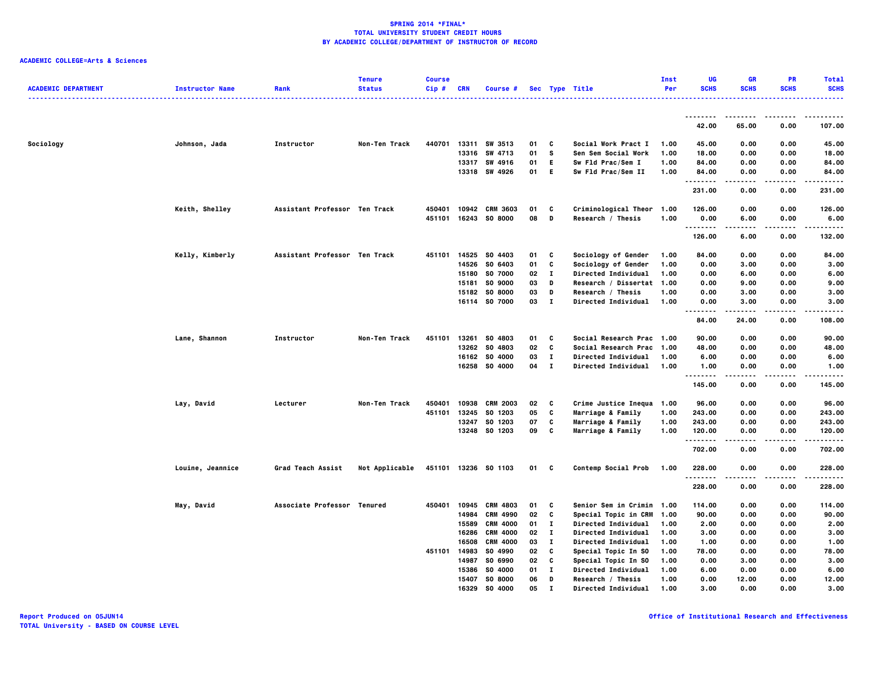| <b>ACADEMIC DEPARTMENT</b> | <b>Instructor Name</b> | Rank                          | <b>Tenure</b><br><b>Status</b> | <b>Course</b><br>Cip# | <b>CRN</b>     | Course #             |          |              | Sec Type Title                             | Inst<br>Per  | UG<br><b>SCHS</b> | <b>GR</b><br><b>SCHS</b> | PR<br><b>SCHS</b> | <b>Total</b><br><b>SCHS</b> |
|----------------------------|------------------------|-------------------------------|--------------------------------|-----------------------|----------------|----------------------|----------|--------------|--------------------------------------------|--------------|-------------------|--------------------------|-------------------|-----------------------------|
|                            |                        |                               |                                |                       |                |                      |          |              |                                            |              |                   |                          |                   |                             |
|                            |                        |                               |                                |                       |                |                      |          |              |                                            |              | 42.00             | 65.00                    | 0.00              | 107.00                      |
| Sociology                  | Johnson, Jada          | Instructor                    | Non-Ten Track                  | 440701                |                | 13311 SW 3513        | 01       | c            | Social Work Pract I                        | 1.00         | 45.00             | 0.00                     | 0.00              | 45.00                       |
|                            |                        |                               |                                |                       | 13316          | SW 4713              | 01       | s            | Sen Sem Social Work                        | 1.00         | 18.00             | 0.00                     | 0.00              | 18.00                       |
|                            |                        |                               |                                |                       |                | 13317 SW 4916        | 01       | E.           | Sw Fld Prac/Sem I                          | 1.00         | 84.00             | 0.00                     | 0.00              | 84.00                       |
|                            |                        |                               |                                |                       |                | 13318 SW 4926        | 01       | Е            | Sw Fld Prac/Sem II                         | 1.00         | 84.00<br>----     | 0.00                     | 0.00<br>$\cdots$  | 84.00<br>.                  |
|                            |                        |                               |                                |                       |                |                      |          |              |                                            |              | 231.00            | 0.00                     | 0.00              | 231.00                      |
|                            | Keith, Shelley         | Assistant Professor Ten Track |                                | 450401                |                | 10942 CRM 3603       | 01       | C            | Criminological Theor                       | 1.00         | 126.00            | 0.00                     | 0.00              | 126.00                      |
|                            |                        |                               |                                | 451101                |                | 16243 SO 8000        | 08       | D            | Research / Thesis                          | 1.00         | 0.00              | 6.00                     | 0.00              | 6.00                        |
|                            |                        |                               |                                |                       |                |                      |          |              |                                            |              | <b>.</b>          |                          |                   | .                           |
|                            |                        |                               |                                |                       |                |                      |          |              |                                            |              | 126.00            | 6.00                     | 0.00              | 132.00                      |
|                            | Kelly, Kimberly        | Assistant Professor Ten Track |                                | 451101                | 14525          | SO 4403              | 01       | c            | Sociology of Gender                        | 1.00         | 84.00             | 0.00                     | 0.00              | 84.00                       |
|                            |                        |                               |                                |                       | 14526          | SO 6403              | 01       | C            | Sociology of Gender                        | 1.00         | 0.00              | 3.00                     | 0.00              | 3.00                        |
|                            |                        |                               |                                |                       | 15180          | SO 7000              | 02       | п            | Directed Individual                        | 1.00         | 0.00              | 6.00                     | 0.00              | 6.00                        |
|                            |                        |                               |                                |                       | 15181          | SO 9000              | 03       | D            | Research / Dissertat                       | 1.00         | 0.00              | 9.00                     | 0.00              | 9.00                        |
|                            |                        |                               |                                |                       | 15182          | <b>SO 8000</b>       | 03       | D            | Research / Thesis                          | 1.00         | 0.00              | 3.00                     | 0.00              | 3.00                        |
|                            |                        |                               |                                |                       |                | 16114 SO 7000        | 03       | $\mathbf{I}$ | <b>Directed Individual</b>                 | 1.00         | 0.00              | 3.00                     | 0.00              | 3.00                        |
|                            |                        |                               |                                |                       |                |                      |          |              |                                            |              | --------<br>84.00 | .<br>24.00               | $- - - -$<br>0.00 | .<br>108.00                 |
|                            | Lane, Shannon          | Instructor                    | Non-Ten Track                  | 451101                | 13261          | SO 4803              | 01       | C            | Social Research Prac 1.00                  |              | 90.00             | 0.00                     | 0.00              | 90.00                       |
|                            |                        |                               |                                |                       | 13262          | SO 4803              | 02       | C            | Social Research Prac 1.00                  |              | 48.00             | 0.00                     | 0.00              | 48.00                       |
|                            |                        |                               |                                |                       |                | 16162 SO 4000        | 03       | $\bf{I}$     | Directed Individual                        | 1.00         | 6.00              | 0.00                     | 0.00              | 6.00                        |
|                            |                        |                               |                                |                       |                | 16258 SO 4000        | 04       | $\bf{I}$     | Directed Individual                        | 1.00         | 1.00              | 0.00                     | 0.00              | 1.00                        |
|                            |                        |                               |                                |                       |                |                      |          |              |                                            |              | .<br>145.00       | -----<br>0.00            | .<br>0.00         | .<br>145.00                 |
|                            |                        | Lecturer                      | Non-Ten Track                  | 450401                | 10938          | <b>CRM 2003</b>      | 02       | C            | Crime Justice Inequa                       | 1.00         | 96.00             | 0.00                     | 0.00              | 96.00                       |
|                            | Lay, David             |                               |                                | 451101                | 13245          | SO 1203              | 05       | C            | Marriage & Family                          | 1.00         | 243.00            | 0.00                     | 0.00              | 243.00                      |
|                            |                        |                               |                                |                       | 13247          | SO 1203              | 07       | C            | Marriage & Family                          | 1.00         | 243.00            | 0.00                     | 0.00              | 243.00                      |
|                            |                        |                               |                                |                       | 13248          | SO 1203              | 09       | C            | Marriage & Family                          | 1.00         | 120.00            | 0.00                     | 0.00              | 120.00                      |
|                            |                        |                               |                                |                       |                |                      |          |              |                                            |              | 702.00            | 0.00                     | 0.00              | 702.00                      |
|                            | Louine, Jeannice       | Grad Teach Assist             | Not Applicable                 |                       |                | 451101 13236 S0 1103 | 01       | C            | Contemp Social Prob                        | 1.00         | 228.00            | 0.00                     | 0.00              | 228.00                      |
|                            |                        |                               |                                |                       |                |                      |          |              |                                            |              | .                 |                          | - - - -           | .                           |
|                            |                        |                               |                                |                       |                |                      |          |              |                                            |              | 228.00            | 0.00                     | 0.00              | 228.00                      |
|                            | May, David             | Associate Professor Tenured   |                                | 450401 10945          |                | CRM 4803             | 01       | C            | Senior Sem in Crimin                       | 1.00         | 114.00            | 0.00                     | 0.00              | 114.00                      |
|                            |                        |                               |                                |                       | 14984          | CRM 4990             | 02       | C            | Special Topic in CRM                       | 1.00         | 90.00             | 0.00                     | 0.00              | 90.00                       |
|                            |                        |                               |                                |                       | 15589          | <b>CRM 4000</b>      | 01       | $\bf{I}$     | Directed Individual                        | 1.00         | 2.00              | 0.00                     | 0.00              | 2.00                        |
|                            |                        |                               |                                |                       | 16286          | <b>CRM 4000</b>      | 02       | $\bf{I}$     | Directed Individual                        | 1.00         | 3.00              | 0.00                     | 0.00              | 3.00                        |
|                            |                        |                               |                                |                       | 16508          | <b>CRM 4000</b>      | 03       | $\bf{I}$     | Directed Individual                        | 1.00         | 1.00              | 0.00                     | 0.00              | 1.00                        |
|                            |                        |                               |                                | 451101                | 14983          | SO 4990              | 02       | C            | Special Topic In SO                        | 1.00         | 78.00             | 0.00                     | 0.00              | 78.00                       |
|                            |                        |                               |                                |                       | 14987<br>15386 | SO 6990<br>SO 4000   | 02<br>01 | C<br>п       | Special Topic In SO<br>Directed Individual | 1.00<br>1.00 | 0.00<br>6.00      | 3.00<br>0.00             | 0.00<br>0.00      | 3.00<br>6.00                |
|                            |                        |                               |                                |                       | 15407          | SO 8000              | 06       | D            | Research / Thesis                          | 1.00         | 0.00              | 12.00                    | 0.00              | 12.00                       |
|                            |                        |                               |                                |                       | 16329          | SO 4000              | 05       |              | Directed Individual                        | 1.00         | 3.00              | 0.00                     | 0.00              | 3.00                        |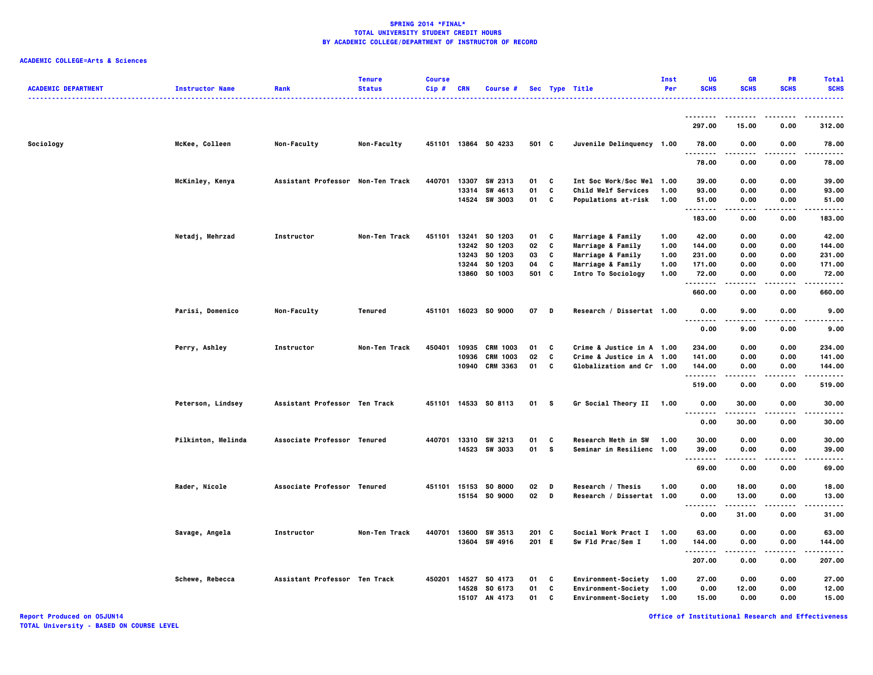## **ACADEMIC COLLEGE=Arts & Sciences**

| <b>ACADEMIC DEPARTMENT</b> | <b>Instructor Name</b> | Rank                              | <b>Tenure</b><br><b>Status</b> | <b>Course</b><br>Cip# | <b>CRN</b> | Course #                       |               |          | Sec Type Title<br>.                              | Inst<br>Per  | <b>UG</b><br><b>SCHS</b> | <b>GR</b><br><b>SCHS</b> | <b>PR</b><br><b>SCHS</b> | <b>Total</b><br><b>SCHS</b> |
|----------------------------|------------------------|-----------------------------------|--------------------------------|-----------------------|------------|--------------------------------|---------------|----------|--------------------------------------------------|--------------|--------------------------|--------------------------|--------------------------|-----------------------------|
|                            |                        |                                   |                                |                       |            |                                |               |          |                                                  |              | 297.00                   | 15.00                    | 0.00                     | 312.00                      |
| Sociology                  | McKee, Colleen         | Non-Faculty                       | Non-Faculty                    |                       |            | 451101 13864 S0 4233           | 501 C         |          | Juvenile Delinquency 1.00                        |              | 78.00                    | 0.00                     | 0.00                     | 78.00                       |
|                            |                        |                                   |                                |                       |            |                                |               |          |                                                  |              | .<br>78.00               | 0.00                     | 0.00                     | .<br>78.00                  |
|                            | McKinley, Kenya        | Assistant Professor Non-Ten Track |                                | 440701                |            | 13307 SW 2313<br>13314 SW 4613 | 01<br>01      | C<br>C   | Int Soc Work/Soc Wel 1.00<br>Child Welf Services | 1.00         | 39.00<br>93.00           | 0.00<br>0.00             | 0.00<br>0.00             | 39.00<br>93.00              |
|                            |                        |                                   |                                |                       |            | 14524 SW 3003                  | 01            | C        | <b>Populations at-risk</b>                       | 1.00         | 51.00<br>.               | 0.00                     | 0.00                     | 51.00                       |
|                            |                        |                                   |                                |                       |            |                                |               |          |                                                  |              | 183.00                   | 0.00                     | 0.00                     | 183.00                      |
|                            | Netadj, Mehrzad        | Instructor                        | Non-Ten Track                  | 451101                |            | 13241 SO 1203<br>13242 SO 1203 | 01<br>02      | C<br>C   | Marriage & Family<br>Marriage & Family           | 1.00<br>1.00 | 42.00<br>144.00          | 0.00<br>0.00             | 0.00<br>0.00             | 42.00<br>144.00             |
|                            |                        |                                   |                                |                       | 13243      | SO 1203                        | 03            | C        | Marriage & Family                                | 1.00         | 231.00                   | 0.00                     | 0.00                     | 231.00                      |
|                            |                        |                                   |                                |                       | 13244      | SO 1203                        | 04            | C        | Marriage & Family                                | 1.00         | 171.00                   | 0.00                     | 0.00                     | 171.00                      |
|                            |                        |                                   |                                |                       | 13860      | SO 1003                        | 501 C         |          | Intro To Sociology                               | 1.00         | 72.00                    | 0.00                     | 0.00                     | 72.00                       |
|                            |                        |                                   |                                |                       |            |                                |               |          |                                                  |              | <br>.<br>660.00          | 0.00                     | 0.00                     | .<br>660.00                 |
|                            | Parisi, Domenico       | Non-Faculty                       | Tenured                        |                       |            | 451101 16023 S0 9000           | 07            | D        | Research / Dissertat 1.00                        |              | 0.00                     | 9.00                     | 0.00                     | 9.00                        |
|                            |                        |                                   |                                |                       |            |                                |               |          |                                                  |              | .<br>0.00                | 9.00                     | .<br>0.00                | 9.00                        |
|                            | Perry, Ashley          | Instructor                        | Non-Ten Track                  | 450401                | 10935      | CRM 1003                       | 01            | C        | Crime & Justice in A 1.00                        |              | 234.00                   | 0.00                     | 0.00                     | 234.00                      |
|                            |                        |                                   |                                |                       | 10936      | <b>CRM 1003</b>                | 02            | C        | Crime & Justice in A 1.00                        |              | 141.00                   | 0.00                     | 0.00                     | 141.00                      |
|                            |                        |                                   |                                |                       |            | 10940 CRM 3363                 | 01            | C        | Globalization and Cr 1.00                        |              | 144.00<br>.              | 0.00<br>.                | 0.00<br>.                | 144.00<br>.                 |
|                            |                        |                                   |                                |                       |            |                                |               |          |                                                  |              | 519.00                   | 0.00                     | 0.00                     | 519.00                      |
|                            | Peterson, Lindsey      | Assistant Professor Ten Track     |                                |                       |            | 451101 14533 S0 8113           | 01 S          |          | Gr Social Theory II 1.00                         |              | 0.00<br>$\ddotsc$<br>.   | 30.00                    | 0.00                     | 30.00<br>. <b>.</b> .       |
|                            |                        |                                   |                                |                       |            |                                |               |          |                                                  |              | 0.00                     | 30.00                    | 0.00                     | 30.00                       |
|                            | Pilkinton, Melinda     | Associate Professor Tenured       |                                | 440701                |            | 13310 SW 3213                  | 01            | c        | <b>Research Meth in SW</b>                       | 1.00         | 30.00                    | 0.00                     | 0.00                     | 30.00                       |
|                            |                        |                                   |                                |                       |            | 14523 SW 3033                  | 01            | <b>S</b> | Seminar in Resilienc 1.00                        |              | 39.00<br>.               | 0.00<br>.                | 0.00                     | 39,00<br>.                  |
|                            |                        |                                   |                                |                       |            |                                |               |          |                                                  |              | 69.00                    | 0.00                     | 0.00                     | 69.00                       |
|                            | Rader, Nicole          | Associate Professor Tenured       |                                |                       |            | 451101 15153 SO 8000           | 02            | D        | Research / Thesis                                | 1.00         | 0.00                     | 18.00                    | 0.00                     | 18.00                       |
|                            |                        |                                   |                                |                       |            | 15154 SO 9000                  | $02$ D        |          | Research / Dissertat 1.00                        |              | 0.00                     | 13.00                    | 0.00                     | 13.00                       |
|                            |                        |                                   |                                |                       |            |                                |               |          |                                                  |              | <br>0.00                 | -----<br>31.00           | $\cdots$<br>0.00         | .<br>31.00                  |
|                            | Savage, Angela         | Instructor                        | Non-Ten Track                  | 440701                |            | 13600 SW 3513                  | $201 \quad C$ |          | Social Work Pract I                              | 1.00         | 63.00                    | 0.00                     | 0.00                     | 63.00                       |
|                            |                        |                                   |                                |                       |            | 13604 SW 4916                  | 201 E         |          | Sw Fld Prac/Sem I                                | 1.00         | 144.00                   | 0.00                     | 0.00                     | 144.00                      |
|                            |                        |                                   |                                |                       |            |                                |               |          |                                                  |              | .<br>207.00              | .<br>0.00                | ----<br>0.00             | .<br>207.00                 |
|                            | Schewe, Rebecca        | Assistant Professor Ten Track     |                                | 450201 14527          |            | SO 4173                        | 01            | C        | <b>Environment-Society</b>                       | 1.00         | 27.00                    | 0.00                     | 0.00                     | 27.00                       |
|                            |                        |                                   |                                |                       | 14528      | SO 6173                        | 01            | C        | <b>Environment-Society</b>                       | 1.00         | 0.00                     | 12.00                    | 0.00                     | 12.00                       |
|                            |                        |                                   |                                |                       |            | 15107 AN 4173                  | 01            | C        | <b>Environment-Society</b>                       | 1.00         | 15.00                    | 0.00                     | 0.00                     | 15.00                       |

**Report Produced on 05JUN14 Office of Institutional Research and Effectiveness**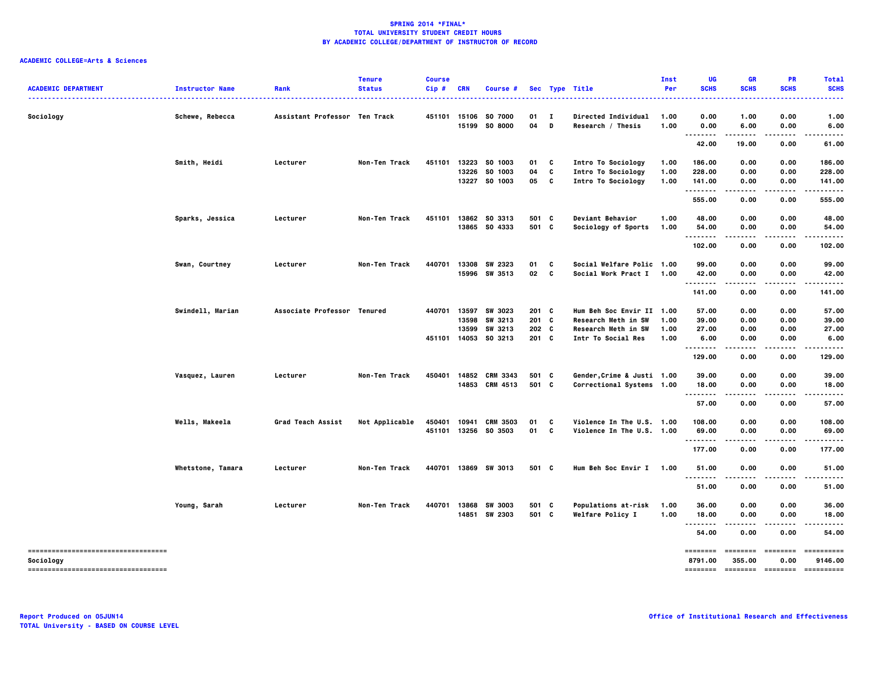| <b>ACADEMIC DEPARTMENT</b>                         | <b>Instructor Name</b> | Rank                          | <b>Tenure</b><br><b>Status</b> | <b>Course</b><br>Cip# | <b>CRN</b>            | Course #                  |                  |        | Sec Type Title                           | Inst<br>Per  | UG<br><b>SCHS</b>   | <b>GR</b><br><b>SCHS</b> | <b>PR</b><br><b>SCHS</b> | <b>Total</b><br><b>SCHS</b>           |
|----------------------------------------------------|------------------------|-------------------------------|--------------------------------|-----------------------|-----------------------|---------------------------|------------------|--------|------------------------------------------|--------------|---------------------|--------------------------|--------------------------|---------------------------------------|
| Sociology                                          | Schewe, Rebecca        | Assistant Professor Ten Track |                                |                       | 451101 15106<br>15199 | SO 7000<br><b>SO 8000</b> | 01<br>04         | п<br>D | Directed Individual<br>Research / Thesis | 1.00<br>1.00 | 0.00<br>0.00        | 1.00<br>6.00             | 0.00<br>0.00             | 1.00<br>6.00                          |
|                                                    |                        |                               |                                |                       |                       |                           |                  |        |                                          |              | - -<br>42.00        | 19.00                    | 0.00                     | 61.00                                 |
|                                                    | Smith, Heidi           | Lecturer                      | Non-Ten Track                  |                       |                       | 451101 13223 S0 1003      | 01               | C      | Intro To Sociology                       | 1.00         | 186.00              | 0.00                     | 0.00                     | 186.00                                |
|                                                    |                        |                               |                                |                       | 13226                 | SO 1003                   | 04               | C      | Intro To Sociology                       | 1.00         | 228.00              | 0.00                     | 0.00                     | 228.00                                |
|                                                    |                        |                               |                                |                       |                       | 13227 SO 1003             | 05               | c      | Intro To Sociology                       | 1.00         | 141.00<br>          | 0.00<br>.                | 0.00                     | 141.00<br>.                           |
|                                                    |                        |                               |                                |                       |                       |                           |                  |        |                                          |              | 555.00              | 0.00                     | 0.00                     | 555.00                                |
|                                                    | Sparks, Jessica        | Lecturer                      | Non-Ten Track                  |                       |                       | 451101 13862 SO 3313      | 501 C            |        | Deviant Behavior                         | 1.00         | 48.00               | 0.00                     | 0.00                     | 48.00                                 |
|                                                    |                        |                               |                                |                       |                       | 13865 SO 4333             | 501 C            |        | Sociology of Sports                      | 1.00         | 54.00<br>--------   | 0.00<br>$- - - -$        | 0.00<br>.                | 54.00                                 |
|                                                    |                        |                               |                                |                       |                       |                           |                  |        |                                          |              | 102.00              | 0.00                     | 0.00                     | 102.00                                |
|                                                    | Swan, Courtney         | Lecturer                      | Non-Ten Track                  | 440701                | 13308                 | SW 2323                   | 01               | C      | Social Welfare Polic 1.00                |              | 99.00               | 0.00                     | 0.00                     | 99.00                                 |
|                                                    |                        |                               |                                |                       | 15996                 | SW 3513                   | 02               | c      | Social Work Pract I 1.00                 |              | 42.00               | 0.00                     | 0.00                     | 42.00                                 |
|                                                    |                        |                               |                                |                       |                       |                           |                  |        |                                          |              | <br>141.00          | 0.00                     | 0.00                     | 141.00                                |
|                                                    | Swindell, Marian       | Associate Professor Tenured   |                                |                       |                       | 440701 13597 SW 3023      | $201 \quad C$    |        | Hum Beh Soc Envir II 1.00                |              | 57.00               | 0.00                     | 0.00                     | 57.00                                 |
|                                                    |                        |                               |                                |                       | 13598                 | SW 3213                   | $201 \quad C$    |        | Research Meth in SW                      | 1.00         | 39.00               | 0.00                     | 0.00                     | 39.00                                 |
|                                                    |                        |                               |                                |                       | 13599                 | SW 3213                   | 202 <sub>c</sub> |        | Research Meth in SW                      | 1.00         | 27.00               | 0.00                     | 0.00                     | 27.00                                 |
|                                                    |                        |                               |                                |                       |                       | 451101 14053 SO 3213      | 201 C            |        | Intr To Social Res                       | 1.00         | 6.00                | 0.00<br>.                | 0.00                     | 6.00                                  |
|                                                    |                        |                               |                                |                       |                       |                           |                  |        |                                          |              | 129.00              | 0.00                     | 0.00                     | 129.00                                |
|                                                    | Vasquez, Lauren        | Lecturer                      | <b>Non-Ten Track</b>           | 450401                |                       | 14852 CRM 3343            | 501 C            |        | Gender, Crime & Justi 1.00               |              | 39.00               | 0.00                     | 0.00                     | 39.00                                 |
|                                                    |                        |                               |                                |                       |                       | 14853 CRM 4513            | 501 C            |        | Correctional Systems 1.00                |              | 18.00               | 0.00                     | 0.00                     | 18.00                                 |
|                                                    |                        |                               |                                |                       |                       |                           |                  |        |                                          |              | .<br>57.00          | .<br>0.00                | 0.00                     | 57.00                                 |
|                                                    | Wells, Makeela         | Grad Teach Assist             | Not Applicable                 | 450401 10941          |                       | <b>CRM 3503</b>           | 01               | C      | Violence In The U.S. 1.00                |              | 108.00              | 0.00                     | 0.00                     | 108.00                                |
|                                                    |                        |                               |                                |                       |                       | 451101 13256 SO 3503      | 01               | C      | Violence In The U.S. 1.00                |              | 69.00               | 0.00                     | 0.00                     | 69.00                                 |
|                                                    |                        |                               |                                |                       |                       |                           |                  |        |                                          |              | <br>177.00          | .<br>0.00                | 0.00                     | 177.00                                |
|                                                    |                        |                               |                                |                       |                       |                           |                  |        |                                          |              |                     |                          |                          |                                       |
|                                                    | Whetstone, Tamara      | Lecturer                      | Non-Ten Track                  |                       |                       | 440701 13869 SW 3013      | 501 C            |        | Hum Beh Soc Envir I 1.00                 |              | 51.00<br>.          | 0.00<br>.                | 0.00<br>-----            | 51.00<br>.                            |
|                                                    |                        |                               |                                |                       |                       |                           |                  |        |                                          |              | 51.00               | 0.00                     | 0.00                     | 51.00                                 |
|                                                    | Young, Sarah           | Lecturer                      | Non-Ten Track                  | 440701                | 13868                 | SW 3003                   | 501 C            |        | Populations at-risk                      | 1.00         | 36.00               | 0.00                     | 0.00                     | 36.00                                 |
|                                                    |                        |                               |                                |                       |                       | 14851 SW 2303             | 501 C            |        | Welfare Policy I                         | 1.00         | 18.00               | 0.00<br>.                | 0.00                     | 18.00                                 |
|                                                    |                        |                               |                                |                       |                       |                           |                  |        |                                          |              | <br>54.00           | 0.00                     | .<br>0.00                | 54.00                                 |
| -------------------------------------<br>Sociology |                        |                               |                                |                       |                       |                           |                  |        |                                          |              | ========<br>8791.00 | ---------<br>355.00      | 0.00                     | ________________________<br>9146.00   |
| ------------------------------------               |                        |                               |                                |                       |                       |                           |                  |        |                                          |              |                     |                          |                          | ======== ======== ======== ========== |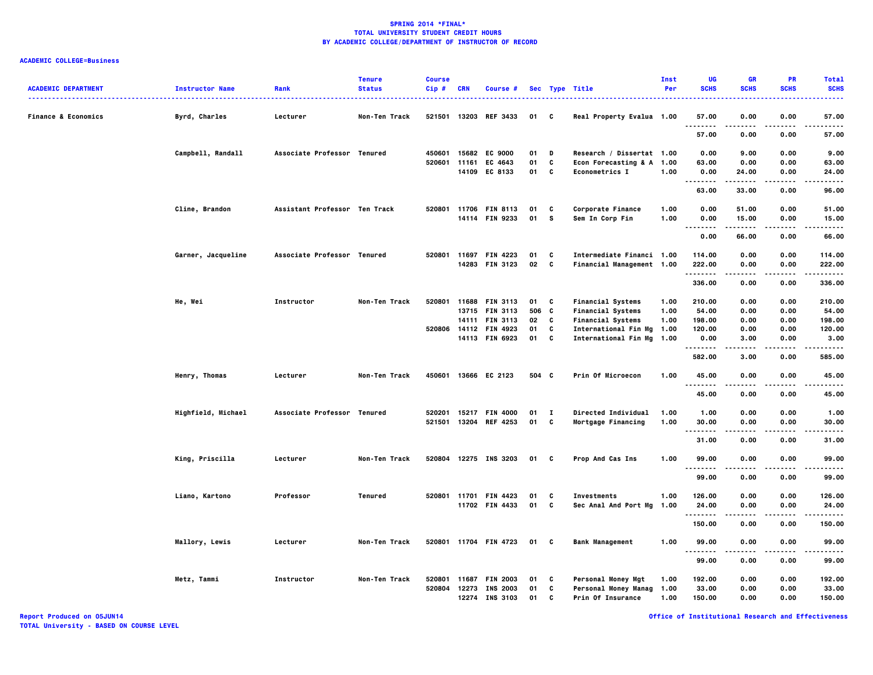| <b>ACADEMIC DEPARTMENT</b>     | <b>Instructor Name</b> | Rank                          | <b>Tenure</b><br><b>Status</b> | <b>Course</b><br>Cip# | CRN   | Course #                 |          |              | Sec Type Title                                     | <b>Inst</b><br>Per | UG<br><b>SCHS</b>                      | <b>GR</b><br><b>SCHS</b> | <b>PR</b><br><b>SCHS</b> | <b>Total</b><br><b>SCHS</b> |
|--------------------------------|------------------------|-------------------------------|--------------------------------|-----------------------|-------|--------------------------|----------|--------------|----------------------------------------------------|--------------------|----------------------------------------|--------------------------|--------------------------|-----------------------------|
| <b>Finance &amp; Economics</b> | Byrd, Charles          | Lecturer                      | Non-Ten Track                  |                       |       | 521501 13203 REF 3433    | 01       | C            | Real Property Evalua 1.00                          |                    | 57.00                                  | 0.00                     | 0.00                     | 57.00                       |
|                                |                        |                               |                                |                       |       |                          |          |              |                                                    |                    | <br>57.00                              | .<br>0.00                | ----<br>0.00             | ----<br>57.00               |
|                                | Campbell, Randall      | Associate Professor Tenured   |                                | 450601                |       | 15682 EC 9000            | 01       | D            | Research / Dissertat 1.00                          |                    | 0.00                                   | 9.00                     | 0.00                     | 9.00                        |
|                                |                        |                               |                                | 520601                | 11161 | EC 4643<br>14109 EC 8133 | 01<br>01 | C<br>C       | Econ Forecasting & A 1.00<br><b>Econometrics I</b> | 1.00               | 63.00<br>0.00                          | 0.00<br>24.00            | 0.00<br>0.00             | 63.00<br>24.00              |
|                                |                        |                               |                                |                       |       |                          |          |              |                                                    |                    | .                                      | -----                    |                          | .                           |
|                                |                        |                               |                                |                       |       |                          |          |              |                                                    |                    | 63.00                                  | 33.00                    | 0.00                     | 96.00                       |
|                                | Cline, Brandon         | Assistant Professor Ten Track |                                |                       |       | 520801 11706 FIN 8113    | 01       | C            | Corporate Finance                                  | 1.00               | 0.00                                   | 51.00                    | 0.00                     | 51.00                       |
|                                |                        |                               |                                |                       |       | 14114 FIN 9233           | 01       | s.           | Sem In Corp Fin                                    | 1.00               | 0.00<br>$\sim$ $\sim$ $\sim$<br>-----  | 15.00<br>.               | 0.00<br>.                | 15.00<br>. <b>.</b> .       |
|                                |                        |                               |                                |                       |       |                          |          |              |                                                    |                    | 0.00                                   | 66.00                    | 0.00                     | 66.00                       |
|                                | Garner, Jacqueline     | Associate Professor Tenured   |                                | 520801                |       | 11697 FIN 4223           | 01       | C            | Intermediate Financi 1.00                          |                    | 114.00                                 | 0.00                     | 0.00                     | 114.00                      |
|                                |                        |                               |                                |                       |       | 14283 FIN 3123           | 02       | C            | Financial Management 1.00                          |                    | 222.00                                 | 0.00                     | 0.00                     | 222.00                      |
|                                |                        |                               |                                |                       |       |                          |          |              |                                                    |                    | <br>336.00                             | .<br>0.00                | .<br>0.00                | .<br>336.00                 |
|                                | He, Wei                | Instructor                    | Non-Ten Track                  | 520801                |       | 11688 FIN 3113           | 01       | C            | <b>Financial Systems</b>                           | 1.00               | 210.00                                 | 0.00                     | 0.00                     | 210.00                      |
|                                |                        |                               |                                |                       |       | 13715 FIN 3113           | 506 C    |              | <b>Financial Systems</b>                           | 1.00               | 54.00                                  | 0.00                     | 0.00                     | 54.00                       |
|                                |                        |                               |                                |                       |       | 14111 FIN 3113           | 02       | C            | <b>Financial Systems</b>                           | 1.00               | 198.00                                 | 0.00                     | 0.00                     | 198.00                      |
|                                |                        |                               |                                | 520806                |       | 14112 FIN 4923           | 01       | C            | International Fin Mg                               | 1.00               | 120.00                                 | 0.00                     | 0.00                     | 120.00                      |
|                                |                        |                               |                                |                       |       | 14113 FIN 6923           | 01       | C            | International Fin Mg                               | 1.00               | 0.00<br>.                              | 3.00<br>.                | 0.00<br>$\cdots$         | 3.00<br>.                   |
|                                |                        |                               |                                |                       |       |                          |          |              |                                                    |                    | 582.00                                 | 3.00                     | 0.00                     | 585.00                      |
|                                | Henry, Thomas          | Lecturer                      | Non-Ten Track                  | 450601                |       | 13666 EC 2123            | 504 C    |              | <b>Prin Of Microecon</b>                           | 1.00               | 45.00<br>                              | 0.00                     | 0.00                     | 45.00                       |
|                                |                        |                               |                                |                       |       |                          |          |              |                                                    |                    | 45.00                                  | 0.00                     | 0.00                     | 45.00                       |
|                                | Highfield, Michael     | Associate Professor Tenured   |                                | 520201                | 15217 | <b>FIN 4000</b>          | 01       | $\mathbf{I}$ | Directed Individual                                | 1.00               | 1.00                                   | 0.00                     | 0.00                     | 1.00                        |
|                                |                        |                               |                                | 521501                |       | 13204 REF 4253           | 01       | c            | Mortgage Financing                                 | 1.00               | 30.00                                  | 0.00                     | 0.00                     | 30.00                       |
|                                |                        |                               |                                |                       |       |                          |          |              |                                                    |                    | -----<br>$\sim$ $\sim$ $\sim$<br>31.00 | 0.00                     | $\cdots$<br>0.00         | $- - - -$<br>31.00          |
|                                | King, Priscilla        | Lecturer                      | Non-Ten Track                  |                       |       | 520804 12275 INS 3203    | 01 C     |              | Prop And Cas Ins                                   | 1.00               | 99.00                                  | 0.00                     | 0.00                     | 99.00                       |
|                                |                        |                               |                                |                       |       |                          |          |              |                                                    |                    | <br>99.00                              | <br>0.00                 | .<br>0.00                | .<br>99.00                  |
|                                | Liano, Kartono         | Professor                     | Tenured                        | 520801 11701          |       | <b>FIN 4423</b>          | 01       | C            | <b>Investments</b>                                 | 1.00               | 126.00                                 | 0.00                     | 0.00                     | 126.00                      |
|                                |                        |                               |                                |                       |       | 11702 FIN 4433           | 01       | C            | Sec Anal And Port Mg                               | 1.00               | 24.00                                  | 0.00                     | 0.00                     | 24.00                       |
|                                |                        |                               |                                |                       |       |                          |          |              |                                                    |                    | .<br>150.00                            | <br>0.00                 | .<br>0.00                | .<br>150.00                 |
|                                | <b>Mallory, Lewis</b>  | Lecturer                      | Non-Ten Track                  |                       |       | 520801 11704 FIN 4723    | 01 C     |              | <b>Bank Management</b>                             | 1.00               | 99.00                                  | 0.00                     | 0.00                     | 99.00                       |
|                                |                        |                               |                                |                       |       |                          |          |              |                                                    |                    | $\sim$ $\sim$ $\sim$<br><br>99.00      | 0.00                     | 0.00                     | 99.00                       |
|                                | Metz, Tammi            | Instructor                    | Non-Ten Track                  | 520801                | 11687 | <b>FIN 2003</b>          | 01       | C            | <b>Personal Money Mgt</b>                          | 1.00               | 192.00                                 | 0.00                     | 0.00                     | 192.00                      |
|                                |                        |                               |                                | 520804                |       | 12273 INS 2003           | 01       | C            | <b>Personal Money Manag</b>                        | 1.00               | 33.00                                  | 0.00                     | 0.00                     | 33.00                       |
|                                |                        |                               |                                |                       |       | 12274 INS 3103           | 01       | C            | <b>Prin Of Insurance</b>                           | 1.00               | 150.00                                 | 0.00                     | 0.00                     | 150.00                      |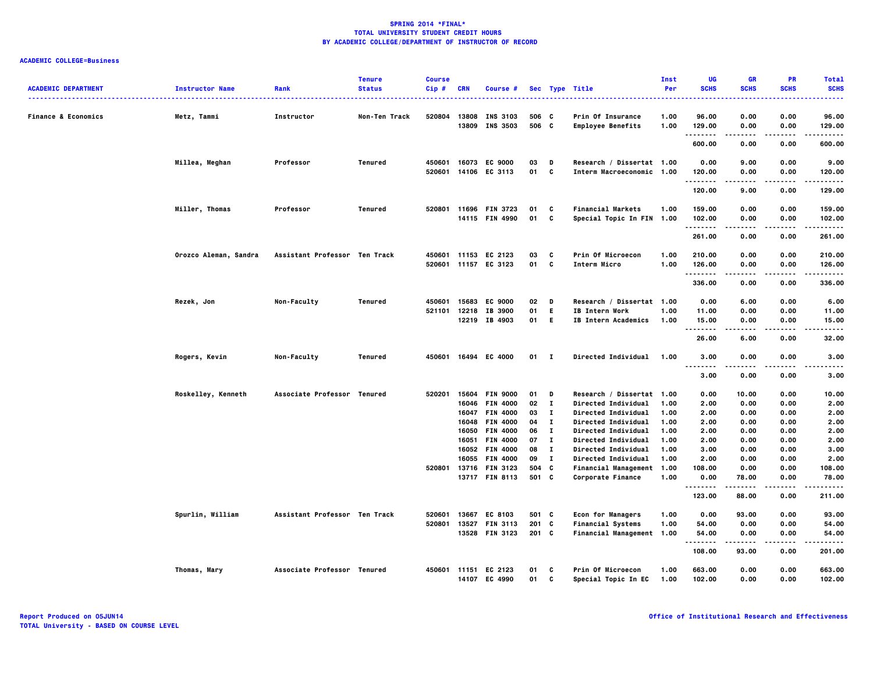| <b>ACADEMIC DEPARTMENT</b>     |                        | Rank                          | <b>Tenure</b><br><b>Status</b> | <b>Course</b><br>Cip# | <b>CRN</b> |                                   |                |                   |                                                      | <b>Inst</b><br>Per | UG<br><b>SCHS</b> | <b>GR</b><br><b>SCHS</b> | <b>PR</b><br><b>SCHS</b> | <b>Total</b><br><b>SCHS</b> |
|--------------------------------|------------------------|-------------------------------|--------------------------------|-----------------------|------------|-----------------------------------|----------------|-------------------|------------------------------------------------------|--------------------|-------------------|--------------------------|--------------------------|-----------------------------|
|                                | <b>Instructor Name</b> |                               |                                |                       |            | Course #                          |                |                   | Sec Type Title                                       |                    |                   |                          |                          |                             |
|                                |                        |                               |                                |                       |            |                                   |                |                   |                                                      |                    |                   |                          |                          |                             |
| <b>Finance &amp; Economics</b> | Metz, Tammi            | Instructor                    | Non-Ten Track                  | 520804                | 13808      | <b>INS 3103</b><br>13809 INS 3503 | 506 C<br>506 C |                   | <b>Prin Of Insurance</b><br><b>Employee Benefits</b> | 1.00<br>1.00       | 96.00<br>129.00   | 0.00<br>0.00             | 0.00<br>0.00             | 96.00<br>129.00             |
|                                |                        |                               |                                |                       |            |                                   |                |                   |                                                      |                    | .                 | .                        | .                        | .                           |
|                                |                        |                               |                                |                       |            |                                   |                |                   |                                                      |                    | 600.00            | 0.00                     | 0.00                     | 600.00                      |
|                                | Millea, Meghan         | Professor                     | Tenured                        | 450601                |            | 16073 EC 9000                     | 03             | D                 | Research / Dissertat 1.00                            |                    | 0.00              | 9.00                     | 0.00                     | 9.00                        |
|                                |                        |                               |                                | 520601                |            | 14106 EC 3113                     | 01             | c                 | Interm Macroeconomic 1.00                            |                    | 120.00            | 0.00                     | 0.00                     | 120.00                      |
|                                |                        |                               |                                |                       |            |                                   |                |                   |                                                      |                    | .<br>120.00       | 9.00                     | 0.00                     | .<br>129.00                 |
|                                | Miller, Thomas         | Professor                     | Tenured                        |                       |            | 520801 11696 FIN 3723             | 01             | C                 | <b>Financial Markets</b>                             | 1.00               | 159.00            | 0.00                     | 0.00                     | 159.00                      |
|                                |                        |                               |                                |                       |            | 14115 FIN 4990                    | 01             | c                 | Special Topic In FIN 1.00                            |                    | 102.00            | 0.00                     | 0.00                     | 102.00                      |
|                                |                        |                               |                                |                       |            |                                   |                |                   |                                                      |                    | <b>.</b>          | .                        | 0.00                     | .<br>261.00                 |
|                                |                        |                               |                                |                       |            |                                   |                |                   |                                                      |                    | 261.00            | 0.00                     |                          |                             |
|                                | Orozco Aleman, Sandra  | Assistant Professor Ten Track |                                |                       |            | 450601 11153 EC 2123              | 03             | C                 | Prin Of Microecon                                    | 1.00               | 210.00            | 0.00                     | 0.00                     | 210.00                      |
|                                |                        |                               |                                |                       |            | 520601 11157 EC 3123              | 01             | C                 | Interm Micro                                         | 1.00               | 126.00            | 0.00                     | 0.00                     | 126.00                      |
|                                |                        |                               |                                |                       |            |                                   |                |                   |                                                      |                    | 336.00            | 0.00                     | 0.00                     | 336.00                      |
|                                |                        |                               |                                |                       |            |                                   |                |                   |                                                      |                    |                   |                          |                          |                             |
|                                | Rezek, Jon             | Non-Faculty                   | Tenured                        | 450601<br>521101      |            | 15683 EC 9000<br>12218 IB 3900    | 02<br>01       | D<br>E            | Research / Dissertat 1.00<br>IB Intern Work          | 1.00               | 0.00<br>11.00     | 6.00<br>0.00             | 0.00<br>0.00             | 6.00<br>11.00               |
|                                |                        |                               |                                |                       |            | 12219 IB 4903                     | 01 E           |                   | <b>IB Intern Academics</b>                           | 1.00               | 15.00             | 0.00                     | 0.00                     | 15.00                       |
|                                |                        |                               |                                |                       |            |                                   |                |                   |                                                      |                    |                   |                          |                          | $- - - -$                   |
|                                |                        |                               |                                |                       |            |                                   |                |                   |                                                      |                    | 26.00             | 6.00                     | 0.00                     | 32.00                       |
|                                | Rogers, Kevin          | Non-Faculty                   | Tenured                        |                       |            | 450601 16494 EC 4000              | $01$ I         |                   | Directed Individual                                  | 1.00               | 3.00              | 0.00                     | 0.00                     | 3.00                        |
|                                |                        |                               |                                |                       |            |                                   |                |                   |                                                      |                    | .<br>3.00         | 0.00                     | 0.00                     | 3.00                        |
|                                |                        |                               |                                |                       |            |                                   |                |                   |                                                      |                    |                   |                          |                          |                             |
|                                | Roskelley, Kenneth     | Associate Professor Tenured   |                                | 520201                |            | 15604 FIN 9000                    | 01             | D                 | Research / Dissertat 1.00                            |                    | 0.00              | 10.00                    | 0.00                     | 10.00                       |
|                                |                        |                               |                                |                       | 16046      | <b>FIN 4000</b>                   | 02             | $\mathbf{I}$      | Directed Individual                                  | 1.00               | 2.00              | 0.00                     | 0.00                     | 2.00                        |
|                                |                        |                               |                                |                       |            | 16047 FIN 4000                    | 03             | $\mathbf{I}$      | <b>Directed Individual</b>                           | 1.00               | 2.00              | 0.00                     | 0.00                     | 2.00                        |
|                                |                        |                               |                                |                       | 16048      | <b>FIN 4000</b>                   | 04             | $\mathbf{I}$      | Directed Individual                                  | 1.00               | 2.00              | 0.00                     | 0.00                     | 2.00                        |
|                                |                        |                               |                                |                       | 16050      | <b>FIN 4000</b>                   | 06<br>07       | п<br>$\mathbf{I}$ | <b>Directed Individual</b>                           | 1.00               | 2.00              | 0.00                     | 0.00<br>0.00             | 2.00                        |
|                                |                        |                               |                                |                       |            | 16051 FIN 4000<br>16052 FIN 4000  | 08             | $\mathbf{I}$      | Directed Individual<br>Directed Individual           | 1.00<br>1.00       | 2.00<br>3.00      | 0.00<br>0.00             | 0.00                     | 2.00<br>3.00                |
|                                |                        |                               |                                |                       |            | 16055 FIN 4000                    | 09             | $\mathbf{I}$      | <b>Directed Individual</b>                           | 1.00               | 2.00              | 0.00                     | 0.00                     | 2.00                        |
|                                |                        |                               |                                | 520801                |            | 13716 FIN 3123                    | 504 C          |                   | Financial Management                                 | 1.00               | 108.00            | 0.00                     | 0.00                     | 108.00                      |
|                                |                        |                               |                                |                       |            | 13717 FIN 8113                    | 501 C          |                   | Corporate Finance                                    | 1.00               | 0.00              | 78.00                    | 0.00                     | 78.00                       |
|                                |                        |                               |                                |                       |            |                                   |                |                   |                                                      |                    | <br>123.00        | 88.00                    | . <b>.</b> .<br>0.00     | .<br>211.00                 |
|                                |                        |                               |                                |                       |            |                                   |                |                   |                                                      |                    |                   |                          |                          |                             |
|                                | Spurlin, William       | Assistant Professor Ten Track |                                | 520601                | 13667      | EC 8103                           | 501 C          |                   | <b>Econ for Managers</b>                             | 1.00               | 0.00              | 93.00                    | 0.00                     | 93.00                       |
|                                |                        |                               |                                | 520801                |            | 13527 FIN 3113                    | 201 C          |                   | Financial Systems                                    | 1.00               | 54.00             | 0.00                     | 0.00                     | 54.00                       |
|                                |                        |                               |                                |                       |            | 13528 FIN 3123                    | $201$ C        |                   | Financial Management 1.00                            |                    | 54.00<br>.        | 0.00<br>.                | 0.00<br>.                | 54.00<br>.                  |
|                                |                        |                               |                                |                       |            |                                   |                |                   |                                                      |                    | 108.00            | 93.00                    | 0.00                     | 201.00                      |
|                                | Thomas, Mary           | Associate Professor Tenured   |                                | 450601 11151          |            | EC 2123                           | 01             | C                 | <b>Prin Of Microecon</b>                             | 1.00               | 663.00            | 0.00                     | 0.00                     | 663.00                      |
|                                |                        |                               |                                |                       |            | 14107 EC 4990                     | 01             | C                 | Special Topic In EC                                  | 1.00               | 102.00            | 0.00                     | 0.00                     | 102.00                      |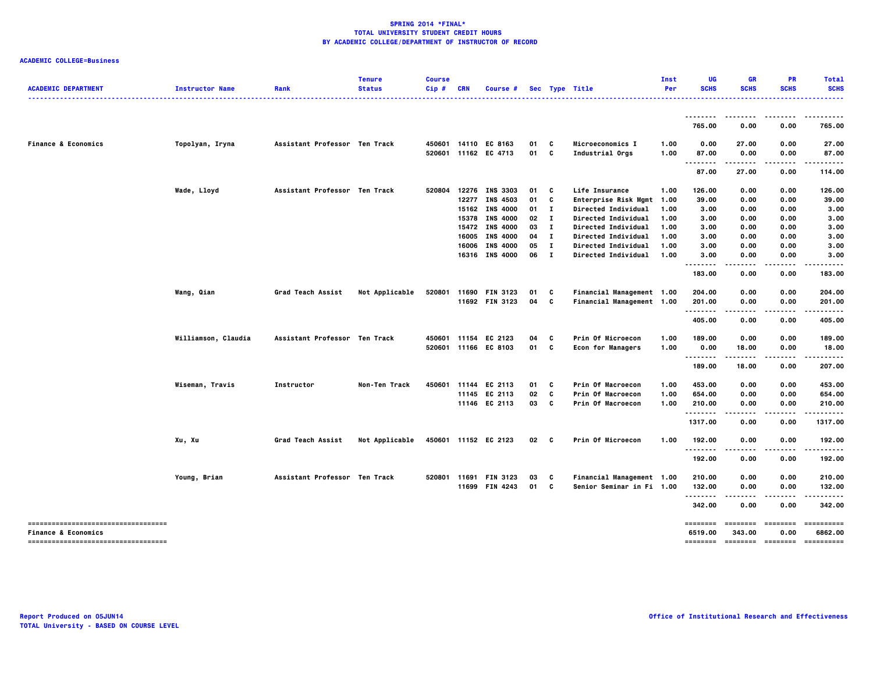| <b>ACADEMIC DEPARTMENT</b>          | <b>Instructor Name</b> | Rank                          | <b>Tenure</b><br><b>Status</b> | <b>Course</b><br>Cip# | <b>CRN</b>   | Course #                          |                 |              | Sec Type Title            | Inst<br>Per | UG<br><b>SCHS</b>             | <b>GR</b><br><b>SCHS</b>     | <b>PR</b><br><b>SCHS</b> | <b>Total</b><br><b>SCHS</b> |
|-------------------------------------|------------------------|-------------------------------|--------------------------------|-----------------------|--------------|-----------------------------------|-----------------|--------------|---------------------------|-------------|-------------------------------|------------------------------|--------------------------|-----------------------------|
|                                     |                        |                               |                                |                       |              |                                   |                 |              |                           |             |                               |                              |                          | .<br>.                      |
|                                     |                        |                               |                                |                       |              |                                   |                 |              |                           |             | 765.00                        | 0.00                         | 0.00                     | 765.00                      |
| <b>Finance &amp; Economics</b>      | Topolyan, Iryna        | Assistant Professor Ten Track |                                |                       |              | 450601 14110 EC 8163              | 01              | C            | Microeconomics I          | 1.00        | 0.00                          | 27.00                        | 0.00                     | 27.00                       |
|                                     |                        |                               |                                |                       |              | 520601 11162 EC 4713              | 01              | C            | Industrial Orgs           | 1.00        | 87.00<br>$\sim$ $\sim$ $\sim$ | 0.00                         | 0.00                     | 87.00                       |
|                                     |                        |                               |                                |                       |              |                                   |                 |              |                           |             | 87.00                         | 27.00                        | 0.00                     | 114.00                      |
|                                     | Wade, Lloyd            | Assistant Professor Ten Track |                                | 520804                |              | 12276 INS 3303                    | 01              | C            | Life Insurance            | 1.00        | 126.00                        | 0.00                         | 0.00                     | 126.00                      |
|                                     |                        |                               |                                |                       |              | 12277 INS 4503                    | 01              | C            | Enterprise Risk Mgmt 1.00 |             | 39.00                         | 0.00                         | 0.00                     | 39.00                       |
|                                     |                        |                               |                                |                       |              | 15162 INS 4000                    | 01              | $\mathbf{I}$ | Directed Individual       | 1.00        | 3.00                          | 0.00                         | 0.00                     | 3.00                        |
|                                     |                        |                               |                                |                       | 15378        | <b>INS 4000</b>                   | 02              | $\mathbf{I}$ | Directed Individual       | 1.00        | 3.00                          | 0.00                         | 0.00                     | 3.00                        |
|                                     |                        |                               |                                |                       | 15472        | <b>INS 4000</b>                   | 03              | л.           | Directed Individual       | 1.00        | 3.00                          | 0.00                         | 0.00                     | 3.00                        |
|                                     |                        |                               |                                |                       | 16005        | <b>INS 4000</b>                   | 04              | $\mathbf{I}$ | Directed Individual       | 1.00        | 3.00                          | 0.00                         | 0.00                     | 3.00                        |
|                                     |                        |                               |                                |                       | 16006        | <b>INS 4000</b>                   | 05              | $\mathbf{I}$ | Directed Individual       | 1.00        | 3.00                          | 0.00                         | 0.00                     | 3.00                        |
|                                     |                        |                               |                                |                       |              | 16316 INS 4000                    | 06              | $\mathbf{I}$ | Directed Individual       | 1.00        | 3.00<br>--------              | 0.00<br>$\sim$ $\sim$ $\sim$ | 0.00                     | 3.00                        |
|                                     |                        |                               |                                |                       |              |                                   |                 |              |                           |             | 183.00                        | 0.00                         | 0.00                     | 183.00                      |
|                                     | Wang, Qian             | Grad Teach Assist             | Not Applicable                 | 520801                | 11690        | <b>FIN 3123</b>                   | 01              | C            | Financial Management 1.00 |             | 204.00                        | 0.00                         | 0.00                     | 204.00                      |
|                                     |                        |                               |                                |                       |              | 11692 FIN 3123                    | 04              | C            | Financial Management 1.00 |             | 201.00                        | 0.00                         | 0.00                     | 201.00                      |
|                                     |                        |                               |                                |                       |              |                                   |                 |              |                           |             | <br>405.00                    | .<br>0.00                    | 0.00                     | 405.00                      |
|                                     | Williamson, Claudia    | Assistant Professor Ten Track |                                |                       | 450601 11154 | EC 2123                           | 04              | C            | Prin Of Microecon         | 1.00        | 189.00                        | 0.00                         | 0.00                     | 189.00                      |
|                                     |                        |                               |                                |                       |              | 520601 11166 EC 8103              | 01 C            |              | <b>Econ for Managers</b>  | 1.00        | 0.00                          | 18.00                        | 0.00                     | 18.00                       |
|                                     |                        |                               |                                |                       |              |                                   |                 |              |                           |             |                               | .                            | .                        | .                           |
|                                     |                        |                               |                                |                       |              |                                   |                 |              |                           |             | 189.00                        | 18.00                        | 0.00                     | 207.00                      |
|                                     | Wiseman, Travis        | Instructor                    | Non-Ten Track                  | 450601                |              | 11144 EC 2113                     | 01              | C            | Prin Of Macroecon         | 1.00        | 453.00                        | 0.00                         | 0.00                     | 453.00                      |
|                                     |                        |                               |                                |                       |              | 11145 EC 2113                     | 02              | C            | Prin Of Macroecon         | 1.00        | 654.00                        | 0.00                         | 0.00                     | 654.00                      |
|                                     |                        |                               |                                |                       |              | 11146 EC 2113                     | 03              | C            | Prin Of Macroecon         | 1.00        | 210.00<br>--------            | 0.00                         | 0.00                     | 210.00                      |
|                                     |                        |                               |                                |                       |              |                                   |                 |              |                           |             | 1317.00                       | 0.00                         | 0.00                     | 1317.00                     |
|                                     | Xu, Xu                 | <b>Grad Teach Assist</b>      | Not Applicable                 |                       |              | 450601 11152 EC 2123              | 02 <sub>c</sub> |              | Prin Of Microecon         | 1.00        | 192.00                        | 0.00                         | 0.00                     | 192.00                      |
|                                     |                        |                               |                                |                       |              |                                   |                 |              |                           |             | <br>192.00                    | 0.00                         | 0.00                     | 192.00                      |
|                                     |                        | Assistant Professor Ten Track |                                | 520801                | 11691        |                                   |                 |              | Financial Management 1.00 |             |                               |                              |                          | 210.00                      |
|                                     | Young, Brian           |                               |                                |                       |              | <b>FIN 3123</b><br>11699 FIN 4243 | 03<br>01        | C<br>C       | Senior Seminar in Fi 1.00 |             | 210.00<br>132.00              | 0.00<br>0.00                 | 0.00<br>0.00             | 132.00                      |
|                                     |                        |                               |                                |                       |              |                                   |                 |              |                           |             | .                             | .                            | .                        |                             |
|                                     |                        |                               |                                |                       |              |                                   |                 |              |                           |             | 342.00                        | 0.00                         | 0.00                     | 342.00                      |
|                                     |                        |                               |                                |                       |              |                                   |                 |              |                           |             | ========                      | ========                     | ========                 | ==========                  |
| <b>Finance &amp; Economics</b>      |                        |                               |                                |                       |              |                                   |                 |              |                           |             | 6519.00                       | 343.00                       | 0.00                     | 6862.00                     |
| ----------------------------------- |                        |                               |                                |                       |              |                                   |                 |              |                           |             | ========                      |                              | --------- -------        | ==========                  |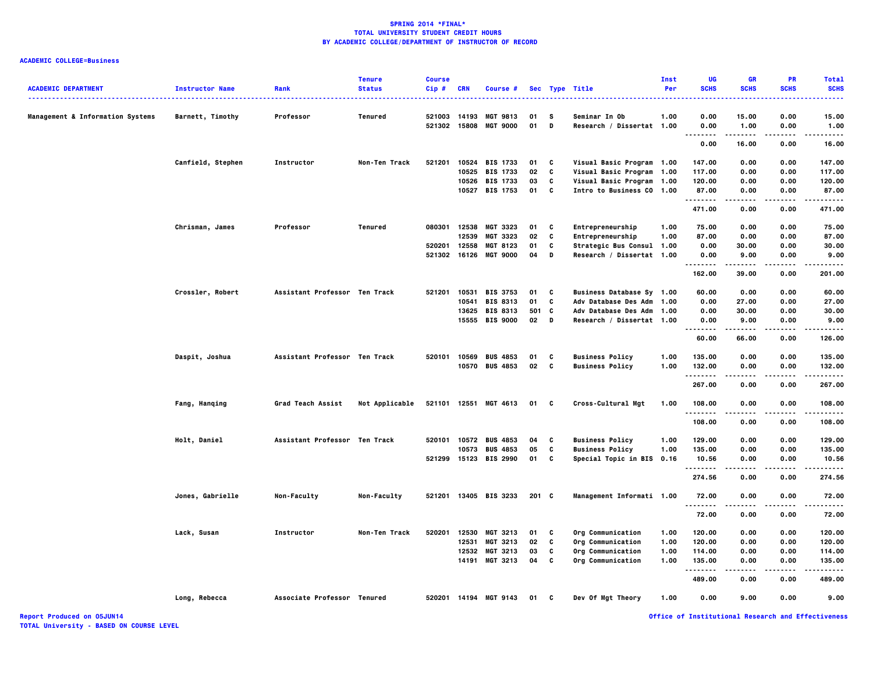## **ACADEMIC COLLEGE=Business**

| <b>ACADEMIC DEPARTMENT</b>                  | <b>Instructor Name</b><br><u>.</u> | Rank                          | <b>Tenure</b><br><b>Status</b> | <b>Course</b><br>Cip# | <b>CRN</b> | Course #              |       |   | Sec Type Title            | Inst<br>Per | UG<br><b>SCHS</b> | <b>GR</b><br><b>SCHS</b> | PR<br><b>SCHS</b> | <b>Total</b><br><b>SCHS</b> |
|---------------------------------------------|------------------------------------|-------------------------------|--------------------------------|-----------------------|------------|-----------------------|-------|---|---------------------------|-------------|-------------------|--------------------------|-------------------|-----------------------------|
| <b>Management &amp; Information Systems</b> | Barnett, Timothy                   | Professor                     | Tenured                        | 521003                | 14193      | <b>MGT 9813</b>       | 01    | s | Seminar In Ob             | 1.00        | 0.00              | 15.00                    | 0.00              | -----<br>15.00              |
|                                             |                                    |                               |                                | 521302                | 15808      | <b>MGT 9000</b>       | 01    | D | Research / Dissertat 1.00 |             | 0.00<br>.         | 1.00                     | 0.00              | 1.00                        |
|                                             |                                    |                               |                                |                       |            |                       |       |   |                           |             | 0.00              | 16.00                    | 0.00              | 16.00                       |
|                                             | Canfield, Stephen                  | Instructor                    | Non-Ten Track                  | 521201                |            | 10524 BIS 1733        | 01    | C | Visual Basic Program 1.00 |             | 147.00            | 0.00                     | 0.00              | 147.00                      |
|                                             |                                    |                               |                                |                       | 10525      | <b>BIS 1733</b>       | 02    | C | Visual Basic Program      | 1.00        | 117.00            | 0.00                     | 0.00              | 117.00                      |
|                                             |                                    |                               |                                |                       |            | 10526 BIS 1733        | 03    | C | Visual Basic Program 1.00 |             | 120.00            | 0.00                     | 0.00              | 120.00                      |
|                                             |                                    |                               |                                |                       |            | 10527 BIS 1753        | 01    | C | Intro to Business CO 1.00 |             | 87.00<br>.        | 0.00<br>.                | 0.00<br>.         | 87.00<br>.                  |
|                                             |                                    |                               |                                |                       |            |                       |       |   |                           |             | 471.00            | 0.00                     | 0.00              | 471.00                      |
|                                             | Chrisman, James                    | Professor                     | Tenured                        | 080301                | 12538      | <b>MGT 3323</b>       | 01    | C | Entrepreneurship          | 1.00        | 75.00             | 0.00                     | 0.00              | 75.00                       |
|                                             |                                    |                               |                                |                       | 12539      | MGT 3323              | 02    | C | Entrepreneurship          | 1.00        | 87.00             | 0.00                     | 0.00              | 87.00                       |
|                                             |                                    |                               |                                | 520201                | 12558      | MGT 8123              | 01    | C | Strategic Bus Consul 1.00 |             | 0.00              | 30.00                    | 0.00              | 30.00                       |
|                                             |                                    |                               |                                |                       |            | 521302 16126 MGT 9000 | 04    | D | Research / Dissertat 1.00 |             | 0.00<br>.         | 9.00<br>.                | 0.00<br>.         | 9.00<br>-----               |
|                                             |                                    |                               |                                |                       |            |                       |       |   |                           |             | 162.00            | 39.00                    | 0.00              | 201.00                      |
|                                             | Crossler, Robert                   | Assistant Professor Ten Track |                                | 521201                | 10531      | <b>BIS 3753</b>       | 01    | C | Business Database Sy 1.00 |             | 60.00             | 0.00                     | 0.00              | 60.00                       |
|                                             |                                    |                               |                                |                       | 10541      | <b>BIS 8313</b>       | 01    | C | Adv Database Des Adm 1.00 |             | 0.00              | 27.00                    | 0.00              | 27.00                       |
|                                             |                                    |                               |                                |                       | 13625      | <b>BIS 8313</b>       | 501   | C | Adv Database Des Adm 1.00 |             | 0.00              | 30.00                    | 0.00              | 30.00                       |
|                                             |                                    |                               |                                |                       |            | 15555 BIS 9000        | 02    | D | Research / Dissertat 1.00 |             | 0.00<br>          | 9.00<br>.                | 0.00<br>$- - -$   | 9.00<br>.                   |
|                                             |                                    |                               |                                |                       |            |                       |       |   |                           |             | 60.00             | 66.00                    | 0.00              | 126.00                      |
|                                             | Daspit, Joshua                     | Assistant Professor Ten Track |                                | 520101                | 10569      | <b>BUS 4853</b>       | 01    | C | <b>Business Policy</b>    | 1.00        | 135.00            | 0.00                     | 0.00              | 135.00                      |
|                                             |                                    |                               |                                |                       |            | 10570 BUS 4853        | 02    | C | <b>Business Policy</b>    | 1.00        | 132.00<br>.       | 0.00                     | 0.00              | 132.00<br>$- - - - - -$     |
|                                             |                                    |                               |                                |                       |            |                       |       |   |                           |             | 267.00            | 0.00                     | 0.00              | 267.00                      |
|                                             | Fang, Hanqing                      | Grad Teach Assist             | Not Applicable                 |                       |            | 521101 12551 MGT 4613 | 01 C  |   | Cross-Cultural Mgt        | 1.00        | 108.00<br>.       | 0.00                     | 0.00              | 108.00<br>.                 |
|                                             |                                    |                               |                                |                       |            |                       |       |   |                           |             | 108.00            | 0.00                     | 0.00              | 108.00                      |
|                                             | Holt, Daniel                       | Assistant Professor Ten Track |                                | 520101                |            | 10572 BUS 4853        | 04    | C | <b>Business Policy</b>    | 1.00        | 129.00            | 0.00                     | 0.00              | 129.00                      |
|                                             |                                    |                               |                                |                       | 10573      | <b>BUS 4853</b>       | 05    | C | <b>Business Policy</b>    | 1.00        | 135.00            | 0.00                     | 0.00              | 135.00                      |
|                                             |                                    |                               |                                | 521299                |            | 15123 BIS 2990        | 01    | C | Special Topic in BIS 0.16 |             | 10.56             | 0.00                     | 0.00              | 10.56                       |
|                                             |                                    |                               |                                |                       |            |                       |       |   |                           |             | .<br>274.56       | 0.00                     | 0.00              | .<br>274.56                 |
|                                             | Jones, Gabrielle                   | <b>Non-Faculty</b>            | <b>Non-Faculty</b>             |                       |            | 521201 13405 BIS 3233 | 201 C |   | Management Informati 1.00 |             | 72.00             | 0.00                     | 0.00              | 72.00                       |
|                                             |                                    |                               |                                |                       |            |                       |       |   |                           |             | .<br>72.00        | 0.00                     | 0.00              | .<br>72.00                  |
|                                             | Lack, Susan                        | Instructor                    | Non-Ten Track                  | 520201                |            | 12530 MGT 3213        | 01    | C | Org Communication         | 1.00        | 120.00            | 0.00                     | 0.00              | 120.00                      |
|                                             |                                    |                               |                                |                       | 12531      | MGT 3213              | 02    | C | Org Communication         | 1.00        | 120.00            | 0.00                     | 0.00              | 120.00                      |
|                                             |                                    |                               |                                |                       |            | 12532 MGT 3213        | 03    | C | Org Communication         | 1.00        | 114.00            | 0.00                     | 0.00              | 114.00                      |
|                                             |                                    |                               |                                |                       |            | 14191 MGT 3213        | 04    | C | Org Communication         | 1.00        | 135.00            | 0.00                     | 0.00              | 135.00                      |
|                                             |                                    |                               |                                |                       |            |                       |       |   |                           |             | .<br>489.00       | 0.00                     | 0.00              | 489.00                      |
|                                             | Long, Rebecca                      | Associate Professor Tenured   |                                |                       |            | 520201 14194 MGT 9143 | 01 C  |   | Dev Of Mgt Theory         | 1.00        | 0.00              | 9.00                     | 0.00              | 9.00                        |

**Report Produced on 05JUN14 Office of Institutional Research and Effectiveness**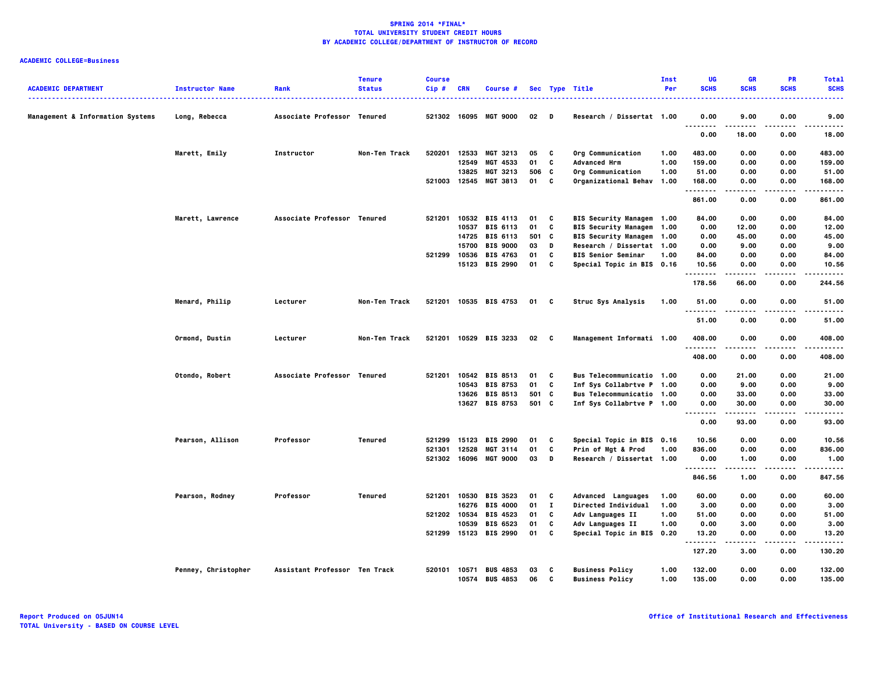| <b>ACADEMIC DEPARTMENT</b>                  | <b>Instructor Name</b> | Rank                          | <b>Tenure</b><br><b>Status</b> | <b>Course</b><br>Cip# | <b>CRN</b> | Course #                          |          |              | Sec Type Title                                   | Inst<br>Per  | UG<br><b>SCHS</b>     | <b>GR</b><br><b>SCHS</b> | <b>PR</b><br><b>SCHS</b> | <b>Total</b><br><b>SCHS</b> |
|---------------------------------------------|------------------------|-------------------------------|--------------------------------|-----------------------|------------|-----------------------------------|----------|--------------|--------------------------------------------------|--------------|-----------------------|--------------------------|--------------------------|-----------------------------|
| <b>Management &amp; Information Systems</b> | Long, Rebecca          | Associate Professor Tenured   |                                |                       |            | 521302 16095 MGT 9000             | $02$ D   |              | Research / Dissertat 1.00                        |              | 0.00<br>$\sim$ $\sim$ | 9.00                     | 0.00                     | 9.00                        |
|                                             |                        |                               |                                |                       |            |                                   |          |              |                                                  |              | .<br>0.00             | 18.00                    | ----<br>0.00             | $- - - - -$<br>18.00        |
|                                             | Marett, Emily          | Instructor                    | Non-Ten Track                  | 520201                | 12533      | MGT 3213                          | 05       | $\mathbf{c}$ | Org Communication                                | 1.00         | 483.00                | 0.00                     | 0.00                     | 483.00                      |
|                                             |                        |                               |                                |                       | 12549      | MGT 4533                          | 01       | C            | <b>Advanced Hrm</b>                              | 1.00         | 159.00                | 0.00                     | 0.00                     | 159.00                      |
|                                             |                        |                               |                                |                       |            | 13825 MGT 3213                    | 506 C    |              | Org Communication                                | 1.00         | 51.00                 | 0.00                     | 0.00                     | 51.00                       |
|                                             |                        |                               |                                | 521003                | 12545      | <b>MGT 3813</b>                   | 01       | C            | Organizational Behav                             | 1.00         | 168.00                | 0.00                     | 0.00                     | 168.00                      |
|                                             |                        |                               |                                |                       |            |                                   |          |              |                                                  |              | .<br>861.00           | 0.00                     | 0.00                     | .<br>861.00                 |
|                                             | Marett, Lawrence       | Associate Professor Tenured   |                                | 521201                |            | 10532 BIS 4113                    | 01       | C            | BIS Security Managem 1.00                        |              | 84.00                 | 0.00                     | 0.00                     | 84.00                       |
|                                             |                        |                               |                                |                       |            | 10537 BIS 6113                    | 01       | C            | BIS Security Managem 1.00                        |              | 0.00                  | 12.00                    | 0.00                     | 12.00                       |
|                                             |                        |                               |                                |                       |            | 14725 BIS 6113                    | 501      | c            | BIS Security Managem 1.00                        |              | 0.00                  | 45.00                    | 0.00                     | 45.00                       |
|                                             |                        |                               |                                |                       | 15700      | <b>BIS 9000</b>                   | 03       | D            | Research / Dissertat 1.00                        |              | 0.00                  | 9.00                     | 0.00                     | 9.00                        |
|                                             |                        |                               |                                | 521299                | 10536      | <b>BIS 4763</b>                   | 01       | C            | <b>BIS Senior Seminar</b>                        | 1.00         | 84.00                 | 0.00                     | 0.00                     | 84.00                       |
|                                             |                        |                               |                                |                       |            | 15123 BIS 2990                    | 01 C     |              | Special Topic in BIS 0.16                        |              | 10.56                 | 0.00                     | 0.00                     | 10.56                       |
|                                             |                        |                               |                                |                       |            |                                   |          |              |                                                  |              | .<br>178.56           | 66.00                    | 0.00                     | .<br>244.56                 |
|                                             | Menard, Philip         | Lecturer                      | Non-Ten Track                  | 521201                |            | 10535 BIS 4753                    | 01 C     |              | Struc Sys Analysis                               | 1.00         | 51.00<br>.            | 0.00<br>.                | 0.00<br>----             | 51.00<br>.                  |
|                                             |                        |                               |                                |                       |            |                                   |          |              |                                                  |              | 51.00                 | 0.00                     | 0.00                     | 51.00                       |
|                                             | Ormond, Dustin         | Lecturer                      | Non-Ten Track                  | 521201                |            | 10529 BIS 3233                    | 02 C     |              | Management Informati 1.00                        |              | 408.00<br>            | 0.00                     | 0.00                     | 408.00<br>-----             |
|                                             |                        |                               |                                |                       |            |                                   |          |              |                                                  |              | 408.00                | 0.00                     | 0.00                     | 408.00                      |
|                                             | Otondo, Robert         | Associate Professor Tenured   |                                | 521201                |            | 10542 BIS 8513                    | 01       | C            | Bus Telecommunicatio 1.00                        |              | 0.00                  | 21.00                    | 0.00                     | 21.00                       |
|                                             |                        |                               |                                |                       |            | 10543 BIS 8753                    | 01       | C            | Inf Sys Collabrtve P 1.00                        |              | 0.00                  | 9.00                     | 0.00                     | 9.00                        |
|                                             |                        |                               |                                |                       |            | 13626 BIS 8513                    | 501 C    |              | Bus Telecommunicatio 1.00                        |              | 0.00                  | 33.00                    | 0.00                     | 33.00                       |
|                                             |                        |                               |                                |                       |            | 13627 BIS 8753                    | 501 C    |              | Inf Sys Collabrtve P 1.00                        |              | 0.00                  | 30.00                    | 0.00                     | 30.00                       |
|                                             |                        |                               |                                |                       |            |                                   |          |              |                                                  |              | .<br>.<br>0.00        | 93.00                    | 0.00                     | -----<br>93.00              |
|                                             | Pearson, Allison       | Professor                     | Tenured                        | 521299                | 15123      | <b>BIS 2990</b>                   | 01       | c            | Special Topic in BIS 0.16                        |              | 10.56                 | 0.00                     | 0.00                     | 10.56                       |
|                                             |                        |                               |                                | 521301                | 12528      | <b>MGT 3114</b>                   | 01       | C            | Prin of Mgt & Prod                               | 1.00         | 836.00                | 0.00                     | 0.00                     | 836.00                      |
|                                             |                        |                               |                                | 521302                |            | 16096 MGT 9000                    | 03       | D            | Research / Dissertat 1.00                        |              | 0.00                  | 1.00                     | 0.00                     | 1.00                        |
|                                             |                        |                               |                                |                       |            |                                   |          |              |                                                  |              | .<br>846.56           | .<br>1.00                | .<br>0.00                | .<br>847.56                 |
|                                             | Pearson, Rodney        | Professor                     | Tenured                        | 521201                | 10530      | <b>BIS 3523</b>                   | 01       | C            | Advanced Languages                               | 1.00         | 60.00                 | 0.00                     | 0.00                     | 60.00                       |
|                                             |                        |                               |                                |                       | 16276      | <b>BIS 4000</b>                   | 01       | $\mathbf{I}$ | Directed Individual                              | 1.00         | 3.00                  | 0.00                     | 0.00                     | 3.00                        |
|                                             |                        |                               |                                | 521202 10534          |            | <b>BIS 4523</b>                   | 01       | C            | Adv Languages II                                 | 1.00         | 51.00                 | 0.00                     | 0.00                     | 51.00                       |
|                                             |                        |                               |                                |                       | 10539      | <b>BIS 6523</b>                   | 01       | C            | Adv Languages II                                 | 1.00         | 0.00                  | 3.00                     | 0.00                     | 3.00                        |
|                                             |                        |                               |                                |                       |            | 521299 15123 BIS 2990             | 01       | C            | Special Topic in BIS 0.20                        |              | 13.20                 | 0.00                     | 0.00                     | 13.20                       |
|                                             |                        |                               |                                |                       |            |                                   |          |              |                                                  |              | .<br>127.20           | .<br>3.00                | $- - - -$<br>0.00        | .<br>130.20                 |
|                                             | Penney, Christopher    | Assistant Professor Ten Track |                                | 520101                | 10571      | <b>BUS 4853</b><br>10574 BUS 4853 | 03<br>06 | C<br>C       | <b>Business Policy</b><br><b>Business Policy</b> | 1.00<br>1.00 | 132.00<br>135.00      | 0.00<br>0.00             | 0.00<br>0.00             | 132.00<br>135.00            |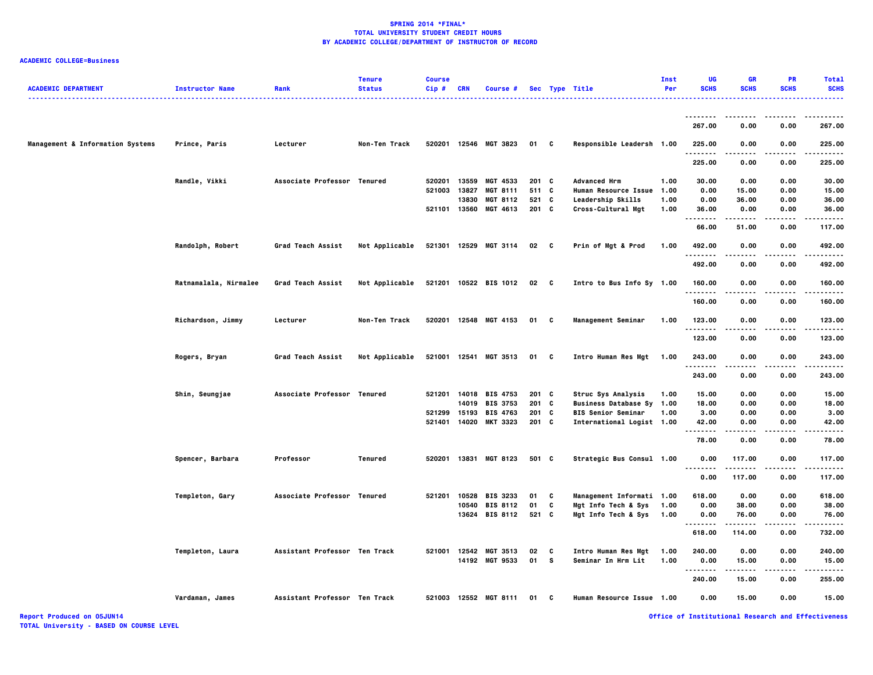# **ACADEMIC COLLEGE=Business**

| <b>ACADEMIC DEPARTMENT</b>       | <b>Instructor Name</b> | Rank                          | <b>Tenure</b><br><b>Status</b> | <b>Course</b><br>Cip# | <b>CRN</b>   | Course #              |              |   | Sec Type Title              | Inst<br>Per | UG<br><b>SCHS</b>    | <b>GR</b><br><b>SCHS</b> | <b>PR</b><br><b>SCHS</b> | <b>Total</b><br><b>SCHS</b> |
|----------------------------------|------------------------|-------------------------------|--------------------------------|-----------------------|--------------|-----------------------|--------------|---|-----------------------------|-------------|----------------------|--------------------------|--------------------------|-----------------------------|
|                                  |                        |                               |                                |                       |              |                       |              |   | .                           |             |                      |                          |                          | .                           |
|                                  |                        |                               |                                |                       |              |                       |              |   |                             |             | --------<br>267.00   | .<br>0.00                | 0.00                     | - - - - - -<br>267.00       |
| Management & Information Systems | Prince, Paris          | Lecturer                      | Non-Ten Track                  |                       |              | 520201 12546 MGT 3823 | 01 C         |   | Responsible Leadersh 1.00   |             | 225.00               | 0.00                     | 0.00                     | 225.00                      |
|                                  |                        |                               |                                |                       |              |                       |              |   |                             |             | . <b>.</b><br>225.00 | 0.00                     | 0.00                     | 225.00                      |
|                                  | Randle, Vikki          | Associate Professor Tenured   |                                | 520201                | 13559        | MGT 4533              | 201 C        |   | <b>Advanced Hrm</b>         | 1.00        | 30.00                | 0.00                     | 0.00                     | 30.00                       |
|                                  |                        |                               |                                | 521003                | 13827        | <b>MGT 8111</b>       | 511 C        |   | <b>Human Resource Issue</b> | 1.00        | 0.00                 | 15.00                    | 0.00                     | 15.00                       |
|                                  |                        |                               |                                |                       | 13830        | <b>MGT 8112</b>       | 521          | C | Leadership Skills           | 1.00        | 0.00                 | 36.00                    | 0.00                     | 36.00                       |
|                                  |                        |                               |                                |                       |              | 521101 13560 MGT 4613 | $201$ C      |   | Cross-Cultural Mgt          | 1.00        | 36.00<br>.           | 0.00                     | 0.00                     | 36.00<br>.                  |
|                                  |                        |                               |                                |                       |              |                       |              |   |                             |             | 66.00                | 51.00                    | 0.00                     | 117.00                      |
|                                  | Randolph, Robert       | <b>Grad Teach Assist</b>      | <b>Not Applicable</b>          |                       |              | 521301 12529 MGT 3114 | 02 C         |   | Prin of Mgt & Prod          | 1.00        | 492.00<br>.          | 0.00                     | 0.00                     | 492.00<br>.                 |
|                                  |                        |                               |                                |                       |              |                       |              |   |                             |             | 492.00               | 0.00                     | 0.00                     | 492.00                      |
|                                  | Ratnamalala, Nirmalee  | Grad Teach Assist             | Not Applicable                 |                       |              | 521201 10522 BIS 1012 | $02 \quad C$ |   | Intro to Bus Info Sy 1.00   |             | 160.00<br>.          | 0.00                     | 0.00                     | 160.00                      |
|                                  |                        |                               |                                |                       |              |                       |              |   |                             |             | 160.00               | 0.00                     | 0.00                     | 160.00                      |
|                                  | Richardson, Jimmy      | Lecturer                      | Non-Ten Track                  |                       |              | 520201 12548 MGT 4153 | 01 C         |   | <b>Management Seminar</b>   | 1.00        | 123.00<br>.          | 0.00                     | 0.00                     | 123.00<br>.                 |
|                                  |                        |                               |                                |                       |              |                       |              |   |                             |             | 123.00               | 0.00                     | 0.00                     | 123.00                      |
|                                  | Rogers, Bryan          | <b>Grad Teach Assist</b>      | Not Applicable                 |                       |              | 521001 12541 MGT 3513 | 01           | C | Intro Human Res Mgt         | 1.00        | 243.00<br>.          | 0.00                     | 0.00                     | 243.00<br>.                 |
|                                  |                        |                               |                                |                       |              |                       |              |   |                             |             | 243.00               | 0.00                     | 0.00                     | 243.00                      |
|                                  | Shin, Seungjae         | Associate Professor Tenured   |                                | 521201                |              | 14018 BIS 4753        | 201 C        |   | Struc Sys Analysis          | 1.00        | 15.00                | 0.00                     | 0.00                     | 15.00                       |
|                                  |                        |                               |                                |                       | 14019        | <b>BIS 3753</b>       | 201 C        |   | Business Database Sy 1.00   |             | 18.00                | 0.00                     | 0.00                     | 18.00                       |
|                                  |                        |                               |                                |                       | 521299 15193 | <b>BIS 4763</b>       | 201 C        |   | <b>BIS Senior Seminar</b>   | 1.00        | 3.00                 | 0.00                     | 0.00                     | 3.00                        |
|                                  |                        |                               |                                | 521401                |              | 14020 MKT 3323        | 201 C        |   | International Logist 1.00   |             | 42.00<br>$\cdots$    | 0.00                     | 0.00                     | 42.00                       |
|                                  |                        |                               |                                |                       |              |                       |              |   |                             |             | 78.00                | 0.00                     | 0.00                     | 78.00                       |
|                                  | Spencer, Barbara       | Professor                     | Tenured                        |                       |              | 520201 13831 MGT 8123 | 501 C        |   | Strategic Bus Consul 1.00   |             | 0.00<br>.            | 117.00                   | 0.00                     | 117.00<br>.                 |
|                                  |                        |                               |                                |                       |              |                       |              |   |                             |             | 0.00                 | 117.00                   | 0.00                     | 117.00                      |
|                                  | Templeton, Gary        | Associate Professor Tenured   |                                | 521201                |              | 10528 BIS 3233        | 01           | C | Management Informati 1.00   |             | 618.00               | 0.00                     | 0.00                     | 618.00                      |
|                                  |                        |                               |                                |                       |              | 10540 BIS 8112        | 01           | C | Mgt Info Tech & Sys         | 1.00        | 0.00                 | 38.00                    | 0.00                     | 38.00                       |
|                                  |                        |                               |                                |                       |              | 13624 BIS 8112        | 521 C        |   | Mgt Info Tech & Sys         | 1.00        | 0.00                 | 76.00                    | 0.00                     | 76.00                       |
|                                  |                        |                               |                                |                       |              |                       |              |   |                             |             |                      |                          |                          |                             |
|                                  |                        |                               |                                |                       |              |                       |              |   |                             |             | 618.00               | 114.00                   | 0.00                     | 732.00                      |
|                                  | Templeton, Laura       | Assistant Professor Ten Track |                                |                       |              | 521001 12542 MGT 3513 | 02           | C | Intro Human Res Mgt         | 1.00        | 240.00               | 0.00                     | 0.00                     | 240.00                      |
|                                  |                        |                               |                                |                       |              | 14192 MGT 9533        | 01 S         |   | Seminar In Hrm Lit          | 1.00        | 0.00<br>.            | 15.00                    | 0.00                     | 15.00                       |
|                                  |                        |                               |                                |                       |              |                       |              |   |                             |             | 240.00               | 15.00                    | 0.00                     | 255.00                      |
|                                  | Vardaman, James        | Assistant Professor Ten Track |                                |                       |              | 521003 12552 MGT 8111 | 01 C         |   | Human Resource Issue 1.00   |             | 0.00                 | 15.00                    | 0.00                     | 15.00                       |

**Report Produced on 05JUN14 Office of Institutional Research and Effectiveness**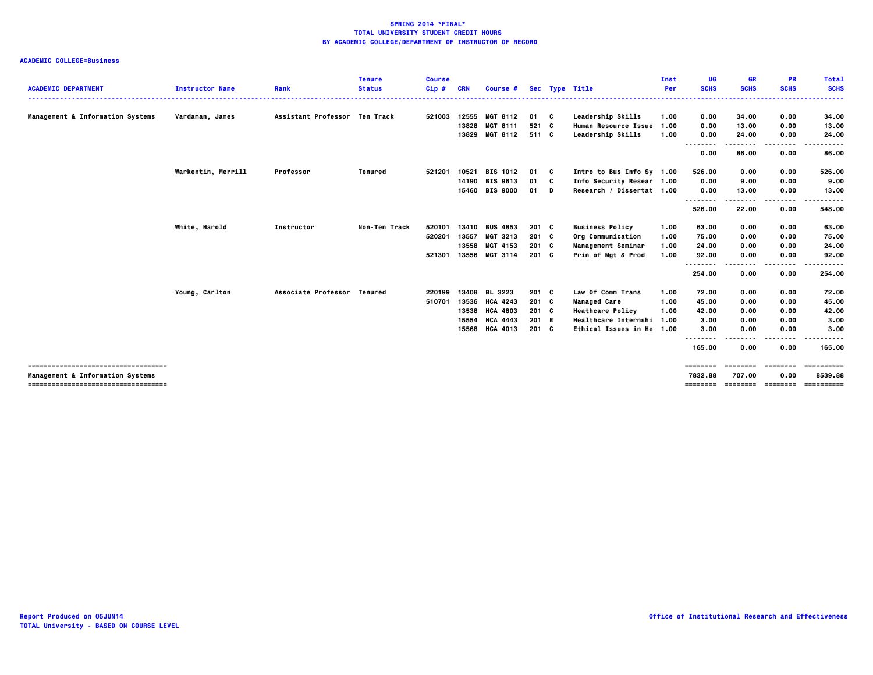|                                                                           |                        |                               | <b>Tenure</b> | <b>Course</b> |            |                 |         |                             | Inst | <b>UG</b>           | <b>GR</b>   | <b>PR</b>                  | <b>Total</b>           |
|---------------------------------------------------------------------------|------------------------|-------------------------------|---------------|---------------|------------|-----------------|---------|-----------------------------|------|---------------------|-------------|----------------------------|------------------------|
| <b>ACADEMIC DEPARTMENT</b>                                                | <b>Instructor Name</b> | Rank                          | <b>Status</b> | $Cip$ #       | <b>CRN</b> | Course #        |         | Sec Type Title              | Per  | <b>SCHS</b>         | <b>SCHS</b> | <b>SCHS</b>                | <b>SCHS</b>            |
| Management & Information Systems                                          | Vardaman, James        | Assistant Professor Ten Track |               | 521003        | 12555      | <b>MGT 8112</b> | 01 C    | Leadership Skills           | 1.00 | 0.00                | 34.00       | 0.00                       | 34.00                  |
|                                                                           |                        |                               |               |               | 13828      | <b>MGT 8111</b> | 521 C   | <b>Human Resource Issue</b> | 1.00 | 0.00                | 13.00       | 0.00                       | 13.00                  |
|                                                                           |                        |                               |               |               |            | 13829 MGT 8112  | 511 C   | Leadership Skills           | 1.00 | 0.00<br>.<br>.      | 24.00<br>.  | 0.00<br>----               | 24.00<br>.             |
|                                                                           |                        |                               |               |               |            |                 |         |                             |      | 0.00                | 86.00       | 0.00                       | 86.00                  |
|                                                                           | Warkentin, Merrill     | Professor                     | Tenured       | 521201        | 10521      | <b>BIS 1012</b> | 01 C    | Intro to Bus Info Sy 1.00   |      | 526.00              | 0.00        | 0.00                       | 526.00                 |
|                                                                           |                        |                               |               |               |            | 14190 BIS 9613  | 01 C    | Info Security Resear 1.00   |      | 0.00                | 9.00        | 0.00                       | 9.00                   |
|                                                                           |                        |                               |               |               |            | 15460 BIS 9000  | 01 D    | Research / Dissertat 1.00   |      | 0.00                | 13.00       | 0.00                       | 13.00                  |
|                                                                           |                        |                               |               |               |            |                 |         |                             |      | --------            |             | ----                       |                        |
|                                                                           |                        |                               |               |               |            |                 |         |                             |      | 526.00              | 22.00       | 0.00                       | 548.00                 |
|                                                                           | White, Harold          | Instructor                    | Non-Ten Track | 520101        | 13410      | <b>BUS 4853</b> | $201$ C | <b>Business Policy</b>      | 1.00 | 63.00               | 0.00        | 0.00                       | 63.00                  |
|                                                                           |                        |                               |               | 520201        | 13557      | MGT 3213        | $201$ C | Org Communication           | 1.00 | 75.00               | 0.00        | 0.00                       | 75.00                  |
|                                                                           |                        |                               |               |               |            | 13558 MGT 4153  | $201$ C | <b>Management Seminar</b>   | 1.00 | 24.00               | 0.00        | 0.00                       | 24.00                  |
|                                                                           |                        |                               |               | 521301        |            | 13556 MGT 3114  | $201$ C | Prin of Mgt & Prod          | 1.00 | 92.00               | 0.00        | 0.00                       | 92.00                  |
|                                                                           |                        |                               |               |               |            |                 |         |                             |      | --------<br>254.00  | .<br>0.00   | .<br>0.00                  | .<br>254.00            |
|                                                                           | Young, Carlton         | Associate Professor Tenured   |               | 220199        | 13408      | <b>BL 3223</b>  | $201$ C | Law Of Comm Trans           | 1.00 | 72.00               | 0.00        | 0.00                       | 72.00                  |
|                                                                           |                        |                               |               | 510701        | 13536      | <b>HCA 4243</b> | $201$ C | <b>Managed Care</b>         | 1.00 | 45.00               | 0.00        | 0.00                       | 45.00                  |
|                                                                           |                        |                               |               |               | 13538      | <b>HCA 4803</b> | 201 C   | <b>Heathcare Policy</b>     | 1.00 | 42.00               | 0.00        | 0.00                       | 42.00                  |
|                                                                           |                        |                               |               |               | 15554      | <b>HCA 4443</b> | 201 E   | <b>Healthcare Internshi</b> | 1.00 | 3.00                | 0.00        | 0.00                       | 3.00                   |
|                                                                           |                        |                               |               |               |            | 15568 HCA 4013  | $201$ C | Ethical Issues in He 1.00   |      | 3.00                | 0.00        | 0.00                       | 3.00                   |
|                                                                           |                        |                               |               |               |            |                 |         |                             |      | --------<br>165.00  | 0.00        | .<br>0.00                  | .<br>165.00            |
| -------------------------------------                                     |                        |                               |               |               |            |                 |         |                             |      | ========            | ========    | ========                   | -----------            |
| Management & Information Systems<br>------------------------------------- |                        |                               |               |               |            |                 |         |                             |      | 7832.88<br>======== | 707.00      | 0.00<br>================== | 8539.88<br>----------- |
|                                                                           |                        |                               |               |               |            |                 |         |                             |      |                     |             |                            |                        |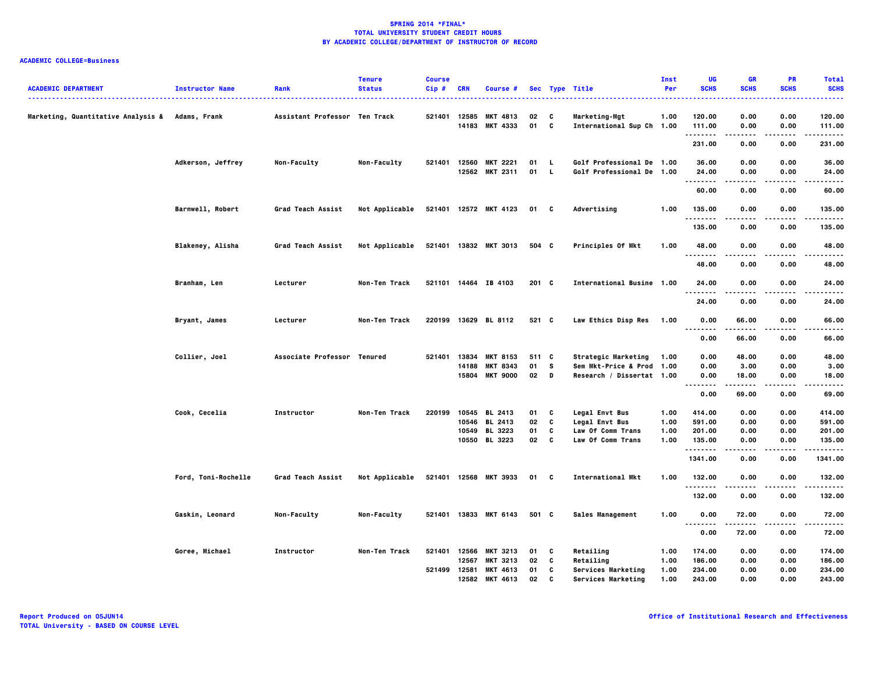| <b>ACADEMIC DEPARTMENT</b>                      | <b>Instructor Name</b>  | Rank                          | <b>Tenure</b><br><b>Status</b> | <b>Course</b><br>Cip# | CRN            | Course #                          |            |          | Sec Type Title                                         | Inst<br>Per | UG<br><b>SCHS</b>                        | <b>GR</b><br><b>SCHS</b> | <b>PR</b><br><b>SCHS</b> | <b>Total</b><br><b>SCHS</b> |
|-------------------------------------------------|-------------------------|-------------------------------|--------------------------------|-----------------------|----------------|-----------------------------------|------------|----------|--------------------------------------------------------|-------------|------------------------------------------|--------------------------|--------------------------|-----------------------------|
| Marketing, Quantitative Analysis & Adams, Frank |                         | Assistant Professor Ten Track |                                | 521401                | 12585<br>14183 | <b>MKT 4813</b><br>MKT 4333       | 02<br>01   | C<br>C   | Marketing-Mgt<br>International Sup Ch 1.00             | 1.00        | 120.00<br>111.00                         | 0.00<br>0.00             | 0.00<br>0.00             | 120.00<br>111.00            |
|                                                 |                         |                               |                                |                       |                |                                   |            |          |                                                        |             | .<br>231.00                              | .<br>0.00                | .<br>0.00                | .<br>231.00                 |
|                                                 | Adkerson, Jeffrey       | Non-Faculty                   | Non-Faculty                    | 521401                | 12560          | <b>MKT 2221</b><br>12562 MKT 2311 | 01<br>01 L | <b>L</b> | Golf Professional De 1.00<br>Golf Professional De 1.00 |             | 36.00<br>24.00                           | 0.00<br>0.00             | 0.00<br>0.00             | 36.00<br>24.00              |
|                                                 |                         |                               |                                |                       |                |                                   |            |          |                                                        |             | .<br>60.00                               | .<br>0.00                | .<br>0.00                | .<br>60.00                  |
|                                                 | <b>Barnwell, Robert</b> | <b>Grad Teach Assist</b>      | Not Applicable                 |                       |                | 521401 12572 MKT 4123             | 01 C       |          | Advertising                                            | 1.00        | 135.00                                   | 0.00                     | 0.00                     | 135.00                      |
|                                                 |                         |                               |                                |                       |                |                                   |            |          |                                                        |             | .<br>135.00                              | 0.00                     | 0.00                     | 135.00                      |
|                                                 | Blakeney, Alisha        | Grad Teach Assist             | Not Applicable                 |                       |                | 521401 13832 MKT 3013             | 504 C      |          | Principles Of Mkt                                      | 1.00        | 48.00                                    | 0.00                     | 0.00                     | 48.00                       |
|                                                 |                         |                               |                                |                       |                |                                   |            |          |                                                        |             | 48.00                                    | 0.00                     | 0.00                     | 48.00                       |
|                                                 | Branham, Len            | Lecturer                      | Non-Ten Track                  |                       |                | 521101 14464 IB 4103              | $201$ C    |          | International Busine 1.00                              |             | 24.00<br>.                               | 0.00                     | 0.00                     | 24.00                       |
|                                                 |                         |                               |                                |                       |                |                                   |            |          |                                                        |             | 24.00                                    | 0.00                     | 0.00                     | 24.00                       |
|                                                 | Bryant, James           | Lecturer                      | Non-Ten Track                  |                       |                | 220199 13629 BL 8112              | 521 C      |          | Law Ethics Disp Res                                    | 1.00        | 0.00<br>                                 | 66.00                    | 0.00                     | 66.00                       |
|                                                 |                         |                               |                                |                       |                |                                   |            |          |                                                        |             | 0.00                                     | -----<br>66.00           | 0.00                     | $- - - -$<br>66.00          |
|                                                 | Collier, Joel           | Associate Professor Tenured   |                                | 521401                | 13834          | <b>MKT 8153</b>                   | 511 C      |          | Strategic Marketing                                    | 1.00        | 0.00                                     | 48.00                    | 0.00                     | 48.00                       |
|                                                 |                         |                               |                                |                       | 14188          | <b>MKT 8343</b>                   | 01         | s.       | Sem Mkt-Price & Prod 1.00                              |             | 0.00                                     | 3.00                     | 0.00                     | 3.00                        |
|                                                 |                         |                               |                                |                       | 15804          | <b>MKT 9000</b>                   | $02$ D     |          | Research / Dissertat 1.00                              |             | 0.00<br>$\sim$ $\sim$ $\sim$<br>$\cdots$ | 18.00                    | 0.00                     | 18.00                       |
|                                                 |                         |                               |                                |                       |                |                                   |            |          |                                                        |             | 0.00                                     | 69.00                    | 0.00                     | 69.00                       |
|                                                 | Cook, Cecelia           | Instructor                    | Non-Ten Track                  | 220199                | 10545          | <b>BL 2413</b>                    | 01         | C        | Legal Envt Bus                                         | 1.00        | 414.00                                   | 0.00                     | 0.00                     | 414.00                      |
|                                                 |                         |                               |                                |                       | 10546          | <b>BL 2413</b>                    | 02         | C        | <b>Legal Envt Bus</b>                                  | 1.00        | 591.00                                   | 0.00                     | 0.00                     | 591.00                      |
|                                                 |                         |                               |                                |                       | 10549          | BL 3223                           | 01         | C        | <b>Law Of Comm Trans</b>                               | 1.00        | 201.00                                   | 0.00                     | 0.00                     | 201.00                      |
|                                                 |                         |                               |                                |                       | 10550          | BL 3223                           | 02         | C        | Law Of Comm Trans                                      | 1.00        | 135.00<br>.                              | 0.00                     | 0.00                     | 135.00                      |
|                                                 |                         |                               |                                |                       |                |                                   |            |          |                                                        |             | 1341.00                                  | 0.00                     | 0.00                     | 1341.00                     |
|                                                 | Ford, Toni-Rochelle     | Grad Teach Assist             | Not Applicable                 |                       |                | 521401 12568 MKT 3933             | 01 C       |          | International Mkt                                      | 1.00        | 132.00<br>.                              | 0.00                     | 0.00                     | 132.00<br>.                 |
|                                                 |                         |                               |                                |                       |                |                                   |            |          |                                                        |             | 132.00                                   | 0.00                     | 0.00                     | 132.00                      |
|                                                 | Gaskin, Leonard         | Non-Faculty                   | Non-Faculty                    |                       |                | 521401 13833 MKT 6143             | 501 C      |          | Sales Management                                       | 1.00        | 0.00<br>                                 | 72.00<br>.               | 0.00<br>.                | 72.00<br>.                  |
|                                                 |                         |                               |                                |                       |                |                                   |            |          |                                                        |             | 0.00                                     | 72.00                    | 0.00                     | 72.00                       |
|                                                 | Goree, Michael          | Instructor                    | Non-Ten Track                  | 521401                | 12566          | <b>MKT 3213</b>                   | 01         | C        | Retailing                                              | 1.00        | 174.00                                   | 0.00                     | 0.00                     | 174.00                      |
|                                                 |                         |                               |                                |                       | 12567          | <b>MKT 3213</b>                   | 02         | C        | Retailing                                              | 1.00        | 186.00                                   | 0.00                     | 0.00                     | 186.00                      |
|                                                 |                         |                               |                                | 521499                | 12581          | MKT 4613                          | 01         | c        | Services Marketing                                     | 1.00        | 234.00                                   | 0.00                     | 0.00                     | 234.00                      |
|                                                 |                         |                               |                                |                       |                | 12582 MKT 4613                    | 02         | c        | Services Marketing                                     | 1.00        | 243.00                                   | 0.00                     | 0.00                     | 243.00                      |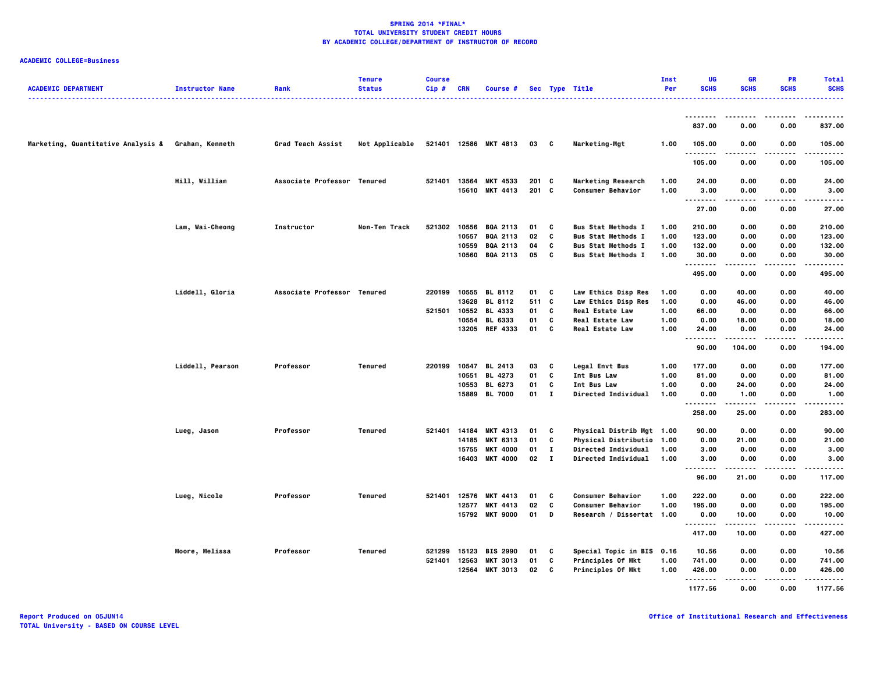| <b>ACADEMIC DEPARTMENT</b>                         | <b>Instructor Name</b> | Rank                        | <b>Tenure</b><br><b>Status</b> | <b>Course</b><br>$Cip$ # | <b>CRN</b>   | <b>Course #</b>       |              |              | Sec Type Title            | Inst<br>Per | UG<br><b>SCHS</b> | <b>GR</b><br><b>SCHS</b> | <b>PR</b><br><b>SCHS</b> | <b>Total</b><br><b>SCHS</b> |
|----------------------------------------------------|------------------------|-----------------------------|--------------------------------|--------------------------|--------------|-----------------------|--------------|--------------|---------------------------|-------------|-------------------|--------------------------|--------------------------|-----------------------------|
|                                                    |                        |                             |                                |                          |              |                       |              |              |                           |             | .                 | .                        |                          | .                           |
|                                                    |                        |                             |                                |                          |              |                       |              |              |                           |             | 837.00            | 0.00                     | 0.00                     | 837.00                      |
| Marketing, Quantitative Analysis & Graham, Kenneth |                        | Grad Teach Assist           | Not Applicable                 |                          |              | 521401 12586 MKT 4813 | 03 C         |              | Marketing-Mgt             | 1.00        | 105.00<br>.       | 0.00<br>-----            | 0.00<br>.                | 105.00<br>.                 |
|                                                    |                        |                             |                                |                          |              |                       |              |              |                           |             | 105.00            | 0.00                     | 0.00                     | 105.00                      |
|                                                    | Hill, William          | Associate Professor Tenured |                                | 521401                   | 13564        | MKT 4533              | 201 C        |              | <b>Marketing Research</b> | 1.00        | 24.00             | 0.00                     | 0.00                     | 24.00                       |
|                                                    |                        |                             |                                |                          |              | 15610 MKT 4413        | $201$ C      |              | <b>Consumer Behavior</b>  | 1.00        | 3.00<br>          | 0.00<br>.                | 0.00<br>.                | 3.00<br>.                   |
|                                                    |                        |                             |                                |                          |              |                       |              |              |                           |             | 27.00             | 0.00                     | 0.00                     | 27.00                       |
|                                                    | Lam, Wai-Cheong        | Instructor                  | Non-Ten Track                  |                          |              | 521302 10556 BQA 2113 | 01           | - C          | <b>Bus Stat Methods I</b> | 1.00        | 210.00            | 0.00                     | 0.00                     | 210.00                      |
|                                                    |                        |                             |                                |                          | 10557        | BQA 2113              | 02           | C            | <b>Bus Stat Methods I</b> | 1.00        | 123.00            | 0.00                     | 0.00                     | 123.00                      |
|                                                    |                        |                             |                                |                          | 10559        | <b>BQA 2113</b>       | 04           | C            | <b>Bus Stat Methods I</b> | 1.00        | 132.00            | 0.00                     | 0.00                     | 132.00                      |
|                                                    |                        |                             |                                |                          |              | 10560 BQA 2113        | 05           | c            | <b>Bus Stat Methods I</b> | 1.00        | 30.00<br><b>.</b> | 0.00<br>.                | 0.00<br>.                | 30.00<br>.                  |
|                                                    |                        |                             |                                |                          |              |                       |              |              |                           |             | 495.00            | 0.00                     | 0.00                     | 495.00                      |
|                                                    | Liddell, Gloria        | Associate Professor Tenured |                                | 220199                   |              | 10555 BL 8112         | 01           | C            | Law Ethics Disp Res       | 1.00        | 0.00              | 40.00                    | 0.00                     | 40.00                       |
|                                                    |                        |                             |                                |                          |              | 13628 BL 8112         | 511 C        |              | Law Ethics Disp Res       | 1.00        | 0.00              | 46.00                    | 0.00                     | 46.00                       |
|                                                    |                        |                             |                                |                          |              | 521501 10552 BL 4333  | 01           | c            | <b>Real Estate Law</b>    | 1.00        | 66.00             | 0.00                     | 0.00                     | 66.00                       |
|                                                    |                        |                             |                                |                          | 10554        | <b>BL 6333</b>        | 01           | C            | <b>Real Estate Law</b>    | 1.00        | 0.00              | 18.00                    | 0.00                     | 18.00                       |
|                                                    |                        |                             |                                |                          |              | 13205 REF 4333        | 01           | C            | <b>Real Estate Law</b>    | 1.00        | 24.00<br>.        | 0.00<br>.                | 0.00<br>.                | 24.00<br>.                  |
|                                                    |                        |                             |                                |                          |              |                       |              |              |                           |             | 90.00             | 104.00                   | 0.00                     | 194.00                      |
|                                                    | Liddell, Pearson       | Professor                   | Tenured                        |                          |              | 220199 10547 BL 2413  | 03           | c            | Legal Envt Bus            | 1.00        | 177.00            | 0.00                     | 0.00                     | 177.00                      |
|                                                    |                        |                             |                                |                          | 10551        | <b>BL 4273</b>        | 01           | C            | Int Bus Law               | 1.00        | 81.00             | 0.00                     | 0.00                     | 81.00                       |
|                                                    |                        |                             |                                |                          |              | 10553 BL 6273         | 01           | C            | Int Bus Law               | 1.00        | 0.00              | 24.00                    | 0.00                     | 24.00                       |
|                                                    |                        |                             |                                |                          |              | 15889 BL 7000         | $01 \quad 1$ |              | Directed Individual       | 1.00        | 0.00<br>.         | 1.00<br>.                | 0.00<br>.                | 1.00<br>.                   |
|                                                    |                        |                             |                                |                          |              |                       |              |              |                           |             | 258.00            | 25.00                    | 0.00                     | 283.00                      |
|                                                    | Lueg, Jason            | Professor                   | Tenured                        | 521401                   | 14184        | <b>MKT 4313</b>       | 01           | C            | Physical Distrib Mgt 1.00 |             | 90.00             | 0.00                     | 0.00                     | 90.00                       |
|                                                    |                        |                             |                                |                          | 14185        | <b>MKT 6313</b>       | 01           | C            | Physical Distributio 1.00 |             | 0.00              | 21.00                    | 0.00                     | 21.00                       |
|                                                    |                        |                             |                                |                          | 15755        | <b>MKT 4000</b>       | 01           | $\mathbf{I}$ | Directed Individual       | 1.00        | 3.00              | 0.00                     | 0.00                     | 3.00                        |
|                                                    |                        |                             |                                |                          | 16403        | <b>MKT 4000</b>       | 02           | $\bf{I}$     | Directed Individual       | 1.00        | 3.00<br>.         | 0.00                     | 0.00                     | 3.00                        |
|                                                    |                        |                             |                                |                          |              |                       |              |              |                           |             | 96.00             | 21.00                    | 0.00                     | 117.00                      |
|                                                    | Lueg, Nicole           | Professor                   | Tenured                        |                          | 521401 12576 | <b>MKT 4413</b>       | 01           | c            | Consumer Behavior         | 1.00        | 222.00            | 0.00                     | 0.00                     | 222.00                      |
|                                                    |                        |                             |                                |                          | 12577        | <b>MKT 4413</b>       | 02           | C            | Consumer Behavior         | 1.00        | 195.00            | 0.00                     | 0.00                     | 195.00                      |
|                                                    |                        |                             |                                |                          | 15792        | <b>MKT 9000</b>       | 01           | D            | Research / Dissertat 1.00 |             | 0.00<br>          | 10.00                    | 0.00                     | 10.00                       |
|                                                    |                        |                             |                                |                          |              |                       |              |              |                           |             | 417.00            | 10.00                    | 0.00                     | 427.00                      |
|                                                    | Moore, Melissa         | Professor                   | Tenured                        |                          |              | 521299 15123 BIS 2990 | 01           | C            | Special Topic in BIS 0.16 |             | 10.56             | 0.00                     | 0.00                     | 10.56                       |
|                                                    |                        |                             |                                | 521401                   | 12563        | <b>MKT 3013</b>       | 01           | C            | Principles Of Mkt         | 1.00        | 741.00            | 0.00                     | 0.00                     | 741.00                      |
|                                                    |                        |                             |                                |                          | 12564        | <b>MKT 3013</b>       | 02           | C            | Principles Of Mkt         | 1.00        | 426.00            | 0.00                     | 0.00                     | 426.00                      |
|                                                    |                        |                             |                                |                          |              |                       |              |              |                           |             | .<br>1177.56      | 0.00                     | 0.00                     | 1177.56                     |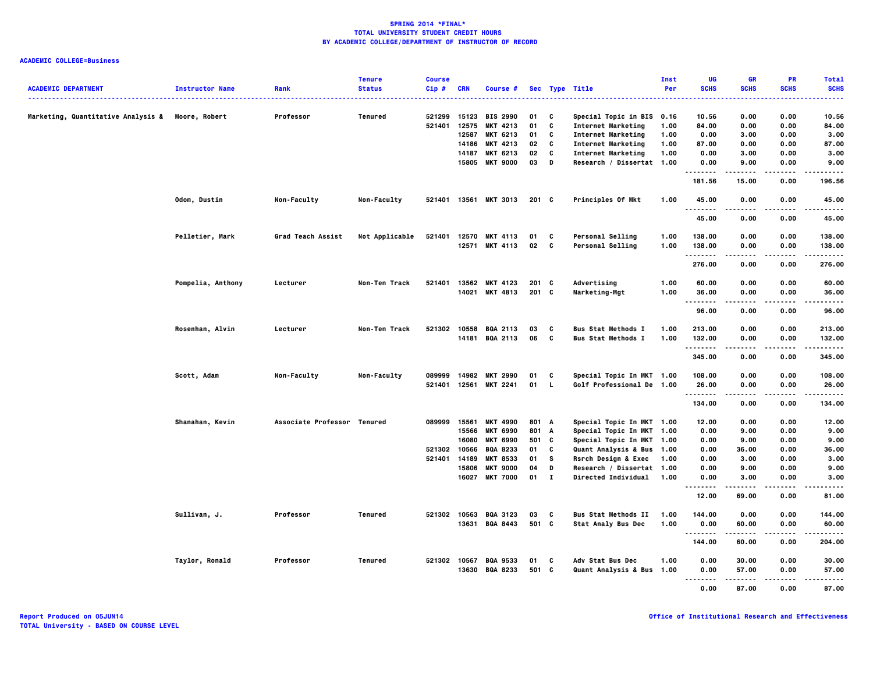| <b>ACADEMIC DEPARTMENT</b>                       | <b>Instructor Name</b> | Rank                        | <b>Tenure</b><br><b>Status</b> | <b>Course</b><br>$Cip$ # | <b>CRN</b>     | Course #                           |                |              | Sec Type Title                                         | Inst<br>Per | UG<br><b>SCHS</b> | <b>GR</b><br><b>SCHS</b> | PR<br><b>SCHS</b> | <b>Total</b><br><b>SCHS</b> |
|--------------------------------------------------|------------------------|-----------------------------|--------------------------------|--------------------------|----------------|------------------------------------|----------------|--------------|--------------------------------------------------------|-------------|-------------------|--------------------------|-------------------|-----------------------------|
|                                                  |                        |                             |                                |                          |                |                                    |                |              |                                                        |             |                   |                          |                   |                             |
| Marketing, Quantitative Analysis & Moore, Robert |                        | Professor                   | Tenured                        | 521299                   | 15123          | <b>BIS 2990</b>                    | 01             | C            | Special Topic in BIS                                   | 0.16        | 10.56             | 0.00                     | 0.00              | 10.56                       |
|                                                  |                        |                             |                                | 521401                   | 12575          | <b>MKT 4213</b>                    | 01             | C            | <b>Internet Marketing</b>                              | 1.00        | 84.00             | 0.00                     | 0.00              | 84.00                       |
|                                                  |                        |                             |                                |                          | 12587          | <b>MKT 6213</b>                    | 01             | C            | <b>Internet Marketing</b>                              | 1.00        | 0.00              | 3.00                     | 0.00              | 3.00                        |
|                                                  |                        |                             |                                |                          | 14186          | MKT 4213                           | 02             | C            | <b>Internet Marketing</b>                              | 1.00        | 87.00             | 0.00                     | 0.00              | 87.00                       |
|                                                  |                        |                             |                                |                          | 14187          | <b>MKT 6213</b>                    | 02             | C            | <b>Internet Marketing</b>                              | 1.00        | 0.00              | 3.00                     | 0.00              | 3.00                        |
|                                                  |                        |                             |                                |                          |                | 15805 MKT 9000                     | 03             | D            | Research / Dissertat 1.00                              |             | 0.00<br>--------  | 9.00                     | 0.00              | 9.00                        |
|                                                  |                        |                             |                                |                          |                |                                    |                |              |                                                        |             | 181.56            | 15.00                    | 0.00              | 196.56                      |
|                                                  | Odom, Dustin           | Non-Faculty                 | Non-Faculty                    |                          |                | 521401 13561 MKT 3013              | $201$ C        |              | Principles Of Mkt                                      | 1.00        | 45.00<br>         | 0.00                     | 0.00              | 45.00<br>$- - - -$          |
|                                                  |                        |                             |                                |                          |                |                                    |                |              |                                                        |             | 45.00             | 0.00                     | 0.00              | 45.00                       |
|                                                  | Pelletier, Mark        | <b>Grad Teach Assist</b>    | Not Applicable                 | 521401                   |                | 12570 MKT 4113                     | 01             | C            | Personal Selling                                       | 1.00        | 138.00            | 0.00                     | 0.00              | 138.00                      |
|                                                  |                        |                             |                                |                          |                | 12571 MKT 4113                     | 02             | <b>C</b>     | <b>Personal Selling</b>                                | 1.00        | 138.00            | 0.00                     | 0.00              | 138.00                      |
|                                                  |                        |                             |                                |                          |                |                                    |                |              |                                                        |             | . <b>.</b>        |                          |                   | .                           |
|                                                  |                        |                             |                                |                          |                |                                    |                |              |                                                        |             | 276.00            | 0.00                     | 0.00              | 276.00                      |
|                                                  | Pompelia, Anthony      | Lecturer                    | Non-Ten Track                  | 521401                   | 13562          | <b>MKT 4123</b>                    | 201            | - C          | Advertising                                            | 1.00        | 60.00             | 0.00                     | 0.00              | 60.00                       |
|                                                  |                        |                             |                                |                          |                | 14021 MKT 4813                     | $201$ C        |              | Marketing-Mgt                                          | 1.00        | 36.00<br>.        | 0.00<br>.                | 0.00<br>----      | 36.00<br>-----              |
|                                                  |                        |                             |                                |                          |                |                                    |                |              |                                                        |             | 96.00             | 0.00                     | 0.00              | 96.00                       |
|                                                  | Rosenhan, Alvin        | Lecturer                    | Non-Ten Track                  |                          |                | 521302 10558 BQA 2113              | 03             | C            | <b>Bus Stat Methods I</b>                              | 1.00        | 213.00            | 0.00                     | 0.00              | 213.00                      |
|                                                  |                        |                             |                                |                          |                | 14181 BQA 2113                     | 06             | C            | <b>Bus Stat Methods I</b>                              | 1.00        | 132.00            | 0.00                     | 0.00              | 132.00                      |
|                                                  |                        |                             |                                |                          |                |                                    |                |              |                                                        |             | .<br>345.00       | 0.00                     | ----<br>0.00      | -----<br>345.00             |
|                                                  | Scott, Adam            | Non-Faculty                 | Non-Faculty                    | 089999                   | 14982          | <b>MKT 2990</b>                    | 01             | C            | Special Topic In MKT 1.00                              |             | 108.00            | 0.00                     | 0.00              | 108.00                      |
|                                                  |                        |                             |                                | 521401                   | 12561          | <b>MKT 2241</b>                    | 01             | $\mathbf{L}$ | Golf Professional De 1.00                              |             | 26.00             | 0.00                     | 0.00              | 26.00                       |
|                                                  |                        |                             |                                |                          |                |                                    |                |              |                                                        |             | .<br>134.00       | 0.00                     | .<br>0.00         | .<br>134.00                 |
|                                                  |                        |                             |                                |                          |                |                                    |                |              |                                                        |             |                   |                          |                   |                             |
|                                                  | Shanahan, Kevin        | Associate Professor Tenured |                                | 089999                   | 15561<br>15566 | <b>MKT 4990</b><br><b>MKT 6990</b> | 801 A<br>801 A |              | Special Topic In MKT 1.00<br>Special Topic In MKT 1.00 |             | 12.00<br>0.00     | 0.00<br>9.00             | 0.00<br>0.00      | 12.00<br>9.00               |
|                                                  |                        |                             |                                |                          | 16080          | <b>MKT 6990</b>                    | 501 C          |              | Special Topic In MKT 1.00                              |             | 0.00              | 9.00                     | 0.00              | 9.00                        |
|                                                  |                        |                             |                                | 521302                   | 10566          | <b>BQA 8233</b>                    | 01             | C            | Quant Analysis & Bus 1.00                              |             | 0.00              | 36.00                    | 0.00              | 36.00                       |
|                                                  |                        |                             |                                | 521401                   | 14189          | <b>MKT 8533</b>                    | 01             | s            | Rsrch Design & Exec                                    | 1.00        | 0.00              | 3.00                     | 0.00              | 3.00                        |
|                                                  |                        |                             |                                |                          | 15806          | <b>MKT 9000</b>                    | 04             | D            | Research / Dissertat 1.00                              |             | 0.00              | 9.00                     | 0.00              | 9.00                        |
|                                                  |                        |                             |                                |                          |                | 16027 MKT 7000                     | $01$ I         |              | Directed Individual 1.00                               |             | 0.00              | 3.00                     | 0.00              | 3.00                        |
|                                                  |                        |                             |                                |                          |                |                                    |                |              |                                                        |             | .<br>12.00        | 69.00                    | .<br>0.00         | $- - - -$<br>81.00          |
|                                                  | Sullivan, J.           | Professor                   | Tenured                        | 521302                   | 10563          | <b>BQA 3123</b>                    | 03             | C            | <b>Bus Stat Methods II</b>                             | 1.00        | 144.00            | 0.00                     | 0.00              | 144.00                      |
|                                                  |                        |                             |                                |                          |                | 13631 BQA 8443                     | 501 C          |              | <b>Stat Analy Bus Dec</b>                              | 1.00        | 0.00              | 60.00                    | 0.00              | 60.00                       |
|                                                  |                        |                             |                                |                          |                |                                    |                |              |                                                        |             | .<br>144.00       | .<br>60.00               | $- - - -$<br>0.00 | .<br>204.00                 |
|                                                  |                        |                             |                                |                          |                |                                    |                |              |                                                        |             |                   |                          |                   |                             |
|                                                  | Taylor, Ronald         | Professor                   | Tenured                        | 521302 10567             |                | <b>BQA 9533</b>                    | 01             | C            | Adv Stat Bus Dec                                       | 1.00        | 0.00              | 30.00                    | 0.00              | 30.00                       |
|                                                  |                        |                             |                                |                          | 13630          | <b>BQA 8233</b>                    | 501 C          |              | Quant Analysis & Bus 1.00                              |             | 0.00              | 57.00                    | 0.00              | 57.00                       |
|                                                  |                        |                             |                                |                          |                |                                    |                |              |                                                        |             | <br>0.00          | 87.00                    | 0.00              | 87.00                       |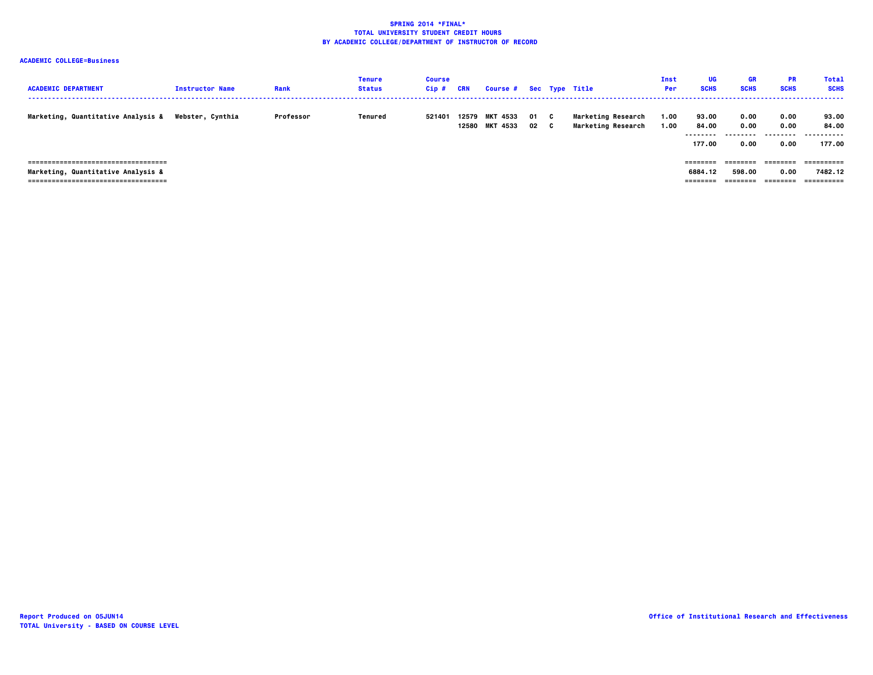| <b>ACADEMIC DEPARTMENT</b>                                                                                           | <b>Instructor Name</b> | Rank      | Tenure<br><b>Status</b> | <b>Course</b><br>Cip# | CRN | Course # Sec Type Title          |            |    |                                                        | Inst<br>Per  | UG<br><b>SCHS</b>                    | <b>GR</b><br><b>SCHS</b>  | <b>PR</b><br><b>SCHS</b>      | <b>Total</b><br><b>SCHS</b>         |
|----------------------------------------------------------------------------------------------------------------------|------------------------|-----------|-------------------------|-----------------------|-----|----------------------------------|------------|----|--------------------------------------------------------|--------------|--------------------------------------|---------------------------|-------------------------------|-------------------------------------|
| Marketing, Quantitative Analysis &                                                                                   | Webster, Cynthia       | Professor | Tenured                 | 521401                |     | 12579 MKT 4533<br>12580 MKT 4533 | 01 C<br>02 | C. | <b>Marketing Research</b><br><b>Marketing Research</b> | 1.00<br>1.00 | 93.00<br>84.00<br>--------<br>177.00 | 0.00<br>0.00<br>.<br>0.00 | 0.00<br>0.00<br>0.00          | 93.00<br>84.00<br><br>177.00        |
| =====================================<br>Marketing, Quantitative Analysis &<br>===================================== |                        |           |                         |                       |     |                                  |            |    |                                                        |              | ========<br>6884.12<br>========      | ========<br>598.00        | --------<br>0.00<br>--------- | ==========<br>7482.12<br>========== |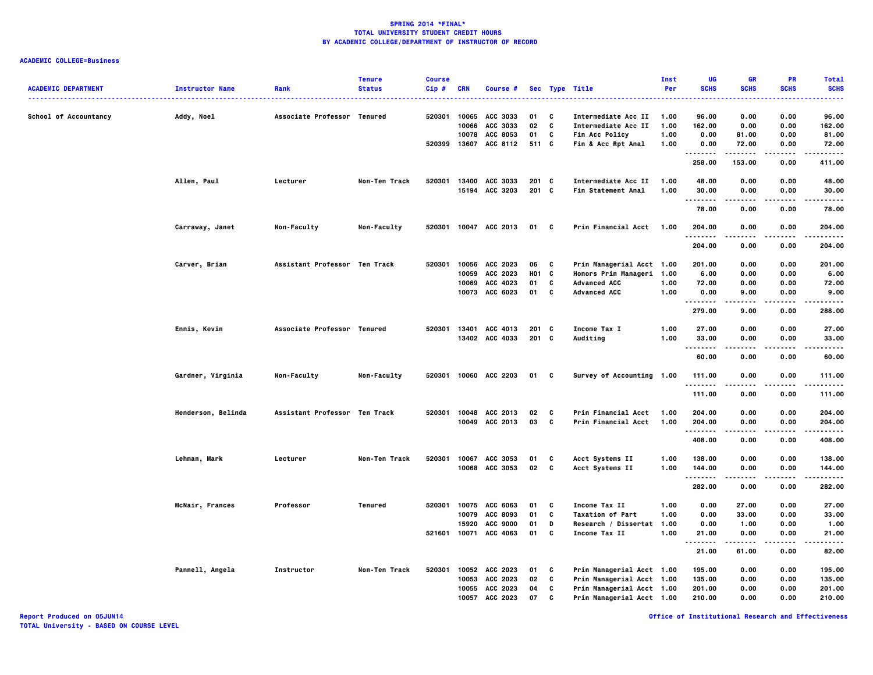| <b>ACADEMIC DEPARTMENT</b> | <b>Instructor Name</b> | Rank                          | <b>Tenure</b><br><b>Status</b> | <b>Course</b><br>$Cip$ # | <b>CRN</b> | Course #        |         |                          | Sec Type Title            | Inst<br>Per | UG<br><b>SCHS</b>    | <b>GR</b><br><b>SCHS</b> | PR<br><b>SCHS</b> | <b>Total</b><br><b>SCHS</b> |
|----------------------------|------------------------|-------------------------------|--------------------------------|--------------------------|------------|-----------------|---------|--------------------------|---------------------------|-------------|----------------------|--------------------------|-------------------|-----------------------------|
|                            |                        |                               |                                |                          |            |                 |         |                          | .                         |             |                      |                          |                   | -----                       |
| School of Accountancy      | Addy, Noel             | Associate Professor Tenured   |                                | 520301                   |            | 10065 ACC 3033  | 01      | C                        | Intermediate Acc II       | 1.00        | 96.00                | 0.00                     | 0.00              | 96.00                       |
|                            |                        |                               |                                |                          |            | 10066 ACC 3033  | 02      | $\mathbf{c}$             | Intermediate Acc II       | 1.00        | 162.00               | 0.00                     | 0.00              | 162.00                      |
|                            |                        |                               |                                |                          | 10078      | ACC 8053        | 01      | C                        | Fin Acc Policy            | 1.00        | 0.00                 | 81.00                    | 0.00              | 81.00                       |
|                            |                        |                               |                                | 520399                   |            | 13607 ACC 8112  | 511 C   |                          | Fin & Acc Rpt Anal        | 1.00        | 0.00<br>.            | 72.00                    | 0.00              | 72.00<br>.                  |
|                            |                        |                               |                                |                          |            |                 |         |                          |                           |             | 258.00               | 153.00                   | 0.00              | 411.00                      |
|                            | Allen, Paul            | Lecturer                      | Non-Ten Track                  | 520301                   |            | 13400 ACC 3033  | $201$ C |                          | Intermediate Acc II       | 1.00        | 48.00                | 0.00                     | 0.00              | 48.00                       |
|                            |                        |                               |                                |                          |            | 15194 ACC 3203  | $201$ C |                          | Fin Statement Anal        | 1.00        | 30.00<br>.           | 0.00<br>-----            | 0.00<br>.         | 30.00<br>.                  |
|                            |                        |                               |                                |                          |            |                 |         |                          |                           |             | 78.00                | 0.00                     | 0.00              | 78.00                       |
|                            | Carraway, Janet        | Non-Faculty                   | Non-Faculty                    | 520301                   |            | 10047 ACC 2013  | 01 C    |                          | Prin Financial Acct       | 1.00        | 204.00<br>.          | 0.00                     | 0.00              | 204.00<br>.                 |
|                            |                        |                               |                                |                          |            |                 |         |                          |                           |             | 204.00               | 0.00                     | 0.00              | 204.00                      |
|                            | Carver, Brian          | Assistant Professor Ten Track |                                | 520301                   |            | 10056 ACC 2023  | 06      | $\mathbf{c}$             | Prin Managerial Acct 1.00 |             | 201.00               | 0.00                     | 0.00              | 201.00                      |
|                            |                        |                               |                                |                          |            | 10059 ACC 2023  | H01 C   |                          | Honors Prin Manageri 1.00 |             | 6.00                 | 0.00                     | 0.00              | 6.00                        |
|                            |                        |                               |                                |                          | 10069      | ACC 4023        | 01      | C                        | <b>Advanced ACC</b>       | 1.00        | 72.00                | 0.00                     | 0.00              | 72.00                       |
|                            |                        |                               |                                |                          |            | 10073 ACC 6023  | 01      | C                        | <b>Advanced ACC</b>       | 1.00        | 0.00<br>.            | 9.00                     | 0.00              | 9.00<br>.                   |
|                            |                        |                               |                                |                          |            |                 |         |                          |                           |             | 279.00               | 9.00                     | 0.00              | 288.00                      |
|                            | Ennis, Kevin           | Associate Professor Tenured   |                                | 520301                   | 13401      | ACC 4013        | $201$ C |                          | Income Tax I              | 1.00        | 27.00                | 0.00                     | 0.00              | 27.00                       |
|                            |                        |                               |                                |                          |            | 13402 ACC 4033  | $201$ C |                          | Auditing                  | 1.00        | 33.00                | 0.00                     | 0.00              | 33.00                       |
|                            |                        |                               |                                |                          |            |                 |         |                          |                           |             | .<br>60.00           | .<br>0.00                | $- - - -$<br>0.00 | .<br>60.00                  |
|                            | Gardner, Virginia      | Non-Faculty                   | Non-Faculty                    | 520301                   |            | 10060 ACC 2203  | 01 C    |                          | Survey of Accounting 1.00 |             | 111.00               | 0.00                     | 0.00              | 111.00                      |
|                            |                        |                               |                                |                          |            |                 |         |                          |                           |             | .<br>111.00          | 0.00                     | 0.00              | .<br>111.00                 |
|                            |                        |                               |                                |                          |            |                 |         |                          |                           |             |                      |                          |                   |                             |
|                            | Henderson, Belinda     | Assistant Professor Ten Track |                                | 520301                   |            | 10048 ACC 2013  | 02      | c                        | Prin Financial Acct       | 1.00        | 204.00               | 0.00                     | 0.00              | 204.00                      |
|                            |                        |                               |                                |                          |            | 10049 ACC 2013  | 03      | $\mathbf{c}$             | Prin Financial Acct       | 1.00        | 204.00               | 0.00                     | 0.00              | 204.00                      |
|                            |                        |                               |                                |                          |            |                 |         |                          |                           |             | . <b>.</b><br>408.00 | -----<br>0.00            | .<br>0.00         | .<br>408.00                 |
|                            | Lehman, Mark           | Lecturer                      | Non-Ten Track                  | 520301                   |            | 10067 ACC 3053  | 01      | C                        | Acct Systems II           | 1.00        | 138.00               | 0.00                     | 0.00              | 138.00                      |
|                            |                        |                               |                                |                          |            | 10068 ACC 3053  | 02      | $\overline{\phantom{a}}$ | Acct Systems II           | 1.00        | 144.00               | 0.00                     | 0.00              | 144.00                      |
|                            |                        |                               |                                |                          |            |                 |         |                          |                           |             | .<br>282.00          | 0.00                     | 0.00              | .<br>282.00                 |
|                            | McNair, Frances        | Professor                     | Tenured                        | 520301                   |            | 10075 ACC 6063  | 01      | C                        | Income Tax II             | 1.00        | 0.00                 | 27.00                    | 0.00              | 27.00                       |
|                            |                        |                               |                                |                          | 10079      | ACC 8093        | 01      | C                        | <b>Taxation of Part</b>   | 1.00        | 0.00                 | 33.00                    | 0.00              | 33.00                       |
|                            |                        |                               |                                |                          | 15920      | <b>ACC 9000</b> | 01      | D                        | Research / Dissertat      | 1.00        | 0.00                 | 1.00                     | 0.00              | 1.00                        |
|                            |                        |                               |                                | 521601                   |            | 10071 ACC 4063  | 01      | C                        | Income Tax II             | 1.00        | 21.00                | 0.00                     | 0.00              | 21.00                       |
|                            |                        |                               |                                |                          |            |                 |         |                          |                           |             | <b>.</b><br>21.00    | .<br>61.00               | $- - - -$<br>0.00 | .<br>82.00                  |
|                            | Pannell, Angela        | Instructor                    | Non-Ten Track                  | 520301                   |            | 10052 ACC 2023  | 01 C    |                          | Prin Managerial Acct 1.00 |             | 195.00               | 0.00                     | 0.00              | 195.00                      |
|                            |                        |                               |                                |                          |            | 10053 ACC 2023  | 02      | C                        | Prin Managerial Acct 1.00 |             | 135.00               | 0.00                     | 0.00              | 135.00                      |
|                            |                        |                               |                                |                          |            | 10055 ACC 2023  | 04      | C                        | Prin Managerial Acct 1.00 |             | 201.00               | 0.00                     | 0.00              | 201.00                      |
|                            |                        |                               |                                |                          | 10057      | ACC 2023        | 07      | C                        | Prin Managerial Acct 1.00 |             | 210.00               | 0.00                     | 0.00              | 210.00                      |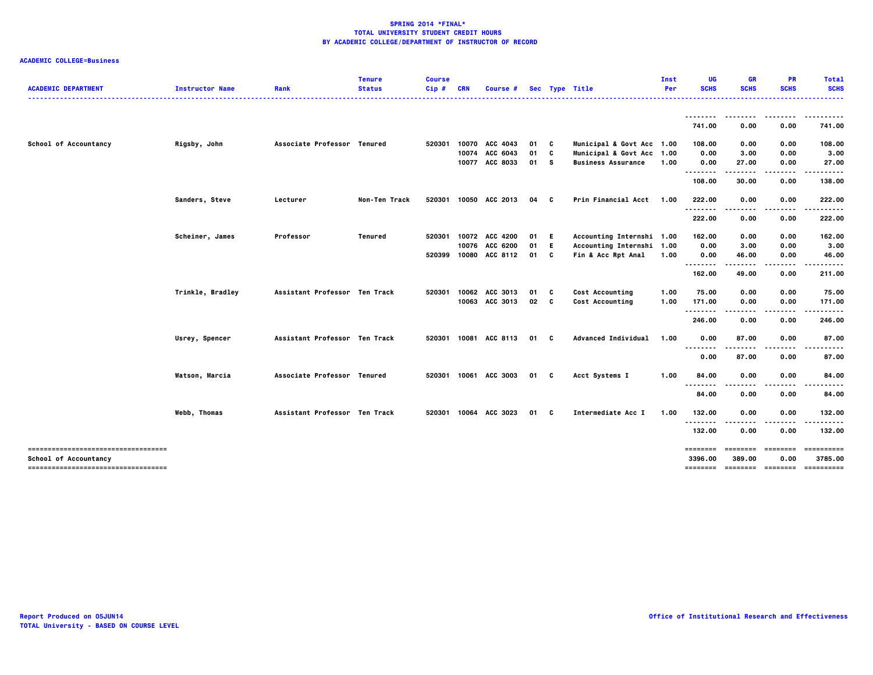| <b>ACADEMIC DEPARTMENT</b>                                   | <b>Instructor Name</b> | Rank                          | <b>Tenure</b><br><b>Status</b> | <b>Course</b><br>Cip# | <b>CRN</b> | Course #              |    |    | Sec Type Title            | Inst<br>Per | UG<br><b>SCHS</b>         | GR<br><b>SCHS</b> | <b>PR</b><br><b>SCHS</b> | <b>Total</b><br><b>SCHS</b><br>. |
|--------------------------------------------------------------|------------------------|-------------------------------|--------------------------------|-----------------------|------------|-----------------------|----|----|---------------------------|-------------|---------------------------|-------------------|--------------------------|----------------------------------|
|                                                              |                        |                               |                                |                       |            |                       |    |    |                           |             | .<br>741.00               | ----<br>0.00      | 0.00                     | .<br>741.00                      |
| School of Accountancy                                        | Rigsby, John           | <b>Associate Professor</b>    | Tenured                        | 520301                | 10070      | ACC 4043              | 01 | c  | Municipal & Govt Acc 1.00 |             | 108.00                    | 0.00              | 0.00                     | 108.00                           |
|                                                              |                        |                               |                                |                       |            | 10074 ACC 6043        | 01 | C  | Municipal & Govt Acc 1.00 |             | 0.00                      | 3.00              | 0.00                     | 3.00                             |
|                                                              |                        |                               |                                |                       |            | 10077 ACC 8033        | 01 | s  | <b>Business Assurance</b> | 1.00        | 0.00<br>                  | 27.00             | 0.00<br>----             | 27.00                            |
|                                                              |                        |                               |                                |                       |            |                       |    |    |                           |             | 108.00                    | 30.00             | 0.00                     | 138.00                           |
|                                                              | Sanders, Steve         | Lecturer                      | Non-Ten Track                  |                       |            | 520301 10050 ACC 2013 | 04 | C  | Prin Financial Acct 1.00  |             | 222.00                    | 0.00              | 0.00                     | 222.00                           |
|                                                              |                        |                               |                                |                       |            |                       |    |    |                           |             | - - - - - - - -<br>222.00 | 0.00              | ----<br>0.00             | .<br>222.00                      |
|                                                              | Scheiner, James        | Professor                     | Tenured                        |                       |            | 520301 10072 ACC 4200 | 01 | E. | Accounting Internshi 1.00 |             | 162.00                    | 0.00              | 0.00                     | 162.00                           |
|                                                              |                        |                               |                                |                       | 10076      | ACC 6200              | 01 | E. | Accounting Internshi 1.00 |             | 0.00                      | 3.00              | 0.00                     | 3.00                             |
|                                                              |                        |                               |                                |                       |            | 520399 10080 ACC 8112 | 01 | C  | Fin & Acc Rpt Anal        | 1.00        | 0.00                      | 46.00             | 0.00                     | 46.00                            |
|                                                              |                        |                               |                                |                       |            |                       |    |    |                           |             | $\cdots$<br>.<br>162.00   | 49.00             | 0.00                     | 211.00                           |
|                                                              | Trinkle, Bradley       | Assistant Professor Ten Track |                                | 520301                | 10062      | ACC 3013              | 01 | C  | Cost Accounting           | 1.00        | 75.00                     | 0.00              | 0.00                     | 75.00                            |
|                                                              |                        |                               |                                |                       |            | 10063 ACC 3013        | 02 | C  | Cost Accounting           | 1.00        | 171.00                    | 0.00              | 0.00                     | 171.00                           |
|                                                              |                        |                               |                                |                       |            |                       |    |    |                           |             | <br>246.00                | 0.00              | 0.00                     | 246.00                           |
|                                                              | Usrey, Spencer         | Assistant Professor Ten Track |                                |                       |            | 520301 10081 ACC 8113 | 01 | C  | Advanced Individual       | 1.00        | 0.00                      | 87.00             | 0.00                     | 87.00                            |
|                                                              |                        |                               |                                |                       |            |                       |    |    |                           |             | <br>.<br>0.00             | 87.00             | 0.00                     | 87.00                            |
|                                                              | Watson, Marcia         | Associate Professor Tenured   |                                |                       |            | 520301 10061 ACC 3003 | 01 | C  | Acct Systems I            | 1.00        | 84.00                     | 0.00              | 0.00                     | 84.00                            |
|                                                              |                        |                               |                                |                       |            |                       |    |    |                           |             | 84.00                     | 0.00              | 0.00                     | 84.00                            |
|                                                              | Webb, Thomas           | Assistant Professor Ten Track |                                |                       |            | 520301 10064 ACC 3023 | 01 | C  | Intermediate Acc I        | 1.00        | 132.00                    | 0.00              | 0.00                     | 132.00                           |
|                                                              |                        |                               |                                |                       |            |                       |    |    |                           |             | .<br>132.00               | ---<br>0.00       | .<br>0.00                | .<br>132.00                      |
| -----------------------------------                          |                        |                               |                                |                       |            |                       |    |    |                           |             | ========                  |                   | ======== =======         | ==========                       |
| School of Accountancy<br>----------------------------------- |                        |                               |                                |                       |            |                       |    |    |                           |             | 3396.00                   | 389,00            | 0.00                     | 3785.00                          |
|                                                              |                        |                               |                                |                       |            |                       |    |    |                           |             |                           |                   |                          |                                  |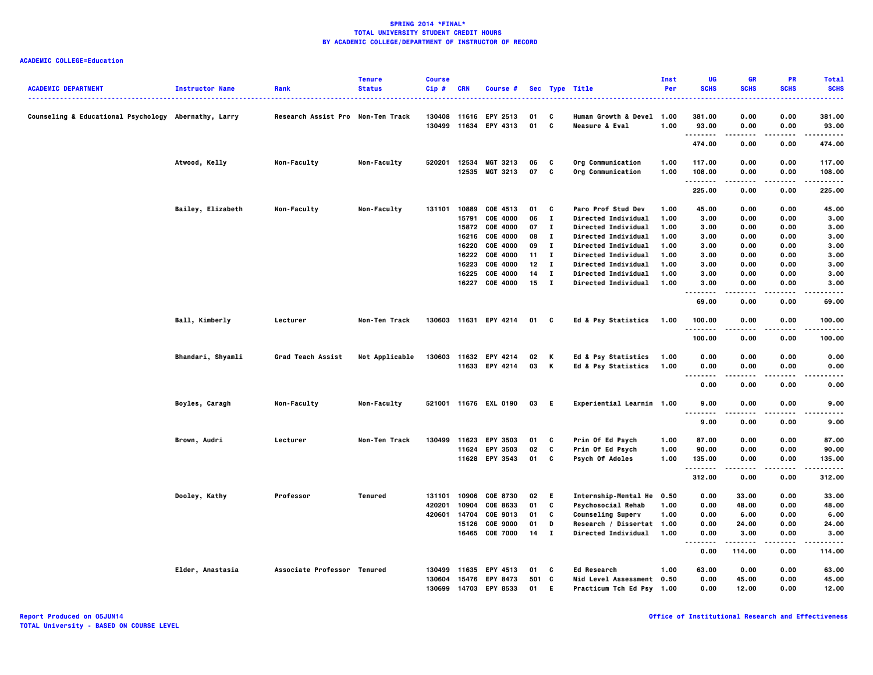## **ACADEMIC COLLEGE=Education**

| <b>ACADEMIC DEPARTMENT</b>                           | <b>Instructor Name</b> | Rank                              | <b>Tenure</b><br><b>Status</b> | <b>Course</b><br>Cip# | <b>CRN</b> | Course #              |                  |              | Sec Type Title             | Inst<br>Per | UG<br><b>SCHS</b>  | GR<br><b>SCHS</b> | PR<br><b>SCHS</b> | <b>Total</b><br><b>SCHS</b> |
|------------------------------------------------------|------------------------|-----------------------------------|--------------------------------|-----------------------|------------|-----------------------|------------------|--------------|----------------------------|-------------|--------------------|-------------------|-------------------|-----------------------------|
| Counseling & Educational Psychology Abernathy, Larry |                        | Research Assist Pro Non-Ten Track |                                | 130408                |            | 11616 EPY 2513        | 01               | C            | Human Growth & Devel 1.00  |             | 381.00             | 0.00              | 0.00              | 381.00                      |
|                                                      |                        |                                   |                                | 130499                |            | 11634 EPY 4313        | 01               | C            | Measure & Eval             | 1.00        | 93.00              | 0.00              | 0.00              | 93.00                       |
|                                                      |                        |                                   |                                |                       |            |                       |                  |              |                            |             | .<br>474.00        | .<br>0.00         | .<br>0.00         | ------<br>474.00            |
|                                                      | Atwood, Kelly          | Non-Faculty                       | Non-Faculty                    | 520201                | 12534      | MGT 3213              | 06               | C            | Org Communication          | 1.00        | 117.00             | 0.00              | 0.00              | 117.00                      |
|                                                      |                        |                                   |                                |                       |            | 12535 MGT 3213        | 07               | C            | Org Communication          | 1.00        | 108.00             | 0.00              | 0.00              | 108.00                      |
|                                                      |                        |                                   |                                |                       |            |                       |                  |              |                            |             | .<br>225.00        | 0.00              | ----<br>0.00      | .<br>225.00                 |
|                                                      | Bailey, Elizabeth      | Non-Faculty                       | Non-Faculty                    |                       |            | 131101 10889 COE 4513 | 01               | $\mathbf{c}$ | Paro Prof Stud Dev         | 1.00        | 45.00              | 0.00              | 0.00              | 45.00                       |
|                                                      |                        |                                   |                                |                       | 15791      | COE 4000              | 06               | $\mathbf{I}$ | Directed Individual        | 1.00        | 3.00               | 0.00              | 0.00              | 3.00                        |
|                                                      |                        |                                   |                                |                       |            | 15872 COE 4000        | 07               | $\mathbf{I}$ | Directed Individual        | 1.00        | 3.00               | 0.00              | 0.00              | 3.00                        |
|                                                      |                        |                                   |                                |                       |            | 16216 COE 4000        | 08               | $\mathbf{I}$ | Directed Individual        | 1.00        | 3.00               | 0.00              | 0.00              | 3.00                        |
|                                                      |                        |                                   |                                |                       | 16220      | COE 4000              | 09               | $\mathbf{I}$ | Directed Individual        | 1.00        | 3.00               | 0.00              | 0.00              | 3.00                        |
|                                                      |                        |                                   |                                |                       | 16222      | <b>COE 4000</b>       | $11 \quad I$     |              | Directed Individual        | 1.00        | 3.00               | 0.00              | 0.00              | 3.00                        |
|                                                      |                        |                                   |                                |                       | 16223      | COE 4000              | 12 <sup>12</sup> | $\mathbf{I}$ | Directed Individual        | 1.00        | 3.00               | 0.00              | 0.00              | 3.00                        |
|                                                      |                        |                                   |                                |                       | 16225      | COE 4000              | 14               | $\mathbf{I}$ | <b>Directed Individual</b> | 1.00        | 3.00               | 0.00              | 0.00              | 3.00                        |
|                                                      |                        |                                   |                                |                       | 16227      | COE 4000              | 15               | $\mathbf{I}$ | Directed Individual        | 1.00        | 3.00               | 0.00              | 0.00              | 3.00                        |
|                                                      |                        |                                   |                                |                       |            |                       |                  |              |                            |             | - - -<br>69.00     | 0.00              | 0.00              | 69.00                       |
|                                                      | Ball, Kimberly         | Lecturer                          | Non-Ten Track                  |                       |            | 130603 11631 EPY 4214 | 01 C             |              | Ed & Psy Statistics        | 1.00        | 100.00             | 0.00              | 0.00              | 100.00                      |
|                                                      |                        |                                   |                                |                       |            |                       |                  |              |                            |             | .<br>100.00        | .<br>0.00         | $- - -$<br>0.00   | .<br>100.00                 |
|                                                      | Bhandari, Shyamli      | Grad Teach Assist                 | Not Applicable                 | 130603                |            | 11632 EPY 4214        | 02               | K            | Ed & Psy Statistics        | 1.00        | 0.00               | 0.00              | 0.00              | 0.00                        |
|                                                      |                        |                                   |                                |                       |            | 11633 EPY 4214        | 03               | K            | Ed & Psy Statistics        | 1.00        | 0.00               | 0.00              | 0.00              | 0.00                        |
|                                                      |                        |                                   |                                |                       |            |                       |                  |              |                            |             | $\sim$ $\sim$<br>. |                   |                   |                             |
|                                                      |                        |                                   |                                |                       |            |                       |                  |              |                            |             | 0.00               | 0.00              | 0.00              | 0.00                        |
|                                                      | Boyles, Caragh         | Non-Faculty                       | Non-Faculty                    |                       |            | 521001 11676 EXL 0190 | 03 E             |              | Experiential Learnin 1.00  |             | 9.00<br>.          | 0.00              | 0.00              | 9.00                        |
|                                                      |                        |                                   |                                |                       |            |                       |                  |              |                            |             | 9.00               | 0.00              | 0.00              | 9.00                        |
|                                                      | Brown, Audri           | Lecturer                          | Non-Ten Track                  | 130499                | 11623      | <b>EPY 3503</b>       | 01               | C            | Prin Of Ed Psych           | 1.00        | 87.00              | 0.00              | 0.00              | 87.00                       |
|                                                      |                        |                                   |                                |                       |            | 11624 EPY 3503        | 02               | C            | Prin Of Ed Psych           | 1.00        | 90.00              | 0.00              | 0.00              | 90.00                       |
|                                                      |                        |                                   |                                |                       |            | 11628 EPY 3543        | 01               | C            | Psych Of Adoles            | 1.00        | 135.00<br>.        | 0.00<br>-----     | 0.00<br>.         | 135.00<br>------            |
|                                                      |                        |                                   |                                |                       |            |                       |                  |              |                            |             | 312.00             | 0.00              | 0.00              | 312.00                      |
|                                                      | Dooley, Kathy          | Professor                         | Tenured                        | 131101                | 10906      | <b>COE 8730</b>       | 02               | E.           | Internship-Mental He 0.50  |             | 0.00               | 33.00             | 0.00              | 33.00                       |
|                                                      |                        |                                   |                                | 420201                | 10904      | COE 8633              | 01               | C            | <b>Psychosocial Rehab</b>  | 1.00        | 0.00               | 48.00             | 0.00              | 48.00                       |
|                                                      |                        |                                   |                                | 420601                | 14704      | COE 9013              | 01               | C            | <b>Counseling Superv</b>   | 1.00        | 0.00               | 6.00              | 0.00              | 6.00                        |
|                                                      |                        |                                   |                                |                       | 15126      | <b>COE 9000</b>       | 01               | D            | Research / Dissertat 1.00  |             | 0.00               | 24.00             | 0.00              | 24.00                       |
|                                                      |                        |                                   |                                |                       |            | 16465 COE 7000        | 14               | $\mathbf{I}$ | Directed Individual        | 1.00        | 0.00               | 3.00              | 0.00              | 3.00                        |
|                                                      |                        |                                   |                                |                       |            |                       |                  |              |                            |             | 0.00               | 114.00            | 0.00              | 114.00                      |
|                                                      | Elder, Anastasia       | Associate Professor Tenured       |                                | 130499                |            | 11635 EPY 4513        | 01               | C            | <b>Ed Research</b>         | 1.00        | 63.00              | 0.00              | 0.00              | 63.00                       |
|                                                      |                        |                                   |                                | 130604                | 15476      | <b>EPY 8473</b>       | 501              | C            | Mid Level Assessment 0.50  |             | 0.00               | 45.00             | 0.00              | 45.00                       |
|                                                      |                        |                                   |                                | 130699                |            | 14703 EPY 8533        | 01               | E.           | Practicum Tch Ed Psy 1.00  |             | 0.00               | 12.00             | 0.00              | 12.00                       |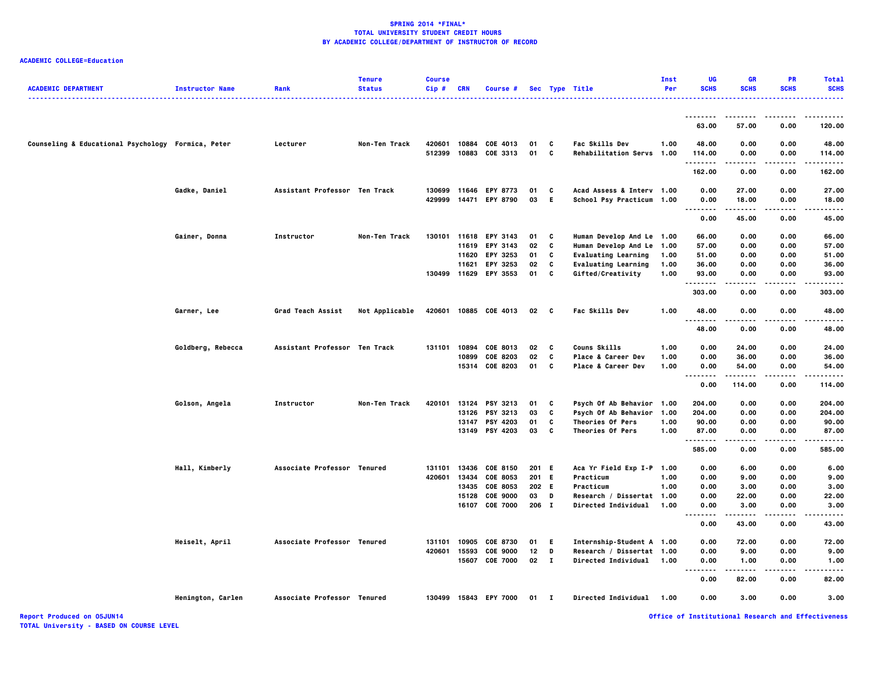# **ACADEMIC COLLEGE=Education**

| <b>ACADEMIC DEPARTMENT</b>                         | <b>Instructor Name</b> | Rank                          | <b>Tenure</b><br><b>Status</b> | <b>Course</b><br>$Cip$ # | <b>CRN</b>              | Course #                                                                                 |                               |                       | Sec Type Title                                                                                                                          | Inst<br>Per          | UG<br><b>SCHS</b>                              | <b>GR</b><br><b>SCHS</b>              | <b>PR</b><br><b>SCHS</b>             | <b>Total</b><br><b>SCHS</b>               |
|----------------------------------------------------|------------------------|-------------------------------|--------------------------------|--------------------------|-------------------------|------------------------------------------------------------------------------------------|-------------------------------|-----------------------|-----------------------------------------------------------------------------------------------------------------------------------------|----------------------|------------------------------------------------|---------------------------------------|--------------------------------------|-------------------------------------------|
|                                                    |                        |                               |                                |                          |                         |                                                                                          |                               |                       |                                                                                                                                         |                      |                                                | .                                     |                                      | .                                         |
|                                                    |                        |                               |                                |                          |                         |                                                                                          |                               |                       |                                                                                                                                         |                      | 63.00                                          | 57.00                                 | 0.00                                 | 120.00                                    |
| Counseling & Educational Psychology Formica, Peter |                        | Lecturer                      | Non-Ten Track                  | 420601<br>512399         | 10884                   | COE 4013<br>10883 COE 3313                                                               | 01<br>01                      | C<br>C                | <b>Fac Skills Dev</b><br>Rehabilitation Servs 1.00                                                                                      | 1.00                 | 48.00<br>114.00                                | 0.00<br>0.00                          | 0.00<br>0.00                         | 48.00<br>114.00                           |
|                                                    |                        |                               |                                |                          |                         |                                                                                          |                               |                       |                                                                                                                                         |                      | .<br>162.00                                    | 0.00                                  | 0.00                                 | .<br>162.00                               |
|                                                    | Gadke, Daniel          | Assistant Professor Ten Track |                                | 130699<br>429999         | 11646                   | <b>EPY 8773</b><br>14471 EPY 8790                                                        | 01<br>03                      | C<br>E.               | Acad Assess & Interv 1.00<br>School Psy Practicum 1.00                                                                                  |                      | 0.00<br>0.00<br>.<br>$\sim$ $\sim$ $\sim$      | 27.00<br>18.00<br>.                   | 0.00<br>0.00<br>.                    | 27.00<br>18.00<br>.                       |
|                                                    |                        |                               |                                |                          |                         |                                                                                          |                               |                       |                                                                                                                                         |                      | 0.00                                           | 45.00                                 | 0.00                                 | 45.00                                     |
|                                                    | Gainer, Donna          | Instructor                    | Non-Ten Track                  | 130101                   | 11620<br>11621          | 11618 EPY 3143<br>11619 EPY 3143<br>EPY 3253<br><b>EPY 3253</b><br>130499 11629 EPY 3553 | 01<br>02<br>01<br>02<br>01    | C<br>c<br>C<br>C<br>C | Human Develop And Le 1.00<br>Human Develop And Le 1.00<br><b>Evaluating Learning</b><br><b>Evaluating Learning</b><br>Gifted/Creativity | 1.00<br>1.00<br>1.00 | 66.00<br>57.00<br>51.00<br>36.00<br>93.00      | 0.00<br>0.00<br>0.00<br>0.00<br>0.00  | 0.00<br>0.00<br>0.00<br>0.00<br>0.00 | 66.00<br>57.00<br>51.00<br>36.00<br>93.00 |
|                                                    |                        |                               |                                |                          |                         |                                                                                          |                               |                       |                                                                                                                                         |                      | . <b>.</b> .<br>303.00                         | 0.00                                  | 0.00                                 | 303.00                                    |
|                                                    | Garner, Lee            | <b>Grad Teach Assist</b>      | Not Applicable                 | 420601                   |                         | 10885 COE 4013                                                                           | 02                            | C                     | <b>Fac Skills Dev</b>                                                                                                                   | 1.00                 | 48.00<br>.                                     | 0.00                                  | 0.00                                 | 48.00                                     |
|                                                    |                        |                               |                                |                          |                         |                                                                                          |                               |                       |                                                                                                                                         |                      | 48.00                                          | 0.00                                  | 0.00                                 | 48.00                                     |
|                                                    | Goldberg, Rebecca      | Assistant Professor Ten Track |                                | 131101                   | 10894<br>10899          | COE 8013<br>COE 8203<br>15314 COE 8203                                                   | 02<br>02<br>01                | C<br>C<br>C           | <b>Couns Skills</b><br>Place & Career Dev<br>Place & Career Dev                                                                         | 1.00<br>1.00<br>1.00 | 0.00<br>0.00<br>0.00<br>.<br>$\ddotsc$<br>0.00 | 24.00<br>36.00<br>54.00<br>114.00     | 0.00<br>0.00<br>0.00<br>0.00         | 24.00<br>36.00<br>54.00<br>114.00         |
|                                                    | Golson, Angela         | Instructor                    | Non-Ten Track                  | 420101                   | 13126                   | 13124 PSY 3213<br><b>PSY 3213</b><br>13147 PSY 4203<br>13149 PSY 4203                    | 01<br>03<br>01<br>03          | C<br>c<br>C<br>C      | Psych Of Ab Behavior 1.00<br>Psych Of Ab Behavior<br><b>Theories Of Pers</b><br>Theories Of Pers                                        | 1.00<br>1.00<br>1.00 | 204.00<br>204.00<br>90.00<br>87.00<br>.        | 0.00<br>0.00<br>0.00<br>0.00          | 0.00<br>0.00<br>0.00<br>0.00         | 204.00<br>204.00<br>90.00<br>87.00        |
|                                                    | Hall, Kimberly         | Associate Professor Tenured   |                                | 131101<br>420601         | 13434<br>13435<br>15128 | 13436 COE 8150<br>COE 8053<br><b>COE 8053</b><br><b>COE 9000</b>                         | 201 E<br>201 E<br>202 E<br>03 | D                     | Aca Yr Field Exp I-P 1.00<br>Practicum<br>Practicum<br>Research / Dissertat 1.00                                                        | 1.00<br>1.00         | 585.00<br>0.00<br>0.00<br>0.00<br>0.00         | 0.00<br>6.00<br>9.00<br>3.00<br>22.00 | 0.00<br>0.00<br>0.00<br>0.00<br>0.00 | 585.00<br>6.00<br>9.00<br>3.00<br>22.00   |
|                                                    |                        |                               |                                |                          | 16107                   | <b>COE 7000</b>                                                                          | 206 I                         |                       | Directed Individual                                                                                                                     | 1.00                 | 0.00<br>.<br>0.00                              | 3.00<br>43.00                         | 0.00<br>0.00                         | 3.00<br>43.00                             |
|                                                    | Heiselt, April         | Associate Professor Tenured   |                                | 131101<br>420601         | 10905<br>15593          | <b>COE 8730</b><br><b>COE 9000</b><br>15607 COE 7000                                     | 01<br>12<br>02 I              | E.<br>D               | Internship-Student A 1.00<br>Research / Dissertat 1.00<br>Directed Individual                                                           | 1.00                 | 0.00<br>0.00<br>0.00                           | 72.00<br>9.00<br>1.00                 | 0.00<br>0.00<br>0.00                 | 72.00<br>9.00<br>1.00                     |
|                                                    |                        |                               |                                |                          |                         |                                                                                          |                               |                       |                                                                                                                                         |                      | $\sim$ $\sim$ $\sim$<br>- - - - -<br>0.00      | 82.00                                 | 0.00                                 | 82.00                                     |
|                                                    | Henington, Carlen      | Associate Professor Tenured   |                                |                          |                         | 130499 15843 EPY 7000                                                                    | $01$ I                        |                       | <b>Directed Individual</b>                                                                                                              | 1.00                 | 0.00                                           | 3.00                                  | 0.00                                 | 3.00                                      |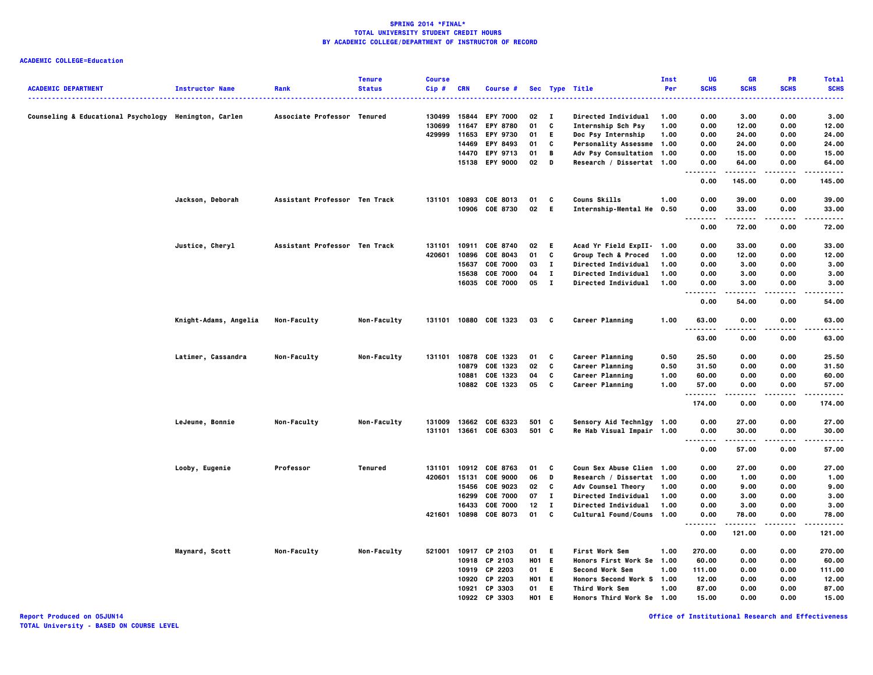## **ACADEMIC COLLEGE=Education**

| <b>ACADEMIC DEPARTMENT</b>                            | <b>Instructor Name</b> | Rank                          | <b>Tenure</b><br><b>Status</b> | <b>Course</b><br>Cip# | <b>CRN</b> | Course #        |                 |              | Sec Type Title              | Inst<br>Per | UG<br><b>SCHS</b>                 | <b>GR</b><br><b>SCHS</b> | <b>PR</b><br><b>SCHS</b> | <b>Total</b><br><b>SCHS</b> |
|-------------------------------------------------------|------------------------|-------------------------------|--------------------------------|-----------------------|------------|-----------------|-----------------|--------------|-----------------------------|-------------|-----------------------------------|--------------------------|--------------------------|-----------------------------|
| Counseling & Educational Psychology Henington, Carlen |                        | Associate Professor Tenured   |                                | 130499                | 15844      | <b>EPY 7000</b> | 02              | $\mathbf{I}$ | Directed Individual         | 1.00        | 0.00                              | 3.00                     | 0.00                     | 3.00                        |
|                                                       |                        |                               |                                | 130699                | 11647      | <b>EPY 8780</b> | 01              | C            | Internship Sch Psy          | 1.00        | 0.00                              | 12.00                    | 0.00                     | 12.00                       |
|                                                       |                        |                               |                                | 429999                | 11653      | EPY 9730        | 01              | Е            | Doc Psy Internship          | 1.00        | 0.00                              | 24.00                    | 0.00                     | 24.00                       |
|                                                       |                        |                               |                                |                       | 14469      | EPY 8493        | 01              | C            | Personality Assessme 1.00   |             | 0.00                              | 24.00                    | 0.00                     | 24.00                       |
|                                                       |                        |                               |                                |                       | 14470      | <b>EPY 9713</b> | 01              | В            | Adv Psy Consultation 1.00   |             | 0.00                              | 15.00                    | 0.00                     | 15.00                       |
|                                                       |                        |                               |                                |                       | 15138      | <b>EPY 9000</b> | 02              | D            | Research / Dissertat 1.00   |             | 0.00<br>.<br>.                    | 64.00<br>.               | 0.00<br>$- - - -$        | 64.00<br>.                  |
|                                                       |                        |                               |                                |                       |            |                 |                 |              |                             |             | 0.00                              | 145.00                   | 0.00                     | 145.00                      |
|                                                       | Jackson, Deborah       | Assistant Professor Ten Track |                                | 131101                |            | 10893 COE 8013  | 01              | c            | Couns Skills                | 1.00        | 0.00                              | 39.00                    | 0.00                     | 39.00                       |
|                                                       |                        |                               |                                |                       |            | 10906 COE 8730  | 02              | E.           | Internship-Mental He 0.50   |             | 0.00<br>.                         | 33.00<br>.               | 0.00                     | 33.00                       |
|                                                       |                        |                               |                                |                       |            |                 |                 |              |                             |             | 0.00                              | 72.00                    | 0.00                     | 72.00                       |
|                                                       | Justice, Cheryl        | Assistant Professor Ten Track |                                | 131101                |            | 10911 COE 8740  | 02              | E.           | Acad Yr Field ExpII-        | 1.00        | 0.00                              | 33.00                    | 0.00                     | 33.00                       |
|                                                       |                        |                               |                                | 420601                | 10896      | COE 8043        | 01              | C            | Group Tech & Proced         | 1.00        | 0.00                              | 12.00                    | 0.00                     | 12.00                       |
|                                                       |                        |                               |                                |                       | 15637      | <b>COE 7000</b> | 03              | $\mathbf{I}$ | <b>Directed Individual</b>  | 1.00        | 0.00                              | 3.00                     | 0.00                     | 3.00                        |
|                                                       |                        |                               |                                |                       | 15638      | <b>COE 7000</b> | 04              | $\mathbf{I}$ | <b>Directed Individual</b>  | 1.00        | 0.00                              | 3.00                     | 0.00                     | 3.00                        |
|                                                       |                        |                               |                                |                       | 16035      | <b>COE 7000</b> | 05              | $\mathbf{I}$ | <b>Directed Individual</b>  | 1.00        | 0.00<br>$\cdots$<br>$\sim$ $\sim$ | 3.00                     | 0.00                     | 3.00                        |
|                                                       |                        |                               |                                |                       |            |                 |                 |              |                             |             | 0.00                              | 54.00                    | 0.00                     | 54.00                       |
|                                                       | Knight-Adams, Angelia  | <b>Non-Faculty</b>            | <b>Non-Faculty</b>             | 131101                |            | 10880 COE 1323  | 03              | C            | Career Planning             | 1.00        | 63.00<br>.                        | 0.00                     | 0.00                     | 63.00                       |
|                                                       |                        |                               |                                |                       |            |                 |                 |              |                             |             | 63.00                             | 0.00                     | 0.00                     | 63.00                       |
|                                                       | Latimer, Cassandra     | Non-Faculty                   | <b>Non-Faculty</b>             | 131101                | 10878      | COE 1323        | 01              | C            | <b>Career Planning</b>      | 0.50        | 25.50                             | 0.00                     | 0.00                     | 25.50                       |
|                                                       |                        |                               |                                |                       | 10879      | COE 1323        | 02              | C            | <b>Career Planning</b>      | 0.50        | 31.50                             | 0.00                     | 0.00                     | 31.50                       |
|                                                       |                        |                               |                                |                       | 10881      | COE 1323        | 04              | C            | Career Planning             | 1.00        | 60.00                             | 0.00                     | 0.00                     | 60.00                       |
|                                                       |                        |                               |                                |                       |            | 10882 COE 1323  | 05              | C            | Career Planning             | 1.00        | 57.00<br>.                        | 0.00                     | 0.00                     | 57.00                       |
|                                                       |                        |                               |                                |                       |            |                 |                 |              |                             |             | 174.00                            | 0.00                     | 0.00                     | 174.00                      |
|                                                       | LeJeune, Bonnie        | Non-Faculty                   | Non-Faculty                    | 131009                |            | 13662 COE 6323  | 501 C           |              | Sensory Aid Technlgy 1.00   |             | 0.00                              | 27.00                    | 0.00                     | 27.00                       |
|                                                       |                        |                               |                                | 131101                |            | 13661 COE 6303  | 501 C           |              | Re Hab Visual Impair 1.00   |             | 0.00                              | 30.00                    | 0.00                     | 30.00                       |
|                                                       |                        |                               |                                |                       |            |                 |                 |              |                             |             | 0.00                              | 57.00                    | 0.00                     | 57.00                       |
|                                                       | Looby, Eugenie         | Professor                     | Tenured                        | 131101                |            | 10912 COE 8763  | 01              | C            | Coun Sex Abuse Clien 1.00   |             | 0.00                              | 27.00                    | 0.00                     | 27.00                       |
|                                                       |                        |                               |                                | 420601                | 15131      | <b>COE 9000</b> | 06              | D            | Research / Dissertat 1.00   |             | 0.00                              | 1.00                     | 0.00                     | 1.00                        |
|                                                       |                        |                               |                                |                       | 15456      | COE 9023        | 02              | C            | Adv Counsel Theory          | 1.00        | 0.00                              | 9.00                     | 0.00                     | 9.00                        |
|                                                       |                        |                               |                                |                       | 16299      | <b>COE 7000</b> | 07              | $\mathbf{I}$ | Directed Individual         | 1.00        | 0.00                              | 3.00                     | 0.00                     | 3.00                        |
|                                                       |                        |                               |                                |                       | 16433      | <b>COE 7000</b> | 12              | I.           | <b>Directed Individual</b>  | 1.00        | 0.00                              | 3.00                     | 0.00                     | 3.00                        |
|                                                       |                        |                               |                                | 421601                | 10898      | <b>COE 8073</b> | 01              | C            | Cultural Found/Couns 1.00   |             | 0.00<br>.<br>$\sim$ $\sim$ $\sim$ | 78.00<br>.               | 0.00<br>.                | 78.00<br>.                  |
|                                                       |                        |                               |                                |                       |            |                 |                 |              |                             |             | 0.00                              | 121.00                   | 0.00                     | 121.00                      |
|                                                       | Maynard, Scott         | Non-Faculty                   | Non-Faculty                    | 521001                | 10917      | CP 2103         | 01              | Е.           | <b>First Work Sem</b>       | 1.00        | 270.00                            | 0.00                     | 0.00                     | 270.00                      |
|                                                       |                        |                               |                                |                       | 10918      | CP 2103         | H01 E           |              | Honors First Work Se 1.00   |             | 60.00                             | 0.00                     | 0.00                     | 60.00                       |
|                                                       |                        |                               |                                |                       |            | 10919 CP 2203   | 01              | E.           | <b>Second Work Sem</b>      | 1.00        | 111.00                            | 0.00                     | 0.00                     | 111.00                      |
|                                                       |                        |                               |                                |                       | 10920      | CP 2203         | HO <sub>1</sub> | E.           | Honors Second Work S 1.00   |             | 12.00                             | 0.00                     | 0.00                     | 12.00                       |
|                                                       |                        |                               |                                |                       |            | 10921 CP 3303   | 01              | E.           | Third Work Sem              | 1.00        | 87.00                             | 0.00                     | 0.00                     | 87.00                       |
|                                                       |                        |                               |                                |                       | 10922      | CP 3303         | <b>HO1</b>      | Е.           | <b>Honors Third Work Se</b> | 1.00        | 15.00                             | 0.00                     | 0.00                     | 15.00                       |

**Report Produced on 05JUN14 Office of Institutional Research and Effectiveness**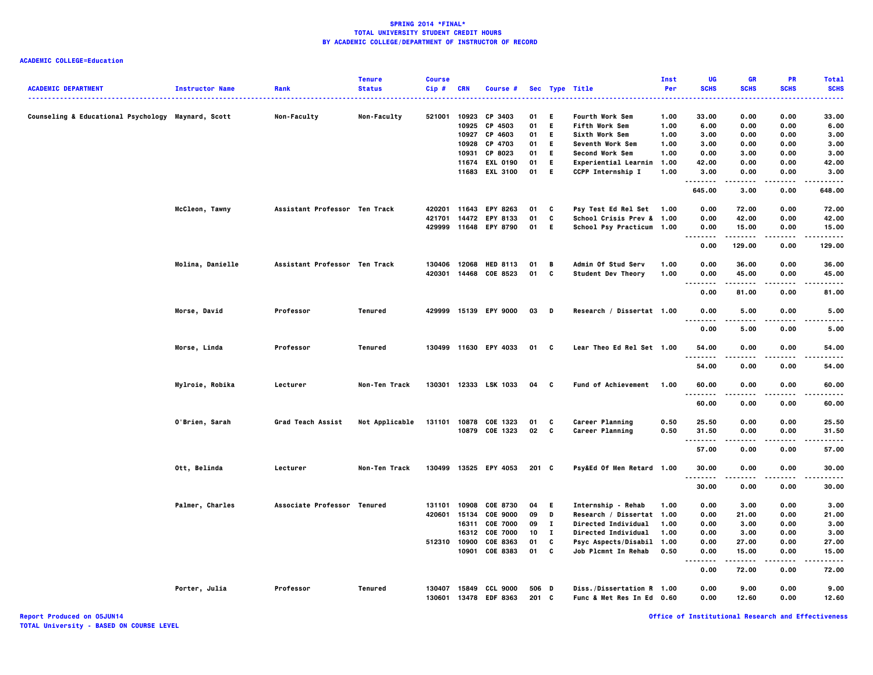# **ACADEMIC COLLEGE=Education**

| <b>ACADEMIC DEPARTMENT</b>                         | <b>Instructor Name</b> | Rank                          | <b>Tenure</b><br><b>Status</b> | <b>Course</b><br>Cip# | CRN   | Course #              |       |              | Sec Type Title                    | Inst<br>Per | UG<br><b>SCHS</b>      | <b>GR</b><br><b>SCHS</b> | <b>PR</b><br><b>SCHS</b> | <b>Total</b><br><b>SCHS</b> |
|----------------------------------------------------|------------------------|-------------------------------|--------------------------------|-----------------------|-------|-----------------------|-------|--------------|-----------------------------------|-------------|------------------------|--------------------------|--------------------------|-----------------------------|
| Counseling & Educational Psychology Maynard, Scott |                        | Non-Faculty                   | Non-Faculty                    | 521001                | 10923 | CP 3403               | 01    | Е            | <u></u><br><b>Fourth Work Sem</b> | 1.00        | 33.00                  | 0.00                     | 0.00                     | .<br>33.00                  |
|                                                    |                        |                               |                                |                       | 10925 | CP 4503               | 01    | E.           | <b>Fifth Work Sem</b>             | 1.00        | 6.00                   | 0.00                     | 0.00                     | 6.00                        |
|                                                    |                        |                               |                                |                       |       | 10927 CP 4603         | 01    | E.           | Sixth Work Sem                    | 1.00        | 3.00                   | 0.00                     | 0.00                     | 3.00                        |
|                                                    |                        |                               |                                |                       |       | 10928 CP 4703         | 01    | E.           | Seventh Work Sem                  | 1.00        | 3.00                   | 0.00                     | 0.00                     | 3.00                        |
|                                                    |                        |                               |                                |                       | 10931 | CP 8023               | 01    | E.           | Second Work Sem                   | 1.00        | 0.00                   | 3.00                     | 0.00                     | 3.00                        |
|                                                    |                        |                               |                                |                       |       | 11674 EXL 0190        | 01    | E.           | Experiential Learnin 1.00         |             | 42.00                  | 0.00                     | 0.00                     | 42.00                       |
|                                                    |                        |                               |                                |                       |       | 11683 EXL 3100        | 01    | E.           | CCPP Internship I                 | 1.00        | 3.00<br>.              | 0.00                     | 0.00                     | 3.00                        |
|                                                    |                        |                               |                                |                       |       |                       |       |              |                                   |             | 645.00                 | 3.00                     | 0.00                     | 648.00                      |
|                                                    | McCleon, Tawny         | Assistant Professor Ten Track |                                |                       |       | 420201 11643 EPY 8263 | 01    | C            | Psy Test Ed Rel Set 1.00          |             | 0.00                   | 72.00                    | 0.00                     | 72.00                       |
|                                                    |                        |                               |                                | 421701                |       | 14472 EPY 8133        | 01    | C            | School Crisis Prev & 1.00         |             | 0.00                   | 42.00                    | 0.00                     | 42.00                       |
|                                                    |                        |                               |                                | 429999                |       | 11648 EPY 8790        | 01    | E.           | School Psy Practicum 1.00         |             | 0.00<br>.              | 15.00                    | 0.00                     | 15.00                       |
|                                                    |                        |                               |                                |                       |       |                       |       |              |                                   |             | 0.00                   | 129.00                   | 0.00                     | 129.00                      |
|                                                    | Molina, Danielle       | Assistant Professor Ten Track |                                | 130406                |       | 12068 HED 8113        | 01    | B            | Admin Of Stud Serv                | 1.00        | 0.00                   | 36.00                    | 0.00                     | 36.00                       |
|                                                    |                        |                               |                                | 420301                |       | 14468 COE 8523        | 01    | C            | Student Dev Theory                | 1.00        | 0.00                   | 45.00                    | 0.00                     | 45.00                       |
|                                                    |                        |                               |                                |                       |       |                       |       |              |                                   |             | $\ddotsc$<br>.<br>0.00 | 81.00                    | 0.00                     | 81.00                       |
|                                                    | Morse, David           | Professor                     | Tenured                        |                       |       | 429999 15139 EPY 9000 | 03 D  |              | Research / Dissertat 1.00         |             | 0.00                   | 5.00                     | 0.00                     | 5.00                        |
|                                                    |                        |                               |                                |                       |       |                       |       |              |                                   |             | .<br>0.00              | 5.00                     | 0.00                     | 5.00                        |
|                                                    | Morse, Linda           | Professor                     | Tenured                        |                       |       | 130499 11630 EPY 4033 | 01 C  |              | Lear Theo Ed Rel Set 1.00         |             | 54.00                  | 0.00                     | 0.00                     | 54.00                       |
|                                                    |                        |                               |                                |                       |       |                       |       |              |                                   |             | $\sim$ $\sim$<br>54.00 | 0.00                     | 0.00                     | 54.00                       |
|                                                    | Mylroie, Robika        | Lecturer                      | Non-Ten Track                  |                       |       | 130301 12333 LSK 1033 | 04    | <b>C</b>     | <b>Fund of Achievement</b>        | 1.00        | 60.00                  | 0.00                     | 0.00                     | 60.00                       |
|                                                    |                        |                               |                                |                       |       |                       |       |              |                                   |             | .<br>60.00             | 0.00                     | 0.00                     | 60.00                       |
|                                                    | O'Brien, Sarah         | Grad Teach Assist             | Not Applicable                 |                       |       | 131101 10878 COE 1323 | 01    | c            | Career Planning                   | 0.50        | 25.50                  | 0.00                     | 0.00                     | 25.50                       |
|                                                    |                        |                               |                                |                       |       | 10879 COE 1323        | 02    | C            | Career Planning                   | 0.50        | 31.50                  | 0.00                     | 0.00<br>-----            | 31.50<br>.                  |
|                                                    |                        |                               |                                |                       |       |                       |       |              |                                   |             | <br>57.00              | .<br>0.00                | 0.00                     | 57.00                       |
|                                                    | Ott, Belinda           | Lecturer                      | Non-Ten Track                  | 130499                |       | 13525 EPY 4053        | 201 C |              | Psy&Ed Of Men Retard 1.00         |             | 30.00<br>.             | 0.00                     | 0.00<br>.                | 30.00                       |
|                                                    |                        |                               |                                |                       |       |                       |       |              |                                   |             | 30.00                  | 0.00                     | 0.00                     | 30.00                       |
|                                                    | Palmer, Charles        | Associate Professor Tenured   |                                | 131101                |       | 10908 COE 8730        | 04    | E.           | Internship - Rehab                | 1.00        | 0.00                   | 3.00                     | 0.00                     | 3.00                        |
|                                                    |                        |                               |                                | 420601                | 15134 | <b>COE 9000</b>       | 09    | D            | Research / Dissertat 1.00         |             | 0.00                   | 21.00                    | 0.00                     | 21.00                       |
|                                                    |                        |                               |                                |                       |       | 16311 COE 7000        | 09    | $\mathbf{I}$ | <b>Directed Individual</b>        | 1.00        | 0.00                   | 3.00                     | 0.00                     | 3.00                        |
|                                                    |                        |                               |                                |                       |       | 16312 COE 7000        | 10    | л.           | <b>Directed Individual</b>        | 1.00        | 0.00                   | 3.00                     | 0.00                     | 3.00                        |
|                                                    |                        |                               |                                | 512310 10900          |       | COE 8363              | 01    | C            | Psyc Aspects/Disabil 1.00         |             | 0.00                   | 27.00                    | 0.00                     | 27.00                       |
|                                                    |                        |                               |                                |                       |       | 10901 COE 8383        | 01    | $\mathbf{c}$ | <b>Job Plcmnt In Rehab</b>        | 0.50        | 0.00                   | 15.00                    | 0.00                     | 15.00                       |
|                                                    |                        |                               |                                |                       |       |                       |       |              |                                   |             | .<br>0.00              | .<br>72.00               | -----<br>0.00            | .<br>72.00                  |
|                                                    | Porter, Julia          | Professor                     | Tenured                        | 130407                |       | 15849 CCL 9000        | 506 D |              | Diss./Dissertation R 1.00         |             | 0.00                   | 9.00                     | 0.00                     | 9.00                        |
|                                                    |                        |                               |                                |                       |       | 130601 13478 EDF 8363 | 201 C |              | Func & Met Res In Ed 0.60         |             | 0.00                   | 12.60                    | 0.00                     | 12.60                       |

**Report Produced on 05JUN14 Office of Institutional Research and Effectiveness**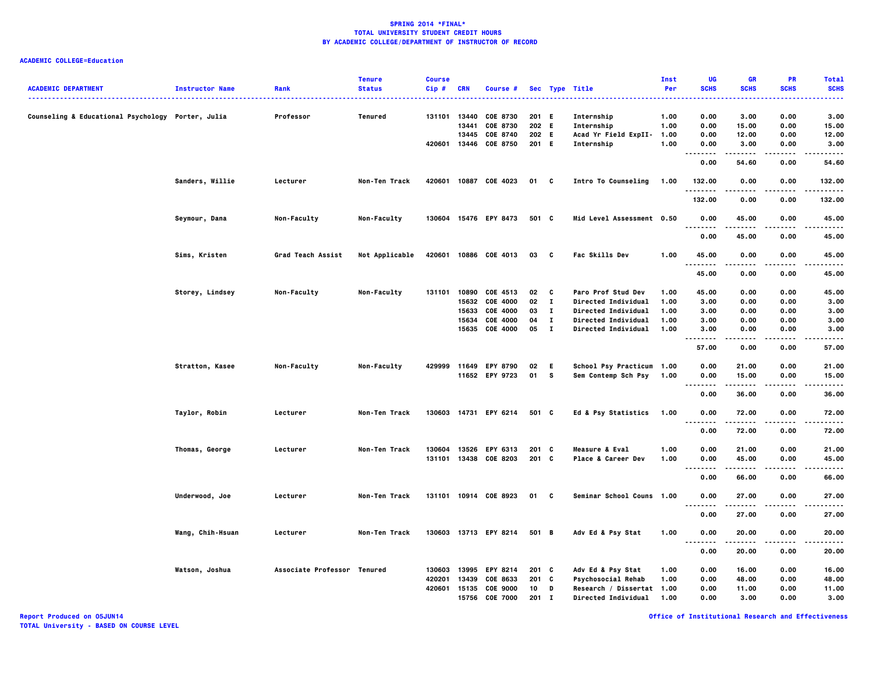## **ACADEMIC COLLEGE=Education**

|                                                   |                        |                             | <b>Tenure</b>  | <b>Course</b> |            |                       |         |                |                                     | Inst | UG                                      | <b>GR</b>   | PR                | <b>Total</b>         |
|---------------------------------------------------|------------------------|-----------------------------|----------------|---------------|------------|-----------------------|---------|----------------|-------------------------------------|------|-----------------------------------------|-------------|-------------------|----------------------|
| <b>ACADEMIC DEPARTMENT</b>                        | <b>Instructor Name</b> | Rank                        | <b>Status</b>  | Cip#          | <b>CRN</b> | Course #              |         |                | Sec Type Title<br>----------------- | Per  | <b>SCHS</b><br>.                        | <b>SCHS</b> | <b>SCHS</b>       | <b>SCHS</b><br>----- |
| Counseling & Educational Psychology Porter, Julia |                        | Professor                   | Tenured        | 131101 13440  |            | <b>COE 8730</b>       | 201 E   |                | Internship                          | 1.00 | 0.00                                    | 3.00        | 0.00              | 3.00                 |
|                                                   |                        |                             |                |               | 13441      | COE 8730              | 202 E   |                | Internship                          | 1.00 | 0.00                                    | 15.00       | 0.00              | 15.00                |
|                                                   |                        |                             |                |               |            | 13445 COE 8740        | 202 E   |                | Acad Yr Field ExpII-                | 1.00 | 0.00                                    | 12.00       | 0.00              | 12.00                |
|                                                   |                        |                             |                | 420601        |            | 13446 COE 8750        | 201 E   |                | Internship                          | 1.00 | 0.00                                    | 3.00        | 0.00              | 3.00                 |
|                                                   |                        |                             |                |               |            |                       |         |                |                                     |      | $\sim$ $\sim$ $\sim$<br>.               |             |                   | $- - - -$            |
|                                                   |                        |                             |                |               |            |                       |         |                |                                     |      | 0.00                                    | 54.60       | 0.00              | 54.60                |
|                                                   | Sanders, Willie        | Lecturer                    | Non-Ten Track  | 420601        |            | 10887 COE 4023        | 01 C    |                | Intro To Counseling                 | 1.00 | 132.00<br>.                             | 0.00        | 0.00<br>$- - - -$ | 132.00<br>-----      |
|                                                   |                        |                             |                |               |            |                       |         |                |                                     |      | 132.00                                  | 0.00        | 0.00              | 132.00               |
|                                                   | Seymour, Dana          | Non-Faculty                 | Non-Faculty    |               |            | 130604 15476 EPY 8473 | 501 C   |                | Mid Level Assessment 0.50           |      | 0.00<br>                                | 45.00<br>.  | 0.00<br>.         | 45.00<br>.           |
|                                                   |                        |                             |                |               |            |                       |         |                |                                     |      | 0.00                                    | 45.00       | 0.00              | 45.00                |
|                                                   | Sims, Kristen          | Grad Teach Assist           | Not Applicable | 420601        |            | 10886 COE 4013        | 03      | C              | <b>Fac Skills Dev</b>               | 1.00 | 45.00                                   | 0.00        | 0.00              | 45.00                |
|                                                   |                        |                             |                |               |            |                       |         |                |                                     |      | .<br>45.00                              | .<br>0.00   | $- - - -$<br>0.00 | ----<br>45.00        |
|                                                   | Storey, Lindsey        | Non-Faculty                 | Non-Faculty    | 131101        | 10890      | COE 4513              | 02      | C              | Paro Prof Stud Dev                  | 1.00 | 45.00                                   | 0.00        | 0.00              | 45.00                |
|                                                   |                        |                             |                |               |            | 15632 COE 4000        | 02      | $\mathbf{I}$   | Directed Individual                 | 1.00 | 3.00                                    | 0.00        | 0.00              | 3.00                 |
|                                                   |                        |                             |                |               | 15633      | COE 4000              | 03      | $\mathbf{I}$   | Directed Individual                 | 1.00 | 3.00                                    | 0.00        | 0.00              | 3.00                 |
|                                                   |                        |                             |                |               | 15634      | COE 4000              | 04      | $\mathbf{I}$   | Directed Individual                 | 1.00 | 3.00                                    | 0.00        | 0.00              | 3.00                 |
|                                                   |                        |                             |                |               | 15635      | <b>COE 4000</b>       | 05      | $\blacksquare$ | <b>Directed Individual</b>          | 1.00 | 3.00                                    | 0.00        | 0.00              | 3.00                 |
|                                                   |                        |                             |                |               |            |                       |         |                |                                     |      | <br>57.00                               | .<br>0.00   | 0.00              | .<br>57.00           |
|                                                   | Stratton, Kasee        | Non-Faculty                 | Non-Faculty    |               |            | 429999 11649 EPY 8790 | 02      | E.             | School Psy Practicum 1.00           |      | 0.00                                    | 21.00       | 0.00              | 21.00                |
|                                                   |                        |                             |                |               |            | 11652 EPY 9723        | 01      | $\mathbf{s}$   | Sem Contemp Sch Psy                 | 1.00 | 0.00<br>                                | 15.00<br>.  | 0.00<br>.         | 15.00<br>.           |
|                                                   |                        |                             |                |               |            |                       |         |                |                                     |      | 0.00                                    | 36.00       | 0.00              | 36.00                |
|                                                   | Taylor, Robin          | Lecturer                    | Non-Ten Track  |               |            | 130603 14731 EPY 6214 | 501 C   |                | Ed & Psy Statistics                 | 1.00 | 0.00                                    | 72.00       | 0.00              | 72.00                |
|                                                   |                        |                             |                |               |            |                       |         |                |                                     |      | $\ddotsc$<br>.                          |             |                   |                      |
|                                                   |                        |                             |                |               |            |                       |         |                |                                     |      | 0.00                                    | 72.00       | 0.00              | 72.00                |
|                                                   | Thomas, George         | Lecturer                    | Non-Ten Track  | 130604        |            | 13526 EPY 6313        | 201 C   |                | <b>Measure &amp; Eval</b>           | 1.00 | 0.00                                    | 21.00       | 0.00              | 21.00                |
|                                                   |                        |                             |                |               |            | 131101 13438 COE 8203 | 201 C   |                | Place & Career Dev                  | 1.00 | 0.00                                    | 45.00       | 0.00              | 45.00                |
|                                                   |                        |                             |                |               |            |                       |         |                |                                     |      | .<br>$- -$<br>0.00                      | .<br>66.00  | .<br>0.00         | .<br>66.00           |
|                                                   | Underwood, Joe         | Lecturer                    | Non-Ten Track  |               |            | 131101 10914 COE 8923 | 01      | C              | Seminar School Couns 1.00           |      | 0.00                                    | 27.00       | 0.00              | 27.00                |
|                                                   |                        |                             |                |               |            |                       |         |                |                                     |      | .<br>.<br>0.00                          | .<br>27.00  | .<br>0.00         | .<br>27.00           |
|                                                   | Wang, Chih-Hsuan       | Lecturer                    | Non-Ten Track  |               |            | 130603 13713 EPY 8214 | 501 B   |                | Adv Ed & Psy Stat                   | 1.00 | 0.00                                    | 20.00       | 0.00              | 20.00                |
|                                                   |                        |                             |                |               |            |                       |         |                |                                     |      | $- - -$<br>$\sim$ $\sim$ $\sim$<br>0.00 | 20.00       | 0.00              | 20.00                |
|                                                   | Watson, Joshua         | Associate Professor Tenured |                | 130603        | 13995      | EPY 8214              | 201 C   |                | Adv Ed & Psy Stat                   | 1.00 | 0.00                                    | 16.00       | 0.00              | 16.00                |
|                                                   |                        |                             |                | 420201        | 13439      | COE 8633              | 201 C   |                | Psychosocial Rehab                  | 1.00 | 0.00                                    | 48.00       | 0.00              | 48.00                |
|                                                   |                        |                             |                | 420601        | 15135      | <b>COE 9000</b>       | 10      | D              | Research / Dissertat 1.00           |      | 0.00                                    | 11.00       | 0.00              | 11.00                |
|                                                   |                        |                             |                |               |            | 15756 COE 7000        | $201$ I |                | <b>Directed Individual</b>          | 1.00 | 0.00                                    | 3.00        | 0.00              | 3.00                 |
|                                                   |                        |                             |                |               |            |                       |         |                |                                     |      |                                         |             |                   |                      |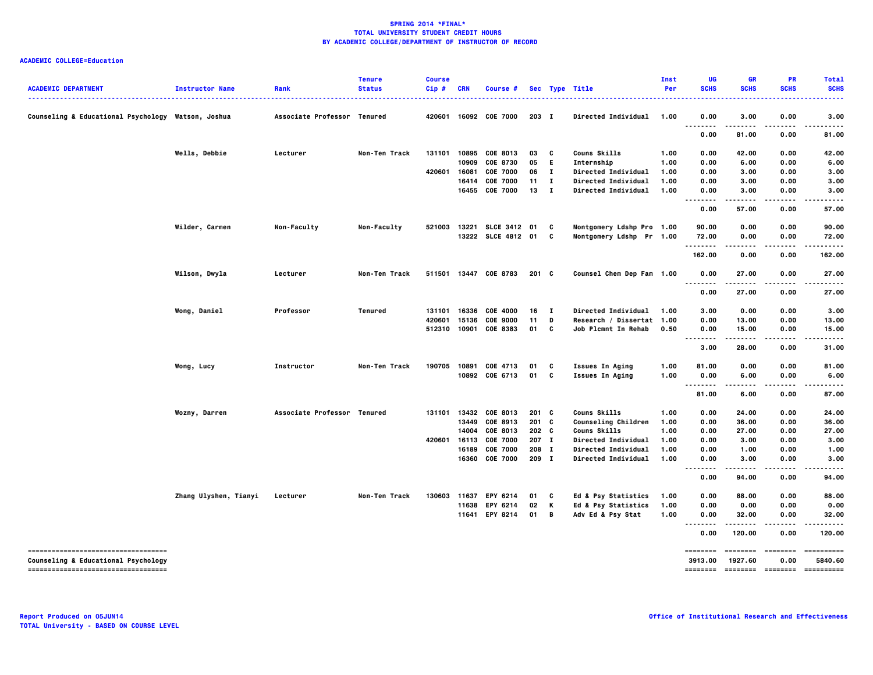# **ACADEMIC COLLEGE=Education**

| <b>ACADEMIC DEPARTMENT</b>                                                 | <b>Instructor Name</b> | Rank                        | <b>Tenure</b><br><b>Status</b> | <b>Course</b><br>Cip# | <b>CRN</b> | Course #              |                  |              | Sec Type Title             | Inst<br>Per | UG<br><b>SCHS</b>                                                                                                                                                                                                                                                                                                                                                                                                                                                                      | <b>GR</b><br><b>SCHS</b> | <b>PR</b><br><b>SCHS</b>                                                                                                                                                                                                                                                                                                                                                                                                                                                                       | <b>Total</b><br><b>SCHS</b> |
|----------------------------------------------------------------------------|------------------------|-----------------------------|--------------------------------|-----------------------|------------|-----------------------|------------------|--------------|----------------------------|-------------|----------------------------------------------------------------------------------------------------------------------------------------------------------------------------------------------------------------------------------------------------------------------------------------------------------------------------------------------------------------------------------------------------------------------------------------------------------------------------------------|--------------------------|------------------------------------------------------------------------------------------------------------------------------------------------------------------------------------------------------------------------------------------------------------------------------------------------------------------------------------------------------------------------------------------------------------------------------------------------------------------------------------------------|-----------------------------|
| Counseling & Educational Psychology Watson, Joshua                         |                        | Associate Professor Tenured |                                | 420601                |            | 16092 COE 7000        | $203$ I          |              | <b>Directed Individual</b> | 1.00        | 0.00                                                                                                                                                                                                                                                                                                                                                                                                                                                                                   | 3.00                     | 0.00                                                                                                                                                                                                                                                                                                                                                                                                                                                                                           | 3.00                        |
|                                                                            |                        |                             |                                |                       |            |                       |                  |              |                            |             | $\sim$ $\sim$ $\sim$<br>.<br>0.00                                                                                                                                                                                                                                                                                                                                                                                                                                                      | .<br>81.00               | .<br>0.00                                                                                                                                                                                                                                                                                                                                                                                                                                                                                      | 81.00                       |
|                                                                            | Wells, Debbie          | Lecturer                    | Non-Ten Track                  | 131101                |            | 10895 COE 8013        | 03               | C            | Couns Skills               | 1.00        | 0.00                                                                                                                                                                                                                                                                                                                                                                                                                                                                                   | 42.00                    | 0.00                                                                                                                                                                                                                                                                                                                                                                                                                                                                                           | 42.00                       |
|                                                                            |                        |                             |                                |                       | 10909      | COE 8730              | 05               | E.           | Internship                 | 1.00        | 0.00                                                                                                                                                                                                                                                                                                                                                                                                                                                                                   | 6.00                     | 0.00                                                                                                                                                                                                                                                                                                                                                                                                                                                                                           | 6.00                        |
|                                                                            |                        |                             |                                | 420601                | 16081      | <b>COE 7000</b>       | 06               | $\mathbf{I}$ | <b>Directed Individual</b> | 1.00        | 0.00                                                                                                                                                                                                                                                                                                                                                                                                                                                                                   | 3.00                     | 0.00                                                                                                                                                                                                                                                                                                                                                                                                                                                                                           | 3.00                        |
|                                                                            |                        |                             |                                |                       | 16414      | <b>COE 7000</b>       | 11               | $\mathbf{I}$ | Directed Individual        | 1.00        | 0.00                                                                                                                                                                                                                                                                                                                                                                                                                                                                                   | 3.00                     | 0.00                                                                                                                                                                                                                                                                                                                                                                                                                                                                                           | 3.00                        |
|                                                                            |                        |                             |                                |                       |            | 16455 COE 7000        | 13               | $\mathbf{I}$ | <b>Directed Individual</b> | 1.00        | 0.00<br>. .<br>.                                                                                                                                                                                                                                                                                                                                                                                                                                                                       | 3.00<br>.                | 0.00<br>.                                                                                                                                                                                                                                                                                                                                                                                                                                                                                      | 3.00                        |
|                                                                            |                        |                             |                                |                       |            |                       |                  |              |                            |             | 0.00                                                                                                                                                                                                                                                                                                                                                                                                                                                                                   | 57.00                    | 0.00                                                                                                                                                                                                                                                                                                                                                                                                                                                                                           | 57.00                       |
|                                                                            | Wilder, Carmen         | Non-Faculty                 | Non-Faculty                    | 521003                | 13221      | <b>SLCE 3412</b>      | 01               | $\mathbf{c}$ | Montgomery Ldshp Pro 1.00  |             | 90.00                                                                                                                                                                                                                                                                                                                                                                                                                                                                                  | 0.00                     | 0.00                                                                                                                                                                                                                                                                                                                                                                                                                                                                                           | 90.00                       |
|                                                                            |                        |                             |                                |                       |            | 13222 SLCE 4812 01 C  |                  |              | Montgomery Ldshp Pr 1.00   |             | 72.00<br>.                                                                                                                                                                                                                                                                                                                                                                                                                                                                             | 0.00                     | 0.00                                                                                                                                                                                                                                                                                                                                                                                                                                                                                           | 72.00                       |
|                                                                            |                        |                             |                                |                       |            |                       |                  |              |                            |             | 162.00                                                                                                                                                                                                                                                                                                                                                                                                                                                                                 | 0.00                     | 0.00                                                                                                                                                                                                                                                                                                                                                                                                                                                                                           | 162.00                      |
|                                                                            | Wilson, Dwyla          | Lecturer                    | Non-Ten Track                  |                       |            | 511501 13447 COE 8783 | $201 \quad C$    |              | Counsel Chem Dep Fam 1.00  |             | 0.00<br><br>$\sim$ $\sim$ $\sim$                                                                                                                                                                                                                                                                                                                                                                                                                                                       | 27.00                    | 0.00                                                                                                                                                                                                                                                                                                                                                                                                                                                                                           | 27.00                       |
|                                                                            |                        |                             |                                |                       |            |                       |                  |              |                            |             | 0.00                                                                                                                                                                                                                                                                                                                                                                                                                                                                                   | 27.00                    | 0.00                                                                                                                                                                                                                                                                                                                                                                                                                                                                                           | 27.00                       |
|                                                                            | Wong, Daniel           | Professor                   | Tenured                        | 131101                | 16336      | <b>COE 4000</b>       | 16               | $\mathbf{I}$ | Directed Individual        | 1.00        | 3.00                                                                                                                                                                                                                                                                                                                                                                                                                                                                                   | 0.00                     | 0.00                                                                                                                                                                                                                                                                                                                                                                                                                                                                                           | 3.00                        |
|                                                                            |                        |                             |                                | 420601                | 15136      | <b>COE 9000</b>       | 11               | D            | Research / Dissertat 1.00  |             | 0.00                                                                                                                                                                                                                                                                                                                                                                                                                                                                                   | 13.00                    | 0.00                                                                                                                                                                                                                                                                                                                                                                                                                                                                                           | 13.00                       |
|                                                                            |                        |                             |                                |                       |            | 512310 10901 COE 8383 | 01 C             |              | <b>Job Plcmnt In Rehab</b> | 0.50        | 0.00<br>                                                                                                                                                                                                                                                                                                                                                                                                                                                                               | 15.00                    | 0.00                                                                                                                                                                                                                                                                                                                                                                                                                                                                                           | 15.00                       |
|                                                                            |                        |                             |                                |                       |            |                       |                  |              |                            |             | 3.00                                                                                                                                                                                                                                                                                                                                                                                                                                                                                   | 28.00                    | 0.00                                                                                                                                                                                                                                                                                                                                                                                                                                                                                           | 31.00                       |
|                                                                            | Wong, Lucy             | Instructor                  | Non-Ten Track                  | 190705                |            | 10891 COE 4713        | 01               | C            | <b>Issues In Aging</b>     | 1.00        | 81.00                                                                                                                                                                                                                                                                                                                                                                                                                                                                                  | 0.00                     | 0.00                                                                                                                                                                                                                                                                                                                                                                                                                                                                                           | 81.00                       |
|                                                                            |                        |                             |                                |                       |            | 10892 COE 6713        | 01 C             |              | <b>Issues In Aging</b>     | 1.00        | 0.00<br>$\sim$ $\sim$ $\sim$<br>$- - -$                                                                                                                                                                                                                                                                                                                                                                                                                                                | 6.00                     | 0.00                                                                                                                                                                                                                                                                                                                                                                                                                                                                                           | 6.00                        |
|                                                                            |                        |                             |                                |                       |            |                       |                  |              |                            |             | 81.00                                                                                                                                                                                                                                                                                                                                                                                                                                                                                  | 6.00                     | 0.00                                                                                                                                                                                                                                                                                                                                                                                                                                                                                           | 87.00                       |
|                                                                            | Wozny, Darren          | Associate Professor Tenured |                                | 131101                | 13432      | COE 8013              | 201 C            |              | Couns Skills               | 1.00        | 0.00                                                                                                                                                                                                                                                                                                                                                                                                                                                                                   | 24.00                    | 0.00                                                                                                                                                                                                                                                                                                                                                                                                                                                                                           | 24.00                       |
|                                                                            |                        |                             |                                |                       | 13449      | COE 8913              | $201 \quad C$    |              | <b>Counseling Children</b> | 1.00        | 0.00                                                                                                                                                                                                                                                                                                                                                                                                                                                                                   | 36.00                    | 0.00                                                                                                                                                                                                                                                                                                                                                                                                                                                                                           | 36.00                       |
|                                                                            |                        |                             |                                |                       | 14004      | COE 8013              | 202 <sub>c</sub> |              | Couns Skills               | 1.00        | 0.00                                                                                                                                                                                                                                                                                                                                                                                                                                                                                   | 27.00                    | 0.00                                                                                                                                                                                                                                                                                                                                                                                                                                                                                           | 27.00                       |
|                                                                            |                        |                             |                                | 420601                | 16113      | <b>COE 7000</b>       | 207 I            |              | Directed Individual        | 1.00        | 0.00                                                                                                                                                                                                                                                                                                                                                                                                                                                                                   | 3.00                     | 0.00                                                                                                                                                                                                                                                                                                                                                                                                                                                                                           | 3.00                        |
|                                                                            |                        |                             |                                |                       | 16189      | <b>COE 7000</b>       | 208 I            |              | <b>Directed Individual</b> | 1.00        | 0.00                                                                                                                                                                                                                                                                                                                                                                                                                                                                                   | 1.00                     | 0.00                                                                                                                                                                                                                                                                                                                                                                                                                                                                                           | 1.00                        |
|                                                                            |                        |                             |                                |                       |            | 16360 COE 7000        | 209 I            |              | <b>Directed Individual</b> | 1.00        | 0.00<br>. .<br>.                                                                                                                                                                                                                                                                                                                                                                                                                                                                       | 3.00<br>.                | 0.00<br>$- - - -$                                                                                                                                                                                                                                                                                                                                                                                                                                                                              | 3.00                        |
|                                                                            |                        |                             |                                |                       |            |                       |                  |              |                            |             | 0.00                                                                                                                                                                                                                                                                                                                                                                                                                                                                                   | 94.00                    | 0.00                                                                                                                                                                                                                                                                                                                                                                                                                                                                                           | 94.00                       |
|                                                                            | Zhang Ulyshen, Tianyi  | Lecturer                    | Non-Ten Track                  | 130603                | 11637      | EPY 6214              | 01               | C            | Ed & Psy Statistics        | 1.00        | 0.00                                                                                                                                                                                                                                                                                                                                                                                                                                                                                   | 88.00                    | 0.00                                                                                                                                                                                                                                                                                                                                                                                                                                                                                           | 88.00                       |
|                                                                            |                        |                             |                                |                       | 11638      | EPY 6214              | 02               | K            | Ed & Psy Statistics        | 1.00        | 0.00                                                                                                                                                                                                                                                                                                                                                                                                                                                                                   | 0.00                     | 0.00                                                                                                                                                                                                                                                                                                                                                                                                                                                                                           | 0.00                        |
|                                                                            |                        |                             |                                |                       |            | 11641 EPY 8214        | 01 B             |              | Adv Ed & Psy Stat          | 1.00        | 0.00<br><br>.                                                                                                                                                                                                                                                                                                                                                                                                                                                                          | 32.00<br>.               | 0.00<br>.                                                                                                                                                                                                                                                                                                                                                                                                                                                                                      | 32.00<br>.                  |
|                                                                            |                        |                             |                                |                       |            |                       |                  |              |                            |             | 0.00                                                                                                                                                                                                                                                                                                                                                                                                                                                                                   | 120.00                   | 0.00                                                                                                                                                                                                                                                                                                                                                                                                                                                                                           | 120.00                      |
| -----------------------------------<br>Counseling & Educational Psychology |                        |                             |                                |                       |            |                       |                  |              |                            |             | ========<br>3913.00                                                                                                                                                                                                                                                                                                                                                                                                                                                                    | ========<br>1927.60      | $\begin{array}{cccccccccc} \multicolumn{2}{c}{} & \multicolumn{2}{c}{} & \multicolumn{2}{c}{} & \multicolumn{2}{c}{} & \multicolumn{2}{c}{} & \multicolumn{2}{c}{} & \multicolumn{2}{c}{} & \multicolumn{2}{c}{} & \multicolumn{2}{c}{} & \multicolumn{2}{c}{} & \multicolumn{2}{c}{} & \multicolumn{2}{c}{} & \multicolumn{2}{c}{} & \multicolumn{2}{c}{} & \multicolumn{2}{c}{} & \multicolumn{2}{c}{} & \multicolumn{2}{c}{} & \multicolumn{2}{c}{} & \multicolumn{2}{c}{} & \mult$<br>0.00 | ==========<br>5840.60       |
| -----------------------------------                                        |                        |                             |                                |                       |            |                       |                  |              |                            |             | $\begin{array}{cccccccccc} \multicolumn{2}{c}{} & \multicolumn{2}{c}{} & \multicolumn{2}{c}{} & \multicolumn{2}{c}{} & \multicolumn{2}{c}{} & \multicolumn{2}{c}{} & \multicolumn{2}{c}{} & \multicolumn{2}{c}{} & \multicolumn{2}{c}{} & \multicolumn{2}{c}{} & \multicolumn{2}{c}{} & \multicolumn{2}{c}{} & \multicolumn{2}{c}{} & \multicolumn{2}{c}{} & \multicolumn{2}{c}{} & \multicolumn{2}{c}{} & \multicolumn{2}{c}{} & \multicolumn{2}{c}{} & \multicolumn{2}{c}{} & \mult$ |                          | -------- -------                                                                                                                                                                                                                                                                                                                                                                                                                                                                               | ==========                  |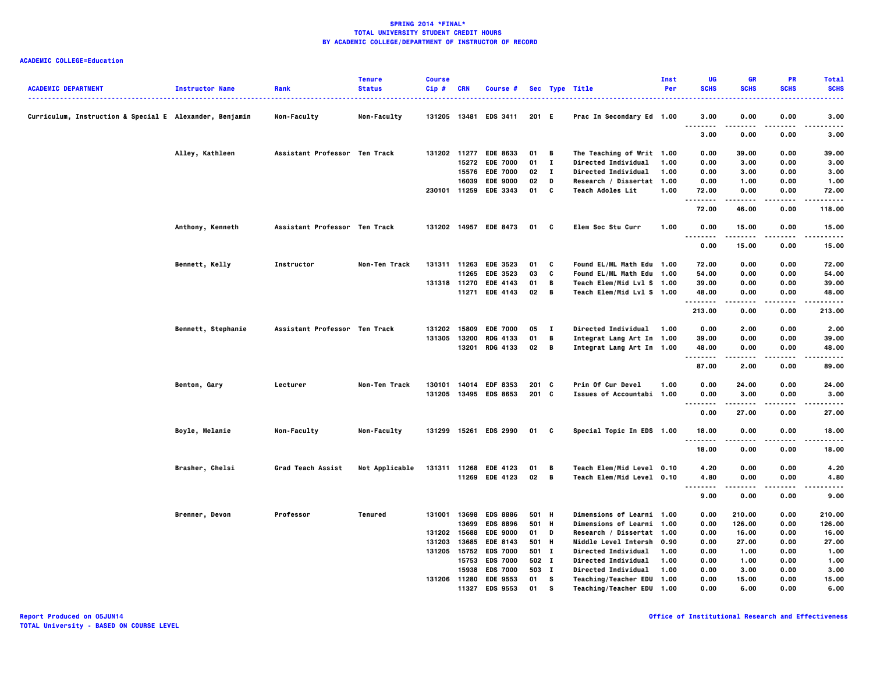| <b>ACADEMIC DEPARTMENT</b>                              | <b>Instructor Name</b> | Rank                          | <b>Tenure</b><br><b>Status</b> | <b>Course</b><br>Cip# | CRN   | Course #              |        |              | Sec Type Title                   | Inst<br>Per | UG<br><b>SCHS</b>                                    | <b>GR</b><br><b>SCHS</b> | <b>PR</b><br><b>SCHS</b> | <b>Total</b><br><b>SCHS</b> |
|---------------------------------------------------------|------------------------|-------------------------------|--------------------------------|-----------------------|-------|-----------------------|--------|--------------|----------------------------------|-------------|------------------------------------------------------|--------------------------|--------------------------|-----------------------------|
|                                                         |                        |                               |                                |                       |       |                       |        |              | <u>.</u>                         |             |                                                      |                          |                          |                             |
| Curriculum, Instruction & Special E Alexander, Benjamin |                        | <b>Non-Faculty</b>            | Non-Faculty                    |                       |       | 131205 13481 EDS 3411 | 201 E  |              | Prac In Secondary Ed 1.00        |             | 3.00<br>$\sim$ $\sim$ $\sim$<br>$\sim$ $\sim$ $\sim$ | 0.00                     | 0.00                     | 3.00                        |
|                                                         |                        |                               |                                |                       |       |                       |        |              |                                  |             | 3.00                                                 | 0.00                     | 0.00                     | 3.00                        |
|                                                         | Alley, Kathleen        | Assistant Professor Ten Track |                                |                       |       | 131202 11277 EDE 8633 | 01 B   |              | The Teaching of Writ 1.00        |             | 0.00                                                 | 39.00                    | 0.00                     | 39.00                       |
|                                                         |                        |                               |                                |                       |       | 15272 EDE 7000        | $01$ I |              | Directed Individual              | 1.00        | 0.00                                                 | 3.00                     | 0.00                     | 3.00                        |
|                                                         |                        |                               |                                |                       |       | 15576 EDE 7000        | 02     | $\mathbf{I}$ | Directed Individual              | 1.00        | 0.00                                                 | 3.00                     | 0.00                     | 3.00                        |
|                                                         |                        |                               |                                |                       | 16039 | <b>EDE 9000</b>       | 02     | D            | Research / Dissertat 1.00        |             | 0.00                                                 | 1.00                     | 0.00                     | 1.00                        |
|                                                         |                        |                               |                                |                       |       | 230101 11259 EDE 3343 | 01 C   |              | <b>Teach Adoles Lit</b>          | 1.00        | 72.00<br>--------                                    | 0.00                     | 0.00                     | 72.00<br>.                  |
|                                                         |                        |                               |                                |                       |       |                       |        |              |                                  |             | 72.00                                                | 46.00                    | 0.00                     | 118.00                      |
|                                                         | Anthony, Kenneth       | Assistant Professor Ten Track |                                |                       |       | 131202 14957 EDE 8473 | 01 C   |              | <b>Elem Soc Stu Curr</b>         | 1.00        | 0.00<br>$\sim$ $\sim$ $\sim$<br>.                    | 15.00                    | 0.00                     | 15.00                       |
|                                                         |                        |                               |                                |                       |       |                       |        |              |                                  |             | 0.00                                                 | 15.00                    | 0.00                     | 15.00                       |
|                                                         | Bennett, Kelly         | Instructor                    | Non-Ten Track                  |                       |       | 131311 11263 EDE 3523 | 01     | C            | Found EL/ML Math Edu 1.00        |             | 72.00                                                | 0.00                     | 0.00                     | 72.00                       |
|                                                         |                        |                               |                                |                       |       | 11265 EDE 3523        | 03     | C            | Found EL/ML Math Edu 1.00        |             | 54.00                                                | 0.00                     | 0.00                     | 54.00                       |
|                                                         |                        |                               |                                | 131318 11270          |       | <b>EDE 4143</b>       | 01     | B            | Teach Elem/Mid Lvl S 1.00        |             | 39.00                                                | 0.00                     | 0.00                     | 39.00                       |
|                                                         |                        |                               |                                |                       |       | 11271 EDE 4143        | 02     | - в          | Teach Elem/Mid Lvl S 1.00        |             | 48.00<br>.                                           | 0.00<br>-----            | 0.00<br>.                | 48.00<br>.                  |
|                                                         |                        |                               |                                |                       |       |                       |        |              |                                  |             | 213.00                                               | 0.00                     | 0.00                     | 213.00                      |
|                                                         | Bennett, Stephanie     | Assistant Professor Ten Track |                                |                       |       | 131202 15809 EDE 7000 | 05     | $\mathbf{I}$ | <b>Directed Individual</b>       | 1.00        | 0.00                                                 | 2.00                     | 0.00                     | 2.00                        |
|                                                         |                        |                               |                                | 131305                | 13200 | <b>RDG 4133</b>       | 01     | B            | Integrat Lang Art In 1.00        |             | 39.00                                                | 0.00                     | 0.00                     | 39.00                       |
|                                                         |                        |                               |                                |                       | 13201 | <b>RDG 4133</b>       | 02 B   |              | Integrat Lang Art In 1.00        |             | 48.00                                                | 0.00                     | 0.00                     | 48.00                       |
|                                                         |                        |                               |                                |                       |       |                       |        |              |                                  |             | .<br>87.00                                           | .<br>2.00                | $- - - -$<br>0.00        | .<br>89.00                  |
|                                                         | Benton, Gary           | Lecturer                      | Non-Ten Track                  |                       |       | 130101 14014 EDF 8353 | 201 C  |              | Prin Of Cur Devel                | 1.00        | 0.00                                                 | 24.00                    | 0.00                     | 24.00                       |
|                                                         |                        |                               |                                |                       |       | 131205 13495 EDS 8653 | 201 C  |              | Issues of Accountabi 1.00        |             | 0.00                                                 | 3.00                     | 0.00                     | 3.00                        |
|                                                         |                        |                               |                                |                       |       |                       |        |              |                                  |             | $\sim$ $\sim$ $\sim$<br>$\sim$ $\sim$ $\sim$         |                          | .                        | $- - - -$                   |
|                                                         |                        |                               |                                |                       |       |                       |        |              |                                  |             | 0.00                                                 | 27.00                    | 0.00                     | 27.00                       |
|                                                         | Boyle, Melanie         | Non-Faculty                   | Non-Faculty                    |                       |       | 131299 15261 EDS 2990 | 01 C   |              | Special Topic In EDS 1.00        |             | 18.00<br>.                                           | 0.00<br>-----            | 0.00<br>$- - - -$        | 18.00<br>. <b>.</b> .       |
|                                                         |                        |                               |                                |                       |       |                       |        |              |                                  |             | 18.00                                                | 0.00                     | 0.00                     | 18.00                       |
|                                                         | Brasher, Chelsi        | Grad Teach Assist             | Not Applicable                 |                       |       | 131311 11268 EDE 4123 | 01     | - в          | Teach Elem/Mid Level 0.10        |             | 4.20                                                 | 0.00                     | 0.00                     | 4.20                        |
|                                                         |                        |                               |                                |                       |       | 11269 EDE 4123        | 02 B   |              | Teach Elem/Mid Level 0.10        |             | 4.80                                                 | 0.00                     | 0.00                     | 4.80                        |
|                                                         |                        |                               |                                |                       |       |                       |        |              |                                  |             | .<br>9.00                                            | 0.00                     | 0.00                     | 9.00                        |
|                                                         | Brenner, Devon         | Professor                     | Tenured                        |                       |       | 131001 13698 EDS 8886 | 501 H  |              | <b>Dimensions of Learni 1.00</b> |             | 0.00                                                 | 210.00                   | 0.00                     | 210.00                      |
|                                                         |                        |                               |                                |                       | 13699 | <b>EDS 8896</b>       | 501 H  |              | Dimensions of Learni 1.00        |             | 0.00                                                 | 126.00                   | 0.00                     | 126.00                      |
|                                                         |                        |                               |                                | 131202                | 15688 | <b>EDE 9000</b>       | 01 D   |              | Research / Dissertat 1.00        |             | 0.00                                                 | 16.00                    | 0.00                     | 16.00                       |
|                                                         |                        |                               |                                | 131203                | 13685 | <b>EDE 8143</b>       | 501 H  |              | Middle Level Intersh 0.90        |             | 0.00                                                 | 27.00                    | 0.00                     | 27.00                       |
|                                                         |                        |                               |                                |                       |       | 131205 15752 EDS 7000 | 501 I  |              | <b>Directed Individual</b>       | 1.00        | 0.00                                                 | 1.00                     | 0.00                     | 1.00                        |
|                                                         |                        |                               |                                |                       |       | 15753 EDS 7000        | 502 I  |              | Directed Individual              | 1.00        | 0.00                                                 | 1.00                     | 0.00                     | 1.00                        |
|                                                         |                        |                               |                                |                       | 15938 | <b>EDS 7000</b>       | 503 I  |              | Directed Individual              | 1.00        | 0.00                                                 | 3.00                     | 0.00                     | 3.00                        |
|                                                         |                        |                               |                                |                       |       | 131206 11280 EDE 9553 | 01     | <b>S</b>     | Teaching/Teacher EDU 1.00        |             | 0.00                                                 | 15.00                    | 0.00                     | 15.00                       |
|                                                         |                        |                               |                                |                       | 11327 | <b>EDS 9553</b>       | 01     | s            | Teaching/Teacher EDU 1.00        |             | 0.00                                                 | 6.00                     | 0.00                     | 6.00                        |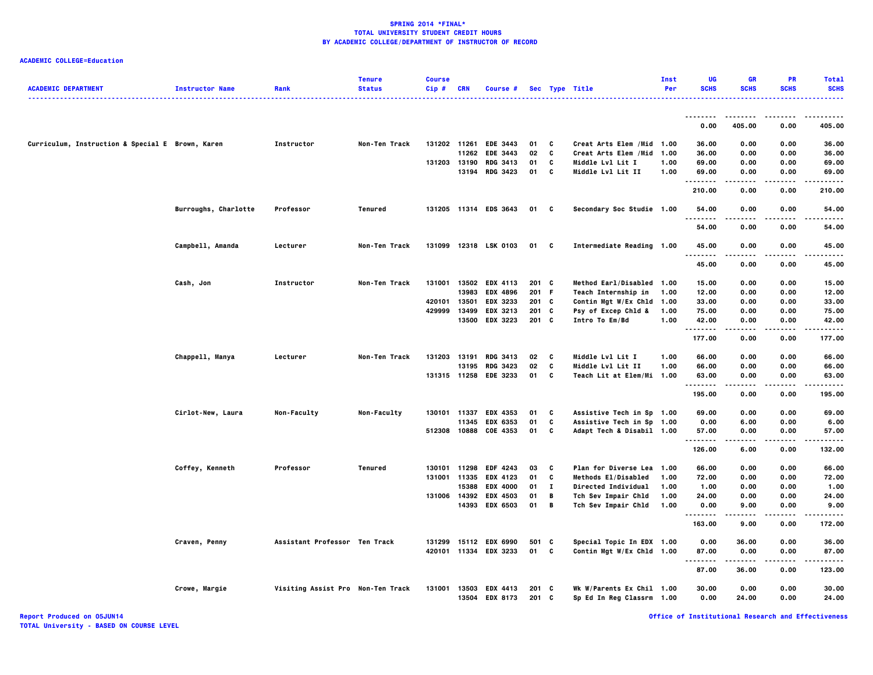| <b>ACADEMIC DEPARTMENT</b>                       | <b>Instructor Name</b> | Rank                              | <b>Tenure</b><br><b>Status</b> | <b>Course</b><br>Cip# | <b>CRN</b>   | Course #                         |                |              | Sec Type Title                                         | Inst<br>Per | UG<br><b>SCHS</b> | <b>GR</b><br><b>SCHS</b> | PR<br><b>SCHS</b> | <b>Total</b><br><b>SCHS</b> |
|--------------------------------------------------|------------------------|-----------------------------------|--------------------------------|-----------------------|--------------|----------------------------------|----------------|--------------|--------------------------------------------------------|-------------|-------------------|--------------------------|-------------------|-----------------------------|
|                                                  |                        |                                   |                                |                       |              |                                  |                |              |                                                        |             |                   |                          |                   | .                           |
|                                                  |                        |                                   |                                |                       |              |                                  |                |              |                                                        |             | --------<br>0.00  | .<br>405.00              | -----<br>0.00     | ------<br>405.00            |
| Curriculum, Instruction & Special E Brown, Karen |                        | Instructor                        | Non-Ten Track                  |                       |              | 131202 11261 EDE 3443            | 01             | C            | Creat Arts Elem / Mid 1.00                             |             | 36.00             | 0.00                     | 0.00              | 36.00                       |
|                                                  |                        |                                   |                                |                       | 11262        | <b>EDE 3443</b>                  | 02             | C            | Creat Arts Elem /Mid 1.00                              |             | 36.00             | 0.00                     | 0.00              | 36.00                       |
|                                                  |                        |                                   |                                | 131203 13190          |              | <b>RDG 3413</b>                  | 01             | C            | Middle Lvl Lit I                                       | 1.00        | 69.00             | 0.00                     | 0.00              | 69.00                       |
|                                                  |                        |                                   |                                |                       |              | 13194 RDG 3423                   | 01             | c            | Middle Lvl Lit II                                      | 1.00        | 69.00             | 0.00                     | 0.00              | 69.00                       |
|                                                  |                        |                                   |                                |                       |              |                                  |                |              |                                                        |             | 210.00            | 0.00                     | 0.00              | 210.00                      |
|                                                  | Burroughs, Charlotte   | Professor                         | Tenured                        |                       |              | 131205 11314 EDS 3643            | 01             | C            | Secondary Soc Studie 1.00                              |             | 54.00             | 0.00                     | 0.00              | 54.00                       |
|                                                  |                        |                                   |                                |                       |              |                                  |                |              |                                                        |             | .<br>54.00        | 0.00                     | 0.00              | .<br>54.00                  |
|                                                  | Campbell, Amanda       | Lecturer                          | Non-Ten Track                  |                       |              | 131099 12318 LSK 0103            | 01 C           |              | Intermediate Reading 1.00                              |             | 45.00<br>. .      | 0.00                     | 0.00              | 45.00                       |
|                                                  |                        |                                   |                                |                       |              |                                  |                |              |                                                        |             | 45.00             | 0.00                     | 0.00              | 45.00                       |
|                                                  | Cash, Jon              | Instructor                        | Non-Ten Track                  |                       |              | 131001 13502 EDX 4113            | $201$ C        |              | Method Earl/Disabled 1.00                              |             | 15.00             | 0.00                     | 0.00              | 15.00                       |
|                                                  |                        |                                   |                                |                       | 13983        | EDX 4896                         | 201 F          |              | Teach Internship in                                    | 1.00        | 12.00             | 0.00                     | 0.00              | 12.00                       |
|                                                  |                        |                                   |                                | 420101                | 13501        | EDX 3233                         | $201$ C        |              | Contin Mgt W/Ex Chld 1.00                              |             | 33.00             | 0.00                     | 0.00              | 33.00                       |
|                                                  |                        |                                   |                                | 429999                |              | 13499 EDX 3213                   | 201 C          |              | Psy of Excep Chld &                                    | 1.00        | 75.00             | 0.00                     | 0.00              | 75.00                       |
|                                                  |                        |                                   |                                |                       | 13500        | <b>EDX 3223</b>                  | 201 C          |              | Intro To Em/Bd                                         | 1.00        | 42.00             | 0.00                     | 0.00              | 42.00                       |
|                                                  |                        |                                   |                                |                       |              |                                  |                |              |                                                        |             | .<br>177.00       | 0.00                     | 0.00              | 177.00                      |
|                                                  | Chappell, Manya        | Lecturer                          | Non-Ten Track                  | 131203                | 13191        | <b>RDG 3413</b>                  | 02             | C            | Middle Lvl Lit I                                       | 1.00        | 66.00             | 0.00                     | 0.00              | 66.00                       |
|                                                  |                        |                                   |                                |                       | 13195        | <b>RDG 3423</b>                  | 02             | C            | Middle Lvl Lit II                                      | 1.00        | 66.00             | 0.00                     | 0.00              | 66.00                       |
|                                                  |                        |                                   |                                |                       |              | 131315 11258 EDE 3233            | 01             | C            | Teach Lit at Elem/Mi 1.00                              |             | 63.00             | 0.00                     | 0.00              | 63.00                       |
|                                                  |                        |                                   |                                |                       |              |                                  |                |              |                                                        |             | .<br>195.00       | .<br>0.00                | .<br>0.00         | .<br>195.00                 |
|                                                  | Cirlot-New, Laura      | Non-Faculty                       | Non-Faculty                    | 130101                | 11337        | <b>EDX 4353</b>                  | 01             | c            | Assistive Tech in Sp 1.00                              |             | 69.00             | 0.00                     | 0.00              | 69.00                       |
|                                                  |                        |                                   |                                |                       | 11345        | <b>EDX 6353</b>                  | 01             | C            | Assistive Tech in Sp 1.00                              |             | 0.00              | 6.00                     | 0.00              | 6.00                        |
|                                                  |                        |                                   |                                |                       |              | 512308 10888 COE 4353            | 01             | C            | Adapt Tech & Disabil 1.00                              |             | 57.00             | 0.00                     | 0.00              | 57.00                       |
|                                                  |                        |                                   |                                |                       |              |                                  |                |              |                                                        |             | <br>126.00        | .<br>6.00                | .<br>0.00         | .<br>132.00                 |
|                                                  | Coffey, Kenneth        | Professor                         | Tenured                        | 130101                | 11298        | <b>EDF 4243</b>                  | 03             | C            | Plan for Diverse Lea 1.00                              |             | 66.00             | 0.00                     | 0.00              | 66.00                       |
|                                                  |                        |                                   |                                |                       | 131001 11335 | <b>EDX 4123</b>                  | 01             | C            | Methods El/Disabled                                    | 1.00        | 72.00             | 0.00                     | 0.00              | 72.00                       |
|                                                  |                        |                                   |                                |                       | 15388        | <b>EDX 4000</b>                  | 01             | $\mathbf{I}$ | <b>Directed Individual</b>                             | 1.00        | 1.00              | 0.00                     | 0.00              | 1.00                        |
|                                                  |                        |                                   |                                | 131006                | 14392        | <b>EDX 4503</b>                  | 01             | B            | Tch Sev Impair Chld                                    | 1.00        | 24.00             | 0.00                     | 0.00              | 24.00                       |
|                                                  |                        |                                   |                                |                       |              | 14393 EDX 6503                   | 01             | B            | Tch Sev Impair Chld                                    | 1.00        | 0.00              | 9.00                     | 0.00              | 9.00                        |
|                                                  |                        |                                   |                                |                       |              |                                  |                |              |                                                        |             | .<br>163.00       | 9.00                     | 0.00              | 172.00                      |
|                                                  | Craven, Penny          | Assistant Professor Ten Track     |                                | 131299                |              | 15112 EDX 6990                   | 501 C          |              | Special Topic In EDX 1.00                              |             | 0.00              | 36.00                    | 0.00              | 36.00                       |
|                                                  |                        |                                   |                                |                       |              | 420101 11334 EDX 3233            | 01             | C            | Contin Mgt W/Ex Chld 1.00                              |             | 87.00<br>.        | 0.00<br>.                | 0.00<br>.         | 87.00<br>.                  |
|                                                  |                        |                                   |                                |                       |              |                                  |                |              |                                                        |             | 87.00             | 36.00                    | 0.00              | 123.00                      |
|                                                  | Crowe, Margie          | Visiting Assist Pro Non-Ten Track |                                | 131001                |              | 13503 EDX 4413<br>13504 EDX 8173 | 201 C<br>201 C |              | Wk W/Parents Ex Chil 1.00<br>Sp Ed In Reg Classrm 1.00 |             | 30.00<br>0.00     | 0.00<br>24.00            | 0.00<br>0.00      | 30.00<br>24.00              |
|                                                  |                        |                                   |                                |                       |              |                                  |                |              |                                                        |             |                   |                          |                   |                             |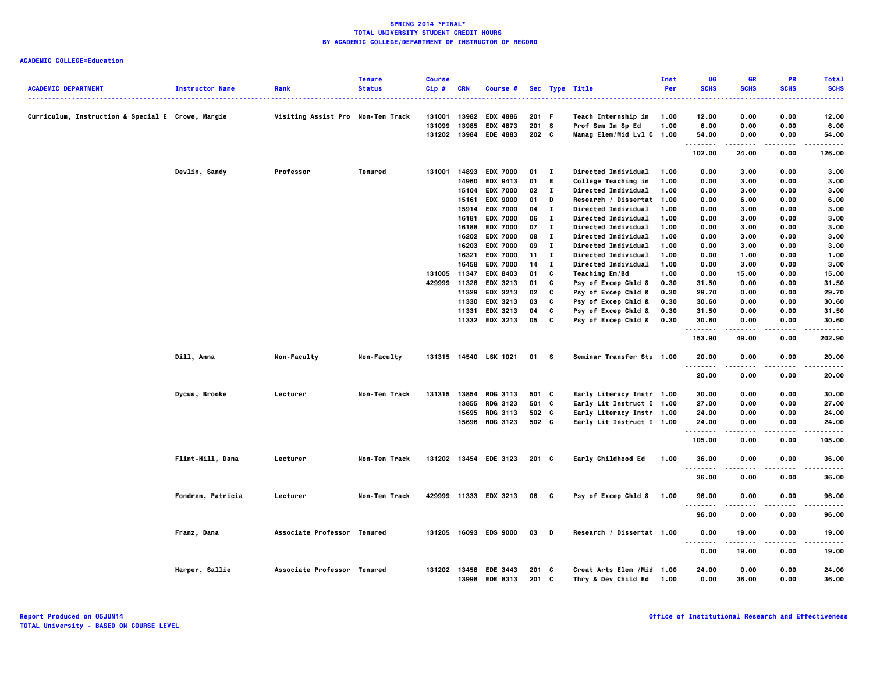|                                                   |                        |                                   | <b>Tenure</b> | <b>Course</b> |            |                                   |                  |              |                                                       | Inst | UG            | <b>GR</b>     | <b>PR</b>    | <b>Total</b>        |
|---------------------------------------------------|------------------------|-----------------------------------|---------------|---------------|------------|-----------------------------------|------------------|--------------|-------------------------------------------------------|------|---------------|---------------|--------------|---------------------|
| <b>ACADEMIC DEPARTMENT</b>                        | <b>Instructor Name</b> | Rank                              | <b>Status</b> | Cip#          | <b>CRN</b> | Course #                          |                  |              | Sec Type Title                                        | Per  | <b>SCHS</b>   | <b>SCHS</b>   | <b>SCHS</b>  | <b>SCHS</b>         |
|                                                   |                        |                                   |               |               |            |                                   |                  |              |                                                       |      |               |               |              |                     |
| Curriculum, Instruction & Special E Crowe, Margie |                        | Visiting Assist Pro Non-Ten Track |               | 131001        | 13982      | <b>EDX 4886</b>                   | 201 F            |              | Teach Internship in                                   | 1.00 | 12.00         | 0.00          | 0.00         | 12.00               |
|                                                   |                        |                                   |               | 131099        | 13985      | <b>EDX 4873</b>                   | 201 S            |              | Prof Sem In Sp Ed                                     | 1.00 | 6.00          | 0.00          | 0.00         | 6.00                |
|                                                   |                        |                                   |               |               |            | 131202 13984 EDE 4883             | 202 <sub>c</sub> |              | Manag Elem/Mid Lvl C 1.00                             |      | 54.00         | 0.00          | 0.00         | 54.00               |
|                                                   |                        |                                   |               |               |            |                                   |                  |              |                                                       |      | .             |               | .            | .                   |
|                                                   |                        |                                   |               |               |            |                                   |                  |              |                                                       |      | 102.00        | 24.00         | 0.00         | 126.00              |
|                                                   | Devlin, Sandy          | Professor                         | Tenured       | 131001        |            | 14893 EDX 7000                    | 01               | $\mathbf{I}$ | Directed Individual                                   | 1.00 | 0.00          | 3.00          | 0.00         | 3.00                |
|                                                   |                        |                                   |               |               | 14960      | <b>EDX 9413</b>                   | 01               | - E          | College Teaching in                                   | 1.00 | 0.00          | 3.00          | 0.00         | 3.00                |
|                                                   |                        |                                   |               |               |            | 15104 EDX 7000                    | 02               | $\mathbf{I}$ | Directed Individual                                   | 1.00 | 0.00          | 3.00          | 0.00         | 3.00                |
|                                                   |                        |                                   |               |               | 15161      | <b>EDX 9000</b>                   | 01               | D            | Research / Dissertat 1.00                             |      | 0.00          | 6.00          | 0.00         | 6.00                |
|                                                   |                        |                                   |               |               |            | 15914 EDX 7000                    | 04               | $\mathbf{I}$ | <b>Directed Individual</b>                            | 1.00 | 0.00          | 3.00          | 0.00         | 3.00                |
|                                                   |                        |                                   |               |               | 16181      | <b>EDX 7000</b>                   | 06               | $\mathbf{I}$ | Directed Individual                                   | 1.00 | 0.00          | 3.00          | 0.00         | 3.00                |
|                                                   |                        |                                   |               |               |            | 16188 EDX 7000                    | 07               | $\mathbf{I}$ | <b>Directed Individual</b>                            | 1.00 | 0.00          | 3.00          | 0.00         | 3.00                |
|                                                   |                        |                                   |               |               |            | 16202 EDX 7000                    | 08               | $\mathbf{I}$ | Directed Individual                                   | 1.00 | 0.00          | 3.00          | 0.00         | 3.00                |
|                                                   |                        |                                   |               |               | 16203      | <b>EDX 7000</b>                   | 09               | $\mathbf{I}$ | <b>Directed Individual</b>                            | 1.00 | 0.00          | 3.00          | 0.00         | 3.00                |
|                                                   |                        |                                   |               |               | 16321      | <b>EDX 7000</b>                   | 11               | $\mathbf{I}$ | Directed Individual                                   | 1.00 | 0.00          | 1.00          | 0.00         | 1.00                |
|                                                   |                        |                                   |               |               | 16458      | <b>EDX 7000</b>                   | 14               | $\mathbf{I}$ | Directed Individual                                   | 1.00 | 0.00          | 3.00          | 0.00         | 3.00                |
|                                                   |                        |                                   |               | 131005 11347  |            | <b>EDX 8403</b>                   | 01               | C            | <b>Teaching Em/Bd</b>                                 | 1.00 | 0.00          | 15.00         | 0.00         | 15.00               |
|                                                   |                        |                                   |               | 429999 11328  |            | <b>EDX 3213</b>                   | 01               | C            | Psy of Excep Chld &                                   | 0.30 | 31.50         | 0.00          | 0.00         | 31.50               |
|                                                   |                        |                                   |               |               | 11329      | EDX 3213                          | 02               | C            | Psy of Excep Chld &                                   | 0.30 | 29.70         | 0.00          | 0.00         | 29.70               |
|                                                   |                        |                                   |               |               | 11330      | <b>EDX 3213</b>                   | 03               | C            | Psy of Excep Chld &                                   | 0.30 | 30.60         | 0.00          | 0.00         | 30.60               |
|                                                   |                        |                                   |               |               | 11331      | EDX 3213                          | 04               | C            | Psy of Excep Chld &                                   | 0.30 | 31.50         | 0.00          | 0.00         | 31.50               |
|                                                   |                        |                                   |               |               |            | 11332 EDX 3213                    | 05               | C            | Psy of Excep Chld &                                   | 0.30 | 30.60         | 0.00          | 0.00         | 30.60               |
|                                                   |                        |                                   |               |               |            |                                   |                  |              |                                                       |      | .<br>153.90   | 49.00         | 0.00         | $- - - -$<br>202.90 |
|                                                   |                        |                                   |               |               |            |                                   |                  |              |                                                       |      |               |               |              |                     |
|                                                   | Dill, Anna             | Non-Faculty                       | Non-Faculty   |               |            | 131315 14540 LSK 1021             | 01 S             |              | Seminar Transfer Stu 1.00                             |      | 20.00<br>.    | 0.00          | 0.00         | 20.00               |
|                                                   |                        |                                   |               |               |            |                                   |                  |              |                                                       |      | 20.00         | 0.00          | 0.00         | 20.00               |
|                                                   |                        |                                   |               |               |            |                                   |                  |              |                                                       |      |               |               |              |                     |
|                                                   | Dycus, Brooke          | Lecturer                          | Non-Ten Track | 131315        |            | 13854 RDG 3113                    | 501 C            |              | Early Literacy Instr 1.00                             |      | 30.00         | 0.00          | 0.00         | 30.00               |
|                                                   |                        |                                   |               |               | 13855      | <b>RDG 3123</b>                   | 501 C            |              | Early Lit Instruct I 1.00                             |      | 27.00         | 0.00          | 0.00         | 27.00               |
|                                                   |                        |                                   |               |               |            | 15695 RDG 3113                    | 502 C            |              | Early Literacy Instr 1.00                             |      | 24.00         | 0.00          | 0.00         | 24.00               |
|                                                   |                        |                                   |               |               |            | 15696 RDG 3123                    | 502 C            |              | Early Lit Instruct I 1.00                             |      | 24.00         | 0.00          | 0.00         | 24.00               |
|                                                   |                        |                                   |               |               |            |                                   |                  |              |                                                       |      | .             |               |              | ----                |
|                                                   |                        |                                   |               |               |            |                                   |                  |              |                                                       |      | 105.00        | 0.00          | 0.00         | 105.00              |
|                                                   | Flint-Hill, Dana       | Lecturer                          | Non-Ten Track |               |            | 131202 13454 EDE 3123             | $201$ C          |              | Early Childhood Ed                                    | 1.00 | 36.00         | 0.00          | 0.00         | 36.00               |
|                                                   |                        |                                   |               |               |            |                                   |                  |              |                                                       |      | -----<br>.    |               |              | ----                |
|                                                   |                        |                                   |               |               |            |                                   |                  |              |                                                       |      | 36.00         | 0.00          | 0.00         | 36.00               |
|                                                   | Fondren, Patricia      | Lecturer                          | Non-Ten Track |               |            | 429999 11333 EDX 3213             | 06 C             |              | Psy of Excep Chld & 1.00                              |      | 96.00         | 0.00          | 0.00         | 96.00               |
|                                                   |                        |                                   |               |               |            |                                   |                  |              |                                                       |      | .<br>96.00    | 0.00          | .<br>0.00    | .<br>96.00          |
|                                                   |                        | Associate Professor Tenured       |               |               |            | 131205 16093 EDS 9000             | $03$ D           |              | Research / Dissertat 1.00                             |      |               | 19.00         | 0.00         | 19.00               |
|                                                   | Franz, Dana            |                                   |               |               |            |                                   |                  |              |                                                       |      | 0.00<br>      |               |              |                     |
|                                                   |                        |                                   |               |               |            |                                   |                  |              |                                                       |      | 0.00          | 19.00         | 0.00         | 19.00               |
|                                                   | Harper, Sallie         | Associate Professor Tenured       |               | 131202 13458  |            | <b>EDE 3443</b><br>13998 EDE 8313 | $201$ C<br>201 C |              | Creat Arts Elem /Mid 1.00<br>Thry & Dev Child Ed 1.00 |      | 24.00<br>0.00 | 0.00<br>36.00 | 0.00<br>0.00 | 24.00<br>36.00      |
|                                                   |                        |                                   |               |               |            |                                   |                  |              |                                                       |      |               |               |              |                     |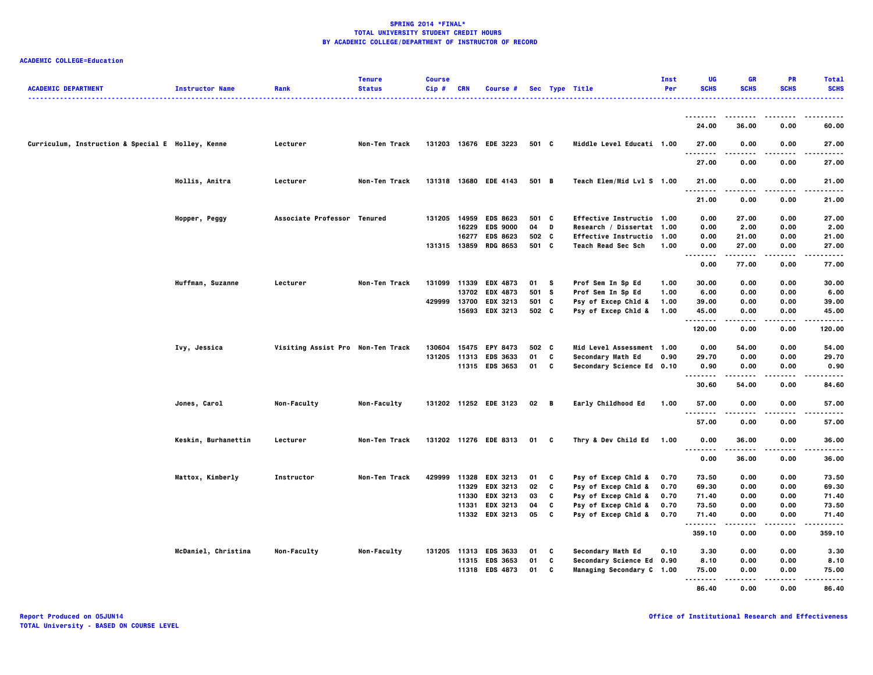|                                                   |                        |                                   | <b>Tenure</b> | <b>Course</b> |            |                       |       |          |                             | Inst | UG<br><b>SCHS</b>                 | <b>GR</b><br><b>SCHS</b> | <b>PR</b><br><b>SCHS</b> | <b>Total</b>       |
|---------------------------------------------------|------------------------|-----------------------------------|---------------|---------------|------------|-----------------------|-------|----------|-----------------------------|------|-----------------------------------|--------------------------|--------------------------|--------------------|
| <b>ACADEMIC DEPARTMENT</b>                        | <b>Instructor Name</b> | Rank                              | <b>Status</b> | Cip#          | <b>CRN</b> | Course #              |       |          | Sec Type Title              | Per  |                                   |                          |                          | <b>SCHS</b><br>.   |
|                                                   |                        |                                   |               |               |            |                       |       |          |                             |      | .                                 |                          |                          |                    |
|                                                   |                        |                                   |               |               |            |                       |       |          |                             |      | 24.00                             | 36.00                    | 0.00                     | 60.00              |
|                                                   |                        |                                   |               |               |            |                       |       |          |                             |      |                                   |                          |                          |                    |
| Curriculum, Instruction & Special E Holley, Kenne |                        | Lecturer                          | Non-Ten Track |               |            | 131203 13676 EDE 3223 | 501 C |          | Middle Level Educati 1.00   |      | 27.00<br>.                        | 0.00                     | 0.00                     | 27.00<br>-----     |
|                                                   |                        |                                   |               |               |            |                       |       |          |                             |      | 27.00                             | 0.00                     | 0.00                     | 27.00              |
|                                                   | Hollis, Anitra         | Lecturer                          | Non-Ten Track |               |            | 131318 13680 EDE 4143 | 501 B |          | Teach Elem/Mid Lvl S 1.00   |      | 21.00                             | 0.00                     | 0.00                     | 21.00              |
|                                                   |                        |                                   |               |               |            |                       |       |          |                             |      | .                                 |                          | .                        | .                  |
|                                                   |                        |                                   |               |               |            |                       |       |          |                             |      | 21.00                             | 0.00                     | 0.00                     | 21.00              |
|                                                   | Hopper, Peggy          | Associate Professor Tenured       |               | 131205        | 14959      | <b>EDS 8623</b>       | 501 C |          | Effective Instructio 1.00   |      | 0.00                              | 27.00                    | 0.00                     | 27.00              |
|                                                   |                        |                                   |               |               | 16229      | <b>EDS 9000</b>       | 04 D  |          | Research / Dissertat 1.00   |      | 0.00                              | 2.00                     | 0.00                     | 2.00               |
|                                                   |                        |                                   |               |               | 16277      | <b>EDS 8623</b>       | 502 C |          | <b>Effective Instructio</b> | 1.00 | 0.00                              | 21.00                    | 0.00                     | 21.00              |
|                                                   |                        |                                   |               |               |            | 131315 13859 RDG 8653 | 501 C |          | Teach Read Sec Sch          | 1.00 | 0.00                              | 27.00                    | 0.00                     | 27.00              |
|                                                   |                        |                                   |               |               |            |                       |       |          |                             |      | $\cdots$<br>.                     |                          | .                        | .                  |
|                                                   |                        |                                   |               |               |            |                       |       |          |                             |      | 0.00                              | 77.00                    | 0.00                     | 77.00              |
|                                                   | Huffman, Suzanne       | Lecturer                          | Non-Ten Track |               |            | 131099 11339 EDX 4873 | 01    | <b>S</b> | Prof Sem In Sp Ed           | 1.00 | 30.00                             | 0.00                     | 0.00                     | 30.00              |
|                                                   |                        |                                   |               |               | 13702      | <b>EDX 4873</b>       | 501 S |          | Prof Sem In Sp Ed           | 1.00 | 6.00                              | 0.00                     | 0.00                     | 6.00               |
|                                                   |                        |                                   |               | 429999        |            | 13700 EDX 3213        | 501 C |          | Psy of Excep Chld &         | 1.00 | 39.00                             | 0.00                     | 0.00                     | 39.00              |
|                                                   |                        |                                   |               |               |            | 15693 EDX 3213        | 502 C |          | Psy of Excep Chld &         | 1.00 | 45.00                             | 0.00                     | 0.00                     | 45.00              |
|                                                   |                        |                                   |               |               |            |                       |       |          |                             |      | .<br>120.00                       | -----<br>0.00            | $- - - -$<br>0.00        | .<br>120.00        |
|                                                   |                        |                                   |               |               |            |                       |       |          |                             |      |                                   |                          |                          |                    |
|                                                   | Ivy, Jessica           | Visiting Assist Pro Non-Ten Track |               | 130604        |            | 15475 EPY 8473        | 502 C |          | Mid Level Assessment 1.00   |      | 0.00                              | 54.00                    | 0.00                     | 54.00              |
|                                                   |                        |                                   |               |               |            | 131205 11313 EDS 3633 | 01    | C        | Secondary Math Ed           | 0.90 | 29.70                             | 0.00                     | 0.00                     | 29.70              |
|                                                   |                        |                                   |               |               |            | 11315 EDS 3653        | 01 C  |          | Secondary Science Ed 0.10   |      | 0.90<br>.                         | 0.00                     | 0.00<br>$\cdots$         | 0.90<br>$- - - -$  |
|                                                   |                        |                                   |               |               |            |                       |       |          |                             |      | 30.60                             | 54.00                    | 0.00                     | 84.60              |
|                                                   |                        |                                   |               |               |            |                       |       |          |                             |      |                                   |                          |                          |                    |
|                                                   | Jones, Carol           | Non-Faculty                       | Non-Faculty   |               |            | 131202 11252 EDE 3123 | 02 B  |          | Early Childhood Ed          | 1.00 | 57.00<br>.                        | 0.00<br>.                | 0.00<br>----             | 57.00<br>$- - - -$ |
|                                                   |                        |                                   |               |               |            |                       |       |          |                             |      | 57.00                             | 0.00                     | 0.00                     | 57.00              |
|                                                   |                        |                                   |               |               |            |                       |       |          |                             |      |                                   |                          |                          |                    |
|                                                   | Keskin, Burhanettin    | Lecturer                          | Non-Ten Track |               |            | 131202 11276 EDE 8313 | 01 C  |          | Thry & Dev Child Ed         | 1.00 | 0.00<br>$\sim$ $\sim$ $\sim$<br>. | 36.00                    | 0.00                     | 36.00<br>.         |
|                                                   |                        |                                   |               |               |            |                       |       |          |                             |      | 0.00                              | 36.00                    | 0.00                     | 36.00              |
|                                                   | Mattox, Kimberly       | Instructor                        | Non-Ten Track |               |            | 429999 11328 EDX 3213 | 01    | C        | Psy of Excep Chld &         | 0.70 | 73.50                             | 0.00                     | 0.00                     | 73.50              |
|                                                   |                        |                                   |               |               |            | 11329 EDX 3213        | 02    | C        | Psy of Excep Chld &         | 0.70 | 69.30                             | 0.00                     | 0.00                     | 69.30              |
|                                                   |                        |                                   |               |               |            | 11330 EDX 3213        | 03    | C        | Psy of Excep Chld &         | 0.70 | 71.40                             | 0.00                     | 0.00                     | 71.40              |
|                                                   |                        |                                   |               |               | 11331      | <b>EDX 3213</b>       | 04    | C        | Psy of Excep Chld &         | 0.70 | 73.50                             | 0.00                     | 0.00                     | 73.50              |
|                                                   |                        |                                   |               |               |            | 11332 EDX 3213        | 05    | C        | Psy of Excep Chld &         | 0.70 | 71.40                             | 0.00                     | 0.00                     | 71.40              |
|                                                   |                        |                                   |               |               |            |                       |       |          |                             |      | . <b>.</b>                        |                          |                          |                    |
|                                                   |                        |                                   |               |               |            |                       |       |          |                             |      | 359.10                            | 0.00                     | 0.00                     | 359.10             |
|                                                   | McDaniel, Christina    | Non-Faculty                       | Non-Faculty   |               |            | 131205 11313 EDS 3633 | 01    | C        | Secondary Math Ed           | 0.10 | 3.30                              | 0.00                     | 0.00                     | 3.30               |
|                                                   |                        |                                   |               |               |            | 11315 EDS 3653        | 01    | C        | Secondary Science Ed 0.90   |      | 8.10                              | 0.00                     | 0.00                     | 8.10               |
|                                                   |                        |                                   |               |               |            | 11318 EDS 4873        | 01    | C        | Managing Secondary C 1.00   |      | 75.00                             | 0.00                     | 0.00                     | 75.00              |
|                                                   |                        |                                   |               |               |            |                       |       |          |                             |      |                                   |                          |                          |                    |
|                                                   |                        |                                   |               |               |            |                       |       |          |                             |      | 86.40                             | 0.00                     | 0.00                     | 86.40              |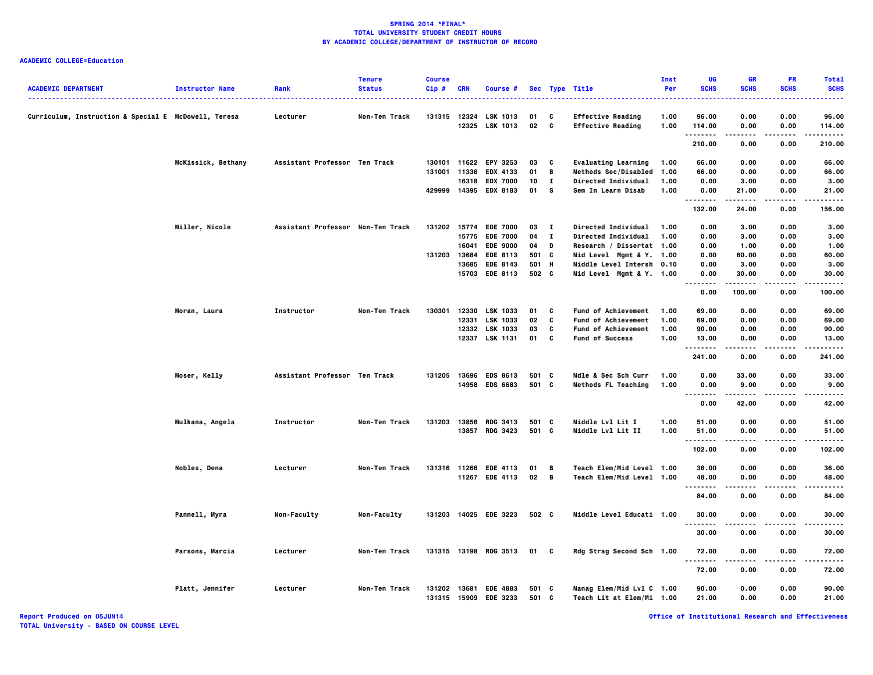| <b>ACADEMIC DEPARTMENT</b>                           | <b>Instructor Name</b> | Rank                              | <b>Tenure</b><br><b>Status</b> | <b>Course</b><br>Cip# | <b>CRN</b>   | Course #              |       |              | Sec Type Title             | Inst<br>Per | UG<br><b>SCHS</b>            | GR<br><b>SCHS</b> | <b>PR</b><br><b>SCHS</b> | <b>Total</b><br><b>SCHS</b> |
|------------------------------------------------------|------------------------|-----------------------------------|--------------------------------|-----------------------|--------------|-----------------------|-------|--------------|----------------------------|-------------|------------------------------|-------------------|--------------------------|-----------------------------|
|                                                      |                        |                                   |                                |                       |              |                       |       |              | .                          |             |                              |                   |                          |                             |
| Curriculum, Instruction & Special E McDowell, Teresa |                        | Lecturer                          | Non-Ten Track                  |                       |              | 131315 12324 LSK 1013 | 01    | C            | <b>Effective Reading</b>   | 1.00        | 96.00                        | 0.00              | 0.00                     | 96.00                       |
|                                                      |                        |                                   |                                |                       |              | 12325 LSK 1013        | 02    | $\mathbf{c}$ | <b>Effective Reading</b>   | 1.00        | 114.00<br>.                  | 0.00<br>----      | 0.00                     | 114.00                      |
|                                                      |                        |                                   |                                |                       |              |                       |       |              |                            |             | 210.00                       | 0.00              | 0.00                     | 210.00                      |
|                                                      | McKissick, Bethany     | Assistant Professor Ten Track     |                                |                       | 130101 11622 | EPY 3253              | 03    | C            | <b>Evaluating Learning</b> | 1.00        | 66.00                        | 0.00              | 0.00                     | 66.00                       |
|                                                      |                        |                                   |                                |                       | 131001 11336 | <b>EDX 4133</b>       | 01    | B            | Methods Sec/Disabled       | 1.00        | 66.00                        | 0.00              | 0.00                     | 66.00                       |
|                                                      |                        |                                   |                                |                       | 16318        | <b>EDX 7000</b>       | 10    | I.           | Directed Individual        | 1.00        | 0.00                         | 3.00              | 0.00                     | 3.00                        |
|                                                      |                        |                                   |                                |                       |              | 429999 14395 EDX 8183 | 01    | s            | Sem In Learn Disab         | 1.00        | 0.00                         | 21.00<br>.        | 0.00<br>.                | 21.00<br>.                  |
|                                                      |                        |                                   |                                |                       |              |                       |       |              |                            |             | <br>132.00                   | 24.00             | 0.00                     | 156.00                      |
|                                                      | Miller, Nicole         | Assistant Professor Non-Ten Track |                                |                       | 131202 15774 | <b>EDE 7000</b>       | 03    | $\mathbf{I}$ | <b>Directed Individual</b> | 1.00        | 0.00                         | 3.00              | 0.00                     | 3.00                        |
|                                                      |                        |                                   |                                |                       | 15775        | <b>EDE 7000</b>       | 04    | $\bf{I}$     | <b>Directed Individual</b> | 1.00        | 0.00                         | 3.00              | 0.00                     | 3.00                        |
|                                                      |                        |                                   |                                |                       | 16041        | <b>EDE 9000</b>       | 04    | D            | Research / Dissertat 1.00  |             | 0.00                         | 1.00              | 0.00                     | 1.00                        |
|                                                      |                        |                                   |                                | 131203 13684          |              | <b>EDE 8113</b>       | 501 C |              | Mid Level Mgmt & Y. 1.00   |             | 0.00                         | 60.00             | 0.00                     | 60.00                       |
|                                                      |                        |                                   |                                |                       |              | 13685 EDE 8143        | 501 H |              | Middle Level Intersh 0.10  |             | 0.00                         | 3.00              | 0.00                     | 3.00                        |
|                                                      |                        |                                   |                                |                       |              | 15703 EDE 8113        | 502 C |              | Mid Level Mgmt & Y. 1.00   |             | 0.00<br>$\sim$ $\sim$ $\sim$ | 30.00             | 0.00                     | 30.00                       |
|                                                      |                        |                                   |                                |                       |              |                       |       |              |                            |             | 0.00                         | 100.00            | 0.00                     | 100.00                      |
|                                                      | Moran, Laura           | Instructor                        | Non-Ten Track                  | 130301                |              | 12330 LSK 1033        | 01    | C            | Fund of Achievement        | 1.00        | 69.00                        | 0.00              | 0.00                     | 69.00                       |
|                                                      |                        |                                   |                                |                       | 12331        | LSK 1033              | 02    | C            | <b>Fund of Achievement</b> | 1.00        | 69.00                        | 0.00              | 0.00                     | 69.00                       |
|                                                      |                        |                                   |                                |                       |              | 12332 LSK 1033        | 03    | C            | Fund of Achievement        | 1.00        | 90.00                        | 0.00              | 0.00                     | 90.00                       |
|                                                      |                        |                                   |                                |                       |              | 12337 LSK 1131        | 01    | C            | <b>Fund of Success</b>     | 1.00        | 13.00                        | 0.00              | 0.00                     | 13.00                       |
|                                                      |                        |                                   |                                |                       |              |                       |       |              |                            |             | <br>241.00                   | .<br>0.00         | .<br>0.00                | .<br>241.00                 |
|                                                      | Moser, Kelly           | Assistant Professor Ten Track     |                                | 131205                | 13696        | <b>EDS 8613</b>       | 501 C |              | Mdle & Sec Sch Curr        | 1.00        | 0.00                         | 33.00             | 0.00                     | 33.00                       |
|                                                      |                        |                                   |                                |                       |              | 14958 EDS 6683        | 501 C |              | <b>Methods FL Teaching</b> | 1.00        | 0.00                         | 9.00              | 0.00                     | 9.00                        |
|                                                      |                        |                                   |                                |                       |              |                       |       |              |                            |             | н.,                          |                   |                          |                             |
|                                                      |                        |                                   |                                |                       |              |                       |       |              |                            |             | 0.00                         | 42.00             | 0.00                     | 42.00                       |
|                                                      | Mulkana, Angela        | Instructor                        | Non-Ten Track                  |                       |              | 131203 13856 RDG 3413 | 501 C |              | Middle Lvl Lit I           | 1.00        | 51.00                        | 0.00              | 0.00                     | 51.00                       |
|                                                      |                        |                                   |                                |                       |              | 13857 RDG 3423        | 501 C |              | Middle Lvl Lit II          | 1.00        | 51.00<br>                    | 0.00<br>-----     | 0.00<br>.                | 51.00<br>.                  |
|                                                      |                        |                                   |                                |                       |              |                       |       |              |                            |             | 102.00                       | 0.00              | 0.00                     | 102.00                      |
|                                                      | Nobles, Dena           | Lecturer                          | Non-Ten Track                  |                       | 131316 11266 | <b>EDE 4113</b>       | 01    | в            | Teach Elem/Mid Level 1.00  |             | 36.00                        | 0.00              | 0.00                     | 36.00                       |
|                                                      |                        |                                   |                                |                       |              | 11267 EDE 4113        | 02    | B            | Teach Elem/Mid Level 1.00  |             | 48.00                        | 0.00              | 0.00                     | 48.00                       |
|                                                      |                        |                                   |                                |                       |              |                       |       |              |                            |             | .<br>84.00                   | -----<br>0.00     | .<br>0.00                | .<br>84.00                  |
|                                                      | Pannell, Myra          | <b>Non-Faculty</b>                | Non-Faculty                    |                       |              | 131203 14025 EDE 3223 | 502 C |              | Middle Level Educati 1.00  |             | 30.00                        | 0.00              | 0.00                     | 30.00                       |
|                                                      |                        |                                   |                                |                       |              |                       |       |              |                            |             | .                            | $\cdots$          | .                        |                             |
|                                                      |                        |                                   |                                |                       |              |                       |       |              |                            |             | 30.00                        | 0.00              | 0.00                     | 30.00                       |
|                                                      | Parsons, Marcia        | Lecturer                          | Non-Ten Track                  |                       |              | 131315 13198 RDG 3513 | 01    | C            | Rdg Strag Second Sch 1.00  |             | 72.00<br>.                   | 0.00<br>.         | 0.00<br>.                | 72.00<br>.                  |
|                                                      |                        |                                   |                                |                       |              |                       |       |              |                            |             | 72.00                        | 0.00              | 0.00                     | 72.00                       |
|                                                      | Platt, Jennifer        | Lecturer                          | Non-Ten Track                  |                       |              | 131202 13681 EDE 4883 | 501 C |              | Manag Elem/Mid Lvl C 1.00  |             | 90.00                        | 0.00              | 0.00                     | 90.00                       |
|                                                      |                        |                                   |                                |                       |              | 131315 15909 EDE 3233 | 501 C |              | Teach Lit at Elem/Mi 1.00  |             | 21.00                        | 0.00              | 0.00                     | 21.00                       |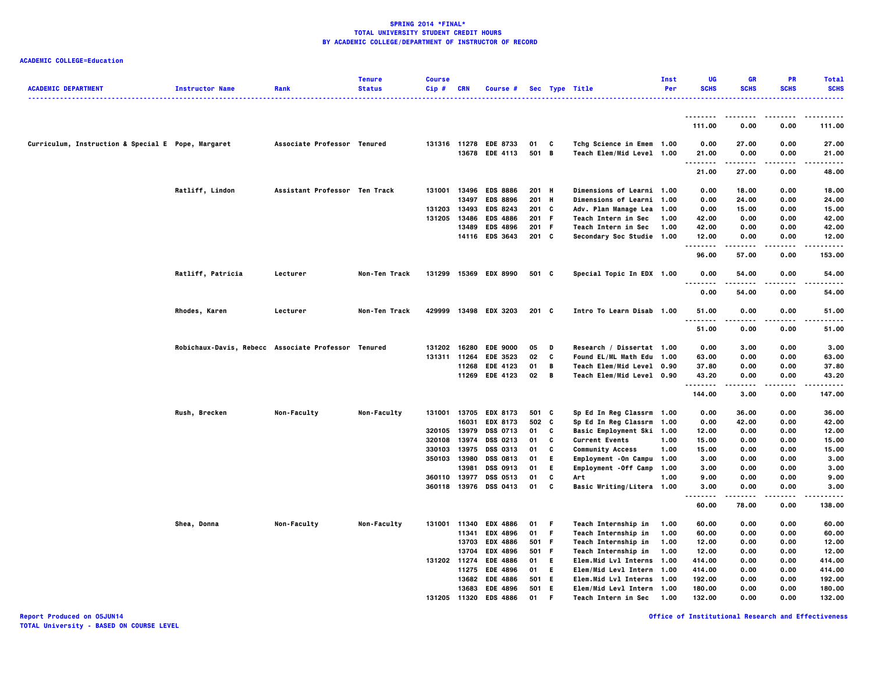# **ACADEMIC COLLEGE=Education**

| <b>ACADEMIC DEPARTMENT</b>                         | <b>Instructor Name</b>                              | Rank                          | <b>Tenure</b><br><b>Status</b> | <b>Course</b><br>Cip#        | <b>CRN</b>     | Course #                           |              |         | Sec Type Title                             | Inst<br>Per  | UG<br><b>SCHS</b>  | <b>GR</b><br><b>SCHS</b> | <b>PR</b><br><b>SCHS</b> | <b>Total</b><br><b>SCHS</b> |
|----------------------------------------------------|-----------------------------------------------------|-------------------------------|--------------------------------|------------------------------|----------------|------------------------------------|--------------|---------|--------------------------------------------|--------------|--------------------|--------------------------|--------------------------|-----------------------------|
|                                                    |                                                     |                               |                                |                              |                |                                    |              |         |                                            |              |                    |                          |                          |                             |
|                                                    |                                                     |                               |                                |                              |                |                                    |              |         |                                            |              | 111.00             | 0.00                     | 0.00                     | 111.00                      |
| Curriculum, Instruction & Special E Pope, Margaret |                                                     | Associate Professor Tenured   |                                |                              |                | 131316 11278 EDE 8733              | 01           | C       | Tchg Science in Emem 1.00                  |              | 0.00               | 27.00                    | 0.00                     | 27.00                       |
|                                                    |                                                     |                               |                                |                              |                | 13678 EDE 4113                     | 501 B        |         | Teach Elem/Mid Level 1.00                  |              | 21.00<br>.         | 0.00<br>.                | 0.00<br>.                | 21.00<br>.                  |
|                                                    |                                                     |                               |                                |                              |                |                                    |              |         |                                            |              | 21.00              | 27.00                    | 0.00                     | 48.00                       |
|                                                    | Ratliff, Lindon                                     | Assistant Professor Ten Track |                                | 131001                       | 13496          | <b>EDS 8886</b>                    | 201 H        |         | <b>Dimensions of Learni 1.00</b>           |              | 0.00               | 18.00                    | 0.00                     | 18.00                       |
|                                                    |                                                     |                               |                                |                              | 13497          | <b>EDS 8896</b>                    | 201 H        |         | Dimensions of Learni 1.00                  |              | 0.00               | 24.00                    | 0.00                     | 24.00                       |
|                                                    |                                                     |                               |                                | 131203 13493                 |                | <b>EDS 8243</b>                    | 201 C        |         | Adv. Plan Manage Lea 1.00                  |              | 0.00               | 15.00                    | 0.00                     | 15.00                       |
|                                                    |                                                     |                               |                                | 131205                       | 13486          | <b>EDS 4886</b>                    | 201 F        |         | Teach Intern in Sec                        | 1.00         | 42.00              | 0.00                     | 0.00                     | 42.00                       |
|                                                    |                                                     |                               |                                |                              | 13489          | <b>EDS 4896</b>                    | 201 F        |         | Teach Intern in Sec                        | 1.00         | 42.00              | 0.00                     | 0.00                     | 42.00                       |
|                                                    |                                                     |                               |                                |                              |                | 14116 EDS 3643                     | $201$ C      |         | <b>Secondary Soc Studie 1.00</b>           |              | 12.00<br>.         | 0.00                     | 0.00                     | 12.00                       |
|                                                    |                                                     |                               |                                |                              |                |                                    |              |         |                                            |              | 96.00              | 57.00                    | 0.00                     | 153.00                      |
|                                                    | Ratliff, Patricia                                   | Lecturer                      | Non-Ten Track                  |                              |                | 131299 15369 EDX 8990              | 501 C        |         | Special Topic In EDX 1.00                  |              | 0.00<br>.          | 54.00<br>.               | 0.00<br>.                | 54.00<br>.                  |
|                                                    |                                                     |                               |                                |                              |                |                                    |              |         |                                            |              | 0.00               | 54.00                    | 0.00                     | 54.00                       |
|                                                    | Rhodes, Karen                                       | Lecturer                      | Non-Ten Track                  |                              |                | 429999 13498 EDX 3203              | 201 C        |         | Intro To Learn Disab 1.00                  |              | 51.00<br>$- - - -$ | 0.00                     | 0.00                     | 51.00                       |
|                                                    |                                                     |                               |                                |                              |                |                                    |              |         |                                            |              | 51.00              | 0.00                     | 0.00                     | 51.00                       |
|                                                    | Robichaux-Davis, Rebecc Associate Professor Tenured |                               |                                |                              |                | 131202 16280 EDE 9000              | 05           | D       | Research / Dissertat 1.00                  |              | 0.00               | 3.00                     | 0.00                     | 3.00                        |
|                                                    |                                                     |                               |                                | 131311 11264                 |                | <b>EDE 3523</b>                    | 02           | c       | Found EL/ML Math Edu 1.00                  |              | 63.00              | 0.00                     | 0.00                     | 63.00                       |
|                                                    |                                                     |                               |                                |                              |                | 11268 EDE 4123                     | 01           | В       | <b>Teach Elem/Mid Level 0.90</b>           |              | 37.80              | 0.00                     | 0.00                     | 37.80                       |
|                                                    |                                                     |                               |                                |                              |                | 11269 EDE 4123                     | $02 \quad B$ |         | Teach Elem/Mid Level 0.90                  |              | 43.20<br>.         | 0.00                     | 0.00<br>.                | 43.20<br>.                  |
|                                                    |                                                     |                               |                                |                              |                |                                    |              |         |                                            |              | 144.00             | 3.00                     | 0.00                     | 147.00                      |
|                                                    | Rush, Brecken                                       | Non-Faculty                   | Non-Faculty                    | 131001 13705                 |                | <b>EDX 8173</b>                    | 501 C        |         | Sp Ed In Reg Classrm 1.00                  |              | 0.00               | 36.00                    | 0.00                     | 36.00                       |
|                                                    |                                                     |                               |                                |                              | 16031          | <b>EDX 8173</b>                    | 502 C        |         | Sp Ed In Reg Classrm 1.00                  |              | 0.00               | 42.00                    | 0.00                     | 42.00                       |
|                                                    |                                                     |                               |                                | 320105                       | 13979          | <b>DSS 0713</b>                    | 01           | C       | Basic Employment Ski 1.00                  |              | 12.00              | 0.00                     | 0.00                     | 12.00                       |
|                                                    |                                                     |                               |                                | 320108                       | 13974          | <b>DSS 0213</b>                    | 01           | C       | <b>Current Events</b>                      | 1.00         | 15.00              | 0.00                     | 0.00                     | 15.00                       |
|                                                    |                                                     |                               |                                | 330103                       | 13975          | <b>DSS 0313</b>                    | 01           | c       | <b>Community Access</b>                    | 1.00         | 15.00              | 0.00                     | 0.00                     | 15.00                       |
|                                                    |                                                     |                               |                                | 350103                       | 13980          | <b>DSS 0813</b>                    | 01           | E.      | Employment -On Campu 1.00                  |              | 3.00               | 0.00                     | 0.00                     | 3.00                        |
|                                                    |                                                     |                               |                                |                              | 13981          | <b>DSS 0913</b>                    | 01           | E.<br>c | Employment - Off Camp 1.00                 |              | 3.00               | 0.00                     | 0.00                     | 3.00                        |
|                                                    |                                                     |                               |                                | 360110 13977<br>360118 13976 |                | <b>DSS 0513</b><br><b>DSS 0413</b> | 01<br>01     | C       | Art<br>Basic Writing/Litera 1.00           | 1.00         | 9.00<br>3.00       | 0.00<br>0.00             | 0.00<br>0.00             | 9.00<br>3.00                |
|                                                    |                                                     |                               |                                |                              |                |                                    |              |         |                                            |              | ----<br>60.00      | -----<br>78.00           | .<br>0.00                | .<br>138.00                 |
|                                                    |                                                     |                               |                                |                              |                |                                    |              |         |                                            |              |                    |                          |                          |                             |
|                                                    | Shea, Donna                                         | Non-Faculty                   | <b>Non-Faculty</b>             | 131001                       | 11340<br>11341 | <b>EDX 4886</b><br><b>EDX 4896</b> | 01<br>01 F   | - F     | Teach Internship in<br>Teach Internship in | 1.00<br>1.00 | 60.00<br>60.00     | 0.00<br>0.00             | 0.00<br>0.00             | 60.00<br>60.00              |
|                                                    |                                                     |                               |                                |                              | 13703          | <b>EDX 4886</b>                    | 501 F        |         | Teach Internship in                        | 1.00         | 12.00              | 0.00                     | 0.00                     | 12.00                       |
|                                                    |                                                     |                               |                                |                              | 13704          | <b>EDX 4896</b>                    | 501 F        |         | Teach Internship in                        | 1.00         | 12.00              | 0.00                     | 0.00                     | 12.00                       |
|                                                    |                                                     |                               |                                | 131202 11274                 |                | <b>EDE 4886</b>                    | 01           | - E     | Elem.Mid Lvl Interns 1.00                  |              | 414.00             | 0.00                     | 0.00                     | 414.00                      |
|                                                    |                                                     |                               |                                |                              | 11275          | <b>EDE 4896</b>                    | 01           | E.      | Elem/Mid Levl Intern 1.00                  |              | 414.00             | 0.00                     | 0.00                     | 414.00                      |
|                                                    |                                                     |                               |                                |                              | 13682          | <b>EDE 4886</b>                    | 501          | E.      | Elem.Mid Lvl Interns 1.00                  |              | 192.00             | 0.00                     | 0.00                     | 192.00                      |
|                                                    |                                                     |                               |                                |                              |                | 13683 EDE 4896                     | 501 E        |         | Elem/Mid Levl Intern 1.00                  |              | 180.00             | 0.00                     | 0.00                     | 180.00                      |
|                                                    |                                                     |                               |                                | 131205 11320                 |                | <b>EDS 4886</b>                    | 01           | F       | <b>Teach Intern in Sec</b>                 | 1.00         | 132.00             | 0.00                     | 0.00                     | 132.00                      |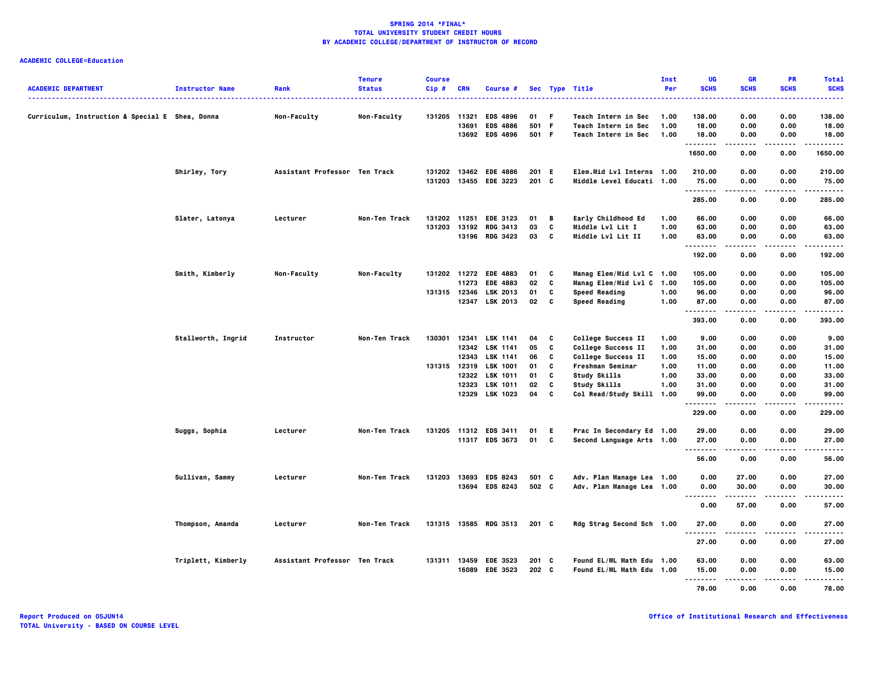|                                                 |                        |                               | <b>Tenure</b> | <b>Course</b> |            |                                    |       |        |                                            | Inst         | UG          | <b>GR</b>    | <b>PR</b>   | <b>Total</b>     |
|-------------------------------------------------|------------------------|-------------------------------|---------------|---------------|------------|------------------------------------|-------|--------|--------------------------------------------|--------------|-------------|--------------|-------------|------------------|
| <b>ACADEMIC DEPARTMENT</b>                      | <b>Instructor Name</b> | Rank                          | <b>Status</b> | $Cip$ #       | <b>CRN</b> | Course #                           |       |        | Sec Type Title<br>.                        | Per          | <b>SCHS</b> | <b>SCHS</b>  | <b>SCHS</b> | <b>SCHS</b><br>. |
|                                                 |                        |                               |               |               |            |                                    | 01 F  |        |                                            | 1.00         | 138.00      |              | 0.00        | 138,00           |
| Curriculum, Instruction & Special E Shea, Donna |                        | Non-Faculty                   | Non-Faculty   | 131205 11321  | 13691      | <b>EDS 4896</b><br><b>EDS 4886</b> | 501 F |        | Teach Intern in Sec<br>Teach Intern in Sec | 1.00         | 18.00       | 0.00<br>0.00 | 0.00        | 18.00            |
|                                                 |                        |                               |               |               |            | 13692 EDS 4896                     | 501 F |        | Teach Intern in Sec                        | 1.00         | 18.00       | 0.00         | 0.00        | 18.00            |
|                                                 |                        |                               |               |               |            |                                    |       |        |                                            |              | .           | .            | .           | -----            |
|                                                 |                        |                               |               |               |            |                                    |       |        |                                            |              | 1650.00     | 0.00         | 0.00        | 1650.00          |
|                                                 | Shirley, Tory          | Assistant Professor Ten Track |               |               |            | 131202 13462 EDE 4886              | 201 E |        | Elem.Mid Lvl Interns 1.00                  |              | 210.00      | 0.00         | 0.00        | 210.00           |
|                                                 |                        |                               |               |               |            | 131203 13455 EDE 3223              | 201 C |        | Middle Level Educati 1.00                  |              | 75.00<br>.  | 0.00<br>.    | 0.00<br>.   | 75.00<br>-----   |
|                                                 |                        |                               |               |               |            |                                    |       |        |                                            |              | 285.00      | 0.00         | 0.00        | 285.00           |
|                                                 | Slater, Latonya        | Lecturer                      | Non-Ten Track | 131202 11251  |            | <b>EDE 3123</b>                    | 01    | В      | Early Childhood Ed                         | 1.00         | 66.00       | 0.00         | 0.00        | 66.00            |
|                                                 |                        |                               |               | 131203 13192  |            | <b>RDG 3413</b>                    | 03    | c      | Middle Lvl Lit I                           | 1.00         | 63.00       | 0.00         | 0.00        | 63.00            |
|                                                 |                        |                               |               |               |            | 13196 RDG 3423                     | 03    | C      | Middle Lvl Lit II                          | 1.00         | 63.00       | 0.00         | 0.00        | 63.00            |
|                                                 |                        |                               |               |               |            |                                    |       |        |                                            |              | <br>192.00  | .<br>0.00    | .<br>0.00   | .<br>192.00      |
|                                                 |                        |                               |               |               |            |                                    |       |        |                                            |              |             |              |             |                  |
|                                                 | Smith, Kimberly        | Non-Faculty                   | Non-Faculty   |               |            | 131202 11272 EDE 4883              | 01    | C      | Manag Elem/Mid Lvl C 1.00                  |              | 105.00      | 0.00         | 0.00        | 105.00           |
|                                                 |                        |                               |               |               | 11273      | <b>EDE 4883</b>                    | 02    | c      | Manag Elem/Mid Lvl C 1.00                  |              | 105.00      | 0.00         | 0.00        | 105.00           |
|                                                 |                        |                               |               | 131315 12346  |            | LSK 2013                           | 01    | c<br>C | <b>Speed Reading</b>                       | 1.00<br>1.00 | 96.00       | 0.00         | 0.00        | 96.00            |
|                                                 |                        |                               |               |               |            | 12347 LSK 2013                     | 02    |        | <b>Speed Reading</b>                       |              | 87.00<br>.  | 0.00         | 0.00        | 87.00            |
|                                                 |                        |                               |               |               |            |                                    |       |        |                                            |              | 393.00      | 0.00         | 0.00        | 393.00           |
|                                                 | Stallworth, Ingrid     | Instructor                    | Non-Ten Track | 130301        | 12341      | LSK 1141                           | 04    | c      | College Success II                         | 1.00         | 9.00        | 0.00         | 0.00        | 9.00             |
|                                                 |                        |                               |               |               |            | 12342 LSK 1141                     | 05    | C      | <b>College Success II</b>                  | 1.00         | 31.00       | 0.00         | 0.00        | 31.00            |
|                                                 |                        |                               |               |               | 12343      | <b>LSK 1141</b>                    | 06    | c      | College Success II                         | 1.00         | 15.00       | 0.00         | 0.00        | 15.00            |
|                                                 |                        |                               |               | 131315 12319  |            | <b>LSK 1001</b>                    | 01    | C      | Freshman Seminar                           | 1.00         | 11.00       | 0.00         | 0.00        | 11.00            |
|                                                 |                        |                               |               |               | 12322      | <b>LSK 1011</b>                    | 01    | C      | <b>Study Skills</b>                        | 1.00         | 33.00       | 0.00         | 0.00        | 33.00            |
|                                                 |                        |                               |               |               | 12323      | <b>LSK 1011</b>                    | 02    | C      | Study Skills                               | 1.00         | 31.00       | 0.00         | 0.00        | 31.00            |
|                                                 |                        |                               |               |               |            | 12329 LSK 1023                     | 04    | c      | Col Read/Study Skill 1.00                  |              | 99.00<br>.  | 0.00<br>.    | 0.00<br>.   | 99.00<br>.       |
|                                                 |                        |                               |               |               |            |                                    |       |        |                                            |              | 229.00      | 0.00         | 0.00        | 229.00           |
|                                                 | Suggs, Sophia          | Lecturer                      | Non-Ten Track |               |            | 131205 11312 EDS 3411              | 01    | E.     | Prac In Secondary Ed 1.00                  |              | 29.00       | 0.00         | 0.00        | 29.00            |
|                                                 |                        |                               |               |               |            | 11317 EDS 3673                     | 01    | C      | Second Language Arts 1.00                  |              | 27.00       | 0.00         | 0.00        | 27.00            |
|                                                 |                        |                               |               |               |            |                                    |       |        |                                            |              | .           | -----        |             | .                |
|                                                 |                        |                               |               |               |            |                                    |       |        |                                            |              | 56.00       | 0.00         | 0.00        | 56.00            |
|                                                 | Sullivan, Sammy        | Lecturer                      | Non-Ten Track | 131203        |            | 13693 EDS 8243                     | 501 C |        | Adv. Plan Manage Lea 1.00                  |              | 0.00        | 27.00        | 0.00        | 27.00            |
|                                                 |                        |                               |               |               |            | 13694 EDS 8243                     | 502 C |        | Adv. Plan Manage Lea 1.00                  |              | 0.00<br>    | 30.00        | 0.00        | 30.00            |
|                                                 |                        |                               |               |               |            |                                    |       |        |                                            |              | 0.00        | 57.00        | 0.00        | 57.00            |
|                                                 | Thompson, Amanda       | Lecturer                      | Non-Ten Track |               |            | 131315 13585 RDG 3513              | 201 C |        | Rdg Strag Second Sch 1.00                  |              | 27.00       | 0.00         | 0.00        | 27.00            |
|                                                 |                        |                               |               |               |            |                                    |       |        |                                            |              | <br>27.00   | .<br>0.00    | 0.00        | ----<br>27.00    |
|                                                 |                        |                               |               |               |            |                                    |       |        |                                            |              |             |              |             |                  |
|                                                 | Triplett, Kimberly     | Assistant Professor Ten Track |               |               |            | 131311 13459 EDE 3523              | 201 C |        | Found EL/ML Math Edu 1.00                  |              | 63.00       | 0.00         | 0.00        | 63.00            |
|                                                 |                        |                               |               |               | 16089      | <b>EDE 3523</b>                    | 202 C |        | Found EL/ML Math Edu 1.00                  |              | 15.00       | 0.00         | 0.00        | 15.00            |
|                                                 |                        |                               |               |               |            |                                    |       |        |                                            |              | <br>78.00   | 0.00         | 0.00        | 78.00            |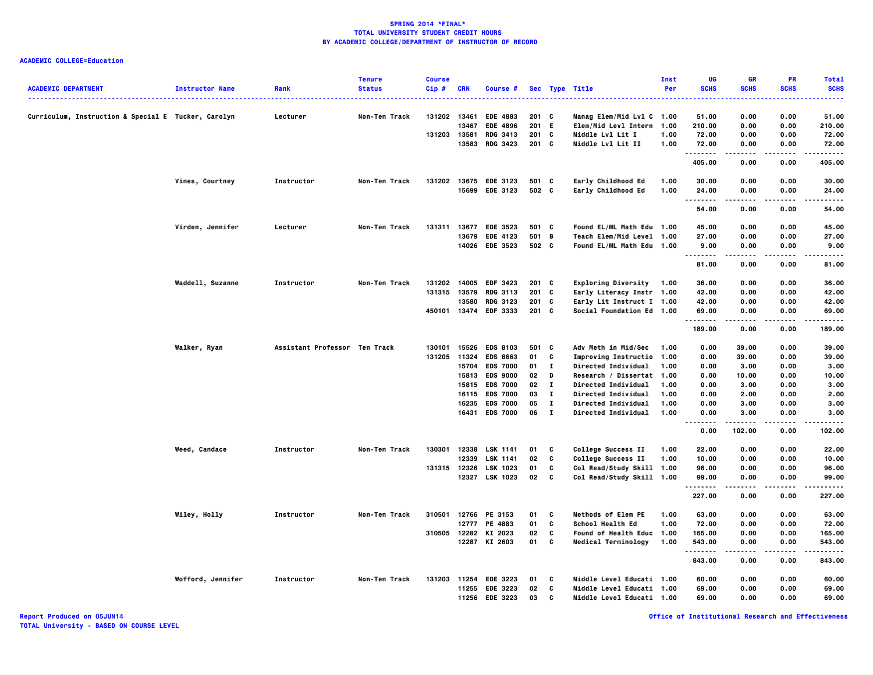|                                                     |                        |                               | <b>Tenure</b> | <b>Course</b> |            |                                   |          |                          |                                                 | Inst         | UG             | <b>GR</b>     | <b>PR</b>         | <b>Total</b>            |
|-----------------------------------------------------|------------------------|-------------------------------|---------------|---------------|------------|-----------------------------------|----------|--------------------------|-------------------------------------------------|--------------|----------------|---------------|-------------------|-------------------------|
| <b>ACADEMIC DEPARTMENT</b>                          | <b>Instructor Name</b> | Rank                          | <b>Status</b> | Cip#          | <b>CRN</b> | Course #                          |          |                          | Sec Type Title                                  | Per          | <b>SCHS</b>    | <b>SCHS</b>   | <b>SCHS</b>       | <b>SCHS</b><br>$\cdots$ |
| Curriculum, Instruction & Special E Tucker, Carolyn |                        | Lecturer                      | Non-Ten Track | 131202 13461  |            | <b>EDE 4883</b>                   | 201 C    |                          | Manag Elem/Mid Lvl C 1.00                       |              | 51.00          | 0.00          | 0.00              | 51.00                   |
|                                                     |                        |                               |               |               | 13467      | <b>EDE 4896</b>                   | 201      | - E                      | Elem/Mid Levl Intern 1.00                       |              | 210.00         | 0.00          | 0.00              | 210.00                  |
|                                                     |                        |                               |               | 131203        | 13581      | <b>RDG 3413</b>                   | 201 C    |                          | Middle Lvl Lit I                                | 1.00         | 72.00          | 0.00          | 0.00              | 72.00                   |
|                                                     |                        |                               |               |               | 13583      | <b>RDG 3423</b>                   | 201 C    |                          | <b>Middle Lvl Lit II</b>                        | 1.00         | 72.00<br>.     | 0.00          | 0.00              | 72.00<br>.              |
|                                                     |                        |                               |               |               |            |                                   |          |                          |                                                 |              | 405.00         | 0.00          | 0.00              | 405.00                  |
|                                                     | Vines, Courtney        | Instructor                    | Non-Ten Track | 131202        |            | 13675 EDE 3123                    | 501 C    |                          | Early Childhood Ed                              | 1.00         | 30.00          | 0.00          | 0.00              | 30.00                   |
|                                                     |                        |                               |               |               |            | 15699 EDE 3123                    | 502 C    |                          | Early Childhood Ed                              | 1.00         | 24.00<br>.     | 0.00<br>.     | 0.00<br>.         | 24.00<br>.              |
|                                                     |                        |                               |               |               |            |                                   |          |                          |                                                 |              | 54.00          | 0.00          | 0.00              | 54.00                   |
|                                                     | Virden, Jennifer       | Lecturer                      | Non-Ten Track | 131311        | 13677      | <b>EDE 3523</b>                   | 501 C    |                          | Found EL/ML Math Edu 1.00                       |              | 45.00          | 0.00          | 0.00              | 45.00                   |
|                                                     |                        |                               |               |               | 13679      | <b>EDE 4123</b>                   | 501 B    |                          | Teach Elem/Mid Level 1.00                       |              | 27.00          | 0.00          | 0.00              | 27.00                   |
|                                                     |                        |                               |               |               |            | 14026 EDE 3523                    | 502 C    |                          | Found EL/ML Math Edu 1.00                       |              | 9.00<br>       | 0.00<br>.     | 0.00<br>.         | 9.00<br>.               |
|                                                     |                        |                               |               |               |            |                                   |          |                          |                                                 |              | 81.00          | 0.00          | 0.00              | 81.00                   |
|                                                     | Waddell, Suzanne       | Instructor                    | Non-Ten Track | 131202        |            | 14005 EDF 3423                    | $201$ C  |                          | <b>Exploring Diversity</b>                      | 1.00         | 36.00          | 0.00          | 0.00              | 36.00                   |
|                                                     |                        |                               |               | 131315        | 13579      | <b>RDG 3113</b>                   | 201      | <b>C</b>                 | Early Literacy Instr 1.00                       |              | 42.00          | 0.00          | 0.00              | 42.00                   |
|                                                     |                        |                               |               |               | 13580      | <b>RDG 3123</b>                   | 201 C    |                          | Early Lit Instruct I 1.00                       |              | 42.00          | 0.00          | 0.00              | 42.00                   |
|                                                     |                        |                               |               | 450101        |            | 13474 EDF 3333                    | 201 C    |                          | <b>Social Foundation Ed  1.00</b>               |              | 69.00<br>      | 0.00<br>.     | 0.00<br>.         | 69.00<br>.              |
|                                                     |                        |                               |               |               |            |                                   |          |                          |                                                 |              | 189.00         | 0.00          | 0.00              | 189.00                  |
|                                                     | Walker, Ryan           | Assistant Professor Ten Track |               | 130101        | 15526      | <b>EDS 8103</b>                   | 501      | <b>C</b>                 | Adv Meth in Mid/Sec                             | 1.00         | 0.00           | 39.00         | 0.00              | 39.00                   |
|                                                     |                        |                               |               | 131205        | 11324      | <b>EDS 8663</b>                   | 01       | C                        | Improving Instructio 1.00                       |              | 0.00           | 39.00         | 0.00              | 39.00                   |
|                                                     |                        |                               |               |               |            | 15704 EDS 7000                    | $01$ I   |                          | <b>Directed Individual</b>                      | 1.00         | 0.00           | 3.00          | 0.00              | 3.00                    |
|                                                     |                        |                               |               |               | 15813      | <b>EDS 9000</b>                   | 02       | D                        | Research / Dissertat 1.00                       |              | 0.00           | 10.00         | 0.00              | 10.00                   |
|                                                     |                        |                               |               |               | 15815      | <b>EDS 7000</b>                   | 02       | $\bf{I}$                 | Directed Individual                             | 1.00         | 0.00           | 3.00          | 0.00              | 3.00                    |
|                                                     |                        |                               |               |               |            | 16115 EDS 7000                    | 03       | п                        | <b>Directed Individual</b>                      | 1.00         | 0.00           | 2.00          | 0.00              | 2.00                    |
|                                                     |                        |                               |               |               | 16235      | <b>EDS 7000</b><br>16431 EDS 7000 | 05<br>06 | $\bf{I}$<br>$\mathbf{I}$ | Directed Individual<br>Directed Individual      | 1.00<br>1.00 | 0.00<br>0.00   | 3.00<br>3.00  | 0.00<br>0.00      | 3.00<br>3.00            |
|                                                     |                        |                               |               |               |            |                                   |          |                          |                                                 |              | <br>0.00       | 102.00        | 0.00              | 102.00                  |
|                                                     |                        |                               |               | 130301        | 12338      | <b>LSK 1141</b>                   |          |                          |                                                 |              |                |               | 0.00              | 22.00                   |
|                                                     | Weed, Candace          | Instructor                    | Non-Ten Track |               | 12339      | LSK 1141                          | 01<br>02 | C<br>C                   | College Success II<br><b>College Success II</b> | 1.00<br>1.00 | 22.00<br>10.00 | 0.00<br>0.00  | 0.00              | 10.00                   |
|                                                     |                        |                               |               | 131315        |            | 12326 LSK 1023                    | 01       | C                        | Col Read/Study Skill 1.00                       |              | 96.00          | 0.00          | 0.00              | 96.00                   |
|                                                     |                        |                               |               |               |            | 12327 LSK 1023                    | 02       | <b>C</b>                 | Col Read/Study Skill 1.00                       |              | 99.00          | 0.00          | 0.00              | 99.00                   |
|                                                     |                        |                               |               |               |            |                                   |          |                          |                                                 |              | .<br>227.00    | -----<br>0.00 | $- - - -$<br>0.00 | .<br>227.00             |
|                                                     |                        |                               |               |               |            |                                   |          |                          |                                                 |              |                |               |                   |                         |
|                                                     | Wiley, Holly           | Instructor                    | Non-Ten Track | 310501        | 12777      | 12766 PE 3153<br>PE 4883          | 01<br>01 | C<br>C                   | Methods of Elem PE<br>School Health Ed          | 1.00<br>1.00 | 63.00<br>72.00 | 0.00<br>0.00  | 0.00<br>0.00      | 63.00<br>72.00          |
|                                                     |                        |                               |               |               |            | 310505 12282 KI 2023              | 02       | C                        | Found of Health Educ 1.00                       |              | 165.00         | 0.00          | 0.00              | 165.00                  |
|                                                     |                        |                               |               |               |            | 12287 KI 2603                     | 01       | C                        | <b>Medical Terminology</b>                      | 1.00         | 543.00         | 0.00          | 0.00              | 543.00                  |
|                                                     |                        |                               |               |               |            |                                   |          |                          |                                                 |              | .<br>843.00    | .<br>0.00     | .<br>0.00         | .<br>843.00             |
|                                                     | Wofford, Jennifer      | <b>Instructor</b>             | Non-Ten Track | 131203        |            | 11254 EDE 3223                    | 01       | C                        | Middle Level Educati 1.00                       |              | 60.00          | 0.00          | 0.00              | 60.00                   |
|                                                     |                        |                               |               |               |            | 11255 EDE 3223                    | 02       | C                        | Middle Level Educati 1.00                       |              | 69.00          | 0.00          | 0.00              | 69.00                   |
|                                                     |                        |                               |               |               |            | 11256 EDE 3223                    | 03       | C                        | Middle Level Educati 1.00                       |              | 69.00          | 0.00          | 0.00              | 69.00                   |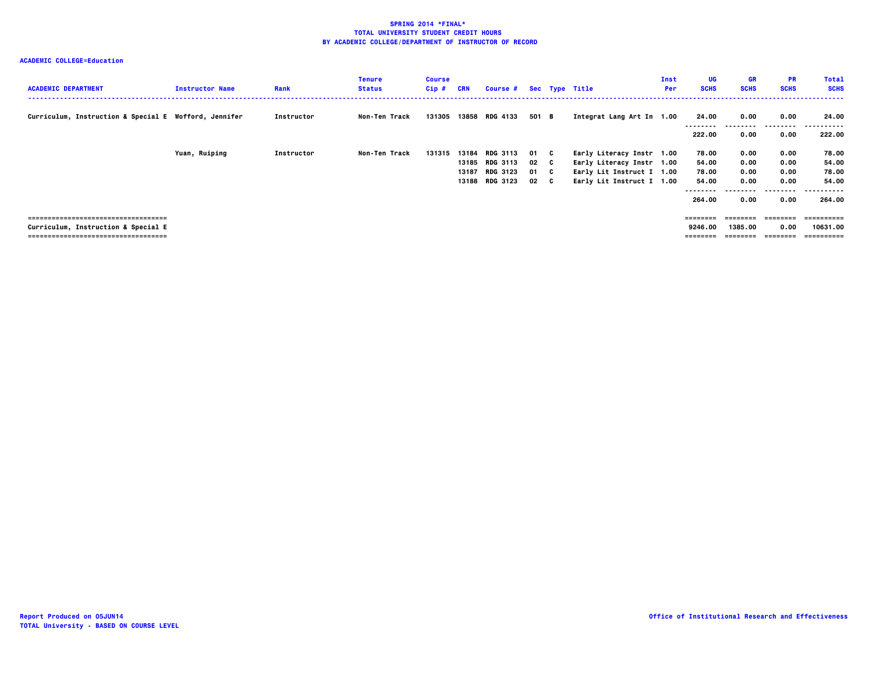| <b>ACADEMIC DEPARTMENT</b>                                                                                            | <b>Instructor Name</b> | Rank       | <b>Tenure</b><br><b>Status</b> | <b>Course</b><br>$Cip$ # | CRN            | <b>Course #</b>                                                        |                              | Sec Type Title                                                                                                   | Inst<br>Per | UG<br><b>SCHS</b>                               | <b>GR</b><br><b>SCHS</b>                         | <b>PR</b><br><b>SCHS</b>                          | <b>Total</b><br><b>SCHS</b>                                   |
|-----------------------------------------------------------------------------------------------------------------------|------------------------|------------|--------------------------------|--------------------------|----------------|------------------------------------------------------------------------|------------------------------|------------------------------------------------------------------------------------------------------------------|-------------|-------------------------------------------------|--------------------------------------------------|---------------------------------------------------|---------------------------------------------------------------|
| Curriculum, Instruction & Special E Wofford, Jennifer                                                                 |                        | Instructor | Non-Ten Track                  | 131305                   |                | 13858 RDG 4133                                                         | 501 B                        | Integrat Lang Art In 1.00                                                                                        |             | 24.00<br>.<br>222.00                            | 0.00<br>0.00                                     | 0.00<br>.<br>0.00                                 | 24.00<br>.<br>----<br>222.00                                  |
|                                                                                                                       | Yuan, Ruiping          | Instructor | Non-Ten Track                  | 131315                   | 13184<br>13187 | <b>RDG 3113</b><br>13185 RDG 3113<br><b>RDG 3123</b><br>13188 RDG 3123 | 01 C<br>02 C<br>01 C<br>02 C | Early Literacy Instr 1.00<br>Early Literacy Instr 1.00<br>Early Lit Instruct I 1.00<br>Early Lit Instruct I 1.00 |             | 78.00<br>54.00<br>78.00<br>54.00<br>.<br>264.00 | 0.00<br>0.00<br>0.00<br>0.00<br>--------<br>0.00 | 0.00<br>0.00<br>0.00<br>0.00<br>---------<br>0.00 | 78.00<br>54.00<br>78.00<br>54.00<br>. <b>.</b><br>.<br>264.00 |
| =====================================<br>Curriculum, Instruction & Special E<br>------------------------------------- |                        |            |                                |                          |                |                                                                        |                              |                                                                                                                  |             | ========<br>9246.00<br>========                 | ========<br>1385.00<br>========                  | ========<br>0.00<br>========                      | ==========<br>10631.00<br>-----------                         |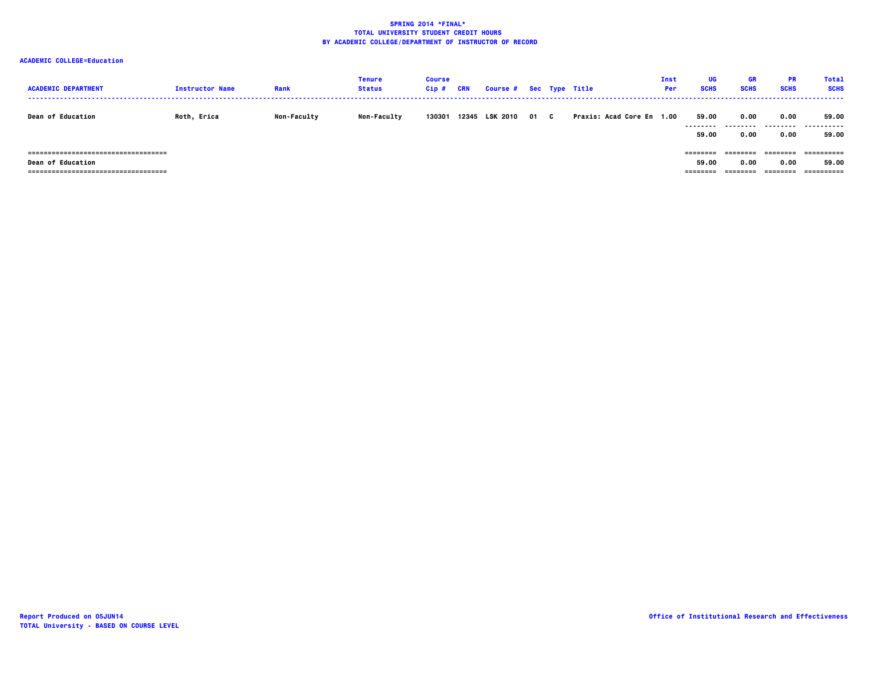| <b>ACADEMIC DEPARTMENT</b>            | <b>Instructor Name</b> | Rank               | <b>Tenure</b><br><b>Status</b> | <b>Course</b><br>$Cip$ # | CRN | Course # Sec Type Title |      |                           | Inst<br><b>Per</b> | UG<br><b>SCHS</b>  | <b>GR</b><br><b>SCHS</b> | <b>PR</b><br><b>SCHS</b> | <b>Total</b><br><b>SCHS</b> |
|---------------------------------------|------------------------|--------------------|--------------------------------|--------------------------|-----|-------------------------|------|---------------------------|--------------------|--------------------|--------------------------|--------------------------|-----------------------------|
| <b>Dean of Education</b>              | Roth, Erica            | <b>Non-Faculty</b> | <b>Non-Faculty</b>             | 130301                   |     | 12345 LSK 2010          | 01 C | Praxis: Acad Core En 1.00 |                    | 59.00<br>--------- | 0.00<br>.                | 0.00<br>.                | 59.00<br>.                  |
|                                       |                        |                    |                                |                          |     |                         |      |                           |                    | 59.00              | 0.00                     | 0.00                     | 59.00                       |
| ===================================== |                        |                    |                                |                          |     |                         |      |                           |                    | ---------          | ========                 | --------                 |                             |
| <b>Dean of Education</b>              |                        |                    |                                |                          |     |                         |      |                           |                    | 59.00              | 0.00                     | 0.00                     | 59.00                       |
| ===================================== |                        |                    |                                |                          |     |                         |      |                           |                    | --------           | --------                 | ========                 | ==========                  |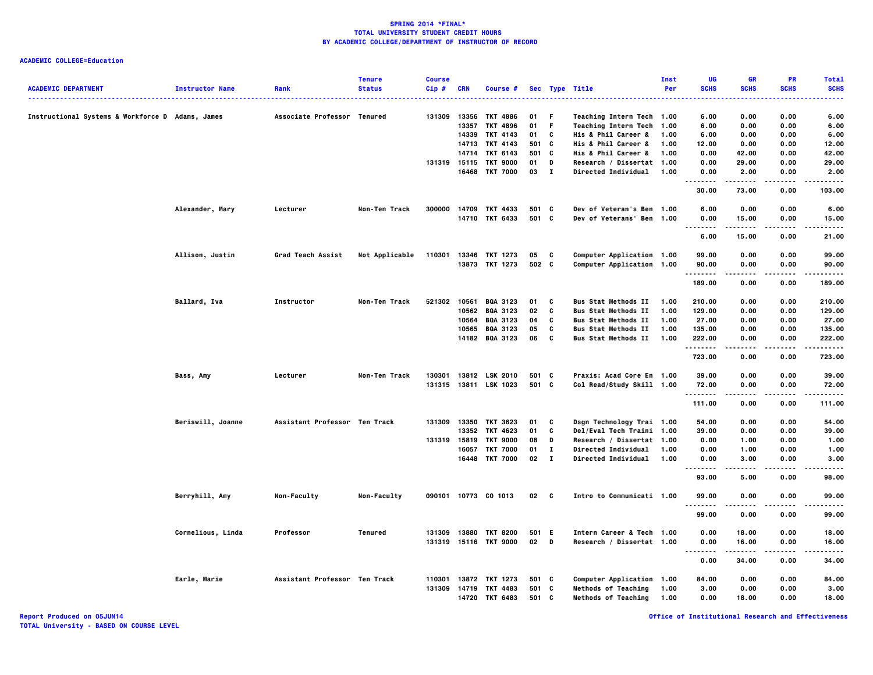|                                                  |                        |                               | <b>Tenure</b>  | <b>Course</b> |            |                       |       |              |                                                        | Inst | UG                                | <b>GR</b>   | <b>PR</b>   | <b>Total</b>         |
|--------------------------------------------------|------------------------|-------------------------------|----------------|---------------|------------|-----------------------|-------|--------------|--------------------------------------------------------|------|-----------------------------------|-------------|-------------|----------------------|
| <b>ACADEMIC DEPARTMENT</b>                       | <b>Instructor Name</b> | Rank                          | <b>Status</b>  | Cip#          | <b>CRN</b> | Course #              |       |              | Sec Type Title                                         | Per  | <b>SCHS</b><br>$\cdots$           | <b>SCHS</b> | <b>SCHS</b> | <b>SCHS</b><br>----- |
| Instructional Systems & Workforce D Adams, James |                        | Associate Professor Tenured   |                | 131309 13356  |            | TKT 4886              | 01    | -F           |                                                        |      | 6.00                              | 0.00        | 0.00        | 6.00                 |
|                                                  |                        |                               |                |               | 13357      | TKT 4896              | 01    | F            | Teaching Intern Tech 1.00<br>Teaching Intern Tech 1.00 |      | 6.00                              | 0.00        | 0.00        | 6.00                 |
|                                                  |                        |                               |                |               |            | 14339 TKT 4143        | 01    | C            | His & Phil Career &                                    | 1.00 | 6.00                              | 0.00        | 0.00        | 6.00                 |
|                                                  |                        |                               |                |               |            | 14713 TKT 4143        | 501 C |              | His & Phil Career &                                    | 1.00 | 12.00                             | 0.00        | 0.00        | 12.00                |
|                                                  |                        |                               |                |               |            | 14714 TKT 6143        | 501 C |              | His & Phil Career &                                    | 1.00 | 0.00                              | 42.00       | 0.00        | 42.00                |
|                                                  |                        |                               |                | 131319 15115  |            | <b>TKT 9000</b>       | 01    | D            | Research / Dissertat 1.00                              |      | 0.00                              | 29.00       | 0.00        | 29.00                |
|                                                  |                        |                               |                |               |            | 16468 TKT 7000        | 03    | $\mathbf{I}$ | <b>Directed Individual</b>                             | 1.00 | 0.00                              | 2.00        | 0.00        | 2.00                 |
|                                                  |                        |                               |                |               |            |                       |       |              |                                                        |      | .<br>30.00                        | 73.00       | 0.00        | 103.00               |
|                                                  | Alexander, Mary        | Lecturer                      | Non-Ten Track  | 300000        | 14709      | TKT 4433              | 501 C |              | Dev of Veteran's Ben 1.00                              |      | 6.00                              | 0.00        | 0.00        | 6.00                 |
|                                                  |                        |                               |                |               |            | 14710 TKT 6433        | 501 C |              | Dev of Veterans' Ben 1.00                              |      | 0.00<br>$\sim$ $\sim$ $\sim$<br>. | 15.00<br>.  | 0.00<br>.   | 15.00<br>.           |
|                                                  |                        |                               |                |               |            |                       |       |              |                                                        |      | 6.00                              | 15.00       | 0.00        | 21.00                |
|                                                  | Allison, Justin        | Grad Teach Assist             | Not Applicable | 110301        |            | 13346 TKT 1273        | 05    | C            | <b>Computer Application 1.00</b>                       |      | 99.00                             | 0.00        | 0.00        | 99.00                |
|                                                  |                        |                               |                |               |            | 13873 TKT 1273        | 502 C |              | Computer Application 1.00                              |      | 90.00<br>.                        | 0.00        | 0.00        | 90.00<br>.           |
|                                                  |                        |                               |                |               |            |                       |       |              |                                                        |      | 189.00                            | 0.00        | 0.00        | 189.00               |
|                                                  | Ballard, Iva           | Instructor                    | Non-Ten Track  | 521302        |            | 10561 BQA 3123        | 01    | C            | <b>Bus Stat Methods II</b>                             | 1.00 | 210.00                            | 0.00        | 0.00        | 210.00               |
|                                                  |                        |                               |                |               |            | 10562 BQA 3123        | 02    | C            | <b>Bus Stat Methods II</b>                             | 1.00 | 129.00                            | 0.00        | 0.00        | 129.00               |
|                                                  |                        |                               |                |               | 10564      | <b>BQA 3123</b>       | 04    | C            | <b>Bus Stat Methods II</b>                             | 1.00 | 27.00                             | 0.00        | 0.00        | 27.00                |
|                                                  |                        |                               |                |               | 10565      | <b>BQA 3123</b>       | 05    | C            | <b>Bus Stat Methods II</b>                             | 1.00 | 135.00                            | 0.00        | 0.00        | 135.00               |
|                                                  |                        |                               |                |               |            | 14182 BQA 3123        | 06    | C            | <b>Bus Stat Methods II</b>                             | 1.00 | 222.00                            | 0.00<br>.   | 0.00        | 222.00               |
|                                                  |                        |                               |                |               |            |                       |       |              |                                                        |      | .<br>723.00                       | 0.00        | .<br>0.00   | .<br>723.00          |
|                                                  | Bass, Amy              | Lecturer                      | Non-Ten Track  | 130301        |            | 13812 LSK 2010        | 501 C |              | Praxis: Acad Core En 1.00                              |      | 39.00                             | 0.00        | 0.00        | 39.00                |
|                                                  |                        |                               |                |               |            | 131315 13811 LSK 1023 | 501 C |              | Col Read/Study Skill 1.00                              |      | 72.00<br>.                        | 0.00        | 0.00        | 72.00                |
|                                                  |                        |                               |                |               |            |                       |       |              |                                                        |      | 111.00                            | 0.00        | 0.00        | 111.00               |
|                                                  | Beriswill, Joanne      | Assistant Professor Ten Track |                |               |            | 131309 13350 TKT 3623 | 01    | C            | Dsgn Technology Trai 1.00                              |      | 54.00                             | 0.00        | 0.00        | 54.00                |
|                                                  |                        |                               |                |               |            | 13352 TKT 4623        | 01    | C            | Del/Eval Tech Traini 1.00                              |      | 39.00                             | 0.00        | 0.00        | 39.00                |
|                                                  |                        |                               |                | 131319        | 15819      | <b>TKT 9000</b>       | 08    | D            | Research / Dissertat 1.00                              |      | 0.00                              | 1.00        | 0.00        | 1.00                 |
|                                                  |                        |                               |                |               | 16057      | <b>TKT 7000</b>       | 01    | $\mathbf{I}$ | <b>Directed Individual</b>                             | 1.00 | 0.00                              | 1.00        | 0.00        | 1.00                 |
|                                                  |                        |                               |                |               |            | 16448 TKT 7000        | 02 I  |              | Directed Individual                                    | 1.00 | 0.00<br>.                         | 3.00<br>.   | 0.00<br>.   | 3.00<br>.            |
|                                                  |                        |                               |                |               |            |                       |       |              |                                                        |      | 93.00                             | 5.00        | 0.00        | 98.00                |
|                                                  | Berryhill, Amy         | Non-Faculty                   | Non-Faculty    |               |            | 090101 10773 CO 1013  | 02    | <b>C</b>     | Intro to Communicati 1.00                              |      | 99.00<br>.                        | 0.00<br>.   | 0.00<br>.   | 99.00<br>.           |
|                                                  |                        |                               |                |               |            |                       |       |              |                                                        |      | 99.00                             | 0.00        | 0.00        | 99.00                |
|                                                  | Cornelious, Linda      | Professor                     | Tenured        |               |            | 131309 13880 TKT 8200 | 501 E |              | Intern Career & Tech 1.00                              |      | 0.00                              | 18.00       | 0.00        | 18.00                |
|                                                  |                        |                               |                |               |            | 131319 15116 TKT 9000 | 02    | <b>D</b>     | Research / Dissertat 1.00                              |      | 0.00<br>$\sim$ $\sim$ $\sim$<br>. | 16.00       | 0.00        | 16.00<br>-----       |
|                                                  |                        |                               |                |               |            |                       |       |              |                                                        |      | 0.00                              | 34.00       | 0.00        | 34.00                |
|                                                  | Earle, Marie           | Assistant Professor Ten Track |                | 110301        |            | 13872 TKT 1273        | 501 C |              | Computer Application 1.00                              |      | 84.00                             | 0.00        | 0.00        | 84.00                |
|                                                  |                        |                               |                | 131309        |            | 14719 TKT 4483        | 501   | C            | <b>Methods of Teaching</b>                             | 1.00 | 3.00                              | 0.00        | 0.00        | 3.00                 |
|                                                  |                        |                               |                |               |            | 14720 TKT 6483        | 501 C |              | <b>Methods of Teaching</b>                             | 1.00 | 0.00                              | 18.00       | 0.00        | 18.00                |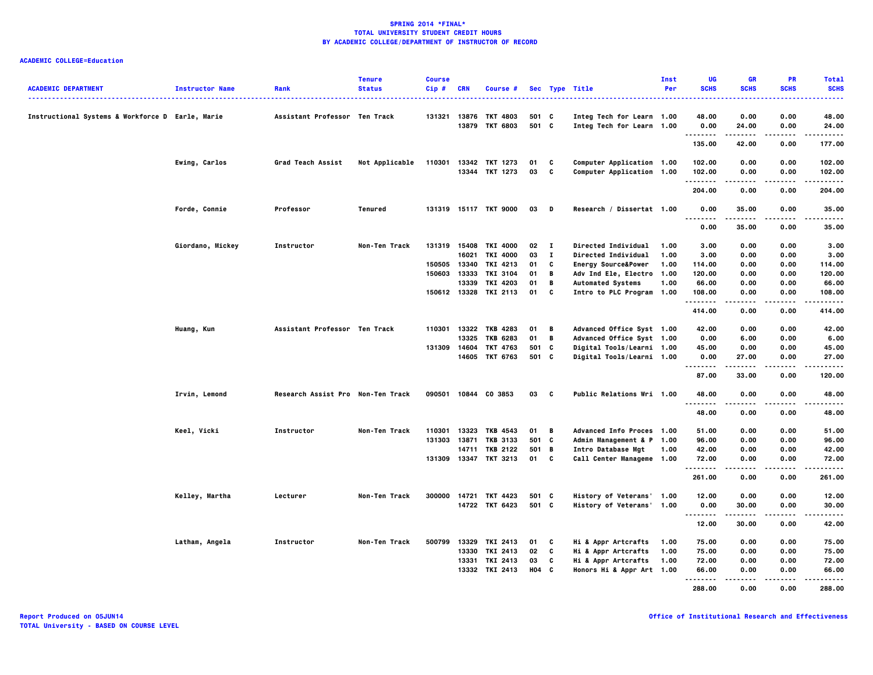| <b>ACADEMIC DEPARTMENT</b>                       | <b>Instructor Name</b> | Rank                              | <b>Tenure</b><br><b>Status</b> | <b>Course</b><br>Cip# | <b>CRN</b> | Course #                                |                |              | Sec Type Title                                         | Inst<br>Per | UG<br><b>SCHS</b>                     | <b>GR</b><br><b>SCHS</b> | <b>PR</b><br><b>SCHS</b> | <b>Total</b><br><b>SCHS</b> |
|--------------------------------------------------|------------------------|-----------------------------------|--------------------------------|-----------------------|------------|-----------------------------------------|----------------|--------------|--------------------------------------------------------|-------------|---------------------------------------|--------------------------|--------------------------|-----------------------------|
|                                                  |                        |                                   |                                |                       |            |                                         |                |              | .                                                      |             |                                       |                          |                          | -----                       |
| Instructional Systems & Workforce D Earle, Marie |                        | Assistant Professor Ten Track     |                                |                       |            | 131321 13876 TKT 4803<br>13879 TKT 6803 | 501 C<br>501 C |              | Integ Tech for Learn 1.00<br>Integ Tech for Learn 1.00 |             | 48.00<br>0.00                         | 0.00<br>24.00            | 0.00<br>0.00             | 48.00<br>24.00              |
|                                                  |                        |                                   |                                |                       |            |                                         |                |              |                                                        |             | .<br>135.00                           | .<br>42.00               | .<br>0.00                | .<br>177.00                 |
|                                                  | Ewing, Carlos          | Grad Teach Assist                 | Not Applicable                 | 110301                |            | 13342 TKT 1273                          | 01             | C            | Computer Application 1.00                              |             | 102.00                                | 0.00                     | 0.00                     | 102.00                      |
|                                                  |                        |                                   |                                |                       |            | 13344 TKT 1273                          | 03             | <b>C</b>     | Computer Application 1.00                              |             | 102.00<br>.                           | 0.00<br>.                | 0.00<br>----             | 102.00<br>.                 |
|                                                  |                        |                                   |                                |                       |            |                                         |                |              |                                                        |             | 204.00                                | 0.00                     | 0.00                     | 204.00                      |
|                                                  | Forde, Connie          | Professor                         | Tenured                        |                       |            | 131319 15117 TKT 9000                   | 03 D           |              | Research / Dissertat 1.00                              |             | 0.00<br>$\sim$ $\sim$ $\sim$<br>----- | 35.00<br>-----           | 0.00<br>$\cdots$         | 35.00<br>.                  |
|                                                  |                        |                                   |                                |                       |            |                                         |                |              |                                                        |             | 0.00                                  | 35.00                    | 0.00                     | 35.00                       |
|                                                  | Giordano, Mickey       | Instructor                        | Non-Ten Track                  |                       |            | 131319 15408 TKI 4000                   | 02             | $\mathbf{I}$ | <b>Directed Individual</b>                             | 1.00        | 3.00                                  | 0.00                     | 0.00                     | 3.00                        |
|                                                  |                        |                                   |                                |                       | 16021      | <b>TKI 4000</b>                         | 03             | $\mathbf{I}$ | Directed Individual                                    | 1.00        | 3.00                                  | 0.00                     | 0.00                     | 3.00                        |
|                                                  |                        |                                   |                                | 150505 13340          |            | TKI 4213                                | 01             | C            | <b>Energy Source&amp;Power</b>                         | 1.00        | 114.00                                | 0.00                     | 0.00                     | 114.00                      |
|                                                  |                        |                                   |                                | 150603                | 13333      | <b>TKI 3104</b>                         | 01             | B            | Adv Ind Ele, Electro 1.00                              |             | 120.00                                | 0.00                     | 0.00                     | 120.00                      |
|                                                  |                        |                                   |                                |                       | 13339      | TKI 4203                                | 01             | B            | <b>Automated Systems</b>                               | 1.00        | 66.00                                 | 0.00                     | 0.00                     | 66.00                       |
|                                                  |                        |                                   |                                |                       |            | 150612 13328 TKI 2113                   | 01             | C            | Intro to PLC Program 1.00                              |             | 108.00<br>.                           | 0.00<br>.                | 0.00<br>.                | 108.00<br>.                 |
|                                                  |                        |                                   |                                |                       |            |                                         |                |              |                                                        |             | 414.00                                | 0.00                     | 0.00                     | 414.00                      |
|                                                  | Huang, Kun             | Assistant Professor Ten Track     |                                | 110301                |            | 13322 TKB 4283                          | 01             | в.           | Advanced Office Syst 1.00                              |             | 42.00                                 | 0.00                     | 0.00                     | 42.00                       |
|                                                  |                        |                                   |                                |                       | 13325      | <b>TKB 6283</b>                         | 01             | B            | Advanced Office Syst 1.00                              |             | 0.00                                  | 6.00                     | 0.00                     | 6.00                        |
|                                                  |                        |                                   |                                | 131309                |            | 14604 TKT 4763                          | 501 C          |              | <b>Digital Tools/Learni 1.00</b>                       |             | 45.00                                 | 0.00                     | 0.00                     | 45.00                       |
|                                                  |                        |                                   |                                |                       |            | 14605 TKT 6763                          | 501 C          |              | Digital Tools/Learni 1.00                              |             | 0.00<br>.                             | 27.00<br>.               | 0.00<br>.                | 27.00<br>.                  |
|                                                  |                        |                                   |                                |                       |            |                                         |                |              |                                                        |             | 87.00                                 | 33.00                    | 0.00                     | 120.00                      |
|                                                  | Irvin, Lemond          | Research Assist Pro Non-Ten Track |                                |                       |            | 090501 10844 CO 3853                    | 03 C           |              | <b>Public Relations Wri 1.00</b>                       |             | 48.00<br>.                            | 0.00                     | 0.00<br>.                | 48.00<br>.                  |
|                                                  |                        |                                   |                                |                       |            |                                         |                |              |                                                        |             | 48.00                                 | 0.00                     | 0.00                     | 48.00                       |
|                                                  | Keel, Vicki            | Instructor                        | Non-Ten Track                  | 110301                |            | 13323 TKB 4543                          | 01 B           |              | Advanced Info Proces 1.00                              |             | 51.00                                 | 0.00                     | 0.00                     | 51.00                       |
|                                                  |                        |                                   |                                |                       |            | 131303 13871 TKB 3133                   | 501 C          |              | Admin Management & P 1.00                              |             | 96.00                                 | 0.00                     | 0.00                     | 96.00                       |
|                                                  |                        |                                   |                                |                       |            | 14711 TKB 2122                          | 501 B          |              | Intro Database Mgt                                     | 1.00        | 42.00                                 | 0.00                     | 0.00                     | 42.00                       |
|                                                  |                        |                                   |                                |                       |            | 131309 13347 TKT 3213                   | 01             | c            | Call Center Manageme 1.00                              |             | 72.00<br>.                            | 0.00<br>.                | 0.00<br>.                | 72.00<br>.                  |
|                                                  |                        |                                   |                                |                       |            |                                         |                |              |                                                        |             | 261.00                                | 0.00                     | 0.00                     | 261.00                      |
|                                                  | Kelley, Martha         | Lecturer                          | Non-Ten Track                  |                       |            | 300000 14721 TKT 4423                   | 501 C          |              | History of Veterans' 1.00                              |             | 12.00                                 | 0.00                     | 0.00                     | 12.00                       |
|                                                  |                        |                                   |                                |                       |            | 14722 TKT 6423                          | 501 C          |              | History of Veterans' 1.00                              |             | 0.00                                  | 30.00                    | 0.00                     | 30.00                       |
|                                                  |                        |                                   |                                |                       |            |                                         |                |              |                                                        |             | .                                     | .                        | .                        | .                           |
|                                                  |                        |                                   |                                |                       |            |                                         |                |              |                                                        |             | 12.00                                 | 30.00                    | 0.00                     | 42.00                       |
|                                                  | Latham, Angela         | Instructor                        | Non-Ten Track                  | 500799                |            | 13329 TKI 2413                          | 01             | C            | Hi & Appr Artcrafts                                    | 1.00        | 75.00                                 | 0.00                     | 0.00                     | 75.00                       |
|                                                  |                        |                                   |                                |                       |            | 13330 TKI 2413                          | 02             | C            | Hi & Appr Artcrafts                                    | 1.00        | 75.00                                 | 0.00                     | 0.00                     | 75.00                       |
|                                                  |                        |                                   |                                |                       |            | 13331 TKI 2413                          | 03             | C            | Hi & Appr Artcrafts                                    | 1.00        | 72.00                                 | 0.00                     | 0.00                     | 72.00                       |
|                                                  |                        |                                   |                                |                       |            | 13332 TKI 2413                          | H04 C          |              | Honors Hi & Appr Art 1.00                              |             | 66.00<br>.                            | 0.00                     | 0.00                     | 66.00                       |
|                                                  |                        |                                   |                                |                       |            |                                         |                |              |                                                        |             | 288.00                                | 0.00                     | 0.00                     | 288.00                      |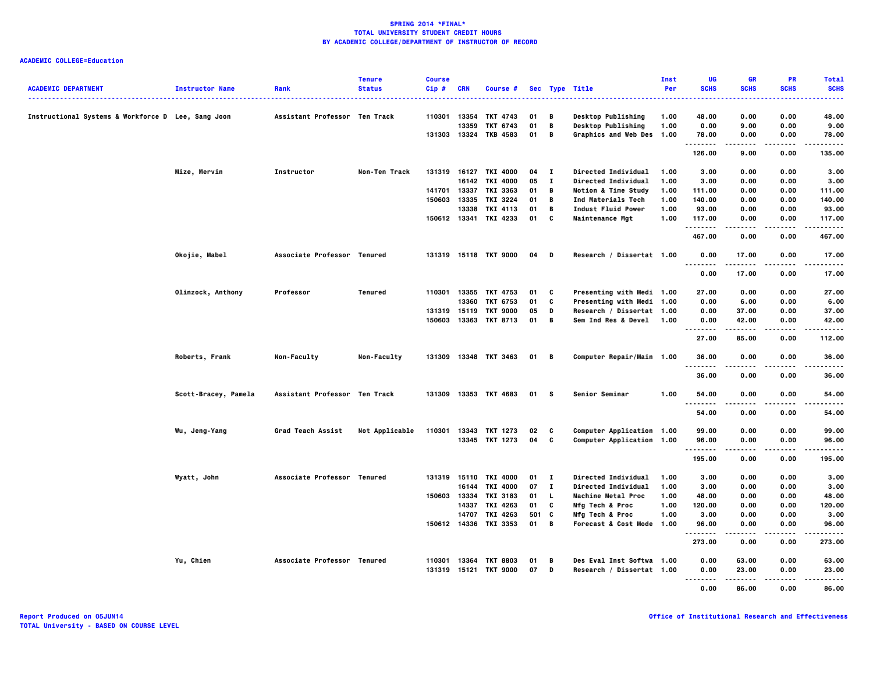|                                                    |                        |                               | <b>Tenure</b>  | <b>Course</b> |            |                       |       |              |                                | Inst | UG                   | <b>GR</b>     | PR          | <b>Total</b>     |
|----------------------------------------------------|------------------------|-------------------------------|----------------|---------------|------------|-----------------------|-------|--------------|--------------------------------|------|----------------------|---------------|-------------|------------------|
| <b>ACADEMIC DEPARTMENT</b>                         | <b>Instructor Name</b> | Rank                          | <b>Status</b>  | Cip#          | <b>CRN</b> | Course #              |       |              | Sec Type Title<br>.            | Per  | <b>SCHS</b>          | <b>SCHS</b>   | <b>SCHS</b> | <b>SCHS</b><br>. |
| Instructional Systems & Workforce D Lee, Sang Joon |                        | Assistant Professor Ten Track |                | 110301        | 13354      | TKT 4743              | 01    | B            | <b>Desktop Publishing</b>      | 1.00 | 48.00                | 0.00          | 0.00        | 48.00            |
|                                                    |                        |                               |                |               | 13359      | TKT 6743              | 01    | В            | Desktop Publishing             | 1.00 | 0.00                 | 9.00          | 0.00        | 9.00             |
|                                                    |                        |                               |                |               |            | 131303 13324 TKB 4583 | 01    | В            | Graphics and Web Des 1.00      |      | 78.00                | 0.00          | 0.00        | 78.00            |
|                                                    |                        |                               |                |               |            |                       |       |              |                                |      | .<br>126.00          | .<br>9.00     | .<br>0.00   | .<br>135.00      |
|                                                    | Mize, Mervin           | Instructor                    | Non-Ten Track  |               |            | 131319 16127 TKI 4000 | 04    | $\mathbf{I}$ | Directed Individual            | 1.00 | 3.00                 | 0.00          | 0.00        | 3.00             |
|                                                    |                        |                               |                |               |            | 16142 TKI 4000        | 05    | $\mathbf{I}$ | Directed Individual            | 1.00 | 3.00                 | 0.00          | 0.00        | 3.00             |
|                                                    |                        |                               |                | 141701        | 13337      | <b>TKI 3363</b>       | 01    | В            | <b>Motion &amp; Time Study</b> | 1.00 | 111.00               | 0.00          | 0.00        | 111.00           |
|                                                    |                        |                               |                | 150603        | 13335      | TKI 3224              | 01    | В            | Ind Materials Tech             | 1.00 | 140.00               | 0.00          | 0.00        | 140.00           |
|                                                    |                        |                               |                |               | 13338      | TKI 4113              | 01    | В            | Indust Fluid Power             | 1.00 | 93.00                | 0.00          | 0.00        | 93.00            |
|                                                    |                        |                               |                |               |            | 150612 13341 TKI 4233 | 01    | C            | <b>Maintenance Mgt</b>         | 1.00 | 117.00<br>.          | 0.00          | 0.00        | 117.00           |
|                                                    |                        |                               |                |               |            |                       |       |              |                                |      | 467.00               | 0.00          | 0.00        | 467.00           |
|                                                    | Okojie, Mabel          | Associate Professor Tenured   |                |               |            | 131319 15118 TKT 9000 | 04    | D            | Research / Dissertat 1.00      |      | 0.00<br><br>$\cdots$ | 17.00         | 0.00        | 17.00            |
|                                                    |                        |                               |                |               |            |                       |       |              |                                |      | 0.00                 | 17.00         | 0.00        | 17.00            |
|                                                    | Olinzock, Anthony      | Professor                     | Tenured        |               |            | 110301 13355 TKT 4753 | 01    | C            | Presenting with Medi 1.00      |      | 27.00                | 0.00          | 0.00        | 27.00            |
|                                                    |                        |                               |                |               | 13360      | TKT 6753              | 01    | C            | Presenting with Medi 1.00      |      | 0.00                 | 6.00          | 0.00        | 6.00             |
|                                                    |                        |                               |                | 131319 15119  |            | <b>TKT 9000</b>       | 05    | D            | Research / Dissertat 1.00      |      | 0.00                 | 37.00         | 0.00        | 37.00            |
|                                                    |                        |                               |                | 150603 13363  |            | <b>TKT 8713</b>       | 01    | В            | <b>Sem Ind Res &amp; Devel</b> | 1.00 | 0.00                 | 42.00         | 0.00        | 42.00            |
|                                                    |                        |                               |                |               |            |                       |       |              |                                |      | <br>27.00            | .<br>85.00    | .<br>0.00   | .<br>112.00      |
|                                                    | Roberts, Frank         | Non-Faculty                   | Non-Faculty    |               |            | 131309 13348 TKT 3463 | 01 B  |              | Computer Repair/Main 1.00      |      | 36.00<br>.           | 0.00          | 0.00        | 36.00            |
|                                                    |                        |                               |                |               |            |                       |       |              |                                |      | 36.00                | 0.00          | 0.00        | 36.00            |
|                                                    | Scott-Bracey, Pamela   | Assistant Professor Ten Track |                |               |            | 131309 13353 TKT 4683 | 01 S  |              | Senior Seminar                 | 1.00 | 54.00                | 0.00          | 0.00        | 54.00            |
|                                                    |                        |                               |                |               |            |                       |       |              |                                |      | .<br>54.00           | 0.00          | 0.00        | 54.00            |
|                                                    | Wu, Jeng-Yang          | Grad Teach Assist             | Not Applicable | 110301        |            | 13343 TKT 1273        | 02    | C            | Computer Application 1.00      |      | 99.00                | 0.00          | 0.00        | 99.00            |
|                                                    |                        |                               |                |               |            | 13345 TKT 1273        | 04    | C            | Computer Application 1.00      |      | 96.00                | 0.00          | 0.00        | 96.00            |
|                                                    |                        |                               |                |               |            |                       |       |              |                                |      | .<br>195.00          | 0.00          | .<br>0.00   | .<br>195.00      |
|                                                    | Wyatt, John            | Associate Professor Tenured   |                |               |            | 131319 15110 TKI 4000 | 01    | $\mathbf{I}$ | Directed Individual            | 1.00 | 3.00                 | 0.00          | 0.00        | 3.00             |
|                                                    |                        |                               |                |               | 16144      | <b>TKI 4000</b>       | 07    | $\mathbf{I}$ | Directed Individual            | 1.00 | 3.00                 | 0.00          | 0.00        | 3.00             |
|                                                    |                        |                               |                |               |            | 150603 13334 TKI 3183 | 01    | <b>L</b>     | Machine Metal Proc             | 1.00 | 48.00                | 0.00          | 0.00        | 48.00            |
|                                                    |                        |                               |                |               | 14337      | TKI 4263              | 01    | C            | Mfg Tech & Proc                | 1.00 | 120.00               | 0.00          | 0.00        | 120.00           |
|                                                    |                        |                               |                |               | 14707      | TKI 4263              | 501 C |              | <b>Mfg Tech &amp; Proc</b>     | 1.00 | 3.00                 | 0.00          | 0.00        | 3.00             |
|                                                    |                        |                               |                |               |            | 150612 14336 TKI 3353 | 01    | B            | Forecast & Cost Mode 1.00      |      | 96.00<br>.           | 0.00<br>----- | 0.00<br>.   | 96.00<br>-----   |
|                                                    |                        |                               |                |               |            |                       |       |              |                                |      | 273.00               | 0.00          | 0.00        | 273.00           |
|                                                    | Yu, Chien              | Associate Professor Tenured   |                | 110301        | 13364      | <b>TKT 8803</b>       | 01    | в            | Des Eval Inst Softwa 1.00      |      | 0.00                 | 63.00         | 0.00        | 63.00            |
|                                                    |                        |                               |                |               |            | 131319 15121 TKT 9000 | 07    | D            | Research / Dissertat 1.00      |      | 0.00                 | 23.00         | 0.00        | 23.00            |
|                                                    |                        |                               |                |               |            |                       |       |              |                                |      |                      | .             | .           | .                |
|                                                    |                        |                               |                |               |            |                       |       |              |                                |      | 0.00                 | 86.00         | 0.00        | 86.00            |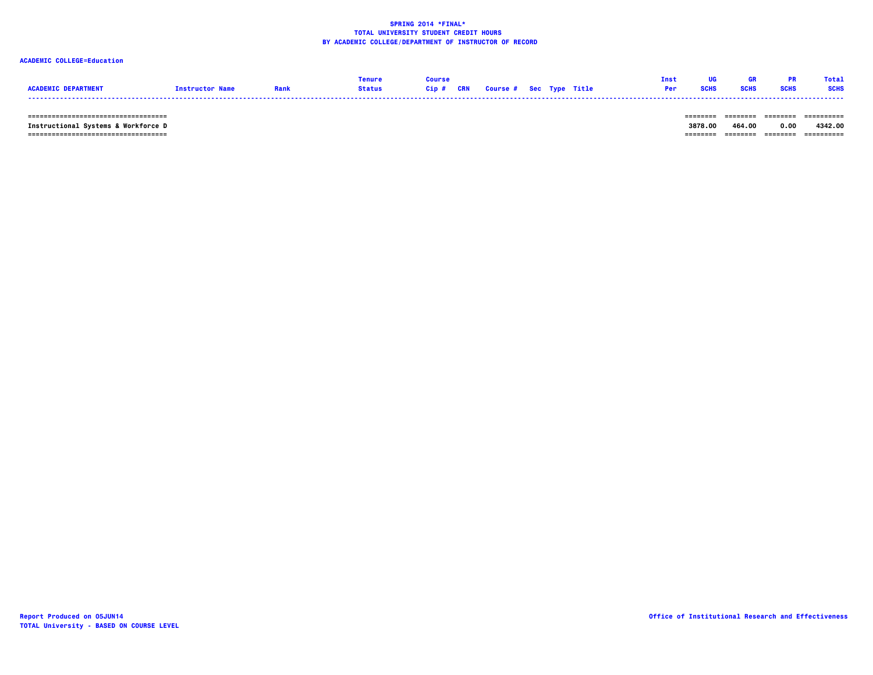### **ACADEMIC COLLEGE=Education**

|                  |                       |        |            |                         |  |  |  | fote <sup>7</sup> |
|------------------|-----------------------|--------|------------|-------------------------|--|--|--|-------------------|
| <b>ACADEMTC.</b> | <b>Tnstructor Nam</b> | itatus | <b>CRN</b> | Course # Sec Type Title |  |  |  | <b>SCHS</b>       |
|                  |                       |        |            |                         |  |  |  |                   |

 **=================================== ======== ======== ======== ========== Instructional Systems & Workforce D 3878.00 464.00 0.00 4342.00 =================================== ======== ======== ======== ==========**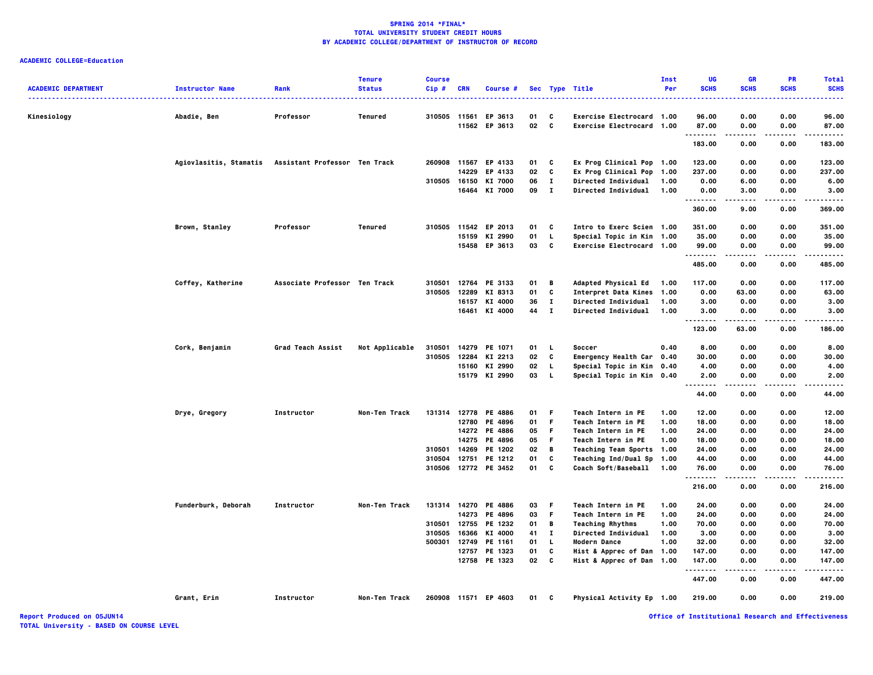# **ACADEMIC COLLEGE=Education**

| <b>ACADEMIC DEPARTMENT</b> | <b>Instructor Name</b> | Rank                          | <b>Tenure</b><br><b>Status</b> | <b>Course</b><br>$Cip$ # | <b>CRN</b>     | Course #                 |          |              | Sec Type Title                                         | Inst<br>Per | UG<br><b>SCHS</b>  | <b>GR</b><br><b>SCHS</b> | <b>PR</b><br><b>SCHS</b> | <b>Total</b><br><b>SCHS</b> |
|----------------------------|------------------------|-------------------------------|--------------------------------|--------------------------|----------------|--------------------------|----------|--------------|--------------------------------------------------------|-------------|--------------------|--------------------------|--------------------------|-----------------------------|
|                            |                        |                               |                                | 310505                   |                |                          |          |              |                                                        |             |                    |                          |                          | .<br>96.00                  |
| Kinesiology                | Abadie, Ben            | Professor                     | Tenured                        |                          | 11561<br>11562 | EP 3613<br>EP 3613       | 01<br>02 | c<br>C       | Exercise Electrocard 1.00<br>Exercise Electrocard 1.00 |             | 96.00<br>87.00     | 0.00<br>0.00             | 0.00<br>0.00             | 87.00                       |
|                            |                        |                               |                                |                          |                |                          |          |              |                                                        |             | .                  | ----                     | .                        | .                           |
|                            |                        |                               |                                |                          |                |                          |          |              |                                                        |             | 183.00             | 0.00                     | 0.00                     | 183,00                      |
|                            | Agiovlasitis, Stamatis | Assistant Professor Ten Track |                                | 260908                   |                | 11567 EP 4133            | 01       | c            | Ex Prog Clinical Pop 1.00                              |             | 123.00             | 0.00                     | 0.00                     | 123.00                      |
|                            |                        |                               |                                |                          | 14229          | EP 4133                  | 02       | C            | Ex Prog Clinical Pop 1.00                              |             | 237.00             | 0.00                     | 0.00                     | 237.00                      |
|                            |                        |                               |                                | 310505                   | 16150          | KI 7000                  | 06       | $\mathbf{I}$ | Directed Individual 1.00                               |             | 0.00               | 6.00                     | 0.00                     | 6.00                        |
|                            |                        |                               |                                |                          |                | 16464 KI 7000            | 09       | $\mathbf{I}$ | <b>Directed Individual</b>                             | 1.00        | 0.00<br>.          | 3.00                     | 0.00                     | 3.00                        |
|                            |                        |                               |                                |                          |                |                          |          |              |                                                        |             | 360.00             | 9.00                     | 0.00                     | 369.00                      |
|                            | Brown, Stanley         | Professor                     | Tenured                        |                          |                | 310505 11542 EP 2013     | 01       | C            | Intro to Exerc Scien 1.00                              |             | 351.00             | 0.00                     | 0.00                     | 351.00                      |
|                            |                        |                               |                                |                          | 15159          | KI 2990                  | 01       | L            | Special Topic in Kin 1.00                              |             | 35.00              | 0.00                     | 0.00                     | 35.00                       |
|                            |                        |                               |                                |                          |                | 15458 EP 3613            | 03       | C            | Exercise Electrocard 1.00                              |             | 99.00<br>.         | 0.00                     | 0.00                     | 99.00                       |
|                            |                        |                               |                                |                          |                |                          |          |              |                                                        |             | 485.00             | 0.00                     | 0.00                     | 485.00                      |
|                            | Coffey, Katherine      | Associate Professor Ten Track |                                | 310501                   |                | 12764 PE 3133            | 01       | В            | <b>Adapted Physical Ed</b>                             | 1.00        | 117.00             | 0.00                     | 0.00                     | 117.00                      |
|                            |                        |                               |                                | 310505                   | 12289          | KI 8313                  | 01       | C            | <b>Interpret Data Kines</b>                            | 1.00        | 0.00               | 63.00                    | 0.00                     | 63.00                       |
|                            |                        |                               |                                |                          | 16157          | KI 4000                  | 36       | л.           | Directed Individual                                    | 1.00        | 3.00               | 0.00                     | 0.00                     | 3.00                        |
|                            |                        |                               |                                |                          |                | 16461 KI 4000            | 44       | $\mathbf{I}$ | <b>Directed Individual</b>                             | 1.00        | 3.00<br>.          | 0.00<br>-----            | 0.00                     | 3.00                        |
|                            |                        |                               |                                |                          |                |                          |          |              |                                                        |             | 123.00             | 63.00                    | 0.00                     | 186.00                      |
|                            | Cork, Benjamin         | Grad Teach Assist             | Not Applicable                 | 310501                   |                | 14279 PE 1071            | 01       | L.           | Soccer                                                 | 0.40        | 8.00               | 0.00                     | 0.00                     | 8.00                        |
|                            |                        |                               |                                | 310505                   | 12284          | KI 2213                  | 02       | c            | Emergency Health Car 0.40                              |             | 30.00              | 0.00                     | 0.00                     | 30.00                       |
|                            |                        |                               |                                |                          | 15160          | KI 2990                  | 02       | L            | Special Topic in Kin 0.40                              |             | 4.00               | 0.00                     | 0.00                     | 4.00                        |
|                            |                        |                               |                                |                          |                | 15179 KI 2990            | 03       | L.           | Special Topic in Kin 0.40                              |             | 2.00<br>.          | 0.00<br>.                | 0.00                     | 2.00<br>.                   |
|                            |                        |                               |                                |                          |                |                          |          |              |                                                        |             | 44.00              | 0.00                     | 0.00                     | 44.00                       |
|                            | Drye, Gregory          | Instructor                    | Non-Ten Track                  |                          |                | 131314 12778 PE 4886     | 01       | F            | Teach Intern in PE                                     | 1.00        | 12.00              | 0.00                     | 0.00                     | 12.00                       |
|                            |                        |                               |                                |                          |                | 12780 PE 4896            | 01       | F            | Teach Intern in PE                                     | 1.00        | 18.00              | 0.00                     | 0.00                     | 18.00                       |
|                            |                        |                               |                                |                          |                | 14272 PE 4886            | 05       | F            | Teach Intern in PE                                     | 1.00        | 24.00              | 0.00                     | 0.00                     | 24.00                       |
|                            |                        |                               |                                |                          |                | 14275 PE 4896            | 05       | F            | Teach Intern in PE                                     | 1.00        | 18.00              | 0.00                     | 0.00                     | 18.00                       |
|                            |                        |                               |                                | 310501                   | 14269          | PE 1202                  | 02       | B            | Teaching Team Sports 1.00                              |             | 24.00              | 0.00                     | 0.00                     | 24.00                       |
|                            |                        |                               |                                | 310504<br>310506         | 12751          | PE 1212<br>12772 PE 3452 | 01<br>01 | C<br>C       | Teaching Ind/Dual Sp 1.00<br>Coach Soft/Baseball       | 1.00        | 44.00<br>76.00     | 0.00<br>0.00             | 0.00<br>0.00             | 44.00<br>76.00              |
|                            |                        |                               |                                |                          |                |                          |          |              |                                                        |             | 216.00             | 0.00                     | 0.00                     | 216.00                      |
|                            | Funderburk, Deborah    | Instructor                    | Non-Ten Track                  |                          |                | 131314 14270 PE 4886     | 03       | F            | Teach Intern in PE                                     | 1.00        | 24.00              | 0.00                     | 0.00                     | 24.00                       |
|                            |                        |                               |                                |                          |                | 14273 PE 4896            | 03       | F            | Teach Intern in PE                                     | 1.00        | 24.00              | 0.00                     | 0.00                     | 24.00                       |
|                            |                        |                               |                                | 310501                   | 12755          | PE 1232                  | 01       | В            | <b>Teaching Rhythms</b>                                | 1.00        | 70.00              | 0.00                     | 0.00                     | 70.00                       |
|                            |                        |                               |                                | 310505                   | 16366          | KI 4000                  | 41       | $\bf{I}$     | Directed Individual                                    | 1.00        | 3.00               | 0.00                     | 0.00                     | 3.00                        |
|                            |                        |                               |                                | 500301                   |                | 12749 PE 1161            | 01       | L.           | Modern Dance                                           | 1.00        | 32.00              | 0.00                     | 0.00                     | 32.00                       |
|                            |                        |                               |                                |                          |                | 12757 PE 1323            | 01       | C            | Hist & Apprec of Dan 1.00                              |             | 147.00             | 0.00                     | 0.00                     | 147.00                      |
|                            |                        |                               |                                |                          |                | 12758 PE 1323            | 02       | C            | Hist & Apprec of Dan 1.00                              |             | 147.00<br><u>.</u> | 0.00                     | 0.00                     | 147.00                      |
|                            |                        |                               |                                |                          |                |                          |          |              |                                                        |             | 447.00             | 0.00                     | 0.00                     | 447.00                      |
|                            | Grant, Erin            | Instructor                    | Non-Ten Track                  |                          |                | 260908 11571 EP 4603     | 01       | C            | Physical Activity Ep 1.00                              |             | 219.00             | 0.00                     | 0.00                     | 219.00                      |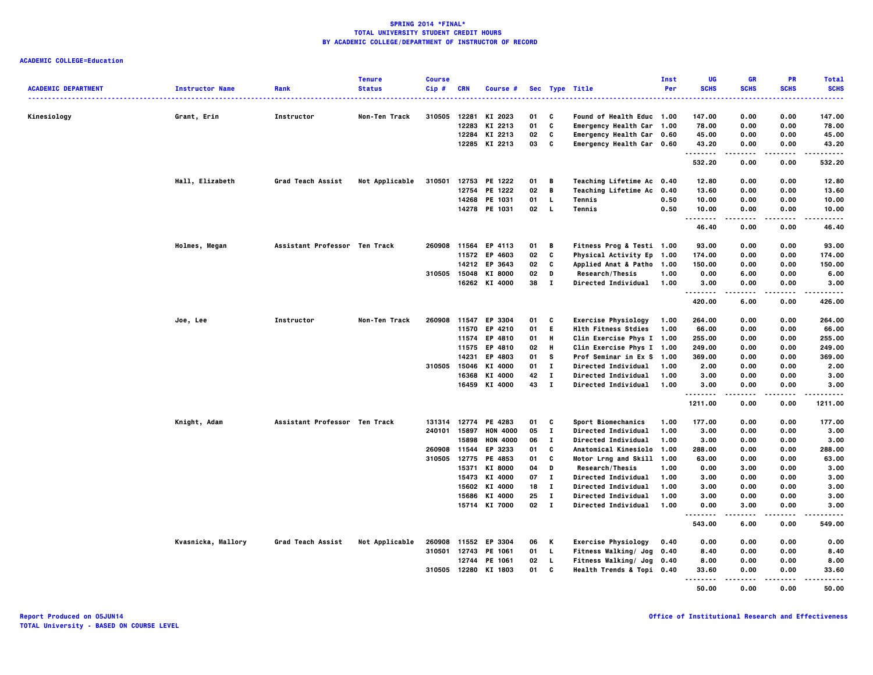|                            |                        |                               | <b>Tenure</b>  | <b>Course</b> |                |                      |               |              |                                                               | Inst | UG                 | <b>GR</b>         | <b>PR</b>        | <b>Total</b>          |
|----------------------------|------------------------|-------------------------------|----------------|---------------|----------------|----------------------|---------------|--------------|---------------------------------------------------------------|------|--------------------|-------------------|------------------|-----------------------|
| <b>ACADEMIC DEPARTMENT</b> | <b>Instructor Name</b> | Rank                          | <b>Status</b>  | Cip#          | <b>CRN</b>     | Course #             |               |              | Sec Type Title                                                | Per  | <b>SCHS</b>        | <b>SCHS</b>       | <b>SCHS</b>      | <b>SCHS</b>           |
|                            |                        |                               |                |               |                |                      |               |              |                                                               |      |                    |                   |                  |                       |
| Kinesiology                | Grant, Erin            | Instructor                    | Non-Ten Track  | 310505        | 12281<br>12283 | KI 2023<br>KI 2213   | 01<br>01      | C<br>C       | <b>Found of Health Educ 1.00</b><br>Emergency Health Car 1.00 |      | 147.00<br>78.00    | 0.00<br>0.00      | 0.00<br>0.00     | 147.00<br>78.00       |
|                            |                        |                               |                |               | 12284          | KI 2213              | 02            | C            | Emergency Health Car 0.60                                     |      | 45.00              | 0.00              | 0.00             | 45.00                 |
|                            |                        |                               |                |               |                | 12285 KI 2213        | 03            | C            | Emergency Health Car 0.60                                     |      | 43.20              | 0.00              | 0.00             | 43.20                 |
|                            |                        |                               |                |               |                |                      |               |              |                                                               |      | .                  | .                 | ----             | .                     |
|                            |                        |                               |                |               |                |                      |               |              |                                                               |      | 532.20             | 0.00              | 0.00             | 532.20                |
|                            | Hall, Elizabeth        | Grad Teach Assist             | Not Applicable | 310501        |                | 12753 PE 1222        | 01            | в            | Teaching Lifetime Ac 0.40                                     |      | 12.80              | 0.00              | 0.00             | 12.80                 |
|                            |                        |                               |                |               | 12754          | PE 1222              | 02            | B            | <b>Teaching Lifetime Ac</b>                                   | 0.40 | 13.60              | 0.00              | 0.00             | 13.60                 |
|                            |                        |                               |                |               | 14268          | PE 1031              | 01            | L.           | Tennis                                                        | 0.50 | 10.00              | 0.00              | 0.00             | 10.00                 |
|                            |                        |                               |                |               |                | 14278 PE 1031        | 02            | <b>L</b>     | Tennis                                                        | 0.50 | 10.00<br>.         | 0.00<br>.         | 0.00<br>$\cdots$ | 10.00<br>. <b>.</b> . |
|                            |                        |                               |                |               |                |                      |               |              |                                                               |      | 46.40              | 0.00              | 0.00             | 46.40                 |
|                            | Holmes, Megan          | Assistant Professor Ten Track |                | 260908        | 11564          | EP 4113              | 01            | B            | <b>Fitness Prog &amp; Testi 1.00</b>                          |      | 93.00              | 0.00              | 0.00             | 93.00                 |
|                            |                        |                               |                |               |                | 11572 EP 4603        | 02            | C            | Physical Activity Ep 1.00                                     |      | 174.00             | 0.00              | 0.00             | 174.00                |
|                            |                        |                               |                |               |                | 14212 EP 3643        | 02            | C            | <b>Applied Anat &amp; Patho</b>                               | 1.00 | 150.00             | 0.00              | 0.00             | 150.00                |
|                            |                        |                               |                | 310505        | 15048          | KI 8000              | 02            | D            | Research/Thesis                                               | 1.00 | 0.00               | 6.00              | 0.00             | 6.00                  |
|                            |                        |                               |                |               |                | 16262 KI 4000        | 38            | $\mathbf{I}$ | <b>Directed Individual</b>                                    | 1.00 | 3.00               | 0.00              | 0.00             | 3.00                  |
|                            |                        |                               |                |               |                |                      |               |              |                                                               |      | --------<br>420.00 | $- - - -$<br>6.00 | ----<br>0.00     | .<br>426.00           |
|                            | Joe, Lee               | Instructor                    | Non-Ten Track  |               |                | 260908 11547 EP 3304 | 01            | C            | <b>Exercise Physiology</b>                                    | 1.00 | 264.00             | 0.00              | 0.00             | 264.00                |
|                            |                        |                               |                |               | 11570          | EP 4210              | 01            | E.           | <b>Hlth Fitness Stdies</b>                                    | 1.00 | 66.00              | 0.00              | 0.00             | 66.00                 |
|                            |                        |                               |                |               |                | 11574 EP 4810        | 01            | н            | Clin Exercise Phys I 1.00                                     |      | 255.00             | 0.00              | 0.00             | 255.00                |
|                            |                        |                               |                |               |                | 11575 EP 4810        | 02            | H            | Clin Exercise Phys I 1.00                                     |      | 249.00             | 0.00              | 0.00             | 249.00                |
|                            |                        |                               |                |               | 14231          | EP 4803              | 01            | s            | Prof Seminar in Ex S                                          | 1.00 | 369.00             | 0.00              | 0.00             | 369.00                |
|                            |                        |                               |                | 310505        | 15046          | KI 4000              | 01            | $\mathbf{I}$ | <b>Directed Individual</b>                                    | 1.00 | 2.00               | 0.00              | 0.00             | 2.00                  |
|                            |                        |                               |                |               | 16368          | KI 4000              | 42            | $\mathbf{I}$ | Directed Individual                                           | 1.00 | 3.00               | 0.00              | 0.00             | 3.00                  |
|                            |                        |                               |                |               |                | 16459 KI 4000        | 43            | $\mathbf{I}$ | Directed Individual                                           | 1.00 | 3.00               | 0.00              | 0.00             | 3.00                  |
|                            |                        |                               |                |               |                |                      |               |              |                                                               |      | .<br>1211.00       | 0.00              | 0.00             | 1211.00               |
|                            | Knight, Adam           | Assistant Professor Ten Track |                |               | 131314 12774   | PE 4283              | 01            | C            | Sport Biomechanics                                            | 1.00 | 177.00             | 0.00              | 0.00             | 177.00                |
|                            |                        |                               |                | 240101 15897  |                | <b>HON 4000</b>      | 05            | $\mathbf{I}$ | Directed Individual                                           | 1.00 | 3.00               | 0.00              | 0.00             | 3.00                  |
|                            |                        |                               |                |               | 15898          | <b>HON 4000</b>      | 06            | п            | Directed Individual                                           | 1.00 | 3.00               | 0.00              | 0.00             | 3.00                  |
|                            |                        |                               |                | 260908        | 11544          | EP 3233              | 01            | c            | Anatomical Kinesiolo                                          | 1.00 | 288.00             | 0.00              | 0.00             | 288.00                |
|                            |                        |                               |                |               | 310505 12775   | PE 4853              | 01            | C            | Motor Lrng and Skill 1.00                                     |      | 63.00              | 0.00              | 0.00             | 63.00                 |
|                            |                        |                               |                |               | 15371          | KI 8000              | 04            | D            | Research/Thesis                                               | 1.00 | 0.00               | 3.00              | 0.00             | 3.00                  |
|                            |                        |                               |                |               | 15473          | KI 4000              | 07            | $\mathbf{I}$ | <b>Directed Individual</b>                                    | 1.00 | 3.00               | 0.00              | 0.00             | 3.00                  |
|                            |                        |                               |                |               |                | 15602 KI 4000        | 18            | $\mathbf{T}$ | <b>Directed Individual</b>                                    | 1.00 | 3.00               | 0.00              | 0.00             | 3.00                  |
|                            |                        |                               |                |               | 15686          | KI 4000              | 25            | $\mathbf{I}$ | <b>Directed Individual</b>                                    | 1.00 | 3.00               | 0.00              | 0.00             | 3.00                  |
|                            |                        |                               |                |               |                | 15714 KI 7000        | $02 \qquad I$ |              | <b>Directed Individual</b>                                    | 1.00 | 0.00               | 3.00              | 0.00             | 3.00                  |
|                            |                        |                               |                |               |                |                      |               |              |                                                               |      | 543.00             | 6.00              | 0.00             | 549.00                |
|                            | Kvasnicka, Mallory     | Grad Teach Assist             | Not Applicable |               |                | 260908 11552 EP 3304 | 06            | K            | <b>Exercise Physiology</b>                                    | 0.40 | 0.00               | 0.00              | 0.00             | 0.00                  |
|                            |                        |                               |                | 310501        | 12743          | PE 1061              | 01            | L.           | Fitness Walking/ Jog                                          | 0.40 | 8.40               | 0.00              | 0.00             | 8.40                  |
|                            |                        |                               |                |               | 12744          | PE 1061              | 02            | $\mathbf{L}$ | Fitness Walking/ Jog 0.40                                     |      | 8.00               | 0.00              | 0.00             | 8.00                  |
|                            |                        |                               |                |               |                | 310505 12280 KI 1803 | 01            | c            | Health Trends & Topi 0.40                                     |      | 33.60              | 0.00              | 0.00<br>.        | 33.60                 |
|                            |                        |                               |                |               |                |                      |               |              |                                                               |      | .<br>50.00         | -----<br>0.00     | 0.00             | .<br>50.00            |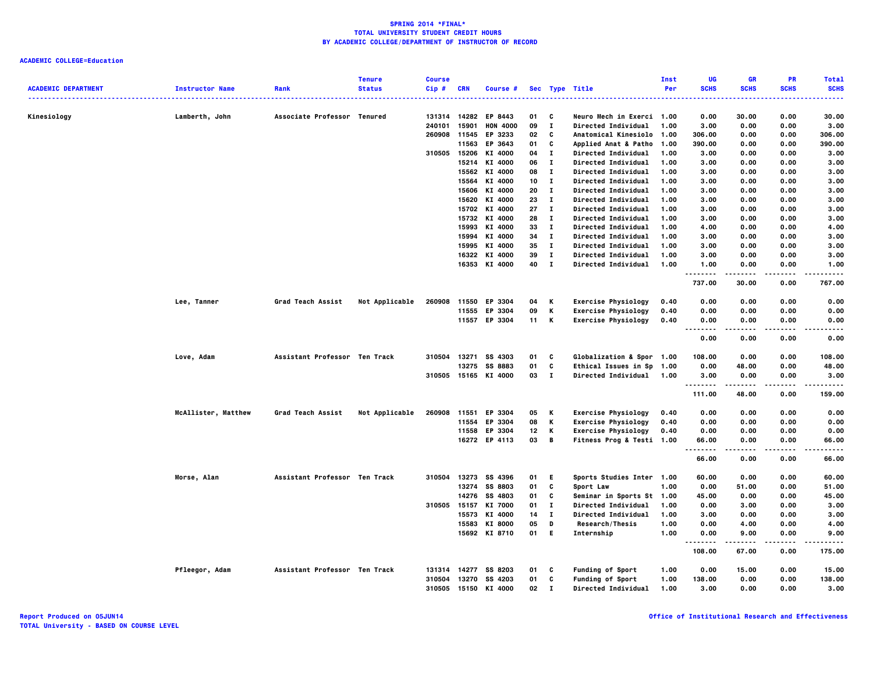|                            |                        |                               | <b>Tenure</b>  | <b>Course</b>          |            |                            |          |                   |                                                         | Inst | UG             | <b>GR</b>     | <b>PR</b>        | <b>Total</b>  |
|----------------------------|------------------------|-------------------------------|----------------|------------------------|------------|----------------------------|----------|-------------------|---------------------------------------------------------|------|----------------|---------------|------------------|---------------|
| <b>ACADEMIC DEPARTMENT</b> | <b>Instructor Name</b> | Rank                          | <b>Status</b>  | Cip#                   | <b>CRN</b> | Course #                   |          |                   | Sec Type Title<br><u></u>                               | Per  | <b>SCHS</b>    | <b>SCHS</b>   | <b>SCHS</b>      | <b>SCHS</b>   |
|                            |                        |                               |                |                        |            |                            |          |                   |                                                         |      |                |               |                  |               |
| Kinesiology                | Lamberth, John         | Associate Professor Tenured   |                | 131314 14282<br>240101 | 15901      | EP 8443<br><b>HON 4000</b> | 01<br>09 | C<br>$\mathbf{I}$ | Neuro Mech in Exerci 1.00<br><b>Directed Individual</b> | 1.00 | 0.00<br>3.00   | 30.00<br>0.00 | 0.00<br>0.00     | 30.00<br>3.00 |
|                            |                        |                               |                | 260908                 | 11545      | EP 3233                    | 02       | c                 | Anatomical Kinesiolo                                    | 1.00 | 306.00         | 0.00          | 0.00             | 306.00        |
|                            |                        |                               |                |                        | 11563      | EP 3643                    | 01       | C                 | <b>Applied Anat &amp; Patho</b>                         | 1.00 | 390.00         | 0.00          | 0.00             | 390.00        |
|                            |                        |                               |                | 310505 15206           |            | KI 4000                    | 04       | $\mathbf{I}$      | Directed Individual                                     | 1.00 | 3.00           | 0.00          | 0.00             | 3.00          |
|                            |                        |                               |                |                        | 15214      | KI 4000                    | 06       | л.                | <b>Directed Individual</b>                              | 1.00 | 3.00           | 0.00          | 0.00             | 3.00          |
|                            |                        |                               |                |                        | 15562      | KI 4000                    | 08       | л.                | <b>Directed Individual</b>                              | 1.00 | 3.00           | 0.00          | 0.00             | 3.00          |
|                            |                        |                               |                |                        | 15564      | KI 4000                    | 10       | $\mathbf{I}$      | <b>Directed Individual</b>                              | 1.00 | 3.00           | 0.00          | 0.00             | 3.00          |
|                            |                        |                               |                |                        |            | 15606 KI 4000              | 20       | $\mathbf{I}$      | <b>Directed Individual</b>                              | 1.00 | 3.00           | 0.00          | 0.00             | 3.00          |
|                            |                        |                               |                |                        | 15620      | KI 4000                    | 23       | $\mathbf{I}$      | <b>Directed Individual</b>                              | 1.00 | 3.00           | 0.00          | 0.00             | 3.00          |
|                            |                        |                               |                |                        |            | 15702 KI 4000              | 27       | $\mathbf{I}$      | Directed Individual                                     | 1.00 | 3.00           | 0.00          | 0.00             | 3.00          |
|                            |                        |                               |                |                        | 15732      | KI 4000                    | 28       | л.                | <b>Directed Individual</b>                              | 1.00 | 3.00           | 0.00          | 0.00             | 3.00          |
|                            |                        |                               |                |                        | 15993      | KI 4000                    | 33       | $\mathbf{I}$      | <b>Directed Individual</b>                              | 1.00 | 4.00           | 0.00          | 0.00             | 4.00          |
|                            |                        |                               |                |                        | 15994      | KI 4000                    | 34       | $\mathbf{I}$      | <b>Directed Individual</b>                              | 1.00 | 3.00           | 0.00          | 0.00             | 3.00          |
|                            |                        |                               |                |                        | 15995      | KI 4000                    | 35       | $\mathbf{I}$      | <b>Directed Individual</b>                              | 1.00 | 3.00           | 0.00          | 0.00             | 3.00          |
|                            |                        |                               |                |                        | 16322      | KI 4000                    | 39       | п                 | <b>Directed Individual</b>                              | 1.00 | 3.00           | 0.00          | 0.00             | 3.00          |
|                            |                        |                               |                |                        |            | 16353 KI 4000              | 40       | $\mathbf{I}$      | <b>Directed Individual</b>                              | 1.00 | 1.00           | 0.00          | 0.00             | 1.00          |
|                            |                        |                               |                |                        |            |                            |          |                   |                                                         |      | .<br>737.00    | <br>30.00     | $\cdots$<br>0.00 | .<br>767.00   |
|                            | Lee, Tanner            | Grad Teach Assist             | Not Applicable | 260908                 | 11550      | EP 3304                    | 04       | Κ                 | <b>Exercise Physiology</b>                              | 0.40 | 0.00           | 0.00          | 0.00             | 0.00          |
|                            |                        |                               |                |                        | 11555      | EP 3304                    | 09       | Κ                 | <b>Exercise Physiology</b>                              | 0.40 | 0.00           | 0.00          | 0.00             | 0.00          |
|                            |                        |                               |                |                        | 11557      | EP 3304                    | 11       | К                 | <b>Exercise Physiology</b>                              | 0.40 | 0.00           | 0.00          | 0.00             | 0.00          |
|                            |                        |                               |                |                        |            |                            |          |                   |                                                         |      | .<br>$\ddotsc$ | .             | .                | $\cdots$      |
|                            |                        |                               |                |                        |            |                            |          |                   |                                                         |      | 0.00           | 0.00          | 0.00             | 0.00          |
|                            | Love, Adam             | Assistant Professor Ten Track |                | 310504                 | 13271      | SS 4303                    | 01       | C                 | <b>Globalization &amp; Spor 1.00</b>                    |      | 108.00         | 0.00          | 0.00             | 108.00        |
|                            |                        |                               |                |                        | 13275      | SS 8883                    | 01       | C                 | Ethical Issues in Sp                                    | 1.00 | 0.00           | 48.00         | 0.00             | 48.00         |
|                            |                        |                               |                |                        |            | 310505 15165 KI 4000       | 03       | $\mathbf{I}$      | Directed Individual                                     | 1.00 | 3.00<br>       | 0.00<br>----- | 0.00<br>$\cdots$ | 3.00<br>.     |
|                            |                        |                               |                |                        |            |                            |          |                   |                                                         |      | 111.00         | 48.00         | 0.00             | 159,00        |
|                            | McAllister, Matthew    | Grad Teach Assist             | Not Applicable | 260908                 | 11551      | EP 3304                    | 05       | к                 | <b>Exercise Physiology</b>                              | 0.40 | 0.00           | 0.00          | 0.00             | 0.00          |
|                            |                        |                               |                |                        | 11554      | EP 3304                    | 08       | Κ                 | <b>Exercise Physiology</b>                              | 0.40 | 0.00           | 0.00          | 0.00             | 0.00          |
|                            |                        |                               |                |                        |            | 11558 EP 3304              | 12       | К                 | <b>Exercise Physiology</b>                              | 0.40 | 0.00           | 0.00          | 0.00             | 0.00          |
|                            |                        |                               |                |                        |            | 16272 EP 4113              | 03       | B                 | Fitness Prog & Testi 1.00                               |      | 66.00          | 0.00          | 0.00             | 66.00         |
|                            |                        |                               |                |                        |            |                            |          |                   |                                                         |      | -----<br>66.00 | 0.00          | .<br>0.00        | .<br>66.00    |
|                            | <b>Morse, Alan</b>     | Assistant Professor Ten Track |                | 310504                 |            | 13273 SS 4396              | 01       | E                 | Sports Studies Inter 1.00                               |      | 60.00          | 0.00          | 0.00             | 60.00         |
|                            |                        |                               |                |                        |            | 13274 SS 8803              | 01       | C                 | Sport Law                                               | 1.00 | 0.00           | 51.00         | 0.00             | 51.00         |
|                            |                        |                               |                |                        | 14276      | SS 4803                    | 01       | c                 | Seminar in Sports St                                    | 1.00 | 45.00          | 0.00          | 0.00             | 45.00         |
|                            |                        |                               |                | 310505                 | 15157      | KI 7000                    | 01       | $\mathbf{I}$      | <b>Directed Individual</b>                              | 1.00 | 0.00           | 3.00          | 0.00             | 3.00          |
|                            |                        |                               |                |                        | 15573      | KI 4000                    | 14       | $\mathbf{I}$      | <b>Directed Individual</b>                              | 1.00 | 3.00           | 0.00          | 0.00             | 3.00          |
|                            |                        |                               |                |                        | 15583      | KI 8000                    | 05       | D                 | Research/Thesis                                         | 1.00 | 0.00           | 4.00          | 0.00             | 4.00          |
|                            |                        |                               |                |                        |            | 15692 KI 8710              | 01       | E.                | Internship                                              | 1.00 | 0.00           | 9.00          | 0.00             | 9.00          |
|                            |                        |                               |                |                        |            |                            |          |                   |                                                         |      | 108.00         | 67.00         | 0.00             | 175.00        |
|                            | Pfleegor, Adam         | Assistant Professor Ten Track |                | 131314 14277           |            | SS 8203                    | 01       | c                 | <b>Funding of Sport</b>                                 | 1.00 | 0.00           | 15.00         | 0.00             | 15.00         |
|                            |                        |                               |                | 310504                 | 13270      | SS 4203                    | 01       | C                 | <b>Funding of Sport</b>                                 | 1.00 | 138.00         | 0.00          | 0.00             | 138.00        |
|                            |                        |                               |                | 310505 15150           |            | KI 4000                    | 02       | I                 | <b>Directed Individual</b>                              | 1.00 | 3.00           | 0.00          | 0.00             | 3.00          |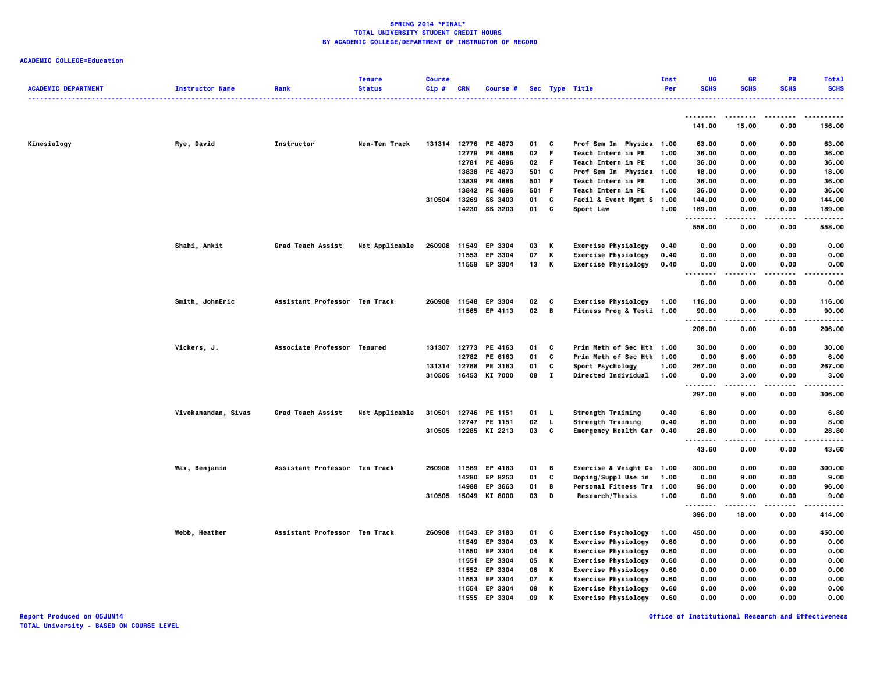| <b>ACADEMIC DEPARTMENT</b> | <b>Instructor Name</b> | Rank                          | <b>Tenure</b><br><b>Status</b> | <b>Course</b><br>Cip# | <b>CRN</b>     | <b>Course #</b>      |          |              | Sec Type Title                                           | Inst<br>Per  | <b>UG</b><br><b>SCHS</b> | <b>GR</b><br><b>SCHS</b> | PR<br><b>SCHS</b> | <b>Total</b><br><b>SCHS</b> |
|----------------------------|------------------------|-------------------------------|--------------------------------|-----------------------|----------------|----------------------|----------|--------------|----------------------------------------------------------|--------------|--------------------------|--------------------------|-------------------|-----------------------------|
|                            |                        |                               |                                |                       |                |                      |          |              |                                                          |              |                          |                          |                   |                             |
|                            |                        |                               |                                |                       |                |                      |          |              |                                                          |              | --------<br>141.00       | 15.00                    | 0.00              | 156.00                      |
| Kinesiology                | Rye, David             | Instructor                    | Non-Ten Track                  |                       |                | 131314 12776 PE 4873 | 01       | C            | Prof Sem In Physica 1.00                                 |              | 63.00                    | 0.00                     | 0.00              | 63.00                       |
|                            |                        |                               |                                |                       | 12779          | PE 4886              | 02       | F            | Teach Intern in PE                                       | 1.00         | 36.00                    | 0.00                     | 0.00              | 36.00                       |
|                            |                        |                               |                                |                       | 12781          | PE 4896              | 02       | F            | Teach Intern in PE                                       | 1.00         | 36.00                    | 0.00                     | 0.00              | 36.00                       |
|                            |                        |                               |                                |                       | 13838          | PE 4873              | 501 C    |              | Prof Sem In Physica                                      | 1.00         | 18.00                    | 0.00                     | 0.00              | 18.00                       |
|                            |                        |                               |                                |                       | 13839          | PE 4886              | 501 F    |              | Teach Intern in PE                                       | 1.00         | 36.00                    | 0.00                     | 0.00              | 36.00                       |
|                            |                        |                               |                                |                       | 13842          | PE 4896              | 501      | -F           | Teach Intern in PE                                       | 1.00         | 36.00                    | 0.00                     | 0.00              | 36.00                       |
|                            |                        |                               |                                | 310504                | 13269          | SS 3403              | 01       | C            | Facil & Event Mgmt S 1.00                                |              | 144.00                   | 0.00                     | 0.00              | 144.00                      |
|                            |                        |                               |                                |                       |                | 14230 SS 3203        | 01       | C            | Sport Law                                                | 1.00         | 189.00<br>               | 0.00<br>.                | 0.00<br>.         | 189.00                      |
|                            |                        |                               |                                |                       |                |                      |          |              |                                                          |              | 558.00                   | 0.00                     | 0.00              | 558.00                      |
|                            | Shahi, Ankit           | Grad Teach Assist             | Not Applicable                 | 260908                | 11549          | EP 3304              | 03       | К            | <b>Exercise Physiology</b>                               | 0.40         | 0.00                     | 0.00                     | 0.00              | 0.00                        |
|                            |                        |                               |                                |                       | 11553          | EP 3304              | 07       | К            | <b>Exercise Physiology</b>                               | 0.40         | 0.00                     | 0.00                     | 0.00              | 0.00                        |
|                            |                        |                               |                                |                       |                | 11559 EP 3304        | 13       | K            | <b>Exercise Physiology</b>                               | 0.40         | 0.00<br>----             | 0.00<br>.                | 0.00<br>----      | 0.00                        |
|                            |                        |                               |                                |                       |                |                      |          |              |                                                          |              | 0.00                     | 0.00                     | 0.00              | 0.00                        |
|                            | Smith, JohnEric        | Assistant Professor Ten Track |                                | 260908                |                | 11548 EP 3304        | 02       | C            | <b>Exercise Physiology</b>                               | 1.00         | 116.00                   | 0.00                     | 0.00              | 116.00                      |
|                            |                        |                               |                                |                       |                | 11565 EP 4113        | 02       | B            | Fitness Prog & Testi 1.00                                |              | 90.00                    | 0.00                     | 0.00              | 90.00                       |
|                            |                        |                               |                                |                       |                |                      |          |              |                                                          |              | .<br>206.00              | .<br>0.00                | 0.00              | 206.00                      |
|                            | Vickers, J.            | Associate Professor Tenured   |                                | 131307                |                | 12773 PE 4163        | 01       | C            | Prin Meth of Sec Hth 1.00                                |              | 30.00                    | 0.00                     | 0.00              | 30.00                       |
|                            |                        |                               |                                |                       | 12782          | PE 6163              | 01       | C            | Prin Meth of Sec Hth 1.00                                |              | 0.00                     | 6.00                     | 0.00              | 6.00                        |
|                            |                        |                               |                                |                       | 131314 12768   | PE 3163              | 01       | c            | Sport Psychology                                         | 1.00         | 267.00                   | 0.00                     | 0.00              | 267.00                      |
|                            |                        |                               |                                |                       |                | 310505 16453 KI 7000 | 08       | $\mathbf{I}$ | Directed Individual 1.00                                 |              | 0.00                     | 3.00                     | 0.00              | 3.00                        |
|                            |                        |                               |                                |                       |                |                      |          |              |                                                          |              | 297.00                   | 9.00                     | 0.00              | 306.00                      |
|                            | Vivekanandan, Sivas    | Grad Teach Assist             | Not Applicable                 | 310501                | 12746          | PE 1151              | 01       | L,           | <b>Strength Training</b>                                 | 0.40         | 6.80                     | 0.00                     | 0.00              | 6.80                        |
|                            |                        |                               |                                |                       | 12747          | PE 1151              | 02       | L.           | <b>Strength Training</b>                                 | 0.40         | 8.00                     | 0.00                     | 0.00              | 8.00                        |
|                            |                        |                               |                                |                       |                | 310505 12285 KI 2213 | 03       | C            | Emergency Health Car                                     | 0.40         | 28.80                    | 0.00                     | 0.00              | 28.80                       |
|                            |                        |                               |                                |                       |                |                      |          |              |                                                          |              | .<br>43.60               | .<br>0.00                | 0.00              | 43.60                       |
|                            | Wax, Benjamin          | Assistant Professor Ten Track |                                | 260908                | 11569          | EP 4183              | 01       | В            | Exercise & Weight Co 1.00                                |              | 300.00                   | 0.00                     | 0.00              | 300.00                      |
|                            |                        |                               |                                |                       | 14280          | EP 8253              | 01       | C            | Doping/Suppl Use in                                      | 1.00         | 0.00                     | 9.00                     | 0.00              | 9.00                        |
|                            |                        |                               |                                |                       | 14988          | EP 3663              | 01       | B            | Personal Fitness Tra 1.00                                |              | 96.00                    | 0.00                     | 0.00              | 96.00                       |
|                            |                        |                               |                                | 310505                | 15049          | KI 8000              | 03       | D            | Research/Thesis                                          | 1.00         | 0.00                     | 9.00                     | 0.00              | 9.00                        |
|                            |                        |                               |                                |                       |                |                      |          |              |                                                          |              | 396.00                   | 18.00                    | 0.00              | 414.00                      |
|                            | Webb, Heather          | Assistant Professor Ten Track |                                |                       | 260908 11543   | EP 3183              | 01       | C            | <b>Exercise Psychology</b>                               | 1.00         | 450.00                   | 0.00                     | 0.00              | 450.00                      |
|                            |                        |                               |                                |                       | 11549          | EP 3304              | 03       | К            | <b>Exercise Physiology</b>                               | 0.60         | 0.00                     | 0.00                     | 0.00              | 0.00                        |
|                            |                        |                               |                                |                       | 11550          | EP 3304              | 04       | К            | <b>Exercise Physiology</b>                               | 0.60         | 0.00                     | 0.00                     | 0.00              | 0.00                        |
|                            |                        |                               |                                |                       | 11551          | EP 3304              | 05       | К            | <b>Exercise Physiology</b>                               | 0.60         | 0.00                     | 0.00                     | 0.00              | 0.00                        |
|                            |                        |                               |                                |                       |                | 11552 EP 3304        | 06       | К            | <b>Exercise Physiology</b>                               | 0.60         | 0.00                     | 0.00                     | 0.00              | 0.00                        |
|                            |                        |                               |                                |                       | 11553          | EP 3304              | 07       | К            | <b>Exercise Physiology</b>                               | 0.60         | 0.00                     | 0.00                     | 0.00              | 0.00                        |
|                            |                        |                               |                                |                       | 11554<br>11555 | EP 3304<br>EP 3304   | 08<br>09 | К<br>к       | <b>Exercise Physiology</b><br><b>Exercise Physiology</b> | 0.60<br>0.60 | 0.00<br>0.00             | 0.00<br>0.00             | 0.00<br>0.00      | 0.00<br>0.00                |
|                            |                        |                               |                                |                       |                |                      |          |              |                                                          |              |                          |                          |                   |                             |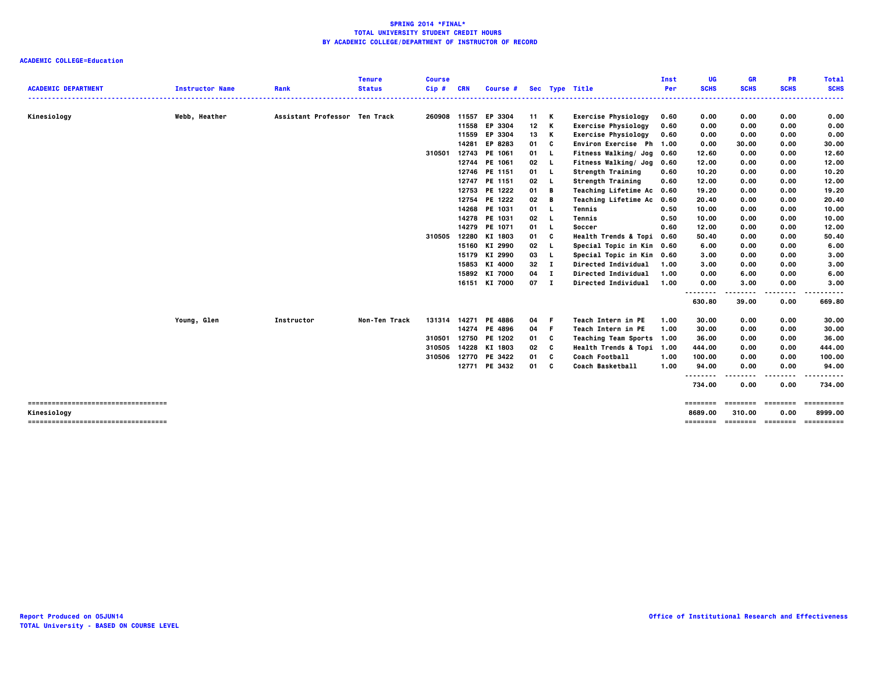| <b>ACADEMIC DEPARTMENT</b>                           | <b>Instructor Name</b> | Rank                          | <b>Tenure</b><br><b>Status</b> | <b>Course</b><br>Cip# | <b>CRN</b>   | Course # Sec Type Title |                 |      |                             | Inst<br>Per | UG<br><b>SCHS</b>   | <b>GR</b><br><b>SCHS</b> | <b>PR</b><br><b>SCHS</b> | <b>Total</b><br><b>SCHS</b>            |
|------------------------------------------------------|------------------------|-------------------------------|--------------------------------|-----------------------|--------------|-------------------------|-----------------|------|-----------------------------|-------------|---------------------|--------------------------|--------------------------|----------------------------------------|
|                                                      |                        |                               |                                | .                     |              |                         |                 |      |                             |             | . <b>.</b> .        |                          |                          | .                                      |
| Kinesiology                                          | Webb, Heather          | Assistant Professor Ten Track |                                |                       | 260908 11557 | EP 3304                 | 11 K            |      | <b>Exercise Physiology</b>  | 0.60        | 0.00                | 0.00                     | 0.00                     | 0.00                                   |
|                                                      |                        |                               |                                |                       |              | 11558 EP 3304           | 12 <sub>2</sub> | K    | <b>Exercise Physiology</b>  | 0.60        | 0.00                | 0.00                     | 0.00                     | 0.00                                   |
|                                                      |                        |                               |                                |                       | 11559        | EP 3304                 | 13              | K    | <b>Exercise Physiology</b>  | 0.60        | 0.00                | 0.00                     | 0.00                     | 0.00                                   |
|                                                      |                        |                               |                                |                       |              | 14281 EP 8283           | 01              | C    | Environ Exercise Ph 1.00    |             | 0.00                | 30.00                    | 0.00                     | 30.00                                  |
|                                                      |                        |                               |                                | 310501                | 12743        | PE 1061                 | 01 L            |      | Fitness Walking/ Jog 0.60   |             | 12.60               | 0.00                     | 0.00                     | 12.60                                  |
|                                                      |                        |                               |                                |                       | 12744        | PE 1061                 | 02              | - 1  | Fitness Walking/ Jog        | 0.60        | 12.00               | 0.00                     | 0.00                     | 12.00                                  |
|                                                      |                        |                               |                                |                       | 12746        | PE 1151                 | 01 L            |      | Strength Training           | 0.60        | 10.20               | 0.00                     | 0.00                     | 10.20                                  |
|                                                      |                        |                               |                                |                       | 12747        | PE 1151                 | 02              | - L  | <b>Strength Training</b>    | 0.60        | 12.00               | 0.00                     | 0.00                     | 12.00                                  |
|                                                      |                        |                               |                                |                       | 12753        | PE 1222                 | 01              | в    | Teaching Lifetime Ac 0.60   |             | 19.20               | 0.00                     | 0.00                     | 19.20                                  |
|                                                      |                        |                               |                                |                       |              | 12754 PE 1222           | 02              | в    | <b>Teaching Lifetime Ac</b> | 0.60        | 20.40               | 0.00                     | 0.00                     | 20.40                                  |
|                                                      |                        |                               |                                |                       | 14268        | PE 1031                 | 01              | - 1. | Tennis                      | 0.50        | 10.00               | 0.00                     | 0.00                     | 10.00                                  |
|                                                      |                        |                               |                                |                       |              | 14278 PE 1031           | 02              |      | Tennis                      | 0.50        | 10.00               | 0.00                     | 0.00                     | 10.00                                  |
|                                                      |                        |                               |                                |                       |              | 14279 PE 1071           | 01              | - 1. | Soccer                      | 0.60        | 12.00               | 0.00                     | 0.00                     | 12.00                                  |
|                                                      |                        |                               |                                | 310505                | 12280        | KI 1803                 | 01              | C    | Health Trends & Topi 0.60   |             | 50.40               | 0.00                     | 0.00                     | 50.40                                  |
|                                                      |                        |                               |                                |                       |              | 15160 KI 2990           | 02              |      | Special Topic in Kin 0.60   |             | 6.00                | 0.00                     | 0.00                     | 6.00                                   |
|                                                      |                        |                               |                                |                       |              | 15179 KI 2990           | 03              |      | Special Topic in Kin 0.60   |             | 3.00                | 0.00                     | 0.00                     | 3.00                                   |
|                                                      |                        |                               |                                |                       |              | 15853 KI 4000           | 32              | п    | Directed Individual         | 1.00        | 3.00                | 0.00                     | 0.00                     | 3.00                                   |
|                                                      |                        |                               |                                |                       |              | 15892 KI 7000           | 04              | п    | Directed Individual         | 1.00        | 0.00                | 6.00                     | 0.00                     | 6.00                                   |
|                                                      |                        |                               |                                |                       |              | 16151 KI 7000           | $07$ I          |      | Directed Individual         | 1.00        | 0.00                | 3.00                     | 0.00                     | 3.00                                   |
|                                                      |                        |                               |                                |                       |              |                         |                 |      |                             |             | <br>630.80          | .<br>39.00               | .<br>0.00                | .<br>669.80                            |
|                                                      | Young, Glen            | Instructor                    | Non-Ten Track                  |                       |              | 131314 14271 PE 4886    | 04 F            |      | Teach Intern in PE          | 1.00        | 30.00               | 0.00                     | 0.00                     | 30.00                                  |
|                                                      |                        |                               |                                |                       | 14274        | PE 4896                 | 04              | - F  | Teach Intern in PE          | 1.00        | 30.00               | 0.00                     | 0.00                     | 30.00                                  |
|                                                      |                        |                               |                                | 310501                |              | 12750 PE 1202           | 01              | C    | Teaching Team Sports 1.00   |             | 36.00               | 0.00                     | 0.00                     | 36.00                                  |
|                                                      |                        |                               |                                | 310505                |              | 14228 KI 1803           | 02              | C    | Health Trends & Topi 1.00   |             | 444.00              | 0.00                     | 0.00                     | 444.00                                 |
|                                                      |                        |                               |                                | 310506                |              | 12770 PE 3422           | 01              | c    | Coach Football              | 1.00        | 100.00              | 0.00                     | 0.00                     | 100.00                                 |
|                                                      |                        |                               |                                |                       |              | 12771 PE 3432           | 01 C            |      | <b>Coach Basketball</b>     | 1.00        | 94.00               | 0.00                     | 0.00                     | 94.00                                  |
|                                                      |                        |                               |                                |                       |              |                         |                 |      |                             |             | .<br>734.00         | 0.00                     | 0.00                     | 734.00                                 |
|                                                      |                        |                               |                                |                       |              |                         |                 |      |                             |             | ========            |                          | essesses consesse        | -----------                            |
| Kinesiology<br>===================================== |                        |                               |                                |                       |              |                         |                 |      |                             |             | 8689.00<br>======== | 310.00                   | 0.00                     | 8999.00<br>-------- -------- --------- |
|                                                      |                        |                               |                                |                       |              |                         |                 |      |                             |             |                     |                          |                          |                                        |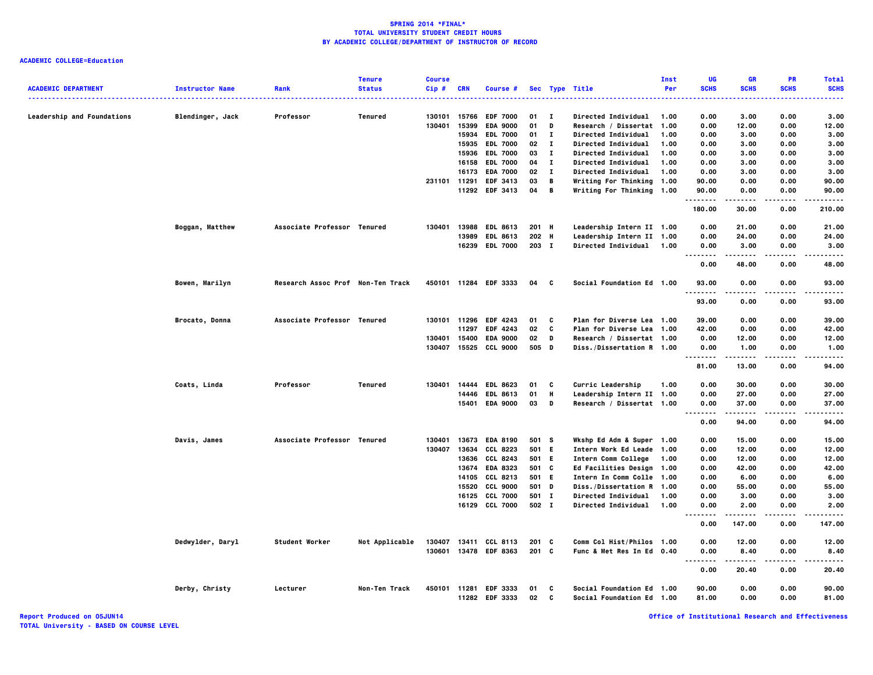# **ACADEMIC COLLEGE=Education**

| <b>ACADEMIC DEPARTMENT</b>        | <b>Instructor Name</b> | Rank                              | <b>Tenure</b><br><b>Status</b> | <b>Course</b><br>Cip# | <b>CRN</b> |                                         |          |              | Sec Type Title                                         | Inst<br>Per | UG<br><b>SCHS</b>                 | <b>GR</b><br><b>SCHS</b> | <b>PR</b><br><b>SCHS</b> | <b>Total</b><br><b>SCHS</b> |
|-----------------------------------|------------------------|-----------------------------------|--------------------------------|-----------------------|------------|-----------------------------------------|----------|--------------|--------------------------------------------------------|-------------|-----------------------------------|--------------------------|--------------------------|-----------------------------|
|                                   |                        |                                   |                                |                       |            | Course #                                |          |              |                                                        |             | .                                 |                          |                          | -----                       |
| <b>Leadership and Foundations</b> | Blendinger, Jack       | Professor                         | Tenured                        | 130101                | 15766      | <b>EDF 7000</b>                         | 01       | - 1          | <b>Directed Individual</b>                             | 1.00        | 0.00                              | 3.00                     | 0.00                     | 3.00                        |
|                                   |                        |                                   |                                | 130401                | 15399      | <b>EDA 9000</b>                         | 01       | D            | Research / Dissertat 1.00                              |             | 0.00                              | 12.00                    | 0.00                     | 12.00                       |
|                                   |                        |                                   |                                |                       | 15934      | <b>EDL 7000</b>                         | 01       | $\mathbf{I}$ | <b>Directed Individual</b>                             | 1.00        | 0.00                              | 3.00                     | 0.00                     | 3.00                        |
|                                   |                        |                                   |                                |                       | 15935      | <b>EDL 7000</b>                         | 02       | $\mathbf{I}$ | <b>Directed Individual</b>                             | 1.00        | 0.00                              | 3.00                     | 0.00                     | 3.00                        |
|                                   |                        |                                   |                                |                       | 15936      | <b>EDL 7000</b>                         | 03       | $\mathbf{I}$ | Directed Individual                                    | 1.00        | 0.00                              | 3.00                     | 0.00                     | 3.00                        |
|                                   |                        |                                   |                                |                       |            | 16158 EDL 7000                          | 04       | $\mathbf{I}$ | <b>Directed Individual</b>                             | 1.00        | 0.00                              | 3.00                     | 0.00                     | 3.00                        |
|                                   |                        |                                   |                                |                       | 16173      | <b>EDA 7000</b>                         | 02       | $\mathbf{I}$ | Directed Individual                                    | 1.00        | 0.00                              | 3.00                     | 0.00                     | 3.00                        |
|                                   |                        |                                   |                                |                       |            | 231101 11291 EDF 3413                   | 03       | B            | Writing For Thinking 1.00                              |             | 90.00                             | 0.00                     | 0.00                     | 90.00                       |
|                                   |                        |                                   |                                |                       |            | 11292 EDF 3413                          | 04       | B            | Writing For Thinking 1.00                              |             | 90.00<br>.                        | 0.00<br>.                | 0.00<br>.                | 90.00<br>.                  |
|                                   |                        |                                   |                                |                       |            |                                         |          |              |                                                        |             | 180.00                            | 30.00                    | 0.00                     | 210.00                      |
|                                   | Boggan, Matthew        | Associate Professor Tenured       |                                | 130401                |            | 13988 EDL 8613                          | 201 H    |              | Leadership Intern II 1.00                              |             | 0.00                              | 21.00                    | 0.00                     | 21.00                       |
|                                   |                        |                                   |                                |                       |            | 13989 EDL 8613                          | 202 H    |              | Leadership Intern II 1.00                              |             | 0.00                              | 24.00                    | 0.00                     | 24.00                       |
|                                   |                        |                                   |                                |                       |            | 16239 EDL 7000                          | 203 I    |              | Directed Individual 1.00                               |             | 0.00<br>.<br>.                    | 3.00                     | 0.00                     | 3.00<br>$- - - -$           |
|                                   |                        |                                   |                                |                       |            |                                         |          |              |                                                        |             | 0.00                              | 48.00                    | 0.00                     | 48.00                       |
|                                   | Bowen, Marilyn         | Research Assoc Prof Non-Ten Track |                                |                       |            | 450101 11284 EDF 3333                   | 04       | C.           | Social Foundation Ed 1.00                              |             | 93.00                             | 0.00                     | 0.00                     | 93.00<br>.                  |
|                                   |                        |                                   |                                |                       |            |                                         |          |              |                                                        |             | .<br>93.00                        | 0.00                     | .<br>0.00                | 93.00                       |
|                                   | Brocato, Donna         | Associate Professor Tenured       |                                | 130101                | 11296      | <b>EDF 4243</b>                         | 01       | C            | Plan for Diverse Lea 1.00                              |             | 39.00                             | 0.00                     | 0.00                     | 39.00                       |
|                                   |                        |                                   |                                |                       | 11297      | <b>EDF 4243</b>                         | 02       | C            | Plan for Diverse Lea 1.00                              |             | 42.00                             | 0.00                     | 0.00                     | 42.00                       |
|                                   |                        |                                   |                                | 130401                | 15400      | <b>EDA 9000</b>                         | 02       | D            | Research / Dissertat 1.00                              |             | 0.00                              | 12.00                    | 0.00                     | 12.00                       |
|                                   |                        |                                   |                                | 130407                | 15525      | <b>CCL 9000</b>                         | 505 D    |              | Diss./Dissertation R 1.00                              |             | 0.00<br>.                         | 1.00<br>.                | 0.00<br>.                | 1.00<br>.                   |
|                                   |                        |                                   |                                |                       |            |                                         |          |              |                                                        |             | 81.00                             | 13.00                    | 0.00                     | 94.00                       |
|                                   | Coats, Linda           | Professor                         | Tenured                        | 130401                | 14444      | <b>EDL 8623</b>                         | 01       | C            | Curric Leadership                                      | 1.00        | 0.00                              | 30.00                    | 0.00                     | 30.00                       |
|                                   |                        |                                   |                                |                       | 14446      | <b>EDL 8613</b>                         | 01       | Н            | Leadership Intern II 1.00                              |             | 0.00                              | 27.00                    | 0.00                     | 27.00                       |
|                                   |                        |                                   |                                |                       |            | 15401 EDA 9000                          | 03       | D            | Research / Dissertat 1.00                              |             | 0.00<br>$\sim$ $\sim$ $\sim$<br>. | 37.00<br>.               | 0.00<br>.                | 37.00<br>.                  |
|                                   |                        |                                   |                                |                       |            |                                         |          |              |                                                        |             | 0.00                              | 94.00                    | 0.00                     | 94.00                       |
|                                   | Davis, James           | Associate Professor Tenured       |                                | 130401                |            | 13673 EDA 8190                          | 501 S    |              | Wkshp Ed Adm & Super 1.00                              |             | 0.00                              | 15.00                    | 0.00                     | 15.00                       |
|                                   |                        |                                   |                                | 130407                | 13634      | CCL 8223                                | 501 E    |              | Intern Work Ed Leade 1.00                              |             | 0.00                              | 12.00                    | 0.00                     | 12.00                       |
|                                   |                        |                                   |                                |                       | 13636      | CCL 8243                                | 501 E    |              | Intern Comm College                                    | 1.00        | 0.00                              | 12.00                    | 0.00                     | 12.00                       |
|                                   |                        |                                   |                                |                       | 13674      | <b>EDA 8323</b>                         | 501      | <b>c</b>     | Ed Facilities Design 1.00                              |             | 0.00                              | 42.00                    | 0.00                     | 42.00                       |
|                                   |                        |                                   |                                |                       | 14105      | CCL 8213                                | 501      | E.           | Intern In Comm Colle 1.00                              |             | 0.00                              | 6.00                     | 0.00                     | 6.00                        |
|                                   |                        |                                   |                                |                       | 15520      | <b>CCL 9000</b>                         | 501 D    |              | Diss./Dissertation R 1.00                              |             | 0.00                              | 55.00                    | 0.00                     | 55.00                       |
|                                   |                        |                                   |                                |                       |            | 16125 CCL 7000                          | 501 I    |              | Directed Individual                                    | 1.00        | 0.00                              | 3.00                     | 0.00                     | 3.00                        |
|                                   |                        |                                   |                                |                       |            | 16129 CCL 7000                          | 502 I    |              | <b>Directed Individual</b>                             | 1.00        | 0.00<br>$\sim$ $\sim$ $\sim$      | 2.00                     | 0.00<br>$\cdots$         | 2.00                        |
|                                   |                        |                                   |                                |                       |            |                                         |          |              |                                                        |             | 0.00                              | 147.00                   | 0.00                     | 147.00                      |
|                                   | Dedwylder, Daryl       | Student Worker                    | Not Applicable                 | 130407                |            | 13411 CCL 8113                          | $201$ C  |              | Comm Col Hist/Philos 1.00                              |             | 0.00                              | 12.00                    | 0.00                     | 12.00                       |
|                                   |                        |                                   |                                | 130601                |            | 13478 EDF 8363                          | 201 C    |              | Func & Met Res In Ed 0.40                              |             | 0.00<br>$\sim$ $\sim$ $\sim$      | 8.40                     | 0.00                     | 8.40                        |
|                                   |                        |                                   |                                |                       |            |                                         |          |              |                                                        |             | 0.00                              | 20.40                    | 0.00                     | 20.40                       |
|                                   | Derby, Christy         | Lecturer                          | Non-Ten Track                  |                       |            | 450101 11281 EDF 3333<br>11282 EDF 3333 | 01<br>02 | C<br>C       | Social Foundation Ed 1.00<br>Social Foundation Ed 1.00 |             | 90.00<br>81.00                    | 0.00<br>0.00             | 0.00<br>0.00             | 90.00<br>81.00              |
|                                   |                        |                                   |                                |                       |            |                                         |          |              |                                                        |             |                                   |                          |                          |                             |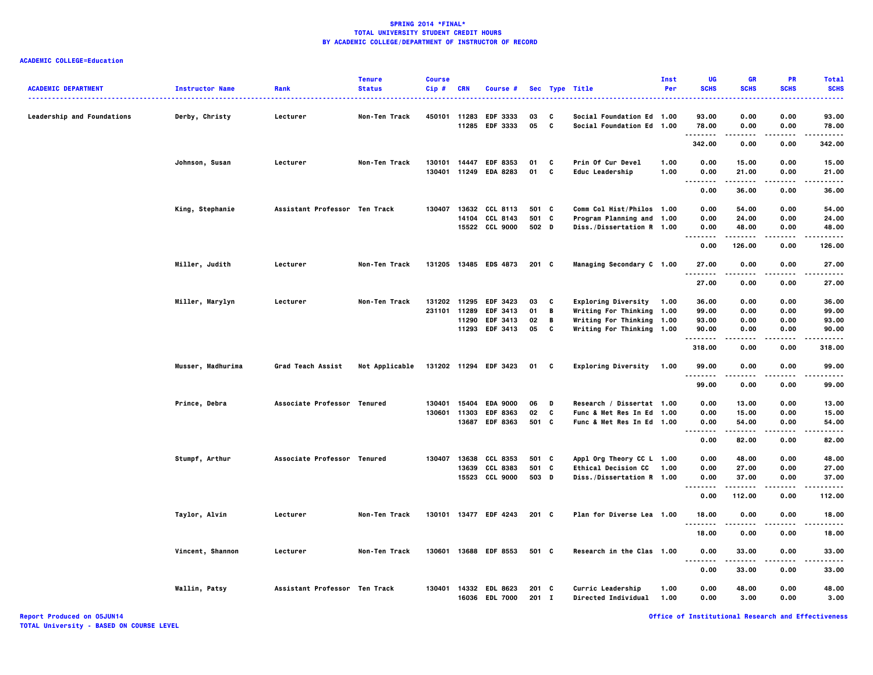# **ACADEMIC COLLEGE=Education**

| <b>ACADEMIC DEPARTMENT</b> |                        |                               | <b>Tenure</b><br><b>Status</b> | <b>Course</b> | <b>CRN</b>   |                       |               |   |                            | Inst<br>Per | UG<br><b>SCHS</b>    | GR<br><b>SCHS</b> | PR<br><b>SCHS</b> | <b>Total</b><br><b>SCHS</b> |
|----------------------------|------------------------|-------------------------------|--------------------------------|---------------|--------------|-----------------------|---------------|---|----------------------------|-------------|----------------------|-------------------|-------------------|-----------------------------|
|                            | <b>Instructor Name</b> | Rank                          |                                | Cip#          |              | Course #              |               |   | Sec Type Title             |             |                      |                   |                   |                             |
| Leadership and Foundations | Derby, Christy         | Lecturer                      | Non-Ten Track                  |               |              | 450101 11283 EDF 3333 | 03            | C | Social Foundation Ed 1.00  |             | 93.00                | 0.00              | 0.00              | 93.00                       |
|                            |                        |                               |                                |               | 11285        | EDF 3333              | 05            | C | Social Foundation Ed 1.00  |             | 78.00                | 0.00              | 0.00              | 78.00                       |
|                            |                        |                               |                                |               |              |                       |               |   |                            |             | 342.00               | 0.00              | 0.00              | 342.00                      |
|                            | Johnson, Susan         | Lecturer                      | Non-Ten Track                  | 130101        |              | 14447 EDF 8353        | 01            | C | Prin Of Cur Devel          | 1.00        | 0.00                 | 15.00             | 0.00              | 15.00                       |
|                            |                        |                               |                                | 130401        |              | 11249 EDA 8283        | 01            | C | <b>Educ Leadership</b>     | 1.00        | 0.00                 | 21.00             | 0.00              | 21.00                       |
|                            |                        |                               |                                |               |              |                       |               |   |                            |             | . .<br>0.00          | 36.00             | 0.00              | 36.00                       |
|                            | King, Stephanie        | Assistant Professor Ten Track |                                | 130407        |              | 13632 CCL 8113        | 501 C         |   | Comm Col Hist/Philos 1.00  |             | 0.00                 | 54.00             | 0.00              | 54.00                       |
|                            |                        |                               |                                |               |              | 14104 CCL 8143        | 501 C         |   | Program Planning and 1.00  |             | 0.00                 | 24.00             | 0.00              | 24.00                       |
|                            |                        |                               |                                |               |              | 15522 CCL 9000        | 502 D         |   | Diss./Dissertation R 1.00  |             | 0.00                 | 48.00<br>.        | 0.00<br>.         | 48.00<br>.                  |
|                            |                        |                               |                                |               |              |                       |               |   |                            |             | .<br>0.00            | 126.00            | 0.00              | 126.00                      |
|                            | Miller, Judith         | Lecturer                      | Non-Ten Track                  |               |              | 131205 13485 EDS 4873 | $201 \quad C$ |   | Managing Secondary C 1.00  |             | 27.00                | 0.00              | 0.00              | 27.00                       |
|                            |                        |                               |                                |               |              |                       |               |   |                            |             | 27.00                | 0.00              | 0.00              | 27.00                       |
|                            | Miller, Marylyn        | Lecturer                      | Non-Ten Track                  | 131202        |              | 11295 EDF 3423        | 03            | c | Exploring Diversity 1.00   |             | 36.00                | 0.00              | 0.00              | 36.00                       |
|                            |                        |                               |                                |               | 231101 11289 | EDF 3413              | 01            | B | Writing For Thinking 1.00  |             | 99.00                | 0.00              | 0.00              | 99.00                       |
|                            |                        |                               |                                |               | 11290        | <b>EDF 3413</b>       | 02            | В | Writing For Thinking 1.00  |             | 93.00                | 0.00              | 0.00              | 93.00                       |
|                            |                        |                               |                                |               |              | 11293 EDF 3413        | 05            | C | Writing For Thinking 1.00  |             | 90.00                | 0.00              | 0.00              | 90.00                       |
|                            |                        |                               |                                |               |              |                       |               |   |                            |             | 318.00               | 0.00              | 0.00              | 318.00                      |
|                            | Musser, Madhurima      | Grad Teach Assist             | Not Applicable                 |               |              | 131202 11294 EDF 3423 | 01            | C | Exploring Diversity 1.00   |             | 99.00                | 0.00              | 0.00              | 99.00                       |
|                            |                        |                               |                                |               |              |                       |               |   |                            |             | 99.00                | 0.00              | 0.00              | 99.00                       |
|                            | Prince, Debra          | Associate Professor Tenured   |                                | 130401        |              | 15404 EDA 9000        | 06            | D | Research / Dissertat 1.00  |             | 0.00                 | 13.00             | 0.00              | 13.00                       |
|                            |                        |                               |                                | 130601        | 11303        | <b>EDF 8363</b>       | 02            | C | Func & Met Res In Ed 1.00  |             | 0.00                 | 15.00             | 0.00              | 15.00                       |
|                            |                        |                               |                                |               |              | 13687 EDF 8363        | 501 C         |   | Func & Met Res In Ed 1.00  |             | 0.00                 | 54.00             | 0.00              | 54.00                       |
|                            |                        |                               |                                |               |              |                       |               |   |                            |             | $\cdots$<br><br>0.00 | .<br>82.00        | $- - - -$<br>0.00 | .<br>82.00                  |
|                            | Stumpf, Arthur         | Associate Professor Tenured   |                                | 130407        |              | 13638 CCL 8353        | 501 C         |   | Appl Org Theory CC L 1.00  |             | 0.00                 | 48.00             | 0.00              | 48.00                       |
|                            |                        |                               |                                |               |              | 13639 CCL 8383        | 501 C         |   | <b>Ethical Decision CC</b> | 1.00        | 0.00                 | 27.00             | 0.00              | 27.00                       |
|                            |                        |                               |                                |               |              | 15523 CCL 9000        | 503 D         |   | Diss./Dissertation R 1.00  |             | 0.00<br>.            | 37.00             | 0.00              | 37.00                       |
|                            |                        |                               |                                |               |              |                       |               |   |                            |             | 0.00                 | 112.00            | 0.00              | 112.00                      |
|                            | Taylor, Alvin          | Lecturer                      | Non-Ten Track                  |               |              | 130101 13477 EDF 4243 | 201 C         |   | Plan for Diverse Lea 1.00  |             | 18.00                | 0.00              | 0.00              | 18.00                       |
|                            |                        |                               |                                |               |              |                       |               |   |                            |             | .<br>18.00           | 0.00              | 0.00              | 18.00                       |
|                            | Vincent, Shannon       | Lecturer                      | Non-Ten Track                  |               |              | 130601 13688 EDF 8553 | 501 C         |   | Research in the Clas 1.00  |             | 0.00                 | 33.00             | 0.00              | 33.00                       |
|                            |                        |                               |                                |               |              |                       |               |   |                            |             | .<br>0.00            | .<br>33.00        | .<br>0.00         | .<br>33.00                  |
|                            | Wallin, Patsy          | Assistant Professor Ten Track |                                | 130401        |              | 14332 EDL 8623        | 201 C         |   | Curric Leadership          | 1.00        | 0.00                 | 48.00             | 0.00              | 48.00                       |
|                            |                        |                               |                                |               |              | 16036 EDL 7000        | $201$ I       |   | Directed Individual 1.00   |             | 0.00                 | 3.00              | 0.00              | 3.00                        |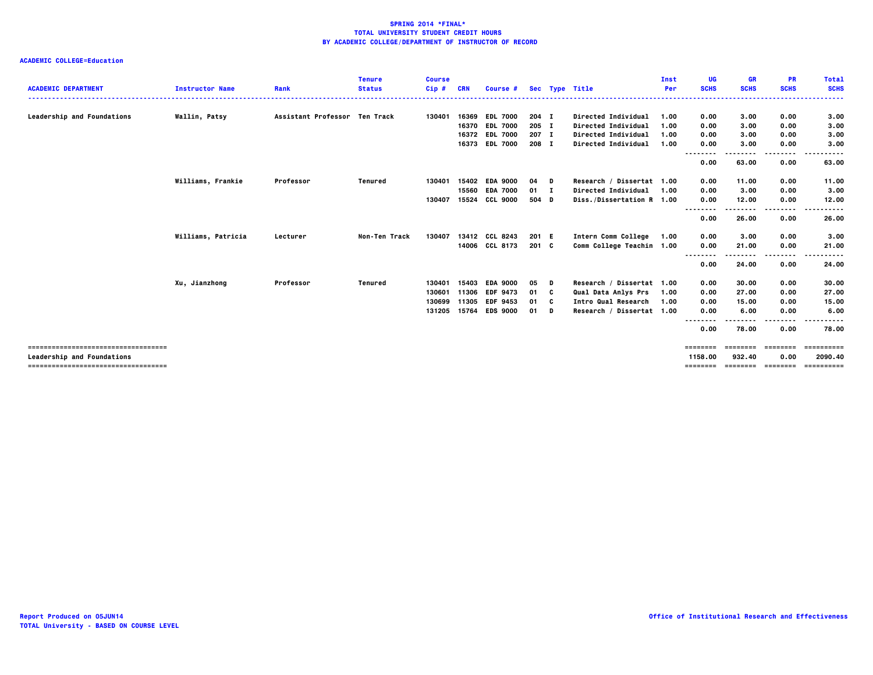| <b>ACADEMIC DEPARTMENT</b>                                                | <b>Instructor Name</b> | Rank                          | <b>Tenure</b><br><b>Status</b> | <b>Course</b><br>$Cip$ # | <b>CRN</b> | Course #        |                |    | Sec Type Title            | Inst<br>Per  | UG<br><b>SCHS</b>    | GR<br><b>SCHS</b>             | <b>PR</b><br><b>SCHS</b> | <b>Total</b><br><b>SCHS</b> |
|---------------------------------------------------------------------------|------------------------|-------------------------------|--------------------------------|--------------------------|------------|-----------------|----------------|----|---------------------------|--------------|----------------------|-------------------------------|--------------------------|-----------------------------|
|                                                                           |                        | Assistant Professor Ten Track |                                | 130401                   |            | 16369 EDL 7000  |                |    | Directed Individual       |              |                      |                               |                          | .                           |
| Leadership and Foundations                                                | Wallin, Patsy          |                               |                                |                          | 16370      | <b>EDL 7000</b> | 204 I          |    | Directed Individual       | 1.00         | 0.00                 | 3.00                          | 0.00                     | 3.00                        |
|                                                                           |                        |                               |                                |                          | 16372      | <b>EDL 7000</b> | 205 I<br>207 I |    | Directed Individual       | 1.00<br>1.00 | 0.00<br>0.00         | 3.00<br>3.00                  | 0.00<br>0.00             | 3.00<br>3.00                |
|                                                                           |                        |                               |                                |                          |            | 16373 EDL 7000  | 208 I          |    | Directed Individual       | 1.00         | 0.00                 | 3.00                          | 0.00                     | 3.00                        |
|                                                                           |                        |                               |                                |                          |            |                 |                |    |                           |              | --------<br>0.00     | .<br>63.00                    | ----<br>0.00             | ----<br>63.00               |
|                                                                           | Williams, Frankie      | Professor                     | Tenured                        | 130401                   |            | 15402 EDA 9000  | 04             | D  | Research / Dissertat 1.00 |              | 0.00                 | 11.00                         | 0.00                     | 11.00                       |
|                                                                           |                        |                               |                                |                          |            | 15560 EDA 7000  | $01 \quad I$   |    | Directed Individual       | 1.00         | 0.00                 | 3.00                          | 0.00                     | 3.00                        |
|                                                                           |                        |                               |                                | 130407                   | 15524      | <b>CCL 9000</b> | 504 D          |    | Diss./Dissertation R 1.00 |              | 0.00<br>             | 12.00                         | 0.00<br>$- - -$          | 12.00                       |
|                                                                           |                        |                               |                                |                          |            |                 |                |    |                           |              | 0.00                 | 26.00                         | 0.00                     | 26.00                       |
|                                                                           | Williams, Patricia     | Lecturer                      | Non-Ten Track                  | 130407                   |            | 13412 CCL 8243  | 201 E          |    | Intern Comm College       | 1.00         | 0.00                 | 3.00                          | 0.00                     | 3.00                        |
|                                                                           |                        |                               |                                |                          |            | 14006 CCL 8173  | 201 C          |    | Comm College Teachin 1.00 |              | 0.00<br>-----<br>--- | 21.00                         | 0.00<br>.                | 21.00                       |
|                                                                           |                        |                               |                                |                          |            |                 |                |    |                           |              | 0.00                 | 24.00                         | 0.00                     | 24.00                       |
|                                                                           | Xu, Jianzhong          | Professor                     | Tenured                        | 130401                   | 15403      | <b>EDA 9000</b> | 05             | D  | Research / Dissertat 1.00 |              | 0.00                 | 30.00                         | 0.00                     | 30.00                       |
|                                                                           |                        |                               |                                | 130601                   | 11306      | <b>EDF 9473</b> | 01             | c  | Qual Data Anlys Prs       | 1.00         | 0.00                 | 27.00                         | 0.00                     | 27.00                       |
|                                                                           |                        |                               |                                | 130699                   | 11305      | <b>EDF 9453</b> | 01             | C. | Intro Qual Research       | 1.00         | 0.00                 | 15.00                         | 0.00                     | 15.00                       |
|                                                                           |                        |                               |                                | 131205                   |            | 15764 EDS 9000  | 01             | D  | Research / Dissertat 1.00 |              | 0.00<br>.<br>        | 6.00                          | 0.00<br>.                | 6.00                        |
|                                                                           |                        |                               |                                |                          |            |                 |                |    |                           |              | 0.00                 | 78.00                         | 0.00                     | 78.00                       |
| ===================================                                       |                        |                               |                                |                          |            |                 |                |    |                           |              | ========             | ========                      | ---------                | ==========                  |
| <b>Leadership and Foundations</b><br>==================================== |                        |                               |                                |                          |            |                 |                |    |                           |              | 1158.00<br>========  | 932.40<br>------------------- | 0.00                     | 2090.40<br>==========       |
|                                                                           |                        |                               |                                |                          |            |                 |                |    |                           |              |                      |                               |                          |                             |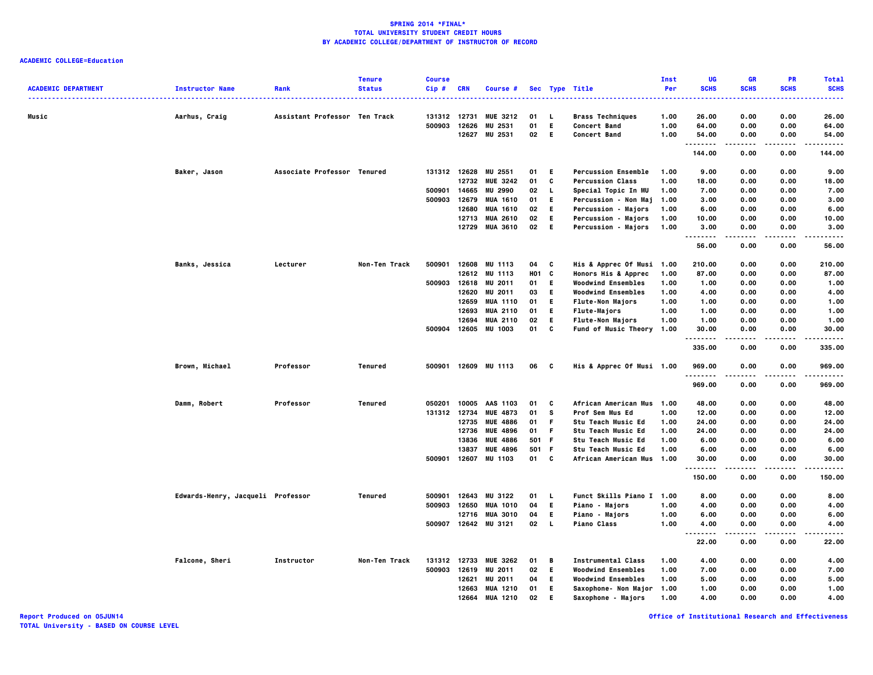**ACADEMIC COLLEGE=Education**

|                            |                                   |                               | <b>Tenure</b> | <b>Course</b>          |                |                                    |                   |              |                                                    | Inst         | UG                   | <b>GR</b>    | <b>PR</b>         | <b>Total</b>   |
|----------------------------|-----------------------------------|-------------------------------|---------------|------------------------|----------------|------------------------------------|-------------------|--------------|----------------------------------------------------|--------------|----------------------|--------------|-------------------|----------------|
| <b>ACADEMIC DEPARTMENT</b> | <b>Instructor Name</b>            | Rank                          | <b>Status</b> | Cip #                  | CRN            | Course #                           |                   |              | Sec Type Title                                     | Per          | <b>SCHS</b>          | <b>SCHS</b>  | <b>SCHS</b>       | <b>SCHS</b>    |
|                            |                                   |                               |               |                        |                |                                    |                   |              |                                                    |              |                      |              |                   |                |
| Music                      | Aarhus, Craig                     | Assistant Professor Ten Track |               | 131312 12731<br>500903 | 12626          | <b>MUE 3212</b><br><b>MU 2531</b>  | 01<br>01          | L.<br>E.     | <b>Brass Techniques</b><br><b>Concert Band</b>     | 1.00<br>1.00 | 26.00<br>64.00       | 0.00<br>0.00 | 0.00<br>0.00      | 26.00<br>64.00 |
|                            |                                   |                               |               |                        |                | 12627 MU 2531                      | 02                | -E           | <b>Concert Band</b>                                | 1.00         | 54.00                | 0.00         | 0.00              | 54.00          |
|                            |                                   |                               |               |                        |                |                                    |                   |              |                                                    |              | .                    |              | .                 |                |
|                            |                                   |                               |               |                        |                |                                    |                   |              |                                                    |              | 144.00               | 0.00         | 0.00              | 144.00         |
|                            | Baker, Jason                      | Associate Professor Tenured   |               |                        |                | 131312 12628 MU 2551               | 01                | - E          | <b>Percussion Ensemble</b>                         | 1.00         | 9.00                 | 0.00         | 0.00              | 9.00           |
|                            |                                   |                               |               |                        |                | 12732 MUE 3242                     | 01                | C            | <b>Percussion Class</b>                            | 1.00         | 18.00                | 0.00         | 0.00              | 18.00          |
|                            |                                   |                               |               | 500901                 | 14665          | <b>MU 2990</b>                     | 02                | $\mathbf{L}$ | Special Topic In MU                                | 1.00         | 7.00                 | 0.00         | 0.00              | 7.00           |
|                            |                                   |                               |               | 500903                 | 12679<br>12680 | <b>MUA 1610</b><br><b>MUA 1610</b> | 01<br>02          | E.<br>E.     | Percussion - Non Maj<br><b>Percussion - Majors</b> | 1.00<br>1.00 | 3.00<br>6.00         | 0.00<br>0.00 | 0.00<br>0.00      | 3.00<br>6.00   |
|                            |                                   |                               |               |                        |                | 12713 MUA 2610                     | 02                | E.           | <b>Percussion - Majors</b>                         | 1.00         | 10.00                | 0.00         | 0.00              | 10.00          |
|                            |                                   |                               |               |                        |                | 12729 MUA 3610                     | 02                | - E          | Percussion - Majors                                | 1.00         | 3.00                 | 0.00         | 0.00              | 3.00           |
|                            |                                   |                               |               |                        |                |                                    |                   |              |                                                    |              | .<br>56.00           | 0.00         | 0.00              | .<br>56.00     |
|                            | <b>Banks, Jessica</b>             | Lecturer                      | Non-Ten Track | 500901                 |                | 12608 MU 1113                      | 04                | C            | His & Apprec Of Musi 1.00                          |              | 210.00               | 0.00         | 0.00              | 210.00         |
|                            |                                   |                               |               |                        |                | 12612 MU 1113                      | HO <sub>1</sub> C |              | Honors His & Apprec                                | 1.00         | 87.00                | 0.00         | 0.00              | 87.00          |
|                            |                                   |                               |               | 500903                 | 12618          | <b>MU 2011</b>                     | 01                | E.           | <b>Woodwind Ensembles</b>                          | 1.00         | 1.00                 | 0.00         | 0.00              | 1.00           |
|                            |                                   |                               |               |                        | 12620          | <b>MU 2011</b>                     | 03                | E.           | <b>Woodwind Ensembles</b>                          | 1.00         | 4.00                 | 0.00         | 0.00              | 4.00           |
|                            |                                   |                               |               |                        |                | 12659 MUA 1110                     | 01                | E.           | <b>Flute-Non Majors</b>                            | 1.00         | 1.00                 | 0.00         | 0.00              | 1.00           |
|                            |                                   |                               |               |                        | 12693          | <b>MUA 2110</b>                    | 01                | E.           | <b>Flute-Majors</b>                                | 1.00         | 1.00                 | 0.00         | 0.00              | 1.00           |
|                            |                                   |                               |               |                        | 12694          | <b>MUA 2110</b>                    | 02                | E.           | <b>Flute-Non Majors</b>                            | 1.00         | 1.00                 | 0.00         | 0.00              | 1.00           |
|                            |                                   |                               |               |                        |                | 500904 12605 MU 1003               | 01                | C            | <b>Fund of Music Theory</b>                        | 1.00         | 30.00                | 0.00         | 0.00              | 30.00          |
|                            |                                   |                               |               |                        |                |                                    |                   |              |                                                    |              | . <b>.</b><br>335.00 | 0.00         | $- - -$<br>0.00   | ----<br>335.00 |
|                            | Brown, Michael                    | Professor                     | Tenured       |                        |                | 500901 12609 MU 1113               | 06                | <b>C</b>     | <b>His &amp; Apprec Of Musi 1.00</b>               |              | 969.00               | 0.00         | 0.00              | 969.00         |
|                            |                                   |                               |               |                        |                |                                    |                   |              |                                                    |              | .<br>969.00          | .<br>0.00    | $- - - -$<br>0.00 | .<br>969.00    |
|                            | Damm, Robert                      | Professor                     | Tenured       | 050201                 | 10005          | AAS 1103                           | 01                | C            | African American Mus 1.00                          |              | 48.00                | 0.00         | 0.00              | 48.00          |
|                            |                                   |                               |               | 131312 12734           |                | <b>MUE 4873</b>                    | 01                | s            | Prof Sem Mus Ed                                    | 1.00         | 12.00                | 0.00         | 0.00              | 12.00          |
|                            |                                   |                               |               |                        | 12735          | <b>MUE 4886</b>                    | 01                | -F           | <b>Stu Teach Music Ed</b>                          | 1.00         | 24.00                | 0.00         | 0.00              | 24.00          |
|                            |                                   |                               |               |                        | 12736          | <b>MUE 4896</b>                    | 01                | -F           | <b>Stu Teach Music Ed</b>                          | 1.00         | 24.00                | 0.00         | 0.00              | 24.00          |
|                            |                                   |                               |               |                        | 13836          | <b>MUE 4886</b>                    | 501 F             |              | <b>Stu Teach Music Ed</b>                          | 1.00         | 6.00                 | 0.00         | 0.00              | 6.00           |
|                            |                                   |                               |               |                        | 13837          | <b>MUE 4896</b>                    | 501 F             |              | <b>Stu Teach Music Ed</b>                          | 1.00         | 6.00                 | 0.00         | 0.00              | 6.00           |
|                            |                                   |                               |               | 500901 12607           |                | MU 1103                            | 01 C              |              | African American Mus 1.00                          |              | 30.00<br>.           | 0.00<br>.    | 0.00<br>.         | 30.00<br>.     |
|                            |                                   |                               |               |                        |                |                                    |                   |              |                                                    |              | 150.00               | 0.00         | 0.00              | 150.00         |
|                            | Edwards-Henry, Jacqueli Professor |                               | Tenured       | 500901                 | 12643          | <b>MU 3122</b>                     | 01                | - L          | Funct Skills Piano I 1.00                          |              | 8.00                 | 0.00         | 0.00              | 8.00           |
|                            |                                   |                               |               | 500903                 | 12650          | <b>MUA 1010</b>                    | 04                | E.           | <b>Piano - Majors</b>                              | 1.00         | 4.00                 | 0.00         | 0.00              | 4.00           |
|                            |                                   |                               |               |                        |                | 12716 MUA 3010                     | 04                | E.           | <b>Piano - Majors</b>                              | 1.00         | 6.00                 | 0.00         | 0.00              | 6.00           |
|                            |                                   |                               |               | 500907                 |                | 12642 MU 3121                      | 02                | <b>L</b>     | <b>Piano Class</b>                                 | 1.00         | 4.00<br>.            | 0.00         | 0.00              | 4.00           |
|                            |                                   |                               |               |                        |                |                                    |                   |              |                                                    |              | 22.00                | 0.00         | 0.00              | 22.00          |
|                            | <b>Falcone, Sheri</b>             | Instructor                    | Non-Ten Track |                        |                | 131312 12733 MUE 3262              | 01                | B            | <b>Instrumental Class</b>                          | 1.00         | 4.00                 | 0.00         | 0.00              | 4.00           |
|                            |                                   |                               |               |                        |                | 500903 12619 MU 2011               | 02                | - E          | <b>Woodwind Ensembles</b>                          | 1.00         | 7.00                 | 0.00         | 0.00              | 7.00           |
|                            |                                   |                               |               |                        | 12621          | MU 2011                            | 04                | E.           | <b>Woodwind Ensembles</b>                          | 1.00         | 5.00                 | 0.00         | 0.00              | 5.00           |
|                            |                                   |                               |               |                        |                | 12663 MUA 1210                     | 01                | E.           | Saxophone- Non Major 1.00                          |              | 1.00                 | 0.00         | 0.00              | 1.00           |
|                            |                                   |                               |               |                        | 12664          | <b>MUA 1210</b>                    | 02                | Е            | <b>Saxophone - Majors</b>                          | 1.00         | 4.00                 | 0.00         | 0.00              | 4.00           |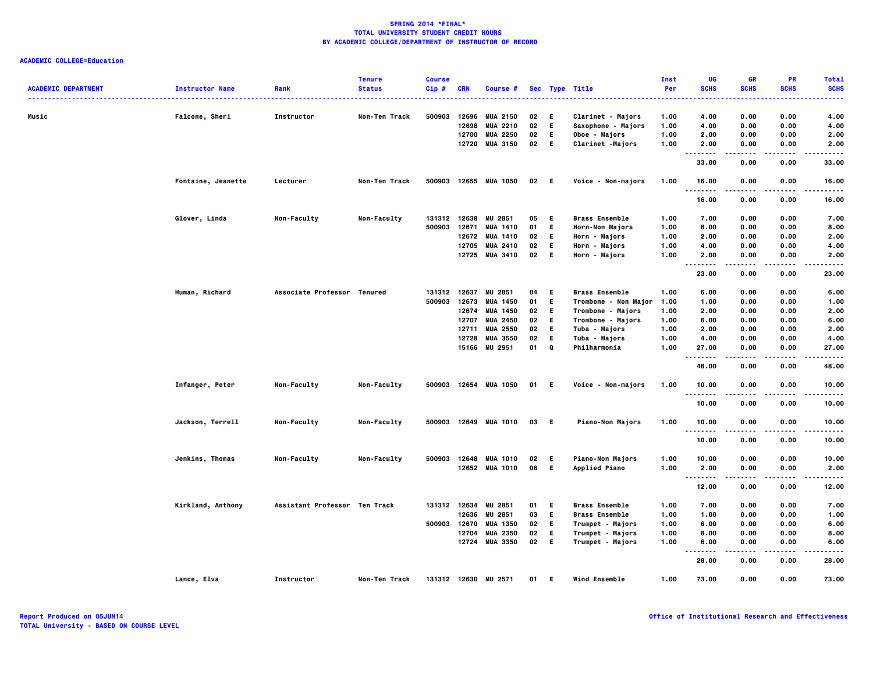| <b>ACADEMIC DEPARTMENT</b> | <b>Instructor Name</b> | Rank                          | <b>Tenure</b><br><b>Status</b> | <b>Course</b><br>Cip# | <b>CRN</b> | Course #              |          |           | Sec Type Title                           | Inst<br>Per | UG<br><b>SCHS</b>                  | <b>GR</b><br><b>SCHS</b> | <b>PR</b><br><b>SCHS</b> | <b>Total</b><br><b>SCHS</b> |
|----------------------------|------------------------|-------------------------------|--------------------------------|-----------------------|------------|-----------------------|----------|-----------|------------------------------------------|-------------|------------------------------------|--------------------------|--------------------------|-----------------------------|
| Music                      | <b>Falcone, Sheri</b>  | Instructor                    | Non-Ten Track                  | 500903                | 12696      | <b>MUA 2150</b>       | 02       | E.        | Clarinet - Majors                        | 1.00        | 4.00                               | 0.00                     | 0.00                     | 4.00                        |
|                            |                        |                               |                                |                       | 12698      | <b>MUA 2210</b>       | 02       | E.        | Saxophone - Majors                       | 1.00        | 4.00                               | 0.00                     | 0.00                     | 4.00                        |
|                            |                        |                               |                                |                       | 12700      | <b>MUA 2250</b>       | 02       | E.        | Oboe - Majors                            | 1.00        | 2.00                               | 0.00                     | 0.00                     | 2.00                        |
|                            |                        |                               |                                |                       | 12720      | <b>MUA 3150</b>       | 02       | - E       | Clarinet -Majors                         | 1.00        | 2.00                               | 0.00                     | 0.00                     | 2.00                        |
|                            |                        |                               |                                |                       |            |                       |          |           |                                          |             | $\sim$ $\sim$ $\sim$<br>.<br>33.00 | 0.00                     | 0.00                     | 33.00                       |
|                            | Fontaine, Jeanette     | Lecturer                      | Non-Ten Track                  |                       |            | 500903 12655 MUA 1050 | 02 E     |           | Voice - Non-majors                       | 1.00        | 16.00<br>.                         | 0.00                     | 0.00                     | 16.00                       |
|                            |                        |                               |                                |                       |            |                       |          |           |                                          |             | 16.00                              | 0.00                     | 0.00                     | 16.00                       |
|                            | Glover, Linda          | <b>Non-Faculty</b>            | Non-Faculty                    | 131312                | 12638      | MU 2851               | 05       | E.        | <b>Brass Ensemble</b>                    | 1.00        | 7.00                               | 0.00                     | 0.00                     | 7.00                        |
|                            |                        |                               |                                | 500903                | 12671      | <b>MUA 1410</b>       | 01       | E.        | Horn-Non Majors                          | 1.00        | 8.00                               | 0.00                     | 0.00                     | 8.00                        |
|                            |                        |                               |                                |                       | 12672      | <b>MUA 1410</b>       | 02       | E.        | Horn - Majors                            | 1.00        | 2.00                               | 0.00                     | 0.00                     | 2.00                        |
|                            |                        |                               |                                |                       | 12705      | <b>MUA 2410</b>       | 02       | E.        | Horn - Majors                            | 1.00        | 4.00                               | 0.00                     | 0.00                     | 4.00                        |
|                            |                        |                               |                                |                       |            | 12725 MUA 3410        | 02       | - E       | Horn - Majors                            | 1.00        | 2.00<br>.                          | 0.00<br>.                | 0.00<br>.                | 2.00<br>$- - - -$           |
|                            |                        |                               |                                |                       |            |                       |          |           |                                          |             | 23.00                              | 0.00                     | 0.00                     | 23.00                       |
|                            | Human, Richard         | Associate Professor Tenured   |                                | 131312                | 12637      | MU 2851               | 04       | E.        | <b>Brass Ensemble</b>                    | 1.00        | 6.00                               | 0.00                     | 0.00                     | 6.00                        |
|                            |                        |                               |                                | 500903                | 12673      | <b>MUA 1450</b>       | 01       | E.        | Trombone - Non Major                     | 1.00        | 1.00                               | 0.00                     | 0.00                     | 1.00                        |
|                            |                        |                               |                                |                       | 12674      | MUA 1450              | 02       | E.        | Trombone - Majors                        | 1.00        | 2.00                               | 0.00                     | 0.00                     | 2.00                        |
|                            |                        |                               |                                |                       | 12707      | <b>MUA 2450</b>       | 02       | E.        | Trombone - Majors                        | 1.00        | 6.00                               | 0.00                     | 0.00                     | 6.00                        |
|                            |                        |                               |                                |                       | 12711      | <b>MUA 2550</b>       | 02       | E.        | Tuba - Majors                            | 1.00        | 2.00                               | 0.00                     | 0.00                     | 2.00                        |
|                            |                        |                               |                                |                       | 12728      | <b>MUA 3550</b>       | 02       | E.        | Tuba - Majors                            | 1.00        | 4.00                               | 0.00                     | 0.00                     | 4.00                        |
|                            |                        |                               |                                |                       | 15166      | <b>MU 2951</b>        | 01       | Q         | Philharmonia                             | 1.00        | 27.00                              | 0.00                     | 0.00                     | 27.00                       |
|                            |                        |                               |                                |                       |            |                       |          |           |                                          |             | 48.00                              | 0.00                     | 0.00                     | 48.00                       |
|                            | Infanger, Peter        | Non-Faculty                   | Non-Faculty                    |                       |            | 500903 12654 MUA 1050 | 01 E     |           | Voice - Non-majors                       | 1.00        | 10.00                              | 0.00                     | 0.00                     | 10.00                       |
|                            |                        |                               |                                |                       |            |                       |          |           |                                          |             | .<br>10.00                         | 0.00                     | 0.00                     | 10.00                       |
|                            | Jackson, Terrell       | <b>Non-Faculty</b>            | <b>Non-Faculty</b>             |                       |            | 500903 12649 MUA 1010 | 03 E     |           | <b>Piano-Non Majors</b>                  | 1.00        | 10.00                              | 0.00                     | 0.00                     | 10.00                       |
|                            |                        |                               |                                |                       |            |                       |          |           |                                          |             | .<br>10.00                         | 0.00                     | 0.00                     | 10.00                       |
|                            |                        |                               |                                | 500903                |            | <b>MUA 1010</b>       |          |           |                                          | 1.00        | 10.00                              | 0.00                     | 0.00                     | 10.00                       |
|                            | Jenkins, Thomas        | <b>Non-Faculty</b>            | <b>Non-Faculty</b>             |                       | 12648      | 12652 MUA 1010        | 02<br>06 | E.<br>- E | Piano-Non Majors<br><b>Applied Piano</b> | 1.00        | 2.00                               | 0.00                     | 0.00                     | 2.00                        |
|                            |                        |                               |                                |                       |            |                       |          |           |                                          |             |                                    | .                        | .                        | .                           |
|                            |                        |                               |                                |                       |            |                       |          |           |                                          |             | 12.00                              | 0.00                     | 0.00                     | 12.00                       |
|                            | Kirkland, Anthony      | Assistant Professor Ten Track |                                | 131312 12634          |            | MU 2851               | 01       | E.        | <b>Brass Ensemble</b>                    | 1.00        | 7.00                               | 0.00                     | 0.00                     | 7.00                        |
|                            |                        |                               |                                |                       | 12636      | MU 2851               | 03       | E.        | <b>Brass Ensemble</b>                    | 1.00        | 1.00                               | 0.00                     | 0.00                     | 1.00                        |
|                            |                        |                               |                                | 500903 12670          |            | <b>MUA 1350</b>       | 02       | E.        | Trumpet - Majors                         | 1.00        | 6.00                               | 0.00                     | 0.00                     | 6.00                        |
|                            |                        |                               |                                |                       | 12704      | <b>MUA 2350</b>       | 02       | E.        | Trumpet - Majors                         | 1.00        | 8.00                               | 0.00                     | 0.00                     | 8.00                        |
|                            |                        |                               |                                |                       |            | 12724 MUA 3350        | 02       | - E       | Trumpet - Majors                         | 1.00        | 6.00<br>$\sim$ $\sim$              | 0.00                     | 0.00                     | 6.00                        |
|                            |                        |                               |                                |                       |            |                       |          |           |                                          |             | 28.00                              | 0.00                     | 0.00                     | 28.00                       |
|                            | Lance, Elva            | Instructor                    | Non-Ten Track                  |                       |            | 131312 12630 MU 2571  | 01       | E.        | <b>Wind Ensemble</b>                     | 1.00        | 73.00                              | 0.00                     | 0.00                     | 73.00                       |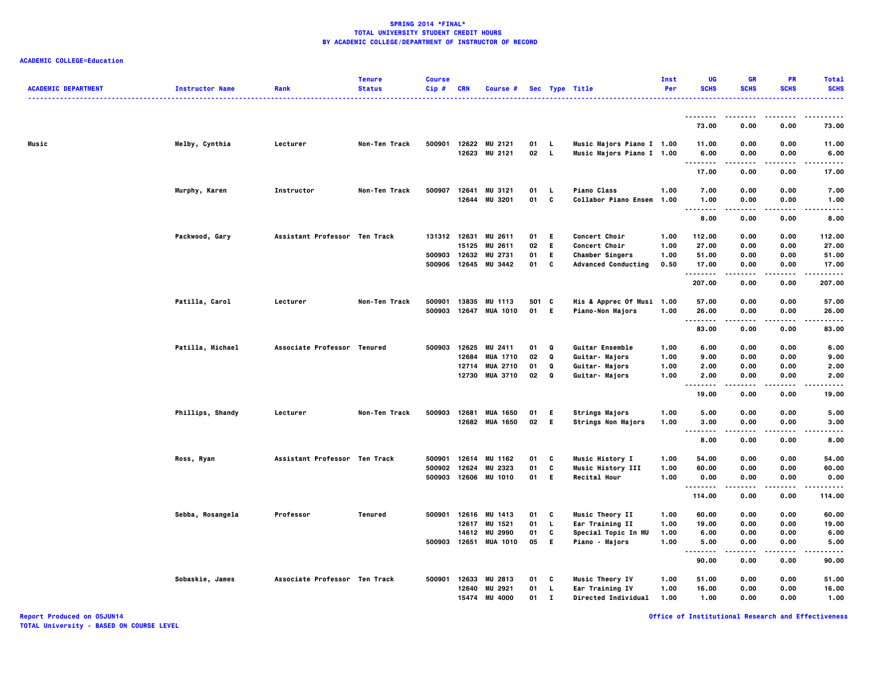# **ACADEMIC COLLEGE=Education**

| <b>ACADEMIC DEPARTMENT</b> | <b>Instructor Name</b> | Rank                          | <b>Tenure</b><br><b>Status</b> | <b>Course</b><br>$Cip$ # | <b>CRN</b>              | Course #                                    |                |                               | Sec Type Title                                            | Inst<br>Per          | UG<br><b>SCHS</b>                  | <b>GR</b><br><b>SCHS</b> | <b>PR</b><br><b>SCHS</b> | <b>Total</b><br><b>SCHS</b> |
|----------------------------|------------------------|-------------------------------|--------------------------------|--------------------------|-------------------------|---------------------------------------------|----------------|-------------------------------|-----------------------------------------------------------|----------------------|------------------------------------|--------------------------|--------------------------|-----------------------------|
|                            |                        |                               |                                |                          |                         |                                             |                |                               | .                                                         |                      |                                    |                          |                          |                             |
|                            |                        |                               |                                |                          |                         |                                             |                |                               |                                                           |                      | 73.00                              | 0.00                     | 0.00                     | 73.00                       |
| Music                      | Melby, Cynthia         | Lecturer                      | Non-Ten Track                  | 500901                   |                         | 12622 MU 2121<br>12623 MU 2121              | 01<br>02 L     | - 1.                          | Music Majors Piano I 1.00<br>Music Majors Piano I 1.00    |                      | 11.00<br>6.00<br>                  | 0.00<br>0.00             | 0.00<br>0.00<br>.        | 11.00<br>6.00               |
|                            |                        |                               |                                |                          |                         |                                             |                |                               |                                                           |                      | 17.00                              | 0.00                     | 0.00                     | 17.00                       |
|                            | Murphy, Karen          | <b>Instructor</b>             | Non-Ten Track                  | 500907                   | 12641                   | MU 3121<br>12644 MU 3201                    | 01<br>01       | <b>L</b><br>C                 | <b>Piano Class</b><br><b>Collabor Piano Ensem</b>         | 1.00<br>1.00         | 7.00<br>1.00<br>$\ddotsc$<br>      | 0.00<br>0.00             | 0.00<br>0.00             | 7.00<br>1.00<br>$- - - -$   |
|                            |                        |                               |                                |                          |                         |                                             |                |                               |                                                           |                      | 8.00                               | 0.00                     | 0.00                     | 8.00                        |
|                            | Packwood, Gary         | Assistant Professor Ten Track |                                |                          | 131312 12631<br>15125   | <b>MU 2611</b><br>MU 2611                   | 01<br>02       | E.<br>E.                      | <b>Concert Choir</b><br><b>Concert Choir</b>              | 1.00<br>1.00         | 112.00<br>27.00                    | 0.00<br>0.00             | 0.00<br>0.00             | 112.00<br>27.00             |
|                            |                        |                               |                                | 500903<br>500906         | 12632<br>12645          | MU 2731<br><b>MU 3442</b>                   | 01<br>01       | E.<br>C                       | <b>Chamber Singers</b><br><b>Advanced Conducting</b>      | 1.00<br>0.50         | 51.00<br>17.00<br>.                | 0.00<br>0.00<br>.        | 0.00<br>0.00             | 51.00<br>17.00<br>.         |
|                            |                        |                               |                                |                          |                         |                                             |                |                               |                                                           |                      | 207.00                             | 0.00                     | 0.00                     | 207.00                      |
|                            | Patilla, Carol         | Lecturer                      | Non-Ten Track                  | 500901<br>500903         | 13835<br>12647          | MU 1113<br><b>MUA 1010</b>                  | 501<br>01      | C<br>- E                      | His & Apprec Of Musi 1.00<br>Piano-Non Majors             | 1.00                 | 57.00<br>26.00<br>.                | 0.00<br>0.00<br>.        | 0.00<br>0.00<br>.        | 57.00<br>26.00<br>.         |
|                            |                        |                               |                                |                          |                         |                                             |                |                               |                                                           |                      | 83.00                              | 0.00                     | 0.00                     | 83.00                       |
|                            | Patilla, Michael       | Associate Professor Tenured   |                                | 500903                   | 12625<br>12684          | MU 2411<br><b>MUA 1710</b>                  | 01<br>02       | Q<br>Q                        | Guitar Ensemble<br>Guitar- Majors                         | 1.00<br>1.00         | 6.00<br>9.00                       | 0.00<br>0.00             | 0.00<br>0.00             | 6.00<br>9.00                |
|                            |                        |                               |                                |                          | 12714<br>12730          | <b>MUA 2710</b><br><b>MUA 3710</b>          | 01<br>02       | Q<br>Q                        | Guitar- Majors<br>Guitar- Majors                          | 1.00<br>1.00         | 2.00<br>2.00                       | 0.00<br>0.00             | 0.00<br>0.00             | 2.00<br>2.00                |
|                            |                        |                               |                                |                          |                         |                                             |                |                               |                                                           |                      | $\sim$ $\sim$<br>19.00             | 0.00                     | 0.00                     | 19.00                       |
|                            | Phillips, Shandy       | Lecturer                      | Non-Ten Track                  | 500903                   | 12681                   | <b>MUA 1650</b><br>12682 MUA 1650           | 01<br>02       | E.<br>- E                     | <b>Strings Majors</b><br><b>Strings Non Majors</b>        | 1.00<br>1.00         | 5.00<br>3.00                       | 0.00<br>0.00             | 0.00<br>0.00             | 5.00<br>3.00                |
|                            |                        |                               |                                |                          |                         |                                             |                |                               |                                                           |                      | $\sim$ $\sim$<br>$- - - -$<br>8.00 | 0.00                     | .<br>0.00                | 8.00                        |
|                            | Ross, Ryan             | Assistant Professor Ten Track |                                | 500901<br>500902         | 12614<br>12624          | MU 1162<br>MU 2323                          | 01<br>01       | c<br>C                        | Music History I<br>Music History III                      | 1.00<br>1.00         | 54.00<br>60.00                     | 0.00<br>0.00             | 0.00<br>0.00             | 54.00<br>60.00              |
|                            |                        |                               |                                | 500903                   | 12606                   | <b>MU 1010</b>                              | 01             | E.                            | <b>Recital Hour</b>                                       | 1.00                 | 0.00<br>.                          | 0.00<br>.                | 0.00<br>.                | 0.00<br>.                   |
|                            |                        |                               |                                |                          |                         |                                             |                |                               |                                                           |                      | 114.00                             | 0.00                     | 0.00                     | 114.00                      |
|                            | Sebba, Rosangela       | Professor                     | Tenured                        | 500901                   | 12617                   | 12616 MU 1413<br>MU 1521<br>14612 MU 2990   | 01<br>01<br>01 | C<br>L.<br>c                  | Music Theory II<br>Ear Training II<br>Special Topic In MU | 1.00<br>1.00<br>1.00 | 60.00<br>19.00<br>6.00             | 0.00<br>0.00<br>0.00     | 0.00<br>0.00<br>0.00     | 60.00<br>19.00<br>6.00      |
|                            |                        |                               |                                |                          |                         | 500903 12651 MUA 1010                       | 05             | E.                            | <b>Piano - Majors</b>                                     | 1.00                 | 5.00<br>$\sim$ $\sim$ $\sim$<br>   | 0.00                     | 0.00                     | 5.00                        |
|                            |                        |                               |                                |                          |                         |                                             |                |                               |                                                           |                      | 90.00                              | 0.00                     | 0.00                     | 90.00                       |
|                            | Sobaskie, James        | Associate Professor Ten Track |                                | 500901                   | 12633<br>12640<br>15474 | MU 2813<br><b>MU 2921</b><br><b>MU 4000</b> | 01<br>01<br>01 | C<br><b>L</b><br>$\mathbf{I}$ | Music Theory IV<br>Ear Training IV<br>Directed Individual | 1.00<br>1.00<br>1.00 | 51.00<br>16.00<br>1.00             | 0.00<br>0.00<br>0.00     | 0.00<br>0.00<br>0.00     | 51.00<br>16.00<br>1.00      |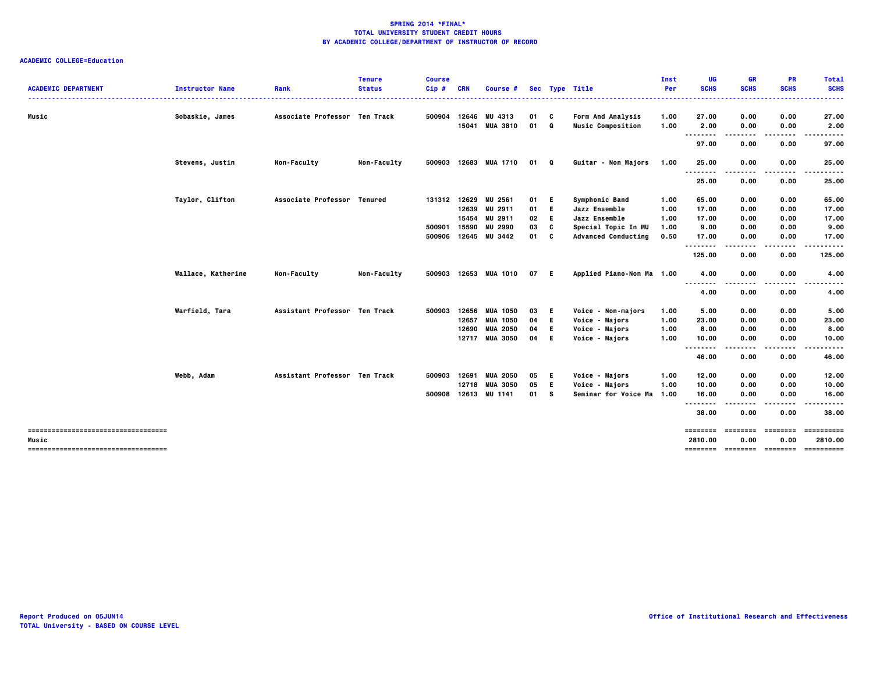|                                                 |                        |                               | <b>Tenure</b>      | <b>Course</b> |            |                 |      |    |                            | Inst | UG                       | <b>GR</b>        | <b>PR</b>        | <b>Total</b>                          |
|-------------------------------------------------|------------------------|-------------------------------|--------------------|---------------|------------|-----------------|------|----|----------------------------|------|--------------------------|------------------|------------------|---------------------------------------|
| <b>ACADEMIC DEPARTMENT</b>                      | <b>Instructor Name</b> | Rank                          | <b>Status</b>      | Cip#          | <b>CRN</b> | Course #        |      |    | Sec Type Title             | Per  | <b>SCHS</b>              | <b>SCHS</b>      | <b>SCHS</b>      | <b>SCHS</b><br>.                      |
| Music                                           | Sobaskie, James        | Associate Professor Ten Track |                    | 500904        | 12646      | MU 4313         | 01 C |    | <b>Form And Analysis</b>   | 1.00 | 27.00                    | 0.00             | 0.00             | 27.00                                 |
|                                                 |                        |                               |                    |               |            | 15041 MUA 3810  | 01 Q |    | <b>Music Composition</b>   | 1.00 | 2.00                     | 0.00             | 0.00             | 2.00                                  |
|                                                 |                        |                               |                    |               |            |                 |      |    |                            |      | $- - -$<br>.<br>97.00    | .<br>0.00        | 0.00             | 97.00                                 |
|                                                 | Stevens, Justin        | Non-Faculty                   | Non-Faculty        | 500903        |            | 12683 MUA 1710  | 01 Q |    | Guitar - Non Majors        | 1.00 | 25.00                    | 0.00             | 0.00             | 25.00                                 |
|                                                 |                        |                               |                    |               |            |                 |      |    |                            |      | <br>25.00                | 0.00             | 0.00             | 25.00                                 |
|                                                 | Taylor, Clifton        | Associate Professor Tenured   |                    | 131312        | 12629      | MU 2561         | 01   | Е  | <b>Symphonic Band</b>      | 1.00 | 65.00                    | 0.00             | 0.00             | 65.00                                 |
|                                                 |                        |                               |                    |               |            | 12639 MU 2911   | 01   | Е  | Jazz Ensemble              | 1.00 | 17.00                    | 0.00             | 0.00             | 17.00                                 |
|                                                 |                        |                               |                    |               | 15454      | <b>MU 2911</b>  | 02   | E  | Jazz Ensemble              | 1.00 | 17.00                    | 0.00             | 0.00             | 17.00                                 |
|                                                 |                        |                               |                    | 500901        | 15590      | <b>MU 2990</b>  | 03   | C  | Special Topic In MU        | 1.00 | 9.00                     | 0.00             | 0.00             | 9.00                                  |
|                                                 |                        |                               |                    | 500906        |            | 12645 MU 3442   | 01   | C  | <b>Advanced Conducting</b> | 0.50 | 17.00                    | 0.00             | 0.00<br>.        | 17.00<br>.                            |
|                                                 |                        |                               |                    |               |            |                 |      |    |                            |      | .<br>125.00              | ----<br>0.00     | 0.00             | 125.00                                |
|                                                 | Wallace, Katherine     | <b>Non-Faculty</b>            | <b>Non-Faculty</b> | 500903        |            | 12653 MUA 1010  | 07   | Е. | Applied Piano-Non Ma 1.00  |      | 4.00                     | 0.00             | 0.00             | 4.00                                  |
|                                                 |                        |                               |                    |               |            |                 |      |    |                            |      | <br>.<br>4.00            | 0.00             | 0.00             | 4.00                                  |
|                                                 | Warfield, Tara         | Assistant Professor Ten Track |                    | 500903        | 12656      | <b>MUA 1050</b> | 03   | Е  | Voice - Non-majors         | 1.00 | 5.00                     | 0.00             | 0.00             | 5.00                                  |
|                                                 |                        |                               |                    |               |            | 12657 MUA 1050  | 04   | Е  | Voice - Majors             | 1.00 | 23.00                    | 0.00             | 0.00             | 23.00                                 |
|                                                 |                        |                               |                    |               | 12690      | <b>MUA 2050</b> | 04   | Е. | Voice - Majors             | 1.00 | 8.00                     | 0.00             | 0.00             | 8.00                                  |
|                                                 |                        |                               |                    |               |            | 12717 MUA 3050  | 04   | E. | Voice - Majors             | 1.00 | 10.00                    | 0.00             | 0.00             | 10.00                                 |
|                                                 |                        |                               |                    |               |            |                 |      |    |                            |      | <br>46.00                | 0.00             | 0.00             | 46.00                                 |
|                                                 | Webb, Adam             | Assistant Professor Ten Track |                    | 500903        | 12691      | <b>MUA 2050</b> | 05   | Е  | Voice - Majors             | 1.00 | 12.00                    | 0.00             | 0.00             | 12.00                                 |
|                                                 |                        |                               |                    |               |            | 12718 MUA 3050  | 05   | E. | Voice - Majors             | 1.00 | 10.00                    | 0.00             | 0.00             | 10.00                                 |
|                                                 |                        |                               |                    | 500908        |            | 12613 MU 1141   | 01 S |    | Seminar for Voice Ma 1.00  |      | 16.00                    | 0.00             | 0.00             | 16.00                                 |
|                                                 |                        |                               |                    |               |            |                 |      |    |                            |      | - - - - - - - -<br>38.00 | 0.00             | 0.00             | 38.00                                 |
| --------------------------------------<br>Music |                        |                               |                    |               |            |                 |      |    |                            |      | ========<br>2810.00      | ========<br>0.00 | ========<br>0.00 | ==========<br>2810.00                 |
| ------------------------------------            |                        |                               |                    |               |            |                 |      |    |                            |      |                          |                  |                  | ======== ======== ======== ========== |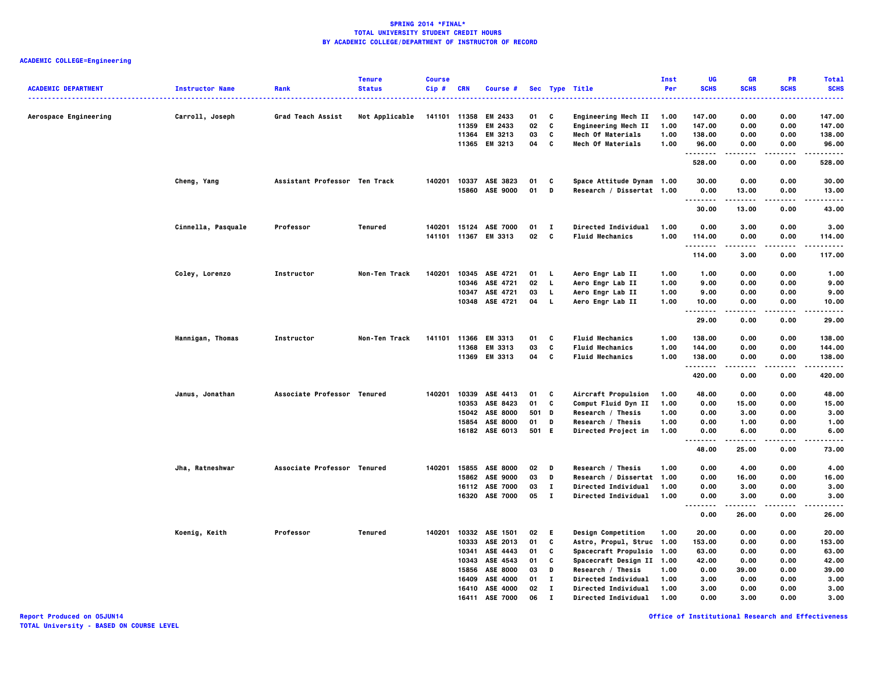| <b>ACADEMIC DEPARTMENT</b> | <b>Instructor Name</b> | Rank                          | <b>Tenure</b><br><b>Status</b> | <b>Course</b><br>$Cip$ # | <b>CRN</b> | Course #              |              |              | Sec Type Title             | Inst<br>Per | UG<br><b>SCHS</b>            | GR<br><b>SCHS</b> | <b>PR</b><br><b>SCHS</b> | <b>Total</b><br><b>SCHS</b> |
|----------------------------|------------------------|-------------------------------|--------------------------------|--------------------------|------------|-----------------------|--------------|--------------|----------------------------|-------------|------------------------------|-------------------|--------------------------|-----------------------------|
|                            |                        |                               |                                |                          |            |                       |              |              |                            |             |                              |                   | .                        | .                           |
| Aerospace Engineering      | Carroll, Joseph        | Grad Teach Assist             | Not Applicable                 |                          |            | 141101 11358 EM 2433  | 01           | C            | Engineering Mech II        | 1.00        | 147.00                       | 0.00              | 0.00                     | 147.00                      |
|                            |                        |                               |                                |                          | 11359      | EM 2433               | 02           | C            | Engineering Mech II        | 1.00        | 147.00                       | 0.00              | 0.00                     | 147.00                      |
|                            |                        |                               |                                |                          |            | 11364 EM 3213         | 03           | $\mathbf{c}$ | Mech Of Materials          | 1.00        | 138.00                       | 0.00              | 0.00                     | 138.00                      |
|                            |                        |                               |                                |                          |            | 11365 EM 3213         | 04           | C            | Mech Of Materials          | 1.00        | 96.00<br>                    | 0.00              | 0.00                     | 96.00<br>.                  |
|                            |                        |                               |                                |                          |            |                       |              |              |                            |             | 528.00                       | 0.00              | 0.00                     | 528.00                      |
|                            | Cheng, Yang            | Assistant Professor Ten Track |                                | 140201                   |            | 10337 ASE 3823        | 01           | C            | Space Attitude Dynam 1.00  |             | 30.00                        | 0.00              | 0.00                     | 30.00                       |
|                            |                        |                               |                                |                          |            | 15860 ASE 9000        | 01           | D            | Research / Dissertat 1.00  |             | 0.00<br>                     | 13.00<br>.        | 0.00<br>.                | 13.00<br>.                  |
|                            |                        |                               |                                |                          |            |                       |              |              |                            |             | 30.00                        | 13.00             | 0.00                     | 43.00                       |
|                            | Cinnella, Pasquale     | Professor                     | Tenured                        | 140201                   |            | 15124 ASE 7000        | 01           | $\mathbf{I}$ | Directed Individual        | 1.00        | 0.00                         | 3.00              | 0.00                     | 3.00                        |
|                            |                        |                               |                                |                          |            | 141101 11367 EM 3313  | 02           | $\mathbf{c}$ | <b>Fluid Mechanics</b>     | 1.00        | 114.00<br>.                  | 0.00              | 0.00                     | 114.00<br>.                 |
|                            |                        |                               |                                |                          |            |                       |              |              |                            |             | 114.00                       | .<br>3.00         | .<br>0.00                | 117.00                      |
|                            | Coley, Lorenzo         | Instructor                    | Non-Ten Track                  | 140201                   |            | 10345 ASE 4721        | $01 \quad L$ |              | Aero Engr Lab II           | 1.00        | 1.00                         | 0.00              | 0.00                     | 1.00                        |
|                            |                        |                               |                                |                          |            | 10346 ASE 4721        | 02           | $\mathbf{L}$ | Aero Engr Lab II           | 1.00        | 9.00                         | 0.00              | 0.00                     | 9.00                        |
|                            |                        |                               |                                |                          |            | 10347 ASE 4721        | 03           | <b>L</b>     | Aero Engr Lab II           | 1.00        | 9.00                         | 0.00              | 0.00                     | 9.00                        |
|                            |                        |                               |                                |                          |            | 10348 ASE 4721        | 04           | <b>L</b>     | Aero Engr Lab II           | 1.00        | 10.00<br>.                   | 0.00<br>.         | 0.00<br>.                | 10.00<br>.                  |
|                            |                        |                               |                                |                          |            |                       |              |              |                            |             | 29.00                        | 0.00              | 0.00                     | 29.00                       |
|                            | Hannigan, Thomas       | Instructor                    | Non-Ten Track                  |                          |            | 141101 11366 EM 3313  | 01           | C            | <b>Fluid Mechanics</b>     | 1.00        | 138.00                       | 0.00              | 0.00                     | 138.00                      |
|                            |                        |                               |                                |                          |            | 11368 EM 3313         | 03           | C            | <b>Fluid Mechanics</b>     | 1.00        | 144.00                       | 0.00              | 0.00                     | 144.00                      |
|                            |                        |                               |                                |                          |            | 11369 EM 3313         | 04           | C            | <b>Fluid Mechanics</b>     | 1.00        | 138.00<br>                   | 0.00              | 0.00<br>$\cdots$         | 138.00<br>.                 |
|                            |                        |                               |                                |                          |            |                       |              |              |                            |             | 420.00                       | 0.00              | 0.00                     | 420.00                      |
|                            | Janus, Jonathan        | Associate Professor Tenured   |                                |                          |            | 140201 10339 ASE 4413 | 01           | <b>C</b>     | Aircraft Propulsion        | 1.00        | 48.00                        | 0.00              | 0.00                     | 48.00                       |
|                            |                        |                               |                                |                          | 10353      | ASE 8423              | 01           | C            | Comput Fluid Dyn II        | 1.00        | 0.00                         | 15.00             | 0.00                     | 15.00                       |
|                            |                        |                               |                                |                          |            | 15042 ASE 8000        | 501 D        |              | Research / Thesis          | 1.00        | 0.00                         | 3.00              | 0.00                     | 3.00                        |
|                            |                        |                               |                                |                          |            | 15854 ASE 8000        | 01           | D            | Research / Thesis          | 1.00        | 0.00                         | 1.00              | 0.00                     | 1.00                        |
|                            |                        |                               |                                |                          |            | 16182 ASE 6013        | 501 E        |              | Directed Project in        | 1.00        | 0.00<br>                     | 6.00              | 0.00                     | 6.00                        |
|                            |                        |                               |                                |                          |            |                       |              |              |                            |             | 48.00                        | 25.00             | 0.00                     | 73.00                       |
|                            | Jha, Ratneshwar        | Associate Professor Tenured   |                                | 140201                   |            | 15855 ASE 8000        | 02           | D            | Research / Thesis          | 1.00        | 0.00                         | 4.00              | 0.00                     | 4.00                        |
|                            |                        |                               |                                |                          |            | 15862 ASE 9000        | 03           | D            | Research / Dissertat 1.00  |             | 0.00                         | 16.00             | 0.00                     | 16.00                       |
|                            |                        |                               |                                |                          |            | 16112 ASE 7000        | 03           | л.           | Directed Individual        | 1.00        | 0.00                         | 3.00              | 0.00                     | 3.00                        |
|                            |                        |                               |                                |                          |            | 16320 ASE 7000        | 05           | $\mathbf{T}$ | Directed Individual        | 1.00        | 0.00<br>$\sim$ $\sim$ $\sim$ | 3.00              | 0.00                     | 3.00                        |
|                            |                        |                               |                                |                          |            |                       |              |              |                            |             | 0.00                         | 26.00             | 0.00                     | 26.00                       |
|                            | Koenig, Keith          | Professor                     | Tenured                        | 140201                   |            | 10332 ASE 1501        | 02           | E.           | Design Competition         | 1.00        | 20.00                        | 0.00              | 0.00                     | 20.00                       |
|                            |                        |                               |                                |                          |            | 10333 ASE 2013        | 01           | c            | Astro, Propul, Struc 1.00  |             | 153.00                       | 0.00              | 0.00                     | 153.00                      |
|                            |                        |                               |                                |                          | 10341      | ASE 4443              | 01           | C            | Spacecraft Propulsio 1.00  |             | 63.00                        | 0.00              | 0.00                     | 63.00                       |
|                            |                        |                               |                                |                          |            | 10343 ASE 4543        | 01           | C            | Spacecraft Design II 1.00  |             | 42.00                        | 0.00              | 0.00                     | 42.00                       |
|                            |                        |                               |                                |                          | 15856      | <b>ASE 8000</b>       | 03           | D            | Research / Thesis          | 1.00        | 0.00                         | 39.00             | 0.00                     | 39.00                       |
|                            |                        |                               |                                |                          | 16409      | <b>ASE 4000</b>       | 01           | л.           | <b>Directed Individual</b> | 1.00        | 3.00                         | 0.00              | 0.00                     | 3.00                        |
|                            |                        |                               |                                |                          |            | 16410 ASE 4000        | 02           | $\mathbf{I}$ | Directed Individual        | 1.00        | 3.00                         | 0.00              | 0.00                     | 3.00                        |
|                            |                        |                               |                                |                          | 16411      | <b>ASE 7000</b>       | 06           | $\mathbf{I}$ | Directed Individual        | 1.00        | 0.00                         | 3.00              | 0.00                     | 3.00                        |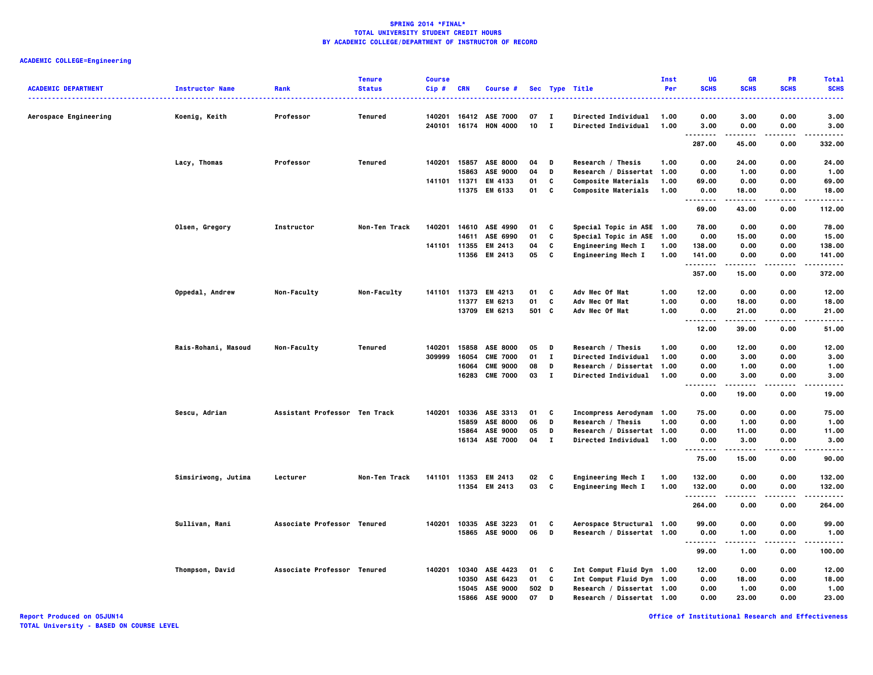# **ACADEMIC COLLEGE=Engineering**

|                            |                        |                               | <b>Tenure</b>        | <b>Course</b> |            |                       |       |                |                            | Inst | UG                                | <b>GR</b>            | PR              | <b>Total</b>      |
|----------------------------|------------------------|-------------------------------|----------------------|---------------|------------|-----------------------|-------|----------------|----------------------------|------|-----------------------------------|----------------------|-----------------|-------------------|
| <b>ACADEMIC DEPARTMENT</b> | <b>Instructor Name</b> | Rank                          | <b>Status</b>        | $Cip$ #       | <b>CRN</b> | Course #              |       |                | Sec Type Title             | Per  | <b>SCHS</b>                       | <b>SCHS</b>          | <b>SCHS</b>     | <b>SCHS</b>       |
|                            |                        |                               |                      |               |            |                       |       |                |                            |      |                                   |                      |                 | ----              |
| Aerospace Engineering      | Koenig, Keith          | Professor                     | Tenured              | 140201        |            | 16412 ASE 7000        | 07    | $\mathbf{I}$   | <b>Directed Individual</b> | 1.00 | 0.00                              | 3.00                 | 0.00            | 3.00              |
|                            |                        |                               |                      | 240101        |            | 16174 HON 4000        | 10    | $\blacksquare$ | Directed Individual        | 1.00 | 3.00                              | 0.00<br>.            | 0.00<br>$- - -$ | 3,00              |
|                            |                        |                               |                      |               |            |                       |       |                |                            |      | <br>287.00                        | 45.00                | 0.00            | .<br>332.00       |
|                            | Lacy, Thomas           | Professor                     | Tenured              | 140201        | 15857      | <b>ASE 8000</b>       | 04    | D              | Research / Thesis          | 1.00 | 0.00                              | 24.00                | 0.00            | 24.00             |
|                            |                        |                               |                      |               | 15863      | ASE 9000              | 04    | D              | Research / Dissertat 1.00  |      | 0.00                              | 1.00                 | 0.00            | 1.00              |
|                            |                        |                               |                      | 141101 11371  |            | EM 4133               | 01    | C              | Composite Materials        | 1.00 | 69.00                             | 0.00                 | 0.00            | 69.00             |
|                            |                        |                               |                      |               |            | 11375 EM 6133         | 01    | C              | Composite Materials        | 1.00 | 0.00                              | 18.00                | 0.00            | 18.00             |
|                            |                        |                               |                      |               |            |                       |       |                |                            |      | .<br>69.00                        | .<br>43.00           | 0.00            | 112.00            |
|                            | Olsen, Gregory         | Instructor                    | Non-Ten Track        |               |            | 140201 14610 ASE 4990 | 01    | C              | Special Topic in ASE 1.00  |      | 78.00                             | 0.00                 | 0.00            | 78.00             |
|                            |                        |                               |                      |               | 14611      | ASE 6990              | 01    | C              | Special Topic in ASE       | 1.00 | 0.00                              | 15.00                | 0.00            | 15.00             |
|                            |                        |                               |                      |               |            | 141101 11355 EM 2413  | 04    | c              | Engineering Mech I         | 1.00 | 138.00                            | 0.00                 | 0.00            | 138.00            |
|                            |                        |                               |                      |               |            | 11356 EM 2413         | 05    | C              | Engineering Mech I         | 1.00 | 141.00                            | 0.00                 | 0.00            | 141.00            |
|                            |                        |                               |                      |               |            |                       |       |                |                            |      | . <b>.</b><br>357.00              | .<br>15.00           | .<br>0.00       | ------<br>372.00  |
|                            | Oppedal, Andrew        | Non-Faculty                   | Non-Faculty          | 141101        |            | 11373 EM 4213         | 01    | C              | Adv Mec Of Mat             | 1.00 | 12.00                             | 0.00                 | 0.00            | 12.00             |
|                            |                        |                               |                      |               | 11377      | EM 6213               | 01    | C              | Adv Mec Of Mat             | 1.00 | 0.00                              | 18.00                | 0.00            | 18.00             |
|                            |                        |                               |                      |               |            | 13709 EM 6213         | 501 C |                | Adv Mec Of Mat             | 1.00 | 0.00                              | 21.00                | 0.00            | 21.00             |
|                            |                        |                               |                      |               |            |                       |       |                |                            |      | $\sim$ $\sim$ $\sim$<br><br>12.00 | $- - - - -$<br>39.00 | <br>0.00        | $\cdots$<br>51.00 |
|                            |                        |                               |                      |               |            |                       |       |                |                            |      |                                   |                      |                 |                   |
|                            | Rais-Rohani, Masoud    | Non-Faculty                   | Tenured              | 140201        |            | 15858 ASE 8000        | 05    | D              | Research / Thesis          | 1.00 | 0.00                              | 12.00                | 0.00            | 12.00             |
|                            |                        |                               |                      | 309999        | 16054      | <b>CME 7000</b>       | 01    | $\mathbf{I}$   | Directed Individual        | 1.00 | 0.00                              | 3.00                 | 0.00            | 3.00              |
|                            |                        |                               |                      |               | 16064      | <b>CME 9000</b>       | 08    | D              | Research / Dissertat       | 1.00 | 0.00                              | 1.00                 | 0.00            | 1.00              |
|                            |                        |                               |                      |               |            | 16283 CME 7000        | 03    | $\mathbf{I}$   | Directed Individual        | 1.00 | 0.00<br>.<br>.                    | 3.00<br>.            | 0.00<br>.       | 3.00<br>.         |
|                            |                        |                               |                      |               |            |                       |       |                |                            |      | 0.00                              | 19.00                | 0.00            | 19.00             |
|                            | Sescu, Adrian          | Assistant Professor Ten Track |                      | 140201        |            | 10336 ASE 3313        | 01    | C              | Incompress Aerodynam 1.00  |      | 75.00                             | 0.00                 | 0.00            | 75.00             |
|                            |                        |                               |                      |               | 15859      | <b>ASE 8000</b>       | 06    | D              | Research / Thesis          | 1.00 | 0.00                              | 1.00                 | 0.00            | 1.00              |
|                            |                        |                               |                      |               | 15864      | ASE 9000              | 05    | D              | Research / Dissertat 1.00  |      | 0.00                              | 11.00                | 0.00            | 11.00             |
|                            |                        |                               |                      |               |            | 16134 ASE 7000        | 04    | $\bf{I}$       | Directed Individual        | 1.00 | 0.00                              | 3.00                 | 0.00            | 3.00              |
|                            |                        |                               |                      |               |            |                       |       |                |                            |      | <br>75.00                         | .<br>15.00           | .<br>0.00       | .<br>90.00        |
|                            |                        |                               |                      |               |            |                       |       |                |                            |      |                                   |                      |                 |                   |
|                            | Simsiriwong, Jutima    | Lecturer                      | <b>Non-Ten Track</b> | 141101        |            | 11353 EM 2413         | 02    | C              | Engineering Mech I         | 1.00 | 132.00                            | 0.00                 | 0.00            | 132.00            |
|                            |                        |                               |                      |               |            | 11354 EM 2413         | 03    | c              | Engineering Mech I         | 1.00 | 132.00<br>.                       | 0.00<br>.            | 0.00<br>----    | 132.00<br>------  |
|                            |                        |                               |                      |               |            |                       |       |                |                            |      | 264.00                            | 0.00                 | 0.00            | 264.00            |
|                            | Sullivan, Rani         | Associate Professor Tenured   |                      | 140201        |            | 10335 ASE 3223        | 01    | C              | Aerospace Structural 1.00  |      | 99.00                             | 0.00                 | 0.00            | 99.00             |
|                            |                        |                               |                      |               |            | 15865 ASE 9000        | 06    | D              | Research / Dissertat 1.00  |      | 0.00                              | 1.00                 | 0.00            | 1.00              |
|                            |                        |                               |                      |               |            |                       |       |                |                            |      | .<br>99.00                        | -----<br>1.00        | .<br>0.00       | .<br>100.00       |
|                            | Thompson, David        | Associate Professor Tenured   |                      | 140201        | 10340      | ASE 4423              | 01    | C              | Int Comput Fluid Dyn 1.00  |      | 12.00                             | 0.00                 | 0.00            | 12.00             |
|                            |                        |                               |                      |               | 10350      | ASE 6423              | 01    | c              | Int Comput Fluid Dyn 1.00  |      | 0.00                              | 18.00                | 0.00            | 18.00             |
|                            |                        |                               |                      |               |            | 15045 ASE 9000        | 502 D |                | Research / Dissertat 1.00  |      | 0.00                              | 1.00                 | 0.00            | 1.00              |
|                            |                        |                               |                      |               | 15866      | ASE 9000              | 07    | D              | Research / Dissertat 1.00  |      | 0.00                              | 23.00                | 0.00            | 23.00             |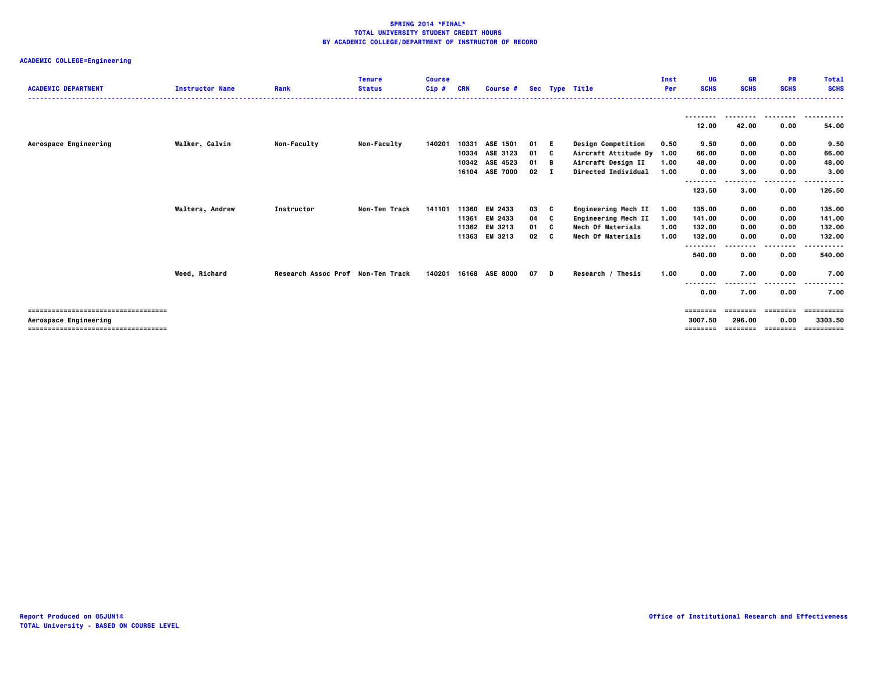| <b>ACADEMIC DEPARTMENT</b>                                                                          | <b>Instructor Name</b> | Rank                              | <b>Tenure</b><br><b>Status</b> | <b>Course</b><br>Cip# | <b>CRN</b>                       | Course #                                                 |                                            |              | Sec Type Title                                                                                             | Inst<br>Per                  | <b>UG</b><br><b>SCHS</b>             | <b>GR</b><br><b>SCHS</b>       | <b>PR</b><br><b>SCHS</b>     | <b>Total</b><br><b>SCHS</b><br>      |
|-----------------------------------------------------------------------------------------------------|------------------------|-----------------------------------|--------------------------------|-----------------------|----------------------------------|----------------------------------------------------------|--------------------------------------------|--------------|------------------------------------------------------------------------------------------------------------|------------------------------|--------------------------------------|--------------------------------|------------------------------|--------------------------------------|
|                                                                                                     |                        |                                   |                                |                       |                                  |                                                          |                                            |              |                                                                                                            |                              | --------<br>12.00                    | ---------<br>42.00             | .<br>0.00                    | .<br>54.00                           |
| Aerospace Engineering                                                                               | Walker, Calvin         | <b>Non-Faculty</b>                | <b>Non-Faculty</b>             | 140201                | 10331<br>10342                   | ASE 1501<br>10334 ASE 3123<br>ASE 4523<br>16104 ASE 7000 | 01 E<br>01<br>$01 \quad B$<br>$02 \quad I$ | C            | <b>Design Competition</b><br>Aircraft Attitude Dy 1.00<br>Aircraft Design II<br><b>Directed Individual</b> | 0.50<br>1.00<br>1.00         | 9.50<br>66.00<br>48.00<br>0.00       | 0.00<br>0.00<br>0.00<br>3.00   | 0.00<br>0.00<br>0.00<br>0.00 | 9.50<br>66.00<br>48.00<br>3.00       |
|                                                                                                     |                        |                                   |                                |                       |                                  |                                                          |                                            |              |                                                                                                            |                              | --------<br>123.50                   | 3.00                           | ----<br>0.00                 | 126.50                               |
|                                                                                                     | <b>Walters, Andrew</b> | Instructor                        | Non-Ten Track                  | 141101                | 11360<br>11361<br>11362<br>11363 | EM 2433<br>EM 2433<br>EM 3213<br>EM 3213                 | 03<br>04<br>01 C<br>02                     | C<br>C<br>C. | Engineering Mech II<br>Engineering Mech II<br>Mech Of Materials<br><b>Mech Of Materials</b>                | 1.00<br>1.00<br>1.00<br>1.00 | 135.00<br>141.00<br>132.00<br>132.00 | 0.00<br>0.00<br>0.00<br>0.00   | 0.00<br>0.00<br>0.00<br>0.00 | 135.00<br>141.00<br>132.00<br>132.00 |
|                                                                                                     |                        |                                   |                                |                       |                                  |                                                          |                                            |              |                                                                                                            |                              | --------<br>540.00                   | 0.00                           | .<br>0.00                    | .<br>540.00                          |
|                                                                                                     | Weed, Richard          | Research Assoc Prof Non-Ten Track |                                | 140201                |                                  | 16168 ASE 8000                                           | 07 D                                       |              | Research / Thesis                                                                                          | 1.00                         | 0.00<br>.<br>----<br>0.00            | 7.00<br>7.00                   | 0.00<br>0.00                 | 7.00<br>7.00                         |
| ===================================<br>Aerospace Engineering<br>=================================== |                        |                                   |                                |                       |                                  |                                                          |                                            |              |                                                                                                            |                              | ========<br>3007.50<br>========      | ========<br>296.00<br>======== | ========<br>0.00<br>======== | ==========<br>3303.50<br>==========  |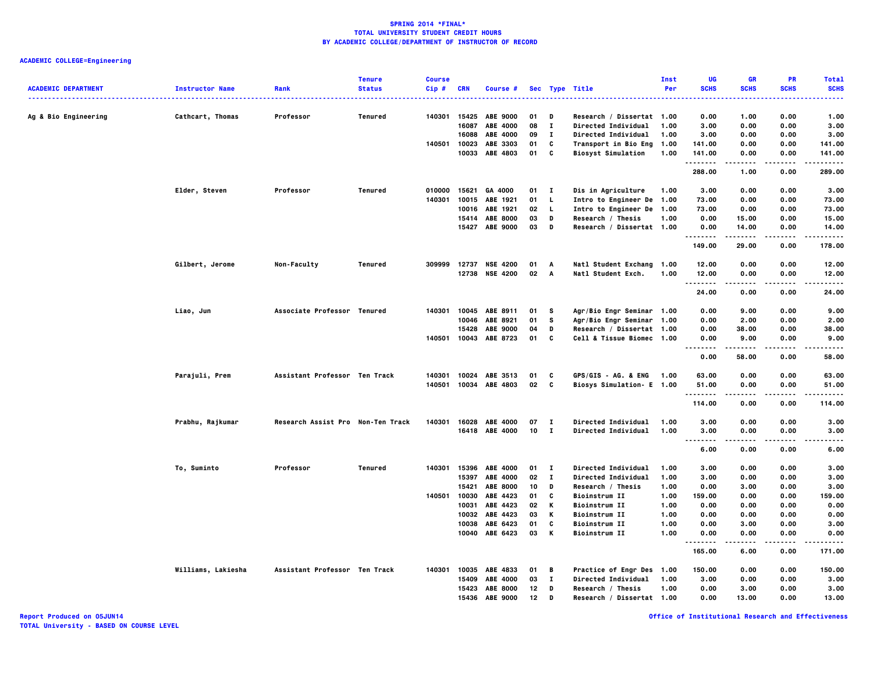| <b>ACADEMIC DEPARTMENT</b> | <b>Instructor Name</b> | Rank                              | <b>Tenure</b><br><b>Status</b> | <b>Course</b><br>Cip# | <b>CRN</b> | <b>Course #</b>       |      |              | Sec Type Title             | Inst<br>Per | UG<br><b>SCHS</b>                        | GR<br><b>SCHS</b>   | <b>PR</b><br><b>SCHS</b> | <b>Total</b><br><b>SCHS</b> |
|----------------------------|------------------------|-----------------------------------|--------------------------------|-----------------------|------------|-----------------------|------|--------------|----------------------------|-------------|------------------------------------------|---------------------|--------------------------|-----------------------------|
|                            |                        |                                   |                                |                       |            |                       |      |              | ----------------           |             | ----                                     |                     |                          | -----                       |
| Ag & Bio Engineering       | Cathcart, Thomas       | Professor                         | Tenured                        | 140301                | 15425      | <b>ABE 9000</b>       | 01   | Ð            | Research / Dissertat 1.00  |             | 0.00                                     | 1.00                | 0.00                     | 1.00                        |
|                            |                        |                                   |                                |                       | 16087      | ABE 4000              | 08   | $\mathbf{I}$ | Directed Individual        | 1.00        | 3.00                                     | 0.00                | 0.00                     | 3.00                        |
|                            |                        |                                   |                                |                       | 16088      | <b>ABE 4000</b>       | 09   | $\mathbf{I}$ | Directed Individual        | 1.00        | 3.00                                     | 0.00                | 0.00                     | 3.00                        |
|                            |                        |                                   |                                | 140501                | 10023      | ABE 3303              | 01   | C            | Transport in Bio Eng 1.00  |             | 141.00                                   | 0.00                | 0.00                     | 141.00                      |
|                            |                        |                                   |                                |                       | 10033      | ABE 4803              | 01   | C            | <b>Biosyst Simulation</b>  | 1.00        | 141.00<br>. <b>.</b>                     | 0.00<br>.           | 0.00<br>$- - -$          | 141.00<br>------            |
|                            |                        |                                   |                                |                       |            |                       |      |              |                            |             | 288.00                                   | 1.00                | 0.00                     | 289.00                      |
|                            | Elder, Steven          | Professor                         | Tenured                        | 010000                | 15621      | GA 4000               | 01   | $\mathbf{I}$ | Dis in Agriculture         | 1.00        | 3.00                                     | 0.00                | 0.00                     | 3.00                        |
|                            |                        |                                   |                                | 140301                | 10015      | ABE 1921              | 01   | $\mathbf{L}$ | Intro to Engineer De 1.00  |             | 73.00                                    | 0.00                | 0.00                     | 73.00                       |
|                            |                        |                                   |                                |                       |            | 10016 ABE 1921        | 02   | - L          | Intro to Engineer De 1.00  |             | 73.00                                    | 0.00                | 0.00                     | 73.00                       |
|                            |                        |                                   |                                |                       |            | 15414 ABE 8000        | 03   | D            | Research / Thesis          | 1.00        | 0.00                                     | 15.00               | 0.00                     | 15.00                       |
|                            |                        |                                   |                                |                       | 15427      | <b>ABE 9000</b>       | 03   | D            | Research / Dissertat 1.00  |             | 0.00                                     | 14.00               | 0.00                     | 14.00                       |
|                            |                        |                                   |                                |                       |            |                       |      |              |                            |             | <br>149.00                               | -----<br>29.00      | $\cdots$<br>0.00         | .<br>178,00                 |
|                            | Gilbert, Jerome        | Non-Faculty                       | Tenured                        |                       |            | 309999 12737 NSE 4200 | 01   | A            | Natl Student Exchang 1.00  |             | 12.00                                    | 0.00                | 0.00                     | 12.00                       |
|                            |                        |                                   |                                |                       |            | 12738 NSE 4200        | 02 A |              | Natl Student Exch.         | 1.00        | 12.00                                    | 0.00                | 0.00                     | 12.00                       |
|                            |                        |                                   |                                |                       |            |                       |      |              |                            |             | .                                        |                     | $\sim$ $\sim$ $\sim$     |                             |
|                            |                        |                                   |                                |                       |            |                       |      |              |                            |             | 24.00                                    | 0.00                | 0.00                     | 24.00                       |
|                            | Liao, Jun              | Associate Professor Tenured       |                                | 140301                |            | 10045 ABE 8911        | 01   | - S          | Agr/Bio Engr Seminar 1.00  |             | 0.00                                     | 9.00                | 0.00                     | 9.00                        |
|                            |                        |                                   |                                |                       | 10046      | ABE 8921              | 01   | s            | Agr/Bio Engr Seminar 1.00  |             | 0.00                                     | 2.00                | 0.00                     | 2.00                        |
|                            |                        |                                   |                                |                       | 15428      | <b>ABE 9000</b>       | 04   | D            | Research / Dissertat 1.00  |             | 0.00                                     | 38.00               | 0.00                     | 38.00                       |
|                            |                        |                                   |                                |                       |            | 140501 10043 ABE 8723 | 01   | C            | Cell & Tissue Biomec 1.00  |             | 0.00                                     | 9.00                | 0.00                     | 9.00                        |
|                            |                        |                                   |                                |                       |            |                       |      |              |                            |             | .<br>0.00                                | . <b>.</b><br>58.00 | .<br>0.00                | .<br>58,00                  |
|                            | Parajuli, Prem         | Assistant Professor Ten Track     |                                | 140301                |            | 10024 ABE 3513        | 01   | C            | GPS/GIS - AG. & ENG        | 1.00        | 63.00                                    | 0.00                | 0.00                     | 63.00                       |
|                            |                        |                                   |                                | 140501                |            | 10034 ABE 4803        | 02   | c            | Biosys Simulation- E 1.00  |             | 51.00                                    | 0.00                | 0.00                     | 51.00                       |
|                            |                        |                                   |                                |                       |            |                       |      |              |                            |             |                                          |                     |                          |                             |
|                            |                        |                                   |                                |                       |            |                       |      |              |                            |             | 114.00                                   | 0.00                | 0.00                     | 114.00                      |
|                            | Prabhu, Rajkumar       | Research Assist Pro Non-Ten Track |                                | 140301                |            | 16028 ABE 4000        | 07   | $\mathbf{I}$ | Directed Individual        | 1.00        | 3.00                                     | 0.00                | 0.00                     | 3.00                        |
|                            |                        |                                   |                                |                       |            | 16418 ABE 4000        | 10   | $\mathbf{I}$ | <b>Directed Individual</b> | 1.00        | 3.00                                     | 0.00                | 0.00                     | 3.00                        |
|                            |                        |                                   |                                |                       |            |                       |      |              |                            |             | $\cdots$<br>$\sim$ $\sim$ $\sim$<br>6.00 | -----<br>0.00       | .<br>0.00                | -----<br>6.00               |
|                            | To, Suminto            | Professor                         | Tenured                        | 140301                | 15396      | <b>ABE 4000</b>       | 01   | $\mathbf{I}$ | Directed Individual        | 1.00        | 3.00                                     | 0.00                | 0.00                     | 3.00                        |
|                            |                        |                                   |                                |                       | 15397      | ABE 4000              | 02   | $\mathbf{I}$ | Directed Individual        | 1.00        | 3.00                                     | 0.00                | 0.00                     | 3.00                        |
|                            |                        |                                   |                                |                       | 15421      | <b>ABE 8000</b>       | 10   | D            | Research / Thesis          | 1.00        | 0.00                                     | 3.00                | 0.00                     | 3.00                        |
|                            |                        |                                   |                                | 140501                | 10030      | ABE 4423              | 01   | C            | <b>Bioinstrum II</b>       | 1.00        | 159.00                                   | 0.00                | 0.00                     | 159.00                      |
|                            |                        |                                   |                                |                       | 10031      | ABE 4423              | 02   | К            | <b>Bioinstrum II</b>       | 1.00        | 0.00                                     | 0.00                | 0.00                     | 0.00                        |
|                            |                        |                                   |                                |                       |            | 10032 ABE 4423        | 03   | К            | <b>Bioinstrum II</b>       | 1.00        | 0.00                                     | 0.00                | 0.00                     | 0.00                        |
|                            |                        |                                   |                                |                       | 10038      | ABE 6423              | 01   | C            | <b>Bioinstrum II</b>       | 1.00        | 0.00                                     | 3.00                | 0.00                     | 3.00                        |
|                            |                        |                                   |                                |                       |            | 10040 ABE 6423        | 03   | $\mathbf{K}$ | <b>Bioinstrum II</b>       | 1.00        | 0.00                                     | 0.00                | 0.00                     | 0.00                        |
|                            |                        |                                   |                                |                       |            |                       |      |              |                            |             | .<br>165.00                              | 6.00                | 0.00                     | 171.00                      |
|                            | Williams, Lakiesha     | Assistant Professor Ten Track     |                                | 140301                | 10035      | ABE 4833              | 01   | В            | Practice of Engr Des 1.00  |             | 150.00                                   | 0.00                | 0.00                     | 150.00                      |
|                            |                        |                                   |                                |                       | 15409      | <b>ABE 4000</b>       | 03   | $\mathbf{I}$ | <b>Directed Individual</b> | 1.00        | 3.00                                     | 0.00                | 0.00                     | 3.00                        |
|                            |                        |                                   |                                |                       |            | 15423 ABE 8000        | 12   | D            | Research / Thesis          | 1.00        | 0.00                                     | 3.00                | 0.00                     | 3.00                        |
|                            |                        |                                   |                                |                       | 15436      | <b>ABE 9000</b>       | 12   | Ð            | Research / Dissertat 1.00  |             | 0.00                                     | 13.00               | 0.00                     | 13.00                       |
|                            |                        |                                   |                                |                       |            |                       |      |              |                            |             |                                          |                     |                          |                             |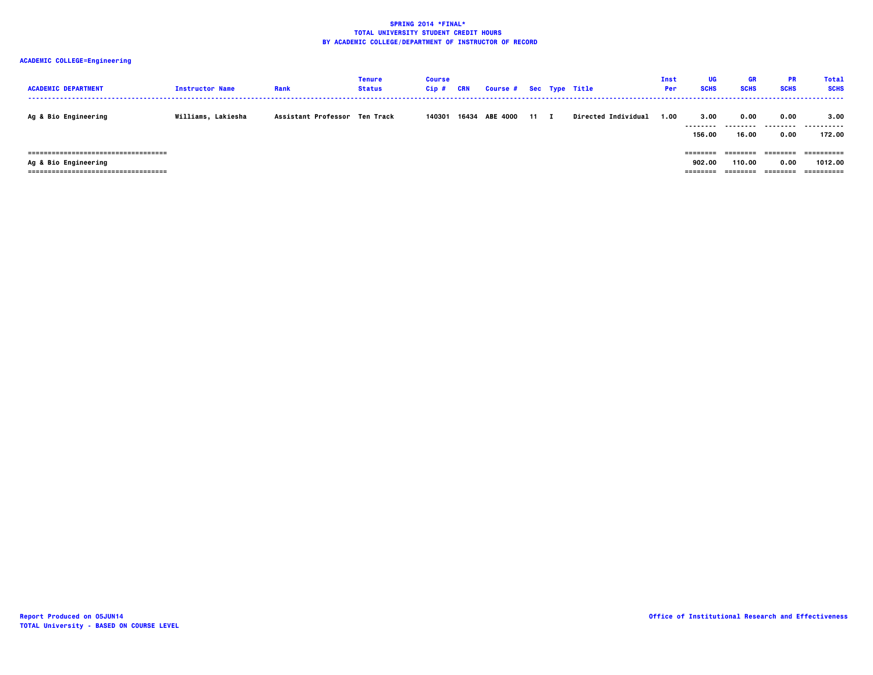| <b>ACADEMIC DEPARTMENT</b>                                                                             | <b>Instructor Name</b> | Rank                          | Tenure<br><b>Status</b> | <b>Course</b><br>Cip# | CRN   | Course # Sec Type Title |      |                            | <b>Inst</b><br>Per | UG<br><b>SCHS</b>              | GR<br><b>SCHS</b>              | <b>PR</b><br><b>SCHS</b>              | <b>Total</b><br><b>SCHS</b>         |
|--------------------------------------------------------------------------------------------------------|------------------------|-------------------------------|-------------------------|-----------------------|-------|-------------------------|------|----------------------------|--------------------|--------------------------------|--------------------------------|---------------------------------------|-------------------------------------|
| <b>Ag &amp; Bio Engineering</b>                                                                        | Williams, Lakiesha     | Assistant Professor Ten Track |                         | 140301                | 16434 | <b>ABE 4000</b>         | 11 I | <b>Directed Individual</b> | 1.00               | 3.00<br>---------<br>156.00    | 0.00<br>.<br>16.00             | 0.00<br>---------<br>0.00             | 3.00<br>----------<br>172.00        |
| -------------------------------------<br>Ag & Bio Engineering<br>------------------------------------- |                        |                               |                         |                       |       |                         |      |                            |                    | ========<br>902.00<br>======== | --------<br>110.00<br>======== | $= 22222222$<br>0.00<br>$= 222222222$ | ==========<br>1012.00<br>========== |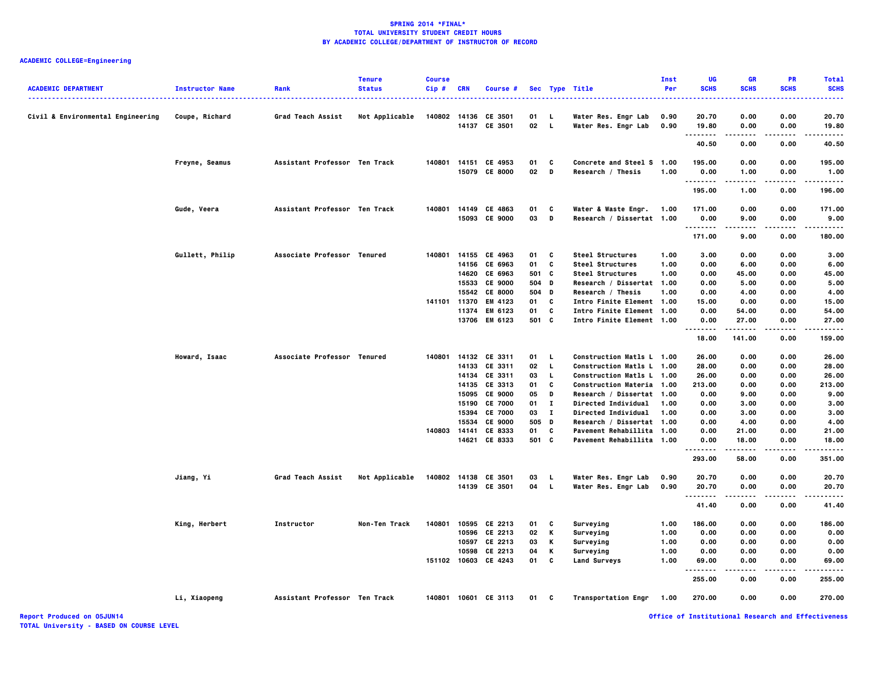# **ACADEMIC COLLEGE=Engineering**

| <b>ACADEMIC DEPARTMENT</b><br>------------------------------------ | <b>Instructor Name</b><br>. | Rank                          | <b>Tenure</b><br><b>Status</b> | <b>Course</b><br>Cip# | <b>CRN</b>     | Course #                       |          |              | Sec Type Title                                         | Inst<br>Per | UG<br><b>SCHS</b> | <b>GR</b><br><b>SCHS</b> | <b>PR</b><br><b>SCHS</b> | <b>Total</b><br><b>SCHS</b><br>. |
|--------------------------------------------------------------------|-----------------------------|-------------------------------|--------------------------------|-----------------------|----------------|--------------------------------|----------|--------------|--------------------------------------------------------|-------------|-------------------|--------------------------|--------------------------|----------------------------------|
| Civil & Environmental Engineering                                  | Coupe, Richard              | Grad Teach Assist             | Not Applicable                 | 140802                | 14136          | CE 3501                        | 01       | - L          | Water Res. Engr Lab                                    | 0.90        | 20.70             | 0.00                     | 0.00                     | 20.70                            |
|                                                                    |                             |                               |                                |                       |                | 14137 CE 3501                  | 02       | $\mathbf{L}$ | Water Res. Engr Lab                                    | 0.90        | 19.80<br>.        | 0.00                     | 0.00                     | 19.80                            |
|                                                                    |                             |                               |                                |                       |                |                                |          |              |                                                        |             | 40.50             | 0.00                     | 0.00                     | 40.50                            |
|                                                                    |                             |                               |                                | 140801                |                |                                |          | C            |                                                        |             |                   |                          |                          |                                  |
|                                                                    | Freyne, Seamus              | Assistant Professor Ten Track |                                |                       |                | 14151 CE 4953<br>15079 CE 8000 | 01<br>02 | D            | Concrete and Steel S 1.00<br>Research / Thesis         | 1.00        | 195.00<br>0.00    | 0.00<br>1.00             | 0.00<br>0.00             | 195.00<br>1.00                   |
|                                                                    |                             |                               |                                |                       |                |                                |          |              |                                                        |             | .                 | ----                     | $- - - -$                |                                  |
|                                                                    |                             |                               |                                |                       |                |                                |          |              |                                                        |             | 195.00            | 1.00                     | 0.00                     | 196.00                           |
|                                                                    | Gude, Veera                 | Assistant Professor Ten Track |                                | 140801                |                | 14149 CE 4863                  | 01       | c            | Water & Waste Engr.                                    | 1.00        | 171.00            | 0.00                     | 0.00                     | 171.00                           |
|                                                                    |                             |                               |                                |                       |                | 15093 CE 9000                  | 03       | D            | Research / Dissertat 1.00                              |             | 0.00              | 9.00                     | 0.00                     | 9.00                             |
|                                                                    |                             |                               |                                |                       |                |                                |          |              |                                                        |             | .<br>171.00       | 9.00                     | 0.00                     | 180.00                           |
|                                                                    | Gullett, Philip             | Associate Professor Tenured   |                                |                       |                | 140801 14155 CE 4963           | 01       | c            | Steel Structures                                       | 1.00        | 3.00              | 0.00                     | 0.00                     | 3.00                             |
|                                                                    |                             |                               |                                |                       | 14156          | CE 6963                        | 01       | C            | Steel Structures                                       | 1.00        | 0.00              | 6.00                     | 0.00                     | 6.00                             |
|                                                                    |                             |                               |                                |                       | 14620          | CE 6963                        | 501 C    |              | <b>Steel Structures</b>                                | 1.00        | 0.00              | 45.00                    | 0.00                     | 45.00                            |
|                                                                    |                             |                               |                                |                       |                | 15533 CE 9000                  | 504 D    |              | Research / Dissertat 1.00                              |             | 0.00              | 5.00                     | 0.00                     | 5.00                             |
|                                                                    |                             |                               |                                |                       | 15542          | <b>CE 8000</b>                 | 504      | D            | Research / Thesis                                      | 1.00        | 0.00              | 4.00                     | 0.00                     | 4.00                             |
|                                                                    |                             |                               |                                | 141101                | 11370<br>11374 | EM 4123<br>EM 6123             | 01<br>01 | C<br>C       | Intro Finite Element 1.00<br>Intro Finite Element 1.00 |             | 15.00<br>0.00     | 0.00<br>54.00            | 0.00<br>0.00             | 15.00<br>54.00                   |
|                                                                    |                             |                               |                                |                       |                | 13706 EM 6123                  | 501 C    |              | Intro Finite Element 1.00                              |             | 0.00              | 27.00                    | 0.00                     | 27.00                            |
|                                                                    |                             |                               |                                |                       |                |                                |          |              |                                                        |             | .<br>18.00        | .<br>141.00              | .<br>0.00                | .<br>159.00                      |
|                                                                    |                             |                               |                                |                       |                |                                |          |              |                                                        |             |                   |                          |                          |                                  |
|                                                                    | Howard, Isaac               | Associate Professor Tenured   |                                | 140801                |                | 14132 CE 3311                  | 01       | L.           | Construction Matls L 1.00                              |             | 26.00             | 0.00                     | 0.00                     | 26.00                            |
|                                                                    |                             |                               |                                |                       | 14133          | CE 3311                        | 02       | L            | Construction Matls L 1.00                              |             | 28.00             | 0.00                     | 0.00                     | 28.00                            |
|                                                                    |                             |                               |                                |                       |                | 14134 CE 3311<br>14135 CE 3313 | 03<br>01 | L.<br>c      | Construction Matls L 1.00<br>Construction Materia 1.00 |             | 26.00<br>213.00   | 0.00<br>0.00             | 0.00<br>0.00             | 26.00<br>213.00                  |
|                                                                    |                             |                               |                                |                       | 15095          | <b>CE 9000</b>                 | 05       | D            | Research / Dissertat 1.00                              |             | 0.00              | 9.00                     | 0.00                     | 9.00                             |
|                                                                    |                             |                               |                                |                       | 15190          | <b>CE 7000</b>                 | 01       | п            | <b>Directed Individual</b>                             | 1.00        | 0.00              | 3.00                     | 0.00                     | 3.00                             |
|                                                                    |                             |                               |                                |                       | 15394          | <b>CE 7000</b>                 | 03       | $\mathbf{I}$ | <b>Directed Individual</b>                             | 1.00        | 0.00              | 3.00                     | 0.00                     | 3.00                             |
|                                                                    |                             |                               |                                |                       | 15534          | CE 9000                        | 505      | D            | Research / Dissertat 1.00                              |             | 0.00              | 4.00                     | 0.00                     | 4.00                             |
|                                                                    |                             |                               |                                | 140803                | 14141          | CE 8333                        | 01       | C            | Pavement Rehabillita 1.00                              |             | 0.00              | 21.00                    | 0.00                     | 21.00                            |
|                                                                    |                             |                               |                                |                       |                | 14621 CE 8333                  | 501 C    |              | Pavement Rehabillita 1.00                              |             | 0.00<br>.         | 18.00<br>.               | 0.00<br>.                | 18.00                            |
|                                                                    |                             |                               |                                |                       |                |                                |          |              |                                                        |             | 293.00            | 58.00                    | 0.00                     | 351.00                           |
|                                                                    | Jiang, Yi                   | Grad Teach Assist             | Not Applicable                 | 140802                |                | 14138 CE 3501                  | 03       | L            | Water Res. Engr Lab                                    | 0.90        | 20.70             | 0.00                     | 0.00                     | 20.70                            |
|                                                                    |                             |                               |                                |                       |                | 14139 CE 3501                  | 04       | $\mathbf{L}$ | Water Res. Engr Lab                                    | 0.90        | 20.70             | 0.00                     | 0.00                     | 20.70                            |
|                                                                    |                             |                               |                                |                       |                |                                |          |              |                                                        |             | .<br>41.40        | 0.00                     | 0.00                     | 41.40                            |
|                                                                    | King, Herbert               | Instructor                    | Non-Ten Track                  | 140801                |                | 10595 CE 2213                  | 01       | c            | Surveying                                              | 1.00        | 186.00            | 0.00                     | 0.00                     | 186.00                           |
|                                                                    |                             |                               |                                |                       |                | 10596 CE 2213                  | 02       | Κ            | Surveying                                              | 1.00        | 0.00              | 0.00                     | 0.00                     | 0.00                             |
|                                                                    |                             |                               |                                |                       |                | 10597 CE 2213                  | 03       | Κ            | Surveying                                              | 1.00        | 0.00              | 0.00                     | 0.00                     | 0.00                             |
|                                                                    |                             |                               |                                |                       |                | 10598 CE 2213                  | 04       | Κ            | Surveying                                              | 1.00        | 0.00              | 0.00                     | 0.00                     | 0.00                             |
|                                                                    |                             |                               |                                |                       |                | 151102 10603 CE 4243           | 01       | C            | <b>Land Surveys</b>                                    | 1.00        | 69.00<br>         | 0.00                     | 0.00                     | 69.00                            |
|                                                                    |                             |                               |                                |                       |                |                                |          |              |                                                        |             | 255.00            | 0.00                     | 0.00                     | 255.00                           |
|                                                                    | Li, Xiaopeng                | Assistant Professor Ten Track |                                |                       |                | 140801 10601 CE 3113           | 01 C     |              | <b>Transportation Engr</b>                             | 1.00        | 270.00            | 0.00                     | 0.00                     | 270.00                           |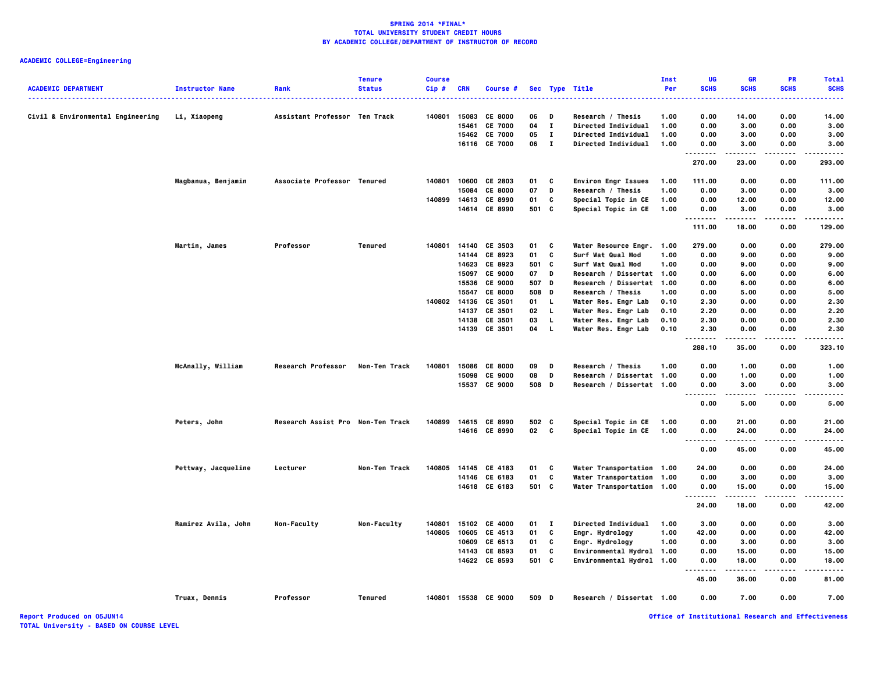# **ACADEMIC COLLEGE=Engineering**

| <b>ACADEMIC DEPARTMENT</b>        | <b>Instructor Name</b><br>. | Rank                              | <b>Tenure</b><br><b>Status</b> | <b>Course</b><br>$Cip$ # | <b>CRN</b>     | Course #             |          |              | Sec Type Title                         | Inst<br>Per  | UG<br><b>SCHS</b> | <b>GR</b><br><b>SCHS</b> | <b>PR</b><br><b>SCHS</b> | <b>Total</b><br><b>SCHS</b> |
|-----------------------------------|-----------------------------|-----------------------------------|--------------------------------|--------------------------|----------------|----------------------|----------|--------------|----------------------------------------|--------------|-------------------|--------------------------|--------------------------|-----------------------------|
| Civil & Environmental Engineering | Li, Xiaopeng                | Assistant Professor Ten Track     |                                | 140801                   | 15083          | <b>CE 8000</b>       | 06       | Ð            | Research / Thesis                      | 1.00         | 0.00              | 14.00                    | 0.00                     | 14.00                       |
|                                   |                             |                                   |                                |                          | 15461          | <b>CE 7000</b>       | 04       | $\mathbf{I}$ | Directed Individual                    | 1.00         | 0.00              | 3.00                     | 0.00                     | 3.00                        |
|                                   |                             |                                   |                                |                          | 15462          | <b>CE 7000</b>       | 05       | $\mathbf{I}$ | Directed Individual                    | 1.00         | 0.00              | 3.00                     | 0.00                     | 3.00                        |
|                                   |                             |                                   |                                |                          |                | 16116 CE 7000        | 06       | $\mathbf{I}$ | <b>Directed Individual</b>             | 1.00         | 0.00<br><br>.     | 3.00                     | 0.00                     | 3.00                        |
|                                   |                             |                                   |                                |                          |                |                      |          |              |                                        |              | 270.00            | 23.00                    | 0.00                     | 293.00                      |
|                                   | Magbanua, Benjamin          | Associate Professor Tenured       |                                | 140801                   |                | 10600 CE 2803        | 01       | C            | <b>Environ Engr Issues</b>             | 1.00         | 111.00            | 0.00                     | 0.00                     | 111.00                      |
|                                   |                             |                                   |                                |                          | 15084          | <b>CE 8000</b>       | 07       | D            | Research / Thesis                      | 1.00         | 0.00              | 3.00                     | 0.00                     | 3.00                        |
|                                   |                             |                                   |                                | 140899                   |                | 14613 CE 8990        | 01       | C            | Special Topic in CE                    | 1.00         | 0.00              | 12.00                    | 0.00                     | 12.00                       |
|                                   |                             |                                   |                                |                          |                | 14614 CE 8990        | 501 C    |              | Special Topic in CE                    | 1.00         | 0.00<br>.         | 3.00                     | 0.00                     | 3.00                        |
|                                   |                             |                                   |                                |                          |                |                      |          |              |                                        |              | 111.00            | 18.00                    | 0.00                     | 129.00                      |
|                                   | Martin, James               | Professor                         | <b>Tenured</b>                 | 140801                   |                | 14140 CE 3503        | 01<br>01 | c<br>C       | Water Resource Engr.                   | 1.00         | 279.00            | 0.00                     | 0.00                     | 279.00                      |
|                                   |                             |                                   |                                |                          | 14144<br>14623 | CE 8923<br>CE 8923   | 501 C    |              | Surf Wat Qual Mod<br>Surf Wat Qual Mod | 1.00<br>1.00 | 0.00<br>0.00      | 9.00<br>9.00             | 0.00<br>0.00             | 9.00<br>9.00                |
|                                   |                             |                                   |                                |                          | 15097          | CE 9000              | 07       | D            | Research / Dissertat 1.00              |              | 0.00              | 6.00                     | 0.00                     | 6.00                        |
|                                   |                             |                                   |                                |                          | 15536          | <b>CE 9000</b>       | 507 D    |              | Research / Dissertat 1.00              |              | 0.00              | 6.00                     | 0.00                     | 6.00                        |
|                                   |                             |                                   |                                |                          |                | 15547 CE 8000        | 508 D    |              | Research / Thesis                      | 1.00         | 0.00              | 5.00                     | 0.00                     | 5.00                        |
|                                   |                             |                                   |                                | 140802                   | 14136          | CE 3501              | 01       | L            | Water Res. Engr Lab                    | 0.10         | 2.30              | 0.00                     | 0.00                     | 2.30                        |
|                                   |                             |                                   |                                |                          | 14137          | CE 3501              | 02       | L            | Water Res. Engr Lab                    | 0.10         | 2.20              | 0.00                     | 0.00                     | 2.20                        |
|                                   |                             |                                   |                                |                          | 14138          | CE 3501              | 03       | L.           | Water Res. Engr Lab                    | 0.10         | 2.30              | 0.00                     | 0.00                     | 2.30                        |
|                                   |                             |                                   |                                |                          |                | 14139 CE 3501        | 04       | L.           | Water Res. Engr Lab                    | 0.10         | 2.30              | 0.00                     | 0.00                     | 2.30                        |
|                                   |                             |                                   |                                |                          |                |                      |          |              |                                        |              | .<br>.<br>288.10  | .<br>35.00               | .<br>0.00                | .<br>323.10                 |
|                                   | McAnally, William           | Research Professor                | Non-Ten Track                  | 140801                   | 15086          | <b>CE 8000</b>       | 09       | D            | Research / Thesis                      | 1.00         | 0.00              | 1.00                     | 0.00                     | 1.00                        |
|                                   |                             |                                   |                                |                          | 15098          | <b>CE 9000</b>       | 08       | D            | Research / Dissertat 1.00              |              | 0.00              | 1.00                     | 0.00                     | 1.00                        |
|                                   |                             |                                   |                                |                          |                | 15537 CE 9000        | 508 D    |              | Research / Dissertat 1.00              |              | 0.00<br><br>.     | 3.00<br>----             | 0.00                     | 3.00                        |
|                                   |                             |                                   |                                |                          |                |                      |          |              |                                        |              | 0.00              | 5.00                     | 0.00                     | 5.00                        |
|                                   | Peters, John                | Research Assist Pro Non-Ten Track |                                | 140899                   |                | 14615 CE 8990        | 502 C    |              | Special Topic in CE                    | 1.00         | 0.00              | 21.00                    | 0.00                     | 21.00                       |
|                                   |                             |                                   |                                |                          |                | 14616 CE 8990        | 02       | C            | Special Topic in CE                    | 1.00         | 0.00              | 24.00                    | 0.00                     | 24.00                       |
|                                   |                             |                                   |                                |                          |                |                      |          |              |                                        |              | -----<br>         | .                        | .                        |                             |
|                                   |                             |                                   |                                |                          |                |                      |          |              |                                        |              | 0.00              | 45.00                    | 0.00                     | 45.00                       |
|                                   | Pettway, Jacqueline         | Lecturer                          | Non-Ten Track                  | 140805                   |                | 14145 CE 4183        | 01       | C            | Water Transportation 1.00              |              | 24.00             | 0.00                     | 0.00                     | 24.00                       |
|                                   |                             |                                   |                                |                          |                | 14146 CE 6183        | 01       | C            | Water Transportation 1.00              |              | 0.00              | 3.00                     | 0.00                     | 3.00                        |
|                                   |                             |                                   |                                |                          |                | 14618 CE 6183        | 501 C    |              | Water Transportation 1.00              |              | 0.00<br>          | 15.00<br>.               | 0.00<br>.                | 15.00<br>.                  |
|                                   |                             |                                   |                                |                          |                |                      |          |              |                                        |              | 24.00             | 18.00                    | 0.00                     | 42.00                       |
|                                   | Ramirez Avila, John         | Non-Faculty                       | Non-Faculty                    | 140801                   |                | 15102 CE 4000        | 01       | $\mathbf{I}$ | Directed Individual                    | 1.00         | 3.00              | 0.00                     | 0.00                     | 3.00                        |
|                                   |                             |                                   |                                | 140805                   |                | 10605 CE 4513        | 01       | C            | Engr. Hydrology                        | 1.00         | 42.00             | 0.00                     | 0.00                     | 42.00                       |
|                                   |                             |                                   |                                |                          | 10609          | CE 6513              | 01       | C            | Engr. Hydrology                        | 1.00         | 0.00              | 3.00                     | 0.00                     | 3.00                        |
|                                   |                             |                                   |                                |                          |                | 14143 CE 8593        | 01       | C            | Environmental Hydrol 1.00              |              | 0.00              | 15.00                    | 0.00                     | 15.00                       |
|                                   |                             |                                   |                                |                          |                | 14622 CE 8593        | 501 C    |              | Environmental Hydrol 1.00              |              | 0.00<br>          | 18.00                    | 0.00                     | 18.00                       |
|                                   |                             |                                   |                                |                          |                |                      |          |              |                                        |              | 45.00             | 36.00                    | 0.00                     | 81.00                       |
|                                   | Truax, Dennis               | Professor                         | Tenured                        |                          |                | 140801 15538 CE 9000 | 509 D    |              | Research / Dissertat 1.00              |              | 0.00              | 7.00                     | 0.00                     | 7.00                        |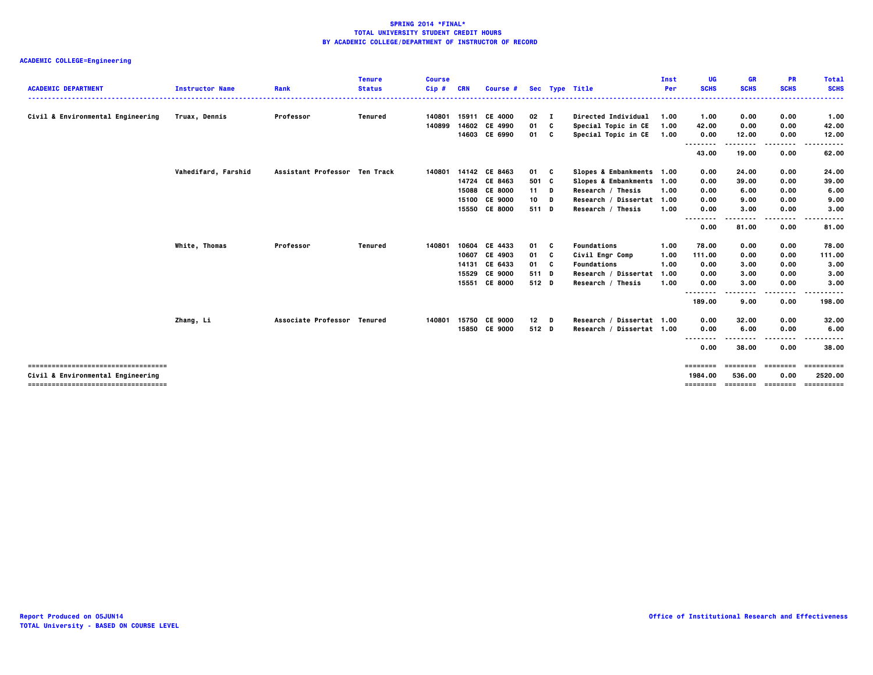|                                                                            |                        |                               | <b>Tenure</b>  | <b>Course</b> |            |                |              |     |                           | Inst | UG                  | GR                          | <b>PR</b>   | <b>Total</b>           |
|----------------------------------------------------------------------------|------------------------|-------------------------------|----------------|---------------|------------|----------------|--------------|-----|---------------------------|------|---------------------|-----------------------------|-------------|------------------------|
| <b>ACADEMIC DEPARTMENT</b>                                                 | <b>Instructor Name</b> | Rank                          | <b>Status</b>  | $Cip$ #       | <b>CRN</b> | Course #       |              |     | Sec Type Title            | Per  | <b>SCHS</b>         | <b>SCHS</b>                 | <b>SCHS</b> | <b>SCHS</b><br>.       |
| Civil & Environmental Engineering                                          | Truax, Dennis          | Professor                     | Tenured        | 140801        |            | 15911 CE 4000  | $02 \quad I$ |     | Directed Individual       | 1.00 | 1.00                | 0.00                        | 0.00        | 1.00                   |
|                                                                            |                        |                               |                | 140899        | 14602      | CE 4990        | 01           | C   | Special Topic in CE       | 1.00 | 42.00               | 0.00                        | 0.00        | 42.00                  |
|                                                                            |                        |                               |                |               |            | 14603 CE 6990  | 01           | c   | Special Topic in CE       | 1.00 | 0.00                | 12.00                       | 0.00        | 12.00                  |
|                                                                            |                        |                               |                |               |            |                |              |     |                           |      | <br>43.00           | 19.00                       | .<br>0.00   | 62.00                  |
|                                                                            | Vahedifard, Farshid    | Assistant Professor Ten Track |                | 140801        |            | 14142 CE 8463  | 01 C         |     | Slopes & Embankments 1.00 |      | 0.00                | 24.00                       | 0.00        | 24.00                  |
|                                                                            |                        |                               |                |               |            | 14724 CE 8463  | 501 C        |     | Slopes & Embankments 1.00 |      | 0.00                | 39.00                       | 0.00        | 39.00                  |
|                                                                            |                        |                               |                |               | 15088      | <b>CE 8000</b> | $11$ D       |     | Research / Thesis         | 1.00 | 0.00                | 6.00                        | 0.00        | 6.00                   |
|                                                                            |                        |                               |                |               | 15100      | <b>CE 9000</b> | 10           | D   | Research / Dissertat 1.00 |      | 0.00                | 9.00                        | 0.00        | 9.00                   |
|                                                                            |                        |                               |                |               | 15550      | <b>CE 8000</b> | 511 D        |     | Research / Thesis         | 1.00 | 0.00<br>--------    | 3.00                        | 0.00        | 3.00                   |
|                                                                            |                        |                               |                |               |            |                |              |     |                           |      | 0.00                | 81.00                       | 0.00        | 81.00                  |
|                                                                            | White, Thomas          | Professor                     | <b>Tenured</b> | 140801        |            | 10604 CE 4433  | 01           | C   | Foundations               | 1.00 | 78.00               | 0.00                        | 0.00        | 78.00                  |
|                                                                            |                        |                               |                |               | 10607      | CE 4903        | 01           | C   | Civil Engr Comp           | 1.00 | 111.00              | 0.00                        | 0.00        | 111.00                 |
|                                                                            |                        |                               |                |               | 14131      | CE 6433        | 01 -         | - C | Foundations               | 1.00 | 0.00                | 3.00                        | 0.00        | 3.00                   |
|                                                                            |                        |                               |                |               | 15529      | <b>CE 9000</b> | 511 D        |     | Research / Dissertat      | 1.00 | 0.00                | 3.00                        | 0.00        | 3.00                   |
|                                                                            |                        |                               |                |               | 15551      | <b>CE 8000</b> | 512 D        |     | Research / Thesis         | 1.00 | 0.00                | 3.00                        | 0.00        | 3.00                   |
|                                                                            |                        |                               |                |               |            |                |              |     |                           |      | .<br>.<br>189.00    | 9.00                        | .<br>0.00   | . <b>.</b> .<br>198.00 |
|                                                                            | Zhang, Li              | Associate Professor Tenured   |                | 140801        | 15750      | <b>CE 9000</b> | $12$ D       |     | Research / Dissertat 1.00 |      | 0.00                | 32.00                       | 0.00        | 32.00                  |
|                                                                            |                        |                               |                |               |            | 15850 CE 9000  | 512 D        |     | Research / Dissertat 1.00 |      | 0.00                | 6.00                        | 0.00        | 6.00                   |
|                                                                            |                        |                               |                |               |            |                |              |     |                           |      | .                   | .                           | .           |                        |
|                                                                            |                        |                               |                |               |            |                |              |     |                           |      | 0.00                | 38.00                       | 0.00        | 38.00                  |
| -------------------------------------                                      |                        |                               |                |               |            |                |              |     |                           |      | ========            | <b>ESSESSE</b>              | ========    | ==========             |
| Civil & Environmental Engineering<br>------------------------------------- |                        |                               |                |               |            |                |              |     |                           |      | 1984.00<br>======== | 536.00<br>essesses essesses | 0.00        | 2520.00<br>==========  |
|                                                                            |                        |                               |                |               |            |                |              |     |                           |      |                     |                             |             |                        |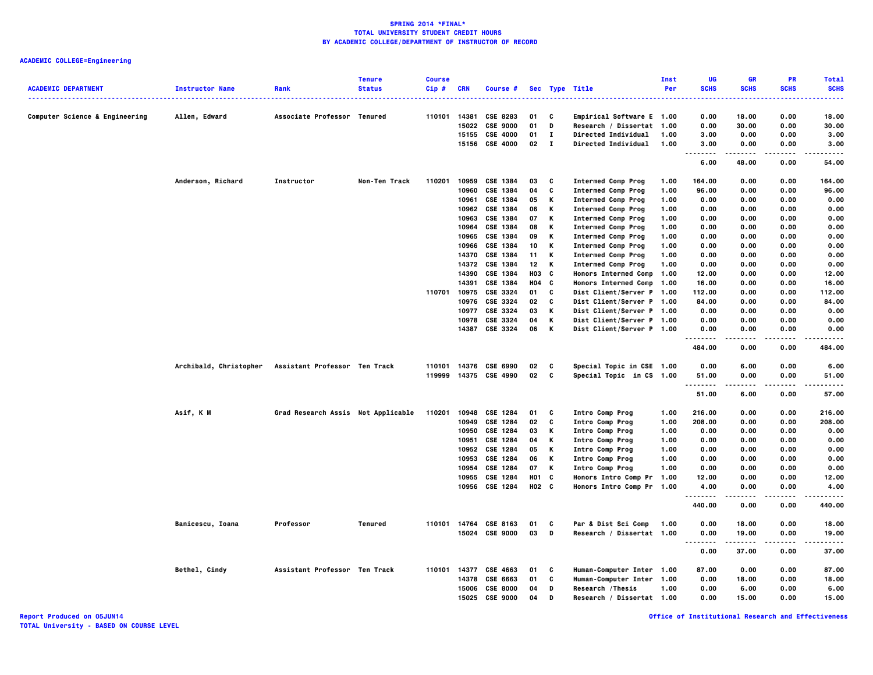|                                |                        |                                    | <b>Tenure</b> | <b>Course</b> |            |                       |                   |              |                                  | <b>Inst</b> | UG                                | <b>GR</b>   | <b>PR</b>   | <b>Total</b>                                                                                                                             |
|--------------------------------|------------------------|------------------------------------|---------------|---------------|------------|-----------------------|-------------------|--------------|----------------------------------|-------------|-----------------------------------|-------------|-------------|------------------------------------------------------------------------------------------------------------------------------------------|
| <b>ACADEMIC DEPARTMENT</b>     | <b>Instructor Name</b> | Rank                               | <b>Status</b> | Cip#          | <b>CRN</b> | Course #              |                   |              | Sec Type Title                   | Per         | <b>SCHS</b><br>                   | <b>SCHS</b> | <b>SCHS</b> | <b>SCHS</b><br>$\frac{1}{2} \left( \frac{1}{2} \right) \left( \frac{1}{2} \right) \left( \frac{1}{2} \right) \left( \frac{1}{2} \right)$ |
| Computer Science & Engineering | Allen, Edward          | Associate Professor Tenured        |               | 110101 14381  |            | CSE 8283              | 01                | C            | Empirical Software E 1.00        |             | 0.00                              | 18.00       | 0.00        | 18.00                                                                                                                                    |
|                                |                        |                                    |               |               | 15022      | <b>CSE 9000</b>       | 01                | D            | Research / Dissertat 1.00        |             | 0.00                              | 30.00       | 0.00        | 30.00                                                                                                                                    |
|                                |                        |                                    |               |               |            | 15155 CSE 4000        | 01                | $\mathbf{I}$ | <b>Directed Individual</b>       | 1.00        | 3.00                              | 0.00        | 0.00        | 3.00                                                                                                                                     |
|                                |                        |                                    |               |               |            | 15156 CSE 4000        | $02 \quad 1$      |              | Directed Individual              | 1.00        | 3.00                              | 0.00        | 0.00        | 3.00                                                                                                                                     |
|                                |                        |                                    |               |               |            |                       |                   |              |                                  |             | $\sim$ $\sim$ $\sim$<br>.<br>6.00 | 48.00       | 0.00        | $- - - -$<br>54.00                                                                                                                       |
|                                | Anderson, Richard      | Instructor                         | Non-Ten Track | 110201        | 10959      | <b>CSE 1384</b>       | 03                | C            | <b>Intermed Comp Prog</b>        | 1.00        | 164.00                            | 0.00        | 0.00        | 164.00                                                                                                                                   |
|                                |                        |                                    |               |               | 10960      | CSE 1384              | 04                | C            | <b>Intermed Comp Prog</b>        | 1.00        | 96.00                             | 0.00        | 0.00        | 96.00                                                                                                                                    |
|                                |                        |                                    |               |               | 10961      | CSE 1384              | 05                | Κ            | <b>Intermed Comp Prog</b>        | 1.00        | 0.00                              | 0.00        | 0.00        | 0.00                                                                                                                                     |
|                                |                        |                                    |               |               |            | 10962 CSE 1384        | 06                | Κ            | <b>Intermed Comp Prog</b>        | 1.00        | 0.00                              | 0.00        | 0.00        | 0.00                                                                                                                                     |
|                                |                        |                                    |               |               | 10963      | <b>CSE 1384</b>       | 07                | Κ            | <b>Intermed Comp Prog</b>        | 1.00        | 0.00                              | 0.00        | 0.00        | 0.00                                                                                                                                     |
|                                |                        |                                    |               |               | 10964      | <b>CSE 1384</b>       | 08                | Κ            | <b>Intermed Comp Prog</b>        | 1.00        | 0.00                              | 0.00        | 0.00        | 0.00                                                                                                                                     |
|                                |                        |                                    |               |               | 10965      | CSE 1384              | 09                | К            | <b>Intermed Comp Prog</b>        | 1.00        | 0.00                              | 0.00        | 0.00        | 0.00                                                                                                                                     |
|                                |                        |                                    |               |               | 10966      | <b>CSE 1384</b>       | 10                | Κ            | <b>Intermed Comp Prog</b>        | 1.00        | 0.00                              | 0.00        | 0.00        | 0.00                                                                                                                                     |
|                                |                        |                                    |               |               | 14370      | <b>CSE 1384</b>       | 11                | Κ            | <b>Intermed Comp Prog</b>        | 1.00        | 0.00                              | 0.00        | 0.00        | 0.00                                                                                                                                     |
|                                |                        |                                    |               |               |            | 14372 CSE 1384        | 12                | К            | <b>Intermed Comp Prog</b>        | 1.00        | 0.00                              | 0.00        | 0.00        | 0.00                                                                                                                                     |
|                                |                        |                                    |               |               | 14390      | CSE 1384              | ноз               | C            | <b>Honors Intermed Comp</b>      | 1.00        | 12.00                             | 0.00        | 0.00        | 12.00                                                                                                                                    |
|                                |                        |                                    |               |               | 14391      | CSE 1384              | H04               | <b>C</b>     | <b>Honors Intermed Comp</b>      | 1.00        | 16.00                             | 0.00        | 0.00        | 16.00                                                                                                                                    |
|                                |                        |                                    |               | 110701        | 10975      | <b>CSE 3324</b>       | 01                | c            | <b>Dist Client/Server P</b>      | 1.00        | 112.00                            | 0.00        | 0.00        | 112.00                                                                                                                                   |
|                                |                        |                                    |               |               | 10976      | CSE 3324              | 02                | C            | <b>Dist Client/Server P 1.00</b> |             | 84.00                             | 0.00        | 0.00        | 84.00                                                                                                                                    |
|                                |                        |                                    |               |               | 10977      | CSE 3324              | 03                | К            | Dist Client/Server P 1.00        |             | 0.00                              | 0.00        | 0.00        | 0.00                                                                                                                                     |
|                                |                        |                                    |               |               | 10978      | CSE 3324              | 04                | Κ            | Dist Client/Server P 1.00        |             | 0.00                              | 0.00        | 0.00        | 0.00                                                                                                                                     |
|                                |                        |                                    |               |               |            | 14387 CSE 3324        | 06                | К            | Dist Client/Server P 1.00        |             | 0.00<br>.                         | 0.00<br>.   | 0.00        | 0.00<br>.                                                                                                                                |
|                                |                        |                                    |               |               |            |                       |                   |              |                                  |             | 484.00                            | 0.00        | 0.00        | 484.00                                                                                                                                   |
|                                | Archibald, Christopher | Assistant Professor Ten Track      |               |               |            | 110101 14376 CSE 6990 | 02                | C            | Special Topic in CSE 1.00        |             | 0.00                              | 6.00        | 0.00        | 6.00                                                                                                                                     |
|                                |                        |                                    |               | 119999        |            | 14375 CSE 4990        | 02                | <b>C</b>     | Special Topic in CS 1.00         |             | 51.00<br>.                        | 0.00<br>.   | 0.00<br>.   | 51.00<br>.                                                                                                                               |
|                                |                        |                                    |               |               |            |                       |                   |              |                                  |             | 51.00                             | 6.00        | 0.00        | 57.00                                                                                                                                    |
|                                | Asif, K M              | Grad Research Assis Not Applicable |               | 110201        | 10948      | <b>CSE 1284</b>       | 01                | C            | Intro Comp Prog                  | 1.00        | 216.00                            | 0.00        | 0.00        | 216.00                                                                                                                                   |
|                                |                        |                                    |               |               | 10949      | <b>CSE 1284</b>       | 02                | C            | Intro Comp Prog                  | 1.00        | 208.00                            | 0.00        | 0.00        | 208.00                                                                                                                                   |
|                                |                        |                                    |               |               | 10950      | <b>CSE 1284</b>       | 03                | К            | Intro Comp Prog                  | 1.00        | 0.00                              | 0.00        | 0.00        | 0.00                                                                                                                                     |
|                                |                        |                                    |               |               | 10951      | <b>CSE 1284</b>       | 04                | Κ            | Intro Comp Prog                  | 1.00        | 0.00                              | 0.00        | 0.00        | 0.00                                                                                                                                     |
|                                |                        |                                    |               |               |            | 10952 CSE 1284        | 05                | Κ            | Intro Comp Prog                  | 1.00        | 0.00                              | 0.00        | 0.00        | 0.00                                                                                                                                     |
|                                |                        |                                    |               |               | 10953      | <b>CSE 1284</b>       | 06                | К            | Intro Comp Prog                  | 1.00        | 0.00                              | 0.00        | 0.00        | 0.00                                                                                                                                     |
|                                |                        |                                    |               |               | 10954      | <b>CSE 1284</b>       | 07                | Κ            | Intro Comp Prog                  | 1.00        | 0.00                              | 0.00        | 0.00        | 0.00                                                                                                                                     |
|                                |                        |                                    |               |               |            | 10955 CSE 1284        | H01 C             |              | Honors Intro Comp Pr             | 1.00        | 12.00                             | 0.00        | 0.00        | 12.00                                                                                                                                    |
|                                |                        |                                    |               |               |            | 10956 CSE 1284        | H <sub>02</sub> C |              | Honors Intro Comp Pr 1.00        |             | 4.00<br>.                         | 0.00        | 0.00<br>.   | 4.00<br>.                                                                                                                                |
|                                |                        |                                    |               |               |            |                       |                   |              |                                  |             | 440.00                            | 0.00        | 0.00        | 440.00                                                                                                                                   |
|                                | Banicescu, Ioana       | Professor                          | Tenured       |               |            | 110101 14764 CSE 8163 | 01                | C            | Par & Dist Sci Comp              | 1.00        | 0.00                              | 18.00       | 0.00        | 18,00                                                                                                                                    |
|                                |                        |                                    |               |               |            | 15024 CSE 9000        | 03                | D            | Research / Dissertat 1.00        |             | 0.00                              | 19.00       | 0.00        | 19.00                                                                                                                                    |
|                                |                        |                                    |               |               |            |                       |                   |              |                                  |             | --------<br>0.00                  | .<br>37.00  | .<br>0.00   | .<br>37.00                                                                                                                               |
|                                | Bethel, Cindy          | Assistant Professor Ten Track      |               | 110101        | 14377      | CSE 4663              | 01                | C            | Human-Computer Inter 1.00        |             | 87.00                             | 0.00        | 0.00        | 87.00                                                                                                                                    |
|                                |                        |                                    |               |               |            | 14378 CSE 6663        | 01                | C            | Human-Computer Inter 1.00        |             | 0.00                              | 18.00       | 0.00        | 18.00                                                                                                                                    |
|                                |                        |                                    |               |               | 15006      | <b>CSE 8000</b>       | 04                | D            | Research /Thesis                 | 1.00        | 0.00                              | 6.00        | 0.00        | 6.00                                                                                                                                     |
|                                |                        |                                    |               |               | 15025      | <b>CSE 9000</b>       | 04                | D            | Research / Dissertat 1.00        |             | 0.00                              | 15.00       | 0.00        | 15.00                                                                                                                                    |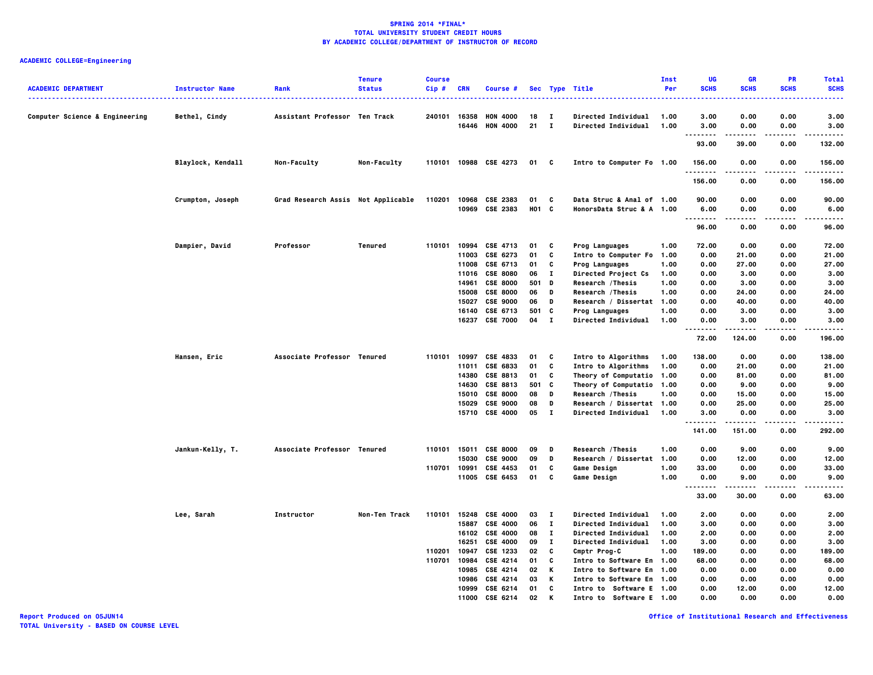| <b>ACADEMIC DEPARTMENT</b><br>------------------------------------ | <b>Instructor Name</b> | Rank                               | <b>Tenure</b><br><b>Status</b> | <b>Course</b><br>Cip#      | <b>CRN</b>                                                  | Course #                                                                                                                |                                                |                                                             | Sec Type Title<br>.                                                                                                                                                                           | Inst<br>Per                                          | UG<br><b>SCHS</b>                                                     | <b>GR</b><br><b>SCHS</b>                                           | <b>PR</b><br><b>SCHS</b>                                     | <b>Total</b><br><b>SCHS</b>                                          |
|--------------------------------------------------------------------|------------------------|------------------------------------|--------------------------------|----------------------------|-------------------------------------------------------------|-------------------------------------------------------------------------------------------------------------------------|------------------------------------------------|-------------------------------------------------------------|-----------------------------------------------------------------------------------------------------------------------------------------------------------------------------------------------|------------------------------------------------------|-----------------------------------------------------------------------|--------------------------------------------------------------------|--------------------------------------------------------------|----------------------------------------------------------------------|
| <b>Computer Science &amp; Engineering</b>                          | Bethel, Cindy          | Assistant Professor Ten Track      |                                | 240101                     | 16358                                                       | <b>HON 4000</b><br>16446 HON 4000                                                                                       | 18<br>21                                       | $\mathbf{I}$<br>$\mathbf{I}$                                | <b>Directed Individual</b><br><b>Directed Individual</b>                                                                                                                                      | 1.00<br>1.00                                         | 3.00<br>3.00                                                          | 0.00<br>0.00                                                       | 0.00<br>0.00                                                 | 3.00<br>3.00                                                         |
|                                                                    |                        |                                    |                                |                            |                                                             |                                                                                                                         |                                                |                                                             |                                                                                                                                                                                               |                                                      | .<br>93.00                                                            | -----<br>39.00                                                     | .<br>0.00                                                    | .<br>132.00                                                          |
|                                                                    | Blaylock, Kendall      | Non-Faculty                        | Non-Faculty                    | 110101                     |                                                             | 10988 CSE 4273                                                                                                          | 01                                             | $\mathbf{c}$                                                | Intro to Computer Fo 1.00                                                                                                                                                                     |                                                      | 156.00                                                                | 0.00                                                               | 0.00                                                         | 156.00                                                               |
|                                                                    |                        |                                    |                                |                            |                                                             |                                                                                                                         |                                                |                                                             |                                                                                                                                                                                               |                                                      | .<br>156.00                                                           | 0.00                                                               | .<br>0.00                                                    | .<br>156.00                                                          |
|                                                                    | Crumpton, Joseph       | Grad Research Assis Not Applicable |                                | 110201                     |                                                             | 10968 CSE 2383<br>10969 CSE 2383                                                                                        | 01<br>H01 C                                    | C                                                           | Data Struc & Anal of 1.00<br>HonorsData Struc & A 1.00                                                                                                                                        |                                                      | 90.00<br>6.00                                                         | 0.00<br>0.00                                                       | 0.00<br>0.00                                                 | 90.00<br>6.00                                                        |
|                                                                    |                        |                                    |                                |                            |                                                             |                                                                                                                         |                                                |                                                             |                                                                                                                                                                                               |                                                      | ----<br>96.00                                                         | 0.00                                                               | ----<br>0.00                                                 | ----<br>96.00                                                        |
|                                                                    | Dampier, David         | Professor                          | Tenured                        | 110101                     | 10994<br>11003<br>11008<br>14961<br>15008<br>15027<br>16140 | CSE 4713<br>CSE 6273<br>CSE 6713<br>11016 CSE 8080<br><b>CSE 8000</b><br><b>CSE 8000</b><br><b>CSE 9000</b><br>CSE 6713 | 01<br>01<br>01<br>06<br>501<br>06<br>06<br>501 | C<br>C<br>C<br>п<br>D<br>D<br>D<br>C                        | <b>Prog Languages</b><br>Intro to Computer Fo<br><b>Prog Languages</b><br>Directed Project Cs<br>Research / Thesis<br>Research / Thesis<br>Research / Dissertat 1.00<br><b>Prog Languages</b> | 1.00<br>1.00<br>1.00<br>1.00<br>1.00<br>1.00<br>1.00 | 72.00<br>0.00<br>0.00<br>0.00<br>0.00<br>0.00<br>0.00<br>0.00         | 0.00<br>21.00<br>27.00<br>3.00<br>3.00<br>24.00<br>40.00<br>3.00   | 0.00<br>0.00<br>0.00<br>0.00<br>0.00<br>0.00<br>0.00<br>0.00 | 72.00<br>21.00<br>27.00<br>3.00<br>3.00<br>24.00<br>40.00<br>3.00    |
|                                                                    |                        |                                    |                                |                            |                                                             | 16237 CSE 7000                                                                                                          | 04                                             | $\mathbf{I}$                                                | <b>Directed Individual</b>                                                                                                                                                                    | 1.00                                                 | 0.00<br>.<br>72.00                                                    | 3.00<br>--------<br>124.00                                         | 0.00<br>.<br>0.00                                            | 3.00<br>.<br>196.00                                                  |
|                                                                    | Hansen, Eric           | Associate Professor Tenured        |                                | 110101                     | 10997<br>11011<br>14380<br>14630<br>15010                   | CSE 4833<br>CSE 6833<br>CSE 8813<br><b>CSE 8813</b><br><b>CSE 8000</b><br>15029 CSE 9000<br>15710 CSE 4000              | 01<br>01<br>01<br>501<br>08<br>08<br>05        | C<br>C<br>C<br>C<br>D<br>D<br>$\mathbf{I}$                  | Intro to Algorithms<br>Intro to Algorithms<br>Theory of Computatio<br>Theory of Computatio<br>Research / Thesis<br>Research / Dissertat 1.00<br><b>Directed Individual</b>                    | 1.00<br>1.00<br>1.00<br>1.00<br>1.00<br>1.00         | 138.00<br>0.00<br>0.00<br>0.00<br>0.00<br>0.00<br>3.00<br>.<br>141.00 | 0.00<br>21.00<br>81.00<br>9.00<br>15.00<br>25.00<br>0.00<br>151.00 | 0.00<br>0.00<br>0.00<br>0.00<br>0.00<br>0.00<br>0.00<br>0.00 | 138.00<br>21.00<br>81.00<br>9.00<br>15.00<br>25.00<br>3.00<br>292.00 |
|                                                                    | Jankun-Kelly, T.       | Associate Professor Tenured        |                                | 110701                     | 110101 15011<br>15030<br>10991                              | <b>CSE 8000</b><br><b>CSE 9000</b><br>CSE 4453<br>11005 CSE 6453                                                        | 09<br>09<br>01<br>01                           | D<br>D<br>C<br>C                                            | Research / Thesis<br>Research / Dissertat<br><b>Game Design</b><br><b>Game Design</b>                                                                                                         | 1.00<br>1.00<br>1.00<br>1.00                         | 0.00<br>0.00<br>33.00<br>0.00<br><u>.</u><br>33.00                    | 9.00<br>12.00<br>0.00<br>9.00<br>-----<br>30.00                    | 0.00<br>0.00<br>0.00<br>0.00<br>.<br>0.00                    | 9.00<br>12.00<br>33.00<br>9.00<br>-----<br>63.00                     |
|                                                                    | Lee, Sarah             | Instructor                         | Non-Ten Track                  | 110101<br>110201<br>110701 | 15248<br>15887<br>16251<br>10947<br>10984                   | <b>CSE 4000</b><br><b>CSE 4000</b><br>16102 CSE 4000<br><b>CSE 4000</b><br>CSE 1233<br><b>CSE 4214</b>                  | 03<br>06<br>08<br>09<br>02<br>01               | $\mathbf{I}$<br>$\mathbf{I}$<br>п.<br>$\mathbf I$<br>C<br>C | Directed Individual<br>Directed Individual<br>Directed Individual<br><b>Directed Individual</b><br>Cmptr Prog-C<br>Intro to Software En 1.00                                                  | 1.00<br>1.00<br>1.00<br>1.00<br>1.00                 | 2.00<br>3.00<br>2.00<br>3.00<br>189.00<br>68.00                       | 0.00<br>0.00<br>0.00<br>0.00<br>0.00<br>0.00                       | 0.00<br>0.00<br>0.00<br>0.00<br>0.00<br>0.00                 | 2.00<br>3.00<br>2.00<br>3.00<br>189.00<br>68.00                      |
|                                                                    |                        |                                    |                                |                            | 10985<br>10999<br>11000                                     | <b>CSE 4214</b><br>10986 CSE 4214<br>CSE 6214<br>CSF 6214                                                               | 02<br>03<br>01<br>02                           | К<br>К<br>C<br>К                                            | Intro to Software En 1.00<br>Intro to Software En 1.00<br>Intro to Software E 1.00<br>Intro to Software F 1.00                                                                                |                                                      | 0.00<br>0.00<br>0.00<br>0.00                                          | 0.00<br>0.00<br>12.00<br>0.00                                      | 0.00<br>0.00<br>0.00<br>0.00                                 | 0.00<br>0.00<br>12.00<br>0.00                                        |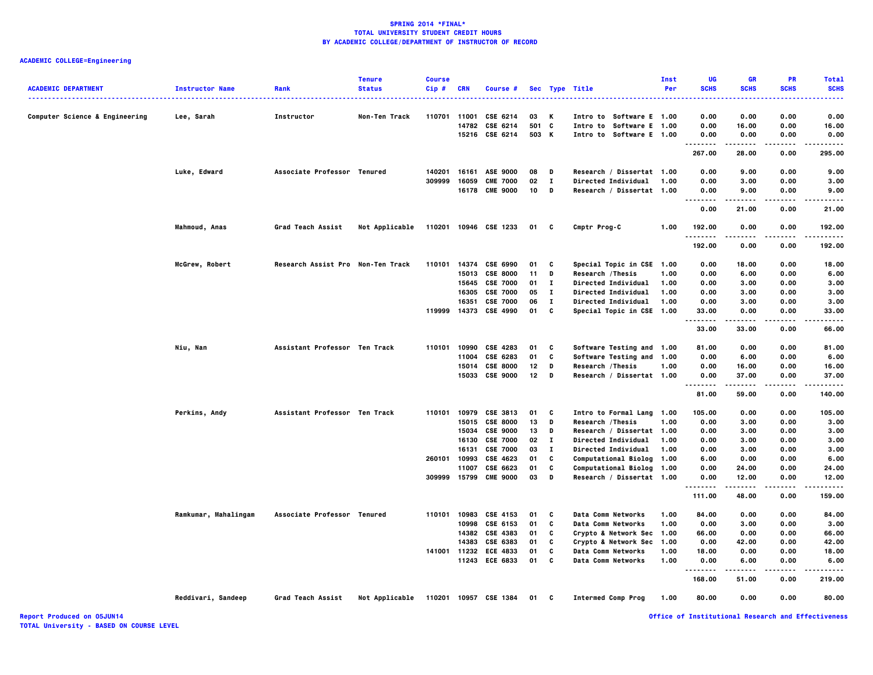## **ACADEMIC COLLEGE=Engineering**

|                                |                        |                                   | <b>Tenure</b>  | <b>Course</b> |              |                       |                 |              |                             | Inst | UG                         | <b>GR</b>     | PR          | <b>Total</b> |
|--------------------------------|------------------------|-----------------------------------|----------------|---------------|--------------|-----------------------|-----------------|--------------|-----------------------------|------|----------------------------|---------------|-------------|--------------|
| <b>ACADEMIC DEPARTMENT</b>     | <b>Instructor Name</b> | Rank                              | <b>Status</b>  | $Cip$ #       | <b>CRN</b>   | Course #              |                 |              | Sec Type Title              | Per  | <b>SCHS</b>                | <b>SCHS</b>   | <b>SCHS</b> | <b>SCHS</b>  |
|                                |                        |                                   |                |               |              |                       |                 |              |                             |      |                            |               |             |              |
| Computer Science & Engineering | Lee, Sarah             | Instructor                        | Non-Ten Track  | 110701        | 11001        | CSE 6214              | 03              | Κ            | Intro to Software E 1.00    |      | 0.00                       | 0.00          | 0.00        | 0.00         |
|                                |                        |                                   |                |               | 14782        | CSE 6214              |                 | 501 C        | Intro to Software E 1.00    |      | 0.00                       | 16.00         | 0.00        | 16.00        |
|                                |                        |                                   |                |               |              | 15216 CSE 6214        |                 | 503 K        | Intro to Software E 1.00    |      | 0.00                       | 0.00          | 0.00        | 0.00         |
|                                |                        |                                   |                |               |              |                       |                 |              |                             |      | --------<br>267.00         | .<br>28.00    | .<br>0.00   | .<br>295.00  |
|                                |                        |                                   |                |               |              |                       |                 |              |                             |      |                            |               |             |              |
|                                | Luke, Edward           | Associate Professor Tenured       |                | 140201        |              | 16161 ASE 9000        | 08              | D            | Research / Dissertat 1.00   |      | 0.00                       | 9.00          | 0.00        | 9.00         |
|                                |                        |                                   |                | 309999        | 16059        | <b>CME 7000</b>       | 02              | $\bf{I}$     | Directed Individual         | 1.00 | 0.00                       | 3.00          | 0.00        | 3.00         |
|                                |                        |                                   |                |               | 16178        | <b>CME 9000</b>       | 10              | D            | Research / Dissertat 1.00   |      | 0.00<br>.<br>$\sim$ $\sim$ | 9.00          | 0.00        | 9.00         |
|                                |                        |                                   |                |               |              |                       |                 |              |                             |      | 0.00                       | 21.00         | 0.00        | 21.00        |
|                                | Mahmoud, Anas          | <b>Grad Teach Assist</b>          | Not Applicable |               |              | 110201 10946 CSE 1233 | 01 C            |              | Cmptr Prog-C                | 1.00 | 192.00<br>.                | 0.00<br>----- | 0.00<br>.   | 192.00<br>.  |
|                                |                        |                                   |                |               |              |                       |                 |              |                             |      | 192.00                     | 0.00          | 0.00        | 192.00       |
|                                | McGrew, Robert         | Research Assist Pro Non-Ten Track |                | 110101        | 14374        | CSE 6990              | 01              | C            | Special Topic in CSE 1.00   |      | 0.00                       | 18.00         | 0.00        | 18.00        |
|                                |                        |                                   |                |               | 15013        | <b>CSE 8000</b>       | 11              | D            | Research / Thesis           | 1.00 | 0.00                       | 6.00          | 0.00        | 6.00         |
|                                |                        |                                   |                |               | 15645        | <b>CSE 7000</b>       | 01              | $\bf{I}$     | <b>Directed Individual</b>  | 1.00 | 0.00                       | 3.00          | 0.00        | 3.00         |
|                                |                        |                                   |                |               | 16305        | <b>CSE 7000</b>       | 05              | $\bf{I}$     | Directed Individual         | 1.00 | 0.00                       | 3.00          | 0.00        | 3.00         |
|                                |                        |                                   |                |               | 16351        | <b>CSE 7000</b>       | 06              | $\bf{I}$     | <b>Directed Individual</b>  | 1.00 | 0.00                       | 3.00          | 0.00        | 3.00         |
|                                |                        |                                   |                | 119999        |              | 14373 CSE 4990        | 01              | C            | Special Topic in CSE 1.00   |      | 33.00                      | 0.00          | 0.00        | 33.00        |
|                                |                        |                                   |                |               |              |                       |                 |              |                             |      | .<br>33.00                 | .<br>33.00    | .<br>0.00   | .<br>66.00   |
|                                | Niu, Nan               | Assistant Professor Ten Track     |                | 110101        | 10990        | CSE 4283              | 01              | C            | Software Testing and 1.00   |      | 81.00                      | 0.00          | 0.00        | 81.00        |
|                                |                        |                                   |                |               | 11004        | CSE 6283              | 01              | c            | Software Testing and 1.00   |      | 0.00                       | 6.00          | 0.00        | 6.00         |
|                                |                        |                                   |                |               |              | 15014 CSE 8000        | 12              | D            | Research / Thesis           | 1.00 | 0.00                       | 16.00         | 0.00        | 16.00        |
|                                |                        |                                   |                |               |              | 15033 CSE 9000        | 12 <sub>2</sub> | D            | Research / Dissertat 1.00   |      | 0.00                       | 37.00         | 0.00        | 37.00        |
|                                |                        |                                   |                |               |              |                       |                 |              |                             |      | .                          |               |             |              |
|                                |                        |                                   |                |               |              |                       |                 |              |                             |      | 81.00                      | 59.00         | 0.00        | 140.00       |
|                                | Perkins, Andy          | Assistant Professor Ten Track     |                |               |              | 110101 10979 CSE 3813 | 01              | C            | Intro to Formal Lang 1.00   |      | 105.00                     | 0.00          | 0.00        | 105.00       |
|                                |                        |                                   |                |               | 15015        | <b>CSE 8000</b>       | 13              | D            | Research / Thesis           | 1.00 | 0.00                       | 3.00          | 0.00        | 3.00         |
|                                |                        |                                   |                |               |              | 15034 CSE 9000        | 13              | D            | Research / Dissertat 1.00   |      | 0.00                       | 3.00          | 0.00        | 3.00         |
|                                |                        |                                   |                |               |              | 16130 CSE 7000        | 02              | $\mathbf{I}$ | <b>Directed Individual</b>  | 1.00 | 0.00                       | 3.00          | 0.00        | 3.00         |
|                                |                        |                                   |                |               | 16131        | <b>CSE 7000</b>       | 03              | $\mathbf{I}$ | Directed Individual         | 1.00 | 0.00                       | 3.00          | 0.00        | 3.00         |
|                                |                        |                                   |                | 260101        | 10993        | CSE 4623              | 01              | c            | Computational Biolog 1.00   |      | 6.00                       | 0.00          | 0.00        | 6.00         |
|                                |                        |                                   |                |               | 11007        | CSE 6623              | 01              | C            | <b>Computational Biolog</b> | 1.00 | 0.00                       | 24.00         | 0.00        | 24.00        |
|                                |                        |                                   |                |               | 309999 15799 | <b>CME 9000</b>       | 03              | D            | Research / Dissertat 1.00   |      | 0.00                       | 12.00<br>.    | 0.00        | 12.00<br>.   |
|                                |                        |                                   |                |               |              |                       |                 |              |                             |      | .<br>111.00                | 48.00         | .<br>0.00   | 159.00       |
|                                | Ramkumar, Mahalingam   | Associate Professor Tenured       |                | 110101        | 10983        | CSE 4153              | 01              | C            | <b>Data Comm Networks</b>   | 1.00 | 84.00                      | 0.00          | 0.00        | 84.00        |
|                                |                        |                                   |                |               | 10998        | CSE 6153              | 01              | C            | Data Comm Networks          | 1.00 | 0.00                       | 3.00          | 0.00        | 3.00         |
|                                |                        |                                   |                |               |              | 14382 CSE 4383        | 01              | C            | Crypto & Network Sec 1.00   |      | 66.00                      | 0.00          | 0.00        | 66.00        |
|                                |                        |                                   |                |               | 14383        | CSE 6383              | 01              | c            | Crypto & Network Sec        | 1.00 | 0.00                       | 42.00         | 0.00        | 42.00        |
|                                |                        |                                   |                | 141001        | 11232        | <b>ECE 4833</b>       | 01              | C            | Data Comm Networks          | 1.00 | 18.00                      | 0.00          | 0.00        | 18.00        |
|                                |                        |                                   |                |               |              | 11243 ECE 6833        | 01              | C            | <b>Data Comm Networks</b>   | 1.00 | 0.00                       | 6.00          | 0.00        | 6.00         |
|                                |                        |                                   |                |               |              |                       |                 |              |                             |      | .<br>---<br>168.00         | 51.00         | .<br>0.00   | 219.00       |
|                                | Reddivari, Sandeep     | Grad Teach Assist                 | Not Applicable |               |              | 110201 10957 CSE 1384 | 01              | C            | <b>Intermed Comp Prog</b>   | 1.00 | 80.00                      | 0.00          | 0.00        | 80.00        |
|                                |                        |                                   |                |               |              |                       |                 |              |                             |      |                            |               |             |              |

**Report Produced on 05JUN14 Office of Institutional Research and Effectiveness**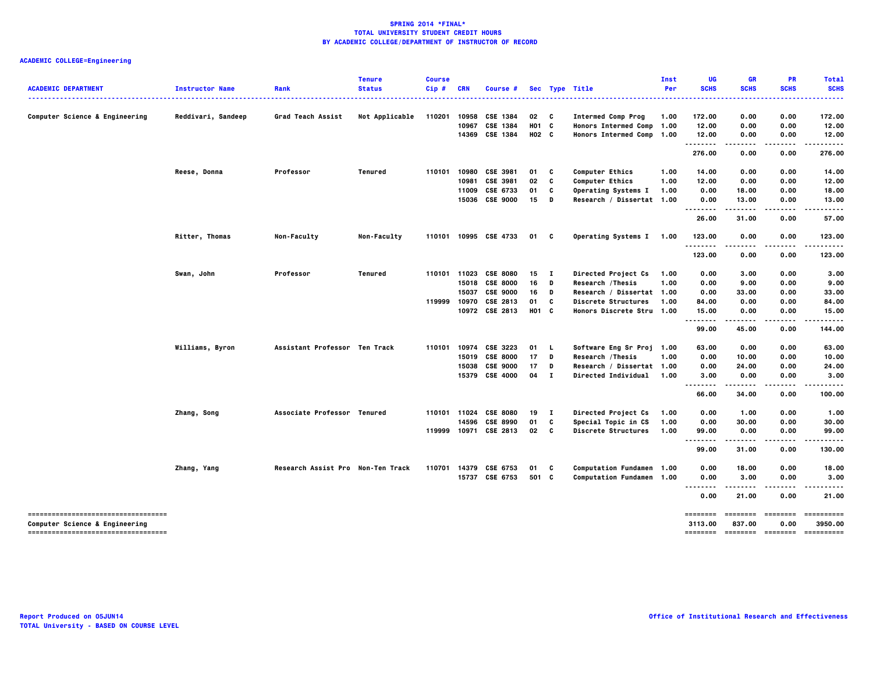| <b>ACADEMIC DEPARTMENT</b>                                                       | <b>Instructor Name</b> | Rank                              | <b>Tenure</b><br><b>Status</b> | <b>Course</b><br>Cip# | <b>CRN</b> | Course #              |                   |              | Sec Type Title             | Inst<br>Per | UG<br><b>SCHS</b> | GR<br><b>SCHS</b> | <b>PR</b><br><b>SCHS</b> | <b>Total</b><br><b>SCHS</b>                     |
|----------------------------------------------------------------------------------|------------------------|-----------------------------------|--------------------------------|-----------------------|------------|-----------------------|-------------------|--------------|----------------------------|-------------|-------------------|-------------------|--------------------------|-------------------------------------------------|
|                                                                                  |                        |                                   |                                |                       |            |                       |                   |              |                            |             |                   |                   |                          | .                                               |
| Computer Science & Engineering                                                   | Reddivari, Sandeep     | Grad Teach Assist                 | Not Applicable                 | 110201                | 10958      | CSE 1384              | 02                | $\mathbf{c}$ | <b>Intermed Comp Prog</b>  | 1.00        | 172.00            | 0.00              | 0.00                     | 172.00                                          |
|                                                                                  |                        |                                   |                                |                       | 10967      | CSE 1384              | H <sub>01</sub> C |              | Honors Intermed Comp 1.00  |             | 12.00             | 0.00              | 0.00                     | 12.00                                           |
|                                                                                  |                        |                                   |                                |                       | 14369      | CSE 1384              | H02 C             |              | Honors Intermed Comp 1.00  |             | 12.00<br><u>.</u> | 0.00              | 0.00                     | 12.00                                           |
|                                                                                  |                        |                                   |                                |                       |            |                       |                   |              |                            |             | 276.00            | 0.00              | 0.00                     | 276.00                                          |
|                                                                                  | Reese, Donna           | Professor                         | Tenured                        | 110101                | 10980      | CSE 3981              | 01                | C            | <b>Computer Ethics</b>     | 1.00        | 14.00             | 0.00              | 0.00                     | 14.00                                           |
|                                                                                  |                        |                                   |                                |                       | 10981      | <b>CSE 3981</b>       | 02                | C            | <b>Computer Ethics</b>     | 1.00        | 12.00             | 0.00              | 0.00                     | 12.00                                           |
|                                                                                  |                        |                                   |                                |                       | 11009      | CSE 6733              | 01                | C            | Operating Systems I        | 1.00        | 0.00              | 18.00             | 0.00                     | 18.00                                           |
|                                                                                  |                        |                                   |                                |                       |            | 15036 CSE 9000        | 15                | D            | Research / Dissertat 1.00  |             | 0.00              | 13.00             | 0.00                     | 13.00                                           |
|                                                                                  |                        |                                   |                                |                       |            |                       |                   |              |                            |             | .<br>26.00        | 31.00             | 0.00                     | .<br>57.00                                      |
|                                                                                  | Ritter, Thomas         | Non-Faculty                       | Non-Faculty                    |                       |            | 110101 10995 CSE 4733 | 01                | C            | Operating Systems I 1.00   |             | 123.00            | 0.00              | 0.00                     | 123.00                                          |
|                                                                                  |                        |                                   |                                |                       |            |                       |                   |              |                            |             | .<br>123.00       | 0.00              | 0.00                     | ----<br>123.00                                  |
|                                                                                  | Swan, John             | Professor                         | Tenured                        |                       |            | 110101 11023 CSE 8080 | 15                | - 1          | Directed Project Cs        | 1.00        | 0.00              | 3.00              | 0.00                     | 3.00                                            |
|                                                                                  |                        |                                   |                                |                       |            | 15018 CSE 8000        | 16                | D            | Research / Thesis          | 1.00        | 0.00              | 9.00              | 0.00                     | 9.00                                            |
|                                                                                  |                        |                                   |                                |                       |            | 15037 CSE 9000        | 16                | D            | Research / Dissertat 1.00  |             | 0.00              | 33.00             | 0.00                     | 33.00                                           |
|                                                                                  |                        |                                   |                                | 119999                |            | 10970 CSE 2813        | 01                | C            | <b>Discrete Structures</b> | 1.00        | 84.00             | 0.00              | 0.00                     | 84.00                                           |
|                                                                                  |                        |                                   |                                |                       |            | 10972 CSE 2813        | H01 C             |              | Honors Discrete Stru 1.00  |             | 15.00             | 0.00              | 0.00                     | 15.00                                           |
|                                                                                  |                        |                                   |                                |                       |            |                       |                   |              |                            |             | .<br>99.00        | 45.00             | 0.00                     | -----<br>144.00                                 |
|                                                                                  | Williams, Byron        | Assistant Professor Ten Track     |                                | 110101                |            | 10974 CSE 3223        | 01                | <b>L</b>     | Software Eng Sr Proj 1.00  |             | 63.00             | 0.00              | 0.00                     | 63.00                                           |
|                                                                                  |                        |                                   |                                |                       |            | 15019 CSE 8000        | 17                | D            | Research / Thesis          | 1.00        | 0.00              | 10.00             | 0.00                     | 10.00                                           |
|                                                                                  |                        |                                   |                                |                       | 15038      | <b>CSE 9000</b>       | 17                | D            | Research / Dissertat 1.00  |             | 0.00              | 24.00             | 0.00                     | 24.00                                           |
|                                                                                  |                        |                                   |                                |                       |            | 15379 CSE 4000        | 04 I              |              | <b>Directed Individual</b> | 1.00        | 3.00              | 0.00              | 0.00                     | 3.00                                            |
|                                                                                  |                        |                                   |                                |                       |            |                       |                   |              |                            |             | <br>66.00         | .<br>34.00        | .<br>0.00                | .<br>100.00                                     |
|                                                                                  |                        |                                   |                                |                       |            |                       |                   |              |                            |             |                   |                   |                          |                                                 |
|                                                                                  | Zhang, Song            | Associate Professor Tenured       |                                | 110101                | 11024      | <b>CSE 8080</b>       | 19                | $\mathbf{I}$ | Directed Project Cs        | 1.00        | 0.00              | 1.00              | 0.00                     | 1.00                                            |
|                                                                                  |                        |                                   |                                |                       | 14596      | <b>CSE 8990</b>       | 01                | C            | Special Topic in CS        | 1.00        | 0.00              | 30.00             | 0.00                     | 30.00                                           |
|                                                                                  |                        |                                   |                                |                       |            | 119999 10971 CSE 2813 | 02                | $\mathbf{c}$ | <b>Discrete Structures</b> | 1.00        | 99.00<br>         | 0.00<br>.         | 0.00<br>.                | 99.00<br>.                                      |
|                                                                                  |                        |                                   |                                |                       |            |                       |                   |              |                            |             | 99.00             | 31.00             | 0.00                     | 130.00                                          |
|                                                                                  | Zhang, Yang            | Research Assist Pro Non-Ten Track |                                | 110701                |            | 14379 CSE 6753        | 01                | c            | Computation Fundamen 1.00  |             | 0.00              | 18.00             | 0.00                     | 18.00                                           |
|                                                                                  |                        |                                   |                                |                       |            | 15737 CSE 6753        | 501 C             |              | Computation Fundamen 1.00  |             | 0.00<br>-----     | 3.00              | 0.00                     | 3.00                                            |
|                                                                                  |                        |                                   |                                |                       |            |                       |                   |              |                            |             | <br>0.00          | 21.00             | 0.00                     | 21.00                                           |
| -----------------------------------                                              |                        |                                   |                                |                       |            |                       |                   |              |                            |             | ========          | ========          | ========                 | ==========                                      |
| <b>Computer Science &amp; Engineering</b><br>----------------------------------- |                        |                                   |                                |                       |            |                       |                   |              |                            |             | 3113.00           | 837.00            | 0.00                     | 3950.00<br>-------- -------- -------- --------- |
|                                                                                  |                        |                                   |                                |                       |            |                       |                   |              |                            |             |                   |                   |                          |                                                 |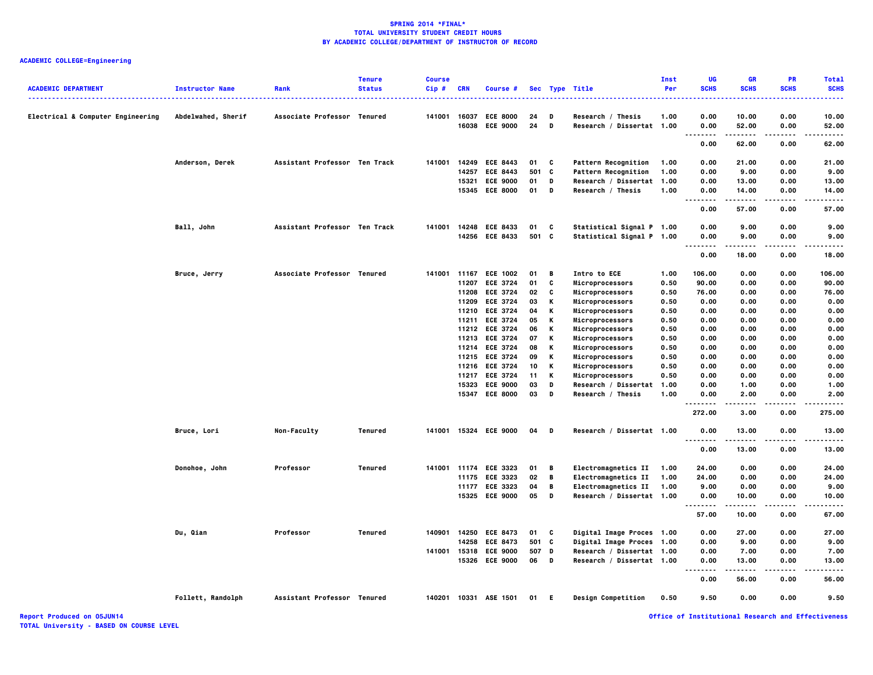## **ACADEMIC COLLEGE=Engineering**

| <b>ACADEMIC DEPARTMENT</b>        | <b>Instructor Name</b> | Rank                          | <b>Tenure</b><br><b>Status</b> | <b>Course</b><br>Cip# | <b>CRN</b> | Course #              |       |   | Sec Type Title             | Inst<br>Per | UG<br><b>SCHS</b>                         | <b>GR</b><br><b>SCHS</b> | <b>PR</b><br><b>SCHS</b> | <b>Total</b><br><b>SCHS</b> |
|-----------------------------------|------------------------|-------------------------------|--------------------------------|-----------------------|------------|-----------------------|-------|---|----------------------------|-------------|-------------------------------------------|--------------------------|--------------------------|-----------------------------|
|                                   |                        |                               |                                |                       |            |                       |       |   | .                          |             |                                           |                          |                          | -----                       |
| Electrical & Computer Engineering | Abdelwahed, Sherif     | Associate Professor Tenured   |                                | 141001                |            | 16037 ECE 8000        | 24    | D | Research / Thesis          | 1.00        | 0.00                                      | 10.00                    | 0.00                     | 10.00                       |
|                                   |                        |                               |                                |                       |            | 16038 ECE 9000        | 24    | D | Research / Dissertat 1.00  |             | 0.00<br>$\sim$ $\sim$ $\sim$<br>$- - - -$ | 52.00<br>.               | 0.00<br>.                | 52.00<br>.                  |
|                                   |                        |                               |                                |                       |            |                       |       |   |                            |             | 0.00                                      | 62.00                    | 0.00                     | 62.00                       |
|                                   | Anderson, Derek        | Assistant Professor Ten Track |                                | 141001                | 14249      | <b>ECE 8443</b>       | 01    | c | <b>Pattern Recognition</b> | 1.00        | 0.00                                      | 21.00                    | 0.00                     | 21.00                       |
|                                   |                        |                               |                                |                       |            | 14257 ECE 8443        | 501 C |   | Pattern Recognition        | 1.00        | 0.00                                      | 9.00                     | 0.00                     | 9.00                        |
|                                   |                        |                               |                                |                       |            | 15321 ECE 9000        | 01    | D | Research / Dissertat 1.00  |             | 0.00                                      | 13.00                    | 0.00                     | 13.00                       |
|                                   |                        |                               |                                |                       |            | 15345 ECE 8000        | 01    | D | Research / Thesis          | 1.00        | 0.00<br><br>.                             | 14.00                    | 0.00                     | 14.00                       |
|                                   |                        |                               |                                |                       |            |                       |       |   |                            |             | 0.00                                      | 57.00                    | 0.00                     | 57.00                       |
|                                   | Ball, John             | Assistant Professor Ten Track |                                |                       |            | 141001 14248 ECE 8433 | 01    | C | Statistical Signal P 1.00  |             | 0.00                                      | 9.00                     | 0.00                     | 9.00                        |
|                                   |                        |                               |                                |                       |            | 14256 ECE 8433        | 501 C |   | Statistical Signal P 1.00  |             | 0.00<br>$\cdots$<br>$\sim$ $\sim$ $\sim$  | 9.00                     | 0.00<br>.                | 9.00                        |
|                                   |                        |                               |                                |                       |            |                       |       |   |                            |             | 0.00                                      | 18.00                    | 0.00                     | 18.00                       |
|                                   | Bruce, Jerry           | Associate Professor Tenured   |                                | 141001                |            | 11167 ECE 1002        | 01    | В | Intro to ECE               | 1.00        | 106.00                                    | 0.00                     | 0.00                     | 106.00                      |
|                                   |                        |                               |                                |                       | 11207      | <b>ECE 3724</b>       | 01    | C | Microprocessors            | 0.50        | 90.00                                     | 0.00                     | 0.00                     | 90.00                       |
|                                   |                        |                               |                                |                       |            | 11208 ECE 3724        | 02    | C | Microprocessors            | 0.50        | 76.00                                     | 0.00                     | 0.00                     | 76.00                       |
|                                   |                        |                               |                                |                       | 11209      | <b>ECE 3724</b>       | 03    | К | Microprocessors            | 0.50        | 0.00                                      | 0.00                     | 0.00                     | 0.00                        |
|                                   |                        |                               |                                |                       |            | 11210 ECE 3724        | 04    | К | Microprocessors            | 0.50        | 0.00                                      | 0.00                     | 0.00                     | 0.00                        |
|                                   |                        |                               |                                |                       |            | 11211 ECE 3724        | 05    | к | Microprocessors            | 0.50        | 0.00                                      | 0.00                     | 0.00                     | 0.00                        |
|                                   |                        |                               |                                |                       |            | 11212 ECE 3724        | 06    | К | Microprocessors            | 0.50        | 0.00                                      | 0.00                     | 0.00                     | 0.00                        |
|                                   |                        |                               |                                |                       |            | 11213 ECE 3724        | 07    | К | Microprocessors            | 0.50        | 0.00                                      | 0.00                     | 0.00                     | 0.00                        |
|                                   |                        |                               |                                |                       |            | 11214 ECE 3724        | 08    | Κ | Microprocessors            | 0.50        | 0.00                                      | 0.00                     | 0.00                     | 0.00                        |
|                                   |                        |                               |                                |                       |            | 11215 ECE 3724        | 09    | K | Microprocessors            | 0.50        | 0.00                                      | 0.00                     | 0.00                     | 0.00                        |
|                                   |                        |                               |                                |                       |            | 11216 ECE 3724        | 10    | к | Microprocessors            | 0.50        | 0.00                                      | 0.00                     | 0.00                     | 0.00                        |
|                                   |                        |                               |                                |                       |            | 11217 ECE 3724        | 11    | К | Microprocessors            | 0.50        | 0.00                                      | 0.00                     | 0.00                     | 0.00                        |
|                                   |                        |                               |                                |                       |            | 15323 ECE 9000        | 03    | D | Research / Dissertat 1.00  |             | 0.00                                      | 1.00                     | 0.00                     | 1.00                        |
|                                   |                        |                               |                                |                       |            | 15347 ECE 8000        | 03    | D | Research / Thesis          | 1.00        | 0.00<br>.<br>. .                          | 2.00                     | 0.00<br>.                | 2.00                        |
|                                   |                        |                               |                                |                       |            |                       |       |   |                            |             | 272.00                                    | 3.00                     | 0.00                     | 275.00                      |
|                                   | Bruce, Lori            | Non-Faculty                   | Tenured                        |                       |            | 141001 15324 ECE 9000 | 04    | D | Research / Dissertat 1.00  |             | 0.00<br>.                                 | 13.00                    | 0.00                     | 13.00                       |
|                                   |                        |                               |                                |                       |            |                       |       |   |                            |             | 0.00                                      | 13.00                    | 0.00                     | 13.00                       |
|                                   | Donohoe, John          | Professor                     | Tenured                        |                       |            | 141001 11174 ECE 3323 | 01    | В | Electromagnetics II        | 1.00        | 24.00                                     | 0.00                     | 0.00                     | 24.00                       |
|                                   |                        |                               |                                |                       |            | 11175 ECE 3323        | 02    | В | Electromagnetics II        | 1.00        | 24.00                                     | 0.00                     | 0.00                     | 24.00                       |
|                                   |                        |                               |                                |                       |            | 11177 ECE 3323        | 04    | B | Electromagnetics II        | 1.00        | 9.00                                      | 0.00                     | 0.00                     | 9.00                        |
|                                   |                        |                               |                                |                       |            | 15325 ECE 9000        | 05    | D | Research / Dissertat 1.00  |             | 0.00<br>--------                          | 10.00                    | 0.00                     | 10.00                       |
|                                   |                        |                               |                                |                       |            |                       |       |   |                            |             | 57.00                                     | 10.00                    | 0.00                     | 67.00                       |
|                                   | Du, Qian               | Professor                     | Tenured                        | 140901                |            | 14250 ECE 8473        | 01    | C | Digital Image Proces 1.00  |             | 0.00                                      | 27.00                    | 0.00                     | 27.00                       |
|                                   |                        |                               |                                |                       |            | 14258 ECE 8473        | 501 C |   | Digital Image Proces 1.00  |             | 0.00                                      | 9.00                     | 0.00                     | 9.00                        |
|                                   |                        |                               |                                | 141001                |            | 15318 ECE 9000        | 507 D |   | Research / Dissertat 1.00  |             | 0.00                                      | 7.00                     | 0.00                     | 7.00                        |
|                                   |                        |                               |                                |                       |            | 15326 ECE 9000        | 06    | D | Research / Dissertat 1.00  |             | 0.00<br>                                  | 13.00                    | 0.00                     | 13.00                       |
|                                   |                        |                               |                                |                       |            |                       |       |   |                            |             | 0.00                                      | 56.00                    | 0.00                     | 56.00                       |
|                                   | Follett, Randolph      | Assistant Professor Tenured   |                                |                       |            | 140201 10331 ASE 1501 | 01 E  |   | Design Competition         | 0.50        | 9.50                                      | 0.00                     | 0.00                     | 9.50                        |

**Report Produced on 05JUN14 Office of Institutional Research and Effectiveness**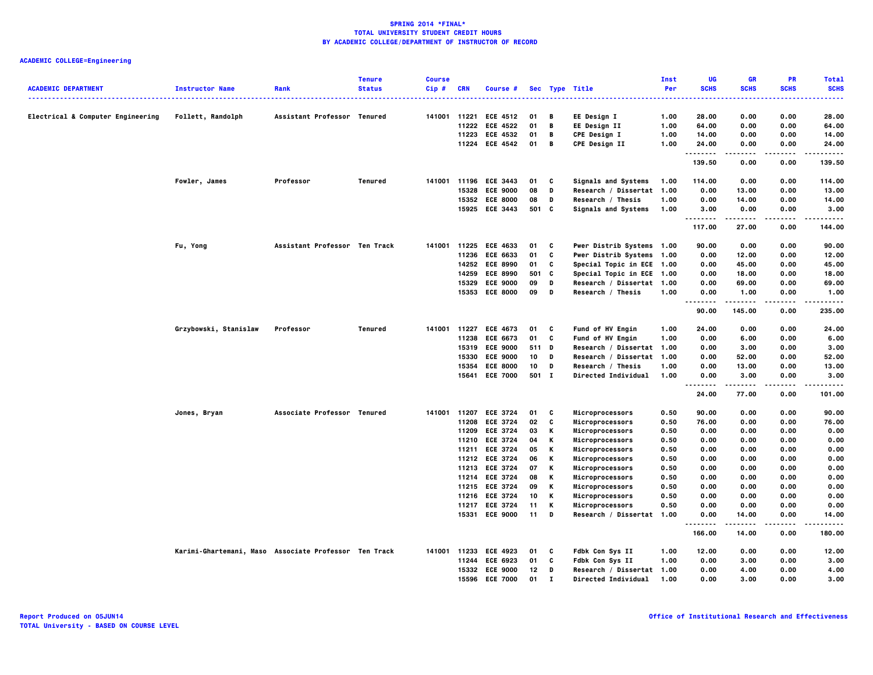|                                   |                                                       |                               | <b>Tenure</b> | <b>Course</b> |              |                                   |          |              |                                                    | Inst         | UG             | <b>GR</b>      | <b>PR</b>    | <b>Total</b>    |
|-----------------------------------|-------------------------------------------------------|-------------------------------|---------------|---------------|--------------|-----------------------------------|----------|--------------|----------------------------------------------------|--------------|----------------|----------------|--------------|-----------------|
| <b>ACADEMIC DEPARTMENT</b>        | <b>Instructor Name</b>                                | Rank                          | <b>Status</b> | Cip#          | <b>CRN</b>   | Course #                          |          |              | Sec Type Title                                     | Per          | <b>SCHS</b>    | <b>SCHS</b>    | <b>SCHS</b>  | <b>SCHS</b>     |
| Electrical & Computer Engineering | Follett, Randolph                                     | Assistant Professor Tenured   |               | 141001 11221  |              | <b>ECE 4512</b>                   | 01       | В            | EE Design I                                        | 1.00         | 28.00          | 0.00           | 0.00         | 28.00           |
|                                   |                                                       |                               |               |               | 11222        | <b>ECE 4522</b>                   | 01       | В            | EE Design II                                       | 1.00         | 64.00          | 0.00           | 0.00         | 64.00           |
|                                   |                                                       |                               |               |               |              | 11223 ECE 4532                    | 01       | в            | <b>CPE Design I</b>                                | 1.00         | 14.00          | 0.00           | 0.00         | 14.00           |
|                                   |                                                       |                               |               |               |              | 11224 ECE 4542                    | 01       | В            | CPE Design II                                      | 1.00         | 24.00          | 0.00           | 0.00         | 24.00           |
|                                   |                                                       |                               |               |               |              |                                   |          |              |                                                    |              | .<br>139.50    | ----<br>0.00   | .<br>0.00    | .<br>139.50     |
|                                   |                                                       |                               |               |               |              |                                   |          |              |                                                    |              |                |                |              |                 |
|                                   | Fowler, James                                         | Professor                     | Tenured       | 141001        | 15328        | 11196 ECE 3443<br><b>ECE 9000</b> | 01<br>08 | C<br>D       | <b>Signals and Systems</b><br>Research / Dissertat | 1.00<br>1.00 | 114.00<br>0.00 | 0.00<br>13.00  | 0.00<br>0.00 | 114.00<br>13.00 |
|                                   |                                                       |                               |               |               |              | 15352 ECE 8000                    | 08       | D            | Research / Thesis                                  | 1.00         | 0.00           | 14.00          | 0.00         | 14.00           |
|                                   |                                                       |                               |               |               | 15925        | <b>ECE 3443</b>                   | 501      | C            | Signals and Systems                                | 1.00         | 3.00           | 0.00           | 0.00         | 3.00            |
|                                   |                                                       |                               |               |               |              |                                   |          |              |                                                    |              | .              |                |              |                 |
|                                   |                                                       |                               |               |               |              |                                   |          |              |                                                    |              | 117.00         | 27.00          | 0.00         | 144.00          |
|                                   | Fu, Yong                                              | Assistant Professor Ten Track |               |               | 141001 11225 | <b>ECE 4633</b>                   | 01       | C            | Pwer Distrib Systems 1.00                          |              | 90.00          | 0.00           | 0.00         | 90.00           |
|                                   |                                                       |                               |               |               | 11236        | <b>ECE 6633</b>                   | 01       | c            | Pwer Distrib Systems 1.00                          |              | 0.00           | 12.00          | 0.00         | 12.00           |
|                                   |                                                       |                               |               |               |              | 14252 ECE 8990                    | 01       | C            | Special Topic in ECE 1.00                          |              | 0.00           | 45.00          | 0.00         | 45.00           |
|                                   |                                                       |                               |               |               | 14259        | <b>ECE 8990</b>                   | 501      | C            | Special Topic in ECE 1.00                          |              | 0.00           | 18.00          | 0.00         | 18.00           |
|                                   |                                                       |                               |               |               | 15329        | <b>ECE 9000</b>                   | 09       | D<br>D       | Research / Dissertat 1.00                          |              | 0.00           | 69.00          | 0.00         | 69.00           |
|                                   |                                                       |                               |               |               | 15353        | <b>ECE 8000</b>                   | 09       |              | Research / Thesis                                  | 1.00         | 0.00<br>.      | 1.00           | 0.00         | 1.00<br>.       |
|                                   |                                                       |                               |               |               |              |                                   |          |              |                                                    |              | 90.00          | 145.00         | 0.00         | 235.00          |
|                                   | Grzybowski, Stanislaw                                 | Professor                     | Tenured       |               |              | 141001 11227 ECE 4673             | 01       | C            | Fund of HV Engin                                   | 1.00         | 24.00          | 0.00           | 0.00         | 24.00           |
|                                   |                                                       |                               |               |               | 11238        | <b>ECE 6673</b>                   | 01       | c            | Fund of HV Engin                                   | 1.00         | 0.00           | 6.00           | 0.00         | 6.00            |
|                                   |                                                       |                               |               |               | 15319        | <b>ECE 9000</b>                   | 511 D    |              | Research / Dissertat 1.00                          |              | 0.00           | 3.00           | 0.00         | 3.00            |
|                                   |                                                       |                               |               |               | 15330        | <b>ECE 9000</b>                   | 10       | D            | Research / Dissertat                               | 1.00         | 0.00           | 52.00          | 0.00         | 52.00           |
|                                   |                                                       |                               |               |               | 15354        | <b>ECE 8000</b>                   | 10       | D            | Research / Thesis                                  | 1.00         | 0.00           | 13.00          | 0.00         | 13.00           |
|                                   |                                                       |                               |               |               |              | 15641 ECE 7000                    | 501 I    |              | Directed Individual                                | 1.00         | 0.00<br>.      | 3.00           | 0.00         | 3.00            |
|                                   |                                                       |                               |               |               |              |                                   |          |              |                                                    |              | 24.00          | 77.00          | 0.00         | 101.00          |
|                                   | Jones, Bryan                                          | Associate Professor Tenured   |               |               |              | 141001 11207 ECE 3724             | 01       | C            | Microprocessors                                    | 0.50         | 90.00          | 0.00           | 0.00         | 90.00           |
|                                   |                                                       |                               |               |               | 11208        | <b>ECE 3724</b>                   | 02       | C            | Microprocessors                                    | 0.50         | 76.00          | 0.00           | 0.00         | 76.00           |
|                                   |                                                       |                               |               |               |              | 11209 ECE 3724                    | 03       | Κ            | Microprocessors                                    | 0.50         | 0.00           | 0.00           | 0.00         | 0.00            |
|                                   |                                                       |                               |               |               | 11210        | <b>ECE 3724</b>                   | 04       | Κ            | Microprocessors                                    | 0.50         | 0.00           | 0.00           | 0.00         | 0.00            |
|                                   |                                                       |                               |               |               |              | 11211 ECE 3724                    | 05       | Κ            | Microprocessors                                    | 0.50         | 0.00           | 0.00           | 0.00         | 0.00            |
|                                   |                                                       |                               |               |               |              | 11212 ECE 3724<br>11213 ECE 3724  | 06<br>07 | Κ<br>K       | Microprocessors                                    | 0.50<br>0.50 | 0.00<br>0.00   | 0.00<br>0.00   | 0.00<br>0.00 | 0.00            |
|                                   |                                                       |                               |               |               |              | 11214 ECE 3724                    | 08       | Κ            | Microprocessors<br>Microprocessors                 | 0.50         | 0.00           | 0.00           | 0.00         | 0.00<br>0.00    |
|                                   |                                                       |                               |               |               |              | 11215 ECE 3724                    | 09       | Κ            | Microprocessors                                    | 0.50         | 0.00           | 0.00           | 0.00         | 0.00            |
|                                   |                                                       |                               |               |               |              | 11216 ECE 3724                    | 10       | Κ            | Microprocessors                                    | 0.50         | 0.00           | 0.00           | 0.00         | 0.00            |
|                                   |                                                       |                               |               |               | 11217        | <b>ECE 3724</b>                   | 11       | Κ            | Microprocessors                                    | 0.50         | 0.00           | 0.00           | 0.00         | 0.00            |
|                                   |                                                       |                               |               |               |              | 15331 ECE 9000                    | 11       | D            | Research / Dissertat 1.00                          |              | 0.00           | 14.00          | 0.00         | 14.00           |
|                                   |                                                       |                               |               |               |              |                                   |          |              |                                                    |              | .<br>166.00    | -----<br>14.00 | .<br>0.00    | .<br>180.00     |
|                                   | Karimi-Ghartemani, Maso Associate Professor Ten Track |                               |               | 141001        | 11233        | <b>ECE 4923</b>                   | 01       | c            | Fdbk Con Sys II                                    | 1.00         | 12.00          | 0.00           | 0.00         | 12.00           |
|                                   |                                                       |                               |               |               | 11244        | <b>ECE 6923</b>                   | 01       | C            | Fdbk Con Sys II                                    | 1.00         | 0.00           | 3.00           | 0.00         | 3.00            |
|                                   |                                                       |                               |               |               | 15332        | <b>ECE 9000</b>                   | 12       | D            | Research / Dissertat 1.00                          |              | 0.00           | 4.00           | 0.00         | 4.00            |
|                                   |                                                       |                               |               |               | 15596        | <b>ECE 7000</b>                   | 01       | $\mathbf{I}$ | <b>Directed Individual</b>                         | 1.00         | 0.00           | 3.00           | 0.00         | 3.00            |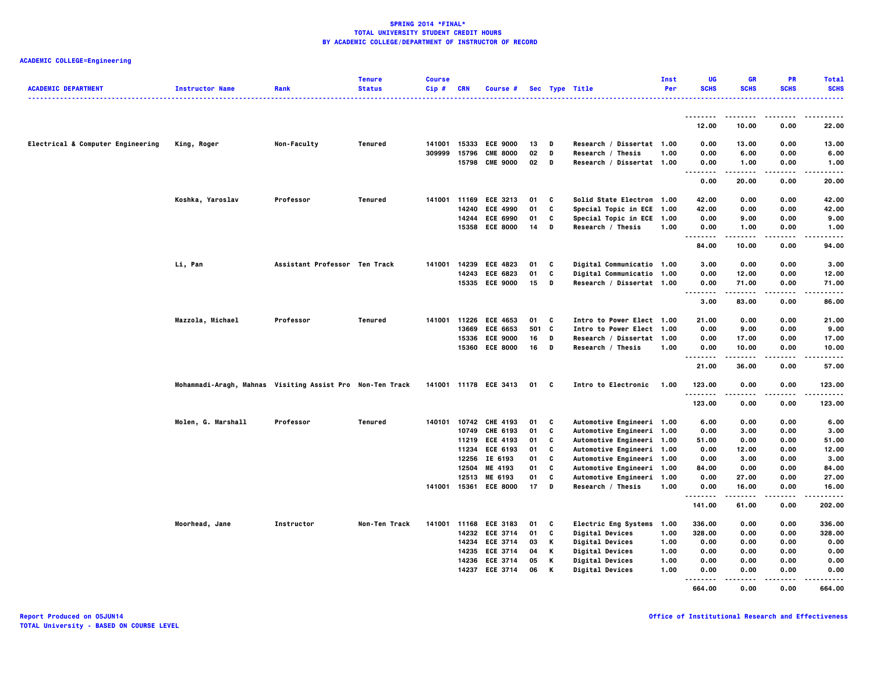| <b>ACADEMIC DEPARTMENT</b>        | <b>Instructor Name</b>                                    | Rank                          | <b>Tenure</b><br><b>Status</b> | <b>Course</b><br>$Cip$ # | <b>CRN</b> | Course #              |      |          | Sec Type Title                   | Inst<br>Per | UG<br><b>SCHS</b>                 | <b>GR</b><br><b>SCHS</b> | <b>PR</b><br><b>SCHS</b> | <b>Total</b><br><b>SCHS</b> |
|-----------------------------------|-----------------------------------------------------------|-------------------------------|--------------------------------|--------------------------|------------|-----------------------|------|----------|----------------------------------|-------------|-----------------------------------|--------------------------|--------------------------|-----------------------------|
|                                   |                                                           |                               |                                |                          |            |                       |      |          | .                                |             |                                   |                          |                          | -----                       |
|                                   |                                                           |                               |                                |                          |            |                       |      |          |                                  |             | 12.00                             | 10.00                    | 0.00                     | 22.00                       |
| Electrical & Computer Engineering | King, Roger                                               | Non-Faculty                   | Tenured                        | 141001                   | 15333      | <b>ECE 9000</b>       | 13   | D        | Research / Dissertat 1.00        |             | 0.00                              | 13.00                    | 0.00                     | 13.00                       |
|                                   |                                                           |                               |                                | 309999                   | 15796      | <b>CME 8000</b>       | 02   | D        | Research / Thesis                | 1.00        | 0.00                              | 6.00                     | 0.00                     | 6.00                        |
|                                   |                                                           |                               |                                |                          |            | 15798 CME 9000        | 02   | D        | Research / Dissertat 1.00        |             | 0.00<br>                          | 1.00<br>.                | 0.00<br>.                | 1.00<br>.                   |
|                                   |                                                           |                               |                                |                          |            |                       |      |          |                                  |             | 0.00                              | 20.00                    | 0.00                     | 20.00                       |
|                                   | Koshka, Yaroslav                                          | Professor                     | <b>Tenured</b>                 | 141001 11169             |            | <b>ECE 3213</b>       | 01   | C        | Solid State Electron 1.00        |             | 42.00                             | 0.00                     | 0.00                     | 42.00                       |
|                                   |                                                           |                               |                                |                          | 14240      | <b>ECE 4990</b>       | 01   | C        | Special Topic in ECE 1.00        |             | 42.00                             | 0.00                     | 0.00                     | 42.00                       |
|                                   |                                                           |                               |                                |                          |            | 14244 ECE 6990        | 01   | C        | Special Topic in ECE 1.00        |             | 0.00                              | 9.00                     | 0.00                     | 9.00                        |
|                                   |                                                           |                               |                                |                          | 15358      | <b>ECE 8000</b>       | 14   | D        | Research / Thesis                | 1.00        | 0.00<br>.                         | 1.00                     | 0.00                     | 1.00                        |
|                                   |                                                           |                               |                                |                          |            |                       |      |          |                                  |             | 84.00                             | 10.00                    | 0.00                     | 94.00                       |
|                                   | Li, Pan                                                   | Assistant Professor Ten Track |                                | 141001                   | 14239      | <b>ECE 4823</b>       | 01   | C        | Digital Communicatio 1.00        |             | 3.00                              | 0.00                     | 0.00                     | 3.00                        |
|                                   |                                                           |                               |                                |                          | 14243      | <b>ECE 6823</b>       | 01   | C        | Digital Communicatio 1.00        |             | 0.00                              | 12.00                    | 0.00                     | 12.00                       |
|                                   |                                                           |                               |                                |                          |            | 15335 ECE 9000        | 15   | D        | Research / Dissertat 1.00        |             | 0.00<br>$\sim$ $\sim$<br>.        | 71.00                    | 0.00                     | 71.00                       |
|                                   |                                                           |                               |                                |                          |            |                       |      |          |                                  |             | 3.00                              | 83.00                    | 0.00                     | 86.00                       |
|                                   | Mazzola, Michael                                          | Professor                     | Tenured                        | 141001                   | 11226      | <b>ECE 4653</b>       | 01   | C        | Intro to Power Elect 1.00        |             | 21.00                             | 0.00                     | 0.00                     | 21.00                       |
|                                   |                                                           |                               |                                |                          | 13669      | <b>ECE 6653</b>       | 501  | <b>C</b> | Intro to Power Elect 1.00        |             | 0.00                              | 9.00                     | 0.00                     | 9.00                        |
|                                   |                                                           |                               |                                |                          | 15336      | <b>ECE 9000</b>       | 16   | D        | Research / Dissertat 1.00        |             | 0.00                              | 17.00                    | 0.00                     | 17.00                       |
|                                   |                                                           |                               |                                |                          | 15360      | <b>ECE 8000</b>       | 16   | D        | Research / Thesis                | 1.00        | 0.00<br>                          | 10.00<br>.               | 0.00<br>.                | 10.00<br>.                  |
|                                   |                                                           |                               |                                |                          |            |                       |      |          |                                  |             | 21.00                             | 36.00                    | 0.00                     | 57.00                       |
|                                   | Mohammadi-Aragh, Mahnas Visiting Assist Pro Non-Ten Track |                               |                                |                          |            | 141001 11178 ECE 3413 | 01 C |          | Intro to Electronic              | 1.00        | 123.00                            | 0.00                     | 0.00                     | 123.00                      |
|                                   |                                                           |                               |                                |                          |            |                       |      |          |                                  |             | .<br>123.00                       | 0.00                     | 0.00                     | .<br>123.00                 |
|                                   | Molen, G. Marshall                                        | Professor                     | Tenured                        | 140101                   |            | 10742 CHE 4193        | 01   | C        | Automotive Engineeri 1.00        |             | 6.00                              | 0.00                     | 0.00                     | 6.00                        |
|                                   |                                                           |                               |                                |                          | 10749      | <b>CHE 6193</b>       | 01   | C        | Automotive Engineeri 1.00        |             | 0.00                              | 3.00                     | 0.00                     | 3.00                        |
|                                   |                                                           |                               |                                |                          |            | 11219 ECE 4193        | 01   | c        | Automotive Engineeri 1.00        |             | 51.00                             | 0.00                     | 0.00                     | 51.00                       |
|                                   |                                                           |                               |                                |                          |            | 11234 ECE 6193        | 01   | C        | <b>Automotive Engineeri 1.00</b> |             | 0.00                              | 12.00                    | 0.00                     | 12.00                       |
|                                   |                                                           |                               |                                |                          | 12256      | IE 6193               | 01   | c        | Automotive Engineeri 1.00        |             | 0.00                              | 3.00                     | 0.00                     | 3.00                        |
|                                   |                                                           |                               |                                |                          | 12504      | ME 4193               | 01   | c        | Automotive Engineeri 1.00        |             | 84.00                             | 0.00                     | 0.00                     | 84.00                       |
|                                   |                                                           |                               |                                |                          |            | 12513 ME 6193         | 01   | C        | <b>Automotive Engineeri 1.00</b> |             | 0.00                              | 27.00                    | 0.00                     | 27.00                       |
|                                   |                                                           |                               |                                | 141001                   | 15361      | <b>ECE 8000</b>       | 17   | D        | Research / Thesis                | 1.00        | 0.00<br>.                         | 16.00<br>-----           | 0.00<br>$- - - -$        | 16.00                       |
|                                   |                                                           |                               |                                |                          |            |                       |      |          |                                  |             | 141.00                            | 61.00                    | 0.00                     | 202.00                      |
|                                   | Moorhead, Jane                                            | Instructor                    | Non-Ten Track                  | 141001                   |            | 11168 ECE 3183        | 01   | C        | Electric Eng Systems 1.00        |             | 336.00                            | 0.00                     | 0.00                     | 336.00                      |
|                                   |                                                           |                               |                                |                          |            | 14232 ECE 3714        | 01   | C        | Digital Devices                  | 1.00        | 328.00                            | 0.00                     | 0.00                     | 328.00                      |
|                                   |                                                           |                               |                                |                          | 14234      | <b>ECE 3714</b>       | 03   | Κ        | Digital Devices                  | 1.00        | 0.00                              | 0.00                     | 0.00                     | 0.00                        |
|                                   |                                                           |                               |                                |                          |            | 14235 ECE 3714        | 04   | Κ        | <b>Digital Devices</b>           | 1.00        | 0.00                              | 0.00                     | 0.00                     | 0.00                        |
|                                   |                                                           |                               |                                |                          |            | 14236 ECE 3714        | 05   | Κ        | Digital Devices                  | 1.00        | 0.00                              | 0.00                     | 0.00                     | 0.00                        |
|                                   |                                                           |                               |                                |                          | 14237      | <b>ECE 3714</b>       | 06   | Κ        | Digital Devices                  | 1.00        | 0.00<br>.<br>$\sim$ $\sim$ $\sim$ | 0.00                     | 0.00                     | 0.00                        |
|                                   |                                                           |                               |                                |                          |            |                       |      |          |                                  |             | 664.00                            | 0.00                     | 0.00                     | 664.00                      |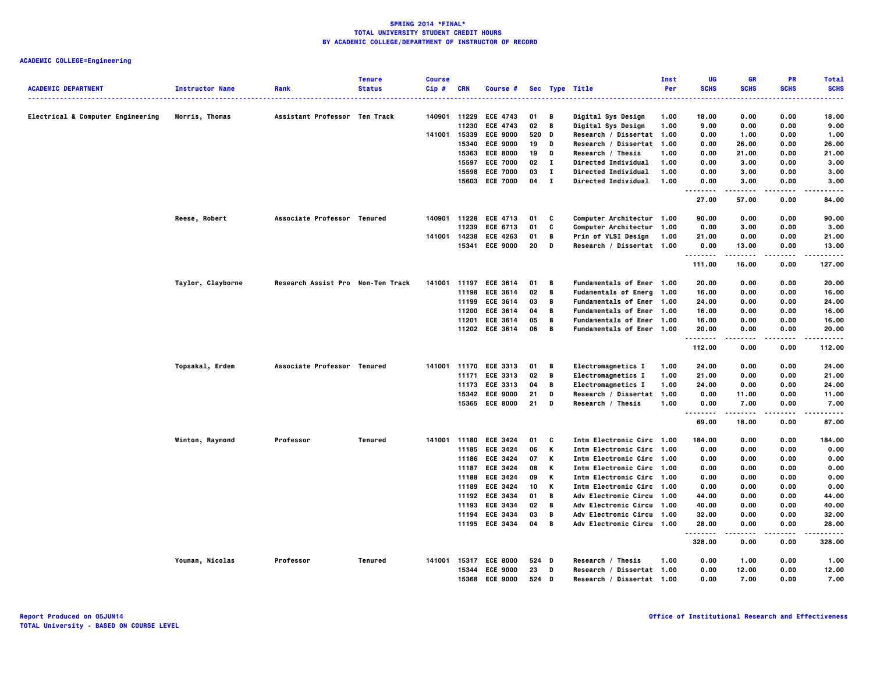| <b>ACADEMIC DEPARTMENT</b>        | <b>Instructor Name</b> | Rank                              | <b>Tenure</b><br><b>Status</b> | <b>Course</b><br>Cip# | <b>CRN</b> | Course #                         |          |              | Sec Type Title                                         | Inst<br>Per | UG<br><b>SCHS</b>            | <b>GR</b><br><b>SCHS</b> | <b>PR</b><br><b>SCHS</b> | <b>Total</b><br><b>SCHS</b> |
|-----------------------------------|------------------------|-----------------------------------|--------------------------------|-----------------------|------------|----------------------------------|----------|--------------|--------------------------------------------------------|-------------|------------------------------|--------------------------|--------------------------|-----------------------------|
|                                   |                        |                                   |                                |                       |            |                                  |          |              |                                                        |             |                              |                          |                          |                             |
| Electrical & Computer Engineering | Morris, Thomas         | Assistant Professor Ten Track     |                                | 140901                | 11229      | <b>ECE 4743</b>                  | 01       | В            | Digital Sys Design                                     | 1.00        | 18.00                        | 0.00                     | 0.00                     | 18.00                       |
|                                   |                        |                                   |                                |                       | 11230      | <b>ECE 4743</b>                  | 02       | B            | Digital Sys Design                                     | 1.00        | 9.00                         | 0.00                     | 0.00                     | 9.00                        |
|                                   |                        |                                   |                                | 141001                |            | 15339 ECE 9000                   | 520      | D            | Research / Dissertat 1.00                              |             | 0.00                         | 1.00                     | 0.00                     | 1.00                        |
|                                   |                        |                                   |                                |                       |            | 15340 ECE 9000                   | 19       | D            | Research / Dissertat 1.00                              |             | 0.00                         | 26.00                    | 0.00                     | 26.00                       |
|                                   |                        |                                   |                                |                       | 15363      | <b>ECE 8000</b>                  | 19       | D            | Research / Thesis                                      | 1.00        | 0.00                         | 21.00                    | 0.00                     | 21.00                       |
|                                   |                        |                                   |                                |                       |            | 15597 ECE 7000                   | 02       | п            | <b>Directed Individual</b>                             | 1.00        | 0.00                         | 3.00                     | 0.00                     | 3.00                        |
|                                   |                        |                                   |                                |                       |            | 15598 ECE 7000                   | 03       | $\mathbf{I}$ | Directed Individual                                    | 1.00        | 0.00                         | 3.00                     | 0.00                     | 3.00                        |
|                                   |                        |                                   |                                |                       | 15603      | <b>ECE 7000</b>                  | 04       | $\mathbf{I}$ | Directed Individual                                    | 1.00        | 0.00<br>.                    | 3.00                     | 0.00                     | 3.00                        |
|                                   |                        |                                   |                                |                       |            |                                  |          |              |                                                        |             | 27.00                        | 57.00                    | 0.00                     | 84.00                       |
|                                   | Reese, Robert          | Associate Professor Tenured       |                                |                       |            | 140901 11228 ECE 4713            | 01       | C            | Computer Architectur 1.00                              |             | 90.00                        | 0.00                     | 0.00                     | 90.00                       |
|                                   |                        |                                   |                                |                       | 11239      | <b>ECE 6713</b>                  | 01       | C            | <b>Computer Architectur 1.00</b>                       |             | 0.00                         | 3.00                     | 0.00                     | 3.00                        |
|                                   |                        |                                   |                                | 141001                | 14238      | <b>ECE 4263</b>                  | 01       | B            | Prin of VLSI Design                                    | 1.00        | 21.00                        | 0.00                     | 0.00                     | 21.00                       |
|                                   |                        |                                   |                                |                       |            | 15341 ECE 9000                   | 20       | D            | Research / Dissertat 1.00                              |             | 0.00<br>.                    | 13.00<br>.               | 0.00                     | 13.00<br>.                  |
|                                   |                        |                                   |                                |                       |            |                                  |          |              |                                                        |             | 111.00                       | 16.00                    | 0.00                     | 127.00                      |
|                                   | Taylor, Clayborne      | Research Assist Pro Non-Ten Track |                                | 141001                | 11197      | <b>ECE 3614</b>                  | 01       | В            | Fundamentals of Ener 1.00                              |             | 20.00                        | 0.00                     | 0.00                     | 20.00                       |
|                                   |                        |                                   |                                |                       | 11198      | <b>ECE 3614</b>                  | 02       | B            | Fudamentals of Energ 1.00                              |             | 16.00                        | 0.00                     | 0.00                     | 16.00                       |
|                                   |                        |                                   |                                |                       |            | 11199 ECE 3614                   | 03       | в            | Fundamentals of Ener 1.00                              |             | 24.00                        | 0.00                     | 0.00                     | 24.00                       |
|                                   |                        |                                   |                                |                       | 11200      | <b>ECE 3614</b>                  | 04       | В            | Fundamentals of Ener 1.00                              |             | 16.00                        | 0.00                     | 0.00                     | 16.00                       |
|                                   |                        |                                   |                                |                       |            | 11201 ECE 3614                   | 05       | B            | <b>Fundamentals of Ener 1.00</b>                       |             | 16.00                        | 0.00                     | 0.00                     | 16.00                       |
|                                   |                        |                                   |                                |                       |            | 11202 ECE 3614                   | 06       | B            | Fundamentals of Ener 1.00                              |             | 20.00<br>.                   | 0.00<br>-----            | 0.00<br>.                | 20.00<br>.                  |
|                                   |                        |                                   |                                |                       |            |                                  |          |              |                                                        |             | 112.00                       | 0.00                     | 0.00                     | 112.00                      |
|                                   | Topsakal, Erdem        | Associate Professor Tenured       |                                | 141001                |            | 11170 ECE 3313                   | 01       | В            | <b>Electromagnetics I</b>                              | 1.00        | 24.00                        | 0.00                     | 0.00                     | 24.00                       |
|                                   |                        |                                   |                                |                       |            | 11171 ECE 3313                   | 02       | В            | Electromagnetics I                                     | 1.00        | 21.00                        | 0.00                     | 0.00                     | 21.00                       |
|                                   |                        |                                   |                                |                       |            | 11173 ECE 3313                   | 04       | B            | <b>Electromagnetics I</b>                              | 1.00        | 24.00                        | 0.00                     | 0.00                     | 24.00                       |
|                                   |                        |                                   |                                |                       |            | 15342 ECE 9000                   | 21       | D            | Research / Dissertat 1.00                              |             | 0.00                         | 11.00                    | 0.00                     | 11.00                       |
|                                   |                        |                                   |                                |                       |            | 15365 ECE 8000                   | 21       | D            | Research / Thesis                                      | 1.00        | 0.00<br>$\sim$ $\sim$ $\sim$ | 7.00                     | 0.00                     | 7.00                        |
|                                   |                        |                                   |                                |                       |            |                                  |          |              |                                                        |             | 69.00                        | 18.00                    | 0.00                     | 87.00                       |
|                                   | Winton, Raymond        | Professor                         | <b>Tenured</b>                 | 141001                |            | 11180 ECE 3424                   | 01       | C            | Intm Electronic Circ 1.00                              |             | 184.00                       | 0.00                     | 0.00                     | 184.00                      |
|                                   |                        |                                   |                                |                       |            | 11185 ECE 3424                   | 06       | K            | Intm Electronic Circ 1.00                              |             | 0.00                         | 0.00                     | 0.00                     | 0.00                        |
|                                   |                        |                                   |                                |                       |            | 11186 ECE 3424                   | 07       | K            | Intm Electronic Circ 1.00                              |             | 0.00                         | 0.00                     | 0.00                     | 0.00                        |
|                                   |                        |                                   |                                |                       | 11187      | <b>ECE 3424</b>                  | 08       | K            | Intm Electronic Circ 1.00                              |             | 0.00                         | 0.00                     | 0.00                     | 0.00                        |
|                                   |                        |                                   |                                |                       |            | 11188 ECE 3424                   | 09       | К            | Intm Electronic Circ 1.00                              |             | 0.00                         | 0.00                     | 0.00                     | 0.00                        |
|                                   |                        |                                   |                                |                       |            | 11189 ECE 3424                   | 10       | К            | Intm Electronic Circ 1.00                              |             | 0.00                         | 0.00                     | 0.00                     | 0.00                        |
|                                   |                        |                                   |                                |                       |            | 11192 ECE 3434                   | 01       | В            | Adv Electronic Circu 1.00                              |             | 44.00                        | 0.00                     | 0.00                     | 44.00                       |
|                                   |                        |                                   |                                |                       | 11193      | <b>ECE 3434</b>                  | 02       | B            | Adv Electronic Circu 1.00                              |             | 40.00                        | 0.00                     | 0.00                     | 40.00                       |
|                                   |                        |                                   |                                |                       |            | 11194 ECE 3434<br>11195 ECE 3434 | 03<br>04 | B<br>B       | Adv Electronic Circu 1.00<br>Adv Electronic Circu 1.00 |             | 32.00<br>28.00               | 0.00<br>0.00             | 0.00<br>0.00             | 32.00<br>28.00              |
|                                   |                        |                                   |                                |                       |            |                                  |          |              |                                                        |             |                              |                          |                          |                             |
|                                   |                        |                                   |                                |                       |            |                                  |          |              |                                                        |             | 328.00                       | 0.00                     | 0.00                     | 328,00                      |
|                                   | Younan, Nicolas        | Professor                         | Tenured                        | 141001                |            | 15317 ECE 8000                   | 524 D    |              | Research / Thesis                                      | 1.00        | 0.00                         | 1.00                     | 0.00                     | 1.00                        |
|                                   |                        |                                   |                                |                       | 15344      | <b>ECE 9000</b>                  | 23       | D            | Research / Dissertat 1.00                              |             | 0.00                         | 12.00                    | 0.00                     | 12.00                       |
|                                   |                        |                                   |                                |                       |            | 15368 ECE 9000                   | 524 D    |              | Research / Dissertat 1.00                              |             | 0.00                         | 7.00                     | 0.00                     | 7.00                        |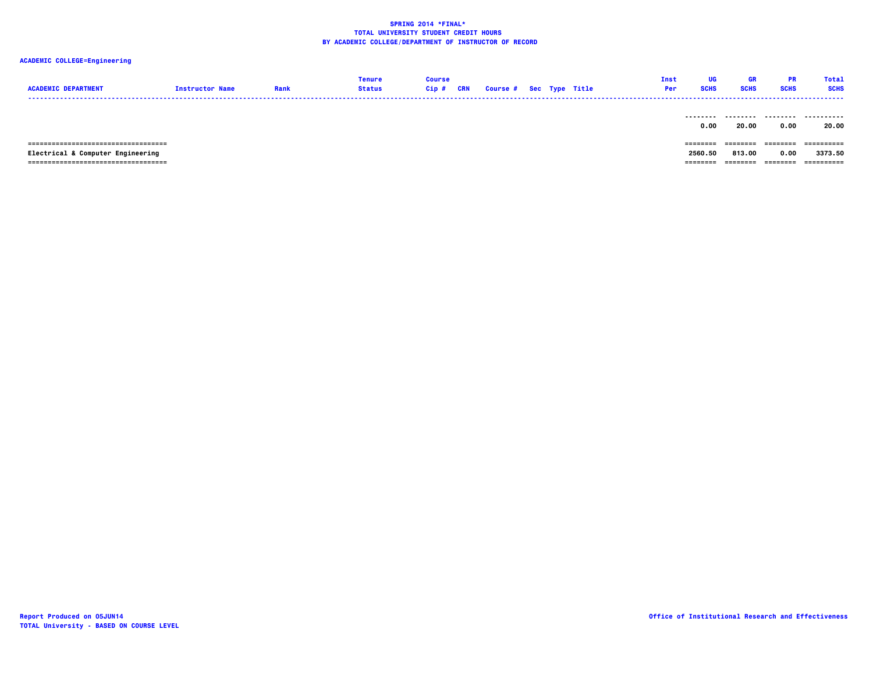| <b>ACADEMIC DEPARTMENT</b>            | <b>Instructor Name</b> | Rank | <b>Tenure</b><br><b>Status</b> | <b>Course</b><br>Cip# | CRN | <b>Course # Sec Type Title</b> |  | Inst<br>Per | UG<br><b>SCHS</b> | GR<br><b>SCHS</b> | <b>PR</b><br><b>SCHS</b> | <b>Total</b><br><b>SCHS</b> |
|---------------------------------------|------------------------|------|--------------------------------|-----------------------|-----|--------------------------------|--|-------------|-------------------|-------------------|--------------------------|-----------------------------|
|                                       |                        |      |                                |                       |     |                                |  |             | --------<br>0.00  | .<br>20.00        | .<br>0.00                | <br>20.00                   |
| ------------------------------------- |                        |      |                                |                       |     |                                |  |             | ========          | ========          | ========                 |                             |
| Electrical & Computer Engineering     |                        |      |                                |                       |     |                                |  |             | 2560.50           | 813.00            | 0.00                     | 3373.50                     |
| ------------------------------------  |                        |      |                                |                       |     |                                |  |             | ========          | ========          | ---------                | -----------                 |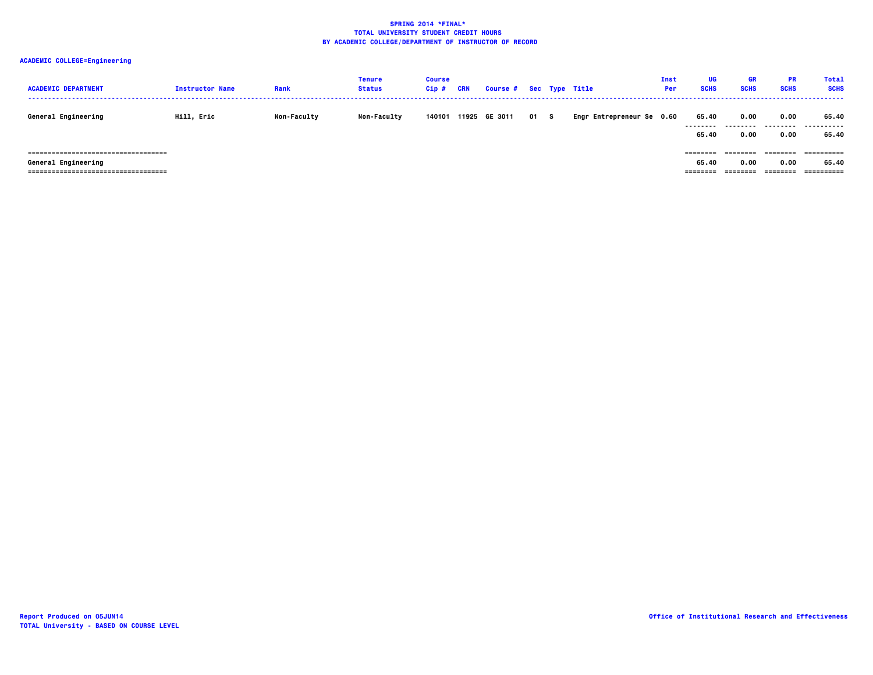| <b>ACADEMIC DEPARTMENT</b>                                                                            | <b>Instructor Name</b> | Rank               | Tenure<br><b>Status</b> | <b>Course</b><br>$Cip$ # | <b>CRN</b> | Course # Sec Type Title |      |                           | <b>Inst</b><br>Per | UG<br><b>SCHS</b>             | GR<br><b>SCHS</b>            | <b>PR</b><br><b>SCHS</b>       | <b>Total</b><br><b>SCHS</b>       |
|-------------------------------------------------------------------------------------------------------|------------------------|--------------------|-------------------------|--------------------------|------------|-------------------------|------|---------------------------|--------------------|-------------------------------|------------------------------|--------------------------------|-----------------------------------|
| General Engineering                                                                                   | Hill, Eric             | <b>Non-Faculty</b> | <b>Non-Faculty</b>      | 140101                   | 11925      | GE 3011                 | 01 S | Engr Entrepreneur Se 0.60 |                    | 65.40<br>.<br>65.40           | 0.00<br>0.00                 | 0.00<br>0.00                   | 65.40<br><br>65.40                |
| =====================================<br>General Engineering<br>===================================== |                        |                    |                         |                          |            |                         |      |                           |                    | ========<br>65.40<br>======== | ========<br>0.00<br>-------- | ---------<br>0.00<br>--------- | ==========<br>65.40<br>========== |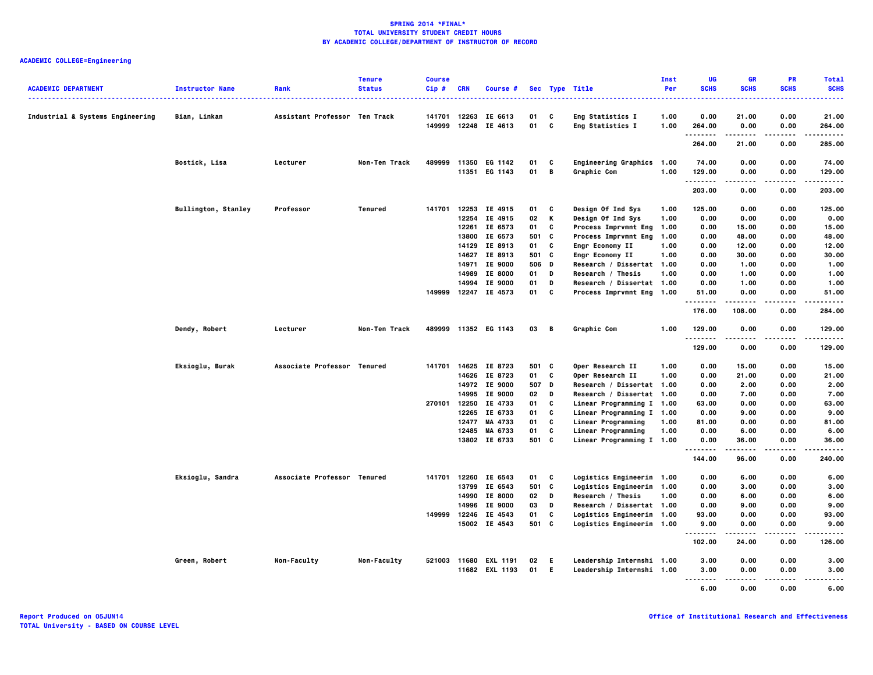| <b>ACADEMIC DEPARTMENT</b><br>----------------------------------- | <b>Instructor Name</b><br><u>.</u> | Rank                          | <b>Tenure</b><br><b>Status</b> | <b>Course</b><br>Cip# | <b>CRN</b> | <b>Course</b> #          |          |              | Sec Type Title                       | Inst<br>Per  | UG<br><b>SCHS</b> | <b>GR</b><br><b>SCHS</b> | PR<br><b>SCHS</b> | <b>Total</b><br><b>SCHS</b> |
|-------------------------------------------------------------------|------------------------------------|-------------------------------|--------------------------------|-----------------------|------------|--------------------------|----------|--------------|--------------------------------------|--------------|-------------------|--------------------------|-------------------|-----------------------------|
| Industrial & Systems Engineering                                  | Bian, Linkan                       | Assistant Professor Ten Track |                                | 141701<br>149999      | 12263      | IE 6613<br>12248 IE 4613 | 01<br>01 | C<br>C       | Eng Statistics I<br>Eng Statistics I | 1.00<br>1.00 | 0.00<br>264.00    | 21.00<br>0.00            | 0.00<br>0.00      | 21,00<br>264.00             |
|                                                                   |                                    |                               |                                |                       |            |                          |          |              |                                      |              | .<br>264.00       | -----<br>21.00           | $- - - -$<br>0.00 | .<br>285.00                 |
|                                                                   |                                    |                               |                                |                       |            |                          |          |              |                                      |              |                   |                          |                   |                             |
|                                                                   | Bostick, Lisa                      | Lecturer                      | Non-Ten Track                  | 489999                | 11350      | EG 1142                  | 01       | C            | <b>Engineering Graphics</b>          | 1.00         | 74.00             | 0.00                     | 0.00              | 74.00                       |
|                                                                   |                                    |                               |                                |                       |            | 11351 EG 1143            | 01       | B            | Graphic Com                          | 1.00         | 129.00<br>.       | 0.00                     | 0.00<br>.         | 129.00<br>.                 |
|                                                                   |                                    |                               |                                |                       |            |                          |          |              |                                      |              | 203.00            | 0.00                     | 0.00              | 203.00                      |
|                                                                   | <b>Bullington, Stanley</b>         | Professor                     | Tenured                        | 141701                |            | 12253 IE 4915            | 01       | $\mathbf{c}$ | Design Of Ind Sys                    | 1.00         | 125.00            | 0.00                     | 0.00              | 125.00                      |
|                                                                   |                                    |                               |                                |                       | 12254      | IE 4915                  | 02       | K            | Design Of Ind Sys                    | 1.00         | 0.00              | 0.00                     | 0.00              | 0.00                        |
|                                                                   |                                    |                               |                                |                       | 12261      | IE 6573                  | 01       | C            | <b>Process Imprvmnt Eng</b>          | 1.00         | 0.00              | 15.00                    | 0.00              | 15.00                       |
|                                                                   |                                    |                               |                                |                       |            | 13800 IE 6573            | 501 C    |              | <b>Process Imprvmnt Eng</b>          | 1.00         | 0.00              | 48.00                    | 0.00              | 48.00                       |
|                                                                   |                                    |                               |                                |                       |            | 14129 IE 8913            | 01       | C            | Engr Economy II                      | 1.00         | 0.00              | 12.00                    | 0.00              | 12.00                       |
|                                                                   |                                    |                               |                                |                       |            | 14627 IE 8913            | 501 C    |              | Engr Economy II                      | 1.00         | 0.00              | 30.00                    | 0.00              | 30.00                       |
|                                                                   |                                    |                               |                                |                       | 14971      | IE 9000                  | 506 D    |              | Research / Dissertat 1.00            |              | 0.00              | 1.00                     | 0.00              | 1.00                        |
|                                                                   |                                    |                               |                                |                       |            | 14989 IE 8000            | 01       | D            | Research / Thesis                    | 1.00         | 0.00              | 1.00                     | 0.00              | 1.00                        |
|                                                                   |                                    |                               |                                |                       | 14994      | IE 9000                  | 01       | D            | Research / Dissertat 1.00            |              | 0.00              | 1.00                     | 0.00              | 1.00                        |
|                                                                   |                                    |                               |                                | 149999                |            | 12247 IE 4573            | 01       | C            | Process Imprvmnt Eng 1.00            |              | 51.00             | 0.00                     | 0.00              | 51.00                       |
|                                                                   |                                    |                               |                                |                       |            |                          |          |              |                                      |              | .<br>176.00       | .<br>108,00              | $- - - -$<br>0.00 | .<br>284.00                 |
|                                                                   | Dendy, Robert                      | Lecturer                      | Non-Ten Track                  |                       |            | 489999 11352 EG 1143     | 03 B     |              | Graphic Com                          | 1.00         | 129.00<br>.       | 0.00                     | 0.00              | 129.00<br>                  |
|                                                                   |                                    |                               |                                |                       |            |                          |          |              |                                      |              | 129.00            | 0.00                     | 0.00              | 129.00                      |
|                                                                   | Eksioglu, Burak                    | Associate Professor Tenured   |                                | 141701                |            | 14625 IE 8723            | 501 C    |              | Oper Research II                     | 1.00         | 0.00              | 15.00                    | 0.00              | 15.00                       |
|                                                                   |                                    |                               |                                |                       |            | 14626 IE 8723            | 01 C     |              | Oper Research II                     | 1.00         | 0.00              | 21.00                    | 0.00              | 21.00                       |
|                                                                   |                                    |                               |                                |                       |            | 14972 IE 9000            | 507 D    |              | Research / Dissertat 1.00            |              | 0.00              | 2.00                     | 0.00              | 2.00                        |
|                                                                   |                                    |                               |                                |                       |            | 14995 IE 9000            | 02       | D            | Research / Dissertat 1.00            |              | 0.00              | 7.00                     | 0.00              | 7.00                        |
|                                                                   |                                    |                               |                                | 270101                |            | 12250 IE 4733            | 01       | C            | Linear Programming I 1.00            |              | 63.00             | 0.00                     | 0.00              | 63.00                       |
|                                                                   |                                    |                               |                                |                       |            | 12265 IE 6733            | 01       | C            | Linear Programming I 1.00            |              | 0.00              | 9.00                     | 0.00              | 9.00                        |
|                                                                   |                                    |                               |                                |                       | 12477      | MA 4733                  | 01       | C            | Linear Programming                   | 1.00         | 81.00             | 0.00                     | 0.00              | 81.00                       |
|                                                                   |                                    |                               |                                |                       | 12485      | MA 6733                  | 01       | C            | Linear Programming                   | 1.00         | 0.00              | 6.00                     | 0.00              | 6.00                        |
|                                                                   |                                    |                               |                                |                       |            | 13802 IE 6733            | 501 C    |              | Linear Programming I 1.00            |              | 0.00              | 36.00                    | 0.00              | 36.00                       |
|                                                                   |                                    |                               |                                |                       |            |                          |          |              |                                      |              | .<br>144.00       | -----<br>96.00           | 0.00              | .<br>240.00                 |
|                                                                   | Eksioglu, Sandra                   | Associate Professor Tenured   |                                | 141701                |            | 12260 IE 6543            | 01       | C            | Logistics Engineerin 1.00            |              | 0.00              | 6.00                     | 0.00              | 6.00                        |
|                                                                   |                                    |                               |                                |                       |            | 13799 IE 6543            | 501 C    |              | Logistics Engineerin 1.00            |              | 0.00              | 3.00                     | 0.00              | 3.00                        |
|                                                                   |                                    |                               |                                |                       |            | 14990 IE 8000            | 02       | D            | Research / Thesis                    | 1.00         | 0.00              | 6.00                     | 0.00              | 6.00                        |
|                                                                   |                                    |                               |                                |                       |            | 14996 IE 9000            | 03       | D            | Research / Dissertat 1.00            |              | 0.00              | 9.00                     | 0.00              | 9.00                        |
|                                                                   |                                    |                               |                                | 149999                |            | 12246 IE 4543            | 01       | C            | Logistics Engineerin 1.00            |              | 93.00             | 0.00                     | 0.00              | 93.00                       |
|                                                                   |                                    |                               |                                |                       |            | 15002 IE 4543            | 501 C    |              | Logistics Engineerin 1.00            |              | 9.00              | 0.00                     | 0.00              | 9.00                        |
|                                                                   |                                    |                               |                                |                       |            |                          |          |              |                                      |              | .<br>102.00       | 24.00                    | 0.00              | .<br>126.00                 |
|                                                                   | Green, Robert                      | Non-Faculty                   | Non-Faculty                    |                       |            | 521003 11680 EXL 1191    | 02       | - E          | Leadership Internshi 1.00            |              | 3.00              | 0.00                     | 0.00              | 3.00                        |
|                                                                   |                                    |                               |                                |                       |            | 11682 EXL 1193           | 01       | - E          | Leadership Internshi 1.00            |              | 3.00<br>.         | 0.00<br>.                | 0.00<br>$- - - -$ | 3.00<br>-----               |
|                                                                   |                                    |                               |                                |                       |            |                          |          |              |                                      |              | 6.00              | 0.00                     | 0.00              | 6.00                        |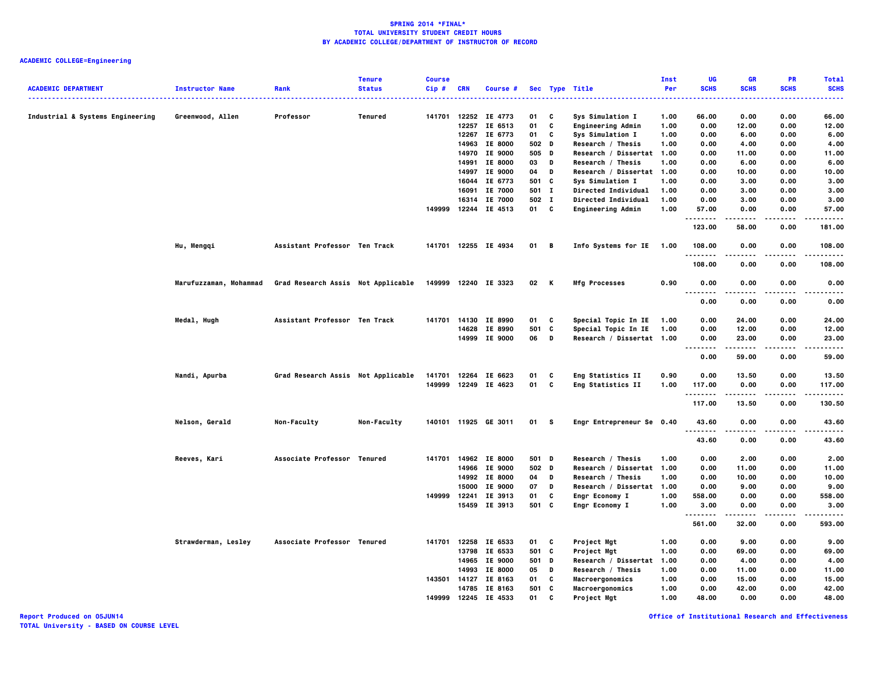## **ACADEMIC COLLEGE=Engineering**

|                                  |                        |                                    | <b>Tenure</b> | <b>Course</b> |            |                      |       |   |                           | Inst | UG                                | <b>GR</b>     | PR                | <b>Total</b>             |
|----------------------------------|------------------------|------------------------------------|---------------|---------------|------------|----------------------|-------|---|---------------------------|------|-----------------------------------|---------------|-------------------|--------------------------|
| <b>ACADEMIC DEPARTMENT</b>       | <b>Instructor Name</b> | Rank                               | <b>Status</b> | Cip#          | <b>CRN</b> | Course #             |       |   | Sec Type Title<br>.       | Per  | <b>SCHS</b>                       | <b>SCHS</b>   | <b>SCHS</b>       | <b>SCHS</b><br>$- - - -$ |
| Industrial & Systems Engineering | Greenwood, Allen       | Professor                          | Tenured       | 141701        |            | 12252 IE 4773        | 01    | C | Sys Simulation I          | 1.00 | 66.00                             | 0.00          | 0.00              | 66.00                    |
|                                  |                        |                                    |               |               |            | 12257 IE 6513        | 01    | C | <b>Engineering Admin</b>  | 1.00 | 0.00                              | 12.00         | 0.00              | 12.00                    |
|                                  |                        |                                    |               |               |            | 12267 IE 6773        | 01    | C | Sys Simulation I          | 1.00 | 0.00                              | 6.00          | 0.00              | 6.00                     |
|                                  |                        |                                    |               |               |            | 14963 IE 8000        | 502 D |   | Research / Thesis         | 1.00 | 0.00                              | 4.00          | 0.00              | 4.00                     |
|                                  |                        |                                    |               |               |            | 14970 IE 9000        | 505   | D | Research / Dissertat 1.00 |      | 0.00                              | 11.00         | 0.00              | 11.00                    |
|                                  |                        |                                    |               |               | 14991      | <b>IE 8000</b>       | 03    | D | Research / Thesis         | 1.00 | 0.00                              | 6.00          | 0.00              | 6.00                     |
|                                  |                        |                                    |               |               |            | 14997 IE 9000        | 04    | D | Research / Dissertat 1.00 |      | 0.00                              | 10.00         | 0.00              | 10.00                    |
|                                  |                        |                                    |               |               | 16044      | IE 6773              | 501   | c | Sys Simulation I          | 1.00 | 0.00                              | 3.00          | 0.00              | 3.00                     |
|                                  |                        |                                    |               |               | 16091      | IE 7000              | 501 I |   | Directed Individual       | 1.00 | 0.00                              | 3.00          | 0.00              | 3.00                     |
|                                  |                        |                                    |               |               | 16314      | IE 7000              | 502 I |   | Directed Individual       | 1.00 | 0.00                              | 3.00          | 0.00              | 3.00                     |
|                                  |                        |                                    |               | 149999        |            | 12244 IE 4513        | 01 C  |   | <b>Engineering Admin</b>  | 1.00 | 57.00                             | 0.00          | 0.00              | 57.00                    |
|                                  |                        |                                    |               |               |            |                      |       |   |                           |      | 123.00                            | 58.00         | 0.00              | 181.00                   |
|                                  | Hu, Mengqi             | Assistant Professor Ten Track      |               |               |            | 141701 12255 IE 4934 | 01 B  |   | Info Systems for IE       | 1.00 | 108.00<br>.                       | 0.00<br>----- | 0.00<br>.         | 108.00<br>$- - - - -$    |
|                                  |                        |                                    |               |               |            |                      |       |   |                           |      | 108.00                            | 0.00          | 0.00              | 108.00                   |
|                                  | Marufuzzaman, Mohammad | Grad Research Assis Not Applicable |               | 149999        |            | 12240 IE 3323        | 02    | K | <b>Mfg Processes</b>      | 0.90 | 0.00<br>.<br>$\sim$ $\sim$ $\sim$ | 0.00          | 0.00              | 0.00                     |
|                                  |                        |                                    |               |               |            |                      |       |   |                           |      | 0.00                              | 0.00          | 0.00              | 0.00                     |
|                                  | Medal, Hugh            | Assistant Professor Ten Track      |               | 141701        |            | 14130 IE 8990        | 01    | C | Special Topic In IE       | 1.00 | 0.00                              | 24.00         | 0.00              | 24.00                    |
|                                  |                        |                                    |               |               | 14628      | IE 8990              | 501   | C | Special Topic In IE       | 1.00 | 0.00                              | 12.00         | 0.00              | 12.00                    |
|                                  |                        |                                    |               |               | 14999      | IE 9000              | 06    | D | Research / Dissertat 1.00 |      | 0.00<br>.<br>$\sim$ $\sim$ $\sim$ | 23.00<br>.    | 0.00<br>.         | 23.00<br>.               |
|                                  |                        |                                    |               |               |            |                      |       |   |                           |      | 0.00                              | 59.00         | 0.00              | 59.00                    |
|                                  | Nandi, Apurba          | Grad Research Assis Not Applicable |               | 141701        |            | 12264 IE 6623        | 01    | C | Eng Statistics II         | 0.90 | 0.00                              | 13.50         | 0.00              | 13.50                    |
|                                  |                        |                                    |               |               |            | 149999 12249 IE 4623 | 01    | C | Eng Statistics II         | 1.00 | 117.00                            | 0.00          | 0.00              | 117.00                   |
|                                  |                        |                                    |               |               |            |                      |       |   |                           |      | .<br>117.00                       | .<br>13.50    | $- - - -$<br>0.00 | .<br>130.50              |
|                                  | Nelson, Gerald         | Non-Faculty                        | Non-Faculty   |               |            | 140101 11925 GE 3011 | 01 S  |   | Engr Entrepreneur Se 0.40 |      | 43.60<br>.                        | 0.00          | 0.00<br>.         | 43.60<br>.               |
|                                  |                        |                                    |               |               |            |                      |       |   |                           |      | 43.60                             | 0.00          | 0.00              | 43.60                    |
|                                  | Reeves, Kari           | Associate Professor Tenured        |               | 141701        |            | 14962 IE 8000        | 501 D |   | Research / Thesis         | 1.00 | 0.00                              | 2.00          | 0.00              | 2.00                     |
|                                  |                        |                                    |               |               |            | 14966 IE 9000        | 502 D |   | Research / Dissertat 1.00 |      | 0.00                              | 11.00         | 0.00              | 11.00                    |
|                                  |                        |                                    |               |               |            | 14992 IE 8000        | 04    | D | Research / Thesis         | 1.00 | 0.00                              | 10.00         | 0.00              | 10.00                    |
|                                  |                        |                                    |               |               | 15000      | IE 9000              | 07    | D | Research / Dissertat 1.00 |      | 0.00                              | 9.00          | 0.00              | 9.00                     |
|                                  |                        |                                    |               | 149999        | 12241      | IE 3913              | 01    | C | Engr Economy I            | 1.00 | 558.00                            | 0.00          | 0.00              | 558.00                   |
|                                  |                        |                                    |               |               |            | 15459 IE 3913        | 501 C |   | <b>Engr Economy I</b>     | 1.00 | 3.00<br>.<br>- - -                | 0.00          | 0.00              | 3.00                     |
|                                  |                        |                                    |               |               |            |                      |       |   |                           |      | 561.00                            | 32.00         | 0.00              | 593.00                   |
|                                  | Strawderman, Lesley    | Associate Professor Tenured        |               | 141701        |            | 12258 IE 6533        | 01    | c | Project Mgt               | 1.00 | 0.00                              | 9.00          | 0.00              | 9.00                     |
|                                  |                        |                                    |               |               | 13798      | IE 6533              | 501   | C | Project Mgt               | 1.00 | 0.00                              | 69.00         | 0.00              | 69.00                    |
|                                  |                        |                                    |               |               |            | 14965 IE 9000        | 501 D |   | Research / Dissertat      | 1.00 | 0.00                              | 4.00          | 0.00              | 4.00                     |
|                                  |                        |                                    |               |               |            | 14993 IE 8000        | 05    | D | Research / Thesis         | 1.00 | 0.00                              | 11.00         | 0.00              | 11.00                    |
|                                  |                        |                                    |               | 143501        | 14127      | IE 8163              | 01    | C | Macroergonomics           | 1.00 | 0.00                              | 15.00         | 0.00              | 15.00                    |
|                                  |                        |                                    |               |               |            | 14785 IE 8163        | 501   | C | Macroergonomics           | 1.00 | 0.00                              | 42.00         | 0.00              | 42.00                    |
|                                  |                        |                                    |               | 149999        | 12245      | IE 4533              | 01    | c | Project Mgt               | 1.00 | 48.00                             | 0.00          | 0.00              | 48.00                    |

**Report Produced on 05JUN14 Office of Institutional Research and Effectiveness**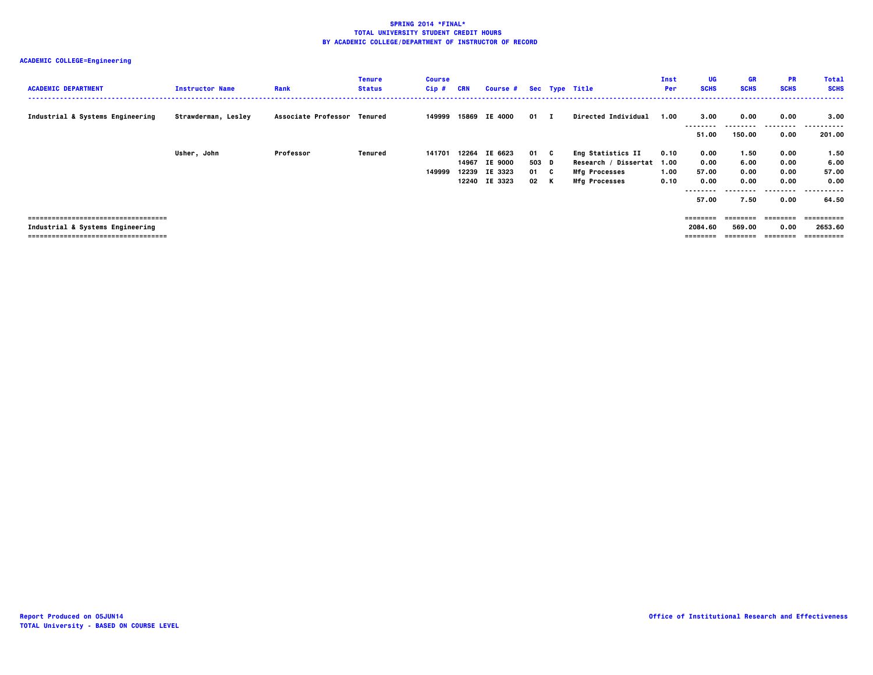| <b>ACADEMIC DEPARTMENT</b>                                                                                       | <b>Instructor Name</b> | Rank                        | <b>Tenure</b><br><b>Status</b> | <b>Course</b><br>Cip# | <b>CRN</b> | <b>Course #</b>                                                  |                               | Sec Type Title                                                                                   | Inst<br>Per                  | UG<br><b>SCHS</b>                      | <b>GR</b><br><b>SCHS</b>             | <b>PR</b><br><b>SCHS</b>                 | <b>Total</b><br><b>SCHS</b>                      |
|------------------------------------------------------------------------------------------------------------------|------------------------|-----------------------------|--------------------------------|-----------------------|------------|------------------------------------------------------------------|-------------------------------|--------------------------------------------------------------------------------------------------|------------------------------|----------------------------------------|--------------------------------------|------------------------------------------|--------------------------------------------------|
| Industrial & Systems Engineering                                                                                 | Strawderman, Lesley    | Associate Professor Tenured |                                | 149999                |            | 15869 IE 4000                                                    | $01 \quad I$                  | Directed Individual                                                                              | 1.00                         | 3.00<br>51.00                          | 0.00<br>--------<br>150.00           | 0.00<br>.<br>0.00                        | 3.00<br>.<br>201.00                              |
|                                                                                                                  | Usher, John            | Professor                   | Tenured                        | 141701<br>149999      |            | 12264 IE 6623<br>14967 IE 9000<br>12239 IE 3323<br>12240 IE 3323 | 01 C<br>503 D<br>01 C<br>02 K | <b>Eng Statistics II</b><br>Research / Dissertat<br><b>Mfg Processes</b><br><b>Mfg Processes</b> | 0.10<br>1.00<br>1.00<br>0.10 | 0.00<br>0.00<br>57.00<br>0.00<br>57.00 | 1.50<br>6.00<br>0.00<br>0.00<br>7.50 | 0.00<br>0.00<br>0.00<br>0.00<br><br>0.00 | 1.50<br>6.00<br>57.00<br>0.00<br>.<br>.<br>64.50 |
| -------------------------------------<br>Industrial & Systems Engineering<br>=================================== |                        |                             |                                |                       |            |                                                                  |                               |                                                                                                  |                              | ========<br>2084.60<br>========        | ========<br>569.00<br>========       | ========<br>0.00<br>========             | 2653.60<br>==========                            |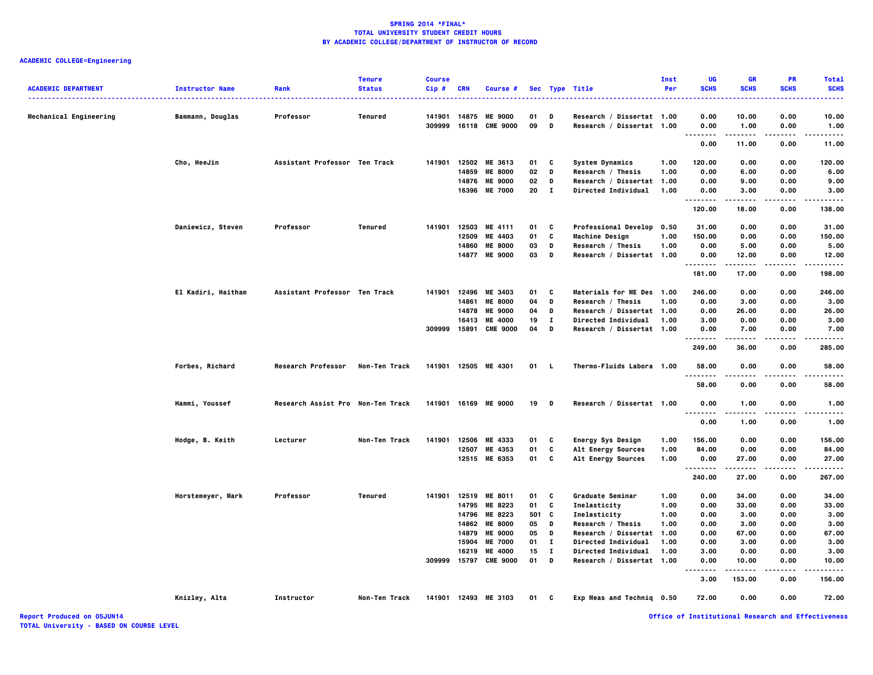## **ACADEMIC COLLEGE=Engineering**

|                            |                        |                                   | <b>Tenure</b>  | <b>Course</b> |                |                            |          |                |                                                         | Inst | UG           | <b>GR</b>     | <b>PR</b>         | <b>Total</b>        |
|----------------------------|------------------------|-----------------------------------|----------------|---------------|----------------|----------------------------|----------|----------------|---------------------------------------------------------|------|--------------|---------------|-------------------|---------------------|
| <b>ACADEMIC DEPARTMENT</b> | <b>Instructor Name</b> | Rank                              | <b>Status</b>  | Cip#          | <b>CRN</b>     | Course #                   |          |                | Sec Type Title<br>.                                     | Per  | <b>SCHS</b>  | <b>SCHS</b>   | <b>SCHS</b>       | <b>SCHS</b><br>---- |
| Mechanical Engineering     | Bammann, Douglas       | Professor                         | <b>Tenured</b> | 141901        |                | 14875 ME 9000              | 01       | D              | Research / Dissertat 1.00                               |      | 0.00         | 10.00         | 0.00              | 10.00               |
|                            |                        |                                   |                | 309999        | 16118          | <b>CME 9000</b>            | 09       | D              | Research / Dissertat 1.00                               |      | 0.00<br>.    | 1.00<br>.     | 0.00<br>$- - - -$ | 1.00<br>.           |
|                            |                        |                                   |                |               |                |                            |          |                |                                                         |      | 0.00         | 11.00         | 0.00              | 11.00               |
|                            | Cho, HeeJin            | Assistant Professor Ten Track     |                | 141901        |                | 12502 ME 3613              | 01       | C              | <b>System Dynamics</b>                                  | 1.00 | 120.00       | 0.00          | 0.00              | 120.00              |
|                            |                        |                                   |                |               | 14859          | <b>ME 8000</b>             | 02       | D              | Research / Thesis                                       | 1.00 | 0.00         | 6.00          | 0.00              | 6.00                |
|                            |                        |                                   |                |               |                | 14876 ME 9000              | 02       | D              | Research / Dissertat 1.00                               |      | 0.00         | 9.00          | 0.00              | 9.00                |
|                            |                        |                                   |                |               |                | 16396 ME 7000              | 20       | $\blacksquare$ | Directed Individual                                     | 1.00 | 0.00<br>.    | 3.00          | 0.00              | 3.00                |
|                            |                        |                                   |                |               |                |                            |          |                |                                                         |      | 120.00       | 18.00         | 0.00              | 138.00              |
|                            | Daniewicz, Steven      | Professor                         | Tenured        |               |                | 141901 12503 ME 4111       | 01       | C              | <b>Professional Develop</b>                             | 0.50 | 31.00        | 0.00          | 0.00              | 31.00               |
|                            |                        |                                   |                |               | 12509          | ME 4403                    | 01       | C              | <b>Machine Design</b>                                   | 1.00 | 150.00       | 0.00          | 0.00              | 150.00              |
|                            |                        |                                   |                |               | 14860          | <b>ME 8000</b>             | 03       | D              | Research / Thesis                                       | 1.00 | 0.00         | 5.00          | 0.00              | 5.00                |
|                            |                        |                                   |                |               |                | 14877 ME 9000              | 03       | D              | Research / Dissertat 1.00                               |      | 0.00<br>     | 12.00<br>.    | 0.00<br>.         | 12.00<br>.          |
|                            |                        |                                   |                |               |                |                            |          |                |                                                         |      | 181.00       | 17.00         | 0.00              | 198.00              |
|                            | El Kadiri, Haitham     | Assistant Professor Ten Track     |                | 141901        | 12496          | ME 3403                    | 01       | C              | Materials for ME Des 1.00                               |      | 246.00       | 0.00          | 0.00              | 246.00              |
|                            |                        |                                   |                |               | 14861          | <b>ME 8000</b>             | 04       | D              | Research / Thesis                                       | 1.00 | 0.00         | 3.00          | 0.00              | 3.00                |
|                            |                        |                                   |                |               | 14878          | <b>ME 9000</b>             | 04       | D              | Research / Dissertat 1.00                               |      | 0.00         | 26.00         | 0.00              | 26.00               |
|                            |                        |                                   |                |               | 16413          | <b>ME 4000</b>             | 19       | п              | <b>Directed Individual</b>                              | 1.00 | 3.00         | 0.00          | 0.00              | 3.00                |
|                            |                        |                                   |                | 309999        | 15891          | <b>CME 9000</b>            | 04       | D              | Research / Dissertat 1.00                               |      | 0.00<br>.    | 7.00          | 0.00<br>$- - - -$ | 7.00<br>$- - - -$   |
|                            |                        |                                   |                |               |                |                            |          |                |                                                         |      | 249.00       | 36.00         | 0.00              | 285.00              |
|                            | Forbes, Richard        | <b>Research Professor</b>         | Non-Ten Track  |               |                | 141901 12505 ME 4301       | 01 L     |                | Thermo-Fluids Labora 1.00                               |      | 58.00        | 0.00          | 0.00              | 58,00               |
|                            |                        |                                   |                |               |                |                            |          |                |                                                         |      | 58.00        | 0.00          | 0.00              | 58.00               |
|                            | Hammi, Youssef         | Research Assist Pro Non-Ten Track |                | 141901        |                | 16169 ME 9000              | 19       | D              | Research / Dissertat 1.00                               |      | 0.00<br>     | 1.00          | 0.00              | 1.00                |
|                            |                        |                                   |                |               |                |                            |          |                |                                                         |      | 0.00         | 1.00          | 0.00              | 1.00                |
|                            | Hodge, B. Keith        | Lecturer                          | Non-Ten Track  | 141901        | 12506          | ME 4333                    | 01       | C              | Energy Sys Design                                       | 1.00 | 156.00       | 0.00          | 0.00              | 156.00              |
|                            |                        |                                   |                |               | 12507          | ME 4353                    | 01       | C              | Alt Energy Sources                                      | 1.00 | 84.00        | 0.00          | 0.00              | 84.00               |
|                            |                        |                                   |                |               |                | 12515 ME 6353              | 01       | C              | Alt Energy Sources                                      | 1.00 | 0.00<br>.    | 27.00         | 0.00              | 27.00<br>.          |
|                            |                        |                                   |                |               |                |                            |          |                |                                                         |      | 240.00       | 27.00         | 0.00              | 267.00              |
|                            | Horstemeyer, Mark      | Professor                         | Tenured        | 141901        | 12519          | <b>ME 8011</b>             | 01       | C              | Graduate Seminar                                        | 1.00 | 0.00         | 34.00         | 0.00              | 34.00               |
|                            |                        |                                   |                |               | 14795          | ME 8223                    | 01       | C              | Inelasticity                                            | 1.00 | 0.00         | 33.00         | 0.00              | 33.00               |
|                            |                        |                                   |                |               | 14796          | ME 8223                    | 501 C    |                | Inelasticity                                            | 1.00 | 0.00         | 3.00          | 0.00              | 3.00                |
|                            |                        |                                   |                |               | 14862          | <b>ME 8000</b>             | 05       | D              | Research / Thesis                                       | 1.00 | 0.00         | 3.00          | 0.00              | 3.00                |
|                            |                        |                                   |                |               | 14879          | <b>ME 9000</b>             | 05       | D              | Research / Dissertat                                    | 1.00 | 0.00         | 67.00         | 0.00              | 67.00               |
|                            |                        |                                   |                |               | 15904          | <b>ME 7000</b>             | 01       | $\mathbf{I}$   | <b>Directed Individual</b>                              | 1.00 | 0.00         | 3.00          | 0.00              | 3.00                |
|                            |                        |                                   |                | 309999        | 16219<br>15797 | ME 4000<br><b>CME 9000</b> | 15<br>01 | п<br>D         | <b>Directed Individual</b><br>Research / Dissertat 1.00 | 1.00 | 3.00<br>0.00 | 0.00<br>10.00 | 0.00<br>0.00      | 3.00<br>10.00       |
|                            |                        |                                   |                |               |                |                            |          |                |                                                         |      | $\ddotsc$    |               |                   | .                   |
|                            |                        |                                   |                |               |                |                            |          |                |                                                         |      | 3.00         | 153.00        | 0.00              | 156.00              |
|                            | Knizley, Alta          | Instructor                        | Non-Ten Track  | 141901        |                | 12493 ME 3103              | 01       | C              | Exp Meas and Techniq 0.50                               |      | 72.00        | 0.00          | 0.00              | 72.00               |

**Report Produced on 05JUN14 Office of Institutional Research and Effectiveness**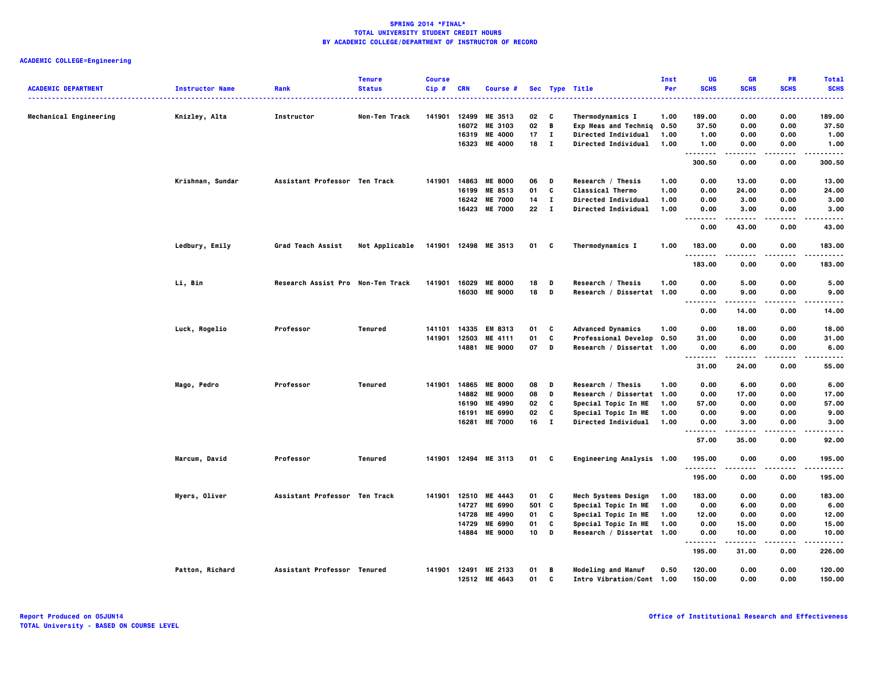| <b>ACADEMIC DEPARTMENT</b> | <b>Instructor Name</b> | Rank                              | <b>Tenure</b><br><b>Status</b> | <b>Course</b><br>$Cip$ # | <b>CRN</b> | <b>Course #</b>                       |                  |              | Sec Type Title                                  | Inst<br>Per | UG<br><b>SCHS</b> | <b>GR</b><br><b>SCHS</b> | PR<br><b>SCHS</b> | <b>Total</b><br><b>SCHS</b> |
|----------------------------|------------------------|-----------------------------------|--------------------------------|--------------------------|------------|---------------------------------------|------------------|--------------|-------------------------------------------------|-------------|-------------------|--------------------------|-------------------|-----------------------------|
|                            |                        |                                   |                                |                          |            |                                       |                  |              | .                                               |             |                   |                          | .                 |                             |
| Mechanical Engineering     | Knizley, Alta          | Instructor                        | Non-Ten Track                  | 141901                   |            | 12499 ME 3513                         | 02               | c            | Thermodynamics I                                | 1.00        | 189.00            | 0.00                     | 0.00              | 189.00                      |
|                            |                        |                                   |                                |                          |            | 16072 ME 3103                         | $02$ B           |              | Exp Meas and Techniq                            | 0.50        | 37.50             | 0.00                     | 0.00              | 37.50                       |
|                            |                        |                                   |                                |                          | 16319      | <b>ME 4000</b>                        | 17               | $\mathbf{I}$ | Directed Individual                             | 1.00        | 1.00              | 0.00                     | 0.00              | 1.00                        |
|                            |                        |                                   |                                |                          |            | 16323 ME 4000                         | 18 I             |              | Directed Individual                             | 1.00        | 1.00<br>.         | 0.00                     | 0.00              | 1.00<br>-----               |
|                            |                        |                                   |                                |                          |            |                                       |                  |              |                                                 |             | 300.50            | 0.00                     | 0.00              | 300.50                      |
|                            | Krishnan, Sundar       | Assistant Professor Ten Track     |                                | 141901                   |            | 14863 ME 8000                         | 06               | D            | Research / Thesis                               | 1.00        | 0.00              | 13.00                    | 0.00              | 13.00                       |
|                            |                        |                                   |                                |                          |            | 16199 ME 8513                         | 01               | C            | Classical Thermo                                | 1.00        | 0.00              | 24.00                    | 0.00              | 24.00                       |
|                            |                        |                                   |                                |                          | 16242      | <b>ME 7000</b>                        | 14               | $\mathbf{I}$ | Directed Individual                             | 1.00        | 0.00              | 3.00                     | 0.00              | 3.00                        |
|                            |                        |                                   |                                |                          |            | 16423 ME 7000                         | 22               | $\mathbf{I}$ | Directed Individual                             | 1.00        | 0.00<br><br>.     | 3.00                     | 0.00              | 3.00<br>-----               |
|                            |                        |                                   |                                |                          |            |                                       |                  |              |                                                 |             | 0.00              | 43.00                    | 0.00              | 43.00                       |
|                            | Ledbury, Emily         | Grad Teach Assist                 | Not Applicable                 |                          |            | 141901 12498 ME 3513                  | 01               | $\mathbf{c}$ | Thermodynamics I                                | 1.00        | 183.00<br>.       | 0.00                     | 0.00              | 183.00<br>                  |
|                            |                        |                                   |                                |                          |            |                                       |                  |              |                                                 |             | 183.00            | 0.00                     | 0.00              | 183.00                      |
|                            | Li, Bin                | Research Assist Pro Non-Ten Track |                                | 141901                   | 16029      | <b>ME 8000</b>                        | 18               | D            | Research / Thesis                               | 1.00        | 0.00              | 5.00                     | 0.00              | 5.00                        |
|                            |                        |                                   |                                |                          |            | 16030 ME 9000                         | 18               | D            | Research / Dissertat 1.00                       |             | 0.00<br>.         | 9.00                     | 0.00              | 9.00<br>.                   |
|                            |                        |                                   |                                |                          |            |                                       |                  |              |                                                 |             | $- - - -$<br>0.00 | 14.00                    | 0.00              | 14.00                       |
|                            | Luck, Rogelio          | Professor                         | Tenured                        | 141101                   | 14335      | EM 8313                               | 01               | C            | <b>Advanced Dynamics</b>                        | 1.00        | 0.00              | 18.00                    | 0.00              | 18.00                       |
|                            |                        |                                   |                                | 141901                   | 12503      | ME 4111                               | 01               | C            | Professional Develop 0.50                       |             | 31.00             | 0.00                     | 0.00              | 31.00                       |
|                            |                        |                                   |                                |                          |            | 14881 ME 9000                         | 07               | D            | Research / Dissertat 1.00                       |             | 0.00<br>          | 6.00                     | 0.00              | 6.00<br>-----               |
|                            |                        |                                   |                                |                          |            |                                       |                  |              |                                                 |             | 31.00             | 24.00                    | 0.00              | 55.00                       |
|                            | Mago, Pedro            | Professor                         | Tenured                        |                          |            | 141901 14865 ME 8000                  | 08               | D            | Research / Thesis                               | 1.00        | 0.00              | 6.00                     | 0.00              | 6.00                        |
|                            |                        |                                   |                                |                          | 14882      | <b>ME 9000</b>                        | 08               | D            | Research / Dissertat 1.00                       |             | 0.00              | 17.00                    | 0.00              | 17.00                       |
|                            |                        |                                   |                                |                          | 16190      | ME 4990                               | 02               | C            | Special Topic In ME                             | 1.00        | 57.00             | 0.00                     | 0.00              | 57.00                       |
|                            |                        |                                   |                                |                          | 16191      | <b>ME 6990</b>                        | 02               | c            | Special Topic In ME                             | 1.00        | 0.00              | 9.00                     | 0.00              | 9.00                        |
|                            |                        |                                   |                                |                          | 16281      | <b>ME 7000</b>                        | 16               | $\mathbf{I}$ | <b>Directed Individual</b>                      | 1.00        | 0.00<br>.         | 3.00                     | 0.00              | 3.00<br>$- - - -$           |
|                            |                        |                                   |                                |                          |            |                                       |                  |              |                                                 |             | 57.00             | 35.00                    | 0.00              | 92.00                       |
|                            | Marcum, David          | Professor                         | <b>Tenured</b>                 |                          |            | 141901 12494 ME 3113                  | 01 C             |              | Engineering Analysis 1.00                       |             | 195.00<br>.       | 0.00                     | 0.00              | 195.00<br>.                 |
|                            |                        |                                   |                                |                          |            |                                       |                  |              |                                                 |             | 195.00            | 0.00                     | 0.00              | 195.00                      |
|                            | Myers, Oliver          | Assistant Professor Ten Track     |                                | 141901                   |            | 12510 ME 4443                         | 01               | C            | Mech Systems Design                             | 1.00        | 183.00            | 0.00                     | 0.00              | 183.00                      |
|                            |                        |                                   |                                |                          | 14727      | <b>ME 6990</b>                        | 501 C            |              | Special Topic In ME                             | 1.00        | 0.00              | 6.00                     | 0.00              | 6.00                        |
|                            |                        |                                   |                                |                          | 14728      | ME 4990                               | 01               | C            | Special Topic In ME                             | 1.00        | 12.00             | 0.00                     | 0.00              | 12.00                       |
|                            |                        |                                   |                                |                          | 14729      | <b>ME 6990</b>                        | 01               | C            | Special Topic In ME                             | 1.00        | 0.00              | 15.00                    | 0.00              | 15.00                       |
|                            |                        |                                   |                                |                          | 14884      | <b>ME 9000</b>                        | 10 <sup>10</sup> | D            | Research / Dissertat 1.00                       |             | 0.00<br>.         | 10.00<br>.               | 0.00<br>$- - - -$ | 10.00<br>.                  |
|                            |                        |                                   |                                |                          |            |                                       |                  |              |                                                 |             | 195.00            | 31.00                    | 0.00              | 226.00                      |
|                            | Patton, Richard        | Assistant Professor Tenured       |                                |                          |            | 141901 12491 ME 2133<br>12512 ME 4643 | 01<br>01         | B<br>C       | Modeling and Manuf<br>Intro Vibration/Cont 1.00 | 0.50        | 120.00<br>150.00  | 0.00<br>0.00             | 0.00<br>0.00      | 120.00<br>150.00            |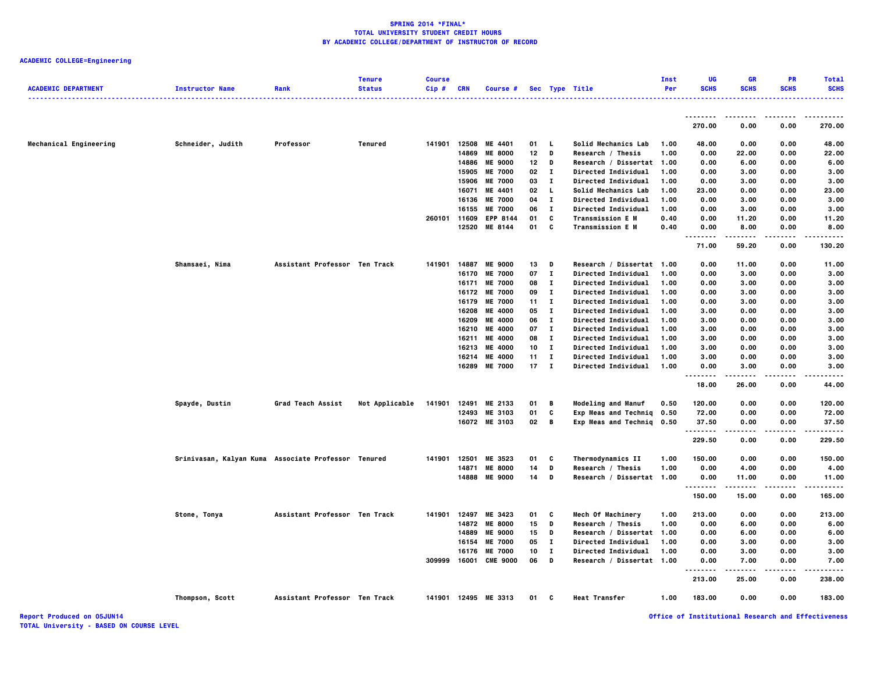## **ACADEMIC COLLEGE=Engineering**

| <b>ACADEMIC DEPARTMENT</b> | <b>Instructor Name</b>                              | Rank                          | <b>Tenure</b><br><b>Status</b> | <b>Course</b><br>Cip# | <b>CRN</b> | Course #             |              |              | Sec Type Title             | Inst<br>Per | UG<br><b>SCHS</b>              | GR<br><b>SCHS</b> | <b>PR</b><br><b>SCHS</b> | <b>Total</b><br><b>SCHS</b> |
|----------------------------|-----------------------------------------------------|-------------------------------|--------------------------------|-----------------------|------------|----------------------|--------------|--------------|----------------------------|-------------|--------------------------------|-------------------|--------------------------|-----------------------------|
|                            |                                                     |                               |                                |                       |            |                      |              |              | . <b>.</b> .               |             |                                |                   |                          |                             |
|                            |                                                     |                               |                                |                       |            |                      |              |              |                            |             | --------<br>270.00             | .<br>0.00         | 0.00                     | 270.00                      |
| Mechanical Engineering     | Schneider, Judith                                   | Professor                     | <b>Tenured</b>                 | 141901                | 12508      | ME 4401              | 01           | L.           | Solid Mechanics Lab        | 1.00        | 48.00                          | 0.00              | 0.00                     | 48.00                       |
|                            |                                                     |                               |                                |                       | 14869      | <b>ME 8000</b>       | 12           | D            | Research / Thesis          | 1.00        | 0.00                           | 22.00             | 0.00                     | 22.00                       |
|                            |                                                     |                               |                                |                       | 14886      | <b>ME 9000</b>       | 12           | D            | Research / Dissertat 1.00  |             | 0.00                           | 6.00              | 0.00                     | 6.00                        |
|                            |                                                     |                               |                                |                       | 15905      | <b>ME 7000</b>       | 02           | п            | Directed Individual        | 1.00        | 0.00                           | 3.00              | 0.00                     | 3.00                        |
|                            |                                                     |                               |                                |                       | 15906      | <b>ME 7000</b>       | 03           | $\mathbf{I}$ | Directed Individual        | 1.00        | 0.00                           | 3.00              | 0.00                     | 3.00                        |
|                            |                                                     |                               |                                |                       | 16071      | ME 4401              | 02           | L.           | Solid Mechanics Lab        | 1.00        | 23.00                          | 0.00              | 0.00                     | 23.00                       |
|                            |                                                     |                               |                                |                       | 16136      | <b>ME 7000</b>       | 04           | $\mathbf T$  | Directed Individual        | 1.00        | 0.00                           | 3.00              | 0.00                     | 3.00                        |
|                            |                                                     |                               |                                |                       | 16155      | <b>ME 7000</b>       | 06           | Т.           | Directed Individual        | 1.00        | 0.00                           | 3.00              | 0.00                     | 3.00                        |
|                            |                                                     |                               |                                | 260101 11609          |            | <b>EPP 8144</b>      | 01           | C            | <b>Transmission E M</b>    | 0.40        | 0.00                           | 11.20             | 0.00                     | 11.20                       |
|                            |                                                     |                               |                                |                       | 12520      | ME 8144              | 01           | C            | <b>Transmission E M</b>    | 0.40        | 0.00<br>$- - - -$<br>          | 8.00<br>.         | 0.00<br>.                | 8.00                        |
|                            |                                                     |                               |                                |                       |            |                      |              |              |                            |             | 71.00                          | 59.20             | 0.00                     | 130.20                      |
|                            | Shamsaei, Nima                                      | Assistant Professor Ten Track |                                | 141901                | 14887      | <b>ME 9000</b>       | 13           | D            | Research / Dissertat 1.00  |             | 0.00                           | 11.00             | 0.00                     | 11.00                       |
|                            |                                                     |                               |                                |                       | 16170      | <b>ME 7000</b>       | 07           | $\mathbf I$  | Directed Individual        | 1.00        | 0.00                           | 3.00              | 0.00                     | 3.00                        |
|                            |                                                     |                               |                                |                       | 16171      | <b>ME 7000</b>       | 08           | Т.           | Directed Individual        | 1.00        | 0.00                           | 3.00              | 0.00                     | 3.00                        |
|                            |                                                     |                               |                                |                       | 16172      | <b>ME 7000</b>       | 09           | $\mathbf I$  | Directed Individual        | 1.00        | 0.00                           | 3.00              | 0.00                     | 3.00                        |
|                            |                                                     |                               |                                |                       | 16179      | <b>ME 7000</b>       | 11           | Т.           | Directed Individual        | 1.00        | 0.00                           | 3.00              | 0.00                     | 3.00                        |
|                            |                                                     |                               |                                |                       | 16208      | <b>ME 4000</b>       | 05           | $\mathbf{I}$ | Directed Individual        | 1.00        | 3.00                           | 0.00              | 0.00                     | 3.00                        |
|                            |                                                     |                               |                                |                       | 16209      | <b>ME 4000</b>       | 06           | Т.           | Directed Individual        | 1.00        | 3.00                           | 0.00              | 0.00                     | 3.00                        |
|                            |                                                     |                               |                                |                       | 16210      | <b>ME 4000</b>       | 07           | Т.           | Directed Individual        | 1.00        | 3.00                           | 0.00              | 0.00                     | 3.00                        |
|                            |                                                     |                               |                                |                       | 16211      | <b>ME 4000</b>       | 08           | $\mathbf{I}$ | Directed Individual        | 1.00        | 3.00                           | 0.00              | 0.00                     | 3.00                        |
|                            |                                                     |                               |                                |                       | 16213      | <b>ME 4000</b>       | 10           | Т.           | Directed Individual        | 1.00        | 3.00                           | 0.00              | 0.00                     | 3.00                        |
|                            |                                                     |                               |                                |                       | 16214      | <b>ME 4000</b>       | 11           | л.           | Directed Individual        | 1.00        | 3.00                           | 0.00              | 0.00                     | 3.00                        |
|                            |                                                     |                               |                                |                       | 16289      | <b>ME 7000</b>       | $17 \quad I$ |              | <b>Directed Individual</b> | 1.00        | 0.00                           | 3.00              | 0.00                     | 3.00                        |
|                            |                                                     |                               |                                |                       |            |                      |              |              |                            |             | 18.00                          | 26.00             | 0.00                     | 44.00                       |
|                            | Spayde, Dustin                                      | Grad Teach Assist             | Not Applicable                 | 141901                | 12491      | ME 2133              | 01           | B            | <b>Modeling and Manuf</b>  | 0.50        | 120.00                         | 0.00              | 0.00                     | 120.00                      |
|                            |                                                     |                               |                                |                       | 12493      | ME 3103              | 01           | C            | Exp Meas and Techniq       | 0.50        | 72.00                          | 0.00              | 0.00                     | 72.00                       |
|                            |                                                     |                               |                                |                       |            | 16072 ME 3103        | 02           | B            | Exp Meas and Techniq 0.50  |             | 37.50<br>.                     | 0.00              | 0.00                     | 37.50                       |
|                            |                                                     |                               |                                |                       |            |                      |              |              |                            |             | 229.50                         | 0.00              | 0.00                     | 229.50                      |
|                            | Srinivasan, Kalyan Kuma Associate Professor Tenured |                               |                                | 141901                | 12501      | ME 3523              | 01           | C            | Thermodynamics II          | 1.00        | 150.00                         | 0.00              | 0.00                     | 150.00                      |
|                            |                                                     |                               |                                |                       | 14871      | <b>ME 8000</b>       | 14           | D            | Research / Thesis          | 1.00        | 0.00                           | 4.00              | 0.00                     | 4.00                        |
|                            |                                                     |                               |                                |                       |            | 14888 ME 9000        | 14           | D            | Research / Dissertat 1.00  |             | 0.00<br>.                      | 11.00             | 0.00                     | 11.00                       |
|                            |                                                     |                               |                                |                       |            |                      |              |              |                            |             | 150.00                         | 15.00             | 0.00                     | 165.00                      |
|                            | Stone, Tonya                                        | Assistant Professor Ten Track |                                | 141901                | 12497      | ME 3423              | 01           | c            | Mech Of Machinery          | 1.00        | 213.00                         | 0.00              | 0.00                     | 213.00                      |
|                            |                                                     |                               |                                |                       | 14872      | <b>ME 8000</b>       | 15           | D            | Research / Thesis          | 1.00        | 0.00                           | 6.00              | 0.00                     | 6.00                        |
|                            |                                                     |                               |                                |                       | 14889      | <b>ME 9000</b>       | 15           | D            | Research / Dissertat 1.00  |             | 0.00                           | 6.00              | 0.00                     | 6.00                        |
|                            |                                                     |                               |                                |                       | 16154      | <b>ME 7000</b>       | 05           | $\mathbf T$  | Directed Individual        | 1.00        | 0.00                           | 3.00              | 0.00                     | 3.00                        |
|                            |                                                     |                               |                                |                       | 16176      | <b>ME 7000</b>       | 10           | Т.           | Directed Individual        | 1.00        | 0.00                           | 3.00              | 0.00                     | 3.00                        |
|                            |                                                     |                               |                                | 309999                | 16001      | <b>CME 9000</b>      | 06           | D            | Research / Dissertat 1.00  |             | 0.00<br>$\cdots$               | 7.00<br>-----     | 0.00                     | 7.00                        |
|                            |                                                     |                               |                                |                       |            |                      |              |              |                            |             | $\sim$ $\sim$ $\sim$<br>213.00 | 25.00             | .<br>0.00                | 238.00                      |
|                            | Thompson, Scott                                     | Assistant Professor Ten Track |                                |                       |            | 141901 12495 ME 3313 | 01           | c            | <b>Heat Transfer</b>       | 1.00        | 183.00                         | 0.00              | 0.00                     | 183.00                      |

**Report Produced on 05JUN14 Office of Institutional Research and Effectiveness**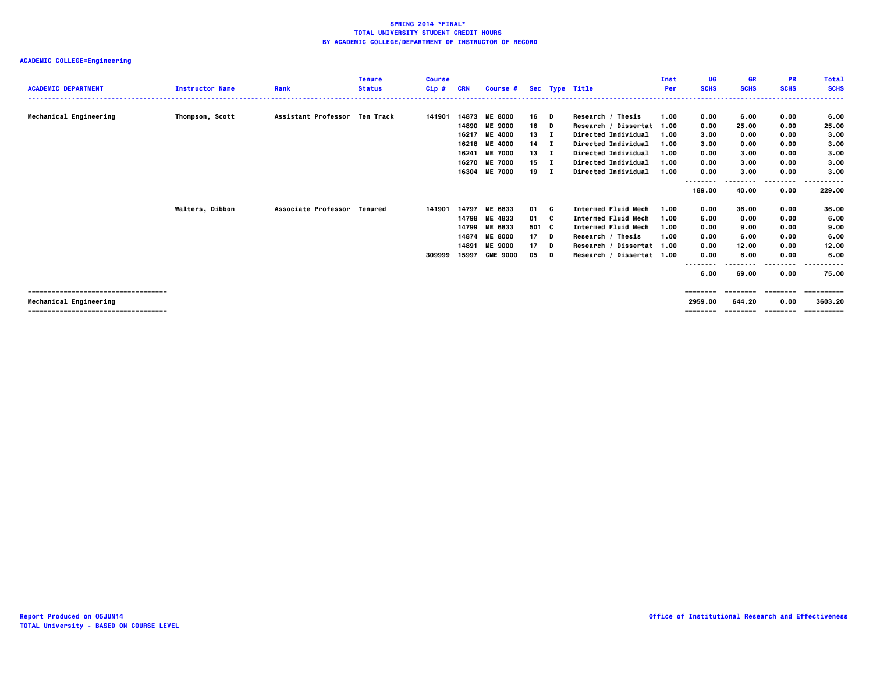| <b>ACADEMIC DEPARTMENT</b>           | <b>Instructor Name</b> | Rank                          | <b>Tenure</b><br><b>Status</b> | <b>Course</b><br>$Cip$ # | <b>CRN</b> | Course #        |              |   | Sec Type Title             | Inst<br>Per | UG<br><b>SCHS</b> | GR<br><b>SCHS</b> | <b>PR</b><br><b>SCHS</b> | <b>Total</b><br><b>SCHS</b> |
|--------------------------------------|------------------------|-------------------------------|--------------------------------|--------------------------|------------|-----------------|--------------|---|----------------------------|-------------|-------------------|-------------------|--------------------------|-----------------------------|
|                                      |                        | Assistant Professor Ten Track |                                | 141901                   |            | 14873 ME 8000   | 16 D         |   | Research / Thesis          | 1.00        |                   | 6.00              | 0.00                     |                             |
| Mechanical Engineering               | Thompson, Scott        |                               |                                |                          |            | 14890 ME 9000   | 16           | D | Research / Dissertat 1.00  |             | 0.00<br>0.00      | 25.00             | 0.00                     | 6.00<br>25.00               |
|                                      |                        |                               |                                |                          | 16217      | <b>ME 4000</b>  | 13           | п | <b>Directed Individual</b> | 1.00        | 3.00              | 0.00              | 0.00                     | 3.00                        |
|                                      |                        |                               |                                |                          | 16218      | <b>ME 4000</b>  | $14$ I       |   | Directed Individual        | 1.00        | 3.00              | 0.00              | 0.00                     | 3.00                        |
|                                      |                        |                               |                                |                          | 16241      | <b>ME 7000</b>  | $13 \quad I$ |   | Directed Individual        | 1.00        | 0.00              | 3.00              | 0.00                     | 3.00                        |
|                                      |                        |                               |                                |                          |            | 16270 ME 7000   | $15$ I       |   | Directed Individual        | 1.00        | 0.00              | 3.00              | 0.00                     | 3.00                        |
|                                      |                        |                               |                                |                          | 16304      | <b>ME 7000</b>  | 19 I         |   | Directed Individual        | 1.00        | 0.00              | 3.00              | 0.00                     | 3.00                        |
|                                      |                        |                               |                                |                          |            |                 |              |   |                            |             | --------          |                   | .                        | .                           |
|                                      |                        |                               |                                |                          |            |                 |              |   |                            |             | 189.00            | 40.00             | 0.00                     | 229.00                      |
|                                      | <b>Walters, Dibbon</b> | Associate Professor Tenured   |                                | 141901                   | 14797      | ME 6833         | 01 C         |   | <b>Intermed Fluid Mech</b> | 1.00        | 0.00              | 36.00             | 0.00                     | 36.00                       |
|                                      |                        |                               |                                |                          |            | 14798 ME 4833   | 01 C         |   | <b>Intermed Fluid Mech</b> | 1.00        | 6.00              | 0.00              | 0.00                     | 6.00                        |
|                                      |                        |                               |                                |                          |            | 14799 ME 6833   | 501 C        |   | <b>Intermed Fluid Mech</b> | 1.00        | 0.00              | 9.00              | 0.00                     | 9.00                        |
|                                      |                        |                               |                                |                          |            | 14874 ME 8000   | $17$ D       |   | Research / Thesis          | 1.00        | 0.00              | 6.00              | 0.00                     | 6.00                        |
|                                      |                        |                               |                                |                          | 14891      | <b>ME 9000</b>  | 17           | D | Research / Dissertat 1.00  |             | 0.00              | 12.00             | 0.00                     | 12.00                       |
|                                      |                        |                               |                                | 309999                   | 15997      | <b>CME 9000</b> | 05           | D | Research / Dissertat 1.00  |             | 0.00              | 6.00              | 0.00                     | 6.00                        |
|                                      |                        |                               |                                |                          |            |                 |              |   |                            |             | --------          |                   | ---------                | .                           |
|                                      |                        |                               |                                |                          |            |                 |              |   |                            |             | 6.00              | 69.00             | 0.00                     | 75.00                       |
| ------------------------------------ |                        |                               |                                |                          |            |                 |              |   |                            |             | ========          | eeeeeeee          | ========                 | :========                   |
| Mechanical Engineering               |                        |                               |                                |                          |            |                 |              |   |                            |             | 2959.00           | 644.20            | 0.00                     | 3603.20                     |
| ==================================== |                        |                               |                                |                          |            |                 |              |   |                            |             | ========          | ========          |                          | ==========                  |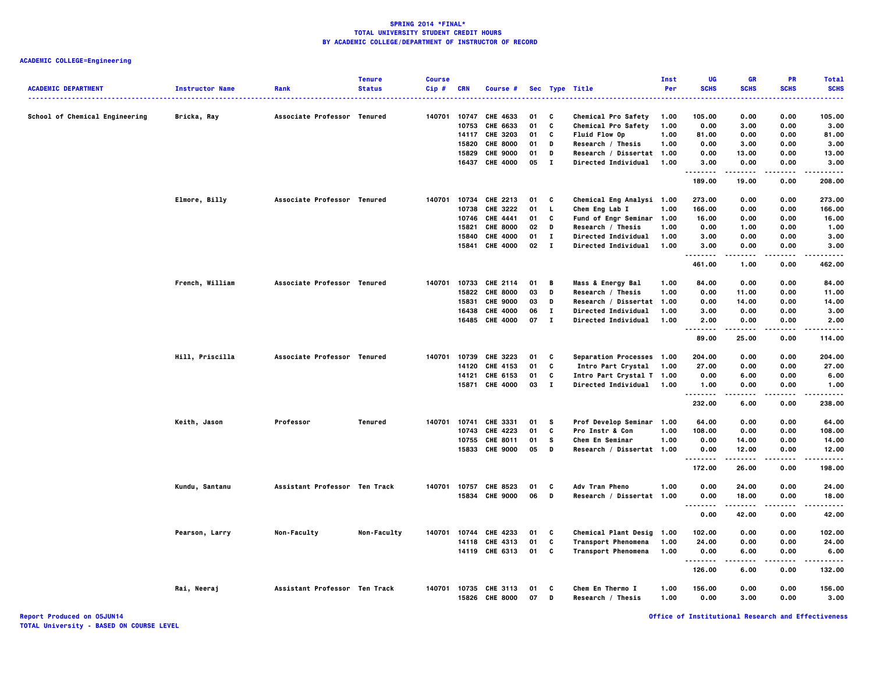## **ACADEMIC COLLEGE=Engineering**

| <b>ACADEMIC DEPARTMENT</b>     | <b>Instructor Name</b> | Rank                          | <b>Tenure</b><br><b>Status</b> | <b>Course</b><br>Cip# | <b>CRN</b> | Course #                         |          |              | Sec Type Title                        | Inst<br>Per  | UG<br><b>SCHS</b> | <b>GR</b><br><b>SCHS</b> | <b>PR</b><br><b>SCHS</b> | <b>Total</b><br><b>SCHS</b> |
|--------------------------------|------------------------|-------------------------------|--------------------------------|-----------------------|------------|----------------------------------|----------|--------------|---------------------------------------|--------------|-------------------|--------------------------|--------------------------|-----------------------------|
|                                | .                      |                               |                                |                       |            |                                  |          |              | . <b>.</b> .                          |              |                   |                          |                          | .                           |
| School of Chemical Engineering | Bricka, Ray            | Associate Professor Tenured   |                                | 140701                | 10747      | CHE 4633                         | 01       | C            | Chemical Pro Safety                   | 1.00         | 105.00            | 0.00                     | 0.00                     | 105.00                      |
|                                |                        |                               |                                |                       | 10753      | CHE 6633                         | 01       | C            | <b>Chemical Pro Safety</b>            | 1.00         | 0.00              | 3.00                     | 0.00                     | 3.00                        |
|                                |                        |                               |                                |                       |            | 14117 CHE 3203                   | 01       | C            | <b>Fluid Flow Op</b>                  | 1.00         | 81.00             | 0.00                     | 0.00                     | 81.00                       |
|                                |                        |                               |                                |                       | 15820      | <b>CHE 8000</b>                  | 01       | D            | Research / Thesis                     | 1.00         | 0.00              | 3.00                     | 0.00                     | 3.00                        |
|                                |                        |                               |                                |                       | 15829      | <b>CHE 9000</b>                  | 01       | D            | Research / Dissertat 1.00             |              | 0.00              | 13.00                    | 0.00                     | 13.00                       |
|                                |                        |                               |                                |                       |            | 16437 CHE 4000                   | 05       | $\mathbf{I}$ | Directed Individual                   | 1.00         | 3.00<br>.         | 0.00<br>.                | 0.00<br>.                | 3.00<br>-----               |
|                                |                        |                               |                                |                       |            |                                  |          |              |                                       |              | 189.00            | 19.00                    | 0.00                     | 208.00                      |
|                                | Elmore, Billy          | Associate Professor Tenured   |                                | 140701                | 10734      | CHE 2213                         | 01       | C            | Chemical Eng Analysi 1.00             |              | 273.00            | 0.00                     | 0.00                     | 273.00                      |
|                                |                        |                               |                                |                       | 10738      | CHE 3222                         | 01       | L.           | Chem Eng Lab I                        | 1.00         | 166.00            | 0.00                     | 0.00                     | 166.00                      |
|                                |                        |                               |                                |                       |            | 10746 CHE 4441                   | 01       | C            | Fund of Engr Seminar 1.00             |              | 16.00             | 0.00                     | 0.00                     | 16.00                       |
|                                |                        |                               |                                |                       | 15821      | <b>CHE 8000</b>                  | 02       | D            | Research / Thesis                     | 1.00         | 0.00              | 1.00                     | 0.00                     | 1.00                        |
|                                |                        |                               |                                |                       | 15840      | <b>CHE 4000</b>                  | 01       | $\bf{I}$     | Directed Individual                   | 1.00         | 3.00              | 0.00                     | 0.00                     | 3.00                        |
|                                |                        |                               |                                |                       |            | 15841 CHE 4000                   | 02       | $\mathbf{I}$ | <b>Directed Individual</b>            | 1.00         | 3.00<br>.         | 0.00                     | 0.00                     | 3.00                        |
|                                |                        |                               |                                |                       |            |                                  |          |              |                                       |              | 461.00            | 1.00                     | 0.00                     | 462.00                      |
|                                | French, William        | Associate Professor Tenured   |                                | 140701                |            | 10733 CHE 2114                   | 01       | в            | <b>Mass &amp; Energy Bal</b>          | 1.00         | 84.00             | 0.00                     | 0.00                     | 84.00                       |
|                                |                        |                               |                                |                       | 15822      | <b>CHE 8000</b>                  | 03       | D            | Research / Thesis                     | 1.00         | 0.00              | 11.00                    | 0.00                     | 11.00                       |
|                                |                        |                               |                                |                       | 15831      | <b>CHE 9000</b>                  | 03       | D            | Research / Dissertat                  | 1.00         | 0.00              | 14.00                    | 0.00                     | 14.00                       |
|                                |                        |                               |                                |                       | 16438      | <b>CHE 4000</b>                  | 06       | $\bf{I}$     | Directed Individual                   | 1.00         | 3.00              | 0.00                     | 0.00                     | 3.00                        |
|                                |                        |                               |                                |                       | 16485      | <b>CHE 4000</b>                  | 07       | $\mathbf{I}$ | Directed Individual                   | 1.00         | 2.00<br>.         | 0.00                     | 0.00<br>$- - - -$        | 2.00                        |
|                                |                        |                               |                                |                       |            |                                  |          |              |                                       |              | 89.00             | 25.00                    | 0.00                     | 114.00                      |
|                                | Hill, Priscilla        | Associate Professor Tenured   |                                | 140701                |            | 10739 CHE 3223                   | 01       | C            | Separation Processes 1.00             |              | 204.00            | 0.00                     | 0.00                     | 204.00                      |
|                                |                        |                               |                                |                       | 14120      | CHE 4153                         | 01       | c            | Intro Part Crystal                    | 1.00         | 27.00             | 0.00                     | 0.00                     | 27.00                       |
|                                |                        |                               |                                |                       |            | 14121 CHE 6153                   | 01       | C            | Intro Part Crystal T 1.00             |              | 0.00              | 6.00                     | 0.00                     | 6.00                        |
|                                |                        |                               |                                |                       |            | 15871 CHE 4000                   | 03       | $\mathbf{I}$ | <b>Directed Individual</b>            | 1.00         | 1.00              | 0.00                     | 0.00                     | 1.00                        |
|                                |                        |                               |                                |                       |            |                                  |          |              |                                       |              | .<br>232.00       | 6.00                     | 0.00                     | .<br>238.00                 |
|                                | Keith, Jason           | Professor                     | <b>Tenured</b>                 | 140701                |            | 10741 CHE 3331                   | 01       | s            | Prof Develop Seminar 1.00             |              | 64.00             | 0.00                     | 0.00                     | 64.00                       |
|                                |                        |                               |                                |                       | 10743      | CHE 4223                         | 01       | C            | <b>Pro Instr &amp; Con</b>            | 1.00         | 108.00            | 0.00                     | 0.00                     | 108.00                      |
|                                |                        |                               |                                |                       | 10755      | CHE 8011                         | 01       | s            | Chem En Seminar                       | 1.00         | 0.00              | 14.00                    | 0.00                     | 14.00                       |
|                                |                        |                               |                                |                       |            | 15833 CHE 9000                   | 05       | D            | Research / Dissertat 1.00             |              | 0.00<br>.         | 12.00                    | 0.00<br>.                | 12.00                       |
|                                |                        |                               |                                |                       |            |                                  |          |              |                                       |              | 172.00            | .<br>26.00               | 0.00                     | .<br>198.00                 |
|                                | Kundu, Santanu         | Assistant Professor Ten Track |                                | 140701                | 10757      | CHE 8523                         | 01       | C            | Adv Tran Pheno                        | 1.00         | 0.00              | 24.00                    | 0.00                     | 24.00                       |
|                                |                        |                               |                                |                       |            | 15834 CHE 9000                   | 06       | D            | Research / Dissertat 1.00             |              | 0.00              | 18.00                    | 0.00                     | 18.00                       |
|                                |                        |                               |                                |                       |            |                                  |          |              |                                       |              | <br>$\ddotsc$     | .                        | .                        | .                           |
|                                |                        |                               |                                |                       |            |                                  |          |              |                                       |              | 0.00              | 42.00                    | 0.00                     | 42.00                       |
|                                | Pearson, Larry         | Non-Faculty                   | Non-Faculty                    | 140701                | 10744      | CHE 4233                         | 01       | C            | Chemical Plant Desig 1.00             |              | 102.00            | 0.00                     | 0.00                     | 102.00                      |
|                                |                        |                               |                                |                       | 14118      | CHE 4313                         | 01       | C            | <b>Transport Phenomena</b>            | 1.00         | 24.00             | 0.00                     | 0.00                     | 24.00                       |
|                                |                        |                               |                                |                       |            | 14119 CHE 6313                   | 01       | C            | <b>Transport Phenomena</b>            | 1.00         | 0.00<br>.         | 6.00<br>.                | 0.00<br>.                | 6.00<br>.                   |
|                                |                        |                               |                                |                       |            |                                  |          |              |                                       |              | 126.00            | 6.00                     | 0.00                     | 132.00                      |
|                                | Rai, Neeraj            | Assistant Professor Ten Track |                                | 140701                |            | 10735 CHE 3113<br>15826 CHE 8000 | 01<br>07 | C<br>D       | Chem En Thermo I<br>Research / Thesis | 1.00<br>1.00 | 156.00<br>0.00    | 0.00<br>3.00             | 0.00<br>0.00             | 156.00<br>3.00              |

**Report Produced on 05JUN14 Office of Institutional Research and Effectiveness**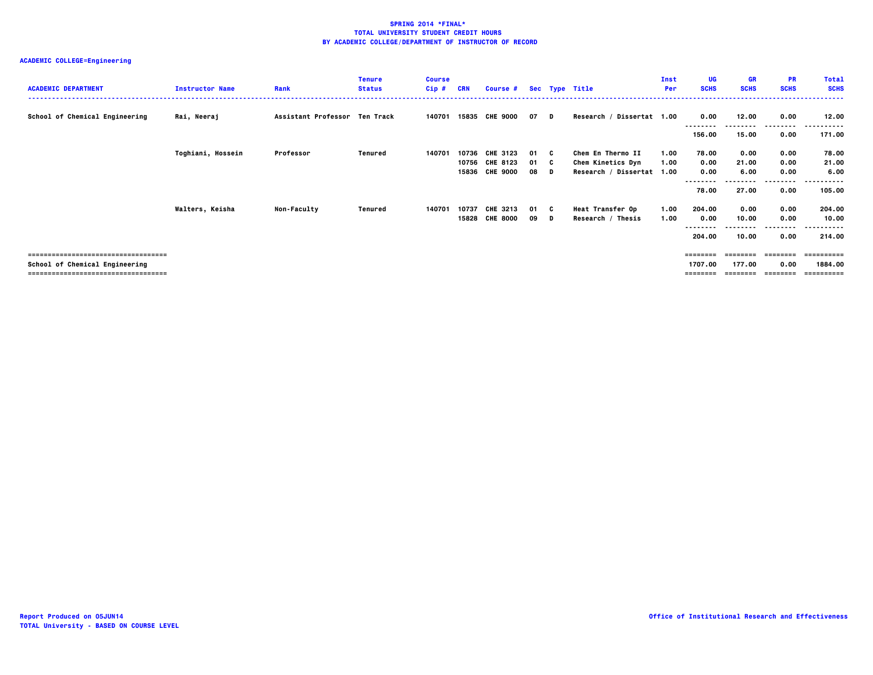| <b>ACADEMIC DEPARTMENT</b>           | <b>Instructor Name</b> | Rank                          | <b>Tenure</b><br><b>Status</b> | <b>Course</b><br>Cip# | CRN   | <b>Course #</b> |      |          | Sec Type Title            | Inst<br>Per | UG<br><b>SCHS</b> | GR<br><b>SCHS</b> | <b>PR</b><br><b>SCHS</b> | <b>Total</b><br><b>SCHS</b> |
|--------------------------------------|------------------------|-------------------------------|--------------------------------|-----------------------|-------|-----------------|------|----------|---------------------------|-------------|-------------------|-------------------|--------------------------|-----------------------------|
| School of Chemical Engineering       | Rai, Neeraj            | Assistant Professor Ten Track |                                | 140701                |       | 15835 CHE 9000  | 07   | <b>D</b> | Research / Dissertat 1.00 |             | 0.00              | 12.00             | 0.00<br>---------        | 12.00<br>.                  |
|                                      |                        |                               |                                |                       |       |                 |      |          |                           |             | 156.00            | 15.00             | 0.00                     | 171.00                      |
|                                      | Toghiani, Hossein      | Professor                     | Tenured                        | 140701                | 10736 | <b>CHE 3123</b> | 01 C |          | Chem En Thermo II         | 1.00        | 78.00             | 0.00              | 0.00                     | 78.00                       |
|                                      |                        |                               |                                |                       |       | 10756 CHE 8123  | 01 C |          | Chem Kinetics Dyn         | 1.00        | 0.00              | 21.00             | 0.00                     | 21.00                       |
|                                      |                        |                               |                                |                       | 15836 | <b>CHE 9000</b> | 08   | D        | Research / Dissertat 1.00 |             | 0.00              | 6.00              | 0.00                     | 6.00                        |
|                                      |                        |                               |                                |                       |       |                 |      |          |                           |             |                   |                   | .                        | -------                     |
|                                      |                        |                               |                                |                       |       |                 |      |          |                           |             | 78.00             | 27.00             | 0.00                     | 105.00                      |
|                                      | Walters, Keisha        | <b>Non-Faculty</b>            | Tenured                        | 140701                | 10737 | <b>CHE 3213</b> | 01 C |          | <b>Heat Transfer Op</b>   | 1.00        | 204.00            | 0.00              | 0.00                     | 204.00                      |
|                                      |                        |                               |                                |                       |       | 15828 CHE 8000  | 09 D |          | Research / Thesis         | 1.00        | 0.00              | 10.00             | 0.00                     | 10.00                       |
|                                      |                        |                               |                                |                       |       |                 |      |          |                           |             | 204.00            | 10.00             | ---------<br>0.00        | -------<br>214.00           |
| ------------------------------------ |                        |                               |                                |                       |       |                 |      |          |                           |             | ========          | ========          | --------                 | ==========                  |
| School of Chemical Engineering       |                        |                               |                                |                       |       |                 |      |          |                           |             | 1707.00           | 177.00            | 0.00                     | 1884.00                     |
| ------------------------------------ |                        |                               |                                |                       |       |                 |      |          |                           |             |                   |                   |                          | ==========                  |
|                                      |                        |                               |                                |                       |       |                 |      |          |                           |             |                   |                   |                          |                             |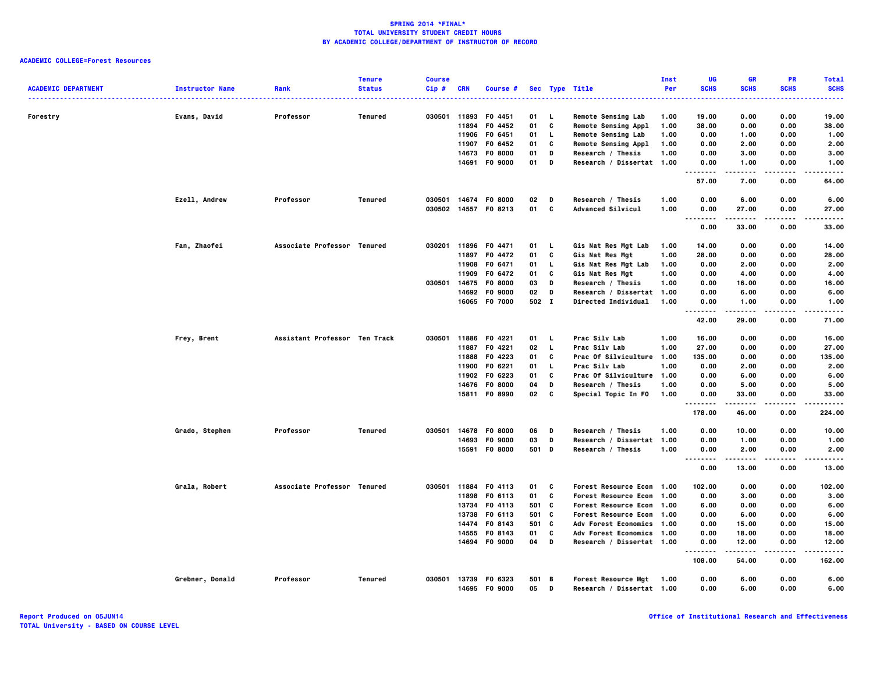| <b>ACADEMIC DEPARTMENT</b> | <b>Instructor Name</b> | Rank                          | <b>Tenure</b><br><b>Status</b> | <b>Course</b><br>Cip# | <b>CRN</b> | Course #             |       |          | Sec Type Title              | Inst<br>Per | UG<br><b>SCHS</b> | GR<br><b>SCHS</b> | PR<br><b>SCHS</b> | <b>Total</b><br><b>SCHS</b><br>$\cdots$ |
|----------------------------|------------------------|-------------------------------|--------------------------------|-----------------------|------------|----------------------|-------|----------|-----------------------------|-------------|-------------------|-------------------|-------------------|-----------------------------------------|
| Forestry                   | Evans, David           | Professor                     | Tenured                        | 030501 11893          |            | F0 4451              | 01    | . L      | <b>Remote Sensing Lab</b>   | 1.00        | 19.00             | 0.00              | 0.00              | 19.00                                   |
|                            |                        |                               |                                |                       | 11894      | F0 4452              | 01    | C        | <b>Remote Sensing Appl</b>  | 1.00        | 38.00             | 0.00              | 0.00              | 38.00                                   |
|                            |                        |                               |                                |                       | 11906      | F0 6451              | 01    | L.       | <b>Remote Sensing Lab</b>   | 1.00        | 0.00              | 1.00              | 0.00              | 1.00                                    |
|                            |                        |                               |                                |                       | 11907      | F0 6452              | 01    | C        | Remote Sensing Appl         | 1.00        | 0.00              | 2.00              | 0.00              | 2.00                                    |
|                            |                        |                               |                                |                       | 14673      | F0 8000              | 01    | D        | Research / Thesis           | 1.00        | 0.00              | 3.00              | 0.00              | 3.00                                    |
|                            |                        |                               |                                |                       |            | 14691 F0 9000        | 01    | D        | Research / Dissertat 1.00   |             | 0.00<br>.         | 1.00<br>.         | 0.00<br>.         | 1.00<br>-----                           |
|                            |                        |                               |                                |                       |            |                      |       |          |                             |             | 57.00             | 7.00              | 0.00              | 64.00                                   |
|                            | Ezell, Andrew          | Professor                     | <b>Tenured</b>                 | 030501 14674          |            | F0 8000              | 02    | D        | Research / Thesis           | 1.00        | 0.00              | 6.00              | 0.00              | 6.00                                    |
|                            |                        |                               |                                | 030502 14557          |            | F0 8213              | 01    | C        | Advanced Silvicul           | 1.00        | 0.00<br><b>.</b>  | 27.00<br>.        | 0.00<br>.         | 27.00<br>-----                          |
|                            |                        |                               |                                |                       |            |                      |       |          |                             |             | 0.00              | 33.00             | 0.00              | 33.00                                   |
|                            | Fan, Zhaofei           | Associate Professor Tenured   |                                | 030201                | 11896      | F0 4471              | 01    | <b>L</b> | Gis Nat Res Mgt Lab         | 1.00        | 14.00             | 0.00              | 0.00              | 14.00                                   |
|                            |                        |                               |                                |                       | 11897      | F0 4472              | 01    | C        | Gis Nat Res Mgt             | 1.00        | 28.00             | 0.00              | 0.00              | 28.00                                   |
|                            |                        |                               |                                |                       | 11908      | F0 6471              | 01    | L.       | Gis Nat Res Mgt Lab         | 1.00        | 0.00              | 2.00              | 0.00              | 2.00                                    |
|                            |                        |                               |                                |                       | 11909      | F0 6472              | 01    | C        | Gis Nat Res Mgt             | 1.00        | 0.00              | 4.00              | 0.00              | 4.00                                    |
|                            |                        |                               |                                | 030501                | 14675      | F0 8000              | 03    | D        | Research / Thesis           | 1.00        | 0.00              | 16.00             | 0.00              | 16.00                                   |
|                            |                        |                               |                                |                       | 14692      | F0 9000              | 02    | D        | Research / Dissertat        | 1.00        | 0.00              | 6.00              | 0.00              | 6.00                                    |
|                            |                        |                               |                                |                       |            | 16065 F0 7000        | 502 I |          | <b>Directed Individual</b>  | 1.00        | 0.00<br>.         | 1.00<br>          | 0.00<br>.         | 1.00<br>.                               |
|                            |                        |                               |                                |                       |            |                      |       |          |                             |             | 42.00             | 29.00             | 0.00              | 71.00                                   |
|                            | Frey, Brent            | Assistant Professor Ten Track |                                | 030501 11886          |            | F0 4221              | 01    | - 1.     | Prac Silv Lab               | 1.00        | 16.00             | 0.00              | 0.00              | 16.00                                   |
|                            |                        |                               |                                |                       | 11887      | F0 4221              | 02 L  |          | Prac Silv Lab               | 1.00        | 27.00             | 0.00              | 0.00              | 27.00                                   |
|                            |                        |                               |                                |                       | 11888      | F0 4223              | 01    | C        | Prac Of Silviculture        | 1.00        | 135.00            | 0.00              | 0.00              | 135.00                                  |
|                            |                        |                               |                                |                       | 11900      | F0 6221              | 01    | L.       | Prac Silv Lab               | 1.00        | 0.00              | 2.00              | 0.00              | 2.00                                    |
|                            |                        |                               |                                |                       |            | 11902 F0 6223        | 01    | C        | Prac Of Silviculture        | 1.00        | 0.00              | 6.00              | 0.00              | 6.00                                    |
|                            |                        |                               |                                |                       | 14676      | F0 8000              | 04    | D        | Research / Thesis           | 1.00        | 0.00              | 5.00              | 0.00              | 5.00                                    |
|                            |                        |                               |                                |                       | 15811      | F0 8990              | 02    | C        | Special Topic In FO         | 1.00        | 0.00<br>.         | 33.00<br>-----    | 0.00<br>$- - - -$ | 33.00<br>.                              |
|                            |                        |                               |                                |                       |            |                      |       |          |                             |             | 178.00            | 46.00             | 0.00              | 224.00                                  |
|                            | Grado, Stephen         | Professor                     | Tenured                        |                       |            | 030501 14678 F0 8000 | 06    | D        | Research / Thesis           | 1.00        | 0.00              | 10.00             | 0.00              | 10.00                                   |
|                            |                        |                               |                                |                       | 14693      | F0 9000              | 03    | D        | Research / Dissertat 1.00   |             | 0.00              | 1.00              | 0.00              | 1.00                                    |
|                            |                        |                               |                                |                       | 15591      | <b>FO 8000</b>       | 501 D |          | Research / Thesis           | 1.00        | 0.00              | 2.00              | 0.00              | 2.00                                    |
|                            |                        |                               |                                |                       |            |                      |       |          |                             |             | .<br>0.00         | -----<br>13.00    | 0.00              | $- - - - -$<br>13.00                    |
|                            | Grala, Robert          | Associate Professor Tenured   |                                | 030501 11884          |            | F0 4113              | 01    | C        | <b>Forest Resource Econ</b> | 1.00        | 102.00            | 0.00              | 0.00              | 102.00                                  |
|                            |                        |                               |                                |                       | 11898      | F0 6113              | 01    | C        | <b>Forest Resource Econ</b> | 1.00        | 0.00              | 3.00              | 0.00              | 3.00                                    |
|                            |                        |                               |                                |                       | 13734      | F0 4113              | 501 C |          | Forest Resource Econ 1.00   |             | 6.00              | 0.00              | 0.00              | 6.00                                    |
|                            |                        |                               |                                |                       | 13738      | F0 6113              | 501 C |          | Forest Resource Econ 1.00   |             | 0.00              | 6.00              | 0.00              | 6.00                                    |
|                            |                        |                               |                                |                       | 14474      | F0 8143              | 501 C |          | Adv Forest Economics 1.00   |             | 0.00              | 15.00             | 0.00              | 15.00                                   |
|                            |                        |                               |                                |                       | 14555      | F0 8143              | 01    | C        | Adv Forest Economics 1.00   |             | 0.00              | 18.00             | 0.00              | 18.00                                   |
|                            |                        |                               |                                |                       |            | 14694 FO 9000        | 04    | D        | Research / Dissertat 1.00   |             | 0.00              | 12.00             | 0.00              | 12,00                                   |
|                            |                        |                               |                                |                       |            |                      |       |          |                             |             | .<br>108.00       | .<br>54.00        | .<br>0.00         | .<br>162.00                             |
|                            | Grebner, Donald        | Professor                     | <b>Tenured</b>                 | 030501                |            | 13739 F0 6323        | 501 B |          | Forest Resource Mgt         | 1.00        | 0.00              | 6.00              | 0.00              | 6.00                                    |
|                            |                        |                               |                                |                       |            | 14695 F0 9000        | 05    | D        | Research / Dissertat 1.00   |             | 0.00              | 6.00              | 0.00              | 6.00                                    |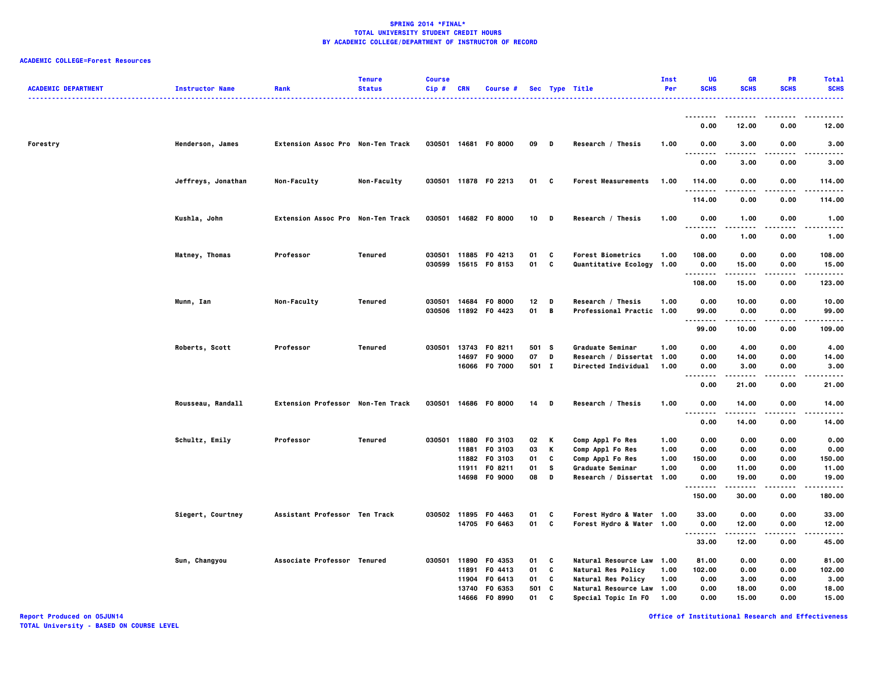| <b>ACADEMIC DEPARTMENT</b> | <b>Instructor Name</b> | Rank                              | <b>Tenure</b><br><b>Status</b> | <b>Course</b><br>$Cip$ # | CRN            | <b>Course #</b>           |                       |                | Sec Type Title                                 | <b>Inst</b><br>Per | UG<br><b>SCHS</b> | <b>GR</b><br><b>SCHS</b> | <b>PR</b><br><b>SCHS</b> | <b>Total</b><br><b>SCHS</b> |
|----------------------------|------------------------|-----------------------------------|--------------------------------|--------------------------|----------------|---------------------------|-----------------------|----------------|------------------------------------------------|--------------------|-------------------|--------------------------|--------------------------|-----------------------------|
|                            |                        |                                   |                                |                          |                |                           |                       |                |                                                |                    | --------          |                          |                          |                             |
|                            |                        |                                   |                                |                          |                |                           |                       |                |                                                |                    | 0.00              | 12.00                    | 0.00                     | 12.00                       |
| Forestry                   | Henderson, James       | Extension Assoc Pro Non-Ten Track |                                |                          |                | 030501 14681 F0 8000      | 09                    | $\blacksquare$ | Research / Thesis                              | 1.00               | 0.00<br>.<br>.    | 3.00<br>$- - - -$        | 0.00                     | 3.00<br>----                |
|                            |                        |                                   |                                |                          |                |                           |                       |                |                                                |                    | 0.00              | 3.00                     | 0.00                     | 3.00                        |
|                            | Jeffreys, Jonathan     | Non-Faculty                       | Non-Faculty                    |                          |                | 030501 11878 F0 2213      | 01 C                  |                | <b>Forest Measurements</b>                     | 1.00               | 114.00<br>.       | 0.00                     | 0.00<br>.                | 114.00<br>-----             |
|                            |                        |                                   |                                |                          |                |                           |                       |                |                                                |                    | 114.00            | 0.00                     | 0.00                     | 114.00                      |
|                            | Kushla, John           | Extension Assoc Pro Non-Ten Track |                                |                          |                | 030501 14682 F0 8000      | 10 D                  |                | Research / Thesis                              | 1.00               | 0.00              | 1.00                     | 0.00<br>$- - - -$        | 1.00                        |
|                            |                        |                                   |                                |                          |                |                           |                       |                |                                                |                    | --------<br>0.00  | .<br>1.00                | 0.00                     | .<br>1.00                   |
|                            | Matney, Thomas         | Professor                         | Tenured                        |                          |                | 030501 11885 F0 4213      | 01                    | C              | <b>Forest Biometrics</b>                       | 1.00               | 108.00            | 0.00                     | 0.00                     | 108.00                      |
|                            |                        |                                   |                                | 030599                   |                | 15615 FO 8153             | 01                    | C              | Quantitative Ecology 1.00                      |                    | 0.00<br>          | 15.00<br>-----           | 0.00<br>.                | 15.00<br>.                  |
|                            |                        |                                   |                                |                          |                |                           |                       |                |                                                |                    | 108.00            | 15.00                    | 0.00                     | 123.00                      |
|                            | Munn, Ian              | Non-Faculty                       | Tenured                        | 030501<br>030506         | 14684<br>11892 | <b>FO 8000</b><br>F0 4423 | 12 <sub>2</sub><br>01 | D<br>B         | Research / Thesis<br>Professional Practic 1.00 | 1.00               | 0.00<br>99.00     | 10.00<br>0.00            | 0.00<br>0.00             | 10.00<br>99.00              |
|                            |                        |                                   |                                |                          |                |                           |                       |                |                                                |                    | <br>99.00         | .<br>10.00               | ----<br>0.00             | ----<br>109.00              |
|                            | Roberts, Scott         | Professor                         | Tenured                        | 030501                   |                | 13743 F0 8211             | 501 S                 |                | Graduate Seminar                               | 1.00               | 0.00              | 4.00                     | 0.00                     | 4.00                        |
|                            |                        |                                   |                                |                          | 14697          | F0 9000                   | 07                    | D              | Research / Dissertat                           | 1.00               | 0.00              | 14.00                    | 0.00                     | 14.00                       |
|                            |                        |                                   |                                |                          |                | 16066 F0 7000             | 501 I                 |                | Directed Individual                            | 1.00               | 0.00<br>          | 3.00<br>.                | 0.00<br>$\cdots$         | 3.00<br>-----               |
|                            |                        |                                   |                                |                          |                |                           |                       |                |                                                |                    | 0.00              | 21.00                    | 0.00                     | 21.00                       |
|                            | Rousseau, Randall      | Extension Professor Non-Ten Track |                                |                          |                | 030501 14686 F0 8000      | 14                    | D              | Research / Thesis                              | 1.00               | 0.00<br>. .       | 14.00                    | 0.00                     | 14.00                       |
|                            |                        |                                   |                                |                          |                |                           |                       |                |                                                |                    | 0.00              | 14.00                    | 0.00                     | 14.00                       |
|                            | Schultz, Emily         | Professor                         | Tenured                        |                          | 030501 11880   | F0 3103                   | 02                    | K              | Comp Appl Fo Res                               | 1.00               | 0.00              | 0.00                     | 0.00                     | 0.00                        |
|                            |                        |                                   |                                |                          | 11881          | F0 3103                   | 03                    | К              | Comp Appl Fo Res                               | 1.00               | 0.00              | 0.00                     | 0.00                     | 0.00                        |
|                            |                        |                                   |                                |                          | 11911          | 11882 F0 3103<br>F0 8211  | 01<br>01              | C<br>s         | Comp Appl Fo Res                               | 1.00<br>1.00       | 150.00<br>0.00    | 0.00<br>11.00            | 0.00                     | 150.00<br>11.00             |
|                            |                        |                                   |                                |                          |                | 14698 F0 9000             | 08                    | D              | Graduate Seminar<br>Research / Dissertat 1.00  |                    | 0.00              | 19.00                    | 0.00<br>0.00             | 19.00                       |
|                            |                        |                                   |                                |                          |                |                           |                       |                |                                                |                    | ---<br>150.00     | 30.00                    | 0.00                     | 180.00                      |
|                            | Siegert, Courtney      | Assistant Professor Ten Track     |                                |                          |                | 030502 11895 F0 4463      | 01                    | C              | Forest Hydro & Water 1.00                      |                    | 33.00             | 0.00                     | 0.00                     | 33.00                       |
|                            |                        |                                   |                                |                          |                | 14705 F0 6463             | 01                    | C              | Forest Hydro & Water 1.00                      |                    | 0.00<br>.         | 12.00                    | 0.00                     | 12.00                       |
|                            |                        |                                   |                                |                          |                |                           |                       |                |                                                |                    | 33.00             | 12.00                    | 0.00                     | 45.00                       |
|                            | Sun, Changyou          | Associate Professor Tenured       |                                |                          | 030501 11890   | F0 4353                   | 01                    | c              | Natural Resource Law 1.00                      |                    | 81.00             | 0.00                     | 0.00                     | 81.00                       |
|                            |                        |                                   |                                |                          | 11891          | F0 4413                   | 01                    | C              | Natural Res Policy                             | 1.00               | 102.00            | 0.00                     | 0.00                     | 102.00                      |
|                            |                        |                                   |                                |                          | 11904          | F0 6413                   | 01                    | C              | <b>Natural Res Policy</b>                      | 1.00               | 0.00              | 3.00                     | 0.00                     | 3.00                        |
|                            |                        |                                   |                                |                          |                | 13740 F0 6353             | 501                   | c              | Natural Resource Law 1.00                      |                    | 0.00              | 18.00                    | 0.00                     | 18.00                       |
|                            |                        |                                   |                                |                          | 14666          | F0 8990                   | 01                    | C              | Special Topic In FO                            | 1.00               | 0.00              | 15.00                    | 0.00                     | 15.00                       |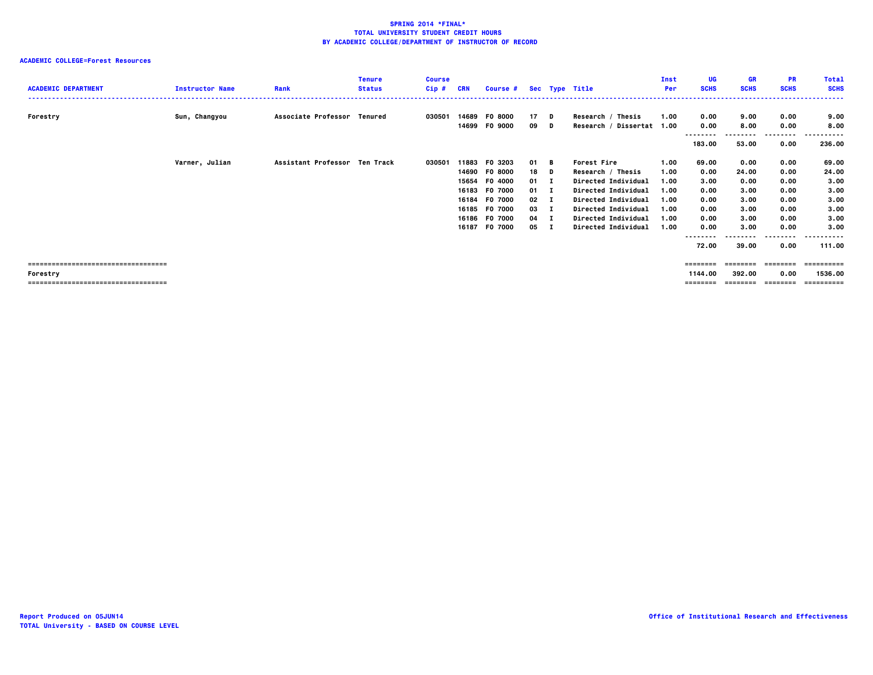## **ACADEMIC COLLEGE=Forest Resources**

| <b>ACADEMIC DEPARTMENT</b>           | <b>Instructor Name</b> | Rank                          | <b>Tenure</b><br><b>Status</b> | <b>Course</b><br>Cip# | CRN   | Course # Sec Type Title |        |              |                            | Inst<br>Per | UG<br><b>SCHS</b> | <b>GR</b><br><b>SCHS</b> | <b>PR</b><br><b>SCHS</b> | <b>Total</b><br><b>SCHS</b> |
|--------------------------------------|------------------------|-------------------------------|--------------------------------|-----------------------|-------|-------------------------|--------|--------------|----------------------------|-------------|-------------------|--------------------------|--------------------------|-----------------------------|
|                                      |                        |                               |                                |                       |       |                         |        |              |                            |             |                   |                          |                          |                             |
| Forestry                             | Sun, Changyou          | Associate Professor Tenured   |                                | 030501                |       | 14689 F0 8000           | $17$ D |              | Research / Thesis          | 1.00        | 0.00              | 9.00                     | 0.00                     | 9.00                        |
|                                      |                        |                               |                                |                       |       | 14699 F0 9000           | 09     | D            | Research / Dissertat 1.00  |             | 0.00              | 8.00                     | 0.00                     | 8.00                        |
|                                      |                        |                               |                                |                       |       |                         |        |              |                            |             |                   |                          |                          | .                           |
|                                      |                        |                               |                                |                       |       |                         |        |              |                            |             | 183.00            | 53.00                    | 0.00                     | 236.00                      |
|                                      | Varner, Julian         | Assistant Professor Ten Track |                                | 030501                | 11883 | F0 3203                 | 01 B   |              | <b>Forest Fire</b>         | 1.00        | 69.00             | 0.00                     | 0.00                     | 69.00                       |
|                                      |                        |                               |                                |                       | 14690 | <b>FO 8000</b>          | 18     | D            | Research / Thesis          | 1.00        | 0.00              | 24.00                    | 0.00                     | 24.00                       |
|                                      |                        |                               |                                |                       |       | 15654 F0 4000           | 01     |              | <b>Directed Individual</b> | 1.00        | 3.00              | 0.00                     | 0.00                     | 3.00                        |
|                                      |                        |                               |                                |                       | 16183 | F0 7000                 | 01     |              | Directed Individual        | 1.00        | 0.00              | 3.00                     | 0.00                     | 3.00                        |
|                                      |                        |                               |                                |                       | 16184 | <b>FO 7000</b>          | 02     |              | <b>Directed Individual</b> | 1.00        | 0.00              | 3.00                     | 0.00                     | 3.00                        |
|                                      |                        |                               |                                |                       |       | 16185 F0 7000           | 03     |              | <b>Directed Individual</b> | 1.00        | 0.00              | 3.00                     | 0.00                     | 3.00                        |
|                                      |                        |                               |                                |                       | 16186 | F0 7000                 | 04     |              | <b>Directed Individual</b> | 1.00        | 0.00              | 3.00                     | 0.00                     | 3.00                        |
|                                      |                        |                               |                                |                       | 16187 | F0 7000                 | 05     | $\mathbf{I}$ | <b>Directed Individual</b> | 1.00        | 0.00              | 3.00                     | 0.00                     | 3.00                        |
|                                      |                        |                               |                                |                       |       |                         |        |              |                            |             |                   |                          | .                        | -------                     |
|                                      |                        |                               |                                |                       |       |                         |        |              |                            |             | 72.00             | 39.00                    | 0.00                     | 111.00                      |
| ==================================== |                        |                               |                                |                       |       |                         |        |              |                            |             | ========          | ========                 | --------                 | ==========                  |
| Forestry                             |                        |                               |                                |                       |       |                         |        |              |                            |             | 1144.00           | 392.00                   | 0.00                     | 1536.00                     |

 **Forestry 1144.00 392.00 0.00 1536.00**

 **=================================== ======== ======== ======== ==========**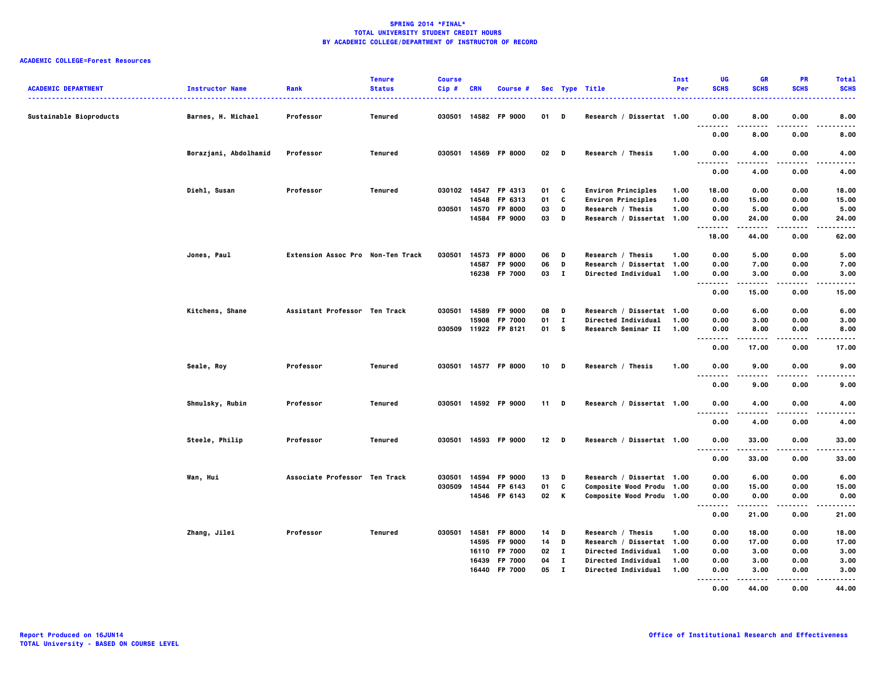| <b>ACADEMIC DEPARTMENT</b> | <b>Instructor Name</b> | Rank                              | <b>Tenure</b><br><b>Status</b> | <b>Course</b><br>$Cip$ # | CRN   | Course #             |        |              | Sec Type Title             | Inst<br>Per | UG<br><b>SCHS</b>                            | GR<br><b>SCHS</b> | <b>PR</b><br><b>SCHS</b> | <b>Total</b><br><b>SCHS</b> |
|----------------------------|------------------------|-----------------------------------|--------------------------------|--------------------------|-------|----------------------|--------|--------------|----------------------------|-------------|----------------------------------------------|-------------------|--------------------------|-----------------------------|
| Sustainable Bioproducts    | Barnes, H. Michael     | Professor                         | Tenured                        |                          |       | 030501 14582 FP 9000 | 01     | D            | Research / Dissertat 1.00  |             | 0.00<br>$\ddotsc$<br>                        | 8.00              | 0.00                     | 8.00                        |
|                            |                        |                                   |                                |                          |       |                      |        |              |                            |             | 0.00                                         | 8.00              | 0.00                     | 8.00                        |
|                            | Borazjani, Abdolhamid  | Professor                         | Tenured                        |                          |       | 030501 14569 FP 8000 | 02     | D            | Research / Thesis          | 1.00        | 0.00<br>.                                    | 4.00              | 0.00                     | 4.00<br>.                   |
|                            |                        |                                   |                                |                          |       |                      |        |              |                            |             | 0.00                                         | .<br>4.00         | .<br>0.00                | 4.00                        |
|                            | Diehl, Susan           | Professor                         | Tenured                        | 030102 14547             |       | FP 4313              | 01     | C            | <b>Environ Principles</b>  | 1.00        | 18.00                                        | 0.00              | 0.00                     | 18.00                       |
|                            |                        |                                   |                                |                          | 14548 | FP 6313              | 01     | C            | <b>Environ Principles</b>  | 1.00        | 0.00                                         | 15.00             | 0.00                     | 15.00                       |
|                            |                        |                                   |                                | 030501 14570             |       | FP 8000              | 03     | D            | Research / Thesis          | 1.00        | 0.00                                         | 5.00              | 0.00                     | 5.00                        |
|                            |                        |                                   |                                |                          |       | 14584 FP 9000        | 03     | D            | Research / Dissertat 1.00  |             | 0.00<br>.                                    | 24.00<br>-----    | 0.00<br>.                | 24.00<br>.                  |
|                            |                        |                                   |                                |                          |       |                      |        |              |                            |             | 18.00                                        | 44.00             | 0.00                     | 62.00                       |
|                            | Jones, Paul            | Extension Assoc Pro Non-Ten Track |                                | 030501                   | 14573 | FP 8000              | 06     | D            | Research / Thesis          | 1.00        | 0.00                                         | 5.00              | 0.00                     | 5.00                        |
|                            |                        |                                   |                                |                          | 14587 | FP 9000              | 06     | D            | Research / Dissertat 1.00  |             | 0.00                                         | 7.00              | 0.00                     | 7.00                        |
|                            |                        |                                   |                                |                          |       | 16238 FP 7000        | 03     | $\mathbf{I}$ | Directed Individual        | 1.00        | 0.00                                         | 3.00              | 0.00                     | 3.00                        |
|                            |                        |                                   |                                |                          |       |                      |        |              |                            |             | .<br>0.00                                    | -----<br>15.00    | .<br>0.00                | <br>15.00                   |
|                            | Kitchens, Shane        | Assistant Professor Ten Track     |                                | 030501                   | 14589 | FP 9000              | 08     | D            | Research / Dissertat 1.00  |             | 0.00                                         | 6.00              | 0.00                     | 6.00                        |
|                            |                        |                                   |                                |                          | 15908 | FP 7000              | 01     | $\mathbf{I}$ | Directed Individual        | 1.00        | 0.00                                         | 3.00              | 0.00                     | 3.00                        |
|                            |                        |                                   |                                |                          |       | 030509 11922 FP 8121 | 01     | <b>S</b>     | Research Seminar II        | 1.00        | 0.00                                         | 8.00              | 0.00                     | 8.00                        |
|                            |                        |                                   |                                |                          |       |                      |        |              |                            |             | <br>$\sim$ $\sim$ $\sim$<br>0.00             | 17.00             | 0.00                     | $- - - - -$<br>17.00        |
|                            | Seale, Roy             | Professor                         | <b>Tenured</b>                 |                          |       | 030501 14577 FP 8000 | 10     | D            | Research / Thesis          | 1.00        | 0.00                                         | 9.00              | 0.00                     | 9.00                        |
|                            |                        |                                   |                                |                          |       |                      |        |              |                            |             | $\sim$ $\sim$ $\sim$<br>. <b>.</b> .<br>0.00 | -----<br>9.00     | .<br>0.00                | -----<br>9.00               |
|                            | Shmulsky, Rubin        | Professor                         | Tenured                        |                          |       | 030501 14592 FP 9000 | 11     | D            | Research / Dissertat 1.00  |             | 0.00<br>--------                             | 4.00<br>.         | 0.00<br>$- - - -$        | 4.00<br>.                   |
|                            |                        |                                   |                                |                          |       |                      |        |              |                            |             | 0.00                                         | 4.00              | 0.00                     | 4.00                        |
|                            | Steele, Philip         | Professor                         | Tenured                        |                          |       | 030501 14593 FP 9000 | $12$ D |              | Research / Dissertat 1.00  |             | 0.00<br>$\sim$ $\sim$ $\sim$<br>-----        | 33.00<br>         | 0.00<br>$\cdots$         | 33.00<br>.                  |
|                            |                        |                                   |                                |                          |       |                      |        |              |                            |             | 0.00                                         | 33.00             | 0.00                     | 33.00                       |
|                            | Wan, Hui               | Associate Professor Ten Track     |                                | 030501                   | 14594 | FP 9000              | 13     | D            | Research / Dissertat 1.00  |             | 0.00                                         | 6.00              | 0.00                     | 6.00                        |
|                            |                        |                                   |                                | 030509                   | 14544 | FP 6143              | 01     | C            | Composite Wood Produ 1.00  |             | 0.00                                         | 15.00             | 0.00                     | 15.00                       |
|                            |                        |                                   |                                |                          |       | 14546 FP 6143        | 02     | K            | Composite Wood Produ 1.00  |             | 0.00                                         | 0.00              | 0.00                     | 0.00                        |
|                            |                        |                                   |                                |                          |       |                      |        |              |                            |             | <br>0.00                                     | .<br>21.00        | .<br>0.00                | .<br>21.00                  |
|                            | Zhang, Jilei           | Professor                         | Tenured                        | 030501                   | 14581 | <b>FP 8000</b>       | 14     | D            | Research / Thesis          | 1.00        | 0.00                                         | 18.00             | 0.00                     | 18.00                       |
|                            |                        |                                   |                                |                          | 14595 | FP 9000              | 14     | D            | Research / Dissertat 1.00  |             | 0.00                                         | 17.00             | 0.00                     | 17.00                       |
|                            |                        |                                   |                                |                          | 16110 | FP 7000              | 02     | $\mathbf{I}$ | <b>Directed Individual</b> | 1.00        | 0.00                                         | 3.00              | 0.00                     | 3.00                        |
|                            |                        |                                   |                                |                          | 16439 | FP 7000              | 04     | $\mathbf{I}$ | <b>Directed Individual</b> | 1.00        | 0.00                                         | 3.00              | 0.00                     | 3.00                        |
|                            |                        |                                   |                                |                          | 16440 | FP 7000              | 05     | $\mathbf{I}$ | Directed Individual        | 1.00        | 0.00                                         | 3.00<br>.         | 0.00                     | 3.00<br>-----               |
|                            |                        |                                   |                                |                          |       |                      |        |              |                            |             | <br>0.00                                     | 44.00             | $- - - -$<br>0.00        | 44.00                       |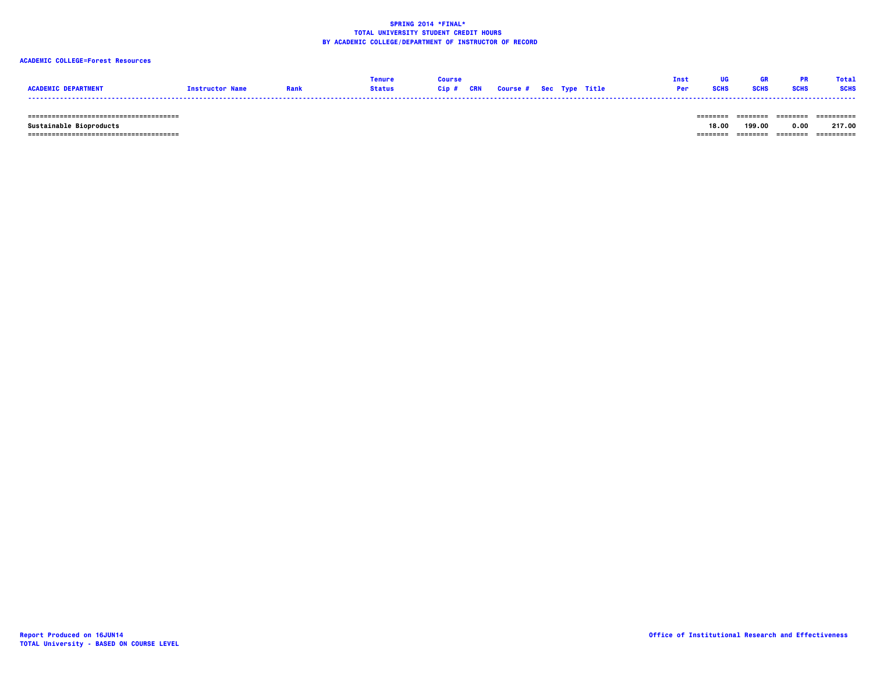### **ACADEMIC COLLEGE=Forest Resources**

|                            |                        | <b>Tenure</b> | Course |                                   |  | Tnst | ug          | GR.         |             | Total       |
|----------------------------|------------------------|---------------|--------|-----------------------------------|--|------|-------------|-------------|-------------|-------------|
| <b>ACADEMIC DEPARTMENT</b> | <b>Instructor Name</b> | <b>Status</b> |        | Cip # CRN Course # Sec Type Title |  | Per  | <b>SCHS</b> | <b>SCHS</b> | <b>SCHS</b> | <b>SCHS</b> |
|                            |                        |               |        |                                   |  |      |             |             |             |             |

 **====================================== ======== ======== ======== ==========**

 **====================================== ======== ======== ======== ========== Sustainable Bioproducts 18.00 199.00 0.00 217.00**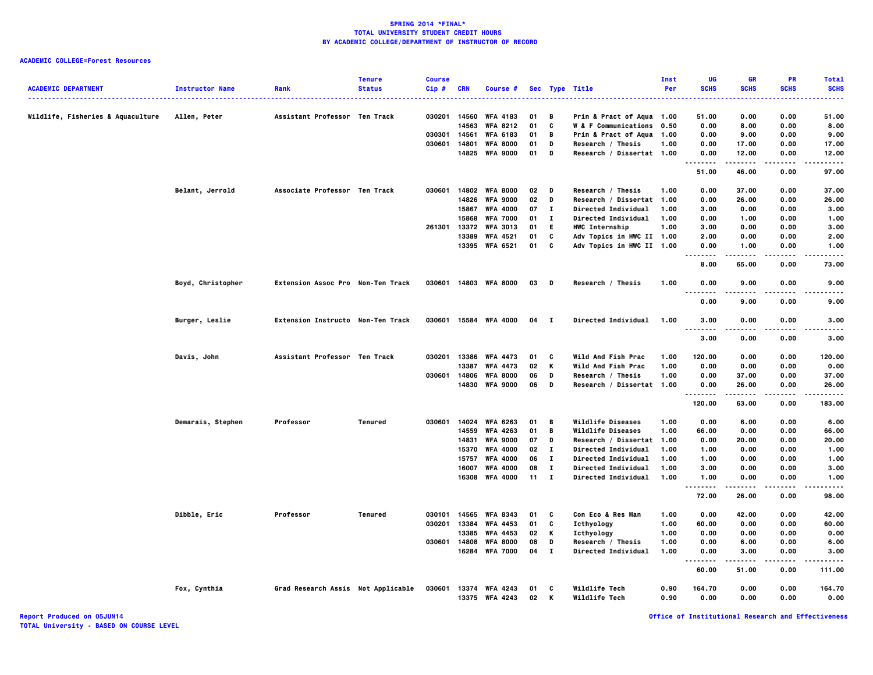### **ACADEMIC COLLEGE=Forest Resources**

| <b>ACADEMIC DEPARTMENT</b>        | <b>Instructor Name</b> | Rank                               | <b>Tenure</b><br><b>Status</b> | <b>Course</b><br>Cip# | CRN            | Course #                           |          |                | Sec Type Title                 | Inst<br>Per  | UG<br><b>SCHS</b>                 | <b>GR</b><br><b>SCHS</b> | <b>PR</b><br><b>SCHS</b> | <b>Total</b><br><b>SCHS</b> |
|-----------------------------------|------------------------|------------------------------------|--------------------------------|-----------------------|----------------|------------------------------------|----------|----------------|--------------------------------|--------------|-----------------------------------|--------------------------|--------------------------|-----------------------------|
| Wildlife, Fisheries & Aquaculture | Allen, Peter           | Assistant Professor Ten Track      |                                | 030201                | 14560          | <b>WFA 4183</b>                    | 01       | B              | Prin & Pract of Aqua 1.00      |              | 51.00                             | 0.00                     | 0.00                     | 51.00                       |
|                                   |                        |                                    |                                |                       | 14563          | <b>WFA 8212</b>                    | 01       | C              | W & F Communications 0.50      |              | 0.00                              | 8.00                     | 0.00                     | 8.00                        |
|                                   |                        |                                    |                                | 030301                | 14561          | <b>WFA 6183</b>                    | 01       | B              | Prin & Pract of Aqua 1.00      |              | 0.00                              | 9.00                     | 0.00                     | 9.00                        |
|                                   |                        |                                    |                                | 030601                | 14801          | <b>WFA 8000</b>                    | 01       | D              | Research / Thesis              | 1.00         | 0.00                              | 17.00                    | 0.00                     | 17.00                       |
|                                   |                        |                                    |                                |                       |                | 14825 WFA 9000                     | 01       | D              | Research / Dissertat 1.00      |              | 0.00                              | 12.00                    | 0.00                     | 12.00                       |
|                                   |                        |                                    |                                |                       |                |                                    |          |                |                                |              | $- - - -$<br>51.00                | .<br>46.00               | .<br>0.00                | .<br>97.00                  |
|                                   | Belant, Jerrold        | Associate Professor Ten Track      |                                | 030601                | 14802          | <b>WFA 8000</b>                    | 02       | D              | Research / Thesis              | 1.00         | 0.00                              | 37.00                    | 0.00                     | 37.00                       |
|                                   |                        |                                    |                                |                       | 14826          | <b>WFA 9000</b>                    | 02       | D              | Research / Dissertat           | 1.00         | 0.00                              | 26.00                    | 0.00                     | 26.00                       |
|                                   |                        |                                    |                                |                       | 15867          | <b>WFA 4000</b>                    | 07       | $\mathbf{I}$   | <b>Directed Individual</b>     | 1.00         | 3.00                              | 0.00                     | 0.00                     | 3.00                        |
|                                   |                        |                                    |                                |                       | 15868          | <b>WFA 7000</b>                    | 01       | $\mathbf{I}$   | Directed Individual            | 1.00         | 0.00                              | 1.00                     | 0.00                     | 1.00                        |
|                                   |                        |                                    |                                | 261301                | 13372          | <b>WFA 3013</b>                    | 01       | E.             | HWC Internship                 | 1.00         | 3.00                              | 0.00                     | 0.00                     | 3.00                        |
|                                   |                        |                                    |                                |                       | 13389          | <b>WFA 4521</b>                    | 01       | C              | Adv Topics in HWC II 1.00      |              | 2.00                              | 0.00                     | 0.00                     | 2.00                        |
|                                   |                        |                                    |                                |                       |                | 13395 WFA 6521                     | 01       | C              | Adv Topics in HWC II 1.00      |              | 0.00<br>.                         | 1.00<br>.                | 0.00<br>.                | 1.00<br>$- - - -$           |
|                                   |                        |                                    |                                |                       |                |                                    |          |                |                                |              | 8.00                              | 65.00                    | 0.00                     | 73.00                       |
|                                   | Boyd, Christopher      | Extension Assoc Pro Non-Ten Track  |                                | 030601                |                | 14803 WFA 8000                     | 03       | $\blacksquare$ | Research / Thesis              | 1.00         | 0.00<br>.<br>.                    | 9.00<br>-----            | 0.00<br>$- - - -$        | 9.00<br>$- - - -$           |
|                                   |                        |                                    |                                |                       |                |                                    |          |                |                                |              | 0.00                              | 9.00                     | 0.00                     | 9.00                        |
|                                   | Burger, Leslie         | Extension Instructo Non-Ten Track  |                                | 030601                |                | 15584 WFA 4000                     | 04       | $\mathbf{I}$   | <b>Directed Individual</b>     | 1.00         | 3.00                              | 0.00                     | 0.00                     | 3.00                        |
|                                   |                        |                                    |                                |                       |                |                                    |          |                |                                |              | $\sim$ $\sim$ $\sim$<br>.<br>3.00 | 0.00                     | 0.00                     | 3.00                        |
|                                   | Davis, John            | Assistant Professor Ten Track      |                                | 030201                | 13386          | <b>WFA 4473</b>                    | 01       | C              | Wild And Fish Prac             | 1.00         | 120.00                            | 0.00                     | 0.00                     | 120.00                      |
|                                   |                        |                                    |                                |                       | 13387          | <b>WFA 4473</b>                    | 02       | К              | Wild And Fish Prac             | 1.00         | 0.00                              | 0.00                     | 0.00                     | 0.00                        |
|                                   |                        |                                    |                                | 030601                | 14806          | <b>WFA 8000</b>                    | 06       | D              | Research / Thesis              | 1.00         | 0.00                              | 37.00                    | 0.00                     | 37.00                       |
|                                   |                        |                                    |                                |                       | 14830          | <b>WFA 9000</b>                    | 06       | D              | Research / Dissertat 1.00      |              | 0.00<br>.                         | 26.00                    | 0.00                     | 26.00<br>.                  |
|                                   |                        |                                    |                                |                       |                |                                    |          |                |                                |              | 120.00                            | 63.00                    | 0.00                     | 183.00                      |
|                                   | Demarais, Stephen      | Professor                          | Tenured                        | 030601                | 14024          | <b>WFA 6263</b>                    | 01       | $\overline{B}$ | <b>Wildlife Diseases</b>       | 1.00         | 0.00                              | 6.00                     | 0.00                     | 6.00                        |
|                                   |                        |                                    |                                |                       | 14559          | <b>WFA 4263</b>                    | 01       | B              | <b>Wildlife Diseases</b>       | 1.00         | 66.00                             | 0.00                     | 0.00                     | 66.00                       |
|                                   |                        |                                    |                                |                       | 14831          | <b>WFA 9000</b>                    | 07       | D              | Research / Dissertat           | 1.00         | 0.00                              | 20.00                    | 0.00                     | 20.00                       |
|                                   |                        |                                    |                                |                       | 15370          | <b>WFA 4000</b>                    | 02       | $\mathbf{I}$   | <b>Directed Individual</b>     | 1.00         | 1.00                              | 0.00                     | 0.00                     | 1.00                        |
|                                   |                        |                                    |                                |                       | 15757          | <b>WFA 4000</b>                    | 06       | $\mathbf{I}$   | <b>Directed Individual</b>     | 1.00         | 1.00                              | 0.00                     | 0.00                     | 1.00                        |
|                                   |                        |                                    |                                |                       | 16007          | <b>WFA 4000</b>                    | 08       | $\mathbf{I}$   | Directed Individual            | 1.00         | 3.00                              | 0.00                     | 0.00                     | 3.00                        |
|                                   |                        |                                    |                                |                       |                | 16308 WFA 4000                     | 11       | $\mathbf{I}$   | Directed Individual            | 1.00         | 1.00<br>                          | 0.00                     | 0.00                     | 1.00<br>                    |
|                                   |                        |                                    |                                |                       |                |                                    |          |                |                                |              | 72.00                             | 26.00                    | 0.00                     | 98.00                       |
|                                   | Dibble, Eric           | Professor                          | Tenured                        | 030101                | 14565          | <b>WFA 8343</b>                    | 01       | c              | Con Eco & Res Man              | 1.00         | 0.00                              | 42.00                    | 0.00                     | 42.00                       |
|                                   |                        |                                    |                                | 030201                | 13384          | <b>WFA 4453</b>                    | 01       | C              | Icthyology                     | 1.00         | 60.00                             | 0.00                     | 0.00                     | 60.00                       |
|                                   |                        |                                    |                                |                       | 13385          | <b>WFA 4453</b>                    | 02       | Κ              | Icthyology                     | 1.00         | 0.00                              | 0.00                     | 0.00                     | 0.00                        |
|                                   |                        |                                    |                                | 030601                | 14808          | <b>WFA 8000</b>                    | 08       | D              | Research / Thesis              | 1.00         | 0.00                              | 6.00                     | 0.00                     | 6.00                        |
|                                   |                        |                                    |                                |                       | 16284          | <b>WFA 7000</b>                    | 04       | $\mathbf{I}$   | Directed Individual            | 1.00         | 0.00<br>.                         | 3.00<br>-----            | 0.00<br>.                | 3.00<br>.                   |
|                                   |                        |                                    |                                |                       |                |                                    |          |                |                                |              | 60.00                             | 51.00                    | 0.00                     | 111.00                      |
|                                   | Fox, Cynthia           | Grad Research Assis Not Applicable |                                | 030601                | 13374<br>13375 | <b>WFA 4243</b><br><b>WFA 4243</b> | 01<br>02 | C<br>K         | Wildlife Tech<br>Wildlife Tech | 0.90<br>0.90 | 164.70<br>0.00                    | 0.00<br>0.00             | 0.00<br>0.00             | 164.70<br>0.00              |

**Report Produced on 05JUN14 Office of Institutional Research and Effectiveness**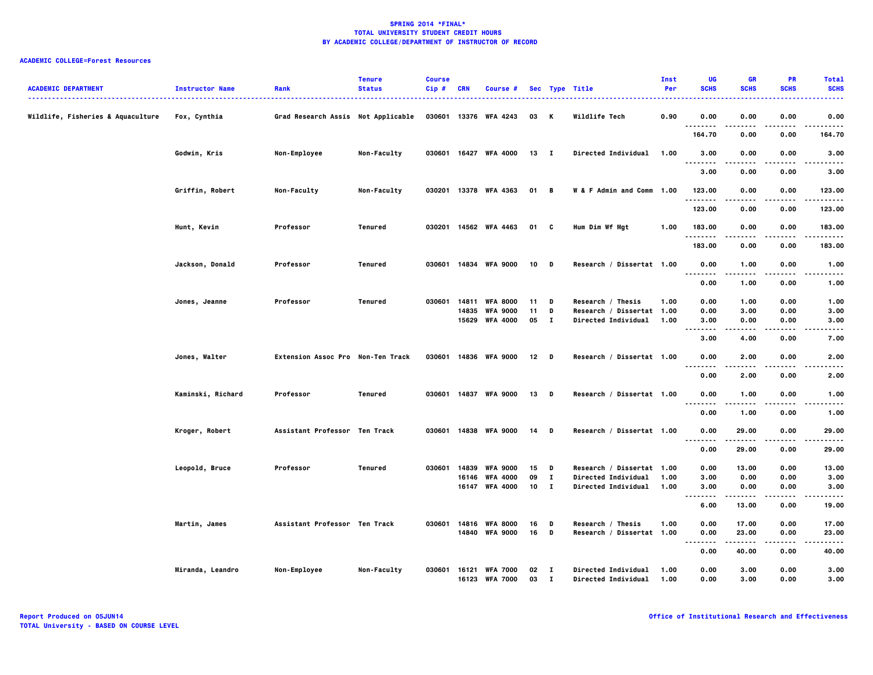| <b>ACADEMIC DEPARTMENT</b>        | <b>Instructor Name</b> | Rank                               | <b>Tenure</b><br><b>Status</b> | <b>Course</b><br>$Cip$ # | <b>CRN</b> | Course #                          |              |                     | Sec Type Title                                    | Inst<br>Per  | <b>UG</b><br><b>SCHS</b> | <b>GR</b><br><b>SCHS</b> | <b>PR</b><br><b>SCHS</b> | <b>Total</b><br><b>SCHS</b> |
|-----------------------------------|------------------------|------------------------------------|--------------------------------|--------------------------|------------|-----------------------------------|--------------|---------------------|---------------------------------------------------|--------------|--------------------------|--------------------------|--------------------------|-----------------------------|
| Wildlife, Fisheries & Aquaculture | Fox, Cynthia           | Grad Research Assis Not Applicable |                                |                          |            | 030601 13376 WFA 4243             | 03 K         |                     | Wildlife Tech                                     | 0.90         | 0.00<br>.                | 0.00<br>.                | 0.00<br>.                | 0.00<br>.                   |
|                                   |                        |                                    |                                |                          |            |                                   |              |                     |                                                   |              | 164.70                   | 0.00                     | 0.00                     | 164.70                      |
|                                   | Godwin, Kris           | Non-Employee                       | Non-Faculty                    |                          |            | 030601 16427 WFA 4000             | $13$ I       |                     | Directed Individual                               | 1.00         | 3.00<br><br>.            | 0.00                     | 0.00                     | 3.00                        |
|                                   |                        |                                    |                                |                          |            |                                   |              |                     |                                                   |              | 3.00                     | 0.00                     | 0.00                     | 3.00                        |
|                                   | Griffin, Robert        | Non-Faculty                        | Non-Faculty                    |                          |            | 030201 13378 WFA 4363             | 01 B         |                     | W & F Admin and Comm 1.00                         |              | 123.00<br>.              | 0.00                     | 0.00                     | 123.00                      |
|                                   |                        |                                    |                                |                          |            |                                   |              |                     |                                                   |              | 123.00                   | 0.00                     | 0.00                     | 123.00                      |
|                                   | Hunt, Kevin            | Professor                          | Tenured                        |                          |            | 030201 14562 WFA 4463             | 01 C         |                     | Hum Dim Wf Mgt                                    | 1.00         | 183.00<br><u>.</u>       | 0.00<br>----             | 0.00<br>$- - -$          | 183.00<br>.                 |
|                                   |                        |                                    |                                |                          |            |                                   |              |                     |                                                   |              | 183.00                   | 0.00                     | 0.00                     | 183.00                      |
|                                   | Jackson, Donald        | Professor                          | Tenured                        |                          |            | 030601 14834 WFA 9000             | 10           | D                   | Research / Dissertat 1.00                         |              | 0.00<br>                 | 1.00<br>.                | 0.00                     | 1.00<br>-----               |
|                                   |                        |                                    |                                |                          |            |                                   |              |                     |                                                   |              | 0.00                     | 1.00                     | 0.00                     | 1.00                        |
|                                   | Jones, Jeanne          | Professor                          | Tenured                        |                          |            | 030601 14811 WFA 8000             | 11           | D                   | Research / Thesis                                 | 1.00         | 0.00                     | 1.00                     | 0.00                     | 1.00                        |
|                                   |                        |                                    |                                |                          | 14835      | <b>WFA 9000</b>                   | 11           | D                   | Research / Dissertat 1.00                         |              | 0.00                     | 3.00                     | 0.00                     | 3.00                        |
|                                   |                        |                                    |                                |                          | 15629      | <b>WFA 4000</b>                   | 05           | $\mathbf{I}$        | <b>Directed Individual</b>                        | 1.00         | 3.00                     | 0.00                     | 0.00                     | 3.00                        |
|                                   |                        |                                    |                                |                          |            |                                   |              |                     |                                                   |              | $\ddotsc$<br>.<br>3.00   | $- - - -$<br>4.00        | 0.00                     | .<br>7.00                   |
|                                   | Jones, Walter          | Extension Assoc Pro Non-Ten Track  |                                |                          |            | 030601 14836 WFA 9000             | $12$ D       |                     | Research / Dissertat 1.00                         |              | 0.00<br>.                | 2.00<br>.                | 0.00<br>$- - -$          | 2.00                        |
|                                   |                        |                                    |                                |                          |            |                                   |              |                     |                                                   |              | 0.00                     | 2.00                     | 0.00                     | 2.00                        |
|                                   | Kaminski, Richard      | Professor                          | Tenured                        |                          |            | 030601 14837 WFA 9000             | 13           | $\blacksquare$      | Research / Dissertat 1.00                         |              | 0.00<br>.                | 1.00                     | 0.00                     | 1.00                        |
|                                   |                        |                                    |                                |                          |            |                                   |              |                     |                                                   |              | 0.00                     | 1.00                     | 0.00                     | 1.00                        |
|                                   | Kroger, Robert         | Assistant Professor Ten Track      |                                | 030601                   |            | 14838 WFA 9000                    | 14           | D                   | Research / Dissertat 1.00                         |              | 0.00<br>.                | 29.00                    | 0.00                     | 29.00                       |
|                                   |                        |                                    |                                |                          |            |                                   |              |                     |                                                   |              | 0.00                     | 29.00                    | 0.00                     | 29.00                       |
|                                   | Leopold, Bruce         | Professor                          | Tenured                        | 030601                   | 14839      | <b>WFA 9000</b>                   | 15           | D                   | Research / Dissertat 1.00                         |              | 0.00                     | 13.00                    | 0.00                     | 13.00                       |
|                                   |                        |                                    |                                |                          | 16146      | <b>WFA 4000</b>                   | 09           | $\mathbf{I}$        | Directed Individual                               | 1.00         | 3.00                     | 0.00                     | 0.00                     | 3.00                        |
|                                   |                        |                                    |                                |                          |            | 16147 WFA 4000                    | $10 \quad I$ |                     | <b>Directed Individual</b>                        | 1.00         | 3.00<br>.<br>.           | 0.00<br>.                | 0.00<br>.                | 3.00<br>.                   |
|                                   |                        |                                    |                                |                          |            |                                   |              |                     |                                                   |              | 6.00                     | 13.00                    | 0.00                     | 19.00                       |
|                                   | Martin, James          | Assistant Professor Ten Track      |                                | 030601                   | 14816      | <b>WFA 8000</b>                   | 16           | D                   | Research / Thesis                                 | 1.00         | 0.00                     | 17.00                    | 0.00                     | 17.00                       |
|                                   |                        |                                    |                                |                          |            | 14840 WFA 9000                    | 16           | D                   | Research / Dissertat 1.00                         |              | 0.00                     | 23.00<br>-----           | 0.00<br>----             | 23.00<br>.                  |
|                                   |                        |                                    |                                |                          |            |                                   |              |                     |                                                   |              | ----<br>0.00             | 40.00                    | 0.00                     | 40.00                       |
|                                   | Miranda, Leandro       | Non-Employee                       | Non-Faculty                    | 030601                   | 16121      | <b>WFA 7000</b><br>16123 WFA 7000 | 02<br>03     | - 1<br>$\mathbf{I}$ | Directed Individual<br><b>Directed Individual</b> | 1.00<br>1.00 | 0.00<br>0.00             | 3.00<br>3.00             | 0.00<br>0.00             | 3.00<br>3.00                |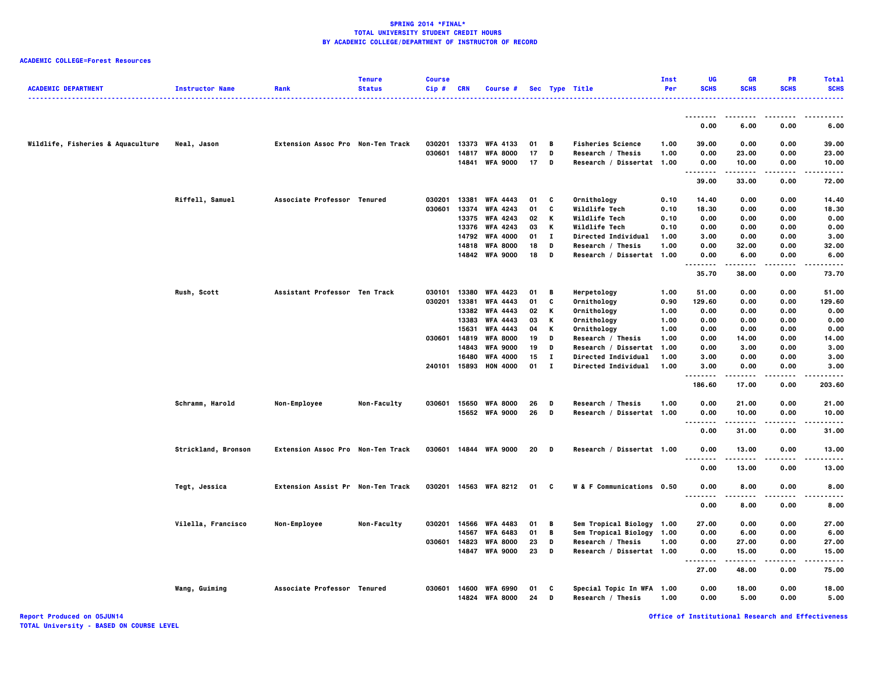| <b>ACADEMIC DEPARTMENT</b>        | <b>Instructor Name</b> | Rank                              | <b>Tenure</b><br><b>Status</b> | <b>Course</b><br>$Cip$ # | CRN   | <b>Course #</b>       |    |              | Sec Type Title             | <b>Inst</b><br>Per | UG<br><b>SCHS</b>                 | <b>GR</b><br><b>SCHS</b> | <b>PR</b><br><b>SCHS</b> | <b>Total</b><br><b>SCHS</b><br>. |
|-----------------------------------|------------------------|-----------------------------------|--------------------------------|--------------------------|-------|-----------------------|----|--------------|----------------------------|--------------------|-----------------------------------|--------------------------|--------------------------|----------------------------------|
|                                   |                        |                                   |                                |                          |       |                       |    |              |                            |                    | --------                          |                          |                          |                                  |
|                                   |                        |                                   |                                |                          |       |                       |    |              |                            |                    | 0.00                              | 6.00                     | 0.00                     | 6.00                             |
| Wildlife, Fisheries & Aquaculture | Neal, Jason            | Extension Assoc Pro Non-Ten Track |                                | 030201                   | 13373 | <b>WFA 4133</b>       | 01 | B            | <b>Fisheries Science</b>   | 1.00               | 39.00                             | 0.00                     | 0.00                     | 39.00                            |
|                                   |                        |                                   |                                | 030601                   | 14817 | <b>WFA 8000</b>       | 17 | D            | Research / Thesis          | 1.00               | 0.00                              | 23.00                    | 0.00                     | 23.00                            |
|                                   |                        |                                   |                                |                          | 14841 | <b>WFA 9000</b>       | 17 | D            | Research / Dissertat 1.00  |                    | 0.00                              | 10.00                    | 0.00                     | 10.00                            |
|                                   |                        |                                   |                                |                          |       |                       |    |              |                            |                    | .<br>39.00                        | 33.00                    | $\cdots$<br>0.00         | $\cdots$<br>72.00                |
|                                   | Riffell, Samuel        | Associate Professor Tenured       |                                | 030201                   | 13381 | <b>WFA 4443</b>       | 01 | c            | Ornithology                | 0.10               | 14.40                             | 0.00                     | 0.00                     | 14.40                            |
|                                   |                        |                                   |                                | 030601                   | 13374 | <b>WFA 4243</b>       | 01 | C            | Wildlife Tech              | 0.10               | 18.30                             | 0.00                     | 0.00                     | 18.30                            |
|                                   |                        |                                   |                                |                          | 13375 | <b>WFA 4243</b>       | 02 | К            | Wildlife Tech              | 0.10               | 0.00                              | 0.00                     | 0.00                     | 0.00                             |
|                                   |                        |                                   |                                |                          | 13376 | <b>WFA 4243</b>       | 03 | К            | Wildlife Tech              | 0.10               | 0.00                              | 0.00                     | 0.00                     | 0.00                             |
|                                   |                        |                                   |                                |                          | 14792 | <b>WFA 4000</b>       | 01 | $\mathbf{I}$ | <b>Directed Individual</b> | 1.00               | 3.00                              | 0.00                     | 0.00                     | 3.00                             |
|                                   |                        |                                   |                                |                          | 14818 | <b>WFA 8000</b>       | 18 | D            | Research / Thesis          | 1.00               | 0.00                              | 32.00                    | 0.00                     | 32.00                            |
|                                   |                        |                                   |                                |                          |       | 14842 WFA 9000        | 18 | D            | Research / Dissertat 1.00  |                    | 0.00                              | 6.00                     | 0.00                     | 6.00                             |
|                                   |                        |                                   |                                |                          |       |                       |    |              |                            |                    | .<br>35.70                        | 38.00                    | 0.00                     | $- - - -$<br>73.70               |
|                                   | Rush, Scott            | Assistant Professor Ten Track     |                                | 030101                   | 13380 | <b>WFA 4423</b>       | 01 | в            | Herpetology                | 1.00               | 51.00                             | 0.00                     | 0.00                     | 51.00                            |
|                                   |                        |                                   |                                | 030201                   | 13381 | <b>WFA 4443</b>       | 01 | C            | Ornithology                | 0.90               | 129.60                            | 0.00                     | 0.00                     | 129.60                           |
|                                   |                        |                                   |                                |                          | 13382 | <b>WFA 4443</b>       | 02 | К            | Ornithology                | 1.00               | 0.00                              | 0.00                     | 0.00                     | 0.00                             |
|                                   |                        |                                   |                                |                          | 13383 | <b>WFA 4443</b>       | 03 | Κ            | Ornithology                | 1.00               | 0.00                              | 0.00                     | 0.00                     | 0.00                             |
|                                   |                        |                                   |                                |                          | 15631 | <b>WFA 4443</b>       | 04 | K            | Ornithology                | 1.00               | 0.00                              | 0.00                     | 0.00                     | 0.00                             |
|                                   |                        |                                   |                                | 030601                   | 14819 | <b>WFA 8000</b>       | 19 | D            | Research / Thesis          | 1.00               | 0.00                              | 14.00                    | 0.00                     | 14.00                            |
|                                   |                        |                                   |                                |                          | 14843 | <b>WFA 9000</b>       | 19 | D            | Research / Dissertat       | 1.00               | 0.00                              | 3.00                     | 0.00                     | 3.00                             |
|                                   |                        |                                   |                                |                          | 16480 | <b>WFA 4000</b>       | 15 | $\mathbf{I}$ | <b>Directed Individual</b> | 1.00               | 3.00                              | 0.00                     | 0.00                     | 3.00                             |
|                                   |                        |                                   |                                | 240101 15893             |       | <b>HON 4000</b>       | 01 | $\mathbf{I}$ | <b>Directed Individual</b> | 1.00               | 3.00                              | 0.00                     | 0.00                     | 3.00                             |
|                                   |                        |                                   |                                |                          |       |                       |    |              |                            |                    | <br>186.60                        | .<br>17.00               | $\cdots$<br>0.00         | .<br>203.60                      |
|                                   |                        |                                   |                                |                          |       |                       |    |              |                            |                    |                                   |                          |                          |                                  |
|                                   | Schramm, Harold        | Non-Employee                      | Non-Faculty                    | 030601                   | 15650 | <b>WFA 8000</b>       | 26 | D            | Research / Thesis          | 1.00               | 0.00                              | 21.00                    | 0.00                     | 21.00                            |
|                                   |                        |                                   |                                |                          |       | 15652 WFA 9000        | 26 | D            | Research / Dissertat 1.00  |                    | 0.00                              | 10.00                    | 0.00                     | 10.00                            |
|                                   |                        |                                   |                                |                          |       |                       |    |              |                            |                    | $\sim$ $\sim$ $\sim$<br>.<br>0.00 | -----<br>31.00           | 0.00                     | -----<br>31.00                   |
|                                   | Strickland, Bronson    | Extension Assoc Pro Non-Ten Track |                                |                          |       | 030601 14844 WFA 9000 | 20 | D            | Research / Dissertat 1.00  |                    | 0.00                              | 13.00                    | 0.00                     | 13.00                            |
|                                   |                        |                                   |                                |                          |       |                       |    |              |                            |                    | .<br>0.00                         | 13.00                    | 0.00                     | 13.00                            |
|                                   | Tegt, Jessica          | Extension Assist Pr Non-Ten Track |                                |                          |       | 030201 14563 WFA 8212 | 01 | - C          | W & F Communications 0.50  |                    | 0.00                              | 8.00                     | 0.00                     | 8.00                             |
|                                   |                        |                                   |                                |                          |       |                       |    |              |                            |                    | $\sim$ $\sim$ $\sim$<br>.<br>0.00 | -----<br>8.00            | $\cdots$<br>0.00         | $- - - -$<br>8.00                |
|                                   | Vilella, Francisco     | Non-Employee                      | <b>Non-Faculty</b>             | 030201                   | 14566 | <b>WFA 4483</b>       | 01 | В            | Sem Tropical Biology 1.00  |                    | 27.00                             | 0.00                     | 0.00                     | 27.00                            |
|                                   |                        |                                   |                                |                          | 14567 | <b>WFA 6483</b>       | 01 | B            | Sem Tropical Biology 1.00  |                    | 0.00                              | 6.00                     | 0.00                     | 6.00                             |
|                                   |                        |                                   |                                | 030601                   | 14823 | <b>WFA 8000</b>       | 23 | D            | Research / Thesis          | 1.00               | 0.00                              | 27.00                    | 0.00                     | 27.00                            |
|                                   |                        |                                   |                                |                          | 14847 | <b>WFA 9000</b>       | 23 | $\,$ D       | Research / Dissertat 1.00  |                    | 0.00                              | 15.00                    | 0.00                     | 15.00                            |
|                                   |                        |                                   |                                |                          |       |                       |    |              |                            |                    | <br>27.00                         | -----<br>48.00           | $- - - -$<br>0.00        | .<br>75.00                       |
|                                   | Wang, Guiming          | Associate Professor Tenured       |                                | 030601                   |       | 14600 WFA 6990        | 01 | C            | Special Topic In WFA 1.00  |                    | 0.00                              | 18.00                    | 0.00                     | 18.00                            |
|                                   |                        |                                   |                                |                          | 14824 | <b>WFA 8000</b>       | 24 | D            | Research / Thesis          | 1.00               | 0.00                              | 5.00                     | 0.00                     | 5.00                             |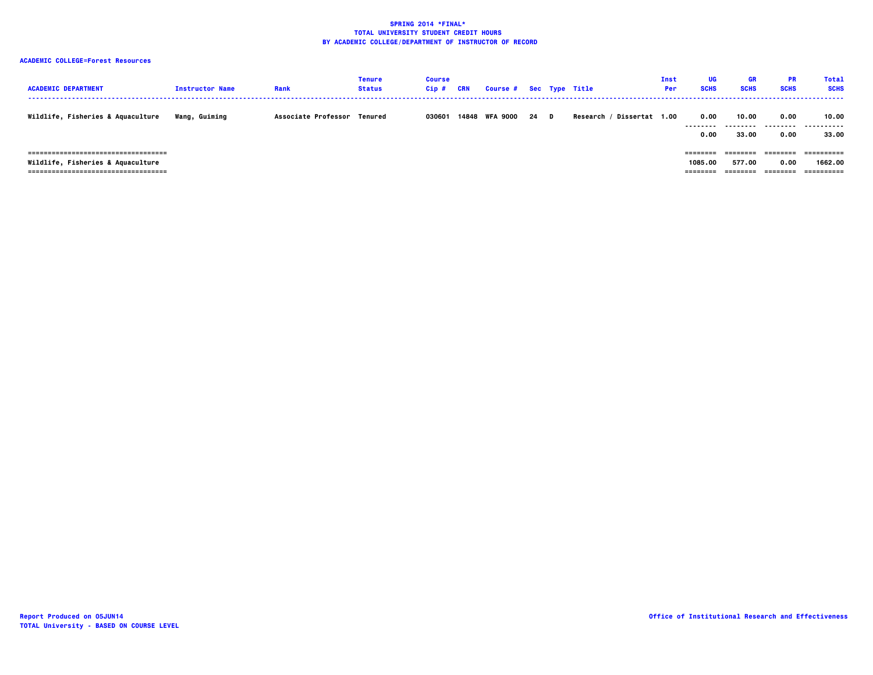| <b>ACADEMIC DEPARTMENT</b>                                                                                          | <b>Instructor Name</b> | Rank                        | Tenure<br><b>Status</b> | <b>Course</b><br>Cip# | CRN | Course # Sec Type Title |    |                              | Inst<br><b>Per</b> | UG<br><b>SCHS</b>               | GR<br><b>SCHS</b>              | <b>PR</b><br><b>SCHS</b>     | Total<br><b>SCHS</b>                |
|---------------------------------------------------------------------------------------------------------------------|------------------------|-----------------------------|-------------------------|-----------------------|-----|-------------------------|----|------------------------------|--------------------|---------------------------------|--------------------------------|------------------------------|-------------------------------------|
| Wildlife, Fisheries & Aquaculture                                                                                   | Wang, Guiming          | Associate Professor Tenured |                         | 030601                |     | 14848 WFA 9000          | 24 | Dissertat 1.00<br>Research / |                    | 0.00<br>---------<br>0.00       | 10.00<br>.<br>33.00            | 0.00<br>.<br>0.00            | 10.00<br>.<br>33.00                 |
| =====================================<br>Wildlife, Fisheries & Aquaculture<br>===================================== |                        |                             |                         |                       |     |                         |    |                              |                    | --------<br>1085,00<br>-------- | ========<br>577.00<br>======== | ========<br>0.00<br>======== | ==========<br>1662.00<br>========== |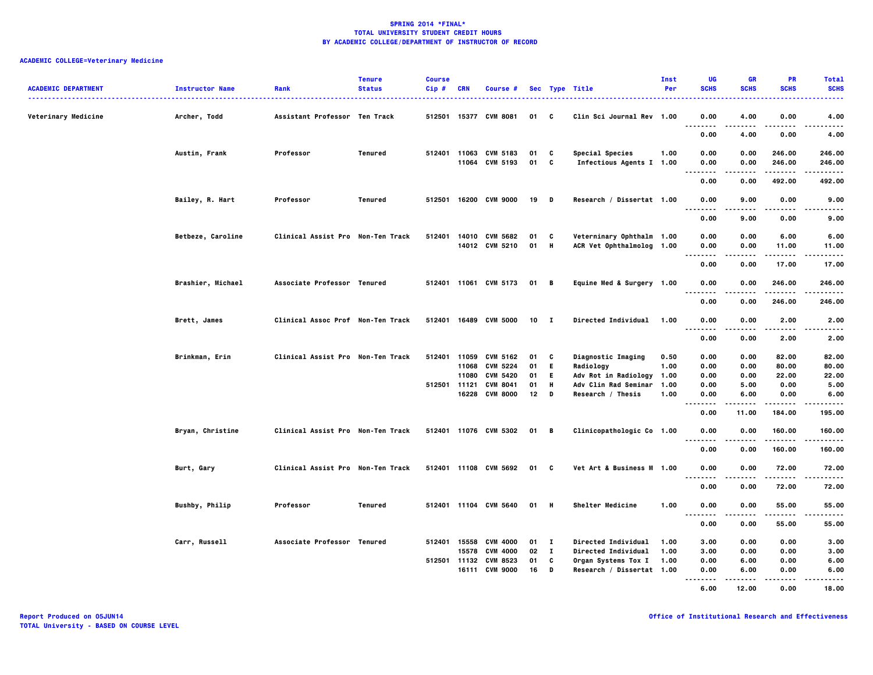| <b>ACADEMIC DEPARTMENT</b> | <b>Instructor Name</b><br>. <u>.</u> . | Rank                              | <b>Tenure</b><br><b>Status</b> | <b>Course</b><br>Cip# | <b>CRN</b>   | <b>Course #</b>                         |                  |                   | Sec Type Title                                         | Inst<br>Per  | UG<br><b>SCHS</b>                 | <b>GR</b><br><b>SCHS</b> | <b>PR</b><br><b>SCHS</b> | <b>Total</b><br><b>SCHS</b> |
|----------------------------|----------------------------------------|-----------------------------------|--------------------------------|-----------------------|--------------|-----------------------------------------|------------------|-------------------|--------------------------------------------------------|--------------|-----------------------------------|--------------------------|--------------------------|-----------------------------|
| Veterinary Medicine        | Archer, Todd                           | Assistant Professor Ten Track     |                                | 512501                |              | 15377 CVM 8081                          | 01               | - C               | Clin Sci Journal Rev 1.00                              |              | 0.00                              | 4.00                     | 0.00                     | 4.00                        |
|                            |                                        |                                   |                                |                       |              |                                         |                  |                   |                                                        |              | $\sim$ $\sim$ $\sim$<br>.<br>0.00 | 4.00                     | ----<br>0.00             | .<br>4.00                   |
|                            | Austin, Frank                          | Professor                         | Tenured                        |                       |              | 512401 11063 CVM 5183<br>11064 CVM 5193 | 01<br>01         | C<br>C            | Special Species<br>Infectious Agents I 1.00            | 1.00         | 0.00<br>0.00                      | 0.00<br>0.00             | 246.00<br>246.00         | 246.00<br>246.00            |
|                            |                                        |                                   |                                |                       |              |                                         |                  |                   |                                                        |              | .<br>$\cdots$<br>0.00             | 0.00                     | .<br>492.00              | .<br>492.00                 |
|                            | Bailey, R. Hart                        | Professor                         | Tenured                        |                       |              | 512501 16200 CVM 9000                   | 19 D             |                   | Research / Dissertat 1.00                              |              | 0.00                              | 9.00                     | 0.00                     | 9.00                        |
|                            |                                        |                                   |                                |                       |              |                                         |                  |                   |                                                        |              | $\sim$ $\sim$ $\sim$<br>.<br>0.00 | 9.00                     | 0.00                     | .<br>9.00                   |
|                            | Betbeze, Caroline                      | Clinical Assist Pro Non-Ten Track |                                | 512401                |              | 14010 CVM 5682<br>14012 CVM 5210        | 01<br>01 H       | C                 | Veterninary Ophthalm 1.00<br>ACR Vet Ophthalmolog 1.00 |              | 0.00<br>0.00                      | 0.00<br>0.00             | 6.00<br>11.00            | 6.00<br>11.00               |
|                            |                                        |                                   |                                |                       |              |                                         |                  |                   |                                                        |              | $- - - -$<br>0.00                 | 0.00                     | . <b>.</b><br>17.00      | .<br>17.00                  |
|                            | Brashier, Michael                      | Associate Professor Tenured       |                                |                       |              | 512401 11061 CVM 5173                   | 01 B             |                   | Equine Med & Surgery 1.00                              |              | 0.00                              | 0.00                     | 246.00                   | 246.00                      |
|                            |                                        |                                   |                                |                       |              |                                         |                  |                   |                                                        |              | .<br>0.00                         | 0.00                     | 246.00                   | $- - - -$<br>246.00         |
|                            | Brett, James                           | Clinical Assoc Prof Non-Ten Track |                                |                       |              | 512401 16489 CVM 5000                   | 10 <sup>10</sup> | - 1               | Directed Individual                                    | 1.00         | 0.00<br>.<br>.                    | 0.00<br>.                | 2.00<br>$- - - -$        | 2.00<br>-----               |
|                            |                                        |                                   |                                |                       |              |                                         |                  |                   |                                                        |              | 0.00                              | 0.00                     | 2.00                     | 2.00                        |
|                            | Brinkman, Erin                         | Clinical Assist Pro Non-Ten Track |                                |                       |              | 512401 11059 CVM 5162<br>11068 CVM 5224 | 01<br>01         | C<br>E.           | Diagnostic Imaging<br>Radiology                        | 0.50<br>1.00 | 0.00<br>0.00                      | 0.00<br>0.00             | 82.00<br>80.00           | 82.00<br>80.00              |
|                            |                                        |                                   |                                |                       | 11080        | <b>CVM 5420</b>                         | 01               | E.                | Adv Rot in Radiology                                   | 1.00         | 0.00                              | 0.00                     | 22.00                    | 22.00                       |
|                            |                                        |                                   |                                |                       | 512501 11121 | <b>CVM 8041</b>                         | 01               | Н                 | Adv Clin Rad Seminar                                   | 1.00         | 0.00                              | 5.00                     | 0.00                     | 5.00                        |
|                            |                                        |                                   |                                |                       |              | 16228 CVM 8000                          | 12               | D                 | Research / Thesis                                      | 1.00         | 0.00<br>.<br>.                    | 6.00<br>$- - - - -$      | 0.00<br>.                | 6.00<br>.                   |
|                            |                                        |                                   |                                |                       |              |                                         |                  |                   |                                                        |              | 0.00                              | 11.00                    | 184.00                   | 195.00                      |
|                            | Bryan, Christine                       | Clinical Assist Pro Non-Ten Track |                                |                       |              | 512401 11076 CVM 5302                   | 01 B             |                   | Clinicopathologic Co 1.00                              |              | 0.00<br>.                         | 0.00                     | 160.00                   | 160.00<br>.                 |
|                            |                                        |                                   |                                |                       |              |                                         |                  |                   |                                                        |              | 0.00                              | 0.00                     | 160.00                   | 160.00                      |
|                            | Burt, Gary                             | Clinical Assist Pro Non-Ten Track |                                |                       |              | 512401 11108 CVM 5692                   | 01 C             |                   | Vet Art & Business M 1.00                              |              | 0.00<br>$\ddotsc$                 | 0.00                     | 72.00                    | 72.00                       |
|                            |                                        |                                   |                                |                       |              |                                         |                  |                   |                                                        |              | .<br>0.00                         | 0.00                     | .<br>72.00               | .<br>72.00                  |
|                            | Bushby, Philip                         | Professor                         | Tenured                        |                       |              | 512401 11104 CVM 5640                   | 01 H             |                   | Shelter Medicine                                       | 1.00         | 0.00<br>.                         | 0.00<br>-----            | 55.00<br>.               | 55.00<br>.                  |
|                            |                                        |                                   |                                |                       |              |                                         |                  |                   |                                                        |              | 0.00                              | 0.00                     | 55.00                    | 55.00                       |
|                            | Carr, Russell                          | Associate Professor Tenured       |                                | 512401                | 15558        | <b>CVM 4000</b>                         | 01               | $\mathbf{I}$      | Directed Individual                                    | 1.00         | 3.00                              | 0.00                     | 0.00                     | 3.00                        |
|                            |                                        |                                   |                                |                       |              | 15578 CVM 4000<br>512501 11132 CVM 8523 | 02<br>01         | $\mathbf{I}$<br>C | Directed Individual                                    | 1.00         | 3.00                              | 0.00                     | 0.00<br>0.00             | 3.00                        |
|                            |                                        |                                   |                                |                       |              | 16111 CVM 9000                          | 16               | D                 | Organ Systems Tox I<br>Research / Dissertat 1.00       | 1.00         | 0.00<br>0.00<br>.                 | 6.00<br>6.00             | 0.00                     | 6.00<br>6.00                |
|                            |                                        |                                   |                                |                       |              |                                         |                  |                   |                                                        |              | 6.00                              | 12.00                    | 0.00                     | 18.00                       |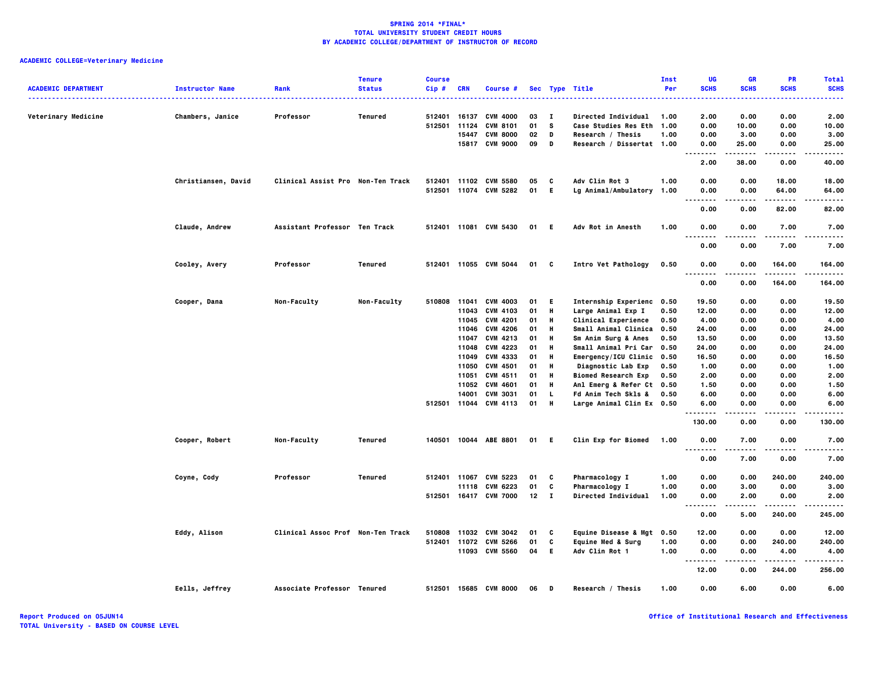|                            |                        |                                   | <b>Tenure</b> | <b>Course</b> |            |                                    |          |                         |                                                  | <b>Inst</b>  | UG                                       | <b>GR</b>         | PR                | <b>Total</b>         |
|----------------------------|------------------------|-----------------------------------|---------------|---------------|------------|------------------------------------|----------|-------------------------|--------------------------------------------------|--------------|------------------------------------------|-------------------|-------------------|----------------------|
| <b>ACADEMIC DEPARTMENT</b> | <b>Instructor Name</b> | Rank                              | <b>Status</b> | Cip#          | <b>CRN</b> | Course #                           |          |                         | Sec Type Title<br>. <b>.</b> .                   | Per          | <b>SCHS</b><br>.                         | <b>SCHS</b>       | <b>SCHS</b>       | <b>SCHS</b><br>----- |
|                            |                        |                                   |               |               |            |                                    |          |                         |                                                  |              |                                          |                   |                   |                      |
| Veterinary Medicine        | Chambers, Janice       | Professor                         | Tenured       | 512401        | 16137      | <b>CVM 4000</b>                    | 03       | $\mathbf I$<br><b>S</b> | Directed Individual                              | 1.00         | 2.00                                     | 0.00              | 0.00              | 2.00                 |
|                            |                        |                                   |               | 512501 11124  | 15447      | <b>CVM 8101</b><br><b>CVM 8000</b> | 01<br>02 | $\mathbf{D}$            | <b>Case Studies Res Eth</b><br>Research / Thesis | 1.00<br>1.00 | 0.00<br>0.00                             | 10.00<br>3.00     | 0.00<br>0.00      | 10.00<br>3.00        |
|                            |                        |                                   |               |               |            | 15817 CVM 9000                     | 09       | D                       | Research / Dissertat 1.00                        |              | 0.00                                     | 25.00             | 0.00              | 25.00                |
|                            |                        |                                   |               |               |            |                                    |          |                         |                                                  |              | $\sim$ $\sim$ $\sim$<br>$- - - - -$      | -----             |                   | -----                |
|                            |                        |                                   |               |               |            |                                    |          |                         |                                                  |              | 2.00                                     | 38.00             | 0.00              | 40.00                |
|                            | Christiansen, David    | Clinical Assist Pro Non-Ten Track |               |               |            | 512401 11102 CVM 5580              | 05       | c                       | Adv Clin Rot 3                                   | 1.00         | 0.00                                     | 0.00              | 18.00             | 18.00                |
|                            |                        |                                   |               |               |            | 512501 11074 CVM 5282              | 01       | E                       | Lg Animal/Ambulatory                             | 1.00         | 0.00<br>. .<br>.                         | 0.00<br>$- - - -$ | 64.00<br>-----    | 64.00<br>$- - - -$   |
|                            |                        |                                   |               |               |            |                                    |          |                         |                                                  |              | 0.00                                     | 0.00              | 82.00             | 82.00                |
|                            | Claude, Andrew         | Assistant Professor Ten Track     |               |               |            | 512401 11081 CVM 5430              | 01       | - E                     | Adv Rot in Anesth                                | 1.00         | 0.00<br>$\ddotsc$                        | 0.00              | 7.00              | 7.00<br>.            |
|                            |                        |                                   |               |               |            |                                    |          |                         |                                                  |              | 0.00                                     | 0.00              | 7.00              | 7.00                 |
|                            | Cooley, Avery          | Professor                         | Tenured       |               |            | 512401 11055 CVM 5044              | 01 C     |                         | Intro Vet Pathology                              | 0.50         | 0.00<br>. .<br>.                         | 0.00              | 164.00<br>.       | 164.00<br>.          |
|                            |                        |                                   |               |               |            |                                    |          |                         |                                                  |              | 0.00                                     | 0.00              | 164.00            | 164.00               |
|                            | Cooper, Dana           | Non-Faculty                       | Non-Faculty   | 510808        | 11041      | <b>CVM 4003</b>                    | 01       | E.                      | Internship Experienc 0.50                        |              | 19.50                                    | 0.00              | 0.00              | 19.50                |
|                            |                        |                                   |               |               | 11043      | <b>CVM 4103</b>                    | 01       | H                       | Large Animal Exp I                               | 0.50         | 12.00                                    | 0.00              | 0.00              | 12.00                |
|                            |                        |                                   |               |               | 11045      | <b>CVM 4201</b>                    | 01       | Н                       | Clinical Experience                              | 0.50         | 4.00                                     | 0.00              | 0.00              | 4.00                 |
|                            |                        |                                   |               |               | 11046      | <b>CVM 4206</b>                    | 01       | н                       | Small Animal Clinica 0.50                        |              | 24.00                                    | 0.00              | 0.00              | 24.00                |
|                            |                        |                                   |               |               | 11047      | CVM 4213                           | 01       | Н                       | Sm Anim Surg & Anes                              | 0.50         | 13.50                                    | 0.00              | 0.00              | 13.50                |
|                            |                        |                                   |               |               | 11048      | CVM 4223                           | 01       | Н                       | Small Animal Pri Car                             | 0.50         | 24.00                                    | 0.00              | 0.00              | 24.00                |
|                            |                        |                                   |               |               | 11049      | CVM 4333                           | 01       | Н                       | Emergency/ICU Clinic 0.50                        |              | 16.50                                    | 0.00              | 0.00              | 16.50                |
|                            |                        |                                   |               |               | 11050      | <b>CVM 4501</b>                    | 01       | Н                       | Diagnostic Lab Exp                               | 0.50         | 1.00                                     | 0.00              | 0.00              | 1.00                 |
|                            |                        |                                   |               |               | 11051      | CVM 4511                           | 01       | н                       | <b>Biomed Research Exp</b>                       | 0.50         | 2.00                                     | 0.00              | 0.00              | 2.00                 |
|                            |                        |                                   |               |               | 11052      | CVM 4601                           | 01       | Н                       | Anl Emerg & Refer Ct 0.50                        |              | 1.50                                     | 0.00              | 0.00              | 1.50                 |
|                            |                        |                                   |               |               | 14001      | <b>CVM 3031</b>                    | 01       | <b>L</b>                | Fd Anim Tech Skls &                              | 0.50         | 6.00                                     | 0.00              | 0.00              | 6.00                 |
|                            |                        |                                   |               |               |            | 512501 11044 CVM 4113              | 01       | H                       | Large Animal Clin Ex 0.50                        |              | 6.00                                     | 0.00              | 0.00              | 6.00                 |
|                            |                        |                                   |               |               |            |                                    |          |                         |                                                  |              | .                                        |                   |                   |                      |
|                            |                        |                                   |               |               |            |                                    |          |                         |                                                  |              | 130.00                                   | 0.00              | 0.00              | 130.00               |
|                            | Cooper, Robert         | Non-Faculty                       | Tenured       |               |            | 140501 10044 ABE 8801              | 01 E     |                         | <b>Clin Exp for Biomed</b>                       | 1.00         | 0.00<br>$\sim$ $\sim$ $\sim$<br><b>.</b> | 7.00<br>-----     | 0.00<br>$- - - -$ | 7.00<br>.            |
|                            |                        |                                   |               |               |            |                                    |          |                         |                                                  |              | 0.00                                     | 7.00              | 0.00              | 7.00                 |
|                            | Coyne, Cody            | Professor                         | Tenured       | 512401 11067  |            | <b>CVM 5223</b>                    | 01       | C                       | Pharmacology I                                   | 1.00         | 0.00                                     | 0.00              | 240.00            | 240.00               |
|                            |                        |                                   |               |               |            | 11118 CVM 6223                     | 01       | C                       | Pharmacology I                                   | 1.00         | 0.00                                     | 3.00              | 0.00              | 3.00                 |
|                            |                        |                                   |               |               |            | 512501 16417 CVM 7000              | 12       | $\mathbf{I}$            | <b>Directed Individual</b>                       | 1.00         | 0.00                                     | 2.00              | 0.00              | 2.00                 |
|                            |                        |                                   |               |               |            |                                    |          |                         |                                                  |              | .<br>$\sim$ $\sim$ $\sim$<br>0.00        | 5.00              | .<br>240.00       | .<br>245.00          |
|                            | Eddy, Alison           | Clinical Assoc Prof Non-Ten Track |               | 510808        | 11032      | <b>CVM 3042</b>                    | 01       | C                       | <b>Equine Disease &amp; Mgt</b>                  | 0.50         | 12.00                                    | 0.00              | 0.00              | 12.00                |
|                            |                        |                                   |               |               |            | 512401 11072 CVM 5266              | 01       | C                       | <b>Equine Med &amp; Surg</b>                     | 1.00         | 0.00                                     | 0.00              | 240.00            | 240.00               |
|                            |                        |                                   |               |               |            | 11093 CVM 5560                     | 04       | E.                      | Adv Clin Rot 1                                   | 1.00         | 0.00                                     | 0.00              | 4.00              | 4.00                 |
|                            |                        |                                   |               |               |            |                                    |          |                         |                                                  |              | .<br>.                                   | .                 | .                 | .                    |
|                            |                        |                                   |               |               |            |                                    |          |                         |                                                  |              | 12.00                                    | 0.00              | 244.00            | 256.00               |
|                            | Eells, Jeffrey         | Associate Professor Tenured       |               |               |            | 512501 15685 CVM 8000              | 06       | D                       | Research / Thesis                                | 1.00         | 0.00                                     | 6.00              | 0.00              | 6.00                 |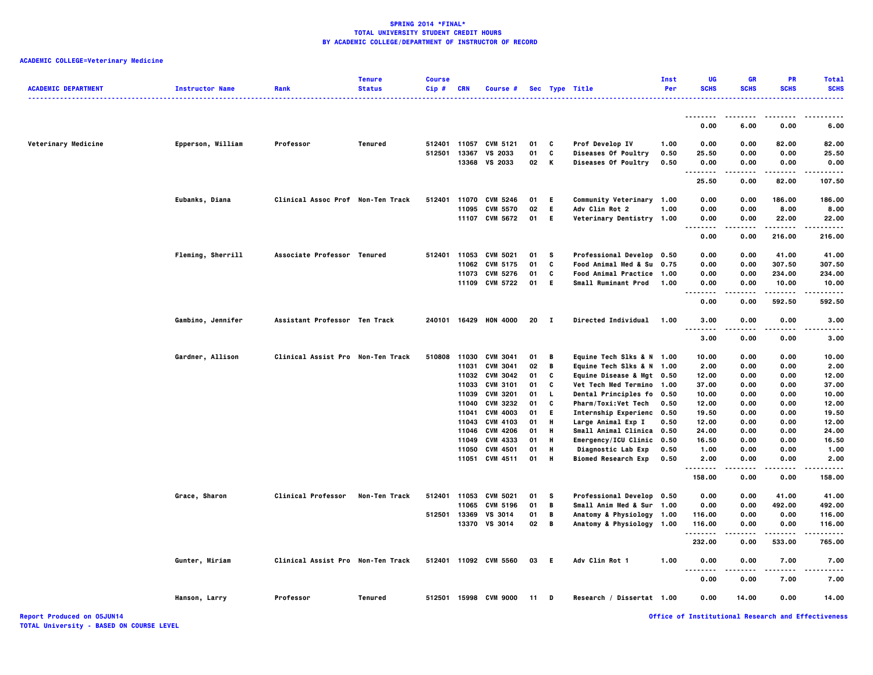| <b>ACADEMIC DEPARTMENT</b> | <b>Instructor Name</b> | Rank                              | <b>Tenure</b><br><b>Status</b> | <b>Course</b><br>Cip# | <b>CRN</b> | Course #              |      |        | Sec Type Title             | Inst<br>Per | UG<br><b>SCHS</b> | <b>GR</b><br><b>SCHS</b> | <b>PR</b><br><b>SCHS</b> | <b>Total</b><br><b>SCHS</b> |
|----------------------------|------------------------|-----------------------------------|--------------------------------|-----------------------|------------|-----------------------|------|--------|----------------------------|-------------|-------------------|--------------------------|--------------------------|-----------------------------|
|                            |                        |                                   |                                |                       |            |                       |      |        |                            |             |                   |                          |                          |                             |
|                            |                        |                                   |                                |                       |            |                       |      |        |                            |             | 0.00              | 6.00                     | 0.00                     | 6.00                        |
| Veterinary Medicine        | Epperson, William      | Professor                         | Tenured                        |                       |            | 512401 11057 CVM 5121 | 01   | C      | Prof Develop IV            | 1.00        | 0.00              | 0.00                     | 82.00                    | 82.00                       |
|                            |                        |                                   |                                | 512501                | 13367      | VS 2033               | 01   | C      | Diseases Of Poultry        | 0.50        | 25.50             | 0.00                     | 0.00                     | 25.50                       |
|                            |                        |                                   |                                |                       |            | 13368 VS 2033         | 02   | К      | Diseases Of Poultry        | 0.50        | 0.00<br>.         | 0.00<br>.                | 0.00<br>. <b>.</b>       | 0.00<br>.                   |
|                            |                        |                                   |                                |                       |            |                       |      |        |                            |             | 25.50             | 0.00                     | 82.00                    | 107.50                      |
|                            | Eubanks, Diana         | Clinical Assoc Prof Non-Ten Track |                                | 512401                |            | 11070 CVM 5246        | 01   | E      | Community Veterinary 1.00  |             | 0.00              | 0.00                     | 186.00                   | 186.00                      |
|                            |                        |                                   |                                |                       | 11095      | <b>CVM 5570</b>       | 02   | E      | Adv Clin Rot 2             | 1.00        | 0.00              | 0.00                     | 8.00                     | 8.00                        |
|                            |                        |                                   |                                |                       |            | 11107 CVM 5672        | 01   | E.     | Veterinary Dentistry 1.00  |             | 0.00              | 0.00                     | 22.00                    | 22.00                       |
|                            |                        |                                   |                                |                       |            |                       |      |        |                            |             | 0.00              | 0.00                     | 216.00                   | 216.00                      |
|                            | Fleming, Sherrill      | Associate Professor Tenured       |                                |                       |            | 512401 11053 CVM 5021 | 01   | s      | Professional Develop 0.50  |             | 0.00              | 0.00                     | 41.00                    | 41.00                       |
|                            |                        |                                   |                                |                       | 11062      | <b>CVM 5175</b>       | 01   | C      | Food Animal Med & Su 0.75  |             | 0.00              | 0.00                     | 307.50                   | 307.50                      |
|                            |                        |                                   |                                |                       |            | 11073 CVM 5276        | 01   | C      | Food Animal Practice 1.00  |             | 0.00              | 0.00                     | 234.00                   | 234.00                      |
|                            |                        |                                   |                                |                       |            | 11109 CVM 5722        | 01   | E      | Small Ruminant Prod 1.00   |             | 0.00              | 0.00                     | 10.00<br>.               | 10.00                       |
|                            |                        |                                   |                                |                       |            |                       |      |        |                            |             | 0.00              | 0.00                     | 592.50                   | 592.50                      |
|                            | Gambino, Jennifer      | Assistant Professor Ten Track     |                                |                       |            | 240101 16429 HON 4000 | 20 I |        | Directed Individual 1.00   |             | 3.00<br><br>.     | 0.00<br>$- - - -$        | 0.00<br>.                | 3.00                        |
|                            |                        |                                   |                                |                       |            |                       |      |        |                            |             | 3.00              | 0.00                     | 0.00                     | 3.00                        |
|                            | Gardner, Allison       | Clinical Assist Pro Non-Ten Track |                                | 510808                |            | 11030 CVM 3041        | 01   | В      | Equine Tech Slks & N 1.00  |             | 10.00             | 0.00                     | 0.00                     | 10.00                       |
|                            |                        |                                   |                                |                       | 11031      | <b>CVM 3041</b>       | 02   | B      | Equine Tech Slks & N 1.00  |             | 2.00              | 0.00                     | 0.00                     | 2.00                        |
|                            |                        |                                   |                                |                       |            | 11032 CVM 3042        | 01   | C      | Equine Disease & Mgt 0.50  |             | 12.00             | 0.00                     | 0.00                     | 12.00                       |
|                            |                        |                                   |                                |                       |            | 11033 CVM 3101        | 01   | C      | Vet Tech Med Termino 1.00  |             | 37.00             | 0.00                     | 0.00                     | 37.00                       |
|                            |                        |                                   |                                |                       | 11039      | <b>CVM 3201</b>       | 01   | L      | Dental Principles fo 0.50  |             | 10.00             | 0.00                     | 0.00                     | 10.00                       |
|                            |                        |                                   |                                |                       | 11040      | <b>CVM 3232</b>       | 01   | C      | Pharm/Toxi:Vet Tech        | 0.50        | 12.00             | 0.00                     | 0.00                     | 12.00                       |
|                            |                        |                                   |                                |                       | 11041      | <b>CVM 4003</b>       | 01   | E      | Internship Experienc 0.50  |             | 19.50             | 0.00                     | 0.00                     | 19.50                       |
|                            |                        |                                   |                                |                       |            | 11043 CVM 4103        | 01   | н      | Large Animal Exp I         | 0.50        | 12.00             | 0.00                     | 0.00                     | 12.00                       |
|                            |                        |                                   |                                |                       |            | 11046 CVM 4206        | 01   | н      | Small Animal Clinica 0.50  |             | 24.00             | 0.00                     | 0.00                     | 24.00                       |
|                            |                        |                                   |                                |                       | 11049      | CVM 4333              | 01   | H      | Emergency/ICU Clinic 0.50  |             | 16.50             | 0.00                     | 0.00                     | 16.50                       |
|                            |                        |                                   |                                |                       | 11050      | <b>CVM 4501</b>       | 01   | н<br>н | Diagnostic Lab Exp         | 0.50        | 1.00              | 0.00                     | 0.00                     | 1.00                        |
|                            |                        |                                   |                                |                       |            | 11051 CVM 4511        | 01   |        | <b>Biomed Research Exp</b> | 0.50        | 2.00              | 0.00                     | 0.00                     | 2.00                        |
|                            |                        |                                   |                                |                       |            |                       |      |        |                            |             | 158.00            | 0.00                     | 0.00                     | 158.00                      |
|                            | Grace, Sharon          | <b>Clinical Professor</b>         | Non-Ten Track                  |                       |            | 512401 11053 CVM 5021 | 01   | s      | Professional Develop 0.50  |             | 0.00              | 0.00                     | 41.00                    | 41.00                       |
|                            |                        |                                   |                                |                       | 11065      | <b>CVM 5196</b>       | 01   | B      | Small Anim Med & Sur 1.00  |             | 0.00              | 0.00                     | 492.00                   | 492.00                      |
|                            |                        |                                   |                                | 512501                | 13369      | VS 3014               | 01   | B      | Anatomy & Physiology 1.00  |             | 116.00            | 0.00                     | 0.00                     | 116.00                      |
|                            |                        |                                   |                                |                       |            | 13370 VS 3014         | 02   | В      | Anatomy & Physiology 1.00  |             | 116.00            | 0.00                     | 0.00                     | 116.00                      |
|                            |                        |                                   |                                |                       |            |                       |      |        |                            |             | 232.00            | 0.00                     | 533.00                   | 765.00                      |
|                            | Gunter, Miriam         | Clinical Assist Pro Non-Ten Track |                                |                       |            | 512401 11092 CVM 5560 | 03   | - 6    | Adv Clin Rot 1             | 1.00        | 0.00<br>٠.        | 0.00                     | 7.00                     | 7.00                        |
|                            |                        |                                   |                                |                       |            |                       |      |        |                            |             | 0.00              | 0.00                     | 7.00                     | 7.00                        |
|                            | Hanson, Larry          | Professor                         | Tenured                        |                       |            | 512501 15998 CVM 9000 | 11   | D      | Research / Dissertat 1.00  |             | 0.00              | 14.00                    | 0.00                     | 14.00                       |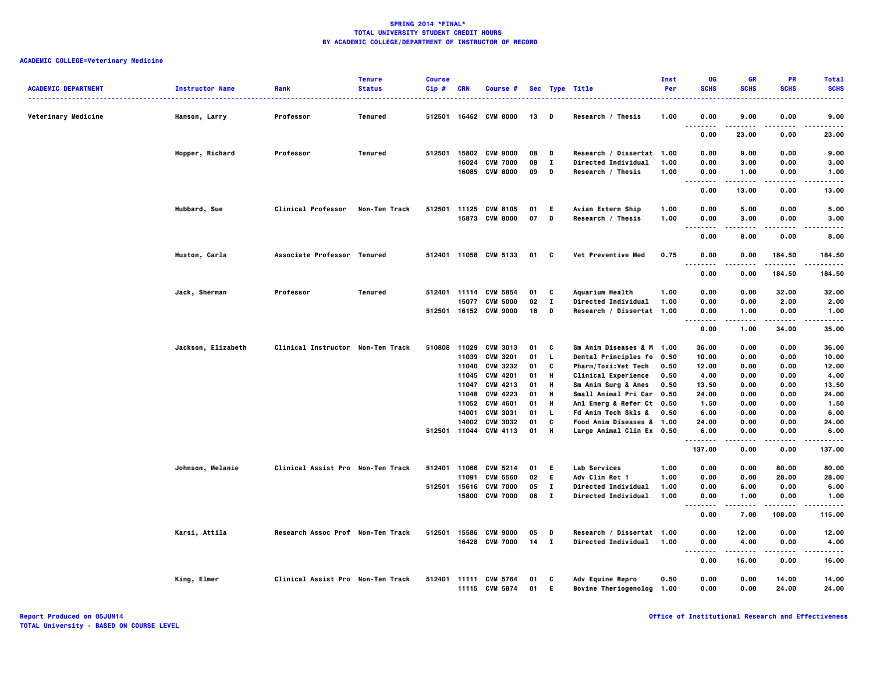| <b>ACADEMIC DEPARTMENT</b> | <b>Instructor Name</b> | Rank                              | <b>Tenure</b><br><b>Status</b> | <b>Course</b><br>Cip# | <b>CRN</b> | Course #                                |          |                   | Sec Type Title                                                    | Inst<br>Per  | UG<br><b>SCHS</b>                 | <b>GR</b><br><b>SCHS</b> | PR<br><b>SCHS</b> | <b>Total</b><br><b>SCHS</b> |
|----------------------------|------------------------|-----------------------------------|--------------------------------|-----------------------|------------|-----------------------------------------|----------|-------------------|-------------------------------------------------------------------|--------------|-----------------------------------|--------------------------|-------------------|-----------------------------|
|                            |                        |                                   |                                |                       |            |                                         |          |                   |                                                                   |              |                                   |                          |                   |                             |
| Veterinary Medicine        | Hanson, Larry          | Professor                         | Tenured                        | 512501                |            | 16462 CVM 8000                          | 13       | D                 | Research / Thesis                                                 | 1.00         | 0.00<br>.                         | 9.00<br>.                | 0.00<br>.         | 9.00<br>.                   |
|                            |                        |                                   |                                |                       |            |                                         |          |                   |                                                                   |              | 0.00                              | 23.00                    | 0.00              | 23.00                       |
|                            | Hopper, Richard        | Professor                         | Tenured                        | 512501                |            | 15802 CVM 9000                          | 08       | D                 | Research / Dissertat 1.00                                         |              | 0.00                              | 9.00                     | 0.00              | 9.00                        |
|                            |                        |                                   |                                |                       | 16024      | <b>CVM 7000</b><br>16085 CVM 8000       | 08<br>09 | $\mathbf{I}$<br>D | Directed Individual<br>Research / Thesis                          | 1.00<br>1.00 | 0.00<br>0.00                      | 3.00<br>1.00             | 0.00<br>0.00      | 3.00<br>1.00                |
|                            |                        |                                   |                                |                       |            |                                         |          |                   |                                                                   |              |                                   | -----                    |                   | .                           |
|                            |                        |                                   |                                |                       |            |                                         |          |                   |                                                                   |              | 0.00                              | 13.00                    | 0.00              | 13.00                       |
|                            | Hubbard, Sue           | <b>Clinical Professor</b>         | Non-Ten Track                  |                       |            | 512501 11125 CVM 8105                   | 01       | E.                | Avian Extern Ship                                                 | 1.00         | 0.00                              | 5.00                     | 0.00              | 5.00                        |
|                            |                        |                                   |                                |                       |            | 15873 CVM 8000                          | 07       | D                 | Research / Thesis                                                 | 1.00         | 0.00<br><br>.                     | 3.00                     | 0.00              | 3.00                        |
|                            |                        |                                   |                                |                       |            |                                         |          |                   |                                                                   |              | 0.00                              | 8.00                     | 0.00              | 8,00                        |
|                            | Huston, Carla          | Associate Professor Tenured       |                                |                       |            | 512401 11058 CVM 5133                   | 01       | C                 | Vet Preventive Med                                                | 0.75         | 0.00<br>$\sim$ $\sim$ $\sim$<br>. | 0.00                     | 184.50            | 184.50<br>.                 |
|                            |                        |                                   |                                |                       |            |                                         |          |                   |                                                                   |              | 0.00                              | 0.00                     | 184.50            | 184.50                      |
|                            | Jack, Sherman          | Professor                         | <b>Tenured</b>                 |                       |            | 512401 11114 CVM 5854                   | 01       | C                 | <b>Aquarium Health</b>                                            | 1.00         | 0.00                              | 0.00                     | 32.00             | 32.00                       |
|                            |                        |                                   |                                |                       | 15077      | <b>CVM 5000</b>                         | 02       | $\mathbf{I}$      | Directed Individual                                               | 1.00         | 0.00                              | 0.00                     | 2.00              | 2.00                        |
|                            |                        |                                   |                                | 512501                |            | 16152 CVM 9000                          | 18       | D                 | Research / Dissertat 1.00                                         |              | 0.00                              | 1.00                     | 0.00              | 1.00                        |
|                            |                        |                                   |                                |                       |            |                                         |          |                   |                                                                   |              | <br>0.00                          | .<br>1.00                | 34.00             | .<br>35.00                  |
|                            | Jackson, Elizabeth     | Clinical Instructor Non-Ten Track |                                |                       |            | 510808 11029 CVM 3013                   | 01       | C                 | <b>Sm Anim Diseases &amp; M 1.00</b>                              |              | 36.00                             | 0.00                     | 0.00              | 36.00                       |
|                            |                        |                                   |                                |                       | 11039      | <b>CVM 3201</b>                         | 01       | L.                | Dental Principles fo                                              | 0.50         | 10.00                             | 0.00                     | 0.00              | 10.00                       |
|                            |                        |                                   |                                |                       | 11040      | <b>CVM 3232</b>                         | 01       | c                 | Pharm/Toxi:Vet Tech                                               | 0.50         | 12.00                             | 0.00                     | 0.00              | 12.00                       |
|                            |                        |                                   |                                |                       | 11045      | <b>CVM 4201</b>                         | 01       | н                 | <b>Clinical Experience</b>                                        | 0.50         | 4.00                              | 0.00                     | 0.00              | 4.00                        |
|                            |                        |                                   |                                |                       | 11047      | CVM 4213                                | 01       | н                 | Sm Anim Surg & Anes                                               | 0.50         | 13.50                             | 0.00                     | 0.00              | 13.50                       |
|                            |                        |                                   |                                |                       |            | 11048 CVM 4223                          | 01       | н                 | Small Animal Pri Car 0.50                                         |              | 24.00                             | 0.00                     | 0.00              | 24.00                       |
|                            |                        |                                   |                                |                       |            | 11052 CVM 4601                          | 01       | H                 | Anl Emerg & Refer Ct 0.50                                         |              | 1.50                              | 0.00                     | 0.00              | 1.50                        |
|                            |                        |                                   |                                |                       | 14001      | <b>CVM 3031</b>                         | 01       | L.                | Fd Anim Tech Skls &                                               | 0.50         | 6.00                              | 0.00                     | 0.00              | 6.00                        |
|                            |                        |                                   |                                | 512501                |            | 14002 CVM 3032<br>11044 CVM 4113        | 01<br>01 | c<br>н            | <b>Food Anim Diseases &amp; 1.00</b><br>Large Animal Clin Ex 0.50 |              | 24.00<br>6.00                     | 0.00<br>0.00             | 0.00<br>0.00      | 24.00<br>6.00               |
|                            |                        |                                   |                                |                       |            |                                         |          |                   |                                                                   |              | - - - - - - - -                   | $- - - -$                | .                 | .                           |
|                            |                        |                                   |                                |                       |            |                                         |          |                   |                                                                   |              | 137.00                            | 0.00                     | 0.00              | 137.00                      |
|                            | Johnson, Melanie       | Clinical Assist Pro Non-Ten Track |                                | 512401                | 11066      | CVM 5214                                | 01       | E.                | Lab Services                                                      | 1.00         | 0.00                              | 0.00                     | 80.00             | 80.00                       |
|                            |                        |                                   |                                |                       | 11091      | <b>CVM 5560</b>                         | 02       | E.                | Adv Clin Rot 1                                                    | 1.00         | 0.00                              | 0.00                     | 28.00             | 28.00                       |
|                            |                        |                                   |                                | 512501                |            | 15616 CVM 7000                          | 05       | $\bf{I}$          | Directed Individual                                               | 1.00         | 0.00                              | 6.00                     | 0.00              | 6.00                        |
|                            |                        |                                   |                                |                       | 15800      | <b>CVM 7000</b>                         | 06       | $\mathbf{I}$      | Directed Individual                                               | 1.00         | 0.00<br>$- - - -$                 | 1.00<br>.                | 0.00<br>.         | 1.00<br>.                   |
|                            |                        |                                   |                                |                       |            |                                         |          |                   |                                                                   |              | 0.00                              | 7.00                     | 108.00            | 115.00                      |
|                            | Karsi, Attila          | Research Assoc Prof Non-Ten Track |                                | 512501                | 15586      | <b>CVM 9000</b>                         | 05       | D                 | Research / Dissertat 1.00                                         |              | 0.00                              | 12.00                    | 0.00              | 12.00                       |
|                            |                        |                                   |                                |                       |            | 16428 CVM 7000                          | $14$ I   |                   | Directed Individual                                               | 1.00         | 0.00                              | 4.00                     | 0.00              | 4.00                        |
|                            |                        |                                   |                                |                       |            |                                         |          |                   |                                                                   |              | $- - - -$<br>$\sim$<br>0.00       | -----<br>16.00           | .<br>0.00         | .<br>16.00                  |
|                            | King, Elmer            | Clinical Assist Pro Non-Ten Track |                                |                       |            | 512401 11111 CVM 5764<br>11115 CVM 5874 | 01<br>01 | C<br>E.           | Adv Equine Repro<br>Bovine Theriogenolog 1.00                     | 0.50         | 0.00<br>0.00                      | 0.00<br>0.00             | 14.00<br>24.00    | 14.00<br>24.00              |
|                            |                        |                                   |                                |                       |            |                                         |          |                   |                                                                   |              |                                   |                          |                   |                             |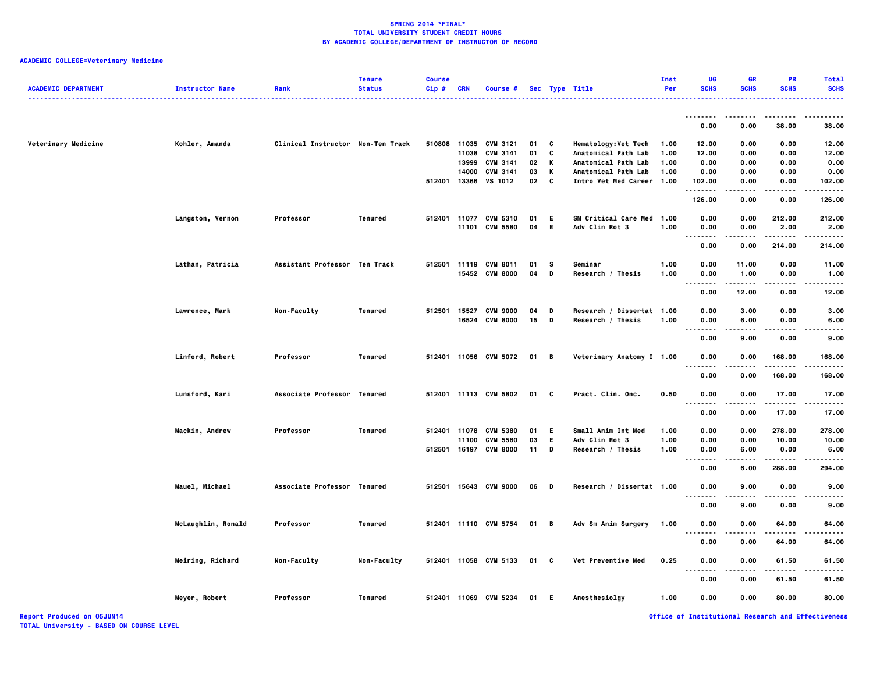| <b>ACADEMIC DEPARTMENT</b>        | <b>Instructor Name</b> | Rank                              | <b>Tenure</b><br><b>Status</b> | <b>Course</b><br>Cip# | CRN   | Course #              |      |              | Sec Type Title              | Inst<br>Per | UG<br><b>SCHS</b> | <b>GR</b><br><b>SCHS</b> | <b>PR</b><br><b>SCHS</b> | <b>Total</b><br><b>SCHS</b>                        |
|-----------------------------------|------------------------|-----------------------------------|--------------------------------|-----------------------|-------|-----------------------|------|--------------|-----------------------------|-------------|-------------------|--------------------------|--------------------------|----------------------------------------------------|
|                                   |                        |                                   |                                |                       |       |                       |      |              |                             |             | .                 | .                        | $- - - - -$              | $- - - - -$<br>-----                               |
|                                   |                        |                                   |                                |                       |       |                       |      |              |                             |             | 0.00              | 0.00                     | 38.00                    | 38.00                                              |
| Veterinary Medicine               | Kohler, Amanda         | Clinical Instructor Non-Ten Track |                                | 510808                | 11035 | <b>CVM 3121</b>       | 01   | C            | <b>Hematology: Vet Tech</b> | 1.00        | 12.00             | 0.00                     | 0.00                     | 12.00                                              |
|                                   |                        |                                   |                                |                       | 11038 | <b>CVM 3141</b>       | 01   | C            | Anatomical Path Lab         | 1.00        | 12.00             | 0.00                     | 0.00                     | 12.00                                              |
|                                   |                        |                                   |                                |                       | 13999 | <b>CVM 3141</b>       | 02   | Κ            | Anatomical Path Lab         | 1.00        | 0.00              | 0.00                     | 0.00                     | 0.00                                               |
|                                   |                        |                                   |                                |                       | 14000 | <b>CVM 3141</b>       | 03   | К            | Anatomical Path Lab         | 1.00        | 0.00              | 0.00                     | 0.00                     | 0.00                                               |
|                                   |                        |                                   |                                | 512401                | 13366 | VS 1012               | 02   | C            | Intro Vet Med Career        | 1.00        | 102.00<br>.       | 0.00<br>.                | 0.00<br>.                | 102.00<br>.                                        |
|                                   |                        |                                   |                                |                       |       |                       |      |              |                             |             | 126.00            | 0.00                     | 0.00                     | 126.00                                             |
|                                   | Langston, Vernon       | Professor                         | <b>Tenured</b>                 |                       |       | 512401 11077 CVM 5310 | 01   | -E           | SM Critical Care Med        | 1.00        | 0.00              | 0.00                     | 212.00                   | 212.00                                             |
|                                   |                        |                                   |                                |                       |       | 11101 CVM 5580        | 04   | - E          | Adv Clin Rot 3              | 1.00        | 0.00              | 0.00                     | 2.00                     | 2.00                                               |
|                                   |                        |                                   |                                |                       |       |                       |      |              |                             |             | .<br>.            | .                        | .                        | ------                                             |
|                                   |                        |                                   |                                |                       |       |                       |      |              |                             |             | 0.00              | 0.00                     | 214.00                   | 214.00                                             |
|                                   | Lathan, Patricia       | Assistant Professor Ten Track     |                                |                       |       | 512501 11119 CVM 8011 | 01   | s            | Seminar                     | 1.00        | 0.00              | 11.00                    | 0.00                     | 11.00                                              |
|                                   |                        |                                   |                                |                       |       | 15452 CVM 8000        | 04   | D            | Research / Thesis           | 1.00        | 0.00              | 1.00                     | 0.00                     | 1.00                                               |
|                                   |                        |                                   |                                |                       |       |                       |      |              |                             |             | .                 | .                        | .                        | .                                                  |
|                                   |                        |                                   |                                |                       |       |                       |      |              |                             |             | 0.00              | 12.00                    | 0.00                     | 12.00                                              |
|                                   | Lawrence, Mark         | Non-Faculty                       | <b>Tenured</b>                 | 512501                | 15527 | <b>CVM 9000</b>       | 04   | D            | Research / Dissertat 1.00   |             | 0.00              | 3.00                     | 0.00                     | 3.00                                               |
|                                   |                        |                                   |                                |                       |       | 16524 CVM 8000        | 15   | D            | Research / Thesis           | 1.00        | 0.00              | 6.00                     | 0.00                     | 6.00                                               |
|                                   |                        |                                   |                                |                       |       |                       |      |              |                             |             | .                 |                          |                          | .                                                  |
|                                   |                        |                                   |                                |                       |       |                       |      |              |                             |             | 0.00              | 9.00                     | 0.00                     | 9.00                                               |
|                                   | Linford, Robert        | Professor                         | <b>Tenured</b>                 |                       |       | 512401 11056 CVM 5072 | 01 B |              | Veterinary Anatomy I 1.00   |             | 0.00              | 0.00                     | 168.00                   | 168.00                                             |
|                                   |                        |                                   |                                |                       |       |                       |      |              |                             |             | .<br>0.00         | 0.00                     | 168.00                   | .<br>168.00                                        |
|                                   |                        |                                   |                                |                       |       |                       |      |              |                             |             |                   |                          |                          |                                                    |
|                                   | Lunsford, Kari         | Associate Professor Tenured       |                                |                       |       | 512401 11113 CVM 5802 | 01   | $\mathbf{c}$ | Pract. Clin. Onc.           | 0.50        | 0.00<br>.         | 0.00                     | 17.00<br>.               | 17.00<br>.                                         |
|                                   |                        |                                   |                                |                       |       |                       |      |              |                             |             | 0.00              | 0.00                     | 17.00                    | 17.00                                              |
|                                   | Mackin, Andrew         | Professor                         | Tenured                        |                       |       | 512401 11078 CVM 5380 | 01   | E            | Small Anim Int Med          | 1.00        | 0.00              | 0.00                     | 278.00                   | 278.00                                             |
|                                   |                        |                                   |                                |                       | 11100 | <b>CVM 5580</b>       | 03   | E.           | Adv Clin Rot 3              | 1.00        | 0.00              | 0.00                     | 10.00                    | 10.00                                              |
|                                   |                        |                                   |                                |                       |       | 512501 16197 CVM 8000 | 11   | D            | Research / Thesis           | 1.00        | 0.00              | 6.00                     | 0.00                     | 6.00                                               |
|                                   |                        |                                   |                                |                       |       |                       |      |              |                             |             | .                 |                          | .                        | .                                                  |
|                                   |                        |                                   |                                |                       |       |                       |      |              |                             |             | 0.00              | 6.00                     | 288.00                   | 294.00                                             |
|                                   | Mauel, Michael         | Associate Professor Tenured       |                                |                       |       | 512501 15643 CVM 9000 | 06   | D            | Research / Dissertat 1.00   |             | 0.00              | 9.00                     | 0.00                     | 9.00                                               |
|                                   |                        |                                   |                                |                       |       |                       |      |              |                             |             | .<br>---<br>0.00  | .<br>9.00                | .<br>0.00                | -----<br>9.00                                      |
|                                   |                        |                                   |                                |                       |       |                       |      |              |                             |             |                   |                          |                          |                                                    |
|                                   | McLaughlin, Ronald     | Professor                         | Tenured                        |                       |       | 512401 11110 CVM 5754 | 01   | в.           | Adv Sm Anim Surgery         | 1.00        | 0.00              | 0.00                     | 64.00                    | 64.00                                              |
|                                   |                        |                                   |                                |                       |       |                       |      |              |                             |             | <b>.</b>          | .                        | .                        | $- - - - -$                                        |
|                                   |                        |                                   |                                |                       |       |                       |      |              |                             |             | 0.00              | 0.00                     | 64.00                    | 64.00                                              |
|                                   | Meiring, Richard       | Non-Faculty                       | Non-Faculty                    |                       |       | 512401 11058 CVM 5133 | 01 C |              | Vet Preventive Med          | 0.25        | 0.00              | 0.00                     | 61.50                    | 61.50                                              |
|                                   |                        |                                   |                                |                       |       |                       |      |              |                             |             | .                 |                          |                          | .                                                  |
|                                   |                        |                                   |                                |                       |       |                       |      |              |                             |             | 0.00              | 0.00                     | 61.50                    | 61.50                                              |
|                                   | Meyer, Robert          | Professor                         | Tenured                        |                       |       | 512401 11069 CVM 5234 | 01   | -E           | Anesthesiolgy               | 1.00        | 0.00              | 0.00                     | 80.00                    | 80.00                                              |
| <b>Report Produced on 05JUN14</b> |                        |                                   |                                |                       |       |                       |      |              |                             |             |                   |                          |                          | Office of Institutional Research and Effectiveness |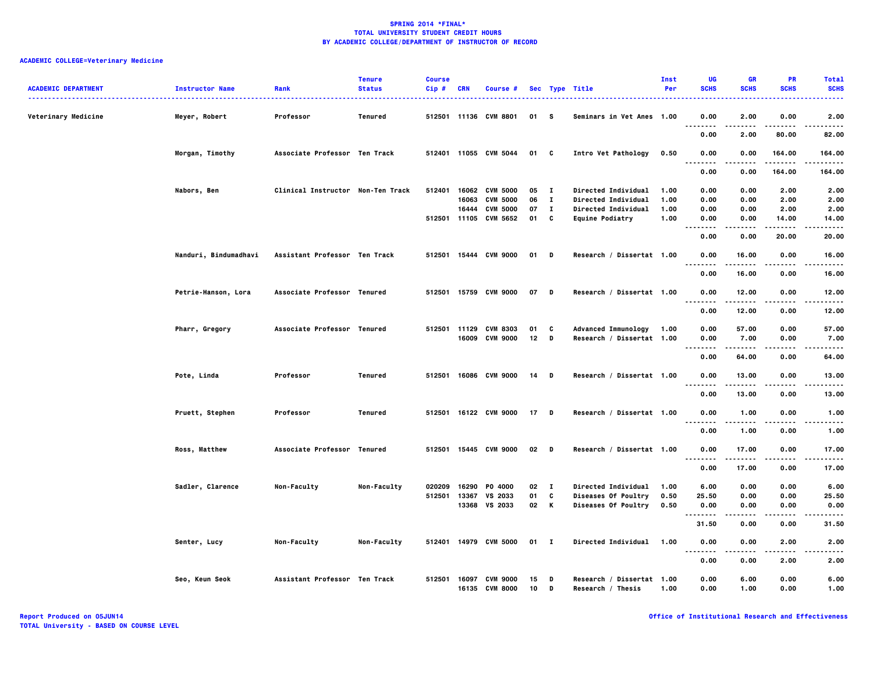| <b>ACADEMIC DEPARTMENT</b> | <b>Instructor Name</b> | Rank                              | <b>Tenure</b><br><b>Status</b> | <b>Course</b><br>Cip# | <b>CRN</b> | Course #                         |          |              | Sec Type Title                                 | <b>Inst</b><br>Per | UG<br><b>SCHS</b> | <b>GR</b><br><b>SCHS</b> | PR<br><b>SCHS</b> | <b>Total</b><br><b>SCHS</b> |
|----------------------------|------------------------|-----------------------------------|--------------------------------|-----------------------|------------|----------------------------------|----------|--------------|------------------------------------------------|--------------------|-------------------|--------------------------|-------------------|-----------------------------|
| Veterinary Medicine        | Meyer, Robert          | Professor                         | Tenured                        |                       |            | 512501 11136 CVM 8801            | 01       | s s          | Seminars in Vet Anes 1.00                      |                    | 0.00              | 2.00                     | 0.00              | 2.00                        |
|                            |                        |                                   |                                |                       |            |                                  |          |              |                                                |                    | .<br>.<br>0.00    | .<br>2.00                | 80.00             | ----<br>82.00               |
|                            | Morgan, Timothy        | Associate Professor Ten Track     |                                |                       |            | 512401 11055 CVM 5044            | 01 C     |              | Intro Vet Pathology                            | 0.50               | 0.00<br>.         | 0.00                     | 164.00<br>------  | 164.00<br>------            |
|                            |                        |                                   |                                |                       |            |                                  |          |              |                                                |                    | 0.00              | 0.00                     | 164.00            | 164.00                      |
|                            | Nabors, Ben            | Clinical Instructor Non-Ten Track |                                | 512401                | 16062      | <b>CVM 5000</b>                  | 05       | $\mathbf{I}$ | Directed Individual                            | 1.00               | 0.00              | 0.00                     | 2.00              | 2.00                        |
|                            |                        |                                   |                                |                       | 16063      | <b>CVM 5000</b>                  | 06       | $\mathbf{I}$ | <b>Directed Individual</b>                     | 1.00               | 0.00              | 0.00                     | 2.00              | 2.00                        |
|                            |                        |                                   |                                |                       | 16444      | <b>CVM 5000</b>                  | 07       | $\mathbf{I}$ | Directed Individual                            | 1.00               | 0.00              | 0.00                     | 2.00              | 2.00                        |
|                            |                        |                                   |                                |                       |            | 512501 11105 CVM 5652            | 01       | C            | <b>Equine Podiatry</b>                         | 1.00               | 0.00<br>.         | 0.00                     | 14.00             | 14.00<br>$- - - -$          |
|                            |                        |                                   |                                |                       |            |                                  |          |              |                                                |                    | 0.00              | 0.00                     | 20.00             | 20.00                       |
|                            | Nanduri, Bindumadhavi  | Assistant Professor Ten Track     |                                |                       |            | 512501 15444 CVM 9000            | $01$ D   |              | Research / Dissertat 1.00                      |                    | 0.00<br>.         | 16.00<br>.               | 0.00<br>$- - - -$ | 16.00<br>.                  |
|                            |                        |                                   |                                |                       |            |                                  |          |              |                                                |                    | 0.00              | 16.00                    | 0.00              | 16.00                       |
|                            | Petrie-Hanson, Lora    | Associate Professor Tenured       |                                |                       |            | 512501 15759 CVM 9000            | 07 D     |              | Research / Dissertat 1.00                      |                    | 0.00<br>.         | 12.00<br>.               | 0.00<br>.         | 12.00<br>.                  |
|                            |                        |                                   |                                |                       |            |                                  |          |              |                                                |                    | 0.00              | 12.00                    | 0.00              | 12.00                       |
|                            | Pharr, Gregory         | Associate Professor Tenured       |                                | 512501 11129          |            | <b>CVM 8303</b>                  | 01       | C            | <b>Advanced Immunology</b>                     | 1.00               | 0.00              | 57.00                    | 0.00              | 57.00                       |
|                            |                        |                                   |                                |                       |            | 16009 CVM 9000                   | 12       | D            | Research / Dissertat 1.00                      |                    | 0.00<br><br>.     | 7.00                     | 0.00              | 7.00<br>-----               |
|                            |                        |                                   |                                |                       |            |                                  |          |              |                                                |                    | 0.00              | 64.00                    | 0.00              | 64.00                       |
|                            | Pote, Linda            | Professor                         | Tenured                        |                       |            | 512501 16086 CVM 9000            | 14 D     |              | Research / Dissertat 1.00                      |                    | 0.00<br>.         | 13.00<br>.               | 0.00<br>.         | 13.00<br>.                  |
|                            |                        |                                   |                                |                       |            |                                  |          |              |                                                |                    | 0.00              | 13.00                    | 0.00              | 13.00                       |
|                            | Pruett, Stephen        | Professor                         | Tenured                        |                       |            | 512501 16122 CVM 9000            | $17$ D   |              | Research / Dissertat 1.00                      |                    | 0.00<br>$- - - -$ | 1.00                     | 0.00<br>----      | 1.00<br>.                   |
|                            |                        |                                   |                                |                       |            |                                  |          |              |                                                |                    | 0.00              | 1.00                     | 0.00              | 1.00                        |
|                            | <b>Ross, Matthew</b>   | Associate Professor Tenured       |                                |                       |            | 512501 15445 CVM 9000            | 02 D     |              | Research / Dissertat 1.00                      |                    | 0.00<br>.         | 17.00                    | 0.00              | 17.00<br>.                  |
|                            |                        |                                   |                                |                       |            |                                  |          |              |                                                |                    | 0.00              | 17.00                    | 0.00              | 17.00                       |
|                            | Sadler, Clarence       | Non-Faculty                       | Non-Faculty                    | 020209                | 16290      | P0 4000                          | 02       | $\mathbf{I}$ | <b>Directed Individual</b>                     | 1.00               | 6.00              | 0.00                     | 0.00              | 6.00                        |
|                            |                        |                                   |                                | 512501                | 13367      | VS 2033                          | 01       | C            | Diseases Of Poultry                            | 0.50               | 25.50             | 0.00                     | 0.00              | 25.50                       |
|                            |                        |                                   |                                |                       |            | 13368 VS 2033                    | 02 K     |              | Diseases Of Poultry                            | 0.50               | 0.00<br>.         | 0.00                     | 0.00              | 0.00<br>-----               |
|                            |                        |                                   |                                |                       |            |                                  |          |              |                                                |                    | 31.50             | 0.00                     | 0.00              | 31.50                       |
|                            | Senter, Lucy           | Non-Faculty                       | Non-Faculty                    |                       |            | 512401 14979 CVM 5000            | $01$ I   |              | <b>Directed Individual</b>                     | 1.00               | 0.00<br>.<br>.    | 0.00                     | 2.00<br>.         | 2.00<br>----                |
|                            |                        |                                   |                                |                       |            |                                  |          |              |                                                |                    | 0.00              | 0.00                     | 2.00              | 2.00                        |
|                            | Seo, Keun Seok         | Assistant Professor Ten Track     |                                | 512501                |            | 16097 CVM 9000<br>16135 CVM 8000 | 15<br>10 | D<br>D       | Research / Dissertat 1.00<br>Research / Thesis | 1.00               | 0.00<br>0.00      | 6.00<br>1.00             | 0.00<br>0.00      | 6.00<br>1.00                |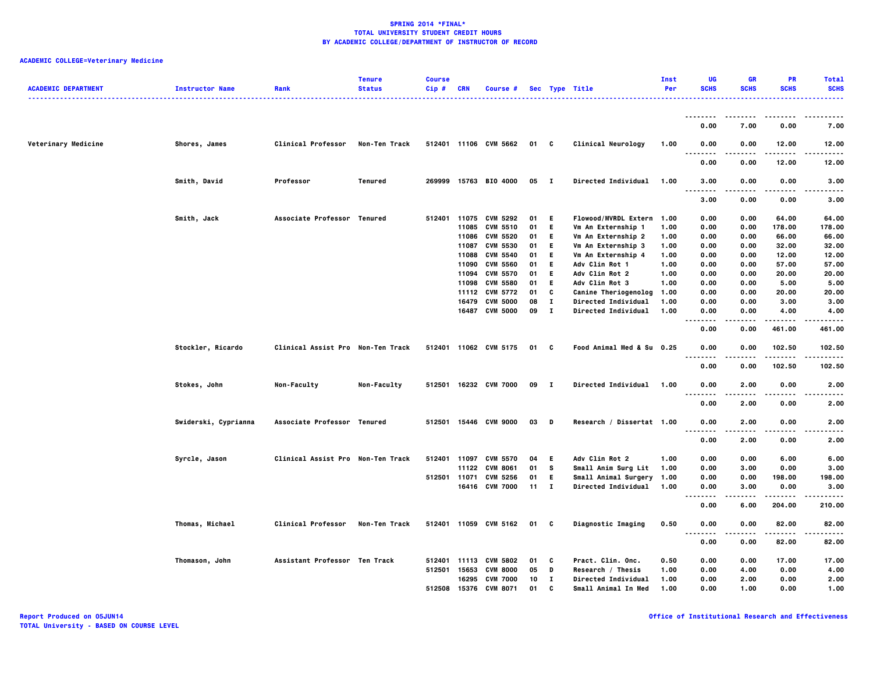| <b>ACADEMIC DEPARTMENT</b> | <b>Instructor Name</b> | Rank                              | <b>Tenure</b><br><b>Status</b> | <b>Course</b><br>Cip# | <b>CRN</b> | Course #              |      |              | Sec Type Title              | Inst<br>Per | UG<br><b>SCHS</b>                  | <b>GR</b><br><b>SCHS</b> | <b>PR</b><br><b>SCHS</b> | <b>Total</b><br><b>SCHS</b> |
|----------------------------|------------------------|-----------------------------------|--------------------------------|-----------------------|------------|-----------------------|------|--------------|-----------------------------|-------------|------------------------------------|--------------------------|--------------------------|-----------------------------|
|                            |                        |                                   |                                |                       |            |                       |      |              |                             |             |                                    |                          |                          |                             |
|                            |                        |                                   |                                |                       |            |                       |      |              |                             |             | 0.00                               | 7.00                     | 0.00                     | 7.00                        |
| Veterinary Medicine        | Shores, James          | <b>Clinical Professor</b>         | Non-Ten Track                  |                       |            | 512401 11106 CVM 5662 | 01 C |              | Clinical Neurology          | 1.00        | 0.00<br>$\sim$ $\sim$              | 0.00                     | 12.00                    | 12.00<br>----               |
|                            |                        |                                   |                                |                       |            |                       |      |              |                             |             | 0.00                               | 0.00                     | 12.00                    | 12.00                       |
|                            | Smith, David           | Professor                         | Tenured                        |                       |            | 269999 15763 BIO 4000 | 05 I |              | Directed Individual         | 1.00        | 3.00<br><br>.                      | 0.00<br>.                | 0.00                     | 3.00                        |
|                            |                        |                                   |                                |                       |            |                       |      |              |                             |             | 3.00                               | 0.00                     | 0.00                     | 3.00                        |
|                            | Smith, Jack            | Associate Professor Tenured       |                                | 512401                | 11075      | <b>CVM 5292</b>       | 01   | E.           | <b>Flowood/MVRDL Extern</b> | 1.00        | 0.00                               | 0.00                     | 64.00                    | 64.00                       |
|                            |                        |                                   |                                |                       | 11085      | <b>CVM 5510</b>       | 01   | E.           | Vm An Externship 1          | 1.00        | 0.00                               | 0.00                     | 178.00                   | 178.00                      |
|                            |                        |                                   |                                |                       | 11086      | CVM 5520              | 01   | E            | Vm An Externship 2          | 1.00        | 0.00                               | 0.00                     | 66.00                    | 66.00                       |
|                            |                        |                                   |                                |                       | 11087      | <b>CVM 5530</b>       | 01   | E.           | Vm An Externship 3          | 1.00        | 0.00                               | 0.00                     | 32.00                    | 32.00                       |
|                            |                        |                                   |                                |                       | 11088      | <b>CVM 5540</b>       | 01   | E.           | Vm An Externship 4          | 1.00        | 0.00                               | 0.00                     | 12.00                    | 12.00                       |
|                            |                        |                                   |                                |                       | 11090      | <b>CVM 5560</b>       | 01   | E.           | Adv Clin Rot 1              | 1.00        | 0.00                               | 0.00                     | 57.00                    | 57.00                       |
|                            |                        |                                   |                                |                       | 11094      | <b>CVM 5570</b>       | 01   | E.           | Adv Clin Rot 2              | 1.00        | 0.00                               | 0.00                     | 20.00                    | 20.00                       |
|                            |                        |                                   |                                |                       | 11098      | <b>CVM 5580</b>       | 01   | E.           | Adv Clin Rot 3              | 1.00        | 0.00                               | 0.00                     | 5.00                     | 5.00                        |
|                            |                        |                                   |                                |                       |            | 11112 CVM 5772        | 01   | C            | <b>Canine Theriogenolog</b> | 1.00        | 0.00                               | 0.00                     | 20.00                    | 20.00                       |
|                            |                        |                                   |                                |                       | 16479      | <b>CVM 5000</b>       | 08   | $\mathbf{I}$ | <b>Directed Individual</b>  | 1.00        | 0.00                               | 0.00                     | 3.00                     | 3.00                        |
|                            |                        |                                   |                                |                       |            | 16487 CVM 5000        | 09   | $\mathbf{I}$ | Directed Individual         | 1.00        | 0.00                               | 0.00                     | 4.00                     | 4.00                        |
|                            |                        |                                   |                                |                       |            |                       |      |              |                             |             | $-$<br>.                           |                          |                          |                             |
|                            |                        |                                   |                                |                       |            |                       |      |              |                             |             | 0.00                               | 0.00                     | 461.00                   | 461.00                      |
|                            | Stockler, Ricardo      | Clinical Assist Pro Non-Ten Track |                                |                       |            | 512401 11062 CVM 5175 | 01 C |              | Food Animal Med & Su 0.25   |             | 0.00<br>$\sim$ $\sim$<br>$- - - -$ | 0.00                     | 102.50<br>.              | 102.50<br>.                 |
|                            |                        |                                   |                                |                       |            |                       |      |              |                             |             | 0.00                               | 0.00                     | 102.50                   | 102.50                      |
|                            | Stokes, John           | Non-Faculty                       | Non-Faculty                    |                       |            | 512501 16232 CVM 7000 | 09   | $\mathbf{I}$ | <b>Directed Individual</b>  | 1.00        | 0.00                               | 2.00                     | 0.00                     | 2.00                        |
|                            |                        |                                   |                                |                       |            |                       |      |              |                             |             | 0.00                               | 2.00                     | 0.00                     | 2.00                        |
|                            | Swiderski, Cyprianna   | Associate Professor Tenured       |                                |                       |            | 512501 15446 CVM 9000 | 03   | D            | Research / Dissertat 1.00   |             | 0.00<br>$\overline{\phantom{a}}$   | 2.00                     | 0.00                     | 2.00                        |
|                            |                        |                                   |                                |                       |            |                       |      |              |                             |             | 0.00                               | 2.00                     | 0.00                     | 2.00                        |
|                            | Syrcle, Jason          | Clinical Assist Pro Non-Ten Track |                                |                       |            | 512401 11097 CVM 5570 | 04   | -E           | Adv Clin Rot 2              | 1.00        | 0.00                               | 0.00                     | 6.00                     | 6.00                        |
|                            |                        |                                   |                                |                       |            | 11122 CVM 8061        | 01   | <b>S</b>     | Small Anim Surg Lit         | 1.00        | 0.00                               | 3.00                     | 0.00                     | 3.00                        |
|                            |                        |                                   |                                | 512501 11071          |            | <b>CVM 5256</b>       | 01   | E.           | Small Animal Surgery        | 1.00        | 0.00                               | 0.00                     | 198.00                   | 198.00                      |
|                            |                        |                                   |                                |                       |            | 16416 CVM 7000        | 11   | $\mathbf{I}$ | <b>Directed Individual</b>  | 1.00        | 0.00                               | 3.00                     | 0.00                     | 3.00                        |
|                            |                        |                                   |                                |                       |            |                       |      |              |                             |             | .<br>$\sim$ $\sim$ $\sim$          |                          | .                        | .                           |
|                            |                        |                                   |                                |                       |            |                       |      |              |                             |             | 0.00                               | 6.00                     | 204.00                   | 210.00                      |
|                            | Thomas, Michael        | <b>Clinical Professor</b>         | Non-Ten Track                  |                       |            | 512401 11059 CVM 5162 | 01 C |              | Diagnostic Imaging          | 0.50        | 0.00<br>. .                        | 0.00                     | 82.00                    | 82.00                       |
|                            |                        |                                   |                                |                       |            |                       |      |              |                             |             | 0.00                               | 0.00                     | 82.00                    | 82.00                       |
|                            | Thomason, John         | Assistant Professor Ten Track     |                                | 512401                | 11113      | <b>CVM 5802</b>       | 01   | - C          | <b>Pract. Clin. Onc.</b>    | 0.50        | 0.00                               | 0.00                     | 17.00                    | 17.00                       |
|                            |                        |                                   |                                | 512501                | 15653      | <b>CVM 8000</b>       | 05   | D            | Research / Thesis           | 1.00        | 0.00                               | 4.00                     | 0.00                     | 4.00                        |
|                            |                        |                                   |                                |                       |            | 16295 CVM 7000        | 10   | п            | Directed Individual         | 1.00        | 0.00                               | 2.00                     | 0.00                     | 2.00                        |
|                            |                        |                                   |                                | 512508                | 15376      | <b>CVM 8071</b>       | 01   | C            | Small Animal In Med         | 1.00        | 0.00                               | 1.00                     | 0.00                     | 1.00                        |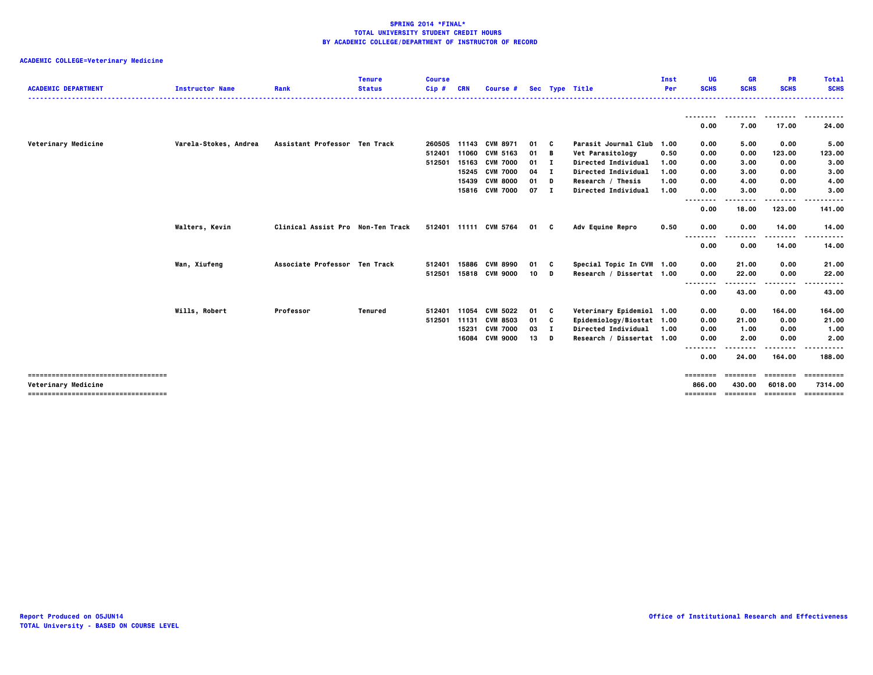| <b>ACADEMIC DEPARTMENT</b>           | <b>Instructor Name</b> | Rank<br>.                         | <b>Tenure</b><br><b>Status</b> | <b>Course</b><br>$Cip$ # | <b>CRN</b> | Course #              |        |              | Sec Type Title            | Inst<br>Per | UG<br><b>SCHS</b>    | <b>GR</b><br><b>SCHS</b> | <b>PR</b><br><b>SCHS</b> | <b>Total</b><br><b>SCHS</b><br>. |
|--------------------------------------|------------------------|-----------------------------------|--------------------------------|--------------------------|------------|-----------------------|--------|--------------|---------------------------|-------------|----------------------|--------------------------|--------------------------|----------------------------------|
|                                      |                        |                                   |                                |                          |            |                       |        |              |                           |             |                      |                          |                          | .                                |
|                                      |                        |                                   |                                |                          |            |                       |        |              |                           |             | 0.00                 | 7.00                     | 17.00                    | 24.00                            |
| Veterinary Medicine                  | Varela-Stokes, Andrea  | Assistant Professor Ten Track     |                                | 260505                   |            | 11143 CVM 8971        | 01     | C.           | Parasit Journal Club      | 1.00        | 0.00                 | 5.00                     | 0.00                     | 5.00                             |
|                                      |                        |                                   |                                | 512401                   | 11060      | <b>CVM 5163</b>       | 01 B   |              | Vet Parasitology          | 0.50        | 0.00                 | 0.00                     | 123.00                   | 123.00                           |
|                                      |                        |                                   |                                | 512501                   | 15163      | <b>CVM 7000</b>       | 01     | $\mathbf{I}$ | Directed Individual       | 1.00        | 0.00                 | 3.00                     | 0.00                     | 3.00                             |
|                                      |                        |                                   |                                |                          |            | 15245 CVM 7000        | 04     | - 1          | Directed Individual       | 1.00        | 0.00                 | 3.00                     | 0.00                     | 3.00                             |
|                                      |                        |                                   |                                |                          | 15439      | <b>CVM 8000</b>       | 01     | D            | Research / Thesis         | 1.00        | 0.00                 | 4.00                     | 0.00                     | 4.00                             |
|                                      |                        |                                   |                                |                          |            | 15816 CVM 7000        | $07$ I |              | Directed Individual       | 1.00        | 0.00<br>.            | 3.00                     | 0.00<br>$- - -$          | 3.00<br>.                        |
|                                      |                        |                                   |                                |                          |            |                       |        |              |                           |             | 0.00                 | 18.00                    | 123.00                   | 141.00                           |
|                                      | Walters, Kevin         | Clinical Assist Pro Non-Ten Track |                                |                          |            | 512401 11111 CVM 5764 | 01 C   |              | Adv Equine Repro          | 0.50        | 0.00                 | 0.00                     | 14.00                    | 14.00                            |
|                                      |                        |                                   |                                |                          |            |                       |        |              |                           |             | $- - -$<br>.<br>0.00 | 0.00                     | .<br>14.00               | .<br>14.00                       |
|                                      |                        |                                   |                                |                          |            |                       |        |              |                           |             |                      |                          |                          |                                  |
|                                      | Wan, Xiufeng           | Associate Professor Ten Track     |                                | 512401                   | 15886      | <b>CVM 8990</b>       | 01     | C            | Special Topic In CVM 1.00 |             | 0.00                 | 21.00                    | 0.00                     | 21.00                            |
|                                      |                        |                                   |                                | 512501                   |            | 15818 CVM 9000        | 10     | D            | Research / Dissertat 1.00 |             | 0.00                 | 22.00                    | 0.00                     | 22.00                            |
|                                      |                        |                                   |                                |                          |            |                       |        |              |                           |             | <br>0.00             | 43.00                    | .<br>0.00                | 43.00                            |
|                                      | Wills, Robert          | Professor                         | Tenured                        | 512401                   | 11054      | <b>CVM 5022</b>       | 01     | C            | Veterinary Epidemiol 1.00 |             | 0.00                 | 0.00                     | 164.00                   | 164.00                           |
|                                      |                        |                                   |                                | 512501                   | 11131      | <b>CVM 8503</b>       | 01     | C            | Epidemiology/Biostat 1.00 |             | 0.00                 | 21.00                    | 0.00                     | 21.00                            |
|                                      |                        |                                   |                                |                          | 15231      | <b>CVM 7000</b>       | 03     | I.           | Directed Individual       | 1.00        | 0.00                 | 1.00                     | 0.00                     | 1.00                             |
|                                      |                        |                                   |                                |                          | 16084      | <b>CVM 9000</b>       | 13     | D            | Research / Dissertat 1.00 |             | 0.00                 | 2.00                     | 0.00                     | 2.00                             |
|                                      |                        |                                   |                                |                          |            |                       |        |              |                           |             | $- - -$<br>.<br>0.00 | 24.00                    | .<br>164.00              | .<br>188,00                      |
| ------------------------------------ |                        |                                   |                                |                          |            |                       |        |              |                           |             | ========             | ---------                | ---------                | ==========                       |
| Veterinary Medicine                  |                        |                                   |                                |                          |            |                       |        |              |                           |             | 866.00<br>========   | 430.00<br>========       | 6018,00<br>========      | 7314.00<br>==========            |
|                                      |                        |                                   |                                |                          |            |                       |        |              |                           |             |                      |                          |                          |                                  |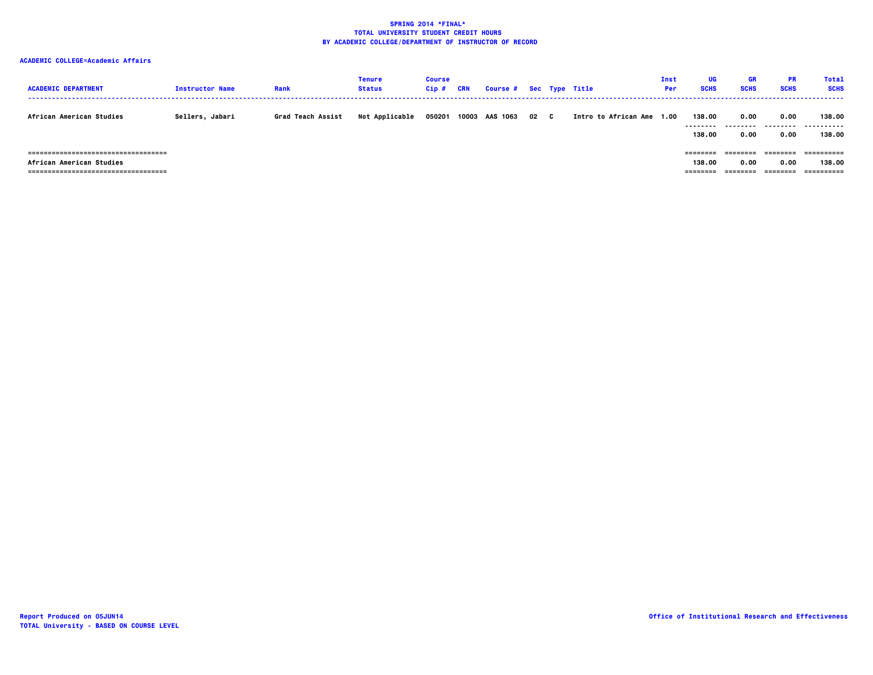# **ACADEMIC COLLEGE=Academic Affairs**

| <b>ACADEMIC DEPARTMENT</b>                                                                      | <b>Instructor Name</b> | Rank              | Tenure<br><b>Status</b> | <b>Course</b><br>Cip# | CRN | Course # Sec Type Title |      |                      | Inst<br>Per | UG<br><b>SCHS</b>              | GR<br><b>SCHS</b>         | <b>PR</b><br><b>SCHS</b>    | <b>Total</b><br><b>SCHS</b> |
|-------------------------------------------------------------------------------------------------|------------------------|-------------------|-------------------------|-----------------------|-----|-------------------------|------|----------------------|-------------|--------------------------------|---------------------------|-----------------------------|-----------------------------|
| African American Studies                                                                        | Sellers, Jabari        | Grad Teach Assist | Not Applicable          | 050201                |     | 10003 AAS 1063          | 02 C | Intro to African Ame | 1.00        | 138.00<br><br>138.00           | 0.00<br>---------<br>0.00 | 0.00<br>.<br>0.00           | 138.00<br><br>138,00        |
| -------------------------------------<br>African American Studies<br>-------------------------- |                        |                   |                         |                       |     |                         |      |                      |             | ========<br>138.00<br>======== | ========<br>0.00          | =======<br>0.00<br>-------- | 138,00<br>==========        |